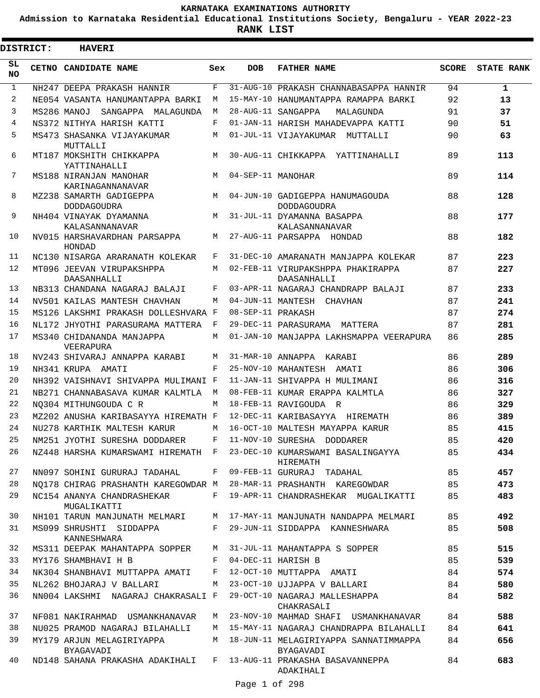**Admission to Karnataka Residential Educational Institutions Society, Bengaluru - YEAR 2022-23**

 $\blacksquare$ 

| DISTRICT:    | <b>HAVERI</b>                                 |              |                   |                                                       |       |                   |
|--------------|-----------------------------------------------|--------------|-------------------|-------------------------------------------------------|-------|-------------------|
| SL<br>NO.    | CETNO CANDIDATE NAME                          | Sex          | <b>DOB</b>        | <b>FATHER NAME</b>                                    | SCORE | <b>STATE RANK</b> |
| $\mathbf{1}$ | NH247 DEEPA PRAKASH HANNIR                    | F            |                   | 31-AUG-10 PRAKASH CHANNABASAPPA HANNIR                | 94    | $\mathbf{1}$      |
| 2            | NE054 VASANTA HANUMANTAPPA BARKI              | M            |                   | 15-MAY-10 HANUMANTAPPA RAMAPPA BARKI                  | 92    | 13                |
| 3            | MS286 MANOJ<br>SANGAPPA MALAGUNDA             | М            |                   | 28-AUG-11 SANGAPPA<br>MALAGUNDA                       | 91    | 37                |
| 4            | NS372 NITHYA HARISH KATTI                     | F            |                   | 01-JAN-11 HARISH MAHADEVAPPA KATTI                    | 90    | 51                |
| 5            | MS473 SHASANKA VIJAYAKUMAR<br>MUTTALLI        | M            |                   | 01-JUL-11 VIJAYAKUMAR MUTTALLI                        | 90    | 63                |
| 6            | MT187 MOKSHITH CHIKKAPPA<br>YATTINAHALLI      | M            |                   | 30-AUG-11 CHIKKAPPA YATTINAHALLI                      | 89    | 113               |
| 7            | MS188 NIRANJAN MANOHAR<br>KARINAGANNANAVAR    | M            | 04-SEP-11 MANOHAR |                                                       | 89    | 114               |
| 8            | MZ238 SAMARTH GADIGEPPA<br><b>DODDAGOUDRA</b> | M            |                   | 04-JUN-10 GADIGEPPA HANUMAGOUDA<br><b>DODDAGOUDRA</b> | 88    | 128               |
| 9            | NH404 VINAYAK DYAMANNA<br>KALASANNANAVAR      | M            |                   | 31-JUL-11 DYAMANNA BASAPPA<br>KALASANNANAVAR          | 88    | 177               |
| 10           | NV015 HARSHAVARDHAN PARSAPPA<br>HONDAD        | M            |                   | 27-AUG-11 PARSAPPA HONDAD                             | 88    | 182               |
| 11           | NC130 NISARGA ARARANATH KOLEKAR               | F            |                   | 31-DEC-10 AMARANATH MANJAPPA KOLEKAR                  | 87    | 223               |
| $12 \,$      | MT096 JEEVAN VIRUPAKSHPPA<br>DAASANHALLI      | M            |                   | 02-FEB-11 VIRUPAKSHPPA PHAKIRAPPA<br>DAASANHALLI      | 87    | 227               |
| 13           | NB313 CHANDANA NAGARAJ BALAJI                 | F            |                   | 03-APR-11 NAGARAJ CHANDRAPP BALAJI                    | 87    | 233               |
| 14           | NV501 KAILAS MANTESH CHAVHAN                  | M            |                   | 04-JUN-11 MANTESH CHAVHAN                             | 87    | 241               |
| 15           | MS126 LAKSHMI PRAKASH DOLLESHVARA F           |              | 08-SEP-11 PRAKASH |                                                       | 87    | 274               |
| 16           | NL172 JHYOTHI PARASURAMA MATTERA              | $\mathbf{F}$ |                   | 29-DEC-11 PARASURAMA MATTERA                          | 87    | 281               |
| 17           | MS340 CHIDANANDA MANJAPPA<br>VEERAPURA        | M            |                   | 01-JAN-10 MANJAPPA LAKHSMAPPA VEERAPURA               | 86    | 285               |
| 18           | NV243 SHIVARAJ ANNAPPA KARABI                 | M            |                   | 31-MAR-10 ANNAPPA KARABI                              | 86    | 289               |
| 19           | NH341 KRUPA AMATI                             | F            |                   | 25-NOV-10 MAHANTESH AMATI                             | 86    | 306               |
| 20           | NH392 VAISHNAVI SHIVAPPA MULIMANI F           |              |                   | 11-JAN-11 SHIVAPPA H MULIMANI                         | 86    | 316               |
| 21           | NB271 CHANNABASAVA KUMAR KALMTLA              | M            |                   | 08-FEB-11 KUMAR ERAPPA KALMTLA                        | 86    | 327               |
| 22           | NO304 MITHUNGOUDA C R                         | M            |                   | 18-FEB-11 RAVIGOUDA R                                 | 86    | 329               |
| 23           | MZ202 ANUSHA KARIBASAYYA HIREMATH F           |              |                   | 12-DEC-11 KARIBASAYYA HIREMATH                        | 86    | 389               |
| 24           | NU278 KARTHIK MALTESH KARUR                   | М            |                   | 16-OCT-10 MALTESH MAYAPPA KARUR                       | 85    | 415               |
| 25           | NM251 JYOTHI SURESHA DODDARER                 |              |                   | 11-NOV-10 SURESHA DODDARER                            | 85    | 420               |
| 26           | NZ448 HARSHA KUMARSWAMI HIREMATH F            |              |                   | 23-DEC-10 KUMARSWAMI BASALINGAYYA<br>HIREMATH         | 85    | 434               |
| 27           | NN097 SOHINI GURURAJ TADAHAL                  | F            |                   | 09-FEB-11 GURURAJ TADAHAL                             | 85    | 457               |
| 28           | NO178 CHIRAG PRASHANTH KAREGOWDAR M           |              |                   | 28-MAR-11 PRASHANTH KAREGOWDAR                        | 85    | 473               |
| 29           | NC154 ANANYA CHANDRASHEKAR<br>MUGALIKATTI     | F            |                   | 19-APR-11 CHANDRASHEKAR MUGALIKATTI                   | 85    | 483               |
| 30           | NH101 TARUN MANJUNATH MELMARI                 | М            |                   | 17-MAY-11 MANJUNATH NANDAPPA MELMARI                  | 85    | 492               |
| 31           | MS099 SHRUSHTI SIDDAPPA<br>KANNESHWARA        | F            |                   | 29-JUN-11 SIDDAPPA KANNESHWARA                        | 85    | 508               |
| 32           | MS311 DEEPAK MAHANTAPPA SOPPER                | M            |                   | 31-JUL-11 MAHANTAPPA S SOPPER                         | 85    | 515               |
| 33           | MY176 SHAMBHAVI H B                           | F            |                   | 04-DEC-11 HARISH B                                    | 85    | 539               |
| 34           | NK304 SHANBHAVI MUTTAPPA AMATI                | F            |                   | 12-OCT-10 MUTTAPPA AMATI                              | 84    | 574               |
| 35           | NL262 BHOJARAJ V BALLARI                      | M            |                   | 23-OCT-10 UJJAPPA V BALLARI                           | 84    | 580               |
| 36           | NN004 LAKSHMI NAGARAJ CHAKRASALI F            |              |                   | 29-OCT-10 NAGARAJ MALLESHAPPA<br>CHAKRASALI           | 84    | 582               |
| 37           | NF081 NAKIRAHMAD USMANKHANAVAR                | М            |                   | 23-NOV-10 MAHMAD SHAFI USMANKHANAVAR                  | 84    | 588               |
| 38           | NU025 PRAMOD NAGARAJ BILAHALLI                | M            |                   | 15-MAY-11 NAGARAJ CHANDRAPPA BILAHALLI                | 84    | 641               |
| 39           | MY179 ARJUN MELAGIRIYAPPA<br>BYAGAVADI        | М            |                   | 18-JUN-11 MELAGIRIYAPPA SANNATIMMAPPA<br>BYAGAVADI    | 84    | 656               |
| 40           | ND148 SAHANA PRAKASHA ADAKIHALI               | F            |                   | 13-AUG-11 PRAKASHA BASAVANNEPPA<br>ADAKIHALI          | 84    | 683               |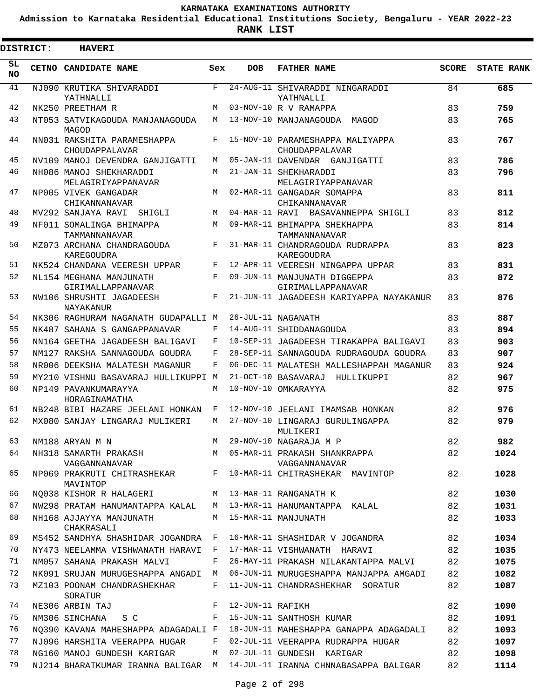**Admission to Karnataka Residential Educational Institutions Society, Bengaluru - YEAR 2022-23**

|                 | <b>DISTRICT:</b> | <b>HAVERI</b>                                 |       |                  |                                                    |              |                   |
|-----------------|------------------|-----------------------------------------------|-------|------------------|----------------------------------------------------|--------------|-------------------|
| SL<br><b>NO</b> |                  | CETNO CANDIDATE NAME                          | Sex   | <b>DOB</b>       | <b>FATHER NAME</b>                                 | <b>SCORE</b> | <b>STATE RANK</b> |
| 41              |                  | NJ090 KRUTIKA SHIVARADDI<br>YATHNALLI         | $F -$ |                  | 24-AUG-11 SHIVARADDI NINGARADDI<br>YATHNALLI       | 84           | 685               |
| 42              |                  | NK250 PREETHAM R                              | M     |                  | 03-NOV-10 R V RAMAPPA                              | 83           | 759               |
| 43              |                  | NT053 SATVIKAGOUDA MANJANAGOUDA<br>MAGOD      | M     |                  | 13-NOV-10 MANJANAGOUDA MAGOD                       | 83           | 765               |
| 44              |                  | NN031 RAKSHITA PARAMESHAPPA<br>CHOUDAPPALAVAR | F     |                  | 15-NOV-10 PARAMESHAPPA MALIYAPPA<br>CHOUDAPPALAVAR | 83           | 767               |
| 45              |                  | NV109 MANOJ DEVENDRA GANJIGATTI               | M     |                  | 05-JAN-11 DAVENDAR GANJIGATTI                      | 83           | 786               |
| 46              |                  | NH086 MANOJ SHEKHARADDI<br>MELAGIRIYAPPANAVAR | M     |                  | 21-JAN-11 SHEKHARADDI<br>MELAGIRIYAPPANAVAR        | 83           | 796               |
| 47              |                  | NP005 VIVEK GANGADAR<br>CHIKANNANAVAR         | M     |                  | 02-MAR-11 GANGADAR SOMAPPA<br>CHIKANNANAVAR        | 83           | 811               |
| 48              |                  | MV292 SANJAYA RAVI SHIGLI                     | M     |                  | 04-MAR-11 RAVI BASAVANNEPPA SHIGLI                 | 83           | 812               |
| 49              |                  | NF011 SOMALINGA BHIMAPPA<br>TAMMANNANAVAR     | M     |                  | 09-MAR-11 BHIMAPPA SHEKHAPPA<br>TAMMANNANAVAR      | 83           | 814               |
| 50              |                  | MZ073 ARCHANA CHANDRAGOUDA<br>KAREGOUDRA      | F     |                  | 31-MAR-11 CHANDRAGOUDA RUDRAPPA<br>KAREGOUDRA      | 83           | 823               |
| 51              |                  | NK524 CHANDANA VEERESH UPPAR                  | F     |                  | 12-APR-11 VEERESH NINGAPPA UPPAR                   | 83           | 831               |
| 52              |                  | NL154 MEGHANA MANJUNATH<br>GIRIMALLAPPANAVAR  | F     |                  | 09-JUN-11 MANJUNATH DIGGEPPA<br>GIRIMALLAPPANAVAR  | 83           | 872               |
| 53              |                  | NW106 SHRUSHTI JAGADEESH<br>NAYAKANUR         | F     |                  | 21-JUN-11 JAGADEESH KARIYAPPA NAYAKANUR            | 83           | 876               |
| 54              |                  | NK306 RAGHURAM NAGANATH GUDAPALLI M           |       |                  | 26-JUL-11 NAGANATH                                 | 83           | 887               |
| 55              |                  | NK487 SAHANA S GANGAPPANAVAR                  | F     |                  | 14-AUG-11 SHIDDANAGOUDA                            | 83           | 894               |
| 56              |                  | NN164 GEETHA JAGADEESH BALIGAVI               | F     |                  | 10-SEP-11 JAGADEESH TIRAKAPPA BALIGAVI             | 83           | 903               |
| 57              |                  | NM127 RAKSHA SANNAGOUDA GOUDRA                | F     |                  | 28-SEP-11 SANNAGOUDA RUDRAGOUDA GOUDRA             | 83           | 907               |
| 58              |                  | NR006 DEEKSHA MALATESH MAGANUR                | F     |                  | 06-DEC-11 MALATESH MALLESHAPPAH MAGANUR            | 83           | 924               |
| 59              |                  | MY210 VISHNU BASAVARAJ HULLIKUPPI M           |       |                  | 21-OCT-10 BASAVARAJ HULLIKUPPI                     | 82           | 967               |
| 60              |                  | NP149 PAVANKUMARAYYA<br>HORAGINAMATHA         | M     |                  | 10-NOV-10 OMKARAYYA                                | 82           | 975               |
| 61              |                  | NB248 BIBI HAZARE JEELANI HONKAN              | F     |                  | 12-NOV-10 JEELANI IMAMSAB HONKAN                   | 82           | 976               |
| 62              |                  | MX080 SANJAY LINGARAJ MULIKERI                | M     |                  | 27-NOV-10 LINGARAJ GURULINGAPPA<br>MULIKERI        | 82           | 979               |
| 63              |                  | NM188 ARYAN M N                               | M     |                  | 29-NOV-10 NAGARAJA M P                             | 82           | 982               |
| 64              |                  | NH318 SAMARTH PRAKASH<br>VAGGANNANAVAR        | M     |                  | 05-MAR-11 PRAKASH SHANKRAPPA<br>VAGGANNANAVAR      | 82           | 1024              |
| 65              |                  | NP069 PRAKRUTI CHITRASHEKAR F<br>MAVINTOP     |       |                  | 10-MAR-11 CHITRASHEKAR MAVINTOP                    | 82           | 1028              |
| 66              |                  | NO038 KISHOR R HALAGERI                       |       |                  | M 13-MAR-11 RANGANATH K                            | 82           | 1030              |
| 67              |                  | NW298 PRATAM HANUMANTAPPA KALAL               | M     |                  | 13-MAR-11 HANUMANTAPPA KALAL                       | 82           | 1031              |
| 68              |                  | NH168 AJJAYYA MANJUNATH<br>CHAKRASALI         | M     |                  | 15-MAR-11 MANJUNATH                                | 82           | 1033              |
| 69              |                  | MS452 SANDHYA SHASHIDAR JOGANDRA              | F     |                  | 16-MAR-11 SHASHIDAR V JOGANDRA                     | 82           | 1034              |
| 70              |                  | NY473 NEELAMMA VISHWANATH HARAVI              | F     |                  | 17-MAR-11 VISHWANATH HARAVI                        | 82           | 1035              |
| 71              |                  | NM057 SAHANA PRAKASH MALVI                    | F     |                  | 26-MAY-11 PRAKASH NILAKANTAPPA MALVI               | 82           | 1075              |
| 72              |                  | NK091 SRUJAN MURUGESHAPPA ANGADI              | M     |                  | 06-JUN-11 MURUGESHAPPA MANJAPPA AMGADI             | 82           | 1082              |
| 73              |                  | MZ103 POONAM CHANDRASHEKHAR<br>SORATUR        | F     |                  | 11-JUN-11 CHANDRASHEKHAR SORATUR                   | 82           | 1087              |
| 74              |                  | NE306 ARBIN TAJ                               | F     | 12-JUN-11 RAFIKH |                                                    | 82           | 1090              |
| 75              |                  | NM306 SINCHANA<br>S C                         | F     |                  | 15-JUN-11 SANTHOSH KUMAR                           | 82           | 1091              |
| 76              |                  | NO390 KAVANA MAHESHAPPA ADAGADALI F           |       |                  | 18-JUN-11 MAHESHAPPA GANAPPA ADAGADALI             | 82           | 1093              |
| 77              |                  | NJ096 HARSHITA VEERAPPA HUGAR                 | F     |                  | 02-JUL-11 VEERAPPA RUDRAPPA HUGAR                  | 82           | 1097              |
| 78              |                  | NG160 MANOJ GUNDESH KARIGAR                   | М     |                  | 02-JUL-11 GUNDESH KARIGAR                          | 82           | 1098              |
| 79              |                  | NJ214 BHARATKUMAR IRANNA BALIGAR M            |       |                  | 14-JUL-11 IRANNA CHNNABASAPPA BALIGAR              | 82           | 1114              |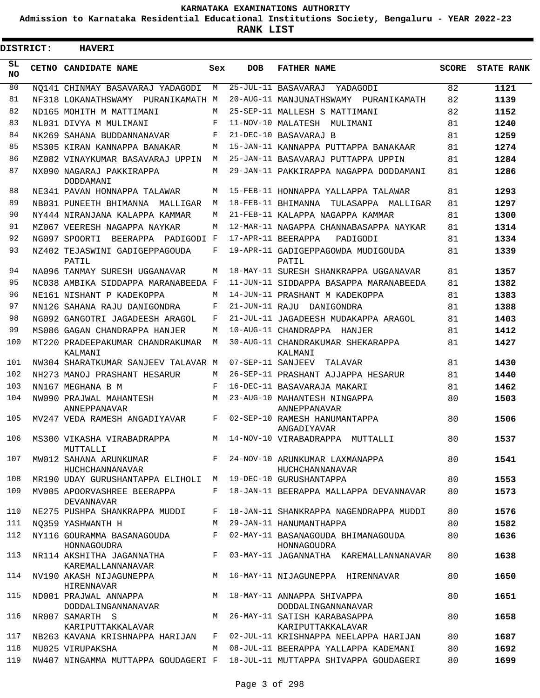**Admission to Karnataka Residential Educational Institutions Society, Bengaluru - YEAR 2022-23**

ı

| <b>DISTRICT:</b> | <b>HAVERI</b>                                              |       |            |                                                     |              |                   |
|------------------|------------------------------------------------------------|-------|------------|-----------------------------------------------------|--------------|-------------------|
| SL.<br>NO.       | CETNO CANDIDATE NAME                                       | Sex   | <b>DOB</b> | <b>FATHER NAME</b>                                  | <b>SCORE</b> | <b>STATE RANK</b> |
| 80               | NO141 CHINMAY BASAVARAJ YADAGODI                           | M     |            | 25-JUL-11 BASAVARAJ<br>YADAGODI                     | 82           | 1121              |
| 81               | NF318 LOKANATHSWAMY PURANIKAMATH M                         |       |            | 20-AUG-11 MANJUNATHSWAMY PURANIKAMATH               | 82           | 1139              |
| 82               | ND165 MOHITH M MATTIMANI                                   | М     |            | 25-SEP-11 MALLESH S MATTIMANI                       | 82           | 1152              |
| 83               | NL031 DIVYA M MULIMANI                                     | F     |            | 11-NOV-10 MALATESH MULIMANI                         | 81           | 1240              |
| 84               | NK269 SAHANA BUDDANNANAVAR                                 | F     |            | 21-DEC-10 BASAVARAJ B                               | 81           | 1259              |
| 85               | MS305 KIRAN KANNAPPA BANAKAR                               | М     |            | 15-JAN-11 KANNAPPA PUTTAPPA BANAKAAR                | 81           | 1274              |
| 86               | MZ082 VINAYKUMAR BASAVARAJ UPPIN                           | M     |            | 25-JAN-11 BASAVARAJ PUTTAPPA UPPIN                  | 81           | 1284              |
| 87               | NX090 NAGARAJ PAKKIRAPPA<br>DODDAMANI                      | М     |            | 29-JAN-11 PAKKIRAPPA NAGAPPA DODDAMANI              | 81           | 1286              |
| 88               | NE341 PAVAN HONNAPPA TALAWAR                               | М     |            | 15-FEB-11 HONNAPPA YALLAPPA TALAWAR                 | 81           | 1293              |
| 89               | NB031 PUNEETH BHIMANNA MALLIGAR                            | M     |            | 18-FEB-11 BHIMANNA TULASAPPA MALLIGAR               | 81           | 1297              |
| 90               | NY444 NIRANJANA KALAPPA KAMMAR                             | M     |            | 21-FEB-11 KALAPPA NAGAPPA KAMMAR                    | 81           | 1300              |
| 91               | MZ067 VEERESH NAGAPPA NAYKAR                               | M     |            | 12-MAR-11 NAGAPPA CHANNABASAPPA NAYKAR              | 81           | 1314              |
| 92               | NG097 SPOORTI BEERAPPA PADIGODI F                          |       |            | 17-APR-11 BEERAPPA<br>PADIGODI                      | 81           | 1334              |
| 93               | NZ402 TEJASWINI GADIGEPPAGOUDA<br>PATIL                    | F     |            | 19-APR-11 GADIGEPPAGOWDA MUDIGOUDA<br>PATIL         | 81           | 1339              |
| 94               | NA096 TANMAY SURESH UGGANAVAR                              | М     |            | 18-MAY-11 SURESH SHANKRAPPA UGGANAVAR               | 81           | 1357              |
| 95               | NC038 AMBIKA SIDDAPPA MARANABEEDA F                        |       |            | 11-JUN-11 SIDDAPPA BASAPPA MARANABEEDA              | 81           | 1382              |
| 96               | NE161 NISHANT P KADEKOPPA                                  | M     |            | 14-JUN-11 PRASHANT M KADEKOPPA                      | 81           | 1383              |
| 97               | NN126 SAHANA RAJU DANIGONDRA                               | F     |            | 21-JUN-11 RAJU DANIGONDRA                           | 81           | 1388              |
| 98               | NG092 GANGOTRI JAGADEESH ARAGOL                            | F     |            | 21-JUL-11 JAGADEESH MUDAKAPPA ARAGOL                | 81           | 1403              |
| 99               | MS086 GAGAN CHANDRAPPA HANJER                              | М     |            | 10-AUG-11 CHANDRAPPA HANJER                         | 81           | 1412              |
| 100              | MT220 PRADEEPAKUMAR CHANDRAKUMAR<br>KALMANI                | М     |            | 30-AUG-11 CHANDRAKUMAR SHEKARAPPA<br>KALMANI        | 81           | 1427              |
| 101              | NW304 SHARATKUMAR SANJEEV TALAVAR M                        |       |            | 07-SEP-11 SANJEEV TALAVAR                           | 81           | 1430              |
| 102              | NH273 MANOJ PRASHANT HESARUR                               | M     |            | 26-SEP-11 PRASHANT AJJAPPA HESARUR                  | 81           | 1440              |
| 103              | NN167 MEGHANA B M                                          | F     |            | 16-DEC-11 BASAVARAJA MAKARI                         | 81           | 1462              |
| 104              | NW090 PRAJWAL MAHANTESH<br>ANNEPPANAVAR                    | M     |            | 23-AUG-10 MAHANTESH NINGAPPA<br>ANNEPPANAVAR        | 80           | 1503              |
| 105              | MV247 VEDA RAMESH ANGADIYAVAR                              | F     |            | 02-SEP-10 RAMESH HANUMANTAPPA<br>ANGADIYAVAR        | 80           | 1506              |
| 106              | MS300 VIKASHA VIRABADRAPPA<br>MUTTALLI                     |       |            | M 14-NOV-10 VIRABADRAPPA MUTTALLI                   | 80           | 1537              |
| 107              | MW012 SAHANA ARUNKUMAR<br>HUCHCHANNANAVAR                  |       |            | F 24-NOV-10 ARUNKUMAR LAXMANAPPA<br>HUCHCHANNANAVAR | 80           | 1541              |
| 108              | MR190 UDAY GURUSHANTAPPA ELIHOLI M 19-DEC-10 GURUSHANTAPPA |       |            |                                                     | 80           | 1553              |
| 109              | MV005 APOORVASHREE BEERAPPA<br><b>DEVANNAVAR</b>           | F     |            | 18-JAN-11 BEERAPPA MALLAPPA DEVANNAVAR              | 80           | 1573              |
| 110              | NE275 PUSHPA SHANKRAPPA MUDDI                              | F     |            | 18-JAN-11 SHANKRAPPA NAGENDRAPPA MUDDI              | 80           | 1576              |
| 111              | NO359 YASHWANTH H                                          | M     |            | 29-JAN-11 HANUMANTHAPPA                             | 80           | 1582              |
| 112              | NY116 GOURAMMA BASANAGOUDA<br>HONNAGOUDRA                  | F     |            | 02-MAY-11 BASANAGOUDA BHIMANAGOUDA<br>HONNAGOUDRA   | 80           | 1636              |
| 113              | NR114 AKSHITHA JAGANNATHA<br>KAREMALLANNANAVAR             | $F -$ |            | 03-MAY-11 JAGANNATHA KAREMALLANNANAVAR              | 80           | 1638              |
| 114              | NV190 AKASH NIJAGUNEPPA<br>HIRENNAVAR                      | M     |            | 16-MAY-11 NIJAGUNEPPA HIRENNAVAR                    | 80           | 1650              |
| 115              | ND001 PRAJWAL ANNAPPA<br>DODDALINGANNANAVAR                | M     |            | 18-MAY-11 ANNAPPA SHIVAPPA<br>DODDALINGANNANAVAR    | 80           | 1651              |
| 116              | NR007 SAMARTH S<br>KARIPUTTAKKALAVAR                       | M     |            | 26-MAY-11 SATISH KARABASAPPA<br>KARIPUTTAKKALAVAR   | 80           | 1658              |
| 117              | NB263 KAVANA KRISHNAPPA HARIJAN                            | F     |            | 02-JUL-11 KRISHNAPPA NEELAPPA HARIJAN               | 80           | 1687              |
| 118              | MU025 VIRUPAKSHA                                           | M     |            | 08-JUL-11 BEERAPPA YALLAPPA KADEMANI                | 80           | 1692              |
| 119              | NW407 NINGAMMA MUTTAPPA GOUDAGERI F                        |       |            | 18-JUL-11 MUTTAPPA SHIVAPPA GOUDAGERI               | 80           | 1699              |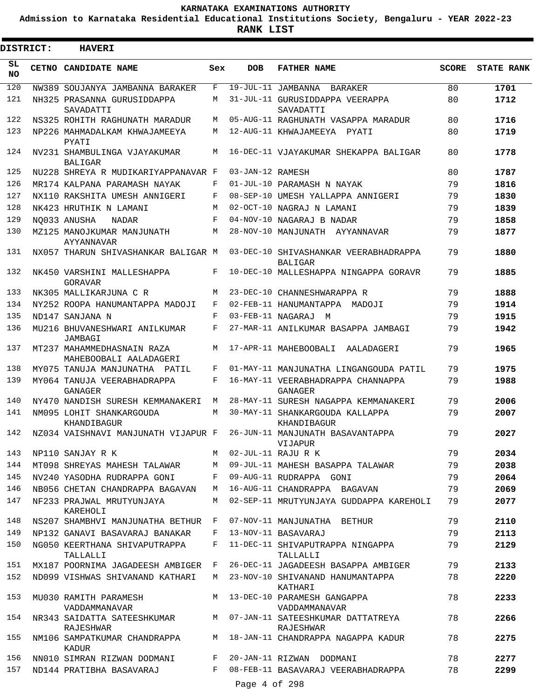**Admission to Karnataka Residential Educational Institutions Society, Bengaluru - YEAR 2022-23**

**RANK LIST**

Ξ

| DISTRICT:  | <b>HAVERI</b>                                        |              |                  |                                                         |              |                   |
|------------|------------------------------------------------------|--------------|------------------|---------------------------------------------------------|--------------|-------------------|
| SL.<br>NO. | <b>CETNO CANDIDATE NAME</b>                          | Sex          | <b>DOB</b>       | <b>FATHER NAME</b>                                      | <b>SCORE</b> | <b>STATE RANK</b> |
| 120        | NW389 SOUJANYA JAMBANNA BARAKER                      | F            |                  | 19-JUL-11 JAMBANNA BARAKER                              | 80           | 1701              |
| 121        | NH325 PRASANNA GURUSIDDAPPA<br>SAVADATTI             | М            |                  | 31-JUL-11 GURUSIDDAPPA VEERAPPA<br>SAVADATTI            | 80           | 1712              |
| 122        | NS325 ROHITH RAGHUNATH MARADUR                       | М            |                  | 05-AUG-11 RAGHUNATH VASAPPA MARADUR                     | 80           | 1716              |
| 123        | NP226 MAHMADALKAM KHWAJAMEEYA<br>PYATT               | М            |                  | 12-AUG-11 KHWAJAMEEYA PYATI                             | 80           | 1719              |
| 124        | NV231 SHAMBULINGA VJAYAKUMAR<br><b>BALIGAR</b>       | M            |                  | 16-DEC-11 VJAYAKUMAR SHEKAPPA BALIGAR                   | 80           | 1778              |
| 125        | NU228 SHREYA R MUDIKARIYAPPANAVAR F                  |              | 03-JAN-12 RAMESH |                                                         | 80           | 1787              |
| 126        | MR174 KALPANA PARAMASH NAYAK                         | F            |                  | 01-JUL-10 PARAMASH N NAYAK                              | 79           | 1816              |
| 127        | NX110 RAKSHITA UMESH ANNIGERI                        | F            |                  | 08-SEP-10 UMESH YALLAPPA ANNIGERI                       | 79           | 1830              |
| 128        | NK423 HRUTHIK N LAMANI                               | M            |                  | 02-OCT-10 NAGRAJ N LAMANI                               | 79           | 1839              |
| 129        | NO033 ANUSHA<br>NADAR                                | F            |                  | 04-NOV-10 NAGARAJ B NADAR                               | 79           | 1858              |
| 130        | MZ125 MANOJKUMAR MANJUNATH<br>AYYANNAVAR             | M            |                  | 28-NOV-10 MANJUNATH AYYANNAVAR                          | 79           | 1877              |
| 131        | NX057 THARUN SHIVASHANKAR BALIGAR M                  |              |                  | 03-DEC-10 SHIVASHANKAR VEERABHADRAPPA<br><b>BALIGAR</b> | 79           | 1880              |
| 132        | NK450 VARSHINI MALLESHAPPA<br>GORAVAR                | F            |                  | 10-DEC-10 MALLESHAPPA NINGAPPA GORAVR                   | 79           | 1885              |
| 133        | NK305 MALLIKARJUNA C R                               | М            |                  | 23-DEC-10 CHANNESHWARAPPA R                             | 79           | 1888              |
| 134        | NY252 ROOPA HANUMANTAPPA MADOJI                      | F            |                  | 02-FEB-11 HANUMANTAPPA MADOJI                           | 79           | 1914              |
| 135        | ND147 SANJANA N                                      | F            |                  | 03-FEB-11 NAGARAJ M                                     | 79           | 1915              |
| 136        | MU216 BHUVANESHWARI ANILKUMAR<br>JAMBAGI             | F            |                  | 27-MAR-11 ANILKUMAR BASAPPA JAMBAGI                     | 79           | 1942              |
| 137        | MT237 MAHAMMEDHASNAIN RAZA<br>MAHEBOOBALI AALADAGERI | M            |                  | 17-APR-11 MAHEBOOBALI AALADAGERI                        | 79           | 1965              |
| 138        | MY075 TANUJA MANJUNATHA PATIL                        | F            |                  | 01-MAY-11 MANJUNATHA LINGANGOUDA PATIL                  | 79           | 1975              |
| 139        | MY064 TANUJA VEERABHADRAPPA<br><b>GANAGER</b>        | F            |                  | 16-MAY-11 VEERABHADRAPPA CHANNAPPA<br>GANAGER           | 79           | 1988              |
| 140        | NY470 NANDISH SURESH KEMMANAKERI                     | М            |                  | 28-MAY-11 SURESH NAGAPPA KEMMANAKERI                    | 79           | 2006              |
| 141        | NM095 LOHIT SHANKARGOUDA<br>KHANDIBAGUR              | M            |                  | 30-MAY-11 SHANKARGOUDA KALLAPPA<br>KHANDIBAGUR          | 79           | 2007              |
| 142        | NZ034 VAISHNAVI MANJUNATH VIJAPUR F                  |              |                  | 26-JUN-11 MANJUNATH BASAVANTAPPA<br>VIJAPUR             | 79           | 2027              |
| 143        | NP110 SANJAY R K                                     |              |                  | M 02-JUL-11 RAJU R K                                    | 79           | 2034              |
| 144        | MT098 SHREYAS MAHESH TALAWAR                         | M            |                  | 09-JUL-11 MAHESH BASAPPA TALAWAR                        | 79           | 2038              |
| 145        | NV240 YASODHA RUDRAPPA GONI                          | $\mathbf{F}$ |                  | 09-AUG-11 RUDRAPPA GONI                                 | 79           | 2064              |
| 146        | NB056 CHETAN CHANDRAPPA BAGAVAN                      | M            |                  | 16-AUG-11 CHANDRAPPA BAGAVAN                            | 79           | 2069              |
| 147        | NF233 PRAJWAL MRUTYUNJAYA<br>KAREHOLI                | M            |                  | 02-SEP-11 MRUTYUNJAYA GUDDAPPA KAREHOLI                 | 79           | 2077              |
| 148        | NS207 SHAMBHVI MANJUNATHA BETHUR F                   |              |                  | 07-NOV-11 MANJUNATHA BETHUR                             | 79           | 2110              |
| 149        | NP132 GANAVI BASAVARAJ BANAKAR                       | F            |                  | 13-NOV-11 BASAVARAJ                                     | 79           | 2113              |
| 150        | NG050 KEERTHANA SHIVAPUTRAPPA<br>TALLALLI            | F            |                  | 11-DEC-11 SHIVAPUTRAPPA NINGAPPA<br>TALLALLI            | 79           | 2129              |
| 151        | MX187 POORNIMA JAGADEESH AMBIGER                     | F            |                  | 26-DEC-11 JAGADEESH BASAPPA AMBIGER                     | 79           | 2133              |
| 152        | ND099 VISHWAS SHIVANAND KATHARI                      | M            |                  | 23-NOV-10 SHIVANAND HANUMANTAPPA<br>KATHARI             | 78           | 2220              |
| 153        | MU030 RAMITH PARAMESH<br>VADDAMMANAVAR               |              |                  | M 13-DEC-10 PARAMESH GANGAPPA<br>VADDAMMANAVAR          | 78           | 2233              |
| 154        | NR343 SAIDATTA SATEESHKUMAR<br>RAJESHWAR             |              |                  | M 07-JAN-11 SATEESHKUMAR DATTATREYA<br>RAJESHWAR        | 78           | 2266              |
| 155        | NM106 SAMPATKUMAR CHANDRAPPA<br>KADUR                |              |                  | M 18-JAN-11 CHANDRAPPA NAGAPPA KADUR                    | 78           | 2275              |
| 156        | NN010 SIMRAN RIZWAN DODMANI                          | F            |                  | 20-JAN-11 RIZWAN DODMANI                                | 78           | 2277              |
| 157        | ND144 PRATIBHA BASAVARAJ                             | F            |                  | 08-FEB-11 BASAVARAJ VEERABHADRAPPA                      | 78           | 2299              |
|            |                                                      |              | Page 4 of 298    |                                                         |              |                   |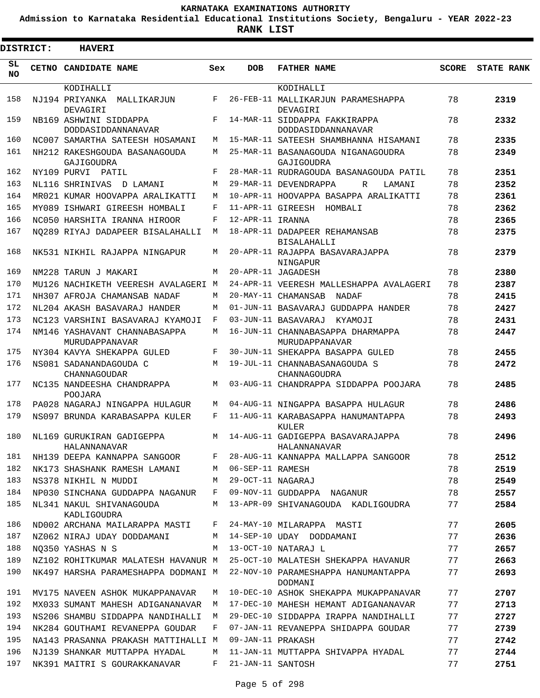**Admission to Karnataka Residential Educational Institutions Society, Bengaluru - YEAR 2022-23**

| <b>DISTRICT:</b> | <b>HAVERI</b>                                         |     |                   |                                                             |              |                   |
|------------------|-------------------------------------------------------|-----|-------------------|-------------------------------------------------------------|--------------|-------------------|
| SL.<br><b>NO</b> | CETNO CANDIDATE NAME                                  | Sex | <b>DOB</b>        | <b>FATHER NAME</b>                                          | <b>SCORE</b> | <b>STATE RANK</b> |
|                  | KODIHALLI                                             |     |                   | KODIHALLI                                                   |              |                   |
| 158              | NJ194 PRIYANKA MALLIKARJUN<br>DEVAGIRI                | F   |                   | 26-FEB-11 MALLIKARJUN PARAMESHAPPA<br>DEVAGIRI              | 78           | 2319              |
| 159              | NB169 ASHWINI SIDDAPPA                                | F   |                   | 14-MAR-11 SIDDAPPA FAKKIRAPPA                               | 78           | 2332              |
| 160              | DODDASIDDANNANAVAR<br>NC007 SAMARTHA SATEESH HOSAMANI | М   |                   | DODDASIDDANNANAVAR<br>15-MAR-11 SATEESH SHAMBHANNA HISAMANI | 78           | 2335              |
| 161              | NH212 RAKESHGOUDA BASANAGOUDA                         | М   |                   | 25-MAR-11 BASANAGOUDA NIGANAGOUDRA                          | 78           | 2349              |
| 162              | GAJIGOUDRA<br>NY109 PURVI PATIL                       | F   |                   | GAJIGOUDRA<br>28-MAR-11 RUDRAGOUDA BASANAGOUDA PATIL        | 78           | 2351              |
| 163              | NL116 SHRINIVAS D LAMANI                              | М   |                   | 29-MAR-11 DEVENDRAPPA<br>R<br>LAMANI                        | 78           | 2352              |
| 164              | MR021 KUMAR HOOVAPPA ARALIKATTI                       | М   |                   | 10-APR-11 HOOVAPPA BASAPPA ARALIKATTI                       | 78           | 2361              |
| 165              | MY089 ISHWARI GIREESH HOMBALI                         | F   |                   | 11-APR-11 GIREESH HOMBALI                                   | 78           | 2362              |
| 166              | NC050 HARSHITA IRANNA HIROOR                          | F   | 12-APR-11 IRANNA  |                                                             | 78           | 2365              |
| 167              |                                                       | M   |                   |                                                             | 78           |                   |
|                  | NO289 RIYAJ DADAPEER BISALAHALLI                      |     |                   | 18-APR-11 DADAPEER REHAMANSAB<br><b>BISALAHALLI</b>         |              | 2375              |
| 168              | NK531 NIKHIL RAJAPPA NINGAPUR                         | М   |                   | 20-APR-11 RAJAPPA BASAVARAJAPPA                             | 78           | 2379              |
| 169              | NM228 TARUN J MAKARI                                  | M   |                   | NINGAPUR<br>20-APR-11 JAGADESH                              | 78           | 2380              |
| 170              | MU126 NACHIKETH VEERESH AVALAGERI M                   |     |                   | 24-APR-11 VEERESH MALLESHAPPA AVALAGERI                     | 78           | 2387              |
| 171              | NH307 AFROJA CHAMANSAB NADAF                          | М   |                   | 20-MAY-11 CHAMANSAB<br>NADAF                                | 78           | 2415              |
| 172              | NL204 AKASH BASAVARAJ HANDER                          | М   |                   | 01-JUN-11 BASAVARAJ GUDDAPPA HANDER                         | 78           | 2427              |
| 173              | NC123 VARSHINI BASAVARAJ KYAMOJI                      | F   |                   | 03-JUN-11 BASAVARAJ<br>KYAMOJI                              | 78           | 2431              |
| 174              | NM146 YASHAVANT CHANNABASAPPA                         | М   |                   | 16-JUN-11 CHANNABASAPPA DHARMAPPA                           | 78           | 2447              |
| 175              | MURUDAPPANAVAR                                        | F   |                   | MURUDAPPANAVAR                                              | 78           |                   |
|                  | NY304 KAVYA SHEKAPPA GULED                            |     |                   | 30-JUN-11 SHEKAPPA BASAPPA GULED                            |              | 2455              |
| 176              | NS081 SADANANDAGOUDA C<br>CHANNAGOUDAR                | M   |                   | 19-JUL-11 CHANNABASANAGOUDA S<br>CHANNAGOUDRA               | 78           | 2472              |
| 177              | NC135 NANDEESHA CHANDRAPPA<br>POOJARA                 | М   |                   | 03-AUG-11 CHANDRAPPA SIDDAPPA POOJARA                       | 78           | 2485              |
| 178              | PA028 NAGARAJ NINGAPPA HULAGUR                        | М   |                   | 04-AUG-11 NINGAPPA BASAPPA HULAGUR                          | 78           | 2486              |
| 179              | NS097 BRUNDA KARABASAPPA KULER                        | F   |                   | 11-AUG-11 KARABASAPPA HANUMANTAPPA<br>KULER                 | 78           | 2493              |
| 180              | NL169 GURUKIRAN GADIGEPPA<br>HALANNANAVAR             | М   |                   | 14-AUG-11 GADIGEPPA BASAVARAJAPPA<br>HALANNANAVAR           | 78           | 2496              |
| 181              | NH139 DEEPA KANNAPPA SANGOOR                          | F   |                   | 28-AUG-11 KANNAPPA MALLAPPA SANGOOR                         | 78           | 2512              |
| 182              | NK173 SHASHANK RAMESH LAMANI                          | М   | 06-SEP-11 RAMESH  |                                                             | 78           | 2519              |
| 183              | NS378 NIKHIL N MUDDI                                  | M   | 29-OCT-11 NAGARAJ |                                                             | 78           | 2549              |
| 184              | NP030 SINCHANA GUDDAPPA NAGANUR                       | F   |                   | 09-NOV-11 GUDDAPPA NAGANUR                                  | 78           | 2557              |
| 185              | NL341 NAKUL SHIVANAGOUDA<br>KADLIGOUDRA               | M   |                   | 13-APR-09 SHIVANAGOUDA KADLIGOUDRA                          | 77           | 2584              |
| 186              | ND002 ARCHANA MAILARAPPA MASTI                        | F   |                   | 24-MAY-10 MILARAPPA MASTI                                   | 77           | 2605              |
| 187              | NZ062 NIRAJ UDAY DODDAMANI                            | M   |                   | 14-SEP-10 UDAY DODDAMANI                                    | 77           | 2636              |
| 188              | NO350 YASHAS N S                                      | М   |                   | 13-OCT-10 NATARAJ L                                         | 77           | 2657              |
| 189              | NZ102 ROHITKUMAR MALATESH HAVANUR M                   |     |                   | 25-OCT-10 MALATESH SHEKAPPA HAVANUR                         | 77           | 2663              |
| 190              | NK497 HARSHA PARAMESHAPPA DODMANI M                   |     |                   | 22-NOV-10 PARAMESHAPPA HANUMANTAPPA                         | 77           | 2693              |
| 191              | MV175 NAVEEN ASHOK MUKAPPANAVAR                       | М   |                   | DODMANI<br>10-DEC-10 ASHOK SHEKAPPA MUKAPPANAVAR            | 77           | 2707              |
| 192              | MX033 SUMANT MAHESH ADIGANANAVAR                      | M   |                   | 17-DEC-10 MAHESH HEMANT ADIGANANAVAR                        | 77           | 2713              |
| 193              | NS206 SHAMBU SIDDAPPA NANDIHALLI                      | М   |                   | 29-DEC-10 SIDDAPPA IRAPPA NANDIHALLI                        | 77           | 2727              |
| 194              | NK284 GOUTHAMI REVANEPPA GOUDAR                       | F   |                   | 07-JAN-11 REVANEPPA SHIDAPPA GOUDAR                         | 77           | 2739              |
| 195              | NA143 PRASANNA PRAKASH MATTIHALLI M                   |     | 09-JAN-11 PRAKASH |                                                             | 77           | 2742              |
| 196              | NJ139 SHANKAR MUTTAPPA HYADAL                         | M   |                   | 11-JAN-11 MUTTAPPA SHIVAPPA HYADAL                          | 77           | 2744              |
| 197              | NK391 MAITRI S GOURAKKANAVAR                          | F   | 21-JAN-11 SANTOSH |                                                             | 77           | 2751              |
|                  |                                                       |     |                   |                                                             |              |                   |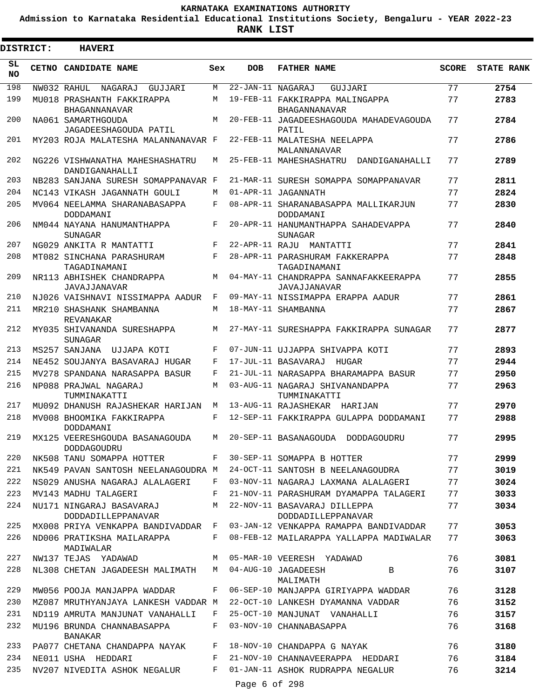**Admission to Karnataka Residential Educational Institutions Society, Bengaluru - YEAR 2022-23**

ı

|                 | <b>DISTRICT:</b> | <b>HAVERI</b>                                                         |     |                   |                                                                          |              |                   |
|-----------------|------------------|-----------------------------------------------------------------------|-----|-------------------|--------------------------------------------------------------------------|--------------|-------------------|
| SL<br><b>NO</b> |                  | CETNO CANDIDATE NAME                                                  | Sex | <b>DOB</b>        | <b>FATHER NAME</b>                                                       | <b>SCORE</b> | <b>STATE RANK</b> |
| 198             |                  | NW032 RAHUL<br>NAGARAJ<br>GUJJJAR T                                   | M   | 22-JAN-11 NAGARAJ | GUJJARI                                                                  | 77           | 2754              |
| 199             |                  | MU018 PRASHANTH FAKKIRAPPA<br>BHAGANNANAVAR                           | M   |                   | 19-FEB-11 FAKKIRAPPA MALINGAPPA<br>BHAGANNANAVAR                         | 77           | 2783              |
| 200             |                  | NA061 SAMARTHGOUDA<br>JAGADEESHAGOUDA PATIL                           | M   |                   | 20-FEB-11 JAGADEESHAGOUDA MAHADEVAGOUDA<br>PATIL                         | 77           | 2784              |
| 201             |                  | MY203 ROJA MALATESHA MALANNANAVAR F                                   |     |                   | 22-FEB-11 MALATESHA NEELAPPA<br>MALANNANAVAR                             | 77           | 2786              |
| 202             |                  | NG226 VISHWANATHA MAHESHASHATRU<br>DANDIGANAHALLI                     | M   |                   | 25-FEB-11 MAHESHASHATRU<br>DANDIGANAHALLI                                | 77           | 2789              |
| 203             |                  | NB283 SANJANA SURESH SOMAPPANAVAR F                                   |     |                   | 21-MAR-11 SURESH SOMAPPA SOMAPPANAVAR                                    | 77           | 2811              |
| 204             |                  | NC143 VIKASH JAGANNATH GOULI                                          | M   |                   | 01-APR-11 JAGANNATH                                                      | 77           | 2824              |
| 205             |                  | MV064 NEELAMMA SHARANABASAPPA<br>DODDAMANI                            | F   |                   | 08-APR-11 SHARANABASAPPA MALLIKARJUN<br>DODDAMANI                        | 77           | 2830              |
| 206             |                  | NM044 NAYANA HANUMANTHAPPA<br>SUNAGAR                                 | F   |                   | 20-APR-11 HANUMANTHAPPA SAHADEVAPPA<br>SUNAGAR                           | 77           | 2840              |
| 207             |                  | NG029 ANKITA R MANTATTI                                               | F   |                   | 22-APR-11 RAJU MANTATTI                                                  | 77           | 2841              |
| 208             |                  | MT082 SINCHANA PARASHURAM<br>TAGADINAMANI                             | F   |                   | 28-APR-11 PARASHURAM FAKKERAPPA<br>TAGADINAMANI                          | 77           | 2848              |
| 209             |                  | NR113 ABHISHEK CHANDRAPPA<br><b>JAVAJJANAVAR</b>                      | M   |                   | 04-MAY-11 CHANDRAPPA SANNAFAKKEERAPPA<br>JAVAJJANAVAR                    | 77           | 2855              |
| 210             |                  | NJ026 VAISHNAVI NISSIMAPPA AADUR                                      | F   |                   | 09-MAY-11 NISSIMAPPA ERAPPA AADUR                                        | 77           | 2861              |
| 211             |                  | MR210 SHASHANK SHAMBANNA<br>REVANAKAR                                 | M   |                   | 18-MAY-11 SHAMBANNA                                                      | 77           | 2867              |
| 212             |                  | MY035 SHIVANANDA SURESHAPPA<br><b>SUNAGAR</b>                         | M   |                   | 27-MAY-11 SURESHAPPA FAKKIRAPPA SUNAGAR                                  | 77           | 2877              |
| 213             |                  | MS257 SANJANA UJJAPA KOTI                                             | F   |                   | 07-JUN-11 UJJAPPA SHIVAPPA KOTI                                          | 77           | 2893              |
| 214             |                  | NE452 SOUJANYA BASAVARAJ HUGAR                                        | F   |                   | 17-JUL-11 BASAVARAJ HUGAR                                                | 77           | 2944              |
| 215             |                  | MV278 SPANDANA NARASAPPA BASUR                                        | F   |                   | 21-JUL-11 NARASAPPA BHARAMAPPA BASUR                                     | 77           | 2950              |
| 216             |                  | NP088 PRAJWAL NAGARAJ<br>TUMMINAKATTI                                 | M   |                   | 03-AUG-11 NAGARAJ SHIVANANDAPPA<br>TUMMINAKATTI                          | 77           | 2963              |
| 217             |                  | MU092 DHANUSH RAJASHEKAR HARIJAN                                      | М   |                   | 13-AUG-11 RAJASHEKAR HARIJAN                                             | 77           | 2970              |
| 218             |                  | MV008 BHOOMIKA FAKKIRAPPA<br>DODDAMANI                                | F   |                   | 12-SEP-11 FAKKIRAPPA GULAPPA DODDAMANI                                   | 77           | 2988              |
| 219             |                  | MX125 VEERESHGOUDA BASANAGOUDA<br>DODDAGOUDRU                         | M   |                   | 20-SEP-11 BASANAGOUDA DODDAGOUDRU                                        | 77           | 2995              |
| 220<br>221      |                  | NK508 TANU SOMAPPA HOTTER                                             | F   |                   | 30-SEP-11 SOMAPPA B HOTTER                                               | 77           | 2999              |
| 222             |                  | NK549 PAVAN SANTOSH NEELANAGOUDRA M<br>NS029 ANUSHA NAGARAJ ALALAGERI | F   |                   | 24-OCT-11 SANTOSH B NEELANAGOUDRA<br>03-NOV-11 NAGARAJ LAXMANA ALALAGERI | 77<br>77     | 3019<br>3024      |
| 223             |                  | MV143 MADHU TALAGERI                                                  | F   |                   | 21-NOV-11 PARASHURAM DYAMAPPA TALAGERI                                   | 77           | 3033              |
| 224             |                  | NU171 NINGARAJ BASAVARAJ<br>DODDADILLEPPANAVAR                        | M   |                   | 22-NOV-11 BASAVARAJ DILLEPPA<br>DODDADILLEPPANAVAR                       | 77           | 3034              |
| 225             |                  | MX008 PRIYA VENKAPPA BANDIVADDAR F                                    |     |                   | 03-JAN-12 VENKAPPA RAMAPPA BANDIVADDAR                                   | 77           | 3053              |
| 226             |                  | ND006 PRATIKSHA MAILARAPPA<br>MADIWALAR                               | F   |                   | 08-FEB-12 MAILARAPPA YALLAPPA MADIWALAR                                  | 77           | 3063              |
| 227             |                  | NW137 TEJAS YADAWAD                                                   | M   |                   | 05-MAR-10 VEERESH YADAWAD                                                | 76           | 3081              |
| 228             |                  | NL308 CHETAN JAGADEESH MALIMATH                                       | M   |                   | 04-AUG-10 JAGADEESH<br>B<br>MALIMATH                                     | 76           | 3107              |
| 229             |                  | MW056 POOJA MANJAPPA WADDAR                                           | F   |                   | 06-SEP-10 MANJAPPA GIRIYAPPA WADDAR                                      | 76           | 3128              |
| 230             |                  | MZ087 MRUTHYANJAYA LANKESH VADDAR M                                   |     |                   | 22-OCT-10 LANKESH DYAMANNA VADDAR                                        | 76           | 3152              |
| 231             |                  | ND119 AMRUTA MANJUNAT VANAHALLI                                       | F   |                   | 25-OCT-10 MANJUNAT VANAHALLI                                             | 76           | 3157              |
| 232             |                  | MU196 BRUNDA CHANNABASAPPA<br>BANAKAR                                 | F   |                   | 03-NOV-10 CHANNABASAPPA                                                  | 76           | 3168              |
| 233             |                  | PA077 CHETANA CHANDAPPA NAYAK                                         | F   |                   | 18-NOV-10 CHANDAPPA G NAYAK                                              | 76           | 3180              |
| 234             |                  | NE011 USHA HEDDARI                                                    | F   |                   | 21-NOV-10 CHANNAVEERAPPA HEDDARI                                         | 76           | 3184              |
| 235             |                  | NV207 NIVEDITA ASHOK NEGALUR                                          | F   |                   | 01-JAN-11 ASHOK RUDRAPPA NEGALUR                                         | 76           | 3214              |
|                 |                  |                                                                       |     | Page 6 of 298     |                                                                          |              |                   |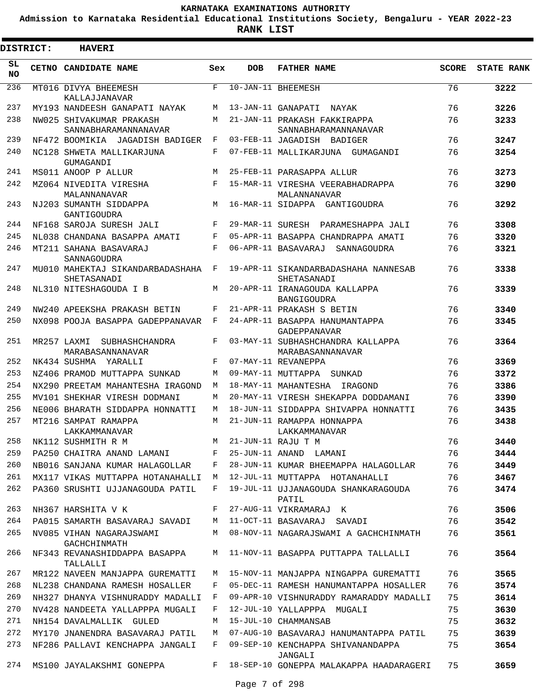**Admission to Karnataka Residential Educational Institutions Society, Bengaluru - YEAR 2022-23**

|                 | <b>DISTRICT:</b> | <b>HAVERI</b>                                           |            |            |                                                                     |              |                   |
|-----------------|------------------|---------------------------------------------------------|------------|------------|---------------------------------------------------------------------|--------------|-------------------|
| SL<br><b>NO</b> |                  | CETNO CANDIDATE NAME                                    | Sex        | <b>DOB</b> | <b>FATHER NAME</b>                                                  | <b>SCORE</b> | <b>STATE RANK</b> |
| 236             |                  | MT016 DIVYA BHEEMESH<br>KALLAJJANAVAR                   | F          |            | 10-JAN-11 BHEEMESH                                                  | 76           | 3222              |
| 237             |                  | MY193 NANDEESH GANAPATI NAYAK                           | M          |            | 13-JAN-11 GANAPATI NAYAK                                            | 76           | 3226              |
| 238             |                  | NW025 SHIVAKUMAR PRAKASH<br>SANNABHARAMANNANAVAR        | M          |            | 21-JAN-11 PRAKASH FAKKIRAPPA<br>SANNABHARAMANNANAVAR                | 76           | 3233              |
| 239             |                  | NF472 BOOMIKIA JAGADISH BADIGER                         | $_{\rm F}$ |            | 03-FEB-11 JAGADISH BADIGER                                          | 76           | 3247              |
| 240             |                  | NC128 SHWETA MALLIKARJUNA<br>GUMAGANDI                  | F          |            | 07-FEB-11 MALLIKARJUNA GUMAGANDI                                    | 76           | 3254              |
| 241             |                  | MS011 ANOOP P ALLUR                                     | M          |            | 25-FEB-11 PARASAPPA ALLUR                                           | 76           | 3273              |
| 242             |                  | MZ064 NIVEDITA VIRESHA<br>MALANNANAVAR                  | F          |            | 15-MAR-11 VIRESHA VEERABHADRAPPA<br>MALANNANAVAR                    | 76           | 3290              |
| 243             |                  | NJ203 SUMANTH SIDDAPPA<br>GANTIGOUDRA                   | M          |            | 16-MAR-11 SIDAPPA GANTIGOUDRA                                       | 76           | 3292              |
| 244             |                  | NF168 SAROJA SURESH JALI                                | F          |            | 29-MAR-11 SURESH PARAMESHAPPA JALI                                  | 76           | 3308              |
| 245             |                  | NL038 CHANDANA BASAPPA AMATI                            | F          |            | 05-APR-11 BASAPPA CHANDRAPPA AMATI                                  | 76           | 3320              |
| 246             |                  | MT211 SAHANA BASAVARAJ<br>SANNAGOUDRA                   | F          |            | 06-APR-11 BASAVARAJ SANNAGOUDRA                                     | 76           | 3321              |
| 247             |                  | MU010 MAHEKTAJ SIKANDARBADASHAHA<br>SHETASANADI         | F          |            | 19-APR-11 SIKANDARBADASHAHA NANNESAB<br>SHETASANADI                 | 76           | 3338              |
| 248             |                  | NL310 NITESHAGOUDA I B                                  | M          |            | 20-APR-11 IRANAGOUDA KALLAPPA<br><b>BANGIGOUDRA</b>                 | 76           | 3339              |
| 249             |                  | NW240 APEEKSHA PRAKASH BETIN                            | F          |            | 21-APR-11 PRAKASH S BETIN                                           | 76           | 3340              |
| 250             |                  | NX098 POOJA BASAPPA GADEPPANAVAR                        | F          |            | 24-APR-11 BASAPPA HANUMANTAPPA<br>GADEPPANAVAR                      | 76           | 3345              |
| 251             |                  | MR257 LAXMI SUBHASHCHANDRA<br>MARABASANNANAVAR          | F          |            | 03-MAY-11 SUBHASHCHANDRA KALLAPPA<br>MARABASANNANAVAR               | 76           | 3364              |
| 252             |                  | NK434 SUSHMA YARALLI                                    | F          |            | 07-MAY-11 REVANEPPA                                                 | 76           | 3369              |
| 253             |                  | NZ406 PRAMOD MUTTAPPA SUNKAD                            | М          |            | 09-MAY-11 MUTTAPPA SUNKAD                                           | 76           | 3372              |
| 254             |                  | NX290 PREETAM MAHANTESHA IRAGOND                        | M          |            | 18-MAY-11 MAHANTESHA IRAGOND                                        | 76           | 3386              |
| 255             |                  | MV101 SHEKHAR VIRESH DODMANI                            | М          |            | 20-MAY-11 VIRESH SHEKAPPA DODDAMANI                                 | 76           | 3390              |
| 256<br>257      |                  | NE006 BHARATH SIDDAPPA HONNATTI<br>MT216 SAMPAT RAMAPPA | М<br>M     |            | 18-JUN-11 SIDDAPPA SHIVAPPA HONNATTI                                | 76<br>76     | 3435              |
| 258             |                  | LAKKAMMANAVAR                                           |            |            | 21-JUN-11 RAMAPPA HONNAPPA<br>LAKKAMMANAVAR<br>M 21-JUN-11 RAJU T M | 76           | 3438<br>3440      |
| 259             |                  | NK112 SUSHMITH R M<br>PA250 CHAITRA ANAND LAMANI        | F          |            | 25-JUN-11 ANAND LAMANI                                              | 76           | 3444              |
| 260             |                  | NB016 SANJANA KUMAR HALAGOLLAR                          | F          |            | 28-JUN-11 KUMAR BHEEMAPPA HALAGOLLAR                                | 76           | 3449              |
| 261             |                  | MX117 VIKAS MUTTAPPA HOTANAHALLI                        | M          |            | 12-JUL-11 MUTTAPPA HOTANAHALLI                                      | 76           | 3467              |
| 262             |                  | PA360 SRUSHTI UJJANAGOUDA PATIL                         | F          |            | 19-JUL-11 UJJANAGOUDA SHANKARAGOUDA<br>PATIL                        | 76           | 3474              |
| 263             |                  | NH367 HARSHITA V K                                      | F          |            | 27-AUG-11 VIKRAMARAJ K                                              | 76           | 3506              |
| 264             |                  | PA015 SAMARTH BASAVARAJ SAVADI                          | M          |            | 11-OCT-11 BASAVARAJ SAVADI                                          | 76           | 3542              |
| 265             |                  | NV085 VIHAN NAGARAJSWAMI<br>GACHCHINMATH                | M          |            | 08-NOV-11 NAGARAJSWAMI A GACHCHINMATH                               | 76           | 3561              |
| 266             |                  | NF343 REVANASHIDDAPPA BASAPPA<br>TALLALLI               | М          |            | 11-NOV-11 BASAPPA PUTTAPPA TALLALLI                                 | 76           | 3564              |
| 267             |                  | MR122 NAVEEN MANJAPPA GUREMATTI                         | М          |            | 15-NOV-11 MANJAPPA NINGAPPA GUREMATTI                               | 76           | 3565              |
| 268             |                  | NL238 CHANDANA RAMESH HOSALLER                          | F          |            | 05-DEC-11 RAMESH HANUMANTAPPA HOSALLER                              | 76           | 3574              |
| 269             |                  | NH327 DHANYA VISHNURADDY MADALLI                        | F          |            | 09-APR-10 VISHNURADDY RAMARADDY MADALLI                             | 75           | 3614              |
| 270             |                  | NV428 NANDEETA YALLAPPPA MUGALI                         | F          |            | 12-JUL-10 YALLAPPPA MUGALI                                          | 75           | 3630              |
| 271             |                  | NH154 DAVALMALLIK GULED                                 | M          |            | 15-JUL-10 CHAMMANSAB                                                | 75           | 3632              |
| 272             |                  | MY170 JNANENDRA BASAVARAJ PATIL                         | М          |            | 07-AUG-10 BASAVARAJ HANUMANTAPPA PATIL                              | 75           | 3639              |
| 273             |                  | NF286 PALLAVI KENCHAPPA JANGALI                         | F          |            | 09-SEP-10 KENCHAPPA SHIVANANDAPPA<br>JANGALI                        | 75           | 3654              |
| 274             |                  | MS100 JAYALAKSHMI GONEPPA                               | F          |            | 18-SEP-10 GONEPPA MALAKAPPA HAADARAGERI                             | 75           | 3659              |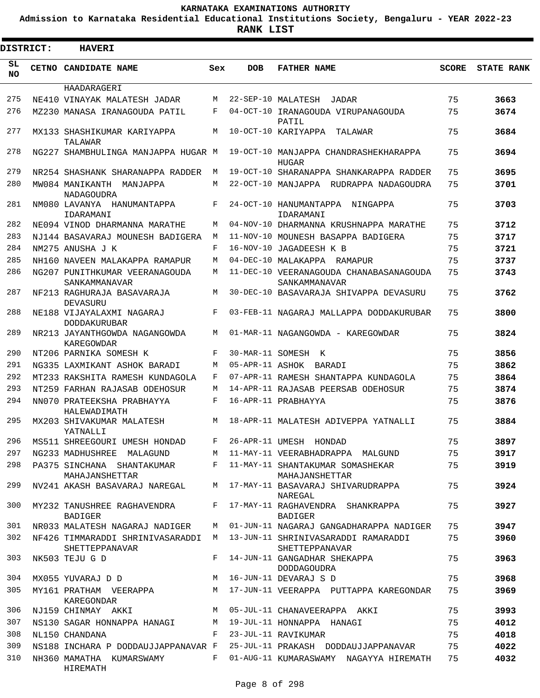**Admission to Karnataka Residential Educational Institutions Society, Bengaluru - YEAR 2022-23**

 $\blacksquare$ 

**RANK LIST**

|            | <b>DISTRICT:</b> | <b>HAVERI</b>                                      |     |                 |                                                          |              |                   |
|------------|------------------|----------------------------------------------------|-----|-----------------|----------------------------------------------------------|--------------|-------------------|
| SL.<br>NO. |                  | CETNO CANDIDATE NAME                               | Sex | <b>DOB</b>      | <b>FATHER NAME</b>                                       | <b>SCORE</b> | <b>STATE RANK</b> |
|            |                  | HAADARAGERI                                        |     |                 |                                                          |              |                   |
| 275        |                  | NE410 VINAYAK MALATESH JADAR                       | M   |                 | 22-SEP-10 MALATESH<br>JADAR                              | 75           | 3663              |
| 276        |                  | MZ230 MANASA IRANAGOUDA PATIL                      | F   |                 | 04-OCT-10 IRANAGOUDA VIRUPANAGOUDA<br>PATIL              | 75           | 3674              |
| 277        |                  | MX133 SHASHIKUMAR KARIYAPPA<br>TALAWAR             | М   |                 | 10-OCT-10 KARIYAPPA<br>TALAWAR                           | 75           | 3684              |
| 278        |                  | NG227 SHAMBHULINGA MANJAPPA HUGAR M                |     |                 | 19-OCT-10 MANJAPPA CHANDRASHEKHARAPPA<br><b>HUGAR</b>    | 75           | 3694              |
| 279        |                  | NR254 SHASHANK SHARANAPPA RADDER                   | М   |                 | 19-OCT-10 SHARANAPPA SHANKARAPPA RADDER                  | 75           | 3695              |
| 280        |                  | MW084 MANIKANTH MANJAPPA<br>NADAGOUDRA             | M   |                 | 22-OCT-10 MANJAPPA RUDRAPPA NADAGOUDRA                   | 75           | 3701              |
| 281        |                  | NM080 LAVANYA HANUMANTAPPA<br>IDARAMANI            | F   |                 | 24-OCT-10 HANUMANTAPPA NINGAPPA<br>IDARAMANI             | 75           | 3703              |
| 282        |                  | NE094 VINOD DHARMANNA MARATHE                      | M   |                 | 04-NOV-10 DHARMANNA KRUSHNAPPA MARATHE                   | 75           | 3712              |
| 283        |                  | NJ144 BASAVARAJ MOUNESH BADIGERA                   | M   |                 | 11-NOV-10 MOUNESH BASAPPA BADIGERA                       | 75           | 3717              |
| 284        |                  | NM275 ANUSHA J K                                   | F   |                 | 16-NOV-10 JAGADEESH K B                                  | 75           | 3721              |
| 285        |                  | NH160 NAVEEN MALAKAPPA RAMAPUR                     | M   |                 | 04-DEC-10 MALAKAPPA RAMAPUR                              | 75           | 3737              |
| 286        |                  | NG207 PUNITHKUMAR VEERANAGOUDA<br>SANKAMMANAVAR    | M   |                 | 11-DEC-10 VEERANAGOUDA CHANABASANAGOUDA<br>SANKAMMANAVAR | 75           | 3743              |
| 287        |                  | NF213 RAGHURAJA BASAVARAJA<br>DEVASURU             | M   |                 | 30-DEC-10 BASAVARAJA SHIVAPPA DEVASURU                   | 75           | 3762              |
| 288        |                  | NE188 VIJAYALAXMI NAGARAJ<br><b>DODDAKURUBAR</b>   | F   |                 | 03-FEB-11 NAGARAJ MALLAPPA DODDAKURUBAR                  | 75           | 3800              |
| 289        |                  | NR213 JAYANTHGOWDA NAGANGOWDA<br>KAREGOWDAR        | M   |                 | 01-MAR-11 NAGANGOWDA - KAREGOWDAR                        | 75           | 3824              |
| 290        |                  | NT206 PARNIKA SOMESH K                             | F   |                 | 30-MAR-11 SOMESH K                                       | 75           | 3856              |
| 291        |                  | NG335 LAXMIKANT ASHOK BARADI                       | M   | 05-APR-11 ASHOK | BARADI                                                   | 75           | 3862              |
| 292        |                  | MT233 RAKSHITA RAMESH KUNDAGOLA                    | F   |                 | 07-APR-11 RAMESH SHANTAPPA KUNDAGOLA                     | 75           | 3864              |
| 293        |                  | NT259 FARHAN RAJASAB ODEHOSUR                      | M   |                 | 14-APR-11 RAJASAB PEERSAB ODEHOSUR                       | 75           | 3874              |
| 294        |                  | NN070 PRATEEKSHA PRABHAYYA<br>HALEWADIMATH         | F   |                 | 16-APR-11 PRABHAYYA                                      | 75           | 3876              |
| 295        |                  | MX203 SHIVAKUMAR MALATESH<br>YATNALLI              | М   |                 | 18-APR-11 MALATESH ADIVEPPA YATNALLI                     | 75           | 3884              |
| 296        |                  | MS511 SHREEGOURI UMESH HONDAD                      |     |                 | 26-APR-11 UMESH HONDAD                                   | 75           | 3897              |
| 297        |                  | NG233 MADHUSHREE MALAGUND                          | M   |                 | 11-MAY-11 VEERABHADRAPPA MALGUND                         | 75           | 3917              |
| 298        |                  | PA375 SINCHANA SHANTAKUMAR<br>MAHAJANSHETTAR       | F   |                 | 11-MAY-11 SHANTAKUMAR SOMASHEKAR<br>MAHAJANSHETTAR       | 75           | 3919              |
| 299        |                  | NV241 AKASH BASAVARAJ NAREGAL                      | M   |                 | 17-MAY-11 BASAVARAJ SHIVARUDRAPPA<br>NAREGAL             | 75           | 3924              |
| 300        |                  | MY232 TANUSHREE RAGHAVENDRA<br><b>BADIGER</b>      | F   |                 | 17-MAY-11 RAGHAVENDRA SHANKRAPPA<br>BADIGER              | 75           | 3927              |
| 301        |                  | NR033 MALATESH NAGARAJ NADIGER                     | М   |                 | 01-JUN-11 NAGARAJ GANGADHARAPPA NADIGER                  | 75           | 3947              |
| 302        |                  | NF426 TIMMARADDI SHRINIVASARADDI<br>SHETTEPPANAVAR | M   |                 | 13-JUN-11 SHRINIVASARADDI RAMARADDI<br>SHETTEPPANAVAR    | 75           | 3960              |
| 303        |                  | NK503 TEJU G D                                     | F   |                 | 14-JUN-11 GANGADHAR SHEKAPPA<br><b>DODDAGOUDRA</b>       | 75           | 3963              |
| 304        |                  | MX055 YUVARAJ D D                                  | М   |                 | 16-JUN-11 DEVARAJ S D                                    | 75           | 3968              |
| 305        |                  | MY161 PRATHAM VEERAPPA<br>KAREGONDAR               | M   |                 | 17-JUN-11 VEERAPPA PUTTAPPA KAREGONDAR                   | 75           | 3969              |
| 306        |                  | NJ159 CHINMAY AKKI                                 | M   |                 | 05-JUL-11 CHANAVEERAPPA AKKI                             | 75           | 3993              |
| 307        |                  | NS130 SAGAR HONNAPPA HANAGI                        | M   |                 | 19-JUL-11 HONNAPPA HANAGI                                | 75           | 4012              |
| 308        |                  | NL150 CHANDANA                                     | F   |                 | 23-JUL-11 RAVIKUMAR                                      | 75           | 4018              |
| 309        |                  | NS188 INCHARA P DODDAUJJAPPANAVAR F                |     |                 | 25-JUL-11 PRAKASH DODDAUJJAPPANAVAR                      | 75           | 4022              |
| 310        |                  | NH360 MAMATHA KUMARSWAMY<br>HIREMATH               | F   |                 | 01-AUG-11 KUMARASWAMY NAGAYYA HIREMATH                   | 75           | 4032              |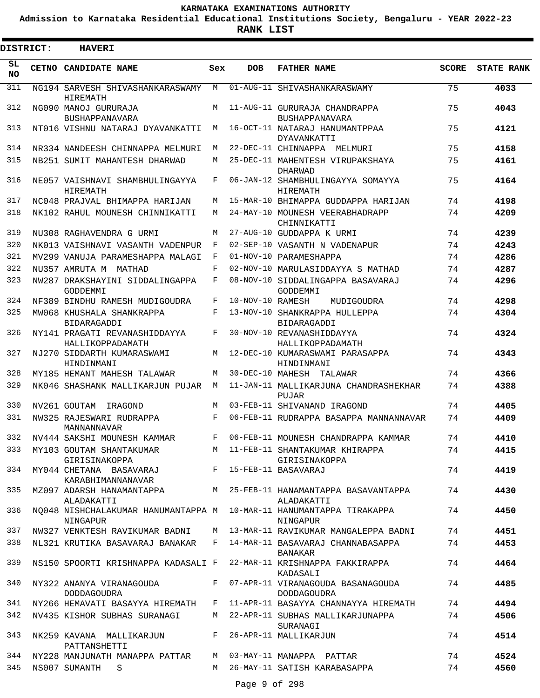**Admission to Karnataka Residential Educational Institutions Society, Bengaluru - YEAR 2022-23**

| <b>DISTRICT:</b> | <b>HAVERI</b>                                                          |     |                  |                                                                                  |              |                   |
|------------------|------------------------------------------------------------------------|-----|------------------|----------------------------------------------------------------------------------|--------------|-------------------|
| SL<br><b>NO</b>  | CETNO CANDIDATE NAME                                                   | Sex | <b>DOB</b>       | <b>FATHER NAME</b>                                                               | <b>SCORE</b> | <b>STATE RANK</b> |
| 311              | NG194 SARVESH SHIVASHANKARASWAMY<br>HIREMATH                           | M   |                  | 01-AUG-11 SHIVASHANKARASWAMY                                                     | 75           | 4033              |
| 312              | NG090 MANOJ GURURAJA<br>BUSHAPPANAVARA                                 | M   |                  | 11-AUG-11 GURURAJA CHANDRAPPA<br>BUSHAPPANAVARA                                  | 75           | 4043              |
| 313              | NT016 VISHNU NATARAJ DYAVANKATTI                                       | M   |                  | 16-OCT-11 NATARAJ HANUMANTPPAA<br>DYAVANKATTI                                    | 75           | 4121              |
| 314              | NR334 NANDEESH CHINNAPPA MELMURI                                       | M   |                  | 22-DEC-11 CHINNAPPA MELMURI                                                      | 75           | 4158              |
| 315              | NB251 SUMIT MAHANTESH DHARWAD                                          | M   |                  | 25-DEC-11 MAHENTESH VIRUPAKSHAYA<br>DHARWAD                                      | 75           | 4161              |
| 316              | NE057 VAISHNAVI SHAMBHULINGAYYA<br>HIREMATH                            | F   |                  | 06-JAN-12 SHAMBHULINGAYYA SOMAYYA<br>HIREMATH                                    | 75           | 4164              |
| 317              | NC048 PRAJVAL BHIMAPPA HARIJAN                                         | М   |                  | 15-MAR-10 BHIMAPPA GUDDAPPA HARIJAN                                              | 74           | 4198              |
| 318              | NK102 RAHUL MOUNESH CHINNIKATTI                                        | M   |                  | 24-MAY-10 MOUNESH VEERABHADRAPP<br>CHINNIKATTI                                   | 74           | 4209              |
| 319              | NU308 RAGHAVENDRA G URMI                                               | М   |                  | 27-AUG-10 GUDDAPPA K URMI                                                        | 74           | 4239              |
| 320              | NK013 VAISHNAVI VASANTH VADENPUR                                       | F   |                  | 02-SEP-10 VASANTH N VADENAPUR                                                    | 74           | 4243              |
| 321              | MV299 VANUJA PARAMESHAPPA MALAGI                                       | F   |                  | 01-NOV-10 PARAMESHAPPA                                                           | 74           | 4286              |
| 322              | NU357 AMRUTA M MATHAD                                                  | F   |                  | 02-NOV-10 MARULASIDDAYYA S MATHAD                                                | 74           | 4287              |
| 323              | NW287 DRAKSHAYINI SIDDALINGAPPA<br>GODDEMMI                            | F   |                  | 08-NOV-10 SIDDALINGAPPA BASAVARAJ<br>GODDEMMI                                    | 74           | 4296              |
| 324              | NF389 BINDHU RAMESH MUDIGOUDRA                                         | F   | 10-NOV-10 RAMESH | MUDIGOUDRA                                                                       | 74           | 4298              |
| 325              | MW068 KHUSHALA SHANKRAPPA<br>BIDARAGADDI                               | F   |                  | 13-NOV-10 SHANKRAPPA HULLEPPA<br><b>BIDARAGADDI</b>                              | 74           | 4304              |
| 326              | NY141 PRAGATI REVANASHIDDAYYA<br>HALLIKOPPADAMATH                      | F   |                  | 30-NOV-10 REVANASHIDDAYYA<br>HALLIKOPPADAMATH                                    | 74           | 4324              |
| 327              | NJ270 SIDDARTH KUMARASWAMI<br>HINDINMANI                               | М   |                  | 12-DEC-10 KUMARASWAMI PARASAPPA<br>HINDINMANI                                    | 74           | 4343              |
| 328              | MY185 HEMANT MAHESH TALAWAR                                            | M   |                  | 30-DEC-10 MAHESH TALAWAR                                                         | 74           | 4366              |
| 329              | NK046 SHASHANK MALLIKARJUN PUJAR                                       | M   |                  | 11-JAN-11 MALLIKARJUNA CHANDRASHEKHAR<br>PUJAR                                   | 74           | 4388              |
| 330              | NV261 GOUTAM IRAGOND                                                   | M   |                  | 03-FEB-11 SHIVANAND IRAGOND                                                      | 74           | 4405              |
| 331              | NW325 RAJESWARI RUDRAPPA<br>MANNANNAVAR                                | F   |                  | 06-FEB-11 RUDRAPPA BASAPPA MANNANNAVAR                                           | 74           | 4409              |
| 332              | NV444 SAKSHI MOUNESH KAMMAR                                            | F   |                  | 06-FEB-11 MOUNESH CHANDRAPPA KAMMAR                                              | 74           | 4410              |
|                  | GIRISINAKOPPA                                                          |     |                  | 333 MY103 GOUTAM SHANTAKUMAR M 11-FEB-11 SHANTAKUMAR KHIRAPPA<br>GIRISINAKOPPA   | 74           | 4415              |
|                  | 334 MY044 CHETANA BASAVARAJ F 15-FEB-11 BASAVARAJ<br>KARABHIMANNANAVAR |     |                  |                                                                                  | 74           | 4419              |
| 335              | ALADAKATTI                                                             |     |                  | MZ097 ADARSH HANAMANTAPPA M 25-FEB-11 HANAMANTAPPA BASAVANTAPPA<br>ALADAKATTI    | 74           | 4430              |
| 336              | NINGAPUR                                                               |     |                  | NO048 NISHCHALAKUMAR HANUMANTAPPA M 10-MAR-11 HANUMANTAPPA TIRAKAPPA<br>NINGAPUR | 74           | 4450              |
| 337              |                                                                        |     |                  | NW327 VENKTESH RAVIKUMAR BADNI M 13-MAR-11 RAVIKUMAR MANGALEPPA BADNI            | 74           | 4451              |
| 338              |                                                                        |     |                  | NL321 KRUTIKA BASAVARAJ BANAKAR F 14-MAR-11 BASAVARAJ CHANNABASAPPA<br>BANAKAR   | 74           | 4453              |
| 339              |                                                                        |     |                  | NS150 SPOORTI KRISHNAPPA KADASALI F 22-MAR-11 KRISHNAPPA FAKKIRAPPA<br>KADASALI  | 74           | 4464              |
| 340              | DODDAGOUDRA                                                            |     |                  | NY322 ANANYA VIRANAGOUDA F 07-APR-11 VIRANAGOUDA BASANAGOUDA<br>DODDAGOUDRA      | 74           | 4485              |
| 341              |                                                                        |     |                  | NY266 HEMAVATI BASAYYA HIREMATH   F   11-APR-11 BASAYYA CHANNAYYA HIREMATH       | 74           | 4494              |
| 342              |                                                                        |     |                  | NV435 KISHOR SUBHAS SURANAGI M 22-APR-11 SUBHAS MALLIKARJUNAPPA<br>SURANAGI      | 74           | 4506              |
| 343              | NK259 KAVANA MALLIKARJUN F 26-APR-11 MALLIKARJUN<br>PATTANSHETTI       |     |                  |                                                                                  | 74           | 4514              |
|                  | 344 NY228 MANJUNATH MANAPPA PATTAR M 03-MAY-11 MANAPPA PATTAR          |     |                  |                                                                                  | 74           | 4524              |
| 345              | NS007 SUMANTH S                                                        |     |                  | M 26-MAY-11 SATISH KARABASAPPA                                                   | 74           | 4560              |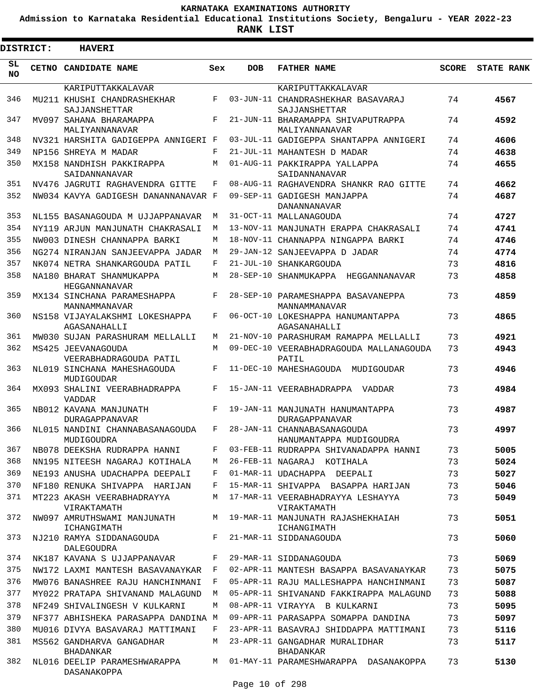**Admission to Karnataka Residential Educational Institutions Society, Bengaluru - YEAR 2022-23**

**RANK LIST**

Е

| <b>DISTRICT:</b> | <b>HAVERI</b>                                         |         |            |                                                          |       |                   |
|------------------|-------------------------------------------------------|---------|------------|----------------------------------------------------------|-------|-------------------|
| SL.<br>NO.       | CETNO CANDIDATE NAME                                  | Sex     | <b>DOB</b> | <b>FATHER NAME</b>                                       | SCORE | <b>STATE RANK</b> |
|                  | KARIPUTTAKKALAVAR                                     |         |            | KARIPUTTAKKALAVAR                                        |       |                   |
| 346              | MU211 KHUSHI CHANDRASHEKHAR<br>SAJJANSHETTAR          | F       |            | 03-JUN-11 CHANDRASHEKHAR BASAVARAJ<br>SAJJANSHETTAR      | 74    | 4567              |
| 347              | MV097 SAHANA BHARAMAPPA                               | F       |            | 21-JUN-11 BHARAMAPPA SHIVAPUTRAPPA                       | 74    | 4592              |
| 348              | MALIYANNANAVAR<br>NV321 HARSHITA GADIGEPPA ANNIGERI F |         |            | MALIYANNANAVAR<br>03-JUL-11 GADIGEPPA SHANTAPPA ANNIGERI | 74    | 4606              |
| 349              | NP156 SHREYA M MADAR                                  | F       |            | 21-JUL-11 MAHANTESH D MADAR                              | 74    | 4638              |
| 350              | MX158 NANDHISH PAKKIRAPPA                             | M       |            | 01-AUG-11 PAKKIRAPPA YALLAPPA                            | 74    | 4655              |
|                  | SAIDANNANAVAR                                         |         |            | SAIDANNANAVAR                                            |       |                   |
| 351              | NV476 JAGRUTI RAGHAVENDRA GITTE                       | F       |            | 08-AUG-11 RAGHAVENDRA SHANKR RAO GITTE                   | 74    | 4662              |
| 352              | NW034 KAVYA GADIGESH DANANNANAVAR F                   |         |            | 09-SEP-11 GADIGESH MANJAPPA<br>DANANNANAVAR              | 74    | 4687              |
| 353              | NL155 BASANAGOUDA M UJJAPPANAVAR                      | M       |            | 31-OCT-11 MALLANAGOUDA                                   | 74    | 4727              |
| 354              | NY119 ARJUN MANJUNATH CHAKRASALI                      | M       |            | 13-NOV-11 MANJUNATH ERAPPA CHAKRASALI                    | 74    | 4741              |
| 355              | NW003 DINESH CHANNAPPA BARKI                          | M       |            | 18-NOV-11 CHANNAPPA NINGAPPA BARKI                       | 74    | 4746              |
| 356              | NG274 NIRANJAN SANJEEVAPPA JADAR                      | M       |            | 29-JAN-12 SANJEEVAPPA D JADAR                            | 74    | 4774              |
| 357              | NK074 NETRA SHANKARGOUDA PATIL                        | F       |            | 21-JUL-10 SHANKARGOUDA                                   | 73    | 4816              |
| 358              | NA180 BHARAT SHANMUKAPPA<br>HEGGANNANAVAR             | M       |            | 28-SEP-10 SHANMUKAPPA HEGGANNANAVAR                      | 73    | 4858              |
| 359              | MX134 SINCHANA PARAMESHAPPA<br>MANNAMMANAVAR          | F       |            | 28-SEP-10 PARAMESHAPPA BASAVANEPPA<br>MANNAMMANAVAR      | 73    | 4859              |
| 360              | NS158 VIJAYALAKSHMI LOKESHAPPA<br>AGASANAHALLI        | F       |            | 06-OCT-10 LOKESHAPPA HANUMANTAPPA<br>AGASANAHALLI        | 73    | 4865              |
| 361              | MW030 SUJAN PARASHURAM MELLALLI                       | M       |            | 21-NOV-10 PARASHURAM RAMAPPA MELLALLI                    | 73    | 4921              |
| 362              | MS425 JEEVANAGOUDA<br>VEERABHADRAGOUDA PATIL          | M       |            | 09-DEC-10 VEERABHADRAGOUDA MALLANAGOUDA<br>PATIL         | 73    | 4943              |
| 363              | NL019 SINCHANA MAHESHAGOUDA<br>MUDIGOUDAR             | F       |            | 11-DEC-10 MAHESHAGOUDA MUDIGOUDAR                        | 73    | 4946              |
| 364              | MX093 SHALINI VEERABHADRAPPA<br><b>VADDAR</b>         | F       |            | 15-JAN-11 VEERABHADRAPPA VADDAR                          | 73    | 4984              |
| 365              | NB012 KAVANA MANJUNATH<br><b>DURAGAPPANAVAR</b>       | F       |            | 19-JAN-11 MANJUNATH HANUMANTAPPA<br>DURAGAPPANAVAR       | 73    | 4987              |
| 366              | NL015 NANDINI CHANNABASANAGOUDA<br>MUDIGOUDRA         | $F$ and |            | 28-JAN-11 CHANNABASANAGOUDA<br>HANUMANTAPPA MUDIGOUDRA   | 73    | 4997              |
| 367              | NB078 DEEKSHA RUDRAPPA HANNI                          | F       |            | 03-FEB-11 RUDRAPPA SHIVANADAPPA HANNI                    | 73    | 5005              |
| 368              | NN195 NITEESH NAGARAJ KOTIHALA                        | М       |            | 26-FEB-11 NAGARAJ KOTIHALA                               | 73    | 5024              |
| 369              | NE193 ANUSHA UDACHAPPA DEEPALI                        | F       |            | 01-MAR-11 UDACHAPPA DEEPALI                              | 73    | 5027              |
| 370              | NF180 RENUKA SHIVAPPA HARIJAN                         | F       |            | 15-MAR-11 SHIVAPPA BASAPPA HARIJAN                       | 73    | 5046              |
| 371              | MT223 AKASH VEERABHADRAYYA<br>VIRAKTAMATH             | M       |            | 17-MAR-11 VEERABHADRAYYA LESHAYYA<br>VIRAKTAMATH         | 73    | 5049              |
| 372              | NW097 AMRUTHSWAMI MANJUNATH<br>ICHANGIMATH            | M       |            | 19-MAR-11 MANJUNATH RAJASHEKHAIAH<br>ICHANGIMATH         | 73    | 5051              |
| 373              | NJ210 RAMYA SIDDANAGOUDA<br><b>DALEGOUDRA</b>         | F       |            | 21-MAR-11 SIDDANAGOUDA                                   | 73    | 5060              |
| 374              | NK187 KAVANA S UJJAPPANAVAR                           | F       |            | 29-MAR-11 SIDDANAGOUDA                                   | 73    | 5069              |
| 375              | NW172 LAXMI MANTESH BASAVANAYKAR                      | F       |            | 02-APR-11 MANTESH BASAPPA BASAVANAYKAR                   | 73    | 5075              |
| 376              | MW076 BANASHREE RAJU HANCHINMANI                      | F       |            | 05-APR-11 RAJU MALLESHAPPA HANCHINMANI                   | 73    | 5087              |
| 377              | MY022 PRATAPA SHIVANAND MALAGUND                      | M       |            | 05-APR-11 SHIVANAND FAKKIRAPPA MALAGUND                  | 73    | 5088              |
| 378              | NF249 SHIVALINGESH V KULKARNI                         | M       |            | 08-APR-11 VIRAYYA B KULKARNI                             | 73    | 5095              |
| 379              | NF377 ABHISHEKA PARASAPPA DANDINA M                   |         |            | 09-APR-11 PARASAPPA SOMAPPA DANDINA                      | 73    | 5097              |
| 380              | MU016 DIVYA BASAVARAJ MATTIMANI                       | F       |            | 23-APR-11 BASAVRAJ SHIDDAPPA MATTIMANI                   | 73    | 5116              |
| 381              | MS562 GANDHARVA GANGADHAR<br><b>BHADANKAR</b>         | M       |            | 23-APR-11 GANGADHAR MURALIDHAR<br>BHADANKAR              | 73    | 5117              |
| 382              | NL016 DEELIP PARAMESHWARAPPA<br>DASANAKOPPA           | M       |            | 01-MAY-11 PARAMESHWARAPPA DASANAKOPPA                    | 73    | 5130              |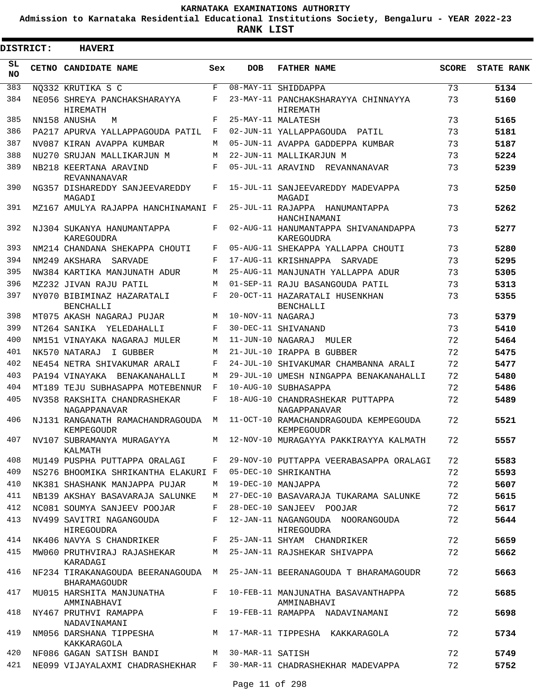**Admission to Karnataka Residential Educational Institutions Society, Bengaluru - YEAR 2022-23**

**RANK LIST**

| <b>DISTRICT:</b> | <b>HAVERI</b>                                                          |            |                   |                                                            |              |                   |
|------------------|------------------------------------------------------------------------|------------|-------------------|------------------------------------------------------------|--------------|-------------------|
| SL<br><b>NO</b>  | CETNO CANDIDATE NAME                                                   | Sex        | <b>DOB</b>        | <b>FATHER NAME</b>                                         | <b>SCORE</b> | <b>STATE RANK</b> |
| 383              | NO332 KRUTIKA S C                                                      | $_{\rm F}$ |                   | 08-MAY-11 SHIDDAPPA                                        | 73           | 5134              |
| 384              | NE056 SHREYA PANCHAKSHARAYYA<br>HIREMATH                               | F          |                   | 23-MAY-11 PANCHAKSHARAYYA CHINNAYYA<br>HIREMATH            | 73           | 5160              |
| 385              | NN158 ANUSHA<br>M                                                      | F          |                   | 25-MAY-11 MALATESH                                         | 73           | 5165              |
| 386              | PA217 APURVA YALLAPPAGOUDA PATIL                                       | F          |                   | 02-JUN-11 YALLAPPAGOUDA PATIL                              | 73           | 5181              |
| 387              | NV087 KIRAN AVAPPA KUMBAR                                              | М          |                   | 05-JUN-11 AVAPPA GADDEPPA KUMBAR                           | 73           | 5187              |
| 388              | NU270 SRUJAN MALLIKARJUN M                                             | M          |                   | 22-JUN-11 MALLIKARJUN M                                    | 73           | 5224              |
| 389              | NB218 KEERTANA ARAVIND<br>REVANNANAVAR                                 | $_{\rm F}$ |                   | 05-JUL-11 ARAVIND REVANNANAVAR                             | 73           | 5239              |
| 390              | NG357 DISHAREDDY SANJEEVAREDDY<br>MAGADI                               | F          |                   | 15-JUL-11 SANJEEVAREDDY MADEVAPPA<br>MAGADI                | 73           | 5250              |
| 391              | MZ167 AMULYA RAJAPPA HANCHINAMANI F                                    |            |                   | 25-JUL-11 RAJAPPA HANUMANTAPPA<br>HANCHINAMANI             | 73           | 5262              |
| 392              | NJ304 SUKANYA HANUMANTAPPA<br><b>KAREGOUDRA</b>                        | F          |                   | 02-AUG-11 HANUMANTAPPA SHIVANANDAPPA<br><b>KAREGOUDRA</b>  | 73           | 5277              |
| 393              | NM214 CHANDANA SHEKAPPA CHOUTI                                         | F          |                   | 05-AUG-11 SHEKAPPA YALLAPPA CHOUTI                         | 73           | 5280              |
| 394              | NM249 AKSHARA<br>SARVADE                                               | F          |                   | 17-AUG-11 KRISHNAPPA<br>SARVADE                            | 73           | 5295              |
| 395              | NW384 KARTIKA MANJUNATH ADUR                                           | M          |                   | 25-AUG-11 MANJUNATH YALLAPPA ADUR                          | 73           | 5305              |
| 396              | MZ232 JIVAN RAJU PATIL                                                 | M          |                   | 01-SEP-11 RAJU BASANGOUDA PATIL                            | 73           | 5313              |
| 397              | NY070 BIBIMINAZ HAZARATALI<br><b>BENCHALLI</b>                         | F          |                   | 20-OCT-11 HAZARATALI HUSENKHAN<br><b>BENCHALLI</b>         | 73           | 5355              |
| 398              | MT075 AKASH NAGARAJ PUJAR                                              | M          | 10-NOV-11 NAGARAJ |                                                            | 73           | 5379              |
| 399              | NT264 SANIKA YELEDAHALLI                                               | F          |                   | 30-DEC-11 SHIVANAND                                        | 73           | 5410              |
| 400              | NM151 VINAYAKA NAGARAJ MULER                                           | М          | 11-JUN-10 NAGARAJ | MULER                                                      | 72           | 5464              |
| 401              | NK570 NATARAJ<br>I GUBBER                                              | M          |                   | 21-JUL-10 IRAPPA B GUBBER                                  | 72           | 5475              |
| 402              | NE454 NETRA SHIVAKUMAR ARALI                                           | F          |                   | 24-JUL-10 SHIVAKUMAR CHAMBANNA ARALI                       | 72           | 5477              |
| 403              | PA194 VINAYAKA BENAKANAHALLI                                           | М          |                   | 29-JUL-10 UMESH NINGAPPA BENAKANAHALLI                     | 72           | 5480              |
| 404              | MT189 TEJU SUBHASAPPA MOTEBENNUR                                       | F          |                   | 10-AUG-10 SUBHASAPPA                                       | 72           | 5486              |
| 405              | NV358 RAKSHITA CHANDRASHEKAR<br>NAGAPPANAVAR                           | F          |                   | 18-AUG-10 CHANDRASHEKAR PUTTAPPA<br>NAGAPPANAVAR           | 72           | 5489              |
| 406              | NJ131 RANGANATH RAMACHANDRAGOUDA<br>KEMPEGOUDR                         | М          |                   | 11-OCT-10 RAMACHANDRAGOUDA KEMPEGOUDA<br><b>KEMPEGOUDR</b> | 72           | 5521              |
| 407              | NV107 SUBRAMANYA MURAGAYYA<br>KALMATH                                  | M          |                   | 12-NOV-10 MURAGAYYA PAKKIRAYYA KALMATH                     | 72           | 5557              |
| 408              | MU149 PUSPHA PUTTAPPA ORALAGI                                          | F          |                   | 29-NOV-10 PUTTAPPA VEERABASAPPA ORALAGI                    | 72           | 5583              |
| 409              | NS276 BHOOMIKA SHRIKANTHA ELAKURI F                                    |            |                   | 05-DEC-10 SHRIKANTHA                                       | 72           | 5593              |
| 410              | NK381 SHASHANK MANJAPPA PUJAR                                          | M          |                   | 19-DEC-10 MANJAPPA                                         | 72           | 5607              |
| 411              | NB139 AKSHAY BASAVARAJA SALUNKE                                        | M          |                   | 27-DEC-10 BASAVARAJA TUKARAMA SALUNKE                      | 72           | 5615              |
| 412              | NC081 SOUMYA SANJEEV POOJAR                                            | F          |                   | 28-DEC-10 SANJEEV POOJAR                                   | 72           | 5617              |
| 413              | NV499 SAVITRI NAGANGOUDA<br>HIREGOUDRA                                 | F          |                   | 12-JAN-11 NAGANGOUDA NOORANGOUDA<br>HIREGOUDRA             | 72           | 5644              |
| 414              | NK406 NAVYA S CHANDRIKER                                               | $F$ and    |                   | 25-JAN-11 SHYAM CHANDRIKER                                 | 72           | 5659              |
| 415              | MW060 PRUTHVIRAJ RAJASHEKAR<br>KARADAGI                                |            |                   | M 25-JAN-11 RAJSHEKAR SHIVAPPA                             | 72           | 5662              |
| 416              | NF234 TIRAKANAGOUDA BEERANAGOUDA M<br><b>BHARAMAGOUDR</b>              |            |                   | 25-JAN-11 BEERANAGOUDA T BHARAMAGOUDR                      | 72           | 5663              |
| 417              | MU015 HARSHITA MANJUNATHA<br>AMMINABHAVI                               |            |                   | F 10-FEB-11 MANJUNATHA BASAVANTHAPPA<br>AMMINABHAVI        | 72           | 5685              |
| 418              | NY467 PRUTHVI RAMAPPA<br>NADAVINAMANI                                  | $F$ –      |                   | 19-FEB-11 RAMAPPA NADAVINAMANI                             | 72           | 5698              |
| 419              | NM056 DARSHANA TIPPESHA<br>KAKKARAGOLA                                 |            |                   | M 17-MAR-11 TIPPESHA KAKKARAGOLA                           | 72           | 5734              |
| 420              | NF086 GAGAN SATISH BANDI M 30-MAR-11 SATISH                            |            |                   |                                                            | 72           | 5749              |
| 421              | NE099 VIJAYALAXMI CHADRASHEKHAR   F  30-MAR-11 CHADRASHEKHAR MADEVAPPA |            |                   |                                                            | 72           | 5752              |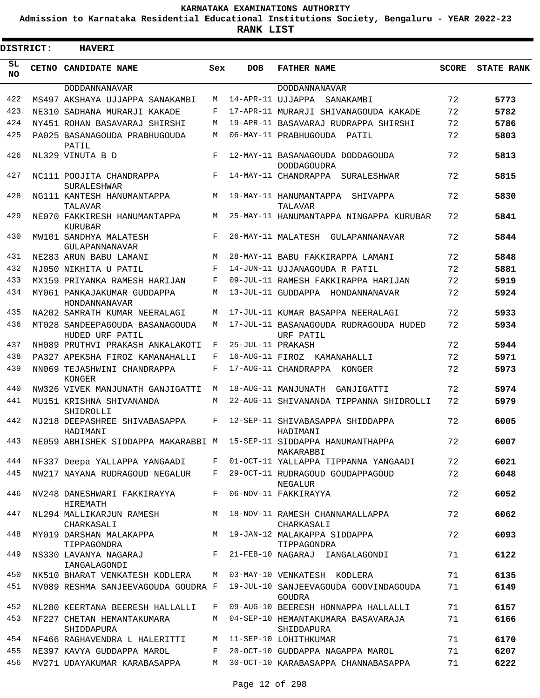**Admission to Karnataka Residential Educational Institutions Society, Bengaluru - YEAR 2022-23**

| <b>DISTRICT:</b> | <b>HAVERI</b>                                                        |       |                   |                                                        |       |                   |
|------------------|----------------------------------------------------------------------|-------|-------------------|--------------------------------------------------------|-------|-------------------|
| SL<br><b>NO</b>  | CETNO CANDIDATE NAME                                                 | Sex   | <b>DOB</b>        | <b>FATHER NAME</b>                                     | SCORE | <b>STATE RANK</b> |
|                  | DODDANNANAVAR                                                        |       |                   | <b>DODDANNANAVAR</b>                                   |       |                   |
| 422              | MS497 AKSHAYA UJJAPPA SANAKAMBI                                      | M     |                   | 14-APR-11 UJJAPPA SANAKAMBI                            | 72    | 5773              |
| 423              | NE310 SADHANA MURARJI KAKADE                                         | F     |                   | 17-APR-11 MURARJI SHIVANAGOUDA KAKADE                  | 72    | 5782              |
| 424              | NY451 ROHAN BASAVARAJ SHIRSHI                                        | М     |                   | 19-APR-11 BASAVARAJ RUDRAPPA SHIRSHI                   | 72    | 5786              |
| 425              | PA025 BASANAGOUDA PRABHUGOUDA<br>PATIL                               | М     |                   | 06-MAY-11 PRABHUGOUDA PATIL                            | 72    | 5803              |
| 426              | NL329 VINUTA B D                                                     | F     |                   | 12-MAY-11 BASANAGOUDA DODDAGOUDA<br><b>DODDAGOUDRA</b> | 72    | 5813              |
| 427              | NC111 POOJITA CHANDRAPPA<br><b>SURALESHWAR</b>                       | F     |                   | 14-MAY-11 CHANDRAPPA SURALESHWAR                       | 72    | 5815              |
| 428              | NG111 KANTESH HANUMANTAPPA<br>TALAVAR                                | M     |                   | 19-MAY-11 HANUMANTAPPA SHIVAPPA<br>TALAVAR             | 72    | 5830              |
| 429              | NE070 FAKKIRESH HANUMANTAPPA<br>KURUBAR                              | M     |                   | 25-MAY-11 HANUMANTAPPA NINGAPPA KURUBAR                | 72    | 5841              |
| 430              | MW101 SANDHYA MALATESH<br>GULAPANNANAVAR                             | F     |                   | 26-MAY-11 MALATESH GULAPANNANAVAR                      | 72    | 5844              |
| 431              | NE283 ARUN BABU LAMANI                                               | М     |                   | 28-MAY-11 BABU FAKKIRAPPA LAMANI                       | 72    | 5848              |
| 432              | NJ050 NIKHITA U PATIL                                                | F     |                   | 14-JUN-11 UJJANAGOUDA R PATIL                          | 72    | 5881              |
| 433              | MX159 PRIYANKA RAMESH HARIJAN                                        | F     |                   | 09-JUL-11 RAMESH FAKKIRAPPA HARIJAN                    | 72    | 5919              |
| 434              | MY061 PANKAJAKUMAR GUDDAPPA<br>HONDANNANAVAR                         | M     |                   | 13-JUL-11 GUDDAPPA HONDANNANAVAR                       | 72    | 5924              |
| 435              | NA202 SAMRATH KUMAR NEERALAGI                                        | М     |                   | 17-JUL-11 KUMAR BASAPPA NEERALAGI                      | 72    | 5933              |
| 436              | MT028 SANDEEPAGOUDA BASANAGOUDA<br>HUDED URF PATIL                   | M     |                   | 17-JUL-11 BASANAGOUDA RUDRAGOUDA HUDED<br>URF PATIL    | 72    | 5934              |
| 437              | NH089 PRUTHVI PRAKASH ANKALAKOTI                                     | F     | 25-JUL-11 PRAKASH |                                                        | 72    | 5944              |
| 438              | PA327 APEKSHA FIROZ KAMANAHALLI                                      | F     |                   | 16-AUG-11 FIROZ KAMANAHALLI                            | 72    | 5971              |
| 439              | NN069 TEJASHWINI CHANDRAPPA<br>KONGER                                | F     |                   | 17-AUG-11 CHANDRAPPA KONGER                            | 72    | 5973              |
| 440              | NW326 VIVEK MANJUNATH GANJIGATTI                                     | M     |                   | 18-AUG-11 MANJUNATH GANJIGATTI                         | 72    | 5974              |
| 441              | MU151 KRISHNA SHIVANANDA<br>SHIDROLLI                                | M     |                   | 22-AUG-11 SHIVANANDA TIPPANNA SHIDROLLI                | 72    | 5979              |
| 442              | NJ218 DEEPASHREE SHIVABASAPPA<br>HADIMANI                            | F     |                   | 12-SEP-11 SHIVABASAPPA SHIDDAPPA<br>HADIMANI           | 72    | 6005              |
| 443              | NE059 ABHISHEK SIDDAPPA MAKARABBI M 15-SEP-11 SIDDAPPA HANUMANTHAPPA |       |                   | MAKARABBI                                              | 72    | 6007              |
| 444              | NF337 Deepa YALLAPPA YANGAADI                                        | $F$ – |                   | 01-OCT-11 YALLAPPA TIPPANNA YANGAADI                   | 72    | 6021              |
| 445              | NW217 NAYANA RUDRAGOUD NEGALUR                                       | F     |                   | 29-OCT-11 RUDRAGOUD GOUDAPPAGOUD<br>NEGALUR            | 72    | 6048              |
| 446              | NV248 DANESHWARI FAKKIRAYYA<br>HIREMATH                              | F     |                   | 06-NOV-11 FAKKIRAYYA                                   | 72    | 6052              |
| 447              | NL294 MALLIKARJUN RAMESH<br>CHARKASALI                               | M     |                   | 18-NOV-11 RAMESH CHANNAMALLAPPA<br>CHARKASALI          | 72    | 6062              |
| 448              | MY019 DARSHAN MALAKAPPA<br>TIPPAGONDRA                               | M     |                   | 19-JAN-12 MALAKAPPA SIDDAPPA<br>TIPPAGONDRA            | 72    | 6093              |
| 449              | NS330 LAVANYA NAGARAJ<br>IANGALAGONDI                                | $F -$ |                   | 21-FEB-10 NAGARAJ IANGALAGONDI                         | 71    | 6122              |
| 450              | NK510 BHARAT VENKATESH KODLERA                                       | M     |                   | 03-MAY-10 VENKATESH KODLERA                            | 71    | 6135              |
| 451              | NV089 RESHMA SANJEEVAGOUDA GOUDRA F                                  |       |                   | 19-JUL-10 SANJEEVAGOUDA GOOVINDAGOUDA<br>GOUDRA        | 71    | 6149              |
| 452              | NL280 KEERTANA BEERESH HALLALLI                                      | F     |                   | 09-AUG-10 BEERESH HONNAPPA HALLALLI                    | 71    | 6157              |
| 453              | NF227 CHETAN HEMANTAKUMARA<br>SHIDDAPURA                             | M     |                   | 04-SEP-10 HEMANTAKUMARA BASAVARAJA<br>SHIDDAPURA       | 71    | 6166              |
| 454              | NF466 RAGHAVENDRA L HALERITTI                                        | М     |                   | 11-SEP-10 LOHITHKUMAR                                  | 71    | 6170              |
| 455              | NE397 KAVYA GUDDAPPA MAROL                                           | F     |                   | 20-OCT-10 GUDDAPPA NAGAPPA MAROL                       | 71    | 6207              |
| 456              | MV271 UDAYAKUMAR KARABASAPPA                                         | M     |                   | 30-OCT-10 KARABASAPPA CHANNABASAPPA                    | 71    | 6222              |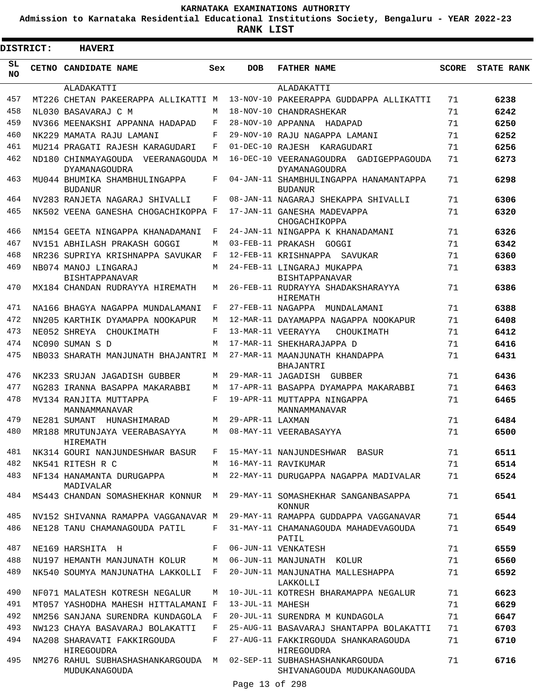**Admission to Karnataka Residential Educational Institutions Society, Bengaluru - YEAR 2022-23**

**RANK LIST**

Е

| <b>DISTRICT:</b> | <b>HAVERI</b>                                              |            |                  |                                                              |              |                   |
|------------------|------------------------------------------------------------|------------|------------------|--------------------------------------------------------------|--------------|-------------------|
| SL<br><b>NO</b>  | CETNO CANDIDATE NAME                                       | Sex        | <b>DOB</b>       | <b>FATHER NAME</b>                                           | <b>SCORE</b> | <b>STATE RANK</b> |
|                  | ALADAKATTI                                                 |            |                  | ALADAKATTI                                                   |              |                   |
| 457              | MT226 CHETAN PAKEERAPPA ALLIKATTI M                        |            |                  | 13-NOV-10 PAKEERAPPA GUDDAPPA ALLIKATTI                      | 71           | 6238              |
| 458              | NL030 BASAVARAJ C M                                        | M          |                  | 18-NOV-10 CHANDRASHEKAR                                      | 71           | 6242              |
| 459              | NV366 MEENAKSHI APPANNA HADAPAD                            | F          |                  | 28-NOV-10 APPANNA HADAPAD                                    | 71           | 6250              |
| 460              | NK229 MAMATA RAJU LAMANI                                   | $_{\rm F}$ |                  | 29-NOV-10 RAJU NAGAPPA LAMANI                                | 71           | 6252              |
| 461              | MU214 PRAGATI RAJESH KARAGUDARI                            | F          |                  | 01-DEC-10 RAJESH KARAGUDARI                                  | 71           | 6256              |
| 462              | ND180 CHINMAYAGOUDA VEERANAGOUDA M<br><b>DYAMANAGOUDRA</b> |            |                  | 16-DEC-10 VEERANAGOUDRA GADIGEPPAGOUDA<br>DYAMANAGOUDRA      | 71           | 6273              |
| 463              | MU044 BHUMIKA SHAMBHULINGAPPA<br><b>BUDANUR</b>            | F          |                  | 04-JAN-11 SHAMBHULINGAPPA HANAMANTAPPA<br><b>BUDANUR</b>     | 71           | 6298              |
| 464              | NV283 RANJETA NAGARAJ SHIVALLI                             | F          |                  | 08-JAN-11 NAGARAJ SHEKAPPA SHIVALLI                          | 71           | 6306              |
| 465              | NK502 VEENA GANESHA CHOGACHIKOPPA F                        |            |                  | 17-JAN-11 GANESHA MADEVAPPA<br>CHOGACHIKOPPA                 | 71           | 6320              |
| 466              | NM154 GEETA NINGAPPA KHANADAMANI                           | F          |                  | 24-JAN-11 NINGAPPA K KHANADAMANI                             | 71           | 6326              |
| 467              | NV151 ABHILASH PRAKASH GOGGI                               | М          |                  | 03-FEB-11 PRAKASH GOGGI                                      | 71           | 6342              |
| 468              | NR236 SUPRIYA KRISHNAPPA SAVUKAR                           | F          |                  | 12-FEB-11 KRISHNAPPA SAVUKAR                                 | 71           | 6360              |
| 469              | NB074 MANOJ LINGARAJ<br><b>BISHTAPPANAVAR</b>              | M          |                  | 24-FEB-11 LINGARAJ MUKAPPA<br><b>BISHTAPPANAVAR</b>          | 71           | 6383              |
| 470              | MX184 CHANDAN RUDRAYYA HIREMATH                            | М          |                  | 26-FEB-11 RUDRAYYA SHADAKSHARAYYA<br>HIREMATH                | 71           | 6386              |
| 471              | NA166 BHAGYA NAGAPPA MUNDALAMANI                           | F          |                  | 27-FEB-11 NAGAPPA MUNDALAMANI                                | 71           | 6388              |
| 472              | NN205 KARTHIK DYAMAPPA NOOKAPUR                            | М          |                  | 12-MAR-11 DAYAMAPPA NAGAPPA NOOKAPUR                         | 71           | 6408              |
| 473              | NE052 SHREYA CHOUKIMATH                                    | F          |                  | 13-MAR-11 VEERAYYA<br>CHOUKIMATH                             | 71           | 6412              |
| 474              | NC090 SUMAN S D                                            | M          |                  | 17-MAR-11 SHEKHARAJAPPA D                                    | 71           | 6416              |
| 475              | NB033 SHARATH MANJUNATH BHAJANTRI M                        |            |                  | 27-MAR-11 MAANJUNATH KHANDAPPA<br>BHAJANTRI                  | 71           | 6431              |
| 476              | NK233 SRUJAN JAGADISH GUBBER                               | М          |                  | 29-MAR-11 JAGADISH GUBBER                                    | 71           | 6436              |
| 477              | NG283 IRANNA BASAPPA MAKARABBI                             | M          |                  | 17-APR-11 BASAPPA DYAMAPPA MAKARABBI                         | 71           | 6463              |
| 478              | MV134 RANJITA MUTTAPPA<br>MANNAMMANAVAR                    | F          |                  | 19-APR-11 MUTTAPPA NINGAPPA<br>MANNAMMANAVAR                 | 71           | 6465              |
| 479              | NE281 SUMANT HUNASHIMARAD                                  | M          | 29-APR-11 LAXMAN |                                                              | 71           | 6484              |
| 480              | MR188 MRUTUNJAYA VEERABASAYYA<br>HIREMATH                  | M          |                  | 08-MAY-11 VEERABASAYYA                                       | 71           | 6500              |
| 481              | NK314 GOURI NANJUNDESHWAR BASUR                            | F          |                  | 15-MAY-11 NANJUNDESHWAR BASUR                                | 71           | 6511              |
| 482              | NK541 RITESH R C                                           | M          |                  | 16-MAY-11 RAVIKUMAR                                          | 71           | 6514              |
| 483              | NF134 HANAMANTA DURUGAPPA<br>MADIVALAR                     | M          |                  | 22-MAY-11 DURUGAPPA NAGAPPA MADIVALAR                        | 71           | 6524              |
| 484              | MS443 CHANDAN SOMASHEKHAR KONNUR                           | М          |                  | 29-MAY-11 SOMASHEKHAR SANGANBASAPPA<br><b>KONNUR</b>         | 71           | 6541              |
| 485              | NV152 SHIVANNA RAMAPPA VAGGANAVAR M                        |            |                  | 29-MAY-11 RAMAPPA GUDDAPPA VAGGANAVAR                        | 71           | 6544              |
| 486              | NE128 TANU CHAMANAGOUDA PATIL                              | F          |                  | 31-MAY-11 CHAMANAGOUDA MAHADEVAGOUDA<br>PATIL                | 71           | 6549              |
| 487              | NE169 HARSHITA H                                           | F          |                  | 06-JUN-11 VENKATESH                                          | 71           | 6559              |
| 488              | NU197 HEMANTH MANJUNATH KOLUR                              | М          |                  | 06-JUN-11 MANJUNATH KOLUR                                    | 71           | 6560              |
| 489              | NK540 SOUMYA MANJUNATHA LAKKOLLI                           | F          |                  | 20-JUN-11 MANJUNATHA MALLESHAPPA<br>LAKKOLLI                 | 71           | 6592              |
| 490              | NF071 MALATESH KOTRESH NEGALUR                             | М          |                  | 10-JUL-11 KOTRESH BHARAMAPPA NEGALUR                         | 71           | 6623              |
| 491              | MT057 YASHODHA MAHESH HITTALAMANI F                        |            | 13-JUL-11 MAHESH |                                                              | 71           | 6629              |
| 492              | NM256 SANJANA SURENDRA KUNDAGOLA                           | F          |                  | 20-JUL-11 SURENDRA M KUNDAGOLA                               | 71           | 6647              |
| 493              | NW123 CHAYA BASAVARAJ BOLAKATTI                            | F          |                  | 25-AUG-11 BASAVARAJ SHANTAPPA BOLAKATTI                      | 71           | 6703              |
| 494              | NA208 SHARAVATI FAKKIRGOUDA<br>HIREGOUDRA                  | F          |                  | 27-AUG-11 FAKKIRGOUDA SHANKARAGOUDA<br>HIREGOUDRA            | 71           | 6710              |
| 495              | NM276 RAHUL SUBHASHASHANKARGOUDA<br>MUDUKANAGOUDA          | M          |                  | 02-SEP-11 SUBHASHASHANKARGOUDA<br>SHIVANAGOUDA MUDUKANAGOUDA | 71           | 6716              |

Page 13 of 298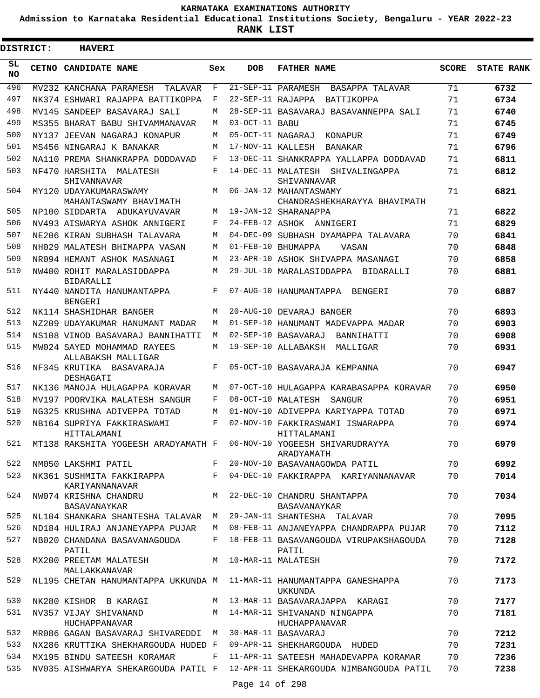**Admission to Karnataka Residential Educational Institutions Society, Bengaluru - YEAR 2022-23**

**RANK LIST**

ı

| <b>DISTRICT:</b> | <b>HAVERI</b>                                                         |     |                   |                                                                             |              |                   |
|------------------|-----------------------------------------------------------------------|-----|-------------------|-----------------------------------------------------------------------------|--------------|-------------------|
| SL<br><b>NO</b>  | CETNO CANDIDATE NAME                                                  | Sex | <b>DOB</b>        | <b>FATHER NAME</b>                                                          | <b>SCORE</b> | <b>STATE RANK</b> |
| 496              | MV232 KANCHANA PARAMESH<br>TALAVAR                                    | F   |                   | 21-SEP-11 PARAMESH<br>BASAPPA TALAVAR                                       | 71           | 6732              |
| 497              | NK374 ESHWARI RAJAPPA BATTIKOPPA                                      | F   |                   | 22-SEP-11 RAJAPPA<br>BATTIKOPPA                                             | 71           | 6734              |
| 498              | MV145 SANDEEP BASAVARAJ SALI                                          | М   |                   | 28-SEP-11 BASAVARAJ BASAVANNEPPA SALI                                       | 71           | 6740              |
| 499              | MS355 BHARAT BABU SHIVAMMANAVAR                                       | М   | 03-OCT-11 BABU    |                                                                             | 71           | 6745              |
| 500              | NY137 JEEVAN NAGARAJ KONAPUR                                          | М   | 05-OCT-11 NAGARAJ | KONAPUR                                                                     | 71           | 6749              |
| 501              | MS456 NINGARAJ K BANAKAR                                              | M   | 17-NOV-11 KALLESH | BANAKAR                                                                     | 71           | 6796              |
| 502              | NA110 PREMA SHANKRAPPA DODDAVAD                                       | F   |                   | 13-DEC-11 SHANKRAPPA YALLAPPA DODDAVAD                                      | 71           | 6811              |
| 503              | NF470 HARSHITA MALATESH<br>SHIVANNAVAR                                | F   |                   | 14-DEC-11 MALATESH SHIVALINGAPPA<br>SHIVANNAVAR                             | 71           | 6812              |
| 504              | MY120 UDAYAKUMARASWAMY<br>MAHANTASWAMY BHAVIMATH                      | M   |                   | 06-JAN-12 MAHANTASWAMY<br>CHANDRASHEKHARAYYA BHAVIMATH                      | 71           | 6821              |
| 505              | NP100 SIDDARTA ADUKAYUVAVAR                                           | М   |                   | 19-JAN-12 SHARANAPPA                                                        | 71           | 6822              |
| 506              | NV493 AISWARYA ASHOK ANNIGERI                                         | F   |                   | 24-FEB-12 ASHOK ANNIGERI                                                    | 71           | 6829              |
| 507              | NE206 KIRAN SUBHASH TALAVARA                                          | М   |                   | 04-DEC-09 SUBHASH DYAMAPPA TALAVARA                                         | 70           | 6841              |
| 508              | NH029 MALATESH BHIMAPPA VASAN                                         | М   |                   | 01-FEB-10 BHUMAPPA<br>VASAN                                                 | 70           | 6848              |
| 509              | NR094 HEMANT ASHOK MASANAGI                                           | М   |                   | 23-APR-10 ASHOK SHIVAPPA MASANAGI                                           | 70           | 6858              |
| 510              | NW400 ROHIT MARALASIDDAPPA<br><b>BIDARALLI</b>                        | M   |                   | 29-JUL-10 MARALASIDDAPPA RIDARALLI                                          | 70           | 6881              |
| 511              | NY440 NANDITA HANUMANTAPPA<br><b>BENGERI</b>                          | F   |                   | 07-AUG-10 HANUMANTAPPA BENGERI                                              | 70           | 6887              |
| 512              | NK114 SHASHIDHAR BANGER                                               | М   |                   | 20-AUG-10 DEVARAJ BANGER                                                    | 70           | 6893              |
| 513              | NZ209 UDAYAKUMAR HANUMANT MADAR                                       | М   |                   | 01-SEP-10 HANUMANT MADEVAPPA MADAR                                          | 70           | 6903              |
| 514              | NS108 VINOD BASAVARAJ BANNIHATTI                                      | М   |                   | 02-SEP-10 BASAVARAJ<br>BANNIHATTI                                           | 70           | 6908              |
| 515              | MW024 SAYED MOHAMMAD RAYEES<br>ALLABAKSH MALLIGAR                     | М   |                   | 19-SEP-10 ALLABAKSH<br>MALLIGAR                                             | 70           | 6931              |
| 516              | NF345 KRUTIKA BASAVARAJA<br>DESHAGATI                                 | F   |                   | 05-OCT-10 BASAVARAJA KEMPANNA                                               | 70           | 6947              |
| 517              | NK136 MANOJA HULAGAPPA KORAVAR                                        | М   |                   | 07-OCT-10 HULAGAPPA KARABASAPPA KORAVAR                                     | 70           | 6950              |
| 518              | MV197 POORVIKA MALATESH SANGUR                                        | F   |                   | 08-OCT-10 MALATESH<br>SANGUR                                                | 70           | 6951              |
| 519              | NG325 KRUSHNA ADIVEPPA TOTAD                                          | М   |                   | 01-NOV-10 ADIVEPPA KARIYAPPA TOTAD                                          | 70           | 6971              |
| 520              | NB164 SUPRIYA FAKKIRASWAMI<br>HITTALAMANI                             | F   |                   | 02-NOV-10 FAKKIRASWAMI ISWARAPPA<br>HITTALAMANI                             | 70           | 6974              |
| 521              | MT138 RAKSHITA YOGEESH ARADYAMATH F                                   |     |                   | 06-NOV-10 YOGEESH SHIVARUDRAYYA<br>ARADYAMATH                               | 70           | 6979              |
| 522              | NM050 LAKSHMI PATIL                                                   | F   |                   | 20-NOV-10 BASAVANAGOWDA PATIL                                               | 70           | 6992              |
| 523              | NK361 SUSHMITA FAKKIRAPPA<br>KARIYANNANAVAR                           | F   |                   | 04-DEC-10 FAKKIRAPPA KARIYANNANAVAR                                         | 70           | 7014              |
| 524              | NW074 KRISHNA CHANDRU<br>BASAVANAYKAR                                 | M   |                   | 22-DEC-10 CHANDRU SHANTAPPA<br>BASAVANAYKAR                                 | 70           | 7034              |
| 525              | NL104 SHANKARA SHANTESHA TALAVAR M                                    |     |                   | 29-JAN-11 SHANTESHA TALAVAR                                                 | 70           | 7095              |
| 526              | ND184 HULIRAJ ANJANEYAPPA PUJAR                                       | M   |                   | 08-FEB-11 ANJANEYAPPA CHANDRAPPA PUJAR                                      | 70           | 7112              |
| 527              | NB020 CHANDANA BASAVANAGOUDA<br>PATIL                                 | F   |                   | 18-FEB-11 BASAVANGOUDA VIRUPAKSHAGOUDA<br>PATIL                             | 70           | 7128              |
| 528              | MX200 PREETAM MALATESH<br>MALLAKKANAVAR                               | M   |                   | 10-MAR-11 MALATESH                                                          | 70           | 7172              |
| 529              | NL195 CHETAN HANUMANTAPPA UKKUNDA M 11-MAR-11 HANUMANTAPPA GANESHAPPA |     |                   | UKKUNDA                                                                     | 70           | 7173              |
| 530              | NK280 KISHOR B KARAGI                                                 | M   |                   | 13-MAR-11 BASAVARAJAPPA KARAGI                                              | 70           | 7177              |
| 531              | NV357 VIJAY SHIVANAND<br>HUCHAPPANAVAR                                | M   |                   | 14-MAR-11 SHIVANAND NINGAPPA<br>HUCHAPPANAVAR                               | 70           | 7181              |
| 532              | MR086 GAGAN BASAVARAJ SHIVAREDDI M                                    |     |                   | 30-MAR-11 BASAVARAJ                                                         | 70           | 7212              |
| 533              | NX286 KRUTTIKA SHEKHARGOUDA HUDED F                                   |     |                   | 09-APR-11 SHEKHARGOUDA HUDED                                                | 70           | 7231              |
| 534              | MX195 BINDU SATEESH KORAMAR                                           | F   |                   | 11-APR-11 SATEESH MAHADEVAPPA KORAMAR                                       | 70           | 7236              |
| 535              |                                                                       |     |                   | NV035 AISHWARYA SHEKARGOUDA PATIL F 12-APR-11 SHEKARGOUDA NIMBANGOUDA PATIL | 70           | 7238              |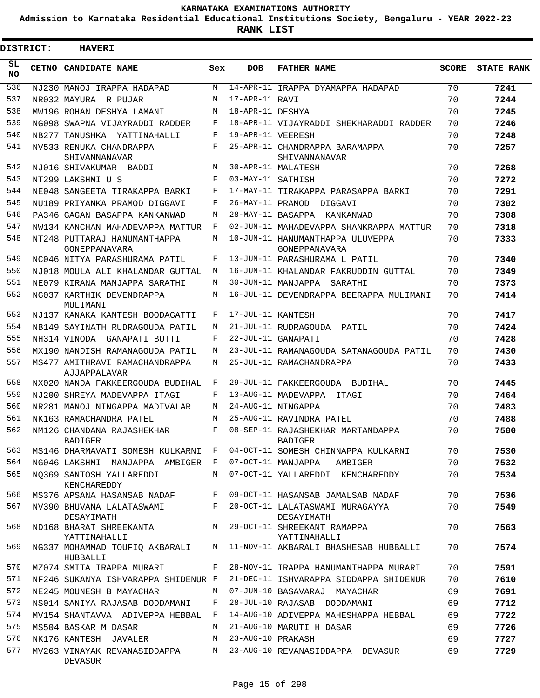**Admission to Karnataka Residential Educational Institutions Society, Bengaluru - YEAR 2022-23**

|           | <b>DISTRICT:</b> | <b>HAVERI</b>                                                              |              |                   |                                                     |              |                   |
|-----------|------------------|----------------------------------------------------------------------------|--------------|-------------------|-----------------------------------------------------|--------------|-------------------|
| SL.<br>NO |                  | CETNO CANDIDATE NAME                                                       | Sex          | <b>DOB</b>        | <b>FATHER NAME</b>                                  | <b>SCORE</b> | <b>STATE RANK</b> |
| 536       |                  | NJ230 MANOJ IRAPPA HADAPAD                                                 | M            |                   | 14-APR-11 IRAPPA DYAMAPPA HADAPAD                   | 70           | 7241              |
| 537       |                  | NR032 MAYURA R PUJAR                                                       | М            | 17-APR-11 RAVI    |                                                     | 70           | 7244              |
| 538       |                  | MW196 ROHAN DESHYA LAMANI                                                  | М            | 18-APR-11 DESHYA  |                                                     | 70           | 7245              |
| 539       |                  | NG098 SWAPNA VIJAYRADDI RADDER                                             | F            |                   | 18-APR-11 VIJAYRADDI SHEKHARADDI RADDER             | 70           | 7246              |
| 540       |                  | NB277 TANUSHKA YATTINAHALLI                                                | F            | 19-APR-11 VEERESH |                                                     | 70           | 7248              |
| 541       |                  | NV533 RENUKA CHANDRAPPA<br>SHIVANNANAVAR                                   | F            |                   | 25-APR-11 CHANDRAPPA BARAMAPPA<br>SHIVANNANAVAR     | 70           | 7257              |
| 542       |                  | NJ016 SHIVAKUMAR BADDI                                                     | M            |                   | 30-APR-11 MALATESH                                  | 70           | 7268              |
| 543       |                  | NT299 LAKSHMI U S                                                          | F            | 03-MAY-11 SATHISH |                                                     | 70           | 7272              |
| 544       |                  | NE048 SANGEETA TIRAKAPPA BARKI                                             | F            |                   | 17-MAY-11 TIRAKAPPA PARASAPPA BARKI                 | 70           | 7291              |
| 545       |                  | NU189 PRIYANKA PRAMOD DIGGAVI                                              | F            |                   | 26-MAY-11 PRAMOD DIGGAVI                            | 70           | 7302              |
| 546       |                  | PA346 GAGAN BASAPPA KANKANWAD                                              | М            |                   | 28-MAY-11 BASAPPA KANKANWAD                         | 70           | 7308              |
| 547       |                  | NW134 KANCHAN MAHADEVAPPA MATTUR                                           | F            |                   | 02-JUN-11 MAHADEVAPPA SHANKRAPPA MATTUR             | 70           | 7318              |
| 548       |                  | NT248 PUTTARAJ HANUMANTHAPPA<br>GONEPPANAVARA                              | М            |                   | 10-JUN-11 HANUMANTHAPPA ULUVEPPA<br>GONEPPANAVARA   | 70           | 7333              |
| 549       |                  | NC046 NITYA PARASHURAMA PATIL                                              | F            |                   | 13-JUN-11 PARASHURAMA L PATIL                       | 70           | 7340              |
| 550       |                  | NJ018 MOULA ALI KHALANDAR GUTTAL                                           | M            |                   | 16-JUN-11 KHALANDAR FAKRUDDIN GUTTAL                | 70           | 7349              |
| 551       |                  | NE079 KIRANA MANJAPPA SARATHI                                              | M            |                   | 30-JUN-11 MANJAPPA SARATHI                          | 70           | 7373              |
| 552       |                  | NG037 KARTHIK DEVENDRAPPA<br>MULIMANI                                      | M            |                   | 16-JUL-11 DEVENDRAPPA BEERAPPA MULIMANI             | 70           | 7414              |
| 553       |                  | NJ137 KANAKA KANTESH BOODAGATTI                                            | F            | 17-JUL-11 KANTESH |                                                     | 70           | 7417              |
| 554       |                  | NB149 SAYINATH RUDRAGOUDA PATIL                                            | М            |                   | 21-JUL-11 RUDRAGOUDA PATIL                          | 70           | 7424              |
| 555       |                  | NH314 VINODA GANAPATI BUTTI                                                | F            |                   | 22-JUL-11 GANAPATI                                  | 70           | 7428              |
| 556       |                  | MX190 NANDISH RAMANAGOUDA PATIL                                            | М            |                   | 23-JUL-11 RAMANAGOUDA SATANAGOUDA PATIL             | 70           | 7430              |
| 557       |                  | MS477 AMITHRAVI RAMACHANDRAPPA<br>AJJAPPALAVAR                             | M            |                   | 25-JUL-11 RAMACHANDRAPPA                            | 70           | 7433              |
| 558       |                  | NX020 NANDA FAKKEERGOUDA BUDIHAL                                           | F            |                   | 29-JUL-11 FAKKEERGOUDA BUDIHAL                      | 70           | 7445              |
| 559       |                  | NJ200 SHREYA MADEVAPPA ITAGI                                               | F            |                   | 13-AUG-11 MADEVAPPA ITAGI                           | 70           | 7464              |
| 560       |                  | NR281 MANOJ NINGAPPA MADIVALAR                                             | М            |                   | 24-AUG-11 NINGAPPA                                  | 70           | 7483              |
| 561       |                  | NK163 RAMACHANDRA PATEL                                                    | M            |                   | 25-AUG-11 RAVINDRA PATEL                            | 70           | 7488              |
| 562       |                  | NM126 CHANDANA RAJASHEKHAR<br><b>BADIGER</b>                               | F            |                   | 08-SEP-11 RAJASHEKHAR MARTANDAPPA<br><b>BADIGER</b> | 70           | 7500              |
| 563       |                  | MS146 DHARMAVATI SOMESH KULKARNI F                                         |              |                   | 04-OCT-11 SOMESH CHINNAPPA KULKARNI                 | 70           | 7530              |
| 564       |                  | NG046 LAKSHMI MANJAPPA AMBIGER F                                           |              |                   | 07-OCT-11 MANJAPPA AMBIGER                          | 70           | 7532              |
| 565       |                  | NO369 SANTOSH YALLAREDDI<br>KENCHAREDDY                                    | M            |                   | 07-OCT-11 YALLAREDDI KENCHAREDDY                    | 70           | 7534              |
| 566       |                  | MS376 APSANA HASANSAB NADAF                                                | F            |                   | 09-OCT-11 HASANSAB JAMALSAB NADAF                   | 70           | 7536              |
| 567       |                  | NV390 BHUVANA LALATASWAMI<br>DESAYIMATH                                    | F            |                   | 20-OCT-11 LALATASWAMI MURAGAYYA<br>DESAYIMATH       | 70           | 7549              |
| 568       |                  | ND168 BHARAT SHREEKANTA<br>YATTINAHALLI                                    |              |                   | M 29-OCT-11 SHREEKANT RAMAPPA<br>YATTINAHALLI       | 70           | 7563              |
| 569       |                  | NG337 MOHAMMAD TOUFIQ AKBARALI<br>HUBBALLI                                 |              |                   | M 11-NOV-11 AKBARALI BHASHESAB HUBBALLI             | 70           | 7574              |
| 570       |                  | MZ074 SMITA IRAPPA MURARI                                                  | F            |                   | 28-NOV-11 IRAPPA HANUMANTHAPPA MURARI               | 70           | 7591              |
| 571       |                  | NF246 SUKANYA ISHVARAPPA SHIDENUR F                                        |              |                   | 21-DEC-11 ISHVARAPPA SIDDAPPA SHIDENUR              | 70           | 7610              |
| 572       |                  | NE245 MOUNESH B MAYACHAR                                                   | M            |                   | 07-JUN-10 BASAVARAJ MAYACHAR                        | 69           | 7691              |
| 573       |                  | NS014 SANIYA RAJASAB DODDAMANI                                             | F            |                   | 28-JUL-10 RAJASAB DODDAMANI                         | 69           | 7712              |
| 574       |                  | MV154 SHANTAVVA ADIVEPPA HEBBAL                                            | $\mathbf{F}$ |                   | 14-AUG-10 ADIVEPPA MAHESHAPPA HEBBAL                | 69           | 7722              |
| 575       |                  | MS504 BASKAR M DASAR                                                       | M            |                   | 21-AUG-10 MARUTI H DASAR                            | 69           | 7726              |
| 576       |                  | NK176 KANTESH JAVALER                                                      | M            | 23-AUG-10 PRAKASH |                                                     | 69           | 7727              |
| 577       |                  | MV263 VINAYAK REVANASIDDAPPA M 23-AUG-10 REVANASIDDAPPA DEVASUR<br>DEVASUR |              |                   |                                                     | 69           | 7729              |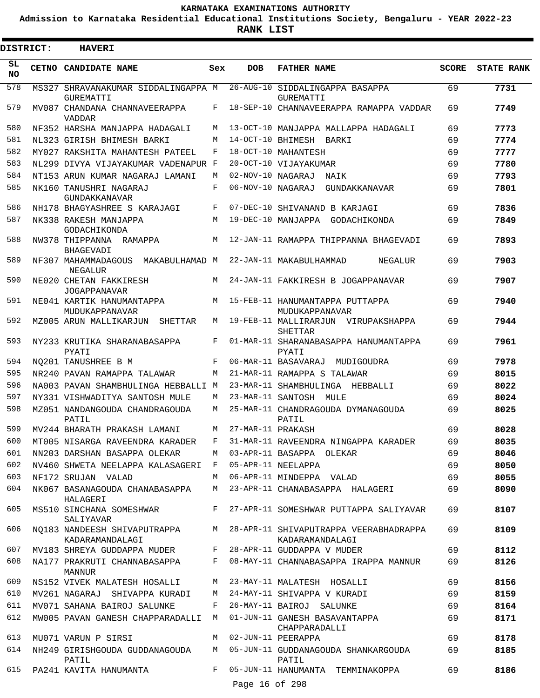**Admission to Karnataka Residential Educational Institutions Society, Bengaluru - YEAR 2022-23**

**RANK LIST**

E

| <b>DISTRICT:</b> | <b>HAVERI</b>                                           |     |                   |                                                           |              |                   |
|------------------|---------------------------------------------------------|-----|-------------------|-----------------------------------------------------------|--------------|-------------------|
| SL<br><b>NO</b>  | CETNO CANDIDATE NAME                                    | Sex | <b>DOB</b>        | <b>FATHER NAME</b>                                        | <b>SCORE</b> | <b>STATE RANK</b> |
| 578              | MS327 SHRAVANAKUMAR SIDDALINGAPPA M<br><b>GUREMATTI</b> |     |                   | 26-AUG-10 SIDDALINGAPPA BASAPPA<br>GUREMATTI              | 69           | 7731              |
| 579              | MV087 CHANDANA CHANNAVEERAPPA<br><b>VADDAR</b>          | F   |                   | 18-SEP-10 CHANNAVEERAPPA RAMAPPA VADDAR                   | 69           | 7749              |
| 580              | NF352 HARSHA MANJAPPA HADAGALI                          | М   |                   | 13-OCT-10 MANJAPPA MALLAPPA HADAGALI                      | 69           | 7773              |
| 581              | NL323 GIRISH BHIMESH BARKI                              | М   |                   | 14-OCT-10 BHIMESH BARKI                                   | 69           | 7774              |
| 582              | MY027 RAKSHITA MAHANTESH PATEEL                         | F   |                   | 18-OCT-10 MAHANTESH                                       | 69           | 7777              |
| 583              | NL299 DIVYA VIJAYAKUMAR VADENAPUR F                     |     |                   | 20-OCT-10 VIJAYAKUMAR                                     | 69           | 7780              |
| 584              | NT153 ARUN KUMAR NAGARAJ LAMANI                         | М   | 02-NOV-10 NAGARAJ | NAIK                                                      | 69           | 7793              |
| 585              | NK160 TANUSHRI NAGARAJ<br>GUNDAKKANAVAR                 | F   | 06-NOV-10 NAGARAJ | GUNDAKKANAVAR                                             | 69           | 7801              |
| 586              | NH178 BHAGYASHREE S KARAJAGI                            | F   |                   | 07-DEC-10 SHIVANAND B KARJAGI                             | 69           | 7836              |
| 587              | NK338 RAKESH MANJAPPA<br>GODACHIKONDA                   | M   |                   | 19-DEC-10 MANJAPPA GODACHIKONDA                           | 69           | 7849              |
| 588              | NW378 THIPPANNA RAMAPPA<br><b>BHAGEVADI</b>             | M   |                   | 12-JAN-11 RAMAPPA THIPPANNA BHAGEVADI                     | 69           | 7893              |
| 589              | NF307 MAHAMMADAGOUS<br>MAKABULHAMAD M<br><b>NEGALUR</b> |     |                   | 22-JAN-11 MAKABULHAMMAD<br>NEGALUR                        | 69           | 7903              |
| 590              | NE020 CHETAN FAKKIRESH<br><b>JOGAPPANAVAR</b>           | M   |                   | 24-JAN-11 FAKKIRESH B JOGAPPANAVAR                        | 69           | 7907              |
| 591              | NE041 KARTIK HANUMANTAPPA<br>MUDUKAPPANAVAR             | M   |                   | 15-FEB-11 HANUMANTAPPA PUTTAPPA<br>MUDUKAPPANAVAR         | 69           | 7940              |
| 592              | MZ005 ARUN MALLIKARJUN<br>SHETTAR                       | М   |                   | 19-FEB-11 MALLIRARJUN VIRUPAKSHAPPA<br>SHETTAR            | 69           | 7944              |
| 593              | NY233 KRUTIKA SHARANABASAPPA<br>PYATI                   | F   |                   | 01-MAR-11 SHARANABASAPPA HANUMANTAPPA<br>PYATI            | 69           | 7961              |
| 594              | NO201 TANUSHREE B M                                     | F   |                   | 06-MAR-11 BASAVARAJ<br>MUDIGOUDRA                         | 69           | 7978              |
| 595              | NR240 PAVAN RAMAPPA TALAWAR                             | M   |                   | 21-MAR-11 RAMAPPA S TALAWAR                               | 69           | 8015              |
| 596              | NA003 PAVAN SHAMBHULINGA HEBBALLI M                     |     |                   | 23-MAR-11 SHAMBHULINGA HEBBALLI                           | 69           | 8022              |
| 597              | NY331 VISHWADITYA SANTOSH MULE                          | М   |                   | 23-MAR-11 SANTOSH MULE                                    | 69           | 8024              |
| 598              | MZ051 NANDANGOUDA CHANDRAGOUDA<br>PATIL                 | M   |                   | 25-MAR-11 CHANDRAGOUDA DYMANAGOUDA<br>PATIL               | 69           | 8025              |
| 599              | MV244 BHARATH PRAKASH LAMANT                            | M   | 27-MAR-11 PRAKASH |                                                           | 69           | 8028              |
| 600              | MT005 NISARGA RAVEENDRA KARADER                         | F   |                   | 31-MAR-11 RAVEENDRA NINGAPPA KARADER                      | 69           | 8035              |
| 601              | NN203 DARSHAN BASAPPA OLEKAR                            | M   |                   | 03-APR-11 BASAPPA OLEKAR                                  | 69           | 8046              |
| 602              | NV460 SHWETA NEELAPPA KALASAGERI                        | F   |                   | 05-APR-11 NEELAPPA                                        | 69           | 8050              |
| 603              | NF172 SRUJAN VALAD                                      | M   |                   | 06-APR-11 MINDEPPA VALAD                                  | 69           | 8055              |
| 604              | NK067 BASANAGOUDA CHANABASAPPA<br>HALAGERI              | M   |                   | 23-APR-11 CHANABASAPPA HALAGERI                           | 69           | 8090              |
| 605              | MS510 SINCHANA SOMESHWAR<br>SALIYAVAR                   | F   |                   | 27-APR-11 SOMESHWAR PUTTAPPA SALIYAVAR                    | 69           | 8107              |
| 606              | NO183 NANDEESH SHIVAPUTRAPPA<br>KADARAMANDALAGI         | M   |                   | 28-APR-11 SHIVAPUTRAPPA VEERABHADRAPPA<br>KADARAMANDALAGI | 69           | 8109              |
| 607              | MV183 SHREYA GUDDAPPA MUDER                             | F   |                   | 28-APR-11 GUDDAPPA V MUDER                                | 69           | 8112              |
| 608              | NA177 PRAKRUTI CHANNABASAPPA<br><b>MANNUR</b>           | F   |                   | 08-MAY-11 CHANNABASAPPA IRAPPA MANNUR                     | 69           | 8126              |
| 609              | NS152 VIVEK MALATESH HOSALLI                            | M   |                   | 23-MAY-11 MALATESH HOSALLI                                | 69           | 8156              |
| 610              | MV261 NAGARAJ SHIVAPPA KURADI                           | M   |                   | 24-MAY-11 SHIVAPPA V KURADI                               | 69           | 8159              |
| 611              | MV071 SAHANA BAIROJ SALUNKE                             | F   |                   | 26-MAY-11 BAIROJ SALUNKE                                  | 69           | 8164              |
| 612              | MW005 PAVAN GANESH CHAPPARADALLI M                      |     |                   | 01-JUN-11 GANESH BASAVANTAPPA<br>CHAPPARADALLI            | 69           | 8171              |
| 613              | MU071 VARUN P SIRSI                                     | M   |                   | 02-JUN-11 PEERAPPA                                        | 69           | 8178              |
| 614              | NH249 GIRISHGOUDA GUDDANAGOUDA<br>PATIL                 | M   |                   | 05-JUN-11 GUDDANAGOUDA SHANKARGOUDA<br>PATIL              | 69           | 8185              |
| 615              | PA241 KAVITA HANUMANTA                                  | F   | Page 16 of 298    | 05-JUN-11 HANUMANTA TEMMINAKOPPA                          | 69           | 8186              |
|                  |                                                         |     |                   |                                                           |              |                   |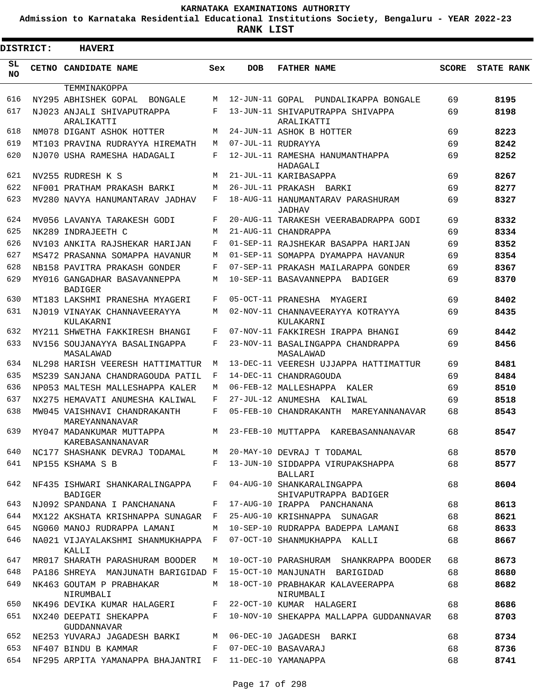**Admission to Karnataka Residential Educational Institutions Society, Bengaluru - YEAR 2022-23**

| <b>DISTRICT:</b> | <b>HAVERI</b>                                          |         |                 |                                                       |              |                   |
|------------------|--------------------------------------------------------|---------|-----------------|-------------------------------------------------------|--------------|-------------------|
| SL<br><b>NO</b>  | CETNO CANDIDATE NAME                                   | Sex     | <b>DOB</b>      | <b>FATHER NAME</b>                                    | <b>SCORE</b> | <b>STATE RANK</b> |
|                  | TEMMINAKOPPA                                           |         |                 |                                                       |              |                   |
| 616              | NY295 ABHISHEK GOPAL BONGALE                           | M       | 12-JUN-11 GOPAL | PUNDALIKAPPA BONGALE                                  | 69           | 8195              |
| 617              | NJ023 ANJALI SHIVAPUTRAPPA<br>ARALIKATTI               | F       |                 | 13-JUN-11 SHIVAPUTRAPPA SHIVAPPA<br>ARALIKATTI        | 69           | 8198              |
| 618              | NM078 DIGANT ASHOK HOTTER                              | М       |                 | 24-JUN-11 ASHOK B HOTTER                              | 69           | 8223              |
| 619              | MT103 PRAVINA RUDRAYYA HIREMATH                        | М       |                 | 07-JUL-11 RUDRAYYA                                    | 69           | 8242              |
| 620              | NJ070 USHA RAMESHA HADAGALI                            | F       |                 | 12-JUL-11 RAMESHA HANUMANTHAPPA<br>HADAGALI           | 69           | 8252              |
| 621              | NV255 RUDRESH K S                                      | M       |                 | 21-JUL-11 KARIBASAPPA                                 | 69           | 8267              |
| 622              | NF001 PRATHAM PRAKASH BARKI                            | М       |                 | 26-JUL-11 PRAKASH BARKI                               | 69           | 8277              |
| 623              | MV280 NAVYA HANUMANTARAV JADHAV                        | F       |                 | 18-AUG-11 HANUMANTARAV PARASHURAM<br>JADHAV           | 69           | 8327              |
| 624              | MV056 LAVANYA TARAKESH GODI                            | F       |                 | 20-AUG-11 TARAKESH VEERABADRAPPA GODI                 | 69           | 8332              |
| 625              | NK289 INDRAJEETH C                                     | M       |                 | 21-AUG-11 CHANDRAPPA                                  | 69           | 8334              |
| 626              | NV103 ANKITA RAJSHEKAR HARIJAN                         | F       |                 | 01-SEP-11 RAJSHEKAR BASAPPA HARIJAN                   | 69           | 8352              |
| 627              | MS472 PRASANNA SOMAPPA HAVANUR                         | M       |                 | 01-SEP-11 SOMAPPA DYAMAPPA HAVANUR                    | 69           | 8354              |
| 628              | NB158 PAVITRA PRAKASH GONDER                           | F       |                 | 07-SEP-11 PRAKASH MAILARAPPA GONDER                   | 69           | 8367              |
| 629              | MY016 GANGADHAR BASAVANNEPPA<br><b>BADIGER</b>         | М       |                 | 10-SEP-11 BASAVANNEPPA BADIGER                        | 69           | 8370              |
| 630              | MT183 LAKSHMI PRANESHA MYAGERI                         | F       |                 | 05-OCT-11 PRANESHA<br>MYAGERI                         | 69           | 8402              |
| 631              | NJ019 VINAYAK CHANNAVEERAYYA<br>KULAKARNI              | М       |                 | 02-NOV-11 CHANNAVEERAYYA KOTRAYYA<br>KULAKARNI        | 69           | 8435              |
| 632              | MY211 SHWETHA FAKKIRESH BHANGI                         | F       |                 | 07-NOV-11 FAKKIRESH IRAPPA BHANGI                     | 69           | 8442              |
| 633              | NV156 SOUJANAYYA BASALINGAPPA<br>MASALAWAD             | F       |                 | 23-NOV-11 BASALINGAPPA CHANDRAPPA<br>MASALAWAD        | 69           | 8456              |
| 634              | NL298 HARISH VEERESH HATTIMATTUR                       | M       |                 | 13-DEC-11 VEERESH UJJAPPA HATTIMATTUR                 | 69           | 8481              |
| 635              | MS239 SANJANA CHANDRAGOUDA PATIL                       | F       |                 | 14-DEC-11 CHANDRAGOUDA                                | 69           | 8484              |
| 636              | NP053 MALTESH MALLESHAPPA KALER                        | М       |                 | 06-FEB-12 MALLESHAPPA KALER                           | 69           | 8510              |
| 637              | NX275 HEMAVATI ANUMESHA KALIWAL                        | F       |                 | 27-JUL-12 ANUMESHA KALIWAL                            | 69           | 8518              |
| 638              | MW045 VAISHNAVI CHANDRAKANTH<br>MAREYANNANAVAR         | F       |                 | 05-FEB-10 CHANDRAKANTH MAREYANNANAVAR                 | 68           | 8543              |
| 639              | MY047 MADANKUMAR MUTTAPPA<br>KAREBASANNANAVAR          | М       |                 | 23-FEB-10 MUTTAPPA<br>KAREBASANNANAVAR                | 68           | 8547              |
| 640              | NC177 SHASHANK DEVRAJ TODAMAL                          | M       |                 | 20-MAY-10 DEVRAJ T TODAMAL                            | 68           | 8570              |
| 641              | NP155 KSHAMA S B                                       | F       |                 | 13-JUN-10 SIDDAPPA VIRUPAKSHAPPA<br><b>BALLARI</b>    | 68           | 8577              |
| 642              | NF435 ISHWARI SHANKARALINGAPPA<br>BADIGER              |         |                 | F 04-AUG-10 SHANKARALINGAPPA<br>SHIVAPUTRAPPA BADIGER | 68           | 8604              |
| 643              | NJ092 SPANDANA I PANCHANANA                            | F       |                 | 17-AUG-10 IRAPPA PANCHANANA                           | 68           | 8613              |
| 644              | MX122 AKSHATA KRISHNAPPA SUNAGAR F                     |         |                 | 25-AUG-10 KRISHNAPPA SUNAGAR                          | 68           | 8621              |
| 645              | NG060 MANOJ RUDRAPPA LAMANI                            |         |                 | M 10-SEP-10 RUDRAPPA BADEPPA LAMANI                   | 68           | 8633              |
| 646              | NA021 VIJAYALAKSHMI SHANMUKHAPPA F<br>KALLI            |         |                 | 07-OCT-10 SHANMUKHAPPA KALLI                          | 68           | 8667              |
| 647              | MR017 SHARATH PARASHURAM BOODER                        | M       |                 | 10-OCT-10 PARASHURAM SHANKRAPPA BOODER                | 68           | 8673              |
| 648              | PA186 SHREYA MANJUNATH BARIGIDAD F                     |         |                 | 15-OCT-10 MANJUNATH BARIGIDAD                         | 68           | 8680              |
| 649              | NK463 GOUTAM P PRABHAKAR<br>NIRUMBALI                  | M       |                 | 18-OCT-10 PRABHAKAR KALAVEERAPPA<br>NIRUMBALI         | 68           | 8682              |
| 650              | NK496 DEVIKA KUMAR HALAGERI F 22-OCT-10 KUMAR HALAGERI |         |                 |                                                       | 68           | 8686              |
| 651              | NX240 DEEPATI SHEKAPPA<br><b>GUDDANNAVAR</b>           | $F$ and |                 | 10-NOV-10 SHEKAPPA MALLAPPA GUDDANNAVAR               | 68           | 8703              |
| 652              | NE253 YUVARAJ JAGADESH BARKI                           | M       |                 | 06-DEC-10 JAGADESH BARKI                              | 68           | 8734              |
| 653              | NF407 BINDU B KAMMAR                                   | F       |                 | 07-DEC-10 BASAVARAJ                                   | 68           | 8736              |
| 654              | NF295 ARPITA YAMANAPPA BHAJANTRI F                     |         |                 | 11-DEC-10 YAMANAPPA                                   | 68           | 8741              |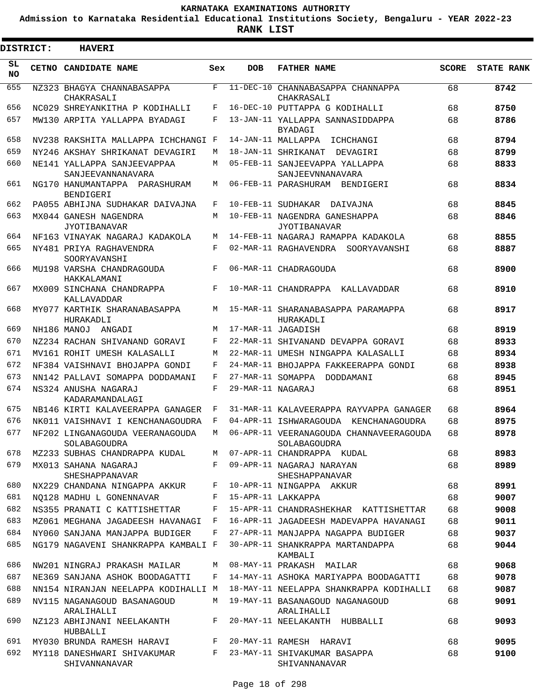**Admission to Karnataka Residential Educational Institutions Society, Bengaluru - YEAR 2022-23**

**RANK LIST**

ı

|                 | <b>DISTRICT:</b> | <b>HAVERI</b>                                    |     |                   |                                                         |              |                   |
|-----------------|------------------|--------------------------------------------------|-----|-------------------|---------------------------------------------------------|--------------|-------------------|
| SL<br><b>NO</b> |                  | CETNO CANDIDATE NAME                             | Sex | <b>DOB</b>        | <b>FATHER NAME</b>                                      | <b>SCORE</b> | <b>STATE RANK</b> |
| 655             |                  | NZ323 BHAGYA CHANNABASAPPA<br>CHAKRASALI         | F   | $11 - DEC - 10$   | CHANNABASAPPA CHANNAPPA<br>CHAKRASALI                   | 68           | 8742              |
| 656             |                  | NC029 SHREYANKITHA P KODIHALLI                   | F   |                   | 16-DEC-10 PUTTAPPA G KODIHALLI                          | 68           | 8750              |
| 657             |                  | MW130 ARPITA YALLAPPA BYADAGI                    | F   |                   | 13-JAN-11 YALLAPPA SANNASIDDAPPA<br>BYADAGI             | 68           | 8786              |
| 658             |                  | NV238 RAKSHITA MALLAPPA ICHCHANGI F              |     |                   | 14-JAN-11 MALLAPPA<br>ICHCHANGI                         | 68           | 8794              |
| 659             |                  | NY246 AKSHAY SHRIKANAT DEVAGIRI                  | М   |                   | 18-JAN-11 SHRIKANAT<br>DEVAGIRI                         | 68           | 8799              |
| 660             |                  | NE141 YALLAPPA SANJEEVAPPAA<br>SANJEEVANNANAVARA | М   |                   | 05-FEB-11 SANJEEVAPPA YALLAPPA<br>SANJEEVNNANAVARA      | 68           | 8833              |
| 661             |                  | NG170 HANUMANTAPPA PARASHURAM<br>BENDIGERI       | М   |                   | 06-FEB-11 PARASHURAM BENDIGERI                          | 68           | 8834              |
| 662             |                  | PA055 ABHIJNA SUDHAKAR DAIVAJNA                  | F   |                   | 10-FEB-11 SUDHAKAR<br>DAIVAJNA                          | 68           | 8845              |
| 663             |                  | MX044 GANESH NAGENDRA<br><b>JYOTIBANAVAR</b>     | M   |                   | 10-FEB-11 NAGENDRA GANESHAPPA<br><b>JYOTIBANAVAR</b>    | 68           | 8846              |
| 664             |                  | NF163 VINAYAK NAGARAJ KADAKOLA                   | М   |                   | 14-FEB-11 NAGARAJ RAMAPPA KADAKOLA                      | 68           | 8855              |
| 665             |                  | NY481 PRIYA RAGHAVENDRA<br>SOORYAVANSHI          | F   |                   | 02-MAR-11 RAGHAVENDRA SOORYAVANSHI                      | 68           | 8887              |
| 666             |                  | MU198 VARSHA CHANDRAGOUDA<br>HAKKALAMANI         | F   |                   | 06-MAR-11 CHADRAGOUDA                                   | 68           | 8900              |
| 667             |                  | MX009 SINCHANA CHANDRAPPA<br>KALLAVADDAR         | F   |                   | 10-MAR-11 CHANDRAPPA KALLAVADDAR                        | 68           | 8910              |
| 668             |                  | MY077 KARTHIK SHARANABASAPPA<br>HURAKADLI        | М   |                   | 15-MAR-11 SHARANABASAPPA PARAMAPPA<br>HURAKADLI         | 68           | 8917              |
| 669             |                  | NH186 MANOJ<br>ANGADI                            | М   |                   | 17-MAR-11 JAGADISH                                      | 68           | 8919              |
| 670             |                  | NZ234 RACHAN SHIVANAND GORAVI                    | F   |                   | 22-MAR-11 SHIVANAND DEVAPPA GORAVI                      | 68           | 8933              |
| 671             |                  | MV161 ROHIT UMESH KALASALLI                      | М   |                   | 22-MAR-11 UMESH NINGAPPA KALASALLI                      | 68           | 8934              |
| 672             |                  | NF384 VAISHNAVI BHOJAPPA GONDI                   | F   |                   | 24-MAR-11 BHOJAPPA FAKKEERAPPA GONDI                    | 68           | 8938              |
| 673             |                  | NN142 PALLAVI SOMAPPA DODDAMANI                  | F   |                   | 27-MAR-11 SOMAPPA DODDAMANI                             | 68           | 8945              |
| 674             |                  | NS324 ANUSHA NAGARAJ<br>KADARAMANDALAGI          | F   | 29-MAR-11 NAGARAJ |                                                         | 68           | 8951              |
| 675             |                  | NB146 KIRTI KALAVEERAPPA GANAGER                 | F   |                   | 31-MAR-11 KALAVEERAPPA RAYVAPPA GANAGER                 | 68           | 8964              |
| 676             |                  | NK011 VAISHNAVI I KENCHANAGOUDRA                 | F   |                   | 04-APR-11 ISHWARAGOUDA KENCHANAGOUDRA                   | 68           | 8975              |
| 677             |                  | NF202 LINGANAGOUDA VEERANAGOUDA<br>SOLABAGOUDRA  | М   |                   | 06-APR-11 VEERANAGOUDA CHANNAVEERAGOUDA<br>SOLABAGOUDRA | 68           | 8978              |
| 678             |                  | MZ233 SUBHAS CHANDRAPPA KUDAL                    | М   |                   | 07-APR-11 CHANDRAPPA KUDAL                              | 68           | 8983              |
| 679             |                  | MX013 SAHANA NAGARAJ<br><b>SHESHAPPANAVAR</b>    | F   |                   | 09-APR-11 NAGARAJ NARAYAN<br>SHESHAPPANAVAR             | 68           | 8989              |
| 680             |                  | NX229 CHANDANA NINGAPPA AKKUR                    | F   |                   | 10-APR-11 NINGAPPA AKKUR                                | 68           | 8991              |
| 681             |                  | NO128 MADHU L GONENNAVAR                         | F   |                   | 15-APR-11 LAKKAPPA                                      | 68           | 9007              |
| 682             |                  | NS355 PRANATI C KATTISHETTAR                     | F   |                   | 15-APR-11 CHANDRASHEKHAR KATTISHETTAR                   | 68           | 9008              |
| 683             |                  | MZ061 MEGHANA JAGADEESH HAVANAGI                 | F   |                   | 16-APR-11 JAGADEESH MADEVAPPA HAVANAGI                  | 68           | 9011              |
| 684             |                  | NY060 SANJANA MANJAPPA BUDIGER                   | F   |                   | 27-APR-11 MANJAPPA NAGAPPA BUDIGER                      | 68           | 9037              |
| 685             |                  | NG179 NAGAVENI SHANKRAPPA KAMBALI F              |     |                   | 30-APR-11 SHANKRAPPA MARTANDAPPA<br>KAMBALI             | 68           | 9044              |
| 686             |                  | NW201 NINGRAJ PRAKASH MAILAR                     | М   |                   | 08-MAY-11 PRAKASH MAILAR                                | 68           | 9068              |
| 687             |                  | NE369 SANJANA ASHOK BOODAGATTI                   | F   |                   | 14-MAY-11 ASHOKA MARIYAPPA BOODAGATTI                   | 68           | 9078              |
| 688             |                  | NN154 NIRANJAN NEELAPPA KODIHALLI M              |     |                   | 18-MAY-11 NEELAPPA SHANKRAPPA KODIHALLI                 | 68           | 9087              |
| 689             |                  | NV115 NAGANAGOUD BASANAGOUD<br>ARALIHALLI        | М   |                   | 19-MAY-11 BASANAGOUD NAGANAGOUD<br>ARALIHALLI           | 68           | 9091              |
| 690             |                  | NZ123 ABHIJNANI NEELAKANTH<br>HUBBALLI           | F   |                   | 20-MAY-11 NEELAKANTH HUBBALLI                           | 68           | 9093              |
| 691             |                  | MY030 BRUNDA RAMESH HARAVI                       | F   |                   | 20-MAY-11 RAMESH HARAVI                                 | 68           | 9095              |
| 692             |                  | MY118 DANESHWARI SHIVAKUMAR<br>SHIVANNANAVAR     | F   |                   | 23-MAY-11 SHIVAKUMAR BASAPPA<br>SHIVANNANAVAR           | 68           | 9100              |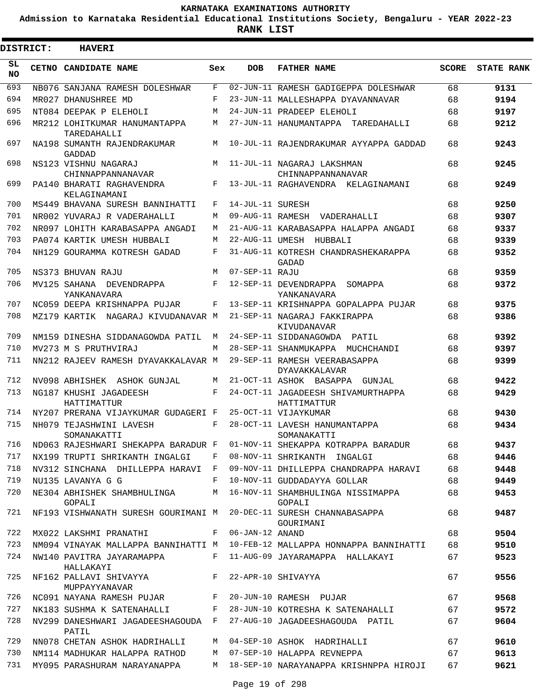**Admission to Karnataka Residential Educational Institutions Society, Bengaluru - YEAR 2022-23**

**RANK LIST**

| <b>DISTRICT:</b> | <b>HAVERI</b>                                                            |              |                  |                                                                                 |              |                   |
|------------------|--------------------------------------------------------------------------|--------------|------------------|---------------------------------------------------------------------------------|--------------|-------------------|
| SL<br><b>NO</b>  | CETNO CANDIDATE NAME                                                     | Sex          | <b>DOB</b>       | <b>FATHER NAME</b>                                                              | <b>SCORE</b> | <b>STATE RANK</b> |
| 693              | NB076 SANJANA RAMESH DOLESHWAR                                           | F            |                  | 02-JUN-11 RAMESH GADIGEPPA DOLESHWAR                                            | 68           | 9131              |
| 694              | MR027 DHANUSHREE MD                                                      | F            |                  | 23-JUN-11 MALLESHAPPA DYAVANNAVAR                                               | 68           | 9194              |
| 695              | NT084 DEEPAK P ELEHOLI                                                   | M            |                  | 24-JUN-11 PRADEEP ELEHOLI                                                       | 68           | 9197              |
| 696              | MR212 LOHITKUMAR HANUMANTAPPA<br>TAREDAHALLI                             | М            |                  | 27-JUN-11 HANUMANTAPPA TAREDAHALLI                                              | 68           | 9212              |
| 697              | NA198 SUMANTH RAJENDRAKUMAR<br><b>GADDAD</b>                             | M            |                  | 10-JUL-11 RAJENDRAKUMAR AYYAPPA GADDAD                                          | 68           | 9243              |
| 698              | NS123 VISHNU NAGARAJ<br>CHINNAPPANNANAVAR                                | M            |                  | 11-JUL-11 NAGARAJ LAKSHMAN<br>CHINNAPPANNANAVAR                                 | 68           | 9245              |
| 699              | PA140 BHARATI RAGHAVENDRA<br>KELAGINAMANI                                | F            |                  | 13-JUL-11 RAGHAVENDRA KELAGINAMANI                                              | 68           | 9249              |
| 700              | MS449 BHAVANA SURESH BANNIHATTI                                          | F            | 14-JUL-11 SURESH |                                                                                 | 68           | 9250              |
| 701              | NR002 YUVARAJ R VADERAHALLI                                              | М            |                  | 09-AUG-11 RAMESH VADERAHALLI                                                    | 68           | 9307              |
| 702              | NR097 LOHITH KARABASAPPA ANGADI                                          | М            |                  | 21-AUG-11 KARABASAPPA HALAPPA ANGADI                                            | 68           | 9337              |
| 703              | PA074 KARTIK UMESH HUBBALI                                               | М            |                  | 22-AUG-11 UMESH HUBBALI                                                         | 68           | 9339              |
| 704              | NH129 GOURAMMA KOTRESH GADAD                                             | F            |                  | 31-AUG-11 KOTRESH CHANDRASHEKARAPPA<br>GADAD                                    | 68           | 9352              |
| 705              | NS373 BHUVAN RAJU                                                        | M            | 07-SEP-11 RAJU   |                                                                                 | 68           | 9359              |
| 706              | MV125 SAHANA DEVENDRAPPA<br>YANKANAVARA                                  | F            |                  | 12-SEP-11 DEVENDRAPPA SOMAPPA<br>YANKANAVARA                                    | 68           | 9372              |
| 707              | NC059 DEEPA KRISHNAPPA PUJAR                                             | F            |                  | 13-SEP-11 KRISHNAPPA GOPALAPPA PUJAR                                            | 68           | 9375              |
| 708              | MZ179 KARTIK NAGARAJ KIVUDANAVAR M                                       |              |                  | 21-SEP-11 NAGARAJ FAKKIRAPPA<br>KIVUDANAVAR                                     | 68           | 9386              |
| 709              | NM159 DINESHA SIDDANAGOWDA PATIL                                         | М            |                  | 24-SEP-11 SIDDANAGOWDA PATIL                                                    | 68           | 9392              |
| 710              | MV273 M S PRUTHVIRAJ                                                     | М            |                  | 28-SEP-11 SHANMUKAPPA MUCHCHANDI                                                | 68           | 9397              |
| 711              | NN212 RAJEEV RAMESH DYAVAKKALAVAR M                                      |              |                  | 29-SEP-11 RAMESH VEERABASAPPA<br>DYAVAKKALAVAR                                  | 68           | 9399              |
| 712              | NV098 ABHISHEK ASHOK GUNJAL                                              | M            |                  | 21-OCT-11 ASHOK BASAPPA GUNJAL                                                  | 68           | 9422              |
| 713              | NG187 KHUSHI JAGADEESH<br>HATTIMATTUR                                    | F            |                  | 24-OCT-11 JAGADEESH SHIVAMURTHAPPA<br>HATTIMATTUR                               | 68           | 9429              |
| 714              | NY207 PRERANA VIJAYKUMAR GUDAGERI F                                      |              |                  | 25-OCT-11 VIJAYKUMAR                                                            | 68           | 9430              |
| 715              | NH079 TEJASHWINI LAVESH<br>SOMANAKATTI                                   | F            |                  | 28-OCT-11 LAVESH HANUMANTAPPA<br>SOMANAKATTI                                    | 68           | 9434              |
| 716              | ND063 RAJESHWARI SHEKAPPA BARADUR F                                      |              |                  | 01-NOV-11 SHEKAPPA KOTRAPPA BARADUR                                             | 68           | 9437              |
| 717              | NX199 TRUPTI SHRIKANTH INGALGI F                                         |              |                  | 08-NOV-11 SHRIKANTH INGALGI                                                     | 68           | 9446              |
| 718              | NV312 SINCHANA DHILLEPPA HARAVI F                                        |              |                  | 09-NOV-11 DHILLEPPA CHANDRAPPA HARAVI                                           | 68           | 9448              |
| 719              | NU135 LAVANYA G G                                                        | $\mathbf{F}$ |                  | 10-NOV-11 GUDDADAYYA GOLLAR                                                     | 68           | 9449              |
| 720              | NE304 ABHISHEK SHAMBHULINGA M<br>GOPALI                                  |              |                  | 16-NOV-11 SHAMBHULINGA NISSIMAPPA<br>GOPALI                                     | 68           | 9453              |
| 721              |                                                                          |              |                  | NF193 VISHWANATH SURESH GOURIMANI M 20-DEC-11 SURESH CHANNABASAPPA<br>GOURIMANI | 68           | 9487              |
| 722              | MX022 LAKSHMI PRANATHI F 06-JAN-12 ANAND                                 |              |                  |                                                                                 | 68           | 9504              |
| 723              |                                                                          |              |                  | NM094 VINAYAK MALLAPPA BANNIHATTI M 10-FEB-12 MALLAPPA HONNAPPA BANNIHATTI      | 68           | 9510              |
| 724              | NW140 PAVITRA JAYARAMAPPA F 11-AUG-09 JAYARAMAPPA HALLAKAYI<br>HALLAKAYI |              |                  |                                                                                 | 67           | 9523              |
| 725              | NF162 PALLAVI SHIVAYYA F<br>MUPPAYYANAVAR                                |              |                  | 22-APR-10 SHIVAYYA                                                              | 67           | 9556              |
| 726              |                                                                          |              |                  | NC091 NAYANA RAMESH PUJAR F 20-JUN-10 RAMESH PUJAR                              | 67           | 9568              |
| 727              |                                                                          |              |                  | NK183 SUSHMA K SATENAHALLI F 28-JUN-10 KOTRESHA K SATENAHALLI                   | 67           | 9572              |
| 728              | NV299 DANESHWARI JAGADEESHAGOUDA F<br>PATIL                              |              |                  | 27-AUG-10 JAGADEESHAGOUDA PATIL                                                 | 67           | 9604              |
| 729              | NN078 CHETAN ASHOK HADRIHALLI                                            | M            |                  | 04-SEP-10 ASHOK HADRIHALLI                                                      | 67           | 9610              |
| 730              | NM114 MADHUKAR HALAPPA RATHOD M 07-SEP-10 HALAPPA REVNEPPA               |              |                  |                                                                                 | 67           | 9613              |
| 731              | MY095 PARASHURAM NARAYANAPPA                                             |              |                  | M 18-SEP-10 NARAYANAPPA KRISHNPPA HIROJI                                        | 67           | 9621              |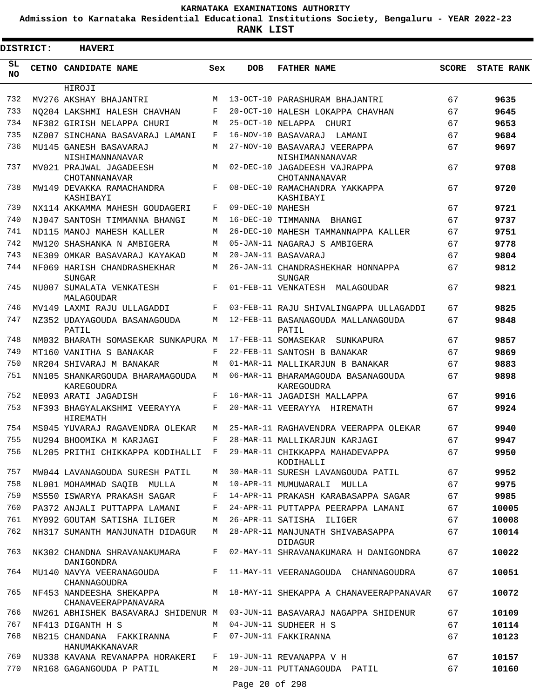**Admission to Karnataka Residential Educational Institutions Society, Bengaluru - YEAR 2022-23**

**RANK LIST**

Е

| <b>DISTRICT:</b> | <b>HAVERI</b>                                   |            |                  |                                                    |              |                   |
|------------------|-------------------------------------------------|------------|------------------|----------------------------------------------------|--------------|-------------------|
| SL<br><b>NO</b>  | CETNO CANDIDATE NAME                            | Sex        | <b>DOB</b>       | <b>FATHER NAME</b>                                 | <b>SCORE</b> | <b>STATE RANK</b> |
|                  | HIROJI                                          |            |                  |                                                    |              |                   |
| 732              | MV276 AKSHAY BHAJANTRI                          | M          |                  | 13-OCT-10 PARASHURAM BHAJANTRI                     | 67           | 9635              |
| 733              | NO204 LAKSHMI HALESH CHAVHAN                    | F          |                  | 20-OCT-10 HALESH LOKAPPA CHAVHAN                   | 67           | 9645              |
| 734              | NF382 GIRISH NELAPPA CHURI                      | M          |                  | 25-OCT-10 NELAPPA CHURI                            | 67           | 9653              |
| 735              | NZ007 SINCHANA BASAVARAJ LAMANI                 | F          |                  | 16-NOV-10 BASAVARAJ<br>LAMANI                      | 67           | 9684              |
| 736              | MU145 GANESH BASAVARAJ<br>NISHIMANNANAVAR       | M          |                  | 27-NOV-10 BASAVARAJ VEERAPPA<br>NISHIMANNANAVAR    | 67           | 9697              |
| 737              | MV021 PRAJWAL JAGADEESH<br>CHOTANNANAVAR        | M          |                  | 02-DEC-10 JAGADEESH VAJRAPPA<br>CHOTANNANAVAR      | 67           | 9708              |
| 738              | MW149 DEVAKKA RAMACHANDRA<br>KASHIBAYI          | F          |                  | 08-DEC-10 RAMACHANDRA YAKKAPPA<br>KASHIBAYI        | 67           | 9720              |
| 739              | NX114 AKKAMMA MAHESH GOUDAGERI                  | F          | 09-DEC-10 MAHESH |                                                    | 67           | 9721              |
| 740              | NJ047 SANTOSH TIMMANNA BHANGI                   | M          |                  | 16-DEC-10 TIMMANNA<br>BHANGI                       | 67           | 9737              |
| 741              | ND115 MANOJ MAHESH KALLER                       | М          |                  | 26-DEC-10 MAHESH TAMMANNAPPA KALLER                | 67           | 9751              |
| 742              | MW120 SHASHANKA N AMBIGERA                      | М          |                  | 05-JAN-11 NAGARAJ S AMBIGERA                       | 67           | 9778              |
| 743              | NE309 OMKAR BASAVARAJ KAYAKAD                   | M          |                  | 20-JAN-11 BASAVARAJ                                | 67           | 9804              |
| 744              | NF069 HARISH CHANDRASHEKHAR<br><b>SUNGAR</b>    | M          |                  | 26-JAN-11 CHANDRASHEKHAR HONNAPPA<br>SUNGAR        | 67           | 9812              |
| 745              | NU007 SUMALATA VENKATESH<br>MALAGOUDAR          | F          |                  | 01-FEB-11 VENKATESH MALAGOUDAR                     | 67           | 9821              |
| 746              | MV149 LAXMI RAJU ULLAGADDI                      | F          |                  | 03-FEB-11 RAJU SHIVALINGAPPA ULLAGADDI             | 67           | 9825              |
| 747              | NZ352 UDAYAGOUDA BASANAGOUDA<br>PATIL           | M          |                  | 12-FEB-11 BASANAGOUDA MALLANAGOUDA<br>PATIL        | 67           | 9848              |
| 748              | NM032 BHARATH SOMASEKAR SUNKAPURA M             |            |                  | 17-FEB-11 SOMASEKAR<br>SUNKAPURA                   | 67           | 9857              |
| 749              | MT160 VANITHA S BANAKAR                         | $_{\rm F}$ |                  | 22-FEB-11 SANTOSH B BANAKAR                        | 67           | 9869              |
| 750              | NR204 SHIVARAJ M BANAKAR                        | М          |                  | 01-MAR-11 MALLIKARJUN B BANAKAR                    | 67           | 9883              |
| 751              | NN105 SHANKARGOUDA BHARAMAGOUDA<br>KAREGOUDRA   | M          |                  | 06-MAR-11 BHARAMAGOUDA BASANAGOUDA<br>KAREGOUDRA   | 67           | 9898              |
| 752              | NE093 ARATI JAGADISH                            | F          |                  | 16-MAR-11 JAGADISH MALLAPPA                        | 67           | 9916              |
| 753              | NF393 BHAGYALAKSHMI VEERAYYA<br>HIREMATH        | F          |                  | 20-MAR-11 VEERAYYA HIREMATH                        | 67           | 9924              |
| 754              | MS045 YUVARAJ RAGAVENDRA OLEKAR                 | M          |                  | 25-MAR-11 RAGHAVENDRA VEERAPPA OLEKAR              | 67           | 9940              |
| 755              | NU294 BHOOMIKA M KARJAGI                        | F          |                  | 28-MAR-11 MALLIKARJUN KARJAGI                      | 67           | 9947              |
| 756              | NL205 PRITHI CHIKKAPPA KODIHALLI F              |            |                  | 29-MAR-11 CHIKKAPPA MAHADEVAPPA<br>KODIHALLI       | 67           | 9950              |
| 757              | MW044 LAVANAGOUDA SURESH PATIL                  | М          |                  | 30-MAR-11 SURESH LAVANGOUDA PATIL                  | 67           | 9952              |
| 758              | NL001 MOHAMMAD SAOIB MULLA                      | M          |                  | 10-APR-11 MUMUWARALI MULLA                         | 67           | 9975              |
| 759              | MS550 ISWARYA PRAKASH SAGAR                     | F          |                  | 14-APR-11 PRAKASH KARABASAPPA SAGAR                | 67           | 9985              |
| 760              | PA372 ANJALI PUTTAPPA LAMANI                    | F          |                  | 24-APR-11 PUTTAPPA PEERAPPA LAMANI                 | 67           | 10005             |
| 761              | MY092 GOUTAM SATISHA ILIGER                     | М          |                  | 26-APR-11 SATISHA ILIGER                           | 67           | 10008             |
| 762              | NH317 SUMANTH MANJUNATH DIDAGUR                 | M          |                  | 28-APR-11 MANJUNATH SHIVABASAPPA<br><b>DIDAGUR</b> | 67           | 10014             |
| 763              | NK302 CHANDNA SHRAVANAKUMARA<br>DANIGONDRA      | F          |                  | 02-MAY-11 SHRAVANAKUMARA H DANIGONDRA              | 67           | 10022             |
| 764              | MU140 NAVYA VEERANAGOUDA<br>CHANNAGOUDRA        | F          |                  | 11-MAY-11 VEERANAGOUDA CHANNAGOUDRA                | 67           | 10051             |
| 765              | NF453 NANDEESHA SHEKAPPA<br>CHANAVEERAPPANAVARA | M          |                  | 18-MAY-11 SHEKAPPA A CHANAVEERAPPANAVAR            | 67           | 10072             |
| 766              | NW261 ABHISHEK BASAVARAJ SHIDENUR M             |            |                  | 03-JUN-11 BASAVARAJ NAGAPPA SHIDENUR               | 67           | 10109             |
| 767              | NF413 DIGANTH H S                               | M          |                  | 04-JUN-11 SUDHEER H S                              | 67           | 10114             |
| 768              | NB215 CHANDANA FAKKIRANNA<br>HANUMAKKANAVAR     | F          |                  | 07-JUN-11 FAKKIRANNA                               | 67           | 10123             |
| 769              | NU338 KAVANA REVANAPPA HORAKERI                 | F          |                  | 19-JUN-11 REVANAPPA V H                            | 67           | 10157             |
| 770              | NR168 GAGANGOUDA P PATIL                        | M          |                  | 20-JUN-11 PUTTANAGOUDA PATIL                       | 67           | 10160             |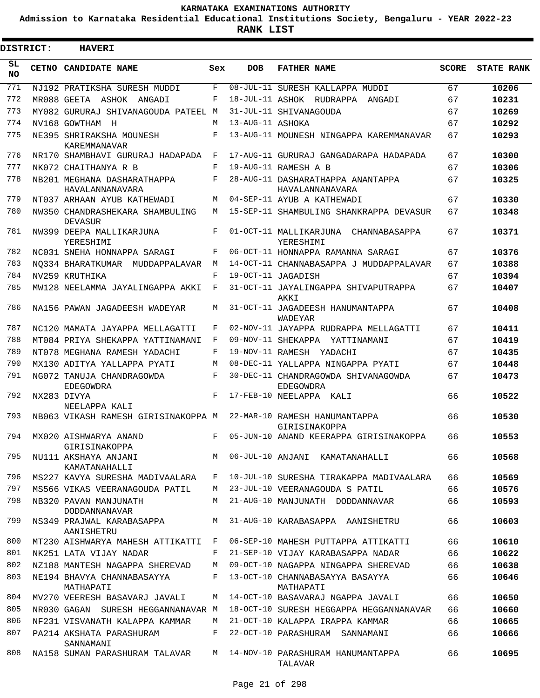**Admission to Karnataka Residential Educational Institutions Society, Bengaluru - YEAR 2022-23**

3

**RANK LIST**

| <b>DISTRICT:</b> | <b>HAVERI</b>                                                                      |     |                  |                                                      |              |                   |
|------------------|------------------------------------------------------------------------------------|-----|------------------|------------------------------------------------------|--------------|-------------------|
| SL<br><b>NO</b>  | CETNO CANDIDATE NAME                                                               | Sex | <b>DOB</b>       | <b>FATHER NAME</b>                                   | <b>SCORE</b> | <b>STATE RANK</b> |
| 771              | NJ192 PRATIKSHA SURESH MUDDI                                                       | F   |                  | 08-JUL-11 SURESH KALLAPPA MUDDI                      | 67           | 10206             |
| 772              | MR088 GEETA ASHOK ANGADI                                                           | F   |                  | 18-JUL-11 ASHOK RUDRAPPA ANGADI                      | 67           | 10231             |
| 773              | MY082 GURURAJ SHIVANAGOUDA PATEEL M                                                |     |                  | 31-JUL-11 SHIVANAGOUDA                               | 67           | 10269             |
| 774              | NV168 GOWTHAM H                                                                    | M   | 13-AUG-11 ASHOKA |                                                      | 67           | 10292             |
| 775              | NE395 SHRIRAKSHA MOUNESH<br>KAREMMANAVAR                                           | F   |                  | 13-AUG-11 MOUNESH NINGAPPA KAREMMANAVAR              | 67           | 10293             |
| 776              | NR170 SHAMBHAVI GURURAJ HADAPADA                                                   | F   |                  | 17-AUG-11 GURURAJ GANGADARAPA HADAPADA               | 67           | 10300             |
| 777              | NK072 CHAITHANYA R B                                                               | F   |                  | 19-AUG-11 RAMESH A B                                 | 67           | 10306             |
| 778              | NB201 MEGHANA DASHARATHAPPA<br>HAVALANNANAVARA                                     | F   |                  | 28-AUG-11 DASHARATHAPPA ANANTAPPA<br>HAVALANNANAVARA | 67           | 10325             |
| 779              | NT037 ARHAAN AYUB KATHEWADI                                                        | М   |                  | 04-SEP-11 AYUB A KATHEWADI                           | 67           | 10330             |
| 780              | NW350 CHANDRASHEKARA SHAMBULING<br><b>DEVASUR</b>                                  | М   |                  | 15-SEP-11 SHAMBULING SHANKRAPPA DEVASUR              | 67           | 10348             |
| 781              | NW399 DEEPA MALLIKARJUNA<br>YERESHIMI                                              | F   |                  | 01-OCT-11 MALLIKARJUNA CHANNABASAPPA<br>YERESHIMI    | 67           | 10371             |
| 782              | NC031 SNEHA HONNAPPA SARAGI                                                        | F   |                  | 06-OCT-11 HONNAPPA RAMANNA SARAGI                    | 67           | 10376             |
| 783              | NO334 BHARATKUMAR MUDDAPPALAVAR                                                    | M   |                  | 14-OCT-11 CHANNABASAPPA J MUDDAPPALAVAR              | 67           | 10388             |
| 784              | NV259 KRUTHIKA                                                                     | F   |                  | 19-OCT-11 JAGADISH                                   | 67           | 10394             |
| 785              | MW128 NEELAMMA JAYALINGAPPA AKKI                                                   | F   |                  | 31-OCT-11 JAYALINGAPPA SHIVAPUTRAPPA<br>AKKI         | 67           | 10407             |
| 786              | NA156 PAWAN JAGADEESH WADEYAR                                                      | М   |                  | 31-OCT-11 JAGADEESH HANUMANTAPPA<br>WADEYAR          | 67           | 10408             |
| 787              | NC120 MAMATA JAYAPPA MELLAGATTI                                                    | F   |                  | 02-NOV-11 JAYAPPA RUDRAPPA MELLAGATTI                | 67           | 10411             |
| 788              | MT084 PRIYA SHEKAPPA YATTINAMANI                                                   | F   |                  | 09-NOV-11 SHEKAPPA YATTINAMANI                       | 67           | 10419             |
| 789              | NT078 MEGHANA RAMESH YADACHI                                                       | F   |                  | 19-NOV-11 RAMESH YADACHI                             | 67           | 10435             |
| 790              | MX130 ADITYA YALLAPPA PYATI                                                        | М   |                  | 08-DEC-11 YALLAPPA NINGAPPA PYATI                    | 67           | 10448             |
| 791              | NG072 TANUJA CHANDRAGOWDA<br>EDEGOWDRA                                             | F   |                  | 30-DEC-11 CHANDRAGOWDA SHIVANAGOWDA<br>EDEGOWDRA     | 67           | 10473             |
| 792              | NX283 DIVYA                                                                        | F   |                  | 17-FEB-10 NEELAPPA KALI                              | 66           | 10522             |
| 793              | NEELAPPA KALI<br>NB063 VIKASH RAMESH GIRISINAKOPPA M 22-MAR-10 RAMESH HANUMANTAPPA |     |                  | GIRISINAKOPPA                                        | 66           | 10530             |
|                  | 794 MX020 AISHWARYA ANAND<br>GIRISINAKOPPA                                         |     |                  | F 05-JUN-10 ANAND KEERAPPA GIRISINAKOPPA             | 66           | 10553             |
| 795              | NU111 AKSHAYA ANJANI<br>KAMATANAHALLI                                              | M   |                  | 06-JUL-10 ANJANI KAMATANAHALLI                       | 66           | 10568             |
| 796              | MS227 KAVYA SURESHA MADIVAALARA                                                    | F   |                  | 10-JUL-10 SURESHA TIRAKAPPA MADIVAALARA              | 66           | 10569             |
| 797              | MS566 VIKAS VEERANAGOUDA PATIL                                                     | M   |                  | 23-JUL-10 VEERANAGOUDA S PATIL                       | 66           | 10576             |
| 798              | NB320 PAVAN MANJUNATH<br>DODDANNANAVAR                                             | M   |                  | 21-AUG-10 MANJUNATH DODDANNAVAR                      | 66           | 10593             |
| 799              | NS349 PRAJWAL KARABASAPPA<br>AANISHETRU                                            | M   |                  | 31-AUG-10 KARABASAPPA AANISHETRU                     | 66           | 10603             |
| 800              | MT230 AISHWARYA MAHESH ATTIKATTI                                                   | F   |                  | 06-SEP-10 MAHESH PUTTAPPA ATTIKATTI                  | 66           | 10610             |
| 801              | NK251 LATA VIJAY NADAR                                                             | F   |                  | 21-SEP-10 VIJAY KARABASAPPA NADAR                    | 66           | 10622             |
| 802              | NZ188 MANTESH NAGAPPA SHEREVAD                                                     | М   |                  | 09-OCT-10 NAGAPPA NINGAPPA SHEREVAD                  | 66           | 10638             |
| 803              | NE194 BHAVYA CHANNABASAYYA<br>MATHAPATI                                            | F   |                  | 13-OCT-10 CHANNABASAYYA BASAYYA<br>MATHAPATI         | 66           | 10646             |
| 804              | MV270 VEERESH BASAVARJ JAVALI                                                      | М   |                  | 14-OCT-10 BASAVARAJ NGAPPA JAVALI                    | 66           | 10650             |
| 805              | NR030 GAGAN SURESH HEGGANNANAVAR M                                                 |     |                  | 18-OCT-10 SURESH HEGGAPPA HEGGANNANAVAR              | 66           | 10660             |
| 806              | NF231 VISVANATH KALAPPA KAMMAR                                                     | M   |                  | 21-OCT-10 KALAPPA IRAPPA KAMMAR                      | 66           | 10665             |
| 807              | PA214 AKSHATA PARASHURAM<br>SANNAMANI                                              | F   |                  | 22-OCT-10 PARASHURAM SANNAMANI                       | 66           | 10666             |
| 808              | NA158 SUMAN PARASHURAM TALAVAR M 14-NOV-10 PARASHURAM HANUMANTAPPA                 |     |                  | TALAVAR                                              | 66           | 10695             |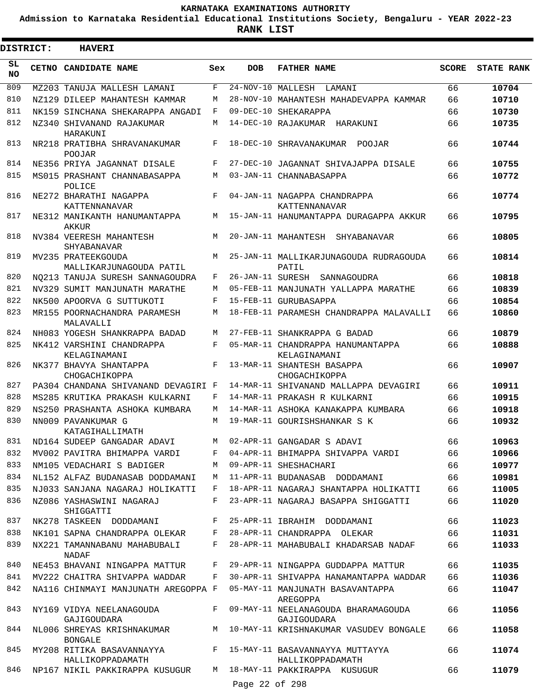**Admission to Karnataka Residential Educational Institutions Society, Bengaluru - YEAR 2022-23**

|                 | <b>DISTRICT:</b> | <b>HAVERI</b>                                                                  |     |                     |                                                                                      |              |                   |
|-----------------|------------------|--------------------------------------------------------------------------------|-----|---------------------|--------------------------------------------------------------------------------------|--------------|-------------------|
| SL<br><b>NO</b> |                  | CETNO CANDIDATE NAME                                                           | Sex | <b>DOB</b>          | <b>FATHER NAME</b>                                                                   | <b>SCORE</b> | <b>STATE RANK</b> |
| 809             |                  | MZ203 TANUJA MALLESH LAMANI                                                    | F   | $24-NOV-10$ MALLESH | LAMANI                                                                               | 66           | 10704             |
| 810             |                  | NZ129 DILEEP MAHANTESH KAMMAR                                                  | М   |                     | 28-NOV-10 MAHANTESH MAHADEVAPPA KAMMAR                                               | 66           | 10710             |
| 811             |                  | NK159 SINCHANA SHEKARAPPA ANGADI                                               | F   |                     | 09-DEC-10 SHEKARAPPA                                                                 | 66           | 10730             |
| 812             |                  | NZ340 SHIVANAND RAJAKUMAR<br>HARAKUNI                                          | M   |                     | 14-DEC-10 RAJAKUMAR HARAKUNI                                                         | 66           | 10735             |
| 813             |                  | NR218 PRATIBHA SHRAVANAKUMAR<br>POOJAR                                         | F   |                     | 18-DEC-10 SHRAVANAKUMAR POOJAR                                                       | 66           | 10744             |
| 814             |                  | NE356 PRIYA JAGANNAT DISALE                                                    | F   |                     | 27-DEC-10 JAGANNAT SHIVAJAPPA DISALE                                                 | 66           | 10755             |
| 815             |                  | MS015 PRASHANT CHANNABASAPPA<br>POLICE                                         | М   |                     | 03-JAN-11 CHANNABASAPPA                                                              | 66           | 10772             |
| 816             |                  | NE272 BHARATHI NAGAPPA<br>KATTENNANAVAR                                        | F   |                     | 04-JAN-11 NAGAPPA CHANDRAPPA<br>KATTENNANAVAR                                        | 66           | 10774             |
| 817             |                  | NE312 MANIKANTH HANUMANTAPPA<br>AKKUR                                          | M   |                     | 15-JAN-11 HANUMANTAPPA DURAGAPPA AKKUR                                               | 66           | 10795             |
| 818             |                  | NV384 VEERESH MAHANTESH<br>SHYABANAVAR                                         | М   |                     | 20-JAN-11 MAHANTESH SHYABANAVAR                                                      | 66           | 10805             |
| 819             |                  | MV235 PRATEEKGOUDA<br>MALLIKARJUNAGOUDA PATIL                                  | M   |                     | 25-JAN-11 MALLIKARJUNAGOUDA RUDRAGOUDA<br>PATIL                                      | 66           | 10814             |
| 820             |                  | NO213 TANUJA SURESH SANNAGOUDRA                                                | F   |                     | 26-JAN-11 SURESH SANNAGOUDRA                                                         | 66           | 10818             |
| 821             |                  | NV329 SUMIT MANJUNATH MARATHE                                                  | М   |                     | 05-FEB-11 MANJUNATH YALLAPPA MARATHE                                                 | 66           | 10839             |
| 822             |                  | NK500 APOORVA G SUTTUKOTI                                                      | F   |                     | 15-FEB-11 GURUBASAPPA                                                                | 66           | 10854             |
| 823             |                  | MR155 POORNACHANDRA PARAMESH<br>MALAVALLI                                      | М   |                     | 18-FEB-11 PARAMESH CHANDRAPPA MALAVALLI                                              | 66           | 10860             |
| 824             |                  | NH083 YOGESH SHANKRAPPA BADAD                                                  | M   |                     | 27-FEB-11 SHANKRAPPA G BADAD                                                         | 66           | 10879             |
| 825             |                  | NK412 VARSHINI CHANDRAPPA<br>KELAGINAMANI                                      | F   |                     | 05-MAR-11 CHANDRAPPA HANUMANTAPPA<br>KELAGINAMANI                                    | 66           | 10888             |
| 826<br>827      |                  | NK377 BHAVYA SHANTAPPA<br>CHOGACHIKOPPA<br>PA304 CHANDANA SHIVANAND DEVAGIRI F | F   |                     | 13-MAR-11 SHANTESH BASAPPA<br>CHOGACHIKOPPA<br>14-MAR-11 SHIVANAND MALLAPPA DEVAGIRI | 66<br>66     | 10907<br>10911    |
| 828             |                  | MS285 KRUTIKA PRAKASH KULKARNI                                                 | F   |                     | 14-MAR-11 PRAKASH R KULKARNI                                                         | 66           | 10915             |
| 829             |                  | NS250 PRASHANTA ASHOKA KUMBARA                                                 | М   |                     | 14-MAR-11 ASHOKA KANAKAPPA KUMBARA                                                   | 66           | 10918             |
| 830             |                  | NN009 PAVANKUMAR G<br>KATAGIHALLIMATH                                          | M   |                     | 19-MAR-11 GOURISHSHANKAR S K                                                         | 66           | 10932             |
| 831             |                  | ND164 SUDEEP GANGADAR ADAVI                                                    | M   |                     | 02-APR-11 GANGADAR S ADAVI                                                           | 66           | 10963             |
| 832             |                  | MV002 PAVITRA BHIMAPPA VARDI                                                   | F   |                     | 04-APR-11 BHIMAPPA SHIVAPPA VARDI                                                    | 66           | 10966             |
| 833             |                  | NM105 VEDACHARI S BADIGER                                                      | M   |                     | 09-APR-11 SHESHACHARI                                                                | 66           | 10977             |
| 834             |                  | NL152 ALFAZ BUDANASAB DODDAMANI                                                | M   |                     | 11-APR-11 BUDANASAB DODDAMANI                                                        | 66           | 10981             |
| 835             |                  | NJ033 SANJANA NAGARAJ HOLIKATTI                                                | F   |                     | 18-APR-11 NAGARAJ SHANTAPPA HOLIKATTI                                                | 66           | 11005             |
| 836             |                  | NZ086 YASHASWINI NAGARAJ<br>SHIGGATTI                                          | F   |                     | 23-APR-11 NAGARAJ BASAPPA SHIGGATTI                                                  | 66           | 11020             |
| 837             |                  | NK278 TASKEEN DODDAMANI                                                        | F   |                     | 25-APR-11 IBRAHIM DODDAMANI                                                          | 66           | 11023             |
| 838             |                  | NK101 SAPNA CHANDRAPPA OLEKAR                                                  | F   |                     | 28-APR-11 CHANDRAPPA OLEKAR                                                          | 66           | 11031             |
| 839             |                  | NX221 TAMANNABANU MAHABUBALI<br>NADAF                                          | F   |                     | 28-APR-11 MAHABUBALI KHADARSAB NADAF                                                 | 66           | 11033             |
| 840             |                  | NE453 BHAVANI NINGAPPA MATTUR                                                  | F   |                     | 29-APR-11 NINGAPPA GUDDAPPA MATTUR                                                   | 66           | 11035             |
| 841             |                  | MV222 CHAITRA SHIVAPPA WADDAR                                                  | F   |                     | 30-APR-11 SHIVAPPA HANAMANTAPPA WADDAR                                               | 66           | 11036             |
| 842             |                  | NA116 CHINMAYI MANJUNATH AREGOPPA F                                            |     |                     | 05-MAY-11 MANJUNATH BASAVANTAPPA<br>AREGOPPA                                         | 66           | 11047             |
| 843             |                  | NY169 VIDYA NEELANAGOUDA<br>GAJIGOUDARA                                        | F   |                     | 09-MAY-11 NEELANAGOUDA BHARAMAGOUDA<br>GAJIGOUDARA                                   | 66           | 11056             |
| 844             |                  | NL006 SHREYAS KRISHNAKUMAR<br><b>BONGALE</b>                                   |     |                     | M 10-MAY-11 KRISHNAKUMAR VASUDEV BONGALE                                             | 66           | 11058             |
| 845             |                  | MY208 RITIKA BASAVANNAYYA<br>HALLIKOPPADAMATH                                  |     |                     | F 15-MAY-11 BASAVANNAYYA MUTTAYYA<br>HALLIKOPPADAMATH                                | 66           | 11074             |
| 846             |                  | NP167 NIKIL PAKKIRAPPA KUSUGUR M 18-MAY-11 PAKKIRAPPA KUSUGUR                  |     | Page 22 of 298      |                                                                                      | 66           | 11079             |
|                 |                  |                                                                                |     |                     |                                                                                      |              |                   |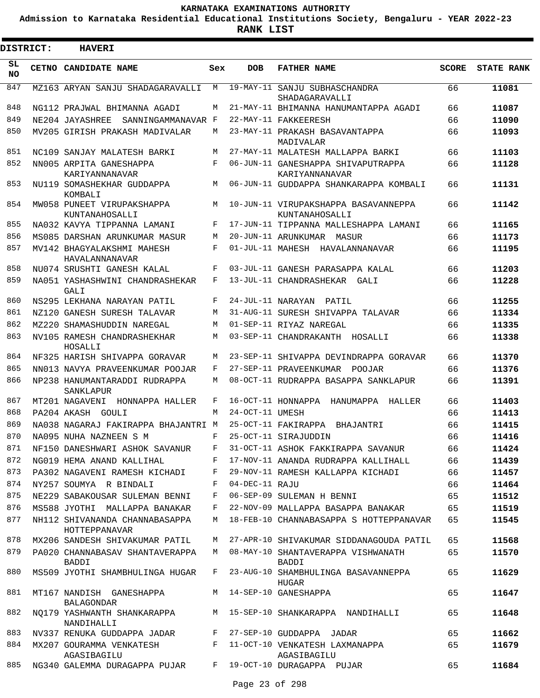**Admission to Karnataka Residential Educational Institutions Society, Bengaluru - YEAR 2022-23**

 $\blacksquare$ 

**RANK LIST**

| <b>DISTRICT:</b> | <b>HAVERI</b>                                             |              |                 |                                                                          |              |                   |
|------------------|-----------------------------------------------------------|--------------|-----------------|--------------------------------------------------------------------------|--------------|-------------------|
| SL.<br>NO.       | CETNO CANDIDATE NAME                                      | Sex          | <b>DOB</b>      | <b>FATHER NAME</b>                                                       | <b>SCORE</b> | <b>STATE RANK</b> |
| 847              | MZ163 ARYAN SANJU SHADAGARAVALLI                          | М            |                 | 19-MAY-11 SANJU SUBHASCHANDRA<br>SHADAGARAVALLI                          | 66           | 11081             |
| 848              | NG112 PRAJWAL BHIMANNA AGADI                              | М            |                 | 21-MAY-11 BHIMANNA HANUMANTAPPA AGADI                                    | 66           | 11087             |
| 849              | NE204 JAYASHREE<br>SANNINGAMMANAVAR F                     |              |                 | 22-MAY-11 FAKKEERESH                                                     | 66           | 11090             |
| 850              | MV205 GIRISH PRAKASH MADIVALAR                            | M            |                 | 23-MAY-11 PRAKASH BASAVANTAPPA<br>MADIVALAR                              | 66           | 11093             |
| 851              | NC109 SANJAY MALATESH BARKI                               | М            |                 | 27-MAY-11 MALATESH MALLAPPA BARKI                                        | 66           | 11103             |
| 852              | NN005 ARPITA GANESHAPPA<br>KARIYANNANAVAR                 | F            |                 | 06-JUN-11 GANESHAPPA SHIVAPUTRAPPA<br>KARIYANNANAVAR                     | 66           | 11128             |
| 853              | NU119 SOMASHEKHAR GUDDAPPA<br>KOMBALI                     | М            |                 | 06-JUN-11 GUDDAPPA SHANKARAPPA KOMBALI                                   | 66           | 11131             |
| 854              | MW058 PUNEET VIRUPAKSHAPPA<br>KUNTANAHOSALLI              | M            |                 | 10-JUN-11 VIRUPAKSHAPPA BASAVANNEPPA<br>KUNTANAHOSALLI                   | 66           | 11142             |
| 855              | NA032 KAVYA TIPPANNA LAMANI                               | F            |                 | 17-JUN-11 TIPPANNA MALLESHAPPA LAMANI                                    | 66           | 11165             |
| 856              | MS085 DARSHAN ARUNKUMAR MASUR                             | М            |                 | 20-JUN-11 ARUNKUMAR MASUR                                                | 66           | 11173             |
| 857              | MV142 BHAGYALAKSHMI MAHESH<br>HAVALANNANAVAR              | F            |                 | 01-JUL-11 MAHESH HAVALANNANAVAR                                          | 66           | 11195             |
| 858              | NU074 SRUSHTI GANESH KALAL                                | F            |                 | 03-JUL-11 GANESH PARASAPPA KALAL                                         | 66           | 11203             |
| 859              | NA051 YASHASHWINI CHANDRASHEKAR<br>GALI                   | F            |                 | 13-JUL-11 CHANDRASHEKAR GALI                                             | 66           | 11228             |
| 860              | NS295 LEKHANA NARAYAN PATIL                               | F            |                 | 24-JUL-11 NARAYAN PATIL                                                  | 66           | 11255             |
| 861              | NZ120 GANESH SURESH TALAVAR                               | М            |                 | 31-AUG-11 SURESH SHIVAPPA TALAVAR                                        | 66           | 11334             |
| 862              | MZ220 SHAMASHUDDIN NAREGAL                                | М            |                 | 01-SEP-11 RIYAZ NAREGAL                                                  | 66           | 11335             |
| 863              | NV105 RAMESH CHANDRASHEKHAR<br>HOSALLI                    | M            |                 | 03-SEP-11 CHANDRAKANTH HOSALLI                                           | 66           | 11338             |
| 864              | NF325 HARISH SHIVAPPA GORAVAR                             | M            |                 | 23-SEP-11 SHIVAPPA DEVINDRAPPA GORAVAR                                   | 66           | 11370             |
| 865              | NN013 NAVYA PRAVEENKUMAR POOJAR                           | F            |                 | 27-SEP-11 PRAVEENKUMAR POOJAR                                            | 66           | 11376             |
| 866              | NP238 HANUMANTARADDI RUDRAPPA<br>SANKLAPUR                | M            |                 | 08-OCT-11 RUDRAPPA BASAPPA SANKLAPUR                                     | 66           | 11391             |
| 867              | MT201 NAGAVENI HONNAPPA HALLER                            | F            |                 | 16-OCT-11 HONNAPPA HANUMAPPA HALLER                                      | 66           | 11403             |
| 868              | PA204 AKASH GOULI                                         | M            | 24-OCT-11 UMESH |                                                                          | 66           | 11413             |
| 869              | NA038 NAGARAJ FAKIRAPPA BHAJANTRI M                       |              |                 | 25-OCT-11 FAKIRAPPA BHAJANTRI                                            | 66           | 11415             |
| 870              | NA095 NUHA NAZNEEN S M                                    | F            |                 | 25-OCT-11 SIRAJUDDIN                                                     | 66           | 11416             |
| 871              | NF150 DANESHWARI ASHOK SAVANUR F                          |              |                 | 31-OCT-11 ASHOK FAKKIRAPPA SAVANUR                                       | 66           | 11424             |
| 872              | NG019 HEMA ANAND KALLIHAL                                 | F            |                 | 17-NOV-11 ANANDA RUDRAPPA KALLIHALL 66                                   |              | 11439             |
| 873              | PA302 NAGAVENI RAMESH KICHADI F                           |              |                 | 29-NOV-11 RAMESH KALLAPPA KICHADI 66                                     |              | 11457             |
| 874              | NY257 SOUMYA R BINDALI                                    | F            | 04-DEC-11 RAJU  |                                                                          | 66           | 11464             |
| 875              | NE229 SABAKOUSAR SULEMAN BENNI                            | $\mathbf{F}$ |                 | 06-SEP-09 SULEMAN H BENNI                                                | 65           | 11512             |
| 876              | MS588 JYOTHI MALLAPPA BANAKAR                             | F            |                 | 22-NOV-09 MALLAPPA BASAPPA BANAKAR                                       | 65           | 11519             |
| 877              | NH112 SHIVANANDA CHANNABASAPPA<br>HOTTEPPANAVAR           | М            |                 | 18-FEB-10 CHANNABASAPPA S HOTTEPPANAVAR                                  | 65           | 11545             |
| 878              | MX206 SANDESH SHIVAKUMAR PATIL                            |              |                 | M 27-APR-10 SHIVAKUMAR SIDDANAGOUDA PATIL                                | 65           | 11568             |
| 879              | PA020 CHANNABASAV SHANTAVERAPPA<br>BADDI                  | M            |                 | 08-MAY-10 SHANTAVERAPPA VISHWANATH<br>BADDI                              | 65           | 11570             |
| 880              | MS509 JYOTHI SHAMBHULINGA HUGAR                           |              |                 | F 23-AUG-10 SHAMBHULINGA BASAVANNEPPA<br><b>HUGAR</b>                    | 65           | 11629             |
| 881              | MT167 NANDISH GANESHAPPA<br>BALAGONDAR                    |              |                 | M 14-SEP-10 GANESHAPPA                                                   | 65           | 11647             |
| 882              | NANDIHALLI                                                |              |                 | NQ179 YASHWANTH SHANKARAPPA M 15-SEP-10 SHANKARAPPA NANDIHALLI           | 65           | 11648             |
| 883              | NV337 RENUKA GUDDAPPA JADAR F 27-SEP-10 GUDDAPPA JADAR    |              |                 |                                                                          | 65           | 11662             |
| 884              | AGASIBAGILU                                               |              |                 | MX207 GOURAMMA VENKATESH F 11-OCT-10 VENKATESH LAXMANAPPA<br>AGASIBAGILU | 65           | 11679             |
| 885              | NG340 GALEMMA DURAGAPPA PUJAR F 19-OCT-10 DURAGAPPA PUJAR |              |                 |                                                                          | 65           | 11684             |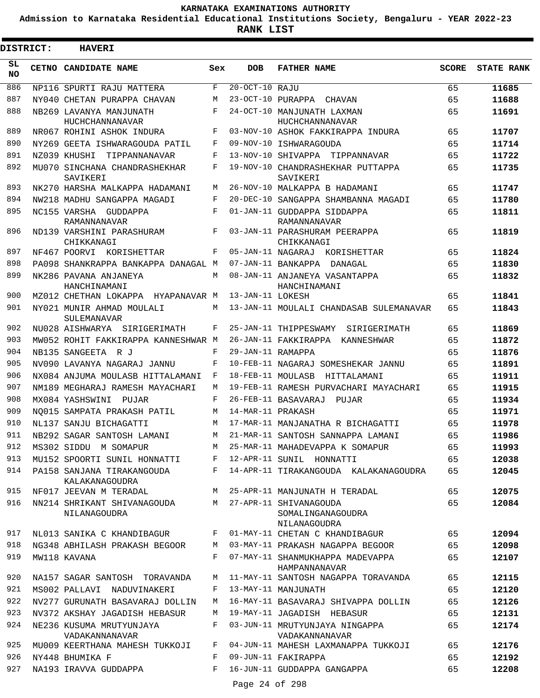**Admission to Karnataka Residential Educational Institutions Society, Bengaluru - YEAR 2022-23**

 $\blacksquare$ 

**RANK LIST**

Е

| <b>DISTRICT:</b> | <b>HAVERI</b>                                |            |                   |                                                             |              |                   |
|------------------|----------------------------------------------|------------|-------------------|-------------------------------------------------------------|--------------|-------------------|
| SL.<br>NO.       | CETNO CANDIDATE NAME                         | Sex        | <b>DOB</b>        | <b>FATHER NAME</b>                                          | <b>SCORE</b> | <b>STATE RANK</b> |
| 886              | NP116 SPURTI RAJU MATTERA                    | F          | 20-OCT-10 RAJU    |                                                             | 65           | 11685             |
| 887              | NY040 CHETAN PURAPPA CHAVAN                  | М          |                   | 23-OCT-10 PURAPPA CHAVAN                                    | 65           | 11688             |
| 888              | NB269 LAVANYA MANJUNATH                      | F          |                   | 24-OCT-10 MANJUNATH LAXMAN                                  | 65           | 11691             |
| 889              | HUCHCHANNANAVAR<br>NR067 ROHINI ASHOK INDURA | F          |                   | HUCHCHANNANAVAR<br>03-NOV-10 ASHOK FAKKIRAPPA INDURA        | 65           | 11707             |
| 890              | NY269 GEETA ISHWARAGOUDA PATIL               | F          |                   | 09-NOV-10 ISHWARAGOUDA                                      | 65           | 11714             |
| 891              | NZ039 KHUSHI TIPPANNANAVAR                   | F          |                   | 13-NOV-10 SHIVAPPA TIPPANNAVAR                              | 65           | 11722             |
| 892              | MU070 SINCHANA CHANDRASHEKHAR                | F          |                   | 19-NOV-10 CHANDRASHEKHAR PUTTAPPA                           | 65           | 11735             |
|                  | SAVIKERI                                     |            |                   | SAVIKERI                                                    |              |                   |
| 893              | NK270 HARSHA MALKAPPA HADAMANI               | M          |                   | 26-NOV-10 MALKAPPA B HADAMANI                               | 65           | 11747             |
| 894              | NW218 MADHU SANGAPPA MAGADI                  | F          |                   | 20-DEC-10 SANGAPPA SHAMBANNA MAGADI                         | 65           | 11780             |
| 895              | NC155 VARSHA GUDDAPPA                        | $_{\rm F}$ |                   | 01-JAN-11 GUDDAPPA SIDDAPPA                                 | 65           | 11811             |
|                  | RAMANNANAVAR                                 |            |                   | RAMANNANAVAR                                                |              |                   |
| 896              | ND139 VARSHINI PARASHURAM<br>CHIKKANAGI      | F          |                   | 03-JAN-11 PARASHURAM PEERAPPA<br>CHIKKANAGI                 | 65           | 11819             |
| 897              | NF467 POORVI KORISHETTAR                     | F          |                   | 05-JAN-11 NAGARAJ KORISHETTAR                               | 65           | 11824             |
| 898              | PA098 SHANKRAPPA BANKAPPA DANAGAL M          |            |                   | 07-JAN-11 BANKAPPA DANAGAL                                  | 65           | 11830             |
| 899              | NK286 PAVANA ANJANEYA<br>HANCHINAMANI        | M          |                   | 08-JAN-11 ANJANEYA VASANTAPPA<br>HANCHINAMANI               | 65           | 11832             |
| 900              | MZ012 CHETHAN LOKAPPA HYAPANAVAR M           |            | 13-JAN-11 LOKESH  |                                                             | 65           | 11841             |
| 901              | NY021 MUNIR AHMAD MOULALI<br>SULEMANAVAR     | M          |                   | 13-JAN-11 MOULALI CHANDASAB SULEMANAVAR                     | 65           | 11843             |
| 902              | NU028 AISHWARYA SIRIGERIMATH                 | F          |                   | 25-JAN-11 THIPPESWAMY SIRIGERIMATH                          | 65           | 11869             |
| 903              | MW052 ROHIT FAKKIRAPPA KANNESHWAR M          |            |                   | 26-JAN-11 FAKKIRAPPA KANNESHWAR                             | 65           | 11872             |
| 904              | NB135 SANGEETA R J                           | F          | 29-JAN-11 RAMAPPA |                                                             | 65           | 11876             |
| 905              | NV090 LAVANYA NAGARAJ JANNU                  | F          |                   | 10-FEB-11 NAGARAJ SOMESHEKAR JANNU                          | 65           | 11891             |
| 906              | NX084 ANJUMA MOULASB HITTALAMANI             | F          |                   | 18-FEB-11 MOULASB HITTALAMANI                               | 65           | 11911             |
| 907              | NM189 MEGHARAJ RAMESH MAYACHARI              | M          |                   | 19-FEB-11 RAMESH PURVACHARI MAYACHARI                       | 65           | 11915             |
| 908              | MX084 YASHSWINI PUJAR                        | F          |                   | 26-FEB-11 BASAVARAJ PUJAR                                   | 65           | 11934             |
| 909              | NO015 SAMPATA PRAKASH PATIL                  | M          | 14-MAR-11 PRAKASH |                                                             | 65           | 11971             |
| 910              | NL137 SANJU BICHAGATTI                       | M          |                   | 17-MAR-11 MANJANATHA R BICHAGATTI                           | 65           | 11978             |
| 911              | NB292 SAGAR SANTOSH LAMANI                   | M          |                   | 21-MAR-11 SANTOSH SANNAPPA LAMANI                           | 65           | 11986             |
| 912              | MS302 SIDDU M SOMAPUR                        | M          |                   | 25-MAR-11 MAHADEVAPPA K SOMAPUR                             | 65           | 11993             |
| 913              | MU152 SPOORTI SUNIL HONNATTI                 | F          |                   | 12-APR-11 SUNIL HONNATTI                                    | 65           | 12038             |
| 914              | PA158 SANJANA TIRAKANGOUDA<br>KALAKANAGOUDRA | F          |                   | 14-APR-11 TIRAKANGOUDA KALAKANAGOUDRA                       | 65           | 12045             |
| 915              | NF017 JEEVAN M TERADAL                       | М          |                   | 25-APR-11 MANJUNATH H TERADAL                               | 65           | 12075             |
| 916              | NN214 SHRIKANT SHIVANAGOUDA<br>NILANAGOUDRA  | M          |                   | 27-APR-11 SHIVANAGOUDA<br>SOMALINGANAGOUDRA<br>NILANAGOUDRA | 65           | 12084             |
| 917              | NL013 SANIKA C KHANDIBAGUR                   | F          |                   | 01-MAY-11 CHETAN C KHANDIBAGUR                              | 65           | 12094             |
| 918              | NG348 ABHILASH PRAKASH BEGOOR                | М          |                   | 03-MAY-11 PRAKASH NAGAPPA BEGOOR                            | 65           | 12098             |
| 919              | MW118 KAVANA                                 | F          |                   | 07-MAY-11 SHANMUKHAPPA MADEVAPPA<br>HAMPANNANAVAR           | 65           | 12107             |
| 920              | NA157 SAGAR SANTOSH TORAVANDA                | М          |                   | 11-MAY-11 SANTOSH NAGAPPA TORAVANDA                         | 65           | 12115             |
| 921              | MS002 PALLAVI NADUVINAKERI                   | F          |                   | 13-MAY-11 MANJUNATH                                         | 65           | 12120             |
| 922              | NV277 GURUNATH BASAVARAJ DOLLIN              | М          |                   | 16-MAY-11 BASAVARAJ SHIVAPPA DOLLIN                         | 65           | 12126             |
| 923              | NV372 AKSHAY JAGADISH HEBASUR                | М          |                   | 19-MAY-11 JAGADISH HEBASUR                                  | 65           | 12131             |
| 924              | NE236 KUSUMA MRUTYUNJAYA<br>VADAKANNANAVAR   | F          |                   | 03-JUN-11 MRUTYUNJAYA NINGAPPA<br>VADAKANNANAVAR            | 65           | 12174             |
| 925              | MU009 KEERTHANA MAHESH TUKKOJI               | F          |                   | 04-JUN-11 MAHESH LAXMANAPPA TUKKOJI                         | 65           | 12176             |
| 926              | NY448 BHUMIKA F                              | F          |                   | 09-JUN-11 FAKIRAPPA                                         | 65           | 12192             |
| 927              | NA193 IRAVVA GUDDAPPA                        | F          |                   | 16-JUN-11 GUDDAPPA GANGAPPA                                 | 65           | 12208             |

Page 24 of 298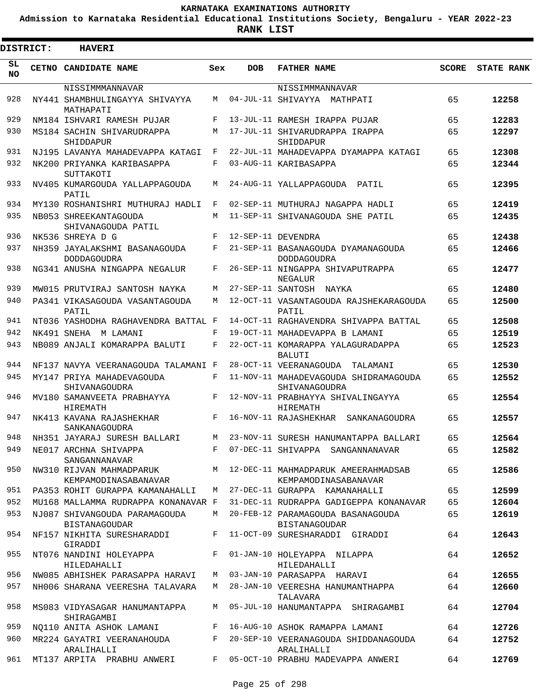**Admission to Karnataka Residential Educational Institutions Society, Bengaluru - YEAR 2022-23**

**RANK LIST**

Е

| DISTRICT:       | <b>HAVERI</b>                                       |         |            |                                                                |              |                   |
|-----------------|-----------------------------------------------------|---------|------------|----------------------------------------------------------------|--------------|-------------------|
| SL<br><b>NO</b> | CETNO CANDIDATE NAME                                | Sex     | <b>DOB</b> | <b>FATHER NAME</b>                                             | <b>SCORE</b> | <b>STATE RANK</b> |
|                 | NISSIMMMANNAVAR                                     |         |            | NISSIMMMANNAVAR                                                |              |                   |
| 928             | NY441 SHAMBHULINGAYYA SHIVAYYA<br>MATHAPATI         | M       |            | 04-JUL-11 SHIVAYYA MATHPATI                                    | 65           | 12258             |
| 929             | NM184 ISHVARI RAMESH PUJAR                          | F       |            | 13-JUL-11 RAMESH IRAPPA PUJAR                                  | 65           | 12283             |
| 930             | MS184 SACHIN SHIVARUDRAPPA<br>SHIDDAPUR             | М       |            | 17-JUL-11 SHIVARUDRAPPA IRAPPA<br>SHIDDAPUR                    | 65           | 12297             |
| 931             | NJ195 LAVANYA MAHADEVAPPA KATAGI                    | F       |            | 22-JUL-11 MAHADEVAPPA DYAMAPPA KATAGI                          | 65           | 12308             |
| 932             | NK200 PRIYANKA KARIBASAPPA<br>SUTTAKOTI             | F       |            | 03-AUG-11 KARIBASAPPA                                          | 65           | 12344             |
| 933             | NV405 KUMARGOUDA YALLAPPAGOUDA<br>PATIL             | M       |            | 24-AUG-11 YALLAPPAGOUDA PATIL                                  | 65           | 12395             |
| 934             | MY130 ROSHANISHRI MUTHURAJ HADLI                    | F       |            | 02-SEP-11 MUTHURAJ NAGAPPA HADLI                               | 65           | 12419             |
| 935             | NB053 SHREEKANTAGOUDA<br>SHIVANAGOUDA PATIL         | М       |            | 11-SEP-11 SHIVANAGOUDA SHE PATIL                               | 65           | 12435             |
| 936             | NK536 SHREYA D G                                    | F       |            | 12-SEP-11 DEVENDRA                                             | 65           | 12438             |
| 937             | NH359 JAYALAKSHMI BASANAGOUDA<br><b>DODDAGOUDRA</b> | F       |            | 21-SEP-11 BASANAGOUDA DYAMANAGOUDA<br><b>DODDAGOUDRA</b>       | 65           | 12466             |
| 938             | NG341 ANUSHA NINGAPPA NEGALUR                       | F       |            | 26-SEP-11 NINGAPPA SHIVAPUTRAPPA<br>NEGALUR                    | 65           | 12477             |
| 939             | MW015 PRUTVIRAJ SANTOSH NAYKA                       | М       |            | 27-SEP-11 SANTOSH NAYKA                                        | 65           | 12480             |
| 940             | PA341 VIKASAGOUDA VASANTAGOUDA<br>PATIL             | M       |            | 12-OCT-11 VASANTAGOUDA RAJSHEKARAGOUDA<br>PATIL                | 65           | 12500             |
| 941             | NT036 YASHODHA RAGHAVENDRA BATTAL F                 |         |            | 14-OCT-11 RAGHAVENDRA SHIVAPPA BATTAL                          | 65           | 12508             |
| 942             | NK491 SNEHA M LAMANI                                | F       |            | 19-OCT-11 MAHADEVAPPA B LAMANI                                 | 65           | 12519             |
| 943             | NB089 ANJALI KOMARAPPA BALUTI                       | F       |            | 22-OCT-11 KOMARAPPA YALAGURADAPPA<br><b>BALUTI</b>             | 65           | 12523             |
| 944             | NF137 NAVYA VEERANAGOUDA TALAMANI F                 |         |            | 28-OCT-11 VEERANAGOUDA<br>TALAMANI                             | 65           | 12530             |
| 945             | MY147 PRIYA MAHADEVAGOUDA<br>SHIVANAGOUDRA          | F       |            | 11-NOV-11 MAHADEVAGOUDA SHIDRAMAGOUDA<br>SHIVANAGOUDRA         | 65           | 12552             |
| 946             | MV180 SAMANVEETA PRABHAYYA<br><b>HIREMATH</b>       | F       |            | 12-NOV-11 PRABHAYYA SHIVALINGAYYA<br><b>HIREMATH</b>           | 65           | 12554             |
| 947             | NK413 KAVANA RAJASHEKHAR<br>SANKANAGOUDRA           | F       |            | 16-NOV-11 RAJASHEKHAR SANKANAGOUDRA                            | 65           | 12557             |
| 948             | NH351 JAYARAJ SURESH BALLARI                        |         |            | M 23-NOV-11 SURESH HANUMANTAPPA BALLARI                        | 65           | 12564             |
| 949             | NE017 ARCHNA SHIVAPPA<br>SANGANNANAVAR              | $F -$   |            | 07-DEC-11 SHIVAPPA SANGANNANAVAR                               | 65           | 12582             |
| 950             | NW310 RIJVAN MAHMADPARUK<br>KEMPAMODINASABANAVAR    |         |            | M 12-DEC-11 MAHMADPARIIK AMEERAHMADSAB<br>KEMPAMODINASABANAVAR | 65           | 12586             |
| 951             | PA353 ROHIT GURAPPA KAMANAHALLI                     | M       |            | 27-DEC-11 GURAPPA KAMANAHALLI                                  | 65           | 12599             |
| 952             | MU168 MALLAMMA RUDRAPPA KONANAVAR F                 |         |            | 31-DEC-11 RUDRAPPA GADIGEPPA KONANAVAR                         | 65           | 12604             |
| 953             | NJ087 SHIVANGOUDA PARAMAGOUDA<br>BISTANAGOUDAR      | M       |            | 20-FEB-12 PARAMAGOUDA BASANAGOUDA<br>BISTANAGOUDAR             | 65           | 12619             |
| 954             | NF157 NIKHITA SURESHARADDI<br>GIRADDI               | $F -$   |            | 11-OCT-09 SURESHARADDI GIRADDI                                 | 64           | 12643             |
| 955             | NT076 NANDINI HOLEYAPPA<br>HILEDAHALLI              | $F$ and |            | 01-JAN-10 HOLEYAPPA NILAPPA<br>HILEDAHALLI                     | 64           | 12652             |
| 956             | NW085 ABHISHEK PARASAPPA HARAVI                     |         |            | M 03-JAN-10 PARASAPPA HARAVI                                   | 64           | 12655             |
| 957             | NH006 SHARANA VEERESHA TALAVARA                     | M       |            | 28-JAN-10 VEERESHA HANUMANTHAPPA<br>TALAVARA                   | 64           | 12660             |
| 958             | MS083 VIDYASAGAR HANUMANTAPPA<br>SHIRAGAMBI         | M       |            | 05-JUL-10 HANUMANTAPPA SHIRAGAMBI                              | 64           | 12704             |
| 959             | NO110 ANITA ASHOK LAMANI                            | F       |            | 16-AUG-10 ASHOK RAMAPPA LAMANI                                 | 64           | 12726             |
| 960             | MR224 GAYATRI VEERANAHOUDA<br>ARALIHALLI            | F       |            | 20-SEP-10 VEERANAGOUDA SHIDDANAGOUDA<br>ARALIHALLI             | 64           | 12752             |
| 961             | MT137 ARPITA PRABHU ANWERI                          | F       |            | 05-OCT-10 PRABHU MADEVAPPA ANWERI                              | 64           | 12769             |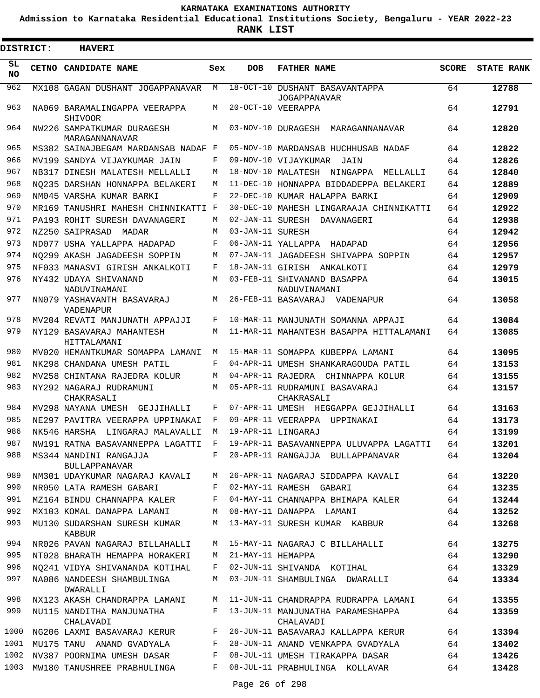**Admission to Karnataka Residential Educational Institutions Society, Bengaluru - YEAR 2022-23**

**RANK LIST**

 $\blacksquare$ 

| <b>DISTRICT:</b> |  | <b>HAVERI</b>                                  |              |                   |                                                       |              |                   |
|------------------|--|------------------------------------------------|--------------|-------------------|-------------------------------------------------------|--------------|-------------------|
| SL.<br>NO.       |  | CETNO CANDIDATE NAME                           | Sex          | <b>DOB</b>        | <b>FATHER NAME</b>                                    | <b>SCORE</b> | <b>STATE RANK</b> |
| 962              |  | MX108 GAGAN DUSHANT JOGAPPANAVAR               | М            |                   | 18-OCT-10 DUSHANT BASAVANTAPPA<br><b>JOGAPPANAVAR</b> | 64           | 12788             |
| 963              |  | NA069 BARAMALINGAPPA VEERAPPA<br>SHIVOOR       | М            |                   | 20-OCT-10 VEERAPPA                                    | 64           | 12791             |
| 964              |  | NW226 SAMPATKUMAR DURAGESH<br>MARAGANNANAVAR   | М            |                   | 03-NOV-10 DURAGESH MARAGANNANAVAR                     | 64           | 12820             |
| 965              |  | MS382 SAINAJBEGAM MARDANSAB NADAF F            |              |                   | 05-NOV-10 MARDANSAB HUCHHUSAB NADAF                   | 64           | 12822             |
| 966              |  | MV199 SANDYA VIJAYKUMAR JAIN                   | F            |                   | 09-NOV-10 VIJAYKUMAR<br>JAIN                          | 64           | 12826             |
| 967              |  | NB317 DINESH MALATESH MELLALLI                 | M            |                   | 18-NOV-10 MALATESH NINGAPPA<br>MELLALLI               | 64           | 12840             |
| 968              |  | NO235 DARSHAN HONNAPPA BELAKERI                | М            |                   | 11-DEC-10 HONNAPPA BIDDADEPPA BELAKERI                | 64           | 12889             |
| 969              |  | NM045 VARSHA KUMAR BARKI                       | F            |                   | 22-DEC-10 KUMAR HALAPPA BARKI                         | 64           | 12909             |
| 970              |  | MR169 TANUSHRI MAHESH CHINNIKATTI F            |              |                   | 30-DEC-10 MAHESH LINGARAAJA CHINNIKATTI               | 64           | 12922             |
| 971              |  | PA193 ROHIT SURESH DAVANAGERI                  | М            |                   | 02-JAN-11 SURESH DAVANAGERI                           | 64           | 12938             |
| 972              |  | NZ250 SAIPRASAD MADAR                          | M            | 03-JAN-11 SURESH  |                                                       | 64           | 12942             |
| 973              |  | ND077 USHA YALLAPPA HADAPAD                    | F            |                   | 06-JAN-11 YALLAPPA HADAPAD                            | 64           | 12956             |
| 974              |  | NQ299 AKASH JAGADEESH SOPPIN                   | М            |                   | 07-JAN-11 JAGADEESH SHIVAPPA SOPPIN                   | 64           | 12957             |
| 975              |  | NF033 MANASVI GIRISH ANKALKOTI                 | F            |                   | 18-JAN-11 GIRISH ANKALKOTI                            | 64           | 12979             |
| 976              |  | NY432 UDAYA SHIVANAND<br>NADUVINAMANI          | М            |                   | 03-FEB-11 SHIVANAND BASAPPA<br>NADUVINAMANI           | 64           | 13015             |
| 977              |  | NN079 YASHAVANTH BASAVARAJ<br>VADENAPUR        | M            |                   | 26-FEB-11 BASAVARAJ VADENAPUR                         | 64           | 13058             |
| 978              |  | MV204 REVATI MANJUNATH APPAJJI                 | F            |                   | 10-MAR-11 MANJUNATH SOMANNA APPAJI                    | 64           | 13084             |
| 979              |  | NY129 BASAVARAJ MAHANTESH<br>HITTALAMANI       | M            |                   | 11-MAR-11 MAHANTESH BASAPPA HITTALAMANI               | 64           | 13085             |
| 980              |  | MV020 HEMANTKUMAR SOMAPPA LAMANI               | М            |                   | 15-MAR-11 SOMAPPA KUBEPPA LAMANI                      | 64           | 13095             |
| 981              |  | NK298 CHANDANA UMESH PATIL                     | F            |                   | 04-APR-11 UMESH SHANKARAGOUDA PATIL                   | 64           | 13153             |
| 982              |  | MV258 CHINTANA RAJEDRA KOLUR                   | М            |                   | 04-APR-11 RAJEDRA CHINNAPPA KOLUR                     | 64           | 13155             |
| 983              |  | NY292 NAGARAJ RUDRAMUNI<br>CHAKRASALI          | М            |                   | 05-APR-11 RUDRAMUNI BASAVARAJ<br>CHAKRASALI           | 64           | 13157             |
| 984              |  | MV298 NAYANA UMESH GEJJIHALLI                  | F            |                   | 07-APR-11 UMESH HEGGAPPA GEJJIHALLI                   | 64           | 13163             |
| 985              |  | NE297 PAVITRA VEERAPPA UPPINAKAI               | F            |                   | 09-APR-11 VEERAPPA<br>UPPINAKAI                       | 64           | 13173             |
| 986              |  | NK546 HARSHA LINGARAJ MALAVALLI                | М            |                   | 19-APR-11 LINGARAJ                                    | 64           | 13199             |
| 987              |  | NW191 RATNA BASAVANNEPPA LAGATTI               | $\mathbf{F}$ |                   | 19-APR-11 BASAVANNEPPA ULUVAPPA LAGATTI               | 64           | 13201             |
| 988              |  | MS344 NANDINI RANGAJJA<br><b>BULLAPPANAVAR</b> | F            |                   | 20-APR-11 RANGAJJA BULLAPPANAVAR                      | 64           | 13204             |
| 989              |  | NM301 UDAYKUMAR NAGARAJ KAVALI                 | M            |                   | 26-APR-11 NAGARAJ SIDDAPPA KAVALI                     | 64           | 13220             |
| 990              |  | NR050 LATA RAMESH GABARI                       | F            |                   | 02-MAY-11 RAMESH GABARI                               | 64           | 13235             |
| 991              |  | MZ164 BINDU CHANNAPPA KALER                    | F            |                   | 04-MAY-11 CHANNAPPA BHIMAPA KALER                     | 64           | 13244             |
| 992              |  | MX103 KOMAL DANAPPA LAMANI                     | М            |                   | 08-MAY-11 DANAPPA LAMANI                              | 64           | 13252             |
| 993              |  | MU130 SUDARSHAN SURESH KUMAR<br>KABBUR         | М            |                   | 13-MAY-11 SURESH KUMAR KABBUR                         | 64           | 13268             |
| 994              |  | NR026 PAVAN NAGARAJ BILLAHALLI                 | М            |                   | 15-MAY-11 NAGARAJ C BILLAHALLI                        | 64           | 13275             |
| 995              |  | NT028 BHARATH HEMAPPA HORAKERI                 | М            | 21-MAY-11 HEMAPPA |                                                       | 64           | 13290             |
| 996              |  | NO241 VIDYA SHIVANANDA KOTIHAL                 | F            |                   | 02-JUN-11 SHIVANDA KOTIHAL                            | 64           | 13329             |
| 997              |  | NA086 NANDEESH SHAMBULINGA<br>DWARALLI         | М            |                   | 03-JUN-11 SHAMBULINGA DWARALLI                        | 64           | 13334             |
| 998              |  | NX123 AKASH CHANDRAPPA LAMANI                  | М            |                   | 11-JUN-11 CHANDRAPPA RUDRAPPA LAMANI                  | 64           | 13355             |
| 999              |  | NU115 NANDITHA MANJUNATHA<br>CHALAVADI         | F            |                   | 13-JUN-11 MANJUNATHA PARAMESHAPPA<br>CHALAVADI        | 64           | 13359             |
| 1000             |  | NG206 LAXMI BASAVARAJ KERUR                    | F            |                   | 26-JUN-11 BASAVARAJ KALLAPPA KERUR                    | 64           | 13394             |
| 1001             |  | MU175 TANU ANAND GVADYALA                      | F            |                   | 28-JUN-11 ANAND VENKAPPA GVADYALA                     | 64           | 13402             |
| 1002             |  | NV387 POORNIMA UMESH DASAR                     | F            |                   | 08-JUL-11 UMESH TIRAKAPPA DASAR                       | 64           | 13426             |
| 1003             |  | MW180 TANUSHREE PRABHULINGA                    | F            |                   | 08-JUL-11 PRABHULINGA KOLLAVAR                        | 64           | 13428             |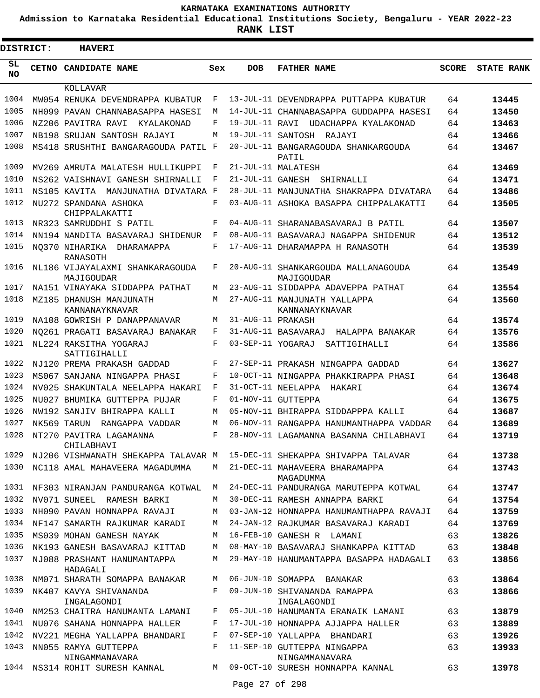**Admission to Karnataka Residential Educational Institutions Society, Bengaluru - YEAR 2022-23**

**RANK LIST**

Е

| DISTRICT:       | <b>HAVERI</b>                                 |              |                   |                                                   |              |                   |
|-----------------|-----------------------------------------------|--------------|-------------------|---------------------------------------------------|--------------|-------------------|
| SL<br><b>NO</b> | CETNO CANDIDATE NAME                          | Sex          | <b>DOB</b>        | <b>FATHER NAME</b>                                | <b>SCORE</b> | <b>STATE RANK</b> |
|                 | KOLLAVAR                                      |              |                   |                                                   |              |                   |
| 1004            | MW054 RENUKA DEVENDRAPPA KUBATUR              | F            |                   | 13-JUL-11 DEVENDRAPPA PUTTAPPA KUBATUR            | 64           | 13445             |
| 1005            | NH099 PAVAN CHANNABASAPPA HASESI              | M            |                   | 14-JUL-11 CHANNABASAPPA GUDDAPPA HASESI           | 64           | 13450             |
| 1006            | NZ206 PAVITRA RAVI KYALAKONAD                 | F            |                   | 19-JUL-11 RAVI UDACHAPPA KYALAKONAD               | 64           | 13463             |
| 1007            | NB198 SRUJAN SANTOSH RAJAYI                   | M            |                   | 19-JUL-11 SANTOSH RAJAYI                          | 64           | 13466             |
| 1008            | MS418 SRUSHTHI BANGARAGOUDA PATIL F           |              |                   | 20-JUL-11 BANGARAGOUDA SHANKARGOUDA<br>PATIL      | 64           | 13467             |
| 1009            | MV269 AMRUTA MALATESH HULLIKUPPI              | F            |                   | 21-JUL-11 MALATESH                                | 64           | 13469             |
| 1010            | NS262 VAISHNAVI GANESH SHIRNALLI              | F            |                   | 21-JUL-11 GANESH SHIRNALLI                        | 64           | 13471             |
| 1011            | NS105 KAVITA MANJUNATHA DIVATARA F            |              |                   | 28-JUL-11 MANJUNATHA SHAKRAPPA DIVATARA           | 64           | 13486             |
| 1012            | NU272 SPANDANA ASHOKA<br>CHIPPALAKATTI        | F            |                   | 03-AUG-11 ASHOKA BASAPPA CHIPPALAKATTI            | 64           | 13505             |
| 1013            | NR323 SAMRUDDHI S PATIL                       | F            |                   | 04-AUG-11 SHARANABASAVARAJ B PATIL                | 64           | 13507             |
| 1014            | NN194 NANDITA BASAVARAJ SHIDENUR              | F            |                   | 08-AUG-11 BASAVARAJ NAGAPPA SHIDENUR              | 64           | 13512             |
| 1015            | NO370 NIHARIKA DHARAMAPPA<br>RANASOTH         | F            |                   | 17-AUG-11 DHARAMAPPA H RANASOTH                   | 64           | 13539             |
| 1016            | NL186 VIJAYALAXMI SHANKARAGOUDA<br>MAJIGOUDAR | F            |                   | 20-AUG-11 SHANKARGOUDA MALLANAGOUDA<br>MAJIGOUDAR | 64           | 13549             |
| 1017            | NA151 VINAYAKA SIDDAPPA PATHAT                | M            |                   | 23-AUG-11 SIDDAPPA ADAVEPPA PATHAT                | 64           | 13554             |
| 1018            | MZ185 DHANUSH MANJUNATH<br>KANNANAYKNAVAR     | M            |                   | 27-AUG-11 MANJUNATH YALLAPPA<br>KANNANAYKNAVAR    | 64           | 13560             |
| 1019            | NA108 GOWRISH P DANAPPANAVAR                  | M            | 31-AUG-11 PRAKASH |                                                   | 64           | 13574             |
| 1020            | NO261 PRAGATI BASAVARAJ BANAKAR               | F            |                   | 31-AUG-11 BASAVARAJ HALAPPA BANAKAR               | 64           | 13576             |
| 1021            | NL224 RAKSITHA YOGARAJ<br>SATTIGIHALLI        | $\mathbf{F}$ | 03-SEP-11 YOGARAJ | SATTIGIHALLI                                      | 64           | 13586             |
| 1022            | NJ120 PREMA PRAKASH GADDAD                    | F            |                   | 27-SEP-11 PRAKASH NINGAPPA GADDAD                 | 64           | 13627             |
| 1023            | MS067 SANJANA NINGAPPA PHASI                  | F            |                   | 10-OCT-11 NINGAPPA PHAKKIRAPPA PHASI              | 64           | 13648             |
| 1024            | NV025 SHAKUNTALA NEELAPPA HAKARI              | F            |                   | 31-OCT-11 NEELAPPA HAKARI                         | 64           | 13674             |
| 1025            | NU027 BHUMIKA GUTTEPPA PUJAR                  | F            |                   | 01-NOV-11 GUTTEPPA                                | 64           | 13675             |
| 1026            | NW192 SANJIV BHIRAPPA KALLI                   | M            |                   | 05-NOV-11 BHIRAPPA SIDDAPPPA KALLI                | 64           | 13687             |
| 1027            | NK569 TARUN RANGAPPA VADDAR                   | M            |                   | 06-NOV-11 RANGAPPA HANUMANTHAPPA VADDAR           | 64           | 13689             |
|                 | 1028 NT270 PAVITRA LAGAMANNA<br>CHILABHAVI    | F            |                   | 28-NOV-11 LAGAMANNA BASANNA CHILABHAVI            | 64           | 13719             |
| 1029            | NJ206 VISHWANATH SHEKAPPA TALAVAR M           |              |                   | 15-DEC-11 SHEKAPPA SHIVAPPA TALAVAR               | 64           | 13738             |
| 1030            | NC118 AMAL MAHAVEERA MAGADUMMA                | M            |                   | 21-DEC-11 MAHAVEERA BHARAMAPPA<br>MAGADUMMA       | 64           | 13743             |
| 1031            | NF303 NIRANJAN PANDURANGA KOTWAL              | M            |                   | 24-DEC-11 PANDURANGA MARUTEPPA KOTWAL             | 64           | 13747             |
| 1032            | NV071 SUNEEL RAMESH BARKI                     | М            |                   | 30-DEC-11 RAMESH ANNAPPA BARKI                    | 64           | 13754             |
| 1033            | NH090 PAVAN HONNAPPA RAVAJI                   | М            |                   | 03-JAN-12 HONNAPPA HANUMANTHAPPA RAVAJI           | 64           | 13759             |
| 1034            | NF147 SAMARTH RAJKUMAR KARADI                 | M            |                   | 24-JAN-12 RAJKUMAR BASAVARAJ KARADI               | 64           | 13769             |
| 1035            | MS039 MOHAN GANESH NAYAK                      | М            |                   | 16-FEB-10 GANESH R LAMANI                         | 63           | 13826             |
| 1036            | NK193 GANESH BASAVARAJ KITTAD                 | M            |                   | 08-MAY-10 BASAVARAJ SHANKAPPA KITTAD              | 63           | 13848             |
| 1037            | NJ088 PRASHANT HANUMANTAPPA<br>HADAGALI       | М            |                   | 29-MAY-10 HANUMANTAPPA BASAPPA HADAGALI           | 63           | 13856             |
| 1038            | NM071 SHARATH SOMAPPA BANAKAR                 | M            |                   | 06-JUN-10 SOMAPPA BANAKAR                         | 63           | 13864             |
| 1039            | NK407 KAVYA SHIVANANDA<br>INGALAGONDI         | F            |                   | 09-JUN-10 SHIVANANDA RAMAPPA<br>INGALAGONDI       | 63           | 13866             |
| 1040            | NM253 CHAITRA HANUMANTA LAMANI                | F            |                   | 05-JUL-10 HANUMANTA ERANAIK LAMANI                | 63           | 13879             |
| 1041            | NU076 SAHANA HONNAPPA HALLER                  | F            |                   | 17-JUL-10 HONNAPPA AJJAPPA HALLER                 | 63           | 13889             |
| 1042            | NV221 MEGHA YALLAPPA BHANDARI                 | F            |                   | 07-SEP-10 YALLAPPA BHANDARI                       | 63           | 13926             |
| 1043            | NN055 RAMYA GUTTEPPA<br>NINGAMMANAVARA        | F            |                   | 11-SEP-10 GUTTEPPA NINGAPPA<br>NINGAMMANAVARA     | 63           | 13933             |
|                 | 1044 NS314 ROHIT SURESH KANNAL                |              |                   | M 09-OCT-10 SURESH HONNAPPA KANNAL                | 63           | 13978             |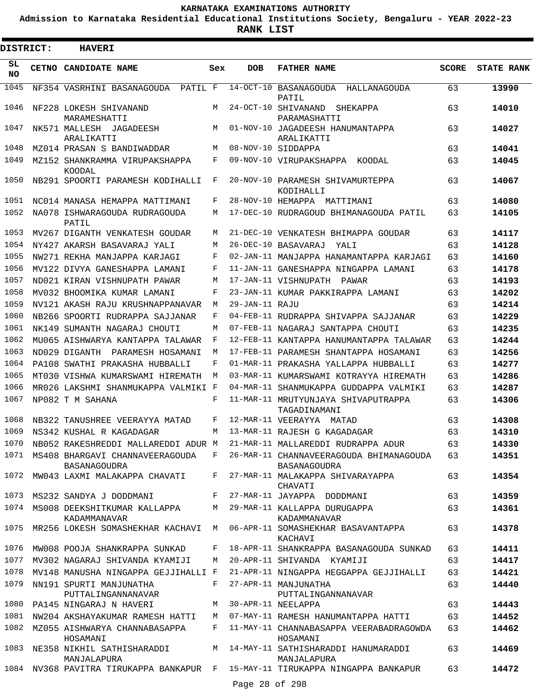**Admission to Karnataka Residential Educational Institutions Society, Bengaluru - YEAR 2022-23**

| <b>DISTRICT:</b> | <b>HAVERI</b>                                   |         |                |                                                                               |              |                   |
|------------------|-------------------------------------------------|---------|----------------|-------------------------------------------------------------------------------|--------------|-------------------|
| SL<br><b>NO</b>  | CETNO CANDIDATE NAME                            | Sex     | <b>DOB</b>     | <b>FATHER NAME</b>                                                            | <b>SCORE</b> | <b>STATE RANK</b> |
| 1045             | NF354 VASRHINI BASANAGOUDA PATIL F              |         |                | 14-OCT-10 BASANAGOUDA HALLANAGOUDA<br>PATIL                                   | 63           | 13990             |
| 1046             | NF228 LOKESH SHIVANAND<br>MARAMESHATTI          | M       |                | 24-OCT-10 SHIVANAND<br>SHEKAPPA<br>PARAMASHATTI                               | 63           | 14010             |
| 1047             | NK571 MALLESH JAGADEESH<br>ARALIKATTI           | M       |                | 01-NOV-10 JAGADEESH HANUMANTAPPA<br>ARALIKATTI                                | 63           | 14027             |
| 1048             | MZ014 PRASAN S BANDIWADDAR                      | M       |                | 08-NOV-10 SIDDAPPA                                                            | 63           | 14041             |
| 1049             | MZ152 SHANKRAMMA VIRUPAKSHAPPA<br>KOODAL        | F       |                | 09-NOV-10 VIRUPAKSHAPPA KOODAL                                                | 63           | 14045             |
| 1050             | NB291 SPOORTI PARAMESH KODIHALLI                | F       |                | 20-NOV-10 PARAMESH SHIVAMURTEPPA<br>KODIHALLI                                 | 63           | 14067             |
| 1051             | NC014 MANASA HEMAPPA MATTIMANI                  | F       |                | 28-NOV-10 HEMAPPA MATTIMANI                                                   | 63           | 14080             |
| 1052             | NA078 ISHWARAGOUDA RUDRAGOUDA<br>PATIL          | M       |                | 17-DEC-10 RUDRAGOUD BHIMANAGOUDA PATIL                                        | 63           | 14105             |
| 1053             | MV267 DIGANTH VENKATESH GOUDAR                  | M       |                | 21-DEC-10 VENKATESH BHIMAPPA GOUDAR                                           | 63           | 14117             |
| 1054             | NY427 AKARSH BASAVARAJ YALI                     | M       |                | 26-DEC-10 BASAVARAJ<br>YAT.T                                                  | 63           | 14128             |
| 1055             | NW271 REKHA MANJAPPA KARJAGI                    | F       |                | 02-JAN-11 MANJAPPA HANAMANTAPPA KARJAGI                                       | 63           | 14160             |
| 1056             | MV122 DIVYA GANESHAPPA LAMANI                   | F       |                | 11-JAN-11 GANESHAPPA NINGAPPA LAMANI                                          | 63           | 14178             |
| 1057             | ND021 KIRAN VISHNUPATH PAWAR                    | M       |                | 17-JAN-11 VISHNUPATH PAWAR                                                    | 63           | 14193             |
| 1058             | MV032 BHOOMIKA KUMAR LAMANI                     | F       |                | 23-JAN-11 KUMAR PAKKIRAPPA LAMANI                                             | 63           | 14202             |
| 1059             | NV121 AKASH RAJU KRUSHNAPPANAVAR                | М       | 29-JAN-11 RAJU |                                                                               | 63           | 14214             |
| 1060             | NB266 SPOORTI RUDRAPPA SAJJANAR                 | F       |                | 04-FEB-11 RUDRAPPA SHIVAPPA SAJJANAR                                          | 63           | 14229             |
| 1061             | NK149 SUMANTH NAGARAJ CHOUTI                    | М       |                | 07-FEB-11 NAGARAJ SANTAPPA CHOUTI                                             | 63           | 14235             |
| 1062             | MU065 AISHWARYA KANTAPPA TALAWAR                | F       |                | 12-FEB-11 KANTAPPA HANUMANTAPPA TALAWAR                                       | 63           | 14244             |
| 1063             | ND029 DIGANTH<br>PARAMESH HOSAMANI              | M       |                | 17-FEB-11 PARAMESH SHANTAPPA HOSAMANI                                         | 63           | 14256             |
| 1064             | PA108 SWATHI PRAKASHA HUBBALLI                  | F       |                | 01-MAR-11 PRAKASHA YALLAPPA HUBBALLI                                          | 63           | 14277             |
| 1065             | MT030 VISHWA KUMARSWAMI HIREMATH                | M       |                | 03-MAR-11 KUMARSWAMI KOTRAYYA HIREMATH                                        | 63           | 14286             |
| 1066             | MR026 LAKSHMI SHANMUKAPPA VALMIKI F             |         |                | 04-MAR-11 SHANMUKAPPA GUDDAPPA VALMIKI                                        | 63           | 14287             |
| 1067             | NP082 T M SAHANA                                | F       |                | 11-MAR-11 MRUTYUNJAYA SHIVAPUTRAPPA<br>TAGADINAMANI                           | 63           | 14306             |
| 1068             | NB322 TANUSHREE VEERAYYA MATAD                  | F       |                | 12-MAR-11 VEERAYYA MATAD                                                      | 63           | 14308             |
|                  | 1069 NS342 KUSHAL R KAGADAGAR                   |         |                | M 13-MAR-11 RAJESH G KAGADAGAR                                                | 63           | 14310             |
| 1070             | NB052 RAKESHREDDI MALLAREDDI ADUR M             |         |                | 21-MAR-11 MALLAREDDI RUDRAPPA ADUR                                            | 63           | 14330             |
| 1071             | MS408 BHARGAVI CHANNAVEERAGOUDA<br>BASANAGOUDRA | $F$ and |                | 26-MAR-11 CHANNAVEERAGOUDA BHIMANAGOUDA<br><b>BASANAGOUDRA</b>                | 63           | 14351             |
| 1072             | MW043 LAXMI MALAKAPPA CHAVATI                   | F       |                | 27-MAR-11 MALAKAPPA SHIVARAYAPPA<br>CHAVATI                                   | 63           | 14354             |
| 1073             | MS232 SANDYA J DODDMANI                         | F       |                | 27-MAR-11 JAYAPPA DODDMANI                                                    | 63           | 14359             |
| 1074             | MS008 DEEKSHITKUMAR KALLAPPA<br>KADAMMANAVAR    | M       |                | 29-MAR-11 KALLAPPA DURUGAPPA<br>KADAMMANAVAR                                  | 63           | 14361             |
| 1075             | MR256 LOKESH SOMASHEKHAR KACHAVI M              |         |                | 06-APR-11 SOMASHEKHAR BASAVANTAPPA<br>KACHAVI                                 | 63           | 14378             |
| 1076             | MW008 POOJA SHANKRAPPA SUNKAD                   | F       |                | 18-APR-11 SHANKRAPPA BASANAGOUDA SUNKAD                                       | 63           | 14411             |
| 1077             | MV302 NAGARAJ SHIVANDA KYAMIJI                  | M       |                | 20-APR-11 SHIVANDA KYAMIJI                                                    | 63           | 14417             |
| 1078             | MV148 MANUSHA NINGAPPA GEJJIHALLI F             |         |                | 21-APR-11 NINGAPPA HEGGAPPA GEJJIHALLI                                        | 63           | 14421             |
| 1079             | NN191 SPURTI MANJUNATHA<br>PUTTALINGANNANAVAR   | F       |                | 27-APR-11 MANJUNATHA<br>PUTTALINGANNANAVAR                                    | 63           | 14440             |
| 1080             | PA145 NINGARAJ N HAVERI                         | M       |                | 30-APR-11 NEELAPPA                                                            | 63           | 14443             |
| 1081             | NW204 AKSHAYAKUMAR RAMESH HATTI                 | M       |                | 07-MAY-11 RAMESH HANUMANTAPPA HATTI                                           | 63           | 14452             |
| 1082             | MZ055 AISHWARYA CHANNABASAPPA<br>HOSAMANI       | F       |                | 11-MAY-11 CHANNABASAPPA VEERABADRAGOWDA<br>HOSAMANI                           | 63           | 14462             |
| 1083             | NE358 NIKHIL SATHISHARADDI<br>MANJALAPURA       |         |                | M 14-MAY-11 SATHISHARADDI HANUMARADDI<br>MANJALAPURA                          | 63           | 14469             |
|                  |                                                 |         | Page 28 of 298 | 1084 NV368 PAVITRA TIRUKAPPA BANKAPUR F 15-MAY-11 TIRUKAPPA NINGAPPA BANKAPUR | 63           | 14472             |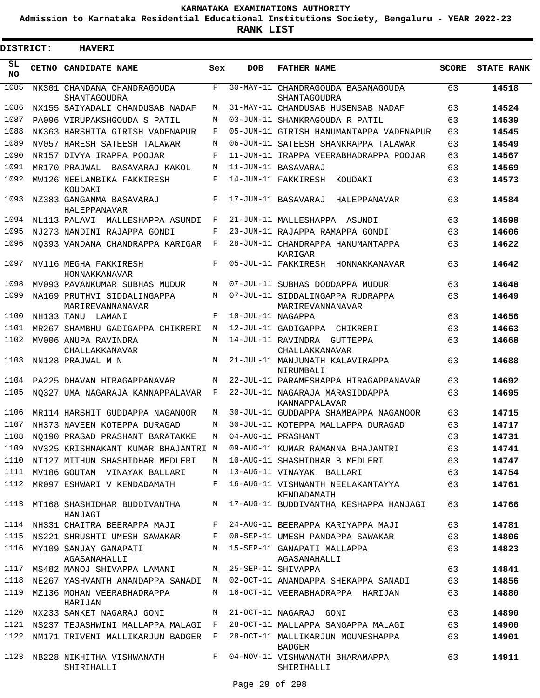**Admission to Karnataka Residential Educational Institutions Society, Bengaluru - YEAR 2022-23**

ı

| <b>DISTRICT:</b> | <b>HAVERI</b>                                                     |         |                   |                                                                 |              |                   |
|------------------|-------------------------------------------------------------------|---------|-------------------|-----------------------------------------------------------------|--------------|-------------------|
| SL<br>NO.        | CETNO CANDIDATE NAME                                              | Sex     | <b>DOB</b>        | <b>FATHER NAME</b>                                              | <b>SCORE</b> | <b>STATE RANK</b> |
| 1085             | NK301 CHANDANA CHANDRAGOUDA<br><b>SHANTAGOUDRA</b>                | F       |                   | 30-MAY-11 CHANDRAGOUDA BASANAGOUDA<br>SHANTAGOUDRA              | 63           | 14518             |
| 1086             | NX155 SAIYADALI CHANDUSAB NADAF                                   | M       |                   | 31-MAY-11 CHANDUSAB HUSENSAB NADAF                              | 63           | 14524             |
| 1087             | PA096 VIRUPAKSHGOUDA S PATIL                                      | М       |                   | 03-JUN-11 SHANKRAGOUDA R PATIL                                  | 63           | 14539             |
| 1088             | NK363 HARSHITA GIRISH VADENAPUR                                   | F       |                   | 05-JUN-11 GIRISH HANUMANTAPPA VADENAPUR                         | 63           | 14545             |
| 1089             | NV057 HARESH SATEESH TALAWAR                                      | М       |                   | 06-JUN-11 SATEESH SHANKRAPPA TALAWAR                            | 63           | 14549             |
| 1090             | NR157 DIVYA IRAPPA POOJAR                                         | F       |                   | 11-JUN-11 IRAPPA VEERABHADRAPPA POOJAR                          | 63           | 14567             |
| 1091             | MR170 PRAJWAL<br>BASAVARAJ KAKOL                                  | M       |                   | 11-JUN-11 BASAVARAJ                                             | 63           | 14569             |
| 1092<br>1093     | MW126 NEELAMBIKA FAKKIRESH<br>KOUDAKI<br>NZ383 GANGAMMA BASAVARAJ | F<br>F  |                   | 14-JUN-11 FAKKIRESH KOUDAKI<br>17-JUN-11 BASAVARAJ HALEPPANAVAR | 63<br>63     | 14573<br>14584    |
|                  | HALEPPANAVAR                                                      |         |                   |                                                                 |              |                   |
| 1094             | NL113 PALAVI MALLESHAPPA ASUNDI                                   | F       |                   | 21-JUN-11 MALLESHAPPA ASUNDI                                    | 63           | 14598             |
| 1095             | NJ273 NANDINI RAJAPPA GONDI                                       | F       |                   | 23-JUN-11 RAJAPPA RAMAPPA GONDI                                 | 63           | 14606             |
| 1096             | NO393 VANDANA CHANDRAPPA KARIGAR                                  | F       |                   | 28-JUN-11 CHANDRAPPA HANUMANTAPPA<br>KARIGAR                    | 63           | 14622             |
| 1097             | NV116 MEGHA FAKKIRESH<br>HONNAKKANAVAR                            | F       |                   | 05-JUL-11 FAKKIRESH HONNAKKANAVAR                               | 63           | 14642             |
| 1098             | MV093 PAVANKUMAR SUBHAS MUDUR                                     | М       |                   | 07-JUL-11 SUBHAS DODDAPPA MUDUR                                 | 63           | 14648             |
| 1099             | NA169 PRUTHVI SIDDALINGAPPA<br>MARIREVANNANAVAR                   | М       |                   | 07-JUL-11 SIDDALINGAPPA RUDRAPPA<br>MARIREVANNANAVAR            | 63           | 14649             |
| 1100             | NH133 TANU LAMANI                                                 | F       | 10-JUL-11 NAGAPPA |                                                                 | 63           | 14656             |
| 1101             | MR267 SHAMBHU GADIGAPPA CHIKRERI                                  | M       |                   | 12-JUL-11 GADIGAPPA CHIKRERI                                    | 63           | 14663             |
| 1102             | MV006 ANUPA RAVINDRA<br>CHALLAKKANAVAR                            | M       |                   | 14-JUL-11 RAVINDRA GUTTEPPA<br>CHALLAKKANAVAR                   | 63           | 14668             |
| 1103             | NN128 PRAJWAL M N                                                 | М       |                   | 21-JUL-11 MANJUNATH KALAVIRAPPA<br>NIRUMBALI                    | 63           | 14688             |
| 1104             | PA225 DHAVAN HIRAGAPPANAVAR                                       | M       |                   | 22-JUL-11 PARAMESHAPPA HIRAGAPPANAVAR                           | 63           | 14692             |
| 1105             | NO327 UMA NAGARAJA KANNAPPALAVAR                                  | F       |                   | 22-JUL-11 NAGARAJA MARASIDDAPPA<br>KANNAPPALAVAR                | 63           | 14695             |
| 1106             | MR114 HARSHIT GUDDAPPA NAGANOOR                                   | М       |                   | 30-JUL-11 GUDDAPPA SHAMBAPPA NAGANOOR                           | 63           | 14715             |
| 1107             | NH373 NAVEEN KOTEPPA DURAGAD                                      | М       |                   | 30-JUL-11 KOTEPPA MALLAPPA DURAGAD                              | 63           | 14717             |
| 1108             | NO190 PRASAD PRASHANT BARATAKKE                                   | M       |                   | 04-AUG-11 PRASHANT                                              | 63           | 14731             |
| 1109<br>1110     | NV325 KRISHNAKANT KUMAR BHAJANTRI M                               |         |                   | 09-AUG-11 KUMAR RAMANNA BHAJANTRI                               | 63           | 14741             |
|                  | NT127 MITHUN SHASHIDHAR MEDLERI                                   | M       |                   | 10-AUG-11 SHASHIDHAR B MEDLERI                                  | 63           | 14747             |
| 1112             | 1111 MV186 GOUTAM VINAYAK BALLARI<br>MR097 ESHWARI V KENDADAMATH  | M<br>F  |                   | 13-AUG-11 VINAYAK BALLARI<br>16-AUG-11 VISHWANTH NEELAKANTAYYA  | 63<br>63     | 14754<br>14761    |
| 1113             | MT168 SHASHIDHAR BUDDIVANTHA<br>HANJAGI                           | М       |                   | KENDADAMATH<br>17-AUG-11 BUDDIVANTHA KESHAPPA HANJAGI           | 63           | 14766             |
|                  | 1114 NH331 CHAITRA BEERAPPA MAJI                                  | F       |                   | 24-AUG-11 BEERAPPA KARIYAPPA MAJI                               | 63           | 14781             |
| 1115             | NS221 SHRUSHTI UMESH SAWAKAR                                      | F       |                   | 08-SEP-11 UMESH PANDAPPA SAWAKAR                                | 63           | 14806             |
| 1116             | MY109 SANJAY GANAPATI<br>AGASANAHALLI                             |         |                   | M 15-SEP-11 GANAPATI MALLAPPA<br>AGASANAHALLI                   | 63           | 14823             |
| 1117             | MS482 MANOJ SHIVAPPA LAMANI                                       | M       |                   | 25-SEP-11 SHIVAPPA                                              | 63           | 14841             |
| 1118             | NE267 YASHVANTH ANANDAPPA SANADI M                                |         |                   | 02-OCT-11 ANANDAPPA SHEKAPPA SANADI                             | 63           | 14856             |
| 1119             | MZ136 MOHAN VEERABHADRAPPA<br>HARIJAN                             | M       |                   | 16-OCT-11 VEERABHADRAPPA HARIJAN                                | 63           | 14880             |
| 1120             | NX233 SANKET NAGARAJ GONI                                         | M       |                   | 21-OCT-11 NAGARAJ GONI                                          | 63           | 14890             |
| 1121             | NS237 TEJASHWINI MALLAPPA MALAGI F                                |         |                   | 28-OCT-11 MALLAPPA SANGAPPA MALAGI                              | 63           | 14900             |
|                  | 1122 NM171 TRIVENI MALLIKARJUN BADGER F                           |         |                   | 28-OCT-11 MALLIKARJUN MOUNESHAPPA<br><b>BADGER</b>              | 63           | 14901             |
| 1123             | NB228 NIKHITHA VISHWANATH<br>SHIRIHALLI                           | $F$ and |                   | 04-NOV-11 VISHWANATH BHARAMAPPA<br>SHIRIHALLI                   | 63           | 14911             |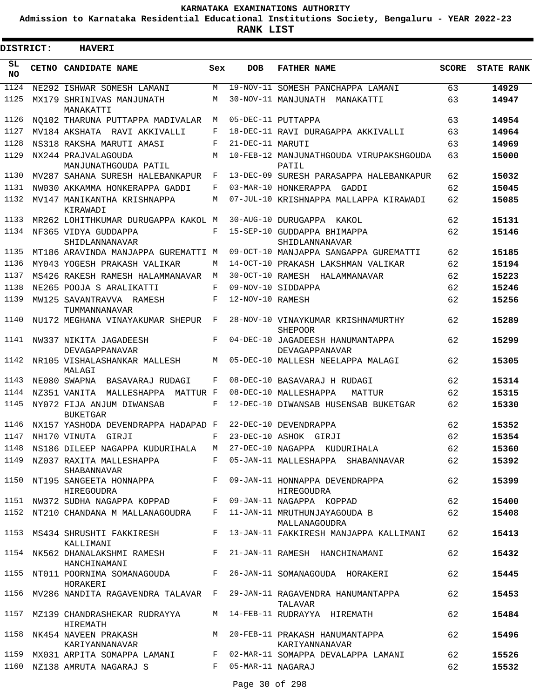**Admission to Karnataka Residential Educational Institutions Society, Bengaluru - YEAR 2022-23**

| DISTRICT:  | <b>HAVERI</b>                                    |              |                  |                                                                                      |              |                   |
|------------|--------------------------------------------------|--------------|------------------|--------------------------------------------------------------------------------------|--------------|-------------------|
| SL.<br>NO. | CETNO CANDIDATE NAME                             | Sex          | <b>DOB</b>       | <b>FATHER NAME</b>                                                                   | <b>SCORE</b> | <b>STATE RANK</b> |
| 1124       | NE292 ISHWAR SOMESH LAMANI                       | М            |                  | 19-NOV-11 SOMESH PANCHAPPA LAMANI                                                    | 63           | 14929             |
| 1125       | MX179 SHRINIVAS MANJUNATH<br>MANAKATTI           | М            |                  | 30-NOV-11 MANJUNATH MANAKATTI                                                        | 63           | 14947             |
| 1126       | NO102 THARUNA PUTTAPPA MADIVALAR                 | M            |                  | 05-DEC-11 PUTTAPPA                                                                   | 63           | 14954             |
| 1127       | MV184 AKSHATA RAVI AKKIVALLI                     | F            |                  | 18-DEC-11 RAVI DURAGAPPA AKKIVALLI                                                   | 63           | 14964             |
| 1128       | NS318 RAKSHA MARUTI AMASI                        | F            | 21-DEC-11 MARUTI |                                                                                      | 63           | 14969             |
| 1129       | NX244 PRAJVALAGOUDA<br>MANJUNATHGOUDA PATIL      | M            |                  | 10-FEB-12 MANJUNATHGOUDA VIRUPAKSHGOUDA<br>PATIL                                     | 63           | 15000             |
| 1130       | MV287 SAHANA SURESH HALEBANKAPUR                 | F            |                  | 13-DEC-09 SURESH PARASAPPA HALEBANKAPUR                                              | 62           | 15032             |
| 1131       | NW030 AKKAMMA HONKERAPPA GADDI                   | F            |                  | 03-MAR-10 HONKERAPPA GADDI                                                           | 62           | 15045             |
| 1132       | MV147 MANIKANTHA KRISHNAPPA<br>KIRAWADI          | М            |                  | 07-JUL-10 KRISHNAPPA MALLAPPA KIRAWADI                                               | 62           | 15085             |
| 1133       | MR262 LOHITHKUMAR DURUGAPPA KAKOL M              |              |                  | 30-AUG-10 DURUGAPPA KAKOL                                                            | 62           | 15131             |
| 1134       | NF365 VIDYA GUDDAPPA<br>SHIDLANNANAVAR           | F            |                  | 15-SEP-10 GUDDAPPA BHIMAPPA<br>SHIDLANNANAVAR                                        | 62           | 15146             |
| 1135       | MT186 ARAVINDA MANJAPPA GUREMATTI M              |              |                  | 09-OCT-10 MANJAPPA SANGAPPA GUREMATTI                                                | 62           | 15185             |
| 1136       | MY043 YOGESH PRAKASH VALIKAR                     | М            |                  | 14-OCT-10 PRAKASH LAKSHMAN VALIKAR                                                   | 62           | 15194             |
| 1137       | MS426 RAKESH RAMESH HALAMMANAVAR                 | М            |                  | 30-OCT-10 RAMESH HALAMMANAVAR                                                        | 62           | 15223             |
| 1138       | NE265 POOJA S ARALIKATTI                         | F            |                  | 09-NOV-10 SIDDAPPA                                                                   | 62           | 15246             |
| 1139       | MW125 SAVANTRAVVA RAMESH<br>TUMMANNANAVAR        | F            | 12-NOV-10 RAMESH |                                                                                      | 62           | 15256             |
| 1140       | NU172 MEGHANA VINAYAKUMAR SHEPUR                 | $\mathbf{F}$ |                  | 28-NOV-10 VINAYKUMAR KRISHNAMURTHY<br><b>SHEPOOR</b>                                 | 62           | 15289             |
| 1141       | NW337 NIKITA JAGADEESH<br>DEVAGAPPANAVAR         | F            |                  | 04-DEC-10 JAGADEESH HANUMANTAPPA<br>DEVAGAPPANAVAR                                   | 62           | 15299             |
| 1142       | NR105 VISHALASHANKAR MALLESH<br>MALAGI           | M            |                  | 05-DEC-10 MALLESH NEELAPPA MALAGI                                                    | 62           | 15305             |
| 1143       | NE080 SWAPNA<br>BASAVARAJ RUDAGI                 | F            |                  | 08-DEC-10 BASAVARAJ H RUDAGI                                                         | 62           | 15314             |
| 1144       | NZ351 VANITA MALLESHAPPA MATTUR F                |              |                  | 08-DEC-10 MALLESHAPPA<br>MATTUR                                                      | 62           | 15315             |
| 1145       | NY072 FIJA ANJUM DIWANSAB<br><b>BUKETGAR</b>     | F            |                  | 12-DEC-10 DIWANSAB HUSENSAB BUKETGAR                                                 | 62           | 15330             |
| 1146       | NX157 YASHODA DEVENDRAPPA HADAPAD F              |              |                  | 22-DEC-10 DEVENDRAPPA                                                                | 62           | 15352             |
| 1147       | NH170 VINUTA GIRJI                               | F            |                  | 23-DEC-10 ASHOK GIRJI                                                                | 62           | 15354             |
|            |                                                  |              |                  | 1148 NS186 DILEEP NAGAPPA KUDURIHALA M 27-DEC-10 NAGAPPA KUDURIHALA                  | 62           | 15360             |
|            | SHABANNAVAR                                      |              |                  | 1149 NZ037 RAXITA MALLESHAPPA F 05-JAN-11 MALLESHAPPA SHABANNAVAR                    | 62           | 15392             |
|            | HIREGOUDRA                                       |              |                  | 1150 NT195 SANGEETA HONNAPPA F 09-JAN-11 HONNAPPA DEVENDRAPPA<br>HIREGOUDRA          | 62           | 15399             |
|            |                                                  |              |                  | 1151 NW372 SUDHA NAGAPPA KOPPAD F 09-JAN-11 NAGAPPA KOPPAD                           | 62 6         | 15400             |
|            |                                                  |              |                  | 1152 NT210 CHANDANA M MALLANAGOUDRA F 11-JAN-11 MRUTHUNJAYAGOUDA B<br>MALLANAGOUDRA  | 62           | 15408             |
|            | 1153 MS434 SHRUSHTI FAKKIRESH<br>KALLIMANI       |              |                  | F 13-JAN-11 FAKKIRESH MANJAPPA KALLIMANI                                             | 62           | 15413             |
|            | 1154 NK562 DHANALAKSHMI RAMESH F<br>HANCHINAMANI |              |                  | 21-JAN-11 RAMESH HANCHINAMANI                                                        | 62           | 15432             |
|            | HORAKERI                                         |              |                  | 1155 NT011 POORNIMA SOMANAGOUDA F 26-JAN-11 SOMANAGOUDA HORAKERI                     | 62           | 15445             |
|            |                                                  |              |                  | 1156 MV286 NANDITA RAGAVENDRA TALAVAR F 29-JAN-11 RAGAVENDRA HANUMANTAPPA<br>TALAVAR | 62           | 15453             |
|            | 1157 MZ139 CHANDRASHEKAR RUDRAYYA<br>HIREMATH    |              |                  | M 14-FEB-11 RUDRAYYA HIREMATH                                                        | 62           | 15484             |
| 1158       | KARIYANNANAVAR                                   |              |                  | NK454 NAVEEN PRAKASH MARAM MARAM 20-FEB-11 PRAKASH HANUMANTAPPA<br>KARIYANNANAVAR    | 62           | 15496             |
|            |                                                  |              |                  | 1159 MX031 ARPITA SOMAPPA LAMANI F 02-MAR-11 SOMAPPA DEVALAPPA LAMANI                | 62 6         | 15526             |
|            | 1160 NZ138 AMRUTA NAGARAJ S F 05-MAR-11 NAGARAJ  |              |                  |                                                                                      | 62           | 15532             |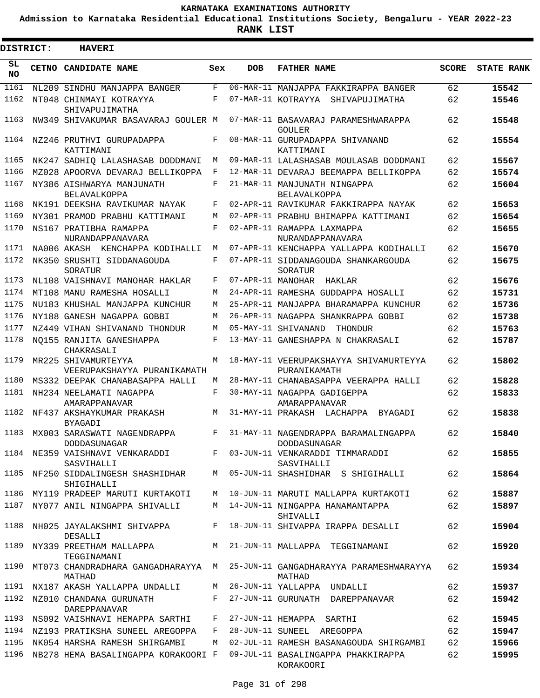**Admission to Karnataka Residential Educational Institutions Society, Bengaluru - YEAR 2022-23**

ı

| <b>DISTRICT:</b> | <b>HAVERI</b>                                             |     |            |                                                        |              |                   |
|------------------|-----------------------------------------------------------|-----|------------|--------------------------------------------------------|--------------|-------------------|
| SL<br><b>NO</b>  | CETNO CANDIDATE NAME                                      | Sex | <b>DOB</b> | <b>FATHER NAME</b>                                     | <b>SCORE</b> | <b>STATE RANK</b> |
| 1161             | NL209 SINDHU MANJAPPA BANGER                              | F   |            | 06-MAR-11 MANJAPPA FAKKIRAPPA BANGER                   | 62           | 15542             |
| 1162             | NT048 CHINMAYI KOTRAYYA<br>SHIVAPUJIMATHA                 | F   |            | 07-MAR-11 KOTRAYYA SHIVAPUJIMATHA                      | 62           | 15546             |
| 1163             | NW349 SHIVAKUMAR BASAVARAJ GOULER M                       |     |            | 07-MAR-11 BASAVARAJ PARAMESHWARAPPA<br>GOULER          | 62           | 15548             |
| 1164             | NZ246 PRUTHVI GURUPADAPPA<br>KATTIMANI                    | F   |            | 08-MAR-11 GURUPADAPPA SHIVANAND<br>KATTIMANI           | 62           | 15554             |
| 1165             | NK247 SADHIQ LALASHASAB DODDMANI                          | M   |            | 09-MAR-11 LALASHASAB MOULASAB DODDMANI                 | 62           | 15567             |
| 1166             | MZ028 APOORVA DEVARAJ BELLIKOPPA                          | F   |            | 12-MAR-11 DEVARAJ BEEMAPPA BELLIKOPPA                  | 62           | 15574             |
| 1167             | NY386 AISHWARYA MANJUNATH<br><b>BELAVALKOPPA</b>          | F   |            | 21-MAR-11 MANJUNATH NINGAPPA<br><b>BELAVALKOPPA</b>    | 62           | 15604             |
| 1168             | NK191 DEEKSHA RAVIKUMAR NAYAK                             | F   |            | 02-APR-11 RAVIKUMAR FAKKIRAPPA NAYAK                   | 62           | 15653             |
| 1169             | NY301 PRAMOD PRABHU KATTIMANI                             | M   |            | 02-APR-11 PRABHU BHIMAPPA KATTIMANI                    | 62           | 15654             |
| 1170             | NS167 PRATIBHA RAMAPPA<br>NURANDAPPANAVARA                | F   |            | 02-APR-11 RAMAPPA LAXMAPPA<br>NURANDAPPANAVARA         | 62           | 15655             |
| 1171             | NA006 AKASH KENCHAPPA KODIHALLI                           | M   |            | 07-APR-11 KENCHAPPA YALLAPPA KODIHALLI                 | 62           | 15670             |
| 1172             | NK350 SRUSHTI SIDDANAGOUDA<br>SORATUR                     | F   |            | 07-APR-11 SIDDANAGOUDA SHANKARGOUDA<br>SORATUR         | 62           | 15675             |
| 1173             | NL108 VAISHNAVI MANOHAR HAKLAR                            | F   |            | 07-APR-11 MANOHAR HAKLAR                               | 62           | 15676             |
| 1174             | MT108 MANU RAMESHA HOSALLI                                | М   |            | 24-APR-11 RAMESHA GUDDAPPA HOSALLI                     | 62           | 15731             |
| 1175             | NU183 KHUSHAL MANJAPPA KUNCHUR                            | M   |            | 25-APR-11 MANJAPPA BHARAMAPPA KUNCHUR                  | 62           | 15736             |
| 1176             | NY188 GANESH NAGAPPA GOBBI                                | М   |            | 26-APR-11 NAGAPPA SHANKRAPPA GOBBI                     | 62           | 15738             |
| 1177             | NZ449 VIHAN SHIVANAND THONDUR                             | M   |            | 05-MAY-11 SHIVANAND<br>THONDUR                         | 62           | 15763             |
| 1178             | NO155 RANJITA GANESHAPPA<br>CHAKRASALI                    | F   |            | 13-MAY-11 GANESHAPPA N CHAKRASALI                      | 62           | 15787             |
| 1179             | MR225 SHIVAMURTEYYA<br>VEERUPAKSHAYYA PURANIKAMATH        | М   |            | 18-MAY-11 VEERUPAKSHAYYA SHIVAMURTEYYA<br>PURANIKAMATH | 62           | 15802             |
| 1180             | MS332 DEEPAK CHANABASAPPA HALLI                           | М   |            | 28-MAY-11 CHANABASAPPA VEERAPPA HALLI                  | 62           | 15828             |
| 1181             | NH234 NEELAMATI NAGAPPA<br>AMARAPPANAVAR                  | F   |            | 30-MAY-11 NAGAPPA GADIGEPPA<br>AMARAPPANAVAR           | 62           | 15833             |
| 1182             | NF437 AKSHAYKUMAR PRAKASH<br>BYAGADI                      | М   |            | 31-MAY-11 PRAKASH LACHAPPA BYAGADI                     | 62           | 15838             |
| 1183             | MX003 SARASWATI NAGENDRAPPA<br>DODDASUNAGAR               | F   |            | 31-MAY-11 NAGENDRAPPA BARAMALINGAPPA<br>DODDASUNAGAR   | 62           | 15840             |
| 1184             | NE359 VAISHNAVI VENKARADDI<br>SASVIHALLI                  | F   |            | 03-JUN-11 VENKARADDI TIMMARADDI<br>SASVIHALLI          | 62           | 15855             |
| 1185             | NF250 SIDDALINGESH SHASHIDHAR<br>SHIGIHALLI               | M   |            | 05-JUN-11 SHASHIDHAR S SHIGIHALLI                      | 62           | 15864             |
| 1186             | MY119 PRADEEP MARUTI KURTAKOTI                            | М   |            | 10-JUN-11 MARUTI MALLAPPA KURTAKOTI                    | 62           | 15887             |
| 1187             | NY077 ANIL NINGAPPA SHIVALLI                              | М   |            | 14-JUN-11 NINGAPPA HANAMANTAPPA<br>SHIVALLI            | 62           | 15897             |
| 1188             | NH025 JAYALAKSHMI SHIVAPPA<br>DESALLI                     | F   |            | 18-JUN-11 SHIVAPPA IRAPPA DESALLI                      | 62           | 15904             |
| 1189             | NY339 PREETHAM MALLAPPA                                   | M   |            | 21-JUN-11 MALLAPPA TEGGINAMANI                         | 62           | 15920             |
| 1190             | TEGGINAMANI<br>MT073 CHANDRADHARA GANGADHARAYYA<br>MATHAD | M   |            | 25-JUN-11 GANGADHARAYYA PARAMESHWARAYYA<br>MATHAD      | 62           | 15934             |
| 1191             | NX187 AKASH YALLAPPA UNDALLI                              | M   |            | 26-JUN-11 YALLAPPA UNDALLI                             | 62           | 15937             |
| 1192             | NZ010 CHANDANA GURUNATH<br><b>DAREPPANAVAR</b>            | F   |            | 27-JUN-11 GURUNATH DAREPPANAVAR                        | 62           | 15942             |
| 1193             | NS092 VAISHNAVI HEMAPPA SARTHI                            | F   |            | 27-JUN-11 HEMAPPA SARTHI                               | 62           | 15945             |
|                  | 1194 NZ193 PRATIKSHA SUNEEL AREGOPPA                      | F   |            | 28-JUN-11 SUNEEL AREGOPPA                              | 62           | 15947             |
| 1195             | NK054 HARSHA RAMESH SHIRGAMBI                             | М   |            | 02-JUL-11 RAMESH BASANAGOUDA SHIRGAMBI                 | 62           | 15966             |
| 1196             | NB278 HEMA BASALINGAPPA KORAKOORI F                       |     |            | 09-JUL-11 BASALINGAPPA PHAKKIRAPPA<br>KORAKOORI        | 62           | 15995             |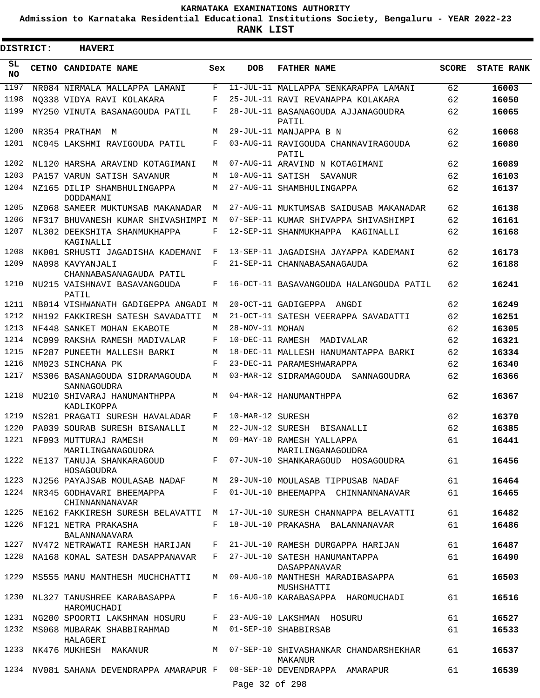**Admission to Karnataka Residential Educational Institutions Society, Bengaluru - YEAR 2022-23**

| <b>DISTRICT:</b> | <b>HAVERI</b>                                                      |     |                  |                                                                                      |              |                   |
|------------------|--------------------------------------------------------------------|-----|------------------|--------------------------------------------------------------------------------------|--------------|-------------------|
| SL.<br><b>NO</b> | CETNO CANDIDATE NAME                                               | Sex | <b>DOB</b>       | <b>FATHER NAME</b>                                                                   | <b>SCORE</b> | <b>STATE RANK</b> |
| 1197             | NR084 NIRMALA MALLAPPA LAMANI                                      | F   |                  | 11-JUL-11 MALLAPPA SENKARAPPA LAMANI                                                 | 62           | 16003             |
| 1198             | NO338 VIDYA RAVI KOLAKARA                                          | F   |                  | 25-JUL-11 RAVI REVANAPPA KOLAKARA                                                    | 62           | 16050             |
| 1199             | MY250 VINUTA BASANAGOUDA PATIL                                     | F   |                  | 28-JUL-11 BASANAGOUDA AJJANAGOUDRA<br>PATIL                                          | 62           | 16065             |
| 1200             | NR354 PRATHAM<br>M                                                 | М   |                  | 29-JUL-11 MANJAPPA B N                                                               | 62           | 16068             |
| 1201             | NC045 LAKSHMI RAVIGOUDA PATIL                                      | F   |                  | 03-AUG-11 RAVIGOUDA CHANNAVIRAGOUDA<br>PATIL                                         | 62           | 16080             |
| 1202             | NL120 HARSHA ARAVIND KOTAGIMANI                                    | M   |                  | 07-AUG-11 ARAVIND N KOTAGIMANI                                                       | 62           | 16089             |
| 1203             | PA157 VARUN SATISH SAVANUR                                         | М   |                  | 10-AUG-11 SATISH SAVANUR                                                             | 62           | 16103             |
| 1204             | NZ165 DILIP SHAMBHULINGAPPA<br>DODDAMANI                           | М   |                  | 27-AUG-11 SHAMBHULINGAPPA                                                            | 62           | 16137             |
| 1205             | NZ068 SAMEER MUKTUMSAB MAKANADAR                                   | М   |                  | 27-AUG-11 MUKTUMSAB SAIDUSAB MAKANADAR                                               | 62           | 16138             |
| 1206             | NF317 BHUVANESH KUMAR SHIVASHIMPI M                                |     |                  | 07-SEP-11 KUMAR SHIVAPPA SHIVASHIMPI                                                 | 62           | 16161             |
| 1207             | NL302 DEEKSHITA SHANMUKHAPPA<br>KAGINALLI                          | F   |                  | 12-SEP-11 SHANMUKHAPPA KAGINALLI                                                     | 62           | 16168             |
| 1208             | NK001 SRHUSTI JAGADISHA KADEMANI                                   | F   |                  | 13-SEP-11 JAGADISHA JAYAPPA KADEMANI                                                 | 62           | 16173             |
| 1209             | NA098 KAVYANJALI<br>CHANNABASANAGAUDA PATIL                        | F   |                  | 21-SEP-11 CHANNABASANAGAUDA                                                          | 62           | 16188             |
| 1210             | NU215 VAISHNAVI BASAVANGOUDA<br>PATIL                              | F   |                  | 16-OCT-11 BASAVANGOUDA HALANGOUDA PATIL                                              | 62           | 16241             |
| 1211             | NB014 VISHWANATH GADIGEPPA ANGADI M                                |     |                  | 20-OCT-11 GADIGEPPA ANGDI                                                            | 62           | 16249             |
| 1212             | NH192 FAKKIRESH SATESH SAVADATTI                                   | М   |                  | 21-OCT-11 SATESH VEERAPPA SAVADATTI                                                  | 62           | 16251             |
| 1213             | NF448 SANKET MOHAN EKABOTE                                         | М   | 28-NOV-11 MOHAN  |                                                                                      | 62           | 16305             |
| 1214             | NC099 RAKSHA RAMESH MADIVALAR                                      | F   |                  | 10-DEC-11 RAMESH MADIVALAR                                                           | 62           | 16321             |
| 1215             | NF287 PUNEETH MALLESH BARKI                                        | М   |                  | 18-DEC-11 MALLESH HANUMANTAPPA BARKI                                                 | 62           | 16334             |
| 1216             | NM023 SINCHANA PK                                                  | F   |                  | 23-DEC-11 PARAMESHWARAPPA                                                            | 62           | 16340             |
| 1217             | MS306 BASANAGOUDA SIDRAMAGOUDA<br>SANNAGOUDRA                      | М   |                  | 03-MAR-12 SIDRAMAGOUDA SANNAGOUDRA                                                   | 62           | 16366             |
| 1218             | MU210 SHIVARAJ HANUMANTHPPA<br>KADLIKOPPA                          | M   |                  | 04-MAR-12 HANUMANTHPPA                                                               | 62           | 16367             |
| 1219             | NS281 PRAGATI SURESH HAVALADAR                                     | F   | 10-MAR-12 SURESH |                                                                                      | 62           | 16370             |
| 1220             | PA039 SOURAB SURESH BISANALLI                                      | M   |                  | 22-JUN-12 SURESH BISANALLI                                                           | 62           | 16385             |
|                  |                                                                    |     |                  | 1221 NF093 MUTTURAJ RAMESH M 09-MAY-10 RAMESH YALLAPPA                               | 61           | 16441             |
|                  | HOSAGOUDRA                                                         |     |                  |                                                                                      |              | 16456             |
|                  |                                                                    |     |                  | 1223 NJ256 PAYAJSAB MOULASAB NADAF M 29-JUN-10 MOULASAB TIPPUSAB NADAF               | 61 — 10      | 16464             |
|                  | CHINNANNANAVAR                                                     |     |                  | 1224 NR345 GODHAVARI BHEEMAPPA F 01-JUL-10 BHEEMAPPA CHINNANNANAVAR                  | 61 — 10      | 16465             |
|                  |                                                                    |     |                  | 1225 NE162 FAKKIRESH SURESH BELAVATTI M 17-JUL-10 SURESH CHANNAPPA BELAVATTI         | 61 — 10      | 16482             |
|                  | 1226 NF121 NETRA PRAKASHA<br>BALANNANAVARA                         |     |                  | F 18-JUL-10 PRAKASHA BALANNANAVAR                                                    | 61 — 10      | 16486             |
|                  |                                                                    |     |                  | 1227 NV472 NETRAWATI RAMESH HARIJAN F 21-JUL-10 RAMESH DURGAPPA HARIJAN              | 61 — 10      | 16487             |
|                  |                                                                    |     |                  | 1228 NA168 KOMAL SATESH DASAPPANAVAR F 27-JUL-10 SATESH HANUMANTAPPA<br>DASAPPANAVAR | 61 — 10      | 16490             |
|                  | 1229 MS555 MANU MANTHESH MUCHCHATTI                                |     |                  | M 09-AUG-10 MANTHESH MARADIBASAPPA<br>MUSHSHATTI                                     | 61           | 16503             |
|                  | HAROMUCHADI                                                        |     |                  | 1230 NL327 TANUSHREE KARABASAPPA F 16-AUG-10 KARABASAPPA HAROMUCHADI                 | 61           | 16516             |
|                  |                                                                    |     |                  | 1231 NG200 SPOORTI LAKSHMAN HOSURU F 23-AUG-10 LAKSHMAN HOSURU                       | 61 — 10      | 16527             |
|                  | 1232 MS068 MUBARAK SHABBIRAHMAD M 01-SEP-10 SHABBIRSAB<br>HALAGERI |     |                  |                                                                                      | 61           | 16533             |
|                  |                                                                    |     |                  | 1233 NK476 MUKHESH MAKANUR M 07-SEP-10 SHIVASHANKAR CHANDARSHEKHAR<br>MAKANUR        | 61 — 10      | 16537             |
|                  |                                                                    |     | Page 32 of 298   | 1234 NV081 SAHANA DEVENDRAPPA AMARAPUR F 08-SEP-10 DEVENDRAPPA AMARAPUR              | 61 — 10      | 16539             |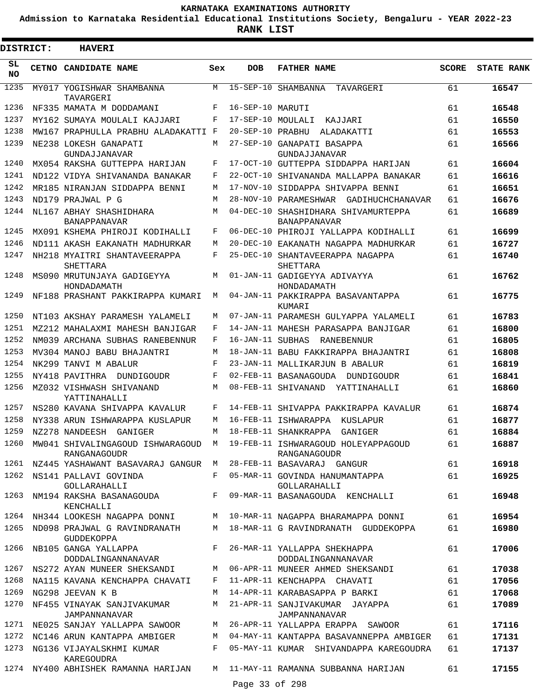**Admission to Karnataka Residential Educational Institutions Society, Bengaluru - YEAR 2022-23**

**RANK LIST**

ı

| DISTRICT:       | <b>HAVERI</b>                                                      |              |                   |                                                            |       |                   |  |  |  |  |  |
|-----------------|--------------------------------------------------------------------|--------------|-------------------|------------------------------------------------------------|-------|-------------------|--|--|--|--|--|
| SL<br><b>NO</b> | CETNO CANDIDATE NAME                                               | Sex          | <b>DOB</b>        | <b>FATHER NAME</b>                                         | SCORE | <b>STATE RANK</b> |  |  |  |  |  |
| 1235            | MY017 YOGISHWAR SHAMBANNA<br>TAVARGERI                             | M            |                   | 15-SEP-10 SHAMBANNA TAVARGERI                              | 61    | 16547             |  |  |  |  |  |
| 1236            | NF335 MAMATA M DODDAMANI                                           | F            | 16-SEP-10 MARUTI  |                                                            | 61    | 16548             |  |  |  |  |  |
| 1237            | MY162 SUMAYA MOULALI KAJJARI                                       | F            | 17-SEP-10 MOULALI | KAJJARI                                                    | 61    | 16550             |  |  |  |  |  |
| 1238            | MW167 PRAPHULLA PRABHU ALADAKATTI F                                |              | 20-SEP-10 PRABHU  | ALADAKATTI                                                 | 61    | 16553             |  |  |  |  |  |
| 1239            | NE238 LOKESH GANAPATI<br><b>GUNDAJJANAVAR</b>                      | M            |                   | 27-SEP-10 GANAPATI BASAPPA<br>GUNDAJJANAVAR                | 61    | 16566             |  |  |  |  |  |
| 1240            | MX054 RAKSHA GUTTEPPA HARIJAN                                      | F            |                   | 17-OCT-10 GUTTEPPA SIDDAPPA HARIJAN                        | 61    | 16604             |  |  |  |  |  |
| 1241            | ND122 VIDYA SHIVANANDA BANAKAR                                     | F            |                   | 22-OCT-10 SHIVANANDA MALLAPPA BANAKAR                      | 61    | 16616             |  |  |  |  |  |
| 1242            | MR185 NIRANJAN SIDDAPPA BENNI                                      | M            |                   | 17-NOV-10 SIDDAPPA SHIVAPPA BENNI                          | 61    | 16651             |  |  |  |  |  |
| 1243            | ND179 PRAJWAL P G                                                  | M            |                   | 28-NOV-10 PARAMESHWAR GADIHUCHCHANAVAR                     | 61    | 16676             |  |  |  |  |  |
| 1244            | NL167 ABHAY SHASHIDHARA<br><b>BANAPPANAVAR</b>                     | M            |                   | 04-DEC-10 SHASHIDHARA SHIVAMURTEPPA<br><b>BANAPPANAVAR</b> | 61    | 16689             |  |  |  |  |  |
| 1245            | MX091 KSHEMA PHIROJI KODIHALLI                                     | F            |                   | 06-DEC-10 PHIROJI YALLAPPA KODIHALLI                       | 61    | 16699             |  |  |  |  |  |
| 1246            | ND111 AKASH EAKANATH MADHURKAR                                     | M            |                   | 20-DEC-10 EAKANATH NAGAPPA MADHURKAR                       | 61    | 16727             |  |  |  |  |  |
| 1247            | NH218 MYAITRI SHANTAVEERAPPA<br>SHETTARA                           | F            |                   | 25-DEC-10 SHANTAVEERAPPA NAGAPPA<br>SHETTARA               | 61    | 16740             |  |  |  |  |  |
| 1248            | MS090 MRUTUNJAYA GADIGEYYA<br>HONDADAMATH                          | M            |                   | 01-JAN-11 GADIGEYYA ADIVAYYA<br>HONDADAMATH                | 61    | 16762             |  |  |  |  |  |
| 1249            | NF188 PRASHANT PAKKIRAPPA KUMARI                                   | М            |                   | 04-JAN-11 PAKKIRAPPA BASAVANTAPPA<br>KUMARI                | 61    | 16775             |  |  |  |  |  |
| 1250            | NT103 AKSHAY PARAMESH YALAMELI                                     | M            |                   | 07-JAN-11 PARAMESH GULYAPPA YALAMELI                       | 61    | 16783             |  |  |  |  |  |
| 1251            | MZ212 MAHALAXMI MAHESH BANJIGAR                                    | F            |                   | 14-JAN-11 MAHESH PARASAPPA BANJIGAR                        | 61    | 16800             |  |  |  |  |  |
| 1252            | NM039 ARCHANA SUBHAS RANEBENNUR                                    | F            |                   | 16-JAN-11 SUBHAS RANEBENNUR                                | 61    | 16805             |  |  |  |  |  |
| 1253            | MV304 MANOJ BABU BHAJANTRI                                         | М            |                   | 18-JAN-11 BABU FAKKIRAPPA BHAJANTRI                        | 61    | 16808             |  |  |  |  |  |
| 1254            | NK299 TANVI M ABALUR                                               | F            |                   | 23-JAN-11 MALLIKARJUN B ABALUR                             | 61    | 16819             |  |  |  |  |  |
| 1255            | NY418 PAVITHRA DUNDIGOUDR                                          | F            |                   | 02-FEB-11 BASANAGOUDA DUNDIGOUDR                           | 61    | 16841             |  |  |  |  |  |
| 1256            | MZ032 VISHWASH SHIVANAND<br>YATTINAHALLI                           | M            |                   | 08-FEB-11 SHIVANAND<br>YATTINAHALLI                        | 61    | 16860             |  |  |  |  |  |
| 1257            | NS280 KAVANA SHIVAPPA KAVALUR                                      | F            |                   | 14-FEB-11 SHIVAPPA PAKKIRAPPA KAVALUR                      | 61    | 16874             |  |  |  |  |  |
| 1258            | NY338 ARUN ISHWARAPPA KUSLAPUR                                     | M            |                   | 16-FEB-11 ISHWARAPPA KUSLAPUR                              | 61    | 16877             |  |  |  |  |  |
|                 | 1259 NZ278 NANDEESH GANIGER                                        |              |                   | M 18-FEB-11 SHANKRAPPA GANIGER                             | 61    | 16884             |  |  |  |  |  |
| 1260            | MW041 SHIVALINGAGOUD ISHWARAGOUD M<br>RANGANAGOUDR                 |              |                   | 19-FEB-11 ISHWARAGOUD HOLEYAPPAGOUD<br>RANGANAGOUDR        | 61    | 16887             |  |  |  |  |  |
|                 | 1261 NZ445 YASHAWANT BASAVARAJ GANGUR M 28-FEB-11 BASAVARAJ GANGUR |              |                   |                                                            | 61    | 16918             |  |  |  |  |  |
| 1262            | NS141 PALLAVI GOVINDA<br>GOLLARAHALLI                              | F            |                   | 05-MAR-11 GOVINDA HANUMANTAPPA<br>GOLLARAHALLI             | 61    | 16925             |  |  |  |  |  |
| 1263            | NM194 RAKSHA BASANAGOUDA<br>KENCHALLI                              | $F$ and      |                   | 09-MAR-11 BASANAGOUDA KENCHALLI                            | 61    | 16948             |  |  |  |  |  |
|                 | 1264 NH344 LOOKESH NAGAPPA DONNI                                   |              |                   | M 10-MAR-11 NAGAPPA BHARAMAPPA DONNI                       | 61    | 16954             |  |  |  |  |  |
| 1265            | ND098 PRAJWAL G RAVINDRANATH<br>GUDDEKOPPA                         | M            |                   | 18-MAR-11 G RAVINDRANATH GUDDEKOPPA                        | 61    | 16980             |  |  |  |  |  |
| 1266            | NB105 GANGA YALLAPPA<br>DODDALINGANNANAVAR                         | $F$ and $F$  |                   | 26-MAR-11 YALLAPPA SHEKHAPPA<br>DODDALINGANNANAVAR         | 61    | 17006             |  |  |  |  |  |
|                 | 1267 NS272 AYAN MUNEER SHEKSANDI                                   | M            |                   | 06-APR-11 MUNEER AHMED SHEKSANDI                           | 61    | 17038             |  |  |  |  |  |
| 1268            | NA115 KAVANA KENCHAPPA CHAVATI                                     | $\mathbf{F}$ |                   | 11-APR-11 KENCHAPPA CHAVATI                                | 61    | 17056             |  |  |  |  |  |
| 1269            | NG298 JEEVAN K B                                                   | M            |                   | 14-APR-11 KARABASAPPA P BARKI                              | 61    | 17068             |  |  |  |  |  |
| 1270            | NF455 VINAYAK SANJIVAKUMAR<br>JAMPANNANAVAR                        | M            |                   | 21-APR-11 SANJIVAKUMAR JAYAPPA<br>JAMPANNANAVAR            | 61    | 17089             |  |  |  |  |  |
| 1271            | NE025 SANJAY YALLAPPA SAWOOR                                       | М            |                   | 26-APR-11 YALLAPPA ERAPPA SAWOOR                           | 61    | 17116             |  |  |  |  |  |
| 1272            | NC146 ARUN KANTAPPA AMBIGER                                        | М            |                   | 04-MAY-11 KANTAPPA BASAVANNEPPA AMBIGER                    | 61    | 17131             |  |  |  |  |  |
| 1273            | NG136 VIJAYALSKHMI KUMAR<br>KAREGOUDRA                             | F            |                   | 05-MAY-11 KUMAR SHIVANDAPPA KAREGOUDRA                     | 61    | 17137             |  |  |  |  |  |
|                 | 1274 NY400 ABHISHEK RAMANNA HARIJAN                                |              |                   | M 11-MAY-11 RAMANNA SUBBANNA HARIJAN                       | 61    | 17155             |  |  |  |  |  |
|                 |                                                                    |              | Page 33 of 298    |                                                            |       |                   |  |  |  |  |  |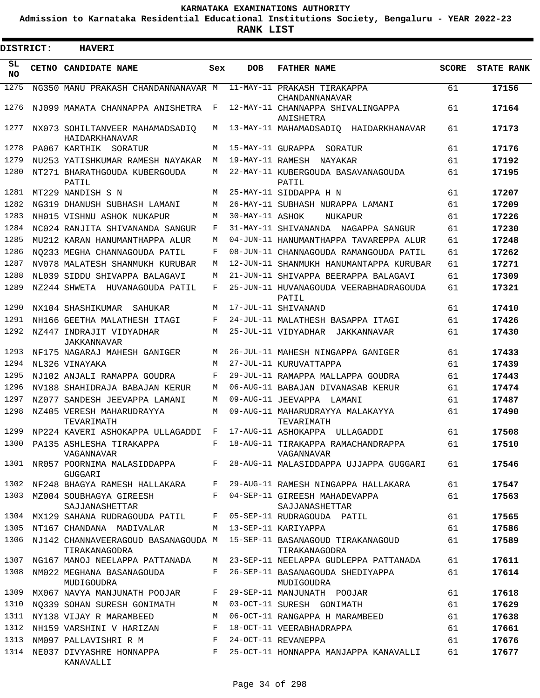**Admission to Karnataka Residential Educational Institutions Society, Bengaluru - YEAR 2022-23**

**RANK LIST**

Е

| <b>DISTRICT:</b> |  | <b>HAVERI</b>                                      |              |                 |                                                                                        |              |                   |
|------------------|--|----------------------------------------------------|--------------|-----------------|----------------------------------------------------------------------------------------|--------------|-------------------|
| SL.<br>NO.       |  | CETNO CANDIDATE NAME                               | Sex          | <b>DOB</b>      | <b>FATHER NAME</b>                                                                     | <b>SCORE</b> | <b>STATE RANK</b> |
| 1275             |  | NG350 MANU PRAKASH CHANDANNANAVAR M                |              |                 | 11-MAY-11 PRAKASH TIRAKAPPA<br>CHANDANNANAVAR                                          | 61           | 17156             |
| 1276             |  | NJ099 MAMATA CHANNAPPA ANISHETRA                   | $\mathbf{F}$ |                 | 12-MAY-11 CHANNAPPA SHIVALINGAPPA<br>ANISHETRA                                         | 61           | 17164             |
| 1277             |  | NX073 SOHILTANVEER MAHAMADSADIO<br>HAIDARKHANAVAR  | М            |                 | 13-MAY-11 MAHAMADSADIO HAIDARKHANAVAR                                                  | 61           | 17173             |
| 1278             |  | PA067 KARTHIK SORATUR                              | М            |                 | 15-MAY-11 GURAPPA SORATUR                                                              | 61           | 17176             |
| 1279             |  | NU253 YATISHKUMAR RAMESH NAYAKAR                   | M            |                 | 19-MAY-11 RAMESH NAYAKAR                                                               | 61           | 17192             |
| 1280             |  | NT271 BHARATHGOUDA KUBERGOUDA<br>PATIL             | М            |                 | 22-MAY-11 KUBERGOUDA BASAVANAGOUDA<br>PATIL                                            | 61           | 17195             |
| 1281             |  | MT229 NANDISH S N                                  | М            |                 | 25-MAY-11 SIDDAPPA H N                                                                 | 61           | 17207             |
| 1282             |  | NG319 DHANUSH SUBHASH LAMANI                       | М            |                 | 26-MAY-11 SUBHASH NURAPPA LAMANI                                                       | 61           | 17209             |
| 1283             |  | NH015 VISHNU ASHOK NUKAPUR                         | M            | 30-MAY-11 ASHOK | NUKAPUR                                                                                | 61           | 17226             |
| 1284             |  | NC024 RANJITA SHIVANANDA SANGUR                    | F            |                 | 31-MAY-11 SHIVANANDA NAGAPPA SANGUR                                                    | 61           | 17230             |
| 1285             |  | MU212 KARAN HANUMANTHAPPA ALUR                     | М            |                 | 04-JUN-11 HANUMANTHAPPA TAVAREPPA ALUR                                                 | 61           | 17248             |
| 1286             |  | NO233 MEGHA CHANNAGOUDA PATIL                      | F            |                 | 08-JUN-11 CHANNAGOUDA RAMANGOUDA PATIL                                                 | 61           | 17262             |
| 1287             |  | NV078 MALATESH SHANMUKH KURUBAR                    | M            |                 | 12-JUN-11 SHANMUKH HANUMANTAPPA KURUBAR                                                | 61           | 17271             |
| 1288             |  | NL039 SIDDU SHIVAPPA BALAGAVI                      | M            |                 | 21-JUN-11 SHIVAPPA BEERAPPA BALAGAVI                                                   | 61           | 17309             |
| 1289             |  | NZ244 SHWETA HUVANAGOUDA PATIL                     | F            |                 | 25-JUN-11 HUVANAGOUDA VEERABHADRAGOUDA<br>PATIL                                        | 61           | 17321             |
| 1290             |  | NX104 SHASHIKUMAR SAHUKAR                          | M            |                 | 17-JUL-11 SHIVANAND                                                                    | 61           | 17410             |
| 1291             |  | NH166 GEETHA MALATHESH ITAGI                       | F            |                 | 24-JUL-11 MALATHESH BASAPPA ITAGI                                                      | 61           | 17426             |
| 1292             |  | NZ447 INDRAJIT VIDYADHAR<br>JAKKANNAVAR            | M            |                 | 25-JUL-11 VIDYADHAR JAKKANNAVAR                                                        | 61           | 17430             |
| 1293             |  | NF175 NAGARAJ MAHESH GANIGER                       | М            |                 | 26-JUL-11 MAHESH NINGAPPA GANIGER                                                      | 61           | 17433             |
| 1294             |  | NL326 VINAYAKA                                     | M            |                 | 27-JUL-11 KURUVATTAPPA                                                                 | 61           | 17439             |
| 1295             |  | NJ102 ANJALI RAMAPPA GOUDRA                        | F            |                 | 29-JUL-11 RAMAPPA MALLAPPA GOUDRA                                                      | 61           | 17443             |
| 1296             |  | NV188 SHAHIDRAJA BABAJAN KERUR                     | M            |                 | 06-AUG-11 BABAJAN DIVANASAB KERUR                                                      | 61           | 17474             |
| 1297             |  | NZ077 SANDESH JEEVAPPA LAMANI                      | M            |                 | 09-AUG-11 JEEVAPPA LAMANI                                                              | 61           | 17487             |
| 1298             |  | NZ405 VERESH MAHARUDRAYYA<br>TEVARIMATH            | М            |                 | 09-AUG-11 MAHARUDRAYYA MALAKAYYA<br>TEVARIMATH                                         | 61           | 17490             |
| 1299             |  | NP224 KAVERI ASHOKAPPA ULLAGADDI                   | F            |                 | 17-AUG-11 ASHOKAPPA ULLAGADDI                                                          | 61           | 17508             |
|                  |  | 1300 PA135 ASHLESHA TIRAKAPPA<br>VAGANNAVAR        | F            |                 | 18-AUG-11 TIRAKAPPA RAMACHANDRAPPA<br>VAGANNAVAR                                       | 61           | 17510             |
|                  |  | 1301 NR057 POORNIMA MALASIDDAPPA F<br>GUGGARI      |              |                 | 28-AUG-11 MALASIDDAPPA UJJAPPA GUGGARI                                                 | 61           | 17546             |
|                  |  | 1302 NF248 BHAGYA RAMESH HALLAKARA                 | $\mathbf{F}$ |                 | 29-AUG-11 RAMESH NINGAPPA HALLAKARA                                                    | 61           | 17547             |
|                  |  | 1303 MZ004 SOUBHAGYA GIREESH<br>SAJJANASHETTAR     | F            |                 | 04-SEP-11 GIREESH MAHADEVAPPA<br>SAJJANASHETTAR                                        | 61           | 17563             |
|                  |  | 1304 MX129 SAHANA RUDRAGOUDA PATIL                 |              |                 | F 05-SEP-11 RUDRAGOUDA PATIL                                                           | 61           | 17565             |
| 1305             |  | NT167 CHANDANA MADIVALAR                           | M            |                 | 13-SEP-11 KARIYAPPA                                                                    | 61           | 17586             |
| 1306             |  | TIRAKANAGODRA                                      |              |                 | NJ142 CHANNAVEERAGOUD BASANAGOUDA M 15-SEP-11 BASANAGOUD TIRAKANAGOUD<br>TIRAKANAGODRA | 61           | 17589             |
| 1307             |  | NG167 MANOJ NEELAPPA PATTANADA                     |              |                 | M 23-SEP-11 NEELAPPA GUDLEPPA PATTANADA                                                | 61           | 17611             |
| 1308             |  | NM022 MEGHANA BASANAGOUDA<br>MUDIGOUDRA            | F            |                 | 26-SEP-11 BASANAGOUDA SHEDIYAPPA<br>MUDIGOUDRA                                         | 61           | 17614             |
| 1309             |  | MX067 NAVYA MANJUNATH POOJAR                       | F            |                 | 29-SEP-11 MANJUNATH POOJAR                                                             | 61           | 17618             |
| 1310             |  | NO339 SOHAN SURESH GONIMATH                        | M            |                 | 03-OCT-11 SURESH GONIMATH                                                              | 61           | 17629             |
|                  |  | 1311 NY138 VIJAY R MARAMBEED                       | М            |                 | 06-OCT-11 RANGAPPA H MARAMBEED                                                         | 61           | 17638             |
| 1312             |  | NH159 VARSHINI V HARIZAN                           | F            |                 | 18-OCT-11 VEERABHADRAPPA                                                               | 61           | 17661             |
| 1313             |  | NM097 PALLAVISHRI R M<br>and the state of the Fig. |              |                 | 24-OCT-11 REVANEPPA                                                                    | 61           | 17676             |
| 1314             |  | NE037 DIVYASHRE HONNAPPA F<br>KANAVALLI            |              |                 | 25-OCT-11 HONNAPPA MANJAPPA KANAVALLI                                                  | 61           | 17677             |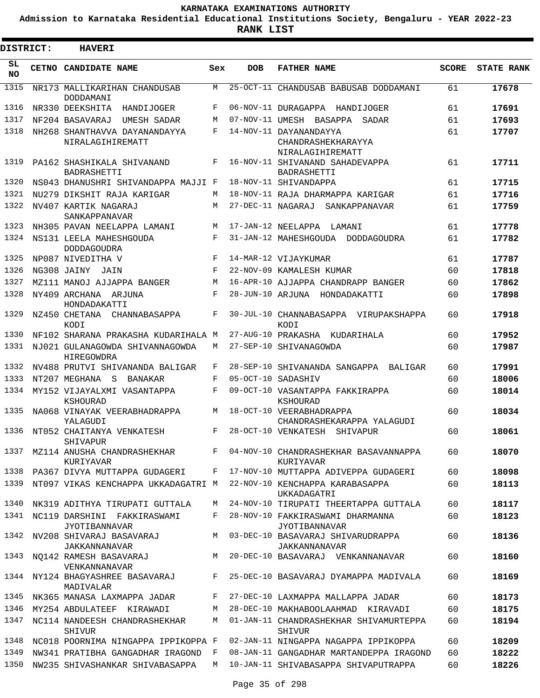**Admission to Karnataka Residential Educational Institutions Society, Bengaluru - YEAR 2022-23**

**RANK LIST**

ı

| <b>DISTRICT:</b> | <b>HAVERI</b>                                                           |            |            |                                                                           |              |                   |
|------------------|-------------------------------------------------------------------------|------------|------------|---------------------------------------------------------------------------|--------------|-------------------|
| SL.<br>NO.       | CETNO CANDIDATE NAME                                                    | Sex        | <b>DOB</b> | <b>FATHER NAME</b>                                                        | <b>SCORE</b> | <b>STATE RANK</b> |
| 1315             | NR173 MALLIKARIHAN CHANDUSAB<br>DODDAMANI                               | M          |            | 25-OCT-11 CHANDUSAB BABUSAB DODDAMANI                                     | 61           | 17678             |
| 1316             | NR330 DEEKSHITA<br>HANDIJOGER                                           | F          |            | 06-NOV-11 DURAGAPPA HANDIJOGER                                            | 61           | 17691             |
| 1317             | NF204 BASAVARAJ<br>UMESH SADAR                                          | M          |            | 07-NOV-11 UMESH BASAPPA<br>SADAR                                          | 61           | 17693             |
| 1318             | NH268 SHANTHAVVA DAYANANDAYYA<br>NIRALAGIHIREMATT                       | $_{\rm F}$ |            | 14-NOV-11 DAYANANDAYYA<br>CHANDRASHEKHARAYYA<br>NIRALAGIHIREMATT          | 61           | 17707             |
| 1319             | PA162 SHASHIKALA SHIVANAND<br>BADRASHETTI                               | F          |            | 16-NOV-11 SHIVANAND SAHADEVAPPA<br>BADRASHETTI                            | 61           | 17711             |
| 1320             | NS043 DHANUSHRI SHIVANDAPPA MAJJI F                                     |            |            | 18-NOV-11 SHIVANDAPPA                                                     | 61           | 17715             |
| 1321             | NU279 DIKSHIT RAJA KARIGAR                                              | M          |            | 18-NOV-11 RAJA DHARMAPPA KARIGAR                                          | 61           | 17716             |
| 1322             | NV407 KARTIK NAGARAJ<br>SANKAPPANAVAR                                   | M          |            | 27-DEC-11 NAGARAJ<br>SANKAPPANAVAR                                        | 61           | 17759             |
| 1323             | NH305 PAVAN NEELAPPA LAMANI                                             | M          |            | 17-JAN-12 NEELAPPA<br>LAMANI                                              | 61           | 17778             |
| 1324             | NS131 LEELA MAHESHGOUDA<br><b>DODDAGOUDRA</b>                           | F          |            | 31-JAN-12 MAHESHGOUDA<br>DODDAGOUDRA                                      | 61           | 17782             |
| 1325             | NP087 NIVEDITHA V                                                       | F          |            | 14-MAR-12 VIJAYKUMAR                                                      | 61           | 17787             |
| 1326             | NG308 JAINY JAIN                                                        | F          |            | 22-NOV-09 KAMALESH KUMAR                                                  | 60           | 17818             |
| 1327             | MZ111 MANOJ AJJAPPA BANGER                                              | M          |            | 16-APR-10 AJJAPPA CHANDRAPP BANGER                                        | 60           | 17862             |
| 1328             | NY409 ARCHANA ARJUNA<br>HONDADAKATTI                                    | F          |            | 28-JUN-10 ARJUNA HONDADAKATTI                                             | 60           | 17898             |
| 1329<br>1330     | NZ450 CHETANA<br>CHANNABASAPPA<br>KODI                                  | F          |            | 30-JUL-10 CHANNABASAPPA VIRUPAKSHAPPA<br>KODI                             | 60           | 17918             |
|                  | NF102 SHARANA PRAKASHA KUDARIHALA M                                     |            |            | 27-AUG-10 PRAKASHA<br>KUDARIHALA                                          | 60           | 17952             |
| 1331             | NJ021 GULANAGOWDA SHIVANNAGOWDA<br>HIREGOWDRA                           | M          |            | 27-SEP-10 SHIVANAGOWDA                                                    | 60           | 17987             |
| 1332             | NV488 PRUTVI SHIVANANDA BALIGAR                                         | F          |            | 28-SEP-10 SHIVANANDA SANGAPPA<br>BALIGAR                                  | 60           | 17991             |
| 1333             | NT207 MEGHANA<br>- S<br>BANAKAR                                         | F<br>F     |            | 05-OCT-10 SADASHIV                                                        | 60           | 18006             |
| 1334<br>1335     | MY152 VIJAYALXMI VASANTAPPA<br>KSHOURAD<br>NA068 VINAYAK VEERABHADRAPPA | M          |            | 09-OCT-10 VASANTAPPA FAKKIRAPPA<br>KSHOURAD<br>18-OCT-10 VEERABHADRAPPA   | 60<br>60     | 18014<br>18034    |
|                  | YALAGUDI                                                                |            |            | CHANDRASHEKARAPPA YALAGUDI                                                |              |                   |
| 1336             | NT052 CHAITANYA VENKATESH<br>SHIVAPUR                                   | F          |            | 28-OCT-10 VENKATESH<br>SHIVAPUR                                           | 60           | 18061             |
| 1337             | MZ114 ANUSHA CHANDRASHEKHAR<br>KURIYAVAR                                |            |            | F 04-NOV-10 CHANDRASHEKHAR BASAVANNAPPA<br>KURIYAVAR                      | 60           | 18070             |
|                  |                                                                         |            |            | 1338 PA367 DIVYA MUTTAPPA GUDAGERI F 17-NOV-10 MUTTAPPA ADIVEPPA GUDAGERI | 60           | 18098             |
| 1339             | NT097 VIKAS KENCHAPPA UKKADAGATRI M                                     |            |            | 22-NOV-10 KENCHAPPA KARABASAPPA<br><b>UKKADAGATRI</b>                     | 60           | 18113             |
| 1340             | NK319 ADITHYA TIRUPATI GUTTALA                                          |            |            | M 24-NOV-10 TIRUPATI THEERTAPPA GUTTALA                                   | 60           | 18117             |
|                  | 1341 NC119 DARSHINI FAKKIRASWAMI<br><b>JYOTIBANNAVAR</b>                | F          |            | 28-NOV-10 FAKKIRASWAMI DHARMANNA<br>JYOTIBANNAVAR                         | 60           | 18123             |
| 1342             | NV208 SHIVARAJ BASAVARAJ<br>JAKKANNANAVAR                               |            |            | M 03-DEC-10 BASAVARAJ SHIVARUDRAPPA<br>JAKKANNANAVAR                      | 60           | 18136             |
| 1343             | NQ142 RAMESH BASAVARAJ<br>VENKANNANAVAR                                 | M          |            | 20-DEC-10 BASAVARAJ VENKANNANAVAR                                         | 60           | 18160             |
|                  | 1344 NY124 BHAGYASHREE BASAVARAJ<br>MADIVALAR                           |            |            | F 25-DEC-10 BASAVARAJ DYAMAPPA MADIVALA                                   | 60           | 18169             |
| 1345             | NK365 MANASA LAXMAPPA JADAR                                             | F          |            | 27-DEC-10 LAXMAPPA MALLAPPA JADAR                                         | 60           | 18173             |
| 1346             | MY254 ABDULATEEF KIRAWADI                                               | M          |            | 28-DEC-10 MAKHABOOLAAHMAD KIRAVADI                                        | 60           | 18175             |
| 1347             | NC114 NANDEESH CHANDRASHEKHAR<br>SHIVUR                                 | M          |            | 01-JAN-11 CHANDRASHEKHAR SHIVAMURTEPPA<br>SHIVUR                          | 60           | 18194             |
| 1348             | NC018 POORNIMA NINGAPPA IPPIKOPPA F                                     |            |            | 02-JAN-11 NINGAPPA NAGAPPA IPPIKOPPA                                      | 60           | 18209             |
| 1349             | NW341 PRATIBHA GANGADHAR IRAGOND F                                      |            |            | 08-JAN-11 GANGADHAR MARTANDEPPA IRAGOND                                   | 60           | 18222             |
| 1350             | NW235 SHIVASHANKAR SHIVABASAPPA                                         | M          |            | 10-JAN-11 SHIVABASAPPA SHIVAPUTRAPPA                                      | 60           | 18226             |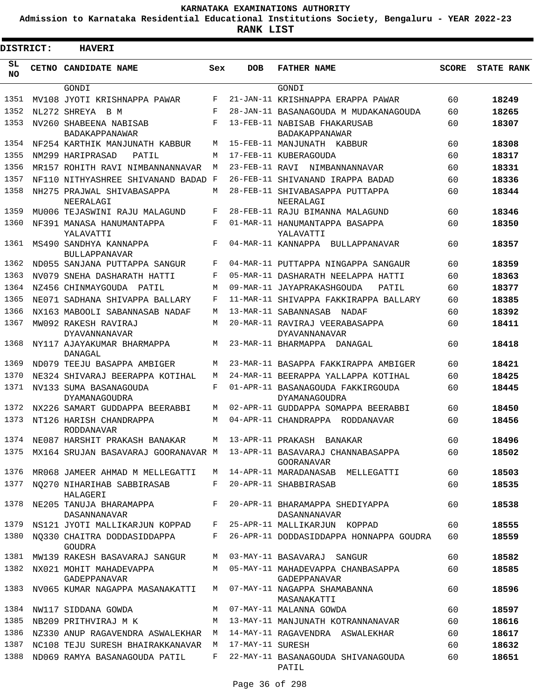**Admission to Karnataka Residential Educational Institutions Society, Bengaluru - YEAR 2022-23**

**RANK LIST**

| DISTRICT:  | <b>HAVERI</b>                                                         |       |                  |                                                      |              |                   |
|------------|-----------------------------------------------------------------------|-------|------------------|------------------------------------------------------|--------------|-------------------|
| SL.<br>NO. | CETNO CANDIDATE NAME                                                  | Sex   | <b>DOB</b>       | <b>FATHER NAME</b>                                   | <b>SCORE</b> | <b>STATE RANK</b> |
|            | GONDI                                                                 |       |                  | GONDI                                                |              |                   |
| 1351       | MV108 JYOTI KRISHNAPPA PAWAR                                          | F     |                  | 21-JAN-11 KRISHNAPPA ERAPPA PAWAR                    | 60           | 18249             |
| 1352       | NL272 SHREYA B M                                                      | F     |                  | 28-JAN-11 BASANAGOUDA M MUDAKANAGOUDA                | 60           | 18265             |
| 1353       | NV260 SHABEENA NABISAB<br>BADAKAPPANAWAR                              | F     |                  | 13-FEB-11 NABISAB FHAKARUSAB<br>BADAKAPPANAWAR       | 60           | 18307             |
| 1354       | NF254 KARTHIK MANJUNATH KABBUR                                        | М     |                  | 15-FEB-11 MANJUNATH KABBUR                           | 60           | 18308             |
| 1355       | NM299 HARIPRASAD<br>PATIL                                             | М     |                  | 17-FEB-11 KUBERAGOUDA                                | 60           | 18317             |
| 1356       | MR157 ROHITH RAVI NIMBANNANNAVAR                                      | M     |                  | 23-FEB-11 RAVI NIMBANNANNAVAR                        | 60           | 18331             |
| 1357       | NF110 NITHYASHREE SHIVANAND BADAD                                     | F     |                  | 26-FEB-11 SHIVANAND IRAPPA BADAD                     | 60           | 18336             |
| 1358       | NH275 PRAJWAL SHIVABASAPPA<br>NEERALAGI                               | М     |                  | 28-FEB-11 SHIVABASAPPA PUTTAPPA<br>NEERALAGI         | 60           | 18344             |
| 1359       | MU006 TEJASWINI RAJU MALAGUND                                         | F     |                  | 28-FEB-11 RAJU BIMANNA MALAGUND                      | 60           | 18346             |
| 1360       | NF391 MANASA HANUMANTAPPA<br>YALAVATTI                                | F     |                  | 01-MAR-11 HANUMANTAPPA BASAPPA<br>YALAVATTI          | 60           | 18350             |
| 1361       | MS490 SANDHYA KANNAPPA<br><b>BULLAPPANAVAR</b>                        | F     |                  | 04-MAR-11 KANNAPPA BULLAPPANAVAR                     | 60           | 18357             |
| 1362       | ND055 SANJANA PUTTAPPA SANGUR                                         | F     |                  | 04-MAR-11 PUTTAPPA NINGAPPA SANGAUR                  | 60           | 18359             |
| 1363       | NV079 SNEHA DASHARATH HATTI                                           | F     |                  | 05-MAR-11 DASHARATH NEELAPPA HATTI                   | 60           | 18363             |
| 1364       | NZ456 CHINMAYGOUDA<br>PATIL                                           | M     |                  | 09-MAR-11 JAYAPRAKASHGOUDA<br>PATIL                  | 60           | 18377             |
| 1365       | NE071 SADHANA SHIVAPPA BALLARY                                        | F     |                  | 11-MAR-11 SHIVAPPA FAKKIRAPPA BALLARY                | 60           | 18385             |
| 1366       | NX163 MABOOLI SABANNASAB NADAF                                        | М     |                  | 13-MAR-11 SABANNASAB NADAF                           | 60           | 18392             |
| 1367       | MW092 RAKESH RAVIRAJ                                                  | М     |                  | 20-MAR-11 RAVIRAJ VEERABASAPPA                       | 60           | 18411             |
| 1368       | <b>DYAVANNANAVAR</b><br>NY117 AJAYAKUMAR BHARMAPPA<br>DANAGAL         | M     |                  | DYAVANNANAVAR<br>23-MAR-11 BHARMAPPA<br>DANAGAL      | 60           | 18418             |
| 1369       | ND079 TEEJU BASAPPA AMBIGER                                           | М     |                  | 23-MAR-11 BASAPPA FAKKIRAPPA AMBIGER                 | 60           | 18421             |
| 1370       | NE324 SHIVARAJ BEERAPPA KOTIHAL                                       | M     |                  | 24-MAR-11 BEERAPPA YALLAPPA KOTIHAL                  | 60           | 18425             |
| 1371       | NV133 SUMA BASANAGOUDA                                                | F     |                  | 01-APR-11 BASANAGOUDA FAKKIRGOUDA                    | 60           | 18445             |
| 1372       | DYAMANAGOUDRA<br>NX226 SAMART GUDDAPPA BEERABBI                       | М     |                  | DYAMANAGOUDRA<br>02-APR-11 GUDDAPPA SOMAPPA BEERABBI | 60           | 18450             |
| 1373       | NT126 HARISH CHANDRAPPA                                               | М     |                  | 04-APR-11 CHANDRAPPA<br>RODDANAVAR                   | 60           | 18456             |
|            | <b>RODDANAVAR</b>                                                     |       |                  |                                                      |              |                   |
| 1374       | NE087 HARSHIT PRAKASH BANAKAR                                         | M     |                  | 13-APR-11 PRAKASH BANAKAR                            | 60           | 18496             |
| 1375       | MX164 SRUJAN BASAVARAJ GOORANAVAR M 13-APR-11 BASAVARAJ CHANNABASAPPA |       |                  | GOORANAVAR                                           | 60           | 18502             |
| 1376       | MR068 JAMEER AHMAD M MELLEGATTI                                       | M     |                  | 14-APR-11 MARADANASAB MELLEGATTI                     | 60           | 18503             |
| 1377       | NO270 NIHARIHAB SABBIRASAB<br>HALAGERI                                | F     |                  | 20-APR-11 SHABBIRASAB                                | 60           | 18535             |
| 1378       | NE205 TANUJA BHARAMAPPA<br>DASANNANAVAR                               | $F$ – |                  | 20-APR-11 BHARAMAPPA SHEDIYAPPA<br>DASANNANAVAR      | 60           | 18538             |
| 1379       | NS121 JYOTI MALLIKARJUN KOPPAD                                        | F     |                  | 25-APR-11 MALLIKARJUN KOPPAD                         | 60           | 18555             |
| 1380       | NQ330 CHAITRA DODDASIDDAPPA<br>GOUDRA                                 | F     |                  | 26-APR-11 DODDASIDDAPPA HONNAPPA GOUDRA              | 60           | 18559             |
| 1381       | MW139 RAKESH BASAVARAJ SANGUR                                         | М     |                  | 03-MAY-11 BASAVARAJ SANGUR                           | 60           | 18582             |
| 1382       | NX021 MOHIT MAHADEVAPPA<br>GADEPPANAVAR                               | M     |                  | 05-MAY-11 MAHADEVAPPA CHANBASAPPA<br>GADEPPANAVAR    | 60           | 18585             |
| 1383       | NV065 KUMAR NAGAPPA MASANAKATTI                                       | M     |                  | 07-MAY-11 NAGAPPA SHAMABANNA<br>MASANAKATTI          | 60           | 18596             |
| 1384       | NW117 SIDDANA GOWDA                                                   | М     |                  | 07-MAY-11 MALANNA GOWDA                              | 60           | 18597             |
| 1385       | NB209 PRITHVIRAJ M K                                                  | M     |                  | 13-MAY-11 MANJUNATH KOTRANNANAVAR                    | 60           | 18616             |
| 1386       | NZ330 ANUP RAGAVENDRA ASWALEKHAR                                      | M     |                  | 14-MAY-11 RAGAVENDRA ASWALEKHAR                      | 60           | 18617             |
| 1387       | NC108 TEJU SURESH BHAIRAKKANAVAR                                      | M     | 17-MAY-11 SURESH |                                                      | 60           | 18632             |
| 1388       | ND069 RAMYA BASANAGOUDA PATIL                                         | $F -$ |                  | 22-MAY-11 BASANAGOUDA SHIVANAGOUDA<br>PATIL          | 60           | 18651             |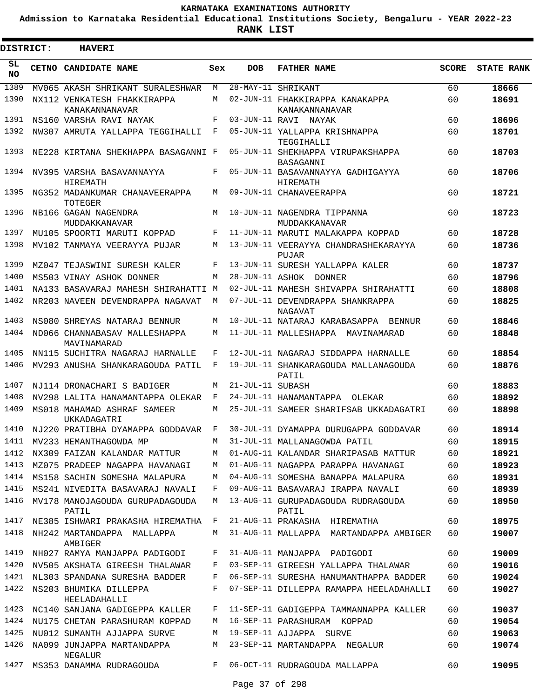**Admission to Karnataka Residential Educational Institutions Society, Bengaluru - YEAR 2022-23**

ı

| <b>DISTRICT:</b> | <b>HAVERI</b>                                                      |        |                  |                                                                         |          |                   |
|------------------|--------------------------------------------------------------------|--------|------------------|-------------------------------------------------------------------------|----------|-------------------|
| SL<br><b>NO</b>  | <b>CETNO CANDIDATE NAME</b>                                        | Sex    | <b>DOB</b>       | <b>FATHER NAME</b>                                                      | SCORE    | <b>STATE RANK</b> |
| 1389             | MV065 AKASH SHRIKANT SURALESHWAR                                   | М      |                  | 28-MAY-11 SHRIKANT                                                      | 60       | 18666             |
| 1390             | NX112 VENKATESH FHAKKIRAPPA<br>KANAKANNANAVAR                      | M      |                  | 02-JUN-11 FHAKKIRAPPA KANAKAPPA<br>KANAKANNANAVAR                       | 60       | 18691             |
| 1391             | NS160 VARSHA RAVI NAYAK                                            | F      |                  | 03-JUN-11 RAVI NAYAK                                                    | 60       | 18696             |
| 1392             | NW307 AMRUTA YALLAPPA TEGGIHALLI                                   | F      |                  | 05-JUN-11 YALLAPPA KRISHNAPPA<br>TEGGIHALLI                             | 60       | 18701             |
| 1393             | NE228 KIRTANA SHEKHAPPA BASAGANNI F                                |        |                  | 05-JUN-11 SHEKHAPPA VIRUPAKSHAPPA<br>BASAGANNI                          | 60       | 18703             |
| 1394             | NV395 VARSHA BASAVANNAYYA<br>HIREMATH                              | F      |                  | 05-JUN-11 BASAVANNAYYA GADHIGAYYA<br>HIREMATH                           | 60       | 18706             |
| 1395             | NG352 MADANKUMAR CHANAVEERAPPA<br>TOTEGER                          | M      |                  | 09-JUN-11 CHANAVEERAPPA                                                 | 60       | 18721             |
| 1396             | NB166 GAGAN NAGENDRA<br>MUDDAKKANAVAR                              | M      |                  | 10-JUN-11 NAGENDRA TIPPANNA<br>MUDDAKKANAVAR                            | 60       | 18723             |
| 1397             | MU105 SPOORTI MARUTI KOPPAD                                        | F      |                  | 11-JUN-11 MARUTI MALAKAPPA KOPPAD                                       | 60       | 18728             |
| 1398             | MV102 TANMAYA VEERAYYA PUJAR                                       | M      |                  | 13-JUN-11 VEERAYYA CHANDRASHEKARAYYA<br><b>PUJAR</b>                    | 60       | 18736             |
| 1399             | MZ047 TEJASWINI SURESH KALER                                       | F      |                  | 13-JUN-11 SURESH YALLAPPA KALER                                         | 60       | 18737             |
| 1400             | MS503 VINAY ASHOK DONNER                                           | М      |                  | 28-JUN-11 ASHOK DONNER                                                  | 60       | 18796             |
| 1401             | NA133 BASAVARAJ MAHESH SHIRAHATTI M                                |        |                  | 02-JUL-11 MAHESH SHIVAPPA SHIRAHATTI                                    | 60       | 18808             |
| 1402             | NR203 NAVEEN DEVENDRAPPA NAGAVAT                                   | M      |                  | 07-JUL-11 DEVENDRAPPA SHANKRAPPA<br>NAGAVAT                             | 60       | 18825             |
| 1403             | NS080 SHREYAS NATARAJ BENNUR                                       | М      |                  | 10-JUL-11 NATARAJ KARABASAPPA BENNUR                                    | 60       | 18846             |
| 1404             | ND066 CHANNABASAV MALLESHAPPA<br>MAVINAMARAD                       | M      |                  | 11-JUL-11 MALLESHAPPA MAVINAMARAD                                       | 60       | 18848             |
| 1405             | NN115 SUCHITRA NAGARAJ HARNALLE                                    | F      |                  | 12-JUL-11 NAGARAJ SIDDAPPA HARNALLE                                     | 60       | 18854             |
| 1406             | MV293 ANUSHA SHANKARAGOUDA PATIL                                   | F      |                  | 19-JUL-11 SHANKARAGOUDA MALLANAGOUDA<br>PATIL                           | 60       | 18876             |
| 1407             | NJ114 DRONACHARI S BADIGER                                         | M      | 21-JUL-11 SUBASH |                                                                         | 60       | 18883             |
| 1408             | NV298 LALITA HANAMANTAPPA OLEKAR                                   | F      |                  | 24-JUL-11 HANAMANTAPPA OLEKAR                                           | 60       | 18892             |
| 1409             | MS018 MAHAMAD ASHRAF SAMEER<br>UKKADAGATRI                         | М      |                  | 25-JUL-11 SAMEER SHARIFSAB UKKADAGATRI                                  | 60       | 18898             |
| 1410             | NJ220 PRATIBHA DYAMAPPA GODDAVAR                                   | F      |                  | 30-JUL-11 DYAMAPPA DURUGAPPA GODDAVAR                                   | 60       | 18914             |
|                  | 1411 MV233 HEMANTHAGOWDA MP                                        | М      |                  | 31-JUL-11 MALLANAGOWDA PATIL                                            | 60       | 18915             |
| 1412             | NX309 FAIZAN KALANDAR MATTUR                                       | М      |                  | 01-AUG-11 KALANDAR SHARIPASAB MATTUR                                    | 60       | 18921             |
| 1413             | MZ075 PRADEEP NAGAPPA HAVANAGI                                     | М      |                  | 01-AUG-11 NAGAPPA PARAPPA HAVANAGI                                      | 60       | 18923             |
| 1414             | MS158 SACHIN SOMESHA MALAPURA                                      | М      |                  | 04-AUG-11 SOMESHA BANAPPA MALAPURA                                      | 60       | 18931             |
| 1415<br>1416     | MS241 NIVEDITA BASAVARAJ NAVALI<br>MV178 MANOJAGOUDA GURUPADAGOUDA | F<br>М |                  | 09-AUG-11 BASAVARAJ IRAPPA NAVALI<br>13-AUG-11 GURUPADAGOUDA RUDRAGOUDA | 60<br>60 | 18939<br>18950    |
| 1417             | PATIL                                                              |        |                  | PATIL                                                                   |          |                   |
| 1418             | NE385 ISHWARI PRAKASHA HIREMATHA<br>NH242 MARTANDAPPA MALLAPPA     | F<br>М |                  | 21-AUG-11 PRAKASHA HIREMATHA<br>31-AUG-11 MALLAPPA MARTANDAPPA AMBIGER  | 60<br>60 | 18975<br>19007    |
| 1419             | AMBIGER<br>NH027 RAMYA MANJAPPA PADIGODI                           | F      |                  | 31-AUG-11 MANJAPPA PADIGODI                                             | 60       | 19009             |
| 1420             | NV505 AKSHATA GIREESH THALAWAR                                     | F      |                  | 03-SEP-11 GIREESH YALLAPPA THALAWAR                                     | 60       | 19016             |
| 1421             | NL303 SPANDANA SURESHA BADDER                                      | F      |                  | 06-SEP-11 SURESHA HANUMANTHAPPA BADDER                                  | 60       | 19024             |
| 1422             | NS203 BHUMIKA DILLEPPA<br>HEELADAHALLI                             | F      |                  | 07-SEP-11 DILLEPPA RAMAPPA HEELADAHALLI                                 | 60       | 19027             |
| 1423             | NC140 SANJANA GADIGEPPA KALLER                                     | F      |                  | 11-SEP-11 GADIGEPPA TAMMANNAPPA KALLER                                  | 60       | 19037             |
| 1424             | NU175 CHETAN PARASHURAM KOPPAD                                     | М      |                  | 16-SEP-11 PARASHURAM KOPPAD                                             | 60       | 19054             |
| 1425             | NU012 SUMANTH AJJAPPA SURVE                                        | М      |                  | 19-SEP-11 AJJAPPA SURVE                                                 | 60       | 19063             |
| 1426             | NA099 JUNJAPPA MARTANDAPPA<br>NEGALUR                              | М      |                  | 23-SEP-11 MARTANDAPPA NEGALUR                                           | 60       | 19074             |
| 1427             | MS353 DANAMMA RUDRAGOUDA                                           | F      |                  | 06-OCT-11 RUDRAGOUDA MALLAPPA                                           | 60       | 19095             |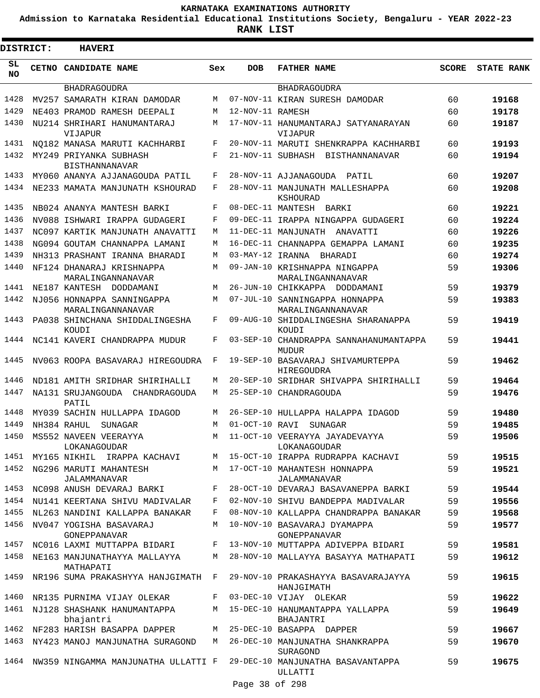**Admission to Karnataka Residential Educational Institutions Society, Bengaluru - YEAR 2022-23**

| DISTRICT:       | <b>HAVERI</b>                                   |     |                  |                                                        |              |                   |
|-----------------|-------------------------------------------------|-----|------------------|--------------------------------------------------------|--------------|-------------------|
| SL<br><b>NO</b> | CETNO CANDIDATE NAME                            | Sex | <b>DOB</b>       | <b>FATHER NAME</b>                                     | <b>SCORE</b> | <b>STATE RANK</b> |
|                 | <b>BHADRAGOUDRA</b>                             |     |                  | <b>BHADRAGOUDRA</b>                                    |              |                   |
| 1428            | MV257 SAMARATH KIRAN DAMODAR                    | M   |                  | 07-NOV-11 KIRAN SURESH DAMODAR                         | 60           | 19168             |
| 1429            | NE403 PRAMOD RAMESH DEEPALI                     | М   | 12-NOV-11 RAMESH |                                                        | 60           | 19178             |
| 1430            | NU214 SHRIHARI HANUMANTARAJ<br>VIJAPUR          | М   |                  | 17-NOV-11 HANUMANTARAJ SATYANARAYAN<br>VIJAPUR         | 60           | 19187             |
| 1431            | NO182 MANASA MARUTI KACHHARBI                   | F   |                  | 20-NOV-11 MARUTI SHENKRAPPA KACHHARBI                  | 60           | 19193             |
| 1432            | MY249 PRIYANKA SUBHASH<br><b>BISTHANNANAVAR</b> | F   |                  | 21-NOV-11 SUBHASH BISTHANNANAVAR                       | 60           | 19194             |
| 1433            | MY060 ANANYA AJJANAGOUDA PATIL                  | F   |                  | 28-NOV-11 AJJANAGOUDA PATIL                            | 60           | 19207             |
| 1434            | NE233 MAMATA MANJUNATH KSHOURAD                 | F   |                  | 28-NOV-11 MANJUNATH MALLESHAPPA<br>KSHOURAD            | 60           | 19208             |
| 1435            | NB024 ANANYA MANTESH BARKI                      | F   |                  | 08-DEC-11 MANTESH BARKI                                | 60           | 19221             |
| 1436            | NV088 ISHWARI IRAPPA GUDAGERI                   | F   |                  | 09-DEC-11 IRAPPA NINGAPPA GUDAGERI                     | 60           | 19224             |
| 1437            | NC097 KARTIK MANJUNATH ANAVATTI                 | М   |                  | 11-DEC-11 MANJUNATH<br>ANAVATTI                        | 60           | 19226             |
| 1438            | NG094 GOUTAM CHANNAPPA LAMANI                   | М   |                  | 16-DEC-11 CHANNAPPA GEMAPPA LAMANI                     | 60           | 19235             |
| 1439            | NH313 PRASHANT IRANNA BHARADI                   | М   | 03-MAY-12 IRANNA | BHARADI                                                | 60           | 19274             |
| 1440            | NF124 DHANARAJ KRISHNAPPA<br>MARALINGANNANAVAR  | М   |                  | 09-JAN-10 KRISHNAPPA NINGAPPA<br>MARALINGANNANAVAR     | 59           | 19306             |
| 1441            | NE187 KANTESH<br>DODDAMANI                      | M   |                  | 26-JUN-10 CHIKKAPPA DODDAMANI                          | 59           | 19379             |
| 1442            | NJ056 HONNAPPA SANNINGAPPA<br>MARALINGANNANAVAR | М   |                  | 07-JUL-10 SANNINGAPPA HONNAPPA<br>MARALINGANNANAVAR    | 59           | 19383             |
| 1443            | PA038 SHINCHANA SHIDDALINGESHA<br>KOUDI         | F   |                  | 09-AUG-10 SHIDDALINGESHA SHARANAPPA<br>KOUDI           | 59           | 19419             |
| 1444            | NC141 KAVERI CHANDRAPPA MUDUR                   | F   |                  | 03-SEP-10 CHANDRAPPA SANNAHANUMANTAPPA<br><b>MUDUR</b> | 59           | 19441             |
| 1445            | NV063 ROOPA BASAVARAJ HIREGOUDRA                | F   |                  | 19-SEP-10 BASAVARAJ SHIVAMURTEPPA<br>HIREGOUDRA        | 59           | 19462             |
| 1446            | ND181 AMITH SRIDHAR SHIRIHALLI                  | М   |                  | 20-SEP-10 SRIDHAR SHIVAPPA SHIRIHALLI                  | 59           | 19464             |
| 1447            | NA131 SRUJANGOUDA<br>CHANDRAGOUDA<br>PATIL      | М   |                  | 25-SEP-10 CHANDRAGOUDA                                 | 59           | 19476             |
| 1448            | MY039 SACHIN HULLAPPA IDAGOD                    | М   |                  | 26-SEP-10 HULLAPPA HALAPPA IDAGOD                      | 59           | 19480             |
| 1449            | NH384 RAHUL<br>SUNAGAR                          | М   | 01-OCT-10 RAVI   | SUNAGAR                                                | 59           | 19485             |
| 1450            | MS552 NAVEEN VEERAYYA<br>LOKANAGOUDAR           | М   |                  | 11-OCT-10 VEERAYYA JAYADEVAYYA<br>LOKANAGOUDAR         | 59           | 19506             |
| 1451            | MY165 NIKHIL IRAPPA KACHAVI                     |     |                  | M 15-OCT-10 IRAPPA RUDRAPPA KACHAVI                    | 59           | 19515             |
| 1452            | NG296 MARUTI MAHANTESH<br><b>JALAMMANAVAR</b>   | M   |                  | 17-OCT-10 MAHANTESH HONNAPPA<br>JALAMMANAVAR           | 59           | 19521             |
| 1453            | NC098 ANUSH DEVARAJ BARKI                       | F   |                  | 28-OCT-10 DEVARAJ BASAVANEPPA BARKI                    | 59           | 19544             |
| 1454            | NU141 KEERTANA SHIVU MADIVALAR                  | F   |                  | 02-NOV-10 SHIVU BANDEPPA MADIVALAR                     | 59           | 19556             |
| 1455            | NL263 NANDINI KALLAPPA BANAKAR                  | F   |                  | 08-NOV-10 KALLAPPA CHANDRAPPA BANAKAR                  | 59           | 19568             |
| 1456            | NV047 YOGISHA BASAVARAJ<br>GONEPPANAVAR         | М   |                  | 10-NOV-10 BASAVARAJ DYAMAPPA<br>GONEPPANAVAR           | 59           | 19577             |
| 1457            | NC016 LAXMI MUTTAPPA BIDARI                     | F   |                  | 13-NOV-10 MUTTAPPA ADIVEPPA BIDARI                     | 59           | 19581             |
| 1458            | NE163 MANJUNATHAYYA MALLAYYA<br>MATHAPATI       | M   |                  | 28-NOV-10 MALLAYYA BASAYYA MATHAPATI                   | 59           | 19612             |
| 1459            | NR196 SUMA PRAKASHYYA HANJGIMATH                | F   |                  | 29-NOV-10 PRAKASHAYYA BASAVARAJAYYA<br>HANJGIMATH      | 59           | 19615             |
| 1460            | NR135 PURNIMA VIJAY OLEKAR                      | F   |                  | 03-DEC-10 VIJAY OLEKAR                                 | 59           | 19622             |
| 1461            | NJ128 SHASHANK HANUMANTAPPA<br>bhajantri        | М   |                  | 15-DEC-10 HANUMANTAPPA YALLAPPA<br>BHAJANTRI           | 59           | 19649             |
| 1462            | NF283 HARISH BASAPPA DAPPER                     | M   |                  | 25-DEC-10 BASAPPA DAPPER                               | 59           | 19667             |
| 1463            | NY423 MANOJ MANJUNATHA SURAGOND                 | M   |                  | 26-DEC-10 MANJUNATHA SHANKRAPPA<br>SURAGOND            | 59           | 19670             |
| 1464            | NW359 NINGAMMA MANJUNATHA ULLATTI F             |     |                  | 29-DEC-10 MANJUNATHA BASAVANTAPPA<br>ULLATTI           | 59           | 19675             |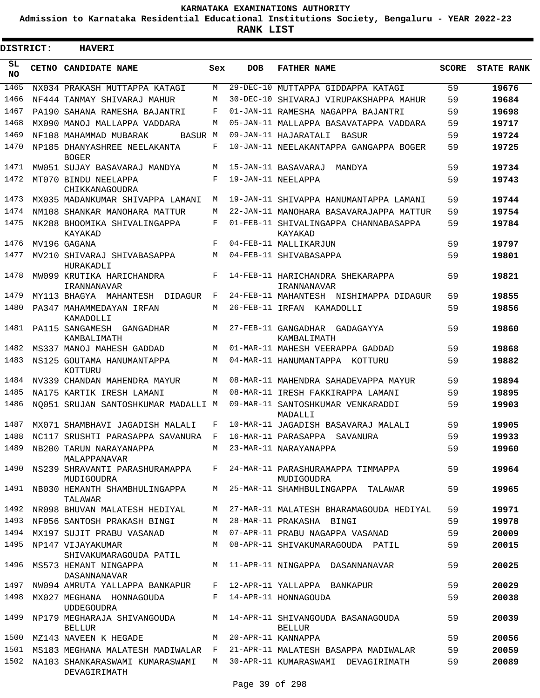**Admission to Karnataka Residential Educational Institutions Society, Bengaluru - YEAR 2022-23**

 $\blacksquare$ 

**RANK LIST**

Е

| DISTRICT:        | <b>HAVERI</b>                                   |     |            |                                                    |              |                   |
|------------------|-------------------------------------------------|-----|------------|----------------------------------------------------|--------------|-------------------|
| SL.<br><b>NO</b> | CETNO CANDIDATE NAME                            | Sex | <b>DOB</b> | <b>FATHER NAME</b>                                 | <b>SCORE</b> | <b>STATE RANK</b> |
| 1465             | NX034 PRAKASH MUTTAPPA KATAGI                   | М   |            | 29-DEC-10 MUTTAPPA GIDDAPPA KATAGI                 | 59           | 19676             |
| 1466             | NF444 TANMAY SHIVARAJ MAHUR                     | М   |            | 30-DEC-10 SHIVARAJ VIRUPAKSHAPPA MAHUR             | 59           | 19684             |
| 1467             | PA190 SAHANA RAMESHA BAJANTRI                   | F   |            | 01-JAN-11 RAMESHA NAGAPPA BAJANTRI                 | 59           | 19698             |
| 1468             | MX090 MANOJ MALLAPPA VADDARA                    | M   |            | 05-JAN-11 MALLAPPA BASAVATAPPA VADDARA             | 59           | 19717             |
| 1469             | NF108 MAHAMMAD MUBARAK<br>BASUR M               |     |            | 09-JAN-11 HAJARATALI BASUR                         | 59           | 19724             |
| 1470             | NP185 DHANYASHREE NEELAKANTA<br><b>BOGER</b>    | F   |            | 10-JAN-11 NEELAKANTAPPA GANGAPPA BOGER             | 59           | 19725             |
| 1471             | MW051 SUJAY BASAVARAJ MANDYA                    | M   |            | 15-JAN-11 BASAVARAJ<br>MANDYA                      | 59           | 19734             |
| 1472             | MT070 BINDU NEELAPPA<br>CHIKKANAGOUDRA          | F   |            | 19-JAN-11 NEELAPPA                                 | 59           | 19743             |
| 1473             | MX035 MADANKUMAR SHIVAPPA LAMANI                | М   |            | 19-JAN-11 SHIVAPPA HANUMANTAPPA LAMANI             | 59           | 19744             |
| 1474             | NM108 SHANKAR MANOHARA MATTUR                   | M   |            | 22-JAN-11 MANOHARA BASAVARAJAPPA MATTUR            | 59           | 19754             |
| 1475             | NK288 BHOOMIKA SHIVALINGAPPA<br><b>KAYAKAD</b>  | F   |            | 01-FEB-11 SHIVALINGAPPA CHANNABASAPPA<br>KAYAKAD   | 59           | 19784             |
| 1476             | MV196 GAGANA                                    | F   |            | 04-FEB-11 MALLIKARJUN                              | 59           | 19797             |
| 1477             | MV210 SHIVARAJ SHIVABASAPPA<br>HURAKADLI        | M   |            | 04-FEB-11 SHIVABASAPPA                             | 59           | 19801             |
| 1478             | MW099 KRUTIKA HARICHANDRA<br>IRANNANAVAR        | F   |            | 14-FEB-11 HARICHANDRA SHEKARAPPA<br>IRANNANAVAR    | 59           | 19821             |
| 1479             | MY113 BHAGYA MAHANTESH DIDAGUR                  | F   |            | 24-FEB-11 MAHANTESH NISHIMAPPA DIDAGUR             | 59           | 19855             |
| 1480             | PA347 MAHAMMEDAYAN IRFAN<br>KAMADOLLI           | М   |            | 26-FEB-11 IRFAN KAMADOLLI                          | 59           | 19856             |
| 1481             | PA115 SANGAMESH GANGADHAR<br>KAMBALIMATH        | М   |            | 27-FEB-11 GANGADHAR<br>GADAGAYYA<br>KAMBALIMATH    | 59           | 19860             |
| 1482             | MS337 MANOJ MAHESH GADDAD                       | М   |            | 01-MAR-11 MAHESH VEERAPPA GADDAD                   | 59           | 19868             |
| 1483             | NS125 GOUTAMA HANUMANTAPPA<br>KOTTURU           | M   |            | 04-MAR-11 HANUMANTAPPA KOTTURU                     | 59           | 19882             |
| 1484             | NV339 CHANDAN MAHENDRA MAYUR                    | M   |            | 08-MAR-11 MAHENDRA SAHADEVAPPA MAYUR               | 59           | 19894             |
| 1485             | NA175 KARTIK IRESH LAMANI                       | М   |            | 08-MAR-11 IRESH FAKKIRAPPA LAMANI                  | 59           | 19895             |
| 1486             | NO051 SRUJAN SANTOSHKUMAR MADALLI M             |     |            | 09-MAR-11 SANTOSHKUMAR VENKARADDI<br>MADALLI       | 59           | 19903             |
| 1487             | MX071 SHAMBHAVI JAGADISH MALALI                 | F   |            | 10-MAR-11 JAGADISH BASAVARAJ MALALI                | 59           | 19905             |
|                  | 1488 NC117 SRUSHTI PARASAPPA SAVANURA           |     |            | F 16-MAR-11 PARASAPPA SAVANURA                     | 59           | 19933             |
| 1489             | NB200 TARUN NARAYANAPPA<br>MALAPPANAVAR         | M   |            | 23-MAR-11 NARAYANAPPA                              | 59           | 19960             |
| 1490             | NS239 SHRAVANTI PARASHURAMAPPA<br>MUDIGOUDRA    | F   |            | 24-MAR-11 PARASHURAMAPPA TIMMAPPA<br>MUDIGOUDRA    | 59           | 19964             |
| 1491             | NB030 HEMANTH SHAMBHULINGAPPA<br>TALAWAR        | M   |            | 25-MAR-11 SHAMHBULINGAPPA TALAWAR                  | 59           | 19965             |
| 1492             | NR098 BHUVAN MALATESH HEDIYAL                   | M   |            | 27-MAR-11 MALATESH BHARAMAGOUDA HEDIYAL            | 59           | 19971             |
| 1493             | NF056 SANTOSH PRAKASH BINGI                     | M   |            | 28-MAR-11 PRAKASHA BINGI                           | 59           | 19978             |
| 1494             | MX197 SUJIT PRABU VASANAD                       | M   |            | 07-APR-11 PRABU NAGAPPA VASANAD                    | 59           | 20009             |
| 1495             | NP147 VIJAYAKUMAR<br>SHIVAKUMARAGOUDA PATIL     | М   |            | 08-APR-11 SHIVAKUMARAGOUDA PATIL                   | 59           | 20015             |
| 1496             | MS573 HEMANT NINGAPPA<br>DASANNANAVAR           | М   |            | 11-APR-11 NINGAPPA DASANNANAVAR                    | 59           | 20025             |
| 1497             | NW094 AMRUTA YALLAPPA BANKAPUR                  | F   |            | 12-APR-11 YALLAPPA BANKAPUR                        | 59           | 20029             |
| 1498             | MX027 MEGHANA HONNAGOUDA<br>UDDEGOUDRA          | F   |            | 14-APR-11 HONNAGOUDA                               | 59           | 20038             |
| 1499             | NP179 MEGHARAJA SHIVANGOUDA<br><b>BELLUR</b>    | М   |            | 14-APR-11 SHIVANGOUDA BASANAGOUDA<br><b>BELLUR</b> | 59           | 20039             |
| 1500             | MZ143 NAVEEN K HEGADE                           | M   |            | 20-APR-11 KANNAPPA                                 | 59           | 20056             |
| 1501             | MS183 MEGHANA MALATESH MADIWALAR                | F   |            | 21-APR-11 MALATESH BASAPPA MADIWALAR               | 59           | 20059             |
| 1502             | NA103 SHANKARASWAMI KUMARASWAMI<br>DEVAGIRIMATH | М   |            | 30-APR-11 KUMARASWAMI DEVAGIRIMATH                 | 59           | 20089             |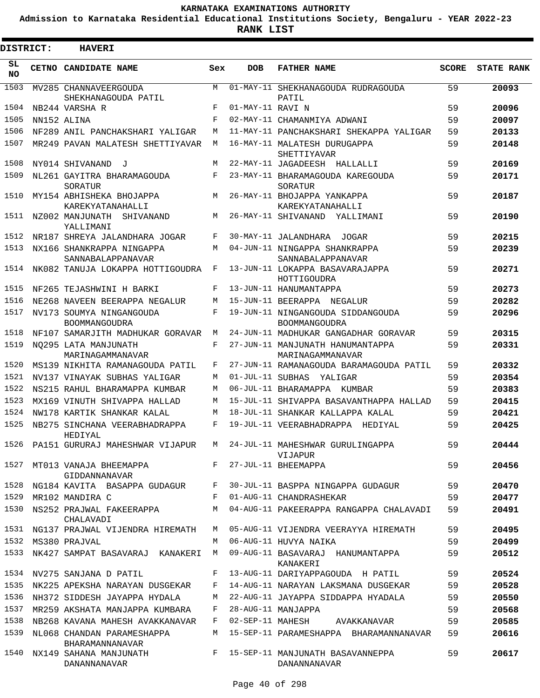**Admission to Karnataka Residential Educational Institutions Society, Bengaluru - YEAR 2022-23**

ı

| <b>DISTRICT:</b> | <b>HAVERI</b>                                  |              |                  |                                                           |              |                   |
|------------------|------------------------------------------------|--------------|------------------|-----------------------------------------------------------|--------------|-------------------|
| SL<br><b>NO</b>  | CETNO CANDIDATE NAME                           | Sex          | <b>DOB</b>       | <b>FATHER NAME</b>                                        | <b>SCORE</b> | <b>STATE RANK</b> |
| 1503             | MV285 CHANNAVEERGOUDA<br>SHEKHANAGOUDA PATIL   | M            |                  | 01-MAY-11 SHEKHANAGOUDA RUDRAGOUDA<br>PATIL               | 59           | 20093             |
| 1504             | NB244 VARSHA R                                 | F            | 01-MAY-11 RAVI N |                                                           | 59           | 20096             |
| 1505             | NN152 ALINA                                    | F            |                  | 02-MAY-11 CHAMANMIYA ADWANI                               | 59           | 20097             |
| 1506             | NF289 ANIL PANCHAKSHARI YALIGAR                | М            |                  | 11-MAY-11 PANCHAKSHARI SHEKAPPA YALIGAR                   | 59           | 20133             |
| 1507             | MR249 PAVAN MALATESH SHETTIYAVAR               | M            |                  | 16-MAY-11 MALATESH DURUGAPPA<br>SHETTIYAVAR               | 59           | 20148             |
| 1508             | NY014 SHIVANAND<br>$\mathbf{J}$                | М            |                  | 22-MAY-11 JAGADEESH HALLALLI                              | 59           | 20169             |
| 1509             | NL261 GAYITRA BHARAMAGOUDA<br>SORATUR          | F            |                  | 23-MAY-11 BHARAMAGOUDA KAREGOUDA<br>SORATUR               | 59           | 20171             |
| 1510             | MY154 ABHISHEKA BHOJAPPA<br>KAREKYATANAHALLI   | M            |                  | 26-MAY-11 BHOJAPPA YANKAPPA<br>KAREKYATANAHALLI           | 59           | 20187             |
| 1511             | NZ002 MANJUNATH SHIVANAND<br>YALLIMANI         | М            |                  | 26-MAY-11 SHIVANAND YALLIMANI                             | 59           | 20190             |
| 1512             | NR187 SHREYA JALANDHARA JOGAR                  | F            |                  | 30-MAY-11 JALANDHARA JOGAR                                | 59           | 20215             |
| 1513             | NX166 SHANKRAPPA NINGAPPA<br>SANNABALAPPANAVAR | M            |                  | 04-JUN-11 NINGAPPA SHANKRAPPA<br>SANNABALAPPANAVAR        | 59           | 20239             |
| 1514             | NK082 TANUJA LOKAPPA HOTTIGOUDRA               | F            |                  | 13-JUN-11 LOKAPPA BASAVARAJAPPA<br>HOTTIGOUDRA            | 59           | 20271             |
| 1515             | NF265 TEJASHWINI H BARKI                       | F            |                  | 13-JUN-11 HANUMANTAPPA                                    | 59           | 20273             |
| 1516             | NE268 NAVEEN BEERAPPA NEGALUR                  | M            |                  | 15-JUN-11 BEERAPPA NEGALUR                                | 59           | 20282             |
| 1517             | NV173 SOUMYA NINGANGOUDA<br>BOOMMANGOUDRA      | F            |                  | 19-JUN-11 NINGANGOUDA SIDDANGOUDA<br><b>BOOMMANGOUDRA</b> | 59           | 20296             |
| 1518             | NF107 SAMARJITH MADHUKAR GORAVAR               | M            |                  | 24-JUN-11 MADHUKAR GANGADHAR GORAVAR                      | 59           | 20315             |
| 1519             | NO295 LATA MANJUNATH<br>MARINAGAMMANAVAR       | F            |                  | 27-JUN-11 MANJUNATH HANUMANTAPPA<br>MARINAGAMMANAVAR      | 59           | 20331             |
| 1520             | MS139 NIKHITA RAMANAGOUDA PATIL                | F            |                  | 27-JUN-11 RAMANAGOUDA BARAMAGOUDA PATIL                   | 59           | 20332             |
| 1521             | NV137 VINAYAK SUBHAS YALIGAR                   | М            | 01-JUL-11 SUBHAS | YALIGAR                                                   | 59           | 20354             |
| 1522             | NS215 RAHUL BHARAMAPPA KUMBAR                  | М            |                  | 06-JUL-11 BHARAMAPPA KUMBAR                               | 59           | 20383             |
| 1523             | MX169 VINUTH SHIVAPPA HALLAD                   | М            |                  | 15-JUL-11 SHIVAPPA BASAVANTHAPPA HALLAD                   | 59           | 20415             |
| 1524             | NW178 KARTIK SHANKAR KALAL                     | М            |                  | 18-JUL-11 SHANKAR KALLAPPA KALAL                          | 59           | 20421             |
| 1525             | NB275 SINCHANA VEERABHADRAPPA<br>HEDIYAL       | $\mathbf{F}$ |                  | 19-JUL-11 VEERABHADRAPPA HEDIYAL                          | 59           | 20425             |
| 1526             | PA151 GURURAJ MAHESHWAR VIJAPUR                | M            |                  | 24-JUL-11 MAHESHWAR GURULINGAPPA<br>VIJAPUR               | 59           | 20444             |
| 1527             | MT013 VANAJA BHEEMAPPA<br>GIDDANNANAVAR        | $F$ –        |                  | 27-JUL-11 BHEEMAPPA                                       | 59           | 20456             |
| 1528             | NG184 KAVITA BASAPPA GUDAGUR                   | F            |                  | 30-JUL-11 BASPPA NINGAPPA GUDAGUR                         | 59           | 20470             |
| 1529             | MR102 MANDIRA C                                | F            |                  | 01-AUG-11 CHANDRASHEKAR                                   | 59           | 20477             |
| 1530             | NS252 PRAJWAL FAKEERAPPA<br>CHALAVADI          | M            |                  | 04-AUG-11 PAKEERAPPA RANGAPPA CHALAVADI                   | 59           | 20491             |
| 1531             | NG137 PRAJWAL VIJENDRA HIREMATH                | M            |                  | 05-AUG-11 VIJENDRA VEERAYYA HIREMATH                      | 59           | 20495             |
| 1532             | MS380 PRAJVAL                                  | M            |                  | 06-AUG-11 HUVYA NAIKA                                     | 59           | 20499             |
| 1533             | NK427 SAMPAT BASAVARAJ KANAKERI                | M            |                  | 09-AUG-11 BASAVARAJ HANUMANTAPPA<br>KANAKERI              | 59           | 20512             |
|                  | 1534 NV275 SANJANA D PATIL                     | F            |                  | 13-AUG-11 DARIYAPPAGOUDA H PATIL                          | 59           | 20524             |
| 1535             | NK225 APEKSHA NARAYAN DUSGEKAR                 | F            |                  | 14-AUG-11 NARAYAN LAKSMANA DUSGEKAR                       | 59           | 20528             |
| 1536             | NH372 SIDDESH JAYAPPA HYDALA                   | M            |                  | 22-AUG-11 JAYAPPA SIDDAPPA HYADALA                        | 59           | 20550             |
| 1537             | MR259 AKSHATA MANJAPPA KUMBARA                 | F            |                  | 28-AUG-11 MANJAPPA                                        | 59           | 20568             |
| 1538             | NB268 KAVANA MAHESH AVAKKANAVAR                | F            |                  | 02-SEP-11 MAHESH<br>AVAKKANAVAR                           | 59           | 20585             |
| 1539             | NL068 CHANDAN PARAMESHAPPA<br>BHARAMANNANAVAR  | M            |                  | 15-SEP-11 PARAMESHAPPA BHARAMANNANAVAR                    | 59           | 20616             |
| 1540             | NX149 SAHANA MANJUNATH<br>DANANNANAVAR         |              |                  | F 15-SEP-11 MANJUNATH BASAVANNEPPA<br>DANANNANAVAR        | 59           | 20617             |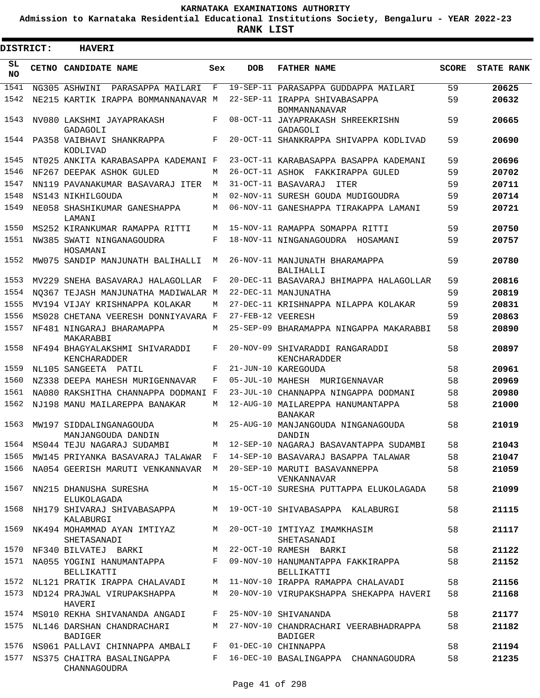**Admission to Karnataka Residential Educational Institutions Society, Bengaluru - YEAR 2022-23**

 $\blacksquare$ 

**RANK LIST**

| <b>DISTRICT:</b> | <b>HAVERI</b>                                                                  |       |                   |                                                                                  |              |                   |
|------------------|--------------------------------------------------------------------------------|-------|-------------------|----------------------------------------------------------------------------------|--------------|-------------------|
| SL<br>NO.        | CETNO CANDIDATE NAME                                                           | Sex   | <b>DOB</b>        | <b>FATHER NAME</b>                                                               | <b>SCORE</b> | <b>STATE RANK</b> |
| 1541             | NG305 ASHWINI<br>PARASAPPA MAILARI                                             | F     |                   | 19-SEP-11 PARASAPPA GUDDAPPA MAILARI                                             | 59           | 20625             |
| 1542             | NE215 KARTIK IRAPPA BOMMANNANAVAR M                                            |       |                   | 22-SEP-11 IRAPPA SHIVABASAPPA                                                    | 59           | 20632             |
| 1543             | NV080 LAKSHMI JAYAPRAKASH<br>GADAGOLI                                          | F     |                   | <b>BOMMANNANAVAR</b><br>08-OCT-11 JAYAPRAKASH SHREEKRISHN<br>GADAGOLI            | 59           | 20665             |
| 1544             | PA358 VAIBHAVI SHANKRAPPA<br>KODLIVAD                                          | F     |                   | 20-OCT-11 SHANKRAPPA SHIVAPPA KODLIVAD                                           | 59           | 20690             |
| 1545             | NT025 ANKITA KARABASAPPA KADEMANI F                                            |       |                   | 23-OCT-11 KARABASAPPA BASAPPA KADEMANI                                           | 59           | 20696             |
| 1546             | NF267 DEEPAK ASHOK GULED                                                       | М     |                   | 26-OCT-11 ASHOK FAKKIRAPPA GULED                                                 | 59           | 20702             |
| 1547             | NN119 PAVANAKUMAR BASAVARAJ ITER                                               | M     |                   | 31-OCT-11 BASAVARAJ<br>ITER                                                      | 59           | 20711             |
| 1548             | NS143 NIKHILGOUDA                                                              | M     |                   | 02-NOV-11 SURESH GOUDA MUDIGOUDRA                                                | 59           | 20714             |
| 1549             | NE058 SHASHIKUMAR GANESHAPPA<br>LAMANI                                         | M     |                   | 06-NOV-11 GANESHAPPA TIRAKAPPA LAMANI                                            | 59           | 20721             |
| 1550             | MS252 KIRANKUMAR RAMAPPA RITTI                                                 | М     |                   | 15-NOV-11 RAMAPPA SOMAPPA RITTI                                                  | 59           | 20750             |
| 1551             | NW385 SWATI NINGANAGOUDRA<br>HOSAMANI                                          | F     |                   | 18-NOV-11 NINGANAGOUDRA HOSAMANI                                                 | 59           | 20757             |
| 1552             | MW075 SANDIP MANJUNATH BALIHALLI                                               | М     |                   | 26-NOV-11 MANJUNATH BHARAMAPPA<br>BALIHALLI                                      | 59           | 20780             |
| 1553             | MV229 SNEHA BASAVARAJ HALAGOLLAR                                               | F     |                   | 20-DEC-11 BASAVARAJ BHIMAPPA HALAGOLLAR                                          | 59           | 20816             |
| 1554             | NO367 TEJASH MANJUNATHA MADIWALAR M                                            |       |                   | 22-DEC-11 MANJUNATHA                                                             | 59           | 20819             |
| 1555             | MV194 VIJAY KRISHNAPPA KOLAKAR                                                 | М     |                   | 27-DEC-11 KRISHNAPPA NILAPPA KOLAKAR                                             | 59           | 20831             |
| 1556             | MS028 CHETANA VEERESH DONNIYAVARA F                                            |       | 27-FEB-12 VEERESH |                                                                                  | 59           | 20863             |
| 1557             | NF481 NINGARAJ BHARAMAPPA<br>MAKARABBI                                         | М     |                   | 25-SEP-09 BHARAMAPPA NINGAPPA MAKARABBI                                          | 58           | 20890             |
| 1558             | NF494 BHAGYALAKSHMI SHIVARADDI<br>KENCHARADDER                                 | F     |                   | 20-NOV-09 SHIVARADDI RANGARADDI<br>KENCHARADDER                                  | 58           | 20897             |
| 1559             | NL105 SANGEETA PATIL                                                           | F     |                   | 21-JUN-10 KAREGOUDA                                                              | 58           | 20961             |
| 1560             | NZ338 DEEPA MAHESH MURIGENNAVAR                                                | F     |                   | 05-JUL-10 MAHESH MURIGENNAVAR                                                    | 58           | 20969             |
| 1561             | NA080 RAKSHITHA CHANNAPPA DODMANI F                                            |       |                   | 23-JUL-10 CHANNAPPA NINGAPPA DODMANI                                             | 58           | 20980             |
| 1562             | NJ198 MANU MAILAREPPA BANAKAR                                                  | M     |                   | 12-AUG-10 MAILAREPPA HANUMANTAPPA<br><b>BANAKAR</b>                              | 58           | 21000             |
| 1563             | MW197 SIDDALINGANAGOUDA<br>MANJANGOUDA DANDIN                                  | M     |                   | 25-AUG-10 MANJANGOUDA NINGANAGOUDA<br>DANDIN                                     | 58           | 21019             |
|                  | 1564 MS044 TEJU NAGARAJ SUDAMBI                                                | M     |                   | 12-SEP-10 NAGARAJ BASAVANTAPPA SUDAMBI                                           | 58           | 21043             |
|                  | 1565 MW145 PRIYANKA BASAVARAJ TALAWAR F                                        |       |                   | 14-SEP-10 BASAVARAJ BASAPPA TALAWAR                                              | 58           | 21047             |
|                  | 1566 NA054 GEERISH MARUTI VENKANNAVAR M 20-SEP-10 MARUTI BASAVANNEPPA          |       |                   | VENKANNAVAR                                                                      | 58           | 21059             |
|                  | 1567 NN215 DHANUSHA SURESHA<br>ELUKOLAGADA                                     |       |                   | M 15-OCT-10 SURESHA PUTTAPPA ELUKOLAGADA                                         | 58           | 21099             |
|                  | KALABURGI                                                                      |       |                   | 1568 NH179 SHIVARAJ SHIVABASAPPA       M   19-OCT-10 SHIVABASAPPA  KALABURGI     | 58           | 21115             |
|                  | 1569 NK494 MOHAMMAD AYAN IMTIYAZ M 20-OCT-10 IMTIYAZ IMAMKHASIM<br>SHETASANADI |       |                   | SHETASANADI                                                                      | 58           | 21117             |
|                  | 1570 NF340 BILVATEJ BARKI                                                      |       |                   | M 22-OCT-10 RAMESH BARKI                                                         | 58           | 21122             |
|                  | BELLIKATTI                                                                     |       |                   | 1571 NA055 YOGINI HANUMANTAPPA F 09-NOV-10 HANUMANTAPPA FAKKIRAPPA<br>BELLIKATTI | 58           | 21152             |
|                  |                                                                                |       |                   | 1572 NL121 PRATIK IRAPPA CHALAVADI M 11-NOV-10 IRAPPA RAMAPPA CHALAVADI          | 58           | 21156             |
|                  | 1573 ND124 PRAJWAL VIRUPAKSHAPPA<br>HAVERI                                     | M     |                   | 20-NOV-10 VIRUPAKSHAPPA SHEKAPPA HAVERI                                          | 58           | 21168             |
|                  | 1574 MS010 REKHA SHIVANANDA ANGADI                                             |       |                   | F 25-NOV-10 SHIVANANDA                                                           | 58           | 21177             |
|                  | 1575 NL146 DARSHAN CHANDRACHARI<br>BADIGER                                     | M     |                   | 27-NOV-10 CHANDRACHARI VEERABHADRAPPA<br>BADIGER                                 | 58           | 21182             |
|                  | 1576 NS061 PALLAVI CHINNAPPA AMBALI                                            |       |                   | F 01-DEC-10 CHINNAPPA                                                            | 58           | 21194             |
|                  | 1577 NS375 CHAITRA BASALINGAPPA<br>CHANNAGOUDRA                                | $F$ – |                   | 16-DEC-10 BASALINGAPPA CHANNAGOUDRA                                              | 58           | 21235             |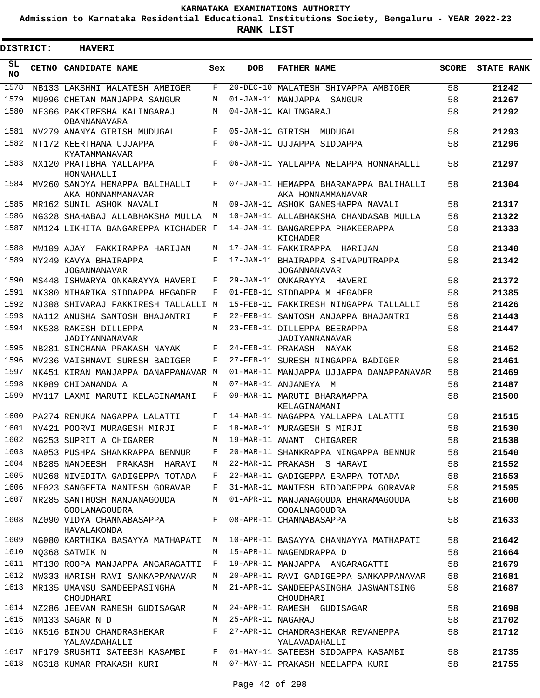**Admission to Karnataka Residential Educational Institutions Society, Bengaluru - YEAR 2022-23**

**RANK LIST**

ı

| <b>DISTRICT:</b> |  | <b>HAVERI</b>                                       |     |                   |                                                             |              |                   |
|------------------|--|-----------------------------------------------------|-----|-------------------|-------------------------------------------------------------|--------------|-------------------|
| SL.<br><b>NO</b> |  | CETNO CANDIDATE NAME                                | Sex | <b>DOB</b>        | <b>FATHER NAME</b>                                          | <b>SCORE</b> | <b>STATE RANK</b> |
| 1578             |  | NB133 LAKSHMI MALATESH AMBIGER                      | F   |                   | 20-DEC-10 MALATESH SHIVAPPA AMBIGER                         | 58           | 21242             |
| 1579             |  | MU096 CHETAN MANJAPPA SANGUR                        | M   |                   | 01-JAN-11 MANJAPPA SANGUR                                   | 58           | 21267             |
| 1580             |  | NF366 PAKKIRESHA KALINGARAJ<br>OBANNANAVARA         | M   |                   | 04-JAN-11 KALINGARAJ                                        | 58           | 21292             |
| 1581             |  | NV279 ANANYA GIRISH MUDUGAL                         | F   | 05-JAN-11 GIRISH  | MUDUGAL                                                     | 58           | 21293             |
| 1582             |  | NT172 KEERTHANA UJJAPPA<br>KYATAMMANAVAR            | F   |                   | 06-JAN-11 UJJAPPA SIDDAPPA                                  | 58           | 21296             |
| 1583             |  | NX120 PRATIBHA YALLAPPA<br>HONNAHALLI               | F   |                   | 06-JAN-11 YALLAPPA NELAPPA HONNAHALLI                       | 58           | 21297             |
| 1584             |  | MV260 SANDYA HEMAPPA BALIHALLI<br>AKA HONNAMMANAVAR | F   |                   | 07-JAN-11 HEMAPPA BHARAMAPPA BALIHALLI<br>AKA HONNAMMANAVAR | 58           | 21304             |
| 1585             |  | MR162 SUNIL ASHOK NAVALI                            | M   |                   | 09-JAN-11 ASHOK GANESHAPPA NAVALI                           | 58           | 21317             |
| 1586             |  | NG328 SHAHABAJ ALLABHAKSHA MULLA                    | M   |                   | 10-JAN-11 ALLABHAKSHA CHANDASAB MULLA                       | 58           | 21322             |
| 1587             |  | NM124 LIKHITA BANGAREPPA KICHADER F                 |     |                   | 14-JAN-11 BANGAREPPA PHAKEERAPPA<br>KICHADER                | 58           | 21333             |
| 1588             |  | MW109 AJAY FAKKIRAPPA HARIJAN                       | M   |                   | 17-JAN-11 FAKKIRAPPA HARIJAN                                | 58           | 21340             |
| 1589             |  | NY249 KAVYA BHAIRAPPA<br><b>JOGANNANAVAR</b>        | F   |                   | 17-JAN-11 BHAIRAPPA SHIVAPUTRAPPA<br>JOGANNANAVAR           | 58           | 21342             |
| 1590             |  | MS448 ISHWARYA ONKARAYYA HAVERI                     | F   |                   | 29-JAN-11 ONKARAYYA HAVERI                                  | 58           | 21372             |
| 1591             |  | NK380 NIHARIKA SIDDAPPA HEGADER                     | F   |                   | 01-FEB-11 SIDDAPPA M HEGADER                                | 58           | 21385             |
| 1592             |  | NJ308 SHIVARAJ FAKKIRESH TALLALLI M                 |     |                   | 15-FEB-11 FAKKIRESH NINGAPPA TALLALLI                       | 58           | 21426             |
| 1593             |  | NA112 ANUSHA SANTOSH BHAJANTRI                      | F   |                   | 22-FEB-11 SANTOSH ANJAPPA BHAJANTRI                         | 58           | 21443             |
| 1594             |  | NK538 RAKESH DILLEPPA<br>JADIYANNANAVAR             | M   |                   | 23-FEB-11 DILLEPPA BEERAPPA<br>JADIYANNANAVAR               | 58           | 21447             |
| 1595             |  | NB281 SINCHANA PRAKASH NAYAK                        | F   |                   | 24-FEB-11 PRAKASH NAYAK                                     | 58           | 21452             |
| 1596             |  | MV236 VAISHNAVI SURESH BADIGER                      | F   |                   | 27-FEB-11 SURESH NINGAPPA BADIGER                           | 58           | 21461             |
| 1597             |  | NK451 KIRAN MANJAPPA DANAPPANAVAR M                 |     |                   | 01-MAR-11 MANJAPPA UJJAPPA DANAPPANAVAR                     | 58           | 21469             |
| 1598             |  | NK089 CHIDANANDA A                                  | M   |                   | 07-MAR-11 ANJANEYA M                                        | 58           | 21487             |
| 1599             |  | MV117 LAXMI MARUTI KELAGINAMANI                     | F   |                   | 09-MAR-11 MARUTI BHARAMAPPA<br>KELAGINAMANI                 | 58           | 21500             |
| 1600             |  | PA274 RENUKA NAGAPPA LALATTI                        | F   |                   | 14-MAR-11 NAGAPPA YALLAPPA LALATTI                          | 58           | 21515             |
| 1601             |  | NV421 POORVI MURAGESH MIRJI                         | F   |                   | 18-MAR-11 MURAGESH S MIRJI                                  | 58           | 21530             |
|                  |  | 1602 NG253 SUPRIT A CHIGARER                        | M   |                   | 19-MAR-11 ANANT CHIGARER                                    | 58           | 21538             |
| 1603             |  | NA053 PUSHPA SHANKRAPPA BENNUR                      | F   |                   | 20-MAR-11 SHANKRAPPA NINGAPPA BENNUR                        | 58           | 21540             |
| 1604             |  | NB285 NANDEESH PRAKASH HARAVI                       | М   |                   | 22-MAR-11 PRAKASH S HARAVI                                  | 58           | 21552             |
| 1605             |  | NU268 NIVEDITA GADIGEPPA TOTADA                     | F   |                   | 22-MAR-11 GADIGEPPA ERAPPA TOTADA                           | 58           | 21553             |
| 1606             |  | NF023 SANGEETA MANTESH GORAVAR                      | F   |                   | 31-MAR-11 MANTESH BIDDADEPPA GORAVAR                        | 58           | 21595             |
| 1607             |  | NR285 SANTHOSH MANJANAGOUDA<br>GOOLANAGOUDRA        | М   |                   | 01-APR-11 MANJANAGOUDA BHARAMAGOUDA<br>GOOALNAGOUDRA        | 58           | 21600             |
| 1608             |  | NZ090 VIDYA CHANNABASAPPA<br>HAVALAKONDA            | F   |                   | 08-APR-11 CHANNABASAPPA                                     | 58           | 21633             |
| 1609             |  | NG080 KARTHIKA BASAYYA MATHAPATI                    | M   |                   | 10-APR-11 BASAYYA CHANNAYYA MATHAPATI                       | 58           | 21642             |
| 1610             |  | NO368 SATWIK N                                      | M   |                   | 15-APR-11 NAGENDRAPPA D                                     | 58           | 21664             |
| 1611             |  | MT130 ROOPA MANJAPPA ANGARAGATTI                    | F   |                   | 19-APR-11 MANJAPPA ANGARAGATTI                              | 58           | 21679             |
| 1612             |  | NW333 HARISH RAVI SANKAPPANAVAR                     | M   |                   | 20-APR-11 RAVI GADIGEPPA SANKAPPANAVAR                      | 58           | 21681             |
| 1613             |  | MR135 UMANSU SANDEEPASINGHA<br>CHOUDHARI            | M   |                   | 21-APR-11 SANDEEPASINGHA JASWANTSING<br>CHOUDHARI           | 58           | 21687             |
| 1614             |  | NZ286 JEEVAN RAMESH GUDISAGAR                       | М   |                   | 24-APR-11 RAMESH GUDISAGAR                                  | 58           | 21698             |
| 1615             |  | NM133 SAGAR N D                                     | M   | 25-APR-11 NAGARAJ |                                                             | 58           | 21702             |
| 1616             |  | NK516 BINDU CHANDRASHEKAR<br>YALAVADAHALLI          | F   |                   | 27-APR-11 CHANDRASHEKAR REVANEPPA<br>YALAVADAHALLI          | 58           | 21712             |
| 1617             |  | NF179 SRUSHTI SATEESH KASAMBI                       | F   |                   | 01-MAY-11 SATEESH SIDDAPPA KASAMBI                          | 58           | 21735             |
| 1618             |  | NG318 KUMAR PRAKASH KURI                            | M   |                   | 07-MAY-11 PRAKASH NEELAPPA KURI                             | 58           | 21755             |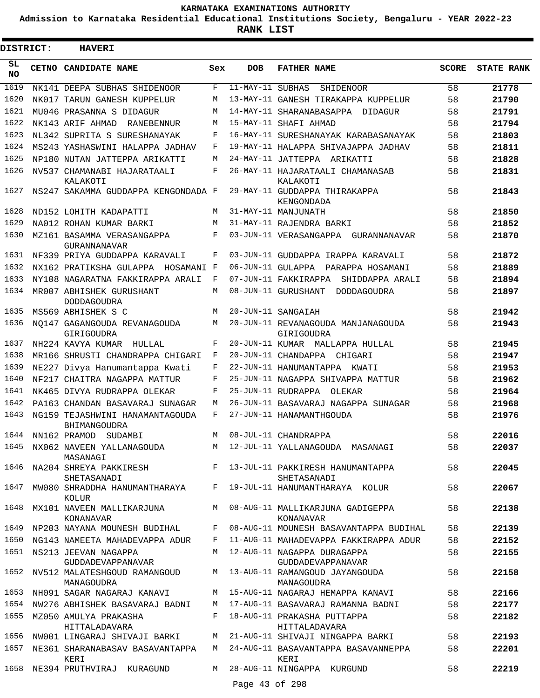**Admission to Karnataka Residential Educational Institutions Society, Bengaluru - YEAR 2022-23**

| <b>DISTRICT:</b> | <b>HAVERI</b>                                   |     |                |                                                                                  |       |                   |
|------------------|-------------------------------------------------|-----|----------------|----------------------------------------------------------------------------------|-------|-------------------|
| SL<br><b>NO</b>  | CETNO CANDIDATE NAME                            | Sex | <b>DOB</b>     | <b>FATHER NAME</b>                                                               | SCORE | <b>STATE RANK</b> |
| 1619             | NK141 DEEPA SUBHAS SHIDENOOR                    | F   |                | 11-MAY-11 SUBHAS SHIDENOOR                                                       | 58    | 21778             |
| 1620             | NK017 TARUN GANESH KUPPELUR                     | М   |                | 13-MAY-11 GANESH TIRAKAPPA KUPPELUR                                              | 58    | 21790             |
| 1621             | MU046 PRASANNA S DIDAGUR                        | М   |                | 14-MAY-11 SHARANABASAPPA DIDAGUR                                                 | 58    | 21791             |
| 1622             | NK143 ARIF AHMAD<br>RANEBENNUR                  | М   |                | 15-MAY-11 SHAFI AHMAD                                                            | 58    | 21794             |
| 1623             | NL342 SUPRITA S SURESHANAYAK                    | F   |                | 16-MAY-11 SURESHANAYAK KARABASANAYAK                                             | 58    | 21803             |
| 1624             | MS243 YASHASWINI HALAPPA JADHAV                 | F   |                | 19-MAY-11 HALAPPA SHIVAJAPPA JADHAV                                              | 58    | 21811             |
| 1625             | NP180 NUTAN JATTEPPA ARIKATTI                   | М   |                | 24-MAY-11 JATTEPPA ARIKATTI                                                      | 58    | 21828             |
| 1626             | NV537 CHAMANABI HAJARATAALI<br>KALAKOTI         | F   |                | 26-MAY-11 HAJARATAALI CHAMANASAB<br>KALAKOTI                                     | 58    | 21831             |
| 1627             | NS247 SAKAMMA GUDDAPPA KENGONDADA F             |     |                | 29-MAY-11 GUDDAPPA THIRAKAPPA<br>KENGONDADA                                      | 58    | 21843             |
| 1628             | ND152 LOHITH KADAPATTI                          | М   |                | 31-MAY-11 MANJUNATH                                                              | 58    | 21850             |
| 1629             | NA012 ROHAN KUMAR BARKI                         | M   |                | 31-MAY-11 RAJENDRA BARKI                                                         | 58    | 21852             |
| 1630             | MZ161 BASAMMA VERASANGAPPA<br>GURANNANAVAR      | F   |                | 03-JUN-11 VERASANGAPPA GURANNANAVAR                                              | 58    | 21870             |
| 1631             | NF339 PRIYA GUDDAPPA KARAVALI                   | F   |                | 03-JUN-11 GUDDAPPA IRAPPA KARAVALI                                               | 58    | 21872             |
| 1632             | NX162 PRATIKSHA GULAPPA HOSAMANI F              |     |                | 06-JUN-11 GULAPPA PARAPPA HOSAMANI                                               | 58    | 21889             |
| 1633             | NY108 NAGARATNA FAKKIRAPPA ARALI                | F   |                | 07-JUN-11 FAKKIRAPPA SHIDDAPPA ARALI                                             | 58    | 21894             |
| 1634             | MR007 ABHISHEK GURUSHANT<br><b>DODDAGOUDRA</b>  | М   |                | 08-JUN-11 GURUSHANT DODDAGOUDRA                                                  | 58    | 21897             |
| 1635             | MS569 ABHISHEK S C                              | M   |                | 20-JUN-11 SANGAIAH                                                               | 58    | 21942             |
| 1636             | NO147 GAGANGOUDA REVANAGOUDA<br>GIRIGOUDRA      | М   |                | 20-JUN-11 REVANAGOUDA MANJANAGOUDA<br>GIRIGOUDRA                                 | 58    | 21943             |
| 1637             | NH224 KAVYA KUMAR HULLAL                        | F   |                | 20-JUN-11 KUMAR MALLAPPA HULLAL                                                  | 58    | 21945             |
| 1638             | MR166 SHRUSTI CHANDRAPPA CHIGARI                | F   |                | 20-JUN-11 CHANDAPPA CHIGARI                                                      | 58    | 21947             |
| 1639             | NE227 Divya Hanumantappa Kwati                  | F   |                | 22-JUN-11 HANUMANTAPPA KWATI                                                     | 58    | 21953             |
| 1640             | NF217 CHAITRA NAGAPPA MATTUR                    | F   |                | 25-JUN-11 NAGAPPA SHIVAPPA MATTUR                                                | 58    | 21962             |
| 1641             | NK465 DIVYA RUDRAPPA OLEKAR                     | F   |                | 25-JUN-11 RUDRAPPA OLEKAR                                                        | 58    | 21964             |
| 1642             | PA163 CHANDAN BASAVARAJ SUNAGAR                 | М   |                | 26-JUN-11 BASAVARAJ NAGAPPA SUNAGAR                                              | 58    | 21968             |
| 1643             | NG159 TEJASHWINI HANAMANTAGOUDA<br>BHIMANGOUDRA | F   |                | 27-JUN-11 HANAMANTHGOUDA                                                         | 58    | 21976             |
|                  | 1644 NN162 PRAMOD SUDAMBI                       | M   |                | 08-JUL-11 CHANDRAPPA                                                             | 58    | 22016             |
|                  | MASANAGI                                        |     |                | 1645 NX062 NAVEEN YALLANAGOUDA MARIA 12-JUL-11 YALLANAGOUDA MASANAGI             | 58    | 22037             |
|                  | SHETASANADI                                     |     |                | 1646 NA204 SHREYA PAKKIRESH F 13-JUL-11 PAKKIRESH HANUMANTAPPA<br>SHETASANADI    | 58    | 22045             |
|                  | KOLUR                                           |     |                | 1647 MW080 SHRADDHA HANUMANTHARAYA F 19-JUL-11 HANUMANTHARAYA KOLUR              | 58    | 22067             |
|                  | 1648 MX101 NAVEEN MALLIKARJUNA<br>KONANAVAR     |     |                | M 08-AUG-11 MALLIKARJUNA GADIGEPPA<br>KONANAVAR                                  | 58    | 22138             |
|                  |                                                 |     |                | 1649 NP203 NAYANA MOUNESH BUDIHAL F 08-AUG-11 MOUNESH BASAVANTAPPA BUDIHAL       | 58    | 22139             |
|                  |                                                 |     |                | 1650 NG143 NAMEETA MAHADEVAPPA ADUR F 11-AUG-11 MAHADEVAPPA FAKKIRAPPA ADUR      | 58    | 22152             |
|                  | 1651 NS213 JEEVAN NAGAPPA<br>GUDDADEVAPPANAVAR  |     |                | M 12-AUG-11 NAGAPPA DURAGAPPA<br>GUDDADEVAPPANAVAR                               | 58    | 22155             |
|                  | MANAGOUDRA                                      |     |                | 1652 NV512 MALATESHGOUD RAMANGOUD M 13-AUG-11 RAMANGOUD JAYANGOUDA<br>MANAGOUDRA | 58    | 22158             |
|                  | 1653 NH091 SAGAR NAGARAJ KANAVI                 |     |                | M 15-AUG-11 NAGARAJ HEMAPPA KANAVI 58                                            |       | 22166             |
|                  |                                                 |     |                | 1654 NW276 ABHISHEK BASAVARAJ BADNI M 17-AUG-11 BASAVARAJ RAMANNA BADNI 58       |       | 22177             |
|                  | 1655 MZ050 AMULYA PRAKASHA<br>HITTALADAVARA     |     |                | F 18-AUG-11 PRAKASHA PUTTAPPA<br>HITTALADAVARA                                   | 58    | 22182             |
|                  |                                                 |     |                | 1656 NW001 LINGARAJ SHIVAJI BARKI M 21-AUG-11 SHIVAJI NINGAPPA BARKI             | 58    | 22193             |
|                  | 1657 NE361 SHARANABASAV BASAVANTAPPA<br>KERI    |     |                | M 24-AUG-11 BASAVANTAPPA BASAVANNEPPA<br>KERI                                    | 58    | 22201             |
|                  | 1658 NE394 PRUTHVIRAJ KURAGUND                  |     |                | M 28-AUG-11 NINGAPPA KURGUND                                                     | 58    | 22219             |
|                  |                                                 |     | Page 43 of 298 |                                                                                  |       |                   |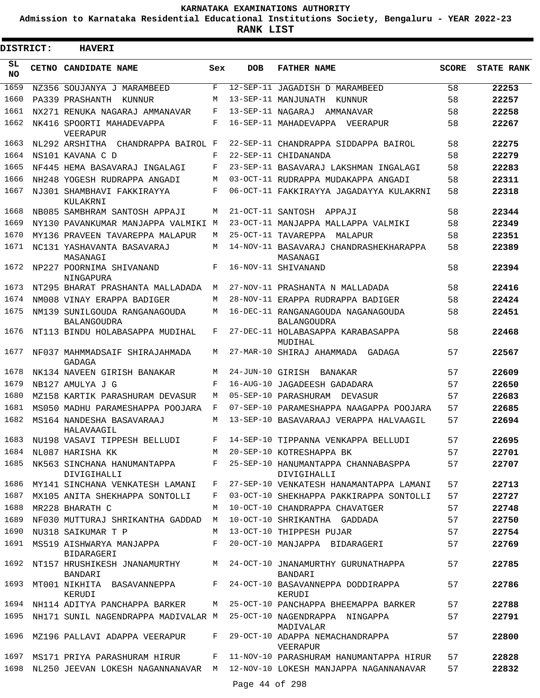**Admission to Karnataka Residential Educational Institutions Society, Bengaluru - YEAR 2022-23**

**RANK LIST**

| <b>DISTRICT:</b> |       | <b>HAVERI</b>                                |            |                   |                                                                           |              |                   |
|------------------|-------|----------------------------------------------|------------|-------------------|---------------------------------------------------------------------------|--------------|-------------------|
| SL<br><b>NO</b>  | CETNO | CANDIDATE NAME                               | Sex        | <b>DOB</b>        | <b>FATHER NAME</b>                                                        | <b>SCORE</b> | <b>STATE RANK</b> |
| 1659             |       | NZ356 SOUJANYA J MARAMBEED                   | F          | $12 - SEP - 11$   | JAGADISH D MARAMBEED                                                      | 58           | 22253             |
| 1660             |       | PA339 PRASHANTH<br>KUNNUR                    | M          |                   | 13-SEP-11 MANJUNATH<br>KUNNUR                                             | 58           | 22257             |
| 1661             |       | NX271 RENUKA NAGARAJ AMMANAVAR               | F          | 13-SEP-11 NAGARAJ | AMMANAVAR                                                                 | 58           | 22258             |
| 1662             |       | NK416 SPOORTI MAHADEVAPPA<br>VEERAPUR        | F          |                   | 16-SEP-11 MAHADEVAPPA<br>VEERAPUR                                         | 58           | 22267             |
| 1663             |       | NL292 ARSHITHA<br>CHANDRAPPA BAIROL F        |            |                   | 22-SEP-11 CHANDRAPPA SIDDAPPA BAIROL                                      | 58           | 22275             |
| 1664             |       | NS101 KAVANA C D                             | F          |                   | 22-SEP-11 CHIDANANDA                                                      | 58           | 22279             |
| 1665             |       | NF445 HEMA BASAVARAJ INGALAGI                | F          |                   | 23-SEP-11 BASAVARAJ LAKSHMAN INGALAGI                                     | 58           | 22283             |
| 1666             |       | NH248 YOGESH RUDRAPPA ANGADI                 | М          |                   | 03-OCT-11 RUDRAPPA MUDAKAPPA ANGADI                                       | 58           | 22311             |
| 1667             |       | NJ301 SHAMBHAVI FAKKIRAYYA<br>KULAKRNI       | F          |                   | 06-OCT-11 FAKKIRAYYA JAGADAYYA KULAKRNI                                   | 58           | 22318             |
| 1668             |       | NB085 SAMBHRAM SANTOSH APPAJI                | M          | 21-OCT-11 SANTOSH | APPAJI                                                                    | 58           | 22344             |
| 1669             |       | NY130 PAVANKUMAR MANJAPPA VALMIKI M          |            |                   | 23-OCT-11 MANJAPPA MALLAPPA VALMIKI                                       | 58           | 22349             |
| 1670             |       | MY136 PRAVEEN TAVAREPPA MALAPUR              | М          |                   | 25-OCT-11 TAVAREPPA<br>MALAPUR                                            | 58           | 22351             |
| 1671             |       | NC131 YASHAVANTA BASAVARAJ<br>MASANAGI       | M          |                   | 14-NOV-11 BASAVARAJ CHANDRASHEKHARAPPA<br>MASANAGI                        | 58           | 22389             |
| 1672             |       | NP227 POORNIMA SHIVANAND<br>NINGAPURA        | F          |                   | 16-NOV-11 SHIVANAND                                                       | 58           | 22394             |
| 1673             |       | NT295 BHARAT PRASHANTA MALLADADA             | М          |                   | 27-NOV-11 PRASHANTA N MALLADADA                                           | 58           | 22416             |
| 1674             |       | NM008 VINAY ERAPPA BADIGER                   | М          |                   | 28-NOV-11 ERAPPA RUDRAPPA BADIGER                                         | 58           | 22424             |
| 1675             |       | NM139 SUNILGOUDA RANGANAGOUDA<br>BALANGOUDRA | М          |                   | 16-DEC-11 RANGANAGOUDA NAGANAGOUDA<br><b>BALANGOUDRA</b>                  | 58           | 22451             |
| 1676             |       | NT113 BINDU HOLABASAPPA MUDIHAL              | F          |                   | 27-DEC-11 HOLABASAPPA KARABASAPPA<br>MUDIHAL                              | 58           | 22468             |
| 1677             |       | NF037 MAHMMADSAIF SHIRAJAHMADA<br>GADAGA     | М          |                   | 27-MAR-10 SHIRAJ AHAMMADA<br>GADAGA                                       | 57           | 22567             |
| 1678             |       | NK134 NAVEEN GIRISH BANAKAR                  | М          | 24-JUN-10 GIRISH  | BANAKAR                                                                   | 57           | 22609             |
| 1679             |       | NB127 AMULYA J G                             | $_{\rm F}$ |                   | 16-AUG-10 JAGADEESH GADADARA                                              | 57           | 22650             |
| 1680             |       | MZ158 KARTIK PARASHURAM DEVASUR              | М          |                   | 05-SEP-10 PARASHURAM<br>DEVASUR                                           | 57           | 22683             |
| 1681             |       | MS050 MADHU PARAMESHAPPA POOJARA             | F          |                   | 07-SEP-10 PARAMESHAPPA NAAGAPPA POOJARA                                   | 57           | 22685             |
| 1682             |       | MS164 NANDESHA BASAVARAAJ<br>HALAVAAGIL      | M          |                   | 13-SEP-10 BASAVARAAJ VERAPPA HALVAAGIL                                    | 57           | 22694             |
| 1683             |       | NU198 VASAVI TIPPESH BELLUDI                 |            |                   | 14-SEP-10 TIPPANNA VENKAPPA BELLUDI                                       | 57           | 22695             |
| 1684             |       | NL087 HARISHA KK                             | M          |                   | 20-SEP-10 KOTRESHAPPA BK                                                  | 57           | 22701             |
| 1685             |       | NK563 SINCHANA HANUMANTAPPA<br>DIVIGIHALLI   |            |                   | F 25-SEP-10 HANUMANTAPPA CHANNABASPPA<br>DIVIGIHALLI                      | 57           | 22707             |
| 1686             |       | MY141 SINCHANA VENKATESH LAMANI              | F          |                   | 27-SEP-10 VENKATESH HANAMANTAPPA LAMANI                                   | 57           | 22713             |
| 1687             |       | MX105 ANITA SHEKHAPPA SONTOLLI               | F          |                   | 03-OCT-10 SHEKHAPPA PAKKIRAPPA SONTOLLI                                   | 57           | 22727             |
| 1688             |       | MR228 BHARATH C                              | M          |                   | 10-OCT-10 CHANDRAPPA CHAVATGER                                            | 57           | 22748             |
| 1689             |       | NF030 MUTTURAJ SHRIKANTHA GADDAD             | М          |                   | 10-OCT-10 SHRIKANTHA GADDADA                                              | 57           | 22750             |
| 1690             |       | NU318 SAIKUMAR T P                           | M          |                   | 13-OCT-10 THIPPESH PUJAR                                                  | 57           | 22754             |
| 1691             |       | MS519 AISHWARYA MANJAPPA<br>BIDARAGERI       | F          |                   | 20-OCT-10 MANJAPPA BIDARAGERI                                             | 57           | 22769             |
| 1692             |       | NT157 HRUSHIKESH JNANAMURTHY<br>BANDARI      | M          |                   | 24-OCT-10 JNANAMURTHY GURUNATHAPPA<br>BANDARI                             | 57           | 22785             |
| 1693             |       | MT001 NIKHITA BASAVANNEPPA<br>KERUDI         | F          |                   | 24-OCT-10 BASAVANNEPPA DODDIRAPPA<br>KERUDI                               | 57           | 22786             |
|                  |       | 1694 NH114 ADITYA PANCHAPPA BARKER           |            |                   | M 25-OCT-10 PANCHAPPA BHEEMAPPA BARKER                                    | 57           | 22788             |
| 1695             |       | NH171 SUNIL NAGENDRAPPA MADIVALAR M          |            |                   | 25-OCT-10 NAGENDRAPPA NINGAPPA<br>MADIVALAR                               | 57           | 22791             |
| 1696             |       | MZ196 PALLAVI ADAPPA VEERAPUR                | F          |                   | 29-OCT-10 ADAPPA NEMACHANDRAPPA<br>VEERAPUR                               | 57           | 22800             |
| 1697             |       | MS171 PRIYA PARASHURAM HIRUR                 | F          |                   | 11-NOV-10 PARASHURAM HANUMANTAPPA HIRUR                                   | 57           | 22828             |
| 1698             |       |                                              |            |                   | NL250 JEEVAN LOKESH NAGANNANAVAR M 12-NOV-10 LOKESH MANJAPPA NAGANNANAVAR | 57           | 22832             |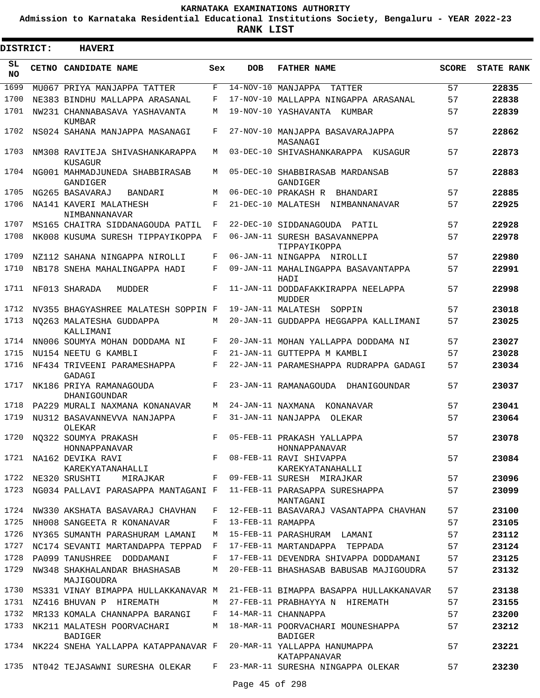**Admission to Karnataka Residential Educational Institutions Society, Bengaluru - YEAR 2022-23**

 $\blacksquare$ 

**RANK LIST**

| DISTRICT:       | <b>HAVERI</b>                                           |              |                     |                                                                                      |              |                   |
|-----------------|---------------------------------------------------------|--------------|---------------------|--------------------------------------------------------------------------------------|--------------|-------------------|
| SL<br><b>NO</b> | CETNO CANDIDATE NAME                                    | Sex          | <b>DOB</b>          | <b>FATHER NAME</b>                                                                   | <b>SCORE</b> | <b>STATE RANK</b> |
| 1699            | MU067 PRIYA MANJAPPA TATTER                             | F            |                     | 14-NOV-10 MANJAPPA<br>TATTER                                                         | 57           | 22835             |
| 1700            | NE383 BINDHU MALLAPPA ARASANAL                          | F            |                     | 17-NOV-10 MALLAPPA NINGAPPA ARASANAL                                                 | 57           | 22838             |
| 1701            | NW231 CHANNABASAVA YASHAVANTA<br>KUMBAR                 | M            |                     | 19-NOV-10 YASHAVANTA KUMBAR                                                          | 57           | 22839             |
| 1702            | NS024 SAHANA MANJAPPA MASANAGI                          | F            |                     | 27-NOV-10 MANJAPPA BASAVARAJAPPA<br>MASANAGI                                         | 57           | 22862             |
| 1703            | NM308 RAVITEJA SHIVASHANKARAPPA<br>KUSAGUR              | M            |                     | 03-DEC-10 SHIVASHANKARAPPA KUSAGUR                                                   | 57           | 22873             |
| 1704            | NG001 MAHMADJUNEDA SHABBIRASAB<br>GANDIGER              | M            |                     | 05-DEC-10 SHABBIRASAB MARDANSAB<br>GANDIGER                                          | 57           | 22883             |
| 1705            | NG265 BASAVARAJ<br>BANDARI                              | M            |                     | 06-DEC-10 PRAKASH R BHANDARI                                                         | 57           | 22885             |
| 1706            | NA141 KAVERI MALATHESH                                  | F            |                     | 21-DEC-10 MALATESH NIMBANNANAVAR                                                     | 57           | 22925             |
| 1707            | NIMBANNANAVAR<br>MS165 CHAITRA SIDDANAGOUDA PATIL       | $\mathbf{F}$ |                     | 22-DEC-10 SIDDANAGOUDA PATIL                                                         | 57           | 22928             |
| 1708            | NK008 KUSUMA SURESH TIPPAYIKOPPA F                      |              |                     | 06-JAN-11 SURESH BASAVANNEPPA<br>TIPPAYIKOPPA                                        | 57           | 22978             |
| 1709            | NZ112 SAHANA NINGAPPA NIROLLI                           | F            |                     | 06-JAN-11 NINGAPPA NIROLLI                                                           | 57           | 22980             |
| 1710            | NB178 SNEHA MAHALINGAPPA HADI                           | F            |                     | 09-JAN-11 MAHALINGAPPA BASAVANTAPPA<br>HADI                                          | 57           | 22991             |
| 1711            | NF013 SHARADA<br>MUDDER                                 | F            |                     | 11-JAN-11 DODDAFAKKIRAPPA NEELAPPA<br>MUDDER                                         | 57           | 22998             |
| 1712            | NV355 BHAGYASHREE MALATESH SOPPIN F                     |              |                     | 19-JAN-11 MALATESH SOPPIN                                                            | 57           | 23018             |
| 1713            | NO263 MALATESHA GUDDAPPA<br>KALLIMANI                   | M            |                     | 20-JAN-11 GUDDAPPA HEGGAPPA KALLIMANI                                                | 57           | 23025             |
| 1714            | NN006 SOUMYA MOHAN DODDAMA NI                           | F            |                     | 20-JAN-11 MOHAN YALLAPPA DODDAMA NI                                                  | 57           | 23027             |
| 1715            | NU154 NEETU G KAMBLI                                    | F            |                     | 21-JAN-11 GUTTEPPA M KAMBLI                                                          | 57           | 23028             |
| 1716            | NF434 TRIVEENI PARAMESHAPPA<br>GADAGI                   | F            |                     | 22-JAN-11 PARAMESHAPPA RUDRAPPA GADAGI                                               | 57           | 23034             |
| 1717            | NK186 PRIYA RAMANAGOUDA<br>DHANIGOUNDAR                 | F            |                     | 23-JAN-11 RAMANAGOUDA DHANIGOUNDAR                                                   | 57           | 23037             |
| 1718            | PA229 MURALI NAXMANA KONANAVAR                          | M            |                     | 24-JAN-11 NAXMANA KONANAVAR                                                          | 57           | 23041             |
| 1719            | NU312 BASAVANNEVVA NANJAPPA<br>OLEKAR                   | F            |                     | 31-JAN-11 NANJAPPA OLEKAR                                                            | 57           | 23064             |
|                 | 1720 NQ322 SOUMYA PRAKASH<br>HONNAPPANAVAR              |              |                     | F 05-FEB-11 PRAKASH YALLAPPA<br>HONNAPPANAVAR                                        | 57           | 23078             |
|                 | 1721 NA162 DEVIKA RAVI                                  |              |                     | F 08-FEB-11 RAVI SHIVAPPA                                                            | 57           | 23084             |
|                 | KAREKYATANAHALLI                                        |              |                     | KAREKYATANAHALLI                                                                     |              |                   |
|                 | 1722 NE320 SRUSHTI MIRAJKAR F 09-FEB-11 SURESH MIRAJKAR |              |                     |                                                                                      | 57           | 23096             |
|                 |                                                         |              |                     | 1723 NG034 PALLAVI PARASAPPA MANTAGANI F 11-FEB-11 PARASAPPA SURESHAPPA<br>MANTAGANI | 57           | 23099             |
|                 | 1724 NW330 AKSHATA BASAVARAJ CHAVHAN                    |              |                     | F 12-FEB-11 BASAVARAJ VASANTAPPA CHAVHAN                                             | 57           | 23100             |
|                 | 1725 NH008 SANGEETA R KONANAVAR                         |              | F 13-FEB-11 RAMAPPA |                                                                                      | 57           | 23105             |
|                 | 1726 NY365 SUMANTH PARASHURAM LAMANI                    | M            |                     | 15-FEB-11 PARASHURAM LAMANI                                                          | 57           | 23112             |
|                 | 1727 NC174 SEVANTI MARTANDAPPA TEPPAD F                 |              |                     | 17-FEB-11 MARTANDAPPA TEPPADA                                                        | 57           | 23124             |
|                 |                                                         |              |                     | 1728 PA099 TANUSHREE DODDAMANI F 17-FEB-11 DEVENDRA SHIVAPPA DODDAMANI               | 57           | 23125             |
|                 | 1729 NW348 SHAKHALANDAR BHASHASAB<br>MAJIGOUDRA         |              |                     | M 20-FEB-11 BHASHASAB BABUSAB MAJIGOUDRA                                             | 57           | 23132             |
|                 | 1730 MS331 VINAY BIMAPPA HULLAKKANAVAR M                |              |                     | 21-FEB-11 BIMAPPA BASAPPA HULLAKKANAVAR                                              | 57           | 23138             |
|                 | 1731 NZ416 BHUVAN P HIREMATH                            |              |                     | M 27-FEB-11 PRABHAYYA N HIREMATH                                                     | 57           | 23155             |
|                 | 1732 MR133 KOMALA CHANNAPPA BARANGI                     | F            |                     | 14-MAR-11 CHANNAPPA                                                                  | 57           | 23200             |
|                 | 1733 NK211 MALATESH POORVACHARI<br>BADIGER              |              |                     | M 18-MAR-11 POORVACHARI MOUNESHAPPA<br>BADIGER                                       | 57           | 23212             |
|                 | 1734 NK224 SNEHA YALLAPPA KATAPPANAVAR F                |              |                     | 20-MAR-11 YALLAPPA HANUMAPPA<br>KATAPPANAVAR                                         | 57           | 23221             |
|                 |                                                         |              |                     | 1735 NT042 TEJASAWNI SURESHA OLEKAR   F   23-MAR-11 SURESHA NINGAPPA OLEKAR          | 57           | 23230             |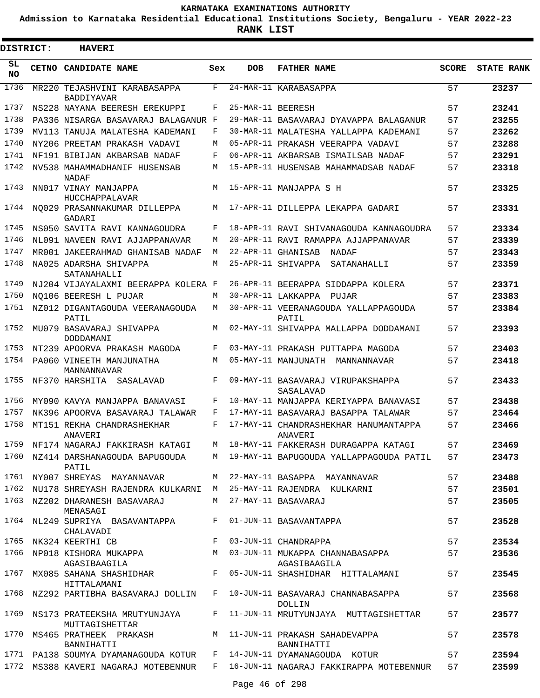**Admission to Karnataka Residential Educational Institutions Society, Bengaluru - YEAR 2022-23**

**RANK LIST**

Е

| <b>DISTRICT:</b> | <b>HAVERI</b>                                                         |     |                   |                                                                                                                                                    |              |                   |
|------------------|-----------------------------------------------------------------------|-----|-------------------|----------------------------------------------------------------------------------------------------------------------------------------------------|--------------|-------------------|
| SL<br>NO.        | CETNO CANDIDATE NAME                                                  | Sex | <b>DOB</b>        | <b>FATHER NAME</b>                                                                                                                                 | <b>SCORE</b> | <b>STATE RANK</b> |
| 1736             | MR220 TEJASHVINI KARABASAPPA<br><b>BADDIYAVAR</b>                     | F   |                   | 24-MAR-11 KARABASAPPA                                                                                                                              | 57           | 23237             |
| 1737             | NS228 NAYANA BEERESH EREKUPPI                                         | F   | 25-MAR-11 BEERESH |                                                                                                                                                    | 57           | 23241             |
| 1738             | PA336 NISARGA BASAVARAJ BALAGANUR F                                   |     |                   | 29-MAR-11 BASAVARAJ DYAVAPPA BALAGANUR                                                                                                             | 57           | 23255             |
| 1739             | MV113 TANUJA MALATESHA KADEMANI                                       | F   |                   | 30-MAR-11 MALATESHA YALLAPPA KADEMANI                                                                                                              | 57           | 23262             |
| 1740             | NY206 PREETAM PRAKASH VADAVI                                          | M   |                   | 05-APR-11 PRAKASH VEERAPPA VADAVI                                                                                                                  | 57           | 23288             |
| 1741             | NF191 BIBIJAN AKBARSAB NADAF                                          | F   |                   | 06-APR-11 AKBARSAB ISMAILSAB NADAF                                                                                                                 | 57           | 23291             |
| 1742             | NV538 MAHAMMADHANIF HUSENSAB<br>NADAF                                 | M   |                   | 15-APR-11 HUSENSAB MAHAMMADSAB NADAF                                                                                                               | 57           | 23318             |
| 1743             | NN017 VINAY MANJAPPA<br>HUCCHAPPALAVAR                                | M   |                   | 15-APR-11 MANJAPPA S H                                                                                                                             | 57           | 23325             |
| 1744             | NO029 PRASANNAKUMAR DILLEPPA<br>GADARI                                | M   |                   | 17-APR-11 DILLEPPA LEKAPPA GADARI                                                                                                                  | 57           | 23331             |
| 1745             | NS050 SAVITA RAVI KANNAGOUDRA                                         | F   |                   | 18-APR-11 RAVI SHIVANAGOUDA KANNAGOUDRA                                                                                                            | 57           | 23334             |
| 1746             | NL091 NAVEEN RAVI AJJAPPANAVAR                                        | М   |                   | 20-APR-11 RAVI RAMAPPA AJJAPPANAVAR                                                                                                                | 57           | 23339             |
| 1747             | MR001 JAKEERAHMAD GHANISAB NADAF                                      | M   |                   | 22-APR-11 GHANISAB NADAF                                                                                                                           | 57           | 23343             |
| 1748             | NA025 ADARSHA SHIVAPPA<br>SATANAHALLI                                 | M   |                   | 25-APR-11 SHIVAPPA SATANAHALLI                                                                                                                     | 57           | 23359             |
| 1749             | NJ204 VIJAYALAXMI BEERAPPA KOLERA F                                   |     |                   | 26-APR-11 BEERAPPA SIDDAPPA KOLERA                                                                                                                 | 57           | 23371             |
| 1750             | NO106 BEERESH L PUJAR                                                 | M   |                   | 30-APR-11 LAKKAPPA PUJAR                                                                                                                           | 57           | 23383             |
| 1751             | NZ012 DIGANTAGOUDA VEERANAGOUDA<br>PATIL                              | M   |                   | 30-APR-11 VEERANAGOUDA YALLAPPAGOUDA<br>PATIL                                                                                                      | 57           | 23384             |
| 1752             | MU079 BASAVARAJ SHIVAPPA<br>DODDAMANI                                 | M   |                   | 02-MAY-11 SHIVAPPA MALLAPPA DODDAMANI                                                                                                              | 57           | 23393             |
| 1753             | NT239 APOORVA PRAKASH MAGODA                                          | F   |                   | 03-MAY-11 PRAKASH PUTTAPPA MAGODA                                                                                                                  | 57           | 23403             |
| 1754             | PA060 VINEETH MANJUNATHA<br>MANNANNAVAR                               | M   |                   | 05-MAY-11 MANJUNATH MANNANNAVAR                                                                                                                    | 57           | 23418             |
| 1755             | NF370 HARSHITA SASALAVAD                                              | F   |                   | 09-MAY-11 BASAVARAJ VIRUPAKSHAPPA<br>SASALAVAD                                                                                                     | 57           | 23433             |
| 1756             | MY090 KAVYA MANJAPPA BANAVASI                                         | F   |                   | 10-MAY-11 MANJAPPA KERIYAPPA BANAVASI                                                                                                              | 57           | 23438             |
| 1757             | NK396 APOORVA BASAVARAJ TALAWAR                                       | F   |                   | 17-MAY-11 BASAVARAJ BASAPPA TALAWAR                                                                                                                | 57           | 23464             |
| 1758             | MT151 REKHA CHANDRASHEKHAR<br>ANAVER T                                | F   |                   | 17-MAY-11 CHANDRASHEKHAR HANUMANTAPPA<br>ANAVER T                                                                                                  | 57           | 23466             |
|                  |                                                                       |     |                   | 1759 NF174 NAGARAJ FAKKIRASH KATAGI M 18-MAY-11 FAKKERASH DURAGAPPA KATAGI                                                                         | 57 — 17      | 23469             |
|                  | PATIL                                                                 |     |                   | 1760 NZ414 DARSHANAGOUDA BAPUGOUDA M 19-MAY-11 BAPUGOUDA YALLAPPAGOUDA PATIL                                                                       | 57 — 17      | 23473             |
|                  | 1761 NY007 SHREYAS MAYANNAVAR M 22-MAY-11 BASAPPA MAYANNAVAR          |     |                   |                                                                                                                                                    | 57 — 17      | 23488             |
|                  |                                                                       |     |                   | 1762 NU178 SHREYASH RAJENDRA KULKARNI M 25-MAY-11 RAJENDRA KULKARNI                                                                                | 57           | 23501             |
|                  | 1763 NZ202 DHARANESH BASAVARAJ M 27-MAY-11 BASAVARAJ<br>MENASAGI      |     |                   |                                                                                                                                                    | 57           | 23505             |
|                  | 1764 NL249 SUPRIYA BASAVANTAPPA F 01-JUN-11 BASAVANTAPPA<br>CHALAVADI |     |                   |                                                                                                                                                    | 57           | 23528             |
|                  |                                                                       |     |                   | 1765 NK324 KEERTHI CB                     F   03-JUN-11 CHANDRAPPA<br>1766 NP018 KISHORA MUKAPPA               M   03-JUN-11 MUKAPPA CHANNABASAPPA | 57           | 23534             |
|                  | AGASIBAAGILA                                                          |     |                   | AGASIBAAGILA                                                                                                                                       | 57           | 23536             |
|                  | HITTALAMANI                                                           |     |                   |                                                                                                                                                    | 57           | 23545             |
|                  |                                                                       |     |                   | 1768 NZ292 PARTIBHA BASAVARAJ DOLLIN   F   10-JUN-11 BASAVARAJ CHANNABASAPPA<br>DOLLIN                                                             | 57           | 23568             |
|                  | MUTTAGISHETTAR                                                        |     |                   | 1769 NS173 PRATEEKSHA MRUTYUNJAYA F 11-JUN-11 MRUTYUNJAYA MUTTAGISHETTAR                                                                           | 57           | 23577             |
|                  | BANNIHATTI                                                            |     |                   | 1770 MS465 PRATHEEK PRAKASH M 11-JUN-11 PRAKASH SAHADEVAPPA<br>BANNIHATTI                                                                          | 57           | 23578             |
|                  |                                                                       |     |                   | 1771 PA138 SOUMYA DYAMANAGOUDA KOTUR F 14-JUN-11 DYAMANAGOUDA KOTUR                                                                                | 57           | 23594             |
|                  |                                                                       |     |                   | 1772 MS388 KAVERI NAGARAJ MOTEBENNUR F 16-JUN-11 NAGARAJ FAKKIRAPPA MOTEBENNUR                                                                     | 57 — 17      | 23599             |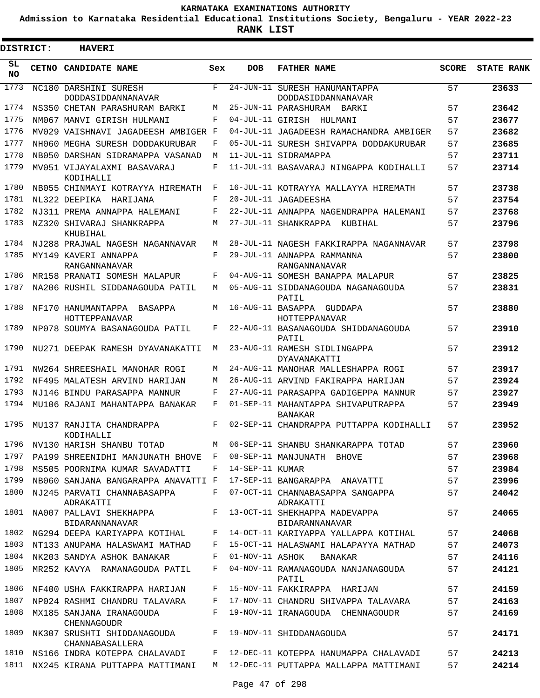**Admission to Karnataka Residential Educational Institutions Society, Bengaluru - YEAR 2022-23**

| DISTRICT:       | <b>HAVERI</b>                                                |            |                 |                                                        |              |                   |
|-----------------|--------------------------------------------------------------|------------|-----------------|--------------------------------------------------------|--------------|-------------------|
| SL<br><b>NO</b> | CETNO CANDIDATE NAME                                         | Sex        | <b>DOB</b>      | <b>FATHER NAME</b>                                     | <b>SCORE</b> | <b>STATE RANK</b> |
| 1773            | NC180 DARSHINI SURESH<br>DODDASIDDANNANAVAR                  | F          |                 | 24-JUN-11 SURESH HANUMANTAPPA<br>DODDASIDDANNANAVAR    | 57           | 23633             |
| 1774            | NS350 CHETAN PARASHURAM BARKI                                | M          |                 | 25-JUN-11 PARASHURAM BARKI                             | 57           | 23642             |
| 1775            | NM067 MANVI GIRISH HULMANI                                   | F          |                 | 04-JUL-11 GIRISH HULMANI                               | 57           | 23677             |
| 1776            | MV029 VAISHNAVI JAGADEESH AMBIGER F                          |            |                 | 04-JUL-11 JAGADEESH RAMACHANDRA AMBIGER                | 57           | 23682             |
| 1777            | NH060 MEGHA SURESH DODDAKURUBAR                              | F          |                 | 05-JUL-11 SURESH SHIVAPPA DODDAKURUBAR                 | 57           | 23685             |
| 1778            | NB050 DARSHAN SIDRAMAPPA VASANAD                             | М          |                 | 11-JUL-11 SIDRAMAPPA                                   | 57           | 23711             |
| 1779            | MV051 VIJAYALAXMI BASAVARAJ<br>KODIHALLI                     | F          |                 | 11-JUL-11 BASAVARAJ NINGAPPA KODIHALLI                 | 57           | 23714             |
| 1780            | NB055 CHINMAYI KOTRAYYA HIREMATH                             | F          |                 | 16-JUL-11 KOTRAYYA MALLAYYA HIREMATH                   | 57           | 23738             |
| 1781            | NL322 DEEPIKA HARIJANA                                       | F          |                 | 20-JUL-11 JAGADEESHA                                   | 57           | 23754             |
| 1782            | NJ311 PREMA ANNAPPA HALEMANI                                 | F          |                 | 22-JUL-11 ANNAPPA NAGENDRAPPA HALEMANI                 | 57           | 23768             |
| 1783            | NZ320 SHIVARAJ SHANKRAPPA<br>KHUBIHAL                        | M          |                 | 27-JUL-11 SHANKRAPPA KUBIHAL                           | 57           | 23796             |
| 1784            | NJ288 PRAJWAL NAGESH NAGANNAVAR                              | M          |                 | 28-JUL-11 NAGESH FAKKIRAPPA NAGANNAVAR                 | 57           | 23798             |
| 1785            | MY149 KAVERI ANNAPPA<br>RANGANNANAVAR                        | $_{\rm F}$ |                 | 29-JUL-11 ANNAPPA RAMMANNA<br>RANGANNANAVAR            | 57           | 23800             |
| 1786            | MR158 PRANATI SOMESH MALAPUR                                 | F          |                 | 04-AUG-11 SOMESH BANAPPA MALAPUR                       | 57           | 23825             |
| 1787            | NA206 RUSHIL SIDDANAGOUDA PATIL                              | M          |                 | 05-AUG-11 SIDDANAGOUDA NAGANAGOUDA<br>PATIL            | 57           | 23831             |
| 1788            | NF170 HANUMANTAPPA<br>BASAPPA<br>HOTTEPPANAVAR               | M          |                 | 16-AUG-11 BASAPPA GUDDAPA<br>HOTTEPPANAVAR             | 57           | 23880             |
| 1789            | NP078 SOUMYA BASANAGOUDA PATIL                               | F          |                 | 22-AUG-11 BASANAGOUDA SHIDDANAGOUDA<br>PATIL           | 57           | 23910             |
| 1790            | NU271 DEEPAK RAMESH DYAVANAKATTI                             | M          |                 | 23-AUG-11 RAMESH SIDLINGAPPA<br>DYAVANAKATTI           | 57           | 23912             |
| 1791            | NW264 SHREESHAIL MANOHAR ROGI                                | M          |                 | 24-AUG-11 MANOHAR MALLESHAPPA ROGI                     | 57           | 23917             |
| 1792            | NF495 MALATESH ARVIND HARIJAN                                | M          |                 | 26-AUG-11 ARVIND FAKIRAPPA HARIJAN                     | 57           | 23924             |
| 1793            | NJ146 BINDU PARASAPPA MANNUR                                 | F          |                 | 27-AUG-11 PARASAPPA GADIGEPPA MANNUR                   | 57           | 23927             |
| 1794            | MU106 RAJANI MAHANTAPPA BANAKAR                              | F          |                 | 01-SEP-11 MAHANTAPPA SHIVAPUTRAPPA<br><b>BANAKAR</b>   | 57           | 23949             |
| 1795            | MU137 RANJITA CHANDRAPPA<br>KODIHALLI                        | F          |                 | 02-SEP-11 CHANDRAPPA PUTTAPPA KODIHALLI                | 57           | 23952             |
| 1796            | NV130 HARISH SHANBU TOTAD                                    | М          |                 | 06-SEP-11 SHANBU SHANKARAPPA TOTAD                     | 57           | 23960             |
| 1797            | PA199 SHREENIDHI MANJUNATH BHOVE F 08-SEP-11 MANJUNATH BHOVE |            |                 |                                                        | 57           | 23968             |
| 1798            | MS505 POORNIMA KUMAR SAVADATTI                               | F          | 14-SEP-11 KUMAR |                                                        | 57           | 23984             |
| 1799            | NB060 SANJANA BANGARAPPA ANAVATTI F                          |            |                 | 17-SEP-11 BANGARAPPA ANAVATTI                          | 57           | 23996             |
| 1800            | NJ245 PARVATI CHANNABASAPPA<br>ADRAKATTI                     | F          |                 | 07-OCT-11 CHANNABASAPPA SANGAPPA<br>ADRAKATTI          | 57           | 24042             |
| 1801            | NA007 PALLAVI SHEKHAPPA<br><b>BIDARANNANAVAR</b>             | F          |                 | 13-OCT-11 SHEKHAPPA MADEVAPPA<br><b>BIDARANNANAVAR</b> | 57           | 24065             |
| 1802            | NG294 DEEPA KARIYAPPA KOTIHAL                                | F          |                 | 14-OCT-11 KARIYAPPA YALLAPPA KOTIHAL                   | 57           | 24068             |
| 1803            | NT133 ANUPAMA HALASWAMI MATHAD                               | F          |                 | 15-OCT-11 HALASWAMI HALAPAYYA MATHAD                   | 57           | 24073             |
|                 | 1804 NK203 SANDYA ASHOK BANAKAR                              | F          |                 | 01-NOV-11 ASHOK BANAKAR                                | 57           | 24116             |
| 1805            | MR252 KAVYA RAMANAGOUDA PATIL                                | F          |                 | 04-NOV-11 RAMANAGOUDA NANJANAGOUDA<br>PATIL            | 57           | 24121             |
|                 | 1806 NF400 USHA FAKKIRAPPA HARIJAN                           | F          |                 | 15-NOV-11 FAKKIRAPPA HARIJAN                           | 57           | 24159             |
| 1807            | NP024 RASHMI CHANDRU TALAVARA                                | F          |                 | 17-NOV-11 CHANDRU SHIVAPPA TALAVARA                    | 57           | 24163             |
| 1808            | MX185 SANJANA IRANAGOUDA<br><b>CHENNAGOUDR</b>               | F          |                 | 19-NOV-11 IRANAGOUDA CHENNAGOUDR                       | 57           | 24169             |
| 1809            | NK307 SRUSHTI SHIDDANAGOUDA<br>CHANNABASALLERA               | F          |                 | 19-NOV-11 SHIDDANAGOUDA                                | 57           | 24171             |
| 1810            | NS166 INDRA KOTEPPA CHALAVADI                                |            |                 | F 12-DEC-11 KOTEPPA HANUMAPPA CHALAVADI                | 57           | 24213             |
| 1811            | NX245 KIRANA PUTTAPPA MATTIMANI                              |            |                 | M 12-DEC-11 PUTTAPPA MALLAPPA MATTIMANI                | 57           | 24214             |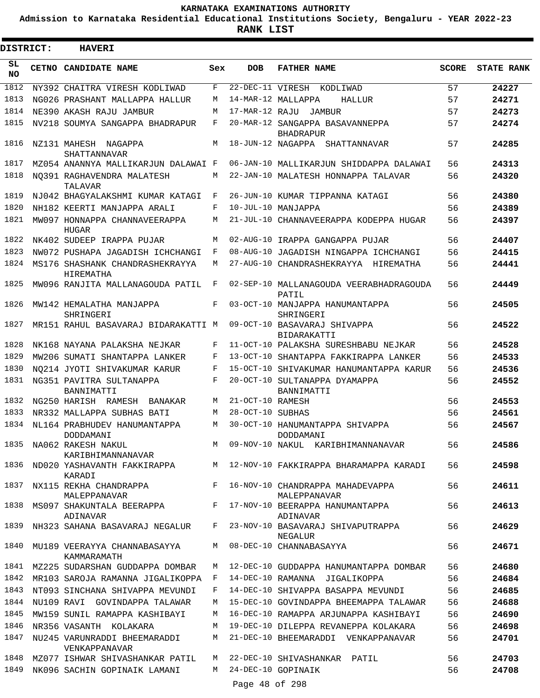**Admission to Karnataka Residential Educational Institutions Society, Bengaluru - YEAR 2022-23**

| <b>DISTRICT:</b> | <b>HAVERI</b>                                    |     |                  |                                                     |              |                   |
|------------------|--------------------------------------------------|-----|------------------|-----------------------------------------------------|--------------|-------------------|
| SL<br><b>NO</b>  | CETNO CANDIDATE NAME                             | Sex | <b>DOB</b>       | <b>FATHER NAME</b>                                  | <b>SCORE</b> | <b>STATE RANK</b> |
| 1812             | NY392 CHAITRA VIRESH KODLIWAD                    | F   |                  | 22-DEC-11 VIRESH KODLIWAD                           | 57           | 24227             |
| 1813             | NG026 PRASHANT MALLAPPA HALLUR                   | M   |                  | 14-MAR-12 MALLAPPA<br>HALLUR                        | 57           | 24271             |
| 1814             | NE390 AKASH RAJU JAMBUR                          | М   | 17-MAR-12 RAJU   | JAMBUR                                              | 57           | 24273             |
| 1815             | NV218 SOUMYA SANGAPPA BHADRAPUR                  | F   |                  | 20-MAR-12 SANGAPPA BASAVANNEPPA<br><b>BHADRAPUR</b> | 57           | 24274             |
| 1816             | NZ131 MAHESH NAGAPPA<br>SHATTANNAVAR             | M   |                  | 18-JUN-12 NAGAPPA<br>SHATTANNAVAR                   | 57           | 24285             |
| 1817             | MZ054 ANANNYA MALLIKARJUN DALAWAI F              |     |                  | 06-JAN-10 MALLIKARJUN SHIDDAPPA DALAWAI             | 56           | 24313             |
| 1818             | NO391 RAGHAVENDRA MALATESH<br>TALAVAR            | М   |                  | 22-JAN-10 MALATESH HONNAPPA TALAVAR                 | 56           | 24320             |
| 1819             | NJ042 BHAGYALAKSHMI KUMAR KATAGI                 | F   |                  | 26-JUN-10 KUMAR TIPPANNA KATAGI                     | 56           | 24380             |
| 1820             | NH182 KEERTI MANJAPPA ARALI                      | F   |                  | 10-JUL-10 MANJAPPA                                  | 56           | 24389             |
| 1821             | MW097 HONNAPPA CHANNAVEERAPPA<br>HUGAR           | М   |                  | 21-JUL-10 CHANNAVEERAPPA KODEPPA HUGAR              | 56           | 24397             |
| 1822             | NK402 SUDEEP IRAPPA PUJAR                        | M   |                  | 02-AUG-10 IRAPPA GANGAPPA PUJAR                     | 56           | 24407             |
| 1823             | NW072 PUSHAPA JAGADISH ICHCHANGI                 | F   |                  | 08-AUG-10 JAGADISH NINGAPPA ICHCHANGI               | 56           | 24415             |
| 1824             | MS176 SHASHANK CHANDRASHEKRAYYA<br>HIREMATHA     | М   |                  | 27-AUG-10 CHANDRASHEKRAYYA HIREMATHA                | 56           | 24441             |
| 1825             | MW096 RANJITA MALLANAGOUDA PATIL                 | F   |                  | 02-SEP-10 MALLANAGOUDA VEERABHADRAGOUDA<br>PATIL    | 56           | 24449             |
| 1826             | MW142 HEMALATHA MANJAPPA<br>SHRINGERI            | F   |                  | 03-OCT-10 MANJAPPA HANUMANTAPPA<br>SHRINGERI        | 56           | 24505             |
| 1827             | MR151 RAHUL BASAVARAJ BIDARAKATTI M              |     |                  | 09-OCT-10 BASAVARAJ SHIVAPPA<br>BIDARAKATTI         | 56           | 24522             |
| 1828             | NK168 NAYANA PALAKSHA NEJKAR                     | F   |                  | 11-OCT-10 PALAKSHA SURESHBABU NEJKAR                | 56           | 24528             |
| 1829             | MW206 SUMATI SHANTAPPA LANKER                    | F   |                  | 13-OCT-10 SHANTAPPA FAKKIRAPPA LANKER               | 56           | 24533             |
| 1830             | NO214 JYOTI SHIVAKUMAR KARUR                     | F   |                  | 15-OCT-10 SHIVAKUMAR HANUMANTAPPA KARUR             | 56           | 24536             |
| 1831             | NG351 PAVITRA SULTANAPPA<br>BANNIMATTI           | F   |                  | 20-OCT-10 SULTANAPPA DYAMAPPA<br>BANNIMATTI         | 56           | 24552             |
| 1832             | NG250 HARISH RAMESH<br>BANAKAR                   | M   | 21-OCT-10 RAMESH |                                                     | 56           | 24553             |
| 1833             | NR332 MALLAPPA SUBHAS BATI                       | М   | 28-OCT-10 SUBHAS |                                                     | 56           | 24561             |
| 1834             | NL164 PRABHUDEV HANUMANTAPPA<br>DODDAMANI        | M   |                  | 30-OCT-10 HANUMANTAPPA SHIVAPPA<br>DODDAMANI        | 56           | 24567             |
| 1835             | NA062 RAKESH NAKUL<br>KARIBHIMANNANAVAR          |     |                  | M 09-NOV-10 NAKUL KARIBHIMANNANAVAR                 | 56           | 24586             |
| 1836             | ND020 YASHAVANTH FAKKIRAPPA<br>KARADI            |     |                  | M 12-NOV-10 FAKKIRAPPA BHARAMAPPA KARADI            | 56           | 24598             |
| 1837             | NX115 REKHA CHANDRAPPA<br>MALEPPANAVAR           |     |                  | F 16-NOV-10 CHANDRAPPA MAHADEVAPPA<br>MALEPPANAVAR  | 56           | 24611             |
| 1838             | MS097 SHAKUNTALA BEERAPPA<br>ADINAVAR            |     |                  | F 17-NOV-10 BEERAPPA HANUMANTAPPA<br>ADINAVAR       | 56           | 24613             |
|                  | 1839 NH323 SAHANA BASAVARAJ NEGALUR              |     |                  | F 23-NOV-10 BASAVARAJ SHIVAPUTRAPPA<br>NEGALUR      | 56           | 24629             |
|                  | 1840 MU189 VEERAYYA CHANNABASAYYA<br>KAMMARAMATH |     |                  | M 08-DEC-10 CHANNABASAYYA                           | 56           | 24671             |
|                  | 1841 MZ225 SUDARSHAN GUDDAPPA DOMBAR             | M   |                  | 12-DEC-10 GUDDAPPA HANUMANTAPPA DOMBAR              | 56           | 24680             |
| 1842             | MR103 SAROJA RAMANNA JIGALIKOPPA                 | F   |                  | 14-DEC-10 RAMANNA JIGALIKOPPA                       | 56           | 24684             |
| 1843             | NT093 SINCHANA SHIVAPPA MEVUNDI                  | F   |                  | 14-DEC-10 SHIVAPPA BASAPPA MEVUNDI                  | 56           | 24685             |
| 1844             | NU109 RAVI GOVINDAPPA TALAWAR                    | М   |                  | 15-DEC-10 GOVINDAPPA BHEEMAPPA TALAWAR              | 56           | 24688             |
| 1845             | MW159 SUNIL RAMAPPA KASHIBAYI                    | М   |                  | 16-DEC-10 RAMAPPA ARJUNAPPA KASHIBAYI               | 56           | 24690             |
| 1846             | NR356 VASANTH KOLAKARA                           | M   |                  | 19-DEC-10 DILEPPA REVANEPPA KOLAKARA                | 56           | 24698             |
| 1847             | NU245 VARUNRADDI BHEEMARADDI<br>VENKAPPANAVAR    | М   |                  | 21-DEC-10 BHEEMARADDI VENKAPPANAVAR                 | 56           | 24701             |
| 1848             | MZ077 ISHWAR SHIVASHANKAR PATIL                  | M   |                  | 22-DEC-10 SHIVASHANKAR PATIL                        | 56           | 24703             |
| 1849             | NK096 SACHIN GOPINAIK LAMANI                     | M   |                  | 24-DEC-10 GOPINAIK                                  | 56           | 24708             |
|                  |                                                  |     | Page 48 of 298   |                                                     |              |                   |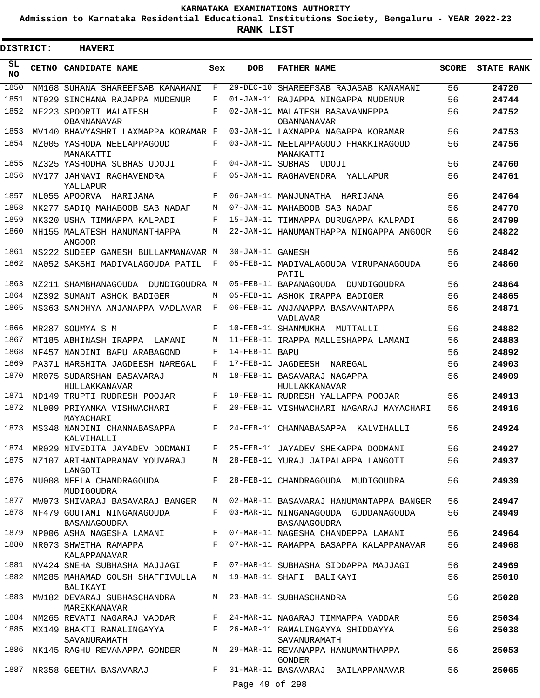**Admission to Karnataka Residential Educational Institutions Society, Bengaluru - YEAR 2022-23**

**RANK LIST**

 $\blacksquare$ 

| DISTRICT:       | <b>HAVERI</b>                                                                     |            |                  |                                                                         |              |                   |
|-----------------|-----------------------------------------------------------------------------------|------------|------------------|-------------------------------------------------------------------------|--------------|-------------------|
| SL<br><b>NO</b> | <b>CETNO CANDIDATE NAME</b>                                                       | Sex        | <b>DOB</b>       | <b>FATHER NAME</b>                                                      | <b>SCORE</b> | <b>STATE RANK</b> |
| 1850            | NM168 SUHANA SHAREEFSAB KANAMANI                                                  | F          | $29-DEC-10$      | SHAREEFSAB RAJASAB KANAMANI                                             | 56           | 24720             |
| 1851            | NT029 SINCHANA RAJAPPA MUDENUR                                                    | F          |                  | 01-JAN-11 RAJAPPA NINGAPPA MUDENUR                                      | 56           | 24744             |
| 1852            | NF223 SPOORTI MALATESH<br>OBANNANAVAR                                             | $_{\rm F}$ |                  | 02-JAN-11 MALATESH BASAVANNEPPA<br>OBANNANAVAR                          | 56           | 24752             |
| 1853            | MV140 BHAVYASHRI LAXMAPPA KORAMAR F                                               |            |                  | 03-JAN-11 LAXMAPPA NAGAPPA KORAMAR                                      | 56           | 24753             |
| 1854            | NZ005 YASHODA NEELAPPAGOUD<br>MANAKATTI                                           | F          |                  | 03-JAN-11 NEELAPPAGOUD FHAKKIRAGOUD<br>MANAKATTI                        | 56           | 24756             |
| 1855            | NZ325 YASHODHA SUBHAS UDOJI                                                       | F          |                  | 04-JAN-11 SUBHAS UDOJI                                                  | 56           | 24760             |
| 1856            | NV177 JAHNAVI RAGHAVENDRA<br>YALLAPUR                                             | F          |                  | 05-JAN-11 RAGHAVENDRA YALLAPUR                                          | 56           | 24761             |
| 1857            | NL055 APOORVA HARIJANA                                                            | $_{\rm F}$ |                  | 06-JAN-11 MANJUNATHA<br>HARIJANA                                        | 56           | 24764             |
| 1858            | NK277 SADIO MAHABOOB SAB NADAF                                                    | M          |                  | 07-JAN-11 MAHABOOB SAB NADAF                                            | 56           | 24770             |
| 1859            | NK320 USHA TIMMAPPA KALPADI                                                       | F          |                  | 15-JAN-11 TIMMAPPA DURUGAPPA KALPADI                                    | 56           | 24799             |
| 1860            | NH155 MALATESH HANUMANTHAPPA<br><b>ANGOOR</b>                                     | M          |                  | 22-JAN-11 HANUMANTHAPPA NINGAPPA ANGOOR                                 | 56           | 24822             |
| 1861            | NS222 SUDEEP GANESH BULLAMMANAVAR M                                               |            | 30-JAN-11 GANESH |                                                                         | 56           | 24842             |
| 1862            | NA052 SAKSHI MADIVALAGOUDA PATIL                                                  | F          |                  | 05-FEB-11 MADIVALAGOUDA VIRUPANAGOUDA<br>PATIL                          | 56           | 24860             |
| 1863            | NZ211 SHAMBHANAGOUDA DUNDIGOUDRA M                                                |            |                  | 05-FEB-11 BAPANAGOUDA DUNDIGOUDRA                                       | 56           | 24864             |
| 1864            | NZ392 SUMANT ASHOK BADIGER                                                        | M          |                  | 05-FEB-11 ASHOK IRAPPA BADIGER                                          | 56           | 24865             |
| 1865            | NS363 SANDHYA ANJANAPPA VADLAVAR                                                  | F          |                  | 06-FEB-11 ANJANAPPA BASAVANTAPPA<br>VADLAVAR                            | 56           | 24871             |
| 1866            | MR287 SOUMYA S M                                                                  | F          |                  | 10-FEB-11 SHANMUKHA MUTTALLI                                            | 56           | 24882             |
| 1867            | MT185 ABHINASH IRAPPA LAMANI                                                      | М          |                  | 11-FEB-11 IRAPPA MALLESHAPPA LAMANI                                     | 56           | 24883             |
| 1868            | NF457 NANDINI BAPU ARABAGOND                                                      | F          | 14-FEB-11 BAPU   |                                                                         | 56           | 24892             |
| 1869            | PA371 HARSHITA JAGDEESH NAREGAL                                                   | F          |                  | 17-FEB-11 JAGDEESH<br>NAREGAL                                           | 56           | 24903             |
| 1870            | MR075 SUDARSHAN BASAVARAJ<br>HULLAKKANAVAR                                        | М          |                  | 18-FEB-11 BASAVARAJ NAGAPPA<br>HULLAKKANAVAR                            | 56           | 24909             |
| 1871            | ND149 TRUPTI RUDRESH POOJAR                                                       | F          |                  | 19-FEB-11 RUDRESH YALLAPPA POOJAR                                       | 56           | 24913             |
| 1872            | NL009 PRIYANKA VISHWACHARI<br>MAYACHARI                                           | F          |                  | 20-FEB-11 VISHWACHARI NAGARAJ MAYACHARI                                 | 56           | 24916             |
| 1873            | MS348 NANDINI CHANNABASAPPA<br>KALVIHALLI                                         | F          |                  | 24-FEB-11 CHANNABASAPPA<br>KALVIHALLI                                   | 56           | 24924             |
| 1874            |                                                                                   |            |                  | MR029 NIVEDITA JAYADEV DODMANI   F   25-FEB-11 JAYADEV SHEKAPPA DODMANI | 56           | 24927             |
| 1875            | NZ107 ARIHANTAPRANAV YOUVARAJ<br>LANGOTI                                          | M          |                  | 28-FEB-11 YURAJ JAIPALAPPA LANGOTI                                      | 56           | 24937             |
| 1876            | NU008 NEELA CHANDRAGOUDA<br>MUDIGOUDRA                                            | F          |                  | 28-FEB-11 CHANDRAGOUDA MUDIGOUDRA                                       | 56           | 24939             |
| 1877            | MW073 SHIVARAJ BASAVARAJ BANGER                                                   | M          |                  | 02-MAR-11 BASAVARAJ HANUMANTAPPA BANGER                                 | 56           | 24947             |
| 1878            | NF479 GOUTAMI NINGANAGOUDA<br>BASANAGOUDRA                                        | F          |                  | 03-MAR-11 NINGANAGOUDA GUDDANAGOUDA<br>BASANAGOUDRA                     | 56           | 24949             |
| 1879            | NP006 ASHA NAGESHA LAMANI                                                         |            |                  | F 07-MAR-11 NAGESHA CHANDEPPA LAMANI                                    | 56           | 24964             |
| 1880            | NR073 SHWETHA RAMAPPA<br>$\mathbf{F}$ and the set of $\mathbf{F}$<br>KALAPPANAVAR |            |                  | 07-MAR-11 RAMAPPA BASAPPA KALAPPANAVAR                                  | 56           | 24968             |
| 1881            | NV424 SNEHA SUBHASHA MAJJAGI                                                      | F          |                  | 07-MAR-11 SUBHASHA SIDDAPPA MAJJAGI                                     | 56           | 24969             |
| 1882            | NM285 MAHAMAD GOUSH SHAFFIVULLA<br>BALIKAYI                                       | M          |                  | 19-MAR-11 SHAFI BALIKAYI                                                | 56           | 25010             |
| 1883            | MW182 DEVARAJ SUBHASCHANDRA<br>MAREKKANAVAR                                       | M          |                  | 23-MAR-11 SUBHASCHANDRA                                                 | 56           | 25028             |
| 1884            | NM265 REVATI NAGARAJ VADDAR                                                       | F          |                  | 24-MAR-11 NAGARAJ TIMMAPPA VADDAR                                       | 56           | 25034             |
| 1885            | MX149 BHAKTI RAMALINGAYYA<br>SAVANURAMATH                                         | $F -$      |                  | 26-MAR-11 RAMALINGAYYA SHIDDAYYA<br>SAVANURAMATH                        | 56           | 25038             |
| 1886            | NK145 RAGHU REVANAPPA GONDER                                                      | M          |                  | 29-MAR-11 REVANAPPA HANUMANTHAPPA<br>GONDER                             | 56           | 25053             |
| 1887            | NR358 GEETHA BASAVARAJ                                                            | F          | Page 49 of 298   | 31-MAR-11 BASAVARAJ BAILAPPANAVAR                                       | 56           | 25065             |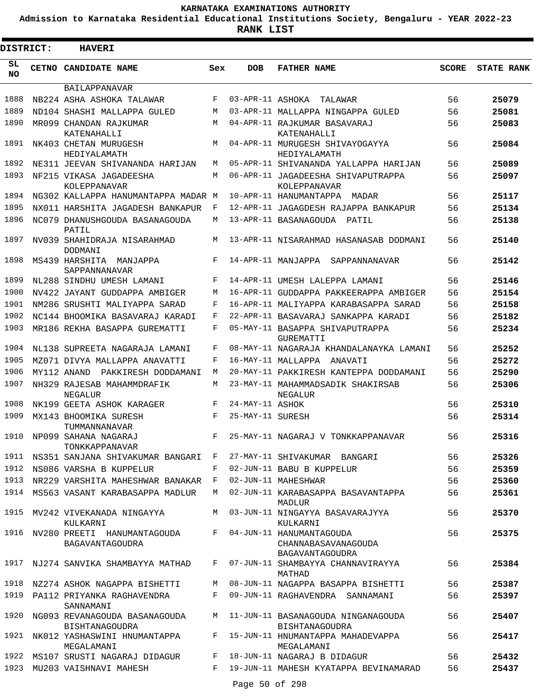**Admission to Karnataka Residential Educational Institutions Society, Bengaluru - YEAR 2022-23**

| <b>DISTRICT:</b> | <b>HAVERI</b>                                                        |     |                  |                                                                    |              |                   |
|------------------|----------------------------------------------------------------------|-----|------------------|--------------------------------------------------------------------|--------------|-------------------|
| SL<br><b>NO</b>  | CETNO CANDIDATE NAME                                                 | Sex | <b>DOB</b>       | <b>FATHER NAME</b>                                                 | <b>SCORE</b> | <b>STATE RANK</b> |
|                  | BAILAPPANAVAR                                                        |     |                  |                                                                    |              |                   |
| 1888             | NB224 ASHA ASHOKA TALAWAR                                            | F   | 03-APR-11 ASHOKA | TALAWAR                                                            | 56           | 25079             |
| 1889             | ND104 SHASHI MALLAPPA GULED                                          | M   |                  | 03-APR-11 MALLAPPA NINGAPPA GULED                                  | 56           | 25081             |
| 1890             | MR099 CHANDAN RAJKUMAR                                               | M   |                  | 04-APR-11 RAJKUMAR BASAVARAJ                                       | 56           | 25083             |
|                  | KATENAHALLI                                                          |     |                  | KATENAHALLI                                                        |              |                   |
| 1891             | NK403 CHETAN MURUGESH<br>HEDIYALAMATH                                | M   |                  | 04-APR-11 MURUGESH SHIVAYOGAYYA<br>HEDIYALAMATH                    | 56           | 25084             |
| 1892             | NE311 JEEVAN SHIVANANDA HARIJAN                                      | M   |                  | 05-APR-11 SHIVANANDA YALLAPPA HARIJAN                              | 56           | 25089             |
| 1893             | NF215 VIKASA JAGADEESHA<br>KOLEPPANAVAR                              | M   |                  | 06-APR-11 JAGADEESHA SHIVAPUTRAPPA<br>KOLEPPANAVAR                 | 56           | 25097             |
| 1894             | NG302 KALLAPPA HANUMANTAPPA MADAR M                                  |     |                  | 10-APR-11 HANUMANTAPPA MADAR                                       | 56           | 25117             |
| 1895             | NX011 HARSHITA JAGADESH BANKAPUR                                     | F   |                  | 12-APR-11 JAGAGDESH RAJAPPA BANKAPUR                               | 56           | 25134             |
| 1896             | NC079 DHANUSHGOUDA BASANAGOUDA<br>PATIL                              | M   |                  | 13-APR-11 BASANAGOUDA<br>PATIL                                     | 56           | 25138             |
| 1897             | NV039 SHAHIDRAJA NISARAHMAD<br>DODMANI                               | M   |                  | 13-APR-11 NISARAHMAD HASANASAB DODMANI                             | 56           | 25140             |
| 1898             | MS439 HARSHITA MANJAPPA<br>SAPPANNANAVAR                             | F   |                  | 14-APR-11 MANJAPPA SAPPANNANAVAR                                   | 56           | 25142             |
| 1899             | NL288 SINDHU UMESH LAMANI                                            | F   |                  | 14-APR-11 UMESH LALEPPA LAMANI                                     | 56           | 25146             |
| 1900             | NV422 JAYANT GUDDAPPA AMBIGER                                        | M   |                  | 16-APR-11 GUDDAPPA PAKKEERAPPA AMBIGER                             | 56           | 25154             |
| 1901             | NM286 SRUSHTI MALIYAPPA SARAD                                        | F   |                  | 16-APR-11 MALIYAPPA KARABASAPPA SARAD                              | 56           | 25158             |
| 1902             | NC144 BHOOMIKA BASAVARAJ KARADI                                      | F   |                  | 22-APR-11 BASAVARAJ SANKAPPA KARADI                                | 56           | 25182             |
| 1903             | MR186 REKHA BASAPPA GUREMATTI                                        | F   |                  | 05-MAY-11 BASAPPA SHIVAPUTRAPPA<br>GUREMATTI                       | 56           | 25234             |
| 1904             | NL138 SUPREETA NAGARAJA LAMANI                                       | F   |                  | 08-MAY-11 NAGARAJA KHANDALANAYKA LAMANI                            | 56           | 25252             |
| 1905             | MZ071 DIVYA MALLAPPA ANAVATTI                                        | F   |                  | 16-MAY-11 MALLAPPA ANAVATI                                         | 56           | 25272             |
| 1906             | MY112 ANAND<br>PAKKIRESH DODDAMANI                                   | M   |                  | 20-MAY-11 PAKKIRESH KANTEPPA DODDAMANI                             | 56           | 25290             |
| 1907             | NH329 RAJESAB MAHAMMDRAFIK<br>NEGALUR                                | M   |                  | 23-MAY-11 MAHAMMADSADIK SHAKIRSAB<br>NEGALUR                       | 56           | 25306             |
| 1908             | NK199 GEETA ASHOK KARAGER                                            | F   | 24-MAY-11 ASHOK  |                                                                    | 56           | 25310             |
| 1909             | MX143 BHOOMIKA SURESH<br>TUMMANNANAVAR                               | F   | 25-MAY-11 SURESH |                                                                    | 56           | 25314             |
| 1910             | NP099 SAHANA NAGARAJ<br>TONKKAPPANAVAR                               | F   |                  | 25-MAY-11 NAGARAJ V TONKKAPPANAVAR                                 | 56           | 25316             |
|                  | 1911 NS351 SANJANA SHIVAKUMAR BANGARI F 27-MAY-11 SHIVAKUMAR BANGARI |     |                  |                                                                    | 56           | 25326             |
| 1912             | NS086 VARSHA B KUPPELUR                                              | F   |                  | 02-JUN-11 BABU B KUPPELUR                                          | 56           | 25359             |
| 1913             | NR229 VARSHITA MAHESHWAR BANAKAR F                                   |     |                  | 02-JUN-11 MAHESHWAR                                                | 56           | 25360             |
|                  | 1914 MS563 VASANT KARABASAPPA MADLUR                                 | M   |                  | 02-JUN-11 KARABASAPPA BASAVANTAPPA<br><b>MADLIJR</b>               | 56           | 25361             |
| 1915             | MV242 VIVEKANADA NINGAYYA<br>KULKARNI                                | M   |                  | 03-JUN-11 NINGAYYA BASAVARAJYYA<br>KULKARNI                        | 56           | 25370             |
|                  | 1916 NV280 PREETI HANUMANTAGOUDA<br>BAGAVANTAGOUDRA                  | F   |                  | 04-JUN-11 HANUMANTAGOUDA<br>CHANNABASAVANAGOUDA<br>BAGAVANTAGOUDRA | 56           | 25375             |
| 1917             | NJ274 SANVIKA SHAMBAYYA MATHAD                                       |     |                  | F 07-JUN-11 SHAMBAYYA CHANNAVIRAYYA<br>MATHAD                      | 56           | 25384             |
|                  | 1918 NZ274 ASHOK NAGAPPA BISHETTI                                    | M   |                  | 08-JUN-11 NAGAPPA BASAPPA BISHETTI                                 | 56           | 25387             |
| 1919             | PA112 PRIYANKA RAGHAVENDRA<br>SANNAMANI                              | F   |                  | 09-JUN-11 RAGHAVENDRA SANNAMANI                                    | 56           | 25397             |
| 1920             | NG093 REVANAGOUDA BASANAGOUDA<br>BISHTANAGOUDRA                      |     |                  | M 11-JUN-11 BASANAGOUDA NINGANAGOUDA<br>BISHTANAGOUDRA             | 56           | 25407             |
| 1921             | NK012 YASHASWINI HNUMANTAPPA<br>MEGALAMANI                           | F   |                  | 15-JUN-11 HNUMANTAPPA MAHADEVAPPA<br>MEGALAMANI                    | 56           | 25417             |
| 1922             | MS107 SRUSTI NAGARAJ DIDAGUR                                         | F   |                  | 18-JUN-11 NAGARAJ B DIDAGUR                                        | 56           | 25432             |
|                  | 1923 MU203 VAISHNAVI MAHESH                                          | F   |                  | 19-JUN-11 MAHESH KYATAPPA BEVINAMARAD                              | 56           | 25437             |
|                  |                                                                      |     | Page 50 of 298   |                                                                    |              |                   |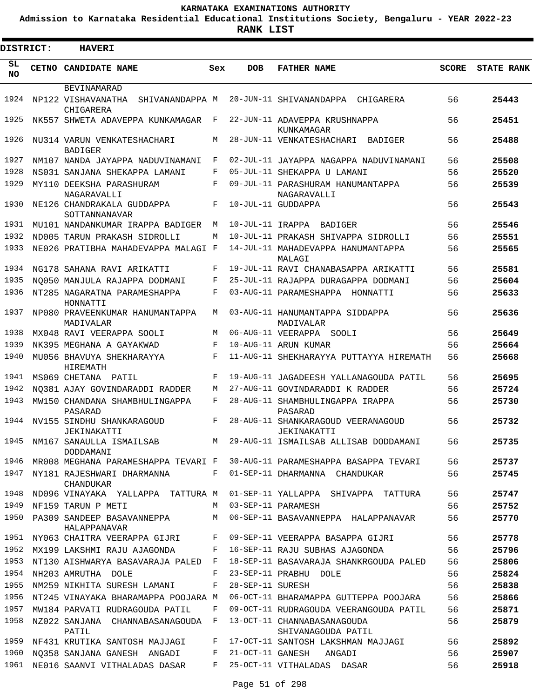**Admission to Karnataka Residential Educational Institutions Society, Bengaluru - YEAR 2022-23**

| <b>DISTRICT:</b> | <b>HAVERI</b>                                      |     |                  |                                                    |              |                   |
|------------------|----------------------------------------------------|-----|------------------|----------------------------------------------------|--------------|-------------------|
| SL<br><b>NO</b>  | CETNO CANDIDATE NAME                               | Sex | <b>DOB</b>       | <b>FATHER NAME</b>                                 | <b>SCORE</b> | <b>STATE RANK</b> |
|                  | BEVINAMARAD                                        |     |                  |                                                    |              |                   |
| 1924             | NP122 VISHAVANATHA<br>SHIVANANDAPPA M<br>CHIGARERA |     |                  | 20-JUN-11 SHIVANANDAPPA CHIGARERA                  | 56           | 25443             |
| 1925             | NK557 SHWETA ADAVEPPA KUNKAMAGAR                   | F   |                  | 22-JUN-11 ADAVEPPA KRUSHNAPPA                      | 56           | 25451             |
| 1926             | NU314 VARUN VENKATESHACHARI<br><b>BADIGER</b>      | M   |                  | KUNKAMAGAR<br>28-JUN-11 VENKATESHACHARI<br>BADIGER | 56           | 25488             |
| 1927             | NM107 NANDA JAYAPPA NADUVINAMANI                   | F   |                  | 02-JUL-11 JAYAPPA NAGAPPA NADUVINAMANI             | 56           | 25508             |
| 1928             | NS031 SANJANA SHEKAPPA LAMANI                      | F   |                  | 05-JUL-11 SHEKAPPA U LAMANI                        | 56           | 25520             |
| 1929             | MY110 DEEKSHA PARASHURAM<br>NAGARAVALLI            | F   |                  | 09-JUL-11 PARASHURAM HANUMANTAPPA<br>NAGARAVALLI   | 56           | 25539             |
| 1930             | NE126 CHANDRAKALA GUDDAPPA                         | F   |                  | 10-JUL-11 GUDDAPPA                                 | 56           | 25543             |
| 1931             | SOTTANNANAVAR<br>MU101 NANDANKUMAR IRAPPA BADIGER  | M   |                  | 10-JUL-11 IRAPPA BADIGER                           | 56           | 25546             |
| 1932             | ND005 TARUN PRAKASH SIDROLLI                       | М   |                  | 10-JUL-11 PRAKASH SHIVAPPA SIDROLLI                | 56           | 25551             |
| 1933             | NE026 PRATIBHA MAHADEVAPPA MALAGI F                |     |                  | 14-JUL-11 MAHADEVAPPA HANUMANTAPPA<br>MALAGI       | 56           | 25565             |
| 1934             | NG178 SAHANA RAVI ARIKATTI                         | F   |                  | 19-JUL-11 RAVI CHANABASAPPA ARIKATTI               | 56           | 25581             |
| 1935             | NO050 MANJULA RAJAPPA DODMANI                      | F   |                  | 25-JUL-11 RAJAPPA DURAGAPPA DODMANI                | 56           | 25604             |
| 1936             | NT285 NAGARATNA PARAMESHAPPA<br>HONNATTI           | F   |                  | 03-AUG-11 PARAMESHAPPA HONNATTI                    | 56           | 25633             |
| 1937             | NP080 PRAVEENKUMAR HANUMANTAPPA<br>MADIVALAR       | М   |                  | 03-AUG-11 HANUMANTAPPA SIDDAPPA<br>MADIVALAR       | 56           | 25636             |
| 1938             | MX048 RAVI VEERAPPA SOOLI                          | М   |                  | 06-AUG-11 VEERAPPA SOOLI                           | 56           | 25649             |
| 1939             | NK395 MEGHANA A GAYAKWAD                           | F   |                  | 10-AUG-11 ARUN KUMAR                               | 56           | 25664             |
| 1940             | MU056 BHAVUYA SHEKHARAYYA<br>HIREMATH              | F   |                  | 11-AUG-11 SHEKHARAYYA PUTTAYYA HIREMATH            | 56           | 25668             |
| 1941             | MS069 CHETANA PATIL                                | F   |                  | 19-AUG-11 JAGADEESH YALLANAGOUDA PATIL             | 56           | 25695             |
| 1942             | NO381 AJAY GOVINDARADDI RADDER                     | М   |                  | 27-AUG-11 GOVINDARADDI K RADDER                    | 56           | 25724             |
| 1943             | MW150 CHANDANA SHAMBHULINGAPPA<br>PASARAD          | F   |                  | 28-AUG-11 SHAMBHULINGAPPA IRAPPA<br>PASARAD        | 56           | 25730             |
| 1944             | NV155 SINDHU SHANKARAGOUD<br><b>JEKINAKATTI</b>    | F   |                  | 28-AUG-11 SHANKARAGOUD VEERANAGOUD<br>JEKINAKATTI  | 56           | 25732             |
|                  | 1945 NM167 SANAULLA ISMAILSAB<br>DODDAMANI         |     |                  | M 29-AUG-11 ISMAILSAB ALLISAB DODDAMANI            | 56           | 25735             |
| 1946             | MR008 MEGHANA PARAMESHAPPA TEVARI F                |     |                  | 30-AUG-11 PARAMESHAPPA BASAPPA TEVARI              | 56           | 25737             |
| 1947             | NY181 RAJESHWARI DHARMANNA<br>CHANDUKAR            | F   |                  | 01-SEP-11 DHARMANNA CHANDUKAR                      | 56           | 25745             |
| 1948             | ND096 VINAYAKA YALLAPPA TATTURA M                  |     |                  | 01-SEP-11 YALLAPPA SHIVAPPA TATTURA                | 56           | 25747             |
| 1949             | NF159 TARUN P METI                                 | М   |                  | 03-SEP-11 PARAMESH                                 | 56           | 25752             |
| 1950             | PA309 SANDEEP BASAVANNEPPA<br>HALAPPANAVAR         | М   |                  | 06-SEP-11 BASAVANNEPPA HALAPPANAVAR                | 56           | 25770             |
| 1951             | NY063 CHAITRA VEERAPPA GIJRI                       | F   |                  | 09-SEP-11 VEERAPPA BASAPPA GIJRI                   | 56           | 25778             |
| 1952             | MX199 LAKSHMI RAJU AJAGONDA                        | F   |                  | 16-SEP-11 RAJU SUBHAS AJAGONDA                     | 56           | 25796             |
| 1953             | NT130 AISHWARYA BASAVARAJA PALED                   | F   |                  | 18-SEP-11 BASAVARAJA SHANKRGOUDA PALED             | 56           | 25806             |
| 1954             | NH203 AMRUTHA DOLE                                 | F   |                  | 23-SEP-11 PRABHU DOLE                              | 56           | 25824             |
| 1955             | NM259 NIKHITA SURESH LAMANI                        | F   | 28-SEP-11 SURESH |                                                    | 56           | 25838             |
| 1956             | NT245 VINAYAKA BHARAMAPPA POOJARA M                |     |                  | 06-OCT-11 BHARAMAPPA GUTTEPPA POOJARA              | 56           | 25866             |
| 1957             | MW184 PARVATI RUDRAGOUDA PATIL                     | F   |                  | 09-OCT-11 RUDRAGOUDA VEERANGOUDA PATIL             | 56           | 25871             |
| 1958             | NZ022 SANJANA CHANNABASANAGOUDA F<br>PATIL         |     |                  | 13-OCT-11 CHANNABASANAGOUDA<br>SHIVANAGOUDA PATIL  | 56           | 25879             |
| 1959             | NF431 KRUTIKA SANTOSH MAJJAGI                      | F   |                  | 17-OCT-11 SANTOSH LAKSHMAN MAJJAGI                 | 56           | 25892             |
| 1960             | NQ358 SANJANA GANESH ANGADI                        | F   | 21-OCT-11 GANESH | ANGADI                                             | 56           | 25907             |
| 1961             | NE016 SAANVI VITHALADAS DASAR                      | F   |                  | 25-OCT-11 VITHALADAS DASAR                         | 56           | 25918             |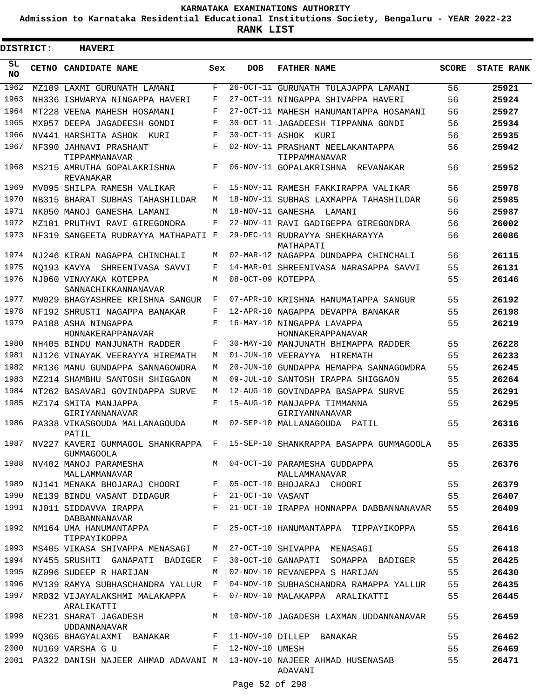**Admission to Karnataka Residential Educational Institutions Society, Bengaluru - YEAR 2022-23**

**RANK LIST**

Е

| DISTRICT:        | <b>HAVERI</b>                                             |     |                   |                                                                                                    |              |                   |
|------------------|-----------------------------------------------------------|-----|-------------------|----------------------------------------------------------------------------------------------------|--------------|-------------------|
| SL.<br><b>NO</b> | <b>CETNO CANDIDATE NAME</b>                               | Sex | DOB               | <b>FATHER NAME</b>                                                                                 | <b>SCORE</b> | <b>STATE RANK</b> |
| 1962             | MZ109 LAXMI GURUNATH LAMANI                               | F   |                   | 26-OCT-11 GURUNATH TULAJAPPA LAMANI                                                                | 56           | 25921             |
| 1963             | NH336 ISHWARYA NINGAPPA HAVERI                            | F   |                   | 27-OCT-11 NINGAPPA SHIVAPPA HAVERI                                                                 | 56           | 25924             |
| 1964             | MT228 VEENA MAHESH HOSAMANI                               | F   |                   | 27-OCT-11 MAHESH HANUMANTAPPA HOSAMANI                                                             | 56           | 25927             |
| 1965             | MX057 DEEPA JAGADEESH GONDI                               | F   |                   | 30-OCT-11 JAGADEESH TIPPANNA GONDI                                                                 | 56           | 25934             |
| 1966             | NV441 HARSHITA ASHOK KURI                                 | F   |                   | 30-OCT-11 ASHOK KURI                                                                               | 56           | 25935             |
| 1967             | NF390 JAHNAVI PRASHANT<br>TIPPAMMANAVAR                   | F   |                   | 02-NOV-11 PRASHANT NEELAKANTAPPA<br>TIPPAMMANAVAR                                                  | 56           | 25942             |
| 1968             | MS215 AMRUTHA GOPALAKRISHNA<br>REVANAKAR                  | F   |                   | 06-NOV-11 GOPALAKRISHNA REVANAKAR                                                                  | 56           | 25952             |
| 1969             | MV095 SHILPA RAMESH VALIKAR                               | F   |                   | 15-NOV-11 RAMESH FAKKIRAPPA VALIKAR                                                                | 56           | 25978             |
| 1970             | NB315 BHARAT SUBHAS TAHASHILDAR                           | М   |                   | 18-NOV-11 SUBHAS LAXMAPPA TAHASHILDAR                                                              | 56           | 25985             |
| 1971             | NK050 MANOJ GANESHA LAMANI                                | M   |                   | 18-NOV-11 GANESHA LAMANI                                                                           | 56           | 25987             |
| 1972             | MZ101 PRUTHVI RAVI GIREGONDRA                             | F   |                   | 22-NOV-11 RAVI GADIGEPPA GIREGONDRA                                                                | 56           | 26002             |
| 1973             | NF319 SANGEETA RUDRAYYA MATHAPATI F                       |     |                   | 29-DEC-11 RUDRAYYA SHEKHARAYYA<br>MATHAPATI                                                        | 56           | 26086             |
| 1974             | NJ246 KIRAN NAGAPPA CHINCHALI                             | М   |                   | 02-MAR-12 NAGAPPA DUNDAPPA CHINCHALI                                                               | 56           | 26115             |
| 1975             | NO193 KAVYA SHREENIVASA SAVVI                             | F   |                   | 14-MAR-01 SHREENIVASA NARASAPPA SAVVI                                                              | 55           | 26131             |
| 1976             | NJ060 VINAYAKA KOTEPPA<br>SANNACHIKKANNANAVAR             | М   | 08-OCT-09 KOTEPPA |                                                                                                    | 55           | 26146             |
| 1977             | MW029 BHAGYASHREE KRISHNA SANGUR                          | F   |                   | 07-APR-10 KRISHNA HANUMATAPPA SANGUR                                                               | 55           | 26192             |
| 1978             | NF192 SHRUSTI NAGAPPA BANAKAR                             | F   |                   | 12-APR-10 NAGAPPA DEVAPPA BANAKAR                                                                  | 55           | 26198             |
| 1979             | PA188 ASHA NINGAPPA<br>HONNAKERAPPANAVAR                  | F   |                   | 16-MAY-10 NINGAPPA LAVAPPA<br>HONNAKERAPPANAVAR                                                    | 55           | 26219             |
| 1980             | NH405 BINDU MANJUNATH RADDER                              | F   |                   | 30-MAY-10 MANJUNATH BHIMAPPA RADDER                                                                | 55           | 26228             |
| 1981             | NJ126 VINAYAK VEERAYYA HIREMATH                           | М   |                   | 01-JUN-10 VEERAYYA HIREMATH                                                                        | 55           | 26233             |
| 1982             | MR136 MANU GUNDAPPA SANNAGOWDRA                           | M   |                   | 20-JUN-10 GUNDAPPA HEMAPPA SANNAGOWDRA                                                             | 55           | 26245             |
| 1983             | MZ214 SHAMBHU SANTOSH SHIGGAON                            | M   |                   | 09-JUL-10 SANTOSH IRAPPA SHIGGAON                                                                  | 55           | 26264             |
| 1984             | NT262 BASAVARJ GOVINDAPPA SURVE                           | M   |                   | 12-AUG-10 GOVINDAPPA BASAPPA SURVE                                                                 | 55           | 26291             |
| 1985             | MZ174 SMITA MANJAPPA<br>GIRIYANNANAVAR                    | F   |                   | 15-AUG-10 MANJAPPA TIMMANNA<br>GIRIYANNANAVAR                                                      | 55           | 26295             |
| 1986             | PA338 VIKASGOUDA MALLANAGOUDA<br>PATIL                    | M   |                   | 02-SEP-10 MALLANAGOUDA PATIL                                                                       | 55           | 26316             |
|                  | <b>GUMMAGOOLA</b>                                         |     |                   | 1987 NV227 KAVERI GUMMAGOL SHANKRAPPA F 15-SEP-10 SHANKRAPPA BASAPPA GUMMAGOOLA 55                 |              | 26335             |
|                  |                                                           |     |                   | 1988 NV402 MANOJ PARAMESHA M 04-OCT-10 PARAMESHA GUDDAPPA                                          | 55           | 26376             |
|                  |                                                           |     |                   | MALLAMMANAVAR MALLAMMANAVAR MALLAMMANAVAR NJ141 MENAKA BHOJARAJ CHOORI F 05-OCT-10 BHOJARAJ CHOORI | 55           | 26379             |
|                  | 1990 NE139 BINDU VASANT DIDAGUR F 21-OCT-10 VASANT        |     |                   | 55                                                                                                 |              | 26407             |
|                  | DABBANNANAVAR                                             |     |                   | 1991 NJ011 SIDDAVVA IRAPPA $F$ 21-OCT-10 IRAPPA HONNAPPA DABBANNANAVAR 55                          |              | 26409             |
|                  | TIPPAYIKOPPA                                              |     |                   | 1992 NM164 UMA HANUMANTAPPA F 25-OCT-10 HANUMANTAPPA TIPPAYIKOPPA 55                               |              | 26416             |
|                  |                                                           |     |                   | 1993 MS405 VIKASA SHIVAPPA MENASAGI MAN 27-OCT-10 SHIVAPPA MENASAGI                                | 55           | 26418             |
|                  |                                                           |     |                   | 1994 NY455 SRUSHTI GANAPATI BADIGER F 30-OCT-10 GANAPATI SOMAPPA BADIGER 55                        |              | 26425             |
|                  | 1995 NZ096 SUDEEP R HARIJAN                               |     |                   | M 02-NOV-10 REVANEPPA S HARIJAN<br>$\sim$ 55                                                       |              | 26430             |
|                  |                                                           |     |                   | 1996 MV139 RAMYA SUBHASCHANDRA YALLUR F 04-NOV-10 SUBHASCHANDRA RAMAPPA YALLUR 55                  |              | 26435             |
|                  | ARALIKATTI                                                |     |                   | 1997 MR032 VIJAYALAKSHMI MALAKAPPA F 07-NOV-10 MALAKAPPA ARALIKATTI                                | 55           | 26445             |
|                  | UDDANNANAVAR                                              |     |                   | 1998 NE231 SHARAT JAGADESH M 10-NOV-10 JAGADESH LAXMAN UDDANNANAVAR                                | 55           | 26459             |
|                  | 1999 NQ365 BHAGYALAXMI BANAKAR F 11-NOV-10 DILLEP BANAKAR |     |                   |                                                                                                    | 55           | 26462             |
|                  | 2000 NU169 VARSHA G U F 12-NOV-10 UMESH                   |     |                   |                                                                                                    | 55           | 26469             |
|                  |                                                           |     |                   | 2001 PA322 DANISH NAJEER AHMAD ADAVANI M 13-NOV-10 NAJEER AHMAD HUSENASAB 55<br>ADAVANI            |              | 26471             |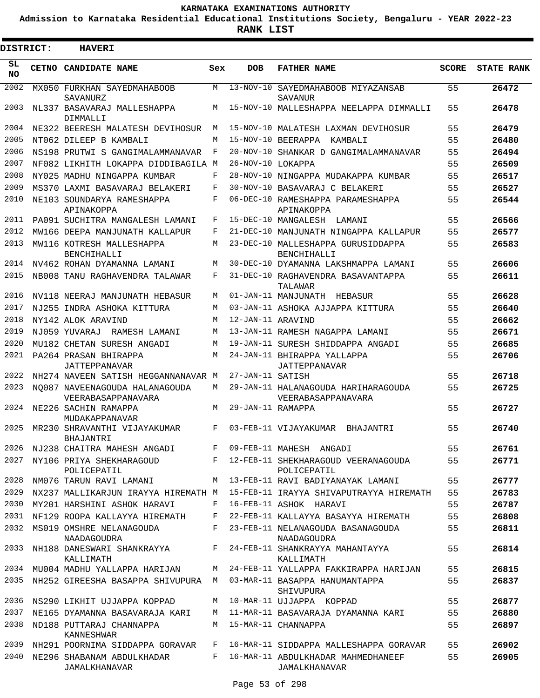**Admission to Karnataka Residential Educational Institutions Society, Bengaluru - YEAR 2022-23**

3

**RANK LIST**

Е

| <b>DISTRICT:</b> |  | <b>HAVERI</b>                                        |     |                   |                                                           |              |                   |
|------------------|--|------------------------------------------------------|-----|-------------------|-----------------------------------------------------------|--------------|-------------------|
| SL.<br>NO.       |  | <b>CETNO CANDIDATE NAME</b>                          | Sex | <b>DOB</b>        | <b>FATHER NAME</b>                                        | <b>SCORE</b> | <b>STATE RANK</b> |
| 2002             |  | MX050 FURKHAN SAYEDMAHABOOB<br>SAVANURZ              | M   |                   | 13-NOV-10 SAYEDMAHABOOB MIYAZANSAB<br>SAVANUR             | 55           | 26472             |
| 2003             |  | NL337 BASAVARAJ MALLESHAPPA<br>DIMMALLI              | M   |                   | 15-NOV-10 MALLESHAPPA NEELAPPA DIMMALLI                   | 55           | 26478             |
| 2004             |  | NE322 BEERESH MALATESH DEVIHOSUR                     | M   |                   | 15-NOV-10 MALATESH LAXMAN DEVIHOSUR                       | 55           | 26479             |
| 2005             |  | NT062 DILEEP B KAMBALI                               | M   | 15-NOV-10         | BEERAPPA<br>KAMBALI                                       | 55           | 26480             |
| 2006             |  | NS198 PRUTWI S GANGIMALAMMANAVAR                     | F   | $20 - NOV - 10$   | SHANKAR D GANGIMALAMMANAVAR                               | 55           | 26494             |
| 2007             |  | NF082 LIKHITH LOKAPPA DIDDIBAGILA M                  |     | 26-NOV-10 LOKAPPA |                                                           | 55           | 26509             |
| 2008             |  | NY025 MADHU NINGAPPA KUMBAR                          | F   | $28 - NOV - 10$   | NINGAPPA MUDAKAPPA KUMBAR                                 | 55           | 26517             |
| 2009             |  | MS370 LAXMI BASAVARAJ BELAKERI                       | F   | $30 - NOV - 10$   | BASAVARAJ C BELAKERI                                      | 55           | 26527             |
| 2010             |  | NE103 SOUNDARYA RAMESHAPPA<br>APINAKOPPA             | F   |                   | 06-DEC-10 RAMESHAPPA PARAMESHAPPA<br>APINAKOPPA           | 55           | 26544             |
| 2011             |  | PA091 SUCHITRA MANGALESH LAMANI                      | F   |                   | 15-DEC-10 MANGALESH LAMANI                                | 55           | 26566             |
| 2012             |  | MW166 DEEPA MANJUNATH KALLAPUR                       | F   | $21 - DEC - 10$   | MANJUNATH NINGAPPA KALLAPUR                               | 55           | 26577             |
| 2013             |  | MW116 KOTRESH MALLESHAPPA<br><b>BENCHIHALLI</b>      | М   | $23 - DEC - 10$   | MALLESHAPPA GURUSIDDAPPA<br><b>BENCHIHALLI</b>            | 55           | 26583             |
| 2014             |  | NV462 ROHAN DYAMANNA LAMANT                          | М   |                   | 30-DEC-10 DYAMANNA LAKSHMAPPA LAMANI                      | 55           | 26606             |
| 2015             |  | NB008 TANU RAGHAVENDRA TALAWAR                       | F   |                   | 31-DEC-10 RAGHAVENDRA BASAVANTAPPA<br>TALAWAR             | 55           | 26611             |
| 2016             |  | NV118 NEERAJ MANJUNATH HEBASUR                       | M   |                   | 01-JAN-11 MANJUNATH HEBASUR                               | 55           | 26628             |
| 2017             |  | NJ255 INDRA ASHOKA KITTURA                           | M   |                   | 03-JAN-11 ASHOKA AJJAPPA KITTURA                          | 55           | 26640             |
| 2018             |  | NY142 ALOK ARAVIND                                   | M   | 12-JAN-11 ARAVIND |                                                           | 55           | 26662             |
| 2019             |  | NJ059 YUVARAJ<br>RAMESH LAMANI                       | М   |                   | 13-JAN-11 RAMESH NAGAPPA LAMANI                           | 55           | 26671             |
| 2020             |  | MU182 CHETAN SURESH ANGADI                           | M   |                   | 19-JAN-11 SURESH SHIDDAPPA ANGADI                         | 55           | 26685             |
| 2021             |  | PA264 PRASAN BHIRAPPA<br><b>JATTEPPANAVAR</b>        | M   |                   | 24-JAN-11 BHIRAPPA YALLAPPA<br>JATTEPPANAVAR              | 55           | 26706             |
| 2022             |  | NH274 NAVEEN SATISH HEGGANNANAVAR M                  |     | 27-JAN-11 SATISH  |                                                           | 55           | 26718             |
| 2023             |  | NO087 NAVEENAGOUDA HALANAGOUDA<br>VEERABASAPPANAVARA | М   |                   | 29-JAN-11 HALANAGOUDA HARIHARAGOUDA<br>VEERABASAPPANAVARA | 55           | 26725             |
| 2024             |  | NE226 SACHIN RAMAPPA<br>MUDAKAPPANAVAR               | M   | 29-JAN-11 RAMAPPA |                                                           | 55           | 26727             |
| 2025             |  | MR230 SHRAVANTHI VIJAYAKUMAR<br>BHAJANTRI            | F   |                   | 03-FEB-11 VIJAYAKUMAR BHAJANTRI                           | 55           | 26740             |
| 2026             |  | NJ238 CHAITRA MAHESH ANGADI                          | F   |                   | 09-FEB-11 MAHESH ANGADI                                   | 55           | 26761             |
| 2027             |  | NY106 PRIYA SHEKHARAGOUD<br>POLICEPATIL              | F   |                   | 12-FEB-11 SHEKHARAGOUD VEERANAGOUDA<br>POLICEPATIL        | 55           | 26771             |
| 2028             |  | NM076 TARUN RAVI LAMANI                              | М   |                   | 13-FEB-11 RAVI BADIYANAYAK LAMANI                         | 55           | 26777             |
| 2029             |  | NX237 MALLIKARJUN IRAYYA HIREMATH M                  |     |                   | 15-FEB-11 IRAYYA SHIVAPUTRAYYA HIREMATH                   | 55           | 26783             |
| 2030             |  | MY201 HARSHINI ASHOK HARAVI                          | F   |                   | 16-FEB-11 ASHOK HARAVI                                    | 55           | 26787             |
| 2031             |  | NF129 ROOPA KALLAYYA HIREMATH                        | F   |                   | 22-FEB-11 KALLAYYA BASAYYA HIREMATH                       | 55           | 26808             |
| 2032             |  | MS019 OMSHRE NELANAGOUDA<br>NAADAGOUDRA              | F   |                   | 23-FEB-11 NELANAGOUDA BASANAGOUDA<br>NAADAGOUDRA          | 55           | 26811             |
| 2033             |  | NH188 DANESWARI SHANKRAYYA<br>KALLIMATH              | F   |                   | 24-FEB-11 SHANKRAYYA MAHANTAYYA<br>KALLIMATH              | 55           | 26814             |
| 2034             |  | MU004 MADHU YALLAPPA HARIJAN                         | M   |                   | 24-FEB-11 YALLAPPA FAKKIRAPPA HARIJAN                     | 55           | 26815             |
| 2035             |  | NH252 GIREESHA BASAPPA SHIVUPURA                     | M   |                   | 03-MAR-11 BASAPPA HANUMANTAPPA<br>SHIVUPURA               | 55           | 26837             |
| 2036             |  | NS290 LIKHIT UJJAPPA KOPPAD                          | М   |                   | 10-MAR-11 UJJAPPA KOPPAD                                  | 55           | 26877             |
| 2037             |  | NE165 DYAMANNA BASAVARAJA KARI                       | М   |                   | 11-MAR-11 BASAVARAJA DYAMANNA KARI                        | 55           | 26880             |
| 2038             |  | ND188 PUTTARAJ CHANNAPPA<br>KANNESHWAR               | M   |                   | 15-MAR-11 CHANNAPPA                                       | 55           | 26897             |
| 2039             |  | NH291 POORNIMA SIDDAPPA GORAVAR                      | F   |                   | 16-MAR-11 SIDDAPPA MALLESHAPPA GORAVAR                    | 55           | 26902             |
| 2040             |  | NE296 SHABANAM ABDULKHADAR<br>JAMALKHANAVAR          | F   |                   | 16-MAR-11 ABDULKHADAR MAHMEDHANEEF<br>JAMALKHANAVAR       | 55           | 26905             |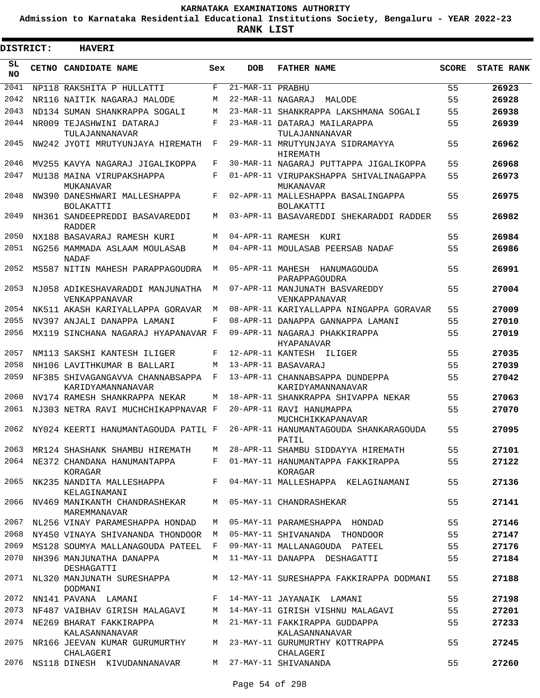**Admission to Karnataka Residential Educational Institutions Society, Bengaluru - YEAR 2022-23**

ı

| <b>DISTRICT:</b> | <b>HAVERI</b>                                                                |            |                   |                                                                                  |              |                   |
|------------------|------------------------------------------------------------------------------|------------|-------------------|----------------------------------------------------------------------------------|--------------|-------------------|
| SL<br><b>NO</b>  | CETNO CANDIDATE NAME                                                         | Sex        | <b>DOB</b>        | <b>FATHER NAME</b>                                                               | <b>SCORE</b> | <b>STATE RANK</b> |
| 2041             | NP118 RAKSHITA P HULLATTI                                                    | F          | 21-MAR-11 PRABHU  |                                                                                  | 55           | 26923             |
| 2042             | NR116 NAITIK NAGARAJ MALODE                                                  | М          | 22-MAR-11 NAGARAJ | MALODE                                                                           | 55           | 26928             |
| 2043             | ND134 SUMAN SHANKRAPPA SOGALI                                                | М          |                   | 23-MAR-11 SHANKRAPPA LAKSHMANA SOGALI                                            | 55           | 26938             |
| 2044             | NR009 TEJASHWINI DATARAJ<br>TULAJANNANAVAR                                   | $_{\rm F}$ |                   | 23-MAR-11 DATARAJ MAILARAPPA<br>TULAJANNANAVAR                                   | 55           | 26939             |
| 2045             | NW242 JYOTI MRUTYUNJAYA HIREMATH                                             | F          |                   | 29-MAR-11 MRUTYUNJAYA SIDRAMAYYA<br>HIREMATH                                     | 55           | 26962             |
| 2046             | MV255 KAVYA NAGARAJ JIGALIKOPPA                                              | F          |                   | 30-MAR-11 NAGARAJ PUTTAPPA JIGALIKOPPA                                           | 55           | 26968             |
| 2047             | MU138 MAINA VIRUPAKSHAPPA<br>MUKANAVAR                                       | F          |                   | 01-APR-11 VIRUPAKSHAPPA SHIVALINAGAPPA<br>MUKANAVAR                              | 55           | 26973             |
| 2048             | NW390 DANESHWARI MALLESHAPPA<br>BOLAKATTI                                    | F          |                   | 02-APR-11 MALLESHAPPA BASALINGAPPA<br><b>BOLAKATTI</b>                           | 55           | 26975             |
| 2049             | NH361 SANDEEPREDDI BASAVAREDDI<br><b>RADDER</b>                              | М          |                   | 03-APR-11 BASAVAREDDI SHEKARADDI RADDER                                          | 55           | 26982             |
| 2050             | NX188 BASAVARAJ RAMESH KURI                                                  | М          | 04-APR-11 RAMESH  | KURI                                                                             | 55           | 26984             |
| 2051             | NG256 MAMMADA ASLAAM MOULASAB<br><b>NADAF</b>                                | M          |                   | 04-APR-11 MOULASAB PEERSAB NADAF                                                 | 55           | 26986             |
| 2052             | MS587 NITIN MAHESH PARAPPAGOUDRA                                             | M          | 05-APR-11 MAHESH  | HANUMAGOUDA<br>PARAPPAGOUDRA                                                     | 55           | 26991             |
| 2053             | NJ058 ADIKESHAVARADDI MANJUNATHA<br>VENKAPPANAVAR                            | M          |                   | 07-APR-11 MANJUNATH BASVAREDDY<br><b>VENKAPPANAVAR</b>                           | 55           | 27004             |
| 2054             | NK511 AKASH KARIYALLAPPA GORAVAR                                             | M          |                   | 08-APR-11 KARIYALLAPPA NINGAPPA GORAVAR                                          | 55           | 27009             |
| 2055             | NV397 ANJALI DANAPPA LAMANI                                                  | F          |                   | 08-APR-11 DANAPPA GANNAPPA LAMANI                                                | 55           | 27010             |
| 2056             | MX119 SINCHANA NAGARAJ HYAPANAVAR F                                          |            |                   | 09-APR-11 NAGARAJ PHAKKIRAPPA<br><b>HYAPANAVAR</b>                               | 55           | 27019             |
| 2057             | NM113 SAKSHI KANTESH ILIGER                                                  | F          |                   | 12-APR-11 KANTESH ILIGER                                                         | 55           | 27035             |
| 2058             | NH106 LAVITHKUMAR B BALLARI                                                  | М          |                   | 13-APR-11 BASAVARAJ                                                              | 55           | 27039             |
| 2059             | NF385 SHIVAGANGAVVA CHANNABSAPPA<br>KARIDYAMANNANAVAR                        | F          |                   | 13-APR-11 CHANNABSAPPA DUNDEPPA<br>KARIDYAMANNANAVAR                             | 55           | 27042             |
| 2060             | NV174 RAMESH SHANKRAPPA NEKAR                                                | М          |                   | 18-APR-11 SHANKRAPPA SHIVAPPA NEKAR                                              | 55           | 27063             |
| 2061             | NJ303 NETRA RAVI MUCHCHIKAPPNAVAR F                                          |            |                   | 20-APR-11 RAVI HANUMAPPA<br>MUCHCHIKKAPANAVAR                                    | 55           | 27070             |
| 2062             | NY024 KEERTI HANUMANTAGOUDA PATIL F                                          |            |                   | 26-APR-11 HANUMANTAGOUDA SHANKARAGOUDA<br>PATIL                                  | 55           | 27095             |
|                  |                                                                              |            |                   | 2063 MR124 SHASHANK SHAMBU HIREMATH M 28-APR-11 SHAMBU SIDDAYYA HIREMATH         | 55           | 27101             |
|                  | KORAGAR                                                                      |            |                   | 2064 NE372 CHANDANA HANUMANTAPPA F 01-MAY-11 HANUMANTAPPA FAKKIRAPPA<br>KORAGAR  | 55           | 27122             |
|                  | KELAGINAMANI                                                                 |            |                   | 2065 NK235 NANDITA MALLESHAPPA F 04-MAY-11 MALLESHAPPA KELAGINAMANI              | 55           | 27136             |
|                  | 2066 NV469 MANIKANTH CHANDRASHEKAR M 05-MAY-11 CHANDRASHEKAR<br>MAREMMANAVAR |            |                   |                                                                                  | 55           | 27141             |
|                  | 2067 NL256 VINAY PARAMESHAPPA HONDAD                                         |            |                   | M 05-MAY-11 PARAMESHAPPA HONDAD                                                  | 55           | 27146             |
|                  |                                                                              |            |                   | 2068 NY450 VINAYA SHIVANANDA THONDOOR M 05-MAY-11 SHIVANANDA THONDOOR            | 55           | 27147             |
|                  |                                                                              |            |                   | 2069 MS128 SOUMYA MALLANAGOUDA PATEEL F 09-MAY-11 MALLANAGOUDA PATEEL            | 55           | 27176             |
|                  | 2070 NH396 MANJUNATHA DANAPPA<br>DESHAGATTI                                  |            |                   | M 11-MAY-11 DANAPPA DESHAGATTI                                                   | 55           | 27184             |
|                  | DODMANI                                                                      |            |                   | 2071 NL320 MANJUNATH SURESHAPPA M 12-MAY-11 SURESHAPPA FAKKIRAPPA DODMANI        | 55           | 27188             |
|                  | 2072 NN141 PAVANA LAMANI KAMANI F 14-MAY-11 JAYANAIK LAMANI                  |            |                   |                                                                                  | 55           | 27198             |
|                  |                                                                              |            |                   | 2073 NF487 VAIBHAV GIRISH MALAGAVI M 14-MAY-11 GIRISH VISHNU MALAGAVI            | 55           | 27201             |
|                  | 2074 NE269 BHARAT FAKKIRAPPA<br>KALASANNANAVAR                               |            |                   | M 21-MAY-11 FAKKIRAPPA GUDDAPPA<br>KALASANNANAVAR                                | 55           | 27233             |
|                  | CHALAGERI                                                                    |            |                   | 2075 NR166 JEEVAN KUMAR GURUMURTHY M 23-MAY-11 GURUMURTHY KOTTRAPPA<br>CHALAGERI | 55           | 27245             |
|                  | 2076 NS118 DINESH KIVUDANNANAVAR                                             |            |                   | M 27-MAY-11 SHIVANANDA                                                           | 55           | 27260             |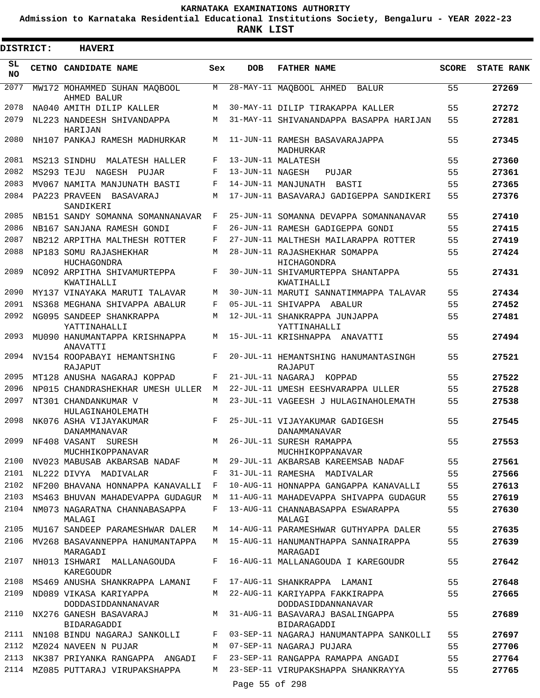**Admission to Karnataka Residential Educational Institutions Society, Bengaluru - YEAR 2022-23**

**RANK LIST**

| DISTRICT:       |            | <b>HAVERI</b>                                |            |                   |                                                        |              |                   |
|-----------------|------------|----------------------------------------------|------------|-------------------|--------------------------------------------------------|--------------|-------------------|
| SL<br><b>NO</b> |            | CETNO CANDIDATE NAME                         | Sex        | <b>DOB</b>        | <b>FATHER NAME</b>                                     | <b>SCORE</b> | <b>STATE RANK</b> |
| 2077            |            | MW172 MOHAMMED SUHAN MAOBOOL<br>AHMED BALUR  | M          |                   | 28-MAY-11 MAQBOOL AHMED<br>BALUR                       | 55           | 27269             |
| 2078            |            | NA040 AMITH DILIP KALLER                     | М          |                   | 30-MAY-11 DILIP TIRAKAPPA KALLER                       | 55           | 27272             |
| 2079            |            | NL223 NANDEESH SHIVANDAPPA<br>HARIJAN        | M          |                   | 31-MAY-11 SHIVANANDAPPA BASAPPA HARIJAN                | 55           | 27281             |
| 2080            |            | NH107 PANKAJ RAMESH MADHURKAR                | М          |                   | 11-JUN-11 RAMESH BASAVARAJAPPA<br>MADHURKAR            | 55           | 27345             |
| 2081            |            | MS213 SINDHU<br>MALATESH HALLER              | F          |                   | 13-JUN-11 MALATESH                                     | 55           | 27360             |
| 2082            | MS293 TEJU | NAGESH<br>PUJAR                              | F          | 13-JUN-11 NAGESH  | PUJAR                                                  | 55           | 27361             |
| 2083            |            | MV067 NAMITA MANJUNATH BASTI                 | $_{\rm F}$ |                   | 14-JUN-11 MANJUNATH<br>BASTI                           | 55           | 27365             |
| 2084            |            | PA223 PRAVEEN<br>BASAVARAJ<br>SANDIKERI      | М          |                   | 17-JUN-11 BASAVARAJ GADIGEPPA SANDIKERI                | 55           | 27376             |
| 2085            |            | NB151 SANDY SOMANNA SOMANNANAVAR             | F          |                   | 25-JUN-11 SOMANNA DEVAPPA SOMANNANAVAR                 | 55           | 27410             |
| 2086            |            | NB167 SANJANA RAMESH GONDI                   | F          |                   | 26-JUN-11 RAMESH GADIGEPPA GONDI                       | 55           | 27415             |
| 2087            |            | NB212 ARPITHA MALTHESH ROTTER                | $_{\rm F}$ |                   | 27-JUN-11 MALTHESH MAILARAPPA ROTTER                   | 55           | 27419             |
| 2088            |            | NP183 SOMU RAJASHEKHAR<br>HUCHAGONDRA        | M          |                   | 28-JUN-11 RAJASHEKHAR SOMAPPA<br>HICHAGONDRA           | 55           | 27424             |
| 2089            |            | NC092 ARPITHA SHIVAMURTEPPA<br>KWATIHALLI    | F          |                   | 30-JUN-11 SHIVAMURTEPPA SHANTAPPA<br>KWATIHALLI        | 55           | 27431             |
| 2090            |            | MY137 VINAYAKA MARUTI TALAVAR                | М          |                   | 30-JUN-11 MARUTI SANNATIMMAPPA TALAVAR                 | 55           | 27434             |
| 2091            |            | NS368 MEGHANA SHIVAPPA ABALUR                | F          |                   | 05-JUL-11 SHIVAPPA ABALUR                              | 55           | 27452             |
| 2092            |            | NG095 SANDEEP SHANKRAPPA<br>YATTINAHALLI     | М          |                   | 12-JUL-11 SHANKRAPPA JUNJAPPA<br>YATTINAHALLI          | 55           | 27481             |
| 2093            |            | MU090 HANUMANTAPPA KRISHNAPPA<br>ANAVATTI    | М          |                   | 15-JUL-11 KRISHNAPPA ANAVATTI                          | 55           | 27494             |
| 2094            |            | NV154 ROOPABAYI HEMANTSHING<br>RAJAPUT       | F          |                   | 20-JUL-11 HEMANTSHING HANUMANTASINGH<br>RAJAPUT        | 55           | 27521             |
| 2095            |            | MT128 ANUSHA NAGARAJ KOPPAD                  | F          | 21-JUL-11 NAGARAJ | KOPPAD                                                 | 55           | 27522             |
| 2096            |            | NP015 CHANDRASHEKHAR UMESH ULLER             | M          |                   | 22-JUL-11 UMESH EESHVARAPPA ULLER                      | 55           | 27528             |
| 2097            |            | NT301 CHANDANKUMAR V<br>HULAGINAHOLEMATH     | М          |                   | 23-JUL-11 VAGEESH J HULAGINAHOLEMATH                   | 55           | 27538             |
| 2098            |            | NK076 ASHA VIJAYAKUMAR<br>DANAMMANAVAR       | F          |                   | 25-JUL-11 VIJAYAKUMAR GADIGESH<br><b>DANAMMANAVAR</b>  | 55           | 27545             |
| 2099            |            | NF408 VASANT SURESH<br>MUCHHIKOPPANAVAR      |            |                   | M 26-JUL-11 SURESH RAMAPPA<br>MUCHHIKOPPANAVAR         | 55           | 27553             |
| 2100            |            | NV023 MABUSAB AKBARSAB NADAF                 | M          |                   | 29-JUL-11 AKBARSAB KAREEMSAB NADAF                     | 55           | 27561             |
|                 |            | 2101 NL222 DIVYA MADIVALAR                   | F          |                   | 31-JUL-11 RAMESHA MADIVALAR                            | 55           | 27566             |
|                 |            | 2102 NF200 BHAVANA HONNAPPA KANAVALLI        | F          |                   | 10-AUG-11 HONNAPPA GANGAPPA KANAVALLI                  | 55           | 27613             |
| 2103            |            | MS463 BHUVAN MAHADEVAPPA GUDAGUR             | M          |                   | 11-AUG-11 MAHADEVAPPA SHIVAPPA GUDAGUR                 | 55           | 27619             |
| 2104            |            | NM073 NAGARATNA CHANNABASAPPA<br>MALAGI      | F          |                   | 13-AUG-11 CHANNABASAPPA ESWARAPPA<br>MALAGI            | 55           | 27630             |
| 2105            |            | MU167 SANDEEP PARAMESHWAR DALER              | M          |                   | 14-AUG-11 PARAMESHWAR GUTHYAPPA DALER                  | 55           | 27635             |
| 2106            |            | MV268 BASAVANNEPPA HANUMANTAPPA<br>MARAGADI  |            |                   | M 15-AUG-11 HANUMANTHAPPA SANNAIRAPPA<br>MARAGADI      | 55           | 27639             |
| 2107            |            | NH013 ISHWARI MALLANAGOUDA<br>KAREGOUDR      | F          |                   | 16-AUG-11 MALLANAGOUDA I KAREGOUDR                     | 55           | 27642             |
|                 |            | 2108 MS469 ANUSHA SHANKRAPPA LAMANI          | F          |                   | 17-AUG-11 SHANKRAPPA LAMANI                            | 55           | 27648             |
| 2109            |            | ND089 VIKASA KARIYAPPA<br>DODDASIDDANNANAVAR |            |                   | M 22-AUG-11 KARIYAPPA FAKKIRAPPA<br>DODDASIDDANNANAVAR | 55           | 27665             |
| 2110            |            | NX276 GANESH BASAVARAJ<br>BIDARAGADDI        | М          |                   | 31-AUG-11 BASAVARAJ BASALINGAPPA<br>BIDARAGADDI        | 55           | 27689             |
| 2111            |            | NN108 BINDU NAGARAJ SANKOLLI                 | F          |                   | 03-SEP-11 NAGARAJ HANUMANTAPPA SANKOLLI                | 55           | 27697             |
|                 |            | 2112 MZ024 NAVEEN N PUJAR                    | M          |                   | 07-SEP-11 NAGARAJ PUJARA                               | 55           | 27706             |
| 2113            |            | NK387 PRIYANKA RANGAPPA ANGADI               | F          |                   | 23-SEP-11 RANGAPPA RAMAPPA ANGADI                      | 55           | 27764             |
| 2114            |            | MZ085 PUTTARAJ VIRUPAKSHAPPA                 | M          |                   | 23-SEP-11 VIRUPAKSHAPPA SHANKRAYYA                     | 55           | 27765             |
|                 |            |                                              |            | Page 55 of 298    |                                                        |              |                   |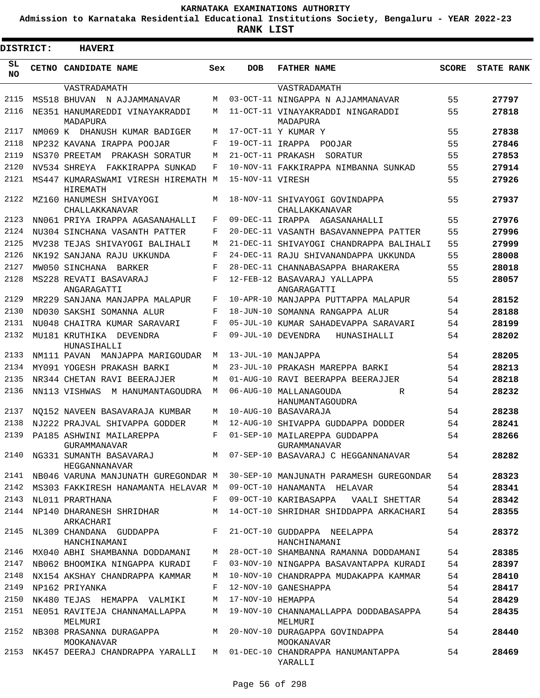**Admission to Karnataka Residential Educational Institutions Society, Bengaluru - YEAR 2022-23**

**RANK LIST**

| DISTRICT:       | <b>HAVERI</b>                                        |        |                   |                                                                                  |              |                   |
|-----------------|------------------------------------------------------|--------|-------------------|----------------------------------------------------------------------------------|--------------|-------------------|
| SL<br><b>NO</b> | CETNO CANDIDATE NAME                                 | Sex    | <b>DOB</b>        | <b>FATHER NAME</b>                                                               | <b>SCORE</b> | <b>STATE RANK</b> |
|                 | VASTRADAMATH                                         |        |                   | VASTRADAMATH                                                                     |              |                   |
| 2115            | MS518 BHUVAN N AJJAMMANAVAR                          | M      |                   | 03-OCT-11 NINGAPPA N AJJAMMANAVAR                                                | 55           | 27797             |
| 2116            | NE351 HANUMAREDDI VINAYAKRADDI<br>MADAPURA           | M      |                   | 11-OCT-11 VINAYAKRADDI NINGARADDI<br>MADAPURA                                    | 55           | 27818             |
| 2117            | NM069 K DHANUSH KUMAR BADIGER                        | M      |                   | 17-OCT-11 Y KUMAR Y                                                              | 55           | 27838             |
| 2118            | NP232 KAVANA IRAPPA POOJAR                           | F      | 19-OCT-11 IRAPPA  | POOJAR                                                                           | 55           | 27846             |
| 2119            | NS370 PREETAM<br>PRAKASH SORATUR                     | M      | 21-OCT-11 PRAKASH | SORATUR                                                                          | 55           | 27853             |
| 2120            | NV534 SHREYA FAKKIRAPPA SUNKAD                       | F      |                   | 10-NOV-11 FAKKIRAPPA NIMBANNA SUNKAD                                             | 55           | 27914             |
| 2121            | MS447 KUMARASWAMI VIRESH HIREMATH M<br>HIREMATH      |        | 15-NOV-11 VIRESH  |                                                                                  | 55           | 27926             |
| 2122            | MZ160 HANUMESH SHIVAYOGI<br>CHALLAKKANAVAR           | M      |                   | 18-NOV-11 SHIVAYOGI GOVINDAPPA<br>CHALLAKKANAVAR                                 | 55           | 27937             |
| 2123            | NN061 PRIYA IRAPPA AGASANAHALLI                      | F      |                   | 09-DEC-11 IRAPPA AGASANAHALLI                                                    | 55           | 27976             |
| 2124            | NU304 SINCHANA VASANTH PATTER                        | F      |                   | 20-DEC-11 VASANTH BASAVANNEPPA PATTER                                            | 55           | 27996             |
| 2125            | MV238 TEJAS SHIVAYOGI BALIHALI                       | M      |                   | 21-DEC-11 SHIVAYOGI CHANDRAPPA BALIHALI                                          | 55           | 27999             |
| 2126            | NK192 SANJANA RAJU UKKUNDA                           | F      |                   | 24-DEC-11 RAJU SHIVANANDAPPA UKKUNDA                                             | 55           | 28008             |
| 2127            | MW050 SINCHANA BARKER                                | F      |                   | 28-DEC-11 CHANNABASAPPA BHARAKERA                                                | 55           | 28018             |
| 2128            | MS228 REVATI BASAVARAJ<br>ANGARAGATTI                | F      |                   | 12-FEB-12 BASAVARAJ YALLAPPA<br>ANGARAGATTI                                      | 55           | 28057             |
| 2129            | MR229 SANJANA MANJAPPA MALAPUR                       | F      |                   | 10-APR-10 MANJAPPA PUTTAPPA MALAPUR                                              | 54           | 28152             |
| 2130            | ND030 SAKSHI SOMANNA ALUR                            | F      |                   | 18-JUN-10 SOMANNA RANGAPPA ALUR                                                  | 54           | 28188             |
| 2131            | NU048 CHAITRA KUMAR SARAVARI                         | F      |                   | 05-JUL-10 KUMAR SAHADEVAPPA SARAVARI                                             | 54           | 28199             |
| 2132            | MU181 KRUTHIKA DEVENDRA<br>HUNASIHALLI               | F      |                   | 09-JUL-10 DEVENDRA<br>HUNASIHALLI                                                | 54           | 28202             |
| 2133            | NM111 PAVAN<br>MANJAPPA MARIGOUDAR                   | M      |                   | 13-JUL-10 MANJAPPA                                                               | 54           | 28205             |
| 2134            | MY091 YOGESH PRAKASH BARKI                           | M      |                   | 23-JUL-10 PRAKASH MAREPPA BARKI                                                  | 54           | 28213             |
| 2135            | NR344 CHETAN RAVI BEERAJJER                          | M      |                   | 01-AUG-10 RAVI BEERAPPA BEERAJJER                                                | 54           | 28218             |
| 2136            | NN113 VISHWAS<br>M HANUMANTAGOUDRA                   | M      |                   | 06-AUG-10 MALLANAGOUDA<br>R<br>HANUMANTAGOUDRA                                   | 54           | 28232             |
| 2137            | NO152 NAVEEN BASAVARAJA KUMBAR                       | M      |                   | 10-AUG-10 BASAVARAJA                                                             | 54           | 28238             |
| 2138            | NJ222 PRAJVAL SHIVAPPA GODDER                        | M      |                   | 12-AUG-10 SHIVAPPA GUDDAPPA DODDER                                               | 54           | 28241             |
| 2139            | PA185 ASHWINI MAILAREPPA<br>GURAMMANAVAR             | F      |                   | 01-SEP-10 MAILAREPPA GUDDAPPA<br>GURAMMANAVAR                                    | 54           | 28266             |
| 2140            | HEGGANNANAVAR                                        |        |                   | NG331 SUMANTH BASAVARAJ M 07-SEP-10 BASAVARAJ C HEGGANNANAVAR                    | 54           | 28282             |
| 2141            | NB046 VARUNA MANJUNATH GUREGONDAR M                  |        |                   | 30-SEP-10 MANJUNATH PARAMESH GUREGONDAR                                          | 54           | 28323             |
| 2142            | MS303 FAKKIRESH HANAMANTA HELAVAR M                  |        |                   | 09-OCT-10 HANAMANTA HELAVAR                                                      | 54           | 28341             |
| 2143<br>2144    | NL011 PRARTHANA<br>NP140 DHARANESH SHRIDHAR          | F<br>M |                   | 09-OCT-10 KARIBASAPPA<br>VAALI SHETTAR<br>14-OCT-10 SHRIDHAR SHIDDAPPA ARKACHARI | 54<br>54     | 28342<br>28355    |
| 2145            | ARKACHARI<br>NL309 CHANDANA GUDDAPPA<br>HANCHINAMANI | F      |                   | 21-OCT-10 GUDDAPPA NEELAPPA<br>HANCHINAMANI                                      | 54           | 28372             |
| 2146            | MX040 ABHI SHAMBANNA DODDAMANI                       | М      |                   | 28-OCT-10 SHAMBANNA RAMANNA DODDAMANI                                            | 54           | 28385             |
| 2147            | NB062 BHOOMIKA NINGAPPA KURADI                       | F      |                   | 03-NOV-10 NINGAPPA BASAVANTAPPA KURADI                                           | 54           | 28397             |
| 2148            | NX154 AKSHAY CHANDRAPPA KAMMAR                       | М      |                   | 10-NOV-10 CHANDRAPPA MUDAKAPPA KAMMAR                                            | 54           | 28410             |
| 2149            | NP162 PRIYANKA                                       | F      |                   | 12-NOV-10 GANESHAPPA                                                             | 54           | 28417             |
| 2150            | NK480 TEJAS HEMAPPA VALMIKI                          | М      | 17-NOV-10 HEMAPPA |                                                                                  | 54           | 28429             |
| 2151            | NE051 RAVITEJA CHANNAMALLAPPA<br>MELMURI             | М      |                   | 19-NOV-10 CHANNAMALLAPPA DODDABASAPPA<br>MELMURI                                 | 54           | 28435             |
| 2152            | NB308 PRASANNA DURAGAPPA<br>MOOKANAVAR               | M      |                   | 20-NOV-10 DURAGAPPA GOVINDAPPA<br>MOOKANAVAR                                     | 54           | 28440             |
| 2153            | NK457 DEERAJ CHANDRAPPA YARALLI                      |        |                   | M 01-DEC-10 CHANDRAPPA HANUMANTAPPA<br>YARALLI                                   | 54           | 28469             |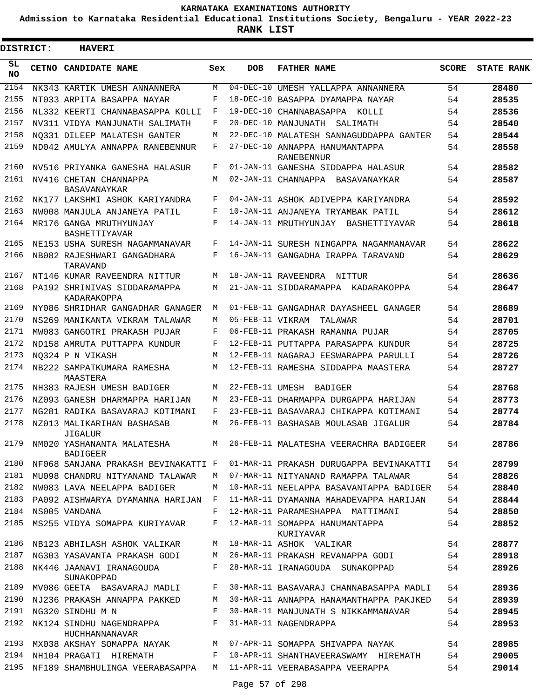**Admission to Karnataka Residential Educational Institutions Society, Bengaluru - YEAR 2022-23**

 $\blacksquare$ 

**RANK LIST**

Е

| <b>DISTRICT:</b> | <b>HAVERI</b>                                                     |              |                  |                                                                    |              |                   |
|------------------|-------------------------------------------------------------------|--------------|------------------|--------------------------------------------------------------------|--------------|-------------------|
| SL.<br><b>NO</b> | <b>CETNO CANDIDATE NAME</b>                                       | Sex          | <b>DOB</b>       | <b>FATHER NAME</b>                                                 | <b>SCORE</b> | <b>STATE RANK</b> |
| 2154             | NK343 KARTIK UMESH ANNANNERA                                      | М            |                  | 04-DEC-10 UMESH YALLAPPA ANNANNERA                                 | 54           | 28480             |
| 2155             | NT033 ARPITA BASAPPA NAYAR                                        | F            |                  | 18-DEC-10 BASAPPA DYAMAPPA NAYAR                                   | 54           | 28535             |
| 2156             | NL332 KEERTI CHANNABASAPPA KOLLI                                  | F            | 19-DEC-10        | CHANNABASAPPA KOLLI                                                | 54           | 28536             |
| 2157             | NV311 VIDYA MANJUNATH SALIMATH                                    | F            | 20-DEC-10        | MANJUNATH SALIMATH                                                 | 54           | 28540             |
| 2158             | NO331 DILEEP MALATESH GANTER                                      | M            |                  | 22-DEC-10 MALATESH SANNAGUDDAPPA GANTER                            | 54           | 28544             |
| 2159             | ND042 AMULYA ANNAPPA RANEBENNUR                                   | F            |                  | 27-DEC-10 ANNAPPA HANUMANTAPPA<br>RANEBENNUR                       | 54           | 28558             |
| 2160             | NV516 PRIYANKA GANESHA HALASUR                                    | F            |                  | 01-JAN-11 GANESHA SIDDAPPA HALASUR                                 | 54           | 28582             |
| 2161             | NV416 CHETAN CHANNAPPA<br>BASAVANAYKAR                            | М            |                  | 02-JAN-11 CHANNAPPA BASAVANAYKAR                                   | 54           | 28587             |
| 2162             | NK177 LAKSHMI ASHOK KARIYANDRA                                    | F            |                  | 04-JAN-11 ASHOK ADIVEPPA KARIYANDRA                                | 54           | 28592             |
| 2163             | NW008 MANJULA ANJANEYA PATIL                                      | F            |                  | 10-JAN-11 ANJANEYA TRYAMBAK PATIL                                  | 54           | 28612             |
| 2164             | MR176 GANGA MRUTHYUNJAY<br><b>BASHETTIYAVAR</b>                   | F            |                  | 14-JAN-11 MRUTHYUNJAY BASHETTIYAVAR                                | 54           | 28618             |
| 2165             | NE153 USHA SURESH NAGAMMANAVAR                                    | F            |                  | 14-JAN-11 SURESH NINGAPPA NAGAMMANAVAR                             | 54           | 28622             |
| 2166             | NB082 RAJESHWARI GANGADHARA<br>TARAVAND                           | F            |                  | 16-JAN-11 GANGADHA IRAPPA TARAVAND                                 | 54           | 28629             |
| 2167             | NT146 KUMAR RAVEENDRA NITTUR                                      | М            |                  | 18-JAN-11 RAVEENDRA<br>NITTUR                                      | 54           | 28636             |
| 2168             | PA192 SHRINIVAS SIDDARAMAPPA<br>KADARAKOPPA                       | М            |                  | 21-JAN-11 SIDDARAMAPPA KADARAKOPPA                                 | 54           | 28647             |
| 2169             | NY086 SHRIDHAR GANGADHAR GANAGER                                  | М            |                  | 01-FEB-11 GANGADHAR DAYASHEEL GANAGER                              | 54           | 28689             |
| 2170             | NS269 MANIKANTA VIKRAM TALAWAR                                    | М            | 05-FEB-11 VIKRAM | TALAWAR                                                            | 54           | 28701             |
| 2171             | MW083 GANGOTRI PRAKASH PUJAR                                      | F            |                  | 06-FEB-11 PRAKASH RAMANNA PUJAR                                    | 54           | 28705             |
| 2172             | ND158 AMRUTA PUTTAPPA KUNDUR                                      | F            |                  | 12-FEB-11 PUTTAPPA PARASAPPA KUNDUR                                | 54           | 28725             |
| 2173             | NO324 P N VIKASH                                                  | М            |                  | 12-FEB-11 NAGARAJ EESWARAPPA PARULLI                               | 54           | 28726             |
| 2174             | NB222 SAMPATKUMARA RAMESHA<br>MAASTERA                            | М            |                  | 12-FEB-11 RAMESHA SIDDAPPA MAASTERA                                | 54           | 28727             |
| 2175             | NH383 RAJESH UMESH BADIGER                                        | М            |                  | 22-FEB-11 UMESH BADIGER                                            | 54           | 28768             |
| 2176             | NZ093 GANESH DHARMAPPA HARIJAN                                    | М            |                  | 23-FEB-11 DHARMAPPA DURGAPPA HARIJAN                               | 54           | 28773             |
| 2177             | NG281 RADIKA BASAVARAJ KOTIMANI                                   | F            |                  | 23-FEB-11 BASAVARAJ CHIKAPPA KOTIMANI                              | 54           | 28774             |
| 2178             | NZ013 MALIKARIHAN BASHASAB<br>JIGALUR                             | М            |                  | 26-FEB-11 BASHASAB MOULASAB JIGALUR                                | 54           | 28784             |
| 2179             | NM020 YASHANANTA MALATESHA<br><b>BADIGEER</b>                     | M            |                  | 26-FEB-11 MALATESHA VEERACHRA BADIGEER                             | 54           | 28786             |
| 2180             | NF068 SANJANA PRAKASH BEVINAKATTI F                               |              |                  | 01-MAR-11 PRAKASH DURUGAPPA BEVINAKATTI                            | 54           | 28799             |
| 2181             | MU098 CHANDRU NITYANAND TALAWAR                                   | M            |                  | 07-MAR-11 NITYANAND RAMAPPA TALAWAR                                | 54           | 28826             |
| 2182             | NW083 LAVA NEELAPPA BADIGER                                       | M            |                  | 10-MAR-11 NEELAPPA BASAVANTAPPA BADIGER                            | 54           | 28840             |
| 2183             | PA092 AISHWARYA DYAMANNA HARIJAN                                  | $\mathbf{F}$ |                  | 11-MAR-11 DYAMANNA MAHADEVAPPA HARIJAN                             | 54           | 28844             |
| 2184<br>2185     | NS005 VANDANA<br>MS255 VIDYA SOMAPPA KURIYAVAR                    | F<br>F       |                  | 12-MAR-11 PARAMESHAPPA MATTIMANI<br>12-MAR-11 SOMAPPA HANUMANTAPPA | 54<br>54     | 28850<br>28852    |
| 2186             | NB123 ABHILASH ASHOK VALIKAR                                      |              |                  | KURIYAVAR<br>M 18-MAR-11 ASHOK VALIKAR                             | 54           | 28877             |
| 2187             | NG303 YASAVANTA PRAKASH GODI M                                    |              |                  | 26-MAR-11 PRAKASH REVANAPPA GODI 54                                |              | 28918             |
| 2188             | NK446 JAANAVI IRANAGOUDA<br>SUNAKOPPAD                            | F            |                  | 28-MAR-11 IRANAGOUDA SUNAKOPPAD                                    | 54           | 28926             |
| 2189             | MV086 GEETA BASAVARAJ MADLI                                       | F            |                  | 30-MAR-11 BASAVARAJ CHANNABASAPPA MADLI                            | 54           | 28936             |
| 2190             | NJ236 PRAKASH ANNAPPA PAKKED                                      | M            |                  | 30-MAR-11 ANNAPPA HANAMANTHAPPA PAKJKED                            | 54           | 28939             |
| 2191             | NG320 SINDHU M N                                                  | F            |                  | 30-MAR-11 MANJUNATH S NIKKAMMANAVAR                                | 54           | 28945             |
| 2192             | NK124 SINDHU NAGENDRAPPA<br>HUCHHANNANAVAR                        | F            |                  | 31-MAR-11 NAGENDRAPPA                                              | 54           | 28953             |
| 2193             |                                                                   |              |                  | MX038 AKSHAY SOMAPPA NAYAK MO7-APR-11 SOMAPPA SHIVAPPA NAYAK       | 54           | 28985             |
| 2194             | NH104 PRAGATI HIREMATH F                                          |              |                  | 10-APR-11 SHANTHAVEERASWAMY HIREMATH                               | 54           | 29005             |
| 2195             | NF189 SHAMBHULINGA VEERABASAPPA M 11-APR-11 VEERABASAPPA VEERAPPA |              |                  |                                                                    | 54           | 29014             |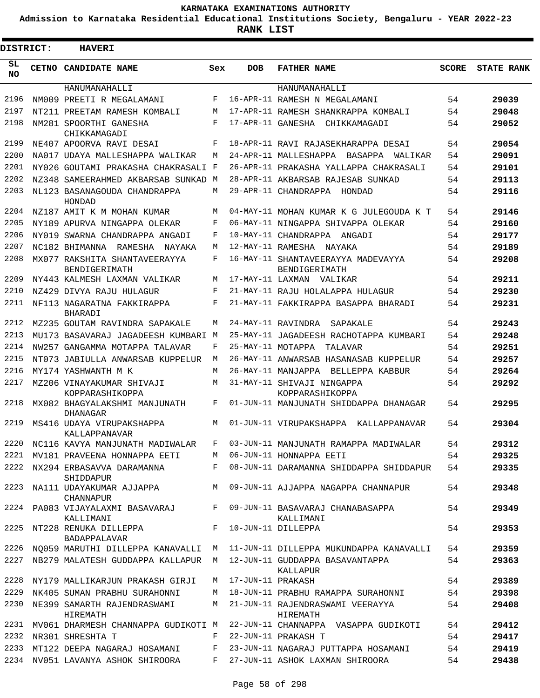**Admission to Karnataka Residential Educational Institutions Society, Bengaluru - YEAR 2022-23**

| <b>DISTRICT:</b> | <b>HAVERI</b>                                    |            |                   |                                                     |              |                   |
|------------------|--------------------------------------------------|------------|-------------------|-----------------------------------------------------|--------------|-------------------|
| SL<br><b>NO</b>  | CETNO CANDIDATE NAME                             | Sex        | <b>DOB</b>        | <b>FATHER NAME</b>                                  | <b>SCORE</b> | <b>STATE RANK</b> |
|                  | HANUMANAHALLI                                    |            |                   | HANUMANAHALLI                                       |              |                   |
| 2196             | NM009 PREETI R MEGALAMANI                        | F          |                   | 16-APR-11 RAMESH N MEGALAMANI                       | 54           | 29039             |
| 2197             | NT211 PREETAM RAMESH KOMBALI                     | М          |                   | 17-APR-11 RAMESH SHANKRAPPA KOMBALI                 | 54           | 29048             |
| 2198             | NM281 SPOORTHI GANESHA<br>CHIKKAMAGADI           | $_{\rm F}$ | 17-APR-11 GANESHA | CHIKKAMAGADI                                        | 54           | 29052             |
| 2199             | NE407 APOORVA RAVI DESAI                         | F          |                   | 18-APR-11 RAVI RAJASEKHARAPPA DESAI                 | 54           | 29054             |
| 2200             | NA017 UDAYA MALLESHAPPA WALIKAR                  | M          |                   | 24-APR-11 MALLESHAPPA<br>BASAPPA<br>WALIKAR         | 54           | 29091             |
| 2201             | NY026 GOUTAMI PRAKASHA CHAKRASALI F              |            |                   | 26-APR-11 PRAKASHA YALLAPPA CHAKRASALI              | 54           | 29101             |
| 2202             | NZ348 SAMEERAHMED AKBARSAB SUNKAD M              |            |                   | 28-APR-11 AKBARSAB RAJESAB SUNKAD                   | 54           | 29113             |
| 2203             | NL123 BASANAGOUDA CHANDRAPPA<br>HONDAD           | М          |                   | 29-APR-11 CHANDRAPPA<br>HONDAD                      | 54           | 29116             |
| 2204             | NZ187 AMIT K M MOHAN KUMAR                       | М          |                   | 04-MAY-11 MOHAN KUMAR K G JULEGOUDA K T             | 54           | 29146             |
| 2205             | NY189 APURVA NINGAPPA OLEKAR                     | F          |                   | 06-MAY-11 NINGAPPA SHIVAPPA OLEKAR                  | 54           | 29160             |
| 2206             | NY019 SWARNA CHANDRAPPA ANGADI                   | F          |                   | 10-MAY-11 CHANDRAPPA ANGADI                         | 54           | 29177             |
| 2207             | NC182 BHIMANNA RAMESHA<br>NAYAKA                 | М          | 12-MAY-11 RAMESHA | NAYAKA                                              | 54           | 29189             |
| 2208             | MX077 RAKSHITA SHANTAVEERAYYA<br>BENDIGERIMATH   | F          |                   | 16-MAY-11 SHANTAVEERAYYA MADEVAYYA<br>BENDIGERIMATH | 54           | 29208             |
| 2209             | NY443 KALMESH LAXMAN VALIKAR                     | М          |                   | 17-MAY-11 LAXMAN VALIKAR                            | 54           | 29211             |
| 2210             | NZ429 DIVYA RAJU HULAGUR                         | F          |                   | 21-MAY-11 RAJU HOLALAPPA HULAGUR                    | 54           | 29230             |
| 2211             | NF113 NAGARATNA FAKKIRAPPA<br><b>BHARADI</b>     | $_{\rm F}$ |                   | 21-MAY-11 FAKKIRAPPA BASAPPA BHARADI                | 54           | 29231             |
| 2212             | MZ235 GOUTAM RAVINDRA SAPAKALE                   | М          |                   | 24-MAY-11 RAVINDRA<br>SAPAKALE                      | 54           | 29243             |
| 2213             | MU173 BASAVARAJ JAGADEESH KUMBARI M              |            |                   | 25-MAY-11 JAGADEESH RACHOTAPPA KUMBARI              | 54           | 29248             |
| 2214             | NW257 GANGAMMA MOTAPPA TALAVAR                   | F          | 25-MAY-11 MOTAPPA | TALAVAR                                             | 54           | 29251             |
| 2215             | NT073 JABIULLA ANWARSAB KUPPELUR                 | M          |                   | 26-MAY-11 ANWARSAB HASANASAB KUPPELUR               | 54           | 29257             |
| 2216             | MY174 YASHWANTH M K                              | M          |                   | 26-MAY-11 MANJAPPA BELLEPPA KABBUR                  | 54           | 29264             |
| 2217             | MZ206 VINAYAKUMAR SHIVAJI<br>KOPPARASHIKOPPA     | М          |                   | 31-MAY-11 SHIVAJI NINGAPPA<br>KOPPARASHIKOPPA       | 54           | 29292             |
| 2218             | MX082 BHAGYALAKSHMI MANJUNATH<br><b>DHANAGAR</b> | F          |                   | 01-JUN-11 MANJUNATH SHIDDAPPA DHANAGAR              | 54           | 29295             |
| 2219             | MS416 UDAYA VIRUPAKSHAPPA<br>KALLAPPANAVAR       | М          |                   | 01-JUN-11 VIRUPAKSHAPPA KALLAPPANAVAR               | 54           | 29304             |
| 2220             | NC116 KAVYA MANJUNATH MADIWALAR                  | F          |                   | 03-JUN-11 MANJUNATH RAMAPPA MADIWALAR               | 54           | 29312             |
| 2221             | MV181 PRAVEENA HONNAPPA EETI                     | М          |                   | 06-JUN-11 HONNAPPA EETI                             | 54           | 29325             |
| 2222             | NX294 ERBASAVVA DARAMANNA<br>SHIDDAPUR           | F          |                   | 08-JUN-11 DARAMANNA SHIDDAPPA SHIDDAPUR             | 54           | 29335             |
| 2223             | NA111 UDAYAKUMAR AJJAPPA<br><b>CHANNAPUR</b>     | М          |                   | 09-JUN-11 AJJAPPA NAGAPPA CHANNAPUR                 | 54           | 29348             |
| 2224             | PA083 VIJAYALAXMI BASAVARAJ<br>KALLIMANI         | $F$ –      |                   | 09-JUN-11 BASAVARAJ CHANABASAPPA<br>KALLIMANI       | 54           | 29349             |
| 2225             | NT228 RENUKA DILLEPPA<br>BADAPPALAVAR            | F          |                   | 10-JUN-11 DILLEPPA                                  | 54           | 29353             |
| 2226             | NQ059 MARUTHI DILLEPPA KANAVALLI                 | М          |                   | 11-JUN-11 DILLEPPA MUKUNDAPPA KANAVALLI             | 54           | 29359             |
| 2227             | NB279 MALATESH GUDDAPPA KALLAPUR                 | M          |                   | 12-JUN-11 GUDDAPPA BASAVANTAPPA<br>KALLAPUR         | 54           | 29363             |
| 2228             | NY179 MALLIKARJUN PRAKASH GIRJI                  | M          | 17-JUN-11 PRAKASH |                                                     | 54           | 29389             |
| 2229             | NK405 SUMAN PRABHU SURAHONNI                     | M          |                   | 18-JUN-11 PRABHU RAMAPPA SURAHONNI                  | 54           | 29398             |
| 2230             | NE399 SAMARTH RAJENDRASWAMI<br>HIREMATH          | M          |                   | 21-JUN-11 RAJENDRASWAMI VEERAYYA<br>HIREMATH        | 54           | 29408             |
| 2231             | MV061 DHARMESH CHANNAPPA GUDIKOTI M              |            |                   | 22-JUN-11 CHANNAPPA VASAPPA GUDIKOTI                | 54           | 29412             |
| 2232             | NR301 SHRESHTA T                                 | F          |                   | 22-JUN-11 PRAKASH T                                 | 54           | 29417             |
| 2233             | MT122 DEEPA NAGARAJ HOSAMANI                     | F          |                   | 23-JUN-11 NAGARAJ PUTTAPPA HOSAMANI                 | 54           | 29419             |
| 2234             | NV051 LAVANYA ASHOK SHIROORA                     | F          |                   | 27-JUN-11 ASHOK LAXMAN SHIROORA                     | 54           | 29438             |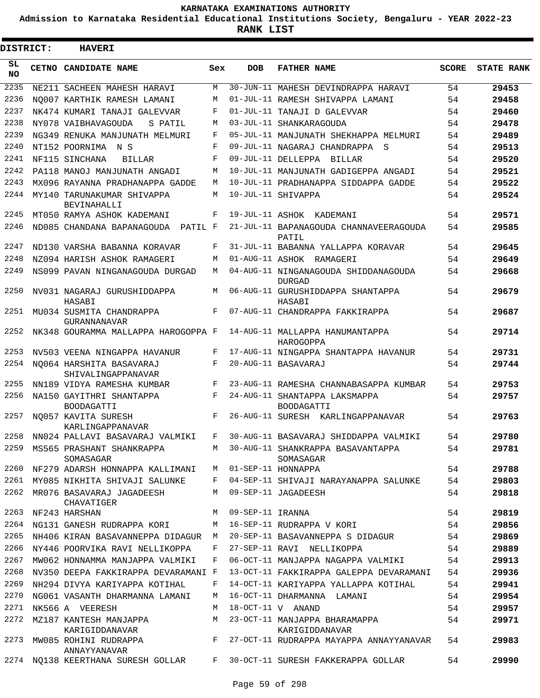**Admission to Karnataka Residential Educational Institutions Society, Bengaluru - YEAR 2022-23**

**RANK LIST**

ı

| <b>DISTRICT:</b> |  | <b>HAVERI</b>                                                              |     |                  |                                                    |              |                   |
|------------------|--|----------------------------------------------------------------------------|-----|------------------|----------------------------------------------------|--------------|-------------------|
| SL.<br><b>NO</b> |  | CETNO CANDIDATE NAME                                                       | Sex | <b>DOB</b>       | <b>FATHER NAME</b>                                 | <b>SCORE</b> | <b>STATE RANK</b> |
| 2235             |  | NE211 SACHEEN MAHESH HARAVI                                                | M   |                  | 30-JUN-11 MAHESH DEVINDRAPPA HARAVI                | 54           | 29453             |
| 2236             |  | NO007 KARTHIK RAMESH LAMANI                                                | М   |                  | 01-JUL-11 RAMESH SHIVAPPA LAMANI                   | 54           | 29458             |
| 2237             |  | NK474 KUMARI TANAJI GALEVVAR                                               | F   |                  | 01-JUL-11 TANAJI D GALEVVAR                        | 54           | 29460             |
| 2238             |  | NY078 VAIBHAVAGOUDA<br>S PATIL                                             | М   |                  | 03-JUL-11 SHANKARAGOUDA                            | 54           | 29478             |
| 2239             |  | NG349 RENUKA MANJUNATH MELMURI                                             | F   |                  | 05-JUL-11 MANJUNATH SHEKHAPPA MELMURI              | 54           | 29489             |
| 2240             |  | NT152 POORNIMA N S                                                         | F   |                  | 09-JUL-11 NAGARAJ CHANDRAPPA S                     | 54           | 29513             |
| 2241             |  | NF115 SINCHANA<br><b>BILLAR</b>                                            | F   |                  | 09-JUL-11 DELLEPPA BILLAR                          | 54           | 29520             |
| 2242             |  | PA118 MANOJ MANJUNATH ANGADI                                               | М   |                  | 10-JUL-11 MANJUNATH GADIGEPPA ANGADI               | 54           | 29521             |
| 2243             |  | MX096 RAYANNA PRADHANAPPA GADDE                                            | М   |                  | 10-JUL-11 PRADHANAPPA SIDDAPPA GADDE               | 54           | 29522             |
| 2244             |  | MY140 TARUNAKUMAR SHIVAPPA<br><b>BEVINAHALLI</b>                           | M   |                  | 10-JUL-11 SHIVAPPA                                 | 54           | 29524             |
| 2245             |  | MT050 RAMYA ASHOK KADEMANI                                                 | F   |                  | 19-JUL-11 ASHOK KADEMANI                           | 54           | 29571             |
| 2246             |  | ND085 CHANDANA BAPANAGOUDA PATIL F                                         |     |                  | 21-JUL-11 BAPANAGOUDA CHANNAVEERAGOUDA<br>PATIL    | 54           | 29585             |
| 2247             |  | ND130 VARSHA BABANNA KORAVAR                                               | F   |                  | 31-JUL-11 BABANNA YALLAPPA KORAVAR                 | 54           | 29645             |
| 2248             |  | NZ094 HARISH ASHOK RAMAGERI                                                | M   |                  | 01-AUG-11 ASHOK RAMAGERI                           | 54           | 29649             |
| 2249             |  | NS099 PAVAN NINGANAGOUDA DURGAD                                            | M   |                  | 04-AUG-11 NINGANAGOUDA SHIDDANAGOUDA<br>DURGAD     | 54           | 29668             |
| 2250             |  | NV031 NAGARAJ GURUSHIDDAPPA<br>HASABI                                      | М   |                  | 06-AUG-11 GURUSHIDDAPPA SHANTAPPA<br>HASABI        | 54           | 29679             |
| 2251             |  | MU034 SUSMITA CHANDRAPPA<br>GURANNANAVAR                                   | F   |                  | 07-AUG-11 CHANDRAPPA FAKKIRAPPA                    | 54           | 29687             |
| 2252             |  | NK348 GOURAMMA MALLAPPA HAROGOPPA F                                        |     |                  | 14-AUG-11 MALLAPPA HANUMANTAPPA<br>HAROGOPPA       | 54           | 29714             |
| 2253             |  | NV503 VEENA NINGAPPA HAVANUR                                               | F   |                  | 17-AUG-11 NINGAPPA SHANTAPPA HAVANUR               | 54           | 29731             |
| 2254             |  | NO064 HARSHITA BASAVARAJ<br>SHIVALINGAPPANAVAR                             | F   |                  | 20-AUG-11 BASAVARAJ                                | 54           | 29744             |
| 2255             |  | NN189 VIDYA RAMESHA KUMBAR                                                 | F   |                  | 23-AUG-11 RAMESHA CHANNABASAPPA KUMBAR             | 54           | 29753             |
| 2256             |  | NA150 GAYITHRI SHANTAPPA<br><b>BOODAGATTI</b>                              | F   |                  | 24-AUG-11 SHANTAPPA LAKSMAPPA<br><b>BOODAGATTI</b> | 54           | 29757             |
| 2257             |  | NO057 KAVITA SURESH<br>KARLINGAPPANAVAR                                    | F   |                  | 26-AUG-11 SURESH KARLINGAPPANAVAR                  | 54           | 29763             |
| 2258             |  | NN024 PALLAVI BASAVARAJ VALMIKI                                            | F   |                  | 30-AUG-11 BASAVARAJ SHIDDAPPA VALMIKI              | 54           | 29780             |
| 2259             |  | MS565 PRASHANT SHANKRAPPA<br>SOMASAGAR                                     | M   |                  | 30-AUG-11 SHANKRAPPA BASAVANTAPPA<br>SOMASAGAR     | 54           | 29781             |
| 2260             |  | NF279 ADARSH HONNAPPA KALLIMANI M 01-SEP-11 HONNAPPA                       |     |                  |                                                    | 54           | 29788             |
| 2261             |  | MY085 NIKHITA SHIVAJI SALUNKE                                              | F   |                  | 04-SEP-11 SHIVAJI NARAYANAPPA SALUNKE              | 54           | 29803             |
| 2262             |  | MR076 BASAVARAJ JAGADEESH<br>CHAVATIGER                                    | M   |                  | 09-SEP-11 JAGADEESH                                | 54           | 29818             |
|                  |  | 2263 NF243 HARSHAN                                                         | M   | 09-SEP-11 IRANNA |                                                    | 54           | 29819             |
| 2264             |  | NG131 GANESH RUDRAPPA KORI                                                 | M   |                  | 16-SEP-11 RUDRAPPA V KORI                          | 54           | 29856             |
| 2265             |  | NH406 KIRAN BASAVANNEPPA DIDAGUR M                                         |     |                  | 20-SEP-11 BASAVANNEPPA S DIDAGUR                   | 54           | 29869             |
| 2266             |  | NY446 POORVIKA RAVI NELLIKOPPA                                             | F   |                  | 27-SEP-11 RAVI NELLIKOPPA                          | 54           | 29889             |
| 2267             |  | MW062 HONNAMMA MANJAPPA VALMIKI                                            | F   |                  | 06-OCT-11 MANJAPPA NAGAPPA VALMIKI                 | 54           | 29913             |
| 2268             |  | NV350 DEEPA FAKKIRAPPA DEVARAMANI F                                        |     |                  | 13-OCT-11 FAKKIRAPPA GALEPPA DEVARAMANI            | 54           | 29936             |
| 2269             |  | NH294 DIVYA KARIYAPPA KOTIHAL                                              | F   |                  | 14-ОСТ-11 КАRІҮАРРА ҮАLLАРРА КОТІНАL               | 54           | 29941             |
| 2270             |  | NG061 VASANTH DHARMANNA LAMANI                                             | M   |                  | 16-OCT-11 DHARMANNA LAMANI                         | 54           | 29954             |
| 2271             |  | NK566 A VEERESH                                                            | M   |                  | 18-OCT-11 V ANAND                                  | 54           | 29957             |
| 2272             |  | MZ187 KANTESH MANJAPPA M M 23-OCT-11 MANJAPPA BHARAMAPPA<br>KARIGIDDANAVAR |     |                  | KARIGIDDANAVAR                                     | 54           | 29971             |
|                  |  | ANNAYYANAVAR                                                               |     |                  | 27-OCT-11 RUDRAPPA MAYAPPA ANNAYYANAVAR            | 54           | 29983             |
|                  |  | 2274 NQ138 KEERTHANA SURESH GOLLAR                                         |     |                  | F 30-OCT-11 SURESH FAKKERAPPA GOLLAR               | 54           | 29990             |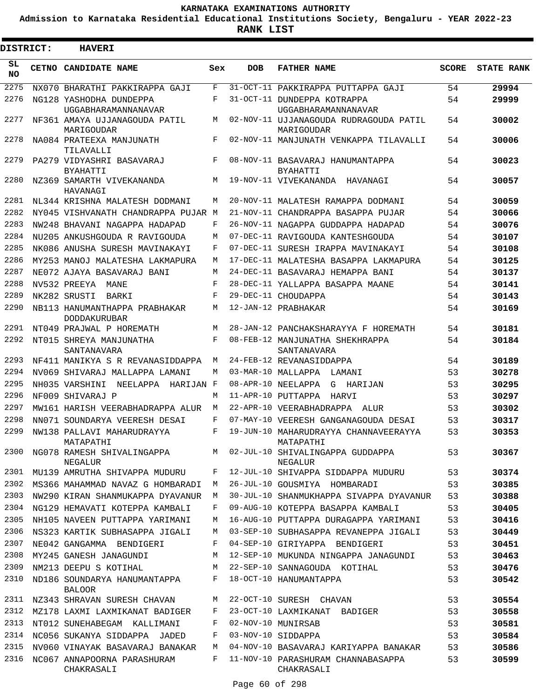**Admission to Karnataka Residential Educational Institutions Society, Bengaluru - YEAR 2022-23**

**RANK LIST**

| <b>DISTRICT:</b> | <b>HAVERI</b>                                        |     |            |                                                               |              |                   |
|------------------|------------------------------------------------------|-----|------------|---------------------------------------------------------------|--------------|-------------------|
| SL<br>NO.        | CETNO CANDIDATE NAME                                 | Sex | <b>DOB</b> | <b>FATHER NAME</b>                                            | <b>SCORE</b> | <b>STATE RANK</b> |
| 2275             | NX070 BHARATHI PAKKIRAPPA GAJI                       | F   | 31-OCT-11  | PAKKIRAPPA PUTTAPPA GAJI                                      | 54           | 29994             |
| 2276             | NG128 YASHODHA DUNDEPPA                              | F   |            | 31-OCT-11 DUNDEPPA KOTRAPPA                                   | 54           | 29999             |
| 2277             | UGGABHARAMANNANAVAR<br>NF361 AMAYA UJJANAGOUDA PATIL | М   |            | UGGABHARAMANNANAVAR<br>02-NOV-11 UJJANAGOUDA RUDRAGOUDA PATIL | 54           | 30002             |
| 2278             | MARIGOUDAR<br>NA084 PRATEEXA MANJUNATH<br>TILAVALLI  | F   |            | MARIGOUDAR<br>02-NOV-11 MANJUNATH VENKAPPA TILAVALLI          | 54           | 30006             |
| 2279             | PA279 VIDYASHRI BASAVARAJ<br><b>BYAHATTI</b>         | F   |            | 08-NOV-11 BASAVARAJ HANUMANTAPPA<br><b>BYAHATTI</b>           | 54           | 30023             |
| 2280             | NZ369 SAMARTH VIVEKANANDA<br>HAVANAGI                | М   |            | 19-NOV-11 VIVEKANANDA<br>HAVANAGI                             | 54           | 30057             |
| 2281             | NL344 KRISHNA MALATESH DODMANI                       | M   |            | 20-NOV-11 MALATESH RAMAPPA DODMANI                            | 54           | 30059             |
| 2282             | NY045 VISHVANATH CHANDRAPPA PUJAR M                  |     |            | 21-NOV-11 CHANDRAPPA BASAPPA PUJAR                            | 54           | 30066             |
| 2283             | NW248 BHAVANI NAGAPPA HADAPAD                        | F   |            | 26-NOV-11 NAGAPPA GUDDAPPA HADAPAD                            | 54           | 30076             |
| 2284             | NU205 ANKUSHGOUDA R RAVIGOUDA                        | М   |            | 07-DEC-11 RAVIGOUDA KANTESHGOUDA                              | 54           | 30107             |
| 2285             | NK086 ANUSHA SURESH MAVINAKAYI                       | F   |            | 07-DEC-11 SURESH IRAPPA MAVINAKAYI                            | 54           | 30108             |
| 2286             | MY253 MANOJ MALATESHA LAKMAPURA                      | М   |            | 17-DEC-11 MALATESHA BASAPPA LAKMAPURA                         | 54           | 30125             |
| 2287             | NE072 AJAYA BASAVARAJ BANI                           | М   |            | 24-DEC-11 BASAVARAJ HEMAPPA BANI                              | 54           | 30137             |
| 2288             | NV532 PREEYA<br>MANE                                 | F   |            | 28-DEC-11 YALLAPPA BASAPPA MAANE                              | 54           | 30141             |
| 2289             | NK282 SRUSTI<br>BARKI                                | F   |            | 29-DEC-11 CHOUDAPPA                                           | 54           | 30143             |
| 2290             | NB113 HANUMANTHAPPA PRABHAKAR<br><b>DODDAKURUBAR</b> | М   |            | 12-JAN-12 PRABHAKAR                                           | 54           | 30169             |
| 2291             | NT049 PRAJWAL P HOREMATH                             | М   |            | 28-JAN-12 PANCHAKSHARAYYA F HOREMATH                          | 54           | 30181             |
| 2292             | NT015 SHREYA MANJUNATHA<br>SANTANAVARA               | F   |            | 08-FEB-12 MANJUNATHA SHEKHRAPPA<br>SANTANAVARA                | 54           | 30184             |
| 2293             | NF411 MANIKYA S R REVANASIDDAPPA                     | М   |            | 24-FEB-12 REVANASIDDAPPA                                      | 54           | 30189             |
| 2294             | NV069 SHIVARAJ MALLAPPA LAMANI                       | М   |            | 03-MAR-10 MALLAPPA<br>LAMANI                                  | 53           | 30278             |
| 2295             | HARIJAN F<br>NH035 VARSHINI<br>NEELAPPA              |     |            | 08-APR-10 NEELAPPA<br>G<br>HARIJAN                            | 53           | 30295             |
| 2296             | NF009 SHIVARAJ P                                     | М   |            | 11-APR-10 PUTTAPPA<br>HARVI                                   | 53           | 30297             |
| 2297             | MW161 HARISH VEERABHADRAPPA ALUR                     | М   |            | 22-APR-10 VEERABHADRAPPA<br>ALIJR                             | 53           | 30302             |
| 2298             | NN071 SOUNDARYA VEERESH DESAI                        | F   |            | 07-MAY-10 VEERESH GANGANAGOUDA DESAI                          | 53           | 30317             |
| 2299             | NW138 PALLAVI MAHARUDRAYYA<br>MATAPATHI              | F   |            | 19-JUN-10 MAHARUDRAYYA CHANNAVEERAYYA<br>MATAPATHI            | 53           | 30353             |
| 2300             | NG078 RAMESH SHIVALINGAPPA<br>NEGALUR                | М   |            | 02-JUL-10 SHIVALINGAPPA GUDDAPPA<br>NEGALUR                   | 53           | 30367             |
| 2301             | MU139 AMRUTHA SHIVAPPA MUDURU                        | F   |            | 12-JUL-10 SHIVAPPA SIDDAPPA MUDURU                            | 53           | 30374             |
| 2302             | MS366 MAHAMMAD NAVAZ G HOMBARADI                     | М   |            | 26-JUL-10 GOUSMIYA HOMBARADI                                  | 53           | 30385             |
| 2303             | NW290 KIRAN SHANMUKAPPA DYAVANUR                     | М   |            | 30-JUL-10 SHANMUKHAPPA SIVAPPA DYAVANUR                       | 53           | 30388             |
| 2304             | NG129 HEMAVATI KOTEPPA KAMBALI                       | F   |            | 09-AUG-10 KOTEPPA BASAPPA KAMBALI                             | 53           | 30405             |
| 2305             | NH105 NAVEEN PUTTAPPA YARIMANI                       | М   |            | 16-AUG-10 PUTTAPPA DURAGAPPA YARIMANI                         | 53           | 30416             |
| 2306             | NS323 KARTIK SUBHASAPPA JIGALI                       | М   |            | 03-SEP-10 SUBHASAPPA REVANEPPA JIGALI                         | 53           | 30449             |
| 2307             | NE042 GANGAMMA BENDIGERI                             | F   |            | 04-SEP-10 GIRIYAPPA BENDIGERI                                 | 53           | 30451             |
| 2308             | MY245 GANESH JANAGUNDI                               | М   |            | 12-SEP-10 MUKUNDA NINGAPPA JANAGUNDI                          | 53           | 30463             |
| 2309             | NM213 DEEPU S KOTIHAL                                | М   |            | 22-SEP-10 SANNAGOUDA KOTIHAL                                  | 53           | 30476             |
| 2310             | ND186 SOUNDARYA HANUMANTAPPA<br><b>BALOOR</b>        | F   |            | 18-OCT-10 HANUMANTAPPA                                        | 53           | 30542             |
| 2311             | NZ343 SHRAVAN SURESH CHAVAN                          | М   |            | 22-OCT-10 SURESH CHAVAN                                       | 53           | 30554             |
| 2312             | MZ178 LAXMI LAXMIKANAT BADIGER                       | F   |            | 23-OCT-10 LAXMIKANAT BADIGER                                  | 53           | 30558             |
| 2313             | NT012 SUNEHABEGAM KALLIMANI                          | F   |            | 02-NOV-10 MUNIRSAB                                            | 53           | 30581             |
| 2314             | NC056 SUKANYA SIDDAPPA JADED                         | F   |            | 03-NOV-10 SIDDAPPA                                            | 53           | 30584             |
| 2315             | NV060 VINAYAK BASAVARAJ BANAKAR                      | М   |            | 04-NOV-10 BASAVARAJ KARIYAPPA BANAKAR                         | 53           | 30586             |
| 2316             | NC067 ANNAPOORNA PARASHURAM<br>CHAKRASALI            | F   |            | 11-NOV-10 PARASHURAM CHANNABASAPPA<br>CHAKRASALI              | 53           | 30599             |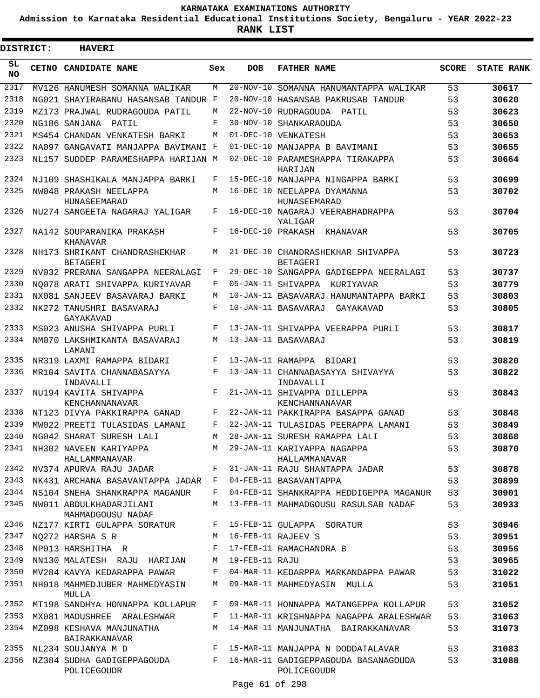**Admission to Karnataka Residential Educational Institutions Society, Bengaluru - YEAR 2022-23**

ı

| DISTRICT:       | <b>HAVERI</b>                                                             |              |                 |                                                                                  |              |                   |
|-----------------|---------------------------------------------------------------------------|--------------|-----------------|----------------------------------------------------------------------------------|--------------|-------------------|
| SL<br><b>NO</b> | CETNO CANDIDATE NAME                                                      | Sex          | <b>DOB</b>      | <b>FATHER NAME</b>                                                               | <b>SCORE</b> | <b>STATE RANK</b> |
| 2317            | MV126 HANUMESH SOMANNA WALIKAR                                            | M            | $20 - NOV - 10$ | SOMANNA HANUMANTAPPA WALIKAR                                                     | 53           | 30617             |
| 2318            | NG021 SHAYIRABANU HASANSAB TANDUR F                                       |              | 20-NOV-10       | HASANSAB PAKRUSAB TANDUR                                                         | 53           | 30620             |
| 2319            | MZ173 PRAJWAL RUDRAGOUDA PATIL                                            | M            | $22 - NOV - 10$ | RUDRAGOUDA PATIL                                                                 | 53           | 30623             |
| 2320            | NG186 SANJANA<br>PATIL                                                    | F            | $30 - NOV - 10$ | SHANKARAOUDA                                                                     | 53           | 30650             |
| 2321            | MS454 CHANDAN VENKATESH BARKI                                             | M            |                 | 01-DEC-10 VENKATESH                                                              | 53           | 30653             |
| 2322            | NA097 GANGAVATI MANJAPPA BAVIMANI F                                       |              | $01 - DEC - 10$ | MANJAPPA B BAVIMANI                                                              | 53           | 30655             |
| 2323            | NL157 SUDDEP PARAMESHAPPA HARIJAN M                                       |              | $02 - DEC - 10$ | PARAMESHAPPA TIRAKAPPA<br>HARIJAN                                                | 53           | 30664             |
| 2324            | NJ109 SHASHIKALA MANJAPPA BARKI                                           | F            |                 | 15-DEC-10 MANJAPPA NINGAPPA BARKI                                                | 53           | 30699             |
| 2325            | NW048 PRAKASH NEELAPPA<br>HUNASEEMARAD                                    | M            |                 | 16-DEC-10 NEELAPPA DYAMANNA<br>HUNASEEMARAD                                      | 53           | 30702             |
| 2326            | NU274 SANGEETA NAGARAJ YALIGAR                                            | F            |                 | 16-DEC-10 NAGARAJ VEERABHADRAPPA<br>YALIGAR                                      | 53           | 30704             |
| 2327            | NA142 SOUPARANIKA PRAKASH<br>KHANAVAR                                     | F            |                 | 16-DEC-10 PRAKASH KHANAVAR                                                       | 53           | 30705             |
| 2328            | NH173 SHRIKANT CHANDRASHEKHAR<br><b>BETAGERI</b>                          | M            |                 | 21-DEC-10 CHANDRASHEKHAR SHIVAPPA<br><b>BETAGERI</b>                             | 53           | 30723             |
| 2329            | NV032 PRERANA SANGAPPA NEERALAGI                                          | F            |                 | 29-DEC-10 SANGAPPA GADIGEPPA NEERALAGI                                           | 53           | 30737             |
| 2330            | NO078 ARATI SHIVAPPA KURIYAVAR                                            | F            |                 | 05-JAN-11 SHIVAPPA<br>KUR TYAVAR                                                 | 53           | 30779             |
| 2331            | NX081 SANJEEV BASAVARAJ BARKI                                             | M            |                 | 10-JAN-11 BASAVARAJ HANUMANTAPPA BARKI                                           | 53           | 30803             |
| 2332            | NK272 TANUSHRI BASAVARAJ<br>GAYAKAVAD                                     | F            |                 | 10-JAN-11 BASAVARAJ<br>GAYAKAVAD                                                 | 53           | 30805             |
| 2333            | MS023 ANUSHA SHIVAPPA PURLI                                               | F            |                 | 13-JAN-11 SHIVAPPA VEERAPPA PURLI                                                | 53           | 30817             |
| 2334            | NM070 LAKSHMIKANTA BASAVARAJ<br>LAMANI                                    | M            |                 | 13-JAN-11 BASAVARAJ                                                              | 53           | 30819             |
| 2335            | NR319 LAXMI RAMAPPA BIDARI                                                | F            |                 | 13-JAN-11 RAMAPPA BIDARI                                                         | 53           | 30820             |
| 2336            | MR104 SAVITA CHANNABASAYYA<br>INDAVALLI                                   | F            |                 | 13-JAN-11 CHANNABASAYYA SHIVAYYA<br>INDAVALLI                                    | 53           | 30822             |
| 2337            | NU194 KAVITA SHIVAPPA<br>KENCHANNANAVAR                                   | F            |                 | 21-JAN-11 SHIVAPPA DILLEPPA<br>KENCHANNANAVAR                                    | 53           | 30843             |
| 2338            | NT123 DIVYA PAKKIRAPPA GANAD                                              | F            |                 | 22-JAN-11 PAKKIRAPPA BASAPPA GANAD                                               | 53           | 30848             |
| 2339            | MW022 PREETI TULASIDAS LAMANI                                             | F            |                 | 22-JAN-11 TULASIDAS PEERAPPA LAMANI                                              | 53           | 30849             |
| 2340            | NG042 SHARAT SURESH LALI                                                  | M            |                 | 28-JAN-11 SURESH RAMAPPA LALI                                                    | 53           | 30868             |
|                 | 2341 NH302 NAVEEN KARIYAPPA<br>HALLAMMANAVAR                              | M            |                 | 29-JAN-11 KARIYAPPA NAGAPPA<br>HALLAMMANAVAR                                     | 53           | 30870             |
| 2342            |                                                                           |              |                 | NV374 APURVA RAJU JADAR F 31-JAN-11 RAJU SHANTAPPA JADAR                         | 53           | 30878             |
| 2343            | NK431 ARCHANA BASAVANTAPPA JADAR F                                        |              |                 | 04-FEB-11 BASAVANTAPPA                                                           | 53           | 30899             |
| 2344            | NS104 SNEHA SHANKRAPPA MAGANUR                                            | $\mathbf{F}$ |                 | 04-FEB-11 SHANKRAPPA HEDDIGEPPA MAGANUR                                          | 53           | 30901             |
| 2345            | NW011 ABDULKHADARJILANI<br>MAHMADGOUSU NADAF                              | M            |                 | 13-FEB-11 MAHMADGOUSU RASULSAB NADAF                                             | 53           | 30933             |
|                 | 2346 NZ177 KIRTI GULAPPA SORATUR F 15-FEB-11 GULAPPA SORATUR              |              |                 |                                                                                  | 53           | 30946             |
| 2347            | NQ272 HARSHA S R                                                          |              |                 | M 16-FEB-11 RAJEEV S                                                             | 53           | 30951             |
| 2348            | NP013 HARSHITHA R                                                         |              |                 | F 17-FEB-11 RAMACHANDRA B                                                        | 53           | 30956             |
| 2349            | NN130 MALATESH RAJU HARIJAN                                               | M            | 19-FEB-11 RAJU  |                                                                                  | 53           | 30965             |
|                 | 2350 MV284 KAVYA KEDARAPPA PAWAR                                          | $\mathbf{F}$ |                 | 04-MAR-11 KEDARPPA MARKANDAPPA PAWAR                                             | 53           | 31022             |
|                 | 2351 NH018 MAHMEDJUBER MAHMEDYASIN M 09-MAR-11 MAHMEDYASIN MULLA<br>MULLA |              |                 |                                                                                  | 53           | 31051             |
|                 | 2352 MT198 SANDHYA HONNAPPA KOLLAPUR                                      | $F$ and      |                 | 09-MAR-11 HONNAPPA MATANGEPPA KOLLAPUR                                           | 53           | 31052             |
| 2353            | MX081 MADUSHREE ARALESHWAR                                                | F            |                 | 11-MAR-11 KRISHNAPPA NAGAPPA ARALESHWAR                                          | 53           | 31063             |
|                 | 2354 MZ098 KESHAVA MANJUNATHA<br>BAIRAKKANAVAR                            | M            |                 | 14-MAR-11 MANJUNATHA BAIRAKKANAVAR                                               | 53           | 31073             |
|                 | 2355 NL234 SOUJANYA M D                                                   |              |                 | F 15-MAR-11 MANJAPPA N DODDATALAVAR                                              | 53           | 31083             |
| 2356            | POLICEGOUDR                                                               |              |                 | NZ384 SUDHA GADIGEPPAGOUDA F 16-MAR-11 GADIGEPPAGOUDA BASANAGOUDA<br>POLICEGOUDR | 53           | 31088             |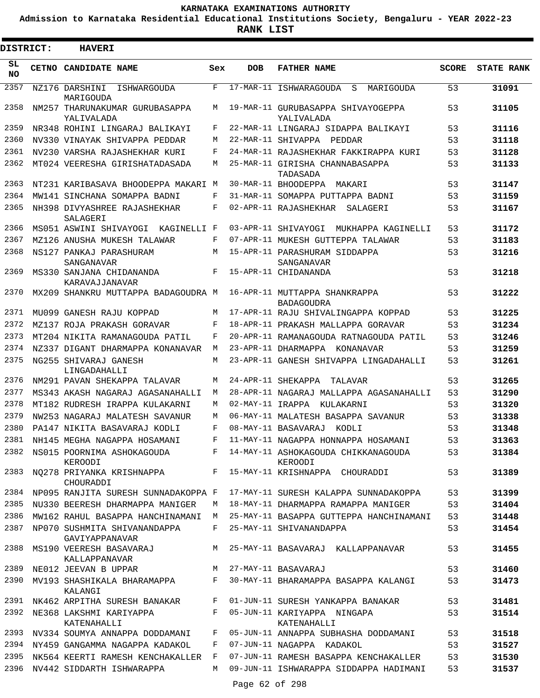**Admission to Karnataka Residential Educational Institutions Society, Bengaluru - YEAR 2022-23**

**RANK LIST**

Е

| <b>DISTRICT:</b> | <b>HAVERI</b>                                                    |     |                  |                                                                      |              |                   |
|------------------|------------------------------------------------------------------|-----|------------------|----------------------------------------------------------------------|--------------|-------------------|
| SL<br><b>NO</b>  | CETNO CANDIDATE NAME                                             | Sex | <b>DOB</b>       | <b>FATHER NAME</b>                                                   | <b>SCORE</b> | <b>STATE RANK</b> |
| 2357             | NZ176 DARSHINI<br>ISHWARGOUDA<br>MARIGOUDA                       | F   |                  | 17-MAR-11 ISHWARAGOUDA<br>S<br>MARIGOUDA                             | 53           | 31091             |
| 2358             | NM257 THARUNAKUMAR GURUBASAPPA<br>YALIVALADA                     | M   |                  | 19-MAR-11 GURUBASAPPA SHIVAYOGEPPA<br>YALIVALADA                     | 53           | 31105             |
| 2359             | NR348 ROHINI LINGARAJ BALIKAYI                                   | F   |                  | 22-MAR-11 LINGARAJ SIDAPPA BALIKAYI                                  | 53           | 31116             |
| 2360             | NV330 VINAYAK SHIVAPPA PEDDAR                                    | М   |                  | 22-MAR-11 SHIVAPPA<br>PEDDAR                                         | 53           | 31118             |
| 2361             | NV230 VARSHA RAJASHEKHAR KURI                                    | F   |                  | 24-MAR-11 RAJASHEKHAR FAKKIRAPPA KURI                                | 53           | 31128             |
| 2362             | MT024 VEERESHA GIRISHATADASADA                                   | М   |                  | 25-MAR-11 GIRISHA CHANNABASAPPA<br>TADASADA                          | 53           | 31133             |
| 2363             | NT231 KARIBASAVA BHOODEPPA MAKARI M                              |     |                  | 30-MAR-11 BHOODEPPA MAKARI                                           | 53           | 31147             |
| 2364             | MW141 SINCHANA SOMAPPA BADNI                                     | F   |                  | 31-MAR-11 SOMAPPA PUTTAPPA BADNI                                     | 53           | 31159             |
| 2365             | NH398 DIVYASHREE RAJASHEKHAR<br>SALAGERI                         | F   |                  | 02-APR-11 RAJASHEKHAR<br>SALAGERI                                    | 53           | 31167             |
| 2366             | MS051 ASWINI SHIVAYOGI KAGINELLI F                               |     |                  | 03-APR-11 SHIVAYOGI MUKHAPPA KAGINELLI                               | 53           | 31172             |
| 2367             | MZ126 ANUSHA MUKESH TALAWAR                                      | F   |                  | 07-APR-11 MUKESH GUTTEPPA TALAWAR                                    | 53           | 31183             |
| 2368             | NS127 PANKAJ PARASHURAM<br><b>SANGANAVAR</b>                     | M   |                  | 15-APR-11 PARASHURAM SIDDAPPA<br>SANGANAVAR                          | 53           | 31216             |
| 2369             | MS330 SANJANA CHIDANANDA<br>KARAVAJJANAVAR                       | F   |                  | 15-APR-11 CHIDANANDA                                                 | 53           | 31218             |
| 2370             | MX209 SHANKRU MUTTAPPA BADAGOUDRA M                              |     |                  | 16-APR-11 MUTTAPPA SHANKRAPPA<br><b>BADAGOUDRA</b>                   | 53           | 31222             |
| 2371             | MU099 GANESH RAJU KOPPAD                                         | M   |                  | 17-APR-11 RAJU SHIVALINGAPPA KOPPAD                                  | 53           | 31225             |
| 2372             | MZ137 ROJA PRAKASH GORAVAR                                       | F   |                  | 18-APR-11 PRAKASH MALLAPPA GORAVAR                                   | 53           | 31234             |
| 2373             | MT204 NIKITA RAMANAGOUDA PATIL                                   | F   |                  | 20-APR-11 RAMANAGOUDA RATNAGOUDA PATIL                               | 53           | 31246             |
| 2374             | NZ337 DIGANT DHARMAPPA KONANAVAR                                 | M   |                  | 23-APR-11 DHARMAPPA KONANAVAR                                        | 53           | 31259             |
| 2375             | NG255 SHIVARAJ GANESH<br>LINGADAHALLI                            | M   |                  | 23-APR-11 GANESH SHIVAPPA LINGADAHALLI                               | 53           | 31261             |
| 2376             | NM291 PAVAN SHEKAPPA TALAVAR                                     | М   |                  | 24-APR-11 SHEKAPPA<br>TALAVAR                                        | 53           | 31265             |
| 2377             | MS343 AKASH NAGARAJ AGASANAHALLI                                 | М   |                  | 28-APR-11 NAGARAJ MALLAPPA AGASANAHALLI                              | 53           | 31290             |
| 2378             | MT182 RUDRESH IRAPPA KULAKARNI                                   | М   | 02-MAY-11 IRAPPA | KULAKARNI                                                            | 53           | 31320             |
| 2379             | NW253 NAGARAJ MALATESH SAVANUR                                   | М   |                  | 06-MAY-11 MALATESH BASAPPA SAVANUR                                   | 53           | 31338             |
| 2380             | PA147 NIKITA BASAVARAJ KODLI                                     | F   |                  | 08-MAY-11 BASAVARAJ<br>KODLI                                         | 53           | 31348             |
| 2381             | NH145 MEGHA NAGAPPA HOSAMANI                                     | F   |                  | 11-MAY-11 NAGAPPA HONNAPPA HOSAMANI                                  | 53           | 31363             |
| 2382             | NS015 POORNIMA ASHOKAGOUDA<br>KEROODI                            |     |                  | F 14-MAY-11 ASHOKAGOUDA CHIKKANAGOUDA<br>KEROODI                     | 53           | 31384             |
| 2383             | NO278 PRIYANKA KRISHNAPPA<br>CHOURADDI                           |     |                  | F 15-MAY-11 KRISHNAPPA CHOURADDI                                     | 53           | 31389             |
| 2384             | NP095 RANJITA SURESH SUNNADAKOPPA F                              |     |                  | 17-MAY-11 SURESH KALAPPA SUNNADAKOPPA                                | 53           | 31399             |
| 2385             | NU330 BEERESH DHARMAPPA MANIGER                                  | М   |                  | 18-MAY-11 DHARMAPPA RAMAPPA MANIGER                                  | 53           | 31404             |
| 2386<br>2387     | MW162 RAHUL BASAPPA HANCHINAMANI<br>NP070 SUSHMITA SHIVANANDAPPA | F   |                  | M 25-MAY-11 BASAPPA GUTTEPPA HANCHINAMANI<br>25-MAY-11 SHIVANANDAPPA | 53<br>53     | 31448<br>31454    |
| 2388             | GAVIYAPPANAVAR<br>MS190 VEERESH BASAVARAJ                        | M   |                  | 25-MAY-11 BASAVARAJ KALLAPPANAVAR                                    | 53           | 31455             |
| 2389             | KALLAPPANAVAR<br>NE012 JEEVAN B UPPAR                            |     |                  | M 27-MAY-11 BASAVARAJ                                                | 53           | 31460             |
| 2390             | MV193 SHASHIKALA BHARAMAPPA                                      |     |                  | F 30-MAY-11 BHARAMAPPA BASAPPA KALANGI                               | 53           | 31473             |
|                  | KALANGI<br>2391 NK462 ARPITHA SURESH BANAKAR                     | F   |                  | 01-JUN-11 SURESH YANKAPPA BANAKAR                                    | 53           | 31481             |
| 2392             | NE368 LAKSHMI KARIYAPPA                                          | F   |                  | 05-JUN-11 KARIYAPPA NINGAPA                                          | 53           | 31514             |
|                  | KATENAHALLI<br>2393 NV334 SOUMYA ANNAPPA DODDAMANI               | F   |                  | KATENAHALLI<br>05-JUN-11 ANNAPPA SUBHASHA DODDAMANI                  | 53           | 31518             |
| 2394             | NY459 GANGAMMA NAGAPPA KADAKOL                                   | F   |                  | 07-JUN-11 NAGAPPA KADAKOL                                            | 53           | 31527             |
| 2395             | NK564 KEERTI RAMESH KENCHAKALLER                                 | F   |                  | 07-JUN-11 RAMESH BASAPPA KENCHAKALLER                                | 53           |                   |
| 2396             | NV442 SIDDARTH ISHWARAPPA                                        | М   |                  | 09-JUN-11 ISHWARAPPA SIDDAPPA HADIMANI                               | 53           | 31530<br>31537    |
|                  |                                                                  |     |                  |                                                                      |              |                   |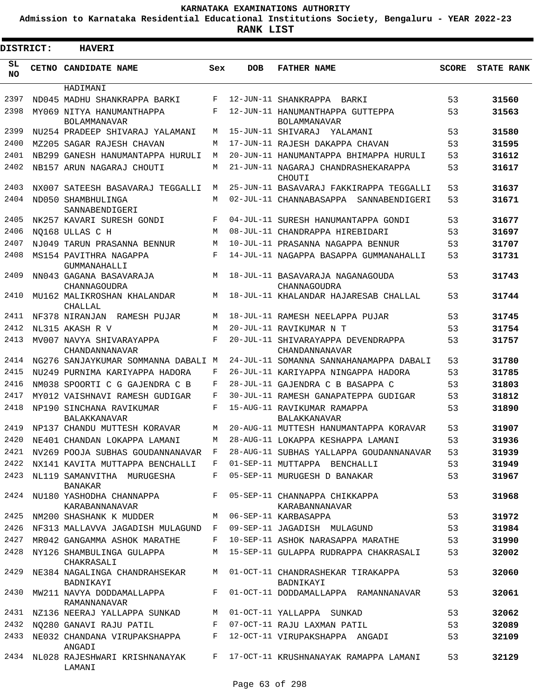**Admission to Karnataka Residential Educational Institutions Society, Bengaluru - YEAR 2022-23**

ı

| DISTRICT: |  | <b>HAVERI</b>                                    |              |            |                                                         |              |                   |
|-----------|--|--------------------------------------------------|--------------|------------|---------------------------------------------------------|--------------|-------------------|
| SL<br>NO. |  | CETNO CANDIDATE NAME                             | Sex          | <b>DOB</b> | <b>FATHER NAME</b>                                      | <b>SCORE</b> | <b>STATE RANK</b> |
|           |  | HADIMANI                                         |              |            |                                                         |              |                   |
| 2397      |  | ND045 MADHU SHANKRAPPA BARKI                     | F            |            | 12-JUN-11 SHANKRAPPA<br>BARKI                           | 53           | 31560             |
| 2398      |  | MY069 NITYA HANUMANTHAPPA<br><b>BOLAMMANAVAR</b> | F            |            | 12-JUN-11 HANUMANTHAPPA GUTTEPPA<br><b>BOLAMMANAVAR</b> | 53           | 31563             |
| 2399      |  | NU254 PRADEEP SHIVARAJ YALAMANI                  | М            |            | 15-JUN-11 SHIVARAJ YALAMANI                             | 53           | 31580             |
| 2400      |  | MZ205 SAGAR RAJESH CHAVAN                        | М            |            | 17-JUN-11 RAJESH DAKAPPA CHAVAN                         | 53           | 31595             |
| 2401      |  | NB299 GANESH HANUMANTAPPA HURULI                 | М            |            | 20-JUN-11 HANUMANTAPPA BHIMAPPA HURULI                  | 53           | 31612             |
| 2402      |  | NB157 ARUN NAGARAJ CHOUTI                        | М            |            | 21-JUN-11 NAGARAJ CHANDRASHEKARAPPA<br>CHOUTI           | 53           | 31617             |
| 2403      |  | NX007 SATEESH BASAVARAJ TEGGALLI                 | M            |            | 25-JUN-11 BASAVARAJ FAKKIRAPPA TEGGALLI                 | 53           | 31637             |
| 2404      |  | ND050 SHAMBHULINGA<br>SANNABENDIGERI             | М            |            | 02-JUL-11 CHANNABASAPPA<br>SANNABENDIGERI               | 53           | 31671             |
| 2405      |  | NK257 KAVARI SURESH GONDI                        | F            |            | 04-JUL-11 SURESH HANUMANTAPPA GONDI                     | 53           | 31677             |
| 2406      |  | NO168 ULLAS C H                                  | M            |            | 08-JUL-11 CHANDRAPPA HIREBIDARI                         | 53           | 31697             |
| 2407      |  | NJ049 TARUN PRASANNA BENNUR                      | M            |            | 10-JUL-11 PRASANNA NAGAPPA BENNUR                       | 53           | 31707             |
| 2408      |  | MS154 PAVITHRA NAGAPPA<br>GUMMANAHALLI           | F            |            | 14-JUL-11 NAGAPPA BASAPPA GUMMANAHALLI                  | 53           | 31731             |
| 2409      |  | NN043 GAGANA BASAVARAJA<br>CHANNAGOUDRA          | M            |            | 18-JUL-11 BASAVARAJA NAGANAGOUDA<br>CHANNAGOUDRA        | 53           | 31743             |
| 2410      |  | MU162 MALIKROSHAN KHALANDAR<br>CHALLAL           | М            |            | 18-JUL-11 KHALANDAR HAJARESAB CHALLAL                   | 53           | 31744             |
| 2411      |  | NF378 NIRANJAN RAMESH PUJAR                      | M            |            | 18-JUL-11 RAMESH NEELAPPA PUJAR                         | 53           | 31745             |
| 2412      |  | NL315 AKASH R V                                  | М            |            | 20-JUL-11 RAVIKUMAR N T                                 | 53           | 31754             |
| 2413      |  | MV007 NAVYA SHIVARAYAPPA<br>CHANDANNANAVAR       | F            |            | 20-JUL-11 SHIVARAYAPPA DEVENDRAPPA<br>CHANDANNANAVAR    | 53           | 31757             |
| 2414      |  | NG276 SANJAYKUMAR SOMMANNA DABALI M              |              |            | 24-JUL-11 SOMANNA SANNAHANAMAPPA DABALI                 | 53           | 31780             |
| 2415      |  | NU249 PURNIMA KARIYAPPA HADORA                   | F            |            | 26-JUL-11 KARIYAPPA NINGAPPA HADORA                     | 53           | 31785             |
| 2416      |  | NM038 SPOORTI C G GAJENDRA C B                   | F            |            | 28-JUL-11 GAJENDRA C B BASAPPA C                        | 53           | 31803             |
| 2417      |  | MY012 VAISHNAVI RAMESH GUDIGAR                   | F            |            | 30-JUL-11 RAMESH GANAPATEPPA GUDIGAR                    | 53           | 31812             |
| 2418      |  | NP190 SINCHANA RAVIKUMAR<br><b>BALAKKANAVAR</b>  | F            |            | 15-AUG-11 RAVIKUMAR RAMAPPA<br><b>BALAKKANAVAR</b>      | 53           | 31890             |
| 2419      |  | NP137 CHANDU MUTTESH KORAVAR                     | М            |            | 20-AUG-11 MUTTESH HANUMANTAPPA KORAVAR                  | 53           | 31907             |
| 2420      |  | NE401 CHANDAN LOKAPPA LAMANI                     | M            |            | 28-AUG-11 LOKAPPA KESHAPPA LAMANI                       | 53           | 31936             |
|           |  | 2421 NV269 POOJA SUBHAS GOUDANNANAVAR F          |              |            | 28-AUG-11 SUBHAS YALLAPPA GOUDANNANAVAR                 | 53           | 31939             |
| 2422      |  | NX141 KAVITA MUTTAPPA BENCHALLI                  | F            |            | 01-SEP-11 MUTTAPPA BENCHALLI                            | 53           | 31949             |
| 2423      |  | NL119 SAMANVITHA MURUGESHA<br><b>BANAKAR</b>     | F            |            | 05-SEP-11 MURUGESH D BANAKAR                            | 53           | 31967             |
| 2424      |  | NU180 YASHODHA CHANNAPPA<br>KARABANNANAVAR       |              |            | F 05-SEP-11 CHANNAPPA CHIKKAPPA<br>KARABANNANAVAR       | 53           | 31968             |
| 2425      |  | NM200 SHASHANK K MUDDER                          | M            |            | 06-SEP-11 KARBASAPPA                                    | 53           | 31972             |
| 2426      |  | NF313 MALLAVVA JAGADISH MULAGUND F               |              |            | 09-SEP-11 JAGADISH MULAGUND                             | 53           | 31984             |
| 2427      |  | MR042 GANGAMMA ASHOK MARATHE                     | F            |            | 10-SEP-11 ASHOK NARASAPPA MARATHE                       | 53           | 31990             |
| 2428      |  | NY126 SHAMBULINGA GULAPPA<br>CHAKRASALI          | M            |            | 15-SEP-11 GULAPPA RUDRAPPA CHAKRASALI                   | 53           | 32002             |
| 2429      |  | NE384 NAGALINGA CHANDRAHSEKAR<br>BADNIKAYI       |              |            | M 01-OCT-11 CHANDRASHEKAR TIRAKAPPA<br>BADNIKAYI        | 53           | 32060             |
| 2430      |  | MW211 NAVYA DODDAMALLAPPA<br>RAMANNANAVAR        | $F -$        |            | 01-OCT-11 DODDAMALLAPPA RAMANNANAVAR                    | 53           | 32061             |
| 2431      |  | NZ136 NEERAJ YALLAPPA SUNKAD                     | М            |            | 01-OCT-11 YALLAPPA SUNKAD                               | 53           | 32062             |
| 2432      |  | NO280 GANAVI RAJU PATIL                          | $\mathbf{F}$ |            | 07-OCT-11 RAJU LAXMAN PATIL                             | 53           | 32089             |
| 2433      |  | NE032 CHANDANA VIRUPAKSHAPPA<br>ANGADI           | F            |            | 12-OCT-11 VIRUPAKSHAPPA ANGADI                          | 53           | 32109             |
|           |  | 2434 NL028 RAJESHWARI KRISHNANAYAK<br>LAMANI     |              |            | F 17-OCT-11 KRUSHNANAYAK RAMAPPA LAMANI                 | 53           | 32129             |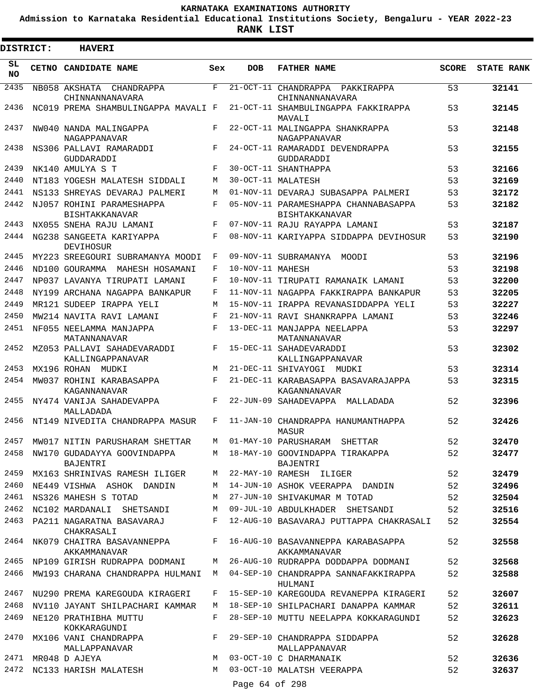**Admission to Karnataka Residential Educational Institutions Society, Bengaluru - YEAR 2022-23**

ı

**RANK LIST**

| <b>DISTRICT:</b> | <b>HAVERI</b>                                                        |            |                  |                                                                                        |              |                   |
|------------------|----------------------------------------------------------------------|------------|------------------|----------------------------------------------------------------------------------------|--------------|-------------------|
| SL<br><b>NO</b>  | CETNO CANDIDATE NAME                                                 | Sex        | <b>DOB</b>       | <b>FATHER NAME</b>                                                                     | <b>SCORE</b> | <b>STATE RANK</b> |
| 2435             | NB058 AKSHATA CHANDRAPPA<br>CHINNANNANAVARA                          | F          |                  | 21-OCT-11 CHANDRAPPA PAKKIRAPPA<br>CHINNANNANAVARA                                     | 53           | 32141             |
| 2436             | NC019 PREMA SHAMBULINGAPPA MAVALI F                                  |            |                  | 21-OCT-11 SHAMBULINGAPPA FAKKIRAPPA<br>MAVALI                                          | 53           | 32145             |
| 2437             | NW040 NANDA MALINGAPPA<br>NAGAPPANAVAR                               | F          |                  | 22-OCT-11 MALINGAPPA SHANKRAPPA<br>NAGAPPANAVAR                                        | 53           | 32148             |
| 2438             | NS306 PALLAVI RAMARADDI<br>GUDDARADDI                                | F          |                  | 24-OCT-11 RAMARADDI DEVENDRAPPA<br>GUDDARADDI                                          | 53           | 32155             |
| 2439             | NK140 AMULYA S T                                                     | F          |                  | 30-OCT-11 SHANTHAPPA                                                                   | 53           | 32166             |
| 2440             | NT183 YOGESH MALATESH SIDDALI                                        | M          |                  | 30-OCT-11 MALATESH                                                                     | 53           | 32169             |
| 2441             | NS133 SHREYAS DEVARAJ PALMERI                                        | M          |                  | 01-NOV-11 DEVARAJ SUBASAPPA PALMERI                                                    | 53           | 32172             |
| 2442             | NJ057 ROHINI PARAMESHAPPA<br><b>BISHTAKKANAVAR</b>                   | F          |                  | 05-NOV-11 PARAMESHAPPA CHANNABASAPPA<br><b>BISHTAKKANAVAR</b>                          | 53           | 32182             |
| 2443             | NX055 SNEHA RAJU LAMANI                                              | F          |                  | 07-NOV-11 RAJU RAYAPPA LAMANI                                                          | 53           | 32187             |
| 2444             | NG238 SANGEETA KARIYAPPA<br>DEVIHOSUR                                | F          |                  | 08-NOV-11 KARIYAPPA SIDDAPPA DEVIHOSUR                                                 | 53           | 32190             |
| 2445             | MY223 SREEGOURI SUBRAMANYA MOODI                                     | F          |                  | 09-NOV-11 SUBRAMANYA MOODI                                                             | 53           | 32196             |
| 2446             | ND100 GOURAMMA MAHESH HOSAMANI                                       | F          | 10-NOV-11 MAHESH |                                                                                        | 53           | 32198             |
| 2447             | NP037 LAVANYA TIRUPATI LAMANI                                        | $_{\rm F}$ |                  | 10-NOV-11 TIRUPATI RAMANAIK LAMANI                                                     | 53           | 32200             |
| 2448             | NY199 ARCHANA NAGAPPA BANKAPUR                                       | F          |                  | 11-NOV-11 NAGAPPA FAKKIRAPPA BANKAPUR                                                  | 53           | 32205             |
| 2449             | MR121 SUDEEP IRAPPA YELI                                             | М          |                  | 15-NOV-11 IRAPPA REVANASIDDAPPA YELI                                                   | 53           | 32227             |
| 2450             | MW214 NAVITA RAVI LAMANI                                             | F          |                  | 21-NOV-11 RAVI SHANKRAPPA LAMANI                                                       | 53           | 32246             |
| 2451             | NF055 NEELAMMA MANJAPPA<br>MATANNANAVAR                              | F          |                  | 13-DEC-11 MANJAPPA NEELAPPA<br>MATANNANAVAR                                            | 53           | 32297             |
| 2452<br>2453     | MZ053 PALLAVI SAHADEVARADDI<br>KALLINGAPPANAVAR                      | F<br>M     |                  | 15-DEC-11 SAHADEVARADDI<br>KALLINGAPPANAVAR                                            | 53           | 32302             |
| 2454             | MX196 ROHAN MUDKI                                                    | F          |                  | 21-DEC-11 SHIVAYOGI MUDKI                                                              | 53           | 32314<br>32315    |
| 2455             | MW037 ROHINI KARABASAPPA<br>KAGANNANAVAR<br>NY474 VANIJA SAHADEVAPPA | F          |                  | 21-DEC-11 KARABASAPPA BASAVARAJAPPA<br>KAGANNANAVAR<br>22-JUN-09 SAHADEVAPPA MALLADADA | 53<br>52     | 32396             |
| 2456             | MALLADADA<br>NT149 NIVEDITA CHANDRAPPA MASUR                         | F          |                  | 11-JAN-10 CHANDRAPPA HANUMANTHAPPA                                                     | 52           | 32426             |
| 2457             |                                                                      |            |                  | MASUR<br>01-MAY-10 PARUSHARAM SHETTAR                                                  |              |                   |
| 2458             | MW017 NITIN PARUSHARAM SHETTAR<br>NW170 GUDADAYYA GOOVINDAPPA        | М          |                  | M 18-MAY-10 GOOVINDAPPA TIRAKAPPA                                                      | 52<br>52     | 32470             |
| 2459             | BAJENTRI<br>MX163 SHRINIVAS RAMESH ILIGER                            |            |                  | BAJENTRI<br>M 22-MAY-10 RAMESH ILIGER                                                  | 52           | 32477<br>32479    |
| 2460             | NE449 VISHWA ASHOK DANDIN                                            | M          |                  | 14-JUN-10 ASHOK VEERAPPA DANDIN                                                        | 52           | 32496             |
| 2461             | NS326 MAHESH S TOTAD                                                 | M          |                  | 27-JUN-10 SHIVAKUMAR M TOTAD                                                           | 52           | 32504             |
| 2462             | NC102 MARDANALI SHETSANDI                                            | M          |                  | 09-JUL-10 ABDULKHADER SHETSANDI                                                        | 52           | 32516             |
| 2463             | PA211 NAGARATNA BASAVARAJ<br>CHAKRASALI                              | F          |                  | 12-AUG-10 BASAVARAJ PUTTAPPA CHAKRASALI                                                | 52           | 32554             |
|                  | 2464 NK079 CHAITRA BASAVANNEPPA<br>AKKAMMANAVAR                      | $F$ and    |                  | 16-AUG-10 BASAVANNEPPA KARABASAPPA<br>AKKAMMANAVAR                                     | 52           | 32558             |
|                  | 2465 NP109 GIRISH RUDRAPPA DODMANI                                   |            |                  | M 26-AUG-10 RUDRAPPA DODDAPPA DODMANI                                                  | 52           | 32568             |
| 2466             | MW193 CHARANA CHANDRAPPA HULMANI                                     | M          |                  | 04-SEP-10 CHANDRAPPA SANNAFAKKIRAPPA<br>HULMANI                                        | 52           | 32588             |
| 2467             | NU290 PREMA KAREGOUDA KIRAGERI                                       | F          |                  | 15-SEP-10 KAREGOUDA REVANEPPA KIRAGERI                                                 | 52           | 32607             |
| 2468             | NV110 JAYANT SHILPACHARI KAMMAR                                      | M          |                  | 18-SEP-10 SHILPACHARI DANAPPA KAMMAR                                                   | 52           | 32611             |
| 2469             | NE120 PRATHIBHA MUTTU<br>KOKKARAGUNDI                                | F          |                  | 28-SEP-10 MUTTU NEELAPPA KOKKARAGUNDI                                                  | 52           | 32623             |
| 2470             | MX106 VANI CHANDRAPPA<br>MALLAPPANAVAR                               | F          |                  | 29-SEP-10 CHANDRAPPA SIDDAPPA<br>MALLAPPANAVAR                                         | 52           | 32628             |
|                  | 2471 MR048 D AJEYA                                                   | M          |                  | 03-OCT-10 C DHARMANAIK                                                                 | 52           | 32636             |
| 2472             | NC133 HARISH MALATESH                                                | М          |                  | 03-OCT-10 MALATSH VEERAPPA                                                             | 52           | 32637             |
|                  |                                                                      |            | Page 64 of 298   |                                                                                        |              |                   |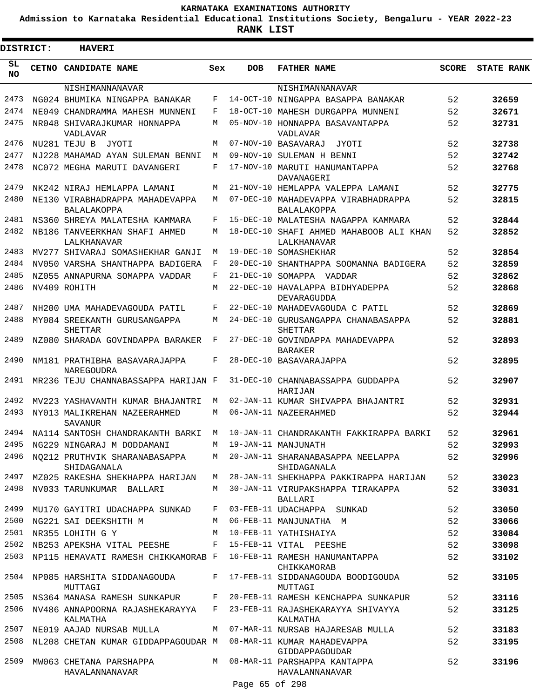**Admission to Karnataka Residential Educational Institutions Society, Bengaluru - YEAR 2022-23**

| <b>DISTRICT:</b> | <b>HAVERI</b>                                                   |     |                 |                                                        |              |                   |
|------------------|-----------------------------------------------------------------|-----|-----------------|--------------------------------------------------------|--------------|-------------------|
| SL<br><b>NO</b>  | CETNO CANDIDATE NAME                                            | Sex | <b>DOB</b>      | <b>FATHER NAME</b>                                     | <b>SCORE</b> | <b>STATE RANK</b> |
|                  | NISHIMANNANAVAR                                                 |     |                 | NISHIMANNANAVAR                                        |              |                   |
| 2473             | NG024 BHUMIKA NINGAPPA BANAKAR                                  | F   |                 | 14-OCT-10 NINGAPPA BASAPPA BANAKAR                     | 52           | 32659             |
| 2474             | NE049 CHANDRAMMA MAHESH MUNNENI                                 | F   |                 | 18-OCT-10 MAHESH DURGAPPA MUNNENI                      | 52           | 32671             |
| 2475             | NR048 SHIVARAJKUMAR HONNAPPA<br>VADLAVAR                        | М   |                 | 05-NOV-10 HONNAPPA BASAVANTAPPA<br>VADLAVAR            | 52           | 32731             |
| 2476             | NU281 TEJU B<br>JYOTI                                           | M   |                 | 07-NOV-10 BASAVARAJ<br>JYOTI                           | 52           | 32738             |
| 2477             | NJ228 MAHAMAD AYAN SULEMAN BENNI                                | M   |                 | 09-NOV-10 SULEMAN H BENNI                              | 52           | 32742             |
| 2478             | NC072 MEGHA MARUTI DAVANGERI                                    | F   |                 | 17-NOV-10 MARUTI HANUMANTAPPA<br>DAVANAGERI            | 52           | 32768             |
| 2479             | NK242 NIRAJ HEMLAPPA LAMANI                                     | М   |                 | 21-NOV-10 HEMLAPPA VALEPPA LAMANI                      | 52           | 32775             |
| 2480             | NE130 VIRABHADRAPPA MAHADEVAPPA<br><b>BALALAKOPPA</b>           | М   |                 | 07-DEC-10 MAHADEVAPPA VIRABHADRAPPA<br>BALALAKOPPA     | 52           | 32815             |
| 2481             | NS360 SHREYA MALATESHA KAMMARA                                  | F   |                 | 15-DEC-10 MALATESHA NAGAPPA KAMMARA                    | 52           | 32844             |
| 2482             | NB186 TANVEERKHAN SHAFI AHMED<br><b>LALKHANAVAR</b>             | M   |                 | 18-DEC-10 SHAFI AHMED MAHABOOB ALI KHAN<br>LALKHANAVAR | 52           | 32852             |
| 2483             | MV277 SHIVARAJ SOMASHEKHAR GANJI                                | М   |                 | 19-DEC-10 SOMASHEKHAR                                  | 52           | 32854             |
| 2484             | NV050 VARSHA SHANTHAPPA BADIGERA                                | F   |                 | 20-DEC-10 SHANTHAPPA SOOMANNA BADIGERA                 | 52           | 32859             |
| 2485             | NZ055 ANNAPURNA SOMAPPA VADDAR                                  | F   | $21 - DEC - 10$ | SOMAPPA VADDAR                                         | 52           | 32862             |
| 2486             | NV409 ROHITH                                                    | M   |                 | 22-DEC-10 HAVALAPPA BIDHYADEPPA<br>DEVARAGUDDA         | 52           | 32868             |
| 2487             | NH200 UMA MAHADEVAGOUDA PATIL                                   | F   |                 | 22-DEC-10 MAHADEVAGOUDA C PATIL                        | 52           | 32869             |
| 2488             | MY084 SREEKANTH GURUSANGAPPA<br><b>SHETTAR</b>                  | М   |                 | 24-DEC-10 GURUSANGAPPA CHANABASAPPA<br>SHETTAR         | 52           | 32881             |
| 2489             | NZ080 SHARADA GOVINDAPPA BARAKER                                | F   |                 | 27-DEC-10 GOVINDAPPA MAHADEVAPPA<br><b>BARAKER</b>     | 52           | 32893             |
| 2490             | NM181 PRATHIBHA BASAVARAJAPPA<br>NAREGOUDRA                     | F   |                 | 28-DEC-10 BASAVARAJAPPA                                | 52           | 32895             |
| 2491             | MR236 TEJU CHANNABASSAPPA HARIJAN F                             |     |                 | 31-DEC-10 CHANNABASSAPPA GUDDAPPA<br>HARIJAN           | 52           | 32907             |
| 2492             | MV223 YASHAVANTH KUMAR BHAJANTRI                                | М   |                 | 02-JAN-11 KUMAR SHIVAPPA BHAJANTRI                     | 52           | 32931             |
| 2493             | NY013 MALIKREHAN NAZEERAHMED<br>SAVANUR                         | М   |                 | 06-JAN-11 NAZEERAHMED                                  | 52           | 32944             |
| 2494             | NA114 SANTOSH CHANDRAKANTH BARKI                                | M   |                 | 10-JAN-11 CHANDRAKANTH FAKKIRAPPA BARKI                | 52           | 32961             |
| 2495             | NG229 NINGARAJ M DODDAMANI                                      | M   |                 | 19-JAN-11 MANJUNATH                                    | 52           | 32993             |
| 2496             | NO212 PRUTHVIK SHARANABASAPPA<br>SHIDAGANALA                    |     |                 | M 20-JAN-11 SHARANABASAPPA NEELAPPA<br>SHIDAGANALA     | 52           | 32996             |
| 2497             | MZ025 RAKESHA SHEKHAPPA HARIJAN                                 | M   |                 | 28-JAN-11 SHEKHAPPA PAKKIRAPPA HARIJAN                 | 52           | 33023             |
| 2498             | NV033 TARUNKUMAR BALLARI                                        |     |                 | M 30-JAN-11 VIRUPAKSHAPPA TIRAKAPPA<br>BALLARI         | 52           | 33031             |
| 2499             | MU170 GAYITRI UDACHAPPA SUNKAD                                  | F   |                 | 03-FEB-11 UDACHAPPA SUNKAD                             | 52           | 33050             |
| 2500             | NG221 SAI DEEKSHITH M                                           | М   |                 | 06-FEB-11 MANJUNATHA M                                 | 52           | 33066             |
| 2501             | NR355 LOHITH G Y                                                | M   |                 | 10-FEB-11 YATHISHAIYA                                  | 52           | 33084             |
| 2502             | NB253 APEKSHA VITAL PEESHE                                      |     |                 | F 15-FEB-11 VITAL PEESHE                               | 52           | 33098             |
| 2503             | NP115 HEMAVATI RAMESH CHIKKAMORAB F                             |     |                 | 16-FEB-11 RAMESH HANUMANTAPPA<br>CHIKKAMORAB           | 52           | 33102             |
| 2504             | NP085 HARSHITA SIDDANAGOUDA<br>MUTTAGI                          | F   |                 | 17-FEB-11 SIDDANAGOUDA BOODIGOUDA<br>MUTTAGI           | 52           | 33105             |
| 2505             | NS364 MANASA RAMESH SUNKAPUR                                    | F   |                 | 20-FEB-11 RAMESH KENCHAPPA SUNKAPUR                    | 52           | 33116             |
| 2506             | NV486 ANNAPOORNA RAJASHEKARAYYA<br>KALMATHA                     | F   |                 | 23-FEB-11 RAJASHEKARAYYA SHIVAYYA<br>KALMATHA          | 52           | 33125             |
| 2507             | NE019 AAJAD NURSAB MULLA                                        | M   |                 | 07-MAR-11 NURSAB HAJARESAB MULLA                       | 52           | 33183             |
| 2508             | NL208 CHETAN KUMAR GIDDAPPAGOUDAR M 08-MAR-11 KUMAR MAHADEVAPPA |     |                 | GIDDAPPAGOUDAR                                         | 52           | 33195             |
| 2509             | MW063 CHETANA PARSHAPPA<br>HAVALANNANAVAR                       |     |                 | M 08-MAR-11 PARSHAPPA KANTAPPA<br>HAVALANNANAVAR       | 52           | 33196             |
|                  |                                                                 |     | Page 65 of 298  |                                                        |              |                   |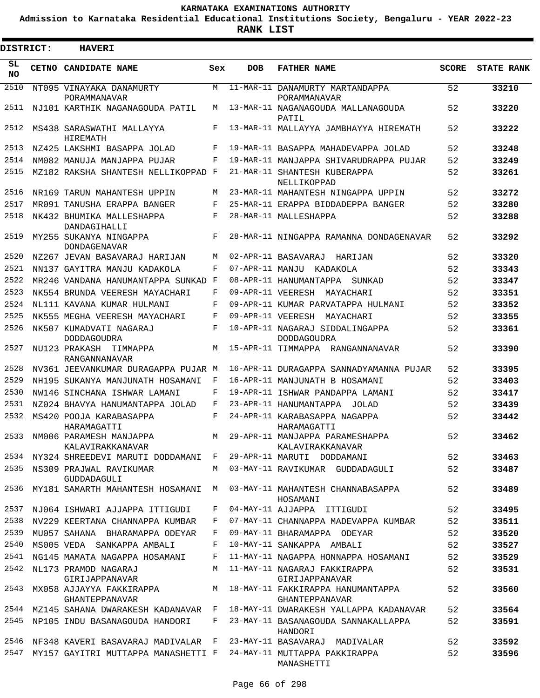**Admission to Karnataka Residential Educational Institutions Society, Bengaluru - YEAR 2022-23**

 $\blacksquare$ 

**RANK LIST**

| <b>DISTRICT:</b> | <b>HAVERI</b>                                                          |              |            |                                                                                    |              |                   |
|------------------|------------------------------------------------------------------------|--------------|------------|------------------------------------------------------------------------------------|--------------|-------------------|
| SL<br><b>NO</b>  | <b>CETNO CANDIDATE NAME</b>                                            | Sex          | <b>DOB</b> | <b>FATHER NAME</b>                                                                 | <b>SCORE</b> | <b>STATE RANK</b> |
| 2510             | NT095 VINAYAKA DANAMURTY<br>PORAMMANAVAR                               | M            |            | 11-MAR-11 DANAMURTY MARTANDAPPA<br>PORAMMANAVAR                                    | 52           | 33210             |
| 2511             | NJ101 KARTHIK NAGANAGOUDA PATIL                                        | М            |            | 13-MAR-11 NAGANAGOUDA MALLANAGOUDA<br>PATIL                                        | 52           | 33220             |
| 2512             | MS438 SARASWATHI MALLAYYA<br><b>HTREMATH</b>                           | F            |            | 13-MAR-11 MALLAYYA JAMBHAYYA HIREMATH                                              | 52           | 33222             |
| 2513             | NZ425 LAKSHMI BASAPPA JOLAD                                            | F            |            | 19-MAR-11 BASAPPA MAHADEVAPPA JOLAD                                                | 52           | 33248             |
| 2514             | NM082 MANUJA MANJAPPA PUJAR                                            | F            |            | 19-MAR-11 MANJAPPA SHIVARUDRAPPA PUJAR                                             | 52           | 33249             |
| 2515             | MZ182 RAKSHA SHANTESH NELLIKOPPAD F                                    |              |            | 21-MAR-11 SHANTESH KUBERAPPA<br>NELLIKOPPAD                                        | 52           | 33261             |
| 2516             | NR169 TARUN MAHANTESH UPPIN                                            | М            |            | 23-MAR-11 MAHANTESH NINGAPPA UPPIN                                                 | 52           | 33272             |
| 2517             | MR091 TANUSHA ERAPPA BANGER                                            | F            |            | 25-MAR-11 ERAPPA BIDDADEPPA BANGER                                                 | 52           | 33280             |
| 2518             | NK432 BHUMIKA MALLESHAPPA<br>DANDAGIHALLI                              | F            |            | 28-MAR-11 MALLESHAPPA                                                              | 52           | 33288             |
| 2519             | MY255 SUKANYA NINGAPPA<br><b>DONDAGENAVAR</b>                          | F            |            | 28-MAR-11 NINGAPPA RAMANNA DONDAGENAVAR                                            | 52           | 33292             |
| 2520             | NZ267 JEVAN BASAVARAJ HARIJAN                                          | M            |            | 02-APR-11 BASAVARAJ<br>HARIJAN                                                     | 52           | 33320             |
| 2521             | NN137 GAYITRA MANJU KADAKOLA                                           | F            |            | 07-APR-11 MANJU KADAKOLA                                                           | 52           | 33343             |
| 2522             | MR246 VANDANA HANUMANTAPPA SUNKAD F                                    |              |            | 08-APR-11 HANUMANTAPPA SUNKAD                                                      | 52           | 33347             |
| 2523             | NK554 BRUNDA VEERESH MAYACHART                                         | F            |            | 09-APR-11 VEERESH MAYACHARI                                                        | 52           | 33351             |
| 2524             | NL111 KAVANA KUMAR HULMANI                                             | F            |            | 09-APR-11 KUMAR PARVATAPPA HULMANI                                                 | 52           | 33352             |
| 2525             | NK555 MEGHA VEERESH MAYACHARI                                          | F            |            | 09-APR-11 VEERESH MAYACHARI                                                        | 52           | 33355             |
| 2526             | NK507 KUMADVATI NAGARAJ<br><b>DODDAGOUDRA</b>                          | F            |            | 10-APR-11 NAGARAJ SIDDALINGAPPA<br>DODDAGOUDRA                                     | 52           | 33361             |
| 2527             | NU123 PRAKASH TIMMAPPA<br>RANGANNANAVAR                                | M            |            | 15-APR-11 TIMMAPPA RANGANNANAVAR                                                   | 52           | 33390             |
| 2528             | NV361 JEEVANKUMAR DURAGAPPA PUJAR M                                    |              |            | 16-APR-11 DURAGAPPA SANNADYAMANNA PUJAR                                            | 52           | 33395             |
| 2529             | NH195 SUKANYA MANJUNATH HOSAMANI                                       | F            |            | 16-APR-11 MANJUNATH B HOSAMANI                                                     | 52           | 33403             |
| 2530             | NW146 SINCHANA ISHWAR LAMANI                                           | F            |            | 19-APR-11 ISHWAR PANDAPPA LAMANI                                                   | 52           | 33417             |
| 2531             | NZ024 BHAVYA HANUMANTAPPA JOLAD                                        | F            |            | 23-APR-11 HANUMANTAPPA JOLAD                                                       | 52           | 33439             |
| 2532             | MS420 POOJA KARABASAPPA<br>HARAMAGATTI                                 | F            |            | 24-APR-11 KARABASAPPA NAGAPPA<br>HARAMAGATTI                                       | 52           | 33442             |
|                  | 2533 NM006 PARAMESH MANJAPPA<br>KALAVIRAKKANAVAR                       | M            |            | 29-APR-11 MANJAPPA PARAMESHAPPA<br>KALAVIRAKKANAVAR                                | 52           | 33462             |
|                  | 2534 NY324 SHREEDEVI MARUTI DODDAMANI F                                |              |            | 29-APR-11 MARUTI DODDAMANI                                                         | 52           | 33463             |
| 2535             | NS309 PRAJWAL RAVIKUMAR<br>GUDDADAGULI                                 |              |            | M 03-MAY-11 RAVIKUMAR GUDDADAGULI                                                  | 52           | 33487             |
| 2536             | MY181 SAMARTH MAHANTESH HOSAMANI                                       | M            |            | 03-MAY-11 MAHANTESH CHANNABASAPPA<br>HOSAMANI                                      | 52           | 33489             |
| 2537             | NJ064 ISHWARI AJJAPPA ITTIGUDI                                         | F            |            | 04-MAY-11 AJJAPPA ITTIGUDI                                                         | 52           | 33495             |
| 2538             | NV229 KEERTANA CHANNAPPA KUMBAR                                        | F            |            | 07-MAY-11 CHANNAPPA MADEVAPPA KUMBAR                                               | 52           | 33511             |
| 2539             | MU057 SAHANA BHARAMAPPA ODEYAR                                         | F            |            | 09-MAY-11 BHARAMAPPA ODEYAR                                                        | 52           | 33520             |
| 2540             | MS005 VEDA SANKAPPA AMBALI                                             | F            |            | 10-MAY-11 SANKAPPA AMBALI                                                          | 52           | 33527             |
| 2541             | NG145 MAMATA NAGAPPA HOSAMANI                                          | F            |            | 11-MAY-11 NAGAPPA HONNAPPA HOSAMANI                                                | 52           | 33529             |
| 2542             | NL173 PRAMOD NAGARAJ                                                   | M            |            | 11-MAY-11 NAGARAJ FAKKIRAPPA                                                       | 52           | 33531             |
| 2543             | GIRIJAPPANAVAR                                                         |              |            | GIRIJAPPANAVAR<br>MX058 AJJAYYA FAKKIRAPPA MARTI 20-MAY-11 FAKKIRAPPA HANUMANTAPPA | 52           | 33560             |
|                  | GHANTEPPANAVAR                                                         |              |            | GHANTEPPANAVAR                                                                     |              |                   |
| 2544             | MZ145 SAHANA DWARAKESH KADANAVAR F                                     |              |            | 18-MAY-11 DWARAKESH YALLAPPA KADANAVAR                                             | 52           | 33564             |
| 2545             | NP105 INDU BASANAGOUDA HANDORI                                         | $\mathbf{F}$ |            | 23-MAY-11 BASANAGOUDA SANNAKALLAPPA<br>HANDORI                                     | 52           | 33591             |
| 2546             | NF348 KAVERI BASAVARAJ MADIVALAR F                                     |              |            | 23-MAY-11 BASAVARAJ MADIVALAR                                                      | 52           | 33592             |
|                  | 2547 MY157 GAYITRI MUTTAPPA MANASHETTI F 24-MAY-11 MUTTAPPA PAKKIRAPPA |              |            | MANASHETTI                                                                         | 52           | 33596             |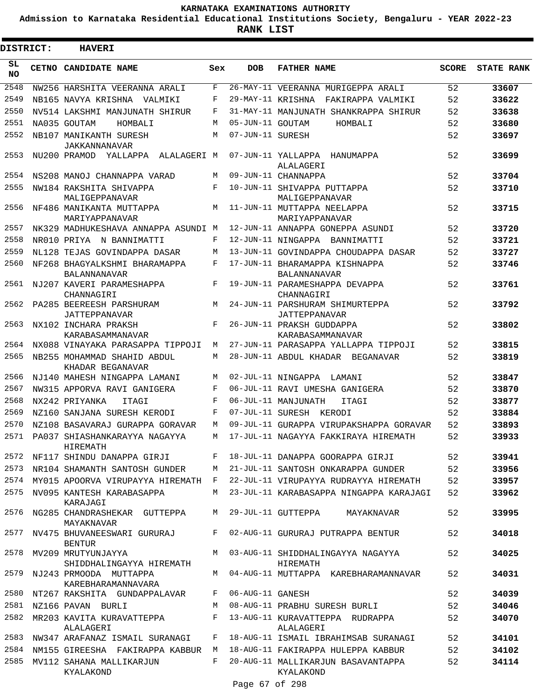**Admission to Karnataka Residential Educational Institutions Society, Bengaluru - YEAR 2022-23**

| <b>DISTRICT:</b> | <b>HAVERI</b>                                        |        |                  |                                                                          |              |                   |
|------------------|------------------------------------------------------|--------|------------------|--------------------------------------------------------------------------|--------------|-------------------|
| SL.<br>NO.       | CETNO CANDIDATE NAME                                 | Sex    | <b>DOB</b>       | <b>FATHER NAME</b>                                                       | <b>SCORE</b> | <b>STATE RANK</b> |
| 2548             | NW256 HARSHITA VEERANNA ARALI                        | F      |                  | 26-MAY-11 VEERANNA MURIGEPPA ARALI                                       | 52           | 33607             |
| 2549             | NB165 NAVYA KRISHNA VALMIKI                          | F      |                  | 29-MAY-11 KRISHNA FAKIRAPPA VALMIKI                                      | 52           | 33622             |
| 2550             | NV514 LAKSHMI MANJUNATH SHIRUR                       | F      |                  | 31-MAY-11 MANJUNATH SHANKRAPPA SHIRUR                                    | 52           | 33638             |
| 2551             | NA035 GOUTAM<br>HOMBALI                              | М      | 05-JUN-11 GOUTAM | HOMBALI                                                                  | 52           | 33680             |
| 2552             | NB107 MANIKANTH SURESH<br>JAKKANNANAVAR              | М      | 07-JUN-11 SURESH |                                                                          | 52           | 33697             |
| 2553             | NU200 PRAMOD YALLAPPA<br>ALALAGERI M                 |        |                  | 07-JUN-11 YALLAPPA HANUMAPPA<br>ALALAGERI                                | 52           | 33699             |
| 2554             | NS208 MANOJ CHANNAPPA VARAD                          | М      |                  | 09-JUN-11 CHANNAPPA                                                      | 52           | 33704             |
| 2555             | NW184 RAKSHITA SHIVAPPA<br>MALIGEPPANAVAR            | F      |                  | 10-JUN-11 SHIVAPPA PUTTAPPA<br>MALIGEPPANAVAR                            | 52           | 33710             |
| 2556             | NF486 MANIKANTA MUTTAPPA<br>MARIYAPPANAVAR           | M      |                  | 11-JUN-11 MUTTAPPA NEELAPPA<br>MARIYAPPANAVAR                            | 52           | 33715             |
| 2557             | NK329 MADHUKESHAVA ANNAPPA ASUNDI M                  |        |                  | 12-JUN-11 ANNAPPA GONEPPA ASUNDI                                         | 52           | 33720             |
| 2558             | NR010 PRIYA N BANNIMATTI                             | F      |                  | 12-JUN-11 NINGAPPA BANNIMATTI                                            | 52           | 33721             |
| 2559             | NL128 TEJAS GOVINDAPPA DASAR                         | М      |                  | 13-JUN-11 GOVINDAPPA CHOUDAPPA DASAR                                     | 52           | 33727             |
| 2560             | NF268 BHAGYALKSHMI BHARAMAPPA<br><b>BALANNANAVAR</b> | F      |                  | 17-JUN-11 BHARAMAPPA KISHNAPPA<br>BALANNANAVAR                           | 52           | 33746             |
| 2561             | NJ207 KAVERI PARAMESHAPPA<br>CHANNAGIRI              | F      |                  | 19-JUN-11 PARAMESHAPPA DEVAPPA<br>CHANNAGIRI                             | 52           | 33761             |
| 2562<br>2563     | PA285 BEEREESH PARSHURAM<br>JATTEPPANAVAR            | М<br>F |                  | 24-JUN-11 PARSHURAM SHIMURTEPPA<br>JATTEPPANAVAR                         | 52           | 33792             |
|                  | NX102 INCHARA PRAKSH<br>KARABASAMMANAVAR             |        |                  | 26-JUN-11 PRAKSH GUDDAPPA<br>KARABASAMMANAVAR                            | 52           | 33802             |
| 2564             | NX088 VINAYAKA PARASAPPA TIPPOJI                     | М      |                  | 27-JUN-11 PARASAPPA YALLAPPA TIPPOJI                                     | 52           | 33815             |
| 2565             | NB255 MOHAMMAD SHAHID ABDUL<br>KHADAR BEGANAVAR      | М      |                  | 28-JUN-11 ABDUL KHADAR BEGANAVAR                                         | 52           | 33819             |
| 2566             | NJ140 MAHESH NINGAPPA LAMANI                         | М      |                  | 02-JUL-11 NINGAPPA LAMANI                                                | 52           | 33847             |
| 2567             | NW315 APPORVA RAVI GANIGERA                          | F      |                  | 06-JUL-11 RAVI UMESHA GANIGERA                                           | 52           | 33870             |
| 2568             | NX242 PRIYANKA<br>ITAGI                              | F      |                  | 06-JUL-11 MANJUNATH<br>ITAGI                                             | 52           | 33877             |
| 2569             | NZ160 SANJANA SURESH KERODI                          | F      |                  | 07-JUL-11 SURESH KERODI                                                  | 52           | 33884             |
| 2570             | NZ108 BASAVARAJ GURAPPA GORAVAR                      | M      |                  | 09-JUL-11 GURAPPA VIRUPAKSHAPPA GORAVAR                                  | 52           | 33893             |
| 2571             | PA037 SHIASHANKARAYYA NAGAYYA<br>HIREMATH            | M      |                  | 17-JUL-11 NAGAYYA FAKKIRAYA HIREMATH                                     | 52           | 33933             |
| 2572             | NF117 SHINDU DANAPPA GIRJI                           |        |                  | F 18-JUL-11 DANAPPA GOORAPPA GIRJI                                       | 52           | 33941             |
| 2573             | NR104 SHAMANTH SANTOSH GUNDER                        | M      |                  | 21-JUL-11 SANTOSH ONKARAPPA GUNDER                                       | 52           | 33956             |
| 2574             | MY015 APOORVA VIRUPAYYA HIREMATH F                   |        |                  | 22-JUL-11 VIRUPAYYA RUDRAYYA HIREMATH                                    | 52           | 33957             |
| 2575             | NV095 KANTESH KARABASAPPA<br>KARAJAGI                | M      |                  | 23-JUL-11 KARABASAPPA NINGAPPA KARAJAGI                                  | 52           | 33962             |
|                  | 2576 NG285 CHANDRASHEKAR GUTTEPPA<br>MAYAKNAVAR      | M      |                  | 29-JUL-11 GUTTEPPA MAYAKNAVAR                                            | 52           | 33995             |
|                  | 2577 NV475 BHUVANEESWARI GURURAJ<br><b>BENTUR</b>    | F      |                  | 02-AUG-11 GURURAJ PUTRAPPA BENTUR                                        | 52           | 34018             |
|                  | 2578 MV209 MRUTYUNJAYYA<br>SHIDDHALINGAYYA HIREMATH  |        |                  | M 03-AUG-11 SHIDDHALINGAYYA NAGAYYA<br>HIREMATH                          | 52           | 34025             |
| 2579             | NJ243 PRMOODA MUTTAPPA<br>KAREBHARAMANNAVARA         |        |                  | M 04-AUG-11 MUTTAPPA KAREBHARAMANNAVAR                                   | 52           | 34031             |
|                  | 2580 NT267 RAKSHITA GUNDAPPALAVAR                    | F      | 06-AUG-11 GANESH |                                                                          | 52           | 34039             |
|                  | 2581 NZ166 PAVAN BURLI                               | M      |                  | 08-AUG-11 PRABHU SURESH BURLI                                            | 52           | 34046             |
| 2582             | MR203 KAVITA KURAVATTEPPA<br>ALALAGERI               |        |                  | F 13-AUG-11 KURAVATTEPPA RUDRAPPA<br>ALALAGERI                           | 52           | 34070             |
| 2583             | NW347 ARAFANAZ ISMAIL SURANAGI                       | F      |                  | 18-AUG-11 ISMAIL IBRAHIMSAB SURANAGI                                     | 52           | 34101             |
| 2584             |                                                      |        |                  | NM155 GIREESHA FAKIRAPPA KABBUR   M   18-AUG-11 FAKIRAPPA HULEPPA KABBUR | 52           | 34102             |
| 2585             | MV112 SAHANA MALLIKARJUN<br>KYALAKOND                | F      |                  | 20-AUG-11 MALLIKARJUN BASAVANTAPPA<br>KYALAKOND                          | 52           | 34114             |
|                  |                                                      |        | Page 67 of 298   |                                                                          |              |                   |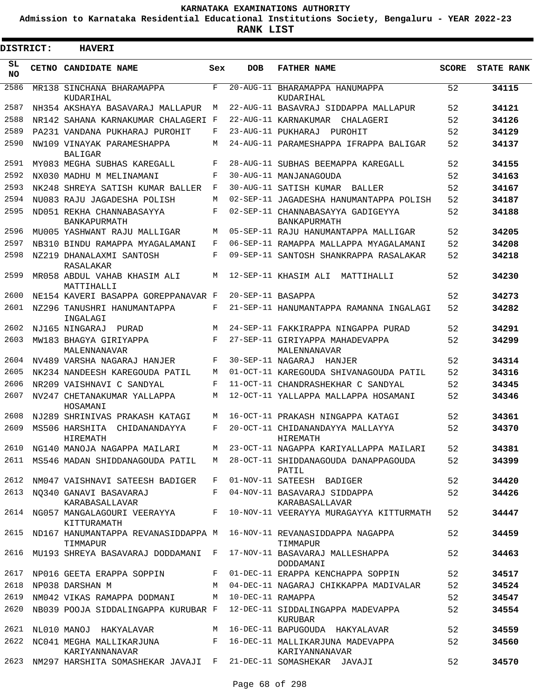**Admission to Karnataka Residential Educational Institutions Society, Bengaluru - YEAR 2022-23**

 $\blacksquare$ 

**RANK LIST**

| <b>DISTRICT:</b> |       | <b>HAVERI</b>                                                                            |     |                     |                                                   |              |                   |
|------------------|-------|------------------------------------------------------------------------------------------|-----|---------------------|---------------------------------------------------|--------------|-------------------|
| SL<br><b>NO</b>  | CETNO | <b>CANDIDATE NAME</b>                                                                    | Sex | <b>DOB</b>          | <b>FATHER NAME</b>                                | <b>SCORE</b> | <b>STATE RANK</b> |
| 2586             |       | MR138 SINCHANA BHARAMAPPA<br>KUDARIHAL                                                   | F   | 20-AUG-11           | BHARAMAPPA HANUMAPPA<br>KUDARIHAL                 | 52           | 34115             |
| 2587             |       | NH354 AKSHAYA BASAVARAJ MALLAPUR                                                         | M   |                     | 22-AUG-11 BASAVRAJ SIDDAPPA MALLAPUR              | 52           | 34121             |
| 2588             |       | NR142 SAHANA KARNAKUMAR CHALAGERI F                                                      |     |                     | 22-AUG-11 KARNAKUMAR CHALAGERI                    | 52           | 34126             |
| 2589             |       | PA231 VANDANA PUKHARAJ PUROHIT                                                           | F   |                     | 23-AUG-11 PUKHARAJ<br>PUROHIT                     | 52           | 34129             |
| 2590             |       | NW109 VINAYAK PARAMESHAPPA<br><b>BALIGAR</b>                                             | М   |                     | 24-AUG-11 PARAMESHAPPA IFRAPPA BALIGAR            | 52           | 34137             |
| 2591             |       | MY083 MEGHA SUBHAS KAREGALL                                                              | F   |                     | 28-AUG-11 SUBHAS BEEMAPPA KAREGALL                | 52           | 34155             |
| 2592             |       | NX030 MADHU M MELINAMANI                                                                 | F   |                     | 30-AUG-11 MANJANAGOUDA                            | 52           | 34163             |
| 2593             |       | NK248 SHREYA SATISH KUMAR BALLER                                                         | F   |                     | 30-AUG-11 SATISH KUMAR<br>BALLER                  | 52           | 34167             |
| 2594             |       | NU083 RAJU JAGADESHA POLISH                                                              | M   |                     | 02-SEP-11 JAGADESHA HANUMANTAPPA POLISH           | 52           | 34187             |
| 2595             |       | ND051 REKHA CHANNABASAYYA<br>BANKAPURMATH                                                | F   |                     | 02-SEP-11 CHANNABASAYYA GADIGEYYA<br>BANKAPURMATH | 52           | 34188             |
| 2596             |       | MU005 YASHWANT RAJU MALLIGAR                                                             | M   |                     | 05-SEP-11 RAJU HANUMANTAPPA MALLIGAR              | 52           | 34205             |
| 2597             |       | NB310 BINDU RAMAPPA MYAGALAMANI                                                          | F   |                     | 06-SEP-11 RAMAPPA MALLAPPA MYAGALAMANI            | 52           | 34208             |
| 2598             |       | NZ219 DHANALAXMI SANTOSH<br><b>RASALAKAR</b>                                             | F   |                     | 09-SEP-11 SANTOSH SHANKRAPPA RASALAKAR            | 52           | 34218             |
| 2599             |       | MR058 ABDUL VAHAB KHASIM ALI<br>MATTIHALLI                                               | M   |                     | 12-SEP-11 KHASIM ALI<br>MATTIHALLI                | 52           | 34230             |
| 2600             |       | NE154 KAVERI BASAPPA GOREPPANAVAR F                                                      |     | 20-SEP-11 BASAPPA   |                                                   | 52           | 34273             |
| 2601             |       | NZ296 TANUSHRI HANUMANTAPPA<br>INGALAGI                                                  | F   |                     | 21-SEP-11 HANUMANTAPPA RAMANNA INGALAGI           | 52           | 34282             |
| 2602             |       | NJ165 NINGARAJ<br>PURAD                                                                  | M   |                     | 24-SEP-11 FAKKIRAPPA NINGAPPA PURAD               | 52           | 34291             |
| 2603             |       | MW183 BHAGYA GIRIYAPPA<br>MALENNANAVAR                                                   | F   |                     | 27-SEP-11 GIRIYAPPA MAHADEVAPPA<br>MALENNANAVAR   | 52           | 34299             |
| 2604             |       | NV489 VARSHA NAGARAJ HANJER                                                              | F   | 30-SEP-11 NAGARAJ   | HANJER                                            | 52           | 34314             |
| 2605             |       | NK234 NANDEESH KAREGOUDA PATIL                                                           | M   |                     | 01-OCT-11 KAREGOUDA SHIVANAGOUDA PATIL            | 52           | 34316             |
| 2606             |       | NR209 VAISHNAVI C SANDYAL                                                                | F   |                     | 11-OCT-11 CHANDRASHEKHAR C SANDYAL                | 52           | 34345             |
| 2607             |       | NV247 CHETANAKUMAR YALLAPPA<br>HOSAMANI                                                  | M   |                     | 12-OCT-11 YALLAPPA MALLAPPA HOSAMANI              | 52           | 34346             |
| 2608             |       | NJ289 SHRINIVAS PRAKASH KATAGI                                                           | М   |                     | 16-OCT-11 PRAKASH NINGAPPA KATAGI                 | 52           | 34361             |
| 2609             |       | MS506 HARSHITA<br>CHIDANANDAYYA<br>HIREMATH                                              | F   |                     | 20-OCT-11 CHIDANANDAYYA MALLAYYA<br>HIREMATH      | 52           | 34370             |
|                  |       | 2610 NG140 MANOJA NAGAPPA MAILARI                                                        |     |                     | M 23-OCT-11 NAGAPPA KARIYALLAPPA MAILARI          | 52           | 34381             |
| 2611             |       | MS546 MADAN SHIDDANAGOUDA PATIL                                                          | M   |                     | 28-OCT-11 SHIDDANAGOUDA DANAPPAGOUDA<br>PATIL     | 52           | 34399             |
|                  |       | 2612 NM047 VAISHNAVI SATEESH BADIGER                                                     | F   |                     | 01-NOV-11 SATEESH BADIGER                         | 52           | 34420             |
|                  |       | 2613 NO340 GANAVI BASAVARAJ<br>KARABASALLAVAR                                            | F   |                     | 04-NOV-11 BASAVARAJ SIDDAPPA<br>KARABASALLAVAR    | 52           | 34426             |
|                  |       | 2614 NG057 MANGALAGOURI VEERAYYA<br>KITTURAMATH                                          |     |                     | F 10-NOV-11 VEERAYYA MURAGAYYA KITTURMATH         | 52           | 34447             |
|                  |       | 2615 ND167 HANUMANTAPPA REVANASIDDAPPA M 16-NOV-11 REVANASIDDAPPA NAGAPPA<br>TIMMAPUR    |     |                     | TIMMAPUR                                          | 52           | 34459             |
| 2616             |       | MU193 SHREYA BASAVARAJ DODDAMANI F                                                       |     |                     | 17-NOV-11 BASAVARAJ MALLESHAPPA<br>DODDAMANI      | 52           | 34463             |
| 2617             |       | NP016 GEETA ERAPPA SOPPIN                                                                | F   |                     | 01-DEC-11 ERAPPA KENCHAPPA SOPPIN                 | 52           | 34517             |
|                  |       | 2618 NP038 DARSHAN M                                                                     | M   |                     | 04-DEC-11 NAGARAJ CHIKKAPPA MADIVALAR             | 52           | 34524             |
| 2619             |       | NM042 VIKAS RAMAPPA DODMANI                                                              |     | M 10-DEC-11 RAMAPPA |                                                   | 52           | 34547             |
| 2620             |       | NB039 POOJA SIDDALINGAPPA KURUBAR F                                                      |     |                     | 12-DEC-11 SIDDALINGAPPA MADEVAPPA<br>KURUBAR      | 52           | 34554             |
| 2621             |       | NL010 MANOJ HAKYALAVAR                                                                   |     |                     | M 16-DEC-11 BAPUGOUDA HAKYALAVAR                  | 52           | 34559             |
|                  |       | 2622 NC041 MEGHA MALLIKARJUNA KALA SERI TERLETA MALLIKARJUNA MADEVAPPA<br>KARIYANNANAVAR |     |                     | KARIYANNANAVAR                                    | 52           | 34560             |
| 2623             |       | NM297 HARSHITA SOMASHEKAR JAVAJI F                                                       |     |                     | 21-DEC-11 SOMASHEKAR JAVAJI                       | 52           | 34570             |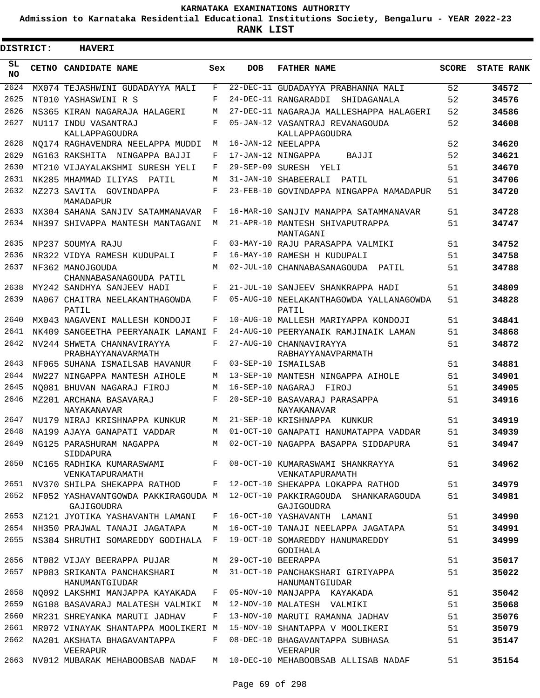**Admission to Karnataka Residential Educational Institutions Society, Bengaluru - YEAR 2022-23**

**RANK LIST**

Е

| <b>DISTRICT:</b> |  | <b>HAVERI</b>                                    |     |                   |                                                                                        |              |                   |
|------------------|--|--------------------------------------------------|-----|-------------------|----------------------------------------------------------------------------------------|--------------|-------------------|
| SL.<br><b>NO</b> |  | CETNO CANDIDATE NAME                             | Sex | <b>DOB</b>        | <b>FATHER NAME</b>                                                                     | <b>SCORE</b> | <b>STATE RANK</b> |
| 2624             |  | MX074 TEJASHWINI GUDADAYYA MALI                  | F   |                   | 22-DEC-11 GUDADAYYA PRABHANNA MALI                                                     | 52           | 34572             |
| 2625             |  | NT010 YASHASWINI R S                             | F   |                   | 24-DEC-11 RANGARADDI<br>SHIDAGANALA                                                    | 52           | 34576             |
| 2626             |  | NS365 KIRAN NAGARAJA HALAGERI                    | М   |                   | 27-DEC-11 NAGARAJA MALLESHAPPA HALAGERI                                                | 52           | 34586             |
| 2627             |  | NU117 INDU VASANTRAJ<br>KALLAPPAGOUDRA           | F   |                   | 05-JAN-12 VASANTRAJ REVANAGOUDA<br>KALLAPPAGOUDRA                                      | 52           | 34608             |
| 2628             |  | NO174 RAGHAVENDRA NEELAPPA MUDDI                 | М   |                   | 16-JAN-12 NEELAPPA                                                                     | 52           | 34620             |
| 2629             |  | NG163 RAKSHITA NINGAPPA BAJJI                    | F   |                   | 17-JAN-12 NINGAPPA<br>BAJJI                                                            | 52           | 34621             |
| 2630             |  | MT210 VIJAYALAKSHMI SURESH YELI                  | F   |                   | 29-SEP-09 SURESH YELI                                                                  | 51           | 34670             |
| 2631             |  | NK285 MHAMMAD ILIYAS<br>PATIL                    | М   |                   | 31-JAN-10 SHABEERALI<br>PATIL                                                          | 51           | 34706             |
| 2632             |  | NZ273 SAVITA GOVINDAPPA<br>MAMADAPUR             | F   |                   | 23-FEB-10 GOVINDAPPA NINGAPPA MAMADAPUR                                                | 51           | 34720             |
| 2633             |  | NX304 SAHANA SANJIV SATAMMANAVAR                 | F   |                   | 16-MAR-10 SANJIV MANAPPA SATAMMANAVAR                                                  | 51           | 34728             |
| 2634             |  | NH397 SHIVAPPA MANTESH MANTAGANI                 | М   |                   | 21-APR-10 MANTESH SHIVAPUTRAPPA<br>MANTAGANI                                           | 51           | 34747             |
| 2635             |  | NP237 SOUMYA RAJU                                | F   |                   | 03-MAY-10 RAJU PARASAPPA VALMIKI                                                       | 51           | 34752             |
| 2636             |  | NR322 VIDYA RAMESH KUDUPALI                      | F   |                   | 16-MAY-10 RAMESH H KUDUPALI                                                            | 51           | 34758             |
| 2637             |  | NF362 MANOJGOUDA<br>CHANNABASANAGOUDA PATIL      | M   |                   | 02-JUL-10 CHANNABASANAGOUDA PATIL                                                      | 51           | 34788             |
| 2638             |  | MY242 SANDHYA SANJEEV HADI                       | F   |                   | 21-JUL-10 SANJEEV SHANKRAPPA HADI                                                      | 51           | 34809             |
| 2639             |  | NA067 CHAITRA NEELAKANTHAGOWDA                   | F   |                   | 05-AUG-10 NEELAKANTHAGOWDA YALLANAGOWDA                                                | 51           | 34828             |
|                  |  | PATIL                                            |     |                   | PATIL                                                                                  |              |                   |
| 2640             |  | MX043 NAGAVENI MALLESH KONDOJI                   | F   |                   | 10-AUG-10 MALLESH MARIYAPPA KONDOJI                                                    | 51           | 34841             |
| 2641             |  | NK409 SANGEETHA PEERYANAIK LAMANI F              |     |                   | 24-AUG-10 PEERYANAIK RAMJINAIK LAMAN                                                   | 51           | 34868             |
| 2642             |  | NV244 SHWETA CHANNAVIRAYYA<br>PRABHAYYANAVARMATH | F   |                   | 27-AUG-10 CHANNAVIRAYYA<br>RABHAYYANAVPARMATH                                          | 51           | 34872             |
| 2643             |  | NF065 SUHANA ISMAILSAB HAVANUR                   | F   |                   | 03-SEP-10 ISMAILSAB                                                                    | 51           | 34881             |
| 2644             |  | NW227 NINGAPPA MANTESH AIHOLE                    | М   |                   | 13-SEP-10 MANTESH NINGAPPA AIHOLE                                                      | 51           | 34901             |
| 2645             |  | NO081 BHUVAN NAGARAJ FIROJ                       | М   | 16-SEP-10 NAGARAJ | FIROJ                                                                                  | 51           | 34905             |
| 2646             |  | MZ201 ARCHANA BASAVARAJ<br>NAYAKANAVAR           | F   |                   | 20-SEP-10 BASAVARAJ PARASAPPA<br>NAYAKANAVAR                                           | 51           | 34916             |
| 2647             |  | NU179 NIRAJ KRISHNAPPA KUNKUR                    | М   |                   | 21-SEP-10 KRISHNAPPA KUNKUR                                                            | 51           | 34919             |
| 2648             |  | NA199 AJAYA GANAPATI VADDAR                      | M   |                   | 01-OCT-10 GANAPATI HANUMATAPPA VADDAR                                                  | 51           | 34939             |
| 2649             |  | NG125 PARASHURAM NAGAPPA<br>SIDDAPURA            | М   |                   | 02-OCT-10 NAGAPPA BASAPPA SIDDAPURA                                                    | 51           | 34947             |
| 2650             |  | NC165 RADHIKA KUMARASWAMI<br>VENKATAPURAMATH     |     |                   | F 08-OCT-10 KUMARASWAMI SHANKRAYYA<br>VENKATAPURAMATH                                  | 51           | 34962             |
|                  |  | 2651 NV370 SHILPA SHEKAPPA RATHOD                |     |                   | F 12-OCT-10 SHEKAPPA LOKAPPA RATHOD                                                    | 51           | 34979             |
| 2652             |  | GAJIGOUDRA                                       |     |                   | NF052 YASHAVANTGOWDA PAKKIRAGOUDA M 12-OCT-10 PAKKIRAGOUDA SHANKARAGOUDA<br>GAJIGOUDRA | 51           | 34981             |
| 2653             |  | NZ121 JYOTIKA YASHAVANTH LAMANI                  | F   |                   | 16-OCT-10 YASHAVANTH LAMANI                                                            | 51           | 34990             |
| 2654             |  | NH350 PRAJWAL TANAJI JAGATAPA                    | М   |                   | 16-OCT-10 TANAJI NEELAPPA JAGATAPA                                                     | 51           | 34991             |
| 2655             |  | NS384 SHRUTHI SOMAREDDY GODIHALA F               |     |                   | 19-OCT-10 SOMAREDDY HANUMAREDDY<br>GODIHALA                                            | 51           | 34999             |
| 2656             |  | NT082 VIJAY BEERAPPA PUJAR                       | М   |                   | 29-OCT-10 BEERAPPA                                                                     | 51           | 35017             |
| 2657             |  | NP083 SRIKANTA PANCHAKSHARI<br>HANUMANTGIUDAR    | M   |                   | 31-OCT-10 PANCHAKSHARI GIRIYAPPA<br>HANUMANTGIUDAR                                     | 51           | 35022             |
| 2658             |  | NQ092 LAKSHMI MANJAPPA KAYAKADA                  | F   |                   | 05-NOV-10 MANJAPPA KAYAKADA                                                            | 51           | 35042             |
| 2659             |  | NG108 BASAVARAJ MALATESH VALMIKI                 | M   |                   | 12-NOV-10 MALATESH VALMIKI                                                             | 51           | 35068             |
| 2660             |  | MR231 SHREYANKA MARUTI JADHAV                    | F   |                   | 13-NOV-10 MARUTI RAMANNA JADHAV                                                        | 51           | 35076             |
| 2661             |  | MR072 VINAYAK SHANTAPPA MOOLIKERI M              |     |                   | 15-NOV-10 SHANTAPPA V MOOLIKERI                                                        | 51           | 35079             |
| 2662             |  | NA201 AKSHATA BHAGAVANTAPPA<br>VEERAPUR          | F   |                   | 08-DEC-10 BHAGAVANTAPPA SUBHASA<br>VEERAPUR                                            | 51           | 35147             |
| 2663             |  | NV012 MUBARAK MEHABOOBSAB NADAF                  | M   |                   | 10-DEC-10 MEHABOOBSAB ALLISAB NADAF                                                    | 51           | 35154             |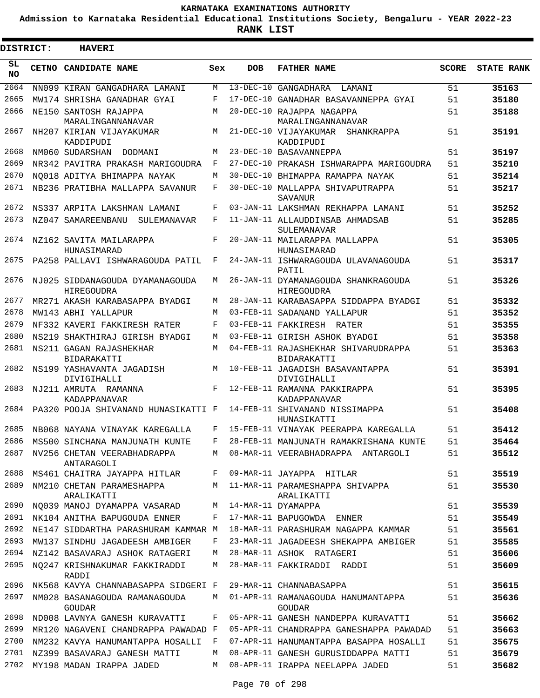**Admission to Karnataka Residential Educational Institutions Society, Bengaluru - YEAR 2022-23**

| DISTRICT:       | <b>HAVERI</b>                                        |     |            |                                                     |              |                   |
|-----------------|------------------------------------------------------|-----|------------|-----------------------------------------------------|--------------|-------------------|
| SL<br><b>NO</b> | CETNO CANDIDATE NAME                                 | Sex | <b>DOB</b> | <b>FATHER NAME</b>                                  | <b>SCORE</b> | <b>STATE RANK</b> |
| 2664            | NN099 KIRAN GANGADHARA LAMANI                        | M   |            | $13-\text{DEC}-10$ GANGADHARA<br>LAMANI             | 51           | 35163             |
| 2665            | MW174 SHRISHA GANADHAR GYAI                          | F   |            | 17-DEC-10 GANADHAR BASAVANNEPPA GYAI                | 51           | 35180             |
| 2666            | NE150 SANTOSH RAJAPPA<br>MARALINGANNANAVAR           | M   |            | 20-DEC-10 RAJAPPA NAGAPPA<br>MARALINGANNANAVAR      | 51           | 35188             |
| 2667            | NH207 KIRIAN VIJAYAKUMAR<br>KADDIPUDI                | M   |            | 21-DEC-10 VIJAYAKUMAR SHANKRAPPA<br>KADDIPUDI       | 51           | 35191             |
| 2668            | NM060 SUDARSHAN<br>DODMANI                           | M   |            | 23-DEC-10 BASAVANNEPPA                              | 51           | 35197             |
| 2669            | NR342 PAVITRA PRAKASH MARIGOUDRA                     | F   |            | 27-DEC-10 PRAKASH ISHWARAPPA MARIGOUDRA             | 51           | 35210             |
| 2670            | NO018 ADITYA BHIMAPPA NAYAK                          | M   |            | 30-DEC-10 BHIMAPPA RAMAPPA NAYAK                    | 51           | 35214             |
| 2671            | NB236 PRATIBHA MALLAPPA SAVANUR                      | F   |            | 30-DEC-10 MALLAPPA SHIVAPUTRAPPA<br>SAVANUR         | 51           | 35217             |
| 2672            | NS337 ARPITA LAKSHMAN LAMANI                         | F   |            | 03-JAN-11 LAKSHMAN REKHAPPA LAMANI                  | 51           | 35252             |
| 2673            | NZ047 SAMAREENBANU<br>SULEMANAVAR                    | F   |            | 11-JAN-11 ALLAUDDINSAB AHMADSAB<br>SULEMANAVAR      | 51           | 35285             |
| 2674            | NZ162 SAVITA MAILARAPPA<br>HUNASIMARAD               | F   |            | 20-JAN-11 MAILARAPPA MALLAPPA<br>HUNASIMARAD        | 51           | 35305             |
| 2675            | PA258 PALLAVI ISHWARAGOUDA PATIL                     | F   |            | 24-JAN-11 ISHWARAGOUDA ULAVANAGOUDA<br>PATIL        | 51           | 35317             |
| 2676            | NJ025 SIDDANAGOUDA DYAMANAGOUDA<br><b>HIREGOUDRA</b> | М   |            | 26-JAN-11 DYAMANAGOUDA SHANKRAGOUDA<br>HIREGOUDRA   | 51           | 35326             |
| 2677            | MR271 AKASH KARABASAPPA BYADGI                       | M   |            | 28-JAN-11 KARABASAPPA SIDDAPPA BYADGI               | 51           | 35332             |
| 2678            | MW143 ABHI YALLAPUR                                  | M   |            | 03-FEB-11 SADANAND YALLAPUR                         | 51           | 35352             |
| 2679            | NF332 KAVERI FAKKIRESH RATER                         | F   |            | 03-FEB-11 FAKKIRESH RATER                           | 51           | 35355             |
| 2680            | NS219 SHAKTHIRAJ GIRISH BYADGI                       | M   |            | 03-FEB-11 GIRISH ASHOK BYADGI                       | 51           | 35358             |
| 2681            | NS211 GAGAN RAJASHEKHAR<br>BIDARAKATTI               | M   |            | 04-FEB-11 RAJASHEKHAR SHIVARUDRAPPA<br>BIDARAKATTI  | 51           | 35363             |
| 2682            | NS199 YASHAVANTA JAGADISH<br>DIVIGIHALLI             | M   |            | 10-FEB-11 JAGADISH BASAVANTAPPA<br>DIVIGIHALLI      | 51           | 35391             |
| 2683            | NJ211 AMRUTA RAMANNA<br>KADAPPANAVAR                 | F   |            | 12-FEB-11 RAMANNA PAKKIRAPPA<br>KADAPPANAVAR        | 51           | 35395             |
| 2684            | PA320 POOJA SHIVANAND HUNASIKATTI F                  |     |            | 14-FEB-11 SHIVANAND NISSIMAPPA<br>HUNASIKATTI       | 51           | 35408             |
| 2685            | NB068 NAYANA VINAYAK KAREGALLA                       | F   |            | 15-FEB-11 VINAYAK PEERAPPA KAREGALLA                | 51           | 35412             |
|                 | 2686 MS500 SINCHANA MANJUNATH KUNTE                  |     |            | F 28-FEB-11 MANJUNATH RAMAKRISHANA KUNTE            | 51           | 35464             |
| 2687            | NV256 CHETAN VEERABHADRAPPA<br>ANTARAGOLI            | M   |            | 08-MAR-11 VEERABHADRAPPA ANTARGOLI                  | 51           | 35512             |
| 2688            | MS461 CHAITRA JAYAPPA HITLAR                         | F   |            | 09-MAR-11 JAYAPPA HITLAR                            | 51           | 35519             |
| 2689            | NM210 CHETAN PARAMESHAPPA<br>ARALIKATTI              | M   |            | 11-MAR-11 PARAMESHAPPA SHIVAPPA<br>ARALIKATTI       | 51           | 35530             |
| 2690            | NQ039 MANOJ DYAMAPPA VASARAD                         | М   |            | 14-MAR-11 DYAMAPPA                                  | 51           | 35539             |
| 2691            | NK104 ANITHA BAPUGOUDA ENNER                         | F   |            | 17-MAR-11 BAPUGOWDA ENNER                           | 51           | 35549             |
| 2692            | NE147 SIDDARTHA PARASHURAM KAMMAR M                  |     |            | 18-MAR-11 PARASHURAM NAGAPPA KAMMAR                 | 51           | 35561             |
| 2693            | MW137 SINDHU JAGADEESH AMBIGER                       | F   |            | 23-MAR-11 JAGADEESH SHEKAPPA AMBIGER                | 51           | 35585             |
| 2694            | NZ142 BASAVARAJ ASHOK RATAGERI                       | M   |            | 28-MAR-11 ASHOK RATAGERI                            | 51           | 35606             |
| 2695            | NO247 KRISHNAKUMAR FAKKIRADDI<br>RADDI               | M   |            | 28-MAR-11 FAKKIRADDI RADDI                          | 51           | 35609             |
| 2696            | NK568 KAVYA CHANNABASAPPA SIDGERI F                  |     |            | 29-MAR-11 CHANNABASAPPA                             | 51           | 35615             |
| 2697            | NM028 BASANAGOUDA RAMANAGOUDA<br><b>GOUDAR</b>       | M   |            | 01-APR-11 RAMANAGOUDA HANUMANTAPPA<br><b>GOUDAR</b> | 51           | 35636             |
| 2698            | ND008 LAVNYA GANESH KURAVATTI                        | F   |            | 05-APR-11 GANESH NANDEPPA KURAVATTI                 | 51           | 35662             |
| 2699            | MR120 NAGAVENI CHANDRAPPA PAWADAD F                  |     |            | 05-APR-11 CHANDRAPPA GANESHAPPA PAWADAD             | 51           | 35663             |
| 2700            | NM232 KAVYA HANUMANTAPPA HOSALLI F                   |     |            | 07-APR-11 HANUMANTAPPA BASAPPA HOSALLI              | 51           | 35675             |
| 2701            | NZ399 BASAVARAJ GANESH MATTI                         | M   |            | 08-APR-11 GANESH GURUSIDDAPPA MATTI                 | 51           | 35679             |
| 2702            | MY198 MADAN IRAPPA JADED                             | M   |            | 08-APR-11 IRAPPA NEELAPPA JADED                     | 51           | 35682             |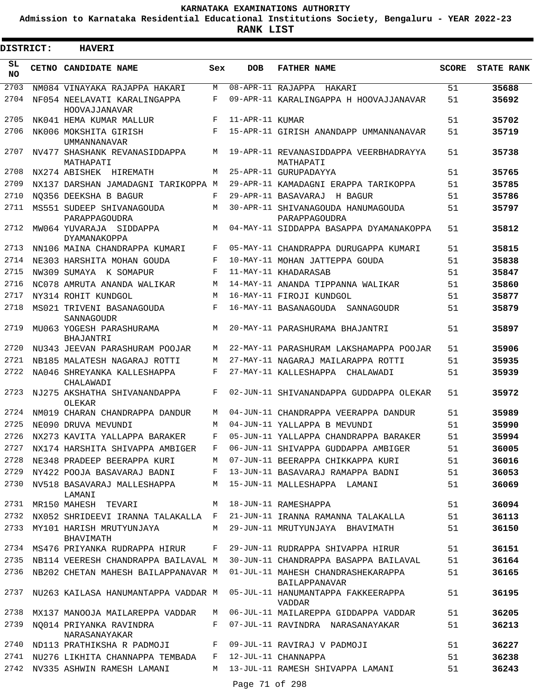**Admission to Karnataka Residential Educational Institutions Society, Bengaluru - YEAR 2022-23**

**RANK LIST**

| <b>DISTRICT:</b> | <b>HAVERI</b>                                  |     |                   |                                                     |              |                   |
|------------------|------------------------------------------------|-----|-------------------|-----------------------------------------------------|--------------|-------------------|
| SL<br><b>NO</b>  | <b>CETNO CANDIDATE NAME</b>                    | Sex | <b>DOB</b>        | <b>FATHER NAME</b>                                  | <b>SCORE</b> | <b>STATE RANK</b> |
| 2703             | NM084 VINAYAKA RAJAPPA HAKARI                  | M   | 08-APR-11 RAJAPPA | HAKARI                                              | 51           | 35688             |
| 2704             | NF054 NEELAVATI KARALINGAPPA<br>HOOVAJJANAVAR  | F   |                   | 09-APR-11 KARALINGAPPA H HOOVAJJANAVAR              | 51           | 35692             |
| 2705             | NK041 HEMA KUMAR MALLUR                        | F   | 11-APR-11 KUMAR   |                                                     | 51           | 35702             |
| 2706             | NK006 MOKSHITA GIRISH<br><b>UMMANNANAVAR</b>   | F   |                   | 15-APR-11 GIRISH ANANDAPP UMMANNANAVAR              | 51           | 35719             |
| 2707             | NV477 SHASHANK REVANASIDDAPPA<br>MATHAPATI     | М   |                   | 19-APR-11 REVANASIDDAPPA VEERBHADRAYYA<br>MATHAPATI | 51           | 35738             |
| 2708             | NX274 ABISHEK<br>HIREMATH                      | M   |                   | 25-APR-11 GURUPADAYYA                               | 51           | 35765             |
| 2709             | NX137 DARSHAN JAMADAGNI TARIKOPPA M            |     |                   | 29-APR-11 KAMADAGNI ERAPPA TARIKOPPA                | 51           | 35785             |
| 2710             | NO356 DEEKSHA B BAGUR                          | F   |                   | 29-APR-11 BASAVARAJ<br>H BAGUR                      | 51           | 35786             |
| 2711             | MS551 SUDEEP SHIVANAGOUDA<br>PARAPPAGOUDRA     | М   |                   | 30-APR-11 SHIVANAGOUDA HANUMAGOUDA<br>PARAPPAGOUDRA | 51           | 35797             |
| 2712             | MW064 YUVARAJA SIDDAPPA<br><b>DYAMANAKOPPA</b> | M   |                   | 04-MAY-11 SIDDAPPA BASAPPA DYAMANAKOPPA             | 51           | 35812             |
| 2713             | NN106 MAINA CHANDRAPPA KUMARI                  | F   |                   | 05-MAY-11 CHANDRAPPA DURUGAPPA KUMARI               | 51           | 35815             |
| 2714             | NE303 HARSHITA MOHAN GOUDA                     | F   |                   | 10-MAY-11 MOHAN JATTEPPA GOUDA                      | 51           | 35838             |
| 2715             | NW309 SUMAYA K SOMAPUR                         | F   |                   | 11-MAY-11 KHADARASAB                                | 51           | 35847             |
| 2716             | NC078 AMRUTA ANANDA WALIKAR                    | М   |                   | 14-MAY-11 ANANDA TIPPANNA WALIKAR                   | 51           | 35860             |
| 2717             | NY314 ROHIT KUNDGOL                            | М   |                   | 16-MAY-11 FIROJI KUNDGOL                            | 51           | 35877             |
| 2718             | MS021 TRIVENI BASANAGOUDA<br>SANNAGOUDR        | F   |                   | 16-MAY-11 BASANAGOUDA<br>SANNAGOUDR                 | 51           | 35879             |
| 2719             | MU063 YOGESH PARASHURAMA<br>BHAJANTRI          | M   |                   | 20-MAY-11 PARASHURAMA BHAJANTRI                     | 51           | 35897             |
| 2720             | NU343 JEEVAN PARASHURAM POOJAR                 | М   |                   | 22-MAY-11 PARASHURAM LAKSHAMAPPA POOJAR             | 51           | 35906             |
| 2721             | NB185 MALATESH NAGARAJ ROTTI                   | M   |                   | 27-MAY-11 NAGARAJ MAILARAPPA ROTTI                  | 51           | 35935             |
| 2722             | NA046 SHREYANKA KALLESHAPPA<br>CHALAWADI       | F   |                   | 27-MAY-11 KALLESHAPPA<br>CHALAWADI                  | 51           | 35939             |
| 2723             | NJ275 AKSHATHA SHIVANANDAPPA<br>OLEKAR         | F   |                   | 02-JUN-11 SHIVANANDAPPA GUDDAPPA OLEKAR             | 51           | 35972             |
| 2724             | NM019 CHARAN CHANDRAPPA DANDUR                 | M   |                   | 04-JUN-11 CHANDRAPPA VEERAPPA DANDUR                | 51           | 35989             |
| 2725             | NE090 DRUVA MEVUNDI                            | М   |                   | 04-JUN-11 YALLAPPA B MEVUNDI                        | 51           | 35990             |
| 2726             | NX273 KAVITA YALLAPPA BARAKER                  | F   |                   | 05-JUN-11 YALLAPPA CHANDRAPPA BARAKER               | 51           | 35994             |
| 2727             | NX174 HARSHITA SHIVAPPA AMBIGER                | F   |                   | 06-JUN-11 SHIVAPPA GUDDAPPA AMBIGER                 | 51           | 36005             |
| 2728             | NE348 PRADEEP BEERAPPA KURI                    | M   |                   | 07-JUN-11 BEERAPPA CHIKKAPPA KURI                   | 51           | 36016             |
| 2729             | NY422 POOJA BASAVARAJ BADNI                    | F   |                   | 13-JUN-11 BASAVARAJ RAMAPPA BADNI                   | 51           | 36053             |
| 2730             | NV518 BASAVARAJ MALLESHAPPA<br>LAMANI          | M   |                   | 15-JUN-11 MALLESHAPPA LAMANI                        | 51           | 36069             |
| 2731             | MR150 MAHESH TEVARI                            | M   |                   | 18-JUN-11 RAMESHAPPA                                | 51           | 36094             |
| 2732             | NX052 SHRIDEEVI IRANNA TALAKALLA F             |     |                   | 21-JUN-11 IRANNA RAMANNA TALAKALLA                  | 51           | 36113             |
| 2733             | MY101 HARISH MRUTYUNJAYA<br>BHAVIMATH          | М   |                   | 29-JUN-11 MRUTYUNJAYA BHAVIMATH                     | 51           | 36150             |
| 2734             | MS476 PRIYANKA RUDRAPPA HIRUR                  | F   |                   | 29-JUN-11 RUDRAPPA SHIVAPPA HIRUR                   | 51           | 36151             |
| 2735             | NB114 VEERESH CHANDRAPPA BAILAVAL M            |     |                   | 30-JUN-11 CHANDRAPPA BASAPPA BAILAVAL               | 51           | 36164             |
| 2736             | NB202 CHETAN MAHESH BAILAPPANAVAR M            |     |                   | 01-JUL-11 MAHESH CHANDRASHEKARAPPA<br>BAILAPPANAVAR | 51           | 36165             |
| 2737             | NU263 KAILASA HANUMANTAPPA VADDAR M            |     |                   | 05-JUL-11 HANUMANTAPPA FAKKEERAPPA<br>VADDAR        | 51           | 36195             |
| 2738             | MX137 MANOOJA MAILAREPPA VADDAR                | М   |                   | 06-JUL-11 MAILAREPPA GIDDAPPA VADDAR                | 51           | 36205             |
| 2739             | NO014 PRIYANKA RAVINDRA<br>NARASANAYAKAR       | F   |                   | 07-JUL-11 RAVINDRA NARASANAYAKAR                    | 51           | 36213             |
| 2740             | ND113 PRATHIKSHA R PADMOJI                     | F   |                   | 09-JUL-11 RAVIRAJ V PADMOJI                         | 51           | 36227             |
| 2741             | NU276 LIKHITA CHANNAPPA TEMBADA                | F   |                   | 12-JUL-11 CHANNAPPA                                 | 51           | 36238             |
| 2742             | NV335 ASHWIN RAMESH LAMANI                     | M   |                   | 13-JUL-11 RAMESH SHIVAPPA LAMANI                    | 51           | 36243             |

Page 71 of 298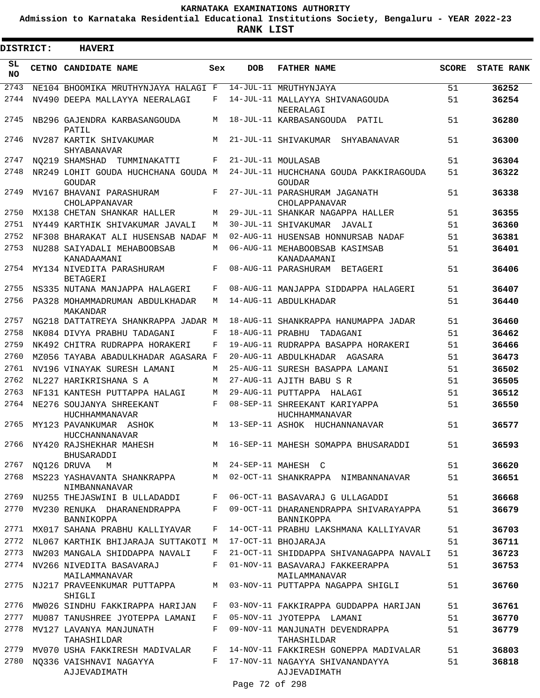**Admission to Karnataka Residential Educational Institutions Society, Bengaluru - YEAR 2022-23**

| <b>DISTRICT:</b> | <b>HAVERI</b>                                        |              |                  |                                                                              |              |                   |
|------------------|------------------------------------------------------|--------------|------------------|------------------------------------------------------------------------------|--------------|-------------------|
| SL<br><b>NO</b>  | CETNO CANDIDATE NAME                                 | Sex          | <b>DOB</b>       | <b>FATHER NAME</b>                                                           | <b>SCORE</b> | <b>STATE RANK</b> |
| 2743             | NE104 BHOOMIKA MRUTHYNJAYA HALAGI F                  |              |                  | 14-JUL-11 MRUTHYNJAYA                                                        | 51           | 36252             |
| 2744             | NV490 DEEPA MALLAYYA NEERALAGI                       | F            |                  | 14-JUL-11 MALLAYYA SHIVANAGOUDA<br>NEERALAGI                                 | 51           | 36254             |
| 2745             | NB296 GAJENDRA KARBASANGOUDA<br>PATIL                | М            |                  | 18-JUL-11 KARBASANGOUDA PATIL                                                | 51           | 36280             |
| 2746             | NV287 KARTIK SHIVAKUMAR<br>SHYABANAVAR               | М            |                  | 21-JUL-11 SHIVAKUMAR<br>SHYABANAVAR                                          | 51           | 36300             |
| 2747             | NO219 SHAMSHAD<br>TUMMINAKATTI                       | F            |                  | 21-JUL-11 MOULASAB                                                           | 51           | 36304             |
| 2748             | NR249 LOHIT GOUDA HUCHCHANA GOUDA M<br><b>GOUDAR</b> |              |                  | 24-JUL-11 HUCHCHANA GOUDA PAKKIRAGOUDA<br><b>GOUDAR</b>                      | 51           | 36322             |
| 2749             | MV167 BHAVANI PARASHURAM<br>CHOLAPPANAVAR            | F            |                  | 27-JUL-11 PARASHURAM JAGANATH<br>CHOLAPPANAVAR                               | 51           | 36338             |
| 2750             | MX138 CHETAN SHANKAR HALLER                          | М            |                  | 29-JUL-11 SHANKAR NAGAPPA HALLER                                             | 51           | 36355             |
| 2751             | NY449 KARTHIK SHIVAKUMAR JAVALI                      | M            |                  | 30-JUL-11 SHIVAKUMAR JAVALI                                                  | 51           | 36360             |
| 2752             | NF308 BHARAKAT ALI HUSENSAB NADAF                    | M            |                  | 02-AUG-11 HUSENSAB HONNURSAB NADAF                                           | 51           | 36381             |
| 2753             | NU288 SAIYADALI MEHABOOBSAB<br>KANADAAMANI           | М            |                  | 06-AUG-11 MEHABOOBSAB KASIMSAB<br>KANADAAMANI                                | 51           | 36401             |
| 2754             | MY134 NIVEDITA PARASHURAM<br><b>BETAGERI</b>         | F            |                  | 08-AUG-11 PARASHURAM BETAGERI                                                | 51           | 36406             |
| 2755             | NS335 NUTANA MANJAPPA HALAGERI                       | F            |                  | 08-AUG-11 MANJAPPA SIDDAPPA HALAGERI                                         | 51           | 36407             |
| 2756             | PA328 MOHAMMADRUMAN ABDULKHADAR<br>MAKANDAR          | М            |                  | 14-AUG-11 ABDULKHADAR                                                        | 51           | 36440             |
| 2757             | NG218 DATTATREYA SHANKRAPPA JADAR M                  |              |                  | 18-AUG-11 SHANKRAPPA HANUMAPPA JADAR                                         | 51           | 36460             |
| 2758             | NK084 DIVYA PRABHU TADAGANI                          | F            | 18-AUG-11 PRABHU | TADAGANI                                                                     | 51           | 36462             |
| 2759             | NK492 CHITRA RUDRAPPA HORAKERI                       | F            |                  | 19-AUG-11 RUDRAPPA BASAPPA HORAKERI                                          | 51           | 36466             |
| 2760             | MZ056 TAYABA ABADULKHADAR AGASARA F                  |              |                  | 20-AUG-11 ABDULKHADAR AGASARA                                                | 51           | 36473             |
| 2761             | NV196 VINAYAK SURESH LAMANI                          | М            |                  | 25-AUG-11 SURESH BASAPPA LAMANI                                              | 51           | 36502             |
| 2762             | NL227 HARIKRISHANA S A                               | М            |                  | 27-AUG-11 AJITH BABU S R                                                     | 51           | 36505             |
| 2763             | NF131 KANTESH PUTTAPPA HALAGI                        | М            |                  | 29-AUG-11 PUTTAPPA HALAGI                                                    | 51           | 36512             |
| 2764             | NE276 SOUJANYA SHREEKANT<br><b>HUCHHAMMANAVAR</b>    | F            |                  | 08-SEP-11 SHREEKANT KARIYAPPA<br>HUCHHAMMANAVAR                              | 51           | 36550             |
| 2765             | MY123 PAVANKUMAR ASHOK<br><b>HUCCHANNANAVAR</b>      | М            |                  | 13-SEP-11 ASHOK HUCHANNANAVAR                                                | 51           | 36577             |
|                  | 2766 NY420 RAJSHEKHAR MAHESH<br>BHUSARADDI           |              |                  | M 16-SEP-11 MAHESH SOMAPPA BHUSARADDI                                        | 51           | 36593             |
| 2767             | NQ126 DRUVA<br>M                                     |              |                  | M 24-SEP-11 MAHESH C                                                         | 51           | 36620             |
|                  | NIMBANNANAVAR                                        |              |                  | 2768 MS223 YASHAVANTA SHANKRAPPA MUMAN MO2-OCT-11 SHANKRAPPA NIMBANNANAVAR   | 51           | 36651             |
| 2769             | NU255 THEJASWINI B ULLADADDI                         |              |                  | F 06-OCT-11 BASAVARAJ G ULLAGADDI                                            | 51           | 36668             |
|                  | 2770 MV230 RENUKA DHARANENDRAPPA<br>BANNIKOPPA       |              |                  | F 09-OCT-11 DHARANENDRAPPA SHIVARAYAPPA<br>BANNIKOPPA                        | 51           | 36679             |
| 2771             | MX017 SAHANA PRABHU KALLIYAVAR                       | $F$ –        |                  | 14-OCT-11 PRABHU LAKSHMANA KALLIYAVAR                                        | 51           | 36703             |
|                  | 2772 NL067 KARTHIK BHIJARAJA SUTTAKOTI M             |              |                  | 17-OCT-11 BHOJARAJA                                                          | 51           | 36711             |
|                  | 2773 NW203 MANGALA SHIDDAPPA NAVALI                  | $\mathbf{F}$ |                  | 21-OCT-11 SHIDDAPPA SHIVANAGAPPA NAVALI                                      | 51           | 36723             |
|                  | 2774 NV266 NIVEDITA BASAVARAJ<br>MAILAMMANAVAR       | F            |                  | 01-NOV-11 BASAVARAJ FAKKEERAPPA<br>MAILAMMANAVAR                             | 51           | 36753             |
| 2775             | NJ217 PRAVEENKUMAR PUTTAPPA<br>SHIGLI                |              |                  | M 03-NOV-11 PUTTAPPA NAGAPPA SHIGLI                                          | 51           | 36760             |
|                  | 2776 MW026 SINDHU FAKKIRAPPA HARIJAN                 | F            |                  | 03-NOV-11 FAKKIRAPPA GUDDAPPA HARIJAN                                        | 51           | 36761             |
| 2777             | MU087 TANUSHREE JYOTEPPA LAMANI                      |              |                  | F 05-NOV-11 JYOTEPPA LAMANI                                                  | 51           | 36770             |
| 2778             | MV127 LAVANYA MANJUNATH<br>TAHASHILDAR               | $F -$        |                  | 09-NOV-11 MANJUNATH DEVENDRAPPA<br>TAHASHILDAR                               | 51           | 36779             |
| 2779             |                                                      |              |                  | MV070 USHA FAKKIRESH MADIVALAR     F   14-NOV-11 FAKKIRESH GONEPPA MADIVALAR | 51           | 36803             |
| 2780             | NO336 VAISHNAVI NAGAYYA<br>AJJEVADIMATH              |              |                  | F 17-NOV-11 NAGAYYA SHIVANANDAYYA<br>AJJEVADIMATH                            | 51           | 36818             |
|                  |                                                      |              | Page 72 of 298   |                                                                              |              |                   |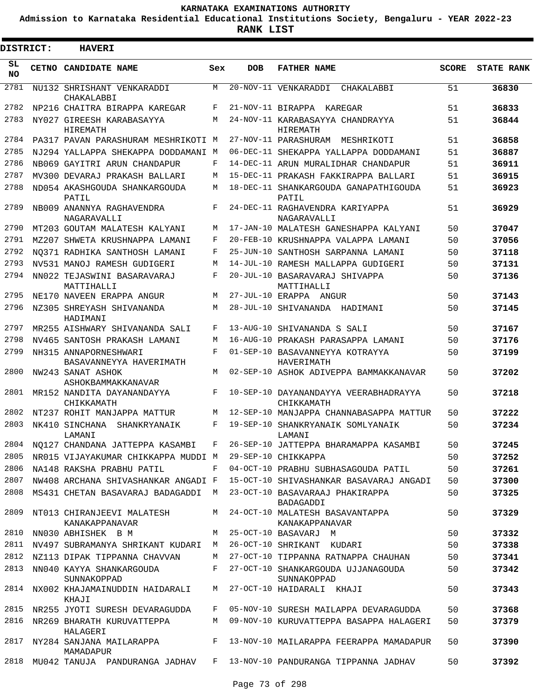**Admission to Karnataka Residential Educational Institutions Society, Bengaluru - YEAR 2022-23**

**RANK LIST**

Е

| DISTRICT:        | <b>HAVERI</b>                                                                  |     |                        |                                                                                 |              |                   |
|------------------|--------------------------------------------------------------------------------|-----|------------------------|---------------------------------------------------------------------------------|--------------|-------------------|
| SL.<br><b>NO</b> | <b>CETNO CANDIDATE NAME</b>                                                    | Sex | <b>DOB</b>             | <b>FATHER NAME</b>                                                              | <b>SCORE</b> | <b>STATE RANK</b> |
| 2781             | NU132 SHRISHANT VENKARADDI<br>CHAKALABBI                                       | M   |                        | 20-NOV-11 VENKARADDI<br>CHAKALABBI                                              | 51           | 36830             |
| 2782             | NP216 CHAITRA BIRAPPA KAREGAR                                                  | F   |                        | 21-NOV-11 BIRAPPA KAREGAR                                                       | 51           | 36833             |
| 2783             | NY027 GIREESH KARABASAYYA<br>HIREMATH                                          | M   |                        | 24-NOV-11 KARABASAYYA CHANDRAYYA<br>HIREMATH                                    | 51           | 36844             |
| 2784             | PA317 PAVAN PARASHURAM MESHRIKOTI M                                            |     |                        | 27-NOV-11 PARASHURAM MESHRIKOTI                                                 | 51           | 36858             |
| 2785             | NJ294 YALLAPPA SHEKAPPA DODDAMANI M                                            |     |                        | 06-DEC-11 SHEKAPPA YALLAPPA DODDAMANI                                           | 51           | 36887             |
| 2786             | NB069 GAYITRI ARUN CHANDAPUR                                                   | F   |                        | 14-DEC-11 ARUN MURALIDHAR CHANDAPUR                                             | 51           | 36911             |
| 2787             | MV300 DEVARAJ PRAKASH BALLARI                                                  | M   |                        | 15-DEC-11 PRAKASH FAKKIRAPPA BALLARI                                            | 51           | 36915             |
| 2788             | ND054 AKASHGOUDA SHANKARGOUDA<br>PATIL                                         | M   |                        | 18-DEC-11 SHANKARGOUDA GANAPATHIGOUDA<br>PATIL                                  | 51           | 36923             |
| 2789             | NB009 ANANNYA RAGHAVENDRA<br>NAGARAVALLI                                       | F   |                        | 24-DEC-11 RAGHAVENDRA KARIYAPPA<br>NAGARAVALLI                                  | 51           | 36929             |
| 2790             | MT203 GOUTAM MALATESH KALYANI                                                  | M   |                        | 17-JAN-10 MALATESH GANESHAPPA KALYANI                                           | 50           | 37047             |
| 2791             | MZ207 SHWETA KRUSHNAPPA LAMANI                                                 | F   | $20 - FEB - 10$        | KRUSHNAPPA VALAPPA LAMANI                                                       | 50           | 37056             |
| 2792             | NO371 RADHIKA SANTHOSH LAMANI                                                  | F   | 25-JUN-10              | SANTHOSH SARPANNA LAMANI                                                        | 50           | 37118             |
| 2793             | NV531 MANOJ RAMESH GUDIGERI                                                    | M   | $14 - JUL-10$          | RAMESH MALLAPPA GUDIGERI                                                        | 50           | 37131             |
| 2794             | NN022 TEJASWINI BASARAVARAJ<br>MATTIHALLI                                      | F   |                        | 20-JUL-10 BASARAVARAJ SHIVAPPA<br>MATTIHALLI                                    | 50           | 37136             |
| 2795             | NE170 NAVEEN ERAPPA ANGUR                                                      | M   |                        | 27-JUL-10 ERAPPA ANGUR                                                          | 50           | 37143             |
| 2796             | NZ305 SHREYASH SHIVANANDA<br>HADIMANI                                          | M   | $28 - JUL - 10$        | SHIVANANDA HADIMANI                                                             | 50           | 37145             |
| 2797             | MR255 AISHWARY SHIVANANDA SALI                                                 | F   | $13 - \text{AUG} - 10$ | SHIVANANDA S SALI                                                               | 50           | 37167             |
| 2798             | NV465 SANTOSH PRAKASH LAMANI                                                   | M   | $16 - \text{AUG} - 10$ | PRAKASH PARASAPPA LAMANI                                                        | 50           | 37176             |
| 2799             | NH315 ANNAPORNESHWARI<br>BASAVANNEYYA HAVERIMATH                               | F   |                        | 01-SEP-10 BASAVANNEYYA KOTRAYYA<br>HAVERIMATH                                   | 50           | 37199             |
| 2800             | NW243 SANAT ASHOK<br>ASHOKBAMMAKKANAVAR                                        | M   |                        | 02-SEP-10 ASHOK ADIVEPPA BAMMAKKANAVAR                                          | 50           | 37202             |
| 2801             | MR152 NANDITA DAYANANDAYYA<br>CHIKKAMATH                                       | F   |                        | 10-SEP-10 DAYANANDAYYA VEERABHADRAYYA<br>CHIKKAMATH                             | 50           | 37218             |
| 2802             | NT237 ROHIT MANJAPPA MATTUR                                                    | M   |                        | 12-SEP-10 MANJAPPA CHANNABASAPPA MATTUR                                         | 50           | 37222             |
| 2803             | NK410 SINCHANA<br>SHANKRYANAIK<br>LAMANI                                       | F   |                        | 19-SEP-10 SHANKRYANAIK SOMLYANAIK<br>LAMANI                                     | 50           | 37234             |
|                  |                                                                                |     |                        | 2804 NQ127 CHANDANA JATTEPPA KASAMBI F 26-SEP-10 JATTEPPA BHARAMAPPA KASAMBI    | 50           | 37245             |
|                  | 2805 NR015 VIJAYAKUMAR CHIKKAPPA MUDDI M 29-SEP-10 CHIKKAPPA                   |     |                        |                                                                                 | 50           | 37252             |
| 2806             | NA148 RAKSHA PRABHU PATIL                                                      |     |                        | F 04-OCT-10 PRABHU SUBHASAGOUDA PATIL 50                                        |              | 37261             |
| 2807             |                                                                                |     |                        | NW408 ARCHANA SHIVASHANKAR ANGADI F 15-OCT-10 SHIVASHANKAR BASAVARAJ ANGADI 50  |              | 37300             |
| 2808             |                                                                                |     |                        | MS431 CHETAN BASAVARAJ BADAGADDI M 23-OCT-10 BASAVARAAJ PHAKIRAPPA<br>BADAGADDI | 50           | 37325             |
| 2809             |                                                                                |     |                        | NT013 CHIRANJEEVI MALATESH MANATESH MALATESH BASAVANTAPPA                       | 50           | 37329             |
| 2810             | KANAKAPPANAVAR<br>NN030 ABHISHEK B M M 25-OCT-10 BASAVARJ M                    |     |                        | KANAKAPPANAVAR                                                                  | 50           | 37332             |
|                  |                                                                                |     |                        | 2811 NV497 SUBRAMANYA SHRIKANT KUDARI M 26-OCT-10 SHRIKANT KUDARI               | 50           | 37338             |
|                  |                                                                                |     |                        | 2812 NZ113 DIPAK TIPPANNA CHAVVAN M 27-OCT-10 TIPPANNA RATNAPPA CHAUHAN 50      |              | 37341             |
|                  |                                                                                |     |                        | 2813 NN040 KAYYA SHANKARGOUDA F 27-OCT-10 SHANKARGOUDA UJJANAGOUDA              | 50           | 37342             |
|                  | SUNNAKOPPAD<br>2814 NX002 KHAJAMAINUDDIN HAIDARALI M 27-OCT-10 HAIDARALI KHAJI |     |                        | SUNNAKOPPAD                                                                     | 50           |                   |
|                  | KHAJI                                                                          |     |                        |                                                                                 |              | 37343             |
|                  |                                                                                |     |                        | 2815 NR255 JYOTI SURESH DEVARAGUDDA F 05-NOV-10 SURESH MAILAPPA DEVARAGUDDA     | 50           | 37368             |
|                  | HALAGERI                                                                       |     |                        | 2816 NR269 BHARATH KURUVATTEPPA M 09-NOV-10 KURUVATTEPPA BASAPPA HALAGERI       | 50           | 37379             |
| 2817             | MAMADAPUR                                                                      |     |                        | NY284 SANJANA MAILARAPPA F 13-NOV-10 MAILARAPPA FEERAPPA MAMADAPUR              | 50           | 37390             |
| 2818             |                                                                                |     |                        | MU042 TANUJA PANDURANGA JADHAV F 13-NOV-10 PANDURANGA TIPPANNA JADHAV           | 50           | 37392             |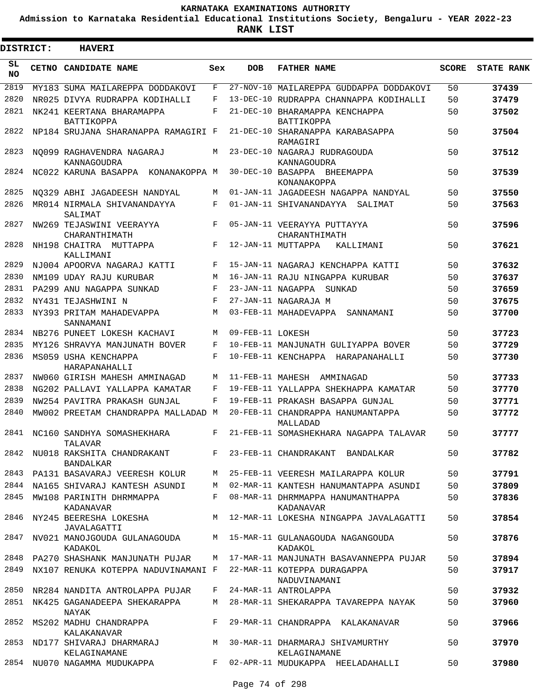**Admission to Karnataka Residential Educational Institutions Society, Bengaluru - YEAR 2022-23**

 $\blacksquare$ 

**RANK LIST**

| DISTRICT: | <b>HAVERI</b>                                  |            |                  |                                                 |              |                   |
|-----------|------------------------------------------------|------------|------------------|-------------------------------------------------|--------------|-------------------|
| SL<br>NO. | CETNO CANDIDATE NAME                           | Sex        | <b>DOB</b>       | <b>FATHER NAME</b>                              | <b>SCORE</b> | <b>STATE RANK</b> |
| 2819      | MY183 SUMA MAILAREPPA DODDAKOVI                | F          |                  | 27-NOV-10 MAILAREPPA GUDDAPPA DODDAKOVI         | 50           | 37439             |
| 2820      | NR025 DIVYA RUDRAPPA KODIHALLI                 | F          |                  | 13-DEC-10 RUDRAPPA CHANNAPPA KODIHALLI          | 50           | 37479             |
| 2821      | NK241 KEERTANA BHARAMAPPA<br>BATTIKOPPA        | F          |                  | 21-DEC-10 BHARAMAPPA KENCHAPPA<br>BATTIKOPPA    | 50           | 37502             |
| 2822      | NP184 SRUJANA SHARANAPPA RAMAGIRI F            |            |                  | 21-DEC-10 SHARANAPPA KARABASAPPA<br>RAMAGIRI    | 50           | 37504             |
| 2823      | NO099 RAGHAVENDRA NAGARAJ<br>KANNAGOUDRA       | M          |                  | 23-DEC-10 NAGARAJ RUDRAGOUDA<br>KANNAGOUDRA     | 50           | 37512             |
| 2824      | NC022 KARUNA BASAPPA KONANAKOPPA M             |            |                  | 30-DEC-10 BASAPPA BHEEMAPPA<br>KONANAKOPPA      | 50           | 37539             |
| 2825      | NO329 ABHI JAGADEESH NANDYAL                   | M          |                  | 01-JAN-11 JAGADEESH NAGAPPA NANDYAL             | 50           | 37550             |
| 2826      | MR014 NIRMALA SHIVANANDAYYA<br>SALIMAT         | F          |                  | 01-JAN-11 SHIVANANDAYYA SALIMAT                 | 50           | 37563             |
| 2827      | NW269 TEJASWINI VEERAYYA<br>CHARANTHIMATH      | F          |                  | 05-JAN-11 VEERAYYA PUTTAYYA<br>CHARANTHIMATH    | 50           | 37596             |
| 2828      | NH198 CHAITRA MUTTAPPA<br>KALLIMANI            | F          |                  | 12-JAN-11 MUTTAPPA<br>KALLIMANI                 | 50           | 37621             |
| 2829      | NJ004 APOORVA NAGARAJ KATTI                    | F          |                  | 15-JAN-11 NAGARAJ KENCHAPPA KATTI               | 50           | 37632             |
| 2830      | NM109 UDAY RAJU KURUBAR                        | M          |                  | 16-JAN-11 RAJU NINGAPPA KURUBAR                 | 50           | 37637             |
| 2831      | PA299 ANU NAGAPPA SUNKAD                       | F          |                  | 23-JAN-11 NAGAPPA SUNKAD                        | 50           | 37659             |
| 2832      | NY431 TEJASHWINI N                             | $_{\rm F}$ |                  | 27-JAN-11 NAGARAJA M                            | 50           | 37675             |
| 2833      | NY393 PRITAM MAHADEVAPPA<br>SANNAMANI          | М          |                  | 03-FEB-11 MAHADEVAPPA SANNAMANI                 | 50           | 37700             |
| 2834      | NB276 PUNEET LOKESH KACHAVI                    | M          | 09-FEB-11 LOKESH |                                                 | 50           | 37723             |
| 2835      | MY126 SHRAVYA MANJUNATH BOVER                  | F          |                  | 10-FEB-11 MANJUNATH GULIYAPPA BOVER             | 50           | 37729             |
| 2836      | MS059 USHA KENCHAPPA<br>HARAPANAHALLI          | $_{\rm F}$ |                  | 10-FEB-11 KENCHAPPA HARAPANAHALLI               | 50           | 37730             |
| 2837      | NW060 GIRISH MAHESH AMMINAGAD                  | M          |                  | 11-FEB-11 MAHESH AMMINAGAD                      | 50           | 37733             |
| 2838      | NG202 PALLAVI YALLAPPA KAMATAR                 | F          |                  | 19-FEB-11 YALLAPPA SHEKHAPPA KAMATAR            | 50           | 37770             |
| 2839      | NW254 PAVITRA PRAKASH GUNJAL                   | F          |                  | 19-FEB-11 PRAKASH BASAPPA GUNJAL                | 50           | 37771             |
| 2840      | MW002 PREETAM CHANDRAPPA MALLADAD M            |            |                  | 20-FEB-11 CHANDRAPPA HANUMANTAPPA<br>MALLADAD   | 50           | 37772             |
| 2841      | NC160 SANDHYA SOMASHEKHARA<br>TALAVAR          | F          |                  | 21-FEB-11 SOMASHEKHARA NAGAPPA TALAVAR          | 50           | 37777             |
| 2842      | NU018 RAKSHITA CHANDRAKANT<br><b>BANDALKAR</b> | $F$ and    |                  | 23-FEB-11 CHANDRAKANT BANDALKAR                 | 50           | 37782             |
| 2843      | PA131 BASAVARAJ VEERESH KOLUR                  | M          |                  | 25-FEB-11 VEERESH MAILARAPPA KOLUR              | 50           | 37791             |
| 2844      | NA165 SHIVARAJ KANTESH ASUNDI                  | M          |                  | 02-MAR-11 KANTESH HANUMANTAPPA ASUNDI           | 50           | 37809             |
| 2845      | MW108 PARINITH DHRMMAPPA<br>KADANAVAR          | F          |                  | 08-MAR-11 DHRMMAPPA HANUMANTHAPPA<br>KADANAVAR  | 50           | 37836             |
| 2846      | NY245 BEERESHA LOKESHA<br>JAVALAGATTI          | M          |                  | 12-MAR-11 LOKESHA NINGAPPA JAVALAGATTI          | 50           | 37854             |
| 2847      | NV021 MANOJGOUDA GULANAGOUDA<br>KADAKOL        | M          |                  | 15-MAR-11 GULANAGOUDA NAGANGOUDA<br>KADAKOL     | 50           | 37876             |
| 2848      | PA270 SHASHANK MANJUNATH PUJAR                 | M          |                  | 17-MAR-11 MANJUNATH BASAVANNEPPA PUJAR          | 50           | 37894             |
| 2849      | NX107 RENUKA KOTEPPA NADUVINAMANI F            |            |                  | 22-MAR-11 KOTEPPA DURAGAPPA<br>NADUVINAMANI     | 50           | 37917             |
| 2850      | NR284 NANDITA ANTROLAPPA PUJAR                 | F          |                  | 24-MAR-11 ANTROLAPPA                            | 50           | 37932             |
| 2851      | NK425 GAGANADEEPA SHEKARAPPA<br>NAYAK          | M          |                  | 28-MAR-11 SHEKARAPPA TAVAREPPA NAYAK            | 50           | 37960             |
| 2852      | MS202 MADHU CHANDRAPPA<br>KALAKANAVAR          | F          |                  | 29-MAR-11 CHANDRAPPA KALAKANAVAR                | 50           | 37966             |
| 2853      | ND177 SHIVARAJ DHARMARAJ<br>KELAGINAMANE       | M          |                  | 30-MAR-11 DHARMARAJ SHIVAMURTHY<br>KELAGINAMANE | 50           | 37970             |
| 2854      | NU070 NAGAMMA MUDUKAPPA                        | F          |                  | 02-APR-11 MUDUKAPPA HEELADAHALLI                | 50           | 37980             |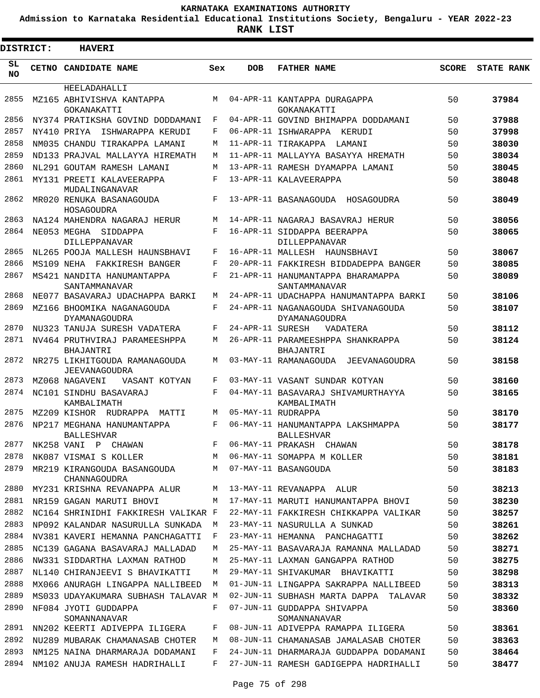**Admission to Karnataka Residential Educational Institutions Society, Bengaluru - YEAR 2022-23**

| <b>DISTRICT:</b> |            | <b>HAVERI</b>                                                        |                    |                  |                                                                 |              |                   |  |  |  |  |  |
|------------------|------------|----------------------------------------------------------------------|--------------------|------------------|-----------------------------------------------------------------|--------------|-------------------|--|--|--|--|--|
| SL<br><b>NO</b>  |            | CETNO CANDIDATE NAME                                                 | Sex                | <b>DOB</b>       | <b>FATHER NAME</b>                                              | <b>SCORE</b> | <b>STATE RANK</b> |  |  |  |  |  |
|                  |            | HEELADAHALLI                                                         |                    |                  |                                                                 |              |                   |  |  |  |  |  |
| 2855             |            | MZ165 ABHIVISHVA KANTAPPA<br>GOKANAKATTI                             | M                  |                  | 04-APR-11 KANTAPPA DURAGAPPA<br>GOKANAKATTI                     | 50           | 37984             |  |  |  |  |  |
| 2856             |            | NY374 PRATIKSHA GOVIND DODDAMANI                                     | F                  |                  | 04-APR-11 GOVIND BHIMAPPA DODDAMANI                             | 50           | 37988             |  |  |  |  |  |
| 2857             |            | NY410 PRIYA<br>ISHWARAPPA KERUDI                                     | F                  |                  | 06-APR-11 ISHWARAPPA KERUDI                                     | 50           | 37998             |  |  |  |  |  |
| 2858             |            | NM035 CHANDU TIRAKAPPA LAMANI                                        | M                  |                  | 11-APR-11 TIRAKAPPA<br>LAMANI                                   | 50           | 38030             |  |  |  |  |  |
| 2859             |            | ND133 PRAJVAL MALLAYYA HIREMATH                                      | M                  |                  | 11-APR-11 MALLAYYA BASAYYA HREMATH                              | 50           | 38034             |  |  |  |  |  |
| 2860             |            | NL291 GOUTAM RAMESH LAMANI                                           | M                  |                  | 13-APR-11 RAMESH DYAMAPPA LAMANI                                | 50           | 38045             |  |  |  |  |  |
| 2861             |            | MY131 PREETI KALAVEERAPPA<br>MUDALINGANAVAR                          | $\mathbf{F}% _{0}$ |                  | 13-APR-11 KALAVEERAPPA                                          | 50           | 38048             |  |  |  |  |  |
| 2862             |            | MR020 RENUKA BASANAGOUDA                                             | F                  |                  | 13-APR-11 BASANAGOUDA<br>HOSAGOUDRA                             | 50           | 38049             |  |  |  |  |  |
| 2863             |            | HOSAGOUDRA<br>NA124 MAHENDRA NAGARAJ HERUR                           | M                  |                  | 14-APR-11 NAGARAJ BASAVRAJ HERUR                                | 50           | 38056             |  |  |  |  |  |
| 2864             |            | NE053 MEGHA<br>SIDDAPPA                                              | F                  |                  | 16-APR-11 SIDDAPPA BEERAPPA                                     | 50           | 38065             |  |  |  |  |  |
|                  |            | DILLEPPANAVAR                                                        |                    |                  | DILLEPPANAVAR                                                   |              |                   |  |  |  |  |  |
| 2865             |            | NL265 POOJA MALLESH HAUNSBHAVI                                       | F                  |                  | 16-APR-11 MALLESH HAUNSBHAVI                                    | 50           | 38067             |  |  |  |  |  |
| 2866             | MS109 NEHA | FAKKIRESH BANGER                                                     | F                  |                  | 20-APR-11 FAKKIRESH BIDDADEPPA BANGER                           | 50           | 38085             |  |  |  |  |  |
| 2867             |            | MS421 NANDITA HANUMANTAPPA<br>SANTAMMANAVAR                          | F                  |                  | 21-APR-11 HANUMANTAPPA BHARAMAPPA<br>SANTAMMANAVAR              | 50           | 38089             |  |  |  |  |  |
| 2868             |            | NE077 BASAVARAJ UDACHAPPA BARKI                                      | M                  |                  | 24-APR-11 UDACHAPPA HANUMANTAPPA BARKI                          | 50           | 38106             |  |  |  |  |  |
| 2869             |            | MZ166 BHOOMIKA NAGANAGOUDA<br>DYAMANAGOUDRA                          | $_{\rm F}$         |                  | 24-APR-11 NAGANAGOUDA SHIVANAGOUDA<br>DYAMANAGOUDRA             | 50           | 38107             |  |  |  |  |  |
| 2870             |            | NU323 TANUJA SURESH VADATERA                                         | F                  | 24-APR-11 SURESH | VADATERA                                                        | 50           | 38112             |  |  |  |  |  |
| 2871             |            | NV464 PRUTHVIRAJ PARAMEESHPPA<br><b>BHAJANTRI</b>                    | M                  |                  | 26-APR-11 PARAMEESHPPA SHANKRAPPA<br>BHAJANTRI                  | 50           | 38124             |  |  |  |  |  |
| 2872             |            | NR275 LIKHITGOUDA RAMANAGOUDA<br>JEEVANAGOUDRA                       | M                  |                  | 03-MAY-11 RAMANAGOUDA JEEVANAGOUDRA                             | 50           | 38158             |  |  |  |  |  |
| 2873             |            | MZ068 NAGAVENI<br>VASANT KOTYAN                                      | F                  |                  | 03-MAY-11 VASANT SUNDAR KOTYAN                                  | 50           | 38160             |  |  |  |  |  |
| 2874             |            | NC101 SINDHU BASAVARAJ<br>KAMBALIMATH                                | F                  |                  | 04-MAY-11 BASAVARAJ SHIVAMURTHAYYA<br>KAMBALIMATH               | 50           | 38165             |  |  |  |  |  |
| 2875             |            | MZ209 KISHOR RUDRAPPA<br>MATTT                                       | M                  |                  | 05-MAY-11 RUDRAPPA                                              | 50           | 38170             |  |  |  |  |  |
| 2876             |            | NP217 MEGHANA HANUMANTAPPA<br><b>BALLESHVAR</b>                      | $_{\rm F}$         |                  | 06-MAY-11 HANUMANTAPPA LAKSHMAPPA<br><b>BALLESHVAR</b>          | 50           | 38177             |  |  |  |  |  |
| 2877             |            | NK258 VANI P CHAWAN                                                  | F                  |                  | 06-MAY-11 PRAKASH CHAWAN                                        | 50           | 38178             |  |  |  |  |  |
| 2878             |            | NK087 VISMAI S KOLLER                                                | М                  |                  | 06-MAY-11 SOMAPPA M KOLLER                                      | 50           | 38181             |  |  |  |  |  |
| 2879<br>2880     |            | MR219 KIRANGOUDA BASANGOUDA<br>CHANNAGOUDRA                          | М                  |                  | 07-MAY-11 BASANGOUDA                                            | 50           | 38183             |  |  |  |  |  |
| 2881             |            | MY231 KRISHNA REVANAPPA ALUR                                         | М<br>М             |                  | 13-MAY-11 REVANAPPA ALUR<br>17-MAY-11 MARUTI HANUMANTAPPA BHOVI | 50           | 38213<br>38230    |  |  |  |  |  |
| 2882             |            | NR159 GAGAN MARUTI BHOVI                                             |                    |                  | 22-MAY-11 FAKKIRESH CHIKKAPPA VALIKAR                           | 50           |                   |  |  |  |  |  |
| 2883             |            | NC164 SHRINIDHI FAKKIRESH VALIKAR F                                  | M                  |                  | 23-MAY-11 NASURULLA A SUNKAD                                    | 50<br>50     | 38257<br>38261    |  |  |  |  |  |
| 2884             |            | NP092 KALANDAR NASURULLA SUNKADA<br>NV381 KAVERI HEMANNA PANCHAGATTI | F                  |                  | 23-MAY-11 HEMANNA PANCHAGATTI                                   | 50           | 38262             |  |  |  |  |  |
| 2885             |            | NC139 GAGANA BASAVARAJ MALLADAD                                      | М                  |                  | 25-MAY-11 BASAVARAJA RAMANNA MALLADAD                           | 50           | 38271             |  |  |  |  |  |
| 2886             |            | NW331 SIDDARTHA LAXMAN RATHOD                                        | М                  |                  | 25-MAY-11 LAXMAN GANGAPPA RATHOD                                | 50           | 38275             |  |  |  |  |  |
| 2887             |            | NL140 CHIRANJEEVI S BHAVIKATTI                                       | М                  |                  | 29-MAY-11 SHIVAKUMAR BHAVIKATTI                                 | 50           | 38298             |  |  |  |  |  |
| 2888             |            | MX066 ANURAGH LINGAPPA NALLIBEED                                     | М                  |                  | 01-JUN-11 LINGAPPA SAKRAPPA NALLIBEED                           | 50           | 38313             |  |  |  |  |  |
| 2889             |            | MS033 UDAYAKUMARA SUBHASH TALAVAR M                                  |                    |                  | 02-JUN-11 SUBHASH MARTA DAPPA TALAVAR                           | 50           | 38332             |  |  |  |  |  |
| 2890             |            | NF084 JYOTI GUDDAPPA<br>SOMANNANAVAR                                 | F                  |                  | 07-JUN-11 GUDDAPPA SHIVAPPA<br>SOMANNANAVAR                     | 50           | 38360             |  |  |  |  |  |
| 2891             |            | NN202 KEERTI ADIVEPPA ILIGERA                                        | F                  |                  | 08-JUN-11 ADIVEPPA RAMAPPA ILIGERA                              | 50           | 38361             |  |  |  |  |  |
| 2892             |            | NU289 MUBARAK CHAMANASAB CHOTER                                      | М                  |                  | 08-JUN-11 CHAMANASAB JAMALASAB CHOTER                           | 50           | 38363             |  |  |  |  |  |
| 2893             |            | NM125 NAINA DHARMARAJA DODAMANI                                      | F                  |                  | 24-JUN-11 DHARMARAJA GUDDAPPA DODAMANI                          | 50           | 38464             |  |  |  |  |  |
| 2894             |            | NM102 ANUJA RAMESH HADRIHALLI                                        | F                  |                  | 27-JUN-11 RAMESH GADIGEPPA HADRIHALLI                           | 50           | 38477             |  |  |  |  |  |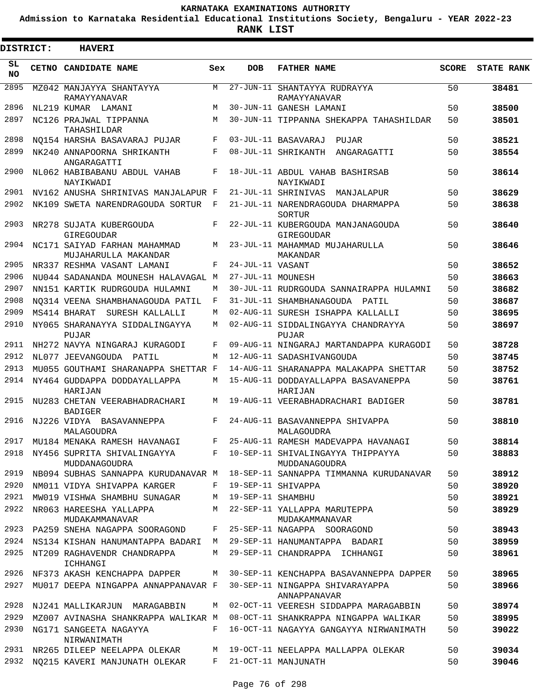**Admission to Karnataka Residential Educational Institutions Society, Bengaluru - YEAR 2022-23**

| DISTRICT:       | <b>HAVERI</b>                                                     |       |                   |                                                                |              |                   |
|-----------------|-------------------------------------------------------------------|-------|-------------------|----------------------------------------------------------------|--------------|-------------------|
| SL<br><b>NO</b> | CETNO CANDIDATE NAME                                              | Sex   | <b>DOB</b>        | <b>FATHER NAME</b>                                             | <b>SCORE</b> | <b>STATE RANK</b> |
| 2895            | MZ042 MANJAYYA SHANTAYYA<br>RAMAYYANAVAR                          | M     |                   | 27-JUN-11 SHANTAYYA RUDRAYYA<br>RAMAYYANAVAR                   | 50           | 38481             |
| 2896            | NL219 KUMAR LAMANI                                                | M     |                   | 30-JUN-11 GANESH LAMANI                                        | 50           | 38500             |
| 2897            | NC126 PRAJWAL TIPPANNA<br>TAHASHILDAR                             | М     |                   | 30-JUN-11 TIPPANNA SHEKAPPA TAHASHILDAR                        | 50           | 38501             |
| 2898            | NO154 HARSHA BASAVARAJ PUJAR                                      | F     |                   | 03-JUL-11 BASAVARAJ PUJAR                                      | 50           | 38521             |
| 2899            | NK240 ANNAPOORNA SHRIKANTH<br>ANGARAGATTI                         | F     |                   | 08-JUL-11 SHRIKANTH ANGARAGATTI                                | 50           | 38554             |
| 2900            | NL062 HABIBABANU ABDUL VAHAB<br>NAYIKWADI                         | F     |                   | 18-JUL-11 ABDUL VAHAB BASHIRSAB<br>NAYIKWADI                   | 50           | 38614             |
| 2901            | NV162 ANUSHA SHRINIVAS MANJALAPUR F                               |       |                   | 21-JUL-11 SHRINIVAS MANJALAPUR                                 | 50           | 38629             |
| 2902            | NK109 SWETA NARENDRAGOUDA SORTUR                                  | F     |                   | 21-JUL-11 NARENDRAGOUDA DHARMAPPA<br>SORTUR                    | 50           | 38638             |
| 2903            | NR278 SUJATA KUBERGOUDA<br>GIREGOUDAR                             | F     |                   | 22-JUL-11 KUBERGOUDA MANJANAGOUDA<br>GIREGOUDAR                | 50           | 38640             |
| 2904            | NC171 SAIYAD FARHAN MAHAMMAD<br>MUJAHARULLA MAKANDAR              | М     |                   | 23-JUL-11 MAHAMMAD MUJAHARULLA<br>MAKANDAR                     | 50           | 38646             |
| 2905            | NR337 RESHMA VASANT LAMANI                                        | F     | 24-JUL-11 VASANT  |                                                                | 50           | 38652             |
| 2906            | NU044 SADANANDA MOUNESH HALAVAGAL M                               |       | 27-JUL-11 MOUNESH |                                                                | 50           | 38663             |
| 2907            | NN151 KARTIK RUDRGOUDA HULAMNI                                    | М     |                   | 30-JUL-11 RUDRGOUDA SANNAIRAPPA HULAMNI                        | 50           | 38682             |
| 2908            | NO314 VEENA SHAMBHANAGOUDA PATIL                                  | F     |                   | 31-JUL-11 SHAMBHANAGOUDA PATIL                                 | 50           | 38687             |
| 2909            | MS414 BHARAT SURESH KALLALLI                                      | М     |                   | 02-AUG-11 SURESH ISHAPPA KALLALLI                              | 50           | 38695             |
| 2910            | NY065 SHARANAYYA SIDDALINGAYYA<br>PUJAR                           | M     |                   | 02-AUG-11 SIDDALINGAYYA CHANDRAYYA<br>PUJAR                    | 50           | 38697             |
| 2911            | NH272 NAVYA NINGARAJ KURAGODI                                     | F     |                   | 09-AUG-11 NINGARAJ MARTANDAPPA KURAGODI                        | 50           | 38728             |
| 2912            | NL077 JEEVANGOUDA PATIL                                           | М     |                   | 12-AUG-11 SADASHIVANGOUDA                                      | 50           | 38745             |
| 2913            | MU055 GOUTHAMI SHARANAPPA SHETTAR F                               |       |                   | 14-AUG-11 SHARANAPPA MALAKAPPA SHETTAR                         | 50           | 38752             |
| 2914            | NY464 GUDDAPPA DODDAYALLAPPA<br>HARIJAN                           | М     |                   | 15-AUG-11 DODDAYALLAPPA BASAVANEPPA<br>HARIJAN                 | 50           | 38761             |
| 2915            | NU283 CHETAN VEERABHADRACHARI<br><b>BADIGER</b>                   | М     |                   | 19-AUG-11 VEERABHADRACHARI BADIGER                             | 50           | 38781             |
| 2916            | NJ226 VIDYA BASAVANNEPPA<br>MALAGOUDRA                            | F     |                   | 24-AUG-11 BASAVANNEPPA SHIVAPPA<br>MALAGOUDRA                  | 50           | 38810             |
|                 | 2917 MU184 MENAKA RAMESH HAVANAGI                                 | $F -$ |                   | 25-AUG-11 RAMESH MADEVAPPA HAVANAGI                            | 50           | 38814             |
| 2918            | NY456 SUPRITA SHIVALINGAYYA<br>MUDDANAGOUDRA                      | F     |                   | 10-SEP-11 SHIVALINGAYYA THIPPAYYA<br>MUDDANAGOUDRA             | 50           | 38883             |
| 2919            | NB094 SUBHAS SANNAPPA KURUDANAVAR M                               |       |                   | 18-SEP-11 SANNAPPA TIMMANNA KURUDANAVAR                        | 50           | 38912             |
| 2920<br>2921    | NM011 VIDYA SHIVAPPA KARGER                                       | F     | 19-SEP-11 SHAMBHU | 19-SEP-11 SHIVAPPA                                             | 50<br>50     | 38920             |
| 2922            | MW019 VISHWA SHAMBHU SUNAGAR<br>NR063 HAREESHA YALLAPPA           | M     |                   |                                                                |              | 38921             |
| 2923            | MUDAKAMMANAVAR                                                    | F     |                   | M 22-SEP-11 YALLAPPA MARUTEPPA<br>MUDAKAMMANAVAR               | 50           | 38929             |
| 2924            | PA259 SNEHA NAGAPPA SOORAGOND<br>NS134 KISHAN HANUMANTAPPA BADARI | M     |                   | 25-SEP-11 NAGAPPA SOORAGOND                                    | 50           | 38943             |
| 2925            | NT209 RAGHAVENDR CHANDRAPPA                                       | М     |                   | 29-SEP-11 HANUMANTAPPA BADARI<br>29-SEP-11 CHANDRAPPA ICHHANGI | 50<br>50     | 38959<br>38961    |
| 2926            | ICHHANGI<br>NF373 AKASH KENCHAPPA DAPPER                          | М     |                   | 30-SEP-11 KENCHAPPA BASAVANNEPPA DAPPER                        | 50           | 38965             |
| 2927            | MU017 DEEPA NINGAPPA ANNAPPANAVAR F                               |       |                   | 30-SEP-11 NINGAPPA SHIVARAYAPPA                                | 50           | 38966             |
| 2928            | NJ241 MALLIKARJUN MARAGABBIN                                      | М     |                   | ANNAPPANAVAR<br>02-OCT-11 VEERESH SIDDAPPA MARAGABBIN          | 50           | 38974             |
| 2929            | MZ007 AVINASHA SHANKRAPPA WALIKAR M                               |       |                   | 08-OCT-11 SHANKRAPPA NINGAPPA WALIKAR                          | 50           | 38995             |
| 2930            | NG171 SANGEETA NAGAYYA<br>NIRWANIMATH                             | F     |                   | 16-OCT-11 NAGAYYA GANGAYYA NIRWANIMATH                         | 50           | 39022             |
| 2931            | NR265 DILEEP NEELAPPA OLEKAR                                      | M     |                   | 19-OCT-11 NEELAPPA MALLAPPA OLEKAR                             | 50           | 39034             |
| 2932            | NQ215 KAVERI MANJUNATH OLEKAR                                     | F     |                   | 21-OCT-11 MANJUNATH                                            | 50           | 39046             |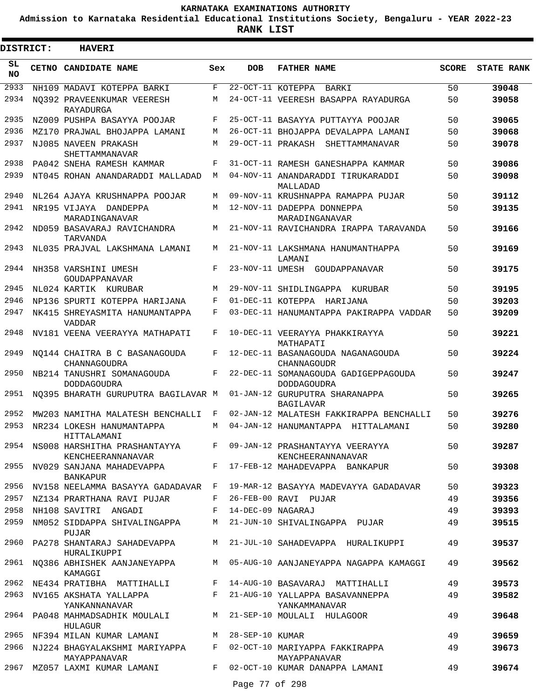**Admission to Karnataka Residential Educational Institutions Society, Bengaluru - YEAR 2022-23**

| <b>DISTRICT:</b> |  | <b>HAVERI</b>                                          |     |                     |                                                                               |              |                   |
|------------------|--|--------------------------------------------------------|-----|---------------------|-------------------------------------------------------------------------------|--------------|-------------------|
| SL.<br><b>NO</b> |  | CETNO CANDIDATE NAME                                   | Sex | <b>DOB</b>          | <b>FATHER NAME</b>                                                            | <b>SCORE</b> | <b>STATE RANK</b> |
| 2933             |  | NH109 MADAVI KOTEPPA BARKI                             | F   | 22-OCT-11 KOTEPPA   | BARKI                                                                         | 50           | 39048             |
| 2934             |  | NO392 PRAVEENKUMAR VEERESH<br>RAYADURGA                | М   |                     | 24-OCT-11 VEERESH BASAPPA RAYADURGA                                           | 50           | 39058             |
| 2935             |  | NZ009 PUSHPA BASAYYA POOJAR                            | F   |                     | 25-OCT-11 BASAYYA PUTTAYYA POOJAR                                             | 50           | 39065             |
| 2936             |  | MZ170 PRAJWAL BHOJAPPA LAMANI                          | М   |                     | 26-OCT-11 BHOJAPPA DEVALAPPA LAMANI                                           | 50           | 39068             |
| 2937             |  | NJ085 NAVEEN PRAKASH<br>SHETTAMMANAVAR                 | М   |                     | 29-OCT-11 PRAKASH<br>SHETTAMMANAVAR                                           | 50           | 39078             |
| 2938             |  | PA042 SNEHA RAMESH KAMMAR                              | F   |                     | 31-OCT-11 RAMESH GANESHAPPA KAMMAR                                            | 50           | 39086             |
| 2939             |  | NT045 ROHAN ANANDARADDI MALLADAD                       | М   |                     | 04-NOV-11 ANANDARADDI TIRUKARADDI<br>MALLADAD                                 | 50           | 39098             |
| 2940             |  | NL264 AJAYA KRUSHNAPPA POOJAR                          | М   |                     | 09-NOV-11 KRUSHNAPPA RAMAPPA PUJAR                                            | 50           | 39112             |
| 2941             |  | NR195 VIJAYA DANDEPPA<br>MARADINGANAVAR                | М   |                     | 12-NOV-11 DADEPPA DONNEPPA<br>MARADINGANAVAR                                  | 50           | 39135             |
| 2942             |  | ND059 BASAVARAJ RAVICHANDRA<br>TARVANDA                | М   |                     | 21-NOV-11 RAVICHANDRA IRAPPA TARAVANDA                                        | 50           | 39166             |
| 2943             |  | NL035 PRAJVAL LAKSHMANA LAMANI                         | М   |                     | 21-NOV-11 LAKSHMANA HANUMANTHAPPA<br>LAMANI                                   | 50           | 39169             |
| 2944             |  | NH358 VARSHINI UMESH<br>GOUDAPPANAVAR                  | F   | 23-NOV-11 UMESH     | GOUDAPPANAVAR                                                                 | 50           | 39175             |
| 2945             |  | NL024 KARTIK KURUBAR                                   | М   |                     | 29-NOV-11 SHIDLINGAPPA<br>KURUBAR                                             | 50           | 39195             |
| 2946             |  | NP136 SPURTI KOTEPPA HARIJANA                          | F   |                     | 01-DEC-11 KOTEPPA HARIJANA                                                    | 50           | 39203             |
| 2947             |  | NK415 SHREYASMITA HANUMANTAPPA<br><b>VADDAR</b>        | F   |                     | 03-DEC-11 HANUMANTAPPA PAKIRAPPA VADDAR                                       | 50           | 39209             |
| 2948             |  | NV181 VEENA VEERAYYA MATHAPATI                         | F   |                     | 10-DEC-11 VEERAYYA PHAKKIRAYYA<br>MATHAPATI                                   | 50           | 39221             |
| 2949             |  | NO144 CHAITRA B C BASANAGOUDA<br>CHANNAGOUDRA          | F   |                     | 12-DEC-11 BASANAGOUDA NAGANAGOUDA<br>CHANNAGOUDR                              | 50           | 39224             |
| 2950             |  | NB214 TANUSHRI SOMANAGOUDA<br>DODDAGOUDRA              | F   |                     | 22-DEC-11 SOMANAGOUDA GADIGEPPAGOUDA<br><b>DODDAGOUDRA</b>                    | 50           | 39247             |
| 2951             |  | NO395 BHARATH GURUPUTRA BAGILAVAR M                    |     |                     | 01-JAN-12 GURUPUTRA SHARANAPPA<br><b>BAGILAVAR</b>                            | 50           | 39265             |
| 2952             |  | MW203 NAMITHA MALATESH BENCHALLI                       | F   |                     | 02-JAN-12 MALATESH FAKKIRAPPA BENCHALLI                                       | 50           | 39276             |
| 2953             |  | NR234 LOKESH HANUMANTAPPA<br>HITTALAMANI               | М   |                     | 04-JAN-12 HANUMANTAPPA HITTALAMANI                                            | 50           | 39280             |
|                  |  | 2954 NS008 HARSHITHA PRASHANTAYYA<br>KENCHEERANNANAVAR |     |                     | F 09-JAN-12 PRASHANTAYYA VEERAYYA<br>KENCHEERANNANAVAR                        | 50           | 39287             |
| 2955             |  | NV029 SANJANA MAHADEVAPPA<br><b>BANKAPUR</b>           |     |                     | F 17-FEB-12 MAHADEVAPPA BANKAPUR                                              | 50           | 39308             |
|                  |  |                                                        |     |                     | 2956 NV158 NEELAMMA BASAYYA GADADAVAR F 19-MAR-12 BASAYYA MADEVAYYA GADADAVAR | 50           | 39323             |
|                  |  | 2957 NZ134 PRARTHANA RAVI PUJAR                        |     |                     | F 26-FEB-00 RAVI PUJAR                                                        | 49           | 39356             |
|                  |  | 2958 NH108 SAVITRI ANGADI                              |     | F 14-DEC-09 NAGARAJ |                                                                               | 49           | 39393             |
| 2959             |  | NM052 SIDDAPPA SHIVALINGAPPA<br>PUJAR                  |     |                     | M 21-JUN-10 SHIVALINGAPPA PUJAR                                               | 49           | 39515             |
| 2960             |  | PA278 SHANTARAJ SAHADEVAPPA<br>HURALIKUPPI             |     |                     | M 21-JUL-10 SAHADEVAPPA HURALIKUPPI                                           | 49           | 39537             |
|                  |  | 2961 NQ386 ABHISHEK AANJANEYAPPA<br>KAMAGGI            |     |                     | M 05-AUG-10 AANJANEYAPPA NAGAPPA KAMAGGI                                      | 49           | 39562             |
|                  |  | 2962 NE434 PRATIBHA MATTIHALLI                         |     |                     | F 14-AUG-10 BASAVARAJ MATTIHALLI                                              | 49           | 39573             |
|                  |  | 2963 NV165 AKSHATA YALLAPPA<br>YANKANNANAVAR           |     |                     | F 21-AUG-10 YALLAPPA BASAVANNEPPA<br>YANKAMMANAVAR                            | 49           | 39582             |
|                  |  | 2964 PA048 MAHMADSADHIK MOULALI<br>HULAGUR             |     |                     | M 21-SEP-10 MOULALI HULAGOOR                                                  | 49           | 39648             |
|                  |  | 2965 NF394 MILAN KUMAR LAMANI                          |     | M 28-SEP-10 KUMAR   |                                                                               | 49           | 39659             |
|                  |  | 2966 NJ224 BHAGYALAKSHMI MARIYAPPA<br>MAYAPPANAVAR     |     |                     | F 02-OCT-10 MARIYAPPA FAKKIRAPPA<br>MAYAPPANAVAR                              | 49           | 39673             |
|                  |  | 2967 MZ057 LAXMI KUMAR LAMANI                          |     |                     | F 02-OCT-10 KUMAR DANAPPA LAMANI                                              | 49           | 39674             |
|                  |  |                                                        |     | Page 77 of 298      |                                                                               |              |                   |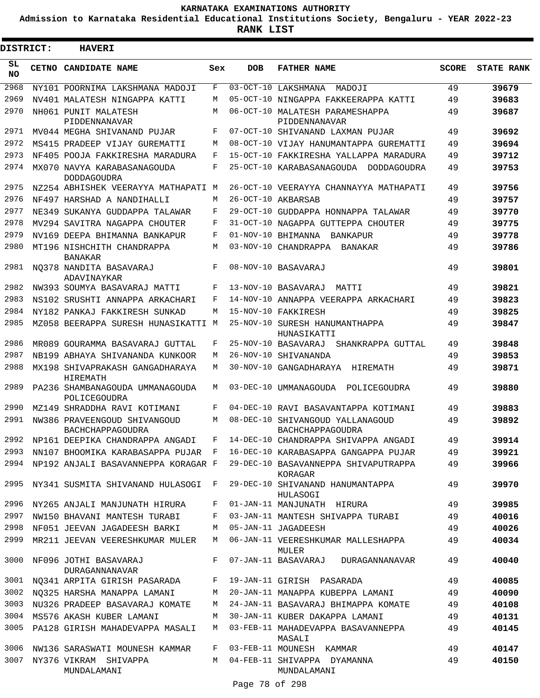**Admission to Karnataka Residential Educational Institutions Society, Bengaluru - YEAR 2022-23**

 $\blacksquare$ 

**RANK LIST**

| <b>DISTRICT:</b> |  | <b>HAVERI</b>                                     |        |             |                                                      |              |                   |
|------------------|--|---------------------------------------------------|--------|-------------|------------------------------------------------------|--------------|-------------------|
| SL<br><b>NO</b>  |  | CETNO CANDIDATE NAME                              | Sex    | <b>DOB</b>  | <b>FATHER NAME</b>                                   | <b>SCORE</b> | <b>STATE RANK</b> |
| 2968             |  | NY101 POORNIMA LAKSHMANA MADOJI                   | F      | $03-OCT-10$ | LAKSHMANA MADOJI                                     | 49           | 39679             |
| 2969             |  | NV401 MALATESH NINGAPPA KATTI                     | M      |             | 05-OCT-10 NINGAPPA FAKKEERAPPA KATTI                 | 49           | 39683             |
| 2970             |  | NH061 PUNIT MALATESH<br>PIDDENNANAVAR             | М      |             | 06-OCT-10 MALATESH PARAMESHAPPA<br>PIDDENNANAVAR     | 49           | 39687             |
| 2971             |  | MV044 MEGHA SHIVANAND PUJAR                       | F      |             | 07-OCT-10 SHIVANAND LAXMAN PUJAR                     | 49           | 39692             |
| 2972             |  | MS415 PRADEEP VIJAY GUREMATTI                     | M      |             | 08-OCT-10 VIJAY HANUMANTAPPA GUREMATTI               | 49           | 39694             |
| 2973             |  | NF405 POOJA FAKKIRESHA MARADURA                   | F      |             | 15-OCT-10 FAKKIRESHA YALLAPPA MARADURA               | 49           | 39712             |
| 2974             |  | MX070 NAVYA KARABASANAGOUDA<br><b>DODDAGOUDRA</b> | F      |             | 25-OCT-10 KARABASANAGOUDA DODDAGOUDRA                | 49           | 39753             |
| 2975             |  | NZ254 ABHISHEK VEERAYYA MATHAPATI M               |        |             | 26-OCT-10 VEERAYYA CHANNAYYA MATHAPATI               | 49           | 39756             |
| 2976             |  | NF497 HARSHAD A NANDIHALLI                        | M      |             | 26-OCT-10 AKBARSAB                                   | 49           | 39757             |
| 2977             |  | NE349 SUKANYA GUDDAPPA TALAWAR                    | F      |             | 29-OCT-10 GUDDAPPA HONNAPPA TALAWAR                  | 49           | 39770             |
| 2978             |  | MV294 SAVITRA NAGAPPA CHOUTER                     | F      |             | 31-OCT-10 NAGAPPA GUTTEPPA CHOUTER                   | 49           | 39775             |
| 2979             |  | NV169 DEEPA BHIMANNA BANKAPUR                     | F      |             | 01-NOV-10 BHIMANNA BANKAPUR                          | 49           | 39778             |
| 2980             |  | MT196 NISHCHITH CHANDRAPPA<br><b>BANAKAR</b>      | М      |             | 03-NOV-10 CHANDRAPPA<br><b>BANAKAR</b>               | 49           | 39786             |
| 2981             |  | NO378 NANDITA BASAVARAJ<br>ADAVINAYKAR            | F      |             | 08-NOV-10 BASAVARAJ                                  | 49           | 39801             |
| 2982             |  | NW393 SOUMYA BASAVARAJ MATTI                      | F      |             | 13-NOV-10 BASAVARAJ<br>MATTI                         | 49           | 39821             |
| 2983             |  | NS102 SRUSHTI ANNAPPA ARKACHARI                   | F      |             | 14-NOV-10 ANNAPPA VEERAPPA ARKACHARI                 | 49           | 39823             |
| 2984             |  | NY182 PANKAJ FAKKIRESH SUNKAD                     | M      |             | 15-NOV-10 FAKKIRESH                                  | 49           | 39825             |
| 2985             |  | MZ058 BEERAPPA SURESH HUNASIKATTI M               |        |             | 25-NOV-10 SURESH HANUMANTHAPPA<br>HUNASIKATTI        | 49           | 39847             |
| 2986             |  | MR089 GOURAMMA BASAVARAJ GUTTAL                   | F      |             | 25-NOV-10 BASAVARAJ<br>SHANKRAPPA GUTTAL             | 49           | 39848             |
| 2987             |  | NB199 ABHAYA SHIVANANDA KUNKOOR                   | М      |             | 26-NOV-10 SHIVANANDA                                 | 49           | 39853             |
| 2988             |  | MX198 SHIVAPRAKASH GANGADHARAYA<br>HIREMATH       | М      |             | 30-NOV-10 GANGADHARAYA<br>HIREMATH                   | 49           | 39871             |
| 2989             |  | PA236 SHAMBANAGOUDA UMMANAGOUDA<br>POLICEGOUDRA   | М      |             | 03-DEC-10 UMMANAGOUDA<br>POLICEGOUDRA                | 49           | 39880             |
| 2990             |  | MZ149 SHRADDHA RAVI KOTIMANI                      | F      |             | 04-DEC-10 RAVI BASAVANTAPPA KOTIMANI                 | 49           | 39883             |
| 2991             |  | NW386 PRAVEENGOUD SHIVANGOUD<br>BACHCHAPPAGOUDRA  | М      |             | 08-DEC-10 SHIVANGOUD YALLANAGOUD<br>BACHCHAPPAGOUDRA | 49           | 39892             |
|                  |  | 2992 NP161 DEEPIKA CHANDRAPPA ANGADI              |        |             | F 14-DEC-10 CHANDRAPPA SHIVAPPA ANGADI               | 49           | 39914             |
| 2993             |  | NN107 BHOOMIKA KARABASAPPA PUJAR F                |        |             | 16-DEC-10 KARABASAPPA GANGAPPA PUJAR                 | 49           | 39921             |
| 2994             |  | NP192 ANJALI BASAVANNEPPA KORAGAR F               |        |             | 29-DEC-10 BASAVANNEPPA SHIVAPUTRAPPA<br>KORAGAR      | 49           | 39966             |
| 2995             |  | NY341 SUSMITA SHIVANAND HULASOGI F                |        |             | 29-DEC-10 SHIVANAND HANUMANTAPPA<br>HULASOGI         | 49           | 39970             |
| 2996             |  | NY265 ANJALI MANJUNATH HIRURA                     | F      |             | 01-JAN-11 MANJUNATH HIRURA                           | 49           | 39985             |
| 2997             |  | NW150 BHAVANI MANTESH TURABI                      | F      |             | 03-JAN-11 MANTESH SHIVAPPA TURABI                    | 49           | 40016             |
| 2998             |  | NF051 JEEVAN JAGADEESH BARKI                      | М      |             | 05-JAN-11 JAGADEESH                                  | 49           | 40026             |
| 2999<br>3000     |  | MR211 JEEVAN VEERESHKUMAR MULER                   | M<br>F |             | 06-JAN-11 VEERESHKUMAR MALLESHAPPA<br>MULER          | 49           | 40034             |
|                  |  | NF096 JOTHI BASAVARAJ<br>DURAGANNANAVAR           |        |             | 07-JAN-11 BASAVARAJ<br>DURAGANNANAVAR                | 49           | 40040             |
| 3001             |  | NQ341 ARPITA GIRISH PASARADA                      | F      |             | 19-JAN-11 GIRISH PASARADA                            | 49           | 40085             |
| 3002             |  | NO325 HARSHA MANAPPA LAMANI                       | M      |             | 20-JAN-11 MANAPPA KUBEPPA LAMANI                     | 49           | 40090             |
| 3003             |  | NU326 PRADEEP BASAVARAJ KOMATE                    | M      |             | 24-JAN-11 BASAVARAJ BHIMAPPA KOMATE                  | 49           | 40108             |
| 3004             |  | MS576 AKASH KUBER LAMANI                          | M      |             | 30-JAN-11 KUBER DAKAPPA LAMANI                       | 49           | 40131             |
| 3005             |  | PA128 GIRISH MAHADEVAPPA MASALI                   | M      |             | 03-FEB-11 MAHADEVAPPA BASAVANNEPPA<br>MASALI         | 49           | 40145             |
| 3006             |  | NW136 SARASWATI MOUNESH KAMMAR                    | F      |             | 03-FEB-11 MOUNESH KAMMAR                             | 49           | 40147             |
| 3007             |  | NY376 VIKRAM SHIVAPPA<br>MUNDALAMANI              | M      |             | 04-FEB-11 SHIVAPPA DYAMANNA<br>MUNDALAMANI           | 49           | 40150             |

Page 78 of 298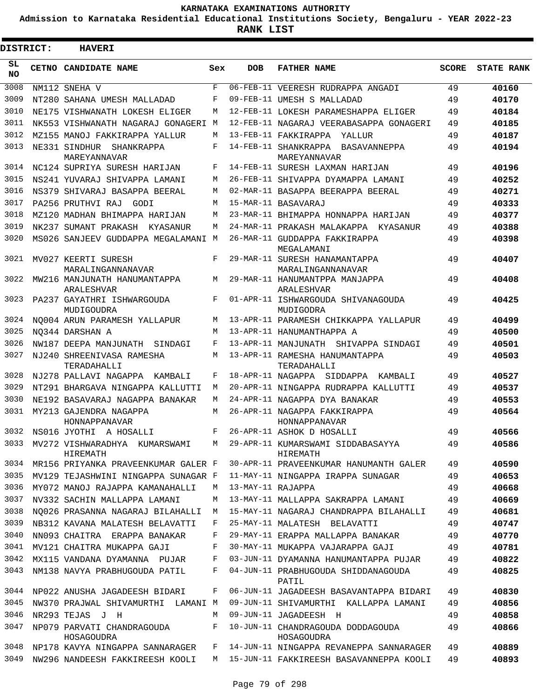**Admission to Karnataka Residential Educational Institutions Society, Bengaluru - YEAR 2022-23**

**RANK LIST**

| DISTRICT:       | <b>HAVERI</b>                                     |     |                   |                                                     |              |                   |
|-----------------|---------------------------------------------------|-----|-------------------|-----------------------------------------------------|--------------|-------------------|
| SL<br><b>NO</b> | CETNO CANDIDATE NAME                              | Sex | <b>DOB</b>        | <b>FATHER NAME</b>                                  | <b>SCORE</b> | <b>STATE RANK</b> |
| 3008            | NM112 SNEHA V                                     | F   |                   | 06-FEB-11 VEERESH RUDRAPPA ANGADI                   | 49           | 40160             |
| 3009            | NT280 SAHANA UMESH MALLADAD                       | F   |                   | 09-FEB-11 UMESH S MALLADAD                          | 49           | 40170             |
| 3010            | NE175 VISHWANATH LOKESH ELIGER                    | М   |                   | 12-FEB-11 LOKESH PARAMESHAPPA ELIGER                | 49           | 40184             |
| 3011            | NK553 VISHWANATH NAGARAJ GONAGERI M               |     |                   | 12-FEB-11 NAGARAJ VEERABASAPPA GONAGERI             | 49           | 40185             |
| 3012            | MZ155 MANOJ FAKKIRAPPA YALLUR                     | M   |                   | 13-FEB-11 FAKKIRAPPA<br>YALLUR                      | 49           | 40187             |
| 3013            | NE331 SINDHUR SHANKRAPPA<br>MAREYANNAVAR          | F   |                   | 14-FEB-11 SHANKRAPPA BASAVANNEPPA<br>MAREYANNAVAR   | 49           | 40194             |
| 3014            | NC124 SUPRIYA SURESH HARIJAN                      | F   |                   | 14-FEB-11 SURESH LAXMAN HARIJAN                     | 49           | 40196             |
| 3015            | NS241 YUVARAJ SHIVAPPA LAMANI                     | М   |                   | 26-FEB-11 SHIVAPPA DYAMAPPA LAMANI                  | 49           | 40252             |
| 3016            | NS379 SHIVARAJ BASAPPA BEERAL                     | М   |                   | 02-MAR-11 BASAPPA BEERAPPA BEERAL                   | 49           | 40271             |
| 3017            | PA256 PRUTHVI RAJ<br>GODI                         | M   |                   | 15-MAR-11 BASAVARAJ                                 | 49           | 40333             |
| 3018            | MZ120 MADHAN BHIMAPPA HARIJAN                     | М   |                   | 23-MAR-11 BHIMAPPA HONNAPPA HARIJAN                 | 49           | 40377             |
| 3019            | NK237 SUMANT PRAKASH<br>KYASANUR                  | М   |                   | 24-MAR-11 PRAKASH MALAKAPPA KYASANUR                | 49           | 40388             |
| 3020            | MS026 SANJEEV GUDDAPPA MEGALAMANI M               |     |                   | 26-MAR-11 GUDDAPPA FAKKIRAPPA<br>MEGALAMANI         | 49           | 40398             |
| 3021            | MV027 KEERTI SURESH<br>MARALINGANNANAVAR          | F   |                   | 29-MAR-11 SURESH HANAMANTAPPA<br>MARALINGANNANAVAR  | 49           | 40407             |
| 3022            | MW216 MANJUNATH HANUMANTAPPA<br><b>ARALESHVAR</b> | М   |                   | 29-MAR-11 HANUMANTPPA MANJAPPA<br><b>ARALESHVAR</b> | 49           | 40408             |
| 3023            | PA237 GAYATHRI ISHWARGOUDA<br>MUDIGOUDRA          | F   |                   | 01-APR-11 ISHWARGOUDA SHIVANAGOUDA<br>MUDIGODRA     | 49           | 40425             |
| 3024            | NO004 ARUN PARAMESH YALLAPUR                      | M   |                   | 13-APR-11 PARAMESH CHIKKAPPA YALLAPUR               | 49           | 40499             |
| 3025            | NO344 DARSHAN A                                   | M   |                   | 13-APR-11 HANUMANTHAPPA A                           | 49           | 40500             |
| 3026            | NW187 DEEPA MANJUNATH<br>SINDAGI                  | F   |                   | 13-APR-11 MANJUNATH SHIVAPPA SINDAGI                | 49           | 40501             |
| 3027            | NJ240 SHREENIVASA RAMESHA<br>TERADAHALLI          | М   |                   | 13-APR-11 RAMESHA HANUMANTAPPA<br>TERADAHALLI       | 49           | 40503             |
| 3028            | NJ278 PALLAVI NAGAPPA<br>KAMBALI                  | F   |                   | 18-APR-11 NAGAPPA SIDDAPPA KAMBALI                  | 49           | 40527             |
| 3029            | NT291 BHARGAVA NINGAPPA KALLUTTI                  | M   |                   | 20-APR-11 NINGAPPA RUDRAPPA KALLUTTI                | 49           | 40537             |
| 3030            | NE192 BASAVARAJ NAGAPPA BANAKAR                   | М   |                   | 24-APR-11 NAGAPPA DYA BANAKAR                       | 49           | 40553             |
| 3031            | MY213 GAJENDRA NAGAPPA<br>HONNAPPANAVAR           | M   |                   | 26-APR-11 NAGAPPA FAKKIRAPPA<br>HONNAPPANAVAR       | 49           | 40564             |
| 3032            | NS016 JYOTHI A HOSALLI                            | F   |                   | 26-APR-11 ASHOK D HOSALLI                           | 49           | 40566             |
| 3033            | MV272 VISHWARADHYA KUMARSWAMI<br>HIREMATH         | М   |                   | 29-APR-11 KUMARSWAMI SIDDABASAYYA<br>HIREMATH       | 49           | 40586             |
| 3034            | MR156 PRIYANKA PRAVEENKUMAR GALER F               |     |                   | 30-APR-11 PRAVEENKUMAR HANUMANTH GALER              | 49           | 40590             |
| 3035            | MV129 TEJASHWINI NINGAPPA SUNAGAR F               |     |                   | 11-MAY-11 NINGAPPA IRAPPA SUNAGAR                   | 49           | 40653             |
| 3036            | MY072 MANOJ RAJAPPA KAMANAHALLI                   | М   | 13-MAY-11 RAJAPPA |                                                     | 49           | 40668             |
| 3037            | NV332 SACHIN MALLAPPA LAMANI                      | M   |                   | 13-MAY-11 MALLAPPA SAKRAPPA LAMANI                  | 49           | 40669             |
| 3038            | NO026 PRASANNA NAGARAJ BILAHALLI                  | M   |                   | 15-MAY-11 NAGARAJ CHANDRAPPA BILAHALLI              | 49           | 40681             |
| 3039            | NB312 KAVANA MALATESH BELAVATTI                   | F   |                   | 25-MAY-11 MALATESH BELAVATTI                        | 49           | 40747             |
| 3040            | NN093 CHAITRA ERAPPA BANAKAR                      | F   |                   | 29-MAY-11 ERAPPA MALLAPPA BANAKAR                   | 49           | 40770             |
| 3041            | MV121 CHAITRA MUKAPPA GAJI                        | F   |                   | 30-MAY-11 MUKAPPA VAJARAPPA GAJI                    | 49           | 40781             |
| 3042            | MX115 VANDANA DYAMANNA PUJAR                      | F   |                   | 03-JUN-11 DYAMANNA HANUMANTAPPA PUJAR               | 49           | 40822             |
| 3043            | NM138 NAVYA PRABHUGOUDA PATIL                     | F   |                   | 04-JUN-11 PRABHUGOUDA SHIDDANAGOUDA<br>PATIL        | 49           | 40825             |
| 3044            | NP022 ANUSHA JAGADEESH BIDARI                     | F   |                   | 06-JUN-11 JAGADEESH BASAVANTAPPA BIDARI             | 49           | 40830             |
| 3045            | NW370 PRAJWAL SHIVAMURTHI LAMANI M                |     |                   | 09-JUN-11 SHIVAMURTHI KALLAPPA LAMANI               | 49           | 40856             |
| 3046            | NR293 TEJAS J H                                   | М   |                   | 09-JUN-11 JAGADEESH H                               | 49           | 40858             |
| 3047            | NP079 PARVATI CHANDRAGOUDA<br>HOSAGOUDRA          | F   |                   | 10-JUN-11 CHANDRAGOUDA DODDAGOUDA<br>HOSAGOUDRA     | 49           | 40866             |
| 3048            | NP178 KAVYA NINGAPPA SANNARAGER                   | F   |                   | 14-JUN-11 NINGAPPA REVANEPPA SANNARAGER             | 49           | 40889             |
| 3049            | NW296 NANDEESH FAKKIREESH KOOLI                   | M   |                   | 15-JUN-11 FAKKIREESH BASAVANNEPPA KOOLI             | 49           | 40893             |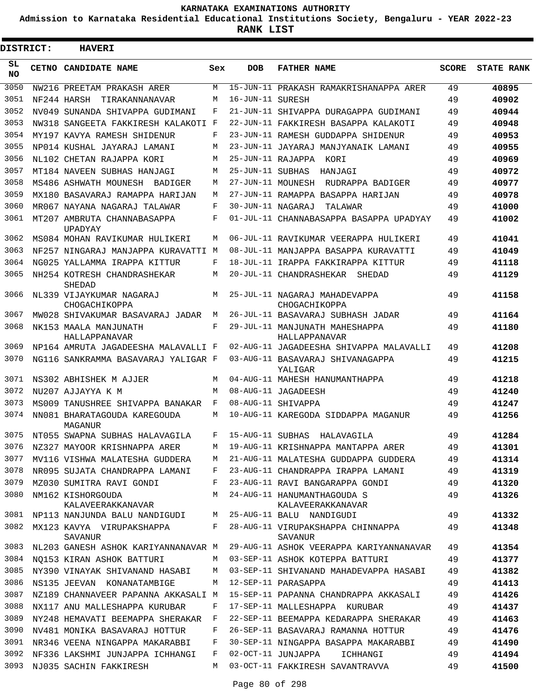**Admission to Karnataka Residential Educational Institutions Society, Bengaluru - YEAR 2022-23**

**RANK LIST**

ı

| <b>DISTRICT:</b> |  | <b>HAVERI</b>                             |     |                   |                                                  |              |                   |
|------------------|--|-------------------------------------------|-----|-------------------|--------------------------------------------------|--------------|-------------------|
| SL.<br><b>NO</b> |  | CETNO CANDIDATE NAME                      | Sex | <b>DOB</b>        | <b>FATHER NAME</b>                               | <b>SCORE</b> | <b>STATE RANK</b> |
| 3050             |  | NW216 PREETAM PRAKASH ARER                | М   |                   | 15-JUN-11 PRAKASH RAMAKRISHANAPPA ARER           | 49           | 40895             |
| 3051             |  | NF244 HARSH<br>TIRAKANNANAVAR             | М   | 16-JUN-11 SURESH  |                                                  | 49           | 40902             |
| 3052             |  | NV049 SUNANDA SHIVAPPA GUDIMANI           | F   |                   | 21-JUN-11 SHIVAPPA DURAGAPPA GUDIMANI            | 49           | 40944             |
| 3053             |  | NW318 SANGEETA FAKKIRESH KALAKOTI F       |     |                   | 22-JUN-11 FAKKIRESH BASAPPA KALAKOTI             | 49           | 40948             |
| 3054             |  | MY197 KAVYA RAMESH SHIDENUR               | F   |                   | 23-JUN-11 RAMESH GUDDAPPA SHIDENUR               | 49           | 40953             |
| 3055             |  | NP014 KUSHAL JAYARAJ LAMANI               | М   |                   | 23-JUN-11 JAYARAJ MANJYANAIK LAMANI              | 49           | 40955             |
| 3056             |  | NL102 CHETAN RAJAPPA KORI                 | М   |                   | 25-JUN-11 RAJAPPA KORI                           | 49           | 40969             |
| 3057             |  | MT184 NAVEEN SUBHAS HANJAGI               | М   | 25-JUN-11 SUBHAS  | HANJAGI                                          | 49           | 40972             |
| 3058             |  | MS486 ASHWATH MOUNESH BADIGER             | М   |                   | 27-JUN-11 MOUNESH RUDRAPPA BADIGER               | 49           | 40977             |
| 3059             |  | MX180 BASAVARAJ RAMAPPA HARIJAN           | М   |                   | 27-JUN-11 RAMAPPA BASAPPA HARIJAN                | 49           | 40978             |
| 3060             |  | MR067 NAYANA NAGARAJ TALAWAR              | F   | 30-JUN-11 NAGARAJ | TALAWAR                                          | 49           | 41000             |
| 3061             |  | MT207 AMBRUTA CHANNABASAPPA<br>UPADYAY    | F   |                   | 01-JUL-11 CHANNABASAPPA BASAPPA UPADYAY          | 49           | 41002             |
| 3062             |  | MS084 MOHAN RAVIKUMAR HULIKERI            | М   |                   | 06-JUL-11 RAVIKUMAR VEERAPPA HULIKERI            | 49           | 41041             |
| 3063             |  | NF257 NINGARAJ MANJAPPA KURAVATTI M       |     |                   | 08-JUL-11 MANJAPPA BASAPPA KURAVATTI             | 49           | 41049             |
| 3064             |  | NG025 YALLAMMA IRAPPA KITTUR              | F   |                   | 18-JUL-11 IRAPPA FAKKIRAPPA KITTUR               | 49           | 41118             |
| 3065             |  | NH254 KOTRESH CHANDRASHEKAR<br>SHEDAD     | М   |                   | 20-JUL-11 CHANDRASHEKAR<br>SHEDAD                | 49           | 41129             |
| 3066             |  | NL339 VIJAYKUMAR NAGARAJ<br>CHOGACHIKOPPA | М   |                   | 25-JUL-11 NAGARAJ MAHADEVAPPA<br>CHOGACHIKOPPA   | 49           | 41158             |
| 3067             |  | MW028 SHIVAKUMAR BASAVARAJ JADAR          | М   |                   | 26-JUL-11 BASAVARAJ SUBHASH JADAR                | 49           | 41164             |
| 3068             |  | NK153 MAALA MANJUNATH<br>HALLAPPANAVAR    | F   |                   | 29-JUL-11 MANJUNATH MAHESHAPPA<br>HALLAPPANAVAR  | 49           | 41180             |
| 3069             |  | NP164 AMRUTA JAGADEESHA MALAVALLI F       |     |                   | 02-AUG-11 JAGADEESHA SHIVAPPA MALAVALLI          | 49           | 41208             |
| 3070             |  | NG116 SANKRAMMA BASAVARAJ YALIGAR F       |     |                   | 03-AUG-11 BASAVARAJ SHIVANAGAPPA<br>YALIGAR      | 49           | 41215             |
| 3071             |  | NS302 ABHISHEK M AJJER                    | М   |                   | 04-AUG-11 MAHESH HANUMANTHAPPA                   | 49           | 41218             |
| 3072             |  | NU207 AJJAYYA K M                         | М   |                   | 08-AUG-11 JAGADEESH                              | 49           | 41240             |
| 3073             |  | MS009 TANUSHREE SHIVAPPA BANAKAR          | F   |                   | 08-AUG-11 SHIVAPPA                               | 49           | 41247             |
| 3074             |  | NN081 BHARATAGOUDA KAREGOUDA<br>MAGANUR   | М   |                   | 10-AUG-11 KAREGODA SIDDAPPA MAGANUR              | 49           | 41256             |
| 3075             |  | NT055 SWAPNA SUBHAS HALAVAGILA            | F   | 15-AUG-11 SUBHAS  | HALAVAGILA                                       | 49           | 41284             |
| 3076             |  | NZ327 MAYOOR KRISHNAPPA ARER              | М   |                   | 19-AUG-11 KRISHNAPPA MANTAPPA ARER               | 49           | 41301             |
| 3077             |  | MV116 VISHWA MALATESHA GUDDERA            | M   |                   | 21-AUG-11 MALATESHA GUDDAPPA GUDDERA             | 49           | 41314             |
| 3078             |  | NR095 SUJATA CHANDRAPPA LAMANI            | F   |                   | 23-AUG-11 CHANDRAPPA IRAPPA LAMANI               | 49           | 41319             |
| 3079             |  | MZ030 SUMITRA RAVI GONDI                  | F   |                   | 23-AUG-11 RAVI BANGARAPPA GONDI                  | 49           | 41320             |
| 3080             |  | NM162 KISHORGOUDA<br>KALAVEERAKKANAVAR    | M   |                   | 24-AUG-11 HANUMANTHAGOUDA S<br>KALAVEERAKKANAVAR | 49           | 41326             |
| 3081             |  | NP113 NANJUNDA BALU NANDIGUDI             | М   |                   | 25-AUG-11 BALU NANDIGUDI                         | 49           | 41332             |
| 3082             |  | MX123 KAVYA VIRUPAKSHAPPA<br>SAVANUR      | F   |                   | 28-AUG-11 VIRUPAKSHAPPA CHINNAPPA<br>SAVANUR     | 49           | 41348             |
| 3083             |  | NL203 GANESH ASHOK KARIYANNANAVAR M       |     |                   | 29-AUG-11 ASHOK VEERAPPA KARIYANNANAVAR          | 49           | 41354             |
| 3084             |  | NQ153 KIRAN ASHOK BATTURI                 | М   |                   | 03-SEP-11 ASHOK KOTEPPA BATTURI                  | 49           | 41377             |
| 3085             |  | NY390 VINAYAK SHIVANAND HASABI            | М   |                   | 03-SEP-11 SHIVANAND MAHADEVAPPA HASABI           | 49           | 41382             |
| 3086             |  | NS135 JEEVAN KONANATAMBIGE                | М   |                   | 12-SEP-11 PARASAPPA                              | 49           | 41413             |
| 3087             |  | NZ189 CHANNAVEER PAPANNA AKKASALI M       |     |                   | 15-SEP-11 PAPANNA CHANDRAPPA AKKASALI            | 49           | 41426             |
| 3088             |  | NX117 ANU MALLESHAPPA KURUBAR             | F   |                   | 17-SEP-11 MALLESHAPPA KURUBAR                    | 49           | 41437             |
| 3089             |  | NY248 HEMAVATI BEEMAPPA SHERAKAR          | F   |                   | 22-SEP-11 BEEMAPPA KEDARAPPA SHERAKAR            | 49           | 41463             |
| 3090             |  | NV481 MONIKA BASAVARAJ HOTTUR             | F   |                   | 26-SEP-11 BASAVARAJ RAMANNA HOTTUR               | 49           | 41476             |
| 3091             |  | NR346 VEENA NINGAPPA MAKARABBI            | F   |                   | 30-SEP-11 NINGAPPA BASAPPA MAKARABBI             | 49           | 41490             |
| 3092             |  | NF336 LAKSHMI JUNJAPPA ICHHANGI           | F   |                   | 02-OCT-11 JUNJAPPA<br>ICHHANGI                   | 49           | 41494             |
| 3093             |  | NJ035 SACHIN FAKKIRESH                    | М   |                   | 03-OCT-11 FAKKIRESH SAVANTRAVVA                  | 49           | 41500             |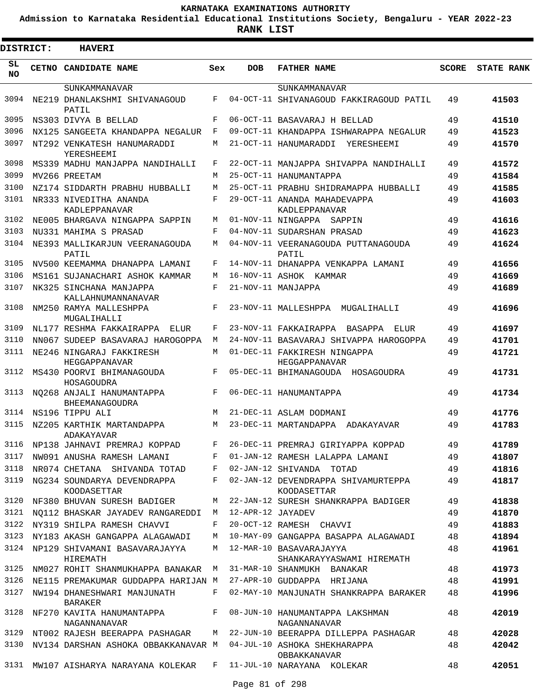**Admission to Karnataka Residential Educational Institutions Society, Bengaluru - YEAR 2022-23**

| <b>DISTRICT:</b> | <b>HAVERI</b>                                                    |        |                   |                                                      |              |                   |
|------------------|------------------------------------------------------------------|--------|-------------------|------------------------------------------------------|--------------|-------------------|
| SL<br><b>NO</b>  | CETNO CANDIDATE NAME                                             | Sex    | <b>DOB</b>        | <b>FATHER NAME</b>                                   | <b>SCORE</b> | <b>STATE RANK</b> |
|                  | SUNKAMMANAVAR                                                    |        |                   | SUNKAMMANAVAR                                        |              |                   |
| 3094             | NE219 DHANLAKSHMI SHIVANAGOUD<br>PATIL                           | F      |                   | 04-OCT-11 SHIVANAGOUD FAKKIRAGOUD PATIL              | 49           | 41503             |
| 3095             | NS303 DIVYA B BELLAD                                             | F      |                   | 06-OCT-11 BASAVARAJ H BELLAD                         | 49           | 41510             |
| 3096             | NX125 SANGEETA KHANDAPPA NEGALUR                                 | F      |                   | 09-OCT-11 KHANDAPPA ISHWARAPPA NEGALUR               | 49           | 41523             |
| 3097             | NT292 VENKATESH HANUMARADDI<br>YERESHEEMI                        | М      |                   | 21-OCT-11 HANUMARADDI<br>YERESHEEMT                  | 49           | 41570             |
| 3098             | MS339 MADHU MANJAPPA NANDIHALLI                                  | F      |                   | 22-OCT-11 MANJAPPA SHIVAPPA NANDIHALLI               | 49           | 41572             |
| 3099             | MV266 PREETAM                                                    | М      |                   | 25-OCT-11 HANUMANTAPPA                               | 49           | 41584             |
| 3100             | NZ174 SIDDARTH PRABHU HUBBALLI                                   | M      |                   | 25-OCT-11 PRABHU SHIDRAMAPPA HUBBALLI                | 49           | 41585             |
| 3101             | NR333 NIVEDITHA ANANDA                                           | F      |                   | 29-OCT-11 ANANDA MAHADEVAPPA                         | 49           | 41603             |
| 3102             | KADLEPPANAVAR                                                    |        |                   | KADLEPPANAVAR<br>01-NOV-11 NINGAPPA                  |              |                   |
| 3103             | NE005 BHARGAVA NINGAPPA SAPPIN                                   | М<br>F |                   | SAPPIN                                               | 49           | 41616             |
| 3104             | NU331 MAHIMA S PRASAD                                            | М      |                   | 04-NOV-11 SUDARSHAN PRASAD                           | 49           | 41623             |
|                  | NE393 MALLIKARJUN VEERANAGOUDA<br>PATIL                          |        |                   | 04-NOV-11 VEERANAGOUDA PUTTANAGOUDA<br>PATIL         | 49           | 41624             |
| 3105             | NV500 KEEMAMMA DHANAPPA LAMANI                                   | F      |                   | 14-NOV-11 DHANAPPA VENKAPPA LAMANI                   | 49           | 41656             |
| 3106             | MS161 SUJANACHARI ASHOK KAMMAR                                   | M      |                   | 16-NOV-11 ASHOK KAMMAR                               | 49           | 41669             |
| 3107             | NK325 SINCHANA MANJAPPA<br>KALLAHNUMANNANAVAR                    | F      |                   | 21-NOV-11 MANJAPPA                                   | 49           | 41689             |
| 3108             | NM250 RAMYA MALLESHPPA<br>MUGALIHALLI                            | F      |                   | 23-NOV-11 MALLESHPPA<br>MUGALIHALLI                  | 49           | 41696             |
| 3109             | NL177 RESHMA FAKKAIRAPPA<br>ELUR                                 | F      |                   | 23-NOV-11 FAKKAIRAPPA<br>BASAPPA<br>ELUR             | 49           | 41697             |
| 3110             | NN067 SUDEEP BASAVARAJ HAROGOPPA                                 | M      |                   | 24-NOV-11 BASAVARAJ SHIVAPPA HAROGOPPA               | 49           | 41701             |
| 3111             | NE246 NINGARAJ FAKKIRESH<br>HEGGAPPANAVAR                        | М      |                   | 01-DEC-11 FAKKIRESH NINGAPPA<br>HEGGAPPANAVAR        | 49           | 41721             |
| 3112             | MS430 POORVI BHIMANAGOUDA<br>HOSAGOUDRA                          | F      |                   | 05-DEC-11 BHIMANAGOUDA HOSAGOUDRA                    | 49           | 41731             |
| 3113             | NO268 ANJALI HANUMANTAPPA<br>BHEEMANAGOUDRA                      | F      |                   | 06-DEC-11 HANUMANTAPPA                               | 49           | 41734             |
| 3114             | NS196 TIPPU ALI                                                  | M      |                   | 21-DEC-11 ASLAM DODMANI                              | 49           | 41776             |
| 3115             | NZ205 KARTHIK MARTANDAPPA<br><b>ADAKAYAVAR</b>                   | М      |                   | 23-DEC-11 MARTANDAPPA ADAKAYAVAR                     | 49           | 41783             |
| 3116             | NP138 JAHNAVI PREMRAJ KOPPAD                                     | F      |                   | 26-DEC-11 PREMRAJ GIRIYAPPA KOPPAD                   | 49           | 41789             |
| 3117             | NW091 ANUSHA RAMESH LAMANI                                       | F      |                   | 01-JAN-12 RAMESH LALAPPA LAMANI                      | 49           | 41807             |
| 3118             | NR074 CHETANA SHIVANDA TOTAD                                     | F      |                   | 02-JAN-12 SHIVANDA TOTAD                             | 49           | 41816             |
| 3119             | NG234 SOUNDARYA DEVENDRAPPA<br>KOODASETTAR                       | F      |                   | 02-JAN-12 DEVENDRAPPA SHIVAMURTEPPA<br>KOODASETTAR   | 49           | 41817             |
| 3120             | NF380 BHUVAN SURESH BADIGER                                      | М      |                   | 22-JAN-12 SURESH SHANKRAPPA BADIGER                  | 49           | 41838             |
| 3121             | NO112 BHASKAR JAYADEV RANGAREDDI                                 | M      | 12-APR-12 JAYADEV |                                                      | 49           | 41870             |
|                  | 3122 NY319 SHILPA RAMESH CHAVVI                                  | F      |                   | 20-OCT-12 RAMESH CHAVVI                              | 49           | 41883             |
| 3123             | NY183 AKASH GANGAPPA ALAGAWADI                                   | М      |                   | 10-MAY-09 GANGAPPA BASAPPA ALAGAWADI                 | 48           | 41894             |
| 3124             | NP129 SHIVAMANI BASAVARAJAYYA<br>HIREMATH                        | М      |                   | 12-MAR-10 BASAVARAJAYYA<br>SHANKARAYYASWAMI HIREMATH | 48           | 41961             |
| 3125             | NM027 ROHIT SHANMUKHAPPA BANAKAR M                               |        |                   | 31-MAR-10 SHANMUKH BANAKAR                           | 48           | 41973             |
| 3126             | NE115 PREMAKUMAR GUDDAPPA HARIJAN M                              |        |                   | 27-APR-10 GUDDAPPA HRIJANA                           | 48           | 41991             |
| 3127             | NW194 DHANESHWARI MANJUNATH<br>BARAKER                           | F      |                   | 02-MAY-10 MANJUNATH SHANKRAPPA BARAKER               | 48           | 41996             |
| 3128             | NF270 KAVITA HANUMANTAPPA<br>NAGANNANAVAR                        | $F$ –  |                   | 08-JUN-10 HANUMANTAPPA LAKSHMAN<br>NAGANNANAVAR      | 48           | 42019             |
| 3129             | NT002 RAJESH BEERAPPA PASHAGAR                                   | M      |                   | 22-JUN-10 BEERAPPA DILLEPPA PASHAGAR                 | 48           | 42028             |
| 3130             | NV134 DARSHAN ASHOKA OBBAKKANAVAR M 04-JUL-10 ASHOKA SHEKHARAPPA |        |                   | OBBAKKANAVAR                                         | 48           | 42042             |
|                  | 3131 MW107 AISHARYA NARAYANA KOLEKAR                             | $F$ –  |                   | 11-JUL-10 NARAYANA KOLEKAR                           | 48           | 42051             |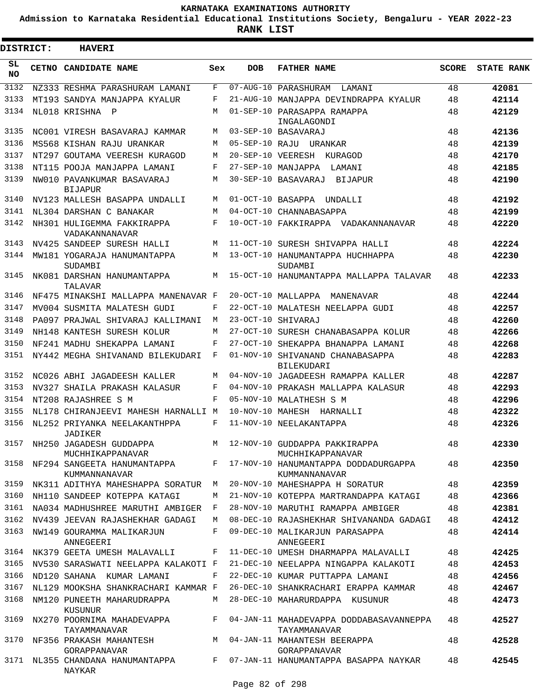**Admission to Karnataka Residential Educational Institutions Society, Bengaluru - YEAR 2022-23**

| <b>DISTRICT:</b> | <b>HAVERI</b>                                  |       |                   |                                                         |              |                   |
|------------------|------------------------------------------------|-------|-------------------|---------------------------------------------------------|--------------|-------------------|
| SL<br><b>NO</b>  | <b>CETNO CANDIDATE NAME</b>                    | Sex   | <b>DOB</b>        | <b>FATHER NAME</b>                                      | <b>SCORE</b> | <b>STATE RANK</b> |
| 3132             | NZ333 RESHMA PARASHURAM LAMANI                 | F     |                   | 07-AUG-10 PARASHURAM LAMANI                             | 48           | 42081             |
| 3133             | MT193 SANDYA MANJAPPA KYALUR                   | F     |                   | 21-AUG-10 MANJAPPA DEVINDRAPPA KYALUR                   | 48           | 42114             |
| 3134             | NL018 KRISHNA<br>$\mathbb P$                   | М     |                   | 01-SEP-10 PARASAPPA RAMAPPA<br>INGALAGONDI              | 48           | 42129             |
| 3135             | NC001 VIRESH BASAVARAJ KAMMAR                  | M     |                   | 03-SEP-10 BASAVARAJ                                     | 48           | 42136             |
| 3136             | MS568 KISHAN RAJU URANKAR                      | М     |                   | 05-SEP-10 RAJU URANKAR                                  | 48           | 42139             |
| 3137             | NT297 GOUTAMA VEERESH KURAGOD                  | М     |                   | 20-SEP-10 VEERESH KURAGOD                               | 48           | 42170             |
| 3138             | NT115 POOJA MANJAPPA LAMANI                    | F     |                   | 27-SEP-10 MANJAPPA<br>LAMANI                            | 48           | 42185             |
| 3139             | NW010 PAVANKUMAR BASAVARAJ<br><b>BIJAPUR</b>   | М     |                   | 30-SEP-10 BASAVARAJ<br>BIJAPUR                          | 48           | 42190             |
| 3140             | NV123 MALLESH BASAPPA UNDALLI                  | M     | 01-OCT-10 BASAPPA | UNDALLI                                                 | 48           | 42192             |
| 3141             | NL304 DARSHAN C BANAKAR                        | М     |                   | 04-OCT-10 CHANNABASAPPA                                 | 48           | 42199             |
| 3142             | NH301 HULIGEMMA FAKKIRAPPA<br>VADAKANNANAVAR   | F     |                   | 10-OCT-10 FAKKIRAPPA VADAKANNANAVAR                     | 48           | 42220             |
| 3143             | NV425 SANDEEP SURESH HALLI                     | М     |                   | 11-OCT-10 SURESH SHIVAPPA HALLI                         | 48           | 42224             |
| 3144             | MW181 YOGARAJA HANUMANTAPPA<br>SUDAMBI         | М     |                   | 13-OCT-10 HANUMANTAPPA HUCHHAPPA<br>SUDAMBI             | 48           | 42230             |
| 3145             | NK081 DARSHAN HANUMANTAPPA<br>TALAVAR          | М     |                   | 15-OCT-10 HANUMANTAPPA MALLAPPA TALAVAR                 | 48           | 42233             |
| 3146             | NF475 MINAKSHI MALLAPPA MANENAVAR F            |       |                   | 20-OCT-10 MALLAPPA MANENAVAR                            | 48           | 42244             |
| 3147             | MV004 SUSMITA MALATESH GUDI                    | F     |                   | 22-OCT-10 MALATESH NEELAPPA GUDI                        | 48           | 42257             |
| 3148             | PA097 PRAJWAL SHIVARAJ KALLIMANI               | M     |                   | 23-OCT-10 SHIVARAJ                                      | 48           | 42260             |
| 3149             | NH148 KANTESH SURESH KOLUR                     | М     |                   | 27-OCT-10 SURESH CHANABASAPPA KOLUR                     | 48           | 42266             |
| 3150             | NF241 MADHU SHEKAPPA LAMANI                    | F     |                   | 27-OCT-10 SHEKAPPA BHANAPPA LAMANI                      | 48           | 42268             |
| 3151             | NY442 MEGHA SHIVANAND BILEKUDARI               | F     |                   | 01-NOV-10 SHIVANAND CHANABASAPPA<br><b>BILEKUDARI</b>   | 48           | 42283             |
| 3152             | NC026 ABHI JAGADEESH KALLER                    | М     |                   | 04-NOV-10 JAGADEESH RAMAPPA KALLER                      | 48           | 42287             |
| 3153             | NV327 SHAILA PRAKASH KALASUR                   | F     |                   | 04-NOV-10 PRAKASH MALLAPPA KALASUR                      | 48           | 42293             |
| 3154             | NT208 RAJASHREE S M                            | F     |                   | 05-NOV-10 MALATHESH S M                                 | 48           | 42296             |
| 3155             | NL178 CHIRANJEEVI MAHESH HARNALLI M            |       |                   | 10-NOV-10 MAHESH HARNALLI                               | 48           | 42322             |
| 3156             | NL252 PRIYANKA NEELAKANTHPPA<br>JADIKER        | F     |                   | 11-NOV-10 NEELAKANTAPPA                                 | 48           | 42326             |
| 3157             | NH250 JAGADESH GUDDAPPA<br>MUCHHIKAPPANAVAR    | M     |                   | 12-NOV-10 GUDDAPPA PAKKIRAPPA<br>MUCHHIKAPPANAVAR       | 48           | 42330             |
| 3158             | NF294 SANGEETA HANUMANTAPPA<br>KUMMANNANAVAR   |       |                   | F 17-NOV-10 HANUMANTAPPA DODDADURGAPPA<br>KUMMANNANAVAR | 48           | 42350             |
| 3159             | NK311 ADITHYA MAHESHAPPA SORATUR M             |       |                   | 20-NOV-10 MAHESHAPPA H SORATUR                          | 48           | 42359             |
| 3160             | NH110 SANDEEP KOTEPPA KATAGI                   | М     |                   | 21-NOV-10 KOTEPPA MARTRANDAPPA KATAGI                   | 48           | 42366             |
| 3161             | NA034 MADHUSHREE MARUTHI AMBIGER F             |       |                   | 28-NOV-10 MARUTHI RAMAPPA AMBIGER                       | 48           | 42381             |
|                  | 3162 NV439 JEEVAN RAJASHEKHAR GADAGI           | M     |                   | 08-DEC-10 RAJASHEKHAR SHIVANANDA GADAGI                 | 48           | 42412             |
|                  | 3163 NW149 GOURAMMA MALIKARJUN<br>ANNEGEERI    | F     |                   | 09-DEC-10 MALIKARJUN PARASAPPA<br>ANNEGEERI             | 48           | 42414             |
|                  | 3164 NK379 GEETA UMESH MALAVALLI               | F     |                   | 11-DEC-10 UMESH DHARMAPPA MALAVALLI                     | 48           | 42425             |
| 3165             | NV530 SARASWATI NEELAPPA KALAKOTI F            |       |                   | 21-DEC-10 NEELAPPA NINGAPPA KALAKOTI                    | 48           | 42453             |
| 3166             | ND120 SAHANA KUMAR LAMANI                      | F     |                   | 22-DEC-10 KUMAR PUTTAPPA LAMANI                         | 48           | 42456             |
| 3167             | NL129 MOOKSHA SHANKRACHARI KAMMAR F            |       |                   | 26-DEC-10 SHANKRACHARI ERAPPA KAMMAR                    | 48           | 42467             |
| 3168             | NM120 PUNEETH MAHARUDRAPPA<br>KUSUNUR          | M     |                   | 28-DEC-10 MAHARURDAPPA KUSUNUR                          | 48           | 42473             |
| 3169             | NX270 POORNIMA MAHADEVAPPA<br>TAYAMMANAVAR     | F     |                   | 04-JAN-11 MAHADEVAPPA DODDABASAVANNEPPA<br>TAYAMMANAVAR | 48           | 42527             |
|                  | 3170 NF356 PRAKASH MAHANTESH M<br>GORAPPANAVAR |       |                   | 04-JAN-11 MAHANTESH BEERAPPA<br>GORAPPANAVAR            | 48           | 42528             |
|                  | 3171 NL355 CHANDANA HANUMANTAPPA<br>NAYKAR     | $F -$ |                   | 07-JAN-11 HANUMANTAPPA BASAPPA NAYKAR                   | 48           | 42545             |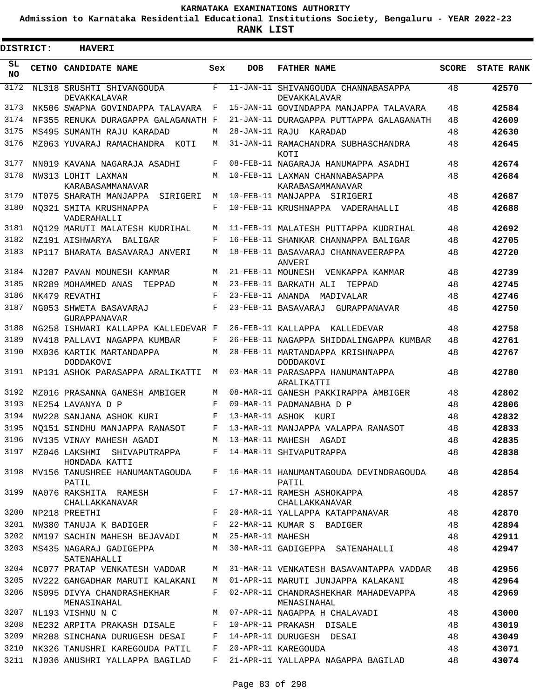**Admission to Karnataka Residential Educational Institutions Society, Bengaluru - YEAR 2022-23**

3

**RANK LIST**

Е

| DISTRICT:        | <b>HAVERI</b>                                                                |            |                   |                                                      |              |            |
|------------------|------------------------------------------------------------------------------|------------|-------------------|------------------------------------------------------|--------------|------------|
| SL.<br><b>NO</b> | CETNO CANDIDATE NAME                                                         | Sex        | <b>DOB</b>        | <b>FATHER NAME</b>                                   | <b>SCORE</b> | STATE RANK |
| 3172             | NL318 SRUSHTI SHIVANGOUDA<br>DEVAKKALAVAR                                    | F          |                   | 11-JAN-11 SHIVANGOUDA CHANNABASAPPA<br>DEVAKKALAVAR  | 48           | 42570      |
| 3173             | NK506 SWAPNA GOVINDAPPA TALAVARA                                             | F          |                   | 15-JAN-11 GOVINDAPPA MANJAPPA TALAVARA               | 48           | 42584      |
| 3174             | NF355 RENUKA DURAGAPPA GALAGANATH F                                          |            |                   | 21-JAN-11 DURAGAPPA PUTTAPPA GALAGANATH              | 48           | 42609      |
| 3175             | MS495 SUMANTH RAJU KARADAD                                                   | М          |                   | 28-JAN-11 RAJU KARADAD                               | 48           | 42630      |
| 3176             | MZ063 YUVARAJ RAMACHANDRA KOTI                                               | М          |                   | 31-JAN-11 RAMACHANDRA SUBHASCHANDRA<br><b>KOTT</b>   | 48           | 42645      |
| 3177             | NN019 KAVANA NAGARAJA ASADHI                                                 | F          |                   | 08-FEB-11 NAGARAJA HANUMAPPA ASADHI                  | 48           | 42674      |
| 3178             | NW313 LOHIT LAXMAN                                                           | М          |                   | 10-FEB-11 LAXMAN CHANNABASAPPA                       | 48           | 42684      |
| 3179             | KARABASAMMANAVAR<br>NT075 SHARATH MANJAPPA SIRIGERI                          | M          |                   | KARABASAMMANAVAR<br>10-FEB-11 MANJAPPA SIRIGERI      | 48           | 42687      |
| 3180             | NO321 SMITA KRUSHNAPPA<br>VADERAHALLI                                        | F          |                   | 10-FEB-11 KRUSHNAPPA VADERAHALLI                     | 48           | 42688      |
| 3181             | NO129 MARUTI MALATESH KUDRIHAL                                               | М          |                   | 11-FEB-11 MALATESH PUTTAPPA KUDRIHAL                 | 48           | 42692      |
| 3182             | NZ191 AISHWARYA BALIGAR                                                      | F          |                   | 16-FEB-11 SHANKAR CHANNAPPA BALIGAR                  | 48           | 42705      |
| 3183             | NP117 BHARATA BASAVARAJ ANVERI                                               | М          |                   | 18-FEB-11 BASAVARAJ CHANNAVEERAPPA<br>ANVERI         | 48           | 42720      |
| 3184             | NJ287 PAVAN MOUNESH KAMMAR                                                   | M          | 21-FEB-11 MOUNESH | VENKAPPA KAMMAR                                      | 48           | 42739      |
| 3185             | NR289 MOHAMMED ANAS<br>TEPPAD                                                | M          |                   | 23-FEB-11 BARKATH ALI<br>TEPPAD                      | 48           | 42745      |
| 3186             | NK479 REVATHI                                                                | $_{\rm F}$ |                   | 23-FEB-11 ANANDA MADIVALAR                           | 48           | 42746      |
| 3187             | NG053 SHWETA BASAVARAJ<br>GURAPPANAVAR                                       | F          |                   | 23-FEB-11 BASAVARAJ GURAPPANAVAR                     | 48           | 42750      |
| 3188             | NG258 ISHWARI KALLAPPA KALLEDEVAR F                                          |            |                   | 26-FEB-11 KALLAPPA KALLEDEVAR                        | 48           | 42758      |
| 3189             | NV418 PALLAVI NAGAPPA KUMBAR                                                 | F          |                   | 26-FEB-11 NAGAPPA SHIDDALINGAPPA KUMBAR              | 48           | 42761      |
| 3190             | MX036 KARTIK MARTANDAPPA<br>DODDAKOVI                                        | М          |                   | 28-FEB-11 MARTANDAPPA KRISHNAPPA<br><b>DODDAKOVI</b> | 48           | 42767      |
| 3191             | NP131 ASHOK PARASAPPA ARALIKATTI                                             | M          |                   | 03-MAR-11 PARASAPPA HANUMANTAPPA<br>ARALIKATTI       | 48           | 42780      |
| 3192             | MZ016 PRASANNA GANESH AMBIGER                                                | М          |                   | 08-MAR-11 GANESH PAKKIRAPPA AMBIGER                  | 48           | 42802      |
| 3193             | NE254 LAVANYA D P                                                            | F          |                   | 09-MAR-11 PADMANABHA D P                             | 48           | 42806      |
| 3194             | NW228 SANJANA ASHOK KURI                                                     | F          |                   | 13-MAR-11 ASHOK KURI                                 | 48           | 42832      |
| 3195             | NO151 SINDHU MANJAPPA RANASOT                                                | F          |                   | 13-MAR-11 MANJAPPA VALAPPA RANASOT                   | 48           | 42833      |
| 3196             | NV135 VINAY MAHESH AGADI                                                     | M          |                   | 13-MAR-11 MAHESH AGADI                               | 48           | 42835      |
| 3197             | MZ046 LAKSHMI SHIVAPUTRAPPA      F  14-MAR-11 SHIVAPUTRAPPA<br>HONDADA KATTI |            |                   |                                                      | 48           | 42838      |
| 3198             | MV156 TANUSHREE HANUMANTAGOUDA<br>PATIL                                      |            |                   | F 16-MAR-11 HANUMANTAGOUDA DEVINDRAGOUDA<br>PATIL    | 48           | 42854      |
| 3199             | NA076 RAKSHITA RAMESH<br>CHALLAKKANAVAR                                      | $F -$      |                   | 17-MAR-11 RAMESH ASHOKAPPA<br>CHALLAKKANAVAR         | 48           | 42857      |
| 3200             | NP218 PREETHI                                                                | F          |                   | 20-MAR-11 YALLAPPA KATAPPANAVAR                      | 48           | 42870      |
| 3201             | NW380 TANUJA K BADIGER F                                                     |            |                   | 22-MAR-11 KUMAR S BADIGER                            | 48           | 42894      |
| 3202             | NM197 SACHIN MAHESH BEJAVADI M                                               |            | 25-MAR-11 MAHESH  |                                                      | 48           | 42911      |
| 3203             | MS435 NAGARAJ GADIGEPPA<br>SATENAHALLI                                       | M          |                   | 30-MAR-11 GADIGEPPA SATENAHALLI                      | 48           | 42947      |
|                  | 3204 NC077 PRATAP VENKATESH VADDAR                                           | M          |                   | 31-MAR-11 VENKATESH BASAVANTAPPA VADDAR              | 48           | 42956      |
| 3205             | NV222 GANGADHAR MARUTI KALAKANI                                              | M          |                   | 01-APR-11 MARUTI JUNJAPPA KALAKANI                   | 48           | 42964      |
| 3206             | NS095 DIVYA CHANDRASHEKHAR<br>MENASINAHAL                                    | F          |                   | 02-APR-11 CHANDRASHEKHAR MAHADEVAPPA<br>MENASINAHAL  | 48           | 42969      |
| 3207             | NL193 VISHNU N C                                                             | M          |                   | 07-APR-11 NAGAPPA H CHALAVADI                        | 48           | 43000      |
| 3208             | NE232 ARPITA PRAKASH DISALE F                                                |            |                   | 10-APR-11 PRAKASH DISALE                             | 48           | 43019      |
| 3209             | MR208 SINCHANA DURUGESH DESAI F                                              |            |                   | 14-APR-11 DURUGESH DESAI                             | 48           | 43049      |
| 3210             | NK326 TANUSHRI KAREGOUDA PATIL                                               | F          |                   | 20-APR-11 KAREGOUDA                                  | 48           | 43071      |
| 3211             | NJ036 ANUSHRI YALLAPPA BAGILAD                                               | F          |                   | 21-APR-11 YALLAPPA NAGAPPA BAGILAD                   | 48           | 43074      |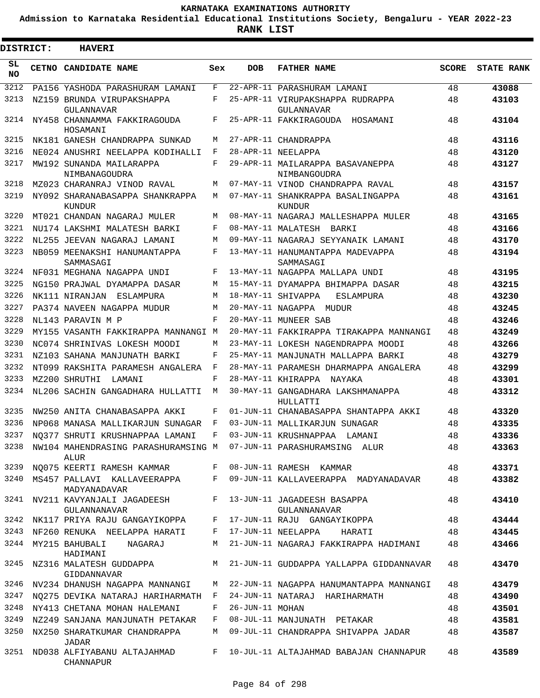**Admission to Karnataka Residential Educational Institutions Society, Bengaluru - YEAR 2022-23**

ı

| <b>DISTRICT:</b> | <b>HAVERI</b>                                                                  |       |                 |                                                                                                                   |              |                   |
|------------------|--------------------------------------------------------------------------------|-------|-----------------|-------------------------------------------------------------------------------------------------------------------|--------------|-------------------|
| SL<br><b>NO</b>  | <b>CETNO CANDIDATE NAME</b>                                                    | Sex   | DOB             | <b>FATHER NAME</b>                                                                                                | <b>SCORE</b> | <b>STATE RANK</b> |
| 3212             | PA156 YASHODA PARASHURAM LAMANI                                                | F     |                 | 22-APR-11 PARASHURAM LAMANI                                                                                       | 48           | 43088             |
| 3213             | NZ159 BRUNDA VIRUPAKSHAPPA<br><b>GULANNAVAR</b>                                | F     |                 | 25-APR-11 VIRUPAKSHAPPA RUDRAPPA<br>GULANNAVAR                                                                    | 48           | 43103             |
| 3214             | NY458 CHANNAMMA FAKKIRAGOUDA<br>HOSAMANI                                       | F     |                 | 25-APR-11 FAKKIRAGOUDA HOSAMANI                                                                                   | 48           | 43104             |
| 3215             | NK181 GANESH CHANDRAPPA SUNKAD                                                 | М     |                 | 27-APR-11 CHANDRAPPA                                                                                              | 48           | 43116             |
| 3216             | NE024 ANUSHRI NEELAPPA KODIHALLI                                               | F     |                 | 28-APR-11 NEELAPPA                                                                                                | 48           | 43120             |
| 3217             | MW192 SUNANDA MAILARAPPA<br>NIMBANAGOUDRA                                      | F     |                 | 29-APR-11 MAILARAPPA BASAVANEPPA<br>NIMBANGOUDRA                                                                  | 48           | 43127             |
| 3218             | MZ023 CHARANRAJ VINOD RAVAL                                                    | М     |                 | 07-MAY-11 VINOD CHANDRAPPA RAVAL                                                                                  | 48           | 43157             |
| 3219             | NY092 SHARANABASAPPA SHANKRAPPA<br>KUNDUR                                      | М     |                 | 07-MAY-11 SHANKRAPPA BASALINGAPPA<br>KUNDUR                                                                       | 48           | 43161             |
| 3220             | MT021 CHANDAN NAGARAJ MULER                                                    | M     |                 | 08-MAY-11 NAGARAJ MALLESHAPPA MULER                                                                               | 48           | 43165             |
| 3221             | NU174 LAKSHMI MALATESH BARKI                                                   | F     |                 | 08-MAY-11 MALATESH BARKI                                                                                          | 48           | 43166             |
| 3222             | NL255 JEEVAN NAGARAJ LAMANI                                                    | M     |                 | 09-MAY-11 NAGARAJ SEYYANAIK LAMANI                                                                                | 48           | 43170             |
| 3223             | NB059 MEENAKSHI HANUMANTAPPA<br>SAMMASAGI                                      | F     |                 | 13-MAY-11 HANUMANTAPPA MADEVAPPA<br>SAMMASAGI                                                                     | 48           | 43194             |
| 3224             | NF031 MEGHANA NAGAPPA UNDI                                                     | F     |                 | 13-MAY-11 NAGAPPA MALLAPA UNDI                                                                                    | 48           | 43195             |
| 3225             | NG150 PRAJWAL DYAMAPPA DASAR                                                   | М     |                 | 15-MAY-11 DYAMAPPA BHIMAPPA DASAR                                                                                 | 48           | 43215             |
| 3226             | NK111 NIRANJAN<br>ESLAMPURA                                                    | М     |                 | 18-MAY-11 SHIVAPPA<br><b>ESLAMPURA</b>                                                                            | 48           | 43230             |
| 3227             | PA374 NAVEEN NAGAPPA MUDUR                                                     | М     |                 | 20-MAY-11 NAGAPPA MUDUR                                                                                           | 48           | 43245             |
| 3228             | NL143 PARAVIN M P                                                              | F     |                 | 20-MAY-11 MUNEER SAB                                                                                              | 48           | 43246             |
| 3229             | MY155 VASANTH FAKKIRAPPA MANNANGI M                                            |       |                 | 20-MAY-11 FAKKIRAPPA TIRAKAPPA MANNANGI                                                                           | 48           | 43249             |
| 3230             | NC074 SHRINIVAS LOKESH MOODI                                                   | М     |                 | 23-MAY-11 LOKESH NAGENDRAPPA MOODI                                                                                | 48           | 43266             |
| 3231             | NZ103 SAHANA MANJUNATH BARKI                                                   | F     |                 | 25-MAY-11 MANJUNATH MALLAPPA BARKI                                                                                | 48           | 43279             |
| 3232             | NT099 RAKSHITA PARAMESH ANGALERA                                               | F     |                 | 28-MAY-11 PARAMESH DHARMAPPA ANGALERA                                                                             | 48           | 43299             |
| 3233             | MZ200 SHRUTHI<br>LAMANI                                                        | F     |                 | 28-MAY-11 KHIRAPPA<br>NAYAKA                                                                                      | 48           | 43301             |
| 3234             | NL206 SACHIN GANGADHARA HULLATTI                                               | М     |                 | 30-MAY-11 GANGADHARA LAKSHMANAPPA<br>HULLATTI                                                                     | 48           | 43312             |
| 3235             | NW250 ANITA CHANABASAPPA AKKI                                                  | F     |                 | 01-JUN-11 CHANABASAPPA SHANTAPPA AKKI                                                                             | 48           | 43320             |
| 3236             | NP068 MANASA MALLIKARJUN SUNAGAR                                               | F     |                 | 03-JUN-11 MALLIKARJUN SUNAGAR                                                                                     | 48           | 43335             |
| 3237             | NO377 SHRUTI KRUSHNAPPAA LAMANI                                                | F     |                 | 03-JUN-11 KRUSHNAPPAA<br>LAMANI                                                                                   | 48           | 43336             |
|                  | 3238 NW104 MAHENDRASING PARASHURAMSING M 07-JUN-11 PARASHURAMSING ALUR<br>ALUR |       |                 |                                                                                                                   | 48           | 43363             |
| 3239             | NO075 KEERTI RAMESH KAMMAR F 08-JUN-11 RAMESH KAMMAR                           |       |                 |                                                                                                                   | 48           | 43371             |
|                  | MADYANADAVAR                                                                   |       |                 | 3240 MS457 PALLAVI KALLAVEERAPPA F 09-JUN-11 KALLAVEERAPPA MADYANADAVAR                                           | 48           | 43382             |
|                  | 3241 NV211 KAVYANJALI JAGADEESH F 13-JUN-11 JAGADEESH BASAPPA<br>GULANNANAVAR  |       |                 | GULANNANAVAR                                                                                                      | 48           | 43410             |
|                  | 3242 NK117 PRIYA RAJU GANGAYIKOPPA F 17-JUN-11 RAJU GANGAYIKOPPA               |       |                 |                                                                                                                   | 48           | 43444             |
|                  | 3243 NF260 RENUKA NEELAPPA HARATI F 17-JUN-11 NEELAPPA                         |       |                 | <b>HARATI</b>                                                                                                     | 48           | 43445             |
|                  | 3244 MY215 BAHUBALI<br>NAGARAJ<br>HADIMANI                                     |       |                 | M 21-JUN-11 NAGARAJ FAKKIRAPPA HADIMANI<br>3245 NZ316 MALATESH GUDDAPPA M 21-JUN-11 GUDDAPPA YALLAPPA GIDDANNAVAR | 48<br>48     | 43466<br>43470    |
|                  | GIDDANNAVAR                                                                    |       |                 |                                                                                                                   |              |                   |
|                  | 3246 NV234 DHANUSH NAGAPPA MANNANGI                                            |       |                 | M 22-JUN-11 NAGAPPA HANUMANTAPPA MANNANGI                                                                         | 48           | 43479             |
| 3247<br>3248     | NO275 DEVIKA NATARAJ HARIHARMATH F                                             | $F$ – |                 | 24-JUN-11 NATARAJ HARIHARMATH                                                                                     | 48           | 43490             |
| 3249             | NY413 CHETANA MOHAN HALEMANI                                                   | F     | 26-JUN-11 MOHAN |                                                                                                                   | 48           | 43501             |
| 3250             | NZ249 SANJANA MANJUNATH PETAKAR                                                |       |                 | 08-JUL-11 MANJUNATH PETAKAR                                                                                       | 48           | 43581             |
|                  | NX250 SHARATKUMAR CHANDRAPPA<br>JADAR                                          |       |                 | M 09-JUL-11 CHANDRAPPA SHIVAPPA JADAR                                                                             | 48           | 43587             |
|                  | CHANNAPUR                                                                      |       |                 | 3251 ND038 ALFIYABANU ALTAJAHMAD F 10-JUL-11 ALTAJAHMAD BABAJAN CHANNAPUR                                         | 48           | 43589             |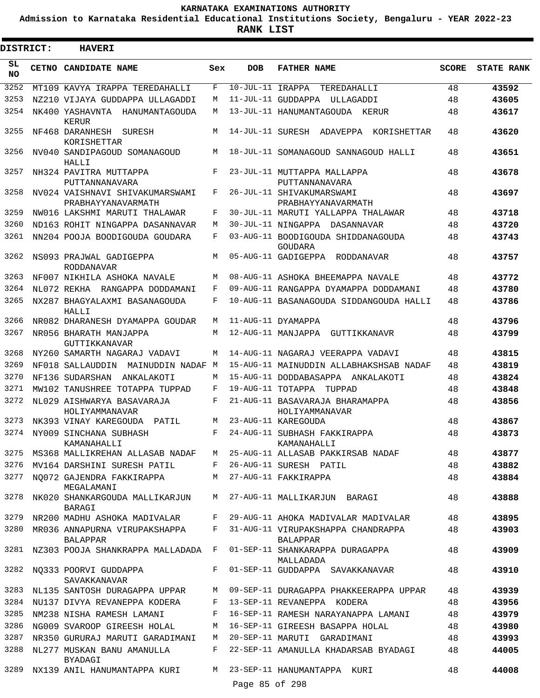**Admission to Karnataka Residential Educational Institutions Society, Bengaluru - YEAR 2022-23**

.

**RANK LIST**

| <b>DISTRICT:</b> | <b>HAVERI</b>                                         |     |                  |                                                       |              |                   |
|------------------|-------------------------------------------------------|-----|------------------|-------------------------------------------------------|--------------|-------------------|
| SL<br>NO.        | CETNO CANDIDATE NAME                                  | Sex | <b>DOB</b>       | <b>FATHER NAME</b>                                    | <b>SCORE</b> | <b>STATE RANK</b> |
| 3252             | MT109 KAVYA IRAPPA TEREDAHALLI                        | F   | 10-JUL-11 IRAPPA | TEREDAHALLI                                           | 48           | 43592             |
| 3253             | NZ210 VIJAYA GUDDAPPA ULLAGADDI                       | М   |                  | 11-JUL-11 GUDDAPPA ULLAGADDI                          | 48           | 43605             |
| 3254             | NK400 YASHAVNTA HANUMANTAGOUDA<br>KERUR               | М   |                  | 13-JUL-11 HANUMANTAGOUDA KERUR                        | 48           | 43617             |
| 3255             | NF468 DARANHESH SURESH<br>KORISHETTAR                 | М   |                  | 14-JUL-11 SURESH ADAVEPPA<br>KORISHETTAR              | 48           | 43620             |
| 3256             | NV040 SANDIPAGOUD SOMANAGOUD<br>HALLI                 | M   |                  | 18-JUL-11 SOMANAGOUD SANNAGOUD HALLI                  | 48           | 43651             |
| 3257             | NH324 PAVITRA MUTTAPPA<br>PUTTANNANAVARA              | F   |                  | 23-JUL-11 MUTTAPPA MALLAPPA<br>PUTTANNANAVARA         | 48           | 43678             |
| 3258             | NV024 VAISHNAVI SHIVAKUMARSWAMI<br>PRABHAYYANAVARMATH | F   |                  | 26-JUL-11 SHIVAKUMARSWAMI<br>PRABHAYYANAVARMATH       | 48           | 43697             |
| 3259             | NW016 LAKSHMI MARUTI THALAWAR                         | F   |                  | 30-JUL-11 MARUTI YALLAPPA THALAWAR                    | 48           | 43718             |
| 3260             | ND163 ROHIT NINGAPPA DASANNAVAR                       | М   |                  | 30-JUL-11 NINGAPPA DASANNAVAR                         | 48           | 43720             |
| 3261             | NN204 POOJA BOODIGOUDA GOUDARA                        | F   |                  | 03-AUG-11 BOODIGOUDA SHIDDANAGOUDA<br>GOUDARA         | 48           | 43743             |
| 3262             | NS093 PRAJWAL GADIGEPPA<br><b>RODDANAVAR</b>          | М   |                  | 05-AUG-11 GADIGEPPA RODDANAVAR                        | 48           | 43757             |
| 3263             | NF007 NIKHILA ASHOKA NAVALE                           | М   |                  | 08-AUG-11 ASHOKA BHEEMAPPA NAVALE                     | 48           | 43772             |
| 3264             | NL072 REKHA RANGAPPA DODDAMANI                        | F   |                  | 09-AUG-11 RANGAPPA DYAMAPPA DODDAMANI                 | 48           | 43780             |
| 3265             | NX287 BHAGYALAXMI BASANAGOUDA<br>HALLI                | F   |                  | 10-AUG-11 BASANAGOUDA SIDDANGOUDA HALLI               | 48           | 43786             |
| 3266             | NR082 DHARANESH DYAMAPPA GOUDAR                       | М   |                  | 11-AUG-11 DYAMAPPA                                    | 48           | 43796             |
| 3267             | NR056 BHARATH MANJAPPA<br>GUTTIKKANAVAR               | M   |                  | 12-AUG-11 MANJAPPA GUTTIKKANAVR                       | 48           | 43799             |
| 3268             | NY260 SAMARTH NAGARAJ VADAVI                          | М   |                  | 14-AUG-11 NAGARAJ VEERAPPA VADAVI                     | 48           | 43815             |
| 3269             | NF018 SALLAUDDIN MAINUDDIN NADAF M                    |     |                  | 15-AUG-11 MAINUDDIN ALLABHAKSHSAB NADAF               | 48           | 43819             |
| 3270             | NF136 SUDARSHAN<br>ANKALAKOTI                         | М   |                  | 15-AUG-11 DODDABASAPPA ANKALAKOTI                     | 48           | 43824             |
| 3271             | MW102 TANUSHREE TOTAPPA TUPPAD                        | F   |                  | 19-AUG-11 TOTAPPA TUPPAD                              | 48           | 43848             |
| 3272             | NL029 AISHWARYA BASAVARAJA<br>HOLIYAMMANAVAR          | F   |                  | 21-AUG-11 BASAVARAJA BHARAMAPPA<br>HOLIYAMMANAVAR     | 48           | 43856             |
| 3273             | NK393 VINAY KAREGOUDA PATIL                           | M   |                  | 23-AUG-11 KAREGOUDA                                   | 48           | 43867             |
| 3274             | NY009 SINCHANA SUBHASH<br>KAMANAHALLI                 | F   |                  | 24-AUG-11 SUBHASH FAKKIRAPPA<br>KAMANAHALLI           | 48           | 43873             |
| 3275             | MS368 MALLIKREHAN ALLASAB NADAF                       | M   |                  | 25-AUG-11 ALLASAB PAKKIRSAB NADAF                     | 48           | 43877             |
| 3276             | MV164 DARSHINI SURESH PATIL                           | F   |                  | 26-AUG-11 SURESH PATIL                                | 48           | 43882             |
| 3277             | NO072 GAJENDRA FAKKIRAPPA<br>MEGALAMANI               | M   |                  | 27-AUG-11 FAKKIRAPPA                                  | 48           | 43884             |
| 3278             | NK020 SHANKARGOUDA MALLIKARJUN<br>BARAGI              | M   |                  | 27-AUG-11 MALLIKARJUN BARAGI                          | 48           | 43888             |
| 3279             | NR200 MADHU ASHOKA MADIVALAR                          | F   |                  | 29-AUG-11 AHOKA MADIVALAR MADIVALAR                   | 48           | 43895             |
| 3280             | MR036 ANNAPURNA VIRUPAKSHAPPA<br><b>BALAPPAR</b>      | F   |                  | 31-AUG-11 VIRUPAKSHAPPA CHANDRAPPA<br><b>BALAPPAR</b> | 48           | 43903             |
|                  | 3281 NZ303 POOJA SHANKRAPPA MALLADADA F               |     |                  | 01-SEP-11 SHANKARAPPA DURAGAPPA<br>MALLADADA          | 48           | 43909             |
| 3282             | NO333 POORVI GUDDAPPA<br>SAVAKKANAVAR                 | F   |                  | 01-SEP-11 GUDDAPPA SAVAKKANAVAR                       | 48           | 43910             |
| 3283             | NL135 SANTOSH DURAGAPPA UPPAR                         | М   |                  | 09-SEP-11 DURAGAPPA PHAKKEERAPPA UPPAR                | 48           | 43939             |
| 3284             | NU137 DIVYA REVANEPPA KODERA                          | F   |                  | 13-SEP-11 REVANEPPA KODERA                            | 48           | 43956             |
| 3285             | NM238 NISHA RAMESH LAMANI                             | F   |                  | 16-SEP-11 RAMESH NARAYANAPPA LAMANI                   | 48           | 43979             |
| 3286             | NG009 SVAROOP GIREESH HOLAL                           | M   |                  | 16-SEP-11 GIREESH BASAPPA HOLAL                       | 48           | 43980             |
| 3287             | NR350 GURURAJ MARUTI GARADIMANI                       | М   |                  | 20-SEP-11 MARUTI GARADIMANI                           | 48           | 43993             |
| 3288             | NL277 MUSKAN BANU AMANULLA<br>BYADAGI                 | F   |                  | 22-SEP-11 AMANULLA KHADARSAB BYADAGI                  | 48           | 44005             |
| 3289             | NX139 ANIL HANUMANTAPPA KURI                          | М   |                  | 23-SEP-11 HANUMANTAPPA KURI                           | 48           | 44008             |
|                  |                                                       |     | Page 85 of 298   |                                                       |              |                   |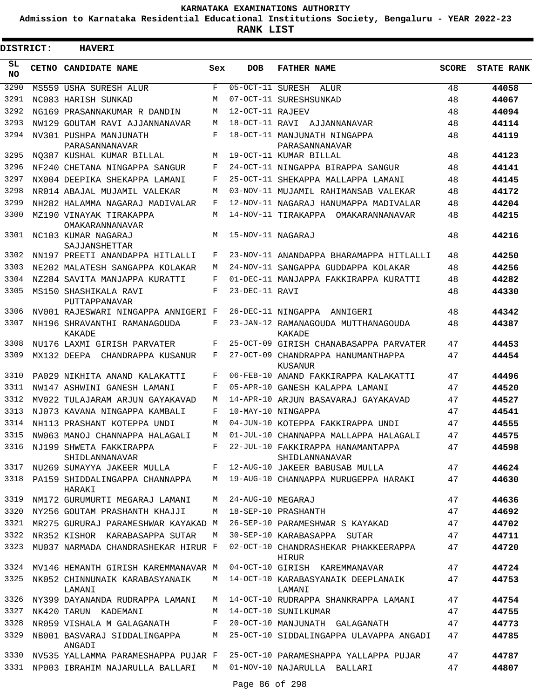**Admission to Karnataka Residential Educational Institutions Society, Bengaluru - YEAR 2022-23**

| <b>DISTRICT:</b> | <b>HAVERI</b>                              |       |                   |                                                     |              |                   |
|------------------|--------------------------------------------|-------|-------------------|-----------------------------------------------------|--------------|-------------------|
| SL<br><b>NO</b>  | CETNO CANDIDATE NAME                       | Sex   | <b>DOB</b>        | <b>FATHER NAME</b>                                  | <b>SCORE</b> | <b>STATE RANK</b> |
| 3290             | MS559 USHA SURESH ALUR                     | F     | 05-OCT-11 SURESH  | ALUR                                                | 48           | 44058             |
| 3291             | NC083 HARISH SUNKAD                        | М     |                   | 07-OCT-11 SURESHSUNKAD                              | 48           | 44067             |
| 3292             | NG169 PRASANNAKUMAR R DANDIN               | M     | 12-OCT-11 RAJEEV  |                                                     | 48           | 44094             |
| 3293             | NW129 GOUTAM RAVI AJJANNANAVAR             | М     |                   | 18-OCT-11 RAVI AJJANNANAVAR                         | 48           | 44114             |
| 3294             | NV301 PUSHPA MANJUNATH<br>PARASANNANAVAR   | F     |                   | 18-OCT-11 MANJUNATH NINGAPPA<br>PARASANNANAVAR      | 48           | 44119             |
| 3295             | NO387 KUSHAL KUMAR BILLAL                  | М     |                   | 19-OCT-11 KUMAR BILLAL                              | 48           | 44123             |
| 3296             | NF240 CHETANA NINGAPPA SANGUR              | F     |                   | 24-OCT-11 NINGAPPA BIRAPPA SANGUR                   | 48           | 44141             |
| 3297             | NX004 DEEPIKA SHEKAPPA LAMANI              | F     |                   | 25-OCT-11 SHEKAPPA MALLAPPA LAMANI                  | 48           | 44145             |
| 3298             | NR014 ABAJAL MUJAMIL VALEKAR               | M     |                   | 03-NOV-11 MUJAMIL RAHIMANSAB VALEKAR                | 48           | 44172             |
| 3299             | NH282 HALAMMA NAGARAJ MADIVALAR            | F     |                   | 12-NOV-11 NAGARAJ HANUMAPPA MADIVALAR               | 48           | 44204             |
| 3300             | MZ190 VINAYAK TIRAKAPPA<br>OMAKARANNANAVAR | М     |                   | 14-NOV-11 TIRAKAPPA OMAKARANNANAVAR                 | 48           | 44215             |
| 3301             | NC103 KUMAR NAGARAJ<br>SAJJANSHETTAR       | М     | 15-NOV-11 NAGARAJ |                                                     | 48           | 44216             |
| 3302             | NN197 PREETI ANANDAPPA HITLALLI            | F     |                   | 23-NOV-11 ANANDAPPA BHARAMAPPA HITLALLI             | 48           | 44250             |
| 3303             | NE202 MALATESH SANGAPPA KOLAKAR            | М     |                   | 24-NOV-11 SANGAPPA GUDDAPPA KOLAKAR                 | 48           | 44256             |
| 3304             | NZ284 SAVITA MANJAPPA KURATTI              | F     |                   | 01-DEC-11 MANJAPPA FAKKIRAPPA KURATTI               | 48           | 44282             |
| 3305             | MS150 SHASHIKALA RAVI<br>PUTTAPPANAVAR     | F     | 23-DEC-11 RAVI    |                                                     | 48           | 44330             |
| 3306             | NV001 RAJESWARI NINGAPPA ANNIGERI F        |       |                   | 26-DEC-11 NINGAPPA ANNIGERI                         | 48           | 44342             |
| 3307             | NH196 SHRAVANTHI RAMANAGOUDA<br>KAKADE     | F     |                   | 23-JAN-12 RAMANAGOUDA MUTTHANAGOUDA<br>KAKADE       | 48           | 44387             |
| 3308             | NU176 LAXMI GIRISH PARVATER                | F     |                   | 25-OCT-09 GIRISH CHANABASAPPA PARVATER              | 47           | 44453             |
| 3309             | MX132 DEEPA CHANDRAPPA KUSANUR             | F     |                   | 27-OCT-09 CHANDRAPPA HANUMANTHAPPA<br>KUSANUR       | 47           | 44454             |
| 3310             | PA029 NIKHITA ANAND KALAKATTI              | F     |                   | 06-FEB-10 ANAND FAKKIRAPPA KALAKATTI                | 47           | 44496             |
| 3311             | NW147 ASHWINI GANESH LAMANI                | F     |                   | 05-APR-10 GANESH KALAPPA LAMANI                     | 47           | 44520             |
| 3312             | MV022 TULAJARAM ARJUN GAYAKAVAD            | M     |                   | 14-APR-10 ARJUN BASAVARAJ GAYAKAVAD                 | 47           | 44527             |
| 3313             | NJ073 KAVANA NINGAPPA KAMBALI              | F     |                   | 10-MAY-10 NINGAPPA                                  | 47           | 44541             |
| 3314             | NH113 PRASHANT KOTEPPA UNDI                | М     |                   | 04-JUN-10 KOTEPPA FAKKIRAPPA UNDI                   | 47           | 44555             |
| 3315             | NW063 MANOJ CHANNAPPA HALAGALI             | М     |                   | 01-JUL-10 CHANNAPPA MALLAPPA HALAGALI               | 47           | 44575             |
| 3316             | NJ199 SHWETA FAKKIRAPPA<br>SHIDLANNANAVAR  | F     |                   | 22-JUL-10 FAKKIRAPPA HANAMANTAPPA<br>SHIDLANNANAVAR | 47           | 44598             |
| 3317             | NU269 SUMAYYA JAKEER MULLA                 | $F -$ |                   | 12-AUG-10 JAKEER BABUSAB MULLA                      | 47           | 44624             |
| 3318             | PA159 SHIDDALINGAPPA CHANNAPPA<br>HARAKI   | М     |                   | 19-AUG-10 CHANNAPPA MURUGEPPA HARAKI                | 47           | 44630             |
| 3319             | NM172 GURUMURTI MEGARAJ LAMANI             | M     | 24-AUG-10 MEGARAJ |                                                     | 47           | 44636             |
| 3320             | NY256 GOUTAM PRASHANTH KHAJJI              | М     |                   | 18-SEP-10 PRASHANTH                                 | 47           | 44692             |
| 3321             | MR275 GURURAJ PARAMESHWAR KAYAKAD M        |       |                   | 26-SEP-10 PARAMESHWAR S KAYAKAD                     | 47           | 44702             |
| 3322             | NR352 KISHOR KARABASAPPA SUTAR             | М     |                   | 30-SEP-10 KARABASAPPA SUTAR                         | 47           | 44711             |
| 3323             | MU037 NARMADA CHANDRASHEKAR HIRUR F        |       |                   | 02-OCT-10 CHANDRASHEKAR PHAKKEERAPPA<br>HIRUR       | 47           | 44720             |
|                  | 3324 MV146 HEMANTH GIRISH KAREMMANAVAR M   |       |                   | 04-OCT-10 GIRISH KAREMMANAVAR                       | 47           | 44724             |
| 3325             | NK052 CHINNUNAIK KARABASYANAIK<br>LAMANI   | М     |                   | 14-OCT-10 KARABASYANAIK DEEPLANAIK<br>LAMANI        | 47           | 44753             |
| 3326             | NY399 DAYANANDA RUDRAPPA LAMANI            | M     |                   | 14-OCT-10 RUDRAPPA SHANKRAPPA LAMANI                | 47           | 44754             |
| 3327             | NK420 TARUN KADEMANI                       | М     |                   | 14-OCT-10 SUNILKUMAR                                | 47           | 44755             |
| 3328             | NR059 VISHALA M GALAGANATH                 | F     |                   | 20-OCT-10 MANJUNATH GALAGANATH                      | 47           | 44773             |
| 3329             | NB001 BASVARAJ SIDDALINGAPPA<br>ANGADI     | М     |                   | 25-OCT-10 SIDDALINGAPPA ULAVAPPA ANGADI             | 47           | 44785             |
| 3330             | NV535 YALLAMMA PARAMESHAPPA PUJAR F        |       |                   | 25-OCT-10 PARAMESHAPPA YALLAPPA PUJAR               | 47           | 44787             |
| 3331             | NP003 IBRAHIM NAJARULLA BALLARI            | M     |                   | 01-NOV-10 NAJARULLA BALLARI                         | 47           | 44807             |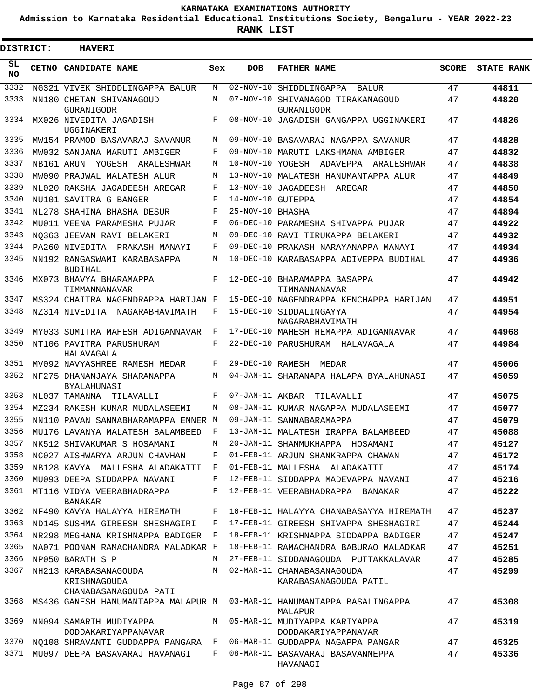**Admission to Karnataka Residential Educational Institutions Society, Bengaluru - YEAR 2022-23**

| <b>DISTRICT:</b> | <b>HAVERI</b>                                                  |              |                   |                                                      |              |                   |
|------------------|----------------------------------------------------------------|--------------|-------------------|------------------------------------------------------|--------------|-------------------|
| SL<br><b>NO</b>  | CETNO CANDIDATE NAME                                           | Sex          | <b>DOB</b>        | <b>FATHER NAME</b>                                   | <b>SCORE</b> | <b>STATE RANK</b> |
| 3332             | NG321 VIVEK SHIDDLINGAPPA BALUR                                | М            | $02 - NOV - 10$   | SHIDDLINGAPPA<br>BALUR                               | 47           | 44811             |
| 3333             | NN180 CHETAN SHIVANAGOUD                                       | М            |                   | 07-NOV-10 SHIVANAGOD TIRAKANAGOUD                    | 47           | 44820             |
| 3334             | GURANIGODR<br>MX026 NIVEDITA JAGADISH                          | F            |                   | GURANIGODR<br>08-NOV-10 JAGADISH GANGAPPA UGGINAKERI | 47           | 44826             |
| 3335             | UGGINAKERI<br>MW154 PRAMOD BASAVARAJ SAVANUR                   | М            |                   | 09-NOV-10 BASAVARAJ NAGAPPA SAVANUR                  | 47           | 44828             |
| 3336             | MW032 SANJANA MARUTI AMBIGER                                   | F            |                   | 09-NOV-10 MARUTI LAKSHMANA AMBIGER                   | 47           | 44832             |
| 3337             | NB161 ARUN YOGESH ARALESHWAR                                   | М            |                   | 10-NOV-10 YOGESH ADAVEPPA ARALESHWAR                 | 47           | 44838             |
| 3338             | MW090 PRAJWAL MALATESH ALUR                                    | М            |                   | 13-NOV-10 MALATESH HANUMANTAPPA ALUR                 | 47           | 44849             |
| 3339             | NL020 RAKSHA JAGADEESH AREGAR                                  | F            |                   | 13-NOV-10 JAGADEESH<br>AREGAR                        | 47           | 44850             |
| 3340             | NU101 SAVITRA G BANGER                                         | F            | 14-NOV-10 GUTEPPA |                                                      | 47           | 44854             |
| 3341             | NL278 SHAHINA BHASHA DESUR                                     | F            | 25-NOV-10 BHASHA  |                                                      | 47           | 44894             |
| 3342             | MU011 VEENA PARAMESHA PUJAR                                    | F            |                   | 06-DEC-10 PARAMESHA SHIVAPPA PUJAR                   | 47           | 44922             |
| 3343             | NO363 JEEVAN RAVI BELAKERI                                     | M            |                   | 09-DEC-10 RAVI TIRUKAPPA BELAKERI                    | 47           | 44932             |
| 3344             | PA260 NIVEDITA PRAKASH MANAYI                                  | F            |                   | 09-DEC-10 PRAKASH NARAYANAPPA MANAYI                 | 47           | 44934             |
| 3345             | NN192 RANGASWAMI KARABASAPPA<br><b>BUDIHAL</b>                 | М            |                   | 10-DEC-10 KARABASAPPA ADIVEPPA BUDIHAL               | 47           | 44936             |
| 3346             | MX073 BHAVYA BHARAMAPPA<br>TIMMANNANAVAR                       | F            |                   | 12-DEC-10 BHARAMAPPA BASAPPA<br>TIMMANNANAVAR        | 47           | 44942             |
| 3347             | MS324 CHAITRA NAGENDRAPPA HARIJAN F                            |              |                   | 15-DEC-10 NAGENDRAPPA KENCHAPPA HARIJAN              | 47           | 44951             |
| 3348             | NZ314 NIVEDITA NAGARABHAVIMATH                                 | F            |                   | 15-DEC-10 SIDDALINGAYYA<br>NAGARABHAVIMATH           | 47           | 44954             |
| 3349             | MY033 SUMITRA MAHESH ADIGANNAVAR                               | F            |                   | 17-DEC-10 MAHESH HEMAPPA ADIGANNAVAR                 | 47           | 44968             |
| 3350             | NT106 PAVITRA PARUSHURAM<br>HALAVAGALA                         | F            |                   | 22-DEC-10 PARUSHURAM HALAVAGALA                      | 47           | 44984             |
| 3351             | MV092 NAVYASHREE RAMESH MEDAR                                  | F            | 29-DEC-10 RAMESH  | MEDAR                                                | 47           | 45006             |
| 3352             | NF275 DHANANJAYA SHARANAPPA<br><b>BYALAHUNASI</b>              | М            |                   | 04-JAN-11 SHARANAPA HALAPA BYALAHUNASI               | 47           | 45059             |
| 3353             | NL037 TAMANNA<br>TILAVALLI                                     | F            | 07-JAN-11 AKBAR   | TILAVALLI                                            | 47           | 45075             |
| 3354             | MZ234 RAKESH KUMAR MUDALASEEMI                                 | М            |                   | 08-JAN-11 KUMAR NAGAPPA MUDALASEEMI                  | 47           | 45077             |
| 3355             | NN110 PAVAN SANNABHARAMAPPA ENNER M                            |              |                   | 09-JAN-11 SANNABARAMAPPA                             | 47           | 45079             |
| 3356             | MU176 LAVANYA MALATESH BALAMBEED                               | F            |                   | 13-JAN-11 MALATESH IRAPPA BALAMBEED                  | 47           | 45088             |
| 3357             | NK512 SHIVAKUMAR S HOSAMANI                                    | М            |                   | 20-JAN-11 SHANMUKHAPPA HOSAMANI                      | 47           | 45127             |
| 3358             | NC027 AISHWARYA ARJUN CHAVHAN                                  | F            |                   | 01-FEB-11 ARJUN SHANKRAPPA CHAWAN                    | 47           | 45172             |
| 3359             | NB128 KAVYA MALLESHA ALADAKATTI                                | $\mathbf{F}$ |                   | 01-FEB-11 MALLESHA ALADAKATTI                        | 47           | 45174             |
| 3360             | MU093 DEEPA SIDDAPPA NAVANI                                    | F            |                   | 12-FEB-11 SIDDAPPA MADEVAPPA NAVANI                  | 47           | 45216             |
| 3361             | MT116 VIDYA VEERABHADRAPPA<br>BANAKAR                          | F            |                   | 12-FEB-11 VEERABHADRAPPA BANAKAR                     | 47           | 45222             |
| 3362             | NF490 KAVYA HALAYYA HIREMATH                                   | F            |                   | 16-FEB-11 HALAYYA CHANABASAYYA HIREMATH              | 47           | 45237             |
| 3363             | ND145 SUSHMA GIREESH SHESHAGIRI                                | F            |                   | 17-FEB-11 GIREESH SHIVAPPA SHESHAGIRI                | 47           | 45244             |
| 3364             | NR298 MEGHANA KRISHNAPPA BADIGER F                             |              |                   | 18-FEB-11 KRISHNAPPA SIDDAPPA BADIGER                | 47           | 45247             |
| 3365             | NA071 POONAM RAMACHANDRA MALADKAR F                            |              |                   | 18-FEB-11 RAMACHANDRA BABURAO MALADKAR               | 47           | 45251             |
| 3366             | NP050 BARATH S P                                               | М            |                   | 27-FEB-11 SIDDANAGOUDA PUTTAKKALAVAR                 | 47           | 45285             |
| 3367             | NH213 KARABASANAGOUDA<br>KRISHNAGOUDA<br>CHANABASANAGOUDA PATI | M            |                   | 02-MAR-11 CHANABASANAGOUDA<br>KARABASANAGOUDA PATIL  | 47           | 45299             |
| 3368             | MS436 GANESH HANUMANTAPPA MALAPUR M                            |              |                   | 03-MAR-11 HANUMANTAPPA BASALINGAPPA<br>MALAPUR       | 47           | 45308             |
| 3369             | NN094 SAMARTH MUDIYAPPA<br>DODDAKARIYAPPANAVAR                 | М            |                   | 05-MAR-11 MUDIYAPPA KARIYAPPA<br>DODDAKARIYAPPANAVAR | 47           | 45319             |
| 3370             | NQ108 SHRAVANTI GUDDAPPA PANGARA F                             |              |                   | 06-MAR-11 GUDDAPPA NAGAPPA PANGAR                    | 47           | 45325             |
| 3371             | MU097 DEEPA BASAVARAJ HAVANAGI                                 | F            |                   | 08-MAR-11 BASAVARAJ BASAVANNEPPA<br>HAVANAGI         | 47           | 45336             |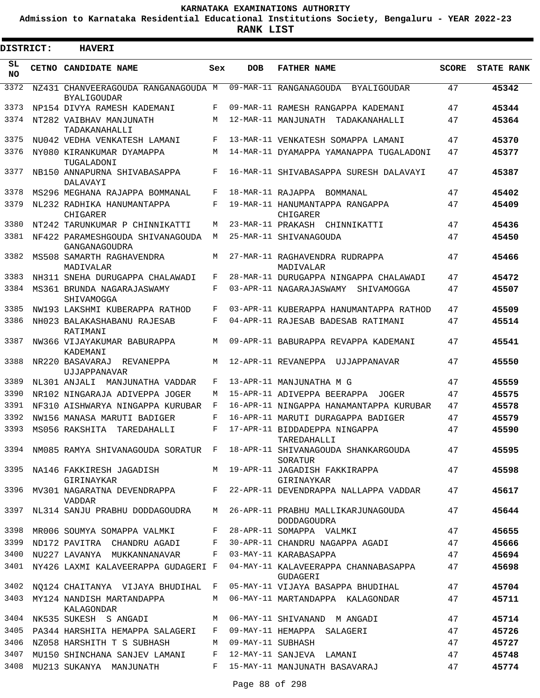**Admission to Karnataka Residential Educational Institutions Society, Bengaluru - YEAR 2022-23**

ı

| <b>DISTRICT:</b> | <b>HAVERI</b>                                                       |     |            |                                                                                              |              |                   |
|------------------|---------------------------------------------------------------------|-----|------------|----------------------------------------------------------------------------------------------|--------------|-------------------|
| SL.<br>NO.       | <b>CETNO CANDIDATE NAME</b>                                         | Sex | <b>DOB</b> | <b>FATHER NAME</b>                                                                           | <b>SCORE</b> | <b>STATE RANK</b> |
| 3372             | NZ431 CHANVEERAGOUDA RANGANAGOUDA M<br><b>BYALIGOUDAR</b>           |     |            | 09-MAR-11 RANGANAGOUDA BYALIGOUDAR                                                           | 47           | 45342             |
| 3373             | NP154 DIVYA RAMESH KADEMANI                                         | F   |            | 09-MAR-11 RAMESH RANGAPPA KADEMANI                                                           | 47           | 45344             |
| 3374             | NT282 VAIBHAV MANJUNATH<br>TADAKANAHALLI                            | M   |            | 12-MAR-11 MANJUNATH TADAKANAHALLI                                                            | 47           | 45364             |
| 3375             | NU042 VEDHA VENKATESH LAMANI                                        | F   |            | 13-MAR-11 VENKATESH SOMAPPA LAMANI                                                           | 47           | 45370             |
| 3376             | NY080 KIRANKUMAR DYAMAPPA<br>TUGALADONI                             | M   |            | 14-MAR-11 DYAMAPPA YAMANAPPA TUGALADONI                                                      | 47           | 45377             |
| 3377             | NB150 ANNAPURNA SHIVABASAPPA<br>DALAVAYI                            | F   |            | 16-MAR-11 SHIVABASAPPA SURESH DALAVAYI                                                       | 47           | 45387             |
| 3378             | MS296 MEGHANA RAJAPPA BOMMANAL                                      | F   |            | 18-MAR-11 RAJAPPA BOMMANAL                                                                   | 47           | 45402             |
| 3379             | NL232 RADHIKA HANUMANTAPPA<br>CHIGARER                              | F   |            | 19-MAR-11 HANUMANTAPPA RANGAPPA<br>CHIGARER                                                  | 47           | 45409             |
| 3380             | NT242 TARUNKUMAR P CHINNIKATTI                                      | M   |            | 23-MAR-11 PRAKASH CHINNIKATTI                                                                | 47           | 45436             |
| 3381             | NF422 PARAMESHGOUDA SHIVANAGOUDA<br>GANGANAGOUDRA                   | М   |            | 25-MAR-11 SHIVANAGOUDA                                                                       | 47           | 45450             |
| 3382             | MS508 SAMARTH RAGHAVENDRA<br>MADIVALAR                              | M   |            | 27-MAR-11 RAGHAVENDRA RUDRAPPA<br>MADIVALAR                                                  | 47           | 45466             |
| 3383             | NH311 SNEHA DURUGAPPA CHALAWADI                                     | F   |            | 28-MAR-11 DURUGAPPA NINGAPPA CHALAWADI                                                       | 47           | 45472             |
| 3384             | MS361 BRUNDA NAGARAJASWAMY<br>SHIVAMOGGA                            | F   |            | 03-APR-11 NAGARAJASWAMY<br>SHIVAMOGGA                                                        | 47           | 45507             |
| 3385             | NW193 LAKSHMI KUBERAPPA RATHOD                                      | F   |            | 03-APR-11 KUBERAPPA HANUMANTAPPA RATHOD                                                      | 47           | 45509             |
| 3386             | NH023 BALAKASHABANU RAJESAB<br>RATIMANI                             | F   |            | 04-APR-11 RAJESAB BADESAB RATIMANI                                                           | 47           | 45514             |
| 3387             | NW366 VIJAYAKUMAR BABURAPPA<br>KADEMANI                             | M   |            | 09-APR-11 BABURAPPA REVAPPA KADEMANI                                                         | 47           | 45541             |
| 3388             | NR220 BASAVARAJ REVANEPPA<br>UJJAPPANAVAR                           | M   |            | 12-APR-11 REVANEPPA UJJAPPANAVAR                                                             | 47           | 45550             |
| 3389             | NL301 ANJALI MANJUNATHA VADDAR                                      | F   |            | 13-APR-11 MANJUNATHA M G                                                                     | 47           | 45559             |
| 3390             | NR102 NINGARAJA ADIVEPPA JOGER                                      | M   |            | 15-APR-11 ADIVEPPA BEERAPPA<br>JOGER                                                         | 47           | 45575             |
| 3391             | NF310 AISHWARYA NINGAPPA KURUBAR                                    | F   |            | 16-APR-11 NINGAPPA HANAMANTAPPA KURUBAR                                                      | 47           | 45578             |
| 3392             | NW156 MANASA MARUTI BADIGER                                         | F   |            | 16-APR-11 MARUTI DURAGAPPA BADIGER                                                           | 47           | 45579             |
| 3393             | MS056 RAKSHITA TAREDAHALLI                                          | F   |            | 17-APR-11 BIDDADEPPA NINGAPPA<br>TAREDAHALLI                                                 | 47           | 45590             |
|                  |                                                                     |     |            | 3394 NM085 RAMYA SHIVANAGOUDA SORATUR F 18-APR-11 SHIVANAGOUDA SHANKARGOUDA<br>SORATUR       | 47           | 45595             |
|                  | GIRINAYKAR                                                          |     |            | 3395 NA146 FAKKIRESH JAGADISH M 19-APR-11 JAGADISH FAKKIRAPPA<br>GIRINAYKAR                  | 47           | 45598             |
|                  | VADDAR                                                              |     |            | 3396 MV301 NAGARATNA DEVENDRAPPA F 22-APR-11 DEVENDRAPPA NALLAPPA VADDAR                     | 47           | 45617             |
|                  |                                                                     |     |            | 3397 NL314 SANJU PRABHU DODDAGOUDRA M 26-APR-11 PRABHU MALLIKARJUNAGOUDA<br>DODDAGOUDRA      | 47           | 45644             |
|                  | 3398 MR006 SOUMYA SOMAPPA VALMKI F 28-APR-11 SOMAPPA VALMKI         |     |            |                                                                                              | 47           | 45655             |
| 3399             |                                                                     |     |            | ND172 PAVITRA CHANDRU AGADI F 30-APR-11 CHANDRU NAGAPPA AGADI 47                             |              | 45666             |
|                  | 3400 NU227 LAVANYA MUKKANNANAVAR F 03-MAY-11 KARABASAPPA            |     |            | 47                                                                                           |              | 45694             |
|                  |                                                                     |     |            | 3401 NY426 LAXMI KALAVEERAPPA GUDAGERI F 04-MAY-11 KALAVEERAPPA CHANNABASAPPA 47<br>GUDAGERI |              | 45698             |
|                  |                                                                     |     |            | 3402 NQ124 CHAITANYA VIJAYA BHUDIHAL F 05-MAY-11 VIJAYA BASAPPA BHUDIHAL 47                  |              | 45704             |
|                  | KALAGONDAR                                                          |     |            | 3403 MY124 NANDISH MARTANDAPPA M 06-MAY-11 MARTANDAPPA KALAGONDAR 47                         |              | 45711             |
|                  |                                                                     |     |            | 3404 NK535 SUKESH S ANGADI M 06-MAY-11 SHIVANAND M ANGADI                                    | 47           | 45714             |
|                  | 3405 PA344 HARSHITA HEMAPPA SALAGERI 8 F 09-MAY-11 HEMAPPA SALAGERI |     |            |                                                                                              | 47           | 45726             |
|                  | 3406 NZ058 HARSHITH T S SUBHASH M 09-MAY-11 SUBHASH                 |     |            |                                                                                              | 47           | 45727             |
| 3407             | MU150 SHINCHANA SANJEV LAMANI F                                     |     |            | 12-MAY-11 SANJEVA LAMANI                                                                     | 47           | 45748             |
| 3408             |                                                                     |     |            | MU213 SUKANYA MANJUNATH F 15-MAY-11 MANJUNATH BASAVARAJ                                      | 47           | 45774             |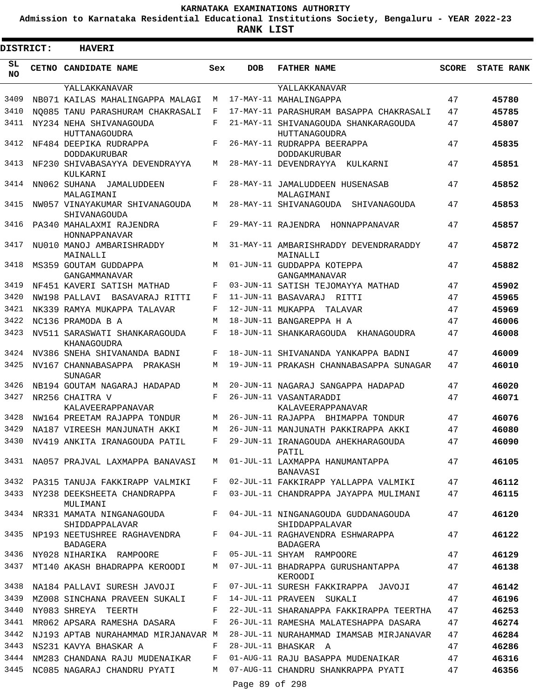**Admission to Karnataka Residential Educational Institutions Society, Bengaluru - YEAR 2022-23**

**RANK LIST**

| DISTRICT:       | <b>HAVERI</b>                                    |              |                   |                                                       |              |                   |
|-----------------|--------------------------------------------------|--------------|-------------------|-------------------------------------------------------|--------------|-------------------|
| SL<br><b>NO</b> | CETNO CANDIDATE NAME                             | Sex          | <b>DOB</b>        | <b>FATHER NAME</b>                                    | <b>SCORE</b> | <b>STATE RANK</b> |
|                 | YALLAKKANAVAR                                    |              |                   | YALLAKKANAVAR                                         |              |                   |
| 3409            | NB071 KAILAS MAHALINGAPPA MALAGI                 | М            |                   | 17-MAY-11 MAHALINGAPPA                                | 47           | 45780             |
| 3410            | NO085 TANU PARASHURAM CHAKRASALI                 | F            |                   | 17-MAY-11 PARASHURAM BASAPPA CHAKRASALI               | 47           | 45785             |
| 3411            | NY234 NEHA SHIVANAGOUDA<br>HUTTANAGOUDRA         | F            |                   | 21-MAY-11 SHIVANAGOUDA SHANKARAGOUDA<br>HUTTANAGOUDRA | 47           | 45807             |
| 3412            | NF484 DEEPIKA RUDRAPPA<br><b>DODDAKURUBAR</b>    | F            |                   | 26-MAY-11 RUDRAPPA BEERAPPA<br><b>DODDAKURUBAR</b>    | 47           | 45835             |
| 3413            | NF230 SHIVABASAYYA DEVENDRAYYA<br>KULKARNI       | M            |                   | 28-MAY-11 DEVENDRAYYA KULKARNI                        | 47           | 45851             |
| 3414            | NN062 SUHANA JAMALUDDEEN<br>MALAGIMANI           | F            |                   | 28-MAY-11 JAMALUDDEEN HUSENASAB<br>MALAGIMANI         | 47           | 45852             |
| 3415            | NW057 VINAYAKUMAR SHIVANAGOUDA<br>SHIVANAGOUDA   | М            |                   | 28-MAY-11 SHIVANAGOUDA<br>SHIVANAGOUDA                | 47           | 45853             |
| 3416            | PA340 MAHALAXMI RAJENDRA<br>HONNAPPANAVAR        | $\mathbf{F}$ |                   | 29-MAY-11 RAJENDRA<br>HONNAPPANAVAR                   | 47           | 45857             |
| 3417            | NU010 MANOJ AMBARISHRADDY<br>MAINALLI            | M            |                   | 31-MAY-11 AMBARISHRADDY DEVENDRARADDY<br>MAINALLI     | 47           | 45872             |
| 3418            | MS359 GOUTAM GUDDAPPA<br>GANGAMMANAVAR           | M            |                   | 01-JUN-11 GUDDAPPA KOTEPPA<br>GANGAMMANAVAR           | 47           | 45882             |
| 3419            | NF451 KAVERI SATISH MATHAD                       | F            |                   | 03-JUN-11 SATISH TEJOMAYYA MATHAD                     | 47           | 45902             |
| 3420            | NW198 PALLAVI<br>BASAVARAJ RITTI                 | F            |                   | 11-JUN-11 BASAVARAJ RITTI                             | 47           | 45965             |
| 3421            | NK339 RAMYA MUKAPPA TALAVAR                      | F            | 12-JUN-11 MUKAPPA | TALAVAR                                               | 47           | 45969             |
| 3422            | NC136 PRAMODA B A                                | M            |                   | 18-JUN-11 BANGAREPPA H A                              | 47           | 46006             |
| 3423            | NV511 SARASWATI SHANKARAGOUDA                    | F            |                   | 18-JUN-11 SHANKARAGOUDA KHANAGOUDRA                   | 47           | 46008             |
|                 | KHANAGOUDRA                                      |              |                   |                                                       |              |                   |
| 3424            | NV386 SNEHA SHIVANANDA BADNI                     | F            |                   | 18-JUN-11 SHIVANANDA YANKAPPA BADNI                   | 47           | 46009             |
| 3425            | NV167 CHANNABASAPPA<br>PRAKASH<br><b>SUNAGAR</b> | М            |                   | 19-JUN-11 PRAKASH CHANNABASAPPA SUNAGAR               | 47           | 46010             |
| 3426            | NB194 GOUTAM NAGARAJ HADAPAD                     | M            |                   | 20-JUN-11 NAGARAJ SANGAPPA HADAPAD                    | 47           | 46020             |
| 3427            | NR256 CHAITRA V<br>KALAVEERAPPANAVAR             | F            |                   | 26-JUN-11 VASANTARADDI<br>KALAVEERAPPANAVAR           | 47           | 46071             |
| 3428            | NW164 PREETAM RAJAPPA TONDUR                     | М            |                   | 26-JUN-11 RAJAPPA BHIMAPPA TONDUR                     | 47           | 46076             |
| 3429            | NA187 VIREESH MANJUNATH AKKI                     | М            |                   | 26-JUN-11 MANJUNATH PAKKIRAPPA AKKI                   | 47           | 46080             |
| 3430            | NV419 ANKITA IRANAGOUDA PATIL                    | F            |                   | 29-JUN-11 IRANAGOUDA AHEKHARAGOUDA<br>PATIL           | 47           | 46090             |
| 3431            | NA057 PRAJVAL LAXMAPPA BANAVASI                  | M            |                   | 01-JUL-11 LAXMAPPA HANUMANTAPPA<br>BANAVASI           | 47           | 46105             |
|                 | 3432 PA315 TANUJA FAKKIRAPP VALMIKI              | F            |                   | 02-JUL-11 FAKKIRAPP YALLAPPA VALMIKI                  | 47           | 46112             |
| 3433            | NY238 DEEKSHEETA CHANDRAPPA<br>MULIMANI          | F            |                   | 03-JUL-11 CHANDRAPPA JAYAPPA MULIMANI                 | 47           | 46115             |
| 3434            | NR331 MAMATA NINGANAGOUDA<br>SHIDDAPPALAVAR      | F            |                   | 04-JUL-11 NINGANAGOUDA GUDDANAGOUDA<br>SHIDDAPPALAVAR | 47           | 46120             |
|                 | 3435 NP193 NEETUSHREE RAGHAVENDRA<br>BADAGERA    | F            |                   | 04-JUL-11 RAGHAVENDRA ESHWARAPPA<br>BADAGERA          | 47           | 46122             |
| 3436            | NY028 NIHARIKA RAMPOORE                          | F            |                   | 05-JUL-11 SHYAM RAMPOORE                              | 47           | 46129             |
| 3437            | MT140 AKASH BHADRAPPA KEROODI                    | M            |                   | 07-JUL-11 BHADRAPPA GURUSHANTAPPA<br>KEROODI          | 47           | 46138             |
| 3438            | NA184 PALLAVI SURESH JAVOJI                      | F            |                   | 07-JUL-11 SURESH FAKKIRAPPA JAVOJI                    | 47           | 46142             |
| 3439            | MZ008 SINCHANA PRAVEEN SUKALI                    | F            |                   | 14-JUL-11 PRAVEEN SUKALI                              | 47           | 46196             |
| 3440            | NY083 SHREYA TEERTH                              | F            |                   | 22-JUL-11 SHARANAPPA FAKKIRAPPA TEERTHA               | 47           | 46253             |
| 3441            | MR062 APSARA RAMESHA DASARA                      | F            |                   | 26-JUL-11 RAMESHA MALATESHAPPA DASARA                 | 47           | 46274             |
| 3442            | NJ193 APTAB NURAHAMMAD MIRJANAVAR M              |              |                   | 28-JUL-11 NURAHAMMAD IMAMSAB MIRJANAVAR               | 47           | 46284             |
| 3443            | NS231 KAVYA BHASKAR A                            | F            |                   | 28-JUL-11 BHASKAR A                                   | 47           | 46286             |
| 3444            | NM283 CHANDANA RAJU MUDENAIKAR                   | F            |                   | 01-AUG-11 RAJU BASAPPA MUDENAIKAR                     | 47           | 46316             |
| 3445            | NC085 NAGARAJ CHANDRU PYATI                      | M            |                   | 07-AUG-11 CHANDRU SHANKRAPPA PYATI                    | 47           | 46356             |
|                 |                                                  |              | Page 89 of 298    |                                                       |              |                   |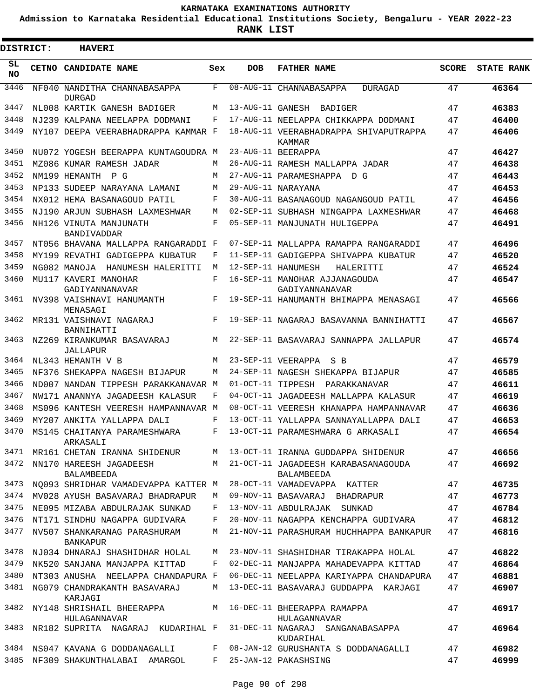**Admission to Karnataka Residential Educational Institutions Society, Bengaluru - YEAR 2022-23**

ı

| <b>DISTRICT:</b> |  | <b>HAVERI</b>                                  |         |            |                                                     |              |                   |
|------------------|--|------------------------------------------------|---------|------------|-----------------------------------------------------|--------------|-------------------|
| SL.<br><b>NO</b> |  | CETNO CANDIDATE NAME                           | Sex     | <b>DOB</b> | <b>FATHER NAME</b>                                  | <b>SCORE</b> | <b>STATE RANK</b> |
| 3446             |  | NF040 NANDITHA CHANNABASAPPA<br><b>DURGAD</b>  | F       |            | 08-AUG-11 CHANNABASAPPA<br>DURAGAD                  | 47           | 46364             |
| 3447             |  | NL008 KARTIK GANESH BADIGER                    | M       |            | 13-AUG-11 GANESH BADIGER                            | 47           | 46383             |
| 3448             |  | NJ239 KALPANA NEELAPPA DODMANI                 | F       |            | 17-AUG-11 NEELAPPA CHIKKAPPA DODMANI                | 47           | 46400             |
| 3449             |  | NY107 DEEPA VEERABHADRAPPA KAMMAR F            |         |            | 18-AUG-11 VEERABHADRAPPA SHIVAPUTRAPPA<br>KAMMAR    | 47           | 46406             |
| 3450             |  | NU072 YOGESH BEERAPPA KUNTAGOUDRA M            |         |            | 23-AUG-11 BEERAPPA                                  | 47           | 46427             |
| 3451             |  | MZ086 KUMAR RAMESH JADAR                       | М       |            | 26-AUG-11 RAMESH MALLAPPA JADAR                     | 47           | 46438             |
| 3452             |  | NM199 HEMANTH<br>P G                           | М       |            | 27-AUG-11 PARAMESHAPPA D G                          | 47           | 46443             |
| 3453             |  | NP133 SUDEEP NARAYANA LAMANI                   | М       |            | 29-AUG-11 NARAYANA                                  | 47           | 46453             |
| 3454             |  | NX012 HEMA BASANAGOUD PATIL                    | F       |            | 30-AUG-11 BASANAGOUD NAGANGOUD PATIL                | 47           | 46456             |
| 3455             |  | NJ190 ARJUN SUBHASH LAXMESHWAR                 | М       |            | 02-SEP-11 SUBHASH NINGAPPA LAXMESHWAR               | 47           | 46468             |
| 3456             |  | NH126 VINUTA MANJUNATH<br>BANDIVADDAR          | F       |            | 05-SEP-11 MANJUNATH HULIGEPPA                       | 47           | 46491             |
| 3457             |  | NT056 BHAVANA MALLAPPA RANGARADDI F            |         |            | 07-SEP-11 MALLAPPA RAMAPPA RANGARADDI               | 47           | 46496             |
| 3458             |  | MY199 REVATHI GADIGEPPA KUBATUR                | F       |            | 11-SEP-11 GADIGEPPA SHIVAPPA KUBATUR                | 47           | 46520             |
| 3459             |  | NG082 MANOJA HANUMESH HALERITTI                | М       |            | 12-SEP-11 HANUMESH<br>HALERITTI                     | 47           | 46524             |
| 3460             |  | MU117 KAVERI MANOHAR<br>GADIYANNANAVAR         | F       |            | 16-SEP-11 MANOHAR AJJANAGOUDA<br>GADIYANNANAVAR     | 47           | 46547             |
| 3461             |  | NV398 VAISHNAVI HANUMANTH<br>MENASAGI          | F       |            | 19-SEP-11 HANUMANTH BHIMAPPA MENASAGI               | 47           | 46566             |
| 3462             |  | MR131 VAISHNAVI NAGARAJ<br>BANNIHATTI          | F       |            | 19-SEP-11 NAGARAJ BASAVANNA BANNIHATTI              | 47           | 46567             |
| 3463             |  | NZ269 KIRANKUMAR BASAVARAJ<br>JALLAPUR         | М       |            | 22-SEP-11 BASAVARAJ SANNAPPA JALLAPUR               | 47           | 46574             |
| 3464             |  | NL343 HEMANTH V B                              | М       |            | 23-SEP-11 VEERAPPA<br>S B                           | 47           | 46579             |
| 3465             |  | NF376 SHEKAPPA NAGESH BIJAPUR                  | M       |            | 24-SEP-11 NAGESH SHEKAPPA BIJAPUR                   | 47           | 46585             |
| 3466             |  | ND007 NANDAN TIPPESH PARAKKANAVAR M            |         |            | 01-OCT-11 TIPPESH PARAKKANAVAR                      | 47           | 46611             |
| 3467             |  | NW171 ANANNYA JAGADEESH KALASUR                | F       |            | 04-OCT-11 JAGADEESH MALLAPPA KALASUR                | 47           | 46619             |
| 3468             |  | MS096 KANTESH VEERESH HAMPANNAVAR M            |         |            | 08-OCT-11 VEERESH KHANAPPA HAMPANNAVAR              | 47           | 46636             |
| 3469             |  | MY207 ANKITA YALLAPPA DALI                     | F       |            | 13-OCT-11 YALLAPPA SANNAYALLAPPA DALI               | 47           | 46653             |
| 3470             |  | MS145 CHAITANYA PARAMESHWARA<br>ARKASALI       | F       |            | 13-OCT-11 PARAMESHWARA G ARKASALI                   | 47           | 46654             |
|                  |  | 3471 MR161 CHETAN IRANNA SHIDENUR              |         |            | M 13-OCT-11 IRANNA GUDDAPPA SHIDENUR                | 47           | 46656             |
| 3472             |  | NN170 HAREESH JAGADEESH<br>BALAMBEEDA          |         |            | M 21-OCT-11 JAGADEESH KARABASANAGOUDA<br>BALAMBEEDA | 47           | 46692             |
| 3473             |  | NQ093 SHRIDHAR VAMADEVAPPA KATTER M            |         |            | 28-OCT-11 VAMADEVAPPA KATTER                        | 47           | 46735             |
| 3474             |  | MV028 AYUSH BASAVARAJ BHADRAPUR                | M       |            | 09-NOV-11 BASAVARAJ BHADRAPUR                       | 47           | 46773             |
| 3475             |  | NE095 MIZABA ABDULRAJAK SUNKAD                 | F       |            | 13-NOV-11 ABDULRAJAK SUNKAD                         | 47           | 46784             |
| 3476             |  | NT171 SINDHU NAGAPPA GUDIVARA                  | F       |            | 20-NOV-11 NAGAPPA KENCHAPPA GUDIVARA                | 47           | 46812             |
| 3477             |  | NV507 SHANKARANAG PARASHURAM<br>BANKAPUR       | M       |            | 21-NOV-11 PARASHURAM HUCHHAPPA BANKAPUR             | 47           | 46816             |
| 3478             |  | NJ034 DHNARAJ SHASHIDHAR HOLAL                 | M       |            | 23-NOV-11 SHASHIDHAR TIRAKAPPA HOLAL                | 47           | 46822             |
| 3479             |  | NK520 SANJANA MANJAPPA KITTAD                  | F       |            | 02-DEC-11 MANJAPPA MAHADEVAPPA KITTAD               | 47           | 46864             |
| 3480             |  | NT303 ANUSHA NEELAPPA CHANDAPURA F             |         |            | 06-DEC-11 NEELAPPA KARIYAPPA CHANDAPURA             | 47           | 46881             |
| 3481             |  | NG079 CHANDRAKANTH BASAVARAJ<br>KARJAGI        | M       |            | 13-DEC-11 BASAVARAJ GUDDAPPA KARJAGI                | 47           | 46907             |
|                  |  | 3482 NY148 SHRISHAIL BHEERAPPA<br>HULAGANNAVAR |         |            | M 16-DEC-11 BHEERAPPA RAMAPPA<br>HULAGANNAVAR       | 47           | 46917             |
| 3483             |  | NR182 SUPRITA NAGARAJ KUDARIHAL F              |         |            | 31-DEC-11 NAGARAJ SANGANABASAPPA<br>KUDARIHAL       | 47           | 46964             |
|                  |  | 3484 NS047 KAVANA G DODDANAGALLI               |         |            | F 08-JAN-12 GURUSHANTA S DODDANAGALLI               | 47           | 46982             |
|                  |  | 3485 NF309 SHAKUNTHALABAI AMARGOL              | $F$ and |            | 25-JAN-12 PAKASHSING                                | 47           | 46999             |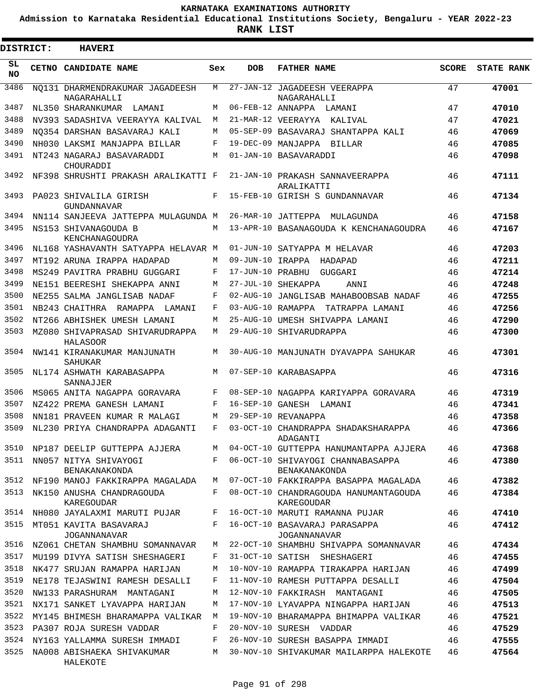**Admission to Karnataka Residential Educational Institutions Society, Bengaluru - YEAR 2022-23**

| <b>DISTRICT:</b> | <b>HAVERI</b>                                      |     |                   |                                                        |              |                   |
|------------------|----------------------------------------------------|-----|-------------------|--------------------------------------------------------|--------------|-------------------|
| SL<br><b>NO</b>  | CETNO CANDIDATE NAME                               | Sex | <b>DOB</b>        | <b>FATHER NAME</b>                                     | <b>SCORE</b> | <b>STATE RANK</b> |
| 3486             | NO131 DHARMENDRAKUMAR JAGADEESH<br>NAGARAHALLI     | М   |                   | 27-JAN-12 JAGADEESH VEERAPPA<br>NAGARAHALLI            | 47           | 47001             |
| 3487             | NL350 SHARANKUMAR LAMANI                           | M   |                   | 06-FEB-12 ANNAPPA LAMANI                               | 47           | 47010             |
| 3488             | NV393 SADASHIVA VEERAYYA KALIVAL                   | М   |                   | 21-MAR-12 VEERAYYA<br>KALIVAL                          | 47           | 47021             |
| 3489             | NO354 DARSHAN BASAVARAJ KALI                       | M   |                   | 05-SEP-09 BASAVARAJ SHANTAPPA KALI                     | 46           | 47069             |
| 3490             | NH030 LAKSMI MANJAPPA BILLAR                       | F   |                   | 19-DEC-09 MANJAPPA BILLAR                              | 46           | 47085             |
| 3491             | NT243 NAGARAJ BASAVARADDI<br>CHOURADDI             | M   |                   | 01-JAN-10 BASAVARADDI                                  | 46           | 47098             |
| 3492             | NF398 SHRUSHTI PRAKASH ARALIKATTI F                |     |                   | 21-JAN-10 PRAKASH SANNAVEERAPPA<br>ARALIKATTI          | 46           | 47111             |
| 3493             | PA023 SHIVALILA GIRISH<br>GUNDANNAVAR              | F   |                   | 15-FEB-10 GIRISH S GUNDANNAVAR                         | 46           | 47134             |
| 3494             | NN114 SANJEEVA JATTEPPA MULAGUNDA M                |     |                   | 26-MAR-10 JATTEPPA<br>MULAGUNDA                        | 46           | 47158             |
| 3495             | NS153 SHIVANAGOUDA B<br>KENCHANAGOUDRA             | M   |                   | 13-APR-10 BASANAGOUDA K KENCHANAGOUDRA                 | 46           | 47167             |
| 3496             | NL168 YASHAVANTH SATYAPPA HELAVAR M                |     |                   | 01-JUN-10 SATYAPPA M HELAVAR                           | 46           | 47203             |
| 3497             | MT192 ARUNA IRAPPA HADAPAD                         | M   | 09-JUN-10 IRAPPA  | HADAPAD                                                | 46           | 47211             |
| 3498             | MS249 PAVITRA PRABHU GUGGARI                       | F   | 17-JUN-10 PRABHU  | GUGGARI                                                | 46           | 47214             |
| 3499             | NE151 BEERESHI SHEKAPPA ANNI                       | M   |                   | 27-JUL-10 SHEKAPPA<br>ANNI                             | 46           | 47248             |
| 3500             | NE255 SALMA JANGLISAB NADAF                        | F   |                   | 02-AUG-10 JANGLISAB MAHABOOBSAB NADAF                  | 46           | 47255             |
| 3501             | NB243 CHAITHRA<br>RAMAPPA LAMANI                   | F   | 03-AUG-10 RAMAPPA | TATRAPPA LAMANI                                        | 46           | 47256             |
| 3502             | NT266 ABHISHEK UMESH LAMANI                        | M   |                   | 25-AUG-10 UMESH SHIVAPPA LAMANI                        | 46           | 47290             |
| 3503             | MZ080 SHIVAPRASAD SHIVARUDRAPPA<br><b>HALASOOR</b> | M   |                   | 29-AUG-10 SHIVARUDRAPPA                                | 46           | 47300             |
| 3504             | NW141 KIRANAKUMAR MANJUNATH<br><b>SAHUKAR</b>      | M   |                   | 30-AUG-10 MANJUNATH DYAVAPPA SAHUKAR                   | 46           | 47301             |
| 3505             | NL174 ASHWATH KARABASAPPA<br>SANNAJJER             | M   |                   | 07-SEP-10 KARABASAPPA                                  | 46           | 47316             |
| 3506             | MS065 ANITA NAGAPPA GORAVARA                       | F   |                   | 08-SEP-10 NAGAPPA KARIYAPPA GORAVARA                   | 46           | 47319             |
| 3507             | NZ422 PREMA GANESH LAMANI                          | F   |                   | 16-SEP-10 GANESH LAMANI                                | 46           | 47341             |
| 3508             | NN181 PRAVEEN KUMAR R MALAGI                       | M   |                   | 29-SEP-10 REVANAPPA                                    | 46           | 47358             |
| 3509             | NL230 PRIYA CHANDRAPPA ADAGANTI                    | F   |                   | 03-OCT-10 CHANDRAPPA SHADAKSHARAPPA<br><b>ADAGANTI</b> | 46           | 47366             |
| 3510             | NP187 DEELIP GUTTEPPA AJJERA                       | M   |                   | 04-OCT-10 GUTTEPPA HANUMANTAPPA AJJERA                 | 46           | 47368             |
|                  | 3511 NN057 NITYA SHIVAYOGI<br><b>BENAKANAKONDA</b> |     |                   | F 06-OCT-10 SHIVAYOGI CHANNABASAPPA<br>BENAKANAKONDA   | 46           | 47380             |
|                  | 3512 NF190 MANOJ FAKKIRAPPA MAGALADA               | M   |                   | 07-OCT-10 FAKKIRAPPA BASAPPA MAGALADA                  | 46           | 47382             |
| 3513             | NK150 ANUSHA CHANDRAGOUDA<br>KAREGOUDAR            | F   |                   | 08-OCT-10 CHANDRAGOUDA HANUMANTAGOUDA<br>KAREGOUDAR    | 46           | 47384             |
|                  | 3514 NH080 JAYALAXMI MARUTI PUJAR F                |     |                   | 16-OCT-10 MARUTI RAMANNA PUJAR                         | 46           | 47410             |
| 3515             | MT051 KAVITA BASAVARAJ<br><b>JOGANNANAVAR</b>      | F   |                   | 16-OCT-10 BASAVARAJ PARASAPPA<br>JOGANNANAVAR          | 46           | 47412             |
| 3516             | NZ061 CHETAN SHAMBHU SOMANNAVAR                    | M   |                   | 22-OCT-10 SHAMBHU SHIVAPPA SOMANNAVAR                  | 46           | 47434             |
|                  | 3517 MU199 DIVYA SATISH SHESHAGERI                 | F   |                   | 31-OCT-10 SATISH SHESHAGERI                            | 46           | 47455             |
| 3518             | NK477 SRUJAN RAMAPPA HARIJAN                       | M   |                   | 10-NOV-10 RAMAPPA TIRAKAPPA HARIJAN                    | 46           | 47499             |
| 3519             | NE178 TEJASWINI RAMESH DESALLI                     | F   |                   | 11-NOV-10 RAMESH PUTTAPPA DESALLI                      | 46           | 47504             |
| 3520             | NW133 PARASHURAM MANTAGANI                         | M   |                   | 12-NOV-10 FAKKIRASH MANTAGANI                          | 46           | 47505             |
| 3521             | NX171 SANKET LYAVAPPA HARIJAN                      | M   |                   | 17-NOV-10 LYAVAPPA NINGAPPA HARIJAN                    | 46           | 47513             |
| 3522             | MY145 BHIMESH BHARAMAPPA VALIKAR M                 |     |                   | 19-NOV-10 BHARAMAPPA BHIMAPPA VALIKAR                  | 46           | 47521             |
| 3523             | PA307 ROJA SURESH VADDAR                           | F   |                   | 20-NOV-10 SURESH VADDAR                                | 46           | 47529             |
| 3524             | NY163 YALLAMMA SURESH IMMADI                       | F   |                   | 26-NOV-10 SURESH BASAPPA IMMADI                        | 46           | 47555             |
| 3525             | NA008 ABISHAEKA SHIVAKUMAR M<br>HALEKOTE           |     |                   | 30-NOV-10 SHIVAKUMAR MAILARPPA HALEKOTE                | 46           | 47564             |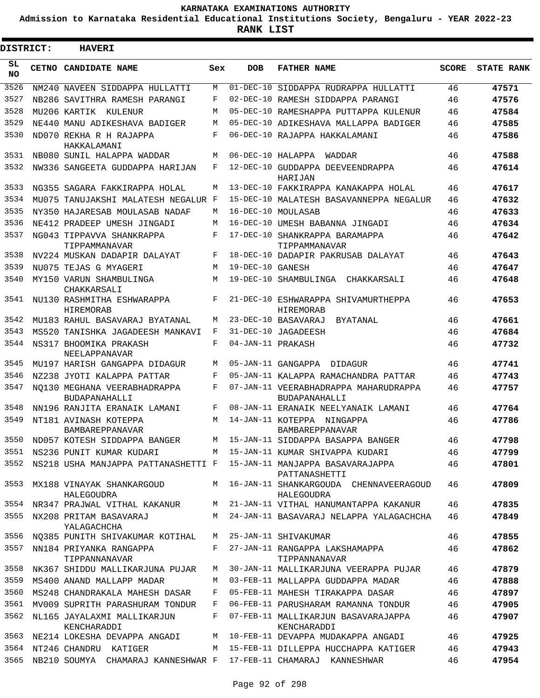**Admission to Karnataka Residential Educational Institutions Society, Bengaluru - YEAR 2022-23**

| <b>DISTRICT:</b> | <b>HAVERI</b>                                                    |       |                   |                                                                                       |              |                   |
|------------------|------------------------------------------------------------------|-------|-------------------|---------------------------------------------------------------------------------------|--------------|-------------------|
| SL<br><b>NO</b>  | CETNO CANDIDATE NAME                                             | Sex   | <b>DOB</b>        | <b>FATHER NAME</b>                                                                    | <b>SCORE</b> | <b>STATE RANK</b> |
| 3526             | NM240 NAVEEN SIDDAPPA HULLATTI                                   | М     |                   | 01-DEC-10 SIDDAPPA RUDRAPPA HULLATTI                                                  | 46           | 47571             |
| 3527             | NB286 SAVITHRA RAMESH PARANGI                                    | F     |                   | 02-DEC-10 RAMESH SIDDAPPA PARANGI                                                     | 46           | 47576             |
| 3528             | MU206 KARTIK KULENUR                                             | M     |                   | 05-DEC-10 RAMESHAPPA PUTTAPPA KULENUR                                                 | 46           | 47584             |
| 3529             | NE440 MANU ADIKESHAVA BADIGER                                    | M     |                   | 05-DEC-10 ADIKESHAVA MALLAPPA BADIGER                                                 | 46           | 47585             |
| 3530             | ND070 REKHA R H RAJAPPA<br>HAKKALAMANI                           | F     |                   | 06-DEC-10 RAJAPPA HAKKALAMANI                                                         | 46           | 47586             |
| 3531             | NB080 SUNIL HALAPPA WADDAR                                       | M     | 06-DEC-10 HALAPPA | WADDAR                                                                                | 46           | 47588             |
| 3532             | NW336 SANGEETA GUDDAPPA HARIJAN                                  | F     |                   | 12-DEC-10 GUDDAPPA DEEVEENDRAPPA<br>HARIJAN                                           | 46           | 47614             |
| 3533             | NG355 SAGARA FAKKIRAPPA HOLAL                                    | M     |                   | 13-DEC-10 FAKKIRAPPA KANAKAPPA HOLAL                                                  | 46           | 47617             |
| 3534             | MU075 TANUJAKSHI MALATESH NEGALUR F                              |       |                   | 15-DEC-10 MALATESH BASAVANNEPPA NEGALUR                                               | 46           | 47632             |
| 3535             | NY350 HAJARESAB MOULASAB NADAF                                   | M     |                   | 16-DEC-10 MOULASAB                                                                    | 46           | 47633             |
| 3536             | NE412 PRADEEP UMESH JINGADI                                      | M     |                   | 16-DEC-10 UMESH BABANNA JINGADI                                                       | 46           | 47634             |
| 3537             | NG043 TIPPAVVA SHANKRAPPA<br>TIPPAMMANAVAR                       | F     |                   | 17-DEC-10 SHANKRAPPA BARAMAPPA<br>TIPPAMMANAVAR                                       | 46           | 47642             |
| 3538             | NV224 MUSKAN DADAPIR DALAYAT                                     | F     |                   | 18-DEC-10 DADAPIR PAKRUSAB DALAYAT                                                    | 46           | 47643             |
| 3539             | NU075 TEJAS G MYAGERI                                            | M     | 19-DEC-10 GANESH  |                                                                                       | 46           | 47647             |
| 3540             | MY150 VARUN SHAMBULINGA<br>CHAKKARSALI                           | M     |                   | 19-DEC-10 SHAMBULINGA CHAKKARSALI                                                     | 46           | 47648             |
| 3541             | NU130 RASHMITHA ESHWARAPPA<br><b>HIREMORAB</b>                   | F     |                   | 21-DEC-10 ESHWARAPPA SHIVAMURTHEPPA<br>HIREMORAB                                      | 46           | 47653             |
| 3542             | MU183 RAHUL BASAVARAJ BYATANAL                                   | M     |                   | 23-DEC-10 BASAVARAJ<br>BYATANAL                                                       | 46           | 47661             |
| 3543             | MS520 TANISHKA JAGADEESH MANKAVI                                 | F     |                   | 31-DEC-10 JAGADEESH                                                                   | 46           | 47684             |
| 3544             | NS317 BHOOMIKA PRAKASH<br>NEELAPPANAVAR                          | F     | 04-JAN-11 PRAKASH |                                                                                       | 46           | 47732             |
| 3545             | MU197 HARISH GANGAPPA DIDAGUR                                    | М     |                   | 05-JAN-11 GANGAPPA<br>DIDAGUR                                                         | 46           | 47741             |
| 3546             | NZ238 JYOTI KALAPPA PATTAR                                       | F     |                   | 05-JAN-11 KALAPPA RAMACHANDRA PATTAR                                                  | 46           | 47743             |
| 3547             | NO130 MEGHANA VEERABHADRAPPA<br><b>BUDAPANAHALLI</b>             | F     |                   | 07-JAN-11 VEERABHADRAPPA MAHARUDRAPPA<br>BUDAPANAHALLI                                | 46           | 47757             |
| 3548             | NN196 RANJITA ERANAIK LAMANI                                     | F     |                   | 08-JAN-11 ERANAIK NEELYANAIK LAMANI                                                   | 46           | 47764             |
| 3549             | NT181 AVINASH KOTEPPA<br>BAMBAREPPANAVAR                         | M     |                   | 14-JAN-11 KOTEPPA NINGAPPA<br>BAMBAREPPANAVAR                                         | 46           | 47786             |
|                  | 3550 ND057 KOTESH SIDDAPPA BANGER                                |       |                   | M 15-JAN-11 SIDDAPPA BASAPPA BANGER                                                   | 46           | 47798             |
|                  | 3551 NS236 PUNIT KUMAR KUDARI                                    |       |                   | M 15-JAN-11 KUMAR SHIVAPPA KUDARI                                                     | 46           | 47799             |
| 3552             |                                                                  |       |                   | NS218 USHA MANJAPPA PATTANASHETTI F 15-JAN-11 MANJAPPA BASAVARAJAPPA<br>PATTANASHETTI | 46           | 47801             |
| 3553             | MX188 VINAYAK SHANKARGOUD<br>HALEGOUDRA                          |       |                   | M 16-JAN-11 SHANKARGOUDA CHENNAVEERAGOUD<br>HALEGOUDRA                                | 46           | 47809             |
| 3554             | NR347 PRAJWAL VITHAL KAKANUR                                     |       |                   | M 21-JAN-11 VITHAL HANUMANTAPPA KAKANUR                                               | 46           | 47835             |
| 3555             | NX208 PRITAM BASAVARAJ<br>YALAGACHCHA                            |       |                   | M 24-JAN-11 BASAVARAJ NELAPPA YALAGACHCHA                                             | 46           | 47849             |
| 3556             | NQ385 PUNITH SHIVAKUMAR KOTIHAL                                  |       |                   | M 25-JAN-11 SHIVAKUMAR                                                                | 46           | 47855             |
| 3557             | NN184 PRIYANKA RANGAPPA<br>TIPPANNANAVAR                         | $F$ – |                   | 27-JAN-11 RANGAPPA LAKSHAMAPPA<br>TIPPANNANAVAR                                       | 46           | 47862             |
| 3558             | NK367 SHIDDU MALLIKARJUNA PUJAR                                  | M     |                   | 30-JAN-11 MALLIKARJUNA VEERAPPA PUJAR                                                 | 46           | 47879             |
| 3559             | MS400 ANAND MALLAPP MADAR                                        | M     |                   | 03-FEB-11 MALLAPPA GUDDAPPA MADAR                                                     | 46           | 47888             |
| 3560             | MS248 CHANDRAKALA MAHESH DASAR                                   | F     |                   | 05-FEB-11 MAHESH TIRAKAPPA DASAR                                                      | 46           | 47897             |
| 3561             | MV009 SUPRITH PARASHURAM TONDUR                                  | F     |                   | 06-FEB-11 PARUSHARAM RAMANNA TONDUR                                                   | 46           | 47905             |
| 3562             | NL165 JAYALAXMI MALLIKARJUN<br>KENCHARADDI                       | F     |                   | 07-FEB-11 MALLIKARJUN BASAVARAJAPPA<br>KENCHARADDI                                    | 46           | 47907             |
| 3563             | NE214 LOKESHA DEVAPPA ANGADI                                     | M     |                   | 10-FEB-11 DEVAPPA MUDAKAPPA ANGADI                                                    | 46           | 47925             |
| 3564             | NT246 CHANDRU KATIGER                                            | M     |                   | 15-FEB-11 DILLEPPA HUCCHAPPA KATIGER                                                  | 46           | 47943             |
| 3565             | NB210 SOUMYA CHAMARAJ KANNESHWAR F 17-FEB-11 CHAMARAJ KANNESHWAR |       |                   |                                                                                       | 46           | 47954             |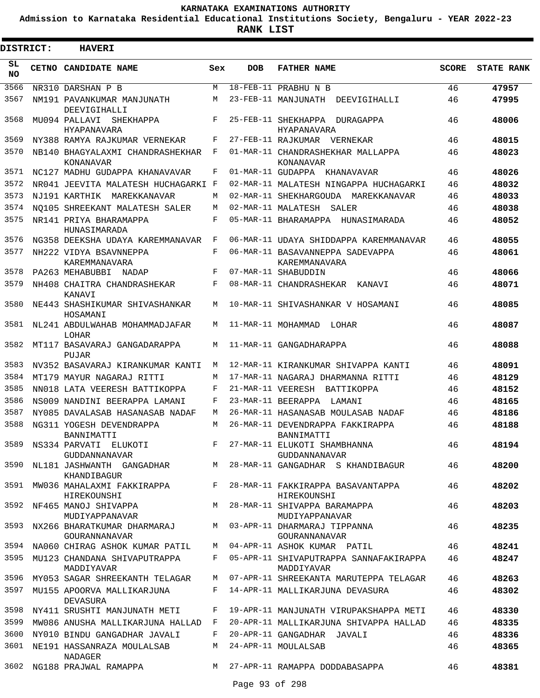**Admission to Karnataka Residential Educational Institutions Society, Bengaluru - YEAR 2022-23**

**RANK LIST**

| DISTRICT:       | <b>HAVERI</b>                                                                  |        |                   |                                                                               |              |                   |
|-----------------|--------------------------------------------------------------------------------|--------|-------------------|-------------------------------------------------------------------------------|--------------|-------------------|
| SL<br><b>NO</b> | <b>CETNO CANDIDATE NAME</b>                                                    | Sex    | <b>DOB</b>        | <b>FATHER NAME</b>                                                            | <b>SCORE</b> | <b>STATE RANK</b> |
| 3566            | NR310 DARSHAN P B                                                              | M      |                   | 18-FEB-11 PRABHU N B                                                          | 46           | 47957             |
| 3567            | NM191 PAVANKUMAR MANJUNATH<br>DEEVIGIHALLI                                     | М      |                   | 23-FEB-11 MANJUNATH DEEVIGIHALLI                                              | 46           | 47995             |
| 3568            | MU094 PALLAVI<br>SHEKHAPPA<br><b>HYAPANAVARA</b>                               | F      |                   | 25-FEB-11 SHEKHAPPA<br>DURAGAPPA<br><b>HYAPANAVARA</b>                        | 46           | 48006             |
| 3569            | NY388 RAMYA RAJKUMAR VERNEKAR                                                  | F      |                   | 27-FEB-11 RAJKUMAR VERNEKAR                                                   | 46           | 48015             |
| 3570            | NB140 BHAGYALAXMI CHANDRASHEKHAR<br>KONANAVAR                                  | F      |                   | 01-MAR-11 CHANDRASHEKHAR MALLAPPA<br>KONANAVAR                                | 46           | 48023             |
| 3571            | NC127 MADHU GUDAPPA KHANAVAVAR                                                 | F      | 01-MAR-11 GUDAPPA | KHANAVAVAR                                                                    | 46           | 48026             |
| 3572            | NR041 JEEVITA MALATESH HUCHAGARKI F                                            |        |                   | 02-MAR-11 MALATESH NINGAPPA HUCHAGARKI                                        | 46           | 48032             |
| 3573            | NJ191 KARTHIK MAREKKANAVAR                                                     | M      |                   | 02-MAR-11 SHEKHARGOUDA MAREKKANAVAR                                           | 46           | 48033             |
| 3574            | NO105 SHREEKANT MALATESH SALER                                                 | M      |                   | 02-MAR-11 MALATESH SALER                                                      | 46           | 48038             |
| 3575            | NR141 PRIYA BHARAMAPPA<br>HUNASIMARADA                                         | F      |                   | 05-MAR-11 BHARAMAPPA HUNASIMARADA                                             | 46           | 48052             |
| 3576            | NG358 DEEKSHA UDAYA KAREMMANAVAR                                               | F      |                   | 06-MAR-11 UDAYA SHIDDAPPA KAREMMANAVAR                                        | 46           | 48055             |
| 3577            | NH222 VIDYA BSAVNNEPPA                                                         | F      |                   | 06-MAR-11 BASAVANNEPPA SADEVAPPA                                              | 46           | 48061             |
|                 | KAREMMANAVARA                                                                  |        |                   | KAREMMANAVARA                                                                 |              |                   |
| 3578<br>3579    | PA263 MEHABUBBI NADAP                                                          | F      |                   | 07-MAR-11 SHABUDDIN                                                           | 46           | 48066             |
| 3580            | NH408 CHAITRA CHANDRASHEKAR<br><b>KANAVT</b><br>NE443 SHASHIKUMAR SHIVASHANKAR | F<br>М |                   | 08-MAR-11 CHANDRASHEKAR<br>KANAVI<br>10-MAR-11 SHIVASHANKAR V HOSAMANI        | 46<br>46     | 48071<br>48085    |
| 3581            | HOSAMANI<br>NL241 ABDULWAHAB MOHAMMADJAFAR                                     | М      |                   | 11-MAR-11 MOHAMMAD<br>LOHAR                                                   | 46           | 48087             |
| 3582            | LOHAR<br>MT117 BASAVARAJ GANGADARAPPA                                          | М      |                   | 11-MAR-11 GANGADHARAPPA                                                       | 46           | 48088             |
| 3583            | PUJAR<br>NV352 BASAVARAJ KIRANKUMAR KANTI                                      | M      |                   | 12-MAR-11 KIRANKUMAR SHIVAPPA KANTI                                           | 46           | 48091             |
| 3584            | MT179 MAYUR NAGARAJ RITTI                                                      | М      |                   | 17-MAR-11 NAGARAJ DHARMANNA RITTI                                             | 46           | 48129             |
| 3585            | NN018 LATA VEERESH BATTIKOPPA                                                  | F      | 21-MAR-11 VEERESH | BATTIKOPPA                                                                    | 46           | 48152             |
| 3586            | NS009 NANDINI BEERAPPA LAMANI                                                  | F      |                   | 23-MAR-11 BEERAPPA<br>LAMANI                                                  | 46           | 48165             |
| 3587            | NY085 DAVALASAB HASANASAB NADAF                                                | M      |                   | 26-MAR-11 HASANASAB MOULASAB NADAF                                            | 46           | 48186             |
| 3588            | NG311 YOGESH DEVENDRAPPA<br>BANNIMATTI                                         | М      |                   | 26-MAR-11 DEVENDRAPPA FAKKIRAPPA<br>BANNIMATTI                                | 46           | 48188             |
| 3589            | NS334 PARVATI ELUKOTI<br>GUDDANNANAVAR                                         |        |                   | F 27-MAR-11 ELUKOTI SHAMBHANNA<br>GUDDANNANAVAR                               | 46           | 48194             |
| 3590            | NL181 JASHWANTH GANGADHAR<br>KHANDIBAGUR                                       |        |                   | M 28-MAR-11 GANGADHAR S KHANDIBAGUR                                           | 46           | 48200             |
| 3591            | HIREKOUNSHI                                                                    |        |                   | MW036 MAHALAXMI FAKKIRAPPA F 28-MAR-11 FAKKIRAPPA BASAVANTAPPA<br>HIREKOUNSHI | 46           | 48202             |
| 3592            | NF465 MANOJ SHIVAPPA<br>MUDIYAPPANAVAR                                         |        |                   | M 28-MAR-11 SHIVAPPA BARAMAPPA<br>MUDIYAPPANAVAR                              | 46           | 48203             |
| 3593            | NX266 BHARATKUMAR DHARMARAJ<br>GOURANNANAVAR                                   |        |                   | M 03-APR-11 DHARMARAJ TIPPANNA<br>GOURANNANAVAR                               | 46           | 48235             |
| 3594            | NA060 CHIRAG ASHOK KUMAR PATIL                                                 |        |                   | M 04-APR-11 ASHOK KUMAR PATIL                                                 | 46           | 48241             |
| 3595            | MU123 CHANDANA SHIVAPUTRAPPA<br>MADDIYAVAR                                     |        |                   | F 05-APR-11 SHIVAPUTRAPPA SANNAFAKIRAPPA<br>MADDIYAVAR                        | 46           | 48247             |
| 3596            | MY053 SAGAR SHREEKANTH TELAGAR                                                 |        |                   | M 07-APR-11 SHREEKANTA MARUTEPPA TELAGAR                                      | 46           | 48263             |
| 3597            | MU155 APOORVA MALLIKARJUNA<br>DEVASURA                                         |        |                   | F 14-APR-11 MALLIKARJUNA DEVASURA                                             | 46           | 48302             |
| 3598            | NY411 SRUSHTI MANJUNATH METI                                                   | F      |                   | 19-APR-11 MANJUNATH VIRUPAKSHAPPA METI                                        | 46           | 48330             |
| 3599            | MW086 ANUSHA MALLIKARJUNA HALLAD F                                             |        |                   | 20-APR-11 MALLIKARJUNA SHIVAPPA HALLAD                                        | 46           | 48335             |
| 3600            | NY010 BINDU GANGADHAR JAVALI                                                   | F      |                   | 20-APR-11 GANGADHAR JAVALI                                                    | 46           | 48336             |
| 3601            | NE191 HASSANRAZA MOULALSAB<br>NADAGER                                          | M      |                   | 24-APR-11 MOULALSAB                                                           | 46           | 48365             |
|                 | 3602 NG188 PRAJWAL RAMAPPA M 27-APR-11 RAMAPPA DODDABASAPPA                    |        |                   |                                                                               | 46           | 48381             |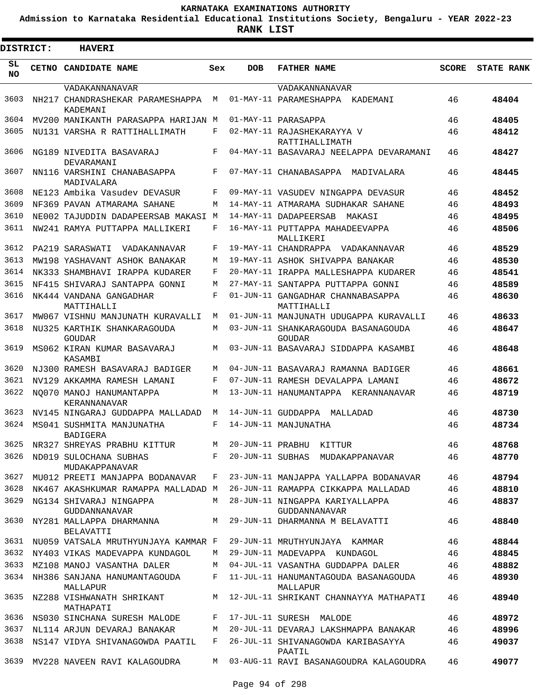**Admission to Karnataka Residential Educational Institutions Society, Bengaluru - YEAR 2022-23**

ı

| <b>DISTRICT:</b> | <b>HAVERI</b>                                                                            |             |            |                                                  |              |                   |
|------------------|------------------------------------------------------------------------------------------|-------------|------------|--------------------------------------------------|--------------|-------------------|
| SL.<br>NO.       | <b>CETNO CANDIDATE NAME</b>                                                              | Sex         | <b>DOB</b> | <b>FATHER NAME</b>                               | <b>SCORE</b> | <b>STATE RANK</b> |
|                  | VADAKANNANAVAR                                                                           |             |            | VADAKANNANAVAR                                   |              |                   |
| 3603             | NH217 CHANDRASHEKAR PARAMESHAPPA<br><b>KADEMANT</b>                                      | M           |            | 01-MAY-11 PARAMESHAPPA KADEMANI                  | 46           | 48404             |
| 3604             | MV200 MANIKANTH PARASAPPA HARIJAN M                                                      |             |            | 01-MAY-11 PARASAPPA                              | 46           | 48405             |
| 3605             | NU131 VARSHA R RATTIHALLIMATH                                                            | F           |            | 02-MAY-11 RAJASHEKARAYYA V<br>RATTIHALLIMATH     | 46           | 48412             |
| 3606             | NG189 NIVEDITA BASAVARAJ<br>DEVARAMANI                                                   | F           |            | 04-MAY-11 BASAVARAJ NEELAPPA DEVARAMANI          | 46           | 48427             |
| 3607             | NN116 VARSHINI CHANABASAPPA<br>MADIVALARA                                                | F           |            | 07-MAY-11 CHANABASAPPA MADIVALARA                | 46           | 48445             |
| 3608             | NE123 Ambika Vasudev DEVASUR                                                             | F           |            | 09-MAY-11 VASUDEV NINGAPPA DEVASUR               | 46           | 48452             |
| 3609             | NF369 PAVAN ATMARAMA SAHANE                                                              | M           |            | 14-MAY-11 ATMARAMA SUDHAKAR SAHANE               | 46           | 48493             |
| 3610             | NE002 TAJUDDIN DADAPEERSAB MAKASI M                                                      |             |            | 14-MAY-11 DADAPEERSAB<br>MAKASI                  | 46           | 48495             |
| 3611             | NW241 RAMYA PUTTAPPA MALLIKERI                                                           | F           |            | 16-MAY-11 PUTTAPPA MAHADEEVAPPA<br>MALLIKERI     | 46           | 48506             |
| 3612             | PA219 SARASWATI<br>VADAKANNAVAR                                                          | F           |            | 19-MAY-11 CHANDRAPPA VADAKANNAVAR                | 46           | 48529             |
| 3613             | MW198 YASHAVANT ASHOK BANAKAR                                                            | M           |            | 19-MAY-11 ASHOK SHIVAPPA BANAKAR                 | 46           | 48530             |
| 3614             | NK333 SHAMBHAVI IRAPPA KUDARER                                                           | F           |            | 20-MAY-11 IRAPPA MALLESHAPPA KUDARER             | 46           | 48541             |
| 3615             | NF415 SHIVARAJ SANTAPPA GONNI                                                            | M           |            | 27-MAY-11 SANTAPPA PUTTAPPA GONNI                | 46           | 48589             |
| 3616             | NK444 VANDANA GANGADHAR<br>MATTIHALLI                                                    | F           |            | 01-JUN-11 GANGADHAR CHANNABASAPPA<br>MATTIHALLI  | 46           | 48630             |
| 3617             | MW067 VISHNU MANJUNATH KURAVALLI                                                         | M           |            | 01-JUN-11 MANJUNATH UDUGAPPA KURAVALLI           | 46           | 48633             |
| 3618             | NU325 KARTHIK SHANKARAGOUDA<br>GOUDAR                                                    | M           |            | 03-JUN-11 SHANKARAGOUDA BASANAGOUDA<br>GOUDAR    | 46           | 48647             |
| 3619             | MS062 KIRAN KUMAR BASAVARAJ<br>KASAMBI                                                   | M           |            | 03-JUN-11 BASAVARAJ SIDDAPPA KASAMBI             | 46           | 48648             |
| 3620             | NJ300 RAMESH BASAVARAJ BADIGER                                                           | M           |            | 04-JUN-11 BASAVARAJ RAMANNA BADIGER              | 46           | 48661             |
| 3621             | NV129 AKKAMMA RAMESH LAMANI                                                              | F           |            | 07-JUN-11 RAMESH DEVALAPPA LAMANI                | 46           | 48672             |
| 3622             | NO070 MANOJ HANUMANTAPPA<br>KERANNANAVAR                                                 | M           |            | 13-JUN-11 HANUMANTAPPA KERANNANAVAR              | 46           | 48719             |
| 3623             | NV145 NINGARAJ GUDDAPPA MALLADAD                                                         | M           |            | 14-JUN-11 GUDDAPPA MALLADAD                      | 46           | 48730             |
| 3624             | MS041 SUSHMITA MANJUNATHA<br>BADIGERA                                                    | F           |            | 14-JUN-11 MANJUNATHA                             | 46           | 48734             |
| 3625             | NR327 SHREYAS PRABHU KITTUR                                                              | M           |            | 20-JUN-11 PRABHU KITTUR                          | 46           | 48768             |
| 3626             | ND019 SULOCHANA SUBHAS<br>MUDAKAPPANAVAR                                                 | $F$ and $F$ |            | 20-JUN-11 SUBHAS MUDAKAPPANAVAR                  | 46           | 48770             |
| 3627             | MU012 PREETI MANJAPPA BODANAVAR                                                          | F           |            | 23-JUN-11 MANJAPPA YALLAPPA BODANAVAR            | 46           | 48794             |
| 3628             | NK467 AKASHKUMAR RAMAPPA MALLADAD M                                                      |             |            | 26-JUN-11 RAMAPPA CIKKAPPA MALLADAD              | 46           | 48810             |
| 3629             | NG134 SHIVARAJ NINGAPPA<br>GUDDANNANAVAR                                                 | M           |            | 28-JUN-11 NINGAPPA KARIYALLAPPA<br>GUDDANNANAVAR | 46           | 48837             |
| 3630             | NY281 MALLAPPA DHARMANNA                M   29-JUN-11 DHARMANNA M BELAVATTI<br>BELAVATTI |             |            |                                                  | 46           | 48840             |
| 3631             | NU059 VATSALA MRUTHYUNJAYA KAMMAR F                                                      |             |            | 29-JUN-11 MRUTHYUNJAYA KAMMAR                    | 46           | 48844             |
| 3632             | NY403 VIKAS MADEVAPPA KUNDAGOL                                                           | М           |            | 29-JUN-11 MADEVAPPA KUNDAGOL                     | 46           | 48845             |
| 3633             | MZ108 MANOJ VASANTHA DALER                                                               | M           |            | 04-JUL-11 VASANTHA GUDDAPPA DALER                | 46           | 48882             |
| 3634             | NH386 SANJANA HANUMANTAGOUDA<br>MALLAPUR                                                 | F           |            | 11-JUL-11 HANUMANTAGOUDA BASANAGOUDA<br>MALLAPUR | 46           | 48930             |
| 3635             | NZ288 VISHWANATH SHRIKANT<br>MATHAPATI                                                   |             |            | M 12-JUL-11 SHRIKANT CHANNAYYA MATHAPATI         | 46           | 48940             |
| 3636             | NS030 SINCHANA SURESH MALODE                                                             | F           |            | 17-JUL-11 SURESH MALODE                          | 46           | 48972             |
| 3637             | NL114 ARJUN DEVARAJ BANAKAR                                                              | M           |            | 20-JUL-11 DEVARAJ LAKSHMAPPA BANAKAR             | 46           | 48996             |
| 3638             | NS147 VIDYA SHIVANAGOWDA PAATIL                                                          | F           |            | 26-JUL-11 SHIVANAGOWDA KARIBASAYYA<br>PAATIL     | 46           | 49037             |
| 3639             | MV228 NAVEEN RAVI KALAGOUDRA                                                             |             |            | M 03-AUG-11 RAVI BASANAGOUDRA KALAGOUDRA         | 46           | 49077             |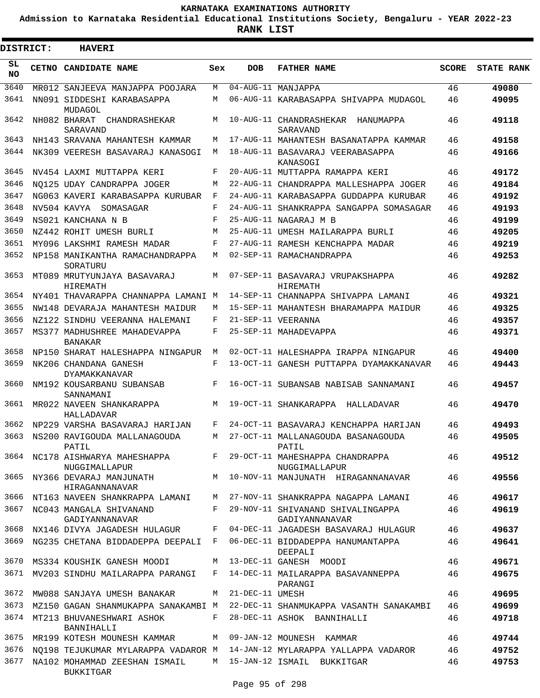**Admission to Karnataka Residential Educational Institutions Society, Bengaluru - YEAR 2022-23**

 $\blacksquare$ 

| <b>DISTRICT:</b> | <b>HAVERI</b>                                                                  |     |                   |                                                                                 |              |                   |
|------------------|--------------------------------------------------------------------------------|-----|-------------------|---------------------------------------------------------------------------------|--------------|-------------------|
| SL.<br>NO.       | CETNO CANDIDATE NAME                                                           | Sex | <b>DOB</b>        | <b>FATHER NAME</b>                                                              | <b>SCORE</b> | <b>STATE RANK</b> |
| 3640             | MR012 SANJEEVA MANJAPPA POOJARA                                                | M   |                   | 04-AUG-11 MANJAPPA                                                              | 46           | 49080             |
| 3641             | NN091 SIDDESHI KARABASAPPA<br>MUDAGOL                                          | М   |                   | 06-AUG-11 KARABASAPPA SHIVAPPA MUDAGOL                                          | 46           | 49095             |
| 3642             | NH082 BHARAT<br>CHANDRASHEKAR<br>SARAVAND                                      | М   |                   | 10-AUG-11 CHANDRASHEKAR<br>HANUMAPPA<br>SARAVAND                                | 46           | 49118             |
| 3643             | NH143 SRAVANA MAHANTESH KAMMAR                                                 | М   |                   | 17-AUG-11 MAHANTESH BASANATAPPA KAMMAR                                          | 46           | 49158             |
| 3644             | NK309 VEERESH BASAVARAJ KANASOGI                                               | М   |                   | 18-AUG-11 BASAVARAJ VEERABASAPPA<br>KANASOGI                                    | 46           | 49166             |
| 3645             | NV454 LAXMI MUTTAPPA KERI                                                      | F   |                   | 20-AUG-11 MUTTAPPA RAMAPPA KERI                                                 | 46           | 49172             |
| 3646             | NO125 UDAY CANDRAPPA JOGER                                                     | М   |                   | 22-AUG-11 CHANDRAPPA MALLESHAPPA JOGER                                          | 46           | 49184             |
| 3647             | NG063 KAVERI KARABASAPPA KURUBAR                                               | F   |                   | 24-AUG-11 KARABASAPPA GUDDAPPA KURUBAR                                          | 46           | 49192             |
| 3648             | NV504 KAVYA SOMASAGAR                                                          | F   |                   | 24-AUG-11 SHANKRAPPA SANGAPPA SOMASAGAR                                         | 46           | 49193             |
| 3649             | NS021 KANCHANA N B                                                             | F   |                   | 25-AUG-11 NAGARAJ M B                                                           | 46           | 49199             |
| 3650             | NZ442 ROHIT UMESH BURLI                                                        | М   |                   | 25-AUG-11 UMESH MAILARAPPA BURLI                                                | 46           | 49205             |
| 3651             | MY096 LAKSHMI RAMESH MADAR                                                     | F   |                   | 27-AUG-11 RAMESH KENCHAPPA MADAR                                                | 46           | 49219             |
| 3652             | NP158 MANIKANTHA RAMACHANDRAPPA<br>SORATURU                                    | М   |                   | 02-SEP-11 RAMACHANDRAPPA                                                        | 46           | 49253             |
| 3653             | MT089 MRUTYUNJAYA BASAVARAJ<br>HIREMATH                                        | М   |                   | 07-SEP-11 BASAVARAJ VRUPAKSHAPPA<br>HIREMATH                                    | 46           | 49282             |
| 3654             | NY401 THAVARAPPA CHANNAPPA LAMANI M                                            |     |                   | 14-SEP-11 CHANNAPPA SHIVAPPA LAMANI                                             | 46           | 49321             |
| 3655             | NW148 DEVARAJA MAHANTESH MAIDUR                                                | М   |                   | 15-SEP-11 MAHANTESH BHARAMAPPA MAIDUR                                           | 46           | 49325             |
| 3656             | NZ122 SINDHU VEERANNA HALEMANI                                                 | F   |                   | 21-SEP-11 VEERANNA                                                              | 46           | 49357             |
| 3657             | MS377 MADHUSHREE MAHADEVAPPA<br><b>BANAKAR</b>                                 | F   |                   | 25-SEP-11 MAHADEVAPPA                                                           | 46           | 49371             |
| 3658             | NP150 SHARAT HALESHAPPA NINGAPUR                                               | М   |                   | 02-OCT-11 HALESHAPPA IRAPPA NINGAPUR                                            | 46           | 49400             |
| 3659             | NK206 CHANDANA GANESH<br>DYAMAKKANAVAR                                         | F   |                   | 13-OCT-11 GANESH PUTTAPPA DYAMAKKANAVAR                                         | 46           | 49443             |
| 3660             | NM192 KOUSARBANU SUBANSAB<br>SANNAMANI                                         | F   |                   | 16-OCT-11 SUBANSAB NABISAB SANNAMANI                                            | 46           | 49457             |
| 3661             | MR022 NAVEEN SHANKARAPPA<br>HALLADAVAR                                         | M   |                   | 19-OCT-11 SHANKARAPPA HALLADAVAR                                                | 46           | 49470             |
| 3662             | NP229 VARSHA BASAVARAJ HARIJAN                                                 | F   |                   | 24-OCT-11 BASAVARAJ KENCHAPPA HARIJAN                                           | 46           | 49493             |
| 3663             | NS200 RAVIGOUDA MALLANAGOUDA<br>PATTI,                                         | М   |                   | 27-OCT-11 MALLANAGOUDA BASANAGOUDA<br>PATIL                                     | 46           | 49505             |
| 3664             | NC178 AISHWARYA MAHESHAPPA<br>NUGGIMALLAPUR                                    |     |                   | F 29-OCT-11 MAHESHAPPA CHANDRAPPA<br>NUGGIMALLAPUR                              | 46           | 49512             |
| 3665             | HIRAGANNANAVAR                                                                 |     |                   | NY366 DEVARAJ MANJUNATH MANJUNATH MANJUNATH HIRAGANNANAVAR                      | 46           | 49556             |
| 3666             |                                                                                |     |                   | NT163 NAVEEN SHANKRAPPA LAMANI     M   27-NOV-11 SHANKRAPPA NAGAPPA LAMANI      | 46           | 49617             |
| 3667             | NC043 MANGALA SHIVANAND<br>GADIYANNANAVAR                                      | F   |                   | 29-NOV-11 SHIVANAND SHIVALINGAPPA<br>GADIYANNANAVAR                             | 46           | 49619             |
| 3668             | NX146 DIVYA JAGADESH HULAGUR                                                   | F   |                   | 04-DEC-11 JAGADESH BASAVARAJ HULAGUR                                            | 46           | 49637             |
| 3669             |                                                                                |     |                   | NG235 CHETANA BIDDADEPPA DEEPALI F 06-DEC-11 BIDDADEPPA HANUMANTAPPA<br>DEEPALI | 46           | 49641             |
| 3670             | MS334 KOUSHIK GANESH MOODI                                                     |     |                   | M 13-DEC-11 GANESH MOODI                                                        | 46           | 49671             |
|                  | 3671 MV203 SINDHU MAILARAPPA PARANGI                                           |     |                   | F 14-DEC-11 MAILARAPPA BASAVANNEPPA<br>PARANGI                                  | 46           | 49675             |
| 3672             | MW088 SANJAYA UMESH BANAKAR                                                    |     | M 21-DEC-11 UMESH |                                                                                 | 46           | 49695             |
| 3673             |                                                                                |     |                   | MZ150 GAGAN SHANMUKAPPA SANAKAMBI M 22-DEC-11 SHANMUKAPPA VASANTH SANAKAMBI     | 46           | 49699             |
| 3674             | MT213 BHUVANESHWARI ASHOK<br>BANNIHALLI                                        | F   |                   | 28-DEC-11 ASHOK BANNIHALLI                                                      | 46           | 49718             |
| 3675             | MR199 KOTESH MOUNESH KAMMAR                                                    |     |                   | M 09-JAN-12 MOUNESH KAMMAR                                                      | 46           | 49744             |
| 3676             |                                                                                |     |                   | NO198 TEJUKUMAR MYLARAPPA VADAROR M  14-JAN-12 MYLARAPPA YALLAPPA VADAROR       | 46           | 49752             |
| 3677             | NA102 MOHAMMAD ZEESHAN ISMAIL M 15-JAN-12 ISMAIL BUKKITGAR<br><b>BUKKITGAR</b> |     |                   |                                                                                 | 46           | 49753             |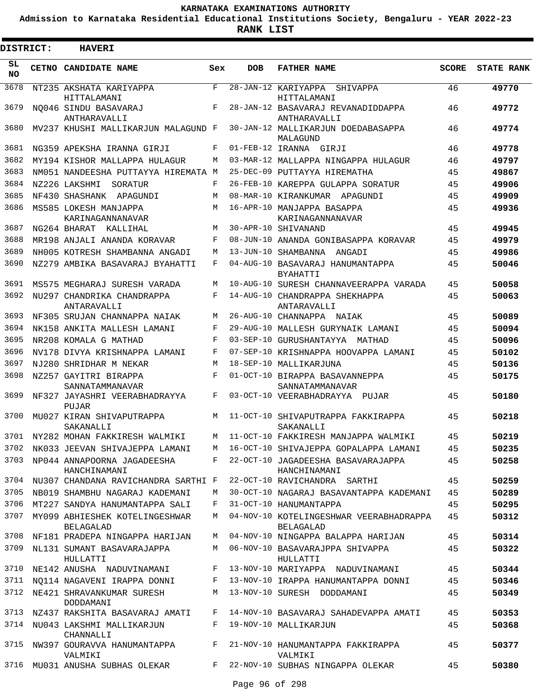**Admission to Karnataka Residential Educational Institutions Society, Bengaluru - YEAR 2022-23**

**RANK LIST**

| DISTRICT:       | <b>HAVERI</b>                               |         |            |                                                             |              |                   |
|-----------------|---------------------------------------------|---------|------------|-------------------------------------------------------------|--------------|-------------------|
| SL<br><b>NO</b> | CETNO CANDIDATE NAME                        | Sex     | <b>DOB</b> | <b>FATHER NAME</b>                                          | <b>SCORE</b> | <b>STATE RANK</b> |
| 3678            | NT235 AKSHATA KARIYAPPA<br>HITTALAMANI      | F       |            | 28-JAN-12 KARIYAPPA<br>SHIVAPPA<br>HITTALAMANI              | 46           | 49770             |
| 3679            | NO046 SINDU BASAVARAJ<br>ANTHARAVALLI       | F       |            | 28-JAN-12 BASAVARAJ REVANADIDDAPPA<br>ANTHARAVALLI          | 46           | 49772             |
| 3680            | MV237 KHUSHI MALLIKARJUN MALAGUND F         |         |            | 30-JAN-12 MALLIKARJUN DOEDABASAPPA<br>MALAGUND              | 46           | 49774             |
| 3681            | NG359 APEKSHA IRANNA GIRJI                  | F       |            | 01-FEB-12 IRANNA GIRJI                                      | 46           | 49778             |
| 3682            | MY194 KISHOR MALLAPPA HULAGUR               | M       |            | 03-MAR-12 MALLAPPA NINGAPPA HULAGUR                         | 46           | 49797             |
| 3683            | NM051 NANDEESHA PUTTAYYA HIREMATA M         |         |            | 25-DEC-09 PUTTAYYA HIREMATHA                                | 45           | 49867             |
| 3684            | NZ226 LAKSHMI<br>SORATUR                    | F       |            | 26-FEB-10 KAREPPA GULAPPA SORATUR                           | 45           | 49906             |
| 3685            | NF430 SHASHANK APAGUNDI                     | M       |            | 08-MAR-10 KIRANKUMAR APAGUNDI                               | 45           | 49909             |
| 3686            | MS585 LOKESH MANJAPPA<br>KARINAGANNANAVAR   | M       |            | 16-APR-10 MANJAPPA BASAPPA<br>KARINAGANNANAVAR              | 45           | 49936             |
| 3687            | NG264 BHARAT<br>KALLIHAL                    | M       |            | 30-APR-10 SHIVANAND                                         | 45           | 49945             |
| 3688            | MR198 ANJALI ANANDA KORAVAR                 | F       |            | 08-JUN-10 ANANDA GONIBASAPPA KORAVAR                        | 45           | 49979             |
| 3689            | NH005 KOTRESH SHAMBANNA ANGADI              | M       |            | 13-JUN-10 SHAMBANNA ANGADI                                  | 45           | 49986             |
| 3690            | NZ279 AMBIKA BASAVARAJ BYAHATTI             | F       |            | 04-AUG-10 BASAVARAJ HANUMANTAPPA<br><b>RYAHATTI</b>         | 45           | 50046             |
| 3691            | MS575 MEGHARAJ SURESH VARADA                | M       |            | 10-AUG-10 SURESH CHANNAVEERAPPA VARADA                      | 45           | 50058             |
| 3692            | NU297 CHANDRIKA CHANDRAPPA<br>ANTARAVALLI   | F       |            | 14-AUG-10 CHANDRAPPA SHEKHAPPA<br>ANTARAVALLI               | 45           | 50063             |
| 3693            | NF305 SRUJAN CHANNAPPA NAIAK                | M       |            | 26-AUG-10 CHANNAPPA NAIAK                                   | 45           | 50089             |
| 3694            | NK158 ANKITA MALLESH LAMANI                 | F       |            | 29-AUG-10 MALLESH GURYNAIK LAMANI                           | 45           | 50094             |
| 3695            | NR208 KOMALA G MATHAD                       | F       |            | 03-SEP-10 GURUSHANTAYYA MATHAD                              | 45           | 50096             |
| 3696            | NV178 DIVYA KRISHNAPPA LAMANI               | F       |            | 07-SEP-10 KRISHNAPPA HOOVAPPA LAMANI                        | 45           | 50102             |
| 3697            | NJ280 SHRIDHAR M NEKAR                      | M       |            | 18-SEP-10 MALLIKARJUNA                                      | 45           | 50136             |
| 3698            | NZ257 GAYITRI BIRAPPA<br>SANNATAMMANAVAR    | F       |            | 01-OCT-10 BIRAPPA BASAVANNEPPA<br>SANNATAMMANAVAR           | 45           | 50175             |
| 3699            | NF327 JAYASHRI VEERABHADRAYYA<br>PUJAR      | F       |            | 03-OCT-10 VEERABHADRAYYA PUJAR                              | 45           | 50180             |
| 3700            | MU027 KIRAN SHIVAPUTRAPPA<br>SAKANALLI      | M       |            | 11-OCT-10 SHIVAPUTRAPPA FAKKIRAPPA<br>SAKANALLI             | 45           | 50218             |
|                 | 3701 NY282 MOHAN FAKKIRESH WALMIKI          |         |            | M 11-OCT-10 FAKKIRESH MANJAPPA WALMIKI                      | 45           | 50219             |
|                 | 3702 NK033 JEEVAN SHIVAJEPPA LAMANI         |         |            | M 16-OCT-10 SHIVAJEPPA GOPALAPPA LAMANI                     | 45           | 50235             |
| 3703            | NP044 ANNAPOORNA JAGADEESHA<br>HANCHINAMANI | F       |            | 22-OCT-10 JAGADEESHA BASAVARAJAPPA<br>HANCHINAMANI          | 45           | 50258             |
|                 | 3704 NU307 CHANDANA RAVICHANDRA SARTHI F    |         |            | 22-OCT-10 RAVICHANDRA SARTHI                                | 45           | 50259             |
| 3705            | NB019 SHAMBHU NAGARAJ KADEMANI              | M       |            | 30-OCT-10 NAGARAJ BASAVANTAPPA KADEMANI                     | 45           | 50289             |
| 3706            | MT227 SANDYA HANUMANTAPPA SALI              | F       |            | 31-OCT-10 HANUMANTAPPA                                      | 45           | 50295             |
| 3707            | MY099 ABHIESHEK KOTELINGESHWAR<br>BELAGALAD | M       |            | 04-NOV-10 KOTELINGESHWAR VEERABHADRAPPA<br><b>BELAGALAD</b> | 45           | 50312             |
| 3708            | NF181 PRADEPA NINGAPPA HARIJAN              | M       |            | 04-NOV-10 NINGAPPA BALAPPA HARIJAN                          | 45           | 50314             |
| 3709            | NL131 SUMANT BASAVARAJAPPA<br>HULLATTI      | M       |            | 06-NOV-10 BASAVARAJPPA SHIVAPPA<br>HULLATTI                 | 45           | 50322             |
| 3710            | NE142 ANUSHA NADUVINAMANI                   | F       |            | 13-NOV-10 MARIYAPPA NADUVINAMANI                            | 45           | 50344             |
| 3711            | NO114 NAGAVENI IRAPPA DONNI                 | F       |            | 13-NOV-10 IRAPPA HANUMANTAPPA DONNI                         | 45           | 50346             |
| 3712            | NE421 SHRAVANKUMAR SURESH<br>DODDAMANI      | M       |            | 13-NOV-10 SURESH DODDAMANI                                  | 45           | 50349             |
|                 | 3713 NZ437 RAKSHITA BASAVARAJ AMATI         | F       |            | 14-NOV-10 BASAVARAJ SAHADEVAPPA AMATI                       | 45           | 50353             |
|                 | 3714 NU043 LAKSHMI MALLIKARJUN<br>CHANNALLI | F       |            | 19-NOV-10 MALLIKARJUN                                       | 45           | 50368             |
|                 | 3715 NW397 GOURAVVA HANUMANTAPPA<br>VALMIKI | F       |            | 21-NOV-10 HANUMANTAPPA FAKKIRAPPA<br>VALMIKI                | 45           | 50377             |
|                 | 3716 MU031 ANUSHA SUBHAS OLEKAR             | $F$ and |            | 22-NOV-10 SUBHAS NINGAPPA OLEKAR                            | 45           | 50380             |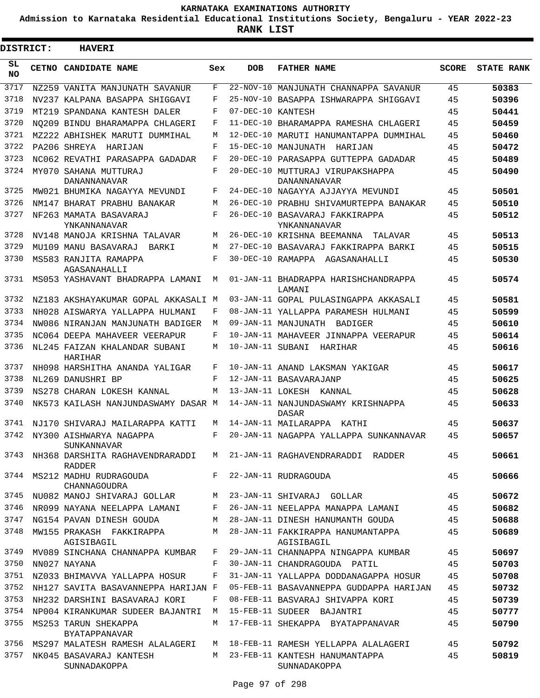**Admission to Karnataka Residential Educational Institutions Society, Bengaluru - YEAR 2022-23**

**RANK LIST**

ı

| <b>DISTRICT:</b> | <b>HAVERI</b>                                    |     |                   |                                                  |              |                   |
|------------------|--------------------------------------------------|-----|-------------------|--------------------------------------------------|--------------|-------------------|
| SL<br><b>NO</b>  | CETNO CANDIDATE NAME                             | Sex | <b>DOB</b>        | <b>FATHER NAME</b>                               | <b>SCORE</b> | <b>STATE RANK</b> |
| 3717             | NZ259 VANITA MANJUNATH SAVANUR                   | F   | 22-NOV-10         | MANJUNATH CHANNAPPA SAVANUR                      | 45           | 50383             |
| 3718             | NV237 KALPANA BASAPPA SHIGGAVI                   | F   |                   | 25-NOV-10 BASAPPA ISHWARAPPA SHIGGAVI            | 45           | 50396             |
| 3719             | MT219 SPANDANA KANTESH DALER                     | F   | 07-DEC-10 KANTESH |                                                  | 45           | 50441             |
| 3720             | NO209 BINDU BHARAMAPPA CHLAGERI                  | F   |                   | 11-DEC-10 BHARAMAPPA RAMESHA CHLAGERI            | 45           | 50459             |
| 3721             | MZ222 ABHISHEK MARUTI DUMMIHAL                   | М   |                   | 12-DEC-10 MARUTI HANUMANTAPPA DUMMIHAL           | 45           | 50460             |
| 3722             | PA206 SHREYA<br>HARIJAN                          | F   |                   | 15-DEC-10 MANJUNATH<br>HARIJAN                   | 45           | 50472             |
| 3723             | NC062 REVATHI PARASAPPA GADADAR                  | F   | $20 - DEC - 10$   | PARASAPPA GUTTEPPA GADADAR                       | 45           | 50489             |
| 3724             | MY070 SAHANA MUTTURAJ<br>DANANNANAVAR            | F   |                   | 20-DEC-10 MUTTURAJ VIRUPAKSHAPPA<br>DANANNANAVAR | 45           | 50490             |
| 3725             | MW021 BHUMIKA NAGAYYA MEVUNDI                    | F   |                   | 24-DEC-10 NAGAYYA AJJAYYA MEVUNDI                | 45           | 50501             |
| 3726             | NM147 BHARAT PRABHU BANAKAR                      | M   |                   | 26-DEC-10 PRABHU SHIVAMURTEPPA BANAKAR           | 45           | 50510             |
| 3727             | NF263 MAMATA BASAVARAJ<br>YNKANNANAVAR           | F   |                   | 26-DEC-10 BASAVARAJ FAKKIRAPPA<br>YNKANNANAVAR   | 45           | 50512             |
| 3728             | NV148 MANOJA KRISHNA TALAVAR                     | М   |                   | 26-DEC-10 KRISHNA BEEMANNA<br>TALAVAR            | 45           | 50513             |
| 3729             | MU109 MANU BASAVARAJ<br>BARKI                    | М   |                   | 27-DEC-10 BASAVARAJ FAKKIRAPPA BARKI             | 45           | 50515             |
| 3730             | MS583 RANJITA RAMAPPA<br>AGASANAHALLI            | F   |                   | 30-DEC-10 RAMAPPA AGASANAHALLI                   | 45           | 50530             |
| 3731             | MS053 YASHAVANT BHADRAPPA LAMANI                 | М   |                   | 01-JAN-11 BHADRAPPA HARISHCHANDRAPPA<br>LAMANI   | 45           | 50574             |
| 3732             | NZ183 AKSHAYAKUMAR GOPAL AKKASALI M              |     |                   | 03-JAN-11 GOPAL PULASINGAPPA AKKASALI            | 45           | 50581             |
| 3733             | NH028 AISWARYA YALLAPPA HULMANI                  | F   |                   | 08-JAN-11 YALLAPPA PARAMESH HULMANI              | 45           | 50599             |
| 3734             | NW086 NIRANJAN MANJUNATH BADIGER                 | М   |                   | 09-JAN-11 MANJUNATH BADIGER                      | 45           | 50610             |
| 3735             | NC064 DEEPA MAHAVEER VEERAPUR                    | F   |                   | 10-JAN-11 MAHAVEER JINNAPPA VEERAPUR             | 45           | 50614             |
| 3736             | NL245 FAIZAN KHALANDAR SUBANI<br>HARIHAR         | М   | 10-JAN-11 SUBANI  | HARIHAR                                          | 45           | 50616             |
| 3737             | NH098 HARSHITHA ANANDA YALIGAR                   | F   |                   | 10-JAN-11 ANAND LAKSMAN YAKIGAR                  | 45           | 50617             |
| 3738             | NL269 DANUSHRI BP                                | F   |                   | 12-JAN-11 BASAVARAJANP                           | 45           | 50625             |
| 3739             | NS278 CHARAN LOKESH KANNAL                       | М   |                   | 13-JAN-11 LOKESH KANNAL                          | 45           | 50628             |
| 3740             | NK573 KAILASH NANJUNDASWAMY DASAR M              |     |                   | 14-JAN-11 NANJUNDASWAMY KRISHNAPPA<br>DASAR      | 45           | 50633             |
| 3741             | NJ170 SHIVARAJ MAILARAPPA KATTI                  | M   |                   | 14-JAN-11 MAILARAPPA<br>KATHI                    | 45           | 50637             |
| 3742             | NY300 AISHWARYA NAGAPPA<br><b>SUNKANNAVAR</b>    | F   |                   | 20-JAN-11 NAGAPPA YALLAPPA SUNKANNAVAR           | 45           | 50657             |
| 3743             | NH368 DARSHITA RAGHAVENDRARADDI<br><b>RADDER</b> | M   |                   | 21-JAN-11 RAGHAVENDRARADDI RADDER                | 45           | 50661             |
| 3744             | MS212 MADHU RUDRAGOUDA<br>CHANNAGOUDRA           | F   |                   | 22-JAN-11 RUDRAGOUDA                             | 45           | 50666             |
| 3745             | NU082 MANOJ SHIVARAJ GOLLAR                      | M   |                   | 23-JAN-11 SHIVARAJ GOLLAR                        | 45           | 50672             |
| 3746             | NR099 NAYANA NEELAPPA LAMANI                     | F   |                   | 26-JAN-11 NEELAPPA MANAPPA LAMANI                | 45           | 50682             |
| 3747             | NG154 PAVAN DINESH GOUDA                         | M   |                   | 28-JAN-11 DINESH HANUMANTH GOUDA                 | 45           | 50688             |
| 3748             | MW155 PRAKASH FAKKIRAPPA<br>AGISIBAGIL           | М   |                   | 28-JAN-11 FAKKIRAPPA HANUMANTAPPA<br>AGISIBAGIL  | 45           | 50689             |
| 3749             | MV089 SINCHANA CHANNAPPA KUMBAR                  | F   |                   | 29-JAN-11 CHANNAPPA NINGAPPA KUMBAR              | 45           | 50697             |
| 3750             | NN027 NAYANA                                     | F   |                   | 30-JAN-11 CHANDRAGOUDA PATIL                     | 45           | 50703             |
| 3751             | NZ033 BHIMAVVA YALLAPPA HOSUR                    | F   |                   | 31-JAN-11 YALLAPPA DODDANAGAPPA HOSUR            | 45           | 50708             |
| 3752             | NH127 SAVITA BASAVANNEPPA HARIJAN F              |     |                   | 05-FEB-11 BASAVANNEPPA GUDDAPPA HARIJAN          | 45           | 50732             |
| 3753             | NH232 DARSHINI BASAVARAJ KORI                    | F   |                   | 08-FEB-11 BASVARAJ SHIVAPPA KORI                 | 45           | 50739             |
| 3754             | NP004 KIRANKUMAR SUDEER BAJANTRI                 | М   |                   | 15-FEB-11 SUDEER BAJANTRI                        | 45           | 50777             |
| 3755             | MS253 TARUN SHEKAPPA<br><b>BYATAPPANAVAR</b>     | M   |                   | 17-FEB-11 SHEKAPPA BYATAPPANAVAR                 | 45           | 50790             |
| 3756             | MS297 MALATESH RAMESH ALALAGERI                  | M   |                   | 18-FEB-11 RAMESH YELLAPPA ALALAGERI              | 45           | 50792             |
| 3757             | NK045 BASAVARAJ KANTESH<br>SUNNADAKOPPA          | M   |                   | 23-FEB-11 KANTESH HANUMANTAPPA<br>SUNNADAKOPPA   | 45           | 50819             |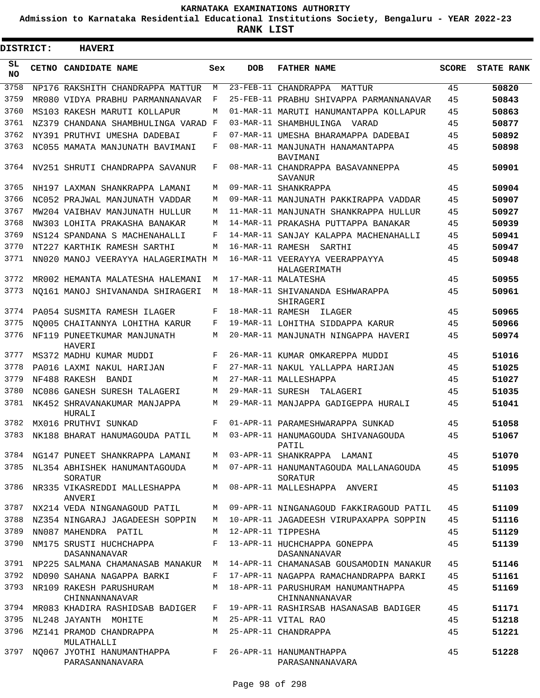**Admission to Karnataka Residential Educational Institutions Society, Bengaluru - YEAR 2022-23**

ı

| <b>DISTRICT:</b> |  | <b>HAVERI</b>                                  |         |                  |                                                       |              |                   |
|------------------|--|------------------------------------------------|---------|------------------|-------------------------------------------------------|--------------|-------------------|
| SL<br><b>NO</b>  |  | CETNO CANDIDATE NAME                           | Sex     | <b>DOB</b>       | <b>FATHER NAME</b>                                    | <b>SCORE</b> | <b>STATE RANK</b> |
| 3758             |  | NP176 RAKSHITH CHANDRAPPA MATTUR               | М       | $23$ -FEB-11     | CHANDRAPPA<br>MATTUR                                  | 45           | 50820             |
| 3759             |  | MR080 VIDYA PRABHU PARMANNANAVAR               | F       |                  | 25-FEB-11 PRABHU SHIVAPPA PARMANNANAVAR               | 45           | 50843             |
| 3760             |  | MS103 RAKESH MARUTI KOLLAPUR                   | M       |                  | 01-MAR-11 MARUTI HANUMANTAPPA KOLLAPUR                | 45           | 50863             |
| 3761             |  | NZ379 CHANDANA SHAMBHULINGA VARAD              | F       |                  | 03-MAR-11 SHAMBHULINGA VARAD                          | 45           | 50877             |
| 3762             |  | NY391 PRUTHVI UMESHA DADEBAI                   | F       |                  | 07-MAR-11 UMESHA BHARAMAPPA DADEBAI                   | 45           | 50892             |
| 3763             |  | NC055 MAMATA MANJUNATH BAVIMANI                | F       |                  | 08-MAR-11 MANJUNATH HANAMANTAPPA<br>BAVIMANI          | 45           | 50898             |
| 3764             |  | NV251 SHRUTI CHANDRAPPA SAVANUR                | F       |                  | 08-MAR-11 CHANDRAPPA BASAVANNEPPA<br>SAVANUR          | 45           | 50901             |
| 3765             |  | NH197 LAXMAN SHANKRAPPA LAMANI                 | M       |                  | 09-MAR-11 SHANKRAPPA                                  | 45           | 50904             |
| 3766             |  | NC052 PRAJWAL MANJUNATH VADDAR                 | M       |                  | 09-MAR-11 MANJUNATH PAKKIRAPPA VADDAR                 | 45           | 50907             |
| 3767             |  | MW204 VAIBHAV MANJUNATH HULLUR                 | M       |                  | 11-MAR-11 MANJUNATH SHANKRAPPA HULLUR                 | 45           | 50927             |
| 3768             |  | NW303 LOHITA PRAKASHA BANAKAR                  | M       |                  | 14-MAR-11 PRAKASHA PUTTAPPA BANAKAR                   | 45           | 50939             |
| 3769             |  | NS124 SPANDANA S MACHENAHALLI                  | F       |                  | 14-MAR-11 SANJAY KALAPPA MACHENAHALLI                 | 45           | 50941             |
| 3770             |  | NT227 KARTHIK RAMESH SARTHI                    | M       | 16-MAR-11 RAMESH | SARTHI                                                | 45           | 50947             |
| 3771             |  | NN020 MANOJ VEERAYYA HALAGERIMATH M            |         |                  | 16-MAR-11 VEERAYYA VEERAPPAYYA<br><b>HALAGERIMATH</b> | 45           | 50948             |
| 3772             |  | MR002 HEMANTA MALATESHA HALEMANI               | M       |                  | 17-MAR-11 MALATESHA                                   | 45           | 50955             |
| 3773             |  | NO161 MANOJ SHIVANANDA SHIRAGERI               | M       |                  | 18-MAR-11 SHIVANANDA ESHWARAPPA<br>SHIRAGERI          | 45           | 50961             |
| 3774             |  | PA054 SUSMITA RAMESH ILAGER                    | F       | 18-MAR-11 RAMESH | ILAGER                                                | 45           | 50965             |
| 3775             |  | NO005 CHAITANNYA LOHITHA KARUR                 | F       |                  | 19-MAR-11 LOHITHA SIDDAPPA KARUR                      | 45           | 50966             |
| 3776             |  | NF119 PUNEETKUMAR MANJUNATH<br>HAVERI          | M       |                  | 20-MAR-11 MANJUNATH NINGAPPA HAVERI                   | 45           | 50974             |
| 3777             |  | MS372 MADHU KUMAR MUDDI                        | F       |                  | 26-MAR-11 KUMAR OMKAREPPA MUDDI                       | 45           | 51016             |
| 3778             |  | PA016 LAXMI NAKUL HARIJAN                      | F       |                  | 27-MAR-11 NAKUL YALLAPPA HARIJAN                      | 45           | 51025             |
| 3779             |  | NF488 RAKESH<br>BANDI                          | M       |                  | 27-MAR-11 MALLESHAPPA                                 | 45           | 51027             |
| 3780             |  | NC086 GANESH SURESH TALAGERI                   | M       | 29-MAR-11 SURESH | TALAGERI                                              | 45           | 51035             |
| 3781             |  | NK452 SHRAVANAKUMAR MANJAPPA<br>HURALI         | M       |                  | 29-MAR-11 MANJAPPA GADIGEPPA HURALI                   | 45           | 51041             |
| 3782             |  | MX016 PRUTHVI SUNKAD                           | F       |                  | 01-APR-11 PARAMESHWARAPPA SUNKAD                      | 45           | 51058             |
| 3783             |  | NK188 BHARAT HANUMAGOUDA PATIL                 | M       |                  | 03-APR-11 HANUMAGOUDA SHIVANAGOUDA<br>PATIL           | 45           | 51067             |
| 3784             |  | NG147 PUNEET SHANKRAPPA LAMANI                 | M       |                  | 03-APR-11 SHANKRAPPA LAMANI                           | 45           | 51070             |
| 3785             |  | NL354 ABHISHEK HANUMANTAGOUDA<br>SORATUR       | M       |                  | 07-APR-11 HANUMANTAGOUDA MALLANAGOUDA<br>SORATUR      | 45           | 51095             |
| 3786             |  | NR335 VIKASREDDI MALLESHAPPA<br>ANVERI         | M       |                  | 08-APR-11 MALLESHAPPA ANVERI                          | 45           | 51103             |
| 3787             |  | NX214 VEDA NINGANAGOUD PATIL                   | M       |                  | 09-APR-11 NINGANAGOUD FAKKIRAGOUD PATIL               | 45           | 51109             |
| 3788             |  | NZ354 NINGARAJ JAGADEESH SOPPIN                | M       |                  | 10-APR-11 JAGADEESH VIRUPAXAPPA SOPPIN                | 45           | 51116             |
| 3789             |  | NN087 MAHENDRA PATIL                           | M       |                  | 12-APR-11 TIPPESHA                                    | 45           | 51129             |
| 3790             |  | NM175 SRUSTI HUCHCHAPPA<br><b>DASANNANAVAR</b> | F       |                  | 13-APR-11 HUCHCHAPPA GONEPPA<br>DASANNANAVAR          | 45           | 51139             |
| 3791             |  | NP225 SALMANA CHAMANASAB MANAKUR               | M       |                  | 14-APR-11 CHAMANASAB GOUSAMODIN MANAKUR               | 45           | 51146             |
| 3792             |  | ND090 SAHANA NAGAPPA BARKI                     | F       |                  | 17-APR-11 NAGAPPA RAMACHANDRAPPA BARKI                | 45           | 51161             |
| 3793             |  | NR109 RAKESH PARUSHURAM<br>CHINNANNANAVAR      | M       |                  | 18-APR-11 PARUSHURAM HANUMANTHAPPA<br>CHINNANNANAVAR  | 45           | 51169             |
| 3794             |  | MR083 KHADIRA RASHIDSAB BADIGER                | F       |                  | 19-APR-11 RASHIRSAB HASANASAB BADIGER                 | 45           | 51171             |
| 3795             |  | NL248 JAYANTH MOHITE                           | M       |                  | 25-APR-11 VITAL RAO                                   | 45           | 51218             |
| 3796             |  | MZ141 PRAMOD CHANDRAPPA<br>MULATHALLI          | M       |                  | 25-APR-11 CHANDRAPPA                                  | 45           | 51221             |
| 3797             |  | NQ067 JYOTHI HANUMANTHAPPA<br>PARASANNANAVARA  | $F$ and |                  | 26-APR-11 HANUMANTHAPPA<br>PARASANNANAVARA            | 45           | 51228             |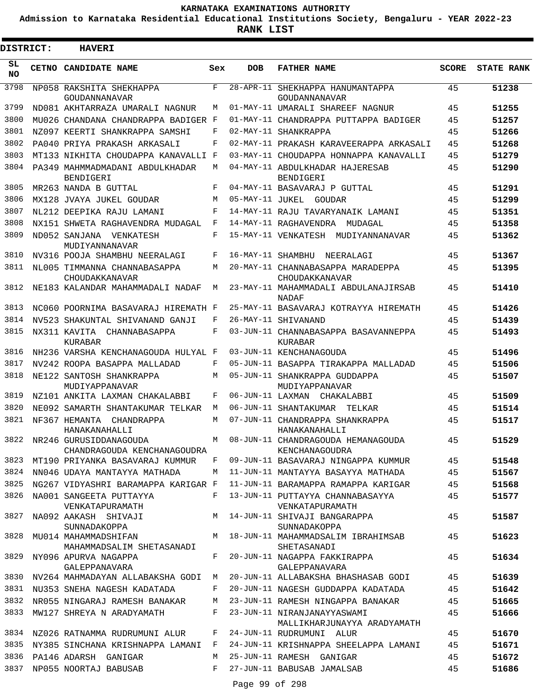**Admission to Karnataka Residential Educational Institutions Society, Bengaluru - YEAR 2022-23**

**RANK LIST**

Е

| <b>DISTRICT:</b> | <b>HAVERI</b>                                         |     |                   |                                                            |              |                   |
|------------------|-------------------------------------------------------|-----|-------------------|------------------------------------------------------------|--------------|-------------------|
| SL<br><b>NO</b>  | CETNO CANDIDATE NAME                                  | Sex | <b>DOB</b>        | <b>FATHER NAME</b>                                         | <b>SCORE</b> | <b>STATE RANK</b> |
| 3798             | NP058 RAKSHITA SHEKHAPPA<br>GOUDANNANAVAR             | F   |                   | 28-APR-11 SHEKHAPPA HANUMANTAPPA<br>GOUDANNANAVAR          | 45           | 51238             |
| 3799             | ND081 AKHTARRAZA UMARALI NAGNUR                       | М   |                   | 01-MAY-11 UMARALI SHAREEF NAGNUR                           | 45           | 51255             |
| 3800             | MU026 CHANDANA CHANDRAPPA BADIGER F                   |     |                   | 01-MAY-11 CHANDRAPPA PUTTAPPA BADIGER                      | 45           | 51257             |
| 3801             | NZ097 KEERTI SHANKRAPPA SAMSHI                        | F   |                   | 02-MAY-11 SHANKRAPPA                                       | 45           | 51266             |
| 3802             | PA040 PRIYA PRAKASH ARKASALI                          | F   |                   | 02-MAY-11 PRAKASH KARAVEERAPPA ARKASALI                    | 45           | 51268             |
| 3803             | MT133 NIKHITA CHOUDAPPA KANAVALLI F                   |     |                   | 03-MAY-11 CHOUDAPPA HONNAPPA KANAVALLI                     | 45           | 51279             |
| 3804             | PA349 MAHMMADMADANI ABDULKHADAR<br>BENDIGERI          | M   |                   | 04-MAY-11 ABDULKHADAR HAJERESAB<br><b>BENDIGERI</b>        | 45           | 51290             |
| 3805             | MR263 NANDA B GUTTAL                                  | F   |                   | 04-MAY-11 BASAVARAJ P GUTTAL                               | 45           | 51291             |
| 3806             | MX128 JVAYA JUKEL GOUDAR                              | M   | 05-MAY-11 JUKEL   | GOUDAR                                                     | 45           | 51299             |
| 3807             | NL212 DEEPIKA RAJU LAMANI                             | F   |                   | 14-MAY-11 RAJU TAVARYANAIK LAMANI                          | 45           | 51351             |
| 3808             | NX151 SHWETA RAGHAVENDRA MUDAGAL                      | F   |                   | 14-MAY-11 RAGHAVENDRA<br>MUDAGAL                           | 45           | 51358             |
| 3809             | ND052 SANJANA VENKATESH<br>MUDIYANNANAVAR             | F   |                   | 15-MAY-11 VENKATESH<br>MUDIYANNANAVAR                      | 45           | 51362             |
| 3810             | NV316 POOJA SHAMBHU NEERALAGI                         | F   | 16-MAY-11 SHAMBHU | NEERALAGI                                                  | 45           | 51367             |
| 3811             | NL005 TIMMANNA CHANNABASAPPA<br>CHOUDAKKANAVAR        | M   |                   | 20-MAY-11 CHANNABASAPPA MARADEPPA<br>CHOUDAKKANAVAR        | 45           | 51395             |
| 3812             | NE183 KALANDAR MAHAMMADALI NADAF                      | M   |                   | 23-MAY-11 MAHAMMADALI ABDULANAJIRSAB<br><b>NADAF</b>       | 45           | 51410             |
| 3813             | NC060 POORNIMA BASAVARAJ HIREMATH F                   |     |                   | 25-MAY-11 BASAVARAJ KOTRAYYA HIREMATH                      | 45           | 51426             |
| 3814             | NV523 SHAKUNTAL SHIVANAND GANJI                       | F   |                   | 26-MAY-11 SHIVANAND                                        | 45           | 51439             |
| 3815             | NX311 KAVITA CHANNABASAPPA<br>KURABAR                 | F   |                   | 03-JUN-11 CHANNABASAPPA BASAVANNEPPA<br>KURABAR            | 45           | 51493             |
| 3816             | NH236 VARSHA KENCHANAGOUDA HULYAL F                   |     |                   | 03-JUN-11 KENCHANAGOUDA                                    | 45           | 51496             |
| 3817             | NV242 ROOPA BASAPPA MALLADAD                          | F   |                   | 05-JUN-11 BASAPPA TIRAKAPPA MALLADAD                       | 45           | 51506             |
| 3818             | NE122 SANTOSH SHANKRAPPA<br>MUDIYAPPANAVAR            | М   |                   | 05-JUN-11 SHANKRAPPA GUDDAPPA<br>MUDIYAPPANAVAR            | 45           | 51507             |
| 3819             | NZ101 ANKITA LAXMAN CHAKALABBI                        | F   |                   | 06-JUN-11 LAXMAN CHAKALABBI                                | 45           | 51509             |
| 3820             | NE092 SAMARTH SHANTAKUMAR TELKAR                      | M   |                   | 06-JUN-11 SHANTAKUMAR<br>TELKAR                            | 45           | 51514             |
| 3821             | NF367 HEMANTA<br>CHANDRAPPA<br>HANAKANAHALLI          | M   |                   | 07-JUN-11 CHANDRAPPA SHANKRAPPA<br>HANAKANAHALLI           | 45           | 51517             |
| 3822             | NR246 GURUSIDDANAGOUDA<br>CHANDRAGOUDA KENCHANAGOUDRA | M   |                   | 08-JUN-11 CHANDRAGOUDA HEMANAGOUDA<br>KENCHANAGOUDRA       | 45           | 51529             |
| 3823             | MT190 PRIYANKA BASAVARAJ KUMMUR                       | F   |                   | 09-JUN-11 BASAVARAJ NINGAPPA KUMMUR                        | 45           | 51548             |
| 3824             | NN046 UDAYA MANTAYYA MATHADA                          | M   |                   | 11-JUN-11 MANTAYYA BASAYYA MATHADA                         | 45           | 51567             |
| 3825             | NG267 VIDYASHRI BARAMAPPA KARIGAR F                   |     |                   | 11-JUN-11 BARAMAPPA RAMAPPA KARIGAR                        | 45           | 51568             |
| 3826             | NA001 SANGEETA PUTTAYYA<br>VENKATAPURAMATH            | F   |                   | 13-JUN-11 PUTTAYYA CHANNABASAYYA<br>VENKATAPURAMATH        | 45           | 51577             |
| 3827             | NA092 AAKASH SHIVAJI<br>SUNNADAKOPPA                  | M   |                   | 14-JUN-11 SHIVAJI BANGARAPPA<br>SUNNADAKOPPA               | 45           | 51587             |
| 3828             | MU014 MAHAMMADSHIFAN<br>MAHAMMADSALIM SHETASANADI     | M   |                   | 18-JUN-11 MAHAMMADSALIM IBRAHIMSAB<br>SHETASANADI          | 45           | 51623             |
| 3829             | NY096 APURVA NAGAPPA<br>GALEPPANAVARA                 | F   |                   | 20-JUN-11 NAGAPPA FAKKIRAPPA<br>GALEPPANAVARA              | 45           | 51634             |
| 3830             | NV264 MAHMADAYAN ALLABAKSHA GODI                      | М   |                   | 20-JUN-11 ALLABAKSHA BHASHASAB GODI                        | 45           | 51639             |
| 3831             | NU353 SNEHA NAGESH KADATADA                           | F   |                   | 20-JUN-11 NAGESH GUDDAPPA KADATADA                         | 45           | 51642             |
| 3832             | NR055 NINGARAJ RAMESH BANAKAR                         | M   |                   | 23-JUN-11 RAMESH NINGAPPA BANAKAR                          | 45           | 51665             |
| 3833             | MW127 SHREYA N ARADYAMATH                             | F   |                   | 23-JUN-11 NIRANJANAYYASWAMI<br>MALLIKHARJUNAYYA ARADYAMATH | 45           | 51666             |
|                  | 3834 NZ026 RATNAMMA RUDRUMUNI ALUR                    | F   |                   | 24-JUN-11 RUDRUMUNI ALUR                                   | 45           | 51670             |
| 3835             | NY385 SINCHANA KRISHNAPPA LAMANI                      | F   |                   | 24-JUN-11 KRISHNAPPA SHEELAPPA LAMANI                      | 45           | 51671             |
| 3836             | PA146 ADARSH GANIGAR                                  | M   |                   | 25-JUN-11 RAMESH GANIGAR                                   | 45           | 51672             |
| 3837             | NP055 NOORTAJ BABUSAB                                 | F   |                   | 27-JUN-11 BABUSAB JAMALSAB                                 | 45           | 51686             |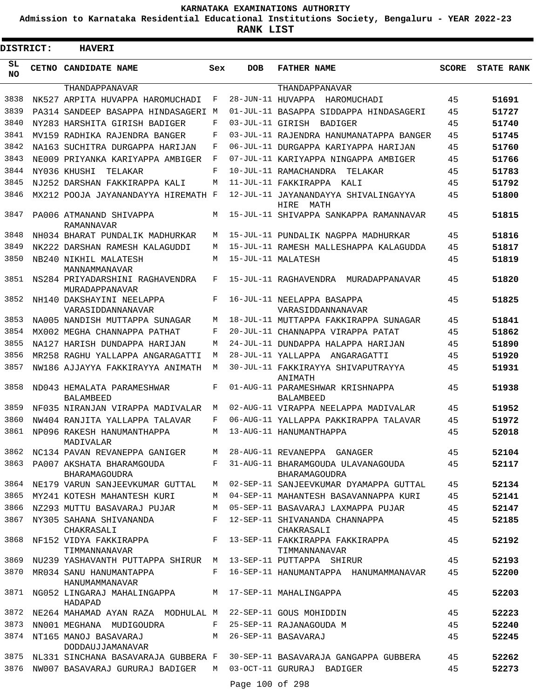**Admission to Karnataka Residential Educational Institutions Society, Bengaluru - YEAR 2022-23**

**RANK LIST**

Е

| DISTRICT: | <b>HAVERI</b>                                                |     |            |                                                              |       |                   |
|-----------|--------------------------------------------------------------|-----|------------|--------------------------------------------------------------|-------|-------------------|
| SL<br>NO. | <b>CETNO CANDIDATE NAME</b>                                  | Sex | <b>DOB</b> | <b>FATHER NAME</b>                                           | SCORE | <b>STATE RANK</b> |
|           | THANDAPPANAVAR                                               |     |            | THANDAPPANAVAR                                               |       |                   |
| 3838      | NK527 ARPITA HUVAPPA HAROMUCHADI                             | F   |            | 28-JUN-11 HUVAPPA HAROMUCHADI                                | 45    | 51691             |
| 3839      | PA314 SANDEEP BASAPPA HINDASAGERI M                          |     |            | 01-JUL-11 BASAPPA SIDDAPPA HINDASAGERI                       | 45    | 51727             |
| 3840      | NY283 HARSHITA GIRISH BADIGER                                | F   |            | 03-JUL-11 GIRISH BADIGER                                     | 45    | 51740             |
| 3841      | MV159 RADHIKA RAJENDRA BANGER                                | F   |            | 03-JUL-11 RAJENDRA HANUMANATAPPA BANGER                      | 45    | 51745             |
| 3842      | NA163 SUCHITRA DURGAPPA HARIJAN                              | F   |            | 06-JUL-11 DURGAPPA KARIYAPPA HARIJAN                         | 45    | 51760             |
| 3843      | NE009 PRIYANKA KARIYAPPA AMBIGER                             | F   |            | 07-JUL-11 KARIYAPPA NINGAPPA AMBIGER                         | 45    | 51766             |
| 3844      | NY036 KHUSHI<br>TELAKAR                                      | F   |            | 10-JUL-11 RAMACHANDRA TELAKAR                                | 45    | 51783             |
| 3845      | NJ252 DARSHAN FAKKIRAPPA KALI                                | M   |            | 11-JUL-11 FAKKIRAPPA KALI                                    | 45    | 51792             |
| 3846      | MX212 POOJA JAYANANDAYYA HIREMATH F                          |     |            | 12-JUL-11 JAYANANDAYYA SHIVALINGAYYA<br>HIRE<br>MATH         | 45    | 51800             |
| 3847      | PA006 ATMANAND SHIVAPPA<br>RAMANNAVAR                        | M   |            | 15-JUL-11 SHIVAPPA SANKAPPA RAMANNAVAR                       | 45    | 51815             |
| 3848      | NH034 BHARAT PUNDALIK MADHURKAR                              | M   |            | 15-JUL-11 PUNDALIK NAGPPA MADHURKAR                          | 45    | 51816             |
| 3849      | NK222 DARSHAN RAMESH KALAGUDDI                               | M   |            | 15-JUL-11 RAMESH MALLESHAPPA KALAGUDDA                       | 45    | 51817             |
| 3850      | NB240 NIKHIL MALATESH<br>MANNAMMANAVAR                       | M   |            | 15-JUL-11 MALATESH                                           | 45    | 51819             |
| 3851      | NS284 PRIYADARSHINI RAGHAVENDRA<br>MURADAPPANAVAR            | F   |            | 15-JUL-11 RAGHAVENDRA MURADAPPANAVAR                         | 45    | 51820             |
| 3852      | NH140 DAKSHAYINI NEELAPPA<br>VARASIDDANNANAVAR               | F   |            | 16-JUL-11 NEELAPPA BASAPPA<br>VARASIDDANNANAVAR              | 45    | 51825             |
| 3853      | NA005 NANDISH MUTTAPPA SUNAGAR                               | M   |            | 18-JUL-11 MUTTAPPA FAKKIRAPPA SUNAGAR                        | 45    | 51841             |
| 3854      | MX002 MEGHA CHANNAPPA PATHAT                                 | F   |            | 20-JUL-11 CHANNAPPA VIRAPPA PATAT                            | 45    | 51862             |
| 3855      | NA127 HARISH DUNDAPPA HARIJAN                                | M   |            | 24-JUL-11 DUNDAPPA HALAPPA HARIJAN                           | 45    | 51890             |
| 3856      | MR258 RAGHU YALLAPPA ANGARAGATTI                             | M   |            | 28-JUL-11 YALLAPPA ANGARAGATTI                               | 45    | 51920             |
| 3857      | NW186 AJJAYYA FAKKIRAYYA ANIMATH                             | M   |            | 30-JUL-11 FAKKIRAYYA SHIVAPUTRAYYA<br>ANIMATH                | 45    | 51931             |
| 3858      | ND043 HEMALATA PARAMESHWAR<br><b>BALAMBEED</b>               | F   |            | 01-AUG-11 PARAMESHWAR KRISHNAPPA<br><b>BALAMBEED</b>         | 45    | 51938             |
| 3859      | NF035 NIRANJAN VIRAPPA MADIVALAR                             | M   |            | 02-AUG-11 VIRAPPA NEELAPPA MADIVALAR                         | 45    | 51952             |
| 3860      | NW404 RANJITA YALLAPPA TALAVAR                               | F   |            | 06-AUG-11 YALLAPPA PAKKIRAPPA TALAVAR                        | 45    | 51972             |
| 3861      | NP096 RAKESH HANUMANTHAPPA<br>MADIVALAR                      | M   |            | 13-AUG-11 HANUMANTHAPPA                                      | 45    | 52018             |
|           | 3862 NC134 PAVAN REVANEPPA GANIGER                           |     |            | M 28-AUG-11 REVANEPPA GANAGER                                | 45    | 52104             |
|           | 3863 PA007 AKSHATA BHARAMGOUDA<br>BHARAMAGOUDRA              |     |            | F 31-AUG-11 BHARAMGOUDA ULAVANAGOUDA<br><b>BHARAMAGOUDRA</b> | 45    | 52117             |
|           | 3864 NE179 VARUN SANJEEVKUMAR GUTTAL                         |     |            | M 02-SEP-11 SANJEEVKUMAR DYAMAPPA GUTTAL                     | 45    | 52134             |
|           | 3865 MY241 KOTESH MAHANTESH KURI                             | M   |            | 04-SEP-11 MAHANTESH BASAVANNAPPA KURI                        | 45    | 52141             |
| 3866      | NZ293 MUTTU BASAVARAJ PUJAR                                  | M   |            | 05-SEP-11 BASAVARAJ LAXMAPPA PUJAR                           | 45    | 52147             |
| 3867      | NY305 SAHANA SHIVANANDA<br>CHAKRASALI                        |     |            | F 12-SEP-11 SHIVANANDA CHANNAPPA<br>CHAKRASALI               | 45    | 52185             |
| 3868      | NF152 VIDYA FAKKIRAPPA<br>TIMMANNANAVAR                      | F   |            | 13-SEP-11 FAKKIRAPPA FAKKIRAPPA<br>TIMMANNANAVAR             | 45    | 52192             |
| 3869      | NU239 YASHAVANTH PUTTAPPA SHIRUR M 13-SEP-11 PUTTAPPA SHIRUR |     |            |                                                              | 45    | 52193             |
|           | 3870 MR034 SANU HANUMANTAPPA<br>HANUMAMMANAVAR               |     |            | F 16-SEP-11 HANUMANTAPPA HANUMAMMANAVAR                      | 45    | 52200             |
|           | 3871 NG052 LINGARAJ MAHALINGAPPA<br>HADAPAD                  |     |            | M 17-SEP-11 MAHALINGAPPA                                     | 45    | 52203             |
| 3872      | NE264 MAHAMAD AYAN RAZA MODHULAL M 22-SEP-11 GOUS MOHIDDIN   |     |            |                                                              | 45    | 52223             |
| 3873      | NN001 MEGHANA MUDIGOUDRA                                     |     |            | F 25-SEP-11 RAJANAGOUDA M                                    | 45    | 52240             |
| 3874      | NT165 MANOJ BASAVARAJ<br>DODDAUJJAMANAVAR                    |     |            | M 26-SEP-11 BASAVARAJ                                        | 45    | 52245             |
| 3875      | NL331 SINCHANA BASAVARAJA GUBBERA F                          |     |            | 30-SEP-11 BASAVARAJA GANGAPPA GUBBERA                        | 45    | 52262             |
| 3876      | NW007 BASAVARAJ GURURAJ BADIGER M 03-OCT-11 GURURAJ BADIGER  |     |            |                                                              | 45    | 52273             |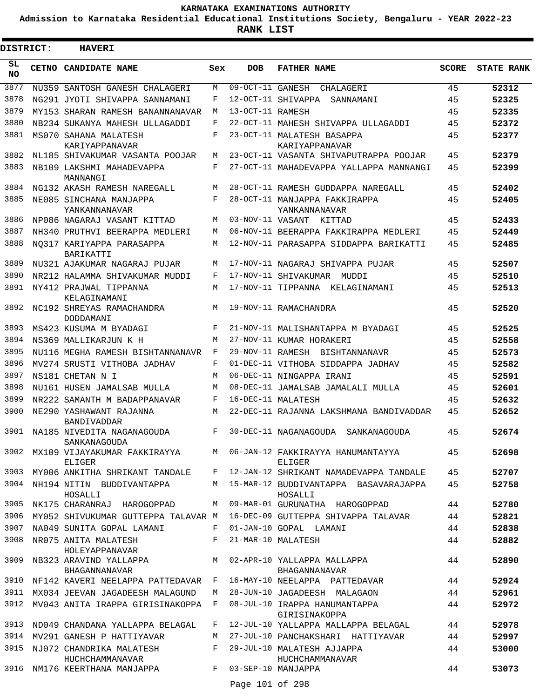**Admission to Karnataka Residential Educational Institutions Society, Bengaluru - YEAR 2022-23**

**RANK LIST**

| DISTRICT:       | <b>HAVERI</b>                                              |            |                  |                                                                            |              |                   |
|-----------------|------------------------------------------------------------|------------|------------------|----------------------------------------------------------------------------|--------------|-------------------|
| SL<br><b>NO</b> | CETNO CANDIDATE NAME                                       | Sex        | <b>DOB</b>       | <b>FATHER NAME</b>                                                         | <b>SCORE</b> | <b>STATE RANK</b> |
| 3877            | NU359 SANTOSH GANESH CHALAGERI                             | M          |                  | 09-OCT-11 GANESH CHALAGERI                                                 | 45           | 52312             |
| 3878            | NG291 JYOTI SHIVAPPA SANNAMANI                             | F          |                  | 12-OCT-11 SHIVAPPA SANNAMANI                                               | 45           | 52325             |
| 3879            | MY153 SHARAN RAMESH BANANNANAVAR                           | M          | 13-OCT-11 RAMESH |                                                                            | 45           | 52335             |
| 3880            | NB234 SUKANYA MAHESH ULLAGADDI                             | F          |                  | 22-OCT-11 MAHESH SHIVAPPA ULLAGADDI                                        | 45           | 52372             |
| 3881            | MS070 SAHANA MALATESH<br>KARIYAPPANAVAR                    | F          |                  | 23-OCT-11 MALATESH BASAPPA<br>KARIYAPPANAVAR                               | 45           | 52377             |
| 3882            | NL185 SHIVAKUMAR VASANTA POOJAR                            | M          |                  | 23-OCT-11 VASANTA SHIVAPUTRAPPA POOJAR                                     | 45           | 52379             |
| 3883            | NB109 LAKSHMI MAHADEVAPPA<br>MANNANGI                      | F          |                  | 27-OCT-11 MAHADEVAPPA YALLAPPA MANNANGI                                    | 45           | 52399             |
| 3884            | NG132 AKASH RAMESH NAREGALL                                | M          |                  | 28-OCT-11 RAMESH GUDDAPPA NAREGALL                                         | 45           | 52402             |
| 3885            | NE085 SINCHANA MANJAPPA<br>YANKANNANAVAR                   | F          |                  | 28-OCT-11 MANJAPPA FAKKIRAPPA<br>YANKANNANAVAR                             | 45           | 52405             |
| 3886            | NP086 NAGARAJ VASANT KITTAD                                | M          |                  | 03-NOV-11 VASANT KITTAD                                                    | 45           | 52433             |
| 3887            | NH340 PRUTHVI BEERAPPA MEDLERI                             | M          |                  | 06-NOV-11 BEERAPPA FAKKIRAPPA MEDLERI                                      | 45           | 52449             |
| 3888            | NO317 KARIYAPPA PARASAPPA<br>BARIKATTI                     | M          |                  | 12-NOV-11 PARASAPPA SIDDAPPA BARIKATTI                                     | 45           | 52485             |
| 3889            | NU321 AJAKUMAR NAGARAJ PUJAR                               | M          |                  | 17-NOV-11 NAGARAJ SHIVAPPA PUJAR                                           | 45           | 52507             |
| 3890            | NR212 HALAMMA SHIVAKUMAR MUDDI                             | F          |                  | 17-NOV-11 SHIVAKUMAR MUDDI                                                 | 45           | 52510             |
| 3891            | NY412 PRAJWAL TIPPANNA<br>KELAGINAMANI                     | M          |                  | 17-NOV-11 TIPPANNA KELAGINAMANI                                            | 45           | 52513             |
| 3892            | NC192 SHREYAS RAMACHANDRA<br>DODDAMANI                     | M          |                  | 19-NOV-11 RAMACHANDRA                                                      | 45           | 52520             |
| 3893            | MS423 KUSUMA M BYADAGI                                     | $_{\rm F}$ |                  | 21-NOV-11 MALISHANTAPPA M BYADAGI                                          | 45           | 52525             |
| 3894            | NS369 MALLIKARJUN K H                                      | M          |                  | 27-NOV-11 KUMAR HORAKERI                                                   | 45           | 52558             |
| 3895            | NU116 MEGHA RAMESH BISHTANNANAVR                           | F          |                  | 29-NOV-11 RAMESH BISHTANNANAVR                                             | 45           | 52573             |
| 3896            | MV274 SRUSTI VITHOBA JADHAV                                | F          |                  | 01-DEC-11 VITHOBA SIDDAPPA JADHAV                                          | 45           | 52582             |
| 3897            | NS181 CHETAN N I                                           | M          |                  | 06-DEC-11 NINGAPPA IRANI                                                   | 45           | 52591             |
| 3898            | NU161 HUSEN JAMALSAB MULLA                                 | M          |                  | 08-DEC-11 JAMALSAB JAMALALI MULLA                                          | 45           | 52601             |
| 3899            | NR222 SAMANTH M BADAPPANAVAR                               | $_{\rm F}$ |                  | 16-DEC-11 MALATESH                                                         | 45           | 52632             |
| 3900            | NE290 YASHAWANT RAJANNA<br>BANDIVADDAR                     | M          |                  | 22-DEC-11 RAJANNA LAKSHMANA BANDIVADDAR                                    | 45           | 52652             |
|                 | 3901 NA185 NIVEDITA NAGANAGOUDA<br>SANKANAGOUDA            |            |                  | F 30-DEC-11 NAGANAGOUDA SANKANAGOUDA                                       | 45           | 52674             |
| 3902            | ELIGER                                                     |            |                  | MX109 VIJAYAKUMAR FAKKIRAYYA M 06-JAN-12 FAKKIRAYYA HANUMANTAYYA<br>ELIGER | 45           | 52698             |
| 3903            | MY006 ANKITHA SHRIKANT TANDALE F                           |            |                  | 12-JAN-12 SHRIKANT NAMADEVAPPA TANDALE                                     | 45           | 52707             |
| 3904            | NH194 NITIN BUDDIVANTAPPA<br>HOSALLI                       | M          |                  | 15-MAR-12 BUDDIVANTAPPA BASAVARAJAPPA<br>HOSALLI                           | 45           | 52758             |
| 3905            | NK175 CHARANRAJ HAROGOPPAD                                 | M          |                  | 09-MAR-01 GURUNATHA HAROGOPPAD                                             | 44           | 52780             |
| 3906            | MY052 SHIVUKUMAR GUTTEPPA TALAVAR M                        |            |                  | 16-DEC-09 GUTTEPPA SHIVAPPA TALAVAR                                        | 44           | 52821             |
| 3907<br>3908    | NA049 SUNITA GOPAL LAMANI<br>NR075 ANITA MALATESH          | F<br>F     |                  | 01-JAN-10 GOPAL LAMANI<br>21-MAR-10 MALATESH                               | 44<br>44     | 52838<br>52882    |
| 3909            | HOLEYAPPANAVAR<br>NB323 ARAVIND YALLAPPA                   |            |                  | M 02-APR-10 YALLAPPA MALLAPPA                                              | 44           | 52890             |
| 3910            | <b>BHAGANNANAVAR</b><br>NF142 KAVERI NEELAPPA PATTEDAVAR F |            |                  | BHAGANNANAVAR<br>16-MAY-10 NEELAPPA PATTEDAVAR                             | 44           | 52924             |
| 3911            | MX034 JEEVAN JAGADEESH MALAGUND                            | M          |                  | 28-JUN-10 JAGADEESH MALAGAON                                               | 44           | 52961             |
| 3912            | MV043 ANITA IRAPPA GIRISINAKOPPA F                         |            |                  | 08-JUL-10 IRAPPA HANUMANTAPPA<br>GIRISINAKOPPA                             | 44           | 52972             |
| 3913            | ND049 CHANDANA YALLAPPA BELAGAL                            | F          |                  | 12-JUL-10 YALLAPPA MALLAPPA BELAGAL                                        | 44           | 52978             |
| 3914            | MV291 GANESH P HATTIYAVAR                                  | M          |                  | 27-JUL-10 PANCHAKSHARI HATTIYAVAR                                          | 44           | 52997             |
| 3915            | NJ072 CHANDRIKA MALATESH<br>HUCHCHAMMANAVAR                | F          |                  | 29-JUL-10 MALATESH AJJAPPA<br>HUCHCHAMMANAVAR                              | 44           | 53000             |
|                 | 3916 NM176 KEERTHANA MANJAPPA F                            |            |                  | 03-SEP-10 MANJAPPA                                                         | 44           | 53073             |
|                 |                                                            |            | Page 101 of 298  |                                                                            |              |                   |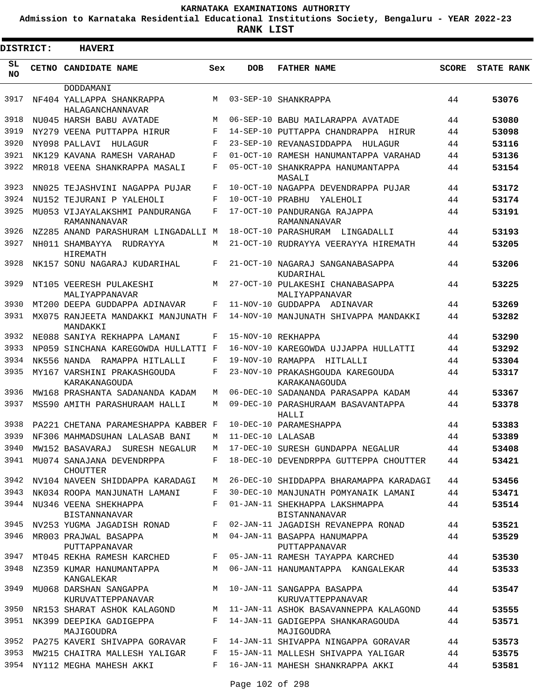**Admission to Karnataka Residential Educational Institutions Society, Bengaluru - YEAR 2022-23**

| DISTRICT:       | <b>HAVERI</b>                                   |            |                   |                                                    |              |                   |
|-----------------|-------------------------------------------------|------------|-------------------|----------------------------------------------------|--------------|-------------------|
| SL<br><b>NO</b> | CETNO CANDIDATE NAME                            | Sex        | <b>DOB</b>        | <b>FATHER NAME</b>                                 | <b>SCORE</b> | <b>STATE RANK</b> |
|                 | DODDAMANI                                       |            |                   |                                                    |              |                   |
| 3917            | NF404 YALLAPPA SHANKRAPPA<br>HALAGANCHANNAVAR   | M          |                   | 03-SEP-10 SHANKRAPPA                               | 44           | 53076             |
| 3918            | NU045 HARSH BABU AVATADE                        | M          |                   | 06-SEP-10 BABU MAILARAPPA AVATADE                  | 44           | 53080             |
| 3919            | NY279 VEENA PUTTAPPA HIRUR                      | F          |                   | 14-SEP-10 PUTTAPPA CHANDRAPPA HIRUR                | 44           | 53098             |
| 3920            | NY098 PALLAVI<br>HULAGUR                        | F          |                   | 23-SEP-10 REVANASIDDAPPA HULAGUR                   | 44           | 53116             |
| 3921            | NK129 KAVANA RAMESH VARAHAD                     | $_{\rm F}$ |                   | 01-OCT-10 RAMESH HANUMANTAPPA VARAHAD              | 44           | 53136             |
| 3922            | MR018 VEENA SHANKRAPPA MASALI                   | F          |                   | 05-OCT-10 SHANKRAPPA HANUMANTAPPA<br>MASALI        | 44           | 53154             |
| 3923            | NN025 TEJASHVINI NAGAPPA PUJAR                  | F          |                   | 10-OCT-10 NAGAPPA DEVENDRAPPA PUJAR                | 44           | 53172             |
| 3924            | NU152 TEJURANI P YALEHOLI                       | F          | 10-OCT-10 PRABHU  | YALEHOLI                                           | 44           | 53174             |
| 3925            | MU053 VIJAYALAKSHMI PANDURANGA<br>RAMANNANAVAR  | F          |                   | 17-OCT-10 PANDURANGA RAJAPPA<br>RAMANNANAVAR       | 44           | 53191             |
| 3926            | NZ285 ANAND PARASHURAM LINGADALLI M             |            |                   | 18-OCT-10 PARASHURAM LINGADALLI                    | 44           | 53193             |
| 3927            | NH011 SHAMBAYYA<br>RUDRAYYA<br>HIREMATH         | М          |                   | 21-OCT-10 RUDRAYYA VEERAYYA HIREMATH               | 44           | 53205             |
| 3928            | NK157 SONU NAGARAJ KUDARIHAL                    | F          |                   | 21-OCT-10 NAGARAJ SANGANABASAPPA<br>KUDARIHAL      | 44           | 53206             |
| 3929            | NT105 VEERESH PULAKESHI<br>MALIYAPPANAVAR       | M          |                   | 27-OCT-10 PULAKESHI CHANABASAPPA<br>MALIYAPPANAVAR | 44           | 53225             |
| 3930            | MT200 DEEPA GUDDAPPA ADINAVAR                   | F          |                   | 11-NOV-10 GUDDAPPA ADINAVAR                        | 44           | 53269             |
| 3931            | MX075 RANJEETA MANDAKKI MANJUNATH F<br>MANDAKKI |            |                   | 14-NOV-10 MANJUNATH SHIVAPPA MANDAKKI              | 44           | 53282             |
| 3932            | NE088 SANIYA REKHAPPA LAMANI                    | F          |                   | 15-NOV-10 REKHAPPA                                 | 44           | 53290             |
| 3933            | NP059 SINCHANA KAREGOWDA HULLATTI F             |            |                   | 16-NOV-10 KAREGOWDA UJJAPPA HULLATTI               | 44           | 53292             |
| 3934            | NK556 NANDA RAMAPPA HITLALLI                    | F          | 19-NOV-10 RAMAPPA | HITLALLI                                           | 44           | 53304             |
| 3935            | MY167 VARSHINI PRAKASHGOUDA<br>KARAKANAGOUDA    | F          |                   | 23-NOV-10 PRAKASHGOUDA KAREGOUDA<br>KARAKANAGOUDA  | 44           | 53317             |
| 3936            | MW168 PRASHANTA SADANANDA KADAM                 | М          |                   | 06-DEC-10 SADANANDA PARASAPPA KADAM                | 44           | 53367             |
| 3937            | MS590 AMITH PARASHURAAM HALLI                   | М          |                   | 09-DEC-10 PARASHURAAM BASAVANTAPPA<br>HALLI        | 44           | 53378             |
| 3938            | PA221 CHETANA PARAMESHAPPA KABBER F             |            |                   | 10-DEC-10 PARAMESHAPPA                             | 44           | 53383             |
| 3939            | NF306 MAHMADSUHAN LALASAB BANI                  | M          | 11-DEC-10 LALASAR |                                                    | 44           | 53389             |
| 3940            | MW152 BASAVARAJ SURESH NEGALUR                  | М          |                   | 17-DEC-10 SURESH GUNDAPPA NEGALUR                  | 44           | 53408             |
| 3941            | MU074 SANAJANA DEVENDRPPA<br><b>CHOUTTER</b>    | $F$ and    |                   | 18-DEC-10 DEVENDRPPA GUTTEPPA CHOUTTER             | 44           | 53421             |
| 3942            | NV104 NAVEEN SHIDDAPPA KARADAGI                 | M          |                   | 26-DEC-10 SHIDDAPPA BHARAMAPPA KARADAGI            | 44           | 53456             |
| 3943            | NK034 ROOPA MANJUNATH LAMANI                    | F          |                   | 30-DEC-10 MANJUNATH POMYANAIK LAMANI               | 44           | 53471             |
| 3944            | NU346 VEENA SHEKHAPPA<br>BISTANNANAVAR          | F          |                   | 01-JAN-11 SHEKHAPPA LAKSHMAPPA<br>BISTANNANAVAR    | 44           | 53514             |
| 3945            | NV253 YUGMA JAGADISH RONAD                      | F          |                   | 02-JAN-11 JAGADISH REVANEPPA RONAD                 | 44           | 53521             |
| 3946            | MR003 PRAJWAL BASAPPA<br>PUTTAPPANAVAR          | M          |                   | 04-JAN-11 BASAPPA HANUMAPPA<br>PUTTAPPANAVAR       | 44           | 53529             |
|                 | 3947 MT045 REKHA RAMESH KARCHED                 | F          |                   | 05-JAN-11 RAMESH TAYAPPA KARCHED                   | 44           | 53530             |
|                 | 3948 NZ359 KUMAR HANUMANTAPPA<br>KANGALEKAR     | M          |                   | 06-JAN-11 HANUMANTAPPA KANGALEKAR                  | 44           | 53533             |
| 3949            | MU068 DARSHAN SANGAPPA<br>KURUVATTEPPANAVAR     | M          |                   | 10-JAN-11 SANGAPPA BASAPPA<br>KURUVATTEPPANAVAR    | 44           | 53547             |
| 3950            | NR153 SHARAT ASHOK KALAGOND                     | М          |                   | 11-JAN-11 ASHOK BASAVANNEPPA KALAGOND              | 44           | 53555             |
| 3951            | NK399 DEEPIKA GADIGEPPA<br>MAJIGOUDRA           | F          |                   | 14-JAN-11 GADIGEPPA SHANKARAGOUDA<br>MAJIGOUDRA    | 44           | 53571             |
|                 | 3952 PA275 KAVERI SHIVAPPA GORAVAR              | F          |                   | 14-JAN-11 SHIVAPPA NINGAPPA GORAVAR                | 44           | 53573             |
| 3953            | MW215 CHAITRA MALLESH YALIGAR                   | F          |                   | 15-JAN-11 MALLESH SHIVAPPA YALIGAR                 | 44           | 53575             |
| 3954            | NY112 MEGHA MAHESH AKKI                         | F          |                   | 16-JAN-11 MAHESH SHANKRAPPA AKKI                   | 44           | 53581             |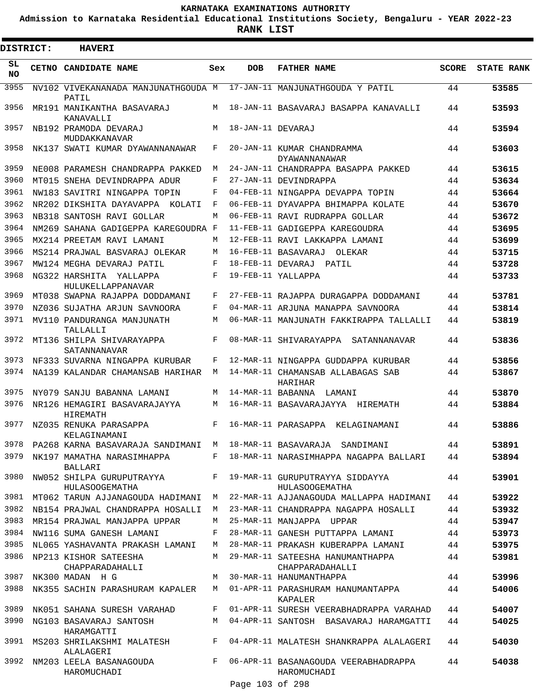**Admission to Karnataka Residential Educational Institutions Society, Bengaluru - YEAR 2022-23**

**RANK LIST**

| <b>DISTRICT:</b> | <b>HAVERI</b>                                                                 |     |                   |                                                          |              |                   |
|------------------|-------------------------------------------------------------------------------|-----|-------------------|----------------------------------------------------------|--------------|-------------------|
| SL<br><b>NO</b>  | CETNO CANDIDATE NAME                                                          | Sex | <b>DOB</b>        | <b>FATHER NAME</b>                                       | <b>SCORE</b> | <b>STATE RANK</b> |
| 3955             | NV102 VIVEKANANADA MANJUNATHGOUDA M 17-JAN-11 MANJUNATHGOUDA Y PATIL<br>PATIL |     |                   |                                                          | 44           | 53585             |
| 3956             | MR191 MANIKANTHA BASAVARAJ<br>KANAVALLI                                       | M   |                   | 18-JAN-11 BASAVARAJ BASAPPA KANAVALLI                    | 44           | 53593             |
| 3957             | NB192 PRAMODA DEVARAJ<br>MUDDAKKANAVAR                                        | M   | 18-JAN-11 DEVARAJ |                                                          | 44           | 53594             |
| 3958             | NK137 SWATI KUMAR DYAWANNANAWAR                                               | F   |                   | 20-JAN-11 KUMAR CHANDRAMMA<br><b>DYAWANNANAWAR</b>       | 44           | 53603             |
| 3959             | NE008 PARAMESH CHANDRAPPA PAKKED                                              | М   |                   | 24-JAN-11 CHANDRAPPA BASAPPA PAKKED                      | 44           | 53615             |
| 3960             | MT015 SNEHA DEVINDRAPPA ADUR                                                  | F   |                   | 27-JAN-11 DEVINDRAPPA                                    | 44           | 53634             |
| 3961             | NW183 SAVITRI NINGAPPA TOPIN                                                  | F   |                   | 04-FEB-11 NINGAPPA DEVAPPA TOPIN                         | 44           | 53664             |
| 3962             | NR202 DIKSHITA DAYAVAPPA KOLATI                                               | F   |                   | 06-FEB-11 DYAVAPPA BHIMAPPA KOLATE                       | 44           | 53670             |
| 3963             | NB318 SANTOSH RAVI GOLLAR                                                     | М   |                   | 06-FEB-11 RAVI RUDRAPPA GOLLAR                           | 44           | 53672             |
| 3964             | NM269 SAHANA GADIGEPPA KAREGOUDRA F                                           |     |                   | 11-FEB-11 GADIGEPPA KAREGOUDRA                           | 44           | 53695             |
| 3965             | MX214 PREETAM RAVI LAMANI                                                     | M   |                   | 12-FEB-11 RAVI LAKKAPPA LAMANI                           | 44           | 53699             |
| 3966             | MS214 PRAJWAL BASVARAJ OLEKAR                                                 | М   |                   | 16-FEB-11 BASAVARAJ<br>OLEKAR                            | 44           | 53715             |
| 3967             | MW124 MEGHA DEVARAJ PATIL                                                     | F   |                   | 18-FEB-11 DEVARAJ PATIL                                  | 44           | 53728             |
| 3968             | NG322 HARSHITA YALLAPPA<br><b>HULUKELLAPPANAVAR</b>                           | F   |                   | 19-FEB-11 YALLAPPA                                       | 44           | 53733             |
| 3969             | MT038 SWAPNA RAJAPPA DODDAMANI                                                | F   |                   | 27-FEB-11 RAJAPPA DURAGAPPA DODDAMANI                    | 44           | 53781             |
| 3970             | NZ036 SUJATHA ARJUN SAVNOORA                                                  | F   |                   | 04-MAR-11 ARJUNA MANAPPA SAVNOORA                        | 44           | 53814             |
| 3971             | MV110 PANDURANGA MANJUNATH<br>TALLALLI                                        | M   |                   | 06-MAR-11 MANJUNATH FAKKIRAPPA TALLALLI                  | 44           | 53819             |
| 3972             | MT136 SHILPA SHIVARAYAPPA<br>SATANNANAVAR                                     | F   |                   | 08-MAR-11 SHIVARAYAPPA SATANNANAVAR                      | 44           | 53836             |
| 3973             | NF333 SUVARNA NINGAPPA KURUBAR                                                | F   |                   | 12-MAR-11 NINGAPPA GUDDAPPA KURUBAR                      | 44           | 53856             |
| 3974             | NA139 KALANDAR CHAMANSAB HARIHAR                                              | M   |                   | 14-MAR-11 CHAMANSAB ALLABAGAS SAB<br>HARIHAR             | 44           | 53867             |
| 3975             | NY079 SANJU BABANNA LAMANI                                                    | М   |                   | 14-MAR-11 BABANNA LAMANI                                 | 44           | 53870             |
| 3976             | NR126 HEMAGIRI BASAVARAJAYYA<br>HIREMATH                                      | M   |                   | 16-MAR-11 BASAVARAJAYYA HIREMATH                         | 44           | 53884             |
| 3977             | NZ035 RENUKA PARASAPPA<br>KELAGINAMANI                                        | F   |                   | 16-MAR-11 PARASAPPA KELAGINAMANI                         | 44           | 53886             |
| 3978             | PA268 KARNA BASAVARAJA SANDIMANI M                                            |     |                   | 18-MAR-11 BASAVARAJA SANDIMANI                           | 44           | 53891             |
| 3979             | NK197 MAMATHA NARASIMHAPPA<br>BALLARI                                         | F   |                   | 18-MAR-11 NARASIMHAPPA NAGAPPA BALLARI                   | 44           | 53894             |
| 3980             | NW052 SHILPA GURUPUTRAYYA<br>HULASOOGEMATHA                                   | F   |                   | 19-MAR-11 GURUPUTRAYYA SIDDAYYA<br><b>HULASOOGEMATHA</b> | 44           | 53901             |
| 3981             | MT062 TARUN AJJANAGOUDA HADIMANI                                              | М   |                   | 22-MAR-11 AJJANAGOUDA MALLAPPA HADIMANI                  | 44           | 53922             |
| 3982             | NB154 PRAJWAL CHANDRAPPA HOSALLI                                              | M   |                   | 23-MAR-11 CHANDRAPPA NAGAPPA HOSALLI                     | 44           | 53932             |
| 3983             | MR154 PRAJWAL MANJAPPA UPPAR                                                  | М   |                   | 25-MAR-11 MANJAPPA UPPAR                                 | 44           | 53947             |
| 3984             | NW116 SUMA GANESH LAMANI                                                      | F   |                   | 28-MAR-11 GANESH PUTTAPPA LAMANI                         | 44           | 53973             |
| 3985             | NL065 YASHAVANTA PRAKASH LAMANI                                               | M   |                   | 28-MAR-11 PRAKASH KUBERAPPA LAMANI                       | 44           | 53975             |
| 3986             | NP213 KISHOR SATEESHA<br>CHAPPARADAHALLI                                      | M   |                   | 29-MAR-11 SATEESHA HANUMANTHAPPA<br>CHAPPARADAHALLI      | 44           | 53981             |
| 3987             | NK300 MADAN H G                                                               | M   |                   | 30-MAR-11 HANUMANTHAPPA                                  | 44           | 53996             |
| 3988             | NK355 SACHIN PARASHURAM KAPALER                                               | M   |                   | 01-APR-11 PARASHURAM HANUMANTAPPA<br>KAPALER             | 44           | 54006             |
| 3989             | NK051 SAHANA SURESH VARAHAD                                                   | F   |                   | 01-APR-11 SURESH VEERABHADRAPPA VARAHAD                  | 44           | 54007             |
| 3990             | NG103 BASAVARAJ SANTOSH<br>HARAMGATTI                                         | M   |                   | 04-APR-11 SANTOSH BASAVARAJ HARAMGATTI                   | 44           | 54025             |
| 3991             | MS203 SHRILAKSHMI MALATESH<br>ALALAGERI                                       | F   |                   | 04-APR-11 MALATESH SHANKRAPPA ALALAGERI                  | 44           | 54030             |
| 3992             | NM203 LEELA BASANAGOUDA<br>HAROMUCHADI                                        | F   |                   | 06-APR-11 BASANAGOUDA VEERABHADRAPPA<br>HAROMUCHADI      | 44           | 54038             |
|                  |                                                                               |     | Page 103 of 298   |                                                          |              |                   |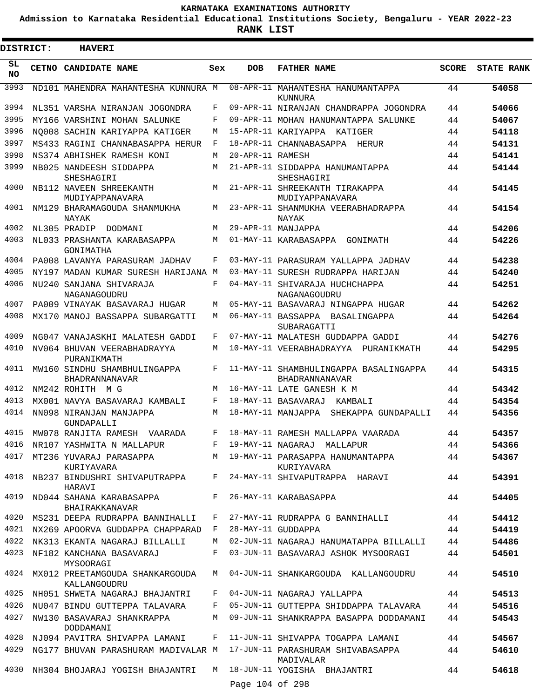**Admission to Karnataka Residential Educational Institutions Society, Bengaluru - YEAR 2022-23**

|                 | <b>DISTRICT:</b> | <b>HAVERI</b>                                                     |              |                  |                                                                                    |          |                   |
|-----------------|------------------|-------------------------------------------------------------------|--------------|------------------|------------------------------------------------------------------------------------|----------|-------------------|
| SL<br><b>NO</b> |                  | CETNO CANDIDATE NAME                                              | Sex          | <b>DOB</b>       | <b>FATHER NAME</b>                                                                 | SCORE    | <b>STATE RANK</b> |
| 3993            |                  | ND101 MAHENDRA MAHANTESHA KUNNURA M                               |              |                  | 08-APR-11 MAHANTESHA HANUMANTAPPA<br>KUNNURA                                       | 44       | 54058             |
| 3994            |                  | NL351 VARSHA NIRANJAN JOGONDRA                                    | F            |                  | 09-APR-11 NIRANJAN CHANDRAPPA JOGONDRA                                             | 44       | 54066             |
| 3995            |                  | MY166 VARSHINI MOHAN SALUNKE                                      | F            |                  | 09-APR-11 MOHAN HANUMANTAPPA SALUNKE                                               | 44       | 54067             |
| 3996            |                  | NO008 SACHIN KARIYAPPA KATIGER                                    | М            |                  | 15-APR-11 KARIYAPPA KATIGER                                                        | 44       | 54118             |
| 3997            |                  | MS433 RAGINI CHANNABASAPPA HERUR                                  | F            |                  | 18-APR-11 CHANNABASAPPA HERUR                                                      | 44       | 54131             |
| 3998            |                  | NS374 ABHISHEK RAMESH KONI                                        | М            | 20-APR-11 RAMESH |                                                                                    | 44       | 54141             |
| 3999            |                  | NB025 NANDEESH SIDDAPPA<br>SHESHAGIRI                             | M            |                  | 21-APR-11 SIDDAPPA HANUMANTAPPA<br>SHESHAGIRI                                      | 44       | 54144             |
| 4000            |                  | NB112 NAVEEN SHREEKANTH<br>MUDIYAPPANAVARA                        | M            |                  | 21-APR-11 SHREEKANTH TIRAKAPPA<br>MUDIYAPPANAVARA                                  | 44       | 54145             |
| 4001            |                  | NM129 BHARAMAGOUDA SHANMUKHA<br>NAYAK                             | М            |                  | 23-APR-11 SHANMUKHA VEERABHADRAPPA<br>NAYAK                                        | 44       | 54154             |
| 4002            |                  | NL305 PRADIP<br>DODMANI                                           | M            |                  | 29-APR-11 MANJAPPA                                                                 | 44       | 54206             |
| 4003            |                  | NL033 PRASHANTA KARABASAPPA<br>GONIMATHA                          | M            |                  | 01-MAY-11 KARABASAPPA GONIMATH                                                     | 44       | 54226             |
| 4004            |                  | PA008 LAVANYA PARASURAM JADHAV                                    | F            |                  | 03-MAY-11 PARASURAM YALLAPPA JADHAV                                                | 44       | 54238             |
| 4005            |                  | NY197 MADAN KUMAR SURESH HARIJANA M                               |              |                  | 03-MAY-11 SURESH RUDRAPPA HARIJAN                                                  | 44       | 54240             |
| 4006            |                  | NU240 SANJANA SHIVARAJA<br>NAGANAGOUDRU                           | $_{\rm F}$   |                  | 04-MAY-11 SHIVARAJA HUCHCHAPPA<br>NAGANAGOUDRU                                     | 44       | 54251             |
| 4007            |                  | PA009 VINAYAK BASAVARAJ HUGAR                                     | М            |                  | 05-MAY-11 BASAVARAJ NINGAPPA HUGAR                                                 | 44       | 54262             |
| 4008            |                  | MX170 MANOJ BASSAPPA SUBARGATTI                                   | M            |                  | 06-MAY-11 BASSAPPA BASALINGAPPA<br>SUBARAGATTI                                     | 44       | 54264             |
| 4009            |                  | NG047 VANAJASKHI MALATESH GADDI                                   | F            |                  | 07-MAY-11 MALATESH GUDDAPPA GADDI                                                  | 44       | 54276             |
| 4010            |                  | NV064 BHUVAN VEERABHADRAYYA<br>PURANIKMATH                        | М            |                  | 10-MAY-11 VEERABHADRAYYA PURANIKMATH                                               | 44       | 54295             |
| 4011            |                  | MW160 SINDHU SHAMBHULINGAPPA<br><b>BHADRANNANAVAR</b>             | F            |                  | 11-MAY-11 SHAMBHULINGAPPA BASALINGAPPA<br>BHADRANNANAVAR                           | 44       | 54315             |
| 4012            |                  | NM242 ROHITH M G                                                  | M            |                  | 16-MAY-11 LATE GANESH K M                                                          | 44       | 54342             |
| 4013            |                  | MX001 NAVYA BASAVARAJ KAMBALI                                     | F            |                  | 18-MAY-11 BASAVARAJ<br>KAMBALI                                                     | 44       | 54354             |
| 4014            |                  | NN098 NIRANJAN MANJAPPA<br>GUNDAPALLI                             | M            |                  | 18-MAY-11 MANJAPPA SHEKAPPA GUNDAPALLI                                             | 44       | 54356             |
| 4015            |                  | MW078 RANJITA RAMESH VAARADA                                      | $\mathbf{F}$ |                  | 18-MAY-11 RAMESH MALLAPPA VAARADA                                                  | 44       | 54357             |
| 4016<br>4017    |                  | NR107 YASHWITA N MALLAPUR         F   19-MAY-11 NAGARAJ  MALLAPUR |              |                  | MT236 YUVARAJ PARASAPPA M 19-MAY-11 PARASAPPA HANUMANTAPPA                         | 44<br>44 | 54366<br>54367    |
|                 |                  | KURIYAVARA                                                        |              |                  | KURIYAVARA                                                                         |          |                   |
| 4018            |                  | NB237 BINDUSHRI SHIVAPUTRAPPA<br>HARAVI                           | $F -$        |                  | 24-MAY-11 SHIVAPUTRAPPA HARAVI                                                     | 44       | 54391             |
| 4019            |                  | ND044 SAHANA KARABASAPPA<br>BHAIRAKKANAVAR                        |              |                  | F 26-MAY-11 KARABASAPPA                                                            | 44       | 54405             |
| 4020            |                  | MS231 DEEPA RUDRAPPA BANNIHALLI                                   | F            |                  | 27-MAY-11 RUDRAPPA G BANNIHALLI                                                    | 44       | 54412             |
| 4021            |                  | NX269 APOORVA GUDDAPPA CHAPPARAD F                                |              |                  | 28-MAY-11 GUDDAPPA                                                                 | 44       | 54419             |
| 4022            |                  | NK313 EKANTA NAGARAJ BILLALLI                                     | M            |                  | 02-JUN-11 NAGARAJ HANUMATAPPA BILLALLI                                             | 44       | 54486             |
| 4023            |                  | NF182 KANCHANA BASAVARAJ<br>MYSOORAGI                             | F            |                  | 03-JUN-11 BASAVARAJ ASHOK MYSOORAGI                                                | 44       | 54501             |
| 4024            |                  | MX012 PREETAMGOUDA SHANKARGOUDA<br>KALLANGOUDRU                   | M            |                  | 04-JUN-11 SHANKARGOUDA KALLANGOUDRU                                                | 44       | 54510             |
| 4025            |                  | NH051 SHWETA NAGARAJ BHAJANTRI                                    | F            |                  | 04-JUN-11 NAGARAJ YALLAPPA                                                         | 44       | 54513             |
| 4026            |                  | NU047 BINDU GUTTEPPA TALAVARA                                     | F            |                  | 05-JUN-11 GUTTEPPA SHIDDAPPA TALAVARA                                              | 44       | 54516             |
| 4027            |                  | NW130 BASAVARAJ SHANKRAPPA M<br>DODDAMANI                         |              |                  | 09-JUN-11 SHANKRAPPA BASAPPA DODDAMANI                                             | 44       | 54543             |
| 4028            |                  | NJ094 PAVITRA SHIVAPPA LAMANI                                     | F            |                  | 11-JUN-11 SHIVAPPA TOGAPPA LAMANI                                                  | 44       | 54567             |
| 4029            |                  |                                                                   |              |                  | NG177 BHUVAN PARASHURAM MADIVALAR M 17-JUN-11 PARASHURAM SHIVABASAPPA<br>MADIVALAR | 44       | 54610             |
| 4030            |                  |                                                                   |              |                  | NH304 BHOJARAJ YOGISH BHAJANTRI    M   18-JUN-11 YOGISHA   BHAJANTRI               | 44       | 54618             |
|                 |                  |                                                                   |              | Page 104 of 298  |                                                                                    |          |                   |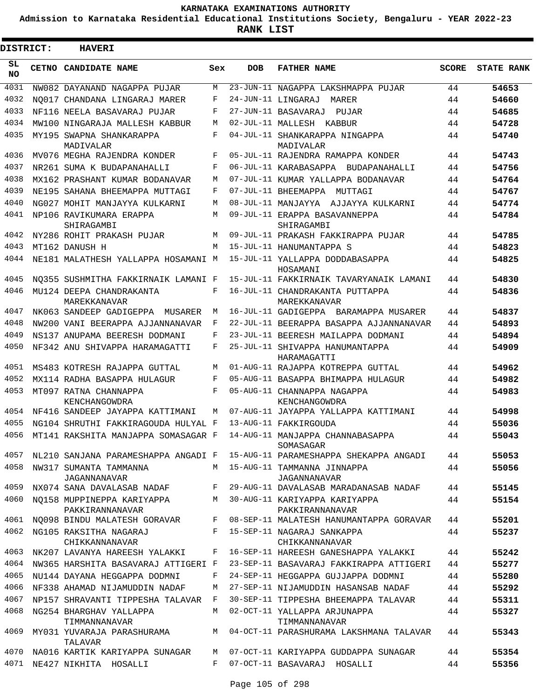**Admission to Karnataka Residential Educational Institutions Society, Bengaluru - YEAR 2022-23**

ı

| <b>DISTRICT:</b> | <b>HAVERI</b>                                 |              |            |                                                  |              |                   |
|------------------|-----------------------------------------------|--------------|------------|--------------------------------------------------|--------------|-------------------|
| SL.<br>NO.       | <b>CETNO CANDIDATE NAME</b>                   | Sex          | <b>DOB</b> | <b>FATHER NAME</b>                               | <b>SCORE</b> | <b>STATE RANK</b> |
| 4031             | NW082 DAYANAND NAGAPPA PUJAR                  | M            |            | 23-JUN-11 NAGAPPA LAKSHMAPPA PUJAR               | 44           | 54653             |
| 4032             | NO017 CHANDANA LINGARAJ MARER                 | F            |            | 24-JUN-11 LINGARAJ<br>MARER                      | 44           | 54660             |
| 4033             | NF116 NEELA BASAVARAJ PUJAR                   | F            |            | 27-JUN-11 BASAVARAJ<br>PUJAR                     | 44           | 54685             |
| 4034             | MW100 NINGARAJA MALLESH KABBUR                | M            |            | 02-JUL-11 MALLESH KABBUR                         | 44           | 54728             |
| 4035             | MY195 SWAPNA SHANKARAPPA<br>MADIVALAR         | F            |            | 04-JUL-11 SHANKARAPPA NINGAPPA<br>MADIVALAR      | 44           | 54740             |
| 4036             | MV076 MEGHA RAJENDRA KONDER                   | F            |            | 05-JUL-11 RAJENDRA RAMAPPA KONDER                | 44           | 54743             |
| 4037             | NR261 SUMA K BUDAPANAHALLI                    | F            |            | 06-JUL-11 KARABASAPPA BUDAPANAHALLI              | 44           | 54756             |
| 4038             | MX162 PRASHANT KUMAR BODANAVAR                | M            |            | 07-JUL-11 KUMAR YALLAPPA BODANAVAR               | 44           | 54764             |
| 4039             | NE195 SAHANA BHEEMAPPA MUTTAGI                | F            |            | 07-JUL-11 BHEEMAPPA MUTTAGI                      | 44           | 54767             |
| 4040             | NG027 MOHIT MANJAYYA KULKARNI                 | M            |            | 08-JUL-11 MANJAYYA AJJAYYA KULKARNI              | 44           | 54774             |
| 4041             | NP106 RAVIKUMARA ERAPPA<br>SHIRAGAMBI         | M            |            | 09-JUL-11 ERAPPA BASAVANNEPPA<br>SHIRAGAMBI      | 44           | 54784             |
| 4042             | NY286 ROHIT PRAKASH PUJAR                     | M            |            | 09-JUL-11 PRAKASH FAKKIRAPPA PUJAR               | 44           | 54785             |
| 4043             | MT162 DANUSH H                                | M            |            | 15-JUL-11 HANUMANTAPPA S                         | 44           | 54823             |
| 4044             | NE181 MALATHESH YALLAPPA HOSAMANI M           |              |            | 15-JUL-11 YALLAPPA DODDARASAPPA<br>HOSAMANI      | 44           | 54825             |
| 4045             | NO355 SUSHMITHA FAKKIRNAIK LAMANI F           |              |            | 15-JUL-11 FAKKIRNAIK TAVARYANAIK LAMANI          | 44           | 54830             |
| 4046             | MU124 DEEPA CHANDRAKANTA<br>MAREKKANAVAR      | F            |            | 16-JUL-11 CHANDRAKANTA PUTTAPPA<br>MAREKKANAVAR  | 44           | 54836             |
| 4047             | NK063 SANDEEP GADIGEPPA MUSARER               | M            |            | 16-JUL-11 GADIGEPPA BARAMAPPA MUSARER            | 44           | 54837             |
| 4048             | NW200 VANI BEERAPPA AJJANNANAVAR              | F            |            | 22-JUL-11 BEERAPPA BASAPPA AJJANNANAVAR          | 44           | 54893             |
| 4049             | NS137 ANUPAMA BEERESH DODMANI                 | F            |            | 23-JUL-11 BEERESH MAILAPPA DODMANI               | 44           | 54894             |
| 4050             | NF342 ANU SHIVAPPA HARAMAGATTI                | F            |            | 25-JUL-11 SHIVAPPA HANUMANTAPPA<br>HARAMAGATTI   | 44           | 54909             |
| 4051             | MS483 KOTRESH RAJAPPA GUTTAL                  | M            |            | 01-AUG-11 RAJAPPA KOTREPPA GUTTAL                | 44           | 54962             |
| 4052             | MX114 RADHA BASAPPA HULAGUR                   | F            |            | 05-AUG-11 BASAPPA BHIMAPPA HULAGUR               | 44           | 54982             |
| 4053             | MT097 RATNA CHANNAPPA<br>KENCHANGOWDRA        | F            |            | 05-AUG-11 CHANNAPPA NAGAPPA<br>KENCHANGOWDRA     | 44           | 54983             |
| 4054             | NF416 SANDEEP JAYAPPA KATTIMANI               | M            |            | 07-AUG-11 JAYAPPA YALLAPPA KATTIMANI             | 44           | 54998             |
| 4055             | NG104 SHRUTHI FAKKIRAGOUDA HULYAL F           |              |            | 13-AUG-11 FAKKIRGOUDA                            | 44           | 55036             |
| 4056             | MT141 RAKSHITA MANJAPPA SOMASAGAR F           |              |            | 14-AUG-11 MANJAPPA CHANNABASAPPA<br>SOMASAGAR    | 44           | 55043             |
| 4057             | NL210 SANJANA PARAMESHAPPA ANGADI F           |              |            | 15-AUG-11 PARAMESHAPPA SHEKAPPA ANGADI           | 44           | 55053             |
| 4058             | NW317 SUMANTA TAMMANNA<br>JAGANNANAVAR        | M            |            | 15-AUG-11 TAMMANNA JINNAPPA<br>JAGANNANAVAR      | 44           | 55056             |
| 4059             | NX074 SANA DAVALASAB NADAF                    | F            |            | 29-AUG-11 DAVALASAB MARADANASAB NADAF            | 44           | 55145             |
| 4060             | NO158 MUPPINEPPA KARIYAPPA<br>PAKKIRANNANAVAR | M            |            | 30-AUG-11 KARIYAPPA KARIYAPPA<br>PAKKIRANNANAVAR | 44           | 55154             |
| 4061             | NO098 BINDU MALATESH GORAVAR                  | F            |            | 08-SEP-11 MALATESH HANUMANTAPPA GORAVAR          | 44           | 55201             |
| 4062             | NG105 RAKSITHA NAGARAJ<br>CHIKKANNANAVAR      | F            |            | 15-SEP-11 NAGARAJ SANKAPPA<br>CHIKKANNANAVAR     | 44           | 55237             |
| 4063             | NK207 LAVANYA HAREESH YALAKKI                 | F            |            | 16-SEP-11 HAREESH GANESHAPPA YALAKKI             | 44           | 55242             |
| 4064             | NW365 HARSHITA BASAVARAJ ATTIGERI F           |              |            | 23-SEP-11 BASAVARAJ FAKKIRAPPA ATTIGERI          | 44           | 55277             |
| 4065             | NU144 DAYANA HEGGAPPA DODMNI                  | F            |            | 24-SEP-11 HEGGAPPA GUJJAPPA DODMNI               | 44           | 55280             |
| 4066             | NF338 AHAMAD NIJAMUDDIN NADAF                 | М            |            | 27-SEP-11 NIJAMUDDIN HASANSAB NADAF              | 44           | 55292             |
| 4067             | NP157 SHRAVANTI TIPPESHA TALAVAR              | $\mathbf{F}$ |            | 30-SEP-11 TIPPESHA BHEEMAPPA TALAVAR             | 44           | 55311             |
| 4068             | NG254 BHARGHAV YALLAPPA<br>TIMMANNANAVAR      | M            |            | 02-OCT-11 YALLAPPA ARJUNAPPA<br>TIMMANNANAVAR    | 44           | 55327             |
| 4069             | MY031 YUVARAJA PARASHURAMA<br>TALAVAR         |              |            | M 04-OCT-11 PARASHURAMA LAKSHMANA TALAVAR        | 44           | 55343             |
| 4070             | NA016 KARTIK KARIYAPPA SUNAGAR                | M            |            | 07-OCT-11 KARIYAPPA GUDDAPPA SUNAGAR             | 44           | 55354             |
| 4071             | NE427 NIKHITA HOSALLI                         | F            |            | 07-OCT-11 BASAVARAJ HOSALLI                      | 44           | 55356             |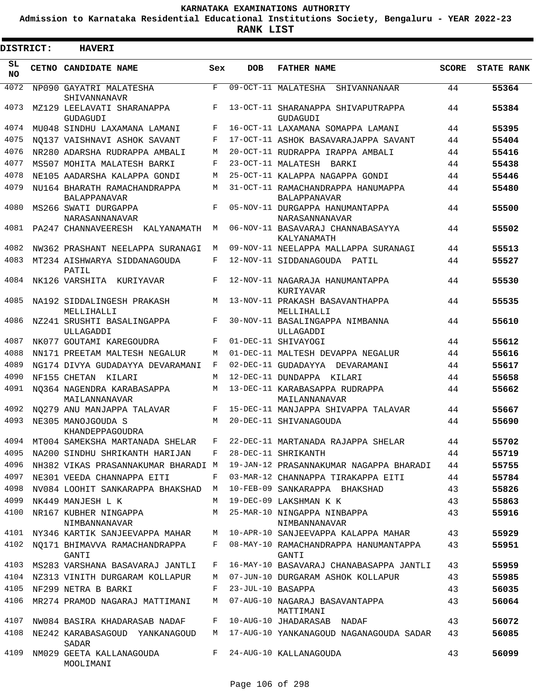**Admission to Karnataka Residential Educational Institutions Society, Bengaluru - YEAR 2022-23**

**RANK LIST**

ı

| DISTRICT:       | <b>HAVERI</b>                                       |         |                   |                                                           |              |                   |
|-----------------|-----------------------------------------------------|---------|-------------------|-----------------------------------------------------------|--------------|-------------------|
| SL<br><b>NO</b> | CETNO CANDIDATE NAME                                | Sex     | <b>DOB</b>        | <b>FATHER NAME</b>                                        | <b>SCORE</b> | <b>STATE RANK</b> |
| 4072            | NP090 GAYATRI MALATESHA<br>SHIVANNANAVR             | F       |                   | 09-OCT-11 MALATESHA SHIVANNANAAR                          | 44           | 55364             |
| 4073            | MZ129 LEELAVATI SHARANAPPA<br>GUDAGUDI              | F       |                   | 13-OCT-11 SHARANAPPA SHIVAPUTRAPPA<br>GUDAGUDI            | 44           | 55384             |
| 4074            | MU048 SINDHU LAXAMANA LAMANI                        | F       |                   | 16-OCT-11 LAXAMANA SOMAPPA LAMANI                         | 44           | 55395             |
| 4075            | NO137 VAISHNAVI ASHOK SAVANT                        | F       |                   | 17-OCT-11 ASHOK BASAVARAJAPPA SAVANT                      | 44           | 55404             |
| 4076            | NR280 ADARSHA RUDRAPPA AMBALI                       | M       |                   | 20-OCT-11 RUDRAPPA IRAPPA AMBALI                          | 44           | 55416             |
| 4077            | MS507 MOHITA MALATESH BARKI                         | F       |                   | 23-OCT-11 MALATESH BARKI                                  | 44           | 55438             |
| 4078            | NE105 AADARSHA KALAPPA GONDI                        | M       |                   | 25-OCT-11 KALAPPA NAGAPPA GONDI                           | 44           | 55446             |
| 4079            | NU164 BHARATH RAMACHANDRAPPA<br><b>BALAPPANAVAR</b> | M       |                   | 31-OCT-11 RAMACHANDRAPPA HANUMAPPA<br><b>BALAPPANAVAR</b> | 44           | 55480             |
| 4080            | MS266 SWATI DURGAPPA<br>NARASANNANAVAR              | F       |                   | 05-NOV-11 DURGAPPA HANUMANTAPPA<br>NARASANNANAVAR         | 44           | 55500             |
| 4081            | PA247 CHANNAVEERESH KALYANAMATH                     | M       |                   | 06-NOV-11 BASAVARAJ CHANNABASAYYA<br>KALYANAMATH          | 44           | 55502             |
| 4082            | NW362 PRASHANT NEELAPPA SURANAGI                    | М       |                   | 09-NOV-11 NEELAPPA MALLAPPA SURANAGI                      | 44           | 55513             |
| 4083            | MT234 AISHWARYA SIDDANAGOUDA<br>PATIL               | F       |                   | 12-NOV-11 SIDDANAGOUDA PATIL                              | 44           | 55527             |
| 4084            | NK126 VARSHITA KURIYAVAR                            | F       |                   | 12-NOV-11 NAGARAJA HANUMANTAPPA<br>KURIYAVAR              | 44           | 55530             |
| 4085            | NA192 SIDDALINGESH PRAKASH<br>MELLIHALLI            | M       |                   | 13-NOV-11 PRAKASH BASAVANTHAPPA<br>MELLIHALLI             | 44           | 55535             |
| 4086            | NZ241 SRUSHTI BASALINGAPPA<br>ULLAGADDI             | F       |                   | 30-NOV-11 BASALINGAPPA NIMBANNA<br>ULLAGADDI              | 44           | 55610             |
| 4087            | NK077 GOUTAMI KAREGOUDRA                            | F       |                   | 01-DEC-11 SHIVAYOGI                                       | 44           | 55612             |
| 4088            | NN171 PREETAM MALTESH NEGALUR                       | M       |                   | 01-DEC-11 MALTESH DEVAPPA NEGALUR                         | 44           | 55616             |
| 4089            | NG174 DIVYA GUDADAYYA DEVARAMANI                    | F       |                   | 02-DEC-11 GUDADAYYA DEVARAMANI                            | 44           | 55617             |
| 4090            | NF155 CHETAN KILARI                                 | М       |                   | 12-DEC-11 DUNDAPPA KILARI                                 | 44           | 55658             |
| 4091            | NO364 NAGENDRA KARABASAPPA<br>MAILANNANAVAR         | M       |                   | 13-DEC-11 KARABASAPPA RUDRAPPA<br>MAILANNANAVAR           | 44           | 55662             |
| 4092            | NO279 ANU MANJAPPA TALAVAR                          | F       |                   | 15-DEC-11 MANJAPPA SHIVAPPA TALAVAR                       | 44           | 55667             |
| 4093            | NE305 MANOJGOUDA S<br>KHANDEPPAGOUDRA               | M       |                   | 20-DEC-11 SHIVANAGOUDA                                    | 44           | 55690             |
|                 | 4094 MT004 SAMEKSHA MARTANADA SHELAR                | $F$ and |                   | 22-DEC-11 MARTANADA RAJAPPA SHELAR                        | 44           | 55702             |
| 4095            | NA200 SINDHU SHRIKANTH HARIJAN                      | F       |                   | 28-DEC-11 SHRIKANTH                                       | 44           | 55719             |
| 4096            | NH382 VIKAS PRASANNAKUMAR BHARADI M                 |         |                   | 19-JAN-12 PRASANNAKUMAR NAGAPPA BHARADI                   | 44           | 55755             |
| 4097            | NE301 VEEDA CHANNAPPA EITI                          | F       |                   | 03-MAR-12 CHANNAPPA TIRAKAPPA EITI                        | 44           | 55784             |
| 4098            | NV084 LOOHIT SANKARAPPA BHAKSHAD                    | M       |                   | 10-FEB-09 SANKARAPPA BHAKSHAD                             | 43           | 55826             |
| 4099            | NK449 MANJESH L K                                   | М       |                   | 19-DEC-09 LAKSHMAN K K                                    | 43           | 55863             |
| 4100            | NR167 KUBHER NINGAPPA<br>NIMBANNANAVAR              | M       |                   | 25-MAR-10 NINGAPPA NINBAPPA<br>NIMBANNANAVAR              | 43           | 55916             |
| 4101            | NY346 KARTIK SANJEEVAPPA MAHAR                      | M       |                   | 10-APR-10 SANJEEVAPPA KALAPPA MAHAR                       | 43           | 55929             |
| 4102            | NO171 BHIMAVVA RAMACHANDRAPPA<br>GANTI              | F       |                   | 08-MAY-10 RAMACHANDRAPPA HANUMANTAPPA<br>GANTI            | 43           | 55951             |
| 4103            | MS283 VARSHANA BASAVARAJ JANTLI                     | F       |                   | 16-MAY-10 BASAVARAJ CHANABASAPPA JANTLI                   | 43           | 55959             |
|                 | 4104 NZ313 VINITH DURGARAM KOLLAPUR                 | M       |                   | 07-JUN-10 DURGARAM ASHOK KOLLAPUR                         | 43           | 55985             |
| 4105            | NF299 NETRA B BARKI                                 | F       | 23-JUL-10 BASAPPA |                                                           | 43           | 56035             |
| 4106            | MR274 PRAMOD NAGARAJ MATTIMANI                      | M       |                   | 07-AUG-10 NAGARAJ BASAVANTAPPA<br>MATTIMANI               | 43           | 56064             |
| 4107            | NW084 BASIRA KHADARASAB NADAF                       | F       |                   | 10-AUG-10 JHADARASAB NADAF                                | 43           | 56072             |
| 4108            | NE242 KARABASAGOUD YANKANAGOUD<br>SADAR             | M       |                   | 17-AUG-10 YANKANAGOUD NAGANAGOUDA SADAR                   | 43           | 56085             |
| 4109            | NM029 GEETA KALLANAGOUDA<br>MOOLIMANI               |         |                   | F 24-AUG-10 KALLANAGOUDA                                  | 43           | 56099             |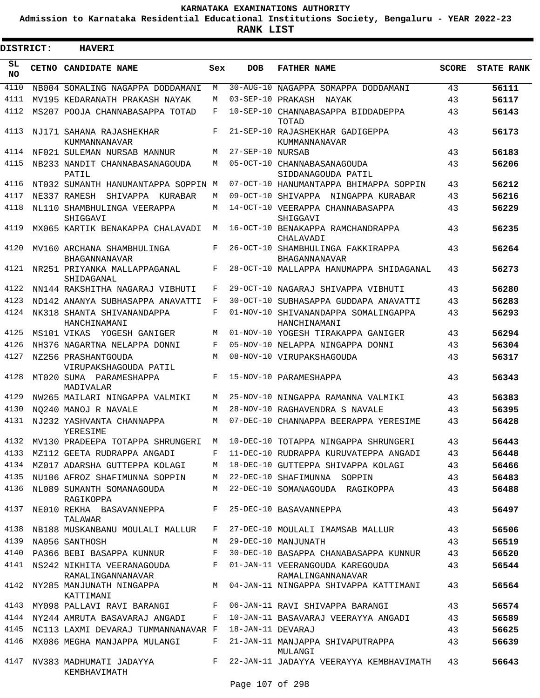**Admission to Karnataka Residential Educational Institutions Society, Bengaluru - YEAR 2022-23**

**RANK LIST**

| DISTRICT:       |              | <b>HAVERI</b>                                                 |            |                   |                                                      |              |                   |
|-----------------|--------------|---------------------------------------------------------------|------------|-------------------|------------------------------------------------------|--------------|-------------------|
| SL<br><b>NO</b> | <b>CETNO</b> | <b>CANDIDATE NAME</b>                                         | Sex        | <b>DOB</b>        | <b>FATHER NAME</b>                                   | <b>SCORE</b> | <b>STATE RANK</b> |
| 4110            |              | NB004 SOMALING NAGAPPA DODDAMANI                              | М          |                   | 30-AUG-10 NAGAPPA SOMAPPA DODDAMANI                  | 43           | 56111             |
| 4111            |              | MV195 KEDARANATH PRAKASH NAYAK                                | М          |                   | 03-SEP-10 PRAKASH NAYAK                              | 43           | 56117             |
| 4112            |              | MS207 POOJA CHANNABASAPPA TOTAD                               | F          |                   | 10-SEP-10 CHANNABASAPPA BIDDADEPPA<br>TOTAD          | 43           | 56143             |
| 4113            |              | NJ171 SAHANA RAJASHEKHAR<br>KUMMANNANAVAR                     | F          |                   | 21-SEP-10 RAJASHEKHAR GADIGEPPA<br>KUMMANNANAVAR     | 43           | 56173             |
| 4114            |              | NF021 SULEMAN NURSAB MANNUR                                   | M          | 27-SEP-10 NURSAB  |                                                      | 43           | 56183             |
| 4115            |              | NB233 NANDIT CHANNABASANAGOUDA<br>PATIL                       | M          |                   | 05-OCT-10 CHANNABASANAGOUDA<br>SIDDANAGOUDA PATIL    | 43           | 56206             |
| 4116            |              | NT032 SUMANTH HANUMANTAPPA SOPPIN M                           |            |                   | 07-OCT-10 HANUMANTAPPA BHIMAPPA SOPPIN               | 43           | 56212             |
| 4117            |              | NE337 RAMESH<br>SHIVAPPA KURABAR                              | М          |                   | 09-OCT-10 SHIVAPPA NINGAPPA KURABAR                  | 43           | 56216             |
| 4118            |              | NL110 SHAMBHULINGA VEERAPPA<br>SHIGGAVI                       | М          |                   | 14-OCT-10 VEERAPPA CHANNABASAPPA<br>SHIGGAVI         | 43           | 56229             |
| 4119            |              | MX065 KARTIK BENAKAPPA CHALAVADI                              | M          |                   | 16-OCT-10 BENAKAPPA RAMCHANDRAPPA<br>CHALAVADI       | 43           | 56235             |
| 4120            |              | MV160 ARCHANA SHAMBHULINGA<br>BHAGANNANAVAR                   | $_{\rm F}$ |                   | 26-OCT-10 SHAMBHULINGA FAKKIRAPPA<br>BHAGANNANAVAR   | 43           | 56264             |
| 4121            |              | NR251 PRIYANKA MALLAPPAGANAL<br>SHIDAGANAL                    | F          |                   | 28-OCT-10 MALLAPPA HANUMAPPA SHIDAGANAL              | 43           | 56273             |
| 4122            |              | NN144 RAKSHITHA NAGARAJ VIBHUTI                               | F          |                   | 29-OCT-10 NAGARAJ SHIVAPPA VIBHUTI                   | 43           | 56280             |
| 4123            |              | ND142 ANANYA SUBHASAPPA ANAVATTI                              | F          |                   | 30-OCT-10 SUBHASAPPA GUDDAPA ANAVATTI                | 43           | 56283             |
| 4124            |              | NK318 SHANTA SHIVANANDAPPA<br>HANCHINAMANI                    | F          |                   | 01-NOV-10 SHIVANANDAPPA SOMALINGAPPA<br>HANCHINAMANI | 43           | 56293             |
| 4125            |              | MS101 VIKAS<br>YOGESH GANIGER                                 | M          |                   | 01-NOV-10 YOGESH TIRAKAPPA GANIGER                   | 43           | 56294             |
| 4126            |              | NH376 NAGARTNA NELAPPA DONNI                                  | F          |                   | 05-NOV-10 NELAPPA NINGAPPA DONNI                     | 43           | 56304             |
| 4127            |              | NZ256 PRASHANTGOUDA                                           | M          |                   | 08-NOV-10 VIRUPAKSHAGOUDA                            | 43           | 56317             |
| 4128            |              | VIRUPAKSHAGOUDA PATIL<br>MT020 SUMA PARAMESHAPPA<br>MADIVALAR | F          |                   | 15-NOV-10 PARAMESHAPPA                               | 43           | 56343             |
| 4129            |              | NW265 MAILARI NINGAPPA VALMIKI                                | М          |                   | 25-NOV-10 NINGAPPA RAMANNA VALMIKI                   | 43           | 56383             |
| 4130            |              | NO240 MANOJ R NAVALE                                          | М          |                   | 28-NOV-10 RAGHAVENDRA S NAVALE                       | 43           | 56395             |
| 4131            |              | NJ232 YASHVANTA CHANNAPPA<br>YERESIME                         | M          |                   | 07-DEC-10 CHANNAPPA BEERAPPA YERESIME                | 43           | 56428             |
| 4132            |              | MV130 PRADEEPA TOTAPPA SHRUNGERI                              | M          |                   | 10-DEC-10 TOTAPPA NINGAPPA SHRUNGERI                 | 43           | 56443             |
|                 |              | 4133 MZ112 GEETA RUDRAPPA ANGADI                              | F          |                   | 11-DEC-10 RUDRAPPA KURUVATEPPA ANGADI                | 43           | 56448             |
|                 |              | 4134 MZ017 ADARSHA GUTTEPPA KOLAGI                            | М          |                   | 18-DEC-10 GUTTEPPA SHIVAPPA KOLAGI                   | 43           | 56466             |
| 4135            |              | NU106 AFROZ SHAFIMUNNA SOPPIN                                 | M          |                   | 22-DEC-10 SHAFIMUNNA SOPPIN                          | 43           | 56483             |
| 4136            |              | NL089 SUMANTH SOMANAGOUDA<br>RAGIKOPPA                        | М          |                   | 22-DEC-10 SOMANAGOUDA RAGIKOPPA                      | 43           | 56488             |
| 4137            |              | NE010 REKHA BASAVANNEPPA<br>TALAWAR                           | F          |                   | 25-DEC-10 BASAVANNEPPA                               | 43           | 56497             |
| 4138            |              | NB188 MUSKANBANU MOULALI MALLUR                               | F          |                   | 27-DEC-10 MOULALI IMAMSAB MALLUR                     | 43           | 56506             |
| 4139            |              | NA056 SANTHOSH                                                | M          |                   | 29-DEC-10 MANJUNATH                                  | 43           | 56519             |
|                 |              | 4140 PA366 BEBI BASAPPA KUNNUR                                | F          |                   | 30-DEC-10 BASAPPA CHANABASAPPA KUNNUR                | 43           | 56520             |
|                 |              | 4141 NS242 NIKHITA VEERANAGOUDA<br>RAMALINGANNANAVAR          | F          |                   | 01-JAN-11 VEERANGOUDA KAREGOUDA<br>RAMALINGANNANAVAR | 43           | 56544             |
| 4142            |              | NY285 MANJUNATH NINGAPPA<br>KATTIMANI                         | M          |                   | 04-JAN-11 NINGAPPA SHIVAPPA KATTIMANI                | 43           | 56564             |
|                 |              | 4143 MY098 PALLAVI RAVI BARANGI                               | F          |                   | 06-JAN-11 RAVI SHIVAPPA BARANGI                      | 43           | 56574             |
|                 |              | 4144 NY244 AMRUTA BASAVARAJ ANGADI                            | F          |                   | 10-JAN-11 BASAVARAJ VEERAYYA ANGADI                  | 43           | 56589             |
| 4145            |              | NC113 LAXMI DEVARAJ TUMMANNANAVAR F                           |            | 18-JAN-11 DEVARAJ |                                                      | 43           | 56625             |
| 4146            |              | MX086 MEGHA MANJAPPA MULANGI                                  | F          |                   | 21-JAN-11 MANJAPPA SHIVAPUTRAPPA<br>MULANGI          | 43           | 56639             |
|                 |              | 4147 NV383 MADHUMATI JADAYYA<br>KEMBHAVIMATH                  | $F$ –      |                   | 22-JAN-11 JADAYYA VEERAYYA KEMBHAVIMATH              | 43           | 56643             |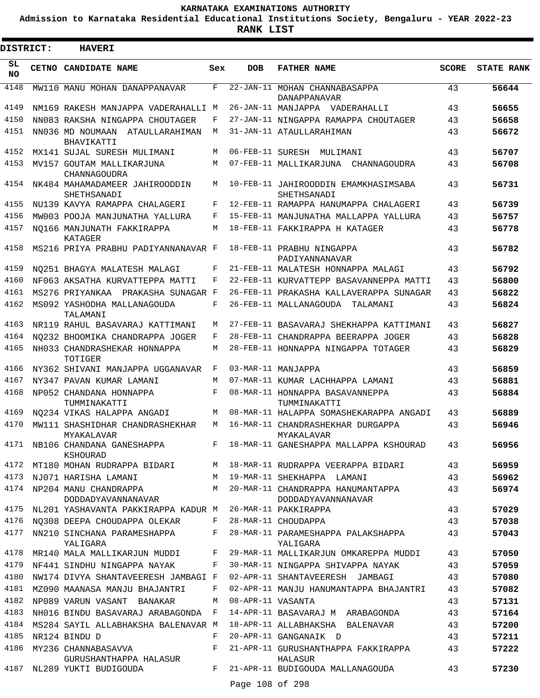**Admission to Karnataka Residential Educational Institutions Society, Bengaluru - YEAR 2022-23**

.

**RANK LIST**

| <b>DISTRICT:</b> |  | <b>HAVERI</b>                                      |     |                   |                                                         |              |                   |
|------------------|--|----------------------------------------------------|-----|-------------------|---------------------------------------------------------|--------------|-------------------|
| SL<br><b>NO</b>  |  | CETNO CANDIDATE NAME                               | Sex | <b>DOB</b>        | <b>FATHER NAME</b>                                      | <b>SCORE</b> | <b>STATE RANK</b> |
| 4148             |  | MW110 MANU MOHAN DANAPPANAVAR                      | F   |                   | 22-JAN-11 MOHAN CHANNABASAPPA<br>DANAPPANAVAR           | 43           | 56644             |
| 4149             |  | NM169 RAKESH MANJAPPA VADERAHALLI M                |     |                   | 26-JAN-11 MANJAPPA VADERAHALLI                          | 43           | 56655             |
| 4150             |  | NN083 RAKSHA NINGAPPA CHOUTAGER                    | F   |                   | 27-JAN-11 NINGAPPA RAMAPPA CHOUTAGER                    | 43           | 56658             |
| 4151             |  | NN036 MD NOUMAAN ATAULLARAHIMAN<br>BHAVIKATTI      | M   |                   | 31-JAN-11 ATAULLARAHIMAN                                | 43           | 56672             |
| 4152             |  | MX141 SUJAL SURESH MULIMANI                        | М   |                   | 06-FEB-11 SURESH MULIMANI                               | 43           | 56707             |
| 4153             |  | MV157 GOUTAM MALLIKARJUNA<br>CHANNAGOUDRA          | M   |                   | 07-FEB-11 MALLIKARJUNA CHANNAGOUDRA                     | 43           | 56708             |
| 4154             |  | NK484 MAHAMADAMEER JAHIROODDIN<br>SHETHSANADI      | М   |                   | 10-FEB-11 JAHIROODDIN EMAMKHASIMSABA<br>SHETHSANADI     | 43           | 56731             |
| 4155             |  | NU139 KAVYA RAMAPPA CHALAGERI                      | F   |                   | 12-FEB-11 RAMAPPA HANUMAPPA CHALAGERI                   | 43           | 56739             |
| 4156             |  | MW003 POOJA MANJUNATHA YALLURA                     | F   |                   | 15-FEB-11 MANJUNATHA MALLAPPA YALLURA                   | 43           | 56757             |
| 4157             |  | NO166 MANJUNATH FAKKIRAPPA<br>KATAGER              | М   |                   | 18-FEB-11 FAKKIRAPPA H KATAGER                          | 43           | 56778             |
| 4158             |  | MS216 PRIYA PRABHU PADIYANNANAVAR F                |     |                   | 18-FEB-11 PRABHU NINGAPPA<br>PADIYANNANAVAR             | 43           | 56782             |
| 4159             |  | NO251 BHAGYA MALATESH MALAGI                       | F   |                   | 21-FEB-11 MALATESH HONNAPPA MALAGI                      | 43           | 56792             |
| 4160             |  | NF063 AKSATHA KURVATTEPPA MATTI                    | F   |                   | 22-FEB-11 KURVATTEPP BASAVANNEPPA MATTI                 | 43           | 56800             |
| 4161             |  | MS276 PRIYANKAA PRAKASHA SUNAGAR F                 |     |                   | 26-FEB-11 PRAKASHA KALLAVERAPPA SUNAGAR                 | 43           | 56822             |
| 4162             |  | MS092 YASHODHA MALLANAGOUDA<br>TALAMANI            | F   |                   | 26-FEB-11 MALLANAGOUDA<br>TALAMANI                      | 43           | 56824             |
| 4163             |  | NR119 RAHUL BASAVARAJ KATTIMANI                    | М   |                   | 27-FEB-11 BASAVARAJ SHEKHAPPA KATTIMANI                 | 43           | 56827             |
| 4164             |  | NO232 BHOOMIKA CHANDRAPPA JOGER                    | F   |                   | 28-FEB-11 CHANDRAPPA BEERAPPA JOGER                     | 43           | 56828             |
| 4165             |  | NH033 CHANDRASHEKAR HONNAPPA<br>TOTIGER            | M   |                   | 28-FEB-11 HONNAPPA NINGAPPA TOTAGER                     | 43           | 56829             |
| 4166             |  | NY362 SHIVANI MANJAPPA UGGANAVAR                   | F   |                   | 03-MAR-11 MANJAPPA                                      | 43           | 56859             |
| 4167             |  | NY347 PAVAN KUMAR LAMANI                           | M   |                   | 07-MAR-11 KUMAR LACHHAPPA LAMANI                        | 43           | 56881             |
| 4168             |  | NP052 CHANDANA HONNAPPA<br>TUMMINAKATTI            | F   |                   | 08-MAR-11 HONNAPPA BASAVANNEPPA<br>TUMMINAKATTI         | 43           | 56884             |
| 4169             |  | NO234 VIKAS HALAPPA ANGADI                         | М   |                   | 08-MAR-11 HALAPPA SOMASHEKARAPPA ANGADI                 | 43           | 56889             |
| 4170             |  | MW111 SHASHIDHAR CHANDRASHEKHAR<br>MYAKALAVAR      | М   |                   | 16-MAR-11 CHANDRASHEKHAR DURGAPPA<br>MYAKALAVAR         | 43           | 56946             |
|                  |  | 4171 NB106 CHANDANA GANESHAPPA<br>KSHOURAD         | F   |                   | 18-MAR-11 GANESHAPPA MALLAPPA KSHOURAD                  | 43           | 56956             |
|                  |  | 4172 MT180 MOHAN RUDRAPPA BIDARI                   | M   |                   | 18-MAR-11 RUDRAPPA VEERAPPA BIDARI                      | 43           | 56959             |
| 4173             |  | NJ071 HARISHA LAMANI                               |     |                   | M 19-MAR-11 SHEKHAPPA LAMANI                            | 43           | 56962             |
|                  |  | 4174 NP204 MANU CHANDRAPPA<br>DODDADYAVANNANAVAR   | M   |                   | 20-MAR-11 CHANDRAPPA HANUMANTAPPA<br>DODDADYAVANNANAVAR | 43           | 56974             |
|                  |  | 4175 NL201 YASHAVANTA PAKKIRAPPA KADUR M           |     |                   | 26-MAR-11 PAKKIRAPPA                                    | 43           | 57029             |
| 4176             |  | NO308 DEEPA CHOUDAPPA OLEKAR                       | F   |                   | 28-MAR-11 CHOUDAPPA                                     | 43           | 57038             |
| 4177             |  | NN210 SINCHANA PARAMESHAPPA<br>YALIGARA            | F   |                   | 28-MAR-11 PARAMESHAPPA PALAKSHAPPA<br>YALIGARA          | 43           | 57043             |
| 4178             |  | MR140 MALA MALLIKARJUN MUDDI                       | F   |                   | 29-MAR-11 MALLIKARJUN OMKAREPPA MUDDI                   | 43           | 57050             |
| 4179             |  | NF441 SINDHU NINGAPPA NAYAK                        | F   |                   | 30-MAR-11 NINGAPPA SHIVAPPA NAYAK                       | 43           | 57059             |
| 4180             |  | NW174 DIVYA SHANTAVEERESH JAMBAGI F                |     |                   | 02-APR-11 SHANTAVEERESH JAMBAGI                         | 43           | 57080             |
| 4181             |  | MZ090 MAANASA MANJU BHAJANTRI                      | F   |                   | 02-APR-11 MANJU HANUMANTAPPA BHAJANTRI                  | 43           | 57082             |
| 4182             |  | NP089 VARUN VASANT BANAKAR                         | М   | 08-APR-11 VASANTA |                                                         | 43           | 57131             |
| 4183             |  | NH016 BINDU BASAVARAJ ARABAGONDA F                 |     |                   | 14-APR-11 BASAVARAJ M ARABAGONDA                        | 43           | 57164             |
|                  |  | 4184 MS284 SAYIL ALLABHAKSHA BALENAVAR M           |     |                   | 18-APR-11 ALLABHAKSHA BALENAVAR                         | 43           | 57200             |
| 4185             |  | NR124 BINDU D                                      | F   |                   | 20-APR-11 GANGANAIK D                                   | 43           | 57211             |
|                  |  | 4186 MY236 CHANNABASAVVA<br>GURUSHANTHAPPA HALASUR | F   |                   | 21-APR-11 GURUSHANTHAPPA FAKKIRAPPA<br>HALASUR          | 43           | 57222             |
| 4187             |  | NL289 YUKTI BUDIGOUDA                              | F   | Page 108 of 298   | 21-APR-11 BUDIGOUDA MALLANAGOUDA                        | 43           | 57230             |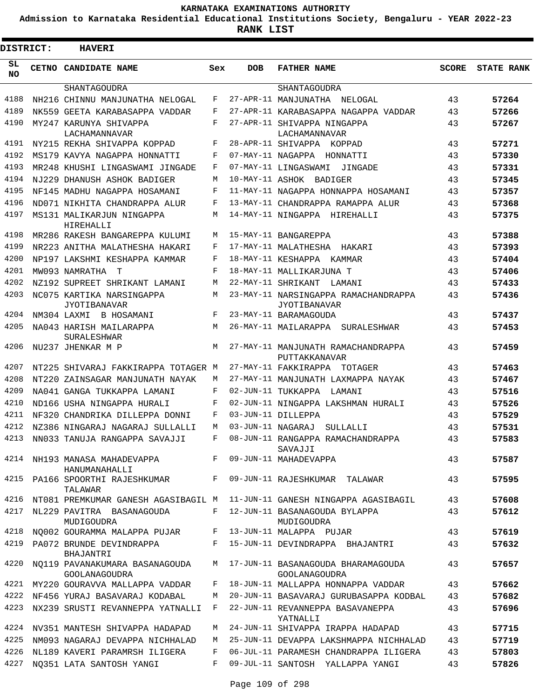**Admission to Karnataka Residential Educational Institutions Society, Bengaluru - YEAR 2022-23**

| <b>DISTRICT:</b> | <b>HAVERI</b>                                          |            |                   |                                                                                |              |                   |
|------------------|--------------------------------------------------------|------------|-------------------|--------------------------------------------------------------------------------|--------------|-------------------|
| SL<br>NO.        | CETNO CANDIDATE NAME                                   | Sex        | <b>DOB</b>        | <b>FATHER NAME</b>                                                             | <b>SCORE</b> | <b>STATE RANK</b> |
|                  | SHANTAGOUDRA                                           |            |                   | SHANTAGOUDRA                                                                   |              |                   |
| 4188             | NH216 CHINNU MANJUNATHA NELOGAL                        | F          |                   | 27-APR-11 MANJUNATHA<br>NELOGAL                                                | 43           | 57264             |
| 4189             | NK559 GEETA KARABASAPPA VADDAR                         | F          |                   | 27-APR-11 KARABASAPPA NAGAPPA VADDAR                                           | 43           | 57266             |
| 4190             | MY247 KARUNYA SHIVAPPA<br>LACHAMANNAVAR                | F          |                   | 27-APR-11 SHIVAPPA NINGAPPA<br>LACHAMANNAVAR                                   | 43           | 57267             |
| 4191             | NY215 REKHA SHIVAPPA KOPPAD                            | F          |                   | 28-APR-11 SHIVAPPA KOPPAD                                                      | 43           | 57271             |
| 4192             | MS179 KAVYA NAGAPPA HONNATTI                           | F          |                   | 07-MAY-11 NAGAPPA HONNATTI                                                     | 43           | 57330             |
| 4193             | MR248 KHUSHI LINGASWAMI JINGADE                        | F          |                   | 07-MAY-11 LINGASWAMI<br>JINGADE                                                | 43           | 57331             |
| 4194             | NJ229 DHANUSH ASHOK BADIGER                            | M          |                   | 10-MAY-11 ASHOK BADIGER                                                        | 43           | 57345             |
| 4195             | NF145 MADHU NAGAPPA HOSAMANI                           | F          |                   | 11-MAY-11 NAGAPPA HONNAPPA HOSAMANI                                            | 43           | 57357             |
| 4196             | ND071 NIKHITA CHANDRAPPA ALUR                          | F          |                   | 13-MAY-11 CHANDRAPPA RAMAPPA ALUR                                              | 43           | 57368             |
| 4197             | MS131 MALIKARJUN NINGAPPA<br>HIREHALLI                 | М          |                   | 14-MAY-11 NINGAPPA HIREHALLI                                                   | 43           | 57375             |
| 4198             | MR286 RAKESH BANGAREPPA KULUMI                         | М          |                   | 15-MAY-11 BANGAREPPA                                                           | 43           | 57388             |
| 4199             | NR223 ANITHA MALATHESHA HAKARI                         | F          |                   | 17-MAY-11 MALATHESHA<br>HAKARI                                                 | 43           | 57393             |
| 4200             | NP197 LAKSHMI KESHAPPA KAMMAR                          | F          |                   | 18-MAY-11 KESHAPPA<br>KAMMAR                                                   | 43           | 57404             |
| 4201             | MW093 NAMRATHA<br>T                                    | $_{\rm F}$ |                   | 18-MAY-11 MALLIKARJUNA T                                                       | 43           | 57406             |
| 4202             | NZ192 SUPREET SHRIKANT LAMANI                          | M          |                   | 22-MAY-11 SHRIKANT<br>LAMANI                                                   | 43           | 57433             |
| 4203             | NC075 KARTIKA NARSINGAPPA<br>JYOTIBANAVAR              | М          |                   | 23-MAY-11 NARSINGAPPA RAMACHANDRAPPA<br>JYOTIBANAVAR                           | 43           | 57436             |
| 4204             | NM304 LAXMI<br>B HOSAMANI                              | F          |                   | 23-MAY-11 BARAMAGOUDA                                                          | 43           | 57437             |
| 4205             | NA043 HARISH MAILARAPPA<br>SURALESHWAR                 | М          |                   | 26-MAY-11 MAILARAPPA<br>SURALESHWAR                                            | 43           | 57453             |
| 4206             | NU237 JHENKAR M P                                      | M          |                   | 27-MAY-11 MANJUNATH RAMACHANDRAPPA<br>PUTTAKKANAVAR                            | 43           | 57459             |
| 4207             | NT225 SHIVARAJ FAKKIRAPPA TOTAGER M                    |            |                   | 27-MAY-11 FAKKIRAPPA<br>TOTAGER                                                | 43           | 57463             |
| 4208             | NT220 ZAINSAGAR MANJUNATH NAYAK                        | М          |                   | 27-MAY-11 MANJUNATH LAXMAPPA NAYAK                                             | 43           | 57467             |
| 4209             | NA041 GANGA TUKKAPPA LAMANI                            | F          |                   | 02-JUN-11 TUKKAPPA<br>LAMANI                                                   | 43           | 57516             |
| 4210             | ND166 USHA NINGAPPA HURALI                             | F          |                   | 02-JUN-11 NINGAPPA LAKSHMAN HURALI                                             | 43           | 57526             |
| 4211             | NF320 CHANDRIKA DILLEPPA DONNI                         | F          |                   | 03-JUN-11 DILLEPPA                                                             | 43           | 57529             |
| 4212             | NZ386 NINGARAJ NAGARAJ SULLALLI                        | М          | 03-JUN-11 NAGARAJ | SULLALLI                                                                       | 43           | 57531             |
| 4213             | NN033 TANUJA RANGAPPA SAVAJJI                          | F          |                   | 08-JUN-11 RANGAPPA RAMACHANDRAPPA                                              | 43           | 57583             |
|                  | 4214 NH193 MANASA MAHADEVAPPA<br>HANUMANAHALLI         |            |                   | SAVAJJI<br>F 09-JUN-11 MAHADEVAPPA                                             | 43           | 57587             |
|                  | 4215 PA166 SPOORTHI RAJESHKUMAR F<br>TALAWAR           |            |                   | 09-JUN-11 RAJESHKUMAR TALAWAR                                                  | 43           | 57595             |
|                  |                                                        |            |                   | 4216 NT081 PREMKUMAR GANESH AGASIBAGIL M  11-JUN-11 GANESH NINGAPPA AGASIBAGIL | 43           | 57608             |
| 4217             | NL229 PAVITRA BASANAGOUDA<br>MUDIGOUDRA                | F          |                   | 12-JUN-11 BASANAGOUDA BYLAPPA<br>MUDIGOUDRA                                    | 43           | 57612             |
| 4218             | NQ002 GOURAMMA MALAPPA PUJAR F 13-JUN-11 MALAPPA PUJAR |            |                   |                                                                                | 43           | 57619             |
| 4219             | PA072 BRUNDE DEVINDRAPPA<br>BHAJANTRI                  |            |                   | F 15-JUN-11 DEVINDRAPPA BHAJANTRI                                              | 43           | 57632             |
| 4220             | NO119 PAVANAKUMARA BASANAGOUDA<br>GOOLANAGOUDRA        | M          |                   | 17-JUN-11 BASANAGOUDA BHARAMAGOUDA<br><b>GOOLANAGOUDRA</b>                     | 43           | 57657             |
|                  | 4221 MY220 GOURAVVA MALLAPPA VADDAR                    | F          |                   | 18-JUN-11 MALLAPPA HONNAPPA VADDAR                                             | 43           | 57662             |
| 4222             | NF456 YURAJ BASAVARAJ KODABAL                          | М          |                   | 20-JUN-11 BASAVARAJ GURUBASAPPA KODBAL                                         | 43           | 57682             |
| 4223             | NX239 SRUSTI REVANNEPPA YATNALLI                       | F          |                   | 22-JUN-11 REVANNEPPA BASAVANEPPA<br>YATNALLI                                   | 43           | 57696             |
|                  | 4224 NV351 MANTESH SHIVAPPA HADAPAD                    | М          |                   | 24-JUN-11 SHIVAPPA IRAPPA HADAPAD                                              | 43           | 57715             |
| 4225             | NM093 NAGARAJ DEVAPPA NICHHALAD                        |            |                   | M 25-JUN-11 DEVAPPA LAKSHMAPPA NICHHALAD                                       | 43           | 57719             |
| 4226             | NL189 KAVERI PARAMRSH ILIGERA                          | F          |                   | 06-JUL-11 PARAMESH CHANDRAPPA ILIGERA                                          | 43           | 57803             |
| 4227             | NQ351 LATA SANTOSH YANGI                               | F          |                   | 09-JUL-11 SANTOSH YALLAPPA YANGI                                               | 43           | 57826             |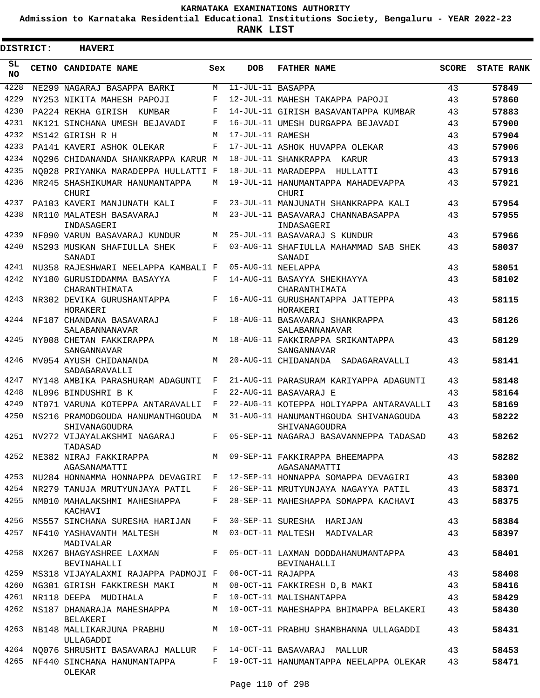**Admission to Karnataka Residential Educational Institutions Society, Bengaluru - YEAR 2022-23**

**RANK LIST**

ı

| <b>DISTRICT:</b> | <b>HAVERI</b>                                                           |       |                      |                                                        |              |                   |
|------------------|-------------------------------------------------------------------------|-------|----------------------|--------------------------------------------------------|--------------|-------------------|
| SL<br>NO.        | <b>CETNO CANDIDATE NAME</b>                                             | Sex   | <b>DOB</b>           | <b>FATHER NAME</b>                                     | <b>SCORE</b> | <b>STATE RANK</b> |
| 4228             | NE299 NAGARAJ BASAPPA BARKI                                             | M     | $11$ -JUL-11 BASAPPA |                                                        | 43           | 57849             |
| 4229             | NY253 NIKITA MAHESH PAPOJI                                              | F     |                      | 12-JUL-11 MAHESH TAKAPPA PAPOJI                        | 43           | 57860             |
| 4230             | PA224 REKHA GIRISH<br>KUMBAR                                            | F     |                      | 14-JUL-11 GIRISH BASAVANTAPPA KUMBAR                   | 43           | 57883             |
| 4231             | NK121 SINCHANA UMESH BEJAVADI                                           | F     |                      | 16-JUL-11 UMESH DURGAPPA BEJAVADI                      | 43           | 57900             |
| 4232             | MS142 GIRISH R H                                                        | M     | 17-JUL-11 RAMESH     |                                                        | 43           | 57904             |
| 4233             | PA141 KAVERI ASHOK OLEKAR                                               | F     |                      | 17-JUL-11 ASHOK HUVAPPA OLEKAR                         | 43           | 57906             |
| 4234             | NO296 CHIDANANDA SHANKRAPPA KARUR M                                     |       |                      | 18-JUL-11 SHANKRAPPA KARUR                             | 43           | 57913             |
| 4235             | NO028 PRIYANKA MARADEPPA HULLATTI F                                     |       |                      | 18-JUL-11 MARADEPPA HULLATTI                           | 43           | 57916             |
| 4236             | MR245 SHASHIKUMAR HANUMANTAPPA<br>CHURI                                 | M     |                      | 19-JUL-11 HANUMANTAPPA MAHADEVAPPA<br>CHURI            | 43           | 57921             |
| 4237             | PA103 KAVERI MANJUNATH KALI                                             | F     |                      | 23-JUL-11 MANJUNATH SHANKRAPPA KALI                    | 43           | 57954             |
| 4238             | NR110 MALATESH BASAVARAJ<br>INDASAGERI                                  | M     |                      | 23-JUL-11 BASAVARAJ CHANNABASAPPA<br>INDASAGERI        | 43           | 57955             |
| 4239             | NF090 VARUN BASAVARAJ KUNDUR                                            | M     |                      | 25-JUL-11 BASAVARAJ S KUNDUR                           | 43           | 57966             |
| 4240             | NS293 MUSKAN SHAFIULLA SHEK<br>SANADI                                   | F     |                      | 03-AUG-11 SHAFIULLA MAHAMMAD SAB SHEK<br>SANADI        | 43           | 58037             |
| 4241             | NU358 RAJESHWARI NEELAPPA KAMBALI F                                     |       |                      | 05-AUG-11 NEELAPPA                                     | 43           | 58051             |
| 4242             | NY180 GURUSIDDAMMA BASAYYA<br>CHARANTHIMATA                             | F     |                      | 14-AUG-11 BASAYYA SHEKHAYYA<br>CHARANTHIMATA           | 43           | 58102             |
| 4243             | NR302 DEVIKA GURUSHANTAPPA<br>HORAKERI                                  | F     |                      | 16-AUG-11 GURUSHANTAPPA JATTEPPA<br>HORAKERI           | 43           | 58115             |
| 4244             | NF187 CHANDANA BASAVARAJ<br>SALABANNANAVAR                              | F     |                      | 18-AUG-11 BASAVARAJ SHANKRAPPA<br>SALABANNANAVAR       | 43           | 58126             |
| 4245             | NY008 CHETAN FAKKIRAPPA<br>SANGANNAVAR                                  | М     |                      | 18-AUG-11 FAKKIRAPPA SRIKANTAPPA<br>SANGANNAVAR        | 43           | 58129             |
| 4246             | MV054 AYUSH CHIDANANDA<br>SADAGARAVALLI                                 | M     |                      | 20-AUG-11 CHIDANANDA SADAGARAVALLI                     | 43           | 58141             |
| 4247             | MY148 AMBIKA PARASHURAM ADAGUNTI                                        | F     |                      | 21-AUG-11 PARASURAM KARIYAPPA ADAGUNTI                 | 43           | 58148             |
| 4248             | NL096 BINDUSHRI B K                                                     | F     |                      | 22-AUG-11 BASAVARAJ E                                  | 43           | 58164             |
| 4249             | NT071 VARUNA KOTEPPA ANTARAVALLI                                        | F     |                      | 22-AUG-11 KOTEPPA HOLIYAPPA ANTARAVALLI                | 43           | 58169             |
| 4250             | NS216 PRAMODGOUDA HANUMANTHGOUDA<br>SHIVANAGOUDRA                       | М     |                      | 31-AUG-11 HANUMANTHGOUDA SHIVANAGOUDA<br>SHIVANAGOUDRA | 43           | 58222             |
| 4251             | NV272 VIJAYALAKSHMI NAGARAJ<br>TADASAD                                  | F     |                      | 05-SEP-11 NAGARAJ BASAVANNEPPA TADASAD                 | 43           | 58262             |
| 4252             | NE382 NIRAJ FAKKIRAPPA M 09-SEP-11 FAKKIRAPPA BHEEMAPPA<br>AGASANAMATTI |       |                      | AGASANAMATTI                                           | 43           | 58282             |
| 4253             | NU284 HONNAMMA HONNAPPA DEVAGIRI F                                      |       |                      | 12-SEP-11 HONNAPPA SOMAPPA DEVAGIRI                    | 43           | 58300             |
| 4254             | NR279 TANUJA MRUTYUNJAYA PATIL                                          | F     |                      | 26-SEP-11 MRUTYUNJAYA NAGAYYA PATIL                    | 43           | 58371             |
| 4255             | NM010 MAHALAKSHMI MAHESHAPPA<br>KACHAVI                                 | F     |                      | 28-SEP-11 MAHESHAPPA SOMAPPA KACHAVI                   | 43           | 58375             |
| 4256             | MS557 SINCHANA SURESHA HARIJAN                                          | F     |                      | 30-SEP-11 SURESHA HARIJAN                              | 43           | 58384             |
| 4257             | NF410 YASHAVANTH MALTESH<br>MADIVALAR                                   | M     |                      | 03-OCT-11 MALTESH MADIVALAR                            | 43           | 58397             |
| 4258             | NX267 BHAGYASHREE LAXMAN<br>BEVINAHALLI                                 | $F$ – |                      | 05-OCT-11 LAXMAN DODDAHANUMANTAPPA<br>BEVINAHALLI      | 43           | 58401             |
| 4259             | MS318 VIJAYALAXMI RAJAPPA PADMOJI F                                     |       | 06-OCT-11 RAJAPPA    |                                                        | 43           | 58408             |
| 4260             | NG301 GIRISH FAKKIRESH MAKI                                             | M     |                      | 08-OCT-11 FAKKIRESH D,B MAKI                           | 43           | 58416             |
| 4261             | NR118 DEEPA MUDIHALA                                                    | F     |                      | 10-OCT-11 MALISHANTAPPA                                | 43           | 58429             |
| 4262             | NS187 DHANARAJA MAHESHAPPA M<br>BELAKERI                                |       |                      | 10-OCT-11 MAHESHAPPA BHIMAPPA BELAKERI                 | 43           | 58430             |
| 4263             | NB148 MALLIKARJUNA PRABHU M<br>ULLAGADDI                                |       |                      | 10-OCT-11 PRABHU SHAMBHANNA ULLAGADDI                  | 43           | 58431             |
| 4264             | NO076 SHRUSHTI BASAVARAJ MALLUR                                         | F     |                      | 14-OCT-11 BASAVARAJ MALLUR                             | 43           | 58453             |
| 4265             | NF440 SINCHANA HANUMANTAPPA<br>OLEKAR                                   | F     |                      | 19-OCT-11 HANUMANTAPPA NEELAPPA OLEKAR                 | 43           | 58471             |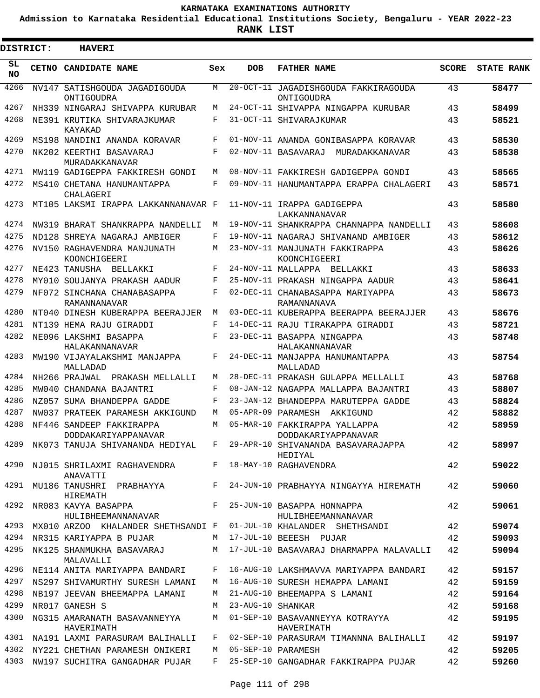**Admission to Karnataka Residential Educational Institutions Society, Bengaluru - YEAR 2022-23**

ı

| <b>DISTRICT:</b> | <b>HAVERI</b>                                                        |     |                   |                                                      |              |                   |
|------------------|----------------------------------------------------------------------|-----|-------------------|------------------------------------------------------|--------------|-------------------|
| SL<br><b>NO</b>  | <b>CETNO CANDIDATE NAME</b>                                          | Sex | <b>DOB</b>        | <b>FATHER NAME</b>                                   | <b>SCORE</b> | <b>STATE RANK</b> |
| 4266             | NV147 SATISHGOUDA JAGADIGOUDA<br>ONTIGOUDRA                          | M   |                   | 20-OCT-11 JAGADISHGOUDA FAKKIRAGOUDA<br>ONTIGOUDRA   | 43           | 58477             |
| 4267             | NH339 NINGARAJ SHIVAPPA KURUBAR                                      | М   |                   | 24-OCT-11 SHIVAPPA NINGAPPA KURUBAR                  | 43           | 58499             |
| 4268             | NE391 KRUTIKA SHIVARAJKUMAR<br>KAYAKAD                               | F   |                   | 31-OCT-11 SHIVARAJKUMAR                              | 43           | 58521             |
| 4269             | MS198 NANDINI ANANDA KORAVAR                                         | F   |                   | 01-NOV-11 ANANDA GONIBASAPPA KORAVAR                 | 43           | 58530             |
| 4270             | NK202 KEERTHI BASAVARAJ<br>MURADAKKANAVAR                            | F   |                   | 02-NOV-11 BASAVARAJ<br>MURADAKKANAVAR                | 43           | 58538             |
| 4271             | MW119 GADIGEPPA FAKKIRESH GONDI                                      | М   |                   | 08-NOV-11 FAKKIRESH GADIGEPPA GONDI                  | 43           | 58565             |
| 4272             | MS410 CHETANA HANUMANTAPPA<br>CHALAGERI                              | F   |                   | 09-NOV-11 HANUMANTAPPA ERAPPA CHALAGERI              | 43           | 58571             |
| 4273             | MT105 LAKSMI IRAPPA LAKKANNANAVAR F                                  |     |                   | 11-NOV-11 IRAPPA GADIGEPPA<br>LAKKANNANAVAR          | 43           | 58580             |
| 4274             | NW319 BHARAT SHANKRAPPA NANDELLI                                     | М   |                   | 19-NOV-11 SHANKRAPPA CHANNAPPA NANDELLI              | 43           | 58608             |
| 4275             | ND128 SHREYA NAGARAJ AMBIGER                                         | F   |                   | 19-NOV-11 NAGARAJ SHIVANAND AMBIGER                  | 43           | 58612             |
| 4276             | NV150 RAGHAVENDRA MANJUNATH<br>KOONCHIGEERI                          | М   |                   | 23-NOV-11 MANJUNATH FAKKIRAPPA<br>KOONCHIGEERI       | 43           | 58626             |
| 4277             | NE423 TANUSHA BELLAKKI                                               | F   |                   | 24-NOV-11 MALLAPPA BELLAKKI                          | 43           | 58633             |
| 4278             | MY010 SOUJANYA PRAKASH AADUR                                         | F   |                   | 25-NOV-11 PRAKASH NINGAPPA AADUR                     | 43           | 58641             |
| 4279             | NF072 SINCHANA CHANABASAPPA<br>RAMANNANAVAR                          | F   |                   | 02-DEC-11 CHANABASAPPA MARIYAPPA<br>RAMANNANAVA      | 43           | 58673             |
| 4280             | NT040 DINESH KUBERAPPA BEERAJJER                                     | М   |                   | 03-DEC-11 KUBERAPPA BEERAPPA BEERAJJER               | 43           | 58676             |
| 4281             | NT139 HEMA RAJU GIRADDI                                              | F   |                   | 14-DEC-11 RAJU TIRAKAPPA GIRADDI                     | 43           | 58721             |
| 4282             | NE096 LAKSHMI BASAPPA<br>HALAKANNANAVAR                              | F   |                   | 23-DEC-11 BASAPPA NINGAPPA<br>HALAKANNANAVAR         | 43           | 58748             |
| 4283             | MW190 VIJAYALAKSHMI MANJAPPA<br>MALLADAD                             | F   |                   | 24-DEC-11 MANJAPPA HANUMANTAPPA<br>MALLADAD          | 43           | 58754             |
| 4284             | NH266 PRAJWAL<br>PRAKASH MELLALLI                                    | М   |                   | 28-DEC-11 PRAKASH GULAPPA MELLALLI                   | 43           | 58768             |
| 4285             | MW040 CHANDANA BAJANTRI                                              | F   |                   | 08-JAN-12 NAGAPPA MALLAPPA BAJANTRI                  | 43           | 58807             |
| 4286             | NZ057 SUMA BHANDEPPA GADDE                                           | F   |                   | 23-JAN-12 BHANDEPPA MARUTEPPA GADDE                  | 43           | 58824             |
| 4287             | NW037 PRATEEK PARAMESH AKKIGUND                                      | М   |                   | 05-APR-09 PARAMESH<br>AKKIGUND                       | 42           | 58882             |
| 4288             | NF446 SANDEEP FAKKIRAPPA<br>DODDAKARIYAPPANAVAR                      | M   |                   | 05-MAR-10 FAKKIRAPPA YALLAPPA<br>DODDAKARIYAPPANAVAR | 42           | 58959             |
| 4289             | NK073 TANUJA SHIVANANDA HEDIYAL F 29-APR-10 SHIVANANDA BASAVARAJAPPA |     |                   | HEDIYAL                                              | 42           | 58997             |
| 4290             | NJ015 SHRILAXMI RAGHAVENDRA<br>ANAVATTI                              |     |                   | F 18-MAY-10 RAGHAVENDRA                              | 42           | 59022             |
| 4291             | MU186 TANUSHRI PRABHAYYA<br>HIREMATH                                 |     |                   | F 24-JUN-10 PRABHAYYA NINGAYYA HIREMATH              | 42           | 59060             |
| 4292             | NR083 KAVYA BASAPPA<br>HULIBHEEMANNANAVAR                            |     |                   | F 25-JUN-10 BASAPPA HONNAPPA<br>HULIBHEEMANNANAVAR   | 42           | 59061             |
| 4293             | MX010 ARZOO KHALANDER SHETHSANDI F 01-JUL-10 KHALANDER SHETHSANDI    |     |                   |                                                      | 42           | 59074             |
| 4294             | NR315 KARIYAPPA B PUJAR                                              |     |                   | M 17-JUL-10 BEEESH PUJAR                             | 42           | 59093             |
| 4295             | NK125 SHANMUKHA BASAVARAJ<br>MALAVALLI                               |     |                   | M 17-JUL-10 BASAVARAJ DHARMAPPA MALAVALLI            | 42           | 59094             |
| 4296             | NE114 ANITA MARIYAPPA BANDARI                                        | F   |                   | 16-AUG-10 LAKSHMAVVA MARIYAPPA BANDARI               | 42           | 59157             |
| 4297             | NS297 SHIVAMURTHY SURESH LAMANI                                      | M   |                   | 16-AUG-10 SURESH HEMAPPA LAMANI                      | 42           | 59159             |
| 4298             | NB197 JEEVAN BHEEMAPPA LAMANI                                        | M   |                   | 21-AUG-10 BHEEMAPPA S LAMANI                         | 42           | 59164             |
| 4299             | NR017 GANESH S                                                       | M   | 23-AUG-10 SHANKAR |                                                      | 42           | 59168             |
| 4300             | NG315 AMARANATH BASAVANNEYYA<br>HAVERIMATH                           | M   |                   | 01-SEP-10 BASAVANNEYYA KOTRAYYA<br>HAVERIMATH        | 42           | 59195             |
|                  | 4301 NA191 LAXMI PARASURAM BALIHALLI                                 |     |                   | F 02-SEP-10 PARASURAM TIMANNNA BALIHALLI             | 42           | 59197             |
| 4302             | NY221 CHETHAN PARAMESH ONIKERI                                       | M   |                   | 05-SEP-10 PARAMESH                                   | 42           | 59205             |
| 4303             | NW197 SUCHITRA GANGADHAR PUJAR                                       | F   |                   | 25-SEP-10 GANGADHAR FAKKIRAPPA PUJAR                 | 42           | 59260             |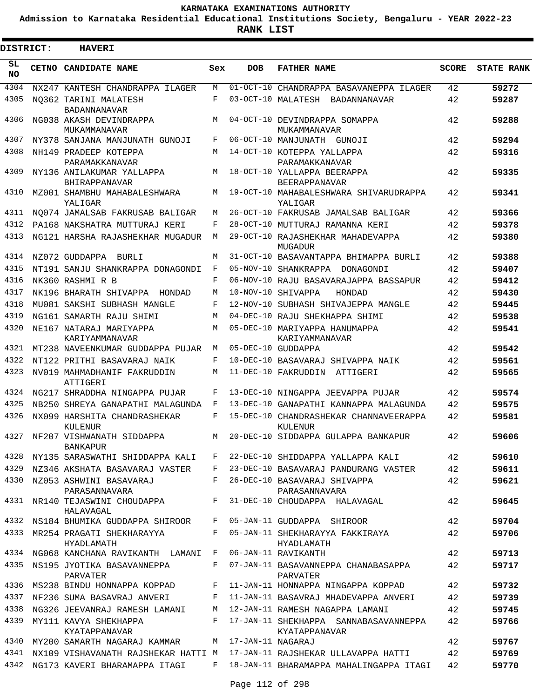**Admission to Karnataka Residential Educational Institutions Society, Bengaluru - YEAR 2022-23**

**RANK LIST**

Е

| <b>DISTRICT:</b> | <b>HAVERI</b>                                     |              |                   |                                                        |              |                   |
|------------------|---------------------------------------------------|--------------|-------------------|--------------------------------------------------------|--------------|-------------------|
| SL<br><b>NO</b>  | CETNO CANDIDATE NAME                              | Sex          | <b>DOB</b>        | <b>FATHER NAME</b>                                     | <b>SCORE</b> | <b>STATE RANK</b> |
| 4304             | NX247 KANTESH CHANDRAPPA ILAGER                   | М            |                   | 01-OCT-10 CHANDRAPPA BASAVANEPPA ILAGER                | 42           | 59272             |
| 4305             | NO362 TARINI MALATESH<br><b>BADANNANAVAR</b>      | $_{\rm F}$   |                   | 03-OCT-10 MALATESH BADANNANAVAR                        | 42           | 59287             |
| 4306             | NG038 AKASH DEVINDRAPPA<br>MUKAMMANAVAR           | M            |                   | 04-OCT-10 DEVINDRAPPA SOMAPPA<br>MUKAMMANAVAR          | 42           | 59288             |
| 4307             | NY378 SANJANA MANJUNATH GUNOJI                    | F            |                   | 06-OCT-10 MANJUNATH GUNOJI                             | 42           | 59294             |
| 4308             | NH149 PRADEEP KOTEPPA<br>PARAMAKKANAVAR           | M            |                   | 14-OCT-10 KOTEPPA YALLAPPA<br>PARAMAKKANAVAR           | 42           | 59316             |
| 4309             | NY136 ANILAKUMAR YALLAPPA<br>BHIRAPPANAVAR        | М            |                   | 18-OCT-10 YALLAPPA BEERAPPA<br><b>BEERAPPANAVAR</b>    | 42           | 59335             |
| 4310             | MZ001 SHAMBHU MAHABALESHWARA<br>YALIGAR           | М            |                   | 19-OCT-10 MAHABALESHWARA SHIVARUDRAPPA<br>YALIGAR      | 42           | 59341             |
| 4311             | NO074 JAMALSAB FAKRUSAB BALIGAR                   | М            |                   | 26-OCT-10 FAKRUSAB JAMALSAB BALIGAR                    | 42           | 59366             |
| 4312             | PA168 NAKSHATRA MUTTURAJ KERI                     | F            |                   | 28-OCT-10 MUTTURAJ RAMANNA KERI                        | 42           | 59378             |
| 4313             | NG121 HARSHA RAJASHEKHAR MUGADUR                  | M            |                   | 29-OCT-10 RAJASHEKHAR MAHADEVAPPA<br>MUGADUR           | 42           | 59380             |
| 4314             | NZ072 GUDDAPPA BURLI                              | M            |                   | 31-OCT-10 BASAVANTAPPA BHIMAPPA BURLI                  | 42           | 59388             |
| 4315             | NT191 SANJU SHANKRAPPA DONAGONDI                  | F            |                   | 05-NOV-10 SHANKRAPPA DONAGONDI                         | 42           | 59407             |
| 4316             | NK360 RASHMI R B                                  | F            |                   | 06-NOV-10 RAJU BASAVARAJAPPA BASSAPUR                  | 42           | 59412             |
| 4317             | NK196 BHARATH SHIVAPPA HONDAD                     | М            |                   | 10-NOV-10 SHIVAPPA<br>HONDAD                           | 42           | 59430             |
| 4318             | MU081 SAKSHI SUBHASH MANGLE                       | F            |                   | 12-NOV-10 SUBHASH SHIVAJEPPA MANGLE                    | 42           | 59445             |
| 4319             | NG161 SAMARTH RAJU SHIMI                          | М            |                   | 04-DEC-10 RAJU SHEKHAPPA SHIMI                         | 42           | 59538             |
| 4320             | NE167 NATARAJ MARIYAPPA<br>KARIYAMMANAVAR         | М            |                   | 05-DEC-10 MARIYAPPA HANUMAPPA<br>KARIYAMMANAVAR        | 42           | 59541             |
| 4321             | MT238 NAVEENKUMAR GUDDAPPA PUJAR                  | М            |                   | 05-DEC-10 GUDDAPPA                                     | 42           | 59542             |
| 4322             | NT122 PRITHI BASAVARAJ NAIK                       | $_{\rm F}$   |                   | 10-DEC-10 BASAVARAJ SHIVAPPA NAIK                      | 42           | 59561             |
| 4323             | NV019 MAHMADHANIF FAKRUDDIN<br>ATTIGERI           | М            |                   | 11-DEC-10 FAKRUDDIN ATTIGERI                           | 42           | 59565             |
| 4324             | NG217 SHRADDHA NINGAPPA PUJAR                     | F            |                   | 13-DEC-10 NINGAPPA JEEVAPPA PUJAR                      | 42           | 59574             |
| 4325             | NB250 SHREYA GANAPATHI MALAGUNDA                  | F            |                   | 13-DEC-10 GANAPATHI KANNAPPA MALAGUNDA                 | 42           | 59575             |
| 4326             | NX099 HARSHITA CHANDRASHEKAR<br>KULENUR           | F            |                   | 15-DEC-10 CHANDRASHEKAR CHANNAVEERAPPA<br>KULENUR      | 42           | 59581             |
|                  | 4327 NF207 VISHWANATH SIDDAPPA<br><b>BANKAPUR</b> | M            |                   | 20-DEC-10 SIDDAPPA GULAPPA BANKAPUR                    | 42           | 59606             |
|                  | 4328 NY135 SARASWATHI SHIDDAPPA KALI              | $\mathbf{F}$ |                   | 22-DEC-10 SHIDDAPPA YALLAPPA KALI                      | 42           | 59610             |
| 4329             | NZ346 AKSHATA BASAVARAJ VASTER                    | F            |                   | 23-DEC-10 BASAVARAJ PANDURANG VASTER                   | 42           | 59611             |
| 4330             | NZ053 ASHWINI BASAVARAJ<br>PARASANNAVARA          | F            |                   | 26-DEC-10 BASAVARAJ SHIVAPPA<br>PARASANNAVARA          | 42           | 59621             |
| 4331             | NR140 TEJASWINI CHOUDAPPA<br>HALAVAGAL            | F            |                   | 31-DEC-10 CHOUDAPPA HALAVAGAL                          | 42           | 59645             |
|                  | 4332 NS184 BHUMIKA GUDDAPPA SHIROOR               | F            |                   | 05-JAN-11 GUDDAPPA SHIROOR                             | 42           | 59704             |
| 4333             | MR254 PRAGATI SHEKHARAYYA<br>HYADLAMATH           | F            |                   | 05-JAN-11 SHEKHARAYYA FAKKIRAYA<br>HYADLAMATH          | 42           | 59706             |
| 4334             | NG068 KANCHANA RAVIKANTH LAMANI F                 |              |                   | 06-JAN-11 RAVIKANTH                                    | 42           | 59713             |
| 4335             | NS195 JYOTIKA BASAVANNEPPA<br>PARVATER            | F            |                   | 07-JAN-11 BASAVANNEPPA CHANABASAPPA<br>PARVATER        | 42           | 59717             |
| 4336             | MS238 BINDU HONNAPPA KOPPAD                       | F            |                   | 11-JAN-11 HONNAPPA NINGAPPA KOPPAD                     | 42           | 59732             |
| 4337             | NF236 SUMA BASAVRAJ ANVERI                        | F            |                   | 11-JAN-11 BASAVRAJ MHADEVAPPA ANVERI                   | 42           | 59739             |
| 4338             | NG326 JEEVANRAJ RAMESH LAMANI                     | М            |                   | 12-JAN-11 RAMESH NAGAPPA LAMANI                        | 42           | 59745             |
| 4339             | MY111 KAVYA SHEKHAPPA<br>KYATAPPANAVAR            | F            |                   | 17-JAN-11 SHEKHAPPA SANNABASAVANNEPPA<br>KYATAPPANAVAR | 42           | 59766             |
| 4340             | MY200 SAMARTH NAGARAJ KAMMAR                      | М            | 17-JAN-11 NAGARAJ |                                                        | 42           | 59767             |
| 4341             | NX109 VISHAVANATH RAJSHEKAR HATTI M               |              |                   | 17-JAN-11 RAJSHEKAR ULLAVAPPA HATTI                    | 42           | 59769             |
|                  | 4342 NG173 KAVERI BHARAMAPPA ITAGI                | F            |                   | 18-JAN-11 BHARAMAPPA MAHALINGAPPA ITAGI                | 42           | 59770             |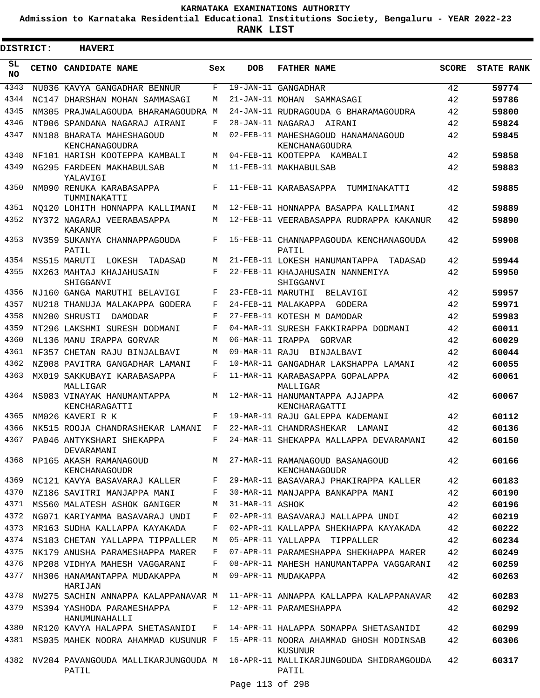**Admission to Karnataka Residential Educational Institutions Society, Bengaluru - YEAR 2022-23**

**RANK LIST**

| <b>DISTRICT:</b> |  | <b>HAVERI</b>                                |         |                   |                                                                                            |              |                   |
|------------------|--|----------------------------------------------|---------|-------------------|--------------------------------------------------------------------------------------------|--------------|-------------------|
| SL<br>NO         |  | CETNO CANDIDATE NAME                         | Sex     | <b>DOB</b>        | <b>FATHER NAME</b>                                                                         | <b>SCORE</b> | <b>STATE RANK</b> |
| 4343             |  | NU036 KAVYA GANGADHAR BENNUR                 | F       |                   | 19-JAN-11 GANGADHAR                                                                        | 42           | 59774             |
| 4344             |  | NC147 DHARSHAN MOHAN SAMMASAGI               | M       | 21-JAN-11 MOHAN   | SAMMASAGI                                                                                  | 42           | 59786             |
| 4345             |  | NM305 PRAJWALAGOUDA BHARAMAGOUDRA M          |         |                   | 24-JAN-11 RUDRAGOUDA G BHARAMAGOUDRA                                                       | 42           | 59800             |
| 4346             |  | NT006 SPANDANA NAGARAJ AIRANI                | F       | 28-JAN-11 NAGARAJ | AIRANI                                                                                     | 42           | 59824             |
| 4347             |  | NN188 BHARATA MAHESHAGOUD<br>KENCHANAGOUDRA  | M       |                   | 02-FEB-11 MAHESHAGOUD HANAMANAGOUD<br>KENCHANAGOUDRA                                       | 42           | 59845             |
| 4348             |  | NF101 HARISH KOOTEPPA KAMBALI                | M       |                   | 04-FEB-11 KOOTEPPA KAMBALI                                                                 | 42           | 59858             |
| 4349             |  | NG295 FARDEEN MAKHABULSAB<br>YALAVIGI        | М       |                   | 11-FEB-11 MAKHABULSAB                                                                      | 42           | 59883             |
| 4350             |  | NM090 RENUKA KARABASAPPA<br>TUMMINAKATTI     | F       |                   | 11-FEB-11 KARABASAPPA TUMMINAKATTI                                                         | 42           | 59885             |
| 4351             |  | NO120 LOHITH HONNAPPA KALLIMANI              | М       |                   | 12-FEB-11 HONNAPPA BASAPPA KALLIMANI                                                       | 42           | 59889             |
| 4352             |  | NY372 NAGARAJ VEERABASAPPA<br>KAKANUR        | М       |                   | 12-FEB-11 VEERABASAPPA RUDRAPPA KAKANUR                                                    | 42           | 59890             |
| 4353             |  | NV359 SUKANYA CHANNAPPAGOUDA<br>PATIL        | F       |                   | 15-FEB-11 CHANNAPPAGOUDA KENCHANAGOUDA<br>PATIL                                            | 42           | 59908             |
| 4354             |  | MS515 MARUTI LOKESH<br>TADASAD               | М       |                   | 21-FEB-11 LOKESH HANUMANTAPPA TADASAD                                                      | 42           | 59944             |
| 4355             |  | NX263 MAHTAJ KHAJAHUSAIN<br>SHIGGANVI        | F       |                   | 22-FEB-11 KHAJAHUSAIN NANNEMIYA<br>SHIGGANVI                                               | 42           | 59950             |
| 4356             |  | NJ160 GANGA MARUTHI BELAVIGI                 | F       | 23-FEB-11 MARUTHI | BELAVIGI                                                                                   | 42           | 59957             |
| 4357             |  | NU218 THANUJA MALAKAPPA GODERA               | F       |                   | 24-FEB-11 MALAKAPPA GODERA                                                                 | 42           | 59971             |
| 4358             |  | NN200 SHRUSTI<br>DAMODAR                     | F       |                   | 27-FEB-11 KOTESH M DAMODAR                                                                 | 42           | 59983             |
| 4359             |  | NT296 LAKSHMI SURESH DODMANI                 | F       |                   | 04-MAR-11 SURESH FAKKIRAPPA DODMANI                                                        | 42           | 60011             |
| 4360             |  | NL136 MANU IRAPPA GORVAR                     | М       |                   | 06-MAR-11 IRAPPA GORVAR                                                                    | 42           | 60029             |
| 4361             |  | NF357 CHETAN RAJU BINJALBAVI                 | M       |                   | 09-MAR-11 RAJU BINJALBAVI                                                                  | 42           | 60044             |
| 4362             |  | NZ008 PAVITRA GANGADHAR LAMANI               | F       |                   | 10-MAR-11 GANGADHAR LAKSHAPPA LAMANI                                                       | 42           | 60055             |
| 4363             |  | MX019 SAKKUBAYI KARABASAPPA<br>MALLIGAR      | F       |                   | 11-MAR-11 KARABASAPPA GOPALAPPA<br>MALLIGAR                                                | 42           | 60061             |
| 4364             |  | NS083 VINAYAK HANUMANTAPPA<br>KENCHARAGATTI  | М       |                   | 12-MAR-11 HANUMANTAPPA AJJAPPA<br>KENCHARAGATTI                                            | 42           | 60067             |
| 4365             |  | NM026 KAVERI R K                             | F       |                   | 19-MAR-11 RAJU GALEPPA KADEMANI                                                            | 42           | 60112             |
| 4366             |  | NK515 ROOJA CHANDRASHEKAR LAMANI             | F       |                   | 22-MAR-11 CHANDRASHEKAR LAMANI                                                             | 42           | 60136             |
|                  |  | 4367 PA046 ANTYKSHARI SHEKAPPA<br>DEVARAMANI | $F$ and |                   | 24-MAR-11 SHEKAPPA MALLAPPA DEVARAMANI                                                     | 42           | 60150             |
|                  |  | 4368 NP165 AKASH RAMANAGOUD<br>KENCHANAGOUDR |         |                   | M 27-MAR-11 RAMANAGOUD BASANAGOUD<br>KENCHANAGOUDR                                         | 42           | 60166             |
| 4369             |  | NC121 KAVYA BASAVARAJ KALLER                 | F       |                   | 29-MAR-11 BASAVARAJ PHAKIRAPPA KALLER                                                      | 42           | 60183             |
| 4370             |  | NZ186 SAVITRI MANJAPPA MANI                  | F       |                   | 30-MAR-11 MANJAPPA BANKAPPA MANI                                                           | 42           | 60190             |
| 4371             |  | MS560 MALATESH ASHOK GANIGER                 | M       | 31-MAR-11 ASHOK   |                                                                                            | 42           | 60196             |
| 4372             |  | NG071 KARIYAMMA BASAVARAJ UNDI               | F       |                   | 02-APR-11 BASAVARAJ MALLAPPA UNDI                                                          | 42           | 60219             |
| 4373             |  | MR163 SUDHA KALLAPPA KAYAKADA                | F       |                   | 02-APR-11 KALLAPPA SHEKHAPPA KAYAKADA                                                      | 42           | 60222             |
| 4374             |  | NS183 CHETAN YALLAPPA TIPPALLER              | М       |                   | 05-APR-11 YALLAPPA TIPPALLER                                                               | 42           | 60234             |
| 4375             |  | NK179 ANUSHA PARAMESHAPPA MARER              | F       |                   | 07-APR-11 PARAMESHAPPA SHEKHAPPA MARER                                                     | 42           | 60249             |
| 4376             |  | NP208 VIDHYA MAHESH VAGGARANI                | F       |                   | 08-APR-11 MAHESH HANUMANTAPPA VAGGARANI                                                    | 42           | 60259             |
| 4377             |  | NH306 HANAMANTAPPA MUDAKAPPA<br>HARIJAN      | М       |                   | 09-APR-11 MUDAKAPPA                                                                        | 42           | 60263             |
| 4378             |  |                                              |         |                   | NW275 SACHIN ANNAPPA KALAPPANAVAR M 11-APR-11 ANNAPPA KALLAPPA KALAPPANAVAR                | 42           | 60283             |
| 4379             |  | MS394 YASHODA PARAMESHAPPA<br>HANUMUNAHALLI  | F       |                   | 12-APR-11 PARAMESHAPPA                                                                     | 42           | 60292             |
|                  |  | 4380 NR120 KAVYA HALAPPA SHETASANIDI         |         |                   | F 14-APR-11 HALAPPA SOMAPPA SHETASANIDI                                                    | 42           | 60299             |
|                  |  |                                              |         |                   | 4381 MS035 MAHEK NOORA AHAMMAD KUSUNUR F 15-APR-11 NOORA AHAMMAD GHOSH MODINSAB<br>KUSUNUR | 42           | 60306             |
|                  |  | PATIL                                        |         |                   | 4382 NV204 PAVANGOUDA MALLIKARJUNGOUDA M 16-APR-11 MALLIKARJUNGOUDA SHIDRAMGOUDA<br>PATIL  | 42           | 60317             |
|                  |  |                                              |         |                   |                                                                                            |              |                   |

Page 113 of 298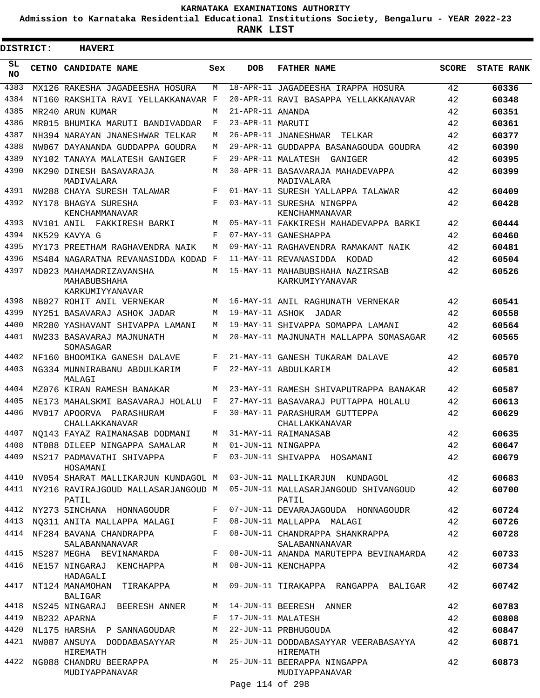**Admission to Karnataka Residential Educational Institutions Society, Bengaluru - YEAR 2022-23**

**RANK LIST**

.

| DISTRICT: | <b>HAVERI</b>                                              |     |                  |                                                    |              |                   |  |  |  |  |  |
|-----------|------------------------------------------------------------|-----|------------------|----------------------------------------------------|--------------|-------------------|--|--|--|--|--|
| SL<br>NO. | CETNO CANDIDATE NAME                                       | Sex | DOB              | <b>FATHER NAME</b>                                 | <b>SCORE</b> | <b>STATE RANK</b> |  |  |  |  |  |
| 4383      | MX126 RAKESHA JAGADEESHA HOSURA                            | M   |                  | 18-APR-11 JAGADEESHA IRAPPA HOSURA                 | 42           | 60336             |  |  |  |  |  |
| 4384      | NT160 RAKSHITA RAVI YELLAKKANAVAR F                        |     |                  | 20-APR-11 RAVI BASAPPA YELLAKKANAVAR               | 42           | 60348             |  |  |  |  |  |
| 4385      | MR240 ARUN KUMAR                                           | M   | 21-APR-11 ANANDA |                                                    | 42           | 60351             |  |  |  |  |  |
| 4386      | MR015 BHUMIKA MARUTI BANDIVADDAR                           | F   | 23-APR-11 MARUTI |                                                    | 42           | 60361             |  |  |  |  |  |
| 4387      | NH394 NARAYAN JNANESHWAR TELKAR                            | M   |                  | 26-APR-11 JNANESHWAR<br>TELKAR                     | 42           | 60377             |  |  |  |  |  |
| 4388      | NW067 DAYANANDA GUDDAPPA GOUDRA                            | M   |                  | 29-APR-11 GUDDAPPA BASANAGOUDA GOUDRA              | 42           | 60390             |  |  |  |  |  |
| 4389      | NY102 TANAYA MALATESH GANIGER                              | F   |                  | 29-APR-11 MALATESH GANIGER                         | 42           | 60395             |  |  |  |  |  |
| 4390      | NK290 DINESH BASAVARAJA<br>MADIVALARA                      | M   |                  | 30-APR-11 BASAVARAJA MAHADEVAPPA<br>MADIVALARA     | 42           | 60399             |  |  |  |  |  |
| 4391      | NW288 CHAYA SURESH TALAWAR                                 | F   |                  | 01-MAY-11 SURESH YALLAPPA TALAWAR                  | 42           | 60409             |  |  |  |  |  |
| 4392      | NY178 BHAGYA SURESHA<br>KENCHAMMANAVAR                     | F   |                  | 03-MAY-11 SURESHA NINGPPA<br>KENCHAMMANAVAR        | 42           | 60428             |  |  |  |  |  |
| 4393      | NV101 ANIL FAKKIRESH BARKI                                 | M   |                  | 05-MAY-11 FAKKIRESH MAHADEVAPPA BARKI              | 42           | 60444             |  |  |  |  |  |
| 4394      | NK529 KAVYA G                                              | F   |                  | 07-MAY-11 GANESHAPPA                               | 42           | 60460             |  |  |  |  |  |
| 4395      | MY173 PREETHAM RAGHAVENDRA NAIK                            | M   |                  | 09-MAY-11 RAGHAVENDRA RAMAKANT NAIK                | 42           | 60481             |  |  |  |  |  |
| 4396      | MS484 NAGARATNA REVANASIDDA KODAD F                        |     |                  | 11-MAY-11 REVANASIDDA KODAD                        | 42           | 60504             |  |  |  |  |  |
| 4397      | ND023 MAHAMADRIZAVANSHA<br>MAHABUBSHAHA<br>KARKUMIYYANAVAR | M   |                  | 15-MAY-11 MAHABUBSHAHA NAZIRSAB<br>KARKUMIYYANAVAR | 42           | 60526             |  |  |  |  |  |
| 4398      | NB027 ROHIT ANIL VERNEKAR                                  | M   |                  | 16-MAY-11 ANIL RAGHUNATH VERNEKAR                  | 42           | 60541             |  |  |  |  |  |
| 4399      | NY251 BASAVARAJ ASHOK JADAR                                | M   |                  | 19-MAY-11 ASHOK JADAR                              | 42           | 60558             |  |  |  |  |  |
| 4400      | MR280 YASHAVANT SHIVAPPA LAMANI                            | M   |                  | 19-MAY-11 SHIVAPPA SOMAPPA LAMANI                  | 42           | 60564             |  |  |  |  |  |
| 4401      | NW233 BASAVARAJ MAJNUNATH<br>SOMASAGAR                     | M   |                  | 20-MAY-11 MAJNUNATH MALLAPPA SOMASAGAR             | 42           | 60565             |  |  |  |  |  |
| 4402      | NF160 BHOOMIKA GANESH DALAVE                               | F   |                  | 21-MAY-11 GANESH TUKARAM DALAVE                    | 42           | 60570             |  |  |  |  |  |
| 4403      | NG334 MUNNIRABANU ABDULKARIM<br>MALAGI                     | F   |                  | 22-MAY-11 ABDULKARIM                               | 42           | 60581             |  |  |  |  |  |
| 4404      | MZ076 KIRAN RAMESH BANAKAR                                 | M   |                  | 23-MAY-11 RAMESH SHIVAPUTRAPPA BANAKAR             | 42           | 60587             |  |  |  |  |  |
| 4405      | NE173 MAHALSKMI BASAVARAJ HOLALU                           | F   |                  | 27-MAY-11 BASAVARAJ PUTTAPPA HOLALU                | 42           | 60613             |  |  |  |  |  |
| 4406      | MV017 APOORVA PARASHURAM<br>CHALLAKKANAVAR                 | F   |                  | 30-MAY-11 PARASHURAM GUTTEPPA<br>CHALLAKKANAVAR    | 42           | 60629             |  |  |  |  |  |
| 4407      | NO143 FAYAZ RAIMANASAB DODMANI                             | М   |                  | 31-MAY-11 RAIMANASAB                               | 42           | 60635             |  |  |  |  |  |
|           | 4408 NT088 DILEEP NINGAPPA SAMALAR M 01-JUN-11 NINGAPPA    |     |                  |                                                    | 42           | 60647             |  |  |  |  |  |
|           | 4409 NS217 PADMAVATHI SHIVAPPA F<br>HOSAMANI               |     |                  | 03-JUN-11 SHIVAPPA HOSAMANI                        | 42           | 60679             |  |  |  |  |  |
| 4410      | NV054 SHARAT MALLIKARJUN KUNDAGOL M                        |     |                  | 03-JUN-11 MALLIKARJUN KUNDAGOL                     | 42           | 60683             |  |  |  |  |  |
|           | 4411 NY216 RAVIRAJGOUD MALLASARJANGOUD M<br>PATIL          |     |                  | 05-JUN-11 MALLASARJANGOUD SHIVANGOUD<br>PATIL      | 42           | 60700             |  |  |  |  |  |
|           | 4412 NY273 SINCHANA HONNAGOUDR                             | F   |                  | 07-JUN-11 DEVARAJAGOUDA HONNAGOUDR                 | 42           | 60724             |  |  |  |  |  |
|           | 4413 NO311 ANITA MALLAPPA MALAGI F                         |     |                  | 08-JUN-11 MALLAPPA MALAGI                          | 42           | 60726             |  |  |  |  |  |
|           | 4414 NF284 BAVANA CHANDRAPPA<br>SALABANNANAVAR             | F   |                  | 08-JUN-11 CHANDRAPPA SHANKRAPPA<br>SALABANNANAVAR  | 42           | 60728             |  |  |  |  |  |
| 4415      | MS287 MEGHA BEVINAMARDA                                    | F   |                  | 08-JUN-11 ANANDA MARUTEPPA BEVINAMARDA             | 42           | 60733             |  |  |  |  |  |
| 4416      | NE157 NINGARAJ KENCHAPPA<br>HADAGALI                       | M   |                  | 08-JUN-11 KENCHAPPA                                | 42           | 60734             |  |  |  |  |  |
| 4417      | NT124 MANAMOHAN TIRAKAPPA<br>BALIGAR                       |     |                  | M 09-JUN-11 TIRAKAPPA RANGAPPA BALIGAR             | 42           | 60742             |  |  |  |  |  |
|           | 4418 NS245 NINGARAJ BEERESH ANNER                          | M   |                  | 14-JUN-11 BEERESH ANNER                            | 42           | 60783             |  |  |  |  |  |
| 4419      | NB232 APARNA                                               | F   |                  | 17-JUN-11 MALATESH                                 | 42           | 60808             |  |  |  |  |  |
| 4420      | NL175 HARSHA P SANNAGOUDAR                                 | М   |                  | 22-JUN-11 PRBHUGOUDA                               | 42           | 60847             |  |  |  |  |  |
| 4421      | NW087 ANSUYA DODDABASAYYAR<br>HIREMATH                     | M   |                  | 25-JUN-11 DODDABASAYYAR VEERABASAYYA<br>HIREMATH   | 42           | 60871             |  |  |  |  |  |
|           | 4422 NG088 CHANDRU BEERAPPA<br>MUDIYAPPANAVAR              |     | Page 114 of 298  | M 25-JUN-11 BEERAPPA NINGAPPA<br>MUDIYAPPANAVAR    | 42           | 60873             |  |  |  |  |  |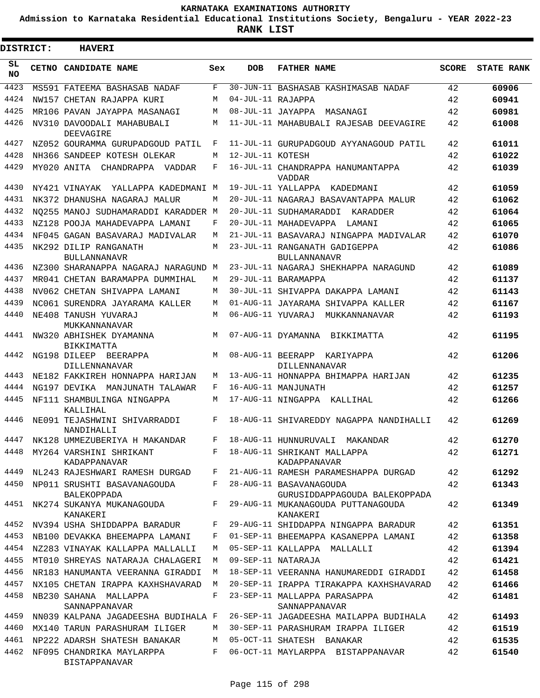**Admission to Karnataka Residential Educational Institutions Society, Bengaluru - YEAR 2022-23**

**RANK LIST**

ı

| <b>DISTRICT:</b> | <b>HAVERI</b>                                                 |              |                   |                                                                                 |       |                   |
|------------------|---------------------------------------------------------------|--------------|-------------------|---------------------------------------------------------------------------------|-------|-------------------|
| SL<br>NO.        | <b>CETNO CANDIDATE NAME</b>                                   | Sex          | <b>DOB</b>        | <b>FATHER NAME</b>                                                              | SCORE | <b>STATE RANK</b> |
| 4423             | MS591 FATEEMA BASHASAB NADAF                                  | F            |                   | 30-JUN-11 BASHASAB KASHIMASAB NADAF                                             | 42    | 60906             |
| 4424             | NW157 CHETAN RAJAPPA KURI                                     | М            | 04-JUL-11 RAJAPPA |                                                                                 | 42    | 60941             |
| 4425             | MR106 PAVAN JAYAPPA MASANAGI                                  | M            |                   | 08-JUL-11 JAYAPPA MASANAGI                                                      | 42    | 60981             |
| 4426             | NV310 DAVOODALI MAHABUBALI<br>DEEVAGIRE                       | M            |                   | 11-JUL-11 MAHABUBALI RAJESAB DEEVAGIRE                                          | 42    | 61008             |
| 4427             | NZ052 GOURAMMA GURUPADGOUD PATIL                              | F            |                   | 11-JUL-11 GURUPADGOUD AYYANAGOUD PATIL                                          | 42    | 61011             |
| 4428             | NH366 SANDEEP KOTESH OLEKAR                                   | М            | 12-JUL-11 KOTESH  |                                                                                 | 42    | 61022             |
| 4429             | MY020 ANITA CHANDRAPPA VADDAR                                 | F            |                   | 16-JUL-11 CHANDRAPPA HANUMANTAPPA<br>VADDAR                                     | 42    | 61039             |
| 4430             | NY421 VINAYAK<br>YALLAPPA KADEDMANI M                         |              |                   | 19-JUL-11 YALLAPPA KADEDMANI                                                    | 42    | 61059             |
| 4431             | NK372 DHANUSHA NAGARAJ MALUR                                  | М            |                   | 20-JUL-11 NAGARAJ BASAVANTAPPA MALUR                                            | 42    | 61062             |
| 4432             | NO255 MANOJ SUDHAMARADDI KARADDER M                           |              |                   | 20-JUL-11 SUDHAMARADDI KARADDER                                                 | 42    | 61064             |
| 4433             | NZ128 POOJA MAHADEVAPPA LAMANI                                | F            |                   | 20-JUL-11 MAHADEVAPPA LAMANI                                                    | 42    | 61065             |
| 4434             | NF045 GAGAN BASAVARAJ MADIVALAR                               | М            |                   | 21-JUL-11 BASAVARAJ NINGAPPA MADIVALAR                                          | 42    | 61070             |
| 4435             | NK292 DILIP RANGANATH<br><b>BULLANNANAVR</b>                  | M            |                   | 23-JUL-11 RANGANATH GADIGEPPA<br><b>BULLANNANAVR</b>                            | 42    | 61086             |
| 4436             | NZ300 SHARANAPPA NAGARAJ NARAGUND M                           |              |                   | 23-JUL-11 NAGARAJ SHEKHAPPA NARAGUND                                            | 42    | 61089             |
| 4437             | MR041 CHETAN BARAMAPPA DUMMIHAL                               | М            |                   | 29-JUL-11 BARAMAPPA                                                             | 42    | 61137             |
| 4438             | NV062 CHETAN SHIVAPPA LAMANI                                  | М            |                   | 30-JUL-11 SHIVAPPA DAKAPPA LAMANI                                               | 42    | 61143             |
| 4439             | NC061 SURENDRA JAYARAMA KALLER                                | М            |                   | 01-AUG-11 JAYARAMA SHIVAPPA KALLER                                              | 42    | 61167             |
| 4440             | NE408 TANUSH YUVARAJ<br>MUKKANNANAVAR                         | М            | 06-AUG-11 YUVARAJ | MUKKANNANAVAR                                                                   | 42    | 61193             |
| 4441             | NW320 ABHISHEK DYAMANNA<br>BIKKIMATTA                         | M            |                   | 07-AUG-11 DYAMANNA BIKKIMATTA                                                   | 42    | 61195             |
| 4442             | NG198 DILEEP BEERAPPA<br>DILLENNANAVAR                        | M            |                   | 08-AUG-11 BEERAPP KARIYAPPA<br>DILLENNANAVAR                                    | 42    | 61206             |
| 4443             | NE182 FAKKIREH HONNAPPA HARIJAN                               | М            |                   | 13-AUG-11 HONNAPPA BHIMAPPA HARIJAN                                             | 42    | 61235             |
| 4444             | NG197 DEVIKA MANJUNATH TALAWAR                                | F            |                   | 16-AUG-11 MANJUNATH                                                             | 42    | 61257             |
| 4445             | NF111 SHAMBULINGA NINGAPPA<br>KALLIHAL                        | М            |                   | 17-AUG-11 NINGAPPA KALLIHAL                                                     | 42    | 61266             |
| 4446             | NE091 TEJASHWINI SHIVARRADDI<br>NANDIHALLI                    | F            |                   | 18-AUG-11 SHIVAREDDY NAGAPPA NANDIHALLI                                         | 42    | 61269             |
|                  | 4447 NK128 UMMEZUBERIYA H MAKANDAR                            |              |                   | F 18-AUG-11 HUNNURUVALI MAKANDAR                                                | 42    | 61270             |
|                  | 4448 MY264 VARSHINI SHRIKANT<br>KADAPPANAVAR                  |              |                   | F 18-AUG-11 SHRIKANT MALLAPPA<br>KADAPPANAVAR                                   | 42    | 61271             |
|                  | 4449 NL243 RAJESHWARI RAMESH DURGAD F                         |              |                   | 21-AUG-11 RAMESH PARAMESHAPPA DURGAD                                            | 42    | 61292             |
| 4450             | NP011 SRUSHTI BASAVANAGOUDA                                   | F            |                   | 28-AUG-11 BASAVANAGOUDA                                                         | 42    | 61343             |
| 4451             | <b>BALEKOPPADA</b><br>NK274 SUKANYA MUKANAGOUDA F<br>KANAKERI |              |                   | GURUSIDDAPPAGOUDA BALEKOPPADA<br>29-AUG-11 MUKANAGOUDA PUTTANAGOUDA<br>KANAKERI | 42    | 61349             |
|                  | 4452 NV394 USHA SHIDDAPPA BARADUR                             | $\mathbf{F}$ |                   | 29-AUG-11 SHIDDAPPA NINGAPPA BARADUR                                            | 42    | 61351             |
| 4453             | NB100 DEVAKKA BHEEMAPPA LAMANI                                | F            |                   | 01-SEP-11 BHEEMAPPA KASANEPPA LAMANI                                            | 42    | 61358             |
| 4454             | NZ283 VINAYAK KALLAPPA MALLALLI                               | М            |                   | 05-SEP-11 KALLAPPA MALLALLI                                                     | 42    | 61394             |
| 4455             | MT010 SHREYAS NATARAJA CHALAGERI                              | M            |                   | 09-SEP-11 NATARAJA                                                              | 42    | 61421             |
| 4456             | NR183 HANUMANTA VEERANNA GIRADDI                              | M            |                   | 18-SEP-11 VEERANNA HANUMAREDDI GIRADDI                                          | 42    | 61458             |
| 4457             | NX105 CHETAN IRAPPA KAXHSHAVARAD                              | M            |                   | 20-SEP-11 IRAPPA TIRAKAPPA KAXHSHAVARAD                                         | 42    | 61466             |
| 4458             | NB230 SAHANA MALLAPPA<br>SANNAPPANAVAR                        | F            |                   | 23-SEP-11 MALLAPPA PARASAPPA<br>SANNAPPANAVAR                                   | 42    | 61481             |
| 4459             | NN039 KALPANA JAGADEESHA BUDIHALA F                           |              |                   | 26-SEP-11 JAGADEESHA MAILAPPA BUDIHALA                                          | 42    | 61493             |
| 4460             | MX140 TARUN PARASHURAM ILIGER                                 | M            |                   | 30-SEP-11 PARASHURAM IRAPPA ILIGER                                              | 42    | 61519             |
| 4461             | NP222 ADARSH SHATESH BANAKAR                                  | M            |                   | 05-OCT-11 SHATESH BANAKAR                                                       | 42    | 61535             |
| 4462             | NF095 CHANDRIKA MAYLARPPA<br>BISTAPPANAVAR                    | F            |                   | 06-OCT-11 MAYLARPPA BISTAPPANAVAR                                               | 42    | 61540             |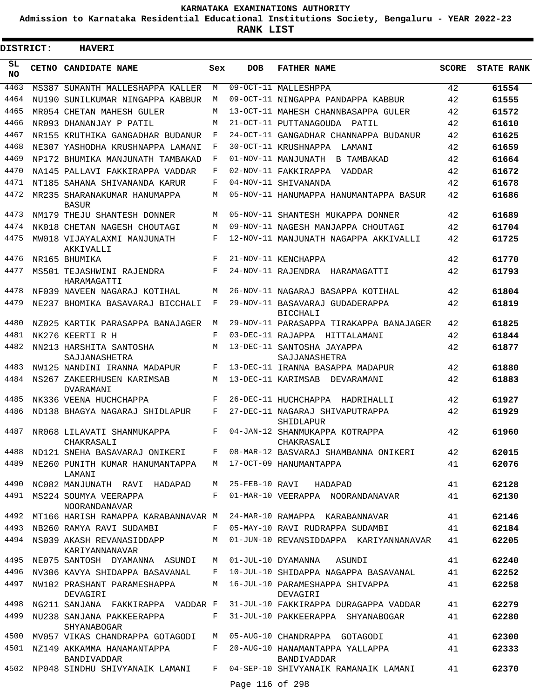**Admission to Karnataka Residential Educational Institutions Society, Bengaluru - YEAR 2022-23**

| <b>DISTRICT:</b> | <b>HAVERI</b>                                                      |            |                 |                                                       |              |                   |
|------------------|--------------------------------------------------------------------|------------|-----------------|-------------------------------------------------------|--------------|-------------------|
| SL.<br><b>NO</b> | CETNO CANDIDATE NAME                                               | Sex        | <b>DOB</b>      | <b>FATHER NAME</b>                                    | <b>SCORE</b> | <b>STATE RANK</b> |
| 4463             | MS387 SUMANTH MALLESHAPPA KALLER                                   | M          |                 | 09-OCT-11 MALLESHPPA                                  | 42           | 61554             |
| 4464             | NU190 SUNILKUMAR NINGAPPA KABBUR                                   | M          |                 | 09-OCT-11 NINGAPPA PANDAPPA KABBUR                    | 42           | 61555             |
| 4465             | MR054 CHETAN MAHESH GULER                                          | M          |                 | 13-OCT-11 MAHESH CHANNBASAPPA GULER                   | 42           | 61572             |
| 4466             | NR093 DHANANJAY P PATIL                                            | M          |                 | 21-OCT-11 PUTTANAGOUDA PATIL                          | 42           | 61610             |
| 4467             | NR155 KRUTHIKA GANGADHAR BUDANUR                                   | F          |                 | 24-OCT-11 GANGADHAR CHANNAPPA BUDANUR                 | 42           | 61625             |
| 4468             | NE307 YASHODHA KRUSHNAPPA LAMANI                                   | F          |                 | 30-OCT-11 KRUSHNAPPA<br>LAMANI                        | 42           | 61659             |
| 4469             | NP172 BHUMIKA MANJUNATH TAMBAKAD                                   | F          |                 | 01-NOV-11 MANJUNATH<br>B TAMBAKAD                     | 42           | 61664             |
| 4470             | NA145 PALLAVI FAKKIRAPPA VADDAR                                    | F          |                 | 02-NOV-11 FAKKIRAPPA<br>VADDAR                        | 42           | 61672             |
| 4471             | NT185 SAHANA SHIVANANDA KARUR                                      | F          |                 | 04-NOV-11 SHIVANANDA                                  | 42           | 61678             |
| 4472             | MR235 SHARANAKUMAR HANUMAPPA<br><b>BASUR</b>                       | M          |                 | 05-NOV-11 HANUMAPPA HANUMANTAPPA BASUR                | 42           | 61686             |
| 4473             | NM179 THEJU SHANTESH DONNER                                        | M          |                 | 05-NOV-11 SHANTESH MUKAPPA DONNER                     | 42           | 61689             |
| 4474             | NK018 CHETAN NAGESH CHOUTAGI                                       | M          |                 | 09-NOV-11 NAGESH MANJAPPA CHOUTAGI                    | 42           | 61704             |
| 4475             | MW018 VIJAYALAXMI MANJUNATH<br>AKKIVALLI                           | $_{\rm F}$ |                 | 12-NOV-11 MANJUNATH NAGAPPA AKKIVALLI                 | 42           | 61725             |
| 4476             | NR165 BHUMIKA                                                      | $_{\rm F}$ |                 | 21-NOV-11 KENCHAPPA                                   | 42           | 61770             |
| 4477             | MS501 TEJASHWINI RAJENDRA<br>HARAMAGATTI                           | F          |                 | 24-NOV-11 RAJENDRA HARAMAGATTI                        | 42           | 61793             |
| 4478             | NF039 NAVEEN NAGARAJ KOTIHAL                                       | M          |                 | 26-NOV-11 NAGARAJ BASAPPA KOTIHAL                     | 42           | 61804             |
| 4479             | NE237 BHOMIKA BASAVARAJ BICCHALI                                   | F          |                 | 29-NOV-11 BASAVARAJ GUDADERAPPA<br><b>BICCHALI</b>    | 42           | 61819             |
| 4480             | NZ025 KARTIK PARASAPPA BANAJAGER                                   | M          |                 | 29-NOV-11 PARASAPPA TIRAKAPPA BANAJAGER               | 42           | 61825             |
| 4481             | NK276 KEERTI R H                                                   | F          |                 | 03-DEC-11 RAJAPPA HITTALAMANI                         | 42           | 61844             |
| 4482             | NN213 HARSHITA SANTOSHA<br>SAJJANASHETRA                           | M          |                 | 13-DEC-11 SANTOSHA JAYAPPA<br>SAJJANASHETRA           | 42           | 61877             |
| 4483             | NW125 NANDINI IRANNA MADAPUR                                       | F          |                 | 13-DEC-11 IRANNA BASAPPA MADAPUR                      | 42           | 61880             |
| 4484             | NS267 ZAKEERHUSEN KARIMSAB<br>DVARAMANI                            | M          |                 | 13-DEC-11 KARIMSAB DEVARAMANI                         | 42           | 61883             |
| 4485             | NK336 VEENA HUCHCHAPPA                                             | F          |                 | 26-DEC-11 HUCHCHAPPA HADRIHALLI                       | 42           | 61927             |
| 4486             | ND138 BHAGYA NAGARAJ SHIDLAPUR                                     | F          |                 | 27-DEC-11 NAGARAJ SHIVAPUTRAPPA<br>SHIDLAPUR          | 42           | 61929             |
| 4487             | NR068 LILAVATI SHANMUKAPPA<br>CHAKRASALI                           | F          |                 | 04-JAN-12 SHANMUKAPPA KOTRAPPA<br>CHAKRASALI          | 42           | 61960             |
| 4488             | ND121 SNEHA BASAVARAJ ONIKERI                                      |            |                 | F 08-MAR-12 BASVARAJ SHAMBANNA ONIKERI                | 42           | 62015             |
| 4489             | NE260 PUNITH KUMAR HANUMANTAPPA<br>LAMANI                          |            |                 | M 17-OCT-09 HANUMANTAPPA                              | 41           | 62076             |
| 4490             | NC082 MANJUNATH RAVI HADAPAD                                       |            |                 | M 25-FEB-10 RAVI HADAPAD                              | 41           | 62128             |
| 4491             | MS224 SOUMYA VEERAPPA<br>NOORANDANAVAR                             | F          |                 | 01-MAR-10 VEERAPPA NOORANDANAVAR                      | 41           | 62130             |
| 4492             | MT166 HARISH RAMAPPA KARABANNAVAR M 24-MAR-10 RAMAPPA KARABANNAVAR |            |                 |                                                       | 41           | 62146             |
| 4493             | NB260 RAMYA RAVI SUDAMBI                                           | F          |                 | 05-MAY-10 RAVI RUDRAPPA SUDAMBI                       | 41           | 62184             |
| 4494             | NS039 AKASH REVANASIDDAPP<br>KARIYANNANAVAR                        | M          |                 | 01-JUN-10 REVANSIDDAPPA KARIYANNANAVAR                | 41           | 62205             |
| 4495             | NE075 SANTOSH DYAMANNA ASUNDI                                      | М          |                 | 01-JUL-10 DYAMANNA<br>ASUNDI                          | 41           | 62240             |
| 4496             | NV306 KAVYA SHIDAPPA BASAVANAL                                     | F          |                 | 10-JUL-10 SHIDAPPA NAGAPPA BASAVANAL                  | 41           | 62252             |
| 4497             | NW102 PRASHANT PARAMESHAPPA<br>DEVAGIRI                            | M          |                 | 16-JUL-10 PARAMESHAPPA SHIVAPPA<br>DEVAGIRI           | 41           | 62258             |
| 4498             | NG211 SANJANA FAKKIRAPPA VADDAR F                                  |            |                 | 31-JUL-10 FAKKIRAPPA DURAGAPPA VADDAR                 | 41           | 62279             |
| 4499             | NU238 SANJANA PAKKEERAPPA<br>SHYANABOGAR                           |            |                 | F 31-JUL-10 PAKKEERAPPA SHYANABOGAR                   | 41           | 62280             |
| 4500             | MV057 VIKAS CHANDRAPPA GOTAGODI                                    | M          |                 | 05-AUG-10 CHANDRAPPA GOTAGODI                         | 41           | 62300             |
|                  | 4501 NZ149 AKKAMMA HANAMANTAPPA<br>BANDIVADDAR                     | $F -$      |                 | 20-AUG-10 HANAMANTAPPA YALLAPPA<br><b>BANDIVADDAR</b> | 41           | 62333             |
| 4502             | NP048 SINDHU SHIVYANAIK LAMANI                                     | F          | Page 116 of 298 | 04-SEP-10 SHIVYANAIK RAMANAIK LAMANI                  | 41           | 62370             |
|                  |                                                                    |            |                 |                                                       |              |                   |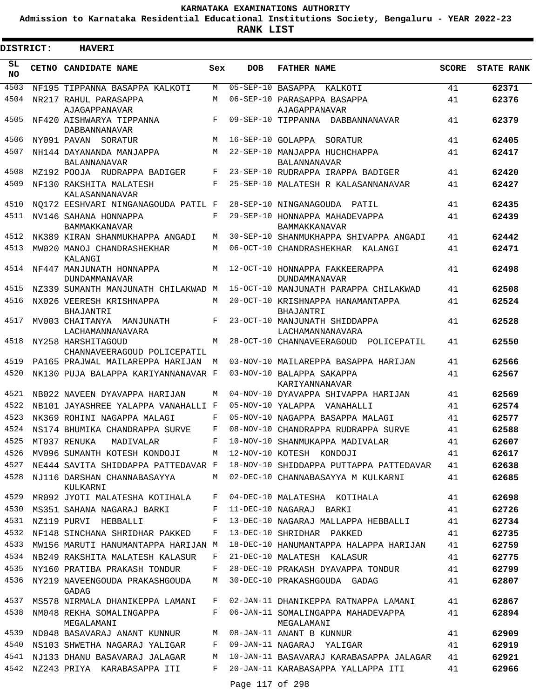**Admission to Karnataka Residential Educational Institutions Society, Bengaluru - YEAR 2022-23**

**RANK LIST**

Ξ

| <b>DISTRICT:</b> | <b>HAVERI</b>                                                      |     |                   |                                                                               |              |                   |
|------------------|--------------------------------------------------------------------|-----|-------------------|-------------------------------------------------------------------------------|--------------|-------------------|
| SL.<br><b>NO</b> | CETNO CANDIDATE NAME                                               | Sex | <b>DOB</b>        | <b>FATHER NAME</b>                                                            | <b>SCORE</b> | <b>STATE RANK</b> |
| 4503             | NF195 TIPPANNA BASAPPA KALKOTI                                     | M   | 05-SEP-10 BASAPPA | KALKOTI                                                                       | 41           | 62371             |
| 4504             | NR217 RAHUL PARASAPPA<br>AJAGAPPANAVAR                             | М   |                   | 06-SEP-10 PARASAPPA BASAPPA<br>AJAGAPPANAVAR                                  | 41           | 62376             |
| 4505             | NF420 AISHWARYA TIPPANNA<br>DABBANNANAVAR                          | F   |                   | 09-SEP-10 TIPPANNA DABBANNANAVAR                                              | 41           | 62379             |
| 4506             | NY091 PAVAN SORATUR                                                | M   | 16-SEP-10 GOLAPPA | SORATUR                                                                       | 41           | 62405             |
| 4507             | NH144 DAYANANDA MANJAPPA<br><b>BALANNANAVAR</b>                    | M   |                   | 22-SEP-10 MANJAPPA HUCHCHAPPA<br><b>BALANNANAVAR</b>                          | 41           | 62417             |
| 4508             | MZ192 POOJA RUDRAPPA BADIGER                                       | F   |                   | 23-SEP-10 RUDRAPPA IRAPPA BADIGER                                             | 41           | 62420             |
| 4509             | NF130 RAKSHITA MALATESH<br>KALASANNANAVAR                          | F   |                   | 25-SEP-10 MALATESH R KALASANNANAVAR                                           | 41           | 62427             |
| 4510             | NO172 EESHVARI NINGANAGOUDA PATIL F                                |     |                   | 28-SEP-10 NINGANAGOUDA PATIL                                                  | 41           | 62435             |
| 4511             | NV146 SAHANA HONNAPPA<br><b>BAMMAKKANAVAR</b>                      | F   |                   | 29-SEP-10 HONNAPPA MAHADEVAPPA<br><b>BAMMAKKANAVAR</b>                        | 41           | 62439             |
| 4512             | NK389 KIRAN SHANMUKHAPPA ANGADI                                    | М   |                   | 30-SEP-10 SHANMUKHAPPA SHIVAPPA ANGADI                                        | 41           | 62442             |
| 4513             | MW020 MANOJ CHANDRASHEKHAR<br>KALANGI                              | M   |                   | 06-OCT-10 CHANDRASHEKHAR KALANGI                                              | 41           | 62471             |
| 4514             | NF447 MANJUNATH HONNAPPA<br><b>DUNDAMMANAVAR</b>                   | M   |                   | 12-OCT-10 HONNAPPA FAKKEERAPPA<br>DUNDAMMANAVAR                               | 41           | 62498             |
| 4515             | NZ339 SUMANTH MANJUNATH CHILAKWAD M                                |     |                   | 15-OCT-10 MANJUNATH PARAPPA CHILAKWAD                                         | 41           | 62508             |
| 4516             | NX026 VEERESH KRISHNAPPA<br>BHAJANTRI                              | М   |                   | 20-OCT-10 KRISHNAPPA HANAMANTAPPA<br>BHAJANTRI                                | 41           | 62524             |
| 4517             | MV003 CHAITANYA MANJUNATH<br>LACHAMANNANAVARA                      | F   |                   | 23-OCT-10 MANJUNATH SHIDDAPPA<br>LACHAMANNANAVARA                             | 41           | 62528             |
| 4518             | NY258 HARSHITAGOUD<br>CHANNAVEERAGOUD POLICEPATIL                  | M   |                   | 28-OCT-10 CHANNAVEERAGOUD<br>POLICEPATIL                                      | 41           | 62550             |
| 4519             | PA165 PRAJWAL MAILAREPPA HARIJAN                                   | M   |                   | 03-NOV-10 MAILAREPPA BASAPPA HARIJAN                                          | 41           | 62566             |
| 4520             | NK130 PUJA BALAPPA KARIYANNANAVAR F                                |     |                   | 03-NOV-10 BALAPPA SAKAPPA<br>KARIYANNANAVAR                                   | 41           | 62567             |
| 4521             | NB022 NAVEEN DYAVAPPA HARIJAN                                      | M   |                   | 04-NOV-10 DYAVAPPA SHIVAPPA HARIJAN                                           | 41           | 62569             |
| 4522             | NB101 JAYASHREE YALAPPA VANAHALLI F                                |     | 05-NOV-10 YALAPPA | VANAHALLI                                                                     | 41           | 62574             |
| 4523             | NK369 ROHINI NAGAPPA MALAGI                                        | F   |                   | 05-NOV-10 NAGAPPA BASAPPA MALAGI                                              | 41           | 62577             |
| 4524             | NS174 BHUMIKA CHANDRAPPA SURVE                                     | F   |                   | 08-NOV-10 CHANDRAPPA RUDRAPPA SURVE                                           | 41           | 62588             |
| 4525             | MT037 RENUKA MADIVALAR                                             | F   |                   | 10-NOV-10 SHANMUKAPPA MADIVALAR                                               | 41           | 62607             |
| 4526             | MV096 SUMANTH KOTESH KONDOJI                                       | M   |                   | 12-NOV-10 KOTESH KONDOJI                                                      | 41           | 62617             |
| 4527<br>4528     | NE444 SAVITA SHIDDAPPA PATTEDAVAR F<br>NJ116 DARSHAN CHANNABASAYYA | M   |                   | 18-NOV-10 SHIDDAPPA PUTTAPPA PATTEDAVAR<br>02-DEC-10 CHANNABASAYYA M KULKARNI | 41<br>41     | 62638<br>62685    |
| 4529             | KULKARNI<br>MR092 JYOTI MALATESHA KOTIHALA                         | F   |                   | 04-DEC-10 MALATESHA KOTIHALA                                                  | 41           | 62698             |
| 4530             | MS351 SAHANA NAGARAJ BARKI                                         | F   |                   | 11-DEC-10 NAGARAJ BARKI                                                       | 41           | 62726             |
| 4531             | NZ119 PURVI HEBBALLI                                               | F   |                   | 13-DEC-10 NAGARAJ MALLAPPA HEBBALLI                                           | 41           | 62734             |
| 4532             | NF148 SINCHANA SHRIDHAR PAKKED                                     | F   |                   | 13-DEC-10 SHRIDHAR PAKKED                                                     | 41           | 62735             |
| 4533             | MW156 MARUTI HANUMANTAPPA HARIJAN M                                |     |                   | 18-DEC-10 HANUMANTAPPA HALAPPA HARIJAN                                        | 41           | 62759             |
|                  | 4534 NB249 RAKSHITA MALATESH KALASUR                               | F   |                   | 21-DEC-10 MALATESH KALASUR                                                    | 41           | 62775             |
|                  | 4535 NY160 PRATIBA PRAKASH TONDUR                                  | F   |                   | 28-DEC-10 PRAKASH DYAVAPPA TONDUR                                             | 41           | 62799             |
| 4536             | NY219 NAVEENGOUDA PRAKASHGOUDA<br>GADAG                            | М   |                   | 30-DEC-10 PRAKASHGOUDA GADAG                                                  | 41           | 62807             |
| 4537             | MS578 NIRMALA DHANIKEPPA LAMANI                                    | F   |                   | 02-JAN-11 DHANIKEPPA RATNAPPA LAMANI                                          | 41           | 62867             |
| 4538             | NM048 REKHA SOMALINGAPPA<br>MEGALAMANI                             | F   |                   | 06-JAN-11 SOMALINGAPPA MAHADEVAPPA<br>MEGALAMANI                              | 41           | 62894             |
| 4539             | ND048 BASAVARAJ ANANT KUNNUR                                       | М   |                   | 08-JAN-11 ANANT B KUNNUR                                                      | 41           | 62909             |
| 4540             | NS103 SHWETHA NAGARAJ YALIGAR                                      | F   |                   | 09-JAN-11 NAGARAJ YALIGAR                                                     | 41           | 62919             |
| 4541             | NJ133 DHANU BASAVARAJ JALAGAR                                      | M   |                   | 10-JAN-11 BASAVARAJ KARABASAPPA JALAGAR                                       | 41           | 62921             |
| 4542             | NZ243 PRIYA KARABASAPPA ITI                                        | F   | Page 117 of 298   | 20-JAN-11 KARABASAPPA YALLAPPA ITI                                            | 41           | 62966             |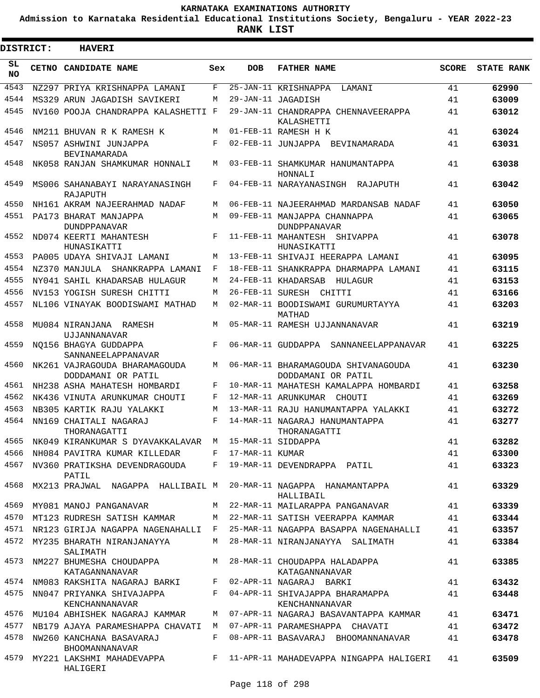**Admission to Karnataka Residential Educational Institutions Society, Bengaluru - YEAR 2022-23**

**RANK LIST**

ı

| <b>DISTRICT:</b> | <b>HAVERI</b>                                                              |     |                 |                                                           |              |                   |
|------------------|----------------------------------------------------------------------------|-----|-----------------|-----------------------------------------------------------|--------------|-------------------|
| SL<br><b>NO</b>  | CETNO CANDIDATE NAME                                                       | Sex | <b>DOB</b>      | <b>FATHER NAME</b>                                        | <b>SCORE</b> | <b>STATE RANK</b> |
| 4543             | NZ297 PRIYA KRISHNAPPA LAMANI                                              | F   |                 | 25-JAN-11 KRISHNAPPA LAMANI                               | 41           | 62990             |
| 4544             | MS329 ARUN JAGADISH SAVIKERI                                               | М   |                 | 29-JAN-11 JAGADISH                                        | 41           | 63009             |
| 4545             | NV160 POOJA CHANDRAPPA KALASHETTI F                                        |     |                 | 29-JAN-11 CHANDRAPPA CHENNAVEERAPPA<br>KALASHETTI         | 41           | 63012             |
| 4546             | NM211 BHUVAN R K RAMESH K                                                  | M   |                 | 01-FEB-11 RAMESH H K                                      | 41           | 63024             |
| 4547             | NS057 ASHWINI JUNJAPPA<br>BEVINAMARADA                                     | F   |                 | 02-FEB-11 JUNJAPPA BEVINAMARADA                           | 41           | 63031             |
| 4548             | NK058 RANJAN SHAMKUMAR HONNALI                                             | M   |                 | 03-FEB-11 SHAMKUMAR HANUMANTAPPA<br>HONNALI               | 41           | 63038             |
| 4549             | MS006 SAHANABAYI NARAYANASINGH<br>RAJAPUTH                                 | F   |                 | 04-FEB-11 NARAYANASINGH RAJAPUTH                          | 41           | 63042             |
| 4550             | NH161 AKRAM NAJEERAHMAD NADAF                                              | M   |                 | 06-FEB-11 NAJEERAHMAD MARDANSAB NADAF                     | 41           | 63050             |
| 4551             | PA173 BHARAT MANJAPPA<br><b>DUNDPPANAVAR</b>                               | M   |                 | 09-FEB-11 MANJAPPA CHANNAPPA<br><b>DUNDPPANAVAR</b>       | 41           | 63065             |
| 4552             | ND074 KEERTI MAHANTESH<br>HUNASIKATTI                                      | F   |                 | 11-FEB-11 MAHANTESH SHIVAPPA<br>HUNASIKATTI               | 41           | 63078             |
| 4553             | PA005 UDAYA SHIVAJI LAMANI                                                 | М   |                 | 13-FEB-11 SHIVAJI HEERAPPA LAMANI                         | 41           | 63095             |
| 4554             | NZ370 MANJULA SHANKRAPPA LAMANI                                            | F   |                 | 18-FEB-11 SHANKRAPPA DHARMAPPA LAMANI                     | 41           | 63115             |
| 4555             | NY041 SAHIL KHADARSAB HULAGUR                                              | М   |                 | 24-FEB-11 KHADARSAB<br>HULAGUR                            | 41           | 63153             |
| 4556             | NV153 YOGISH SURESH CHITTI                                                 | M   |                 | 26-FEB-11 SURESH CHITTI                                   | 41           | 63166             |
| 4557             | NL106 VINAYAK BOODISWAMI MATHAD                                            | М   |                 | 02-MAR-11 BOODISWAMI GURUMURTAYYA<br>MATHAD               | 41           | 63203             |
| 4558             | MU084 NIRANJANA RAMESH<br>UJJANNANAVAR                                     | M   |                 | 05-MAR-11 RAMESH UJJANNANAVAR                             | 41           | 63219             |
| 4559             | NO156 BHAGYA GUDDAPPA<br>SANNANEELAPPANAVAR                                | F   |                 | 06-MAR-11 GUDDAPPA SANNANEELAPPANAVAR                     | 41           | 63225             |
| 4560             | NK261 VAJRAGOUDA BHARAMAGOUDA<br>DODDAMANI OR PATIL                        | М   |                 | 06-MAR-11 BHARAMAGOUDA SHIVANAGOUDA<br>DODDAMANI OR PATIL | 41           | 63230             |
| 4561             | NH238 ASHA MAHATESH HOMBARDI                                               | F   |                 | 10-MAR-11 MAHATESH KAMALAPPA HOMBARDI                     | 41           | 63258             |
| 4562             | NK436 VINUTA ARUNKUMAR CHOUTI                                              | F   |                 | 12-MAR-11 ARUNKUMAR CHOUTI                                | 41           | 63269             |
| 4563             | NB305 KARTIK RAJU YALAKKI                                                  | M   |                 | 13-MAR-11 RAJU HANUMANTAPPA YALAKKI                       | 41           | 63272             |
| 4564             | NN169 CHAITALI NAGARAJ<br>THORANAGATTI                                     | F   |                 | 14-MAR-11 NAGARAJ HANUMANTAPPA<br>THORANAGATTI            | 41           | 63277             |
|                  | 4565 NK049 KIRANKUMAR S DYAVAKKALAVAR M 15-MAR-11 SIDDAPPA                 |     |                 |                                                           | 41           | 63282             |
| 4566             | NH084 PAVITRA KUMAR KILLEDAR                                               | F   | 17-MAR-11 KUMAR |                                                           | 41           | 63300             |
| 4567             | NV360 PRATIKSHA DEVENDRAGOUDA F<br>PATIL                                   |     |                 | 19-MAR-11 DEVENDRAPPA PATIL                               | 41           | 63323             |
| 4568             | MX213 PRAJWAL NAGAPPA HALLIBAIL M 20-MAR-11 NAGAPPA HANAMANTAPPA           |     |                 | HALLIBAIL                                                 | 41           | 63329             |
| 4569             | MY081 MANOJ PANGANAVAR                                                     |     |                 | M 22-MAR-11 MAILARAPPA PANGANAVAR                         | 41           | 63339             |
| 4570             | MT123 RUDRESH SATISH KAMMAR                                                | M   |                 | 22-MAR-11 SATISH VEERAPPA KAMMAR                          | 41           | 63344             |
| 4571             | NR123 GIRIJA NAGAPPA NAGENAHALLI F                                         |     |                 | 25-MAR-11 NAGAPPA BASAPPA NAGENAHALLI                     | 41           | 63357             |
|                  | 4572 MY235 BHARATH NIRANJANAYYA<br>SALIMATH                                | M   |                 | 28-MAR-11 NIRANJANAYYA SALIMATH                           | 41           | 63384             |
| 4573             | NM227 BHUMESHA CHOUDAPPA M 28-MAR-11 CHOUDAPPA HALADAPPA<br>KATAGANNANAVAR |     |                 | KATAGANNANAVAR                                            | 41           | 63385             |
|                  | 4574 NM083 RAKSHITA NAGARAJ BARKI F                                        |     |                 | 02-APR-11 NAGARAJ BARKI                                   | 41           | 63432             |
|                  | 4575 NN047 PRIYANKA SHIVAJAPPA<br>KENCHANNANAVAR                           |     |                 | F 04-APR-11 SHIVAJAPPA BHARAMAPPA<br>KENCHANNANAVAR       | 41           | 63448             |
| 4576             | MU104 ABHISHEK NAGARAJ KAMMAR                                              | M   |                 | 07-APR-11 NAGARAJ BASAVANTAPPA KAMMAR                     | 41           | 63471             |
|                  | 4577 NB179 AJAYA PARAMESHAPPA CHAVATI M 07-APR-11 PARAMESHAPPA CHAVATI     |     |                 |                                                           | 41           | 63472             |
| 4578             | NW260 KANCHANA BASAVARAJ<br><b>BHOOMANNANAVAR</b>                          | F   |                 | 08-APR-11 BASAVARAJ BHOOMANNANAVAR                        | 41           | 63478             |
|                  | 4579 MY221 LAKSHMI MAHADEVAPPA<br>HALIGERI                                 |     |                 | F 11-APR-11 MAHADEVAPPA NINGAPPA HALIGERI                 | 41           | 63509             |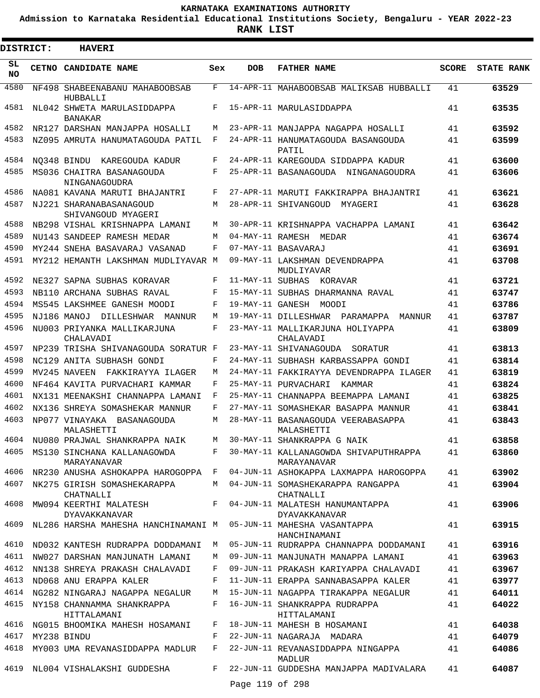**Admission to Karnataka Residential Educational Institutions Society, Bengaluru - YEAR 2022-23**

| <b>DISTRICT:</b> | <b>HAVERI</b>                                                    |       |                  |                                                                                      |              |                   |
|------------------|------------------------------------------------------------------|-------|------------------|--------------------------------------------------------------------------------------|--------------|-------------------|
| SL<br><b>NO</b>  | CETNO CANDIDATE NAME                                             | Sex   | <b>DOB</b>       | <b>FATHER NAME</b>                                                                   | <b>SCORE</b> | <b>STATE RANK</b> |
| 4580             | NF498 SHABEENABANU MAHABOOBSAB<br>HUBBALLI                       | F     |                  | 14-APR-11 MAHABOOBSAB MALIKSAB HUBBALLI                                              | 41           | 63529             |
| 4581             | NL042 SHWETA MARULASIDDAPPA<br><b>BANAKAR</b>                    | F     |                  | 15-APR-11 MARULASIDDAPPA                                                             | 41           | 63535             |
| 4582             | NR127 DARSHAN MANJAPPA HOSALLI                                   | M     |                  | 23-APR-11 MANJAPPA NAGAPPA HOSALLI                                                   | 41           | 63592             |
| 4583             | NZ095 AMRUTA HANUMATAGOUDA PATIL                                 | F     |                  | 24-APR-11 HANUMATAGOUDA BASANGOUDA<br>PATIL                                          | 41           | 63599             |
| 4584             | NO348 BINDU KAREGOUDA KADUR                                      | F     |                  | 24-APR-11 KAREGOUDA SIDDAPPA KADUR                                                   | 41           | 63600             |
| 4585             | MS036 CHAITRA BASANAGOUDA<br>NINGANAGOUDRA                       | F     |                  | 25-APR-11 BASANAGOUDA NINGANAGOUDRA                                                  | 41           | 63606             |
| 4586             | NA081 KAVANA MARUTI BHAJANTRI                                    | F     |                  | 27-APR-11 MARUTI FAKKIRAPPA BHAJANTRI                                                | 41           | 63621             |
| 4587             | NJ221 SHARANABASANAGOUD<br>SHIVANGOUD MYAGERI                    | M     |                  | 28-APR-11 SHIVANGOUD<br>MYAGERI                                                      | 41           | 63628             |
| 4588             | NB298 VISHAL KRISHNAPPA LAMANI                                   | M     |                  | 30-APR-11 KRISHNAPPA VACHAPPA LAMANI                                                 | 41           | 63642             |
| 4589             | NU143 SANDEEP RAMESH MEDAR                                       | M     |                  | 04-MAY-11 RAMESH MEDAR                                                               | 41           | 63674             |
| 4590             | MY244 SNEHA BASAVARAJ VASANAD                                    | F     |                  | 07-MAY-11 BASAVARAJ                                                                  | 41           | 63691             |
| 4591             | MY212 HEMANTH LAKSHMAN MUDLIYAVAR M                              |       |                  | 09-MAY-11 LAKSHMAN DEVENDRAPPA<br>MUDLIYAVAR                                         | 41           | 63708             |
| 4592             | NE327 SAPNA SUBHAS KORAVAR                                       | F     | 11-MAY-11 SUBHAS | KORAVAR                                                                              | 41           | 63721             |
| 4593             | NB110 ARCHANA SUBHAS RAVAL                                       | F     |                  | 15-MAY-11 SUBHAS DHARMANNA RAVAL                                                     | 41           | 63747             |
| 4594             | MS545 LAKSHMEE GANESH MOODI                                      | F     |                  | 19-MAY-11 GANESH MOODI                                                               | 41           | 63786             |
| 4595             | NJ186 MANOJ DILLESHWAR MANNUR                                    | M     |                  | 19-MAY-11 DILLESHWAR PARAMAPPA MANNUR                                                | 41           | 63787             |
| 4596             | NU003 PRIYANKA MALLIKARJUNA<br>CHALAVADI                         | F     |                  | 23-MAY-11 MALLIKARJUNA HOLIYAPPA<br>CHALAVADI                                        | 41           | 63809             |
| 4597             | NP239 TRISHA SHIVANAGOUDA SORATUR F                              |       |                  | 23-MAY-11 SHIVANAGOUDA SORATUR                                                       | 41           | 63813             |
| 4598             | NC129 ANITA SUBHASH GONDI                                        | F     |                  | 24-MAY-11 SUBHASH KARBASSAPPA GONDI                                                  | 41           | 63814             |
| 4599             | MV245 NAVEEN FAKKIRAYYA ILAGER                                   | M     |                  | 24-MAY-11 FAKKIRAYYA DEVENDRAPPA ILAGER                                              | 41           | 63819             |
| 4600             | NF464 KAVITA PURVACHARI KAMMAR                                   | F     |                  | 25-MAY-11 PURVACHARI<br>KAMMAR                                                       | 41           | 63824             |
| 4601             | NX131 MEENAKSHI CHANNAPPA LAMANI                                 | F     |                  | 25-MAY-11 CHANNAPPA BEEMAPPA LAMANI                                                  | 41           | 63825             |
| 4602             | NX136 SHREYA SOMASHEKAR MANNUR                                   | F     |                  | 27-MAY-11 SOMASHEKAR BASAPPA MANNUR                                                  | 41           | 63841             |
| 4603             | NP077 VINAYAKA BASANAGOUDA<br>MALASHETTI                         | M     |                  | 28-MAY-11 BASANAGOUDA VEERABASAPPA<br>MALASHETTI                                     | 41           | 63843             |
|                  | 4604 NU080 PRAJWAL SHANKRAPPA NAIK                               | M     |                  | 30-MAY-11 SHANKRAPPA G NAIK                                                          | 41           | 63858             |
|                  | MARAYANAVAR                                                      |       |                  | 4605 MS130 SINCHANA KALLANAGOWDA BARAT-11 KALLANAGOWDA SHIVAPUTHRAPPA<br>MARAYANAVAR | 41           | 63860             |
|                  |                                                                  |       |                  | 4606 NR230 ANUSHA ASHOKAPPA HAROGOPPA F 04-JUN-11 ASHOKAPPA LAXMAPPA HAROGOPPA       | 41           | 63902             |
|                  | 4607 NK275 GIRISH SOMASHEKARAPPA<br>CHATNALLI                    |       |                  | M 04-JUN-11 SOMASHEKARAPPA RANGAPPA<br>CHATNALLI                                     | 41           | 63904             |
| 4608             | DYAVAKKANAVAR                                                    |       |                  | MW094 KEERTHI MALATESH F 04-JUN-11 MALATESH HANUMANTAPPA<br>DYAVAKKANAVAR            | 41           | 63906             |
| 4609             | NL286 HARSHA MAHESHA HANCHINAMANI M 05-JUN-11 MAHESHA VASANTAPPA |       |                  | HANCHINAMANI                                                                         | 41           | 63915             |
| 4610             | ND032 KANTESH RUDRAPPA DODDAMANI M                               |       |                  | 05-JUN-11 RUDRAPPA CHANNAPPA DODDAMANI                                               | 41           | 63916             |
|                  | 4611 NW027 DARSHAN MANJUNATH LAMANI                              |       |                  | M 09-JUN-11 MANJUNATH MANAPPA LAMANI                                                 | 41           | 63963             |
|                  | 4612 NN138 SHREYA PRAKASH CHALAVADI                              | F     |                  | 09-JUN-11 PRAKASH KARIYAPPA CHALAVADI                                                | 41           | 63967             |
| 4613             | ND068 ANU ERAPPA KALER                                           | $F -$ |                  | 11-JUN-11 ERAPPA SANNABASAPPA KALER                                                  | 41           | 63977             |
|                  |                                                                  |       |                  | 4614 NG282 NINGARAJ NAGAPPA NEGALUR 15-JUN-11 NAGAPPA TIRAKAPPA NEGALUR              | 41           | 64011             |
|                  | 4615 NY158 CHANNAMMA SHANKRAPPA<br>HITTALAMANI                   |       |                  | F 16-JUN-11 SHANKRAPPA RUDRAPPA<br>HITTALAMANI                                       | 41           | 64022             |
| 4616             | NG015 BHOOMIKA MAHESH HOSAMANI                                   | F     |                  | 18-JUN-11 MAHESH B HOSAMANI                                                          | 41           | 64038             |
| 4617             | MY238 BINDU                                                      |       |                  | F 22-JUN-11 NAGARAJA MADARA                                                          | 41           | 64079             |
| 4618             | MY003 UMA REVANASIDDAPPA MADLUR                                  | F     |                  | 22-JUN-11 REVANASIDDAPPA NINGAPPA<br>MADLUR                                          | 41           | 64086             |
| 4619             | NL004 VISHALAKSHI GUDDESHA                                       |       | Page 119 of 298  | F 22-JUN-11 GUDDESHA MANJAPPA MADIVALARA                                             | 41           | 64087             |
|                  |                                                                  |       |                  |                                                                                      |              |                   |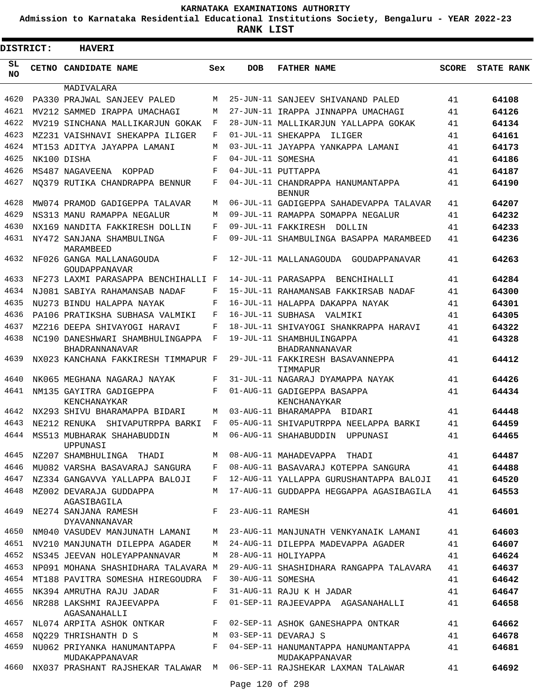**Admission to Karnataka Residential Educational Institutions Society, Bengaluru - YEAR 2022-23**

| <b>DISTRICT:</b> | <b>HAVERI</b>                                                                  |            |                   |                                                          |              |                   |
|------------------|--------------------------------------------------------------------------------|------------|-------------------|----------------------------------------------------------|--------------|-------------------|
| SL<br><b>NO</b>  | CETNO CANDIDATE NAME                                                           | Sex        | <b>DOB</b>        | <b>FATHER NAME</b>                                       | <b>SCORE</b> | <b>STATE RANK</b> |
|                  | MADIVALARA                                                                     |            |                   |                                                          |              |                   |
| 4620             | PA330 PRAJWAL SANJEEV PALED                                                    | M          |                   | 25-JUN-11 SANJEEV SHIVANAND PALED                        | 41           | 64108             |
| 4621             | MV212 SAMMED IRAPPA UMACHAGI                                                   | M          |                   | 27-JUN-11 IRAPPA JINNAPPA UMACHAGI                       | 41           | 64126             |
| 4622             | MV219 SINCHANA MALLIKARJUN GOKAK                                               | F          |                   | 28-JUN-11 MALLIKARJUN YALLAPPA GOKAK                     | 41           | 64134             |
| 4623             | MZ231 VAISHNAVI SHEKAPPA ILIGER                                                | F          |                   | 01-JUL-11 SHEKAPPA<br>ILIGER                             | 41           | 64161             |
| 4624             | MT153 ADITYA JAYAPPA LAMANI                                                    | M          |                   | 03-JUL-11 JAYAPPA YANKAPPA LAMANI                        | 41           | 64173             |
| 4625             | NK100 DISHA                                                                    | F          | 04-JUL-11 SOMESHA |                                                          | 41           | 64186             |
| 4626             | MS487 NAGAVEENA KOPPAD                                                         | $_{\rm F}$ |                   | 04-JUL-11 PUTTAPPA                                       | 41           | 64187             |
| 4627             | NO379 RUTIKA CHANDRAPPA BENNUR                                                 | F          |                   | 04-JUL-11 CHANDRAPPA HANUMANTAPPA<br><b>BENNUR</b>       | 41           | 64190             |
| 4628             | MW074 PRAMOD GADIGEPPA TALAVAR                                                 | M          |                   | 06-JUL-11 GADIGEPPA SAHADEVAPPA TALAVAR                  | 41           | 64207             |
| 4629             | NS313 MANU RAMAPPA NEGALUR                                                     | M          |                   | 09-JUL-11 RAMAPPA SOMAPPA NEGALUR                        | 41           | 64232             |
| 4630             | NX169 NANDITA FAKKIRESH DOLLIN                                                 | F          |                   | 09-JUL-11 FAKKIRESH DOLLIN                               | 41           | 64233             |
| 4631             | NY472 SANJANA SHAMBULINGA<br>MARAMBEED                                         | F          |                   | 09-JUL-11 SHAMBULINGA BASAPPA MARAMBEED                  | 41           | 64236             |
| 4632             | NF026 GANGA MALLANAGOUDA<br>GOUDAPPANAVAR                                      | F          |                   | 12-JUL-11 MALLANAGOUDA GOUDAPPANAVAR                     | 41           | 64263             |
| 4633             | NF273 LAXMI PARASAPPA BENCHIHALLI F                                            |            |                   | 14-JUL-11 PARASAPPA<br>BENCHIHALLI                       | 41           | 64284             |
| 4634             | NJ081 SABIYA RAHAMANSAB NADAF                                                  | F          |                   | 15-JUL-11 RAHAMANSAB FAKKIRSAB NADAF                     | 41           | 64300             |
| 4635             | NU273 BINDU HALAPPA NAYAK                                                      | F          |                   | 16-JUL-11 HALAPPA DAKAPPA NAYAK                          | 41           | 64301             |
| 4636             | PA106 PRATIKSHA SUBHASA VALMIKI                                                | F          |                   | 16-JUL-11 SUBHASA VALMIKI                                | 41           | 64305             |
| 4637             | MZ216 DEEPA SHIVAYOGI HARAVI                                                   | F          |                   | 18-JUL-11 SHIVAYOGI SHANKRAPPA HARAVI                    | 41           | 64322             |
| 4638             | NC190 DANESHWARI SHAMBHULINGAPPA<br><b>BHADRANNANAVAR</b>                      | F          |                   | 19-JUL-11 SHAMBHULINGAPPA<br><b>BHADRANNANAVAR</b>       | 41           | 64328             |
| 4639             | NX023 KANCHANA FAKKIRESH TIMMAPUR F                                            |            |                   | 29-JUL-11 FAKKIRESH BASAVANNEPPA<br>TIMMAPUR             | 41           | 64412             |
| 4640             | NK065 MEGHANA NAGARAJ NAYAK                                                    | F          |                   | 31-JUL-11 NAGARAJ DYAMAPPA NAYAK                         | 41           | 64426             |
| 4641             | NM135 GAYITRA GADIGEPPA<br>KENCHANAYKAR                                        | F          |                   | 01-AUG-11 GADIGEPPA BASAPPA<br>KENCHANAYKAR              | 41           | 64434             |
| 4642             | NX293 SHIVU BHARAMAPPA BIDARI                                                  | M          |                   | 03-AUG-11 BHARAMAPPA BIDARI                              | 41           | 64448             |
| 4643             | NE212 RENUKA<br>SHIVAPUTRPPA BARKI                                             | F          |                   | 05-AUG-11 SHIVAPUTRPPA NEELAPPA BARKI                    | 41           | 64459             |
| 4644             | MS513 MUBHARAK SHAHABUDDIN<br>UPPUNASI                                         | M          |                   | 06-AUG-11 SHAHABUDDIN<br>UPPUNASI                        | 41           | 64465             |
| 4645             | NZ207 SHAMBHULINGA THADI                                                       | M          |                   | 08-AUG-11 MAHADEVAPPA THADI                              | 41           | 64487             |
| 4646             | MU082 VARSHA BASAVARAJ SANGURA                                                 | F          |                   | 08-AUG-11 BASAVARAJ KOTEPPA SANGURA                      | 41           | 64488             |
| 4647             | NZ334 GANGAVVA YALLAPPA BALOJI                                                 | F          |                   | 12-AUG-11 YALLAPPA GURUSHANTAPPA BALOJI                  | 41           | 64520             |
| 4648<br>4649     | MZ002 DEVARAJA GUDDAPPA<br>AGASIBAGILA                                         | M<br>F     |                   | 17-AUG-11 GUDDAPPA HEGGAPPA AGASIBAGILA                  | 41<br>41     | 64553             |
| 4650             | NE274 SANJANA RAMESH<br><b>DYAVANNANAVAR</b><br>NM040 VASUDEV MANJUNATH LAMANI | M          | 23-AUG-11 RAMESH  | 23-AUG-11 MANJUNATH VENKYANAIK LAMANI                    | 41           | 64601<br>64603    |
| 4651             | NV210 MANJUNATH DILEPPA AGADER                                                 | M          |                   | 24-AUG-11 DILEPPA MADEVAPPA AGADER                       | 41           | 64607             |
|                  | 4652 NS345 JEEVAN HOLEYAPPANNAVAR                                              | M          |                   | 28-AUG-11 HOLIYAPPA                                      | 41           | 64624             |
| 4653             | NP091 MOHANA SHASHIDHARA TALAVARA M                                            |            |                   | 29-AUG-11 SHASHIDHARA RANGAPPA TALAVARA                  | 41           | 64637             |
| 4654             | MT188 PAVITRA SOMESHA HIREGOUDRA F                                             |            | 30-AUG-11 SOMESHA |                                                          | 41           | 64642             |
| 4655             | NK394 AMRUTHA RAJU JADAR                                                       | F          |                   | 31-AUG-11 RAJU K H JADAR                                 | 41           | 64647             |
| 4656             | NR288 LAKSHMI RAJEEVAPPA                                                       | F          |                   | 01-SEP-11 RAJEEVAPPA AGASANAHALLI                        | 41           | 64658             |
| 4657             | AGASANAHALLI<br>NL074 ARPITA ASHOK ONTKAR                                      | F          |                   |                                                          |              | 64662             |
| 4658             |                                                                                | M          |                   | 02-SEP-11 ASHOK GANESHAPPA ONTKAR<br>03-SEP-11 DEVARAJ S | 41           |                   |
| 4659             | NO229 THRISHANTH D S<br>NU062 PRIYANKA HANUMANTAPPA                            | F          |                   | 04-SEP-11 HANUMANTAPPA HANUMANTAPPA                      | 41<br>41     | 64678<br>64681    |
| 4660             | MUDAKAPPANAVAR<br>NX037 PRASHANT RAJSHEKAR TALAWAR M                           |            |                   | MUDAKAPPANAVAR<br>06-SEP-11 RAJSHEKAR LAXMAN TALAWAR     | 41           | 64692             |
|                  |                                                                                |            | Page 120 of 298   |                                                          |              |                   |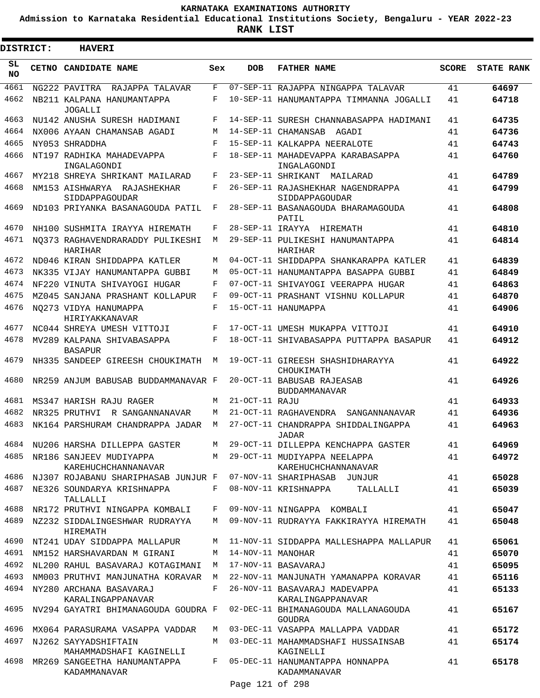**Admission to Karnataka Residential Educational Institutions Society, Bengaluru - YEAR 2022-23**

 $\blacksquare$ 

| <b>DISTRICT:</b> | <b>HAVERI</b>                                   |     |                   |                                                       |              |                   |
|------------------|-------------------------------------------------|-----|-------------------|-------------------------------------------------------|--------------|-------------------|
| SL<br><b>NO</b>  | CETNO CANDIDATE NAME                            | Sex | <b>DOB</b>        | <b>FATHER NAME</b>                                    | <b>SCORE</b> | <b>STATE RANK</b> |
| 4661             | NG222 PAVITRA<br>RAJAPPA TALAVAR                | F   |                   | 07-SEP-11 RAJAPPA NINGAPPA TALAVAR                    | 41           | 64697             |
| 4662             | NB211 KALPANA HANUMANTAPPA<br><b>JOGALLI</b>    | F   |                   | 10-SEP-11 HANUMANTAPPA TIMMANNA JOGALLI               | 41           | 64718             |
| 4663             | NU142 ANUSHA SURESH HADIMANI                    | F   |                   | 14-SEP-11 SURESH CHANNABASAPPA HADIMANI               | 41           | 64735             |
| 4664             | NX006 AYAAN CHAMANSAB AGADI                     | M   |                   | 14-SEP-11 CHAMANSAB<br>AGADI                          | 41           | 64736             |
| 4665             | NY053 SHRADDHA                                  | F   |                   | 15-SEP-11 KALKAPPA NEERALOTE                          | 41           | 64743             |
| 4666             | NT197 RADHIKA MAHADEVAPPA<br>INGALAGONDI        | F   |                   | 18-SEP-11 MAHADEVAPPA KARABASAPPA<br>INGALAGONDI      | 41           | 64760             |
| 4667             | MY218 SHREYA SHRIKANT MAILARAD                  | F   |                   | 23-SEP-11 SHRIKANT<br>MAILARAD                        | 41           | 64789             |
| 4668             | NM153 AISHWARYA RAJASHEKHAR<br>SIDDAPPAGOUDAR   | F   |                   | 26-SEP-11 RAJASHEKHAR NAGENDRAPPA<br>SIDDAPPAGOUDAR   | 41           | 64799             |
| 4669             | ND103 PRIYANKA BASANAGOUDA PATIL                | F   |                   | 28-SEP-11 BASANAGOUDA BHARAMAGOUDA<br>PATIL           | 41           | 64808             |
| 4670             | NH100 SUSHMITA IRAYYA HIREMATH                  | F   | 28-SEP-11 IRAYYA  | HIREMATH                                              | 41           | 64810             |
| 4671             | NO373 RAGHAVENDRARADDY PULIKESHI<br>HARIHAR     | M   |                   | 29-SEP-11 PULIKESHI HANUMANTAPPA<br>HARIHAR           | 41           | 64814             |
| 4672             | ND046 KIRAN SHIDDAPPA KATLER                    | М   |                   | 04-OCT-11 SHIDDAPPA SHANKARAPPA KATLER                | 41           | 64839             |
| 4673             | NK335 VIJAY HANUMANTAPPA GUBBI                  | М   |                   | 05-OCT-11 HANUMANTAPPA BASAPPA GUBBI                  | 41           | 64849             |
| 4674             | NF220 VINUTA SHIVAYOGI HUGAR                    | F   |                   | 07-OCT-11 SHIVAYOGI VEERAPPA HUGAR                    | 41           | 64863             |
| 4675             | MZ045 SANJANA PRASHANT KOLLAPUR                 | F   |                   | 09-OCT-11 PRASHANT VISHNU KOLLAPUR                    | 41           | 64870             |
| 4676             | NO273 VIDYA HANUMAPPA<br>HIRIYAKKANAVAR         | F   |                   | 15-OCT-11 HANUMAPPA                                   | 41           | 64906             |
| 4677             | NC044 SHREYA UMESH VITTOJI                      | F   |                   | 17-OCT-11 UMESH MUKAPPA VITTOJI                       | 41           | 64910             |
| 4678             | MV289 KALPANA SHIVABASAPPA<br><b>BASAPUR</b>    | F   |                   | 18-OCT-11 SHIVABASAPPA PUTTAPPA BASAPUR               | 41           | 64912             |
| 4679             | NH335 SANDEEP GIREESH CHOUKIMATH                | М   |                   | 19-OCT-11 GIREESH SHASHIDHARAYYA<br>CHOUKIMATH        | 41           | 64922             |
| 4680             | NR259 ANJUM BABUSAB BUDDAMMANAVAR F             |     |                   | 20-OCT-11 BABUSAB RAJEASAB<br><b>BUDDAMMANAVAR</b>    | 41           | 64926             |
| 4681             | MS347 HARISH RAJU RAGER                         | M   | 21-OCT-11 RAJU    |                                                       | 41           | 64933             |
| 4682             | NR325 PRUTHVI<br>R SANGANNANAVAR                | М   |                   | 21-OCT-11 RAGHAVENDRA<br>SANGANNANAVAR                | 41           | 64936             |
| 4683             | NK164 PARSHURAM CHANDRAPPA JADAR                | M   |                   | 27-OCT-11 CHANDRAPPA SHIDDALINGAPPA<br>JADAR          | 41           | 64963             |
| 4684             | NU206 HARSHA DILLEPPA GASTER                    | M   |                   | 29-OCT-11 DILLEPPA KENCHAPPA GASTER                   | 41           | 64969             |
| 4685             | NR186 SANJEEV MUDIYAPPA<br>KAREHUCHCHANNANAVAR  |     |                   | M 29-OCT-11 MUDIYAPPA NEELAPPA<br>KAREHUCHCHANNANAVAR | 41           | 64972             |
| 4686             | NJ307 ROJABANU SHARIPHASAB JUNJUR F             |     |                   | 07-NOV-11 SHARIPHASAB JUNJUR                          | 41           | 65028             |
| 4687             | NE326 SOUNDARYA KRISHNAPPA<br>TALLALLI          | F   |                   | 08-NOV-11 KRISHNAPPA<br>TALLALLI                      | 41           | 65039             |
| 4688             | NR172 PRUTHVI NINGAPPA KOMBALI                  | F   |                   | 09-NOV-11 NINGAPPA KOMBALI                            | 41           | 65047             |
| 4689             | NZ232 SIDDALINGESHWAR RUDRAYYA<br>HIREMATH      | M   |                   | 09-NOV-11 RUDRAYYA FAKKIRAYYA HIREMATH                | 41           | 65048             |
| 4690             | NT241 UDAY SIDDAPPA MALLAPUR                    | M   |                   | 11-NOV-11 SIDDAPPA MALLESHAPPA MALLAPUR               | 41           | 65061             |
| 4691             | NM152 HARSHAVARDAN M GIRANI                     | М   | 14-NOV-11 MANOHAR |                                                       | 41           | 65070             |
| 4692             | NL200 RAHUL BASAVARAJ KOTAGIMANI                | M   |                   | 17-NOV-11 BASAVARAJ                                   | 41           | 65095             |
| 4693             | NM003 PRUTHVI MANJUNATHA KORAVAR                | M   |                   | 22-NOV-11 MANJUNATH YAMANAPPA KORAVAR                 | 41           | 65116             |
| 4694             | NY280 ARCHANA BASAVARAJ<br>KARALINGAPPANAVAR    | F   |                   | 26-NOV-11 BASAVARAJ MADEVAPPA<br>KARALINGAPPANAVAR    | 41           | 65133             |
| 4695             | NV294 GAYATRI BHIMANAGOUDA GOUDRA F             |     |                   | 02-DEC-11 BHIMANAGOUDA MALLANAGOUDA<br><b>GOUDRA</b>  | 41           | 65167             |
| 4696             | MX064 PARASURAMA VASAPPA VADDAR                 | M   |                   | 03-DEC-11 VASAPPA MALLAPPA VADDAR                     | 41           | 65172             |
| 4697             | NJ262 SAYYADSHIFTAIN<br>MAHAMMADSHAFI KAGINELLI | M   |                   | 03-DEC-11 MAHAMMADSHAFI HUSSAINSAB<br>KAGINELLI       | 41           | 65174             |
| 4698             | MR269 SANGEETHA HANUMANTAPPA<br>KADAMMANAVAR    | F   |                   | 05-DEC-11 HANUMANTAPPA HONNAPPA<br>KADAMMANAVAR       | 41           | 65178             |
|                  |                                                 |     | Page 121 of 298   |                                                       |              |                   |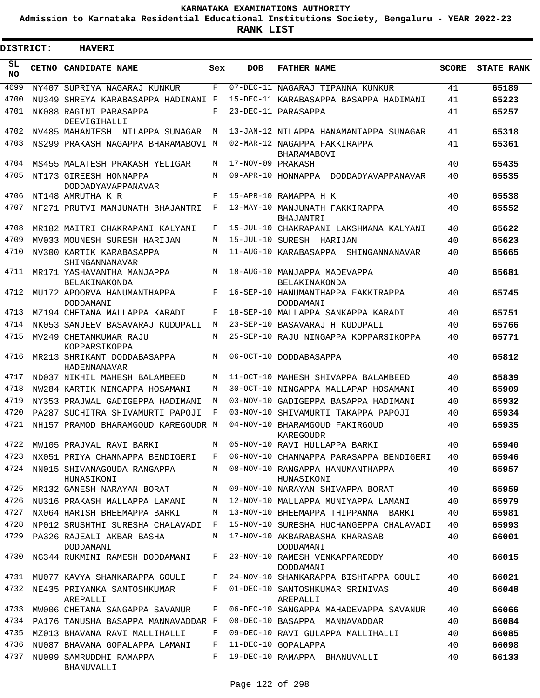**Admission to Karnataka Residential Educational Institutions Society, Bengaluru - YEAR 2022-23**

ı

| <b>DISTRICT:</b> | <b>HAVERI</b>                                |     |                   |                                                 |              |                   |
|------------------|----------------------------------------------|-----|-------------------|-------------------------------------------------|--------------|-------------------|
| SL<br><b>NO</b>  | <b>CETNO CANDIDATE NAME</b>                  | Sex | <b>DOB</b>        | <b>FATHER NAME</b>                              | <b>SCORE</b> | <b>STATE RANK</b> |
| 4699             | NY407 SUPRIYA NAGARAJ KUNKUR                 | F   |                   | 07-DEC-11 NAGARAJ TIPANNA KUNKUR                | 41           | 65189             |
| 4700             | NU349 SHREYA KARABASAPPA HADIMANI F          |     |                   | 15-DEC-11 KARABASAPPA BASAPPA HADIMANI          | 41           | 65223             |
| 4701             | NK088 RAGINI PARASAPPA<br>DEEVIGIHALLI       | F   |                   | 23-DEC-11 PARASAPPA                             | 41           | 65257             |
| 4702             | NV485 MAHANTESH NILAPPA SUNAGAR              | M   |                   | 13-JAN-12 NILAPPA HANAMANTAPPA SUNAGAR          | 41           | 65318             |
| 4703             | NS299 PRAKASH NAGAPPA BHARAMABOVI M          |     |                   | 02-MAR-12 NAGAPPA FAKKIRAPPA<br>BHARAMABOVI     | 41           | 65361             |
| 4704             | MS455 MALATESH PRAKASH YELIGAR               | М   | 17-NOV-09 PRAKASH |                                                 | 40           | 65435             |
| 4705             | NT173 GIREESH HONNAPPA<br>DODDADYAVAPPANAVAR | M   |                   | 09-APR-10 HONNAPPA<br>DODDADYAVAPPANAVAR        | 40           | 65535             |
| 4706             | NT148 AMRUTHA K R                            | F   |                   | 15-APR-10 RAMAPPA H K                           | 40           | 65538             |
| 4707             | NF271 PRUTVI MANJUNATH BHAJANTRI             | F   |                   | 13-MAY-10 MANJUNATH FAKKIRAPPA<br>BHAJANTRI     | 40           | 65552             |
| 4708             | MR182 MAITRI CHAKRAPANI KALYANI              | F   |                   | 15-JUL-10 CHAKRAPANI LAKSHMANA KALYANI          | 40           | 65622             |
| 4709             | MV033 MOUNESH SURESH HARIJAN                 | M   |                   | 15-JUL-10 SURESH HARIJAN                        | 40           | 65623             |
| 4710             | NV300 KARTIK KARABASAPPA<br>SHINGANNANAVAR   | M   |                   | 11-AUG-10 KARABASAPPA SHINGANNANAVAR            | 40           | 65665             |
| 4711             | MR171 YASHAVANTHA MANJAPPA<br>BELAKINAKONDA  | M   |                   | 18-AUG-10 MANJAPPA MADEVAPPA<br>BELAKINAKONDA   | 40           | 65681             |
| 4712             | MU172 APOORVA HANUMANTHAPPA<br>DODDAMANI     | F   |                   | 16-SEP-10 HANUMANTHAPPA FAKKIRAPPA<br>DODDAMANI | 40           | 65745             |
| 4713             | MZ194 CHETANA MALLAPPA KARADI                | F   |                   | 18-SEP-10 MALLAPPA SANKAPPA KARADI              | 40           | 65751             |
| 4714             | NK053 SANJEEV BASAVARAJ KUDUPALI             | M   |                   | 23-SEP-10 BASAVARAJ H KUDUPALI                  | 40           | 65766             |
| 4715             | MV249 CHETANKUMAR RAJU<br>KOPPARSIKOPPA      | M   |                   | 25-SEP-10 RAJU NINGAPPA KOPPARSIKOPPA           | 40           | 65771             |
| 4716             | MR213 SHRIKANT DODDABASAPPA<br>HADENNANAVAR  | M   |                   | 06-OCT-10 DODDABASAPPA                          | 40           | 65812             |
| 4717             | ND037 NIKHIL MAHESH BALAMBEED                | М   |                   | 11-OCT-10 MAHESH SHIVAPPA BALAMBEED             | 40           | 65839             |
| 4718             | NW284 KARTIK NINGAPPA HOSAMANI               | M   |                   | 30-OCT-10 NINGAPPA MALLAPAP HOSAMANI            | 40           | 65909             |
| 4719             | NY353 PRAJWAL GADIGEPPA HADIMANI             | М   |                   | 03-NOV-10 GADIGEPPA BASAPPA HADIMANI            | 40           | 65932             |
| 4720             | PA287 SUCHITRA SHIVAMURTI PAPOJI             | F   |                   | 03-NOV-10 SHIVAMURTI TAKAPPA PAPOJI             | 40           | 65934             |
| 4721             | NH157 PRAMOD BHARAMGOUD KAREGOUDR M          |     |                   | 04-NOV-10 BHARAMGOUD FAKIRGOUD<br>KAREGOUDR     | 40           | 65935             |
| 4722             | MW105 PRAJVAL RAVI BARKI                     | М   |                   | 05-NOV-10 RAVI HULLAPPA BARKI                   | 40           | 65940             |
| 4723             | NX051 PRIYA CHANNAPPA BENDIGERI              | F   |                   | 06-NOV-10 CHANNAPPA PARASAPPA BENDIGERI         | 40           | 65946             |
| 4724             | NN015 SHIVANAGOUDA RANGAPPA<br>HUNASIKONI    | М   |                   | 08-NOV-10 RANGAPPA HANUMANTHAPPA<br>HUNASIKONI  | 40           | 65957             |
| 4725             | MR132 GANESH NARAYAN BORAT                   | M   |                   | 09-NOV-10 NARAYAN SHIVAPPA BORAT                | 40           | 65959             |
| 4726             | NU316 PRAKASH MALLAPPA LAMANI                | М   |                   | 12-NOV-10 MALLAPPA MUNIYAPPA LAMANI             | 40           | 65979             |
| 4727             | NX064 HARISH BHEEMAPPA BARKI                 | М   |                   | 13-NOV-10 BHEEMAPPA THIPPANNA BARKI             | 40           | 65981             |
| 4728             | NP012 SRUSHTHI SURESHA CHALAVADI             | F   |                   | 15-NOV-10 SURESHA HUCHANGEPPA CHALAVADI         | 40           | 65993             |
| 4729             | PA326 RAJEALI AKBAR BASHA<br>DODDAMANI       | M   |                   | 17-NOV-10 AKBARABASHA KHARASAB<br>DODDAMANI     | 40           | 66001             |
| 4730             | NG344 RUKMINI RAMESH DODDAMANI               | F   |                   | 23-NOV-10 RAMESH VENKAPPAREDDY<br>DODDAMANI     | 40           | 66015             |
| 4731             | MU077 KAVYA SHANKARAPPA GOULI                | F   |                   | 24-NOV-10 SHANKARAPPA BISHTAPPA GOULI           | 40           | 66021             |
| 4732             | NE435 PRIYANKA SANTOSHKUMAR<br>AREPALLI      | F   |                   | 01-DEC-10 SANTOSHKUMAR SRINIVAS<br>AREPALLI     | 40           | 66048             |
| 4733             | MW006 CHETANA SANGAPPA SAVANUR               | F   |                   | 06-DEC-10 SANGAPPA MAHADEVAPPA SAVANUR          | 40           | 66066             |
| 4734             | PA176 TANUSHA BASAPPA MANNAVADDAR F          |     |                   | 08-DEC-10 BASAPPA MANNAVADDAR                   | 40           | 66084             |
| 4735             | MZ013 BHAVANA RAVI MALLIHALLI                | F   |                   | 09-DEC-10 RAVI GULAPPA MALLIHALLI               | 40           | 66085             |
| 4736             | NU087 BHAVANA GOPALAPPA LAMANI               | F   |                   | 11-DEC-10 GOPALAPPA                             | 40           | 66098             |
| 4737             | NU099 SAMRUDDHI RAMAPPA<br>BHANUVALLI        | F   |                   | 19-DEC-10 RAMAPPA BHANUVALLI                    | 40           | 66133             |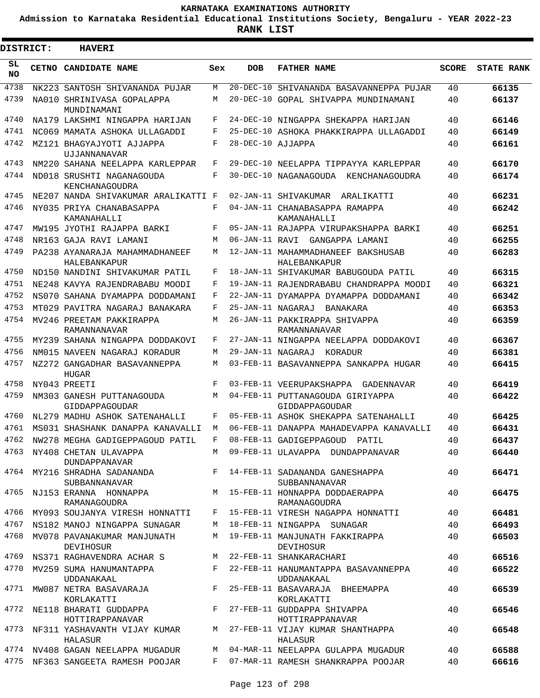**Admission to Karnataka Residential Educational Institutions Society, Bengaluru - YEAR 2022-23**

| <b>DISTRICT:</b> | <b>HAVERI</b>                                                                  |     |                   |                                                                                            |              |                   |
|------------------|--------------------------------------------------------------------------------|-----|-------------------|--------------------------------------------------------------------------------------------|--------------|-------------------|
| SL<br><b>NO</b>  | CETNO CANDIDATE NAME                                                           | Sex | <b>DOB</b>        | <b>FATHER NAME</b>                                                                         | <b>SCORE</b> | <b>STATE RANK</b> |
| 4738             | NK223 SANTOSH SHIVANANDA PUJAR                                                 | M   |                   | 20-DEC-10 SHIVANANDA BASAVANNEPPA PUJAR                                                    | 40           | 66135             |
| 4739             | NA010 SHRINIVASA GOPALAPPA<br>MUNDINAMANI                                      | М   |                   | 20-DEC-10 GOPAL SHIVAPPA MUNDINAMANI                                                       | 40           | 66137             |
| 4740             | NA179 LAKSHMI NINGAPPA HARIJAN                                                 | F   |                   | 24-DEC-10 NINGAPPA SHEKAPPA HARIJAN                                                        | 40           | 66146             |
| 4741             | NC069 MAMATA ASHOKA ULLAGADDI                                                  | F   |                   | 25-DEC-10 ASHOKA PHAKKIRAPPA ULLAGADDI                                                     | 40           | 66149             |
| 4742             | MZ121 BHAGYAJYOTI AJJAPPA<br><b>UJJANNANAVAR</b>                               | F   | 28-DEC-10 AJJAPPA |                                                                                            | 40           | 66161             |
| 4743             | NM220 SAHANA NEELAPPA KARLEPPAR                                                | F   |                   | 29-DEC-10 NEELAPPA TIPPAYYA KARLEPPAR                                                      | 40           | 66170             |
| 4744             | ND018 SRUSHTI NAGANAGOUDA<br>KENCHANAGOUDRA                                    | F   |                   | 30-DEC-10 NAGANAGOUDA KENCHANAGOUDRA                                                       | 40           | 66174             |
| 4745             | NE207 NANDA SHIVAKUMAR ARALIKATTI F                                            |     |                   | 02-JAN-11 SHIVAKUMAR ARALIKATTI                                                            | 40           | 66231             |
| 4746             | NY035 PRIYA CHANABASAPPA<br>KAMANAHALLI                                        | F   |                   | 04-JAN-11 CHANABASAPPA RAMAPPA<br>KAMANAHALLI                                              | 40           | 66242             |
| 4747             | MW195 JYOTHI RAJAPPA BARKI                                                     | F   |                   | 05-JAN-11 RAJAPPA VIRUPAKSHAPPA BARKI                                                      | 40           | 66251             |
| 4748             | NR163 GAJA RAVI LAMANI                                                         | M   |                   | 06-JAN-11 RAVI GANGAPPA LAMANI                                                             | 40           | 66255             |
| 4749             | PA238 AYANARAJA MAHAMMADHANEEF<br>HALEBANKAPUR                                 | М   |                   | 12-JAN-11 MAHAMMADHANEEF BAKSHUSAB<br>HALEBANKAPUR                                         | 40           | 66283             |
| 4750             | ND150 NANDINI SHIVAKUMAR PATIL                                                 | F   |                   | 18-JAN-11 SHIVAKUMAR BABUGOUDA PATIL                                                       | 40           | 66315             |
| 4751             | NE248 KAVYA RAJENDRABABU MOODI                                                 | F   |                   | 19-JAN-11 RAJENDRABABU CHANDRAPPA MOODI                                                    | 40           | 66321             |
| 4752             | NS070 SAHANA DYAMAPPA DODDAMANI                                                | F   |                   | 22-JAN-11 DYAMAPPA DYAMAPPA DODDAMANI                                                      | 40           | 66342             |
| 4753             | MT029 PAVITRA NAGARAJ BANAKARA                                                 | F   | 25-JAN-11 NAGARAJ | BANAKARA                                                                                   | 40           | 66353             |
| 4754             | MV246 PREETAM PAKKIRAPPA<br>RAMANNANAVAR                                       | М   |                   | 26-JAN-11 PAKKIRAPPA SHIVAPPA<br>RAMANNANAVAR                                              | 40           | 66359             |
| 4755             | MY239 SAHANA NINGAPPA DODDAKOVI                                                | F   |                   | 27-JAN-11 NINGAPPA NEELAPPA DODDAKOVI                                                      | 40           | 66367             |
| 4756             | NM015 NAVEEN NAGARAJ KORADUR                                                   | M   | 29-JAN-11 NAGARAJ | KORADUR                                                                                    | 40           | 66381             |
| 4757             | NZ272 GANGADHAR BASAVANNEPPA<br>HUGAR                                          | М   |                   | 03-FEB-11 BASAVANNEPPA SANKAPPA HUGAR                                                      | 40           | 66415             |
| 4758             | NY043 PREETI                                                                   | F   |                   | 03-FEB-11 VEERUPAKSHAPPA GADENNAVAR                                                        | 40           | 66419             |
| 4759             | NM303 GANESH PUTTANAGOUDA<br>GIDDAPPAGOUDAR                                    | М   |                   | 04-FEB-11 PUTTANAGOUDA GIRIYAPPA<br>GIDDAPPAGOUDAR                                         | 40           | 66422             |
| 4760             | NL279 MADHU ASHOK SATENAHALLI                                                  | F   |                   | 05-FEB-11 ASHOK SHEKAPPA SATENAHALLI                                                       | 40           | 66425             |
| 4761             | MS031 SHASHANK DANAPPA KANAVALLI                                               | M   |                   | 06-FEB-11 DANAPPA MAHADEVAPPA KANAVALLI                                                    | 40           | 66431             |
|                  | 4762 NW278 MEGHA GADIGEPPAGOUD PATIL F 08-FEB-11 GADIGEPPAGOUD PATIL           |     |                   |                                                                                            | 40           | 66437             |
|                  | 4763 NY408 CHETAN ULAVAPPA<br>DUNDAPPANAVAR                                    |     |                   | M 09-FEB-11 ULAVAPPA DUNDAPPANAVAR                                                         | 40           | 66440             |
|                  | 4764 MY216 SHRADHA SADANANDA F 14-FEB-11 SADANANDA GANESHAPPA<br>SUBBANNANAVAR |     |                   | SUBBANNANAVAR                                                                              | 40           | 66471             |
|                  | RAMANAGOUDRA                                                                   |     |                   | 4765 NJ153 ERANNA HONNAPPA M 15-FEB-11 HONNAPPA DODDAERAPPA<br>RAMANAGOUDRA                | 40           | 66475             |
|                  | 4766 MY093 SOUJANYA VIRESH HONNATTI                                            |     |                   | F 15-FEB-11 VIRESH NAGAPPA HONNATTI                                                        | 40           | 66481             |
|                  | 4767 NS182 MANOJ NINGAPPA SUNAGAR                                              |     |                   | M 18-FEB-11 NINGAPPA SUNAGAR                                                               | 40           | 66493             |
|                  | 4768 MV078 PAVANAKUMAR MANJUNATH<br>DEVIHOSUR                                  |     |                   | M 19-FEB-11 MANJUNATH FAKKIRAPPA<br>DEVIHOSUR                                              | 40           | 66503             |
|                  | 4769 NS371 RAGHAVENDRA ACHAR S                                                 |     |                   | M 22-FEB-11 SHANKARACHARI                                                                  | 40           | 66516             |
|                  | UDDANAKAAL                                                                     |     |                   | 4770 MV259 SUMA HANUMANTAPPA         F   22-FEB-11 HANUMANTAPPA BASAVANNEPPA<br>UDDANAKAAL | 40           | 66522             |
|                  | 4771 MW087 NETRA BASAVARAJA<br>KORLAKATTI                                      |     |                   | F 25-FEB-11 BASAVARAJA BHEEMAPPA<br>KORLAKATTI                                             | 40           | 66539             |
|                  | 4772 NE118 BHARATI GUDDAPPA F 27-FEB-11 GUDDAPPA SHIVAPPA<br>HOTTIRAPPANAVAR   |     |                   | HOTTIRAPPANAVAR                                                                            | 40           | 66546             |
|                  | HALASUR                                                                        |     |                   | 4773 NF311 YASHAVANTH VIJAY KUMAR M 27-FEB-11 VIJAY KUMAR SHANTHAPPA<br>HALASUR            | 40           | 66548             |
|                  | 4774 NV408 GAGAN NEELAPPA MUGADUR                                              |     |                   | M 04-MAR-11 NEELAPPA GULAPPA MUGADUR                                                       | 40           | 66588             |
|                  | 4775 NF363 SANGEETA RAMESH POOJAR                                              |     |                   | F 07-MAR-11 RAMESH SHANKRAPPA POOJAR                                                       | 40           | 66616             |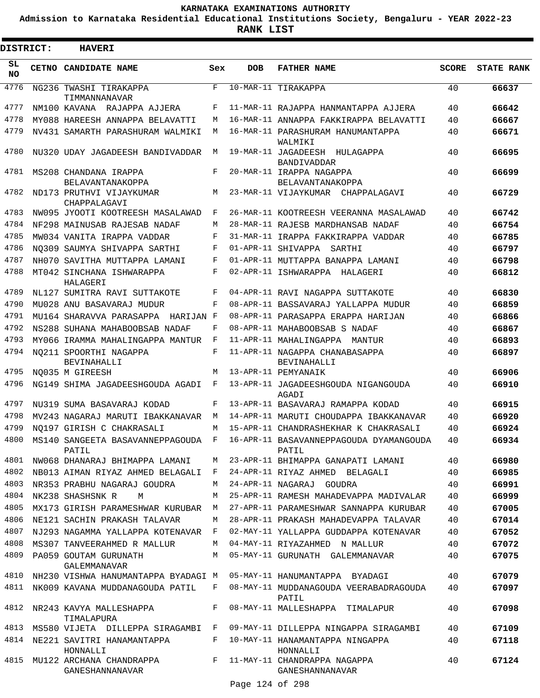**Admission to Karnataka Residential Educational Institutions Society, Bengaluru - YEAR 2022-23**

**RANK LIST**

| DISTRICT:  | <b>HAVERI</b>                               |     |            |                                                                                          |              |                   |
|------------|---------------------------------------------|-----|------------|------------------------------------------------------------------------------------------|--------------|-------------------|
| SL.<br>NO. | CETNO CANDIDATE NAME                        | Sex | <b>DOB</b> | <b>FATHER NAME</b>                                                                       | <b>SCORE</b> | <b>STATE RANK</b> |
| 4776       | NG236 TWASHI TIRAKAPPA<br>TIMMANNANAVAR     | F   |            | 10-MAR-11 TIRAKAPPA                                                                      | 40           | 66637             |
| 4777       | NM100 KAVANA RAJAPPA AJJERA                 | F   |            | 11-MAR-11 RAJAPPA HANMANTAPPA AJJERA                                                     | 40           | 66642             |
| 4778       | MY088 HAREESH ANNAPPA BELAVATTI             | M   |            | 16-MAR-11 ANNAPPA FAKKIRAPPA BELAVATTI                                                   | 40           | 66667             |
| 4779       | NV431 SAMARTH PARASHURAM WALMIKI            | М   |            | 16-MAR-11 PARASHURAM HANUMANTAPPA<br>WALMIKI                                             | 40           | 66671             |
| 4780       | NU320 UDAY JAGADEESH BANDIVADDAR            | М   |            | 19-MAR-11 JAGADEESH HULAGAPPA<br><b>BANDIVADDAR</b>                                      | 40           | 66695             |
| 4781       | MS208 CHANDANA IRAPPA<br>BELAVANTANAKOPPA   | F   |            | 20-MAR-11 IRAPPA NAGAPPA<br>BELAVANTANAKOPPA                                             | 40           | 66699             |
| 4782       | ND173 PRUTHVI VIJAYKUMAR<br>CHAPPALAGAVI    | М   |            | 23-MAR-11 VIJAYKUMAR CHAPPALAGAVI                                                        | 40           | 66729             |
| 4783       | NW095 JYOOTI KOOTREESH MASALAWAD            | F   |            | 26-MAR-11 KOOTREESH VEERANNA MASALAWAD                                                   | 40           | 66742             |
| 4784       | NF298 MAINUSAB RAJESAB NADAF                | М   |            | 28-MAR-11 RAJESB MARDHANSAB NADAF                                                        | 40           | 66754             |
| 4785       | MW034 VANITA IRAPPA VADDAR                  | F   |            | 31-MAR-11 IRAPPA FAKKIRAPPA VADDAR                                                       | 40           | 66785             |
| 4786       | NO309 SAUMYA SHIVAPPA SARTHI                | F   |            | 01-APR-11 SHIVAPPA<br>SARTHI                                                             | 40           | 66797             |
| 4787       | NH070 SAVITHA MUTTAPPA LAMANI               | F   |            | 01-APR-11 MUTTAPPA BANAPPA LAMANI                                                        | 40           | 66798             |
| 4788       | MT042 SINCHANA ISHWARAPPA<br>HALAGERI       | F   |            | 02-APR-11 ISHWARAPPA HALAGERI                                                            | 40           | 66812             |
| 4789       | NL127 SUMITRA RAVI SUTTAKOTE                | F   |            | 04-APR-11 RAVI NAGAPPA SUTTAKOTE                                                         | 40           | 66830             |
| 4790       | MU028 ANU BASAVARAJ MUDUR                   | F   |            | 08-APR-11 BASSAVARAJ YALLAPPA MUDUR                                                      | 40           | 66859             |
| 4791       | MU164 SHARAVVA PARASAPPA<br>HARIJAN F       |     |            | 08-APR-11 PARASAPPA ERAPPA HARIJAN                                                       | 40           | 66866             |
| 4792       | NS288 SUHANA MAHABOOBSAB NADAF              | F   |            | 08-APR-11 MAHABOOBSAB S NADAF                                                            | 40           | 66867             |
| 4793       | MY066 IRAMMA MAHALINGAPPA MANTUR            | F   |            | 11-APR-11 MAHALINGAPPA MANTUR                                                            | 40           | 66893             |
| 4794       | NO211 SPOORTHI NAGAPPA<br>BEVINAHALLI       | F   |            | 11-APR-11 NAGAPPA CHANABASAPPA<br><b>BEVINAHALLI</b>                                     | 40           | 66897             |
| 4795       | NO035 M GIREESH                             | M   |            | 13-APR-11 PEMYANAIK                                                                      | 40           | 66906             |
| 4796       | NG149 SHIMA JAGADEESHGOUDA AGADI            | F   |            | 13-APR-11 JAGADEESHGOUDA NIGANGOUDA<br>AGADI                                             | 40           | 66910             |
| 4797       | NU319 SUMA BASAVARAJ KODAD                  | F   |            | 13-APR-11 BASAVARAJ RAMAPPA KODAD                                                        | 40           | 66915             |
| 4798       | MV243 NAGARAJ MARUTI IBAKKANAVAR            | М   |            | 14-APR-11 MARUTI CHOUDAPPA IBAKKANAVAR                                                   | 40           | 66920             |
| 4799       | NO197 GIRISH C CHAKRASALI                   | М   |            | 15-APR-11 CHANDRASHEKHAR K CHAKRASALI                                                    | 40           | 66924             |
|            | PATIL                                       |     |            | 4800 MS140 SANGEETA BASAVANNEPPAGOUDA F 16-APR-11 BASAVANNEPPAGOUDA DYAMANGOUDA<br>PATIL | 40           | 66934             |
|            | 4801 NW068 DHANARAJ BHIMAPPA LAMANI         | M   |            | 23-APR-11 BHIMAPPA GANAPATI LAMANI                                                       | 40           | 66980             |
| 4802       | NB013 AIMAN RIYAZ AHMED BELAGALI F          |     |            | 24-APR-11 RIYAZ AHMED BELAGALI                                                           | 40           | 66985             |
| 4803       | NR353 PRABHU NAGARAJ GOUDRA                 | М   |            | 24-APR-11 NAGARAJ GOUDRA                                                                 | 40           | 66991             |
| 4804       | NK238 SHASHSNK R<br>M                       | М   |            | 25-APR-11 RAMESH MAHADEVAPPA MADIVALAR                                                   | 40           | 66999             |
| 4805       | MX173 GIRISH PARAMESHWAR KURUBAR            | M   |            | 27-APR-11 PARAMESHWAR SANNAPPA KURUBAR                                                   | 40           | 67005             |
| 4806       | NE121 SACHIN PRAKASH TALAVAR                | M   |            | 28-APR-11 PRAKASH MAHADEVAPPA TALAVAR                                                    | 40           | 67014             |
| 4807       | NJ293 NAGAMMA YALLAPPA KOTENAVAR            | F   |            | 02-MAY-11 YALLAPPA GUDDAPPA KOTENAVAR                                                    | 40           | 67052             |
| 4808       | MS307 TANVEERAHMED R MALLUR                 | M   |            | 04-MAY-11 RIYAZAHMED N MALLUR                                                            | 40           | 67072             |
| 4809       | PA059 GOUTAM GURUNATH<br>GALEMMANAVAR       | M   |            | 05-MAY-11 GURUNATH GALEMMANAVAR                                                          | 40           | 67075             |
| 4810       | NH230 VISHWA HANUMANTAPPA BYADAGI M         |     |            | 05-MAY-11 HANUMANTAPPA BYADAGI                                                           | 40           | 67079             |
| 4811       | NK009 KAVANA MUDDANAGOUDA PATIL             | F   |            | 08-MAY-11 MUDDANAGOUDA VEERABADRAGOUDA<br>PATIL                                          | 40           | 67097             |
| 4812       | NR243 KAVYA MALLESHAPPA<br>TIMALAPURA       | F   |            | 08-MAY-11 MALLESHAPPA TIMALAPUR                                                          | 40           | 67098             |
| 4813       | MS580 VIJETA DILLEPPA SIRAGAMBI F           |     |            | 09-MAY-11 DILLEPPA NINGAPPA SIRAGAMBI                                                    | 40           | 67109             |
| 4814       | NE221 SAVITRI HANAMANTAPPA<br>HONNALLI      | F   |            | 10-MAY-11 HANAMANTAPPA NINGAPPA<br>HONNALLI                                              | 40           | 67118             |
| 4815       | MU122 ARCHANA CHANDRAPPA<br>GANESHANNANAVAR | F   |            | 11-MAY-11 CHANDRAPPA NAGAPPA<br>GANESHANNANAVAR                                          | 40           | 67124             |

Page 124 of 298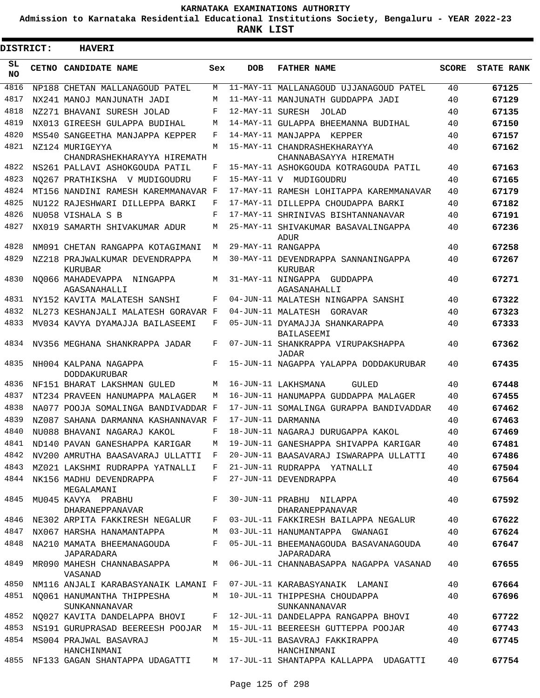**Admission to Karnataka Residential Educational Institutions Society, Bengaluru - YEAR 2022-23**

 $\blacksquare$ 

| <b>DISTRICT:</b> |  | <b>HAVERI</b>                                                      |              |                  |                                                                           |              |                   |
|------------------|--|--------------------------------------------------------------------|--------------|------------------|---------------------------------------------------------------------------|--------------|-------------------|
| SL<br><b>NO</b>  |  | CETNO CANDIDATE NAME                                               | Sex          | <b>DOB</b>       | <b>FATHER NAME</b>                                                        | <b>SCORE</b> | <b>STATE RANK</b> |
| 4816             |  | NP188 CHETAN MALLANAGOUD PATEL                                     | M            |                  | 11-MAY-11 MALLANAGOUD UJJANAGOUD PATEL                                    | 40           | 67125             |
| 4817             |  | NX241 MANOJ MANJUNATH JADI                                         | М            |                  | 11-MAY-11 MANJUNATH GUDDAPPA JADI                                         | 40           | 67129             |
| 4818             |  | NZ271 BHAVANI SURESH JOLAD                                         | F            | 12-MAY-11 SURESH | JOLAD                                                                     | 40           | 67135             |
| 4819             |  | NX013 GIREESH GULAPPA BUDIHAL                                      | M            |                  | 14-MAY-11 GULAPPA BHEEMANNA BUDIHAL                                       | 40           | 67150             |
| 4820             |  | MS540 SANGEETHA MANJAPPA KEPPER                                    | F            |                  | 14-MAY-11 MANJAPPA KEPPER                                                 | 40           | 67157             |
| 4821             |  | NZ124 MURIGEYYA<br>CHANDRASHEKHARAYYA HIREMATH                     | M            |                  | 15-MAY-11 CHANDRASHEKHARAYYA<br>CHANNABASAYYA HIREMATH                    | 40           | 67162             |
| 4822             |  | NS261 PALLAVI ASHOKGOUDA PATIL                                     | F            |                  | 15-MAY-11 ASHOKGOUDA KOTRAGOUDA PATIL                                     | 40           | 67163             |
| 4823             |  | NO267 PRATHIKSHA V MUDIGOUDRU                                      | F            |                  | 15-MAY-11 V MUDIGOUDRU                                                    | 40           | 67165             |
| 4824             |  | MT156 NANDINI RAMESH KAREMMANAVAR F                                |              |                  | 17-MAY-11 RAMESH LOHITAPPA KAREMMANAVAR                                   | 40           | 67179             |
| 4825             |  | NU122 RAJESHWARI DILLEPPA BARKI                                    | F            |                  | 17-MAY-11 DILLEPPA CHOUDAPPA BARKI                                        | 40           | 67182             |
| 4826             |  | NU058 VISHALA S B                                                  | F            |                  | 17-MAY-11 SHRINIVAS BISHTANNANAVAR                                        | 40           | 67191             |
| 4827             |  |                                                                    | М            |                  |                                                                           |              |                   |
|                  |  | NX019 SAMARTH SHIVAKUMAR ADUR                                      |              |                  | 25-MAY-11 SHIVAKUMAR BASAVALINGAPPA<br>ADUR                               | 40           | 67236             |
| 4828             |  | NM091 CHETAN RANGAPPA KOTAGIMANI                                   | М            |                  | 29-MAY-11 RANGAPPA                                                        | 40           | 67258             |
| 4829             |  | NZ218 PRAJWALKUMAR DEVENDRAPPA<br>KURUBAR                          | М            |                  | 30-MAY-11 DEVENDRAPPA SANNANINGAPPA<br>KURUBAR                            | 40           | 67267             |
| 4830             |  | NO066 MAHADEVAPPA NINGAPPA<br>AGASANAHALLI                         | М            |                  | 31-MAY-11 NINGAPPA<br>GUDDAPPA<br>AGASANAHALLI                            | 40           | 67271             |
| 4831             |  | NY152 KAVITA MALATESH SANSHI                                       | F            |                  | 04-JUN-11 MALATESH NINGAPPA SANSHI                                        | 40           | 67322             |
| 4832             |  | NL273 KESHANJALI MALATESH GORAVAR F                                |              |                  | 04-JUN-11 MALATESH<br>GORAVAR                                             | 40           | 67323             |
| 4833             |  | MV034 KAVYA DYAMAJJA BAILASEEMI                                    | F            |                  | 05-JUN-11 DYAMAJJA SHANKARAPPA                                            | 40           | 67333             |
| 4834             |  | NV356 MEGHANA SHANKRAPPA JADAR                                     | F            |                  | BAILASEEMI<br>07-JUN-11 SHANKRAPPA VIRUPAKSHAPPA<br>JADAR                 | 40           | 67362             |
| 4835             |  | NH004 KALPANA NAGAPPA<br><b>DODDAKURUBAR</b>                       | F            |                  | 15-JUN-11 NAGAPPA YALAPPA DODDAKURUBAR                                    | 40           | 67435             |
| 4836             |  | NF151 BHARAT LAKSHMAN GULED                                        | M            |                  | 16-JUN-11 LAKHSMANA<br>GULED                                              | 40           | 67448             |
| 4837             |  | NT234 PRAVEEN HANUMAPPA MALAGER                                    | M            |                  | 16-JUN-11 HANUMAPPA GUDDAPPA MALAGER                                      | 40           | 67455             |
| 4838             |  | NA077 POOJA SOMALINGA BANDIVADDAR F                                |              |                  | 17-JUN-11 SOMALINGA GURAPPA BANDIVADDAR                                   | 40           | 67462             |
| 4839             |  | NZ087 SAHANA DARMANNA KASHANNAVAR F                                |              |                  | 17-JUN-11 DARMANNA                                                        | 40           | 67463             |
| 4840             |  | NU088 BHAVANI NAGARAJ KAKOL                                        | F            |                  | 18-JUN-11 NAGARAJ DURUGAPPA KAKOL                                         | 40           | 67469             |
| 4841             |  | ND140 PAVAN GANESHAPPA KARIGAR                                     | М            |                  | 19-JUN-11 GANESHAPPA SHIVAPPA KARIGAR                                     | 40           | 67481             |
| 4842             |  | NV200 AMRUTHA BAASAVARAJ ULLATTI F                                 |              |                  | 20-JUN-11 BAASAVARAJ ISWARAPPA ULLATTI                                    | 40           | 67486             |
| 4843             |  | MZ021 LAKSHMI RUDRAPPA YATNALLI                                    | $\mathbf{F}$ |                  | 21-JUN-11 RUDRAPPA YATNALLI                                               | 40           | 67504             |
| 4844             |  | NK156 MADHU DEVENDRAPPA<br>MEGALAMANI                              | F            |                  | 27-JUN-11 DEVENDRAPPA                                                     | 40           | 67564             |
|                  |  | 4845 MU045 KAVYA PRABHU<br>DHARANEPPANAVAR                         | $F$ and      |                  | 30-JUN-11 PRABHU NILAPPA<br>DHARANEPPANAVAR                               | 40           | 67592             |
| 4846             |  | NE302 ARPITA FAKKIRESH NEGALUR F                                   |              |                  | 03-JUL-11 FAKKIRESH BAILAPPA NEGALUR                                      | 40           | 67622             |
| 4847             |  | NX067 HARSHA HANAMANTAPPA                                          | M            |                  | 03-JUL-11 HANUMANTAPPA GWANAGI                                            | 40           | 67624             |
| 4848             |  | NA210 MAMATA BHEEMANAGOUDA<br>JAPARADARA                           |              |                  | F  05-JUL-11 BHEEMANAGOUDA BASAVANAGOUDA<br><b>JAPARADARA</b>             | 40           | 67647             |
| 4849             |  | VASANAD                                                            |              |                  | MR090 MAHESH CHANNABASAPPA M 06-JUL-11 CHANNABASAPPA NAGAPPA VASANAD      | 40           | 67655             |
| 4850             |  | NM116 ANJALI KARABASYANAIK LAMANI F 07-JUL-11 KARABASYANAIK LAMANI |              |                  |                                                                           | 40           | 67664             |
| 4851             |  | NO061 HANUMANTHA THIPPESHA<br>SUNKANNANAVAR                        |              |                  | M 10-JUL-11 THIPPESHA CHOUDAPPA<br>SUNKANNANAVAR                          | 40           | 67696             |
| 4852             |  |                                                                    |              |                  | NQ027 KAVITA DANDELAPPA BHOVI     F   12-JUL-11 DANDELAPPA RANGAPPA BHOVI | 40           | 67722             |
| 4853             |  |                                                                    |              |                  | NS191 GURUPRASAD BEEREESH POOJAR M 15-JUL-11 BEEREESH GUTTEPPA POOJAR     | 40           | 67743             |
|                  |  | 4854 MS004 PRAJWAL BASAVRAJ<br>HANCHINMANI                         |              |                  | M 15-JUL-11 BASAVRAJ FAKKIRAPPA<br>HANCHINMANI                            | 40           | 67745             |
|                  |  | 4855 NF133 GAGAN SHANTAPPA UDAGATTI                                |              |                  | M 17-JUL-11 SHANTAPPA KALLAPPA UDAGATTI                                   | 40           | 67754             |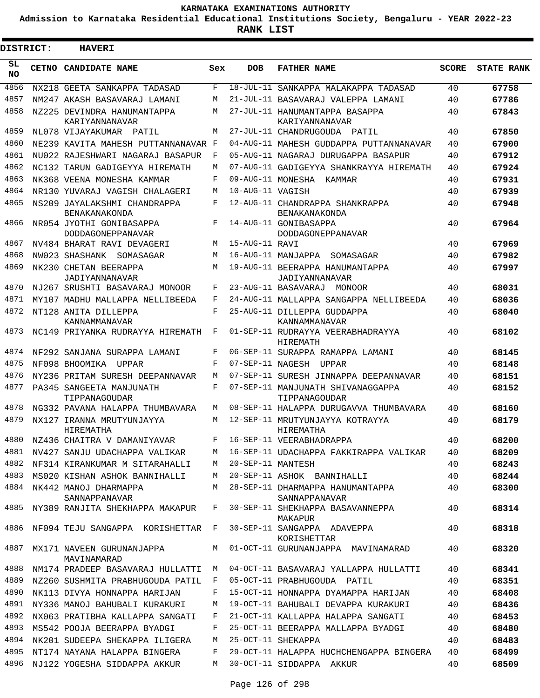**Admission to Karnataka Residential Educational Institutions Society, Bengaluru - YEAR 2022-23**

 $\blacksquare$ 

**RANK LIST**

Е

| <b>DISTRICT:</b> | <b>HAVERI</b>                                 |     |                   |                                                                            |              |                   |
|------------------|-----------------------------------------------|-----|-------------------|----------------------------------------------------------------------------|--------------|-------------------|
| SL<br><b>NO</b>  | <b>CETNO CANDIDATE NAME</b>                   | Sex | <b>DOB</b>        | <b>FATHER NAME</b>                                                         | <b>SCORE</b> | <b>STATE RANK</b> |
| 4856             | NX218 GEETA SANKAPPA TADASAD                  | F   |                   | 18-JUL-11 SANKAPPA MALAKAPPA TADASAD                                       | 40           | 67758             |
| 4857             | NM247 AKASH BASAVARAJ LAMANI                  | М   |                   | 21-JUL-11 BASAVARAJ VALEPPA LAMANI                                         | 40           | 67786             |
| 4858             | NZ225 DEVINDRA HANUMANTAPPA<br>KARIYANNANAVAR | М   |                   | 27-JUL-11 HANUMANTAPPA BASAPPA<br>KARIYANNANAVAR                           | 40           | 67843             |
| 4859             | NL078 VIJAYAKUMAR PATIL                       | M   |                   | 27-JUL-11 CHANDRUGOUDA PATIL                                               | 40           | 67850             |
| 4860             | NE239 KAVITA MAHESH PUTTANNANAVAR F           |     |                   | 04-AUG-11 MAHESH GUDDAPPA PUTTANNANAVAR                                    | 40           | 67900             |
| 4861             | NU022 RAJESHWARI NAGARAJ BASAPUR              | F   |                   | 05-AUG-11 NAGARAJ DURUGAPPA BASAPUR                                        | 40           | 67912             |
| 4862             | NC132 TARUN GADIGEYYA HIREMATH                | M   |                   | 07-AUG-11 GADIGEYYA SHANKRAYYA HIREMATH                                    | 40           | 67924             |
| 4863             | NK368 VEENA MONESHA KAMMAR                    | F   |                   | 09-AUG-11 MONESHA KAMMAR                                                   | 40           | 67931             |
| 4864             | NR130 YUVARAJ VAGISH CHALAGERI                | M   | 10-AUG-11 VAGISH  |                                                                            | 40           | 67939             |
| 4865             | NS209 JAYALAKSHMI CHANDRAPPA<br>BENAKANAKONDA | F   |                   | 12-AUG-11 CHANDRAPPA SHANKRAPPA<br><b>BENAKANAKONDA</b>                    | 40           | 67948             |
| 4866             | NR054 JYOTHI GONIBASAPPA<br>DODDAGONEPPANAVAR | F   |                   | 14-AUG-11 GONIBASAPPA<br>DODDAGONEPPANAVAR                                 | 40           | 67964             |
| 4867             | NV484 BHARAT RAVI DEVAGERI                    | M   | 15-AUG-11 RAVI    |                                                                            | 40           | 67969             |
| 4868             | NW023 SHASHANK SOMASAGAR                      | М   |                   | 16-AUG-11 MANJAPPA SOMASAGAR                                               | 40           | 67982             |
| 4869             | NK230 CHETAN BEERAPPA<br>JADIYANNANAVAR       | M   |                   | 19-AUG-11 BEERAPPA HANUMANTAPPA<br>JADIYANNANAVAR                          | 40           | 67997             |
| 4870             | NJ267 SRUSHTI BASAVARAJ MONOOR                | F   |                   | 23-AUG-11 BASAVARAJ MONOOR                                                 | 40           | 68031             |
| 4871             | MY107 MADHU MALLAPPA NELLIBEEDA               | F   |                   | 24-AUG-11 MALLAPPA SANGAPPA NELLIBEEDA                                     | 40           | 68036             |
| 4872             | NT128 ANITA DILLEPPA<br>KANNAMMANAVAR         | F   |                   | 25-AUG-11 DILLEPPA GUDDAPPA<br>KANNAMMANAVAR                               | 40           | 68040             |
| 4873             | NC149 PRIYANKA RUDRAYYA HIREMATH              | F   |                   | 01-SEP-11 RUDRAYYA VEERABHADRAYYA<br>HIREMATH                              | 40           | 68102             |
| 4874             | NF292 SANJANA SURAPPA LAMANI                  | F   |                   | 06-SEP-11 SURAPPA RAMAPPA LAMANI                                           | 40           | 68145             |
| 4875             | NF098 BHOOMIKA UPPAR                          | F   |                   | 07-SEP-11 NAGESH UPPAR                                                     | 40           | 68148             |
| 4876             | NY236 PRITAM SURESH DEEPANNAVAR               | М   |                   | 07-SEP-11 SURESH JINNAPPA DEEPANNAVAR                                      | 40           | 68151             |
| 4877             | PA345 SANGEETA MANJUNATH<br>TIPPANAGOUDAR     | F   |                   | 07-SEP-11 MANJUNATH SHIVANAGGAPPA<br>TIPPANAGOUDAR                         | 40           | 68152             |
| 4878             | NG332 PAVANA HALAPPA THUMBAVARA               | M   |                   | 08-SEP-11 HALAPPA DURUGAVVA THUMBAVARA                                     | 40           | 68160             |
| 4879             | NX127 IRANNA MRUTYUNJAYYA<br>HIREMATHA        | M   |                   | 12-SEP-11 MRUTYUNJAYYA KOTRAYYA<br>HIREMATHA                               | 40           | 68179             |
| 4880             | NZ436 CHAITRA V DAMANIYAVAR                   | F   |                   | 16-SEP-11 VEERABHADRAPPA                                                   | 40           | 68200             |
|                  | 4881 NV427 SANJU UDACHAPPA VALIKAR            | M   |                   | 16-SEP-11 UDACHAPPA FAKKIRAPPA VALIKAR                                     | 40           | 68209             |
|                  | 4882 NF314 KIRANKUMAR M SITARAHALLI           | M   | 20-SEP-11 MANTESH |                                                                            | 40           | 68243             |
| 4883             | MS020 KISHAN ASHOK BANNIHALLI                 | M   |                   | 20-SEP-11 ASHOK BANNIHALLI                                                 | 40           | 68244             |
| 4884             | NK442 MANOJ DHARMAPPA<br>SANNAPPANAVAR        | M   |                   | 28-SEP-11 DHARMAPPA HANUMANTAPPA<br>SANNAPPANAVAR                          | 40           | 68300             |
| 4885             | NY389 RANJITA SHEKHAPPA MAKAPUR               | F   |                   | 30-SEP-11 SHEKHAPPA BASAVANNEPPA<br>MAKAPUR                                | 40           | 68314             |
| 4886             | NF094 TEJU SANGAPPA KORISHETTAR F             |     |                   | 30-SEP-11 SANGAPPA ADAVEPPA<br>KORISHETTAR                                 | 40           | 68318             |
| 4887             | MX171 NAVEEN GURUNANJAPPA<br>MAVINAMARAD      |     |                   | M 01-OCT-11 GURUNANJAPPA MAVINAMARAD                                       | 40           | 68320             |
| 4888             |                                               |     |                   | NM174 PRADEEP BASAVARAJ HULLATTI  M  04-OCT-11 BASAVARAJ YALLAPPA HULLATTI | 40           | 68341             |
| 4889             | NZ260 SUSHMITA PRABHUGOUDA PATIL              | F   |                   | 05-OCT-11 PRABHUGOUDA PATIL                                                | 40           | 68351             |
| 4890             | NK113 DIVYA HONNAPPA HARIJAN                  | F   |                   | 15-OCT-11 HONNAPPA DYAMAPPA HARIJAN                                        | 40           | 68408             |
| 4891             | NY336 MANOJ BAHUBALI KURAKURI                 | M   |                   | 19-OCT-11 BAHUBALI DEVAPPA KURAKURI                                        | 40           | 68436             |
| 4892             | NX063 PRATIBHA KALLAPPA SANGATI               | F   |                   | 21-OCT-11 KALLAPPA HALAPPA SANGATI                                         | 40           | 68453             |
| 4893             | MS542 POOJA BEERAPPA BYADGI                   | F   |                   | 25-OCT-11 BEERAPPA MALLAPPA BYADGI                                         | 40           | 68480             |
| 4894             | NK201 SUDEEPA SHEKAPPA ILIGERA                | M   |                   | 25-OCT-11 SHEKAPPA                                                         | 40           | 68483             |
| 4895             | NT174 NAYANA HALAPPA BINGERA                  | F   |                   | 29-OCT-11 HALAPPA HUCHCHENGAPPA BINGERA                                    | 40           | 68499             |
|                  | 4896 NJ122 YOGESHA SIDDAPPA AKKUR             | M   |                   | 30-OCT-11 SIDDAPPA AKKUR                                                   | 40           | 68509             |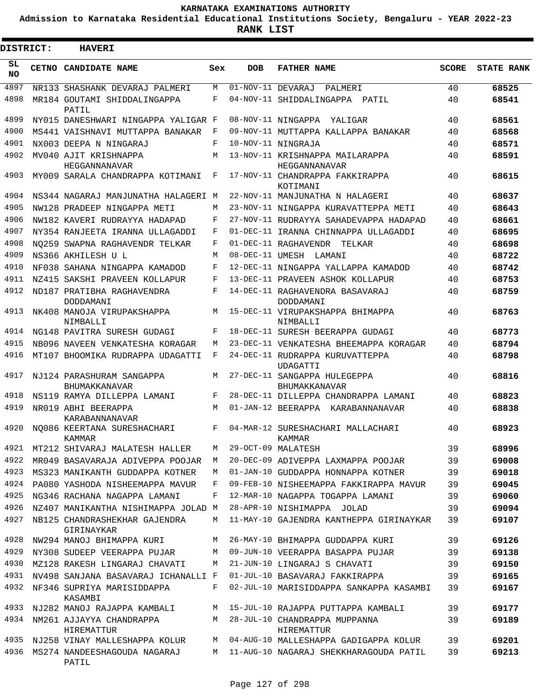**Admission to Karnataka Residential Educational Institutions Society, Bengaluru - YEAR 2022-23**

**RANK LIST**

 $\blacksquare$ 

| <b>DISTRICT:</b> | <b>HAVERI</b>                                     |     |            |                                                      |              |                   |
|------------------|---------------------------------------------------|-----|------------|------------------------------------------------------|--------------|-------------------|
| SL.<br>NO.       | CETNO CANDIDATE NAME                              | Sex | <b>DOB</b> | <b>FATHER NAME</b>                                   | <b>SCORE</b> | <b>STATE RANK</b> |
| 4897             | NR133 SHASHANK DEVARAJ PALMERI                    | М   |            | $\overline{01}$ -NOV-11 DEVARAJ<br>PALMERI           | 40           | 68525             |
| 4898             | MR184 GOUTAMI SHIDDALINGAPPA<br>PATIL             | F   |            | 04-NOV-11 SHIDDALINGAPPA PATIL                       | 40           | 68541             |
| 4899             | NY015 DANESHWARI NINGAPPA YALIGAR F               |     |            | 08-NOV-11 NINGAPPA YALIGAR                           | 40           | 68561             |
| 4900             | MS441 VAISHNAVI MUTTAPPA BANAKAR                  | F   |            | 09-NOV-11 MUTTAPPA KALLAPPA BANAKAR                  | 40           | 68568             |
| 4901             | NX003 DEEPA N NINGARAJ                            | F   |            | 10-NOV-11 NINGRAJA                                   | 40           | 68571             |
| 4902             | MV040 AJIT KRISHNAPPA<br>HEGGANNANAVAR            | М   |            | 13-NOV-11 KRISHNAPPA MAILARAPPA<br>HEGGANNANAVAR     | 40           | 68591             |
| 4903             | MY009 SARALA CHANDRAPPA KOTIMANI                  | F   |            | 17-NOV-11 CHANDRAPPA FAKKIRAPPA<br>KOTIMANI          | 40           | 68615             |
| 4904             | NS344 NAGARAJ MANJUNATHA HALAGERI M               |     |            | 22-NOV-11 MANJUNATHA N HALAGERI                      | 40           | 68637             |
| 4905             | NW128 PRADEEP NINGAPPA METI                       | М   |            | 23-NOV-11 NINGAPPA KURAVATTEPPA METI                 | 40           | 68643             |
| 4906             | NW182 KAVERI RUDRAYYA HADAPAD                     | F   |            | 27-NOV-11 RUDRAYYA SAHADEVAPPA HADAPAD               | 40           | 68661             |
| 4907             | NY354 RANJEETA IRANNA ULLAGADDI                   | F   |            | 01-DEC-11 IRANNA CHINNAPPA ULLAGADDI                 | 40           | 68695             |
| 4908             | NO259 SWAPNA RAGHAVENDR TELKAR                    | F   |            | 01-DEC-11 RAGHAVENDR<br>TELKAR                       | 40           | 68698             |
| 4909             | NS366 AKHILESH U L                                | М   |            | 08-DEC-11 UMESH LAMANI                               | 40           | 68722             |
| 4910             | NF038 SAHANA NINGAPPA KAMADOD                     | F   |            | 12-DEC-11 NINGAPPA YALLAPPA KAMADOD                  | 40           | 68742             |
| 4911             | NZ415 SAKSHI PRAVEEN KOLLAPUR                     | F   |            | 13-DEC-11 PRAVEEN ASHOK KOLLAPUR                     | 40           | 68753             |
| 4912             | ND187 PRATIBHA RAGHAVENDRA<br>DODDAMANI           | F   |            | 14-DEC-11 RAGHAVENDRA BASAVARAJ<br>DODDAMANI         | 40           | 68759             |
| 4913             | NK408 MANOJA VIRUPAKSHAPPA<br>NIMBALLI            | M   |            | 15-DEC-11 VIRUPAKSHAPPA BHIMAPPA<br>NIMBALLI         | 40           | 68763             |
| 4914             | NG148 PAVITRA SURESH GUDAGI                       | F   |            | 18-DEC-11 SURESH BEERAPPA GUDAGI                     | 40           | 68773             |
| 4915             | NB096 NAVEEN VENKATESHA KORAGAR                   | М   |            | 23-DEC-11 VENKATESHA BHEEMAPPA KORAGAR               | 40           | 68794             |
| 4916             | MT107 BHOOMIKA RUDRAPPA UDAGATTI                  | F   |            | 24-DEC-11 RUDRAPPA KURUVATTEPPA<br>UDAGATTI          | 40           | 68798             |
| 4917             | NJ124 PARASHURAM SANGAPPA<br><b>BHUMAKKANAVAR</b> | М   |            | 27-DEC-11 SANGAPPA HULEGEPPA<br><b>BHUMAKKANAVAR</b> | 40           | 68816             |
| 4918             | NS119 RAMYA DILLEPPA LAMANI                       | F   |            | 28-DEC-11 DILLEPPA CHANDRAPPA LAMANI                 | 40           | 68823             |
| 4919             | NR019 ABHI BEERAPPA<br>KARABANNANAVAR             | М   |            | 01-JAN-12 BEERAPPA KARABANNANAVAR                    | 40           | 68838             |
| 4920             | NO086 KEERTANA SURESHACHARI<br>KAMMAR             | F   |            | 04-MAR-12 SURESHACHARI MALLACHARI<br>KAMMAR          | 40           | 68923             |
| 4921             | MT212 SHIVARAJ MALATESH HALLER                    | М   |            | 29-OCT-09 MALATESH                                   | 39           | 68996             |
| 4922             | MR049 BASAVARAJA ADIVEPPA POOJAR                  | M   |            | 20-DEC-09 ADIVEPPA LAXMAPPA POOJAR                   | 39           | 69008             |
| 4923             | MS323 MANIKANTH GUDDAPPA KOTNER                   | M   |            | 01-JAN-10 GUDDAPPA HONNAPPA KOTNER                   | 39           | 69018             |
| 4924             | PA080 YASHODA NISHEEMAPPA MAVUR                   | F   |            | 09-FEB-10 NISHEEMAPPA FAKKIRAPPA MAVUR               | 39           | 69045             |
| 4925             | NG346 RACHANA NAGAPPA LAMANI                      | F   |            | 12-MAR-10 NAGAPPA TOGAPPA LAMANI                     | 39           | 69060             |
| 4926             | NZ407 MANIKANTHA NISHIMAPPA JOLAD M               |     |            | 28-APR-10 NISHIMAPPA JOLAD                           | 39           | 69094             |
| 4927             | NB125 CHANDRASHEKHAR GAJENDRA<br>GIRINAYKAR       | М   |            | 11-MAY-10 GAJENDRA KANTHEPPA GIRINAYKAR              | 39           | 69107             |
| 4928             | NW294 MANOJ BHIMAPPA KURI                         | М   |            | 26-MAY-10 BHIMAPPA GUDDAPPA KURI                     | 39           | 69126             |
| 4929             | NY308 SUDEEP VEERAPPA PUJAR                       | M   |            | 09-JUN-10 VEERAPPA BASAPPA PUJAR                     | 39           | 69138             |
| 4930             | MZ128 RAKESH LINGARAJ CHAVATI                     | M   |            | 21-JUN-10 LINGARAJ S CHAVATI                         | 39           | 69150             |
| 4931             | NV498 SANJANA BASAVARAJ ICHANALLI F               |     |            | 01-JUL-10 BASAVARAJ FAKKIRAPPA                       | 39           | 69165             |
| 4932             | NF346 SUPRIYA MARISIDDAPPA<br>KASAMBI             | F   |            | 02-JUL-10 MARISIDDAPPA SANKAPPA KASAMBI              | 39           | 69167             |
| 4933             | NJ282 MANOJ RAJAPPA KAMBALI                       | М   |            | 15-JUL-10 RAJAPPA PUTTAPPA KAMBALI                   | 39           | 69177             |
| 4934             | NM261 AJJAYYA CHANDRAPPA<br>HIREMATTUR            | М   |            | 28-JUL-10 CHANDRAPPA MUPPANNA<br>HIREMATTUR          | 39           | 69189             |
| 4935             | NJ258 VINAY MALLESHAPPA KOLUR                     | M   |            | 04-AUG-10 MALLESHAPPA GADIGAPPA KOLUR                | 39           | 69201             |
| 4936             | MS274 NANDEESHAGOUDA NAGARAJ<br>PATIL             | M   |            | 11-AUG-10 NAGARAJ SHEKKHARAGOUDA PATIL               | 39           | 69213             |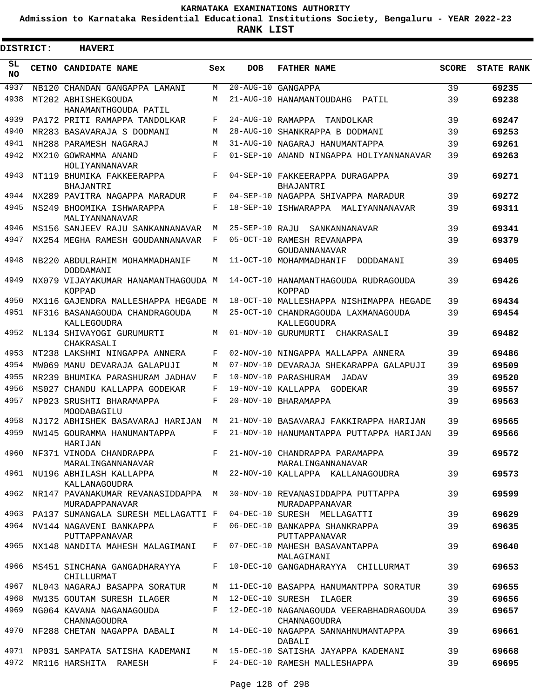**Admission to Karnataka Residential Educational Institutions Society, Bengaluru - YEAR 2022-23**

| <b>DISTRICT:</b> | <b>HAVERI</b>                                                                      |              |                   |                                                                                             |              |                   |
|------------------|------------------------------------------------------------------------------------|--------------|-------------------|---------------------------------------------------------------------------------------------|--------------|-------------------|
| SL<br><b>NO</b>  | CETNO CANDIDATE NAME                                                               | Sex          | <b>DOB</b>        | <b>FATHER NAME</b>                                                                          | <b>SCORE</b> | <b>STATE RANK</b> |
| 4937             | NB120 CHANDAN GANGAPPA LAMANI                                                      | M            |                   | 20-AUG-10 GANGAPPA                                                                          | 39           | 69235             |
| 4938             | MT202 ABHISHEKGOUDA<br>HANAMANTHGOUDA PATIL                                        | М            |                   | 21-AUG-10 HANAMANTOUDAHG<br>PATIL                                                           | 39           | 69238             |
| 4939             | PA172 PRITI RAMAPPA TANDOLKAR                                                      | F            | 24-AUG-10 RAMAPPA | TANDOLKAR                                                                                   | 39           | 69247             |
| 4940             | MR283 BASAVARAJA S DODMANI                                                         | М            |                   | 28-AUG-10 SHANKRAPPA B DODMANI                                                              | 39           | 69253             |
| 4941             | NH288 PARAMESH NAGARAJ                                                             | M            |                   | 31-AUG-10 NAGARAJ HANUMANTAPPA                                                              | 39           | 69261             |
| 4942             | MX210 GOWRAMMA ANAND<br>HOLIYANNANAVAR                                             | $\mathbf{F}$ |                   | 01-SEP-10 ANAND NINGAPPA HOLIYANNANAVAR                                                     | 39           | 69263             |
| 4943             | NT119 BHUMIKA FAKKEERAPPA<br>BHAJANTRI                                             | F            |                   | 04-SEP-10 FAKKEERAPPA DURAGAPPA<br>BHAJANTRI                                                | 39           | 69271             |
| 4944             | NX289 PAVITRA NAGAPPA MARADUR                                                      | F            |                   | 04-SEP-10 NAGAPPA SHIVAPPA MARADUR                                                          | 39           | 69272             |
| 4945             | NS249 BHOOMIKA ISHWARAPPA<br>MALIYANNANAVAR                                        | F            |                   | 18-SEP-10 ISHWARAPPA MALIYANNANAVAR                                                         | 39           | 69311             |
| 4946             | MS156 SANJEEV RAJU SANKANNANAVAR                                                   | М            | 25-SEP-10 RAJU    | SANKANNANAVAR                                                                               | 39           | 69341             |
| 4947             | NX254 MEGHA RAMESH GOUDANNANAVAR                                                   | F            |                   | 05-OCT-10 RAMESH REVANAPPA<br>GOUDANNANAVAR                                                 | 39           | 69379             |
| 4948             | NB220 ABDULRAHIM MOHAMMADHANIF<br>DODDAMANI                                        | М            |                   | 11-OCT-10 MOHAMMADHANIF<br>DODDAMANI                                                        | 39           | 69405             |
| 4949             | NX079 VIJAYAKUMAR HANAMANTHAGOUDA M<br><b>KOPPAD</b>                               |              |                   | 14-OCT-10 HANAMANTHAGOUDA RUDRAGOUDA<br>KOPPAD                                              | 39           | 69426             |
| 4950             | MX116 GAJENDRA MALLESHAPPA HEGADE M                                                |              |                   | 18-OCT-10 MALLESHAPPA NISHIMAPPA HEGADE                                                     | 39           | 69434             |
| 4951             | NF316 BASANAGOUDA CHANDRAGOUDA<br>KALLEGOUDRA                                      | M            |                   | 25-OCT-10 CHANDRAGOUDA LAXMANAGOUDA<br>KALLEGOUDRA                                          | 39           | 69454             |
| 4952             | NL134 SHIVAYOGI GURUMURTI<br>CHAKRASALI                                            | М            |                   | 01-NOV-10 GURUMURTI CHAKRASALI                                                              | 39           | 69482             |
| 4953             | NT238 LAKSHMI NINGAPPA ANNERA                                                      | F            |                   | 02-NOV-10 NINGAPPA MALLAPPA ANNERA                                                          | 39           | 69486             |
| 4954             | MW069 MANU DEVARAJA GALAPUJI                                                       | М            |                   | 07-NOV-10 DEVARAJA SHEKARAPPA GALAPUJI                                                      | 39           | 69509             |
| 4955             | NR239 BHUMIKA PARASHURAM JADHAV                                                    | F            |                   | 10-NOV-10 PARASHURAM<br>JADAV                                                               | 39           | 69520             |
| 4956             | MS027 CHANDU KALLAPPA GODEKAR                                                      | F            |                   | 19-NOV-10 KALLAPPA<br>GODEKAR                                                               | 39           | 69557             |
| 4957             | NP023 SRUSHTI BHARAMAPPA<br>MOODABAGILU                                            | F            |                   | 20-NOV-10 BHARAMAPPA                                                                        | 39           | 69563             |
| 4958             | NJ172 ABHISHEK BASAVARAJ HARIJAN                                                   | М            |                   | 21-NOV-10 BASAVARAJ FAKKIRAPPA HARIJAN                                                      | 39           | 69565             |
| 4959             | NW145 GOURAMMA HANUMANTAPPA<br>HARIJAN                                             | F            |                   | 21-NOV-10 HANUMANTAPPA PUTTAPPA HARIJAN                                                     | 39           | 69566             |
|                  | 4960 NF371 VINODA CHANDRAPPA F 21-NOV-10 CHANDRAPPA PARAMAPPA<br>MARALINGANNANAVAR |              |                   | MARALINGANNANAVAR                                                                           | 39           | 69572             |
|                  | KALLANAGOUDRA                                                                      |              |                   | 4961 NU196 ABHILASH KALLAPPA MAN 22-NOV-10 KALLAPPA KALLANAGOUDRA                           | 39           | 69573             |
|                  | MURADAPPANAVAR                                                                     |              |                   | 4962 NR147 PAVANAKUMAR REVANASIDDAPPA M 30-NOV-10 REVANASIDDAPPA PUTTAPPA<br>MURADAPPANAVAR | 39           | 69599             |
|                  | 4963 PA137 SUMANGALA SURESH MELLAGATTI F 04-DEC-10 SURESH MELLAGATTI               |              |                   |                                                                                             | 39           | 69629             |
|                  | 4964 NV144 NAGAVENI BANKAPPA<br>PUTTAPPANAVAR                                      |              |                   | F 06-DEC-10 BANKAPPA SHANKRAPPA<br>PUTTAPPANAVAR                                            | 39           | 69635             |
|                  | 4965 NX148 NANDITA MAHESH MALAGIMANI                                               |              |                   | F 07-DEC-10 MAHESH BASAVANTAPPA<br>MALAGIMANI                                               | 39           | 69640             |
|                  | 4966 MS451 SINCHANA GANGADHARAYYA<br>CHILLURMAT                                    |              |                   | F 10-DEC-10 GANGADHARAYYA CHILLURMAT                                                        | 39           | 69653             |
|                  | 4967 NL043 NAGARAJ BASAPPA SORATUR                                                 |              |                   | M 11-DEC-10 BASAPPA HANUMANTPPA SORATUR                                                     | 39           | 69655             |
|                  | 4968 MW135 GOUTAM SURESH ILAGER                                                    |              |                   | M 12-DEC-10 SURESH ILAGER                                                                   | 39           | 69656             |
| 4969             | NG064 KAVANA NAGANAGOUDA<br>CHANNAGOUDRA                                           |              |                   | F 12-DEC-10 NAGANAGOUDA VEERABHADRAGOUDA<br>CHANNAGOUDRA                                    | 39           | 69657             |
|                  |                                                                                    |              |                   | 4970 NF288 CHETAN NAGAPPA DABALI M 14-DEC-10 NAGAPPA SANNAHNUMANTAPPA<br>DABALI             | 39           | 69661             |
|                  |                                                                                    |              |                   | 4971 NP031 SAMPATA SATISHA KADEMANI M 15-DEC-10 SATISHA JAYAPPA KADEMANI                    | 39           | 69668             |
|                  | 4972 MR116 HARSHITA RAMESH                                                         |              |                   | F 24-DEC-10 RAMESH MALLESHAPPA                                                              | 39           | 69695             |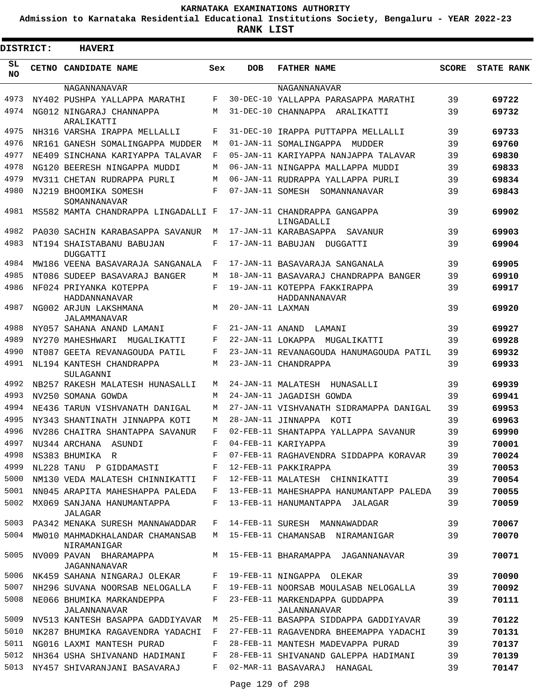**Admission to Karnataka Residential Educational Institutions Society, Bengaluru - YEAR 2022-23**

| <b>DISTRICT:</b> | <b>HAVERI</b>                                  |     |                   |                                                |              |                   |
|------------------|------------------------------------------------|-----|-------------------|------------------------------------------------|--------------|-------------------|
| SL<br><b>NO</b>  | CETNO CANDIDATE NAME                           | Sex | <b>DOB</b>        | <b>FATHER NAME</b>                             | <b>SCORE</b> | <b>STATE RANK</b> |
|                  | NAGANNANAVAR                                   |     |                   | NAGANNANAVAR                                   |              |                   |
| 4973             | NY402 PUSHPA YALLAPPA MARATHI                  | F   |                   | 30-DEC-10 YALLAPPA PARASAPPA MARATHI           | 39           | 69722             |
| 4974             | NG012 NINGARAJ CHANNAPPA<br>ARALIKATTI         | M   |                   | 31-DEC-10 CHANNAPPA ARALIKATTI                 | 39           | 69732             |
| 4975             | NH316 VARSHA IRAPPA MELLALLI                   | F   |                   | 31-DEC-10 IRAPPA PUTTAPPA MELLALLI             | 39           | 69733             |
| 4976             | NR161 GANESH SOMALINGAPPA MUDDER               | М   |                   | 01-JAN-11 SOMALINGAPPA MUDDER                  | 39           | 69760             |
| 4977             | NE409 SINCHANA KARIYAPPA TALAVAR               | F   |                   | 05-JAN-11 KARIYAPPA NANJAPPA TALAVAR           | 39           | 69830             |
| 4978             | NG120 BEERESH NINGAPPA MUDDI                   | М   |                   | 06-JAN-11 NINGAPPA MALLAPPA MUDDI              | 39           | 69833             |
| 4979             | MV311 CHETAN RUDRAPPA PURLI                    | М   |                   | 06-JAN-11 RUDRAPPA YALLAPPA PURLI              | 39           | 69834             |
| 4980             | NJ219 BHOOMIKA SOMESH<br>SOMANNANAVAR          | F   |                   | 07-JAN-11 SOMESH SOMANNANAVAR                  | 39           | 69843             |
| 4981             | MS582 MAMTA CHANDRAPPA LINGADALLI F            |     |                   | 17-JAN-11 CHANDRAPPA GANGAPPA<br>LINGADALLI    | 39           | 69902             |
| 4982             | PA030 SACHIN KARABASAPPA SAVANUR               | M   |                   | 17-JAN-11 KARABASAPPA<br>SAVANUR               | 39           | 69903             |
| 4983             | NT194 SHAISTABANU BABUJAN<br><b>DUGGATTI</b>   | F   | 17-JAN-11 BABUJAN | DUGGATTI                                       | 39           | 69904             |
| 4984             | MW186 VEENA BASAVARAJA SANGANALA               | F   |                   | 17-JAN-11 BASAVARAJA SANGANALA                 | 39           | 69905             |
| 4985             | NT086 SUDEEP BASAVARAJ BANGER                  | М   |                   | 18-JAN-11 BASAVARAJ CHANDRAPPA BANGER          | 39           | 69910             |
| 4986             | NF024 PRIYANKA KOTEPPA<br>HADDANNANAVAR        | F   |                   | 19-JAN-11 KOTEPPA FAKKIRAPPA<br>HADDANNANAVAR  | 39           | 69917             |
| 4987             | NG002 ARJUN LAKSHMANA<br>JALAMMANAVAR          | M   | 20-JAN-11 LAXMAN  |                                                | 39           | 69920             |
| 4988             | NY057 SAHANA ANAND LAMANI                      | F   | 21-JAN-11 ANAND   | LAMANI                                         | 39           | 69927             |
| 4989             | NY270 MAHESHWARI<br>MUGALIKATTI                | F   |                   | 22-JAN-11 LOKAPPA MUGALIKATTI                  | 39           | 69928             |
| 4990             | NT087 GEETA REVANAGOUDA PATIL                  | F   |                   | 23-JAN-11 REVANAGOUDA HANUMAGOUDA PATIL        | 39           | 69932             |
| 4991             | NL194 KANTESH CHANDRAPPA<br>SULAGANNI          | M   |                   | 23-JAN-11 CHANDRAPPA                           | 39           | 69933             |
| 4992             | NB257 RAKESH MALATESH HUNASALLI                | М   |                   | 24-JAN-11 MALATESH<br>HUNASALLI                | 39           | 69939             |
| 4993             | NV250 SOMANA GOWDA                             | M   |                   | 24-JAN-11 JAGADISH GOWDA                       | 39           | 69941             |
| 4994             | NE436 TARUN VISHVANATH DANIGAL                 | М   |                   | 27-JAN-11 VISHVANATH SIDRAMAPPA DANIGAL        | 39           | 69953             |
| 4995             | NY343 SHANTINATH JINNAPPA KOTI                 | М   |                   | 28-JAN-11 JINNAPPA KOTI                        | 39           | 69963             |
| 4996             | NV286 CHAITRA SHANTAPPA SAVANUR                | F   |                   | 02-FEB-11 SHANTAPPA YALLAPPA SAVANUR           | 39           | 69990             |
| 4997             | NU344 ARCHANA ASUNDI                           | F   |                   | 04-FEB-11 KARIYAPPA                            | 39           | 70001             |
| 4998             | NS383 BHUMIKA R                                | F   |                   | 07-FEB-11 RAGHAVENDRA SIDDAPPA KORAVAR         | 39           | 70024             |
| 4999             | NL228 TANU P GIDDAMASTI                        | F   |                   | 12-FEB-11 PAKKIRAPPA                           | 39           | 70053             |
| 5000             | NM130 VEDA MALATESH CHINNIKATTI                | F   |                   | 12-FEB-11 MALATESH CHINNIKATTI                 | 39           | 70054             |
| 5001             | NN045 ARAPITA MAHESHAPPA PALEDA                | F   |                   | 13-FEB-11 MAHESHAPPA HANUMANTAPP PALEDA        | 39           | 70055             |
| 5002             | MX069 SANJANA HANUMANTAPPA<br>JALAGAR          | F   |                   | 13-FEB-11 HANUMANTAPPA JALAGAR                 | 39           | 70059             |
| 5003             | PA342 MENAKA SURESH MANNAWADDAR                | F   |                   | 14-FEB-11 SURESH MANNAWADDAR                   | 39           | 70067             |
| 5004             | MW010 MAHMADKHALANDAR CHAMANSAB<br>NIRAMANIGAR | М   |                   | 15-FEB-11 CHAMANSAB NIRAMANIGAR                | 39           | 70070             |
| 5005             | NV009 PAVAN BHARAMAPPA<br>JAGANNANAVAR         | М   |                   | 15-FEB-11 BHARAMAPPA JAGANNANAVAR              | 39           | 70071             |
| 5006             | NK459 SAHANA NINGARAJ OLEKAR                   | F   |                   | 19-FEB-11 NINGAPPA OLEKAR                      | 39           | 70090             |
| 5007             | NH296 SUVANA NOORSAB NELOGALLA                 | F   |                   | 19-FEB-11 NOORSAB MOULASAB NELOGALLA           | 39           | 70092             |
| 5008             | NE066 BHUMIKA MARKANDEPPA<br>JALANNANAVAR      | F   |                   | 23-FEB-11 MARKENDAPPA GUDDAPPA<br>JALANNANAVAR | 39           | 70111             |
| 5009             | NV513 KANTESH BASAPPA GADDIYAVAR M             |     |                   | 25-FEB-11 BASAPPA SIDDAPPA GADDIYAVAR          | 39           | 70122             |
| 5010             | NK287 BHUMIKA RAGAVENDRA YADACHI               | F   |                   | 27-FEB-11 RAGAVENDRA BHEEMAPPA YADACHI         | 39           | 70131             |
| 5011             | NG016 LAXMI MANTESH PURAD                      | F   |                   | 28-FEB-11 MANTESH MADEVAPPA PURAD              | 39           | 70137             |
| 5012             | NH364 USHA SHIVANAND HADIMANI                  | F   |                   | 28-FEB-11 SHIVANAND GALEPPA HADIMANI           | 39           | 70139             |
| 5013             | NY457 SHIVARANJANI BASAVARAJ                   | F   |                   | 02-MAR-11 BASAVARAJ HANAGAL                    | 39           | 70147             |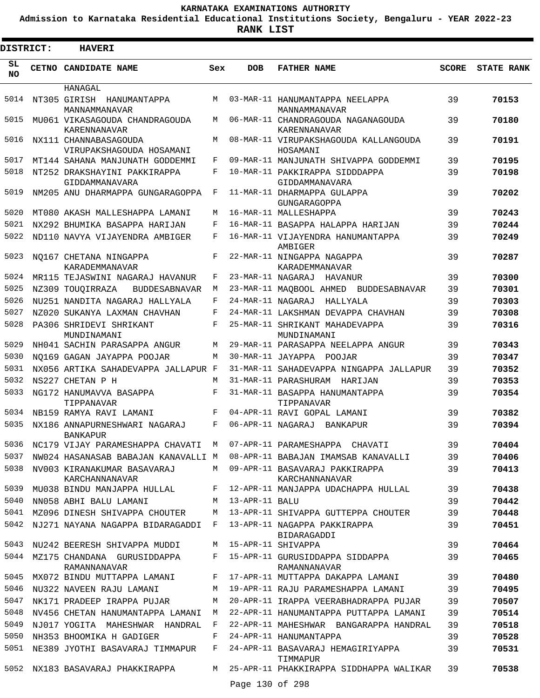**Admission to Karnataka Residential Educational Institutions Society, Bengaluru - YEAR 2022-23**

| DISTRICT: | <b>HAVERI</b>                                     |     |                   |                                                    |              |                   |
|-----------|---------------------------------------------------|-----|-------------------|----------------------------------------------------|--------------|-------------------|
| SL<br>NO. | CETNO CANDIDATE NAME                              | Sex | <b>DOB</b>        | <b>FATHER NAME</b>                                 | <b>SCORE</b> | <b>STATE RANK</b> |
|           | HANAGAL                                           |     |                   |                                                    |              |                   |
| 5014      | NT305 GIRISH HANUMANTAPPA<br>MANNAMMANAVAR        | M   |                   | 03-MAR-11 HANUMANTAPPA NEELAPPA<br>MANNAMMANAVAR   | 39           | 70153             |
| 5015      | MU061 VIKASAGOUDA CHANDRAGOUDA<br>KARENNANAVAR    | M   |                   | 06-MAR-11 CHANDRAGOUDA NAGANAGOUDA<br>KARENNANAVAR | 39           | 70180             |
| 5016      | NX111 CHANNABASAGOUDA<br>VIRUPAKSHAGOUDA HOSAMANI | M   |                   | 08-MAR-11 VIRUPAKSHAGOUDA KALLANGOUDA<br>HOSAMANI  | 39           | 70191             |
| 5017      | MT144 SAHANA MANJUNATH GODDEMMI                   | F   |                   | 09-MAR-11 MANJUNATH SHIVAPPA GODDEMMI              | 39           | 70195             |
| 5018      | NT252 DRAKSHAYINI PAKKIRAPPA<br>GIDDAMMANAVARA    | F   |                   | 10-MAR-11 PAKKIRAPPA SIDDDAPPA<br>GIDDAMMANAVARA   | 39           | 70198             |
| 5019      | NM205 ANU DHARMAPPA GUNGARAGOPPA                  | F   |                   | 11-MAR-11 DHARMAPPA GULAPPA<br>GUNGARAGOPPA        | 39           | 70202             |
| 5020      | MT080 AKASH MALLESHAPPA LAMANI                    | М   |                   | 16-MAR-11 MALLESHAPPA                              | 39           | 70243             |
| 5021      | NX292 BHUMIKA BASAPPA HARIJAN                     | F   |                   | 16-MAR-11 BASAPPA HALAPPA HARIJAN                  | 39           | 70244             |
| 5022      | ND110 NAVYA VIJAYENDRA AMBIGER                    | F   |                   | 16-MAR-11 VIJAYENDRA HANUMANTAPPA<br>AMBIGER       | 39           | 70249             |
| 5023      | NO167 CHETANA NINGAPPA<br>KARADEMMANAVAR          | F   |                   | 22-MAR-11 NINGAPPA NAGAPPA<br>KARADEMMANAVAR       | 39           | 70287             |
| 5024      | MR115 TEJASWINI NAGARAJ HAVANUR                   | F   | 23-MAR-11 NAGARAJ | HAVANUR                                            | 39           | 70300             |
| 5025      | NZ309 TOUOIRRAZA<br><b>BUDDESABNAVAR</b>          | М   |                   | 23-MAR-11 MAQBOOL AHMED BUDDESABNAVAR              | 39           | 70301             |
| 5026      | NU251 NANDITA NAGARAJ HALLYALA                    | F   | 24-MAR-11 NAGARAJ | HALLYALA                                           | 39           | 70303             |
| 5027      | NZ020 SUKANYA LAXMAN CHAVHAN                      | F   |                   | 24-MAR-11 LAKSHMAN DEVAPPA CHAVHAN                 | 39           | 70308             |
| 5028      | PA306 SHRIDEVI SHRIKANT<br>MUNDINAMANI            | F   |                   | 25-MAR-11 SHRIKANT MAHADEVAPPA<br>MUNDINAMANI      | 39           | 70316             |
| 5029      | NH041 SACHIN PARASAPPA ANGUR                      | М   |                   | 29-MAR-11 PARASAPPA NEELAPPA ANGUR                 | 39           | 70343             |
| 5030      | NO169 GAGAN JAYAPPA POOJAR                        | М   |                   | 30-MAR-11 JAYAPPA POOJAR                           | 39           | 70347             |
| 5031      | NX056 ARTIKA SAHADEVAPPA JALLAPUR F               |     |                   | 31-MAR-11 SAHADEVAPPA NINGAPPA JALLAPUR            | 39           | 70352             |
| 5032      | NS227 CHETAN P H                                  | M   |                   | 31-MAR-11 PARASHURAM<br>HARIJAN                    | 39           | 70353             |
| 5033      | NG172 HANUMAVVA BASAPPA<br>TIPPANAVAR             | F   |                   | 31-MAR-11 BASAPPA HANUMANTAPPA<br>TIPPANAVAR       | 39           | 70354             |
| 5034      | NB159 RAMYA RAVI LAMANI                           | F   |                   | 04-APR-11 RAVI GOPAL LAMANI                        | 39           | 70382             |
| 5035      | NX186 ANNAPURNESHWARI NAGARAJ<br><b>BANKAPUR</b>  | F   | 06-APR-11 NAGARAJ | BANKAPUR                                           | 39           | 70394             |
| 5036      | NC179 VIJAY PARAMESHAPPA CHAVATI M                |     |                   | 07-APR-11 PARAMESHAPPA CHAVATI                     | 39           | 70404             |
| 5037      | NW024 HASANASAB BABAJAN KANAVALLI M               |     |                   | 08-APR-11 BABAJAN IMAMSAB KANAVALLI                | 39           | 70406             |
| 5038      | NV003 KIRANAKUMAR BASAVARAJ<br>KARCHANNANAVAR     | М   |                   | 09-APR-11 BASAVARAJ PAKKIRAPPA<br>KARCHANNANAVAR   | 39           | 70413             |
| 5039      | MU038 BINDU MANJAPPA HULLAL                       | F   |                   | 12-APR-11 MANJAPPA UDACHAPPA HULLAL                | 39           | 70438             |
| 5040      | NN058 ABHI BALU LAMANI                            | М   | 13-APR-11 BALU    |                                                    | 39           | 70442             |
| 5041      | MZ096 DINESH SHIVAPPA CHOUTER                     | М   |                   | 13-APR-11 SHIVAPPA GUTTEPPA CHOUTER                | 39           | 70448             |
| 5042      | NJ271 NAYANA NAGAPPA BIDARAGADDI                  | F   |                   | 13-APR-11 NAGAPPA PAKKIRAPPA<br>BIDARAGADDI        | 39           | 70451             |
| 5043      | NU242 BEERESH SHIVAPPA MUDDI                      | М   |                   | 15-APR-11 SHIVAPPA                                 | 39           | 70464             |
| 5044      | MZ175 CHANDANA GURUSIDDAPPA<br>RAMANNANAVAR       | F   |                   | 15-APR-11 GURUSIDDAPPA SIDDAPPA<br>RAMANNANAVAR    | 39           | 70465             |
| 5045      | MX072 BINDU MUTTAPPA LAMANI                       | F   |                   | 17-APR-11 MUTTAPPA DAKAPPA LAMANI                  | 39           | 70480             |
| 5046      | NU322 NAVEEN RAJU LAMANI                          | M   |                   | 19-APR-11 RAJU PARAMESHAPPA LAMANI                 | 39           | 70495             |
| 5047      | NK171 PRADEEP IRAPPA PUJAR                        | М   |                   | 20-APR-11 IRAPPA VEERABHADRAPPA PUJAR              | 39           | 70507             |
| 5048      | NV456 CHETAN HANUMANTAPPA LAMANI                  | М   |                   | 22-APR-11 HANUMANTAPPA PUTTAPPA LAMANI             | 39           | 70514             |
| 5049      | NJ017 YOGITA MAHESHWAR HANDRAL                    | F   |                   | 22-APR-11 MAHESHWAR BANGARAPPA HANDRAL             | 39           | 70518             |
| 5050      | NH353 BHOOMIKA H GADIGER                          | F   |                   | 24-APR-11 HANUMANTAPPA                             | 39           | 70528             |
| 5051      | NE389 JYOTHI BASAVARAJ TIMMAPUR                   | F   |                   | 24-APR-11 BASAVARAJ HEMAGIRIYAPPA<br>TIMMAPUR      | 39           | 70531             |
| 5052      | NX183 BASAVARAJ PHAKKIRAPPA                       | М   | Page 130 of 298   | 25-APR-11 PHAKKIRAPPA SIDDHAPPA WALIKAR            | 39           | 70538             |
|           |                                                   |     |                   |                                                    |              |                   |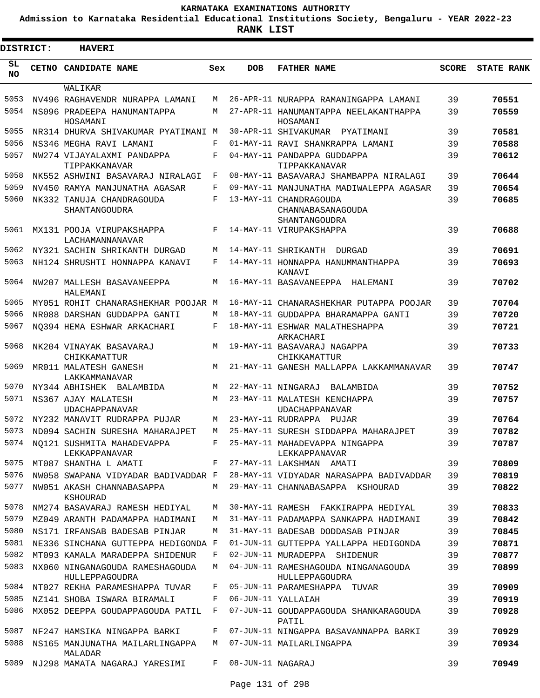**Admission to Karnataka Residential Educational Institutions Society, Bengaluru - YEAR 2022-23**

**RANK LIST**

 $\blacksquare$ 

| DISTRICT:       | <b>HAVERI</b>                                     |     |                   |                                                              |              |                   |
|-----------------|---------------------------------------------------|-----|-------------------|--------------------------------------------------------------|--------------|-------------------|
| SL<br><b>NO</b> | CETNO CANDIDATE NAME                              | Sex | <b>DOB</b>        | <b>FATHER NAME</b>                                           | <b>SCORE</b> | <b>STATE RANK</b> |
|                 | WALIKAR                                           |     |                   |                                                              |              |                   |
| 5053            | NV496 RAGHAVENDR NURAPPA LAMANI                   | М   |                   | 26-APR-11 NURAPPA RAMANINGAPPA LAMANI                        | 39           | 70551             |
| 5054            | NS096 PRADEEPA HANUMANTAPPA<br>HOSAMANI           | M   |                   | 27-APR-11 HANUMANTAPPA NEELAKANTHAPPA<br>HOSAMANI            | 39           | 70559             |
| 5055            | NR314 DHURVA SHIVAKUMAR PYATIMANI M               |     |                   | 30-APR-11 SHIVAKUMAR<br>PYATIMANI                            | 39           | 70581             |
| 5056            | NS346 MEGHA RAVI LAMANI                           | F   |                   | 01-MAY-11 RAVI SHANKRAPPA LAMANI                             | 39           | 70588             |
| 5057            | NW274 VIJAYALAXMI PANDAPPA<br>TIPPAKKANAVAR       | F   |                   | 04-MAY-11 PANDAPPA GUDDAPPA<br>TIPPAKKANAVAR                 | 39           | 70612             |
| 5058            | NK552 ASHWINI BASAVARAJ NIRALAGI                  | F   |                   | 08-MAY-11 BASAVARAJ SHAMBAPPA NIRALAGI                       | 39           | 70644             |
| 5059            | NV450 RAMYA MANJUNATHA AGASAR                     | F   |                   | 09-MAY-11 MANJUNATHA MADIWALEPPA AGASAR                      | 39           | 70654             |
| 5060            | NK332 TANUJA CHANDRAGOUDA<br>SHANTANGOUDRA        | F   |                   | 13-MAY-11 CHANDRAGOUDA<br>CHANNABASANAGOUDA<br>SHANTANGOUDRA | 39           | 70685             |
| 5061            | MX131 POOJA VIRUPAKSHAPPA<br>LACHAMANNANAVAR      | F   |                   | 14-MAY-11 VIRUPAKSHAPPA                                      | 39           | 70688             |
| 5062            | NY321 SACHIN SHRIKANTH DURGAD                     | М   |                   | 14-MAY-11 SHRIKANTH DURGAD                                   | 39           | 70691             |
| 5063            | NH124 SHRUSHTI HONNAPPA KANAVI                    | F   |                   | 14-MAY-11 HONNAPPA HANUMMANTHAPPA<br>KANAVI                  | 39           | 70693             |
| 5064            | NW207 MALLESH BASAVANEEPPA<br>HALEMANI            | M   |                   | 16-MAY-11 BASAVANEEPPA<br>HALEMANI                           | 39           | 70702             |
| 5065            | MY051 ROHIT CHANARASHEKHAR POOJAR M               |     |                   | 16-MAY-11 CHANARASHEKHAR PUTAPPA POOJAR                      | 39           | 70704             |
| 5066            | NR088 DARSHAN GUDDAPPA GANTI                      | M   |                   | 18-MAY-11 GUDDAPPA BHARAMAPPA GANTI                          | 39           | 70720             |
| 5067            | NO394 HEMA ESHWAR ARKACHARI                       | F   |                   | 18-MAY-11 ESHWAR MALATHESHAPPA<br>ARKACHARI                  | 39           | 70721             |
| 5068            | NK204 VINAYAK BASAVARAJ<br>CHIKKAMATTUR           | M   |                   | 19-MAY-11 BASAVARAJ NAGAPPA<br>CHIKKAMATTUR                  | 39           | 70733             |
| 5069            | MR011 MALATESH GANESH<br>LAKKAMMANAVAR            | M   |                   | 21-MAY-11 GANESH MALLAPPA LAKKAMMANAVAR                      | 39           | 70747             |
| 5070            | NY344 ABHISHEK BALAMBIDA                          | М   |                   | 22-MAY-11 NINGARAJ<br>BALAMBIDA                              | 39           | 70752             |
| 5071            | NS367 AJAY MALATESH<br><b>UDACHAPPANAVAR</b>      | M   |                   | 23-MAY-11 MALATESH KENCHAPPA<br><b>UDACHAPPANAVAR</b>        | 39           | 70757             |
| 5072            | NY232 MANAVIT RUDRAPPA PUJAR                      | M   |                   | 23-MAY-11 RUDRAPPA<br>PUJAR                                  | 39           | 70764             |
| 5073            | ND094 SACHIN SURESHA MAHARAJPET                   | M   |                   | 25-MAY-11 SURESH SIDDAPPA MAHARAJPET                         | 39           | 70782             |
| 5074            | NQ121 SUSHMITA MAHADEVAPPA<br>LEKKAPPANAVAR       | F   |                   | 25-MAY-11 MAHADEVAPPA NINGAPPA<br>LEKKAPPANAVAR              | 39           | 70787             |
| 5075            | MT087 SHANTHA L AMATI                             | F   |                   | 27-MAY-11 LAKSHMAN AMATI                                     | 39           | 70809             |
| 5076            | NW058 SWAPANA VIDYADAR BADIVADDAR F               |     |                   | 28-MAY-11 VIDYADAR NARASAPPA BADIVADDAR                      | 39           | 70819             |
| 5077            | NW051 AKASH CHANNABASAPPA<br>KSHOURAD             | М   |                   | 29-MAY-11 CHANNABASAPPA KSHOURAD                             | 39           | 70822             |
| 5078            | NM274 BASAVARAJ RAMESH HEDIYAL                    | М   |                   | 30-MAY-11 RAMESH FAKKIRAPPA HEDIYAL                          | 39           | 70833             |
| 5079            | MZ049 ARANTH PADAMAPPA HADIMANI                   | М   |                   | 31-MAY-11 PADAMAPPA SANKAPPA HADIMANI                        | 39           | 70842             |
| 5080            | NS171 IRFANSAB BADESAB PINJAR                     | М   |                   | 31-MAY-11 BADESAB DODDASAB PINJAR                            | 39           | 70845             |
| 5081            | NE336 SINCHANA GUTTEPPA HEDIGONDA F               |     |                   | 01-JUN-11 GUTTEPPA YALLAPPA HEDIGONDA                        | 39           | 70871             |
| 5082            | MT093 KAMALA MARADEPPA SHIDENUR                   | F   |                   | 02-JUN-11 MURADEPPA SHIDENUR                                 | 39           | 70877             |
| 5083            | NX060 NINGANAGOUDA RAMESHAGOUDA<br>HULLEPPAGOUDRA | М   |                   | 04-JUN-11 RAMESHAGOUDA NINGANAGOUDA<br>HULLEPPAGOUDRA        | 39           | 70899             |
| 5084            | NT027 REKHA PARAMESHAPPA TUVAR                    | F   |                   | 05-JUN-11 PARAMESHAPPA TUVAR                                 | 39           | 70909             |
| 5085            | NZ141 SHOBA ISWARA BIRAMALI                       | F   |                   | 06-JUN-11 YALLAIAH                                           | 39           | 70919             |
| 5086            | MX052 DEEPPA GOUDAPPAGOUDA PATIL                  | F   |                   | 07-JUN-11 GOUDAPPAGOUDA SHANKARAGOUDA<br>PATIL               | 39           | 70928             |
| 5087            | NF247 HAMSIKA NINGAPPA BARKI                      | F   |                   | 07-JUN-11 NINGAPPA BASAVANNAPPA BARKI                        | 39           | 70929             |
| 5088            | NS165 MANJUNATHA MAILARLINGAPPA<br>MALADAR        | М   |                   | 07-JUN-11 MAILARLINGAPPA                                     | 39           | 70934             |
| 5089            | NJ298 MAMATA NAGARAJ YARESIMI                     | F   | 08-JUN-11 NAGARAJ |                                                              | 39           | 70949             |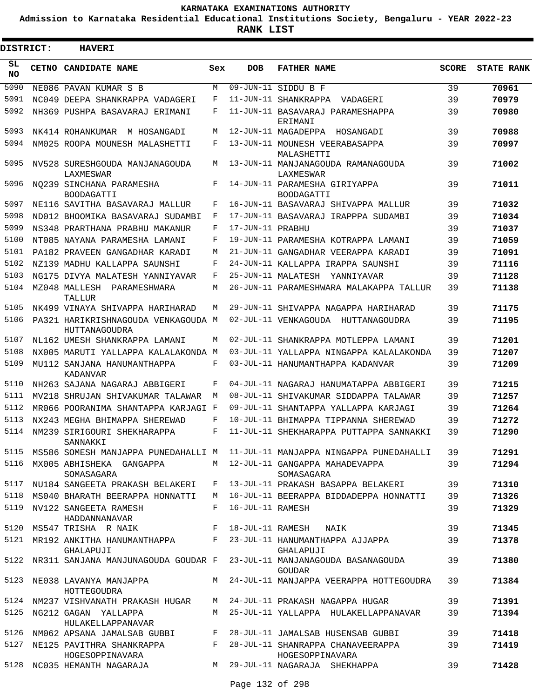**Admission to Karnataka Residential Educational Institutions Society, Bengaluru - YEAR 2022-23**

 $\blacksquare$ 

**RANK LIST**

Е

| <b>DISTRICT:</b> | <b>HAVERI</b>                                                         |     |                  |                                                                                         |              |                   |
|------------------|-----------------------------------------------------------------------|-----|------------------|-----------------------------------------------------------------------------------------|--------------|-------------------|
| SL<br><b>NO</b>  | <b>CETNO CANDIDATE NAME</b>                                           | Sex | <b>DOB</b>       | <b>FATHER NAME</b>                                                                      | <b>SCORE</b> | <b>STATE RANK</b> |
| 5090             | NE086 PAVAN KUMAR S B                                                 | M   |                  | 09-JUN-11 SIDDU B F                                                                     | 39           | 70961             |
| 5091             | NC049 DEEPA SHANKRAPPA VADAGERI                                       | F   |                  | 11-JUN-11 SHANKRAPPA<br>VADAGERI                                                        | 39           | 70979             |
| 5092             | NH369 PUSHPA BASAVARAJ ERIMANI                                        | F   |                  | 11-JUN-11 BASAVARAJ PARAMESHAPPA<br>ERIMANI                                             | 39           | 70980             |
| 5093             | NK414 ROHANKUMAR M HOSANGADI                                          | M   |                  | 12-JUN-11 MAGADEPPA HOSANGADI                                                           | 39           | 70988             |
| 5094             | NM025 ROOPA MOUNESH MALASHETTI                                        | F   |                  | 13-JUN-11 MOUNESH VEERABASAPPA<br>MALASHETTI                                            | 39           | 70997             |
| 5095             | NV528 SURESHGOUDA MANJANAGOUDA<br>LAXMESWAR                           | M   |                  | 13-JUN-11 MANJANAGOUDA RAMANAGOUDA<br>LAXMESWAR                                         | 39           | 71002             |
| 5096             | NO239 SINCHANA PARAMESHA<br><b>BOODAGATTI</b>                         | F   |                  | 14-JUN-11 PARAMESHA GIRIYAPPA<br><b>BOODAGATTI</b>                                      | 39           | 71011             |
| 5097             | NE116 SAVITHA BASAVARAJ MALLUR                                        | F   |                  | 16-JUN-11 BASAVARAJ SHIVAPPA MALLUR                                                     | 39           | 71032             |
| 5098             | ND012 BHOOMIKA BASAVARAJ SUDAMBI                                      | F   |                  | 17-JUN-11 BASAVARAJ IRAPPPA SUDAMBI                                                     | 39           | 71034             |
| 5099             | NS348 PRARTHANA PRABHU MAKANUR                                        | F   | 17-JUN-11 PRABHU |                                                                                         | 39           | 71037             |
| 5100             | NT085 NAYANA PARAMESHA LAMANI                                         | F   |                  | 19-JUN-11 PARAMESHA KOTRAPPA LAMANI                                                     | 39           | 71059             |
| 5101             | PA182 PRAVEEN GANGADHAR KARADI                                        | M   |                  | 21-JUN-11 GANGADHAR VEERAPPA KARADI                                                     | 39           | 71091             |
| 5102             | NZ139 MADHU KALLAPPA SAUNSHI                                          | F   |                  | 24-JUN-11 KALLAPPA IRAPPA SAUNSHI                                                       | 39           | 71116             |
| 5103             | NG175 DIVYA MALATESH YANNIYAVAR                                       | F   |                  | 25-JUN-11 MALATESH YANNIYAVAR                                                           | 39           | 71128             |
| 5104             | MZ048 MALLESH PARAMESHWARA<br>TALLUR                                  | M   |                  | 26-JUN-11 PARAMESHWARA MALAKAPPA TALLUR                                                 | 39           | 71138             |
| 5105             | NK499 VINAYA SHIVAPPA HARIHARAD                                       | M   |                  | 29-JUN-11 SHIVAPPA NAGAPPA HARIHARAD                                                    | 39           | 71175             |
| 5106             | PA321 HARIKRISHNAGOUDA VENKAGOUDA M<br>HUTTANAGOUDRA                  |     |                  | 02-JUL-11 VENKAGOUDA<br>HUTTANAGOUDRA                                                   | 39           | 71195             |
| 5107             | NL162 UMESH SHANKRAPPA LAMANI                                         | М   |                  | 02-JUL-11 SHANKRAPPA MOTLEPPA LAMANI                                                    | 39           | 71201             |
| 5108             | NX005 MARUTI YALLAPPA KALALAKONDA M                                   |     |                  | 03-JUL-11 YALLAPPA NINGAPPA KALALAKONDA                                                 | 39           | 71207             |
| 5109             | MU112 SANJANA HANUMANTHAPPA<br>KADANVAR                               | F   |                  | 03-JUL-11 HANUMANTHAPPA KADANVAR                                                        | 39           | 71209             |
| 5110             | NH263 SAJANA NAGARAJ ABBIGERI                                         | F   |                  | 04-JUL-11 NAGARAJ HANUMATAPPA ABBIGERI                                                  | 39           | 71215             |
| 5111             | MV218 SHRUJAN SHIVAKUMAR TALAWAR                                      | M   |                  | 08-JUL-11 SHIVAKUMAR SIDDAPPA TALAWAR                                                   | 39           | 71257             |
| 5112             | MR066 POORANIMA SHANTAPPA KARJAGI F                                   |     |                  | 09-JUL-11 SHANTAPPA YALLAPPA KARJAGI                                                    | 39           | 71264             |
| 5113             | NX243 MEGHA BHIMAPPA SHEREWAD                                         | F   |                  | 10-JUL-11 BHIMAPPA TIPPANNA SHEREWAD                                                    | 39           | 71272             |
| 5114             | NM239 SIRIGOURI SHEKHARAPPA<br>SANNAKKI                               | F   |                  | 11-JUL-11 SHEKHARAPPA PUTTAPPA SANNAKKI                                                 | 39           | 71290             |
| 5115             |                                                                       |     |                  | MS586 SOMESH MANJAPPA PUNEDAHALLI M  11-JUL-11 MANJAPPA NINGAPPA PUNEDAHALLI            | 39           | 71291             |
|                  | 5116 MX005 ABHISHEKA GANGAPPA<br>SOMASAGARA                           |     |                  | M 12-JUL-11 GANGAPPA MAHADEVAPPA<br>SOMASAGARA                                          | 39           | 71294             |
| 5117             | NU184 SANGEETA PRAKASH BELAKERI                                       | F   |                  | 13-JUL-11 PRAKASH BASAPPA BELAKERI                                                      | 39           | 71310             |
| 5118             | MS040 BHARATH BEERAPPA HONNATTI                                       | M   |                  | 16-JUL-11 BEERAPPA BIDDADEPPA HONNATTI                                                  | 39           | 71326             |
| 5119             | NV122 SANGEETA RAMESH<br>HADDANNANAVAR                                | F   | 16-JUL-11 RAMESH |                                                                                         | 39           | 71329             |
|                  | 5120 MS547 TRISHA R NAIK F 18-JUL-11 RAMESH                           |     |                  | NAIK                                                                                    | 39           | 71345             |
|                  | 5121 MR192 ANKITHA HANUMANTHAPPA F<br>GHALAPUJI                       |     |                  | 23-JUL-11 HANUMANTHAPPA AJJAPPA<br>GHALAPUJI                                            | 39           | 71378             |
| 5122             |                                                                       |     |                  | NR311 SANJANA MANJUNAGOUDA GOUDAR F 23-JUL-11 MANJANAGOUDA BASANAGOUDA<br><b>GOUDAR</b> | 39           | 71380             |
|                  | HOTTEGOUDRA                                                           |     |                  | 5123 NE038 LAVANYA MANJAPPA MARA MARA MARAJAPA WEERAPPA HOTTEGOUDRA                     | 39           | 71384             |
|                  | 5124 NM237 VISHVANATH PRAKASH HUGAR M 24-JUL-11 PRAKASH NAGAPPA HUGAR |     |                  |                                                                                         | 39           | 71391             |
| 5125             | NG212 GAGAN YALLAPPA<br>HULAKELLAPPANAVAR                             | M   |                  | 25-JUL-11 YALLAPPA  HULAKELLAPPANAVAR                                                   | 39           | 71394             |
|                  |                                                                       |     |                  | 5126 NM062 APSANA JAMALSAB GUBBI F 28-JUL-11 JAMALSAB HUSENSAB GUBBI                    | 39           | 71418             |
| 5127             | NE125 PAVITHRA SHANKRAPPA F<br>HOGESOPPINAVARA                        |     |                  | 28-JUL-11 SHANRAPPA CHANAVEERAPPA<br>HOGESOPPINAVARA                                    | 39           | 71419             |
|                  | 5128 NC035 HEMANTH NAGARAJA M 29-JUL-11 NAGARAJA SHEKHAPPA            |     |                  |                                                                                         | 39           | 71428             |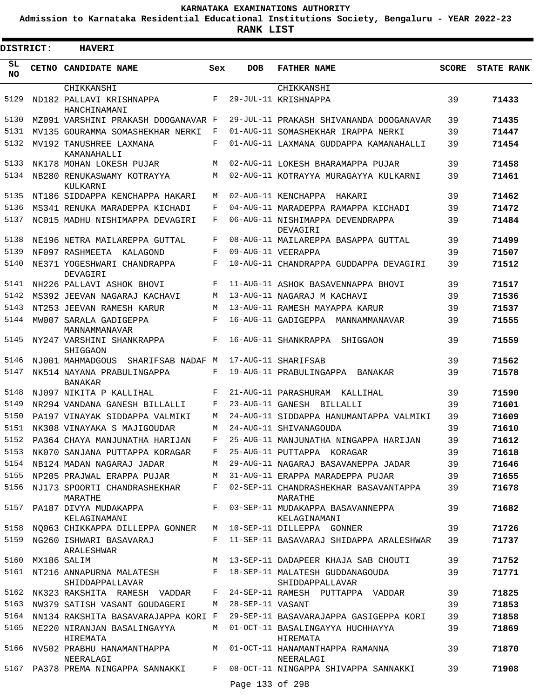**Admission to Karnataka Residential Educational Institutions Society, Bengaluru - YEAR 2022-23**

| <b>DISTRICT:</b> |             | <b>HAVERI</b>                                                                   |        |                  |                                                                                    |              |                   |
|------------------|-------------|---------------------------------------------------------------------------------|--------|------------------|------------------------------------------------------------------------------------|--------------|-------------------|
| SL<br><b>NO</b>  |             | CETNO CANDIDATE NAME                                                            | Sex    | <b>DOB</b>       | <b>FATHER NAME</b>                                                                 | <b>SCORE</b> | <b>STATE RANK</b> |
|                  |             | CHIKKANSHI                                                                      |        |                  | CHIKKANSHI                                                                         |              |                   |
| 5129             |             | ND182 PALLAVI KRISHNAPPA<br>HANCHINAMANI                                        | F      |                  | 29-JUL-11 KRISHNAPPA                                                               | 39           | 71433             |
| 5130             |             | MZ091 VARSHINI PRAKASH DOOGANAVAR F                                             |        |                  | 29-JUL-11 PRAKASH SHIVANANDA DOOGANAVAR                                            | 39           | 71435             |
| 5131             |             | MV135 GOURAMMA SOMASHEKHAR NERKI                                                | F      |                  | 01-AUG-11 SOMASHEKHAR IRAPPA NERKI                                                 | 39           | 71447             |
| 5132             |             | MV192 TANUSHREE LAXMANA<br>KAMANAHALLI                                          | F      |                  | 01-AUG-11 LAXMANA GUDDAPPA KAMANAHALLI                                             | 39           | 71454             |
| 5133             |             | NK178 MOHAN LOKESH PUJAR                                                        | M      |                  | 02-AUG-11 LOKESH BHARAMAPPA PUJAR                                                  | 39           | 71458             |
| 5134             |             | NB280 RENUKASWAMY KOTRAYYA<br>KULKARNI                                          | М      |                  | 02-AUG-11 KOTRAYYA MURAGAYYA KULKARNI                                              | 39           | 71461             |
| 5135             |             | NT186 SIDDAPPA KENCHAPPA HAKARI                                                 | М      |                  | 02-AUG-11 KENCHAPPA<br>HAKARI                                                      | 39           | 71462             |
| 5136             |             | MS341 RENUKA MARADEPPA KICHADI                                                  | F      |                  | 04-AUG-11 MARADEPPA RAMAPPA KICHADI                                                | 39           | 71472             |
| 5137             |             | NC015 MADHU NISHIMAPPA DEVAGIRI                                                 | F      |                  | 06-AUG-11 NISHIMAPPA DEVENDRAPPA<br>DEVAGIRI                                       | 39           | 71484             |
| 5138             |             | NE196 NETRA MAILAREPPA GUTTAL                                                   | F      |                  | 08-AUG-11 MAILAREPPA BASAPPA GUTTAL                                                | 39           | 71499             |
| 5139             |             | NF097 RASHMEETA KALAGOND                                                        | F      |                  | 09-AUG-11 VEERAPPA                                                                 | 39           | 71507             |
| 5140             |             | NE371 YOGESHWARI CHANDRAPPA<br>DEVAGIRI                                         | F      |                  | 10-AUG-11 CHANDRAPPA GUDDAPPA DEVAGIRI                                             | 39           | 71512             |
| 5141             |             | NH226 PALLAVI ASHOK BHOVI                                                       | F      |                  | 11-AUG-11 ASHOK BASAVENNAPPA BHOVI                                                 | 39           | 71517             |
| 5142             |             | MS392 JEEVAN NAGARAJ KACHAVI                                                    | М      |                  | 13-AUG-11 NAGARAJ M KACHAVI                                                        | 39           | 71536             |
| 5143             |             | NT253 JEEVAN RAMESH KARUR                                                       | M      |                  | 13-AUG-11 RAMESH MAYAPPA KARUR                                                     | 39           | 71537             |
| 5144             |             | MW007 SARALA GADIGEPPA<br>MANNAMMANAVAR                                         | F      |                  | 16-AUG-11 GADIGEPPA MANNAMMANAVAR                                                  | 39           | 71555             |
| 5145             |             | NY247 VARSHINI SHANKRAPPA<br>SHIGGAON                                           | F      |                  | 16-AUG-11 SHANKRAPPA<br>SHIGGAON                                                   | 39           | 71559             |
| 5146             |             | NJ001 MAHMADGOUS SHARIFSAB NADAF M                                              |        |                  | 17-AUG-11 SHARIFSAB                                                                | 39           | 71562             |
| 5147             |             | NK514 NAYANA PRABULINGAPPA<br>BANAKAR                                           | F      |                  | 19-AUG-11 PRABULINGAPPA<br>BANAKAR                                                 | 39           | 71578             |
| 5148             |             | NJ097 NIKITA P KALLIHAL                                                         | F      |                  | 21-AUG-11 PARASHURAM KALLIHAL                                                      | 39           | 71590             |
| 5149             |             | NR294 VANDANA GANESH BILLALLI                                                   | F      |                  | 23-AUG-11 GANESH BILLALLI                                                          | 39           | 71601             |
| 5150             |             | PA197 VINAYAK SIDDAPPA VALMIKI                                                  | M      |                  | 24-AUG-11 SIDDAPPA HANUMANTAPPA VALMIKI                                            | 39           | 71609             |
| 5151             |             | NK308 VINAYAKA S MAJIGOUDAR                                                     | М<br>F |                  | 24-AUG-11 SHIVANAGOUDA                                                             | 39           | 71610             |
|                  |             | 5152 PA364 CHAYA MANJUNATHA HARIJAN                                             |        |                  | 25-AUG-11 MANJUNATHA NINGAPPA HARIJAN                                              | 39           | 71612             |
| 5153<br>5154     |             | NK070 SANJANA PUTTAPPA KORAGAR F<br>NB124 MADAN NAGARAJ JADAR                   | M      |                  | 25-AUG-11 PUTTAPPA KORAGAR<br>29-AUG-11 NAGARAJ BASAVANEPPA JADAR 39               | 39           | 71618<br>71646    |
| 5155             |             | NP205 PRAJWAL ERAPPA PUJAR                                                      | M      |                  | 31-AUG-11 ERAPPA MARADEPPA PUJAR                                                   | 39           | 71655             |
| 5156             |             |                                                                                 |        |                  | NJ173 SPOORTI CHANDRASHEKHAR F 02-SEP-11 CHANDRASHEKHAR BASAVANTAPPA               | 39           | 71678             |
| 5157             |             | MARATHE<br>PA187 DIVYA MUDAKAPPA<br>KELAGINAMANI                                |        |                  | MARATHE<br>F 03-SEP-11 MUDAKAPPA BASAVANNEPPA<br>KELAGINAMANI                      | 39           | 71682             |
| 5158             |             | NQ063 CHIKKAPPA DILLEPPA GONNER                                                 |        |                  | M 10-SEP-11 DILLEPPA GONNER                                                        | 39           | 71726             |
| 5159             |             | NG260 ISHWARI BASAVARAJ<br>ARALESHWAR                                           |        |                  | F 11-SEP-11 BASAVARAJ SHIDAPPA ARALESHWAR                                          | 39           | 71737             |
| 5160             | MX186 SALIM |                                                                                 |        |                  | M 13-SEP-11 DADAPEER KHAJA SAB CHOUTI                                              | 39           | 71752             |
| 5161             |             | NT216 ANNAPURNA MALATESH $F$ 18-SEP-11 MALATESH GUDDANAGOUDA<br>SHIDDAPPALLAVAR |        |                  | SHIDDAPPALLAVAR                                                                    | 39           | 71771             |
| 5162             |             | NK323 RAKSHITA RAMESH VADDAR                                                    | F      |                  | 24-SEP-11 RAMESH PUTTAPPA VADDAR                                                   | 39           | 71825             |
| 5163             |             | NW379 SATISH VASANT GOUDAGERI                                                   | M      | 28-SEP-11 VASANT |                                                                                    | 39           | 71853             |
| 5164             |             | NN134 RAKSHITA BASAVARAJAPPA KORI F                                             |        |                  | 29-SEP-11 BASAVARAJAPPA GASIGEPPA KORI                                             | 39           | 71858             |
| 5165             |             | NE220 NIRANJAN BASALINGAYYA                                                     |        |                  | M 01-OCT-11 BASALINGAYYA HUCHHAYYA                                                 | 39           | 71869             |
| 5166             |             | HIREMATA                                                                        |        |                  | HIREMATA<br>NV502 PRABHU HANAMANTHAPPA         M   01-OCT-11 HANAMANTHAPPA RAMANNA | 39           | 71870             |
|                  |             | NEERALAGI                                                                       |        |                  | NEERALAGI                                                                          |              |                   |
|                  |             | 5167 PA378 PREMA NINGAPPA SANNAKKI F                                            |        | Page 133 of 298  | 08-OCT-11 NINGAPPA SHIVAPPA SANNAKKI                                               | 39           | 71908             |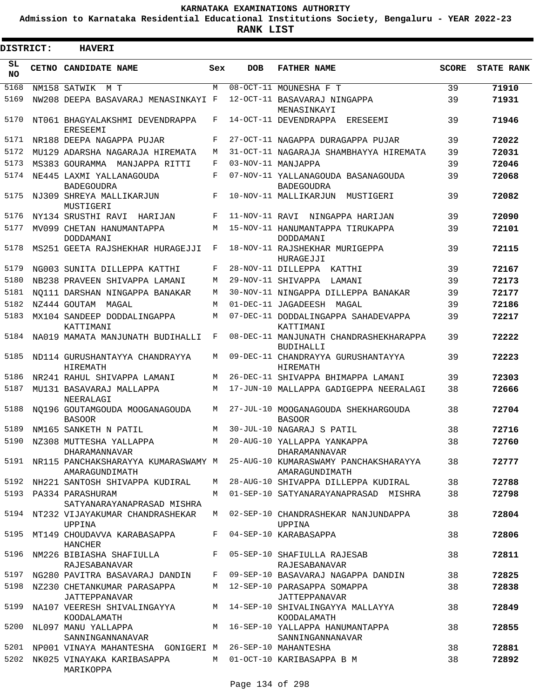**Admission to Karnataka Residential Educational Institutions Society, Bengaluru - YEAR 2022-23**

**RANK LIST**

 $\blacksquare$ 

| DISTRICT:       |       | <b>HAVERI</b>                                                                |            |                |                                                                                                  |              |                   |
|-----------------|-------|------------------------------------------------------------------------------|------------|----------------|--------------------------------------------------------------------------------------------------|--------------|-------------------|
| SL<br><b>NO</b> | CETNO | <b>CANDIDATE NAME</b>                                                        | Sex        | <b>DOB</b>     | <b>FATHER NAME</b>                                                                               | <b>SCORE</b> | <b>STATE RANK</b> |
| 5168            |       | NM158 SATWIK<br>M T                                                          | M          |                | 08-OCT-11 MOUNESHA F T                                                                           | 39           | 71910             |
| 5169            |       | NW208 DEEPA BASAVARAJ MENASINKAYI F                                          |            |                | 12-OCT-11 BASAVARAJ NINGAPPA<br>MENASINKAYI                                                      | 39           | 71931             |
| 5170            |       | NT061 BHAGYALAKSHMI DEVENDRAPPA<br><b>ERESEEMI</b>                           | F          |                | 14-OCT-11 DEVENDRAPPA<br>ERESEEMI                                                                | 39           | 71946             |
| 5171            |       | NR188 DEEPA NAGAPPA PUJAR                                                    | F          |                | 27-OCT-11 NAGAPPA DURAGAPPA PUJAR                                                                | 39           | 72022             |
| 5172            |       | MU129 ADARSHA NAGARAJA HIREMATA                                              | М          |                | 31-OCT-11 NAGARAJA SHAMBHAYYA HIREMATA                                                           | 39           | 72031             |
| 5173            |       | MS383 GOURAMMA<br>MANJAPPA RITTI                                             | $_{\rm F}$ |                | 03-NOV-11 MANJAPPA                                                                               | 39           | 72046             |
| 5174            |       | NE445 LAXMI YALLANAGOUDA<br><b>BADEGOUDRA</b>                                | F          |                | 07-NOV-11 YALLANAGOUDA BASANAGOUDA<br><b>BADEGOUDRA</b>                                          | 39           | 72068             |
| 5175            |       | NJ309 SHREYA MALLIKARJUN<br>MUSTIGERI                                        | F          |                | 10-NOV-11 MALLIKARJUN<br>MUSTIGERI                                                               | 39           | 72082             |
| 5176            |       | NY134 SRUSTHI RAVI<br>HARTJAN                                                | F          | 11-NOV-11 RAVI | NINGAPPA HARIJAN                                                                                 | 39           | 72090             |
| 5177            |       | MV099 CHETAN HANUMANTAPPA<br>DODDAMANI                                       | М          |                | 15-NOV-11 HANUMANTAPPA TIRUKAPPA<br>DODDAMANI                                                    | 39           | 72101             |
| 5178            |       | MS251 GEETA RAJSHEKHAR HURAGEJJI                                             | F          |                | 18-NOV-11 RAJSHEKHAR MURIGEPPA<br>HURAGEJJI                                                      | 39           | 72115             |
| 5179            |       | NG003 SUNITA DILLEPPA KATTHI                                                 | F          |                | 28-NOV-11 DILLEPPA<br>KATTHI                                                                     | 39           | 72167             |
| 5180            |       | NB238 PRAVEEN SHIVAPPA LAMANI                                                | М          |                | 29-NOV-11 SHIVAPPA<br>LAMANI                                                                     | 39           | 72173             |
| 5181            |       | NO111 DARSHAN NINGAPPA BANAKAR                                               | М          |                | 30-NOV-11 NINGAPPA DILLEPPA BANAKAR                                                              | 39           | 72177             |
| 5182            |       | NZ444 GOUTAM<br>MAGAL                                                        | М          |                | 01-DEC-11 JAGADEESH<br>MAGAL                                                                     | 39           | 72186             |
| 5183            |       | MX104 SANDEEP DODDALINGAPPA<br>KATTIMANI                                     | М          |                | 07-DEC-11 DODDALINGAPPA SAHADEVAPPA<br>KATTIMANI                                                 | 39           | 72217             |
| 5184            |       | NA019 MAMATA MANJUNATH BUDIHALLI                                             | F          |                | 08-DEC-11 MANJUNATH CHANDRASHEKHARAPPA<br><b>BUDIHALLI</b>                                       | 39           | 72222             |
| 5185            |       | ND114 GURUSHANTAYYA CHANDRAYYA<br><b>HIREMATH</b>                            | М          |                | 09-DEC-11 CHANDRAYYA GURUSHANTAYYA<br><b>HIREMATH</b>                                            | 39           | 72223             |
| 5186            |       | NR241 RAHUL SHIVAPPA LAMANI                                                  | М          |                | 26-DEC-11 SHIVAPPA BHIMAPPA LAMANI                                                               | 39           | 72303             |
| 5187            |       | MU131 BASAVARAJ MALLAPPA<br>NEERALAGI                                        | М          |                | 17-JUN-10 MALLAPPA GADIGEPPA NEERALAGI                                                           | 38           | 72666             |
| 5188            |       | NO196 GOUTAMGOUDA MOOGANAGOUDA<br><b>BASOOR</b>                              | M          |                | 27-JUL-10 MOOGANAGOUDA SHEKHARGOUDA<br><b>BASOOR</b>                                             | 38           | 72704             |
| 5189            |       | NM165 SANKETH N PATIL                                                        | M          |                | 30-JUL-10 NAGARAJ S PATIL                                                                        | 38           | 72716             |
|                 |       | 5190 NZ308 MUTTESHA YALLAPPA<br>DHARAMANNAVAR                                |            |                | M 20-AUG-10 YALLAPPA YANKAPPA<br>DHARAMANNAVAR                                                   | 38           | 72760             |
|                 |       | AMARAGUNDIMATH                                                               |            |                | 5191 NR115 PANCHAKSHARAYYA KUMARASWAMY M 25-AUG-10 KUMARASWAMY PANCHAKSHARAYYA<br>AMARAGUNDIMATH | 38           | 72777             |
|                 |       | 5192 NH221 SANTOSH SHIVAPPA KUDIRAL                                          |            |                | M 28-AUG-10 SHIVAPPA DILLEPPA KUDIRAL                                                            | 38           | 72788             |
|                 |       | 5193 PA334 PARASHURAM<br>SATYANARAYANAPRASAD MISHRA                          |            |                | M 01-SEP-10 SATYANARAYANAPRASAD MISHRA                                                           | 38           | 72798             |
|                 |       | 5194 NT232 VIJAYAKUMAR CHANDRASHEKAR<br>UPPINA                               |            |                | M 02-SEP-10 CHANDRASHEKAR NANJUNDAPPA<br>UPPINA                                                  | 38           | 72804             |
|                 |       | 5195 MT149 CHOUDAVVA KARABASAPPA<br>HANCHER                                  |            |                | F 04-SEP-10 KARABASAPPA                                                                          | 38           | 72806             |
|                 |       | 5196 NM226 BIBIASHA SHAFIULLA F 05-SEP-10 SHAFIULLA RAJESAB<br>RAJESABANAVAR |            |                | RAJESABANAVAR                                                                                    | 38           | 72811             |
|                 |       | 5197 NG280 PAVITRA BASAVARAJ DANDIN                                          |            |                | F 09-SEP-10 BASAVARAJ NAGAPPA DANDIN                                                             | 38           | 72825             |
|                 |       | 5198 NZ230 CHETANKUMAR PARASAPPA<br>JATTEPPANAVAR                            |            |                | M 12-SEP-10 PARASAPPA SOMAPPA<br>JATTEPPANAVAR                                                   | 38           | 72838             |
|                 |       | 5199 NA107 VEERESH SHIVALINGAYYA<br>KOODALAMATH                              |            |                | M 14-SEP-10 SHIVALINGAYYA MALLAYYA<br>KOODALAMATH                                                | 38           | 72849             |
|                 |       | 5200 NL097 MANU YALLAPPA<br>SANNINGANNANAVAR                                 |            |                | M 16-SEP-10 YALLAPPA HANUMANTAPPA<br>SANNINGANNANAVAR                                            | 38           | 72855             |
|                 |       | 5201 NP001 VINAYA MAHANTESHA GONIGERI M 26-SEP-10 MAHANTESHA                 |            |                |                                                                                                  | 38           | 72881             |
|                 |       | 5202 NK025 VINAYAKA KARIBASAPPA<br>MARIKOPPA                                 |            |                | M 01-OCT-10 KARIBASAPPA B M                                                                      | 38           | 72892             |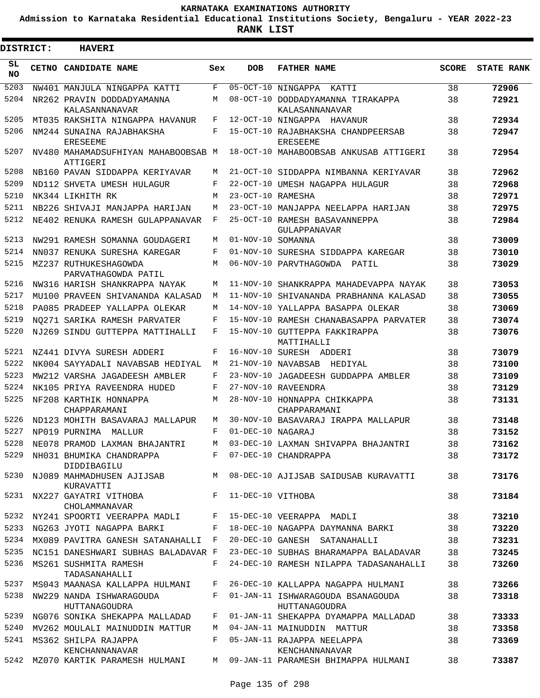**Admission to Karnataka Residential Educational Institutions Society, Bengaluru - YEAR 2022-23**

| <b>DISTRICT:</b> | <b>HAVERI</b>                                   |       |                   |                                                       |              |                   |
|------------------|-------------------------------------------------|-------|-------------------|-------------------------------------------------------|--------------|-------------------|
| SL<br><b>NO</b>  | <b>CETNO CANDIDATE NAME</b>                     | Sex   | <b>DOB</b>        | <b>FATHER NAME</b>                                    | <b>SCORE</b> | <b>STATE RANK</b> |
| 5203             | NW401 MANJULA NINGAPPA KATTI                    | F     |                   | 05-OCT-10 NINGAPPA<br>KATTI                           | 38           | 72906             |
| 5204             | NR262 PRAVIN DODDADYAMANNA<br>KALASANNANAVAR    | М     |                   | 08-OCT-10 DODDADYAMANNA TIRAKAPPA<br>KALASANNANAVAR   | 38           | 72921             |
| 5205             | MT035 RAKSHITA NINGAPPA HAVANUR                 | F     |                   | 12-OCT-10 NINGAPPA HAVANUR                            | 38           | 72934             |
| 5206             | NM244 SUNAINA RAJABHAKSHA<br><b>ERESEEME</b>    | F     |                   | 15-OCT-10 RAJABHAKSHA CHANDPEERSAB<br><b>ERESEEME</b> | 38           | 72947             |
| 5207             | NV480 MAHAMADSUFHIYAN MAHABOOBSAB M<br>ATTIGERI |       |                   | 18-OCT-10 MAHABOOBSAB ANKUSAB ATTIGERI                | 38           | 72954             |
| 5208             | NB160 PAVAN SIDDAPPA KERIYAVAR                  | М     |                   | 21-OCT-10 SIDDAPPA NIMBANNA KERIYAVAR                 | 38           | 72962             |
| 5209             | ND112 SHVETA UMESH HULAGUR                      | F     |                   | 22-OCT-10 UMESH NAGAPPA HULAGUR                       | 38           | 72968             |
| 5210             | NK344 LIKHITH RK                                | M     | 23-OCT-10 RAMESHA |                                                       | 38           | 72971             |
| 5211             | NB226 SHIVAJI MANJAPPA HARIJAN                  | M     |                   | 23-OCT-10 MANJAPPA NEELAPPA HARIJAN                   | 38           | 72975             |
| 5212             | NE402 RENUKA RAMESH GULAPPANAVAR                | F     |                   | 25-OCT-10 RAMESH BASAVANNEPPA<br><b>GULAPPANAVAR</b>  | 38           | 72984             |
| 5213             | NW291 RAMESH SOMANNA GOUDAGERI                  | М     | 01-NOV-10 SOMANNA |                                                       | 38           | 73009             |
| 5214             | NN037 RENUKA SURESHA KAREGAR                    | F     |                   | 01-NOV-10 SURESHA SIDDAPPA KAREGAR                    | 38           | 73010             |
| 5215             | MZ237 RUTHUKESHAGOWDA<br>PARVATHAGOWDA PATIL    | M     |                   | 06-NOV-10 PARVTHAGOWDA<br>PATIL                       | 38           | 73029             |
| 5216             | NW316 HARISH SHANKRAPPA NAYAK                   | M     |                   | 11-NOV-10 SHANKRAPPA MAHADEVAPPA NAYAK                | 38           | 73053             |
| 5217             | MU100 PRAVEEN SHIVANANDA KALASAD                | M     |                   | 11-NOV-10 SHIVANANDA PRABHANNA KALASAD                | 38           | 73055             |
| 5218             | PA085 PRADEEP YALLAPPA OLEKAR                   | M     |                   | 14-NOV-10 YALLAPPA BASAPPA OLEKAR                     | 38           | 73069             |
| 5219             | NO271 SARIKA RAMESH PARVATER                    | F     |                   | 15-NOV-10 RAMESH CHANABASAPPA PARVATER                | 38           | 73074             |
| 5220             | NJ269 SINDU GUTTEPPA MATTIHALLI                 | F     |                   | 15-NOV-10 GUTTEPPA FAKKIRAPPA<br>MATTIHALLI           | 38           | 73076             |
| 5221             | NZ441 DIVYA SURESH ADDERI                       | F     |                   | 16-NOV-10 SURESH ADDERI                               | 38           | 73079             |
| 5222             | NK004 SAYYADALI NAVABSAB HEDIYAL                | M     |                   | 21-NOV-10 NAVABSAB<br>HEDIYAL                         | 38           | 73100             |
| 5223             | MW212 VARSHA JAGADEESH AMBLER                   | F     |                   | 23-NOV-10 JAGADEESH GUDDAPPA AMBLER                   | 38           | 73109             |
| 5224             | NK105 PRIYA RAVEENDRA HUDED                     | F     |                   | 27-NOV-10 RAVEENDRA                                   | 38           | 73129             |
| 5225             | NF208 KARTHIK HONNAPPA<br>CHAPPARAMANI          | М     |                   | 28-NOV-10 HONNAPPA CHIKKAPPA<br>CHAPPARAMANI          | 38           | 73131             |
| 5226             | ND123 MOHITH BASAVARAJ MALLAPUR                 | M     |                   | 30-NOV-10 BASAVARAJ IRAPPA MALLAPUR                   | 38           | 73148             |
| 5227             | NP019 PURNIMA<br>MALLUR                         | F     | 01-DEC-10 NAGARAJ |                                                       | 38           | 73152             |
| 5228             | NE078 PRAMOD LAXMAN BHAJANTRI                   | М     |                   | 03-DEC-10 LAXMAN SHIVAPPA BHAJANTRI                   | 38           | 73162             |
| 5229             | NH031 BHUMIKA CHANDRAPPA<br>DIDDIBAGILU         | $F$ – |                   | 07-DEC-10 CHANDRAPPA                                  | 38           | 73172             |
| 5230             | NJ089 MAHMADHUSEN AJIJSAB<br>KURAVATTI          | M     |                   | 08-DEC-10 AJIJSAB SAIDUSAB KURAVATTI                  | 38           | 73176             |
| 5231             | NX227 GAYATRI VITHOBA<br>CHOLAMMANAVAR          | $F -$ | 11-DEC-10 VITHOBA |                                                       | 38           | 73184             |
| 5232             | NY241 SPOORTI VEERAPPA MADLI                    |       |                   | F 15-DEC-10 VEERAPPA MADLI                            | 38           | 73210             |
| 5233             | NG263 JYOTI NAGAPPA BARKI                       | F     |                   | 18-DEC-10 NAGAPPA DAYMANNA BARKI                      | 38           | 73220             |
| 5234             | MX089 PAVITRA GANESH SATANAHALLI F              |       |                   | 20-DEC-10 GANESH SATANAHALLI                          | 38           | 73231             |
| 5235             | NC151 DANESHWARI SUBHAS BALADAVAR F             |       |                   | 23-DEC-10 SUBHAS BHARAMAPPA BALADAVAR                 | 38           | 73245             |
| 5236             | MS261 SUSHMITA RAMESH<br>TADASANAHALLI          | F     |                   | 24-DEC-10 RAMESH NILAPPA TADASANAHALLI                | 38           | 73260             |
| 5237             | MS043 MAANASA KALLAPPA HULMANI                  | F     |                   | 26-DEC-10 KALLAPPA NAGAPPA HULMANI                    | 38           | 73266             |
| 5238             | NW229 NANDA ISHWARAGOUDA<br>HUTTANAGOUDRA       | F     |                   | 01-JAN-11 ISHWARAGOUDA BSANAGOUDA<br>HUTTANAGOUDRA    | 38           | 73318             |
| 5239             | NG076 SONIKA SHEKAPPA MALLADAD                  | F     |                   | 01-JAN-11 SHEKAPPA DYAMAPPA MALLADAD                  | 38           | 73333             |
| 5240             | MV262 MOULALI MAINUDDIN MATTUR                  | М     |                   | 04-JAN-11 MAINUDDIN MATTUR                            | 38           | 73358             |
| 5241             | MS362 SHILPA RAJAPPA<br>KENCHANNANAVAR          | F     |                   | 05-JAN-11 RAJAPPA NEELAPPA<br>KENCHANNANAVAR          | 38           | 73369             |
|                  | 5242 MZ070 KARTIK PARAMESH HULMANI              |       |                   | M 09-JAN-11 PARAMESH BHIMAPPA HULMANI                 | 38           | 73387             |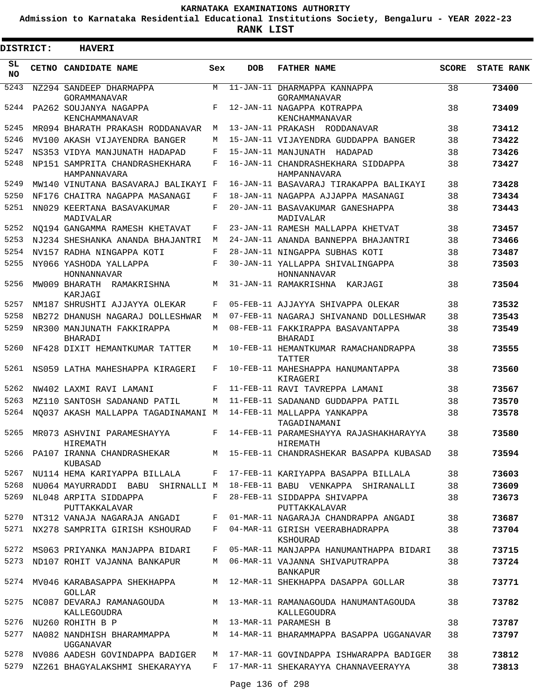**Admission to Karnataka Residential Educational Institutions Society, Bengaluru - YEAR 2022-23**

**RANK LIST**

Е

 $\blacksquare$ 

| DISTRICT: | <b>HAVERI</b>                                  |     |            |                                                       |              |                   |
|-----------|------------------------------------------------|-----|------------|-------------------------------------------------------|--------------|-------------------|
| SL<br>NO. | CETNO CANDIDATE NAME                           | Sex | <b>DOB</b> | <b>FATHER NAME</b>                                    | <b>SCORE</b> | <b>STATE RANK</b> |
| 5243      | NZ294 SANDEEP DHARMAPPA<br>GORAMMANAVAR        | M   |            | 11-JAN-11 DHARMAPPA KANNAPPA<br>GORAMMANAVAR          | 38           | 73400             |
| 5244      | PA262 SOUJANYA NAGAPPA<br>KENCHAMMANAVAR       | F   |            | 12-JAN-11 NAGAPPA KOTRAPPA<br>KENCHAMMANAVAR          | 38           | 73409             |
| 5245      | MR094 BHARATH PRAKASH RODDANAVAR               | M   |            | 13-JAN-11 PRAKASH RODDANAVAR                          | 38           | 73412             |
| 5246      | MV100 AKASH VIJAYENDRA BANGER                  | M   |            | 15-JAN-11 VIJAYENDRA GUDDAPPA BANGER                  | 38           | 73422             |
| 5247      | NS353 VIDYA MANJUNATH HADAPAD                  | F   |            | 15-JAN-11 MANJUNATH HADAPAD                           | 38           | 73426             |
| 5248      | NP151 SAMPRITA CHANDRASHEKHARA<br>HAMPANNAVARA | F   |            | 16-JAN-11 CHANDRASHEKHARA SIDDAPPA<br>HAMPANNAVARA    | 38           | 73427             |
| 5249      | MW140 VINUTANA BASAVARAJ BALIKAYI F            |     |            | 16-JAN-11 BASAVARAJ TIRAKAPPA BALIKAYI                | 38           | 73428             |
| 5250      | NF176 CHAITRA NAGAPPA MASANAGI                 | F   |            | 18-JAN-11 NAGAPPA AJJAPPA MASANAGI                    | 38           | 73434             |
| 5251      | NN029 KEERTANA BASAVAKUMAR<br>MADIVALAR        | F   |            | 20-JAN-11 BASAVAKUMAR GANESHAPPA<br>MADIVALAR         | 38           | 73443             |
| 5252      | NO194 GANGAMMA RAMESH KHETAVAT                 | F   |            | 23-JAN-11 RAMESH MALLAPPA KHETVAT                     | 38           | 73457             |
| 5253      | NJ234 SHESHANKA ANANDA BHAJANTRI               | M   |            | 24-JAN-11 ANANDA BANNEPPA BHAJANTRI                   | 38           | 73466             |
| 5254      | NV157 RADHA NINGAPPA KOTI                      | F   |            | 28-JAN-11 NINGAPPA SUBHAS KOTI                        | 38           | 73487             |
| 5255      | NY066 YASHODA YALLAPPA<br>HONNANNAVAR          | F   |            | 30-JAN-11 YALLAPPA SHIVALINGAPPA<br>HONNANNAVAR       | 38           | 73503             |
| 5256      | MW009 BHARATH RAMAKRISHNA<br>KARJAGI           | M   |            | 31-JAN-11 RAMAKRISHNA KARJAGI                         | 38           | 73504             |
| 5257      | NM187 SHRUSHTI AJJAYYA OLEKAR                  | F   |            | 05-FEB-11 AJJAYYA SHIVAPPA OLEKAR                     | 38           | 73532             |
| 5258      | NB272 DHANUSH NAGARAJ DOLLESHWAR               | M   |            | 07-FEB-11 NAGARAJ SHIVANAND DOLLESHWAR                | 38           | 73543             |
| 5259      | NR300 MANJUNATH FAKKIRAPPA<br>BHARADI          | M   |            | 08-FEB-11 FAKKIRAPPA BASAVANTAPPA<br>BHARADI          | 38           | 73549             |
| 5260      | NF428 DIXIT HEMANTKUMAR TATTER                 | M   |            | 10-FEB-11 HEMANTKUMAR RAMACHANDRAPPA<br>TATTER        | 38           | 73555             |
| 5261      | NS059 LATHA MAHESHAPPA KIRAGERI                | F   |            | 10-FEB-11 MAHESHAPPA HANUMANTAPPA<br>KIRAGERI         | 38           | 73560             |
| 5262      | NW402 LAXMI RAVI LAMANI                        | F   |            | 11-FEB-11 RAVI TAVREPPA LAMANI                        | 38           | 73567             |
| 5263      | MZ110 SANTOSH SADANAND PATIL                   | М   |            | 11-FEB-11 SADANAND GUDDAPPA PATIL                     | 38           | 73570             |
| 5264      | NO037 AKASH MALLAPPA TAGADINAMANI M            |     |            | 14-FEB-11 MALLAPPA YANKAPPA<br>TAGADINAMANI           | 38           | 73578             |
| 5265      | MR073 ASHVINI PARAMESHAYYA<br>HIREMATH         | F   |            | 14-FEB-11 PARAMESHAYYA RAJASHAKHARAYYA<br>HIREMATH    | 38           | 73580             |
| 5266      | PA107 IRANNA CHANDRASHEKAR<br>KUBASAD          |     |            | M 15-FEB-11 CHANDRASHEKAR BASAPPA KUBASAD             | 38           | 73594             |
| 5267      | NU114 HEMA KARIYAPPA BILLALA                   | F   |            | 17-FEB-11 KARIYAPPA BASAPPA BILLALA                   | 38           | 73603             |
| 5268      | NU064 MAYURRADDI BABU SHIRNALLI M              |     |            | 18-FEB-11 BABU VENKAPPA SHIRANALLI                    | 38           | 73609             |
| 5269      | NL048 ARPITA SIDDAPPA<br>PUTTAKKALAVAR         | F   |            | 28-FEB-11 SIDDAPPA SHIVAPPA<br>PUTTAKKALAVAR          | 38           | 73673             |
| 5270      | NT312 VANAJA NAGARAJA ANGADI                   | F   |            | 01-MAR-11 NAGARAJA CHANDRAPPA ANGADI                  | 38           | 73687             |
| 5271      | NX278 SAMPRITA GIRISH KSHOURAD                 | F   |            | 04-MAR-11 GIRISH VEERABHADRAPPA<br>KSHOURAD           | 38           | 73704             |
| 5272      | MS063 PRIYANKA MANJAPPA BIDARI                 | F   |            | 05-MAR-11 MANJAPPA HANUMANTHAPPA BIDARI               | 38           | 73715             |
| 5273      | ND107 ROHIT VAJANNA BANKAPUR                   | M   |            | 06-MAR-11 VAJANNA SHIVAPUTRAPPA<br><b>BANKAPUR</b>    | 38           | 73724             |
| 5274      | MV046 KARABASAPPA SHEKHAPPA<br>GOLLAR          | M   |            | 12-MAR-11 SHEKHAPPA DASAPPA GOLLAR                    | 38           | 73771             |
| 5275      | NC087 DEVARAJ RAMANAGOUDA<br>KALLEGOUDRA       |     |            | M 13-MAR-11 RAMANAGOUDA HANUMANTAGOUDA<br>KALLEGOUDRA | 38           | 73782             |
| 5276      | NU260 ROHITH B P                               | M   |            | 13-MAR-11 PARAMESH B                                  | 38           | 73787             |
| 5277      | NA082 NANDHISH BHARAMMAPPA<br>UGGANAVAR        | M   |            | 14-MAR-11 BHARAMMAPPA BASAPPA UGGANAVAR               | 38           | 73797             |
| 5278      | NV086 AADESH GOVINDAPPA BADIGER                | M   |            | 17-MAR-11 GOVINDAPPA ISHWARAPPA BADIGER               | 38           | 73812             |
| 5279      | NZ261 BHAGYALAKSHMI SHEKARAYYA                 |     |            | F 17-MAR-11 SHEKARAYYA CHANNAVEERAYYA                 | 38           | 73813             |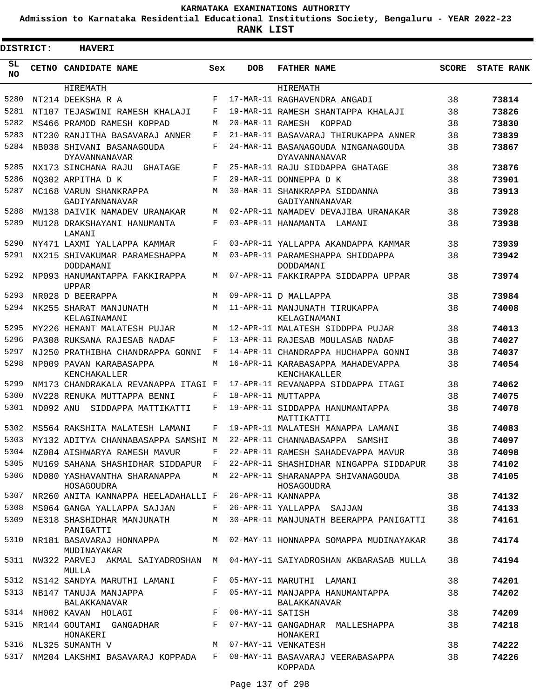**Admission to Karnataka Residential Educational Institutions Society, Bengaluru - YEAR 2022-23**

|                 | <b>DISTRICT:</b> | <b>HAVERI</b>                                                           |     |                  |                                                                                    |              |                   |
|-----------------|------------------|-------------------------------------------------------------------------|-----|------------------|------------------------------------------------------------------------------------|--------------|-------------------|
| SL<br><b>NO</b> |                  | CETNO CANDIDATE NAME                                                    | Sex | <b>DOB</b>       | <b>FATHER NAME</b>                                                                 | <b>SCORE</b> | <b>STATE RANK</b> |
|                 |                  | HIREMATH                                                                |     |                  | HIREMATH                                                                           |              |                   |
| 5280            |                  | NT214 DEEKSHA R A                                                       | F   |                  | 17-MAR-11 RAGHAVENDRA ANGADI                                                       | 38           | 73814             |
| 5281            |                  | NT107 TEJASWINI RAMESH KHALAJI                                          | F   |                  | 19-MAR-11 RAMESH SHANTAPPA KHALAJI                                                 | 38           | 73826             |
| 5282            |                  | MS466 PRAMOD RAMESH KOPPAD                                              | M   |                  | 20-MAR-11 RAMESH KOPPAD                                                            | 38           | 73830             |
| 5283            |                  | NT230 RANJITHA BASAVARAJ ANNER                                          | F   |                  | 21-MAR-11 BASAVARAJ THIRUKAPPA ANNER                                               | 38           | 73839             |
| 5284            |                  | NB038 SHIVANI BASANAGOUDA<br><b>DYAVANNANAVAR</b>                       | F   |                  | 24-MAR-11 BASANAGOUDA NINGANAGOUDA<br>DYAVANNANAVAR                                | 38           | 73867             |
| 5285            |                  | NX173 SINCHANA RAJU<br>GHATAGE                                          | F   |                  | 25-MAR-11 RAJU SIDDAPPA GHATAGE                                                    | 38           | 73876             |
| 5286            |                  | NO302 ARPITHA D K                                                       | F   |                  | 29-MAR-11 DONNEPPA D K                                                             | 38           | 73901             |
| 5287            |                  | NC168 VARUN SHANKRAPPA<br>GADIYANNANAVAR                                | M   |                  | 30-MAR-11 SHANKRAPPA SIDDANNA<br>GADIYANNANAVAR                                    | 38           | 73913             |
| 5288            |                  | MW138 DAIVIK NAMADEV URANAKAR                                           | M   |                  | 02-APR-11 NAMADEV DEVAJIBA URANAKAR                                                | 38           | 73928             |
| 5289            |                  | MU128 DRAKSHAYANI HANUMANTA<br>LAMANI                                   | F   |                  | 03-APR-11 HANAMANTA LAMANI                                                         | 38           | 73938             |
| 5290            |                  | NY471 LAXMI YALLAPPA KAMMAR                                             | F   |                  | 03-APR-11 YALLAPPA AKANDAPPA KAMMAR                                                | 38           | 73939             |
| 5291            |                  | NX215 SHIVAKUMAR PARAMESHAPPA<br>DODDAMANI                              | М   |                  | 03-APR-11 PARAMESHAPPA SHIDDAPPA<br>DODDAMANI                                      | 38           | 73942             |
| 5292            |                  | NP093 HANUMANTAPPA FAKKIRAPPA<br><b>UPPAR</b>                           | M   |                  | 07-APR-11 FAKKIRAPPA SIDDAPPA UPPAR                                                | 38           | 73974             |
| 5293            |                  | NR028 D BEERAPPA                                                        | M   |                  | 09-APR-11 D MALLAPPA                                                               | 38           | 73984             |
| 5294            |                  | NK255 SHARAT MANJUNATH<br>KELAGINAMANI                                  | M   |                  | 11-APR-11 MANJUNATH TIRUKAPPA<br>KELAGINAMANI                                      | 38           | 74008             |
| 5295            |                  | MY226 HEMANT MALATESH PUJAR                                             | M   |                  | 12-APR-11 MALATESH SIDDPPA PUJAR                                                   | 38           | 74013             |
| 5296            |                  | PA308 RUKSANA RAJESAB NADAF                                             | F   |                  | 13-APR-11 RAJESAB MOULASAB NADAF                                                   | 38           | 74027             |
| 5297            |                  | NJ250 PRATHIBHA CHANDRAPPA GONNI                                        | F   |                  | 14-APR-11 CHANDRAPPA HUCHAPPA GONNI                                                | 38           | 74037             |
| 5298            |                  | NP009 PAVAN KARABASAPPA<br>KENCHAKALLER                                 | M   |                  | 16-APR-11 KARABASAPPA MAHADEVAPPA<br>KENCHAKALLER                                  | 38           | 74054             |
| 5299            |                  | NM173 CHANDRAKALA REVANAPPA ITAGI F                                     |     |                  | 17-APR-11 REVANAPPA SIDDAPPA ITAGI                                                 | 38           | 74062             |
| 5300            |                  | NV228 RENUKA MUTTAPPA BENNI                                             | F   |                  | 18-APR-11 MUTTAPPA                                                                 | 38           | 74075             |
| 5301            | ND092 ANU        | SIDDAPPA MATTIKATTI                                                     | F   |                  | 19-APR-11 SIDDAPPA HANUMANTAPPA<br>MATTIKATTI                                      | 38           | 74078             |
| 5302            |                  | MS564 RAKSHITA MALATESH LAMANI                                          | F   |                  | 19-APR-11 MALATESH MANAPPA LAMANI                                                  | 38           | 74083             |
|                 |                  | 5303 MY132 ADITYA CHANNABASAPPA SAMSHI M 22-APR-11 CHANNABASAPPA SAMSHI |     |                  |                                                                                    | 38           | 74097             |
|                 |                  | 5304 NZ084 AISHWARYA RAMESH MAVUR F                                     |     |                  | 22-APR-11 RAMESH SAHADEVAPPA MAVUR                                                 | 38           | 74098             |
| 5305            |                  | MU169 SAHANA SHASHIDHAR SIDDAPUR F                                      |     |                  | 22-APR-11 SHASHIDHAR NINGAPPA SIDDAPUR                                             | 38           | 74102             |
| 5306            |                  | ND080 YASHAVANTHA SHARANAPPA<br>HOSAGOUDRA                              |     |                  | M 22-APR-11 SHARANAPPA SHIVANAGOUDA<br>HOSAGOUDRA                                  | 38           | 74105             |
| 5307            |                  | NR260 ANITA KANNAPPA HEELADAHALLI F                                     |     |                  | 26-APR-11 KANNAPPA                                                                 | 38           | 74132             |
| 5308            |                  | MS064 GANGA YALLAPPA SAJJAN                                             |     |                  | F 26-APR-11 YALLAPPA SAJJAN                                                        | 38           | 74133             |
| 5309            |                  | NE318 SHASHIDHAR MANJUNATH<br>PANIGATTI                                 |     |                  | M 30-APR-11 MANJUNATH BEERAPPA PANIGATTI                                           | 38           | 74161             |
| 5310            |                  | NR181 BASAVARAJ HONNAPPA M<br>MUDINAYAKAR                               |     |                  | 02-MAY-11 HONNAPPA SOMAPPA MUDINAYAKAR                                             | 38           | 74174             |
| 5311            |                  | MULLA                                                                   |     |                  | NW322 PARVEJ AKMAL SAIYADROSHAN M 04-MAY-11 SAIYADROSHAN AKBARASAB MULLA           | 38           | 74194             |
|                 |                  | 5312 NS142 SANDYA MARUTHI LAMANI                                        |     |                  | F 05-MAY-11 MARUTHI LAMANI                                                         | 38           | 74201             |
|                 |                  | 5313 NB147 TANUJA MANJAPPA<br>BALAKKANAVAR                              |     |                  | F 05-MAY-11 MANJAPPA HANUMANTAPPA<br>BALAKKANAVAR                                  | 38           | 74202             |
|                 |                  | 5314 NH002 KAVAN HOLAGI                                                 | F   | 06-MAY-11 SATISH |                                                                                    | 38           | 74209             |
| 5315            |                  | HONAKERI                                                                |     |                  | MR144 GOUTAMI GANGADHAR F 07-MAY-11 GANGADHAR MALLESHAPPA<br>HONAKERI              | 38           | 74218             |
|                 |                  | 5316 NL325 SUMANTH V                                                    |     |                  | M 07-MAY-11 VENKATESH                                                              | 38           | 74222             |
|                 |                  |                                                                         |     |                  | 5317 NM204 LAKSHMI BASAVARAJ KOPPADA F 08-MAY-11 BASAVARAJ VEERABASAPPA<br>KOPPADA | 38           | 74226             |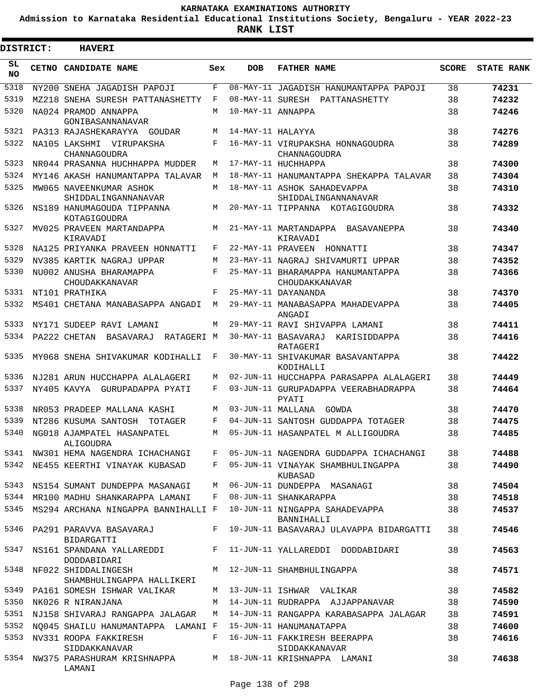**Admission to Karnataka Residential Educational Institutions Society, Bengaluru - YEAR 2022-23**

| <b>DISTRICT:</b> | <b>HAVERI</b>                                                            |     |                   |                                                     |              |                   |
|------------------|--------------------------------------------------------------------------|-----|-------------------|-----------------------------------------------------|--------------|-------------------|
| SL<br><b>NO</b>  | CETNO CANDIDATE NAME                                                     | Sex | <b>DOB</b>        | <b>FATHER NAME</b>                                  | <b>SCORE</b> | <b>STATE RANK</b> |
| 5318             | NY200 SNEHA JAGADISH PAPOJI                                              | F   |                   | 08-MAY-11 JAGADISH HANUMANTAPPA PAPOJI              | 38           | 74231             |
| 5319             | MZ218 SNEHA SURESH PATTANASHETTY                                         | F   |                   | 08-MAY-11 SURESH PATTANASHETTY                      | 38           | 74232             |
| 5320             | NA024 PRAMOD ANNAPPA<br>GONIBASANNANAVAR                                 | M   | 10-MAY-11 ANNAPPA |                                                     | 38           | 74246             |
| 5321             | PA313 RAJASHEKARAYYA GOUDAR                                              | M   | 14-MAY-11 HALAYYA |                                                     | 38           | 74276             |
| 5322             | NA105 LAKSHMI VIRUPAKSHA<br>CHANNAGOUDRA                                 | F   |                   | 16-MAY-11 VIRUPAKSHA HONNAGOUDRA<br>CHANNAGOUDRA    | 38           | 74289             |
| 5323             | NR044 PRASANNA HUCHHAPPA MUDDER                                          | М   |                   | 17-MAY-11 HUCHHAPPA                                 | 38           | 74300             |
| 5324             | MY146 AKASH HANUMANTAPPA TALAVAR                                         | М   |                   | 18-MAY-11 HANUMANTAPPA SHEKAPPA TALAVAR             | 38           | 74304             |
| 5325             | MW065 NAVEENKUMAR ASHOK<br>SHIDDALINGANNANAVAR                           | M   |                   | 18-MAY-11 ASHOK SAHADEVAPPA<br>SHIDDALINGANNANAVAR  | 38           | 74310             |
| 5326             | NS189 HANUMAGOUDA TIPPANNA<br>KOTAGIGOUDRA                               | М   |                   | 20-MAY-11 TIPPANNA KOTAGIGOUDRA                     | 38           | 74332             |
| 5327             | MV025 PRAVEEN MARTANDAPPA<br>KIRAVADI                                    | М   |                   | 21-MAY-11 MARTANDAPPA BASAVANEPPA<br>KIRAVADI       | 38           | 74340             |
| 5328             | NA125 PRIYANKA PRAVEEN HONNATTI                                          | F   |                   | 22-MAY-11 PRAVEEN<br>HONNATTI                       | 38           | 74347             |
| 5329             | NV385 KARTIK NAGRAJ UPPAR                                                | М   |                   | 23-MAY-11 NAGRAJ SHIVAMURTI UPPAR                   | 38           | 74352             |
| 5330             | NU002 ANUSHA BHARAMAPPA<br>CHOUDAKKANAVAR                                | F   |                   | 25-MAY-11 BHARAMAPPA HANUMANTAPPA<br>CHOUDAKKANAVAR | 38           | 74366             |
| 5331             | NT101 PRATHIKA                                                           | F   |                   | 25-MAY-11 DAYANANDA                                 | 38           | 74370             |
| 5332             | MS401 CHETANA MANABASAPPA ANGADI                                         | М   |                   | 29-MAY-11 MANABASAPPA MAHADEVAPPA<br>ANGADI         | 38           | 74405             |
| 5333             | NY171 SUDEEP RAVI LAMANI                                                 | M   |                   | 29-MAY-11 RAVI SHIVAPPA LAMANI                      | 38           | 74411             |
| 5334             | PA222 CHETAN<br>BASAVARAJ<br>RATAGERI M                                  |     |                   | 30-MAY-11 BASAVARAJ<br>KARISIDDAPPA<br>RATAGERI     | 38           | 74416             |
| 5335             | MY068 SNEHA SHIVAKUMAR KODIHALLI                                         | F   |                   | 30-MAY-11 SHIVAKUMAR BASAVANTAPPA<br>KODIHALLI      | 38           | 74422             |
| 5336             | NJ281 ARUN HUCCHAPPA ALALAGERI                                           | М   |                   | 02-JUN-11 HUCCHAPPA PARASAPPA ALALAGERI             | 38           | 74449             |
| 5337             | NY405 KAVYA GURUPADAPPA PYATI                                            | F   |                   | 03-JUN-11 GURUPADAPPA VEERABHADRAPPA<br>PYATI       | 38           | 74464             |
| 5338             | NR053 PRADEEP MALLANA KASHI                                              | M   | 03-JUN-11 MALLANA | GOWDA                                               | 38           | 74470             |
| 5339             | NT286 KUSUMA SANTOSH<br><b>TOTAGER</b>                                   | F   |                   | 04-JUN-11 SANTOSH GUDDAPPA TOTAGER                  | 38           | 74475             |
| 5340             | NG018 AJAMPATEL HASANPATEL<br>ALIGOUDRA                                  | М   |                   | 05-JUN-11 HASANPATEL M ALLIGOUDRA                   | 38           | 74485             |
| 5341             | NW301 HEMA NAGENDRA ICHACHANGI                                           |     |                   | F 05-JUN-11 NAGENDRA GUDDAPPA ICHACHANGI            | 38           | 74488             |
| 5342             | NE455 KEERTHI VINAYAK KUBASAD                                            |     |                   | F 05-JUN-11 VINAYAK SHAMBHULINGAPPA<br>KUBASAD      | 38           | 74490             |
| 5343             | NS154 SUMANT DUNDEPPA MASANAGI                                           | M   |                   | 06-JUN-11 DUNDEPPA MASANAGI                         | 38           | 74504             |
| 5344             | MR100 MADHU SHANKARAPPA LAMANI                                           | F   |                   | 08-JUN-11 SHANKARAPPA                               | 38           | 74518             |
| 5345             | MS294 ARCHANA NINGAPPA BANNIHALLI F                                      |     |                   | 10-JUN-11 NINGAPPA SAHADEVAPPA<br>BANNIHALLI        | 38           | 74537             |
| 5346             | PA291 PARAVVA BASAVARAJ<br>BIDARGATTI                                    | F   |                   | 10-JUN-11 BASAVARAJ ULAVAPPA BIDARGATTI             | 38           | 74546             |
| 5347             | NS161 SPANDANA YALLAREDDI<br>DODDABIDARI                                 |     |                   | F 11-JUN-11 YALLAREDDI DODDABIDARI                  | 38           | 74563             |
| 5348             | NF022 SHIDDALINGESH<br>SHAMBHULINGAPPA HALLIKERI                         |     |                   | M 12-JUN-11 SHAMBHULINGAPPA                         | 38           | 74571             |
| 5349             | PA161 SOMESH ISHWAR VALIKAR                                              |     |                   | M 13-JUN-11 ISHWAR VALIKAR                          | 38           | 74582             |
| 5350             | NK026 R NIRANJANA                                                        | M   |                   | 14-JUN-11 RUDRAPPA AJJAPPANAVAR                     | 38           | 74590             |
| 5351             | NJ158 SHIVARAJ RANGAPPA JALAGAR                                          | M   |                   | 14-JUN-11 RANGAPPA KARABASAPPA JALAGAR              | 38           | 74591             |
| 5352             | NO045 SHAILU HANUMANTAPPA LAMANI F 15-JUN-11 HANUMANATAPPA               |     |                   |                                                     | 38           | 74600             |
| 5353             | NV331 ROOPA FAKKIRESH<br>SIDDAKKANAVAR                                   |     |                   | F 16-JUN-11 FAKKIRESH BEERAPPA<br>SIDDAKKANAVAR     | 38           | 74616             |
|                  | 5354 NW375 PARASHURAM KRISHNAPPA M 18-JUN-11 KRISHNAPPA LAMANI<br>LAMANI |     |                   |                                                     | 38           | 74638             |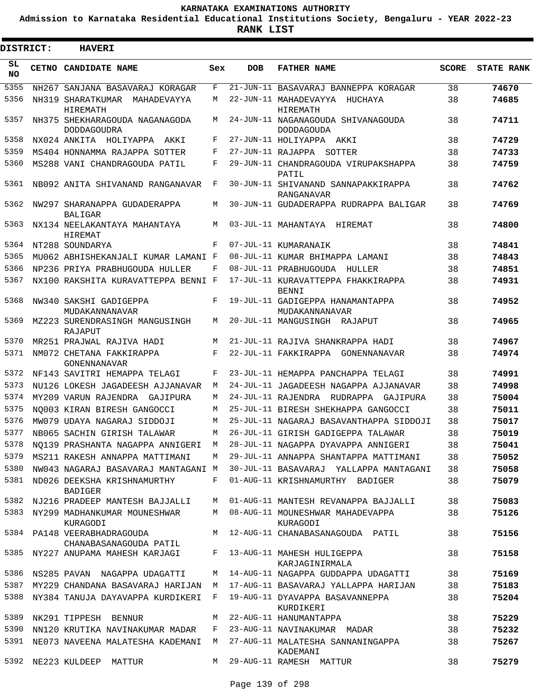**Admission to Karnataka Residential Educational Institutions Society, Bengaluru - YEAR 2022-23**

| <b>DISTRICT:</b> | <b>HAVERI</b>                                        |            |            |                                                         |              |                   |
|------------------|------------------------------------------------------|------------|------------|---------------------------------------------------------|--------------|-------------------|
| SL<br><b>NO</b>  | CETNO CANDIDATE NAME                                 | Sex        | <b>DOB</b> | <b>FATHER NAME</b>                                      | <b>SCORE</b> | <b>STATE RANK</b> |
| 5355             | NH267 SANJANA BASAVARAJ KORAGAR                      | F          |            | 21-JUN-11 BASAVARAJ BANNEPPA KORAGAR                    | 38           | 74670             |
| 5356             | NH319 SHARATKUMAR<br>MAHADEVAYYA<br>HIREMATH         | M          |            | 22-JUN-11 MAHADEVAYYA<br>HUCHAYA<br>HIREMATH            | 38           | 74685             |
| 5357             | NH375 SHEKHARAGOUDA NAGANAGODA<br><b>DODDAGOUDRA</b> | M          |            | 24-JUN-11 NAGANAGOUDA SHIVANAGOUDA<br><b>DODDAGOUDA</b> | 38           | 74711             |
| 5358             | NX024 ANKITA HOLIYAPPA AKKI                          | F          |            | 27-JUN-11 HOLIYAPPA AKKI                                | 38           | 74729             |
| 5359             | MS404 HONNAMMA RAJAPPA SOTTER                        | F          |            | 27-JUN-11 RAJAPPA<br>SOTTER                             | 38           | 74733             |
| 5360             | MS288 VANI CHANDRAGOUDA PATIL                        | F          |            | 29-JUN-11 CHANDRAGOUDA VIRUPAKSHAPPA<br>PATIL           | 38           | 74759             |
| 5361             | NB092 ANITA SHIVANAND RANGANAVAR                     | F          |            | 30-JUN-11 SHIVANAND SANNAPAKKIRAPPA<br>RANGANAVAR       | 38           | 74762             |
| 5362             | NW297 SHARANAPPA GUDADERAPPA<br><b>BALIGAR</b>       | M          |            | 30-JUN-11 GUDADERAPPA RUDRAPPA BALIGAR                  | 38           | 74769             |
| 5363             | NX134 NEELAKANTAYA MAHANTAYA<br>HIREMAT              | M          |            | 03-JUL-11 MAHANTAYA HIREMAT                             | 38           | 74800             |
| 5364             | NT288 SOUNDARYA                                      | $_{\rm F}$ |            | 07-JUL-11 KUMARANAIK                                    | 38           | 74841             |
| 5365             | MU062 ABHISHEKANJALI KUMAR LAMANI F                  |            |            | 08-JUL-11 KUMAR BHIMAPPA LAMANI                         | 38           | 74843             |
| 5366             | NP236 PRIYA PRABHUGOUDA HULLER                       | F          |            | 08-JUL-11 PRABHUGOUDA<br>HULLER                         | 38           | 74851             |
| 5367             | NX100 RAKSHITA KURAVATTEPPA BENNI F                  |            |            | 17-JUL-11 KURAVATTEPPA FHAKKIRAPPA<br><b>BENNT</b>      | 38           | 74931             |
| 5368             | NW340 SAKSHI GADIGEPPA<br>MUDAKANNANAVAR             | F          |            | 19-JUL-11 GADIGEPPA HANAMANTAPPA<br>MUDAKANNANAVAR      | 38           | 74952             |
| 5369             | MZ223 SURENDRASINGH MANGUSINGH<br>RAJAPUT            | M          |            | 20-JUL-11 MANGUSINGH RAJAPUT                            | 38           | 74965             |
| 5370             | MR251 PRAJWAL RAJIVA HADI                            | M          |            | 21-JUL-11 RAJIVA SHANKRAPPA HADI                        | 38           | 74967             |
| 5371             | NM072 CHETANA FAKKIRAPPA<br>GONENNANAVAR             | F          |            | 22-JUL-11 FAKKIRAPPA GONENNANAVAR                       | 38           | 74974             |
| 5372             | NF143 SAVITRI HEMAPPA TELAGI                         | F          |            | 23-JUL-11 HEMAPPA PANCHAPPA TELAGI                      | 38           | 74991             |
| 5373             | NU126 LOKESH JAGADEESH AJJANAVAR                     | М          |            | 24-JUL-11 JAGADEESH NAGAPPA AJJANAVAR                   | 38           | 74998             |
| 5374             | MY209 VARUN RAJENDRA GAJIPURA                        | M          |            | 24-JUL-11 RAJENDRA RUDRAPPA GAJIPURA                    | 38           | 75004             |
| 5375             | NO003 KIRAN BIRESH GANGOCCI                          | M          |            | 25-JUL-11 BIRESH SHEKHAPPA GANGOCCI                     | 38           | 75011             |
| 5376             | MW079 UDAYA NAGARAJ SIDDOJI                          | M          |            | 25-JUL-11 NAGARAJ BASAVANTHAPPA SIDDOJI                 | 38           | 75017             |
| 5377             | NB065 SACHIN GIRISH TALAWAR                          | М          |            | 26-JUL-11 GIRISH GADIGEPPA TALAWAR                      | 38           | 75019             |
| 5378             | NO139 PRASHANTA NAGAPPA ANNIGERI                     | M          |            | 28-JUL-11 NAGAPPA DYAVAPPA ANNIGERI                     | 38           | 75041             |
| 5379             | MS211 RAKESH ANNAPPA MATTIMANI                       | M          |            | 29-JUL-11 ANNAPPA SHANTAPPA MATTIMANI                   | 38           | 75052             |
| 5380             | NW043 NAGARAJ BASAVARAJ MANTAGANI M                  |            |            | 30-JUL-11 BASAVARAJ YALLAPPA MANTAGANI                  | 38           | 75058             |
| 5381             | ND026 DEEKSHA KRISHNAMURTHY<br><b>BADIGER</b>        | F          |            | 01-AUG-11 KRISHNAMURTHY BADIGER                         | 38           | 75079             |
| 5382             | NJ216 PRADEEP MANTESH BAJJALLI                       | M          |            | 01-AUG-11 MANTESH REVANAPPA BAJJALLI                    | 38           | 75083             |
| 5383             | NY299 MADHANKUMAR MOUNESHWAR<br>KURAGODI             | M          |            | 08-AUG-11 MOUNESHWAR MAHADEVAPPA<br>KURAGODI            | 38           | 75126             |
| 5384             | PA148 VEERABHADRAGOUDA<br>CHANABASANAGOUDA PATIL     | M          |            | 12-AUG-11 CHANABASANAGOUDA PATIL                        | 38           | 75156             |
| 5385             | NY227 ANUPAMA MAHESH KARJAGI                         | F          |            | 13-AUG-11 MAHESH HULIGEPPA<br>KARJAGINIRMALA            | 38           | 75158             |
| 5386             | NS285 PAVAN NAGAPPA UDAGATTI                         | M          |            | 14-AUG-11 NAGAPPA GUDDAPPA UDAGATTI                     | 38           | 75169             |
| 5387             | MY229 CHANDANA BASAVARAJ HARIJAN                     | М          |            | 17-AUG-11 BASAVARAJ YALLAPPA HARIJAN                    | 38           | 75183             |
| 5388             | NY384 TANUJA DAYAVAPPA KURDIKERI                     | F          |            | 19-AUG-11 DYAVAPPA BASAVANNEPPA<br>KURDIKERI            | 38           | 75204             |
| 5389             | NK291 TIPPESH BENNUR                                 | M          |            | 22-AUG-11 HANUMANTAPPA                                  | 38           | 75229             |
| 5390             | NN120 KRUTIKA NAVINAKUMAR MADAR                      | F          |            | 23-AUG-11 NAVINAKUMAR MADAR                             | 38           | 75232             |
|                  | 5391 NE073 NAVEENA MALATESHA KADEMANI                | M          |            | 27-AUG-11 MALATESHA SANNANINGAPPA<br>KADEMANI           | 38           | 75267             |
| 5392             | NE223 KULDEEP MATTUR                                 | M          |            | 29-AUG-11 RAMESH MATTUR                                 | 38           | 75279             |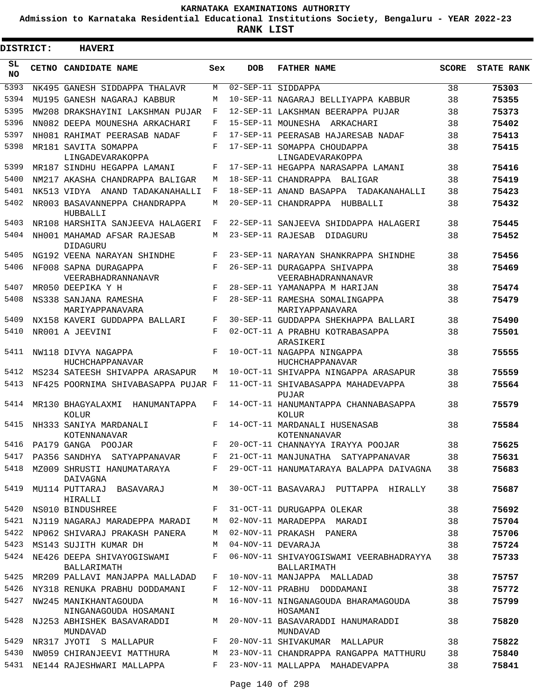**Admission to Karnataka Residential Educational Institutions Society, Bengaluru - YEAR 2022-23**

ı

| <b>DISTRICT:</b> | <b>HAVERI</b>                                  |     |            |                                                        |              |                   |
|------------------|------------------------------------------------|-----|------------|--------------------------------------------------------|--------------|-------------------|
| SL<br><b>NO</b>  | CETNO CANDIDATE NAME                           | Sex | <b>DOB</b> | <b>FATHER NAME</b>                                     | <b>SCORE</b> | <b>STATE RANK</b> |
| 5393             | NK495 GANESH SIDDAPPA THALAVR                  | M   |            | 02-SEP-11 SIDDAPPA                                     | 38           | 75303             |
| 5394             | MU195 GANESH NAGARAJ KABBUR                    | М   |            | 10-SEP-11 NAGARAJ BELLIYAPPA KABBUR                    | 38           | 75355             |
| 5395             | MW208 DRAKSHAYINI LAKSHMAN PUJAR               | F   |            | 12-SEP-11 LAKSHMAN BEERAPPA PUJAR                      | 38           | 75373             |
| 5396             | NN082 DEEPA MOUNESHA ARKACHARI                 | F   |            | 15-SEP-11 MOUNESHA ARKACHARI                           | 38           | 75402             |
| 5397             | NH081 RAHIMAT PEERASAB NADAF                   | F   |            | 17-SEP-11 PEERASAB HAJARESAB NADAF                     | 38           | 75413             |
| 5398             | MR181 SAVITA SOMAPPA<br>LINGADEVARAKOPPA       | F   |            | 17-SEP-11 SOMAPPA CHOUDAPPA<br>LINGADEVARAKOPPA        | 38           | 75415             |
| 5399             | MR187 SINDHU HEGAPPA LAMANI                    | F   |            | 17-SEP-11 HEGAPPA NARASAPPA LAMANI                     | 38           | 75416             |
| 5400             | NM217 AKASHA CHANDRAPPA BALIGAR                | М   |            | 18-SEP-11 CHANDRAPPA BALIGAR                           | 38           | 75419             |
| 5401             | NK513 VIDYA ANAND TADAKANAHALLI                | F   |            | 18-SEP-11 ANAND BASAPPA TADAKANAHALLI                  | 38           | 75423             |
| 5402             | NR003 BASAVANNEPPA CHANDRAPPA<br>HUBBALLI      | М   |            | 20-SEP-11 CHANDRAPPA HUBBALLI                          | 38           | 75432             |
| 5403             | NR108 HARSHITA SANJEEVA HALAGERI               | F   |            | 22-SEP-11 SANJEEVA SHIDDAPPA HALAGERI                  | 38           | 75445             |
| 5404             | NH001 MAHAMAD AFSAR RAJESAB<br><b>DIDAGURU</b> | M   |            | 23-SEP-11 RAJESAB DIDAGURU                             | 38           | 75452             |
| 5405             | NG192 VEENA NARAYAN SHINDHE                    | F   |            | 23-SEP-11 NARAYAN SHANKRAPPA SHINDHE                   | 38           | 75456             |
| 5406             | NF008 SAPNA DURAGAPPA<br>VEERABHADRANNANAVR    | F   |            | 26-SEP-11 DURAGAPPA SHIVAPPA<br>VEERABHADRANNANAVR     | 38           | 75469             |
| 5407             | MR050 DEEPIKA Y H                              | F   |            | 28-SEP-11 YAMANAPPA M HARIJAN                          | 38           | 75474             |
| 5408             | NS338 SANJANA RAMESHA<br>MARIYAPPANAVARA       | F   |            | 28-SEP-11 RAMESHA SOMALINGAPPA<br>MARIYAPPANAVARA      | 38           | 75479             |
| 5409             | NX158 KAVERI GUDDAPPA BALLARI                  | F   |            | 30-SEP-11 GUDDAPPA SHEKHAPPA BALLARI                   | 38           | 75490             |
| 5410             | NR001 A JEEVINI                                | F   |            | 02-OCT-11 A PRABHU KOTRABASAPPA<br>ARASIKERI           | 38           | 75501             |
| 5411             | NW118 DIVYA NAGAPPA<br>HUCHCHAPPANAVAR         | F   |            | 10-OCT-11 NAGAPPA NINGAPPA<br>HUCHCHAPPANAVAR          | 38           | 75555             |
| 5412             | MS234 SATEESH SHIVAPPA ARASAPUR                | М   |            | 10-OCT-11 SHIVAPPA NINGAPPA ARASAPUR                   | 38           | 75559             |
| 5413             | NF425 POORNIMA SHIVABASAPPA PUJAR F            |     |            | 11-OCT-11 SHIVABASAPPA MAHADEVAPPA<br>PUJAR            | 38           | 75564             |
| 5414             | MR130 BHAGYALAXMI<br>HANUMANTAPPA<br>KOLUR     | F   |            | 14-OCT-11 HANUMANTAPPA CHANNABASAPPA<br>KOLUR          | 38           | 75579             |
| 5415             | NH333 SANIYA MARDANALI<br>KOTENNANAVAR         | F   |            | 14-OCT-11 MARDANALI HUSENASAB<br>KOTENNANAVAR          | 38           | 75584             |
| 5416             | PA179 GANGA POOJAR                             | F   |            | 20-OCT-11 CHANNAYYA IRAYYA POOJAR                      | 38           | 75625             |
| 5417             | PA356 SANDHYA SATYAPPANAVAR                    | F   |            | 21-OCT-11 MANJUNATHA SATYAPPANAVAR                     | 38           | 75631             |
| 5418             | MZ009 SHRUSTI HANUMATARAYA<br>DAIVAGNA         | F   |            | 29-OCT-11 HANUMATARAYA BALAPPA DAIVAGNA                | 38           | 75683             |
| 5419             | MU114 PUTTARAJ BASAVARAJ<br>HIRALLI            | M   |            | 30-OCT-11 BASAVARAJ PUTTAPPA HIRALLY                   | 38           | 75687             |
|                  | 5420 NS010 BINDUSHREE                          | F   |            | 31-OCT-11 DURUGAPPA OLEKAR                             | 38           | 75692             |
| 5421             | NJ119 NAGARAJ MARADEPPA MARADI                 | M   |            | 02-NOV-11 MARADEPPA MARADI                             | 38           | 75704             |
| 5422             | NP062 SHIVARAJ PRAKASH PANERA                  | M   |            | 02-NOV-11 PRAKASH PANERA                               | 38           | 75706             |
| 5423             | MS143 SUJITH KUMAR DH                          | M   |            | 04-NOV-11 DEVARAJA                                     | 38           | 75724             |
|                  | 5424 NE426 DEEPA SHIVAYOGISWAMI<br>BALLARIMATH | F   |            | 06-NOV-11 SHIVAYOGISWAMI VEERABHADRAYYA<br>BALLARIMATH | 38           | 75733             |
| 5425             | MR209 PALLAVI MANJAPPA MALLADAD                | F   |            | 10-NOV-11 MANJAPPA MALLADAD                            | 38           | 75757             |
| 5426             | NY318 RENUKA PRABHU DODDAMANI                  | F   |            | 12-NOV-11 PRABHU DODDAMANI                             | 38           | 75772             |
| 5427             | NW245 MANIKHANTAGOUDA<br>NINGANAGOUDA HOSAMANI | М   |            | 16-NOV-11 NINGANAGOUDA BHARAMAGOUDA<br>HOSAMANI        | 38           | 75799             |
| 5428             | NJ253 ABHISHEK BASAVARADDI<br>MUNDAVAD         | M   |            | 20-NOV-11 BASAVARADDI HANUMARADDI<br>MUNDAVAD          | 38           | 75820             |
| 5429             | NR317 JYOTI S MALLAPUR                         | F   |            | 20-NOV-11 SHIVAKUMAR MALLAPUR                          | 38           | 75822             |
| 5430             | NW059 CHIRANJEEVI MATTHURA                     | М   |            | 23-NOV-11 CHANDRAPPA RANGAPPA MATTHURU                 | 38           | 75840             |
| 5431             | NE144 RAJESHWARI MALLAPPA                      | F   |            | 23-NOV-11 MALLAPPA MAHADEVAPPA                         | 38           | 75841             |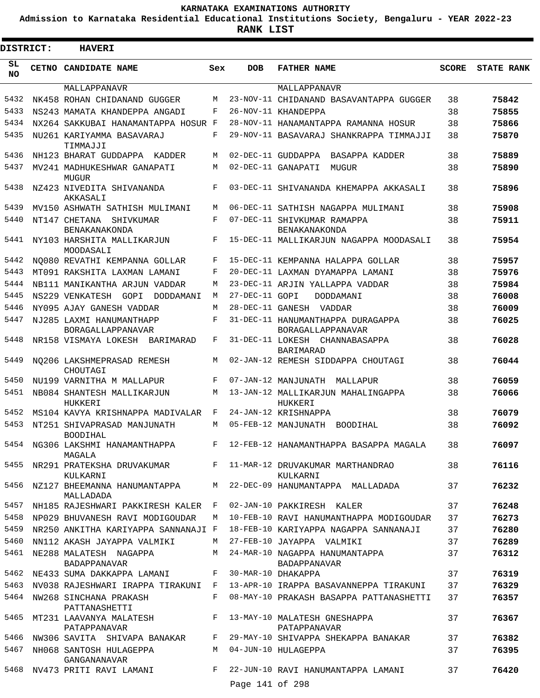**Admission to Karnataka Residential Educational Institutions Society, Bengaluru - YEAR 2022-23**

ı

| <b>DISTRICT:</b> | <b>HAVERI</b>                                                                                            |             |                 |                                                                           |              |                   |
|------------------|----------------------------------------------------------------------------------------------------------|-------------|-----------------|---------------------------------------------------------------------------|--------------|-------------------|
| SL<br><b>NO</b>  | CETNO CANDIDATE NAME                                                                                     | Sex         | <b>DOB</b>      | <b>FATHER NAME</b>                                                        | <b>SCORE</b> | <b>STATE RANK</b> |
|                  | MALLAPPANAVR                                                                                             |             |                 | MALLAPPANAVR                                                              |              |                   |
| 5432             | NK458 ROHAN CHIDANAND GUGGER                                                                             | M           |                 | 23-NOV-11 CHIDANAND BASAVANTAPPA GUGGER                                   | 38           | 75842             |
| 5433             | NS243 MAMATA KHANDEPPA ANGADI                                                                            | F           |                 | 26-NOV-11 KHANDEPPA                                                       | 38           | 75855             |
| 5434             | NX264 SAKKUBAI HANAMANTAPPA HOSUR F                                                                      |             |                 | 28-NOV-11 HANAMANTAPPA RAMANNA HOSUR                                      | 38           | 75866             |
| 5435             | NU261 KARIYAMMA BASAVARAJ<br>TIMMAJJI                                                                    | F           |                 | 29-NOV-11 BASAVARAJ SHANKRAPPA TIMMAJJI                                   | 38           | 75870             |
| 5436             | NH123 BHARAT GUDDAPPA KADDER                                                                             | M           |                 | 02-DEC-11 GUDDAPPA BASAPPA KADDER                                         | 38           | 75889             |
| 5437             | MV241 MADHUKESHWAR GANAPATI<br><b>MUGUR</b>                                                              | M           |                 | 02-DEC-11 GANAPATI<br>MUGUR                                               | 38           | 75890             |
| 5438             | NZ423 NIVEDITA SHIVANANDA<br>AKKASALI                                                                    | F           |                 | 03-DEC-11 SHIVANANDA KHEMAPPA AKKASALI                                    | 38           | 75896             |
| 5439             | MV150 ASHWATH SATHISH MULIMANI                                                                           | M           |                 | 06-DEC-11 SATHISH NAGAPPA MULIMANI                                        | 38           | 75908             |
| 5440             | NT147 CHETANA SHIVKUMAR<br><b>BENAKANAKONDA</b>                                                          | F           |                 | 07-DEC-11 SHIVKUMAR RAMAPPA<br><b>BENAKANAKONDA</b>                       | 38           | 75911             |
| 5441             | NY103 HARSHITA MALLIKARJUN<br>MOODASALI                                                                  | F           |                 | 15-DEC-11 MALLIKARJUN NAGAPPA MOODASALI                                   | 38           | 75954             |
| 5442             | NO080 REVATHI KEMPANNA GOLLAR                                                                            | F           |                 | 15-DEC-11 KEMPANNA HALAPPA GOLLAR                                         | 38           | 75957             |
| 5443             | MT091 RAKSHITA LAXMAN LAMANI                                                                             | F           |                 | 20-DEC-11 LAXMAN DYAMAPPA LAMANI                                          | 38           | 75976             |
| 5444             | NB111 MANIKANTHA ARJUN VADDAR                                                                            | M           |                 | 23-DEC-11 ARJIN YALLAPPA VADDAR                                           | 38           | 75984             |
| 5445             | NS229 VENKATESH<br>GOPI<br>DODDAMANI                                                                     | M           | 27-DEC-11 GOPI  | DODDAMANI                                                                 | 38           | 76008             |
| 5446             | NY095 AJAY GANESH VADDAR                                                                                 | M           |                 | 28-DEC-11 GANESH VADDAR                                                   | 38           | 76009             |
| 5447             | NJ285 LAXMI HANUMANTHAPP<br>BORAGALLAPPANAVAR                                                            | F           |                 | 31-DEC-11 HANUMANTHAPPA DURAGAPPA<br>BORAGALLAPPANAVAR                    | 38           | 76025             |
| 5448             | NR158 VISMAYA LOKESH BARIMARAD                                                                           | F           |                 | 31-DEC-11 LOKESH CHANNABASAPPA<br><b>BARIMARAD</b>                        | 38           | 76028             |
| 5449             | NO206 LAKSHMEPRASAD REMESH<br>CHOUTAGI                                                                   | M           |                 | 02-JAN-12 REMESH SIDDAPPA CHOUTAGI                                        | 38           | 76044             |
| 5450             | NU199 VARNITHA M MALLAPUR                                                                                | F           |                 | 07-JAN-12 MANJUNATH MALLAPUR                                              | 38           | 76059             |
| 5451             | NB084 SHANTESH MALLIKARJUN<br>HUKKERI                                                                    | M           |                 | 13-JAN-12 MALLIKARJUN MAHALINGAPPA<br>HUKKERI                             | 38           | 76066             |
| 5452             | MS104 KAVYA KRISHNAPPA MADIVALAR                                                                         | F           |                 | 24-JAN-12 KRISHNAPPA                                                      | 38           | 76079             |
| 5453             | NT251 SHIVAPRASAD MANJUNATH<br><b>BOODIHAL</b>                                                           | M           |                 | 05-FEB-12 MANJUNATH<br><b>BOODIHAL</b>                                    | 38           | 76092             |
| 5454<br>5455     | NG306 LAKSHMI HANAMANTHAPPA<br>MAGALA<br>NR291 PRATEKSHA DRUVAKUMAR $F$ 11-MAR-12 DRUVAKUMAR MARTHANDRAO |             |                 | F 12-FEB-12 HANAMANTHAPPA BASAPPA MAGALA                                  | 38           | 76097             |
|                  | KULKARNI<br>5456 NZ127 BHEEMANNA HANUMANTAPPA M 22-DEC-09 HANUMANTAPPA MALLADADA                         |             |                 | KULKARNI                                                                  | 38<br>37     | 76116<br>76232    |
|                  | MALLADADA                                                                                                |             |                 |                                                                           |              |                   |
|                  | 5457 NH185 RAJESHWARI PAKKIRESH KALER F 02-JAN-10 PAKKIRESH KALER                                        |             |                 |                                                                           | 37           | 76248             |
| 5458             | NP029 BHUVANESH RAVI MODIGOUDAR                                                                          | M           |                 | 10-FEB-10 RAVI HANUMANTHAPPA MODIGOUDAR                                   | 37           | 76273             |
| 5459             | NR250 ANKITHA KARIYAPPA SANNANAJI F                                                                      |             |                 | 18-FEB-10 KARIYAPPA NAGAPPA SANNANAJI                                     | 37           | 76280             |
| 5460             | NN112 AKASH JAYAPPA VALMIKI                                                                              |             |                 | M 27-FEB-10 JAYAPPA VALMIKI                                               | 37           | 76289             |
|                  | 5461 NE288 MALATESH NAGAPPA<br><b>BADAPPANAVAR</b>                                                       |             |                 | M 24-MAR-10 NAGAPPA HANUMANTAPPA<br>BADAPPANAVAR                          | 37           | 76312             |
|                  | 5462 NE433 SUMA DAKKAPPA LAMANI                                                                          | $F$ and $F$ |                 | 30-MAR-10 DHAKAPPA                                                        | 37           | 76319             |
| 5463             |                                                                                                          |             |                 | NV038 RAJESHWARI IRAPPA TIRAKUNI F 13-APR-10 IRAPPA BASAVANNEPPA TIRAKUNI | 37           | 76329             |
| 5464             | NW268 SINCHANA PRAKASH<br>PATTANASHETTI                                                                  | F           |                 | 08-MAY-10 PRAKASH BASAPPA PATTANASHETTI                                   | 37           | 76357             |
| 5465             | MT231 LAAVANYA MALATESH<br>PATAPPANAVAR                                                                  |             |                 | F 13-MAY-10 MALATESH GNESHAPPA<br>PATAPPANAVAR                            | 37           | 76367             |
|                  | 5466 NW306 SAVITA SHIVAPA BANAKAR F                                                                      |             |                 | 29-MAY-10 SHIVAPPA SHEKAPPA BANAKAR                                       | 37           | 76382             |
| 5467             | NH068 SANTOSH HULAGEPPA<br>GANGANANAVAR                                                                  | M           |                 | 04-JUN-10 HULAGEPPA                                                       | 37           | 76395             |
|                  | 5468 NV473 PRITI RAVI LAMANI                                                                             | $F$ and     |                 | 22-JUN-10 RAVI HANUMANTAPPA LAMANI                                        | 37           | 76420             |
|                  |                                                                                                          |             | Page 141 of 298 |                                                                           |              |                   |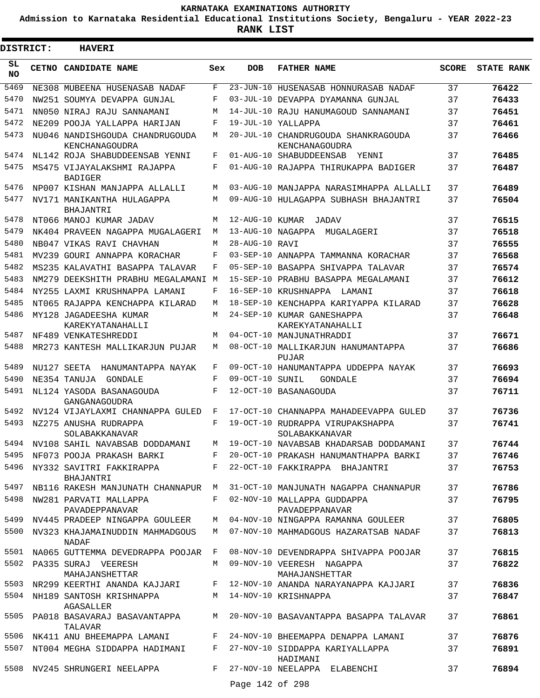**Admission to Karnataka Residential Educational Institutions Society, Bengaluru - YEAR 2022-23**

| <b>DISTRICT:</b> | <b>HAVERI</b>                                     |     |                 |                                                       |              |                   |
|------------------|---------------------------------------------------|-----|-----------------|-------------------------------------------------------|--------------|-------------------|
| SL<br><b>NO</b>  | CETNO CANDIDATE NAME                              | Sex | <b>DOB</b>      | <b>FATHER NAME</b>                                    | <b>SCORE</b> | <b>STATE RANK</b> |
| 5469             | NE308 MUBEENA HUSENASAB NADAF                     | F   |                 | 23-JUN-10 HUSENASAB HONNURASAB NADAF                  | 37           | 76422             |
| 5470             | NW251 SOUMYA DEVAPPA GUNJAL                       | F   |                 | 03-JUL-10 DEVAPPA DYAMANNA GUNJAL                     | 37           | 76433             |
| 5471             | NN050 NIRAJ RAJU SANNAMANI                        | М   |                 | 14-JUL-10 RAJU HANUMAGOUD SANNAMANI                   | 37           | 76451             |
| 5472             | NE209 POOJA YALLAPPA HARIJAN                      | F   |                 | 19-JUL-10 YALLAPPA                                    | 37           | 76461             |
| 5473             | NU046 NANDISHGOUDA CHANDRUGOUDA<br>KENCHANAGOUDRA | М   |                 | 20-JUL-10 CHANDRUGOUDA SHANKRAGOUDA<br>KENCHANAGOUDRA | 37           | 76466             |
| 5474             | NL142 ROJA SHABUDDEENSAB YENNI                    | F   |                 | 01-AUG-10 SHABUDDEENSAB<br>YENNI                      | 37           | 76485             |
| 5475             | MS475 VIJAYALAKSHMI RAJAPPA<br><b>BADIGER</b>     | F   |                 | 01-AUG-10 RAJAPPA THIRUKAPPA BADIGER                  | 37           | 76487             |
| 5476             | NP007 KISHAN MANJAPPA ALLALLI                     | M   |                 | 03-AUG-10 MANJAPPA NARASIMHAPPA ALLALLI               | 37           | 76489             |
| 5477             | NV171 MANIKANTHA HULAGAPPA<br>BHAJANTRI           | М   |                 | 09-AUG-10 HULAGAPPA SUBHASH BHAJANTRI                 | 37           | 76504             |
| 5478             | NT066 MANOJ KUMAR JADAV                           | М   | 12-AUG-10 KUMAR | JADAV                                                 | 37           | 76515             |
| 5479             | NK404 PRAVEEN NAGAPPA MUGALAGERI                  | М   |                 | 13-AUG-10 NAGAPPA<br>MUGALAGERI                       | 37           | 76518             |
| 5480             | NB047 VIKAS RAVI CHAVHAN                          | М   | 28-AUG-10 RAVI  |                                                       | 37           | 76555             |
| 5481             | MV239 GOURI ANNAPPA KORACHAR                      | F   |                 | 03-SEP-10 ANNAPPA TAMMANNA KORACHAR                   | 37           | 76568             |
| 5482             | MS235 KALAVATHI BASAPPA TALAVAR                   | F   |                 | 05-SEP-10 BASAPPA SHIVAPPA TALAVAR                    | 37           | 76574             |
| 5483             | NM279 DEEKSHITH PRABHU MEGALAMANI                 | М   |                 | 15-SEP-10 PRABHU BASAPPA MEGALAMANI                   | 37           | 76612             |
| 5484             | NY255 LAXMI KRUSHNAPPA LAMANI                     | F   |                 | 16-SEP-10 KRUSHNAPPA LAMANI                           | 37           | 76618             |
| 5485             | NT065 RAJAPPA KENCHAPPA KILARAD                   | М   | $18 - SEP - 10$ | KENCHAPPA KARIYAPPA KILARAD                           | 37           | 76628             |
| 5486             | MY128 JAGADEESHA KUMAR<br>KAREKYATANAHALLI        | М   |                 | 24-SEP-10 KUMAR GANESHAPPA<br>KAREKYATANAHALLI        | 37           | 76648             |
| 5487             | NF489 VENKATESHREDDI                              | М   |                 | 04-OCT-10 MANJUNATHRADDI                              | 37           | 76671             |
| 5488             | MR273 KANTESH MALLIKARJUN PUJAR                   | М   |                 | 08-OCT-10 MALLIKARJUN HANUMANTAPPA<br>PUJAR           | 37           | 76686             |
| 5489             | NU127 SEETA<br>HANUMANTAPPA NAYAK                 | F   |                 | 09-OCT-10 HANUMANTAPPA UDDEPPA NAYAK                  | 37           | 76693             |
| 5490             | NE354 TANUJA<br>GONDALE                           | F   | 09-OCT-10 SUNIL | GONDALE                                               | 37           | 76694             |
| 5491             | NL124 YASODA BASANAGOUDA<br>GANGANAGOUDRA         | F   |                 | 12-OCT-10 BASANAGOUDA                                 | 37           | 76711             |
| 5492             | NV124 VIJAYLAXMI CHANNAPPA GULED                  | F   | 17-OCT-10       | CHANNAPPA MAHADEEVAPPA GULED                          | 37           | 76736             |
| 5493             | NZ275 ANUSHA RUDRAPPA<br>SOLABAKKANAVAR           | F   |                 | 19-OCT-10 RUDRAPPA VIRUPAKSHAPPA<br>SOLABAKKANAVAR    | 37           | 76741             |
| 5494             | NV108 SAHIL NAVABSAB DODDAMANI                    |     |                 | M 19-OCT-10 NAVABSAB KHADARSAB DODDAMANI              | 37           | 76744             |
| 5495             | NF073 POOJA PRAKASH BARKI                         | F   |                 | 20-OCT-10 PRAKASH HANUMANTHAPPA BARKI                 | 37           | 76746             |
| 5496             | NY332 SAVITRI FAKKIRAPPA<br>BHAJANTRI             | F   |                 | 22-OCT-10 FAKKIRAPPA BHAJANTRI                        | 37           | 76753             |
| 5497             | NB116 RAKESH MANJUNATH CHANNAPUR                  | M   |                 | 31-OCT-10 MANJUNATH NAGAPPA CHANNAPUR                 | 37           | 76786             |
| 5498             | NW281 PARVATI MALLAPPA<br>PAVADEPPANAVAR          | F   |                 | 02-NOV-10 MALLAPPA GUDDAPPA<br>PAVADEPPANAVAR         | 37           | 76795             |
| 5499             | NV445 PRADEEP NINGAPPA GOULEER                    | M   |                 | 04-NOV-10 NINGAPPA RAMANNA GOULEER                    | 37           | 76805             |
|                  | 5500 NV323 KHAJAMAINUDDIN MAHMADGOUS<br>NADAF     | M   |                 | 07-NOV-10 MAHMADGOUS HAZARATSAB NADAF                 | 37           | 76813             |
| 5501             | NA065 GUTTEMMA DEVEDRAPPA POOJAR F                |     |                 | 08-NOV-10 DEVENDRAPPA SHIVAPPA POOJAR                 | 37           | 76815             |
|                  | 5502 PA335 SURAJ VEERESH<br>MAHAJANSHETTAR        | M   |                 | 09-NOV-10 VEERESH NAGAPPA<br>MAHAJANSHETTAR           | 37           | 76822             |
|                  | 5503 NR299 KEERTHI ANANDA KAJJARI                 | F   |                 | 12-NOV-10 ANANDA NARAYANAPPA KAJJARI                  | 37           | 76836             |
|                  | 5504 NH189 SANTOSH KRISHNAPPA<br>AGASALLER        | M   |                 | 14-NOV-10 KRISHNAPPA                                  | 37           | 76847             |
| 5505             | PA018 BASAVARAJ BASAVANTAPPA<br>TALAVAR           | M   |                 | 20-NOV-10 BASAVANTAPPA BASAPPA TALAVAR                | 37           | 76861             |
| 5506             | NK411 ANU BHEEMAPPA LAMANI                        | F   |                 | 24-NOV-10 BHEEMAPPA DENAPPA LAMANI                    | 37           | 76876             |
| 5507             | NT004 MEGHA SIDDAPPA HADIMANI                     | F   |                 | 27-NOV-10 SIDDAPPA KARIYALLAPPA<br>HADIMANI           | 37           | 76891             |
| 5508             | NV245 SHRUNGERI NEELAPPA                          | F   | Page 142 of 298 | 27-NOV-10 NEELAPPA ELABENCHI                          | 37           | 76894             |
|                  |                                                   |     |                 |                                                       |              |                   |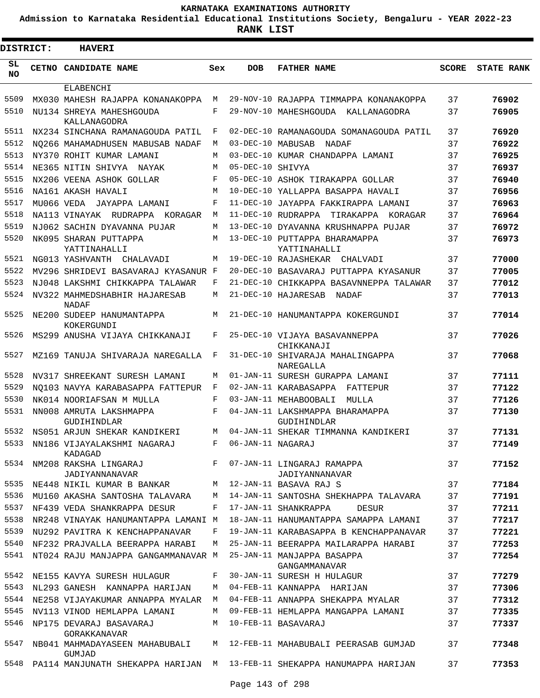**Admission to Karnataka Residential Educational Institutions Society, Bengaluru - YEAR 2022-23**

| <b>DISTRICT:</b> | <b>HAVERI</b>                                                                |     |                   |                                                |              |                   |
|------------------|------------------------------------------------------------------------------|-----|-------------------|------------------------------------------------|--------------|-------------------|
| SL<br><b>NO</b>  | CETNO CANDIDATE NAME                                                         | Sex | <b>DOB</b>        | <b>FATHER NAME</b>                             | <b>SCORE</b> | <b>STATE RANK</b> |
|                  | ELABENCHI                                                                    |     |                   |                                                |              |                   |
| 5509             | MX030 MAHESH RAJAPPA KONANAKOPPA                                             | М   |                   | 29-NOV-10 RAJAPPA TIMMAPPA KONANAKOPPA         | 37           | 76902             |
| 5510             | NU134 SHREYA MAHESHGOUDA<br>KALLANAGODRA                                     | F   |                   | 29-NOV-10 MAHESHGOUDA KALLANAGODRA             | 37           | 76905             |
| 5511             | NX234 SINCHANA RAMANAGOUDA PATIL                                             | F   |                   | 02-DEC-10 RAMANAGOUDA SOMANAGOUDA PATIL        | 37           | 76920             |
| 5512             | NQ266 MAHAMADHUSEN MABUSAB NADAF                                             | М   | 03-DEC-10 MABUSAB | NADAF                                          | 37           | 76922             |
| 5513             | NY370 ROHIT KUMAR LAMANI                                                     | М   |                   | 03-DEC-10 KUMAR CHANDAPPA LAMANI               | 37           | 76925             |
| 5514             | NE365 NITIN SHIVYA NAYAK                                                     | М   | 05-DEC-10 SHIVYA  |                                                | 37           | 76937             |
| 5515             | NX206 VEENA ASHOK GOLLAR                                                     | F   |                   | 05-DEC-10 ASHOK TIRAKAPPA GOLLAR               | 37           | 76940             |
| 5516             | NA161 AKASH HAVALI                                                           | M   |                   | 10-DEC-10 YALLAPPA BASAPPA HAVALI              | 37           | 76956             |
| 5517             | MU066 VEDA JAYAPPA LAMANI                                                    | F   |                   | 11-DEC-10 JAYAPPA FAKKIRAPPA LAMANI            | 37           | 76963             |
| 5518             | NA113 VINAYAK RUDRAPPA KORAGAR                                               | M   |                   | 11-DEC-10 RUDRAPPA<br>TIRAKAPPA<br>KORAGAR     | 37           | 76964             |
| 5519             | NJ062 SACHIN DYAVANNA PUJAR                                                  | М   |                   | 13-DEC-10 DYAVANNA KRUSHNAPPA PUJAR            | 37           | 76972             |
| 5520             | NK095 SHARAN PUTTAPPA<br>YATTINAHALLI                                        | M   |                   | 13-DEC-10 PUTTAPPA BHARAMAPPA<br>YATTINAHALLI  | 37           | 76973             |
| 5521             | NG013 YASHVANTH CHALAVADI                                                    | М   |                   | 19-DEC-10 RAJASHEKAR<br>CHALVADI               | 37           | 77000             |
| 5522             | MV296 SHRIDEVI BASAVARAJ KYASANUR F                                          |     |                   | 20-DEC-10 BASAVARAJ PUTTAPPA KYASANUR          | 37           | 77005             |
| 5523             | NJ048 LAKSHMI CHIKKAPPA TALAWAR                                              | F   |                   | 21-DEC-10 CHIKKAPPA BASAVNNEPPA TALAWAR        | 37           | 77012             |
| 5524             | NV322 MAHMEDSHABHIR HAJARESAB<br>NADAF                                       | М   |                   | 21-DEC-10 HAJARESAB<br>NADAF                   | 37           | 77013             |
| 5525             | NE200 SUDEEP HANUMANTAPPA<br>KOKERGUNDI                                      | М   |                   | 21-DEC-10 HANUMANTAPPA KOKERGUNDI              | 37           | 77014             |
| 5526             | MS299 ANUSHA VIJAYA CHIKKANAJI                                               | F   |                   | 25-DEC-10 VIJAYA BASAVANNEPPA<br>CHIKKANAJI    | 37           | 77026             |
| 5527             | MZ169 TANUJA SHIVARAJA NAREGALLA                                             | F   |                   | 31-DEC-10 SHIVARAJA MAHALINGAPPA<br>NAREGALLA  | 37           | 77068             |
| 5528             | NV317 SHREEKANT SURESH LAMANI                                                | М   |                   | 01-JAN-11 SURESH GURAPPA LAMANI                | 37           | 77111             |
| 5529             | NO103 NAVYA KARABASAPPA FATTEPUR                                             | F   |                   | 02-JAN-11 KARABASAPPA<br>FATTEPUR              | 37           | 77122             |
| 5530             | NK014 NOORIAFSAN M MULLA                                                     | F   |                   | 03-JAN-11 MEHABOOBALI<br>MULLA                 | 37           | 77126             |
| 5531             | NN008 AMRUTA LAKSHMAPPA<br>GUDIHINDLAR                                       | F   |                   | 04-JAN-11 LAKSHMAPPA BHARAMAPPA<br>GUDIHINDLAR | 37           | 77130             |
| 5532             | NS051 ARJUN SHEKAR KANDIKERI                                                 | М   |                   | 04-JAN-11 SHEKAR TIMMANNA KANDIKERI            | 37           | 77131             |
| 5533             | NN186 VIJAYALAKSHMI NAGARAJ<br>KADAGAD                                       | F   | 06-JAN-11 NAGARAJ |                                                | 37           | 77149             |
| 5534             | NM208 RAKSHA LINGARAJ<br>JADIYANNANAVAR                                      |     |                   | F 07-JAN-11 LINGARAJ RAMAPPA<br>JADIYANNANAVAR | 37           | 77152             |
| 5535             | NE448 NIKIL KUMAR B BANKAR                                                   |     |                   | M 12-JAN-11 BASAVA RAJ S                       | 37           | 77184             |
| 5536             | MU160 AKASHA SANTOSHA TALAVARA                                               | M   |                   | 14-JAN-11 SANTOSHA SHEKHAPPA TALAVARA          | 37           | 77191             |
| 5537             | NF439 VEDA SHANKRAPPA DESUR                                                  | F   |                   | 17-JAN-11 SHANKRAPPA<br>DESUR                  | 37           | 77211             |
| 5538             | NR248 VINAYAK HANUMANTAPPA LAMANI M                                          |     |                   | 18-JAN-11 HANUMANTAPPA SAMAPPA LAMANI          | 37           | 77217             |
| 5539             | NU292 PAVITRA K KENCHAPPANAVAR                                               | F   |                   | 19-JAN-11 KARABASAPPA B KENCHAPPANAVAR         | 37           | 77221             |
| 5540             | NF232 PRAJVALLA BEERAPPA HARABI                                              | M   |                   | 25-JAN-11 BEERAPPA MAILARAPPA HARABI           | 37           | 77253             |
| 5541             | NT024 RAJU MANJAPPA GANGAMMANAVAR M                                          |     |                   | 25-JAN-11 MANJAPPA BASAPPA<br>GANGAMMANAVAR    | 37           | 77254             |
| 5542             | NE155 KAVYA SURESH HULAGUR                                                   | F   |                   | 30-JAN-11 SURESH H HULAGUR                     | 37           | 77279             |
| 5543             | NL293 GANESH KANNAPPA HARIJAN                                                | M   |                   | 04-FEB-11 KANNAPPA HARIJAN                     | 37           | 77306             |
|                  | 5544 NE258 VIJAYAKUMAR ANNAPPA MYALAR                                        | M   |                   | 04-FEB-11 ANNAPPA SHEKAPPA MYALAR              | 37           | 77312             |
| 5545             | NV113 VINOD HEMLAPPA LAMANI                                                  | М   |                   | 09-FEB-11 HEMLAPPA MANGAPPA LAMANI             | 37           | 77335             |
| 5546             | NP175 DEVARAJ BASAVARAJ<br>GORAKKANAVAR                                      | M   |                   | 10-FEB-11 BASAVARAJ                            | 37           | 77337             |
| 5547             | NB041 MAHMADAYASEEN MAHABUBALI<br>GUMJAD                                     |     |                   | M 12-FEB-11 MAHABUBALI PEERASAB GUMJAD         | 37           | 77348             |
|                  | 5548 PA114 MANJUNATH SHEKAPPA HARIJAN M 13-FEB-11 SHEKAPPA HANUMAPPA HARIJAN |     |                   |                                                | 37           | 77353             |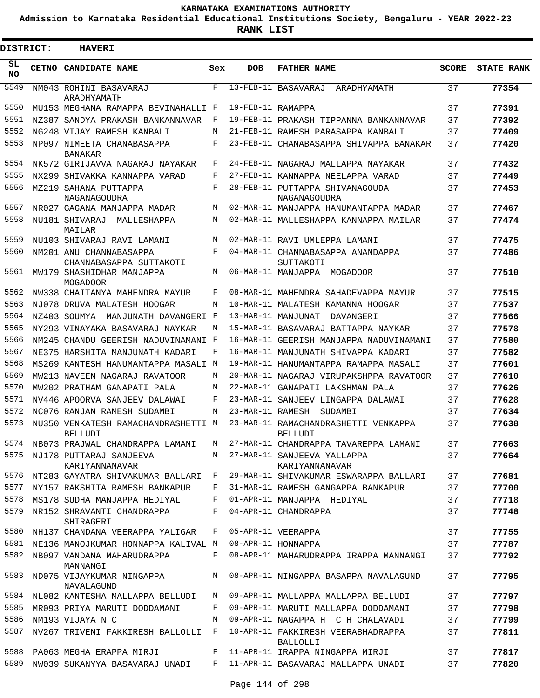**Admission to Karnataka Residential Educational Institutions Society, Bengaluru - YEAR 2022-23**

**RANK LIST**

Е

| DISTRICT:       |  | <b>HAVERI</b>                                               |              |                   |                                                                          |              |                   |
|-----------------|--|-------------------------------------------------------------|--------------|-------------------|--------------------------------------------------------------------------|--------------|-------------------|
| SL<br><b>NO</b> |  | CETNO CANDIDATE NAME                                        | Sex          | <b>DOB</b>        | <b>FATHER NAME</b>                                                       | <b>SCORE</b> | <b>STATE RANK</b> |
| 5549            |  | NM043 ROHINI BASAVARAJ                                      | $_{\rm F}$   |                   | 13-FEB-11 BASAVARAJ<br>ARADHYAMATH                                       | 37           | 77354             |
| 5550            |  | ARADHYAMATH<br>MU153 MEGHANA RAMAPPA BEVINAHALLI F          |              | 19-FEB-11 RAMAPPA |                                                                          | 37           | 77391             |
| 5551            |  | NZ387 SANDYA PRAKASH BANKANNAVAR                            | F            |                   | 19-FEB-11 PRAKASH TIPPANNA BANKANNAVAR                                   | 37           | 77392             |
| 5552            |  | NG248 VIJAY RAMESH KANBALI                                  | M            |                   | 21-FEB-11 RAMESH PARASAPPA KANBALI                                       | 37           | 77409             |
| 5553            |  | NP097 NIMEETA CHANABASAPPA                                  | F            |                   | 23-FEB-11 CHANABASAPPA SHIVAPPA BANAKAR                                  | 37           | 77420             |
| 5554            |  | <b>BANAKAR</b><br>NK572 GIRIJAVVA NAGARAJ NAYAKAR           | $_{\rm F}$   |                   | 24-FEB-11 NAGARAJ MALLAPPA NAYAKAR                                       | 37           | 77432             |
| 5555            |  | NX299 SHIVAKKA KANNAPPA VARAD                               | F            |                   | 27-FEB-11 KANNAPPA NEELAPPA VARAD                                        | 37           | 77449             |
| 5556            |  | MZ219 SAHANA PUTTAPPA                                       | F            |                   | 28-FEB-11 PUTTAPPA SHIVANAGOUDA                                          | 37           | 77453             |
|                 |  | NAGANAGOUDRA                                                |              |                   | NAGANAGOUDRA                                                             |              |                   |
| 5557            |  | NR027 GAGANA MANJAPPA MADAR                                 | M            |                   | 02-MAR-11 MANJAPPA HANUMANTAPPA MADAR                                    | 37           | 77467             |
| 5558            |  | NU181 SHIVARAJ MALLESHAPPA<br>MAILAR                        | M            |                   | 02-MAR-11 MALLESHAPPA KANNAPPA MAILAR                                    | 37           | 77474             |
| 5559            |  | NU103 SHIVARAJ RAVI LAMANI                                  | M            |                   | 02-MAR-11 RAVI UMLEPPA LAMANI                                            | 37           | 77475             |
| 5560            |  | NM201 ANU CHANNABASAPPA<br>CHANNABASAPPA SUTTAKOTI          | F            |                   | 04-MAR-11 CHANNABASAPPA ANANDAPPA<br>SUTTAKOTI                           | 37           | 77486             |
| 5561            |  | MW179 SHASHIDHAR MANJAPPA<br>MOGADOOR                       | M            |                   | 06-MAR-11 MANJAPPA MOGADOOR                                              | 37           | 77510             |
| 5562            |  | NW338 CHAITANYA MAHENDRA MAYUR                              | F            |                   | 08-MAR-11 MAHENDRA SAHADEVAPPA MAYUR                                     | 37           | 77515             |
| 5563            |  | NJ078 DRUVA MALATESH HOOGAR                                 | M            |                   | 10-MAR-11 MALATESH KAMANNA HOOGAR                                        | 37           | 77537             |
| 5564            |  | NZ403 SOUMYA MANJUNATH DAVANGERI F                          |              |                   | 13-MAR-11 MANJUNAT<br>DAVANGERI                                          | 37           | 77566             |
| 5565            |  | NY293 VINAYAKA BASAVARAJ NAYKAR                             | M            |                   | 15-MAR-11 BASAVARAJ BATTAPPA NAYKAR                                      | 37           | 77578             |
| 5566            |  | NM245 CHANDU GEERISH NADUVINAMANI F                         |              |                   | 16-MAR-11 GEERISH MANJAPPA NADUVINAMANI                                  | 37           | 77580             |
| 5567            |  | NE375 HARSHITA MANJUNATH KADARI                             | F            |                   | 16-MAR-11 MANJUNATH SHIVAPPA KADARI                                      | 37           | 77582             |
| 5568            |  | MS269 KANTESH HANUMANTAPPA MASALI M                         |              |                   | 19-MAR-11 HANUMANTAPPA RAMAPPA MASALI                                    | 37           | 77601             |
| 5569            |  | MW213 NAVEEN NAGARAJ RAVATOOR                               | M            |                   | 20-MAR-11 NAGARAJ VIRUPAKSHPPA RAVATOOR                                  | 37           | 77610             |
| 5570            |  | MW202 PRATHAM GANAPATI PALA                                 | М            |                   | 22-MAR-11 GANAPATI LAKSHMAN PALA                                         | 37           | 77626             |
| 5571            |  | NV446 APOORVA SANJEEV DALAWAI                               | F            |                   | 23-MAR-11 SANJEEV LINGAPPA DALAWAI                                       | 37           | 77628             |
| 5572            |  | NC076 RANJAN RAMESH SUDAMBI                                 | M            |                   | 23-MAR-11 RAMESH SUDAMBI                                                 | 37           | 77634             |
| 5573            |  | NU350 VENKATESH RAMACHANDRASHETTI M<br><b>BELLUDI</b>       |              |                   | 23-MAR-11 RAMACHANDRASHETTI VENKAPPA<br>BELLUDI                          | 37           | 77638             |
|                 |  | 5574 NB073 PRAJWAL CHANDRAPPA LAMANI                        | M            |                   | 27-MAR-11 CHANDRAPPA TAVAREPPA LAMANI                                    | 37           | 77663             |
|                 |  | 5575 NJ178 PUTTARAJ SANJEEVA<br>KARIYANNANAVAR              |              |                   | M 27-MAR-11 SANJEEVA YALLAPPA<br>KARIYANNANAVAR                          | 37           | 77664             |
|                 |  | 5576 NT283 GAYATRA SHIVAKUMAR BALLARI F                     |              |                   | 29-MAR-11 SHIVAKUMAR ESWARAPPA BALLARI                                   | 37           | 77681             |
| 5577            |  | NY157 RAKSHITA RAMESH BANKAPUR                              | $\mathbf{F}$ |                   | 31-MAR-11 RAMESH GANGAPPA BANKAPUR                                       | 37           | 77700             |
| 5578            |  | MS178 SUDHA MANJAPPA HEDIYAL                                |              |                   | F 01-APR-11 MANJAPPA HEDIYAL                                             | 37           | 77718             |
| 5579            |  | NR152 SHRAVANTI CHANDRAPPA<br>SHIRAGERI                     | F            |                   | 04-APR-11 CHANDRAPPA                                                     | 37           | 77748             |
|                 |  | 5580 NH137 CHANDANA VEERAPPA YALIGAR F 05-APR-11 VEERAPPA   |              |                   |                                                                          | 37           | 77755             |
|                 |  | 5581 NE136 MANOJKUMAR HONNAPPA KALIVAL M 08-APR-11 HONNAPPA |              |                   |                                                                          | 37           | 77787             |
| 5582            |  | NB097 VANDANA MAHARUDRAPPA<br>MANNANGI                      |              |                   | F 08-APR-11 MAHARUDRAPPA IRAPPA MANNANGI                                 | 37           | 77792             |
| 5583            |  | ND075 VIJAYKUMAR NINGAPPA<br>NAVALAGUND                     |              |                   | M 08-APR-11 NINGAPPA BASAPPA NAVALAGUND                                  | 37           | 77795             |
|                 |  | 5584 NL082 KANTESHA MALLAPPA BELLUDI                        |              |                   | M 09-APR-11 MALLAPPA MALLAPPA BELLUDI                                    | 37           | 77797             |
| 5585            |  | MR093 PRIYA MARUTI DODDAMANI                                |              |                   | F 09-APR-11 MARUTI MALLAPPA DODDAMANI                                    | 37           | 77798             |
| 5586            |  | NM193 VIJAYA N C                                            | M            |                   |                                                                          | 37           | 77799             |
| 5587            |  | NV267 TRIVENI FAKKIRESH BALLOLLI F                          |              |                   | 10-APR-11 FAKKIRESH VEERABHADRAPPA<br>BALLOLLI                           | 37           | 77811             |
|                 |  | 5588 PA063 MEGHA ERAPPA MIRJI                               |              |                   | F 11-APR-11 IRAPPA NINGAPPA MIRJI                                        | 37           | 77817             |
|                 |  |                                                             |              |                   | 5589 NW039 SUKANYYA BASAVARAJ UNADI F 11-APR-11 BASAVARAJ MALLAPPA UNADI | 37           | 77820             |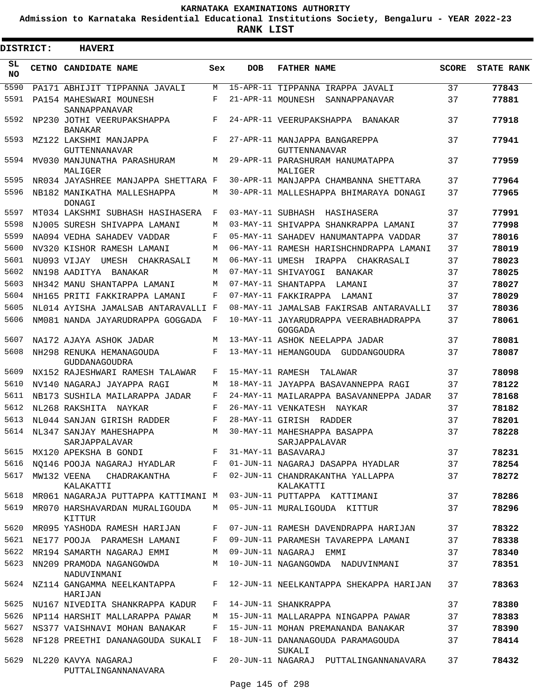**Admission to Karnataka Residential Educational Institutions Society, Bengaluru - YEAR 2022-23**

**RANK LIST**

Е

| <b>DISTRICT:</b> | <b>HAVERI</b>                                |            |                   |                                                       |              |                   |
|------------------|----------------------------------------------|------------|-------------------|-------------------------------------------------------|--------------|-------------------|
| SL<br><b>NO</b>  | <b>CETNO CANDIDATE NAME</b>                  | Sex        | <b>DOB</b>        | <b>FATHER NAME</b>                                    | <b>SCORE</b> | <b>STATE RANK</b> |
| 5590             | PA171 ABHIJIT TIPPANNA JAVALI                | M          |                   | 15-APR-11 TIPPANNA IRAPPA JAVALI                      | 37           | 77843             |
| 5591             | PA154 MAHESWARI MOUNESH<br>SANNAPPANAVAR     | F          | 21-APR-11 MOUNESH | SANNAPPANAVAR                                         | 37           | 77881             |
| 5592             | NP230 JOTHI VEERUPAKSHAPPA<br><b>BANAKAR</b> | $_{\rm F}$ |                   | 24-APR-11 VEERUPAKSHAPPA BANAKAR                      | 37           | 77918             |
| 5593             | MZ122 LAKSHMI MANJAPPA<br>GUTTENNANAVAR      | F          |                   | 27-APR-11 MANJAPPA BANGAREPPA<br><b>GUTTENNANAVAR</b> | 37           | 77941             |
| 5594             | MV030 MANJUNATHA PARASHURAM<br>MALIGER       | М          |                   | 29-APR-11 PARASHURAM HANUMATAPPA<br>MALIGER           | 37           | 77959             |
| 5595             | NR034 JAYASHREE MANJAPPA SHETTARA F          |            |                   | 30-APR-11 MANJAPPA CHAMBANNA SHETTARA                 | 37           | 77964             |
| 5596             | NB182 MANIKATHA MALLESHAPPA<br>DONAGI        | M          |                   | 30-APR-11 MALLESHAPPA BHIMARAYA DONAGI                | 37           | 77965             |
| 5597             | MT034 LAKSHMI SUBHASH HASIHASERA             | F          | 03-MAY-11 SUBHASH | HASIHASERA                                            | 37           | 77991             |
| 5598             | NJ005 SURESH SHIVAPPA LAMANI                 | M          |                   | 03-MAY-11 SHIVAPPA SHANKRAPPA LAMANI                  | 37           | 77998             |
| 5599             | NA094 VEDHA SAHADEV VADDAR                   | F          |                   | 05-MAY-11 SAHADEV HANUMANTAPPA VADDAR                 | 37           | 78016             |
| 5600             | NV320 KISHOR RAMESH LAMANI                   | М          |                   | 06-MAY-11 RAMESH HARISHCHNDRAPPA LAMANI               | 37           | 78019             |
| 5601             | NU093 VIJAY<br>UMESH<br>CHAKRASALI           | M          | 06-MAY-11 UMESH   | IRAPPA CHAKRASALI                                     | 37           | 78023             |
| 5602             | NN198 AADITYA<br>BANAKAR                     | М          |                   | 07-MAY-11 SHIVAYOGI<br>BANAKAR                        | 37           | 78025             |
| 5603             | NH342 MANU SHANTAPPA LAMANI                  | M          |                   | 07-MAY-11 SHANTAPPA<br>LAMANI                         | 37           | 78027             |
| 5604             | NH165 PRITI FAKKIRAPPA LAMANI                | F          |                   | 07-MAY-11 FAKKIRAPPA<br>LAMANI                        | 37           | 78029             |
| 5605             | NL014 AYISHA JAMALSAB ANTARAVALLI F          |            |                   | 08-MAY-11 JAMALSAB FAKIRSAB ANTARAVALLI               | 37           | 78036             |
| 5606             | NM081 NANDA JAYARUDRAPPA GOGGADA             | F          |                   | 10-MAY-11 JAYARUDRAPPA VEERABHADRAPPA<br>GOGGADA      | 37           | 78061             |
| 5607             | NA172 AJAYA ASHOK JADAR                      | M          |                   | 13-MAY-11 ASHOK NEELAPPA JADAR                        | 37           | 78081             |
| 5608             | NH298 RENUKA HEMANAGOUDA<br>GUDDANAGOUDRA    | F          |                   | 13-MAY-11 HEMANGOUDA GUDDANGOUDRA                     | 37           | 78087             |
| 5609             | NX152 RAJESHWARI RAMESH TALAWAR              | F          | 15-MAY-11 RAMESH  | TALAWAR                                               | 37           | 78098             |
| 5610             | NV140 NAGARAJ JAYAPPA RAGI                   | M          |                   | 18-MAY-11 JAYAPPA BASAVANNEPPA RAGI                   | 37           | 78122             |
| 5611             | NB173 SUSHILA MAILARAPPA JADAR               | F          |                   | 24-MAY-11 MAILARAPPA BASAVANNEPPA JADAR               | 37           | 78168             |
| 5612             | NL268 RAKSHITA NAYKAR                        | F          |                   | 26-MAY-11 VENKATESH NAYKAR                            | 37           | 78182             |
| 5613             | NL044 SANJAN GIRISH RADDER                   | F          |                   | 28-MAY-11 GIRISH RADDER                               | 37           | 78201             |
| 5614             | NL347 SANJAY MAHESHAPPA<br>SARJAPPALAVAR     | M          |                   | 30-MAY-11 MAHESHAPPA BASAPPA<br>SARJAPPALAVAR         | 37           | 78228             |
| 5615             | MX120 APEKSHA B GONDI                        | F          |                   | 31-MAY-11 BASAVARAJ                                   | 37           | 78231             |
| 5616             | NO146 POOJA NAGARAJ HYADLAR                  | F          |                   | 01-JUN-11 NAGARAJ DASAPPA HYADLAR                     | 37           | 78254             |
| 5617             | MW132 VEENA<br>CHADRAKANTHA<br>KALAKATTI     | F          |                   | 02-JUN-11 CHANDRAKANTHA YALLAPPA<br>KALAKATTI         | 37           | 78272             |
| 5618             | MR061 NAGARAJA PUTTAPPA KATTIMANI M          |            |                   | 03-JUN-11 PUTTAPPA KATTIMANI                          | 37           | 78286             |
| 5619             | MR070 HARSHAVARDAN MURALIGOUDA<br>KITTUR     | M          |                   | 05-JUN-11 MURALIGOUDA KITTUR                          | 37           | 78296             |
| 5620             | MR095 YASHODA RAMESH HARIJAN                 | F          |                   | 07-JUN-11 RAMESH DAVENDRAPPA HARIJAN                  | 37           | 78322             |
| 5621             | NE177 POOJA PARAMESH LAMANI                  | F          |                   | 09-JUN-11 PARAMESH TAVAREPPA LAMANI                   | 37           | 78338             |
| 5622             | MR194 SAMARTH NAGARAJ EMMI                   | M          |                   | 09-JUN-11 NAGARAJ EMMI                                | 37           | 78340             |
| 5623             | NN209 PRAMODA NAGANGOWDA<br>NADUVINMANI      | М          |                   | 10-JUN-11 NAGANGOWDA NADUVINMANI                      | 37           | 78351             |
| 5624             | NZ114 GANGAMMA NEELKANTAPPA<br>HARIJAN       | F          |                   | 12-JUN-11 NEELKANTAPPA SHEKAPPA HARIJAN               | 37           | 78363             |
| 5625             | NU167 NIVEDITA SHANKRAPPA KADUR              | F          |                   | 14-JUN-11 SHANKRAPPA                                  | 37           | 78380             |
| 5626             | NP114 HARSHIT MALLARAPPA PAWAR               | M          |                   | 15-JUN-11 MALLARAPPA NINGAPPA PAWAR                   | 37           | 78383             |
| 5627             | NS377 VAISHNAVI MOHAN BANAKAR                | F          |                   | 15-JUN-11 MOHAN PREMANANDA BANAKAR                    | 37           | 78390             |
| 5628             | NF128 PREETHI DANANAGOUDA SUKALI             | F          |                   | 18-JUN-11 DANANAGOUDA PARAMAGOUDA<br>SUKALI           | 37           | 78414             |
| 5629             | NL220 KAVYA NAGARAJ<br>PUTTALINGANNANAVARA   | F          |                   | 20-JUN-11 NAGARAJ PUTTALINGANNANAVARA                 | 37           | 78432             |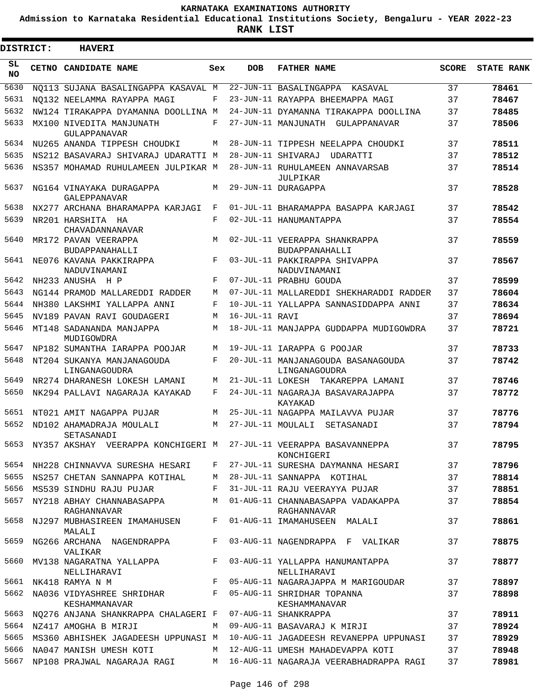**Admission to Karnataka Residential Educational Institutions Society, Bengaluru - YEAR 2022-23**

**RANK LIST**

Е

 $\blacksquare$ 

| <b>DISTRICT:</b> | <b>HAVERI</b>                                                                |            |                |                                                                                       |              |                   |
|------------------|------------------------------------------------------------------------------|------------|----------------|---------------------------------------------------------------------------------------|--------------|-------------------|
| SL.<br>NO.       | <b>CETNO CANDIDATE NAME</b>                                                  | Sex        | <b>DOB</b>     | <b>FATHER NAME</b>                                                                    | <b>SCORE</b> | <b>STATE RANK</b> |
| 5630             | NO113 SUJANA BASALINGAPPA KASAVAL M                                          |            |                | 22-JUN-11 BASALINGAPPA KASAVAL                                                        | 37           | 78461             |
| 5631             | NO132 NEELAMMA RAYAPPA MAGI                                                  | F          |                | 23-JUN-11 RAYAPPA BHEEMAPPA MAGI                                                      | 37           | 78467             |
| 5632             | NW124 TIRAKAPPA DYAMANNA DOOLLINA M                                          |            |                | 24-JUN-11 DYAMANNA TIRAKAPPA DOOLLINA                                                 | 37           | 78485             |
| 5633             | MX100 NIVEDITA MANJUNATH<br>GULAPPANAVAR                                     | F          |                | 27-JUN-11 MANJUNATH GULAPPANAVAR                                                      | 37           | 78506             |
| 5634             | NU265 ANANDA TIPPESH CHOUDKI                                                 | M          |                | 28-JUN-11 TIPPESH NEELAPPA CHOUDKI                                                    | 37           | 78511             |
| 5635             | NS212 BASAVARAJ SHIVARAJ UDARATTI M                                          |            |                | 28-JUN-11 SHIVARAJ UDARATTI                                                           | 37           | 78512             |
| 5636             | NS357 MOHAMAD RUHULAMEEN JULPIKAR M                                          |            |                | 28-JUN-11 RUHULAMEEN ANNAVARSAB<br>JULPIKAR                                           | 37           | 78514             |
| 5637             | NG164 VINAYAKA DURAGAPPA<br>GALEPPANAVAR                                     | M          |                | 29-JUN-11 DURAGAPPA                                                                   | 37           | 78528             |
| 5638             | NX277 ARCHANA BHARAMAPPA KARJAGI                                             | F          |                | 01-JUL-11 BHARAMAPPA BASAPPA KARJAGI                                                  | 37           | 78542             |
| 5639             | NR201 HARSHITA HA<br>CHAVADANNANAVAR                                         | $_{\rm F}$ |                | 02-JUL-11 HANUMANTAPPA                                                                | 37           | 78554             |
| 5640             | MR172 PAVAN VEERAPPA<br>BUDAPPANAHALLI                                       | M          |                | 02-JUL-11 VEERAPPA SHANKRAPPA<br>BUDAPPANAHALLI                                       | 37           | 78559             |
| 5641             | NE076 KAVANA PAKKIRAPPA<br>NADUVINAMANI                                      | $_{\rm F}$ |                | 03-JUL-11 PAKKIRAPPA SHIVAPPA<br>NADUVINAMANI                                         | 37           | 78567             |
| 5642             | NH233 ANUSHA H P                                                             | $_{\rm F}$ |                | 07-JUL-11 PRABHU GOUDA                                                                | 37           | 78599             |
| 5643             | NG144 PRAMOD MALLAREDDI RADDER                                               | M          |                | 07-JUL-11 MALLAREDDI SHEKHARADDI RADDER                                               | 37           | 78604             |
| 5644             | NH380 LAKSHMI YALLAPPA ANNI                                                  | F          |                | 10-JUL-11 YALLAPPA SANNASIDDAPPA ANNI                                                 | 37           | 78634             |
| 5645             | NV189 PAVAN RAVI GOUDAGERI                                                   | M          | 16-JUL-11 RAVI |                                                                                       | 37           | 78694             |
| 5646             | MT148 SADANANDA MANJAPPA<br>MUDIGOWDRA                                       | M          |                | 18-JUL-11 MANJAPPA GUDDAPPA MUDIGOWDRA                                                | 37           | 78721             |
| 5647             | NP182 SUMANTHA IARAPPA POOJAR                                                | M          |                | 19-JUL-11 IARAPPA G POOJAR                                                            | 37           | 78733             |
| 5648             | NT204 SUKANYA MANJANAGOUDA<br>LINGANAGOUDRA                                  | $_{\rm F}$ |                | 20-JUL-11 MANJANAGOUDA BASANAGOUDA<br>LINGANAGOUDRA                                   | 37           | 78742             |
| 5649             | NR274 DHARANESH LOKESH LAMANI                                                | M          |                | 21-JUL-11 LOKESH TAKAREPPA LAMANI                                                     | 37           | 78746             |
| 5650             | NK294 PALLAVI NAGARAJA KAYAKAD                                               | F          |                | 24-JUL-11 NAGARAJA BASAVARAJAPPA<br>KAYAKAD                                           | 37           | 78772             |
| 5651             | NT021 AMIT NAGAPPA PUJAR                                                     | M          |                | 25-JUL-11 NAGAPPA MAILAVVA PUJAR                                                      | 37           | 78776             |
| 5652             | ND102 AHAMADRAJA MOULALI<br>SETASANADI                                       | M          |                | 27-JUL-11 MOULALI SETASANADI                                                          | 37           | 78794             |
|                  |                                                                              |            |                | 5653 NY357 AKSHAY VEERAPPA KONCHIGERI M 27-JUL-11 VEERAPPA BASAVANNEPPA<br>KONCHIGERI | 37           | 78795             |
|                  |                                                                              |            |                | 5654 NH228 CHINNAVVA SURESHA HESARI F 27-JUL-11 SURESHA DAYMANNA HESARI 37            |              | 78796             |
|                  | 5655 NS257 CHETAN SANNAPPA KOTIHAL M 28-JUL-11 SANNAPPA KOTIHAL              |            |                | $\overline{37}$                                                                       |              | 78814             |
|                  | 5656 MS539 SINDHU RAJU PUJAR                                                 |            |                | F 31-JUL-11 RAJU VEERAYYA PUJAR 37                                                    |              | 78851             |
|                  | RAGHANNAVAR                                                                  |            |                | 5657 NY218 ABHAY CHANNABASAPPA M 01-AUG-11 CHANNABASAPPA VADAKAPPA 37<br>RAGHANNAVAR  |              | 78854             |
|                  | MALALI                                                                       |            |                | KAGHANNAVAR<br>5658 NJ297 MUBHASIREEN IMAMAHUSEN F 01-AUG-11 IMAMAHUSEEN MALALI       | 37           | 78861             |
|                  | VALIKAR                                                                      |            |                | 5659 NG266 ARCHANA NAGENDRAPPA F 03-AUG-11 NAGENDRAPPA F VALIKAR                      | 37           | 78875             |
|                  | NELLIHARAVI                                                                  |            |                | 5660 MV138 NAGARATNA YALLAPPA F 03-AUG-11 YALLAPPA HANUMANTAPPA                       | 37           | 78877             |
|                  | 5661 NK418 RAMYA N M                                                         |            |                | I NELLIHARAVI<br>F 05-AUG-11 NAGARAJAPPA M MARIGOUDAR 37                              |              | 78897             |
|                  | 5662 NA036 VIDYASHREE SHRIDHAR F 05-AUG-11 SHRIDHAR TOPANNA<br>KESHAMMANAVAR |            |                | KESHAMMANAVAR                                                                         | 37           | 78898             |
|                  | 5663 NQ276 ANJANA SHANKRAPPA CHALAGERI F 07-AUG-11 SHANKRAPPA                |            |                |                                                                                       | 37           | 78911             |
|                  |                                                                              |            |                | 5664 NZ417 AMOGHA B MIRJI M M 09-AUG-11 BASAVARAJ K MIRJI                             | 37           | 78924             |
|                  |                                                                              |            |                | 5665 MS360 ABHISHEK JAGADEESH UPPUNASI M 10-AUG-11 JAGADEESH REVANEPPA UPPUNASI 37    |              | 78929             |
|                  |                                                                              |            |                | 5666 NA047 MANISH UMESH KOTI M 12-AUG-11 UMESH MAHADEVAPPA KOTI 37                    |              | 78948             |
|                  |                                                                              |            |                | 5667 NP108 PRAJWAL NAGARAJA RAGI       M   16-AUG-11 NAGARAJA VEERABHADRAPPA RAGI     | 37           | 78981             |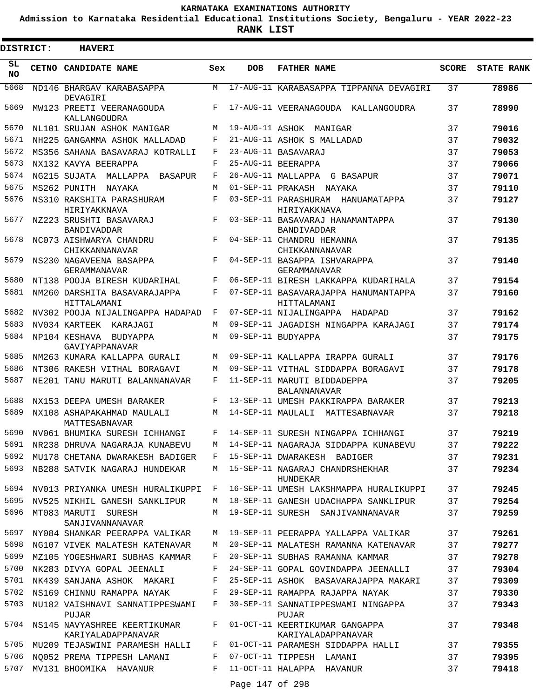**Admission to Karnataka Residential Educational Institutions Society, Bengaluru - YEAR 2022-23**

**RANK LIST**

 $\blacksquare$ 

| DISTRICT:       | <b>HAVERI</b>                                      |     |                 |                                                        |              |                   |
|-----------------|----------------------------------------------------|-----|-----------------|--------------------------------------------------------|--------------|-------------------|
| SL<br><b>NO</b> | CETNO CANDIDATE NAME                               | Sex | <b>DOB</b>      | <b>FATHER NAME</b>                                     | <b>SCORE</b> | <b>STATE RANK</b> |
| 5668            | ND146 BHARGAV KARABASAPPA<br>DEVAGIRI              | M   |                 | 17-AUG-11 KARABASAPPA TIPPANNA DEVAGIRI                | 37           | 78986             |
| 5669            | MW123 PREETI VEERANAGOUDA<br>KALLANGOUDRA          | F   |                 | 17-AUG-11 VEERANAGOUDA KALLANGOUDRA                    | 37           | 78990             |
| 5670            | NL101 SRUJAN ASHOK MANIGAR                         | М   |                 | 19-AUG-11 ASHOK MANIGAR                                | 37           | 79016             |
| 5671            | NH225 GANGAMMA ASHOK MALLADAD                      | F   |                 | 21-AUG-11 ASHOK S MALLADAD                             | 37           | 79032             |
| 5672            | MS356 SAHANA BASAVARAJ KOTRALLI                    | F   |                 | 23-AUG-11 BASAVARAJ                                    | 37           | 79053             |
| 5673            | NX132 KAVYA BEERAPPA                               | F   |                 | 25-AUG-11 BEERAPPA                                     | 37           | 79066             |
| 5674            | NG215 SUJATA MALLAPPA BASAPUR                      | F   |                 | 26-AUG-11 MALLAPPA G BASAPUR                           | 37           | 79071             |
| 5675            | MS262 PUNITH NAYAKA                                | M   |                 | 01-SEP-11 PRAKASH NAYAKA                               | 37           | 79110             |
| 5676            | NS310 RAKSHITA PARASHURAM<br>HIRIYAKKNAVA          | F   |                 | 03-SEP-11 PARASHURAM HANUAMATAPPA<br>HIRIYAKKNAVA      | 37           | 79127             |
| 5677            | NZ223 SRUSHTI BASAVARAJ<br><b>BANDIVADDAR</b>      | F   |                 | 03-SEP-11 BASAVARAJ HANAMANTAPPA<br><b>BANDIVADDAR</b> | 37           | 79130             |
| 5678            | NC073 AISHWARYA CHANDRU<br>CHIKKANNANAVAR          | F   |                 | 04-SEP-11 CHANDRU HEMANNA<br>CHIKKANNANAVAR            | 37           | 79135             |
| 5679            | NS230 NAGAVEENA BASAPPA<br>GERAMMANAVAR            | F   |                 | 04-SEP-11 BASAPPA ISHVARAPPA<br>GERAMMANAVAR           | 37           | 79140             |
| 5680            | NT138 POOJA BIRESH KUDARIHAL                       | F   |                 | 06-SEP-11 BIRESH LAKKAPPA KUDARIHALA                   | 37           | 79154             |
| 5681            | NM260 DARSHITA BASAVARAJAPPA<br>HITTALAMANI        | F   |                 | 07-SEP-11 BASAVARAJAPPA HANUMANTAPPA<br>HITTALAMANI    | 37           | 79160             |
| 5682            | NV302 POOJA NIJALINGAPPA HADAPAD                   | F   |                 | 07-SEP-11 NIJALINGAPPA HADAPAD                         | 37           | 79162             |
| 5683            | NV034 KARTEEK KARAJAGI                             | M   |                 | 09-SEP-11 JAGADISH NINGAPPA KARAJAGI                   | 37           | 79174             |
| 5684            | NP104 KESHAVA<br>BUDYAPPA<br>GAVIYAPPANAVAR        | M   |                 | 09-SEP-11 BUDYAPPA                                     | 37           | 79175             |
| 5685            | NM263 KUMARA KALLAPPA GURALI                       | M   |                 | 09-SEP-11 KALLAPPA IRAPPA GURALI                       | 37           | 79176             |
| 5686            | NT306 RAKESH VITHAL BORAGAVI                       | M   |                 | 09-SEP-11 VITHAL SIDDAPPA BORAGAVI                     | 37           | 79178             |
| 5687            | NE201 TANU MARUTI BALANNANAVAR                     | F   |                 | 11-SEP-11 MARUTI BIDDADEPPA<br><b>BALANNANAVAR</b>     | 37           | 79205             |
| 5688            | NX153 DEEPA UMESH BARAKER                          | F   |                 | 13-SEP-11 UMESH PAKKIRAPPA BARAKER                     | 37           | 79213             |
| 5689            | NX108 ASHAPAKAHMAD MAULALI<br>MATTESABNAVAR        | M   |                 | 14-SEP-11 MAULALI MATTESABNAVAR                        | 37           | 79218             |
| 5690            | NV061 BHUMIKA SURESH ICHHANGI                      | F   |                 | 14-SEP-11 SURESH NINGAPPA ICHHANGI                     | 37           | 79219             |
| 5691            | NR238 DHRUVA NAGARAJA KUNABEVU                     | M   |                 | 14-SEP-11 NAGARAJA SIDDAPPA KUNABEVU                   | 37           | 79222             |
|                 | 5692 MU178 CHETANA DWARAKESH BADIGER               | F   |                 | 15-SEP-11 DWARAKESH BADIGER                            | 37           | 79231             |
| 5693            | NB288 SATVIK NAGARAJ HUNDEKAR                      | M   |                 | 15-SEP-11 NAGARAJ CHANDRSHEKHAR<br>HUNDEKAR            | 37           | 79234             |
| 5694            | NV013 PRIYANKA UMESH HURALIKUPPI                   | F   |                 | 16-SEP-11 UMESH LAKSHMAPPA HURALIKUPPI                 | 37           | 79245             |
| 5695            | NV525 NIKHIL GANESH SANKLIPUR                      | М   |                 | 18-SEP-11 GANESH UDACHAPPA SANKLIPUR                   | 37           | 79254             |
| 5696            | MT083 MARUTI SURESH<br>SANJIVANNANAVAR             | M   |                 | 19-SEP-11 SURESH SANJIVANNANAVAR                       | 37           | 79259             |
| 5697            | NY084 SHANKAR PEERAPPA VALIKAR                     | M   |                 | 19-SEP-11 PEERAPPA YALLAPPA VALIKAR                    | 37           | 79261             |
| 5698            | NG107 VIVEK MALATESH KATENAVAR                     | M   |                 | 20-SEP-11 MALATESH RAMANNA KATENAVAR                   | 37           | 79277             |
| 5699            | MZ105 YOGESHWARI SUBHAS KAMMAR                     | F   |                 | 20-SEP-11 SUBHAS RAMANNA KAMMAR                        | 37           | 79278             |
| 5700            | NK283 DIVYA GOPAL JEENALI                          | F   |                 | 24-SEP-11 GOPAL GOVINDAPPA JEENALLI                    | 37           | 79304             |
| 5701            | NK439 SANJANA ASHOK MAKARI                         | F   |                 | 25-SEP-11 ASHOK BASAVARAJAPPA MAKARI                   | 37           | 79309             |
| 5702            | NS169 CHINNU RAMAPPA NAYAK                         | F   |                 | 29-SEP-11 RAMAPPA RAJAPPA NAYAK                        | 37           | 79330             |
| 5703            | NU182 VAISHNAVI SANNATIPPESWAMI<br>PUJAR           | F   |                 | 30-SEP-11 SANNATIPPESWAMI NINGAPPA<br>PUJAR            | 37           | 79343             |
| 5704            | NS145 NAVYASHREE KEERTIKUMAR<br>KARIYALADAPPANAVAR | F   |                 | 01-OCT-11 KEERTIKUMAR GANGAPPA<br>KARIYALADAPPANAVAR   | 37           | 79348             |
| 5705            | MU209 TEJASWINI PARAMESH HALLI                     | F   |                 | 01-OCT-11 PARAMESH SIDDAPPA HALLI                      | 37           | 79355             |
| 5706            | NO052 PREMA TIPPESH LAMANI                         | F   |                 | 07-OCT-11 TIPPESH LAMANI                               | 37           | 79395             |
| 5707            | MV131 BHOOMIKA HAVANUR                             | F   |                 | 11-OCT-11 HALAPPA HAVANUR                              | 37           | 79418             |
|                 |                                                    |     | Page 147 of 298 |                                                        |              |                   |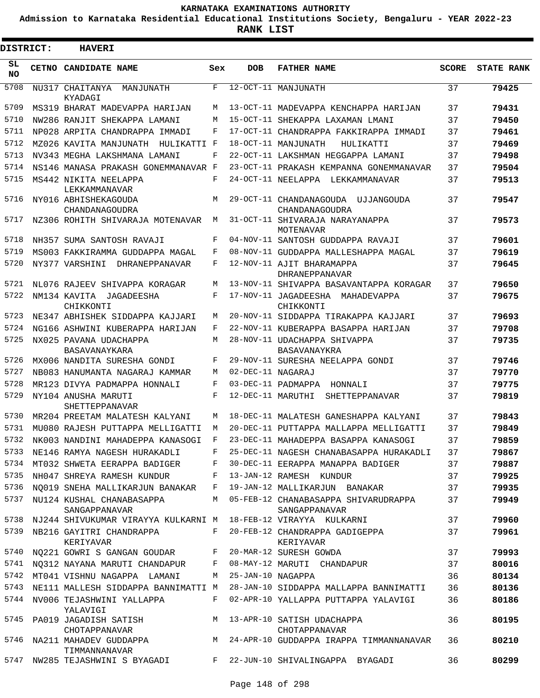**Admission to Karnataka Residential Educational Institutions Society, Bengaluru - YEAR 2022-23**

| DISTRICT:       | <b>HAVERI</b>                                                  |     |                   |                                                                                                                                      |              |                   |
|-----------------|----------------------------------------------------------------|-----|-------------------|--------------------------------------------------------------------------------------------------------------------------------------|--------------|-------------------|
| SL<br><b>NO</b> | <b>CETNO CANDIDATE NAME</b>                                    | Sex | <b>DOB</b>        | <b>FATHER NAME</b>                                                                                                                   | <b>SCORE</b> | <b>STATE RANK</b> |
| 5708            | NU317 CHAITANYA MANJUNATH<br>KYADAGI                           | F   |                   | 12-OCT-11 MANJUNATH                                                                                                                  | 37           | 79425             |
| 5709            | MS319 BHARAT MADEVAPPA HARIJAN                                 | M   |                   | 13-OCT-11 MADEVAPPA KENCHAPPA HARIJAN                                                                                                | 37           | 79431             |
| 5710            | NW286 RANJIT SHEKAPPA LAMANI                                   | M   |                   | 15-OCT-11 SHEKAPPA LAXAMAN LMANI                                                                                                     | 37           | 79450             |
| 5711            | NP028 ARPITA CHANDRAPPA IMMADI                                 | F   |                   | 17-OCT-11 CHANDRAPPA FAKKIRAPPA IMMADI                                                                                               | 37           | 79461             |
| 5712            | MZ026 KAVITA MANJUNATH HULIKATTI F                             |     |                   | 18-OCT-11 MANJUNATH<br>HULIKATTI                                                                                                     | 37           | 79469             |
| 5713            | NV343 MEGHA LAKSHMANA LAMANI                                   | F   |                   | 22-OCT-11 LAKSHMAN HEGGAPPA LAMANI                                                                                                   | 37           | 79498             |
| 5714            | NS146 MANASA PRAKASH GONEMMANAVAR F                            |     |                   | 23-OCT-11 PRAKASH KEMPANNA GONEMMANAVAR                                                                                              | 37           | 79504             |
| 5715            | MS442 NIKITA NEELAPPA<br>LEKKAMMANAVAR                         | F   |                   | 24-OCT-11 NEELAPPA LEKKAMMANAVAR                                                                                                     | 37           | 79513             |
| 5716            | NY016 ABHISHEKAGOUDA<br>CHANDANAGOUDRA                         | M   |                   | 29-OCT-11 CHANDANAGOUDA UJJANGOUDA<br>CHANDANAGOUDRA                                                                                 | 37           | 79547             |
| 5717            | NZ306 ROHITH SHIVARAJA MOTENAVAR                               | М   |                   | 31-OCT-11 SHIVARAJA NARAYANAPPA<br>MOTENAVAR                                                                                         | 37           | 79573             |
| 5718            | NH357 SUMA SANTOSH RAVAJI                                      | F   |                   | 04-NOV-11 SANTOSH GUDDAPPA RAVAJI                                                                                                    | 37           | 79601             |
| 5719            | MS003 FAKKIRAMMA GUDDAPPA MAGAL                                | F   |                   | 08-NOV-11 GUDDAPPA MALLESHAPPA MAGAL                                                                                                 | 37           | 79619             |
| 5720            | NY377 VARSHINI DHRANEPPANAVAR                                  | F   |                   | 12-NOV-11 AJIT BHARAMAPPA<br>DHRANEPPANAVAR                                                                                          | 37           | 79645             |
| 5721            | NL076 RAJEEV SHIVAPPA KORAGAR                                  | M   |                   | 13-NOV-11 SHIVAPPA BASAVANTAPPA KORAGAR                                                                                              | 37           | 79650             |
| 5722            | NM134 KAVITA JAGADEESHA<br>CHIKKONTI                           | F   |                   | 17-NOV-11 JAGADEESHA MAHADEVAPPA<br>CHIKKONTI                                                                                        | 37           | 79675             |
| 5723            | NE347 ABHISHEK SIDDAPPA KAJJARI                                | M   |                   | 20-NOV-11 SIDDAPPA TIRAKAPPA KAJJARI                                                                                                 | 37           | 79693             |
| 5724            | NG166 ASHWINI KUBERAPPA HARIJAN                                | F   |                   | 22-NOV-11 KUBERAPPA BASAPPA HARIJAN                                                                                                  | 37           | 79708             |
| 5725            | NX025 PAVANA UDACHAPPA<br>BASAVANAYKARA                        | M   |                   | 28-NOV-11 UDACHAPPA SHIVAPPA<br>BASAVANAYKRA                                                                                         | 37           | 79735             |
| 5726            | MX006 NANDITA SURESHA GONDI                                    | F   |                   | 29-NOV-11 SURESHA NEELAPPA GONDI                                                                                                     | 37           | 79746             |
| 5727            | NB083 HANUMANTA NAGARAJ KAMMAR                                 | M   | 02-DEC-11 NAGARAJ |                                                                                                                                      | 37           | 79770             |
| 5728            | MR123 DIVYA PADMAPPA HONNALI                                   | F   |                   | 03-DEC-11 PADMAPPA HONNALI                                                                                                           | 37           | 79775             |
| 5729            | NY104 ANUSHA MARUTI<br>SHETTEPPANAVAR                          | F   |                   | 12-DEC-11 MARUTHI<br>SHETTEPPANAVAR                                                                                                  | 37           | 79819             |
| 5730            | MR204 PREETAM MALATESH KALYANI                                 | M   |                   | 18-DEC-11 MALATESH GANESHAPPA KALYANI                                                                                                | 37           | 79843             |
| 5731            | MU080 RAJESH PUTTAPPA MELLIGATTI                               | M   |                   | 20-DEC-11 PUTTAPPA MALLAPPA MELLIGATTI                                                                                               | 37           | 79849             |
|                 |                                                                |     |                   | 5732 NK003 NANDINI MAHADEPPA KANASOGI F 23-DEC-11 MAHADEPPA BASAPPA KANASOGI                                                         | 37           | 79859             |
|                 |                                                                |     |                   | 5733 NE146 RAMYA NAGESH HURAKADLI B 25-DEC-11 NAGESH CHANABASAPPA HURAKADLI 37                                                       |              | 79867             |
|                 |                                                                |     |                   | 5734 MT032 SHWETA EERAPPA BADIGER F 30-DEC-11 EERAPPA MANAPPA BADIGER                                                                | 37           | 79887             |
| 5735            | NH047 SHREYA RAMESH KUNDUR F 13-JAN-12 RAMESH KUNDUR           |     |                   |                                                                                                                                      | 37           | 79925             |
| 5736            |                                                                |     |                   | NQ019 SNEHA MALLIKARJUN BANAKAR F 19-JAN-12 MALLIKARJUN BANAKAR                                                                      | 37           | 79935             |
|                 | SANGAPPANAVAR                                                  |     |                   | 5737 NU124 KUSHAL CHANABASAPPA M 05-FEB-12 CHANABASAPPA SHIVARUDRAPPA<br>SANGAPPANAVAR                                               | 37           | 79949             |
|                 |                                                                |     |                   | 5738 NJ244 SHIVUKUMAR VIRAYYA KULKARNI M 18-FEB-12 VIRAYYA KULKARNI                                                                  | 37           | 79960             |
|                 | 5739 NB216 GAYITRI CHANDRAPPA<br>KERIYAVAR                     |     |                   | F 20-FEB-12 CHANDRAPPA GADIGEPPA<br>KERIYAVAR                                                                                        | 37           | 79961             |
|                 | 5740 NQ221 GOWRI S GANGAN GOUDAR F 20-MAR-12 SURESH GOWDA      |     |                   |                                                                                                                                      | 37           | 79993             |
|                 |                                                                |     |                   | 5741 NQ312 NAYANA MARUTI CHANDAPUR F 08-MAY-12 MARUTI CHANDAPUR                                                                      | 37           | 80016             |
|                 | 5742 MT041 VISHNU NAGAPPA LAMANI M 25-JAN-10 NAGAPPA           |     |                   |                                                                                                                                      | 36           | 80134             |
|                 |                                                                |     |                   | 5743 NE111 MALLESH SIDDAPPA BANNIMATTI M 28-JAN-10 SIDDAPPA MALLAPPA BANNIMATTI 36                                                   |              | 80136             |
|                 | YALAVIGI                                                       |     |                   | 5744 NV006 TEJASHWINI YALLAPPA     F  02-APR-10 YALLAPPA PUTTAPPA YALAVIGI                                                           | 36           | 80186             |
|                 | 5745 PA019 JAGADISH SATISH NAMA MAN 13-APR-10 SATISH UDACHAPPA |     |                   | CHOTAPPANAVAR CHOTAPPANAVAR CHOTAPPANAVAR CHOTAPPANAVAR CHOTAPPANAVAR CHOTAPPANAVAR S<br>M 24-APR-10 GUDDAPPA IRAPPA TIMMANNANAVAR S | 36           | 80195             |
|                 | TIMMANNANAVAR                                                  |     |                   |                                                                                                                                      | 36           | 80210             |
|                 |                                                                |     |                   | 5747 NW285 TEJASHWINI S BYAGADI F 22-JUN-10 SHIVALINGAPPA BYAGADI                                                                    | 36           | 80299             |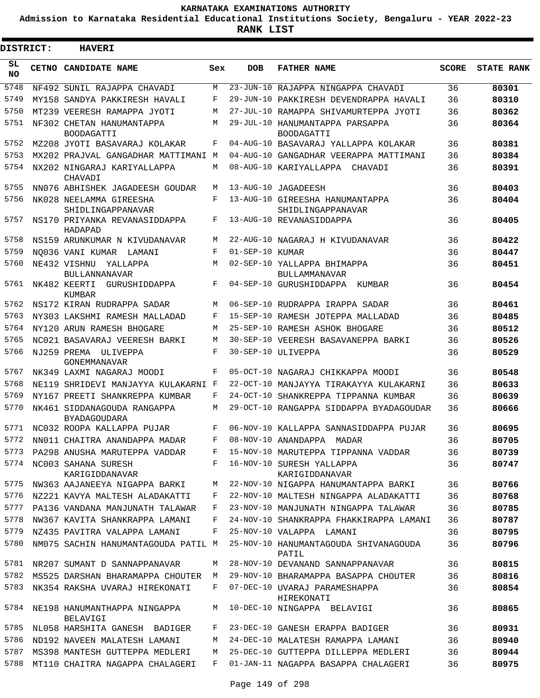**Admission to Karnataka Residential Educational Institutions Society, Bengaluru - YEAR 2022-23**

| <b>DISTRICT:</b> | <b>HAVERI</b>                                      |       |                 |                                                      |              |                   |
|------------------|----------------------------------------------------|-------|-----------------|------------------------------------------------------|--------------|-------------------|
| SL<br><b>NO</b>  | <b>CETNO CANDIDATE NAME</b>                        | Sex   | <b>DOB</b>      | <b>FATHER NAME</b>                                   | <b>SCORE</b> | <b>STATE RANK</b> |
| 5748             | NF492 SUNIL RAJAPPA CHAVADI                        | M     |                 | 23-JUN-10 RAJAPPA NINGAPPA CHAVADI                   | 36           | 80301             |
| 5749             | MY158 SANDYA PAKKIRESH HAVALI                      | F     |                 | 29-JUN-10 PAKKIRESH DEVENDRAPPA HAVALI               | 36           | 80310             |
| 5750             | MT239 VEERESH RAMAPPA JYOTI                        | М     |                 | 27-JUL-10 RAMAPPA SHIVAMURTEPPA JYOTI                | 36           | 80362             |
| 5751             | NF302 CHETAN HANUMANTAPPA<br><b>BOODAGATTI</b>     | М     |                 | 29-JUL-10 HANUMANTAPPA PARSAPPA<br><b>BOODAGATTI</b> | 36           | 80364             |
| 5752             | MZ208 JYOTI BASAVARAJ KOLAKAR                      | F     |                 | 04-AUG-10 BASAVARAJ YALLAPPA KOLAKAR                 | 36           | 80381             |
| 5753             | MX202 PRAJVAL GANGADHAR MATTIMANI M                |       |                 | 04-AUG-10 GANGADHAR VEERAPPA MATTIMANI               | 36           | 80384             |
| 5754             | NX202 NINGARAJ KARIYALLAPPA<br>CHAVADI             | М     |                 | 08-AUG-10 KARIYALLAPPA CHAVADI                       | 36           | 80391             |
| 5755             | NN076 ABHISHEK JAGADEESH GOUDAR                    | M     |                 | 13-AUG-10 JAGADEESH                                  | 36           | 80403             |
| 5756             | NK028 NEELAMMA GIREESHA<br>SHIDLINGAPPANAVAR       | F     |                 | 13-AUG-10 GIREESHA HANUMANTAPPA<br>SHIDLINGAPPANAVAR | 36           | 80404             |
| 5757             | NS170 PRIYANKA REVANASIDDAPPA<br>HADAPAD           | F     |                 | 13-AUG-10 REVANASIDDAPPA                             | 36           | 80405             |
| 5758             | NS159 ARUNKUMAR N KIVUDANAVAR                      | M     |                 | 22-AUG-10 NAGARAJ H KIVUDANAVAR                      | 36           | 80422             |
| 5759             | NO036 VANI KUMAR<br>LAMANI                         | F     | 01-SEP-10 KUMAR |                                                      | 36           | 80447             |
| 5760             | NE432 VISHNU<br>YALLAPPA<br><b>BULLANNANAVAR</b>   | М     |                 | 02-SEP-10 YALLAPPA BHIMAPPA<br>BULLAMMANAVAR         | 36           | 80451             |
| 5761             | NK482 KEERTI<br>GURUSHIDDAPPA<br>KUMBAR            | F     |                 | 04-SEP-10 GURUSHIDDAPPA<br>KUMBAR                    | 36           | 80454             |
| 5762             | NS172 KIRAN RUDRAPPA SADAR                         | М     |                 | 06-SEP-10 RUDRAPPA IRAPPA SADAR                      | 36           | 80461             |
| 5763             | NY303 LAKSHMI RAMESH MALLADAD                      | F     |                 | 15-SEP-10 RAMESH JOTEPPA MALLADAD                    | 36           | 80485             |
| 5764             | NY120 ARUN RAMESH BHOGARE                          | М     |                 | 25-SEP-10 RAMESH ASHOK BHOGARE                       | 36           | 80512             |
| 5765             | NC021 BASAVARAJ VEERESH BARKI                      | М     |                 | 30-SEP-10 VEERESH BASAVANEPPA BARKI                  | 36           | 80526             |
| 5766             | NJ259 PREMA ULIVEPPA<br>GONEMMANAVAR               | F     |                 | 30-SEP-10 ULIVEPPA                                   | 36           | 80529             |
| 5767             | NK349 LAXMI NAGARAJ MOODI                          | F     |                 | 05-OCT-10 NAGARAJ CHIKKAPPA MOODI                    | 36           | 80548             |
| 5768             | NE119 SHRIDEVI MANJAYYA KULAKARNI                  | F     |                 | 22-OCT-10 MANJAYYA TIRAKAYYA KULAKARNI               | 36           | 80633             |
| 5769             | NY167 PREETI SHANKREPPA KUMBAR                     | F     |                 | 24-OCT-10 SHANKREPPA TIPPANNA KUMBAR                 | 36           | 80639             |
| 5770             | NK461 SIDDANAGOUDA RANGAPPA<br><b>BYADAGOUDARA</b> | M     |                 | 29-OCT-10 RANGAPPA SIDDAPPA BYADAGOUDAR              | 36           | 80666             |
| 5771             | NC032 ROOPA KALLAPPA PUJAR                         | F     |                 | 06-NOV-10 KALLAPPA SANNASIDDAPPA PUJAR               | 36           | 80695             |
|                  | 5772 NN011 CHAITRA ANANDAPPA MADAR                 | $F -$ |                 | 08-NOV-10 ANANDAPPA MADAR                            | 36           | 80705             |
| 5773             | PA298 ANUSHA MARUTEPPA VADDAR                      | F     |                 | 15-NOV-10 MARUTEPPA TIPPANNA VADDAR                  | 36           | 80739             |
| 5774             | NC003 SAHANA SURESH<br>KARIGIDDANAVAR              | F     |                 | 16-NOV-10 SURESH YALLAPPA<br>KARIGIDDANAVAR          | 36           | 80747             |
| 5775             | NW363 AAJANEEYA NIGAPPA BARKI                      | М     |                 | 22-NOV-10 NIGAPPA HANUMANTAPPA BARKI                 | 36           | 80766             |
| 5776             | NZ221 KAVYA MALTESH ALADAKATTI                     | F     |                 | 22-NOV-10 MALTESH NINGAPPA ALADAKATTI                | 36           | 80768             |
| 5777             | PA136 VANDANA MANJUNATH TALAWAR                    | F     |                 | 23-NOV-10 MANJUNATH NINGAPPA TALAWAR                 | 36           | 80785             |
| 5778             | NW367 KAVITA SHANKRAPPA LAMANI                     | F     |                 | 24-NOV-10 SHANKRAPPA FHAKKIRAPPA LAMANI              | 36           | 80787             |
| 5779             | NZ435 PAVITRA VALAPPA LAMANI                       | F     |                 | 25-NOV-10 VALAPPA LAMANI                             | 36           | 80795             |
| 5780             | NM075 SACHIN HANUMANTAGOUDA PATIL M                |       |                 | 25-NOV-10 HANUMANTAGOUDA SHIVANAGOUDA<br>PATIL       | 36           | 80796             |
| 5781             | NR207 SUMANT D SANNAPPANAVAR                       | M     |                 | 28-NOV-10 DEVANAND SANNAPPANAVAR                     | 36           | 80815             |
| 5782             | MS525 DARSHAN BHARAMAPPA CHOUTER                   | М     |                 | 29-NOV-10 BHARAMAPPA BASAPPA CHOUTER                 | 36           | 80816             |
| 5783             | NK354 RAKSHA UVARAJ HIREKONATI                     | F     |                 | 07-DEC-10 UVARAJ PARAMESHAPPA<br>HIREKONATI          | 36           | 80854             |
| 5784             | NE198 HANUMANTHAPPA NINGAPPA<br>BELAVIGI           | М     |                 | 10-DEC-10 NINGAPPA BELAVIGI                          | 36           | 80865             |
| 5785             | NL058 HARSHITA GANESH BADIGER                      | F     |                 | 23-DEC-10 GANESH ERAPPA BADIGER                      | 36           | 80931             |
| 5786             | ND192 NAVEEN MALATESH LAMANI                       | М     |                 | 24-DEC-10 MALATESH RAMAPPA LAMANI                    | 36           | 80940             |
| 5787             | MS398 MANTESH GUTTEPPA MEDLERI                     | М     |                 | 25-DEC-10 GUTTEPPA DILLEPPA MEDLERI                  | 36           | 80944             |
| 5788             | MT110 CHAITRA NAGAPPA CHALAGERI                    | F     |                 | 01-JAN-11 NAGAPPA BASAPPA CHALAGERI                  | 36           | 80975             |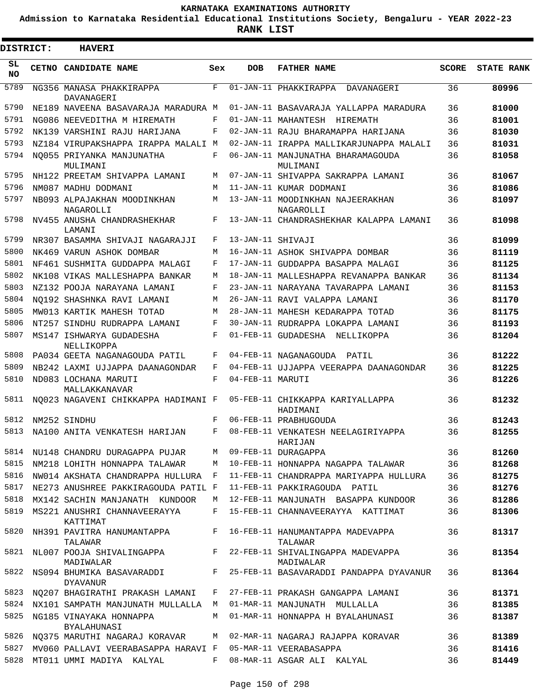**Admission to Karnataka Residential Educational Institutions Society, Bengaluru - YEAR 2022-23**

**RANK LIST**

 $\blacksquare$ 

3

| <b>DISTRICT:</b> | <b>HAVERI</b>                                        |     |                   |                                                |              |            |
|------------------|------------------------------------------------------|-----|-------------------|------------------------------------------------|--------------|------------|
| SL<br><b>NO</b>  | CETNO CANDIDATE NAME                                 | Sex | <b>DOB</b>        | <b>FATHER NAME</b>                             | <b>SCORE</b> | STATE RANK |
| 5789             | NG356 MANASA PHAKKIRAPPA<br>DAVANAGERI               | F   |                   | 01-JAN-11 PHAKKIRAPPA<br>DAVANAGERI            | 36           | 80996      |
| 5790             | NE189 NAVEENA BASAVARAJA MARADURA M                  |     |                   | 01-JAN-11 BASAVARAJA YALLAPPA MARADURA         | 36           | 81000      |
| 5791             | NG086 NEEVEDITHA M HIREMATH                          | F   |                   | 01-JAN-11 MAHANTESH HIREMATH                   | 36           | 81001      |
| 5792             | NK139 VARSHINI RAJU HARIJANA                         | F   |                   | 02-JAN-11 RAJU BHARAMAPPA HARIJANA             | 36           | 81030      |
| 5793             | NZ184 VIRUPAKSHAPPA IRAPPA MALALI M                  |     |                   | 02-JAN-11 IRAPPA MALLIKARJUNAPPA MALALI        | 36           | 81031      |
| 5794             | NO055 PRIYANKA MANJUNATHA<br>MULIMANI                | F   |                   | 06-JAN-11 MANJUNATHA BHARAMAGOUDA<br>MULIMANI  | 36           | 81058      |
| 5795             | NH122 PREETAM SHIVAPPA LAMANI                        | M   |                   | 07-JAN-11 SHIVAPPA SAKRAPPA LAMANI             | 36           | 81067      |
| 5796             | NM087 MADHU DODMANI                                  | M   |                   | 11-JAN-11 KUMAR DODMANI                        | 36           | 81086      |
| 5797             | NB093 ALPAJAKHAN MOODINKHAN<br>NAGAROLLI             | M   |                   | 13-JAN-11 MOODINKHAN NAJEERAKHAN<br>NAGAROLLI  | 36           | 81097      |
| 5798             | NV455 ANUSHA CHANDRASHEKHAR<br>LAMANI                | F   |                   | 13-JAN-11 CHANDRASHEKHAR KALAPPA LAMANI        | 36           | 81098      |
| 5799             | NR307 BASAMMA SHIVAJI NAGARAJJI                      | F   | 13-JAN-11 SHIVAJI |                                                | 36           | 81099      |
| 5800             | NK469 VARUN ASHOK DOMBAR                             | M   |                   | 16-JAN-11 ASHOK SHIVAPPA DOMBAR                | 36           | 81119      |
| 5801             | NF461 SUSHMITA GUDDAPPA MALAGI                       | F   |                   | 17-JAN-11 GUDDAPPA BASAPPA MALAGI              | 36           | 81125      |
| 5802             | NK108 VIKAS MALLESHAPPA BANKAR                       | М   |                   | 18-JAN-11 MALLESHAPPA REVANAPPA BANKAR         | 36           | 81134      |
| 5803             | NZ132 POOJA NARAYANA LAMANI                          | F   |                   | 23-JAN-11 NARAYANA TAVARAPPA LAMANI            | 36           | 81153      |
| 5804             | NO192 SHASHNKA RAVI LAMANI                           | М   |                   | 26-JAN-11 RAVI VALAPPA LAMANI                  | 36           | 81170      |
| 5805             | MW013 KARTIK MAHESH TOTAD                            | M   |                   | 28-JAN-11 MAHESH KEDARAPPA TOTAD               | 36           | 81175      |
| 5806             | NT257 SINDHU RUDRAPPA LAMANI                         | F   |                   | 30-JAN-11 RUDRAPPA LOKAPPA LAMANI              | 36           | 81193      |
| 5807             | MS147 ISHWARYA GUDADESHA<br>NELLIKOPPA               | F   |                   | 01-FEB-11 GUDADESHA NELLIKOPPA                 | 36           | 81204      |
| 5808             | PA034 GEETA NAGANAGOUDA PATIL                        | F   |                   | 04-FEB-11 NAGANAGOUDA PATIL                    | 36           | 81222      |
| 5809             | NB242 LAXMI UJJAPPA DAANAGONDAR                      | F   |                   | 04-FEB-11 UJJAPPA VEERAPPA DAANAGONDAR         | 36           | 81225      |
| 5810             | ND083 LOCHANA MARUTI                                 | F   | 04-FEB-11 MARUTI  |                                                | 36           | 81226      |
| 5811             | MALLAKKANAVAR<br>NO023 NAGAVENI CHIKKAPPA HADIMANI F |     |                   | 05-FEB-11 CHIKKAPPA KARIYALLAPPA               | 36           | 81232      |
| 5812             | NM252 SINDHU                                         | F   |                   | HADIMANI<br>06-FEB-11 PRABHUGOUDA              | 36           | 81243      |
| 5813             | NA100 ANITA VENKATESH HARIJAN                        | F   |                   | 08-FEB-11 VENKATESH NEELAGIRIYAPPA             | 36           | 81255      |
|                  |                                                      |     |                   | HARIJAN                                        |              |            |
| 5814             | NU148 CHANDRU DURAGAPPA PUJAR                        | M   |                   | 09-FEB-11 DURAGAPPA                            | 36           | 81260      |
| 5815             | NM218 LOHITH HONNAPPA TALAWAR                        | M   |                   | 10-FEB-11 HONNAPPA NAGAPPA TALAWAR             | 36           | 81268      |
| 5816             | NW014 AKSHATA CHANDRAPPA HULLURA                     | F   |                   | 11-FEB-11 CHANDRAPPA MARIYAPPA HULLURA         | 36           | 81275      |
| 5817             | NE273 ANUSHREE PAKKIRAGOUDA PATIL F                  |     |                   | 11-FEB-11 PAKKIRAGOUDA PATIL                   | 36           | 81276      |
| 5818             | MX142 SACHIN MANJANATH KUNDOOR                       | M   |                   | 12-FEB-11 MANJUNATH BASAPPA KUNDOOR            | 36           | 81286      |
| 5819             | MS221 ANUSHRI CHANNAVEERAYYA<br>KATTIMAT             | F   |                   | 15-FEB-11 CHANNAVEERAYYA KATTIMAT              | 36           | 81306      |
| 5820             | NH391 PAVITRA HANUMANTAPPA<br>TALAWAR                | F   |                   | 16-FEB-11 HANUMANTAPPA MADEVAPPA<br>TALAWAR    | 36           | 81317      |
|                  | 5821 NL007 POOJA SHIVALINGAPPA<br>MADIWALAR          | F   |                   | 22-FEB-11 SHIVALINGAPPA MADEVAPPA<br>MADIWALAR | 36           | 81354      |
| 5822             | NS094 BHUMIKA BASAVARADDI<br><b>DYAVANUR</b>         | F   |                   | 25-FEB-11 BASAVARADDI PANDAPPA DYAVANUR        | 36           | 81364      |
| 5823             | NO207 BHAGIRATHI PRAKASH LAMANI                      | F   |                   | 27-FEB-11 PRAKASH GANGAPPA LAMANI              | 36           | 81371      |
| 5824             | NX101 SAMPATH MANJUNATH MULLALLA M                   |     |                   | 01-MAR-11 MANJUNATH MULLALLA                   | 36           | 81385      |
| 5825             | NG185 VINAYAKA HONNAPPA<br>BYALAHUNASI               | M   |                   | 01-MAR-11 HONNAPPA H BYALAHUNASI               | 36           | 81387      |
| 5826             | NQ375 MARUTHI NAGARAJ KORAVAR                        | M   |                   | 02-MAR-11 NAGARAJ RAJAPPA KORAVAR              | 36           | 81389      |
| 5827             | MV060 PALLAVI VEERABASAPPA HARAVI F                  |     |                   | 05-MAR-11 VEERABASAPPA                         | 36           | 81416      |
| 5828             | MT011 UMMI MADIYA KALYAL                             | F   |                   | 08-MAR-11 ASGAR ALI KALYAL                     | 36           | 81449      |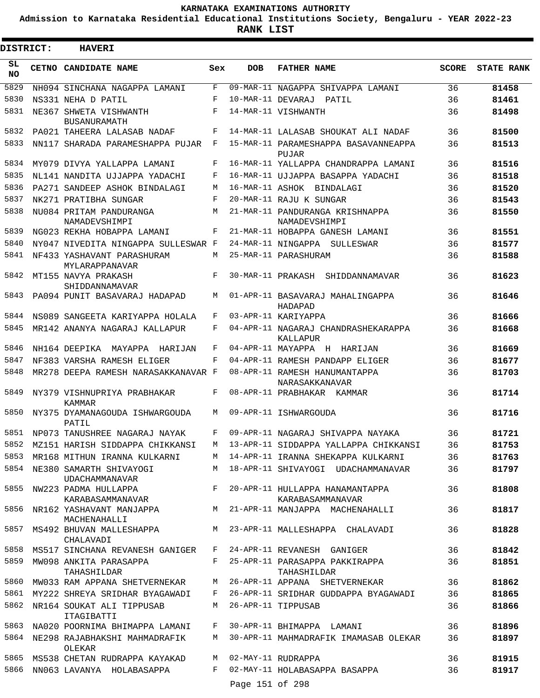**Admission to Karnataka Residential Educational Institutions Society, Bengaluru - YEAR 2022-23**

| DISTRICT:       | <b>HAVERI</b>                                  |       |                 |                                                            |       |                   |
|-----------------|------------------------------------------------|-------|-----------------|------------------------------------------------------------|-------|-------------------|
| SL<br><b>NO</b> | CETNO CANDIDATE NAME                           | Sex   | <b>DOB</b>      | <b>FATHER NAME</b>                                         | SCORE | <b>STATE RANK</b> |
| 5829            | NH094 SINCHANA NAGAPPA LAMANI                  | F     |                 | 09-MAR-11 NAGAPPA SHIVAPPA LAMANI                          | 36    | 81458             |
| 5830            | NS331 NEHA D PATIL                             | F     |                 | 10-MAR-11 DEVARAJ PATIL                                    | 36    | 81461             |
| 5831            | NE367 SHWETA VISHWANTH<br><b>BUSANURAMATH</b>  | F     |                 | 14-MAR-11 VISHWANTH                                        | 36    | 81498             |
| 5832            | PA021 TAHEERA LALASAB NADAF                    | F     |                 | 14-MAR-11 LALASAB SHOUKAT ALI NADAF                        | 36    | 81500             |
| 5833            | NN117 SHARADA PARAMESHAPPA PUJAR F             |       |                 | 15-MAR-11 PARAMESHAPPA BASAVANNEAPPA<br>PUJAR              | 36    | 81513             |
| 5834            | MY079 DIVYA YALLAPPA LAMANI                    | F     |                 | 16-MAR-11 YALLAPPA CHANDRAPPA LAMANI                       | 36    | 81516             |
| 5835            | NL141 NANDITA UJJAPPA YADACHI                  | F     |                 | 16-MAR-11 UJJAPPA BASAPPA YADACHI                          | 36    | 81518             |
| 5836            | PA271 SANDEEP ASHOK BINDALAGI                  | M     |                 | 16-MAR-11 ASHOK BINDALAGI                                  | 36    | 81520             |
| 5837            | NK271 PRATIBHA SUNGAR                          | F     |                 | 20-MAR-11 RAJU K SUNGAR                                    | 36    | 81543             |
| 5838            | NU084 PRITAM PANDURANGA<br>NAMADEVSHIMPI       | M     |                 | 21-MAR-11 PANDURANGA KRISHNAPPA<br>NAMADEVSHIMPI           | 36    | 81550             |
| 5839            | NG023 REKHA HOBAPPA LAMANI                     | F     |                 | 21-MAR-11 HOBAPPA GANESH LAMANI                            | 36    | 81551             |
| 5840            | NY047 NIVEDITA NINGAPPA SULLESWAR F            |       |                 | 24-MAR-11 NINGAPPA SULLESWAR                               | 36    | 81577             |
| 5841            | NF433 YASHAVANT PARASHURAM<br>MYLARAPPANAVAR   | M     |                 | 25-MAR-11 PARASHURAM                                       | 36    | 81588             |
| 5842            | MT155 NAVYA PRAKASH<br>SHIDDANNAMAVAR          | F     |                 | 30-MAR-11 PRAKASH SHIDDANNAMAVAR                           | 36    | 81623             |
| 5843            | PA094 PUNIT BASAVARAJ HADAPAD                  | M     |                 | 01-APR-11 BASAVARAJ MAHALINGAPPA<br>HADAPAD                | 36    | 81646             |
| 5844            | NS089 SANGEETA KARIYAPPA HOLALA                | F     |                 | 03-APR-11 KARIYAPPA                                        | 36    | 81666             |
| 5845            | MR142 ANANYA NAGARAJ KALLAPUR                  | F     |                 | 04-APR-11 NAGARAJ CHANDRASHEKARAPPA<br>KALLAPUR            | 36    | 81668             |
| 5846            | NH164 DEEPIKA MAYAPPA HARIJAN                  | F     |                 | 04-APR-11 MAYAPPA H HARIJAN                                | 36    | 81669             |
| 5847            | NF383 VARSHA RAMESH ELIGER                     | F     |                 | 04-APR-11 RAMESH PANDAPP ELIGER                            | 36    | 81677             |
| 5848            | MR278 DEEPA RAMESH NARASAKKANAVAR F            |       |                 | 08-APR-11 RAMESH HANUMANTAPPA<br>NARASAKKANAVAR            | 36    | 81703             |
| 5849            | NY379 VISHNUPRIYA PRABHAKAR<br>KAMMAR          | F     |                 | 08-APR-11 PRABHAKAR KAMMAR                                 | 36    | 81714             |
|                 | 5850 NY375 DYAMANAGOUDA ISHWARGOUDA<br>PATIL   | M     |                 | 09-APR-11 ISHWARGOUDA                                      | 36    | 81716             |
| 5851            | NP073 TANUSHREE NAGARAJ NAYAK                  | $F^-$ |                 | 09-APR-11 NAGARAJ SHIVAPPA NAYAKA                          | 36    | 81721             |
| 5852            | MZ151 HARISH SIDDAPPA CHIKKANSI                | M     |                 | 13-APR-11 SIDDAPPA YALLAPPA CHIKKANSI                      | 36    | 81753             |
| 5853            | MR168 MITHUN IRANNA KULKARNI                   | M     |                 | 14-APR-11 IRANNA SHEKAPPA KULKARNI                         | 36    | 81763             |
|                 | 5854 NE380 SAMARTH SHIVAYOGI<br>UDACHAMMANAVAR | M     |                 | 18-APR-11 SHIVAYOGI UDACHAMMANAVAR                         | 36    | 81797             |
| 5855            | NW223 PADMA HULLAPPA<br>KARABASAMMANAVAR       |       |                 | F 20-APR-11 HULLAPPA HANAMANTAPPA<br>KARABASAMMANAVAR      | 36    | 81808             |
| 5856            | NR162 YASHAVANT MANJAPPA<br>MACHENAHALLI       | M     |                 | 21-APR-11 MANJAPPA MACHENAHALLI                            | 36    | 81817             |
| 5857            | CHALAVADI                                      |       |                 | MS492 BHUVAN MALLESHAPPA M 23-APR-11 MALLESHAPPA CHALAVADI | 36    | 81828             |
| 5858            | MS517 SINCHANA REVANESH GANIGER                | F     |                 | 24-APR-11 REVANESH GANIGER                                 | 36    | 81842             |
| 5859            | MW098 ANKITA PARASAPPA<br>TAHASHILDAR          |       |                 | F 25-APR-11 PARASAPPA PAKKIRAPPA<br>TAHASHILDAR            | 36    | 81851             |
| 5860            | MW033 RAM APPANA SHETVERNEKAR                  | M     |                 | 26-APR-11 APPANA SHETVERNEKAR                              | 36    | 81862             |
| 5861            | MY222 SHREYA SRIDHAR BYAGAWADI                 | F     |                 | 26-APR-11 SRIDHAR GUDDAPPA BYAGAWADI                       | 36    | 81865             |
| 5862            | NR164 SOUKAT ALI TIPPUSAB<br>ITAGIBATTI        | M     |                 | 26-APR-11 TIPPUSAB                                         | 36    | 81866             |
| 5863            | NA020 POORNIMA BHIMAPPA LAMANI F               |       |                 | 30-APR-11 BHIMAPPA LAMANI                                  | 36    | 81896             |
| 5864            | NE298 RAJABHAKSHI MAHMADRAFIK M<br>OLEKAR      |       |                 | 30-APR-11 MAHMADRAFIK IMAMASAB OLEKAR                      | 36    | 81897             |
| 5865            | MS538 CHETAN RUDRAPPA KAYAKAD M                |       |                 | 02-MAY-11 RUDRAPPA                                         | 36    | 81915             |
| 5866            | NN063 LAVANYA HOLABASAPPA                      | F     |                 | 02-MAY-11 HOLABASAPPA BASAPPA                              | 36    | 81917             |
|                 |                                                |       | Page 151 of 298 |                                                            |       |                   |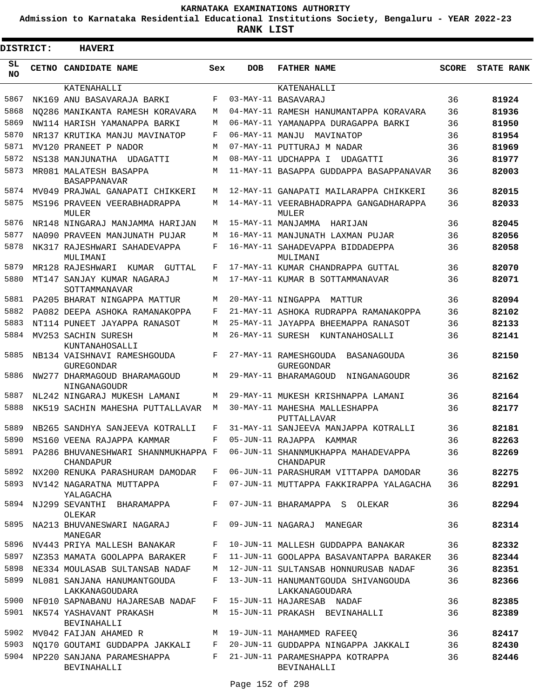**Admission to Karnataka Residential Educational Institutions Society, Bengaluru - YEAR 2022-23**

| <b>DISTRICT:</b> | <b>HAVERI</b>                                       |             |                 |                                                                                           |              |                   |
|------------------|-----------------------------------------------------|-------------|-----------------|-------------------------------------------------------------------------------------------|--------------|-------------------|
| SL<br><b>NO</b>  | <b>CETNO CANDIDATE NAME</b>                         | Sex         | <b>DOB</b>      | <b>FATHER NAME</b>                                                                        | <b>SCORE</b> | <b>STATE RANK</b> |
|                  | KATENAHALLI                                         |             |                 | KATENAHALLI                                                                               |              |                   |
| 5867             | NK169 ANU BASAVARAJA BARKI                          | F           |                 | 03-MAY-11 BASAVARAJ                                                                       | 36           | 81924             |
| 5868             | NO286 MANIKANTA RAMESH KORAVARA                     | M           |                 | 04-MAY-11 RAMESH HANUMANTAPPA KORAVARA                                                    | 36           | 81936             |
| 5869             | NW114 HARISH YAMANAPPA BARKI                        | M           |                 | 06-MAY-11 YAMANAPPA DURAGAPPA BARKI                                                       | 36           | 81950             |
| 5870             | NR137 KRUTIKA MANJU MAVINATOP                       | F           | 06-MAY-11 MANJU | MAVINATOP                                                                                 | 36           | 81954             |
| 5871<br>5872     | MV120 PRANEET P NADOR                               | M           |                 | 07-MAY-11 PUTTURAJ M NADAR                                                                | 36           | 81969             |
| 5873             | NS138 MANJUNATHA UDAGATTI                           | M<br>M      |                 | 08-MAY-11 UDCHAPPA I<br>UDAGATTI                                                          | 36           | 81977             |
|                  | MR081 MALATESH BASAPPA<br>BASAPPANAVAR              |             |                 | 11-MAY-11 BASAPPA GUDDAPPA BASAPPANAVAR                                                   | 36           | 82003             |
| 5874             | MV049 PRAJWAL GANAPATI CHIKKERI                     | M           |                 | 12-MAY-11 GANAPATI MAILARAPPA CHIKKERI                                                    | 36           | 82015             |
| 5875             | MS196 PRAVEEN VEERABHADRAPPA<br>MULER               | M           |                 | 14-MAY-11 VEERABHADRAPPA GANGADHARAPPA<br>MULER                                           | 36           | 82033             |
| 5876             | NR148 NINGARAJ MANJAMMA HARIJAN                     | M           |                 | 15-MAY-11 MANJAMMA HARIJAN                                                                | 36           | 82045             |
| 5877             | NA090 PRAVEEN MANJUNATH PUJAR                       | M           |                 | 16-MAY-11 MANJUNATH LAXMAN PUJAR                                                          | 36           | 82056             |
| 5878             | NK317 RAJESHWARI SAHADEVAPPA<br>MULIMANI            | F           |                 | 16-MAY-11 SAHADEVAPPA BIDDADEPPA<br>MULIMANI                                              | 36           | 82058             |
| 5879             | MR128 RAJESHWARI KUMAR<br>GUTTAL                    | F           |                 | 17-MAY-11 KUMAR CHANDRAPPA GUTTAL                                                         | 36           | 82070             |
| 5880             | MT147 SANJAY KUMAR NAGARAJ<br>SOTTAMMANAVAR         | M           |                 | 17-MAY-11 KUMAR B SOTTAMMANAVAR                                                           | 36           | 82071             |
| 5881             | PA205 BHARAT NINGAPPA MATTUR                        | M           |                 | 20-MAY-11 NINGAPPA MATTUR                                                                 | 36           | 82094             |
| 5882             | PA082 DEEPA ASHOKA RAMANAKOPPA                      | F           |                 | 21-MAY-11 ASHOKA RUDRAPPA RAMANAKOPPA                                                     | 36           | 82102             |
| 5883             | NT114 PUNEET JAYAPPA RANASOT                        | M           |                 | 25-MAY-11 JAYAPPA BHEEMAPPA RANASOT                                                       | 36           | 82133             |
| 5884             | MV253 SACHIN SURESH<br>KUNTANAHOSALLI               | M           |                 | 26-MAY-11 SURESH KUNTANAHOSALLI                                                           | 36           | 82141             |
| 5885             | NB134 VAISHNAVI RAMESHGOUDA<br><b>GUREGONDAR</b>    | F           |                 | 27-MAY-11 RAMESHGOUDA<br>BASANAGOUDA<br><b>GUREGONDAR</b>                                 | 36           | 82150             |
| 5886             | NW277 DHARMAGOUD BHARAMAGOUD<br><b>NINGANAGOUDR</b> | М           |                 | 29-MAY-11 BHARAMAGOUD<br>NINGANAGOUDR                                                     | 36           | 82162             |
| 5887             | NL242 NINGARAJ MUKESH LAMANI                        | М           |                 | 29-MAY-11 MUKESH KRISHNAPPA LAMANI                                                        | 36           | 82164             |
| 5888             | NK519 SACHIN MAHESHA PUTTALLAVAR                    | M           |                 | 30-MAY-11 MAHESHA MALLESHAPPA<br>PUTTALLAVAR                                              | 36           | 82177             |
| 5889             | NB265 SANDHYA SANJEEVA KOTRALLI                     | F           |                 | 31-MAY-11 SANJEEVA MANJAPPA KOTRALLI                                                      | 36           | 82181             |
|                  | 5890 MS160 VEENA RAJAPPA KAMMAR                     | F           |                 | 05-JUN-11 RAJAPPA KAMMAR                                                                  | 36           | 82263             |
|                  | CHANDAPUR                                           |             |                 | 5891 PA286 BHUVANESHWARI SHANNMUKHAPPA F 06-JUN-11 SHANNMUKHAPPA MAHADEVAPPA<br>CHANDAPUR | 36           | 82269             |
|                  |                                                     |             |                 | 5892 NX200 RENUKA PARASHURAM DAMODAR F 06-JUN-11 PARASHURAM VITTAPPA DAMODAR              | 36           | 82275             |
|                  | 5893 NV142 NAGARATNA MUTTAPPA<br>YALAGACHA          |             |                 | F 07-JUN-11 MUTTAPPA FAKKIRAPPA YALAGACHA                                                 | 36           | 82291             |
|                  | 5894 NJ299 SEVANTHI BHARAMAPPA<br>OLEKAR            |             |                 | F 07-JUN-11 BHARAMAPPA S OLEKAR                                                           | 36           | 82294             |
| 5895             | NA213 BHUVANESWARI NAGARAJ<br>MANEGAR               | $F$ –       |                 | 09-JUN-11 NAGARAJ MANEGAR                                                                 | 36           | 82314             |
|                  | 5896 NV443 PRIYA MALLESH BANAKAR                    | $F$ and $F$ |                 | 10-JUN-11 MALLESH GUDDAPPA BANAKAR                                                        | 36           | 82332             |
|                  | 5897 NZ353 MAMATA GOOLAPPA BARAKER                  |             |                 | F 11-JUN-11 GOOLAPPA BASAVANTAPPA BARAKER                                                 | 36           | 82344             |
| 5898             | NE334 MOULASAB SULTANSAB NADAF                      | M           |                 | 12-JUN-11 SULTANSAB HONNURUSAB NADAF                                                      | 36           | 82351             |
| 5899             | NL081 SANJANA HANUMANTGOUDA<br>LAKKANAGOUDARA       | $F -$       |                 | 13-JUN-11 HANUMANTGOUDA SHIVANGOUDA<br>LAKKANAGOUDARA                                     | 36           | 82366             |
| 5900             | NF010 SAPNABANU HAJARESAB NADAF                     |             |                 | F 15-JUN-11 HAJARESAB NADAF                                                               | 36           | 82385             |
| 5901             | NK574 YASHAVANT PRAKASH<br>BEVINAHALLI              |             |                 | M 15-JUN-11 PRAKASH BEVINAHALLI                                                           | 36           | 82389             |
| 5902             | MV042 FAIJAN AHAMED R                               |             |                 | M 19-JUN-11 MAHAMMED RAFEEO                                                               | 36           | 82417             |
| 5903             |                                                     |             |                 | NO170 GOUTAMI GUDDAPPA JAKKALI   F   20-JUN-11 GUDDAPPA NINGAPPA JAKKALI                  | 36           | 82430             |
| 5904             | NP220 SANJANA PARAMESHAPPA<br>BEVINAHALLI           |             |                 | F 21-JUN-11 PARAMESHAPPA KOTRAPPA<br>BEVINAHALLI                                          | 36           | 82446             |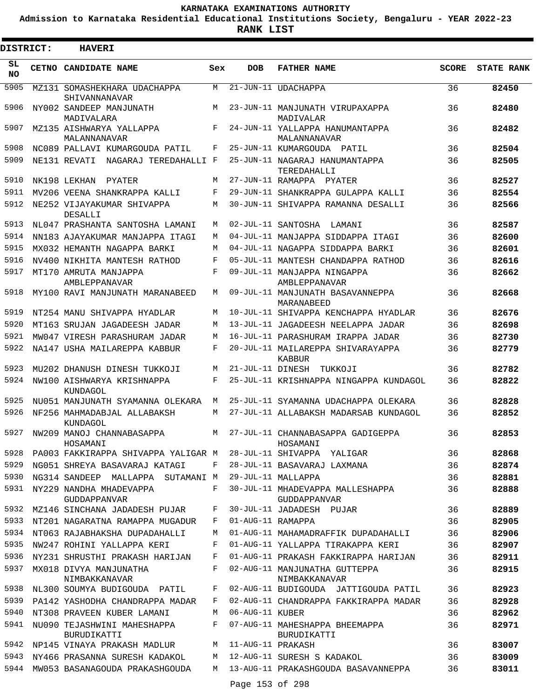**Admission to Karnataka Residential Educational Institutions Society, Bengaluru - YEAR 2022-23**

**RANK LIST**

ı

| DISTRICT:       | <b>HAVERI</b>                                 |            |                   |                                                  |              |                   |
|-----------------|-----------------------------------------------|------------|-------------------|--------------------------------------------------|--------------|-------------------|
| SL<br><b>NO</b> | CETNO CANDIDATE NAME                          | Sex        | <b>DOB</b>        | <b>FATHER NAME</b>                               | <b>SCORE</b> | <b>STATE RANK</b> |
| 5905            | MZ131 SOMASHEKHARA UDACHAPPA<br>SHIVANNANAVAR | M          |                   | 21-JUN-11 UDACHAPPA                              | 36           | 82450             |
| 5906            | NY002 SANDEEP MANJUNATH<br>MADIVALARA         | M          |                   | 23-JUN-11 MANJUNATH VIRUPAXAPPA<br>MADIVALAR     | 36           | 82480             |
| 5907            | MZ135 AISHWARYA YALLAPPA<br>MALANNANAVAR      | F          |                   | 24-JUN-11 YALLAPPA HANUMANTAPPA<br>MALANNANAVAR  | 36           | 82482             |
| 5908            | NC089 PALLAVI KUMARGOUDA PATIL                | F          |                   | 25-JUN-11 KUMARGOUDA PATIL                       | 36           | 82504             |
| 5909            | NE131 REVATI NAGARAJ TEREDAHALLI F            |            |                   | 25-JUN-11 NAGARAJ HANUMANTAPPA<br>TEREDAHALLI    | 36           | 82505             |
| 5910            | NK198 LEKHAN PYATER                           | M          |                   | 27-JUN-11 RAMAPPA PYATER                         | 36           | 82527             |
| 5911            | MV206 VEENA SHANKRAPPA KALLI                  | F          |                   | 29-JUN-11 SHANKRAPPA GULAPPA KALLI               | 36           | 82554             |
| 5912            | NE252 VIJAYAKUMAR SHIVAPPA<br>DESALLI         | M          |                   | 30-JUN-11 SHIVAPPA RAMANNA DESALLI               | 36           | 82566             |
| 5913            | NL047 PRASHANTA SANTOSHA LAMANI               | M          |                   | 02-JUL-11 SANTOSHA LAMANI                        | 36           | 82587             |
| 5914            | NN183 AJAYAKUMAR MANJAPPA ITAGI               | M          |                   | 04-JUL-11 MANJAPPA SIDDAPPA ITAGI                | 36           | 82600             |
| 5915            | MX032 HEMANTH NAGAPPA BARKI                   | M          |                   | 04-JUL-11 NAGAPPA SIDDAPPA BARKI                 | 36           | 82601             |
| 5916            | NV400 NIKHITA MANTESH RATHOD                  | F          |                   | 05-JUL-11 MANTESH CHANDAPPA RATHOD               | 36           | 82616             |
| 5917            | MT170 AMRUTA MANJAPPA<br>AMBLEPPANAVAR        | $_{\rm F}$ |                   | 09-JUL-11 MANJAPPA NINGAPPA<br>AMBLEPPANAVAR     | 36           | 82662             |
| 5918            | MY100 RAVI MANJUNATH MARANABEED               | M          |                   | 09-JUL-11 MANJUNATH BASAVANNEPPA<br>MARANABEED   | 36           | 82668             |
| 5919            | NT254 MANU SHIVAPPA HYADLAR                   | M          |                   | 10-JUL-11 SHIVAPPA KENCHAPPA HYADLAR             | 36           | 82676             |
| 5920            | MT163 SRUJAN JAGADEESH JADAR                  | M          |                   | 13-JUL-11 JAGADEESH NEELAPPA JADAR               | 36           | 82698             |
| 5921            | MW047 VIRESH PARASHURAM JADAR                 | M          |                   | 16-JUL-11 PARASHURAM IRAPPA JADAR                | 36           | 82730             |
| 5922            | NA147 USHA MAILAREPPA KABBUR                  | F          |                   | 20-JUL-11 MAILAREPPA SHIVARAYAPPA<br>KABBUR      | 36           | 82779             |
| 5923            | MU202 DHANUSH DINESH TUKKOJI                  | M          |                   | 21-JUL-11 DINESH TUKKOJI                         | 36           | 82782             |
| 5924            | NW100 AISHWARYA KRISHNAPPA<br>KUNDAGOL        | F          |                   | 25-JUL-11 KRISHNAPPA NINGAPPA KUNDAGOL           | 36           | 82822             |
| 5925            | NU051 MANJUNATH SYAMANNA OLEKARA              | M          |                   | 25-JUL-11 SYAMANNA UDACHAPPA OLEKARA             | 36           | 82828             |
| 5926            | NF256 MAHMADABJAL ALLABAKSH<br>KUNDAGOL       | M          |                   | 27-JUL-11 ALLABAKSH MADARSAB KUNDAGOL            | 36           | 82852             |
| 5927            | NW209 MANOJ CHANNABASAPPA<br>HOSAMANI         | M          |                   | 27-JUL-11 CHANNABASAPPA GADIGEPPA<br>HOSAMANI    | 36           | 82853             |
| 5928            | PA003 FAKKIRAPPA SHIVAPPA YALIGAR M           |            |                   | 28-JUL-11 SHIVAPPA YALIGAR                       | 36           | 82868             |
| 5929            | NG051 SHREYA BASAVARAJ KATAGI                 | F          |                   | 28-JUL-11 BASAVARAJ LAXMANA                      | 36           | 82874             |
| 5930            | NG314 SANDEEP MALLAPPA SUTAMANI M             |            |                   | 29-JUL-11 MALLAPPA                               | 36           | 82881             |
| 5931            | NY229 NANDHA MHADEVAPPA<br>GUDDAPPANVAR       | F          |                   | 30-JUL-11 MHADEVAPPA MALLESHAPPA<br>GUDDAPPANVAR | 36           | 82888             |
| 5932            | MZ146 SINCHANA JADADESH PUJAR                 | F          |                   | 30-JUL-11 JADADESH PUJAR                         | 36           | 82889             |
| 5933            | NT201 NAGARATNA RAMAPPA MUGADUR               | F          | 01-AUG-11 RAMAPPA |                                                  | 36           | 82905             |
|                 | 5934 NT063 RAJABHAKSHA DUPADAHALLI            | M          |                   | 01-AUG-11 MAHAMADRAFFIK DUPADAHALLI              | 36           | 82906             |
| 5935            | NW247 ROHINI YALLAPPA KERI                    | F          |                   | 01-AUG-11 YALLAPPA TIRAKAPPA KERI                | 36           | 82907             |
| 5936            | NY231 SHRUSTHI PRAKASH HARIJAN                | F          |                   | 01-AUG-11 PRAKASH FAKKIRAPPA HARIJAN             | 36           | 82911             |
| 5937            | MX018 DIVYA MANJUNATHA<br>NIMBAKKANAVAR       | F          |                   | 02-AUG-11 MANJUNATHA GUTTEPPA<br>NIMBAKKANAVAR   | 36           | 82915             |
| 5938            | NL300 SOUMYA BUDIGOUDA PATIL                  | F          |                   | 02-AUG-11 BUDIGOUDA JATTIGOUDA PATIL             | 36           | 82923             |
| 5939            | PA142 YASHODHA CHANDRAPPA MADAR               | F          |                   | 02-AUG-11 CHANDRAPPA FAKKIRAPPA MADAR            | 36           | 82928             |
| 5940            | NT308 PRAVEEN KUBER LAMANI                    | M          | 06-AUG-11 KUBER   |                                                  | 36           | 82962             |
| 5941            | NU090 TEJASHWINI MAHESHAPPA<br>BURUDIKATTI    | F          |                   | 07-AUG-11 MAHESHAPPA BHEEMAPPA<br>BURUDIKATTI    | 36           | 82971             |
| 5942            | NP145 VINAYA PRAKASH MADLUR                   | М          | 11-AUG-11 PRAKASH |                                                  | 36           | 83007             |
| 5943            | NY466 PRASANNA SURESH KADAKOL                 | М          |                   | 12-AUG-11 SURESH S KADAKOL                       | 36           | 83009             |
| 5944            | MW053 BASANAGOUDA PRAKASHGOUDA                | M          |                   | 13-AUG-11 PRAKASHGOUDA BASAVANNEPPA              | 36           | 83011             |
|                 |                                               |            | Page 153 of 298   |                                                  |              |                   |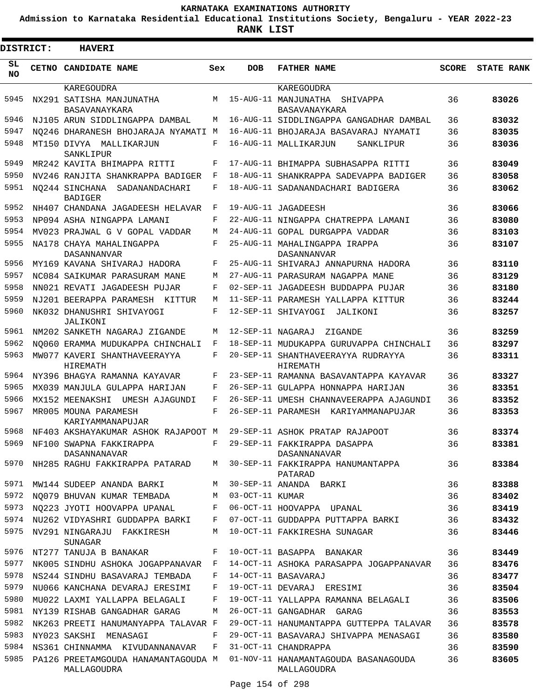**Admission to Karnataka Residential Educational Institutions Society, Bengaluru - YEAR 2022-23**

| <b>DISTRICT:</b> | <b>HAVERI</b>                                                |        |                   |                                                                                  |              |                   |
|------------------|--------------------------------------------------------------|--------|-------------------|----------------------------------------------------------------------------------|--------------|-------------------|
| SL<br><b>NO</b>  | CETNO CANDIDATE NAME                                         | Sex    | <b>DOB</b>        | <b>FATHER NAME</b>                                                               | <b>SCORE</b> | <b>STATE RANK</b> |
|                  | KAREGOUDRA                                                   |        |                   | KAREGOUDRA                                                                       |              |                   |
| 5945             | NX291 SATISHA MANJUNATHA<br>BASAVANAYKARA                    | M      |                   | 15-AUG-11 MANJUNATHA<br>SHIVAPPA<br><b>BASAVANAYKARA</b>                         | 36           | 83026             |
| 5946             | NJ105 ARUN SIDDLINGAPPA DAMBAL                               | М      |                   | 16-AUG-11 SIDDLINGAPPA GANGADHAR DAMBAL                                          | 36           | 83032             |
| 5947             | NO246 DHARANESH BHOJARAJA NYAMATI                            | M      |                   | 16-AUG-11 BHOJARAJA BASAVARAJ NYAMATI                                            | 36           | 83035             |
| 5948             | MT150 DIVYA MALLIKARJUN<br>SANKLIPUR                         | F      |                   | 16-AUG-11 MALLIKARJUN<br>SANKLIPUR                                               | 36           | 83036             |
| 5949             | MR242 KAVITA BHIMAPPA RITTI                                  | F      |                   | 17-AUG-11 BHIMAPPA SUBHASAPPA RITTI                                              | 36           | 83049             |
| 5950             | NV246 RANJITA SHANKRAPPA BADIGER                             | F      |                   | 18-AUG-11 SHANKRAPPA SADEVAPPA BADIGER                                           | 36           | 83058             |
| 5951             | NO244 SINCHANA<br>SADANANDACHARI<br><b>BADIGER</b>           | F      |                   | 18-AUG-11 SADANANDACHARI BADIGERA                                                | 36           | 83062             |
| 5952             | NH407 CHANDANA JAGADEESH HELAVAR                             | F      |                   | 19-AUG-11 JAGADEESH                                                              | 36           | 83066             |
| 5953             | NP094 ASHA NINGAPPA LAMANI                                   | F      |                   | 22-AUG-11 NINGAPPA CHATREPPA LAMANI                                              | 36           | 83080             |
| 5954             | MV023 PRAJWAL G V GOPAL VADDAR                               | М      |                   | 24-AUG-11 GOPAL DURGAPPA VADDAR                                                  | 36           | 83103             |
| 5955             | NA178 CHAYA MAHALINGAPPA<br>DASANNANVAR                      | F      |                   | 25-AUG-11 MAHALINGAPPA IRAPPA<br><b>DASANNANVAR</b>                              | 36           | 83107             |
| 5956             | MY169 KAVANA SHIVARAJ HADORA                                 | F      |                   | 25-AUG-11 SHIVARAJ ANNAPURNA HADORA                                              | 36           | 83110             |
| 5957             | NC084 SAIKUMAR PARASURAM MANE                                | М      |                   | 27-AUG-11 PARASURAM NAGAPPA MANE                                                 | 36           | 83129             |
| 5958             | NN021 REVATI JAGADEESH PUJAR                                 | F      |                   | 02-SEP-11 JAGADEESH BUDDAPPA PUJAR                                               | 36           | 83180             |
| 5959             | NJ201 BEERAPPA PARAMESH KITTUR                               | М      |                   | 11-SEP-11 PARAMESH YALLAPPA KITTUR                                               | 36           | 83244             |
| 5960             | NK032 DHANUSHRI SHIVAYOGI<br>JALIKONI                        | F      |                   | 12-SEP-11 SHIVAYOGI<br>JALIKONI                                                  | 36           | 83257             |
| 5961             | NM202 SANKETH NAGARAJ ZIGANDE                                | М      | 12-SEP-11 NAGARAJ | ZIGANDE                                                                          | 36           | 83259             |
| 5962             | NO060 ERAMMA MUDUKAPPA CHINCHALI                             | F      |                   | 18-SEP-11 MUDUKAPPA GURUVAPPA CHINCHALI                                          | 36           | 83297             |
| 5963             | MW077 KAVERI SHANTHAVEERAYYA<br>HIREMATH                     | F      |                   | 20-SEP-11 SHANTHAVEERAYYA RUDRAYYA<br>HIREMATH                                   | 36           | 83311             |
| 5964             | NY396 BHAGYA RAMANNA KAYAVAR                                 | F      |                   | 23-SEP-11 RAMANNA BASAVANTAPPA KAYAVAR                                           | 36           | 83327             |
| 5965             | MX039 MANJULA GULAPPA HARIJAN                                | F      |                   | 26-SEP-11 GULAPPA HONNAPPA HARIJAN                                               | 36           | 83351             |
| 5966             | MX152 MEENAKSHI<br>UMESH AJAGUNDI                            | F      |                   | 26-SEP-11 UMESH CHANNAVEERAPPA AJAGUNDI                                          | 36           | 83352             |
| 5967             | MR005 MOUNA PARAMESH<br>KARIYAMMANAPUJAR                     | F      |                   | 26-SEP-11 PARAMESH KARIYAMMANAPUJAR                                              | 36           | 83353             |
| 5968             | NF403 AKSHAYAKUMAR ASHOK RAJAPOOT M                          |        |                   | 29-SEP-11 ASHOK PRATAP RAJAPOOT                                                  | 36           | 83374             |
| 5969             | NF100 SWAPNA FAKKIRAPPA<br>DASANNANAVAR                      | F      |                   | 29-SEP-11 FAKKIRAPPA DASAPPA<br>DASANNANAVAR                                     | 36           | 83381             |
| 5970             | NH285 RAGHU FAKKIRAPPA PATARAD                               | M      |                   | 30-SEP-11 FAKKIRAPPA HANUMANTAPPA<br>PATARAD                                     | 36           | 83384             |
| 5971             | MW144 SUDEEP ANANDA BARKI                                    | М      |                   | 30-SEP-11 ANANDA BARKI                                                           | 36           | 83388             |
| 5972             | NO079 BHUVAN KUMAR TEMBADA                                   | М      | 03-OCT-11 KUMAR   |                                                                                  | 36           | 83402             |
| 5973             | NO223 JYOTI HOOVAPPA UPANAL                                  | F      |                   | 06-OCT-11 HOOVAPPA UPANAL                                                        | 36           | 83419             |
| 5974<br>5975     | NU262 VIDYASHRI GUDDAPPA BARKI<br>NV291 NINGARAJU FAKKIRESH  | F<br>М |                   | 07-OCT-11 GUDDAPPA PUTTAPPA BARKI<br>10-OCT-11 FAKKIRESHA SUNAGAR                | 36<br>36     | 83432<br>83446    |
|                  | SUNAGAR                                                      |        |                   |                                                                                  |              |                   |
| 5976             | NT277 TANUJA B BANAKAR                                       | F      |                   | 10-OCT-11 BASAPPA BANAKAR                                                        | 36           | 83449             |
| 5977             | NK005 SINDHU ASHOKA JOGAPPANAVAR F                           |        |                   | 14-OCT-11 ASHOKA PARASAPPA JOGAPPANAVAR                                          | 36           | 83476             |
| 5978             | NS244 SINDHU BASAVARAJ TEMBADA                               | F      |                   | 14-OCT-11 BASAVARAJ                                                              | 36           | 83477             |
| 5979             | NU066 KANCHANA DEVARAJ ERESIMI                               | F      |                   | 19-OCT-11 DEVARAJ ERESIMI                                                        | 36           | 83504             |
| 5980             | MU022 LAXMI YALLAPPA BELAGALI                                | F      |                   | 19-OCT-11 YALLAPPA RAMANNA BELAGALI                                              | 36           | 83506             |
| 5981<br>5982     | NY139 RISHAB GANGADHAR GARAG                                 | М      |                   | 26-OCT-11 GANGADHAR GARAG                                                        | 36           | 83553             |
| 5983             | NK263 PREETI HANUMANYAPPA TALAVAR F<br>NY023 SAKSHI MENASAGI | F      |                   | 29-OCT-11 HANUMANTAPPA GUTTEPPA TALAVAR<br>29-OCT-11 BASAVARAJ SHIVAPPA MENASAGI | 36<br>36     | 83578<br>83580    |
| 5984             | NS361 CHINNAMMA KIVUDANNANAVAR                               | F      |                   | 31-OCT-11 CHANDRAPPA                                                             | 36           | 83590             |
| 5985             | PA126 PREETAMGOUDA HANAMANTAGOUDA M                          |        |                   | 01-NOV-11 HANAMANTAGOUDA BASANAGOUDA                                             | 36           | 83605             |
|                  | MALLAGOUDRA                                                  |        |                   | MALLAGOUDRA                                                                      |              |                   |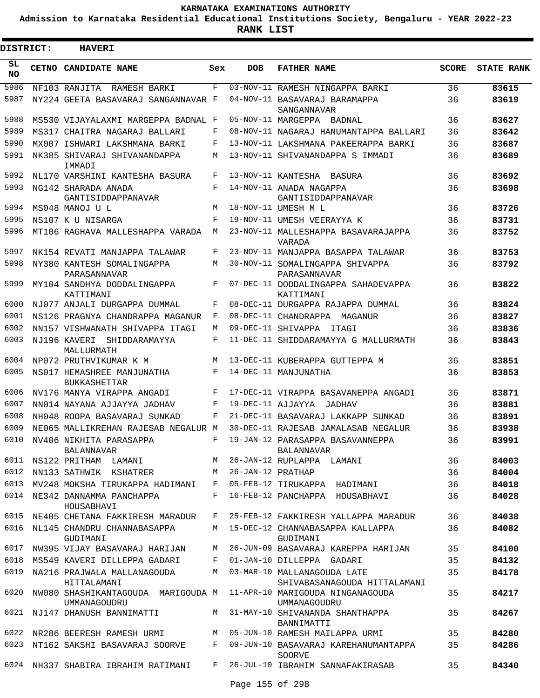**Admission to Karnataka Residential Educational Institutions Society, Bengaluru - YEAR 2022-23**

 $\blacksquare$ 

**RANK LIST**

Е

| <b>DISTRICT:</b> | <b>HAVERI</b>                                                                       |            |                   |                                                               |              |                   |
|------------------|-------------------------------------------------------------------------------------|------------|-------------------|---------------------------------------------------------------|--------------|-------------------|
| SL<br><b>NO</b>  | CETNO CANDIDATE NAME                                                                | Sex        | <b>DOB</b>        | <b>FATHER NAME</b>                                            | <b>SCORE</b> | <b>STATE RANK</b> |
| 5986             | NF103 RANJITA RAMESH BARKI                                                          | F          |                   | 03-NOV-11 RAMESH NINGAPPA BARKI                               | 36           | 83615             |
| 5987             | NY224 GEETA BASAVARAJ SANGANNAVAR F                                                 |            |                   | 04-NOV-11 BASAVARAJ BARAMAPPA<br>SANGANNAVAR                  | 36           | 83619             |
| 5988             | MS530 VIJAYALAXMI MARGEPPA BADNAL F                                                 |            |                   | 05-NOV-11 MARGEPPA BADNAL                                     | 36           | 83627             |
| 5989             | MS317 CHAITRA NAGARAJ BALLARI                                                       | F          |                   | 08-NOV-11 NAGARAJ HANUMANTAPPA BALLARI                        | 36           | 83642             |
| 5990             | MX007 ISHWARI LAKSHMANA BARKI                                                       | F          |                   | 13-NOV-11 LAKSHMANA PAKEERAPPA BARKI                          | 36           | 83687             |
| 5991             | NK385 SHIVARAJ SHIVANANDAPPA<br>IMMADI                                              | М          |                   | 13-NOV-11 SHIVANANDAPPA S IMMADI                              | 36           | 83689             |
| 5992             | NL170 VARSHINI KANTESHA BASURA                                                      | F          |                   | 13-NOV-11 KANTESHA BASURA                                     | 36           | 83692             |
| 5993             | NG142 SHARADA ANADA<br>GANTISIDDAPPANAVAR                                           | F          |                   | 14-NOV-11 ANADA NAGAPPA<br>GANTISIDDAPPANAVAR                 | 36           | 83698             |
| 5994             | MS048 MANOJ U L                                                                     | М          |                   | 18-NOV-11 UMESH M L                                           | 36           | 83726             |
| 5995             | NS107 K U NISARGA                                                                   | $_{\rm F}$ |                   | 19-NOV-11 UMESH VEERAYYA K                                    | 36           | 83731             |
| 5996             | MT106 RAGHAVA MALLESHAPPA VARADA                                                    | М          |                   | 23-NOV-11 MALLESHAPPA BASAVARAJAPPA<br><b>VARADA</b>          | 36           | 83752             |
| 5997             | NK154 REVATI MANJAPPA TALAWAR                                                       | F          |                   | 23-NOV-11 MANJAPPA BASAPPA TALAWAR                            | 36           | 83753             |
| 5998             | NY380 KANTESH SOMALINGAPPA<br>PARASANNAVAR                                          | М          |                   | 30-NOV-11 SOMALINGAPPA SHIVAPPA<br>PARASANNAVAR               | 36           | 83792             |
| 5999             | MY104 SANDHYA DODDALINGAPPA<br>KATTIMANI                                            | F          |                   | 07-DEC-11 DODDALINGAPPA SAHADEVAPPA<br>KATTIMANI              | 36           | 83822             |
| 6000             | NJ077 ANJALI DURGAPPA DUMMAL                                                        | F          |                   | 08-DEC-11 DURGAPPA RAJAPPA DUMMAL                             | 36           | 83824             |
| 6001             | NS126 PRAGNYA CHANDRAPPA MAGANUR                                                    | F          |                   | 08-DEC-11 CHANDRAPPA MAGANUR                                  | 36           | 83827             |
| 6002             | NN157 VISHWANATH SHIVAPPA ITAGI                                                     | М          |                   | 09-DEC-11 SHIVAPPA ITAGI                                      | 36           | 83836             |
| 6003             | NJ196 KAVERI<br>SHIDDARAMAYYA<br>MALLURMATH                                         | F          |                   | 11-DEC-11 SHIDDARAMAYYA G MALLURMATH                          | 36           | 83843             |
| 6004             | NP072 PRUTHVIKUMAR K M                                                              | М          |                   | 13-DEC-11 KUBERAPPA GUTTEPPA M                                | 36           | 83851             |
| 6005             | NS017 HEMASHREE MANJUNATHA<br><b>BUKKASHETTAR</b>                                   | F          |                   | 14-DEC-11 MANJUNATHA                                          | 36           | 83853             |
| 6006             | NV176 MANYA VIRAPPA ANGADI                                                          | F          |                   | 17-DEC-11 VIRAPPA BASAVANEPPA ANGADI                          | 36           | 83871             |
| 6007             | NN014 NAYANA AJJAYYA JADHAV                                                         | F          | 19-DEC-11 AJJAYYA | JADHAV                                                        | 36           | 83881             |
| 6008             | NH048 ROOPA BASAVARAJ SUNKAD                                                        | F          |                   | 21-DEC-11 BASAVARAJ LAKKAPP SUNKAD                            | 36           | 83891             |
| 6009             | NE065 MALLIKREHAN RAJESAB NEGALUR M                                                 |            |                   | 30-DEC-11 RAJESAB JAMALASAB NEGALUR                           | 36           | 83938             |
| 6010             | NV406 NIKHITA PARASAPPA<br>BALANNAVAR                                               | F          |                   | 19-JAN-12 PARASAPPA BASAVANNEPPA<br>BALANNAVAR                | 36           | 83991             |
| 6011             | NS122 PRITHAM LAMANI                                                                | M          |                   | 26-JAN-12 RUPLAPPA LAMANI                                     | 36           | 84003             |
| 6012             | NN133 SATHWIK KSHATRER                                                              | M          | 26-JAN-12 PRATHAP |                                                               | 36           | 84004             |
|                  | 6013 MV248 MOKSHA TIRUKAPPA HADIMANI                                                | F          |                   | 05-FEB-12 TIRUKAPPA HADIMANI                                  | 36           | 84018             |
|                  | 6014 NE342 DANNAMMA PANCHAPPA<br>HOUSABHAVI                                         | F          |                   | 16-FEB-12 PANCHAPPA HOUSABHAVI                                | 36           | 84028             |
|                  | 6015 NE405 CHETANA FAKKIRESH MARADUR                                                | F          |                   | 25-FEB-12 FAKKIRESH YALLAPPA MARADUR                          | 36           | 84038             |
|                  | 6016 NL145 CHANDRU CHANNABASAPPA<br>GUDIMANI                                        |            |                   | M 15-DEC-12 CHANNABASAPPA KALLAPPA<br>GUDIMANI                | 36           | 84082             |
| 6017             | NW395 VIJAY BASAVARAJ HARIJAN                                                       | M          |                   | 26-JUN-09 BASAVARAJ KAREPPA HARIJAN                           | 35           | 84100             |
| 6018             | MS549 KAVERI DILLEPPA GADARI                                                        | F          |                   | 01-JAN-10 DILLEPPA GADARI                                     | 35           | 84132             |
| 6019             | NA216 PRAJWALA MALLANAGOUDA<br>HITTALAMANI                                          |            |                   | M 03-MAR-10 MALLANAGOUDA LATE<br>SHIVABASANAGOUDA HITTALAMANI | 35           | 84178             |
| 6020             | NW080 SHASHIKANTAGOUDA MARIGOUDA M 11-APR-10 MARIGOUDA NINGANAGOUDA<br>UMMANAGOUDRU |            |                   | UMMANAGOUDRU                                                  | 35           | 84217             |
|                  | 6021 NJ147 DHANUSH BANNIMATTI                                                       |            |                   | M 31-MAY-10 SHIVANANDA SHANTHAPPA<br>BANNIMATTI               | 35           | 84267             |
|                  | 6022 NR286 BEERESH RAMESH URMI                                                      |            |                   | M 05-JUN-10 RAMESH MAILAPPA URMI                              | 35           | 84280             |
| 6023             | NT162 SAKSHI BASAVARAJ SOORVE                                                       | F          |                   | 09-JUN-10 BASAVARAJ KAREHANUMANTAPPA<br><b>SOORVE</b>         | 35           | 84286             |
|                  | 6024 NH337 SHABIRA IBRAHIM RATIMANI                                                 |            |                   | F 26-JUL-10 IBRAHIM SANNAFAKIRASAB                            | 35           | 84340             |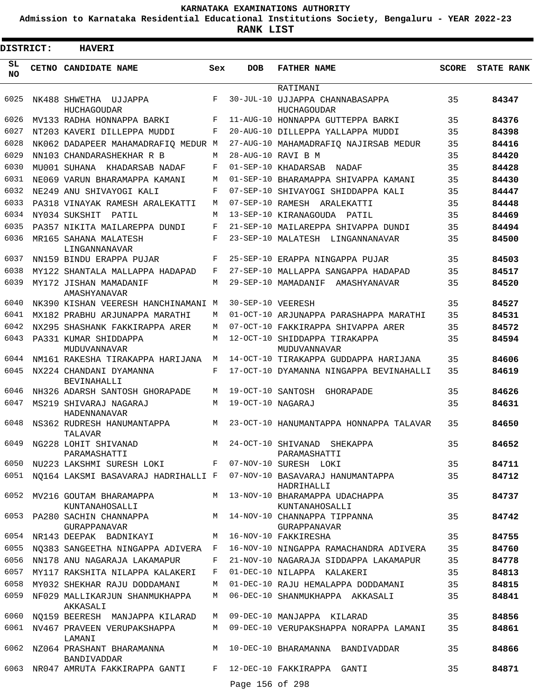**Admission to Karnataka Residential Educational Institutions Society, Bengaluru - YEAR 2022-23**

**RANK LIST**

E

| DISTRICT:       | <b>HAVERI</b>                                                   |            |                   |                                                                                         |              |                   |
|-----------------|-----------------------------------------------------------------|------------|-------------------|-----------------------------------------------------------------------------------------|--------------|-------------------|
| SL<br><b>NO</b> | CETNO CANDIDATE NAME                                            | Sex        | <b>DOB</b>        | <b>FATHER NAME</b>                                                                      | <b>SCORE</b> | <b>STATE RANK</b> |
|                 |                                                                 |            |                   | RATIMANI                                                                                |              |                   |
| 6025            | NK488 SHWETHA UJJAPPA                                           | F          |                   | 30-JUL-10 UJJAPPA CHANNABASAPPA                                                         | 35           | 84347             |
| 6026            | HUCHAGOUDAR<br>MV133 RADHA HONNAPPA BARKI                       | $_{\rm F}$ |                   | HUCHAGOUDAR<br>11-AUG-10 HONNAPPA GUTTEPPA BARKI                                        | 35           | 84376             |
| 6027            | NT203 KAVERI DILLEPPA MUDDI                                     | F          |                   | 20-AUG-10 DILLEPPA YALLAPPA MUDDI                                                       | 35           | 84398             |
| 6028            | NK062 DADAPEER MAHAMADRAFIO MEDUR M                             |            |                   | 27-AUG-10 MAHAMADRAFIO NAJIRSAB MEDUR                                                   | 35           | 84416             |
| 6029            | NN103 CHANDARASHEKHAR R B                                       | M          |                   | 28-AUG-10 RAVI B M                                                                      | 35           | 84420             |
| 6030            | MU001 SUHANA KHADARSAB NADAF                                    | F          |                   | 01-SEP-10 KHADARSAB<br>NADAF                                                            | 35           | 84428             |
| 6031            | NE069 VARUN BHARAMAPPA KAMANI                                   | M          |                   | 01-SEP-10 BHARAMAPPA SHIVAPPA KAMANI                                                    | 35           | 84430             |
| 6032            | NE249 ANU SHIVAYOGI KALI                                        | F          |                   | 07-SEP-10 SHIVAYOGI SHIDDAPPA KALI                                                      | 35           | 84447             |
| 6033            | PA318 VINAYAK RAMESH ARALEKATTI                                 | M          |                   | 07-SEP-10 RAMESH ARALEKATTI                                                             | 35           | 84448             |
| 6034            | NY034 SUKSHIT<br>PATIL                                          | M          |                   | 13-SEP-10 KIRANAGOUDA PATIL                                                             | 35           | 84469             |
| 6035            | PA357 NIKITA MAILAREPPA DUNDI                                   | F          |                   | 21-SEP-10 MAILAREPPA SHIVAPPA DUNDI                                                     | 35           | 84494             |
| 6036            | MR165 SAHANA MALATESH<br>LINGANNANAVAR                          | F          |                   | 23-SEP-10 MALATESH LINGANNANAVAR                                                        | 35           | 84500             |
| 6037            | NN159 BINDU ERAPPA PUJAR                                        | F          |                   | 25-SEP-10 ERAPPA NINGAPPA PUJAR                                                         | 35           | 84503             |
| 6038            | MY122 SHANTALA MALLAPPA HADAPAD                                 | F          |                   | 27-SEP-10 MALLAPPA SANGAPPA HADAPAD                                                     | 35           | 84517             |
| 6039            | MY172 JISHAN MAMADANIF<br>AMASHYANAVAR                          | M          |                   | 29-SEP-10 MAMADANIF AMASHYANAVAR                                                        | 35           | 84520             |
| 6040            | NK390 KISHAN VEERESH HANCHINAMANI M                             |            | 30-SEP-10 VEERESH |                                                                                         | 35           | 84527             |
| 6041            | MX182 PRABHU ARJUNAPPA MARATHI                                  | M          |                   | 01-OCT-10 ARJUNAPPA PARASHAPPA MARATHI                                                  | 35           | 84531             |
| 6042            | NX295 SHASHANK FAKKIRAPPA ARER                                  | M          |                   | 07-OCT-10 FAKKIRAPPA SHIVAPPA ARER                                                      | 35           | 84572             |
| 6043            | PA331 KUMAR SHIDDAPPA<br>MUDUVANNAVAR                           | M          |                   | 12-OCT-10 SHIDDAPPA TIRAKAPPA<br>MUDUVANNAVAR                                           | 35           | 84594             |
| 6044            | NM161 RAKESHA TIRAKAPPA HARIJANA                                | M          |                   | 14-OCT-10 TIRAKAPPA GUDDAPPA HARIJANA                                                   | 35           | 84606             |
| 6045            | NX224 CHANDANI DYAMANNA<br><b>BEVINAHALLI</b>                   | F          |                   | 17-OCT-10 DYAMANNA NINGAPPA BEVINAHALLI                                                 | 35           | 84619             |
| 6046            | NH326 ADARSH SANTOSH GHORAPADE                                  | M          | 19-OCT-10 SANTOSH | GHORAPADE                                                                               | 35           | 84626             |
| 6047            | MS219 SHIVARAJ NAGARAJ<br>HADENNANAVAR                          | М          | 19-OCT-10 NAGARAJ |                                                                                         | 35           | 84631             |
| 6048            | NS362 RUDRESH HANUMANTAPPA<br>TALAVAR                           | M          |                   | 23-OCT-10 HANUMANTAPPA HONNAPPA TALAVAR                                                 | 35           | 84650             |
| 6049            | NG228 LOHIT SHIVANAD<br>PARAMASHATTI                            |            |                   | M 24-OCT-10 SHIVANAD SHEKAPPA<br>PARAMASHATTI                                           | 35           | 84652             |
|                 | 6050 NU223 LAKSHMI SURESH LOKI F 07-NOV-10 SURESH LOKI          |            |                   |                                                                                         | 35           | 84711             |
|                 |                                                                 |            |                   | 6051 NQ164 LAKSMI BASAVARAJ HADRIHALLI F 07-NOV-10 BASAVARAJ HANUMANTAPPA<br>HADRIHALLI | 35           | 84712             |
|                 | KUNTANAHOSALLI                                                  |            |                   | 6052 MV216 GOUTAM BHARAMAPPA M 13-NOV-10 BHARAMAPPA UDACHAPPA<br>KUNTANAHOSALLI         | 35           | 84737             |
|                 | GURAPPANAVAR                                                    |            |                   | GURAPPANAVAR                                                                            | 35           | 84742             |
|                 | 6054 NR143 DEEPAK BADNIKAYI M 16-NOV-10 FAKKIRESHA              |            |                   |                                                                                         | 35           | 84755             |
|                 |                                                                 |            |                   | 6055 NO383 SANGEETHA NINGAPPA ADIVERA F 16-NOV-10 NINGAPPA RAMACHANDRA ADIVERA          | 35           | 84760             |
| 6056            | NN178 ANU NAGARAJA LAKAMAPUR                                    | $F$ and    |                   | 21-NOV-10 NAGARAJA SIDDAPPA LAKAMAPUR                                                   | 35           | 84778             |
| 6057            | MY117 RAKSHITA NILAPPA KALAKERI                                 | $F$ and    |                   | 01-DEC-10 NILAPPA KALAKERI                                                              | 35           | 84813             |
|                 | 6058 MY032 SHEKHAR RAJU DODDAMANI                               | M          |                   | 01-DEC-10 RAJU HEMALAPPA DODDAMANI                                                      | 35           | 84815             |
|                 | 6059 NF029 MALLIKARJUN SHANMUKHAPPA<br>AKKASALI                 | M          |                   | 06-DEC-10 SHANMUKHAPPA AKKASALI                                                         | 35           | 84841             |
|                 | 6060 NQ159 BEERESH MANJAPPA KILARAD                             |            |                   | M 09-DEC-10 MANJAPPA KILARAD                                                            | 35           | 84856             |
|                 | 6061 NV467 PRAVEEN VERUPAKSHAPPA<br>LAMANI                      |            |                   | M 09-DEC-10 VERUPAKSHAPPA NORAPPA LAMANI                                                | 35           | 84861             |
| 6062            | BANDIVADDAR                                                     |            |                   | NZ064 PRASHANT BHARAMANNA             M   10-DEC-10 BHARAMANNA  BANDIVADDAR             | 35           | 84866             |
|                 | 6063 NR047 AMRUTA FAKKIRAPPA GANTI F 12-DEC-10 FAKKIRAPPA GANTI |            |                   |                                                                                         | 35           | 84871             |
|                 |                                                                 |            | Page 156 of 298   |                                                                                         |              |                   |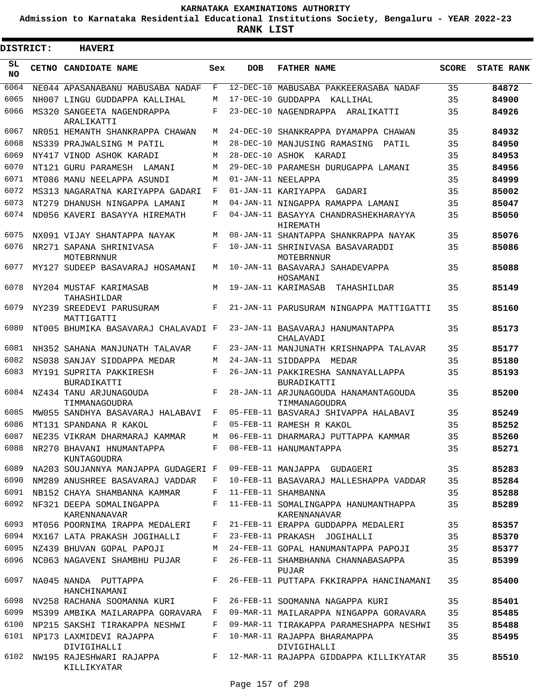**Admission to Karnataka Residential Educational Institutions Society, Bengaluru - YEAR 2022-23**

**RANK LIST**

Е

3

| <b>DISTRICT:</b> | <b>HAVERI</b>                                |     |                 |                                                                       |              |                   |
|------------------|----------------------------------------------|-----|-----------------|-----------------------------------------------------------------------|--------------|-------------------|
| SL.<br>NO.       | CETNO CANDIDATE NAME                         | Sex | <b>DOB</b>      | <b>FATHER NAME</b>                                                    | <b>SCORE</b> | <b>STATE RANK</b> |
| 6064             | NE044 APASANABANU MABUSABA NADAF             | F   | $12 - DEC - 10$ | MABUSABA PAKKEERASABA NADAF                                           | 35           | 84872             |
| 6065             | NH007 LINGU GUDDAPPA KALLIHAL                | М   | $17 - DEC - 10$ | GUDDAPPA KALLIHAL                                                     | 35           | 84900             |
| 6066             | MS320 SANGEETA NAGENDRAPPA<br>ARALIKATTI     | F   |                 | 23-DEC-10 NAGENDRAPPA ARALIKATTI                                      | 35           | 84926             |
| 6067             | NR051 HEMANTH SHANKRAPPA CHAWAN              | М   |                 | 24-DEC-10 SHANKRAPPA DYAMAPPA CHAWAN                                  | 35           | 84932             |
| 6068             | NS339 PRAJWALSING M PATIL                    | M   |                 | 28-DEC-10 MANJUSING RAMASING<br>PATIL                                 | 35           | 84950             |
| 6069             | NY417 VINOD ASHOK KARADI                     | М   |                 | 28-DEC-10 ASHOK KARADI                                                | 35           | 84953             |
| 6070             | NT121 GURU PARAMESH LAMANI                   | M   |                 | 29-DEC-10 PARAMESH DURUGAPPA LAMANI                                   | 35           | 84956             |
| 6071             | MT086 MANU NEELAPPA ASUNDI                   | М   |                 | 01-JAN-11 NEELAPPA                                                    | 35           | 84999             |
| 6072             | MS313 NAGARATNA KARIYAPPA GADARI             | F   |                 | 01-JAN-11 KARIYAPPA GADARI                                            | 35           | 85002             |
| 6073             | NT279 DHANUSH NINGAPPA LAMANI                | М   |                 | 04-JAN-11 NINGAPPA RAMAPPA LAMANI                                     | 35           | 85047             |
| 6074             | ND056 KAVERI BASAYYA HIREMATH                | F   |                 | 04-JAN-11 BASAYYA CHANDRASHEKHARAYYA<br>HIREMATH                      | 35           | 85050             |
| 6075             | NX091 VIJAY SHANTAPPA NAYAK                  | M   |                 | 08-JAN-11 SHANTAPPA SHANKRAPPA NAYAK                                  | 35           | 85076             |
| 6076             | NR271 SAPANA SHRINIVASA<br><b>MOTEBRNNUR</b> | F   |                 | 10-JAN-11 SHRINIVASA BASAVARADDI<br>MOTEBRNNUR                        | 35           | 85086             |
| 6077             | MY127 SUDEEP BASAVARAJ HOSAMANI              | М   |                 | 10-JAN-11 BASAVARAJ SAHADEVAPPA<br>HOSAMANI                           | 35           | 85088             |
| 6078             | NY204 MUSTAF KARIMASAB<br>TAHASHILDAR        | М   |                 | 19-JAN-11 KARIMASAB TAHASHILDAR                                       | 35           | 85149             |
| 6079             | NY239 SREEDEVI PARUSURAM<br>MATTIGATTI       | F   |                 | 21-JAN-11 PARUSURAM NINGAPPA MATTIGATTI                               | 35           | 85160             |
| 6080             | NT005 BHUMIKA BASAVARAJ CHALAVADI F          |     |                 | 23-JAN-11 BASAVARAJ HANUMANTAPPA<br>CHALAVADI                         | 35           | 85173             |
| 6081             | NH352 SAHANA MANJUNATH TALAVAR               | F   |                 | 23-JAN-11 MANJUNATH KRISHNAPPA TALAVAR                                | 35           | 85177             |
| 6082             | NS038 SANJAY SIDDAPPA MEDAR                  | M   |                 | 24-JAN-11 SIDDAPPA MEDAR                                              | 35           | 85180             |
| 6083             | MY191 SUPRITA PAKKIRESH<br>BURADIKATTI       | F   |                 | 26-JAN-11 PAKKIRESHA SANNAYALLAPPA<br><b>BURADIKATTI</b>              | 35           | 85193             |
| 6084             | NZ434 TANU ARJUNAGOUDA<br>TIMMANAGOUDRA      | F   |                 | 28-JAN-11 ARJUNAGOUDA HANAMANTAGOUDA<br>TIMMANAGOUDRA                 | 35           | 85200             |
| 6085             | MW055 SANDHYA BASAVARAJ HALABAVI             | F   |                 | 05-FEB-11 BASVARAJ SHIVAPPA HALABAVI                                  | 35           | 85249             |
| 6086             | MT131 SPANDANA R KAKOL                       | F   |                 | 05-FEB-11 RAMESH R KAKOL                                              | 35           | 85252             |
|                  | 6087 NE235 VIKRAM DHARMARAJ KAMMAR           |     |                 | M 06-FEB-11 DHARMARAJ PUTTAPPA KAMMAR                                 | 35           | 85260             |
| 6088             | NR270 BHAVANI HNUMANTAPPA<br>KUNTAGOUDRA     |     |                 | F 08-FEB-11 HANUMANTAPPA                                              | 35           | 85271             |
| 6089             | NA203 SOUJANNYA MANJAPPA GUDAGERI F          |     |                 | 09-FEB-11 MANJAPPA GUDAGERI                                           | 35           | 85283             |
| 6090             | NM289 ANUSHREE BASAVARAJ VADDAR              | F   |                 | 10-FEB-11 BASAVARAJ MALLESHAPPA VADDAR                                | 35           | 85284             |
| 6091             | NB152 CHAYA SHAMBANNA KAMMAR                 | F   |                 | 11-FEB-11 SHAMBANNA                                                   | 35           | 85288             |
| 6092             | NF321 DEEPA SOMALINGAPPA<br>KARENNANAVAR     | F   |                 | 11-FEB-11 SOMALINGAPPA HANUMANTHAPPA<br>KARENNANAVAR                  | 35           | 85289             |
| 6093             | MT056 POORNIMA IRAPPA MEDALERI               | F   |                 | 21-FEB-11 ERAPPA GUDDAPPA MEDALERI                                    | 35           | 85357             |
| 6094             | MX167 LATA PRAKASH JOGIHALLI                 | F   |                 | 23-FEB-11 PRAKASH JOGIHALLI                                           | 35           | 85370             |
| 6095             | NZ439 BHUVAN GOPAL PAPOJI                    | М   |                 | 24-FEB-11 GOPAL HANUMANTAPPA PAPOJI                                   | 35           | 85377             |
| 6096             | NC063 NAGAVENI SHAMBHU PUJAR                 | F   |                 | 26-FEB-11 SHAMBHANNA CHANNABASAPPA<br>PUJAR                           | 35           | 85399             |
| 6097             | NA045 NANDA PUTTAPPA<br>HANCHINAMANI         | F   |                 | 26-FEB-11 PUTTAPA FKKIRAPPA HANCINAMANI                               | 35           | 85400             |
| 6098             | NV258 RACHANA SOOMANNA KURI                  | F   |                 | 26-FEB-11 SOOMANNA NAGAPPA KURI                                       | 35           | 85401             |
| 6099             | MS399 AMBIKA MAILARAPPA GORAVARA             | F   |                 | 09-MAR-11 MAILARAPPA NINGAPPA GORAVARA                                | 35           | 85485             |
| 6100             | NP215 SAKSHI TIRAKAPPA NESHWI                | F   |                 | 09-MAR-11 TIRAKAPPA PARAMESHAPPA NESHWI                               | 35           | 85488             |
| 6101             | NP173 LAXMIDEVI RAJAPPA<br>DIVIGIHALLI       | F   |                 | 10-MAR-11 RAJAPPA BHARAMAPPA<br>DIVIGIHALLI                           | 35           | 85495             |
| 6102             | KILLIKYATAR                                  |     |                 | NW195 RAJESHWARI RAJAPPA     F 12-MAR-11 RAJAPPA GIDDAPPA KILLIKYATAR | 35           | 85510             |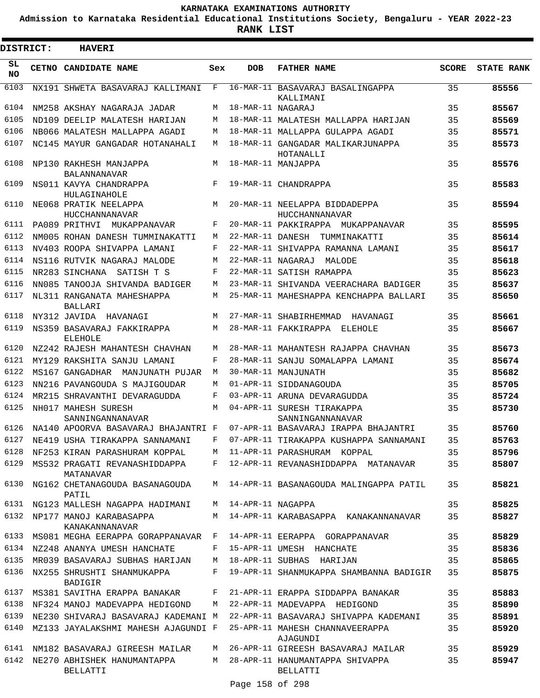**Admission to Karnataka Residential Educational Institutions Society, Bengaluru - YEAR 2022-23**

**RANK LIST**

 $\blacksquare$ 

| <b>DISTRICT:</b> | <b>HAVERI</b>                                  |              |                     |                                                 |              |                   |
|------------------|------------------------------------------------|--------------|---------------------|-------------------------------------------------|--------------|-------------------|
| SL<br><b>NO</b>  | CETNO CANDIDATE NAME                           | Sex          | <b>DOB</b>          | <b>FATHER NAME</b>                              | <b>SCORE</b> | <b>STATE RANK</b> |
| 6103             | NX191 SHWETA BASAVARAJ KALLIMANI               | $\mathbf{F}$ |                     | 16-MAR-11 BASAVARAJ BASALINGAPPA<br>KALLIMANI   | 35           | 85556             |
| 6104             | NM258 AKSHAY NAGARAJA JADAR                    | М            | 18-MAR-11 NAGARAJ   |                                                 | 35           | 85567             |
| 6105             | ND109 DEELIP MALATESH HARIJAN                  | M            |                     | 18-MAR-11 MALATESH MALLAPPA HARIJAN             | 35           | 85569             |
| 6106             | NB066 MALATESH MALLAPPA AGADI                  | М            |                     | 18-MAR-11 MALLAPPA GULAPPA AGADI                | 35           | 85571             |
| 6107             | NC145 MAYUR GANGADAR HOTANAHALI                | M            |                     | 18-MAR-11 GANGADAR MALIKARJUNAPPA<br>HOTANALLI  | 35           | 85573             |
| 6108             | NP130 RAKHESH MANJAPPA<br><b>BALANNANAVAR</b>  | M            |                     | 18-MAR-11 MANJAPPA                              | 35           | 85576             |
| 6109             | NS011 KAVYA CHANDRAPPA<br>HULAGINAHOLE         | F            |                     | 19-MAR-11 CHANDRAPPA                            | 35           | 85583             |
| 6110             | NE068 PRATIK NEELAPPA<br>HUCCHANNANAVAR        | M            |                     | 20-MAR-11 NEELAPPA BIDDADEPPA<br>HUCCHANNANAVAR | 35           | 85594             |
| 6111             | PA089 PRITHVI MUKAPPANAVAR                     | F            |                     | 20-MAR-11 PAKKIRAPPA MUKAPPANAVAR               | 35           | 85595             |
| 6112             | NM005 ROHAN DANESH TUMMINAKATTI                | М            |                     | 22-MAR-11 DANESH TUMMINAKATTI                   | 35           | 85614             |
| 6113             | NV403 ROOPA SHIVAPPA LAMANI                    | F            |                     | 22-MAR-11 SHIVAPPA RAMANNA LAMANI               | 35           | 85617             |
| 6114             | NS116 RUTVIK NAGARAJ MALODE                    | М            | 22-MAR-11 NAGARAJ   | MALODE                                          | 35           | 85618             |
| 6115             | NR283 SINCHANA SATISH T S                      | F            |                     | 22-MAR-11 SATISH RAMAPPA                        | 35           | 85623             |
| 6116             | NN085 TANOOJA SHIVANDA BADIGER                 | М            |                     | 23-MAR-11 SHIVANDA VEERACHARA BADIGER           | 35           | 85637             |
| 6117             | NL311 RANGANATA MAHESHAPPA<br><b>BALLARI</b>   | М            |                     | 25-MAR-11 MAHESHAPPA KENCHAPPA BALLARI          | 35           | 85650             |
| 6118             | NY312 JAVIDA HAVANAGI                          | М            |                     | 27-MAR-11 SHABIRHEMMAD HAVANAGI                 | 35           | 85661             |
| 6119             | NS359 BASAVARAJ FAKKIRAPPA<br><b>ELEHOLE</b>   | М            |                     | 28-MAR-11 FAKKIRAPPA ELEHOLE                    | 35           | 85667             |
| 6120             | NZ242 RAJESH MAHANTESH CHAVHAN                 | М            |                     | 28-MAR-11 MAHANTESH RAJAPPA CHAVHAN             | 35           | 85673             |
| 6121             | MY129 RAKSHITA SANJU LAMANI                    | F            |                     | 28-MAR-11 SANJU SOMALAPPA LAMANI                | 35           | 85674             |
| 6122             | MS167 GANGADHAR MANJUNATH PUJAR                | М            |                     | 30-MAR-11 MANJUNATH                             | 35           | 85682             |
| 6123             | NN216 PAVANGOUDA S MAJIGOUDAR                  | М            |                     | 01-APR-11 SIDDANAGOUDA                          | 35           | 85705             |
| 6124             | MR215 SHRAVANTHI DEVARAGUDDA                   | F            |                     | 03-APR-11 ARUNA DEVARAGUDDA                     | 35           | 85724             |
| 6125             | NH017 MAHESH SURESH<br>SANNINGANNANAVAR        | M            |                     | 04-APR-11 SURESH TIRAKAPPA<br>SANNINGANNANAVAR  | 35           | 85730             |
| 6126             | NA140 APOORVA BASAVARAJ BHAJANTRI F            |              |                     | 07-APR-11 BASAVARAJ IRAPPA BHAJANTRI            | 35           | 85760             |
|                  | 6127 NE419 USHA TIRAKAPPA SANNAMANI            | $\mathbf{F}$ |                     | 07-APR-11 TIRAKAPPA KUSHAPPA SANNAMANI          | 35           | 85763             |
| 6128             | NF253 KIRAN PARASHURAM KOPPAL                  |              |                     | M 11-APR-11 PARASHURAM KOPPAL                   | 35           | 85796             |
| 6129             | MS532 PRAGATI REVANASHIDDAPPA<br>MATANAVAR     | F            |                     | 12-APR-11 REVANASHIDDAPPA MATANAVAR             | 35           | 85807             |
| 6130             | NG162 CHETANAGOUDA BASANAGOUDA<br>PATIL        |              |                     | M 14-APR-11 BASANAGOUDA MALINGAPPA PATIL        | 35           | 85821             |
| 6131             | NG123 MALLESH NAGAPPA HADIMANI                 |              | M 14-APR-11 NAGAPPA |                                                 | 35           | 85825             |
| 6132             | NP177 MANOJ KARABASAPPA<br>KANAKANNANAVAR      | M            |                     | 14-APR-11 KARABASAPPA KANAKANNANAVAR            | 35           | 85827             |
| 6133             | MS081 MEGHA EERAPPA GORAPPANAVAR               | F            |                     | 14-APR-11 EERAPPA GORAPPANAVAR                  | 35           | 85829             |
| 6134             | NZ248 ANANYA UMESH HANCHATE                    | F            |                     | 15-APR-11 UMESH HANCHATE                        | 35           | 85836             |
| 6135             | MR039 BASAVARAJ SUBHAS HARIJAN                 | M            |                     | 18-APR-11 SUBHAS HARIJAN                        | 35           | 85865             |
| 6136             | NX255 SHRUSHTI SHANMUKAPPA<br>BADIGIR          | F            |                     | 19-APR-11 SHANMUKAPPA SHAMBANNA BADIGIR         | 35           | 85875             |
| 6137             | MS381 SAVITHA ERAPPA BANAKAR                   | F            |                     | 21-APR-11 ERAPPA SIDDAPPA BANAKAR               | 35           | 85883             |
|                  | 6138 NF324 MANOJ MADEVAPPA HEDIGOND            | M            |                     | 22-APR-11 MADEVAPPA HEDIGOND                    | 35           | 85890             |
| 6139             | NE230 SHIVARAJ BASAVARAJ KADEMANI M            |              |                     | 22-APR-11 BASAVARAJ SHIVAPPA KADEMANI           | 35           | 85891             |
| 6140             | MZ133 JAYALAKSHMI MAHESH AJAGUNDI F            |              |                     | 25-APR-11 MAHESH CHANNAVEERAPPA<br>AJAGUNDI     | 35           | 85920             |
| 6141             | NM182 BASAVARAJ GIREESH MAILAR                 | М            |                     | 26-APR-11 GIREESH BASAVARAJ MAILAR              | 35           | 85929             |
| 6142             | NE270 ABHISHEK HANUMANTAPPA<br><b>BELLATTI</b> | M            |                     | 28-APR-11 HANUMANTAPPA SHIVAPPA<br>BELLATTI     | 35           | 85947             |
|                  |                                                |              |                     |                                                 |              |                   |

Page 158 of 298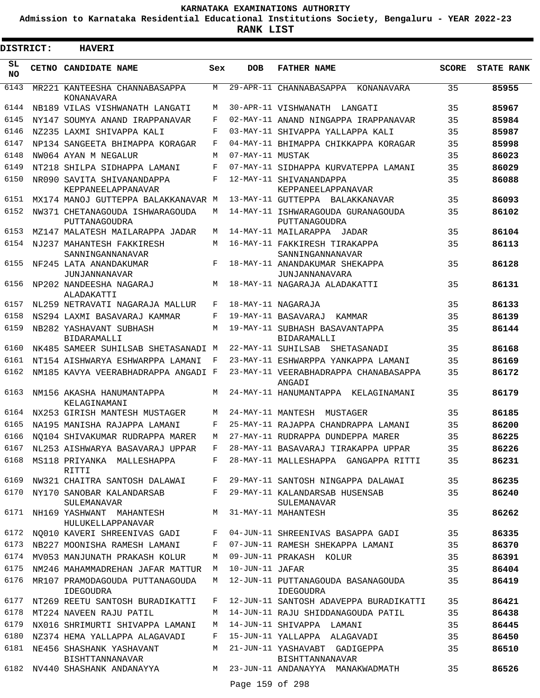**Admission to Karnataka Residential Educational Institutions Society, Bengaluru - YEAR 2022-23**

| <b>DISTRICT:</b> | <b>HAVERI</b>                                                                    |            |                   |                                                      |              |                   |
|------------------|----------------------------------------------------------------------------------|------------|-------------------|------------------------------------------------------|--------------|-------------------|
| SL<br><b>NO</b>  | CETNO CANDIDATE NAME                                                             | Sex        | <b>DOB</b>        | <b>FATHER NAME</b>                                   | <b>SCORE</b> | <b>STATE RANK</b> |
| 6143             | MR221 KANTEESHA CHANNABASAPPA<br>KONANAVARA                                      | M          |                   | 29-APR-11 CHANNABASAPPA KONANAVARA                   | 35           | 85955             |
| 6144             | NB189 VILAS VISHWANATH LANGATI                                                   | M          |                   | 30-APR-11 VISHWANATH LANGATI                         | 35           | 85967             |
| 6145             | NY147 SOUMYA ANAND IRAPPANAVAR                                                   | F          |                   | 02-MAY-11 ANAND NINGAPPA IRAPPANAVAR                 | 35           | 85984             |
| 6146             | NZ235 LAXMI SHIVAPPA KALI                                                        | F          |                   | 03-MAY-11 SHIVAPPA YALLAPPA KALI                     | 35           | 85987             |
| 6147             | NP134 SANGEETA BHIMAPPA KORAGAR                                                  | F          |                   | 04-MAY-11 BHIMAPPA CHIKKAPPA KORAGAR                 | 35           | 85998             |
| 6148             | NW064 AYAN M NEGALUR                                                             | M          | 07-MAY-11 MUSTAK  |                                                      | 35           | 86023             |
| 6149             | NT218 SHILPA SIDHAPPA LAMANI                                                     | $_{\rm F}$ |                   | 07-MAY-11 SIDHAPPA KURVATEPPA LAMANI                 | 35           | 86029             |
| 6150             | NR090 SAVITA SHIVANANDAPPA<br>KEPPANEELAPPANAVAR                                 | F          |                   | 12-MAY-11 SHIVANANDAPPA<br>KEPPANEELAPPANAVAR        | 35           | 86088             |
| 6151             | MX174 MANOJ GUTTEPPA BALAKKANAVAR M                                              |            |                   | 13-MAY-11 GUTTEPPA BALAKKANAVAR                      | 35           | 86093             |
| 6152             | NW371 CHETANAGOUDA ISHWARAGOUDA<br>PUTTANAGOUDRA                                 | М          |                   | 14-MAY-11 ISHWARAGOUDA GURANAGOUDA<br>PUTTANAGOUDRA  | 35           | 86102             |
| 6153             | MZ147 MALATESH MAILARAPPA JADAR                                                  | М          |                   | 14-MAY-11 MAILARAPPA JADAR                           | 35           | 86104             |
| 6154             | NJ237 MAHANTESH FAKKIRESH<br>SANNINGANNANAVAR                                    | М          |                   | 16-MAY-11 FAKKIRESH TIRAKAPPA<br>SANNINGANNANAVAR    | 35           | 86113             |
| 6155             | NF245 LATA ANANDAKUMAR<br>JUNJANNANAVAR                                          | F          |                   | 18-MAY-11 ANANDAKUMAR SHEKAPPA<br>JUNJANNANAVARA     | 35           | 86128             |
| 6156             | NP202 NANDEESHA NAGARAJ<br>ALADAKATTI                                            | M          |                   | 18-MAY-11 NAGARAJA ALADAKATTI                        | 35           | 86131             |
| 6157             | NL259 NETRAVATI NAGARAJA MALLUR                                                  | F          |                   | 18-MAY-11 NAGARAJA                                   | 35           | 86133             |
| 6158             | NS294 LAXMI BASAVARAJ KAMMAR                                                     | F          |                   | 19-MAY-11 BASAVARAJ KAMMAR                           | 35           | 86139             |
| 6159             | NB282 YASHAVANT SUBHASH<br><b>BIDARAMALLI</b>                                    | М          |                   | 19-MAY-11 SUBHASH BASAVANTAPPA<br><b>BIDARAMALLI</b> | 35           | 86144             |
| 6160             | NK485 SAMEER SUHILSAB SHETASANADI M                                              |            |                   | 22-MAY-11 SUHILSAB SHETASANADI                       | 35           | 86168             |
| 6161             | NT154 AISHWARYA ESHWARPPA LAMANI                                                 | F          |                   | 23-MAY-11 ESHWARPPA YANKAPPA LAMANI                  | 35           | 86169             |
| 6162             | NM185 KAVYA VEERABHADRAPPA ANGADI F                                              |            |                   | 23-MAY-11 VEERABHADRAPPA CHANABASAPPA<br>ANGADI      | 35           | 86172             |
| 6163             | NM156 AKASHA HANUMANTAPPA<br>KELAGINAMANI                                        | М          |                   | 24-MAY-11 HANUMANTAPPA KELAGINAMANI                  | 35           | 86179             |
| 6164             | NX253 GIRISH MANTESH MUSTAGER                                                    | М          | 24-MAY-11 MANTESH | MUSTAGER                                             | 35           | 86185             |
| 6165             | NA195 MANISHA RAJAPPA LAMANI                                                     | F          |                   | 25-MAY-11 RAJAPPA CHANDRAPPA LAMANI                  | 35           | 86200             |
| 6166             | NO104 SHIVAKUMAR RUDRAPPA MARER                                                  | М          |                   | 27-MAY-11 RUDRAPPA DUNDEPPA MARER                    | 35           | 86225             |
| 6167<br>6168     | NL253 AISHWARYA BASAVARAJ UPPAR<br>MS118 PRIYANKA MALLESHAPPA                    | F          |                   | 28-MAY-11 BASAVARAJ TIRAKAPPA UPPAR                  | 35           | 86226             |
|                  | RITTI                                                                            | F          |                   | 28-MAY-11 MALLESHAPPA GANGAPPA RITTI                 | 35           | 86231             |
| 6169             | NW321 CHAITRA SANTOSH DALAWAI                                                    | F          |                   | 29-MAY-11 SANTOSH NINGAPPA DALAWAI                   | 35           | 86235             |
| 6170             | NY170 SANOBAR KALANDARSAB<br><b>SULEMANAVAR</b><br>6171 NH169 YASHWANT MAHANTESH | F          |                   | 29-MAY-11 KALANDARSAB HUSENSAB<br>SULEMANAVAR        | 35           | 86240             |
|                  | HULUKELLAPPANAVAR                                                                | M          |                   | 31-MAY-11 MAHANTESH                                  | 35           | 86262             |
| 6172             | NQ010 KAVERI SHREENIVAS GADI                                                     | $_{\rm F}$ |                   | 04-JUN-11 SHREENIVAS BASAPPA GADI                    | 35           | 86335             |
| 6173             | NB227 MOONISHA RAMESH LAMANI                                                     | F          |                   | 07-JUN-11 RAMESH SHEKAPPA LAMANI                     | 35           | 86370             |
|                  | 6174 MV053 MANJUNATH PRAKASH KOLUR                                               | M          |                   | 09-JUN-11 PRAKASH KOLUR                              | 35           | 86391             |
| 6175             | NM246 MAHAMMADREHAN JAFAR MATTUR                                                 | M          | 10-JUN-11 JAFAR   |                                                      | 35           | 86404             |
| 6176             | MR107 PRAMODAGOUDA PUTTANAGOUDA<br>IDEGOUDRA                                     | М          |                   | 12-JUN-11 PUTTANAGOUDA BASANAGOUDA<br>IDEGOUDRA      | 35           | 86419             |
| 6177             | NT269 REETU SANTOSH BURADIKATTI                                                  | F          |                   | 12-JUN-11 SANTOSH ADAVEPPA BURADIKATTI               | 35           | 86421             |
| 6178             | MT224 NAVEEN RAJU PATIL                                                          | М          |                   | 14-JUN-11 RAJU SHIDDANAGOUDA PATIL                   | 35           | 86438             |
| 6179             | NX016 SHRIMURTI SHIVAPPA LAMANI                                                  | М          |                   | 14-JUN-11 SHIVAPPA LAMANI                            | 35           | 86445             |
| 6180<br>6181     | NZ374 HEMA YALLAPPA ALAGAVADI                                                    | F          |                   | 15-JUN-11 YALLAPPA ALAGAVADI                         | 35           | 86450             |
|                  | NE456 SHASHANK YASHAVANT<br><b>BISHTTANNANAVAR</b>                               | М          |                   | 21-JUN-11 YASHAVABT GADIGEPPA<br>BISHTTANNANAVAR     | 35           | 86510             |
|                  | 6182 NV440 SHASHANK ANDANAYYA                                                    |            | Page 159 of 298   | M 23-JUN-11 ANDANAYYA MANAKWADMATH                   | 35           | 86526             |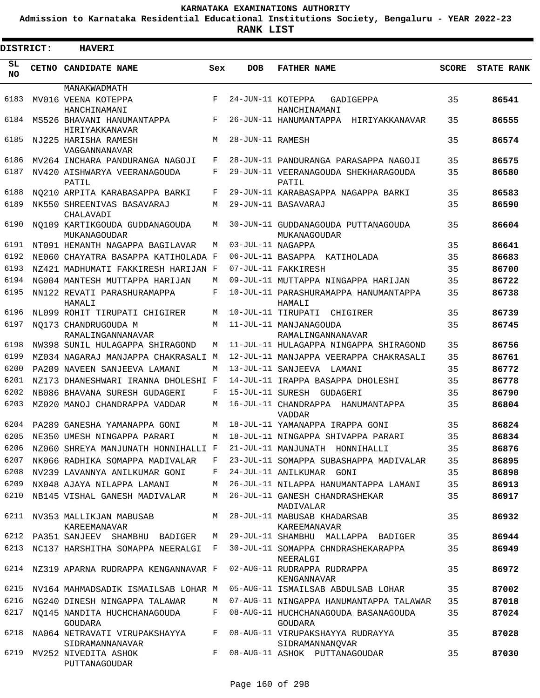**Admission to Karnataka Residential Educational Institutions Society, Bengaluru - YEAR 2022-23**

| DISTRICT:       |  | <b>HAVERI</b>                                    |     |                   |                                                     |              |                   |
|-----------------|--|--------------------------------------------------|-----|-------------------|-----------------------------------------------------|--------------|-------------------|
| SL<br><b>NO</b> |  | CETNO CANDIDATE NAME                             | Sex | <b>DOB</b>        | <b>FATHER NAME</b>                                  | <b>SCORE</b> | <b>STATE RANK</b> |
|                 |  | MANAKWADMATH                                     |     |                   |                                                     |              |                   |
| 6183            |  | MV016 VEENA KOTEPPA<br>HANCHINAMANI              | F   | 24-JUN-11 KOTEPPA | GADIGEPPA<br>HANCHINAMANI                           | 35           | 86541             |
| 6184            |  | MS526 BHAVANI HANUMANTAPPA<br>HIRIYAKKANAVAR     | F   |                   | 26-JUN-11 HANUMANTAPPA<br>HIRIYAKKANAVAR            | 35           | 86555             |
| 6185            |  | NJ225 HARISHA RAMESH<br>VAGGANNANAVAR            | М   | 28-JUN-11 RAMESH  |                                                     | 35           | 86574             |
| 6186            |  | MV264 INCHARA PANDURANGA NAGOJI                  | F   |                   | 28-JUN-11 PANDURANGA PARASAPPA NAGOJI               | 35           | 86575             |
| 6187            |  | NV420 AISHWARYA VEERANAGOUDA<br>PATIL            | F   |                   | 29-JUN-11 VEERANAGOUDA SHEKHARAGOUDA<br>PATIL       | 35           | 86580             |
| 6188            |  | NO210 ARPITA KARABASAPPA BARKI                   | F   |                   | 29-JUN-11 KARABASAPPA NAGAPPA BARKI                 | 35           | 86583             |
| 6189            |  | NK550 SHREENIVAS BASAVARAJ<br>CHALAVADI          | М   |                   | 29-JUN-11 BASAVARAJ                                 | 35           | 86590             |
| 6190            |  | NO109 KARTIKGOUDA GUDDANAGOUDA<br>MUKANAGOUDAR   | М   |                   | 30-JUN-11 GUDDANAGOUDA PUTTANAGOUDA<br>MUKANAGOUDAR | 35           | 86604             |
| 6191            |  | NT091 HEMANTH NAGAPPA BAGILAVAR                  | М   | 03-JUL-11 NAGAPPA |                                                     | 35           | 86641             |
| 6192            |  | NE060 CHAYATRA BASAPPA KATIHOLADA F              |     | 06-JUL-11 BASAPPA | KATIHOLADA                                          | 35           | 86683             |
| 6193            |  | NZ421 MADHUMATI FAKKIRESH HARIJAN F              |     |                   | 07-JUL-11 FAKKIRESH                                 | 35           | 86700             |
| 6194            |  | NG004 MANTESH MUTTAPPA HARIJAN                   | M   |                   | 09-JUL-11 MUTTAPPA NINGAPPA HARIJAN                 | 35           | 86722             |
| 6195            |  | NN122 REVATI PARASHURAMAPPA<br>HAMALI            | F   |                   | 10-JUL-11 PARASHURAMAPPA HANUMANTAPPA<br>HAMALI     | 35           | 86738             |
| 6196            |  | NL099 ROHIT TIRUPATI CHIGIRER                    | М   |                   | 10-JUL-11 TIRUPATI<br>CHIGIRER                      | 35           | 86739             |
| 6197            |  | NO173 CHANDRUGOUDA M<br>RAMALINGANNANAVAR        | M   |                   | 11-JUL-11 MANJANAGOUDA<br>RAMALINGANNANAVAR         | 35           | 86745             |
| 6198            |  | NW398 SUNIL HULAGAPPA SHIRAGOND                  | М   |                   | 11-JUL-11 HULAGAPPA NINGAPPA SHIRAGOND              | 35           | 86756             |
| 6199            |  | MZ034 NAGARAJ MANJAPPA CHAKRASALI M              |     |                   | 12-JUL-11 MANJAPPA VEERAPPA CHAKRASALI              | 35           | 86761             |
| 6200            |  | PA209 NAVEEN SANJEEVA LAMANI                     | М   |                   | 13-JUL-11 SANJEEVA LAMANI                           | 35           | 86772             |
| 6201            |  | NZ173 DHANESHWARI IRANNA DHOLESHI F              |     |                   | 14-JUL-11 IRAPPA BASAPPA DHOLESHI                   | 35           | 86778             |
| 6202            |  | NB086 BHAVANA SURESH GUDAGERI                    | F   |                   | 15-JUL-11 SURESH GUDAGERI                           | 35           | 86790             |
| 6203            |  | MZ020 MANOJ CHANDRAPPA VADDAR                    | M   |                   | 16-JUL-11 CHANDRAPPA HANUMANTAPPA<br>VADDAR         | 35           | 86804             |
| 6204            |  | PA289 GANESHA YAMANAPPA GONI                     | М   |                   | 18-JUL-11 YAMANAPPA IRAPPA GONI                     | 35           | 86824             |
| 6205            |  | NE350 UMESH NINGAPPA PARARI                      | М   |                   | 18-JUL-11 NINGAPPA SHIVAPPA PARARI                  | 35           | 86834             |
| 6206            |  | NZ060 SHREYA MANJUNATH HONNIHALLI F              |     |                   | 21-JUL-11 MANJUNATH HONNIHALLI                      | 35           | 86876             |
| 6207            |  | NK066 RADHIKA SOMAPPA MADIVALAR                  | F   |                   | 23-JUL-11 SOMAPPA SUBASHAPPA MADIVALAR              | 35           | 86895             |
| 6208            |  | NV239 LAVANNYA ANILKUMAR GONI                    | F   |                   | 24-JUL-11 ANILKUMAR GONI                            | 35           | 86898             |
| 6209            |  | NX048 AJAYA NILAPPA LAMANI                       | М   |                   | 26-JUL-11 NILAPPA HANUMANTAPPA LAMANI               | 35           | 86913             |
| 6210            |  | NB145 VISHAL GANESH MADIVALAR                    | М   |                   | 26-JUL-11 GANESH CHANDRASHEKAR<br>MADIVALAR         | 35           | 86917             |
| 6211            |  | NV353 MALLIKJAN MABUSAB<br>KAREEMANAVAR          | М   |                   | 28-JUL-11 MABUSAB KHADARSAB<br>KAREEMANAVAR         | 35           | 86932             |
| 6212            |  | PA351 SANJEEV SHAMBHU BADIGER                    | М   |                   | 29-JUL-11 SHAMBHU MALLAPPA BADIGER                  | 35           | 86944             |
| 6213            |  | NC137 HARSHITHA SOMAPPA NEERALGI                 | F   |                   | 30-JUL-11 SOMAPPA CHNDRASHEKARAPPA<br>NEERALGI      | 35           | 86949             |
| 6214            |  | NZ319 APARNA RUDRAPPA KENGANNAVAR F              |     |                   | 02-AUG-11 RUDRAPPA RUDRAPPA<br>KENGANNAVAR          | 35           | 86972             |
| 6215            |  | NV164 MAHMADSADIK ISMAILSAB LOHAR M              |     |                   | 05-AUG-11 ISMAILSAB ABDULSAB LOHAR                  | 35           | 87002             |
| 6216            |  | NG240 DINESH NINGAPPA TALAWAR                    | М   |                   | 07-AUG-11 NINGAPPA HANUMANTAPPA TALAWAR             | 35           | 87018             |
| 6217            |  | NO145 NANDITA HUCHCHANAGOUDA<br><b>GOUDARA</b>   | F   |                   | 08-AUG-11 HUCHCHANAGOUDA BASANAGOUDA<br>GOUDARA     | 35           | 87024             |
| 6218            |  | NA064 NETRAVATI VIRUPAKSHAYYA<br>SIDRAMANNANAVAR | F   |                   | 08-AUG-11 VIRUPAKSHAYYA RUDRAYYA<br>SIDRAMANNANQVAR | 35           | 87028             |
| 6219            |  | MV252 NIVEDITA ASHOK<br>PUTTANAGOUDAR            | F   |                   | 08-AUG-11 ASHOK PUTTANAGOUDAR                       | 35           | 87030             |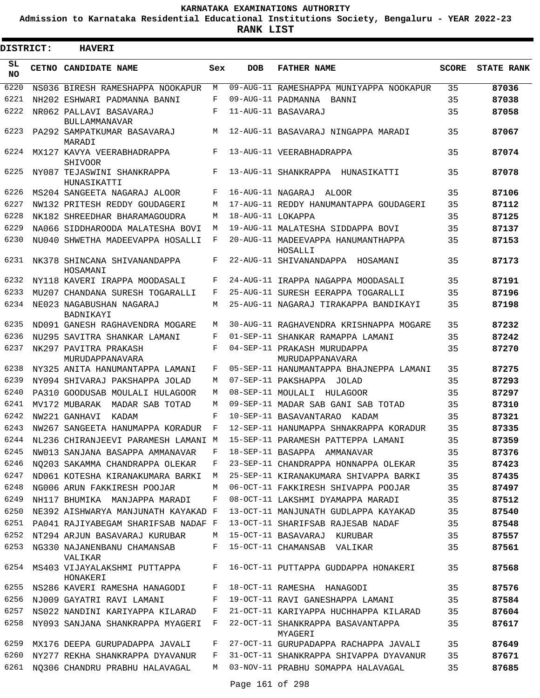**Admission to Karnataka Residential Educational Institutions Society, Bengaluru - YEAR 2022-23**

| <b>DISTRICT:</b> | <b>HAVERI</b>                                                               |        |                   |                                                            |              |                   |
|------------------|-----------------------------------------------------------------------------|--------|-------------------|------------------------------------------------------------|--------------|-------------------|
| SL<br><b>NO</b>  | CETNO CANDIDATE NAME                                                        | Sex    | <b>DOB</b>        | <b>FATHER NAME</b>                                         | <b>SCORE</b> | <b>STATE RANK</b> |
| 6220             | NS036 BIRESH RAMESHAPPA NOOKAPUR                                            | M      |                   | 09-AUG-11 RAMESHAPPA MUNIYAPPA NOOKAPUR                    | 35           | 87036             |
| 6221             | NH202 ESHWARI PADMANNA BANNI                                                | F      |                   | 09-AUG-11 PADMANNA BANNI                                   | 35           | 87038             |
| 6222             | NR062 PALLAVI BASAVARAJ<br><b>BULLAMMANAVAR</b>                             | F      |                   | 11-AUG-11 BASAVARAJ                                        | 35           | 87058             |
| 6223             | PA292 SAMPATKUMAR BASAVARAJ<br>MARADI                                       | М      |                   | 12-AUG-11 BASAVARAJ NINGAPPA MARADI                        | 35           | 87067             |
| 6224             | MX127 KAVYA VEERABHADRAPPA<br><b>SHIVOOR</b>                                | F      |                   | 13-AUG-11 VEERABHADRAPPA                                   | 35           | 87074             |
| 6225             | NY087 TEJASWINI SHANKRAPPA<br>HUNASIKATTI                                   | F      |                   | 13-AUG-11 SHANKRAPPA HUNASIKATTI                           | 35           | 87078             |
| 6226             | MS204 SANGEETA NAGARAJ ALOOR                                                | F      | 16-AUG-11 NAGARAJ | ALOOR                                                      | 35           | 87106             |
| 6227             | NW132 PRITESH REDDY GOUDAGERI                                               | М      |                   | 17-AUG-11 REDDY HANUMANTAPPA GOUDAGERI                     | 35           | 87112             |
| 6228             | NK182 SHREEDHAR BHARAMAGOUDRA                                               | М      | 18-AUG-11 LOKAPPA |                                                            | 35           | 87125             |
| 6229             | NA066 SIDDHAROODA MALATESHA BOVI                                            | М      |                   | 19-AUG-11 MALATESHA SIDDAPPA BOVI                          | 35           | 87137             |
| 6230             | NU040 SHWETHA MADEEVAPPA HOSALLI                                            | F      |                   | 20-AUG-11 MADEEVAPPA HANUMANTHAPPA<br>HOSALLI              | 35           | 87153             |
| 6231             | NK378 SHINCANA SHIVANANDAPPA<br>HOSAMANI                                    | F      |                   | 22-AUG-11 SHIVANANDAPPA HOSAMANI                           | 35           | 87173             |
| 6232             | NY118 KAVERI IRAPPA MOODASALI                                               | F      |                   | 24-AUG-11 IRAPPA NAGAPPA MOODASALI                         | 35           | 87191             |
| 6233             | MU207 CHANDANA SURESH TOGARALLI                                             | F      |                   | 25-AUG-11 SURESH EERAPPA TOGARALLI                         | 35           | 87196             |
| 6234             | NE023 NAGABUSHAN NAGARAJ<br>BADNIKAYI                                       | М      |                   | 25-AUG-11 NAGARAJ TIRAKAPPA BANDIKAYI                      | 35           | 87198             |
| 6235             | ND091 GANESH RAGHAVENDRA MOGARE                                             | М      |                   | 30-AUG-11 RAGHAVENDRA KRISHNAPPA MOGARE                    | 35           | 87232             |
| 6236             | NU295 SAVITRA SHANKAR LAMANI                                                | F      |                   | 01-SEP-11 SHANKAR RAMAPPA LAMANI                           | 35           | 87242             |
| 6237             | NK297 PAVITRA PRAKASH<br>MURUDAPPANAVARA                                    | F      |                   | 04-SEP-11 PRAKASH MURUDAPPA<br>MURUDAPPANAVARA             | 35           | 87270             |
| 6238             | NY325 ANITA HANUMANTAPPA LAMANI                                             | F      |                   | 05-SEP-11 HANUMANTAPPA BHAJNEPPA LAMANI                    | 35           | 87275             |
| 6239             | NY094 SHIVARAJ PAKSHAPPA JOLAD                                              | М      |                   | 07-SEP-11 PAKSHAPPA JOLAD                                  | 35           | 87293             |
| 6240             | PA310 GOODUSAB MOULALI HULAGOOR                                             | М      |                   | 08-SEP-11 MOULALI HULAGOOR                                 | 35           | 87297             |
| 6241             | MV172 MUBARAK MADAR SAB TOTAD                                               | М      |                   | 09-SEP-11 MADAR SAB GANI SAB TOTAD                         | 35           | 87310             |
| 6242             | NW221 GANHAVI<br>KADAM                                                      | F      |                   | 10-SEP-11 BASAVANTARAO<br>KADAM                            | 35           | 87321             |
| 6243             | NW267 SANGEETA HANUMAPPA KORADUR                                            | F      |                   | 12-SEP-11 HANUMAPPA SHNAKRAPPA KORADUR                     | 35           | 87335             |
|                  | 6244 NL236 CHIRANJEEVI PARAMESH LAMANI M 15-SEP-11 PARAMESH PATTEPPA LAMANI |        |                   |                                                            | 35           | 87359             |
| 6245             | NW013 SANJANA BASAPPA AMMANAVAR                                             | F      |                   | 18-SEP-11 BASAPPA AMMANAVAR                                | 35           | 87376             |
| 6246             | NQ203 SAKAMMA CHANDRAPPA OLEKAR                                             | F      |                   | 23-SEP-11 CHANDRAPPA HONNAPPA OLEKAR                       | 35           | 87423             |
| 6247             | ND061 KOTESHA KIRANAKUMARA BARKI                                            | M      |                   | 25-SEP-11 KIRANAKUMARA SHIVAPPA BARKI                      | 35           | 87435             |
| 6248             | NG006 ARUN FAKKIRESH POOJAR                                                 | М      |                   | 06-OCT-11 FAKKIRESH SHIVAPPA POOJAR                        | 35           | 87497             |
| 6249             | NH117 BHUMIKA MANJAPPA MARADI                                               | F      |                   | 08-OCT-11 LAKSHMI DYAMAPPA MARADI                          | 35           | 87512             |
| 6250             | NE392 AISHWARYA MANJUNATH KAYAKAD F                                         |        |                   | 13-OCT-11 MANJUNATH GUDLAPPA KAYAKAD                       | 35           | 87540             |
|                  | 6251 PA041 RAJIYABEGAM SHARIFSAB NADAF F                                    |        |                   | 13-OCT-11 SHARIFSAB RAJESAB NADAF                          | 35           | 87548             |
| 6252<br>6253     | NT294 ARJUN BASAVARAJ KURUBAR<br>NG330 NAJANENBANU CHAMANSAB                | М<br>F |                   | 15-OCT-11 BASAVARAJ KURUBAR<br>15-OCT-11 CHAMANSAB VALIKAR | 35<br>35     | 87557<br>87561    |
| 6254             | VALIKAR<br>MS403 VIJAYALAKSHMI PUTTAPPA                                     | F      |                   | 16-OCT-11 PUTTAPPA GUDDAPPA HONAKERI                       | 35           | 87568             |
|                  | HONAKERI                                                                    |        |                   |                                                            |              |                   |
| 6255             | NS286 KAVERI RAMESHA HANAGODI                                               | F      |                   | 18-OCT-11 RAMESHA HANAGODI                                 | 35           | 87576             |
| 6256             | NJ009 GAYATRI RAVI LAMANI                                                   | F      |                   | 19-OCT-11 RAVI GANESHAPPA LAMANI                           | 35           | 87584             |
| 6257             | NS022 NANDINI KARIYAPPA KILARAD                                             | F      |                   | 21-OCT-11 KARIYAPPA HUCHHAPPA KILARAD                      | 35           | 87604             |
| 6258             | NY093 SANJANA SHANKRAPPA MYAGERI                                            | F      |                   | 22-OCT-11 SHANKRAPPA BASAVANTAPPA<br>MYAGERI               | 35           | 87617             |
| 6259             | MX176 DEEPA GURUPADAPPA JAVALI                                              | F      |                   | 27-OCT-11 GURUPADAPPA RACHAPPA JAVALI                      | 35           | 87649             |
| 6260             | NY277 REKHA SHANKRAPPA DYAVANUR                                             | F      |                   | 31-OCT-11 SHANKRAPPA SHIVAPPA DYAVANUR                     | 35           | 87671             |
| 6261             | NQ306 CHANDRU PRABHU HALAVAGAL                                              | M      |                   | 03-NOV-11 PRABHU SOMAPPA HALAVAGAL                         | 35           | 87685             |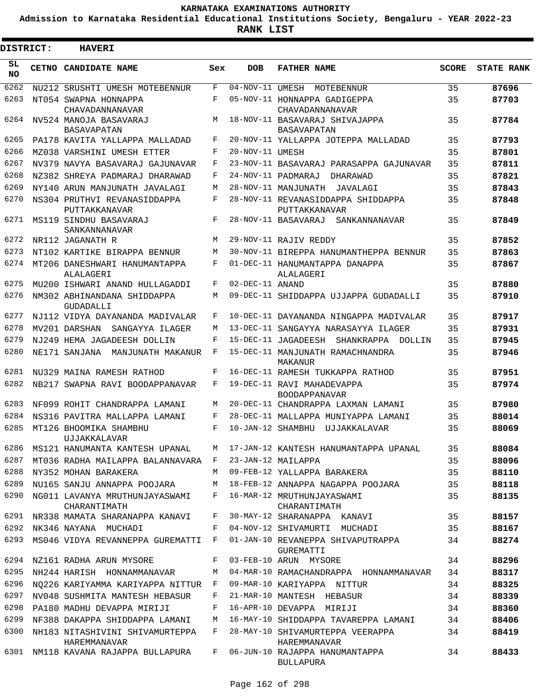**Admission to Karnataka Residential Educational Institutions Society, Bengaluru - YEAR 2022-23**

| <b>DISTRICT:</b> | <b>HAVERI</b>                                   |              |                               |                                                      |              |                   |
|------------------|-------------------------------------------------|--------------|-------------------------------|------------------------------------------------------|--------------|-------------------|
| SL<br><b>NO</b>  | CETNO CANDIDATE NAME                            | Sex          | <b>DOB</b>                    | <b>FATHER NAME</b>                                   | <b>SCORE</b> | <b>STATE RANK</b> |
| 6262             | NU212 SRUSHTI UMESH MOTEBENNUR                  | F            | $\overline{04}$ -NOV-11 UMESH | MOTEBENNUR                                           | 35           | 87696             |
| 6263             | NT054 SWAPNA HONNAPPA<br>CHAVADANNANAVAR        | F            |                               | 05-NOV-11 HONNAPPA GADIGEPPA<br>CHAVADANNANAVAR      | 35           | 87703             |
| 6264             | NV524 MANOJA BASAVARAJ<br><b>BASAVAPATAN</b>    | M            |                               | 18-NOV-11 BASAVARAJ SHIVAJAPPA<br><b>BASAVAPATAN</b> | 35           | 87784             |
| 6265             | PA178 KAVITA YALLAPPA MALLADAD                  | F            |                               | 20-NOV-11 YALLAPPA JOTEPPA MALLADAD                  | 35           | 87793             |
| 6266             | MZ038 VARSHINI UMESH ETTER                      | F            | 20-NOV-11 UMESH               |                                                      | 35           | 87801             |
| 6267             | NV379 NAVYA BASAVARAJ GAJUNAVAR                 | F            |                               | 23-NOV-11 BASAVARAJ PARASAPPA GAJUNAVAR              | 35           | 87811             |
| 6268             | NZ382 SHREYA PADMARAJ DHARAWAD                  | F            |                               | 24-NOV-11 PADMARAJ<br>DHARAWAD                       | 35           | 87821             |
| 6269             | NY140 ARUN MANJUNATH JAVALAGI                   | M            |                               | 28-NOV-11 MANJUNATH<br>JAVALAGI                      | 35           | 87843             |
| 6270             | NS304 PRUTHVI REVANASIDDAPPA<br>PUTTAKKANAVAR   | F            |                               | 28-NOV-11 REVANASIDDAPPA SHIDDAPPA<br>PUTTAKKANAVAR  | 35           | 87848             |
| 6271             | MS119 SINDHU BASAVARAJ<br>SANKANNANAVAR         | F            |                               | 28-NOV-11 BASAVARAJ<br>SANKANNANAVAR                 | 35           | 87849             |
| 6272             | NR112 JAGANATH R                                | M            |                               | 29-NOV-11 RAJIV REDDY                                | 35           | 87852             |
| 6273             | NT102 KARTIKE BIRAPPA BENNUR                    | M            |                               | 30-NOV-11 BIREPPA HANUMANTHEPPA BENNUR               | 35           | 87863             |
| 6274             | MT206 DANESHWARI HANUMANTAPPA<br>ALALAGERI      | F            |                               | 01-DEC-11 HANUMANTAPPA DANAPPA<br>ALALAGERI          | 35           | 87867             |
| 6275             | MU200 ISHWARI ANAND HULLAGADDI                  | F            | 02-DEC-11 ANAND               |                                                      | 35           | 87880             |
| 6276             | NM302 ABHINANDANA SHIDDAPPA<br>GUDADALLI        | M            |                               | 09-DEC-11 SHIDDAPPA UJJAPPA GUDADALLI                | 35           | 87910             |
| 6277             | NJ112 VIDYA DAYANANDA MADIVALAR                 | F            |                               | 10-DEC-11 DAYANANDA NINGAPPA MADIVALAR               | 35           | 87917             |
| 6278             | MV201 DARSHAN<br>SANGAYYA ILAGER                | M            |                               | 13-DEC-11 SANGAYYA NARASAYYA ILAGER                  | 35           | 87931             |
| 6279             | NJ249 HEMA JAGADEESH DOLLIN                     | F            |                               | 15-DEC-11 JAGADEESH SHANKRAPPA DOLLIN                | 35           | 87945             |
| 6280             | NE171 SANJANA MANJUNATH MAKANUR                 | F            |                               | 15-DEC-11 MANJUNATH RAMACHNANDRA<br>MAKANUR          | 35           | 87946             |
| 6281             | NU329 MAINA RAMESH RATHOD                       | F            |                               | 16-DEC-11 RAMESH TUKKAPPA RATHOD                     | 35           | 87951             |
| 6282             | NB217 SWAPNA RAVI BOODAPPANAVAR                 | F            |                               | 19-DEC-11 RAVI MAHADEVAPPA<br><b>BOODAPPANAVAR</b>   | 35           | 87974             |
| 6283             | NF099 ROHIT CHANDRAPPA LAMANI                   | M            |                               | 20-DEC-11 CHANDRAPPA LAXMAN LAMANI                   | 35           | 87980             |
| 6284             | NS316 PAVITRA MALLAPPA LAMANI                   | F            |                               | 28-DEC-11 MALLAPPA MUNIYAPPA LAMANI                  | 35           | 88014             |
| 6285             | MT126 BHOOMIKA SHAMBHU<br>UJJAKKALAVAR          | F            | 10-JAN-12 SHAMBHU             | UJJAKKALAVAR                                         | 35           | 88069             |
| 6286             | MS121 HANUMANTA KANTESH UPANAL                  | M            |                               | 17-JAN-12 KANTESH HANUMANTAPPA UPANAL                | 35           | 88084             |
| 6287             | MT036 RADHA MAILAPPA BALANNAVARA                | $\mathbf{F}$ |                               | 23-JAN-12 MAILAPPA                                   | 35           | 88096             |
| 6288             | NY352 MOHAN BARAKERA                            | M            |                               | 09-FEB-12 YALLAPPA BARAKERA                          | 35           | 88110             |
| 6289             | NU165 SANJU ANNAPPA POOJARA                     | M            |                               | 18-FEB-12 ANNAPPA NAGAPPA POOJARA                    | 35           | 88118             |
| 6290             | NG011 LAVANYA MRUTHUNJAYASWAMI<br>CHARANTIMATH  | F            |                               | 16-MAR-12 MRUTHUNJAYASWAMI<br>CHARANTIMATH           | 35           | 88135             |
| 6291             | NR338 MAMATA SHARANAPPA KANAVI                  | F            |                               | 30-MAY-12 SHARANAPPA KANAVI                          | 35           | 88157             |
| 6292             | NK346 NAYANA MUCHADI                            | F            |                               | 04-NOV-12 SHIVAMURTI MUCHADI                         | 35           | 88167             |
| 6293             | MS046 VIDYA REVANNEPPA GUREMATTI                | F            |                               | 01-JAN-10 REVANEPPA SHIVAPUTRAPPA<br>GUREMATTI       | 34           | 88274             |
| 6294             | NZ161 RADHA ARUN MYSORE                         | F            |                               | 03-FEB-10 ARUN MYSORE                                | 34           | 88296             |
| 6295             | NH244 HARISH HONNAMMANAVAR                      | М            |                               | 04-MAR-10 RAMACHANDRAPPA HONNAMMANAVAR               | 34           | 88317             |
| 6296             | NO226 KARIYAMMA KARIYAPPA NITTUR                | F            |                               | 09-MAR-10 KARIYAPPA NITTUR                           | 34           | 88325             |
| 6297             | NV048 SUSHMITA MANTESH HEBASUR                  | F            |                               | 21-MAR-10 MANTESH HEBASUR                            | 34           | 88339             |
| 6298             | PA180 MADHU DEVAPPA MIRIJI                      | F            |                               | 16-APR-10 DEVAPPA MIRIJI                             | 34           | 88360             |
| 6299             | NF388 DAKAPPA SHIDDAPPA LAMANI                  | M            |                               | 16-MAY-10 SHIDDAPPA TAVAREPPA LAMANI                 | 34           | 88406             |
| 6300             | NH183 NITASHIVINI SHIVAMURTEPPA<br>HAREMMANAVAR | F            |                               | 28-MAY-10 SHIVAMURTEPPA VEERAPPA<br>HAREMMANAVAR     | 34           | 88419             |
| 6301             | NM118 KAVANA RAJAPPA BULLAPURA                  | $F$ –        |                               | 06-JUN-10 RAJAPPA HANUMANTAPPA<br><b>BULLAPURA</b>   | 34           | 88433             |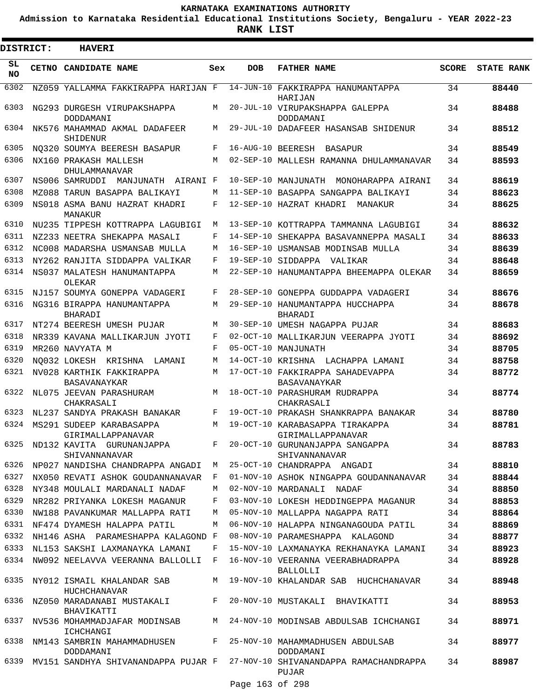**Admission to Karnataka Residential Educational Institutions Society, Bengaluru - YEAR 2022-23**

| <b>DISTRICT:</b> | <b>HAVERI</b>                                                               |     |                   |                                                                                          |              |                   |
|------------------|-----------------------------------------------------------------------------|-----|-------------------|------------------------------------------------------------------------------------------|--------------|-------------------|
| SL<br><b>NO</b>  | CETNO CANDIDATE NAME                                                        | Sex | <b>DOB</b>        | <b>FATHER NAME</b>                                                                       | <b>SCORE</b> | <b>STATE RANK</b> |
| 6302             | NZ059 YALLAMMA FAKKIRAPPA HARIJAN F                                         |     |                   | 14-JUN-10 FAKKIRAPPA HANUMANTAPPA<br>HARIJAN                                             | 34           | 88440             |
| 6303             | NG293 DURGESH VIRUPAKSHAPPA<br>DODDAMANI                                    | М   |                   | 20-JUL-10 VIRUPAKSHAPPA GALEPPA<br>DODDAMANI                                             | 34           | 88488             |
| 6304             | NK576 MAHAMMAD AKMAL DADAFEER<br>SHIDENUR                                   | М   |                   | 29-JUL-10 DADAFEER HASANSAB SHIDENUR                                                     | 34           | 88512             |
| 6305             | NO320 SOUMYA BEERESH BASAPUR                                                | F   | 16-AUG-10 BEERESH | BASAPUR                                                                                  | 34           | 88549             |
| 6306             | NX160 PRAKASH MALLESH<br>DHULAMMANAVAR                                      | М   |                   | 02-SEP-10 MALLESH RAMANNA DHULAMMANAVAR                                                  | 34           | 88593             |
| 6307             | NS006 SAMRUDDI MANJUNATH AIRANI F                                           |     |                   | 10-SEP-10 MANJUNATH MONOHARAPPA AIRANI                                                   | 34           | 88619             |
| 6308             | MZ088 TARUN BASAPPA BALIKAYI                                                | М   |                   | 11-SEP-10 BASAPPA SANGAPPA BALIKAYI                                                      | 34           | 88623             |
| 6309             | NS018 ASMA BANU HAZRAT KHADRI<br>MANAKUR                                    | F   |                   | 12-SEP-10 HAZRAT KHADRI<br>MANAKUR                                                       | 34           | 88625             |
| 6310             | NU235 TIPPESH KOTTRAPPA LAGUBIGI                                            | М   |                   | 13-SEP-10 KOTTRAPPA TAMMANNA LAGUBIGI                                                    | 34           | 88632             |
| 6311             | NZ233 NEETRA SHEKAPPA MASALI                                                | F   |                   | 14-SEP-10 SHEKAPPA BASAVANNEPPA MASALI                                                   | 34           | 88633             |
| 6312             | NC008 MADARSHA USMANSAB MULLA                                               | М   |                   | 16-SEP-10 USMANSAB MODINSAB MULLA                                                        | 34           | 88639             |
| 6313             | NY262 RANJITA SIDDAPPA VALIKAR                                              | F   |                   | 19-SEP-10 SIDDAPPA VALIKAR                                                               | 34           | 88648             |
| 6314             | NS037 MALATESH HANUMANTAPPA<br>OLEKAR                                       | М   |                   | 22-SEP-10 HANUMANTAPPA BHEEMAPPA OLEKAR                                                  | 34           | 88659             |
| 6315             | NJ157 SOUMYA GONEPPA VADAGERI                                               | F   |                   | 28-SEP-10 GONEPPA GUDDAPPA VADAGERI                                                      | 34           | 88676             |
| 6316             | NG316 BIRAPPA HANUMANTAPPA<br><b>BHARADI</b>                                | М   |                   | 29-SEP-10 HANUMANTAPPA HUCCHAPPA<br>BHARADI                                              | 34           | 88678             |
| 6317             | NT274 BEERESH UMESH PUJAR                                                   | М   |                   | 30-SEP-10 UMESH NAGAPPA PUJAR                                                            | 34           | 88683             |
| 6318             | NR339 KAVANA MALLIKARJUN JYOTI                                              | F   |                   | 02-OCT-10 MALLIKARJUN VEERAPPA JYOTI                                                     | 34           | 88692             |
| 6319             | MR260 NAVYATA M                                                             | F   |                   | 05-OCT-10 MANJUNATH                                                                      | 34           | 88705             |
| 6320             | NO032 LOKESH KRISHNA LAMANI                                                 | М   |                   | 14-OCT-10 KRISHNA LACHAPPA LAMANI                                                        | 34           | 88758             |
| 6321             | NV028 KARTHIK FAKKIRAPPA<br>BASAVANAYKAR                                    | М   |                   | 17-OCT-10 FAKKIRAPPA SAHADEVAPPA<br>BASAVANAYKAR                                         | 34           | 88772             |
| 6322             | NL075 JEEVAN PARASHURAM<br>CHAKRASALI                                       | М   |                   | 18-OCT-10 PARASHURAM RUDRAPPA<br>CHAKRASALI                                              | 34           | 88774             |
| 6323             | NL237 SANDYA PRAKASH BANAKAR                                                | F   |                   | 19-OCT-10 PRAKASH SHANKRAPPA BANAKAR                                                     | 34           | 88780             |
| 6324             | MS291 SUDEEP KARABASAPPA<br>GIRIMALLAPPANAVAR                               | М   |                   | 19-OCT-10 KARABASAPPA TIRAKAPPA<br>GIRIMALLAPPANAVAR                                     | 34           | 88781             |
| 6325             | ND132 KAVITA GURUNANJAPPA<br>SHIVANNANAVAR                                  | F   |                   | 20-OCT-10 GURUNANJAPPA SANGAPPA<br>SHIVANNANAVAR                                         | 34           | 88783             |
| 6326             | NP027 NANDISHA CHANDRAPPA ANGADI M                                          |     |                   | 25-OCT-10 CHANDRAPPA ANGADI                                                              | 34           | 88810             |
| 6327             | NX050 REVATI ASHOK GOUDANNANAVAR F                                          |     |                   | 01-NOV-10 ASHOK NINGAPPA GOUDANNANAVAR                                                   | 34           | 88844             |
| 6328             | NY348 MOULALI MARDANALI NADAF                                               | М   |                   | 02-NOV-10 MARDANALI NADAF                                                                | 34           | 88850             |
| 6329             | NR282 PRIYANKA LOKESH MAGANUR                                               | F   |                   | 03-NOV-10 LOKESH HEDDINGEPPA MAGANUR                                                     | 34           | 88853             |
| 6330             | NW188 PAVANKUMAR MALLAPPA RATI                                              | M   |                   | 05-NOV-10 MALLAPPA NAGAPPA RATI                                                          | 34           | 88864             |
|                  | 6331 NF474 DYAMESH HALAPPA PATIL                                            | M   |                   | 06-NOV-10 HALAPPA NINGANAGOUDA PATIL                                                     | 34           | 88869             |
| 6332             | NH146 ASHA PARAMESHAPPA KALAGOND F                                          |     |                   | 08-NOV-10 PARAMESHAPPA KALAGOND                                                          | 34           | 88877             |
| 6333             | NL153 SAKSHI LAXMANAYKA LAMANI                                              | F   |                   | 15-NOV-10 LAXMANAYKA REKHANAYKA LAMANI                                                   | 34           | 88923             |
|                  | 6334 NW092 NEELAVVA VEERANNA BALLOLLI F                                     |     |                   | 16-NOV-10 VEERANNA VEERABHADRAPPA<br>BALLOLLI                                            | 34           | 88928             |
|                  | 6335 NY012 ISMAIL KHALANDAR SAB<br>HUCHCHANAVAR                             |     |                   | M 19-NOV-10 KHALANDAR SAB HUCHCHANAVAR                                                   | 34           | 88948             |
| 6336             | NZ050 MARADANABI MUSTAKALI<br>BHAVIKATTI                                    | F   |                   | 20-NOV-10 MUSTAKALI BHAVIKATTI                                                           | 34           | 88953             |
| 6337             | NV536 MOHAMMADJAFAR MODINSAB<br>ICHCHANGI                                   |     |                   | M 24-NOV-10 MODINSAB ABDULSAB ICHCHANGI                                                  | 34           | 88971             |
| 6338             | NM143 SAMBRIN MAHAMMADHUSEN F 25-NOV-10 MAHAMMADHUSEN ABDULSAB<br>DODDAMANI |     |                   | DODDAMANI                                                                                | 34           | 88977             |
|                  |                                                                             |     |                   | 6339 MV151 SANDHYA SHIVANANDAPPA PUJAR F 27-NOV-10 SHIVANANDAPPA RAMACHANDRAPPA<br>PUJAR | 34           | 88987             |
|                  |                                                                             |     | Page 163 of 298   |                                                                                          |              |                   |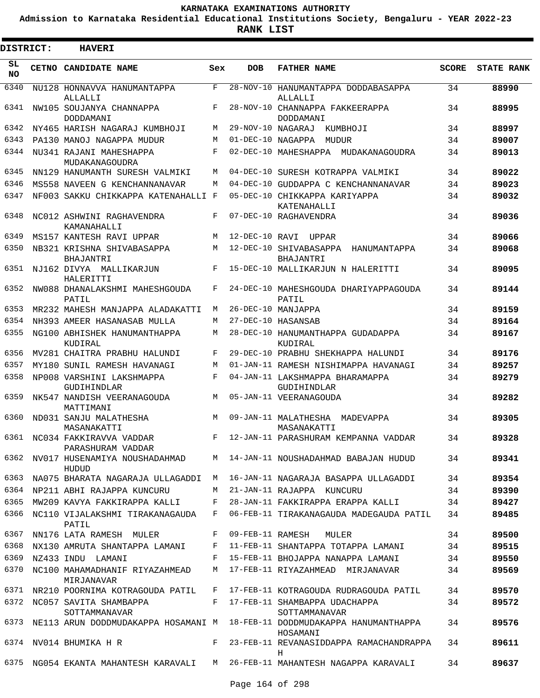**Admission to Karnataka Residential Educational Institutions Society, Bengaluru - YEAR 2022-23**

**RANK LIST**

Е

 $\blacksquare$ 

| DISTRICT:       |              | <b>HAVERI</b>                                                          |              |                   |                                                     |              |                   |
|-----------------|--------------|------------------------------------------------------------------------|--------------|-------------------|-----------------------------------------------------|--------------|-------------------|
| SL<br><b>NO</b> | <b>CETNO</b> | <b>CANDIDATE NAME</b>                                                  | Sex          | <b>DOB</b>        | <b>FATHER NAME</b>                                  | <b>SCORE</b> | <b>STATE RANK</b> |
| 6340            |              | NU128 HONNAVVA HANUMANTAPPA<br>ALLALLI                                 | $\mathbf{F}$ |                   | 28-NOV-10 HANUMANTAPPA DODDABASAPPA<br>ALLALLI      | 34           | 88990             |
| 6341            |              | NW105 SOUJANYA CHANNAPPA<br>DODDAMANI                                  | F            |                   | 28-NOV-10 CHANNAPPA FAKKEERAPPA<br>DODDAMANI        | 34           | 88995             |
| 6342            |              | NY465 HARISH NAGARAJ KUMBHOJI                                          | M            | 29-NOV-10 NAGARAJ | KUMBHOJI                                            | 34           | 88997             |
| 6343            |              | PA130 MANOJ NAGAPPA MUDUR                                              | M            |                   | 01-DEC-10 NAGAPPA MUDUR                             | 34           | 89007             |
| 6344            |              | NU341 RAJANI MAHESHAPPA<br>MUDAKANAGOUDRA                              | F            |                   | 02-DEC-10 MAHESHAPPA MUDAKANAGOUDRA                 | 34           | 89013             |
| 6345            |              | NN129 HANUMANTH SURESH VALMIKI                                         | M            |                   | 04-DEC-10 SURESH KOTRAPPA VALMIKI                   | 34           | 89022             |
| 6346            |              | MS558 NAVEEN G KENCHANNANAVAR                                          | М            |                   | 04-DEC-10 GUDDAPPA C KENCHANNANAVAR                 | 34           | 89023             |
| 6347            |              | NF003 SAKKU CHIKKAPPA KATENAHALLI F                                    |              |                   | 05-DEC-10 CHIKKAPPA KARIYAPPA<br>KATENAHALLI        | 34           | 89032             |
| 6348            |              | NC012 ASHWINI RAGHAVENDRA<br>KAMANAHALLI                               | F            |                   | 07-DEC-10 RAGHAVENDRA                               | 34           | 89036             |
| 6349            |              | MS157 KANTESH RAVI UPPAR                                               | M            | 12-DEC-10 RAVI    | UPPAR                                               | 34           | 89066             |
| 6350            |              | NB321 KRISHNA SHIVABASAPPA<br><b>BHAJANTRI</b>                         | M            |                   | 12-DEC-10 SHIVABASAPPA<br>HANUMANTAPPA<br>BHAJANTRI | 34           | 89068             |
| 6351            |              | NJ162 DIVYA MALLIKARJUN<br>HALERITTI                                   | F            |                   | 15-DEC-10 MALLIKARJUN N HALERITTI                   | 34           | 89095             |
| 6352            |              | NW088 DHANALAKSHMI MAHESHGOUDA<br>PATIL                                | F            |                   | 24-DEC-10 MAHESHGOUDA DHARIYAPPAGOUDA<br>PATIL      | 34           | 89144             |
| 6353            |              | MR232 MAHESH MANJAPPA ALADAKATTI                                       | М            |                   | 26-DEC-10 MANJAPPA                                  | 34           | 89159             |
| 6354            |              | NH393 AMEER HASANASAB MULLA                                            | М            |                   | 27-DEC-10 HASANSAB                                  | 34           | 89164             |
| 6355            |              | NG100 ABHISHEK HANUMANTHAPPA<br>KUDIRAL                                | M            |                   | 28-DEC-10 HANUMANTHAPPA GUDADAPPA<br>KUDIRAL        | 34           | 89167             |
| 6356            |              | MV281 CHAITRA PRABHU HALUNDI                                           | F            |                   | 29-DEC-10 PRABHU SHEKHAPPA HALUNDI                  | 34           | 89176             |
| 6357            |              | MY180 SUNIL RAMESH HAVANAGI                                            | M            |                   | 01-JAN-11 RAMESH NISHIMAPPA HAVANAGI                | 34           | 89257             |
| 6358            |              | NP008 VARSHINI LAKSHMAPPA<br>GUDIHINDLAR                               | F            |                   | 04-JAN-11 LAKSHMAPPA BHARAMAPPA<br>GUDIHINDLAR      | 34           | 89279             |
| 6359            |              | NK547 NANDISH VEERANAGOUDA<br>MATTIMANI                                | M            |                   | 05-JAN-11 VEERANAGOUDA                              | 34           | 89282             |
| 6360            |              | ND031 SANJU MALATHESHA<br>MASANAKATTI                                  | M            |                   | 09-JAN-11 MALATHESHA MADEVAPPA<br>MASANAKATTI       | 34           | 89305             |
|                 |              | 6361 NC034 FAKKIRAVVA VADDAR<br>PARASHURAM VADDAR                      |              |                   | F 12-JAN-11 PARASHURAM KEMPANNA VADDAR              | 34           | 89328             |
|                 |              | 6362 NV017 HUSENAMIYA NOUSHADAHMAD<br>HUDUD                            |              |                   | M 14-JAN-11 NOUSHADAHMAD BABAJAN HUDUD              | 34           | 89341             |
| 6363            |              | NA075 BHARATA NAGARAJA ULLAGADDI                                       | M            |                   | 16-JAN-11 NAGARAJA BASAPPA ULLAGADDI                | 34           | 89354             |
| 6364            |              | NP211 ABHI RAJAPPA KUNCURU                                             | M            |                   | 21-JAN-11 RAJAPPA KUNCURU                           | 34           | 89390             |
| 6365            |              | MW209 KAVYA FAKKIRAPPA KALLI                                           | F            |                   | 28-JAN-11 FAKKIRAPPA ERAPPA KALLI                   | 34           | 89427             |
| 6366            |              | NC110 VIJALAKSHMI TIRAKANAGAUDA<br>PATIL                               | F            |                   | 06-FEB-11 TIRAKANAGAUDA MADEGAUDA PATIL             | 34           | 89485             |
| 6367            |              | NN176 LATA RAMESH MULER                                                | F            |                   | 09-FEB-11 RAMESH MULER                              | 34           | 89500             |
| 6368            |              | NX130 AMRUTA SHANTAPPA LAMANI                                          | F            |                   | 11-FEB-11 SHANTAPPA TOTAPPA LAMANI                  | 34           | 89515             |
| 6369            |              | NZ433 INDU LAMANI                                                      | F            |                   | 15-FEB-11 BHOJAPPA NANAPPA LAMANI                   | 34           | 89550             |
| 6370            |              | NC100 MAHAMADHANIF RIYAZAHMEAD<br>MIRJANAVAR                           | M            |                   | 17-FEB-11 RIYAZAHMEAD MIRJANAVAR                    | 34           | 89569             |
| 6371            |              | NR210 POORNIMA KOTRAGOUDA PATIL                                        | F            |                   | 17-FEB-11 KOTRAGOUDA RUDRAGOUDA PATIL               | 34           | 89570             |
| 6372            |              | NC057 SAVITA SHAMBAPPA<br>SOTTAMMANAVAR                                | F            |                   | 17-FEB-11 SHAMBAPPA UDACHAPPA<br>SOTTAMMANAVAR      | 34           | 89572             |
| 6373            |              | NE113 ARUN DODDMUDAKAPPA HOSAMANI M                                    |              |                   | 18-FEB-11 DODDMUDAKAPPA HANUMANTHAPPA<br>HOSAMANI   | 34           | 89576             |
| 6374            |              | NV014 BHUMIKA H R                                                      | F            |                   | 23-FEB-11 REVANASIDDAPPA RAMACHANDRAPPA<br>Н        | 34           | 89611             |
| 6375            |              | NG054 EKANTA MAHANTESH KARAVALI M 26-FEB-11 MAHANTESH NAGAPPA KARAVALI |              |                   |                                                     | 34           | 89637             |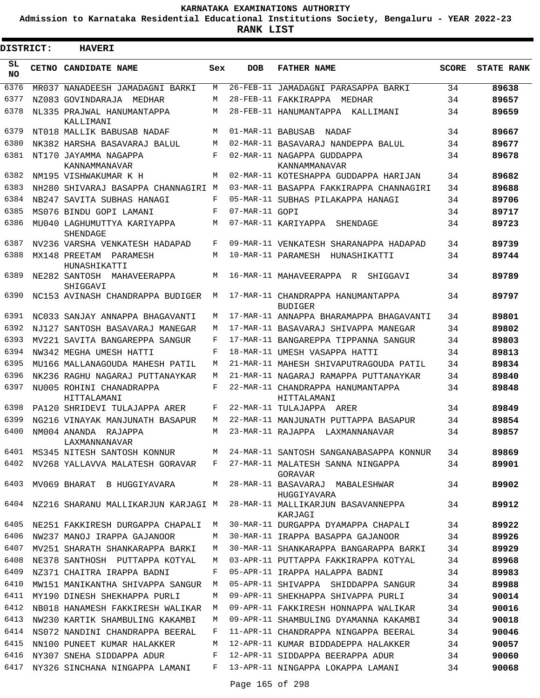**Admission to Karnataka Residential Educational Institutions Society, Bengaluru - YEAR 2022-23**

**RANK LIST**

Е

 $\blacksquare$ 

| <b>DISTRICT:</b> |  | <b>HAVERI</b>                                  |     |                |                                                  |              |                   |
|------------------|--|------------------------------------------------|-----|----------------|--------------------------------------------------|--------------|-------------------|
| SL<br>NO.        |  | CETNO CANDIDATE NAME                           | Sex | DOB            | <b>FATHER NAME</b>                               | <b>SCORE</b> | <b>STATE RANK</b> |
| 6376             |  | MR037 NANADEESH JAMADAGNI BARKI                | M   |                | 26-FEB-11 JAMADAGNI PARASAPPA BARKI              | 34           | 89638             |
| 6377             |  | NZ083 GOVINDARAJA MEDHAR                       | M   |                | 28-FEB-11 FAKKIRAPPA MEDHAR                      | 34           | 89657             |
| 6378             |  | NL335 PRAJWAL HANUMANTAPPA<br>KALLIMANI        | М   |                | 28-FEB-11 HANUMANTAPPA KALLIMANI                 | 34           | 89659             |
| 6379             |  | NT018 MALLIK BABUSAB NADAF                     | M   |                | 01-MAR-11 BABUSAB NADAF                          | 34           | 89667             |
| 6380             |  | NK382 HARSHA BASAVARAJ BALUL                   | M   |                | 02-MAR-11 BASAVARAJ NANDEPPA BALUL               | 34           | 89677             |
| 6381             |  | NT170 JAYAMMA NAGAPPA<br>KANNAMMANAVAR         | F   |                | 02-MAR-11 NAGAPPA GUDDAPPA<br>KANNAMMANAVAR      | 34           | 89678             |
| 6382             |  | NM195 VISHWAKUMAR K H                          | М   |                | 02-MAR-11 KOTESHAPPA GUDDAPPA HARIJAN            | 34           | 89682             |
| 6383             |  | NH280 SHIVARAJ BASAPPA CHANNAGIRI M            |     |                | 03-MAR-11 BASAPPA FAKKIRAPPA CHANNAGIRI          | 34           | 89688             |
| 6384             |  | NB247 SAVITA SUBHAS HANAGI                     | F   |                | 05-MAR-11 SUBHAS PILAKAPPA HANAGI                | 34           | 89706             |
| 6385             |  | MS076 BINDU GOPI LAMANI                        | F   | 07-MAR-11 GOPI |                                                  | 34           | 89717             |
| 6386             |  | MU040 LAGHUMUTTYA KARIYAPPA<br><b>SHENDAGE</b> | М   |                | 07-MAR-11 KARIYAPPA SHENDAGE                     | 34           | 89723             |
| 6387             |  | NV236 VARSHA VENKATESH HADAPAD                 | F   |                | 09-MAR-11 VENKATESH SHARANAPPA HADAPAD           | 34           | 89739             |
| 6388             |  | MX148 PREETAM PARAMESH<br>HUNASHIKATTI         | М   |                | 10-MAR-11 PARAMESH HUNASHIKATTI                  | 34           | 89744             |
| 6389             |  | NE282 SANTOSH MAHAVEERAPPA<br>SHIGGAVI         | M   |                | 16-MAR-11 MAHAVEERAPPA R SHIGGAVI                | 34           | 89789             |
| 6390             |  | NC153 AVINASH CHANDRAPPA BUDIGER               | М   |                | 17-MAR-11 CHANDRAPPA HANUMANTAPPA<br>BUDIGER     | 34           | 89797             |
| 6391             |  | NC033 SANJAY ANNAPPA BHAGAVANTI                | М   |                | 17-MAR-11 ANNAPPA BHARAMAPPA BHAGAVANTI          | 34           | 89801             |
| 6392             |  | NJ127 SANTOSH BASAVARAJ MANEGAR                | М   |                | 17-MAR-11 BASAVARAJ SHIVAPPA MANEGAR             | 34           | 89802             |
| 6393             |  | MV221 SAVITA BANGAREPPA SANGUR                 | F   |                | 17-MAR-11 BANGAREPPA TIPPANNA SANGUR             | 34           | 89803             |
| 6394             |  | NW342 MEGHA UMESH HATTI                        | F   |                | 18-MAR-11 UMESH VASAPPA HATTI                    | 34           | 89813             |
| 6395             |  | MU166 MALLANAGOUDA MAHESH PATIL                | M   |                | 21-MAR-11 MAHESH SHIVAPUTRAGOUDA PATIL           | 34           | 89834             |
| 6396             |  | NK236 RAGHU NAGARAJ PUTTANAYKAR                | M   |                | 21-MAR-11 NAGARAJ RAMAPPA PUTTANAYKAR            | 34           | 89840             |
| 6397             |  | NU005 ROHINI CHANADRAPPA<br>HITTALAMANI        | F   |                | 22-MAR-11 CHANDRAPPA HANUMANTAPPA<br>HITTALAMANI | 34           | 89848             |
| 6398             |  | PA120 SHRIDEVI TULAJAPPA ARER                  | F   |                | 22-MAR-11 TULAJAPPA ARER                         | 34           | 89849             |
| 6399             |  | NG216 VINAYAK MANJUNATH BASAPUR                | M   |                | 22-MAR-11 MANJUNATH PUTTAPPA BASAPUR             | 34           | 89854             |
| 6400             |  | NM004 ANANDA RAJAPPA<br>LAXMANNANAVAR          | M   |                | 23-MAR-11 RAJAPPA LAXMANNANAVAR                  | 34           | 89857             |
| 6401             |  | MS345 NITESH SANTOSH KONNUR                    | M   |                | 24-MAR-11 SANTOSH SANGANABASAPPA KONNUR          | 34           | 89869             |
| 6402             |  | NV268 YALLAVVA MALATESH GORAVAR                | F   |                | 27-MAR-11 MALATESH SANNA NINGAPPA<br>GORAVAR     | 34           | 89901             |
| 6403             |  | MV069 BHARAT B HUGGIYAVARA                     | M   |                | 28-MAR-11 BASAVARAJ MABALESHWAR<br>HUGGIYAVARA   | 34           | 89902             |
| 6404             |  | NZ216 SHARANU MALLIKARJUN KARJAGI M            |     |                | 28-MAR-11 MALLIKARJUN BASAVANNEPPA<br>KARJAGI    | 34           | 89912             |
| 6405             |  | NE251 FAKKIRESH DURGAPPA CHAPALI               | М   |                | 30-MAR-11 DURGAPPA DYAMAPPA CHAPALI              | 34           | 89922             |
| 6406             |  | NW237 MANOJ IRAPPA GAJANOOR                    | М   |                | 30-MAR-11 IRAPPA BASAPPA GAJANOOR                | 34           | 89926             |
| 6407             |  | MV251 SHARATH SHANKARAPPA BARKI                | М   |                | 30-MAR-11 SHANKARAPPA BANGARAPPA BARKI           | 34           | 89929             |
| 6408             |  | NE378 SANTHOSH PUTTAPPA KOTYAL                 | М   |                | 03-APR-11 PUTTAPPA FAKKIRAPPA KOTYAL             | 34           | 89968             |
| 6409             |  | NZ371 CHAITRA IRAPPA BADNI                     | F   |                | 05-APR-11 IRAPPA HALAPPA BADNI                   | 34           | 89983             |
| 6410             |  | MW151 MANIKANTHA SHIVAPPA SANGUR               | M   |                | 05-APR-11 SHIVAPPA SHIDDAPPA SANGUR              | 34           | 89988             |
| 6411             |  | MY190 DINESH SHEKHAPPA PURLI                   | M   |                | 09-APR-11 SHEKHAPPA SHIVAPPA PURLI               | 34           | 90014             |
| 6412             |  | NB018 HANAMESH FAKKIRESH WALIKAR               | М   |                | 09-APR-11 FAKKIRESH HONNAPPA WALIKAR             | 34           | 90016             |
| 6413             |  | NW230 KARTIK SHAMBULING KAKAMBI                | М   |                | 09-APR-11 SHAMBULING DYAMANNA KAKAMBI            | 34           | 90018             |
| 6414             |  | NS072 NANDINI CHANDRAPPA BEERAL                | F   |                | 11-APR-11 CHANDRAPPA NINGAPPA BEERAL             | 34           | 90046             |
| 6415             |  | NN100 PUNEET KUMAR HALAKKER                    | М   |                | 12-APR-11 KUMAR BIDDADEPPA HALAKKER              | 34           | 90057             |
| 6416             |  | NY307 SNEHA SIDDAPPA ADUR                      | F   |                | 12-APR-11 SIDDAPPA BEERAPPA ADUR                 | 34           | 90060             |
| 6417             |  | NY326 SINCHANA NINGAPPA LAMANI                 | F   |                | 13-APR-11 NINGAPPA LOKAPPA LAMANI                | 34           | 90068             |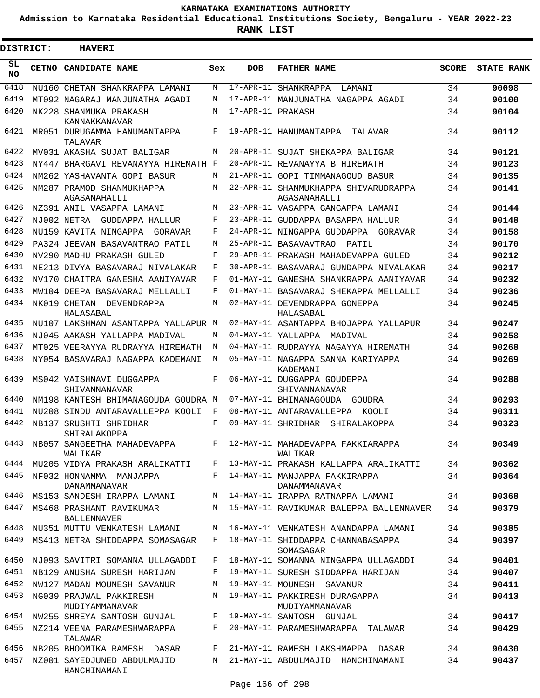**Admission to Karnataka Residential Educational Institutions Society, Bengaluru - YEAR 2022-23**

**RANK LIST**

ı

| <b>DISTRICT:</b> |  | <b>HAVERI</b>                                  |     |                   |                                                      |              |                   |
|------------------|--|------------------------------------------------|-----|-------------------|------------------------------------------------------|--------------|-------------------|
| SL<br><b>NO</b>  |  | CETNO CANDIDATE NAME                           | Sex | <b>DOB</b>        | <b>FATHER NAME</b>                                   | <b>SCORE</b> | <b>STATE RANK</b> |
| 6418             |  | NU160 CHETAN SHANKRAPPA LAMANI                 | M   |                   | 17-APR-11 SHANKRAPPA<br>LAMANI                       | 34           | 90098             |
| 6419             |  | MT092 NAGARAJ MANJUNATHA AGADI                 | М   |                   | 17-APR-11 MANJUNATHA NAGAPPA AGADI                   | 34           | 90100             |
| 6420             |  | NK228 SHANMUKA PRAKASH<br>KANNAKKANAVAR        | M   | 17-APR-11 PRAKASH |                                                      | 34           | 90104             |
| 6421             |  | MR051 DURUGAMMA HANUMANTAPPA<br>TALAVAR        | F   |                   | 19-APR-11 HANUMANTAPPA<br>TALAVAR                    | 34           | 90112             |
| 6422             |  | MV031 AKASHA SUJAT BALIGAR                     | М   |                   | 20-APR-11 SUJAT SHEKAPPA BALIGAR                     | 34           | 90121             |
| 6423             |  | NY447 BHARGAVI REVANAYYA HIREMATH F            |     |                   | 20-APR-11 REVANAYYA B HIREMATH                       | 34           | 90123             |
| 6424             |  | NM262 YASHAVANTA GOPI BASUR                    | M   |                   | 21-APR-11 GOPI TIMMANAGOUD BASUR                     | 34           | 90135             |
| 6425             |  | NM287 PRAMOD SHANMUKHAPPA<br>AGASANAHALLI      | М   |                   | 22-APR-11 SHANMUKHAPPA SHIVARUDRAPPA<br>AGASANAHALLI | 34           | 90141             |
| 6426             |  | NZ391 ANIL VASAPPA LAMANI                      | М   |                   | 23-APR-11 VASAPPA GANGAPPA LAMANI                    | 34           | 90144             |
| 6427             |  | NJ002 NETRA GUDDAPPA HALLUR                    | F   |                   | 23-APR-11 GUDDAPPA BASAPPA HALLUR                    | 34           | 90148             |
| 6428             |  | NU159 KAVITA NINGAPPA<br>GORAVAR               | F   |                   | 24-APR-11 NINGAPPA GUDDAPPA GORAVAR                  | 34           | 90158             |
| 6429             |  | PA324 JEEVAN BASAVANTRAO PATIL                 | М   |                   | 25-APR-11 BASAVAVTRAO<br>PATIL                       | 34           | 90170             |
| 6430             |  | NV290 MADHU PRAKASH GULED                      | F   |                   | 29-APR-11 PRAKASH MAHADEVAPPA GULED                  | 34           | 90212             |
| 6431             |  | NE213 DIVYA BASAVARAJ NIVALAKAR                | F   |                   | 30-APR-11 BASAVARAJ GUNDAPPA NIVALAKAR               | 34           | 90217             |
| 6432             |  | NV170 CHAITRA GANESHA AANIYAVAR                | F   |                   | 01-MAY-11 GANESHA SHANKRAPPA AANIYAVAR               | 34           | 90232             |
| 6433             |  | MW104 DEEPA BASAVARAJ MELLALLI                 | F   |                   | 01-MAY-11 BASAVARAJ SHEKAPPA MELLALLI                | 34           | 90236             |
| 6434             |  | NK019 CHETAN DEVENDRAPPA                       | М   |                   | 02-MAY-11 DEVENDRAPPA GONEPPA                        | 34           | 90245             |
|                  |  | HALASABAL                                      |     |                   | HALASABAL                                            |              |                   |
| 6435             |  | NU107 LAKSHMAN ASANTAPPA YALLAPUR M            |     |                   | 02-MAY-11 ASANTAPPA BHOJAPPA YALLAPUR                | 34           | 90247             |
| 6436             |  | NJ045 AAKASH YALLAPPA MADIVAL                  | M   |                   | 04-MAY-11 YALLAPPA MADIVAL                           | 34           | 90258             |
| 6437             |  | MT025 VEERAYYA RUDRAYYA HIREMATH               | M   |                   | 04-MAY-11 RUDRAYYA NAGAYYA HIREMATH                  | 34           | 90268             |
| 6438             |  | NY054 BASAVARAJ NAGAPPA KADEMANI               | M   |                   | 05-MAY-11 NAGAPPA SANNA KARIYAPPA<br>KADEMANI        | 34           | 90269             |
| 6439             |  | MS042 VAISHNAVI DUGGAPPA<br>SHIVANNANAVAR      | F   |                   | 06-MAY-11 DUGGAPPA GOUDEPPA<br>SHIVANNANAVAR         | 34           | 90288             |
| 6440             |  | NM198 KANTESH BHIMANAGOUDA GOUDRA M            |     |                   | 07-MAY-11 BHIMANAGOUDA GOUDRA                        | 34           | 90293             |
| 6441             |  | NU208 SINDU ANTARAVALLEPPA KOOLI               | F   |                   | 08-MAY-11 ANTARAVALLEPPA KOOLI                       | 34           | 90311             |
| 6442             |  | NB137 SRUSHTI SHRIDHAR<br>SHIRALAKOPPA         | F   |                   | 09-MAY-11 SHRIDHAR SHIRALAKOPPA                      | 34           | 90323             |
| 6443             |  | NB057 SANGEETHA MAHADEVAPPA<br>WALIKAR         | F   |                   | 12-MAY-11 MAHADEVAPPA FAKKIARAPPA<br>WALIKAR         | 34           | 90349             |
| 6444             |  | MU205 VIDYA PRAKASH ARALIKATTI                 | F   |                   | 13-MAY-11 PRAKASH KALLAPPA ARALIKATTI                | 34           | 90362             |
| 6445             |  | NF032 HONNAMMA MANJAPPA<br>DANAMMANAVAR        |     |                   | F 14-MAY-11 MANJAPPA FAKKIRAPPA<br>DANAMMANAVAR      | 34           | 90364             |
| 6446             |  | MS153 SANDESH IRAPPA LAMANI                    | M   |                   | 14-MAY-11 IRAPPA RATNAPPA LAMANI                     | 34           | 90368             |
| 6447             |  | MS468 PRASHANT RAVIKUMAR<br><b>BALLENNAVER</b> | M   |                   | 15-MAY-11 RAVIKUMAR BALEPPA BALLENNAVER              | 34           | 90379             |
| 6448             |  | NU351 MUTTU VENKATESH LAMANI                   | M   |                   | 16-MAY-11 VENKATESH ANANDAPPA LAMANI                 | 34           | 90385             |
| 6449             |  | MS413 NETRA SHIDDAPPA SOMASAGAR                | F   |                   | 18-MAY-11 SHIDDAPPA CHANNABASAPPA<br>SOMASAGAR       | 34           | 90397             |
| 6450             |  | NJ093 SAVITRI SOMANNA ULLAGADDI                | F   |                   | 18-MAY-11 SOMANNA NINGAPPA ULLAGADDI                 | 34           | 90401             |
| 6451             |  | NB129 ANUSHA SURESH HARIJAN                    | F   |                   | 19-MAY-11 SURESH SIDDAPPA HARIJAN                    | 34           | 90407             |
|                  |  | 6452 NW127 MADAN MOUNESH SAVANUR               | М   |                   | 19-MAY-11 MOUNESH SAVANUR                            | 34           | 90411             |
| 6453             |  | NG039 PRAJWAL PAKKIRESH<br>MUDIYAMMANAVAR      | М   |                   | 19-MAY-11 PAKKIRESH DURAGAPPA<br>MUDIYAMMANAVAR      | 34           | 90413             |
| 6454             |  | NW255 SHREYA SANTOSH GUNJAL                    | F   |                   | 19-MAY-11 SANTOSH GUNJAL                             | 34           | 90417             |
| 6455             |  | NZ214 VEENA PARAMESHWARAPPA<br>TALAWAR         | F   |                   | 20-MAY-11 PARAMESHWARAPPA TALAWAR                    | 34           | 90429             |
| 6456             |  | NB205 BHOOMIKA RAMESH DASAR                    | F   |                   | 21-MAY-11 RAMESH LAKSHMAPPA DASAR                    | 34           | 90430             |
| 6457             |  | NZ001 SAYEDJUNED ABDULMAJID<br>HANCHINAMANI    | M   |                   | 21-MAY-11 ABDULMAJID HANCHINAMANI                    | 34           | 90437             |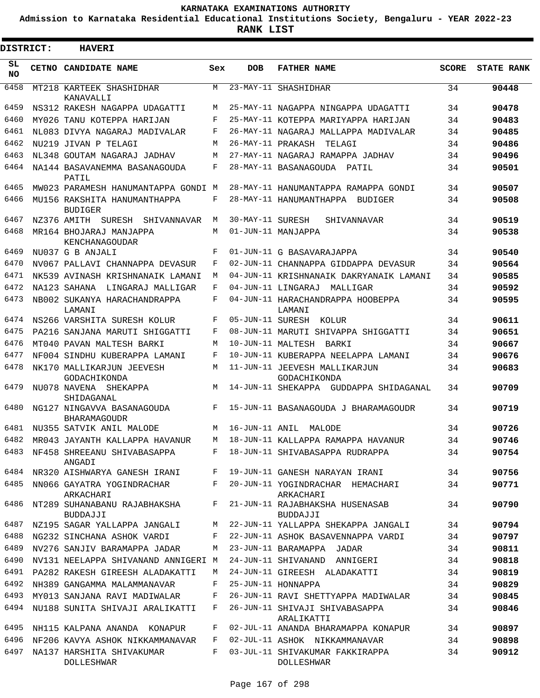**Admission to Karnataka Residential Educational Institutions Society, Bengaluru - YEAR 2022-23**

**RANK LIST**

Е

| DISTRICT:       | <b>HAVERI</b>                                     |            |                   |                                                      |              |                   |
|-----------------|---------------------------------------------------|------------|-------------------|------------------------------------------------------|--------------|-------------------|
| SL<br><b>NO</b> | <b>CETNO CANDIDATE NAME</b>                       | Sex        | <b>DOB</b>        | <b>FATHER NAME</b>                                   | <b>SCORE</b> | <b>STATE RANK</b> |
| 6458            | MT218 KARTEEK SHASHIDHAR<br>KANAVALLI             | M          |                   | 23-MAY-11 SHASHIDHAR                                 | 34           | 90448             |
| 6459            | NS312 RAKESH NAGAPPA UDAGATTI                     | M          |                   | 25-MAY-11 NAGAPPA NINGAPPA UDAGATTI                  | 34           | 90478             |
| 6460            | MY026 TANU KOTEPPA HARIJAN                        | F          |                   | 25-MAY-11 KOTEPPA MARIYAPPA HARIJAN                  | 34           | 90483             |
| 6461            | NL083 DIVYA NAGARAJ MADIVALAR                     | F          |                   | 26-MAY-11 NAGARAJ MALLAPPA MADIVALAR                 | 34           | 90485             |
| 6462            | NU219 JIVAN P TELAGI                              | M          | 26-MAY-11 PRAKASH | TELAGI                                               | 34           | 90486             |
| 6463            | NL348 GOUTAM NAGARAJ JADHAV                       | M          |                   | 27-MAY-11 NAGARAJ RAMAPPA JADHAV                     | 34           | 90496             |
| 6464            | NA144 BASAVANEMMA BASANAGOUDA<br>PATIL            | F          |                   | 28-MAY-11 BASANAGOUDA PATIL                          | 34           | 90501             |
| 6465            | MW023 PARAMESH HANUMANTAPPA GONDI M               |            |                   | 28-MAY-11 HANUMANTAPPA RAMAPPA GONDI                 | 34           | 90507             |
| 6466            | MU156 RAKSHITA HANUMANTHAPPA<br><b>BUDIGER</b>    | F          |                   | 28-MAY-11 HANUMANTHAPPA BUDIGER                      | 34           | 90508             |
| 6467            | NZ376 AMITH SURESH<br>SHIVANNAVAR                 | M          | 30-MAY-11 SURESH  | SHIVANNAVAR                                          | 34           | 90519             |
| 6468            | MR164 BHOJARAJ MANJAPPA<br>KENCHANAGOUDAR         | М          |                   | 01-JUN-11 MANJAPPA                                   | 34           | 90538             |
| 6469            | NU037 G B ANJALI                                  | $_{\rm F}$ |                   | 01-JUN-11 G BASAVARAJAPPA                            | 34           | 90540             |
| 6470            | NV067 PALLAVI CHANNAPPA DEVASUR                   | F          |                   | 02-JUN-11 CHANNAPPA GIDDAPPA DEVASUR                 | 34           | 90564             |
| 6471            | NK539 AVINASH KRISHNANAIK LAMANI                  | M          |                   | 04-JUN-11 KRISHNANAIK DAKRYANAIK LAMANI              | 34           | 90585             |
| 6472            | NA123 SAHANA LINGARAJ MALLIGAR                    | F          |                   | 04-JUN-11 LINGARAJ MALLIGAR                          | 34           | 90592             |
| 6473            | NB002 SUKANYA HARACHANDRAPPA<br>LAMANI            | F          |                   | 04-JUN-11 HARACHANDRAPPA HOOBEPPA<br>LAMANI          | 34           | 90595             |
| 6474            | NS266 VARSHITA SURESH KOLUR                       | F          |                   | 05-JUN-11 SURESH KOLUR                               | 34           | 90611             |
| 6475            | PA216 SANJANA MARUTI SHIGGATTI                    | F          |                   | 08-JUN-11 MARUTI SHIVAPPA SHIGGATTI                  | 34           | 90651             |
| 6476            | MT040 PAVAN MALTESH BARKI                         | M          | 10-JUN-11 MALTESH | BARKI                                                | 34           | 90667             |
| 6477            | NF004 SINDHU KUBERAPPA LAMANI                     | F          |                   | 10-JUN-11 KUBERAPPA NEELAPPA LAMANI                  | 34           | 90676             |
| 6478            | NK170 MALLIKARJUN JEEVESH<br>GODACHIKONDA         | M          |                   | 11-JUN-11 JEEVESH MALLIKARJUN<br>GODACHIKONDA        | 34           | 90683             |
| 6479            | NU078 NAVENA SHEKAPPA<br>SHIDAGANAL               | M          |                   | 14-JUN-11 SHEKAPPA GUDDAPPA SHIDAGANAL               | 34           | 90709             |
| 6480            | NG127 NINGAVVA BASANAGOUDA<br><b>BHARAMAGOUDR</b> | F          |                   | 15-JUN-11 BASANAGOUDA J BHARAMAGOUDR                 | 34           | 90719             |
| 6481            | NU355 SATVIK ANIL MALODE                          | M          | 16-JUN-11 ANIL    | MALODE                                               | 34           | 90726             |
| 6482            | MR043 JAYANTH KALLAPPA HAVANUR                    | M          |                   | 18-JUN-11 KALLAPPA RAMAPPA HAVANUR                   | 34           | 90746             |
| 6483            | NF458 SHREEANU SHIVABASAPPA<br>ANGADI             | F          |                   | 18-JUN-11 SHIVABASAPPA RUDRAPPA                      | 34           | 90754             |
| 6484            | NR320 AISHWARYA GANESH IRANI                      | F          |                   | 19-JUN-11 GANESH NARAYAN IRANI                       | 34           | 90756             |
| 6485            | NN066 GAYATRA YOGINDRACHAR<br>ARKACHARI           | F          |                   | 20-JUN-11 YOGINDRACHAR HEMACHARI<br>ARKACHARI        | 34           | 90771             |
| 6486            | NT289 SUHANABANU RAJABHAKSHA<br>BUDDAJJI          | F          |                   | 21-JUN-11 RAJABHAKSHA HUSENASAB<br>BUDDAJJI          | 34           | 90790             |
| 6487            | NZ195 SAGAR YALLAPPA JANGALI                      | М          |                   | 22-JUN-11 YALLAPPA SHEKAPPA JANGALI                  | 34           | 90794             |
| 6488            | NG232 SINCHANA ASHOK VARDI                        | F          |                   | 22-JUN-11 ASHOK BASAVENNAPPA VARDI                   | 34           | 90797             |
| 6489            | NV276 SANJIV BARAMAPPA JADAR                      | М          |                   | 23-JUN-11 BARAMAPPA JADAR                            | 34           | 90811             |
| 6490            | NV131 NEELAPPA SHIVANAND ANNIGERI M               |            |                   | 24-JUN-11 SHIVANAND ANNIGERI                         | 34           | 90818             |
| 6491            | PA282 RAKESH GIREESH ALADAKATTI                   | М          |                   | 24-JUN-11 GIREESH ALADAKATTI                         | 34           | 90819             |
| 6492            | NH389 GANGAMMA MALAMMANAVAR                       | F          |                   | 25-JUN-11 HONNAPPA                                   | 34           | 90829             |
| 6493            | MY013 SANJANA RAVI MADIWALAR                      | F          |                   | 26-JUN-11 RAVI SHETTYAPPA MADIWALAR                  | 34           | 90845             |
| 6494            | NU188 SUNITA SHIVAJI ARALIKATTI                   | F          |                   | 26-JUN-11 SHIVAJI SHIVABASAPPA<br>ARALIKATTI         | 34           | 90846             |
| 6495            | NH115 KALPANA ANANDA KONAPUR                      | F          |                   | 02-JUL-11 ANANDA BHARAMAPPA KONAPUR                  | 34           | 90897             |
| 6496            | NF206 KAVYA ASHOK NIKKAMMANAVAR                   | F          |                   | 02-JUL-11 ASHOK NIKKAMMANAVAR                        | 34           | 90898             |
| 6497            | NA137 HARSHITA SHIVAKUMAR<br><b>DOLLESHWAR</b>    | F          |                   | 03-JUL-11 SHIVAKUMAR FAKKIRAPPA<br><b>DOLLESHWAR</b> | 34           | 90912             |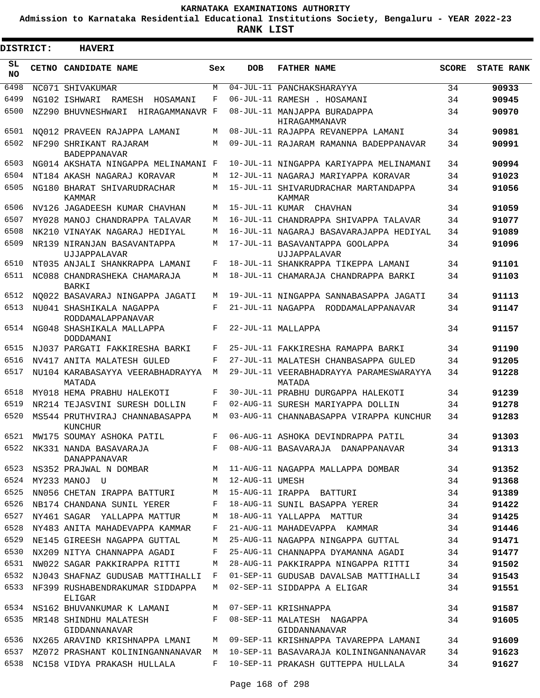**Admission to Karnataka Residential Educational Institutions Society, Bengaluru - YEAR 2022-23**

ı

| <b>DISTRICT:</b> | <b>HAVERI</b>                                        |     |                 |                                                        |              |                   |
|------------------|------------------------------------------------------|-----|-----------------|--------------------------------------------------------|--------------|-------------------|
| SL.<br>NO.       | <b>CETNO CANDIDATE NAME</b>                          | Sex | <b>DOB</b>      | <b>FATHER NAME</b>                                     | <b>SCORE</b> | <b>STATE RANK</b> |
| 6498             | NC071 SHIVAKUMAR                                     | M   |                 | 04-JUL-11 PANCHAKSHARAYYA                              | 34           | 90933             |
| 6499             | NG102 ISHWARI<br>RAMESH<br>HOSAMANI                  | F   |                 | 06-JUL-11 RAMESH . HOSAMANI                            | 34           | 90945             |
| 6500             | NZ290 BHUVNESHWARI<br>HIRAGAMMANAVR F                |     |                 | 08-JUL-11 MANJAPPA BURADAPPA<br>HIRAGAMMANAVR          | 34           | 90970             |
| 6501             | NO012 PRAVEEN RAJAPPA LAMANI                         | M   |                 | 08-JUL-11 RAJAPPA REVANEPPA LAMANI                     | 34           | 90981             |
| 6502             | NF290 SHRIKANT RAJARAM<br>BADEPPANAVAR               | M   |                 | 09-JUL-11 RAJARAM RAMANNA BADEPPANAVAR                 | 34           | 90991             |
| 6503             | NG014 AKSHATA NINGAPPA MELINAMANI F                  |     |                 | 10-JUL-11 NINGAPPA KARIYAPPA MELINAMANI                | 34           | 90994             |
| 6504             | NT184 AKASH NAGARAJ KORAVAR                          | M   |                 | 12-JUL-11 NAGARAJ MARIYAPPA KORAVAR                    | 34           | 91023             |
| 6505             | NG180 BHARAT SHIVARUDRACHAR<br>KAMMAR                | M   |                 | 15-JUL-11 SHIVARUDRACHAR MARTANDAPPA<br>KAMMAR         | 34           | 91056             |
| 6506             | NV126 JAGADEESH KUMAR CHAVHAN                        | M   | 15-JUL-11 KUMAR | CHAVHAN                                                | 34           | 91059             |
| 6507             | MY028 MANOJ CHANDRAPPA TALAVAR                       | M   |                 | 16-JUL-11 CHANDRAPPA SHIVAPPA TALAVAR                  | 34           | 91077             |
| 6508             | NK210 VINAYAK NAGARAJ HEDIYAL                        | M   |                 | 16-JUL-11 NAGARAJ BASAVARAJAPPA HEDIYAL                | 34           | 91089             |
| 6509             | NR139 NIRANJAN BASAVANTAPPA<br>UJJAPPALAVAR          | M   |                 | 17-JUL-11 BASAVANTAPPA GOOLAPPA<br>UJJAPPALAVAR        | 34           | 91096             |
| 6510             | NT035 ANJALI SHANKRAPPA LAMANI                       | F   |                 | 18-JUL-11 SHANKRAPPA TIKEPPA LAMANI                    | 34           | 91101             |
| 6511             | NC088 CHANDRASHEKA CHAMARAJA<br>BARKI                | M   |                 | 18-JUL-11 CHAMARAJA CHANDRAPPA BARKI                   | 34           | 91103             |
| 6512             | NO022 BASAVARAJ NINGAPPA JAGATI                      | M   |                 | 19-JUL-11 NINGAPPA SANNABASAPPA JAGATI                 | 34           | 91113             |
| 6513             | NU041 SHASHIKALA NAGAPPA<br>RODDAMALAPPANAVAR        | F   |                 | 21-JUL-11 NAGAPPA RODDAMALAPPANAVAR                    | 34           | 91147             |
| 6514             | NG048 SHASHIKALA MALLAPPA<br>DODDAMANI               | F   |                 | 22-JUL-11 MALLAPPA                                     | 34           | 91157             |
| 6515             | NJ037 PARGATI FAKKIRESHA BARKI                       | F   |                 | 25-JUL-11 FAKKIRESHA RAMAPPA BARKI                     | 34           | 91190             |
| 6516             | NV417 ANITA MALATESH GULED                           | F   |                 | 27-JUL-11 MALATESH CHANBASAPPA GULED                   | 34           | 91205             |
| 6517             | NU104 KARABASAYYA VEERABHADRAYYA<br>MATADA           | M   |                 | 29-JUL-11 VEERABHADRAYYA PARAMESWARAYYA<br>MATADA      | 34           | 91228             |
| 6518             | MY018 HEMA PRABHU HALEKOTI                           | F   |                 | 30-JUL-11 PRABHU DURGAPPA HALEKOTI                     | 34           | 91239             |
| 6519             | NR214 TEJASVINI SURESH DOLLIN                        | F   |                 | 02-AUG-11 SURESH MARIYAPPA DOLLIN                      | 34           | 91278             |
| 6520             | MS544 PRUTHVIRAJ CHANNABASAPPA<br>KUNCHUR            | M   |                 | 03-AUG-11 CHANNABASAPPA VIRAPPA KUNCHUR                | 34           | 91283             |
| 6521             | MW175 SOUMAY ASHOKA PATIL                            | F   |                 | 06-AUG-11 ASHOKA DEVINDRAPPA PATIL                     | 34           | 91303             |
| 6522             | NK331 NANDA BASAVARAJA<br>DANAPPANAVAR               | F   |                 | 08-AUG-11 BASAVARAJA DANAPPANAVAR                      | 34           | 91313             |
| 6523             | NS352 PRAJWAL N DOMBAR M                             |     |                 | 11-AUG-11 NAGAPPA MALLAPPA DOMBAR                      | 34           | 91352             |
| 6524             | MY233 MANOJ U<br>$\mathbb{M}$                        |     | 12-AUG-11 UMESH |                                                        | 34           | 91368             |
| 6525             | NN056 CHETAN IRAPPA BATTURI                          | M   |                 | 15-AUG-11 IRAPPA BATTURI                               | 34           | 91389             |
| 6526             | NB174 CHANDANA SUNIL YERER                           | F   |                 | 18-AUG-11 SUNIL BASAPPA YERER                          | 34           | 91422             |
| 6527             | NY461 SAGAR YALLAPPA MATTUR                          | М   |                 | 18-AUG-11 YALLAPPA MATTUR                              | 34           | 91425             |
| 6528             | NY483 ANITA MAHADEVAPPA KAMMAR                       | F   |                 | 21-AUG-11 MAHADEVAPPA KAMMAR                           | 34           | 91446             |
| 6529             | NE145 GIREESH NAGAPPA GUTTAL                         | М   |                 | 25-AUG-11 NAGAPPA NINGAPPA GUTTAL                      | 34           | 91471             |
| 6530             | NX209 NITYA CHANNAPPA AGADI                          | F   |                 | 25-AUG-11 CHANNAPPA DYAMANNA AGADI                     | 34           | 91477             |
| 6531             | NW022 SAGAR PAKKIRAPPA RITTI                         | М   |                 | 28-AUG-11 PAKKIRAPPA NINGAPPA RITTI                    | 34           | 91502             |
| 6532<br>6533     | NJ043 SHAFNAZ GUDUSAB MATTIHALLI F                   |     |                 | 01-SEP-11 GUDUSAB DAVALSAB MATTIHALLI                  | 34           | 91543             |
|                  | NF399 RUSHABENDRAKUMAR SIDDAPPA<br>ELIGAR            | M   |                 | 02-SEP-11 SIDDAPPA A ELIGAR                            | 34           | 91551             |
| 6534             | NS162 BHUVANKUMAR K LAMANI                           | M   |                 | 07-SEP-11 KRISHNAPPA                                   | 34           | 91587             |
| 6535             | MR148 SHINDHU MALATESH                               | F   |                 | 08-SEP-11 MALATESH NAGAPPA                             | 34           | 91605             |
|                  | GIDDANNANAVAR<br>6536 NX265 ARAVIND KRISHNAPPA LMANI | M   |                 | GIDDANNANAVAR<br>09-SEP-11 KRISHNAPPA TAVAREPPA LAMANI | 34           | 91609             |
| 6537             | MZ072 PRASHANT KOLININGANNANAVAR M                   |     |                 | 10-SEP-11 BASAVARAJA KOLININGANNANAVAR                 | 34           | 91623             |
| 6538             | NC158 VIDYA PRAKASH HULLALA                          | F   |                 | 10-SEP-11 PRAKASH GUTTEPPA HULLALA                     | 34           | 91627             |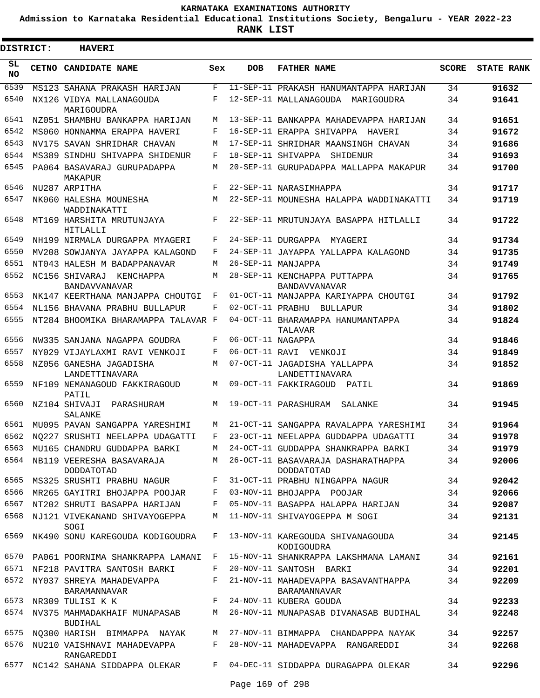**Admission to Karnataka Residential Educational Institutions Society, Bengaluru - YEAR 2022-23**

| <b>DISTRICT:</b> | <b>HAVERI</b>                                                             |             |                   |                                                                                |              |                   |
|------------------|---------------------------------------------------------------------------|-------------|-------------------|--------------------------------------------------------------------------------|--------------|-------------------|
| SL<br><b>NO</b>  | CETNO CANDIDATE NAME                                                      | Sex         | <b>DOB</b>        | <b>FATHER NAME</b>                                                             | <b>SCORE</b> | <b>STATE RANK</b> |
| 6539             | MS123 SAHANA PRAKASH HARIJAN                                              | F           |                   | 11-SEP-11 PRAKASH HANUMANTAPPA HARIJAN                                         | 34           | 91632             |
| 6540             | NX126 VIDYA MALLANAGOUDA<br>MARIGOUDRA                                    | F           |                   | 12-SEP-11 MALLANAGOUDA MARIGOUDRA                                              | 34           | 91641             |
| 6541             | NZ051 SHAMBHU BANKAPPA HARIJAN                                            | M           |                   | 13-SEP-11 BANKAPPA MAHADEVAPPA HARIJAN                                         | 34           | 91651             |
| 6542             | MS060 HONNAMMA ERAPPA HAVERI                                              | F           |                   | 16-SEP-11 ERAPPA SHIVAPPA HAVERI                                               | 34           | 91672             |
| 6543             | NV175 SAVAN SHRIDHAR CHAVAN                                               | М           |                   | 17-SEP-11 SHRIDHAR MAANSINGH CHAVAN                                            | 34           | 91686             |
| 6544             | MS389 SINDHU SHIVAPPA SHIDENUR                                            | F           |                   | 18-SEP-11 SHIVAPPA SHIDENUR                                                    | 34           | 91693             |
| 6545             | PA064 BASAVARAJ GURUPADAPPA<br>MAKAPUR                                    | М           |                   | 20-SEP-11 GURUPADAPPA MALLAPPA MAKAPUR                                         | 34           | 91700             |
| 6546             | NU287 ARPITHA                                                             | $_{\rm F}$  |                   | 22-SEP-11 NARASIMHAPPA                                                         | 34           | 91717             |
| 6547             | NK060 HALESHA MOUNESHA<br>WADDINAKATTI                                    | М           |                   | 22-SEP-11 MOUNESHA HALAPPA WADDINAKATTI                                        | 34           | 91719             |
| 6548             | MT169 HARSHITA MRUTUNJAYA<br>HITLALLI                                     | F           |                   | 22-SEP-11 MRUTUNJAYA BASAPPA HITLALLI                                          | 34           | 91722             |
| 6549             | NH199 NIRMALA DURGAPPA MYAGERI                                            | F           |                   | 24-SEP-11 DURGAPPA MYAGERI                                                     | 34           | 91734             |
| 6550             | MV208 SOWJANYA JAYAPPA KALAGOND                                           | F           |                   | 24-SEP-11 JAYAPPA YALLAPPA KALAGOND                                            | 34           | 91735             |
| 6551             | NT043 HALESH M BADAPPANAVAR                                               | M           |                   | 26-SEP-11 MANJAPPA                                                             | 34           | 91749             |
| 6552             | NC156 SHIVARAJ KENCHAPPA<br><b>BANDAVVANAVAR</b>                          | М           |                   | 28-SEP-11 KENCHAPPA PUTTAPPA<br><b>BANDAVVANAVAR</b>                           | 34           | 91765             |
| 6553             | NK147 KEERTHANA MANJAPPA CHOUTGI                                          | F           |                   | 01-OCT-11 MANJAPPA KARIYAPPA CHOUTGI                                           | 34           | 91792             |
| 6554             | NL156 BHAVANA PRABHU BULLAPUR                                             | F           |                   | 02-OCT-11 PRABHU BULLAPUR                                                      | 34           | 91802             |
| 6555             | NT284 BHOOMIKA BHARAMAPPA TALAVAR F                                       |             |                   | 04-OCT-11 BHARAMAPPA HANUMANTAPPA<br>TALAVAR                                   | 34           | 91824             |
| 6556             | NW335 SANJANA NAGAPPA GOUDRA                                              | F           | 06-OCT-11 NAGAPPA |                                                                                | 34           | 91846             |
| 6557             | NY029 VIJAYLAXMI RAVI VENKOJI                                             | F           |                   | 06-OCT-11 RAVI VENKOJI                                                         | 34           | 91849             |
| 6558<br>6559     | NZ056 GANESHA JAGADISHA<br>LANDETTINAVARA<br>NF109 NEMANAGOUD FAKKIRAGOUD | М<br>М      |                   | 07-OCT-11 JAGADISHA YALLAPPA<br>LANDETTINAVARA<br>09-OCT-11 FAKKIRAGOUD PATIL  | 34           | 91852             |
| 6560             | PATIL<br>NZ104 SHIVAJI<br>PARASHURAM                                      | М           |                   | 19-OCT-11 PARASHURAM<br>SALANKE                                                | 34<br>34     | 91869<br>91945    |
| 6561             | SALANKE                                                                   | М           |                   |                                                                                |              |                   |
| 6562             | MU095 PAVAN SANGAPPA YARESHIMI<br>NO227 SRUSHTI NEELAPPA UDAGATTI         | F           |                   | 21-OCT-11 SANGAPPA RAVALAPPA YARESHIMI<br>23-OCT-11 NEELAPPA GUDDAPPA UDAGATTI | 34<br>34     | 91964<br>91978    |
| 6563             | MU165 CHANDRU GUDDAPPA BARKI                                              | M           |                   | 24-OCT-11 GUDDAPPA SHANKRAPPA BARKI                                            | 34           | 91979             |
|                  | 6564 NB119 VEERESHA BASAVARAJA                                            |             |                   | M 26-OCT-11 BASAVARAJA DASHARATHAPPA                                           | 34           | 92006             |
| 6565             | <b>DODDATOTAD</b><br>MS325 SRUSHTI PRABHU NAGUR                           | $F$ and     |                   | DODDATOTAD<br>31-OCT-11 PRABHU NINGAPPA NAGUR                                  | 34           | 92042             |
| 6566             | MR265 GAYITRI BHOJAPPA POOJAR F                                           |             |                   | 03-NOV-11 BHOJAPPA POOJAR                                                      | 34           | 92066             |
|                  | 6567 NT202 SHRUTI BASAPPA HARIJAN                                         | F           |                   | 05-NOV-11 BASAPPA HALAPPA HARIJAN                                              | 34           | 92087             |
| 6568             | NJ121 VIVEKANAND SHIVAYOGEPPA<br>SOGI                                     | М           |                   | 11-NOV-11 SHIVAYOGEPPA M SOGI                                                  | 34           | 92131             |
| 6569             | NK490 SONU KAREGOUDA KODIGOUDRA                                           | F           |                   | 13-NOV-11 KAREGOUDA SHIVANAGOUDA<br>KODIGOUDRA                                 | 34           | 92145             |
|                  | 6570 PA061 POORNIMA SHANKRAPPA LAMANI                                     | F           |                   | 15-NOV-11 SHANKRAPPA LAKSHMANA LAMANI                                          | 34           | 92161             |
|                  | 6571 NF218 PAVITRA SANTOSH BARKI                                          | F           |                   | 20-NOV-11 SANTOSH BARKI                                                        | 34           | 92201             |
| 6572             | NY037 SHREYA MAHADEVAPPA<br>BARAMANNAVAR                                  | $F$ and     |                   | 21-NOV-11 MAHADEVAPPA BASAVANTHAPPA<br>BARAMANNAVAR                            | 34           | 92209             |
| 6573             | NR309 TULISI K K                                                          |             |                   | F 24-NOV-11 KUBERA GOUDA                                                       | 34           | 92233             |
|                  | 6574 NV375 MAHMADAKHAIF MUNAPASAB<br>BUDIHAL                              | M           |                   | 26-NOV-11 MUNAPASAB DIVANASAB BUDIHAL                                          | 34           | 92248             |
| 6575             | NQ300 HARISH BIMMAPPA NAYAK                                               | M           |                   | 27-NOV-11 BIMMAPPA  CHANDAPPPA NAYAK                                           | 34           | 92257             |
| 6576             | NU210 VAISHNAVI MAHADEVAPPA<br>RANGAREDDI                                 | $F$ and     |                   | 28-NOV-11 MAHADEVAPPA RANGAREDDI                                               | 34           | 92268             |
|                  | 6577 NC142 SAHANA SIDDAPPA OLEKAR                                         | $F$ and $F$ |                   | 04-DEC-11 SIDDAPPA DURAGAPPA OLEKAR                                            | 34           | 92296             |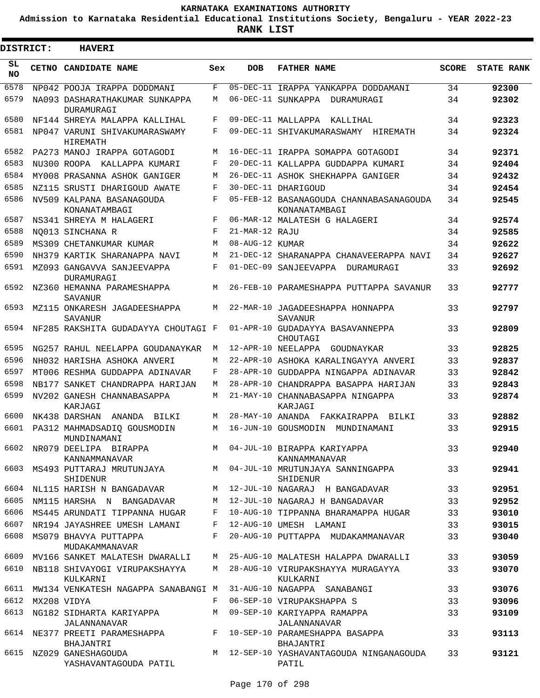**Admission to Karnataka Residential Educational Institutions Society, Bengaluru - YEAR 2022-23**

**RANK LIST**

Е

 $\blacksquare$ 

| <b>DISTRICT:</b> | <b>HAVERI</b>                                                 |     |                  |                                                                                 |              |                   |
|------------------|---------------------------------------------------------------|-----|------------------|---------------------------------------------------------------------------------|--------------|-------------------|
| SL<br>NO.        | CETNO CANDIDATE NAME                                          | Sex | <b>DOB</b>       | <b>FATHER NAME</b>                                                              | <b>SCORE</b> | <b>STATE RANK</b> |
| 6578             | NP042 POOJA IRAPPA DODDMANI                                   | F   |                  | 05-DEC-11 IRAPPA YANKAPPA DODDAMANI                                             | 34           | 92300             |
| 6579             | NA093 DASHARATHAKUMAR SUNKAPPA<br>DURAMURAGI                  | M   |                  | 06-DEC-11 SUNKAPPA<br>DURAMURAGI                                                | 34           | 92302             |
| 6580             | NF144 SHREYA MALAPPA KALLIHAL                                 | F   |                  | 09-DEC-11 MALLAPPA<br>KALLIHAL                                                  | 34           | 92323             |
| 6581             | NP047 VARUNI SHIVAKUMARASWAMY<br><b>HIREMATH</b>              | F   |                  | 09-DEC-11 SHIVAKUMARASWAMY HIREMATH                                             | 34           | 92324             |
| 6582             | PA273 MANOJ IRAPPA GOTAGODI                                   | M   |                  | 16-DEC-11 IRAPPA SOMAPPA GOTAGODI                                               | 34           | 92371             |
| 6583             | NU300 ROOPA KALLAPPA KUMARI                                   | F   |                  | 20-DEC-11 KALLAPPA GUDDAPPA KUMARI                                              | 34           | 92404             |
| 6584             | MY008 PRASANNA ASHOK GANIGER                                  | M   |                  | 26-DEC-11 ASHOK SHEKHAPPA GANIGER                                               | 34           | 92432             |
| 6585             | NZ115 SRUSTI DHARIGOUD AWATE                                  | F   |                  | 30-DEC-11 DHARIGOUD                                                             | 34           | 92454             |
| 6586             | NV509 KALPANA BASANAGOUDA<br>KONANATAMBAGI                    | F   |                  | 05-FEB-12 BASANAGOUDA CHANNABASANAGOUDA<br>KONANATAMBAGI                        | 34           | 92545             |
| 6587             | NS341 SHREYA M HALAGERI                                       | F   |                  | 06-MAR-12 MALATESH G HALAGERI                                                   | 34           | 92574             |
| 6588             | NO013 SINCHANA R                                              | F   | 21-MAR-12 RAJU   |                                                                                 | 34           | 92585             |
| 6589             | MS309 CHETANKUMAR KUMAR                                       | M   | 08-AUG-12 KUMAR  |                                                                                 | 34           | 92622             |
| 6590             | NH379 KARTIK SHARANAPPA NAVI                                  | M   |                  | 21-DEC-12 SHARANAPPA CHANAVEERAPPA NAVI                                         | 34           | 92627             |
| 6591             | MZ093 GANGAVVA SANJEEVAPPA<br>DURAMURAGI                      | F   |                  | 01-DEC-09 SANJEEVAPPA<br>DURAMURAGI                                             | 33           | 92692             |
| 6592             | NZ360 HEMANNA PARAMESHAPPA<br>SAVANUR                         | M   |                  | 26-FEB-10 PARAMESHAPPA PUTTAPPA SAVANUR                                         | 33           | 92777             |
| 6593             | MZ115 ONKARESH JAGADEESHAPPA<br><b>SAVANUR</b>                | M   |                  | 22-MAR-10 JAGADEESHAPPA HONNAPPA<br>SAVANUR                                     | 33           | 92797             |
| 6594             | NF285 RAKSHITA GUDADAYYA CHOUTAGI F                           |     |                  | 01-APR-10 GUDADAYYA BASAVANNEPPA<br>CHOUTAGI                                    | 33           | 92809             |
| 6595             | NG257 RAHUL NEELAPPA GOUDANAYKAR                              | M   |                  | 12-APR-10 NEELAPPA<br>GOUDNAYKAR                                                | 33           | 92825             |
| 6596             | NH032 HARISHA ASHOKA ANVERI                                   | M   |                  | 22-APR-10 ASHOKA KARALINGAYYA ANVERI                                            | 33           | 92837             |
| 6597             | MT006 RESHMA GUDDAPPA ADINAVAR                                | F   |                  | 28-APR-10 GUDDAPPA NINGAPPA ADINAVAR                                            | 33           | 92842             |
| 6598             | NB177 SANKET CHANDRAPPA HARIJAN                               | M   |                  | 28-APR-10 CHANDRAPPA BASAPPA HARIJAN                                            | 33           | 92843             |
| 6599             | NV202 GANESH CHANNABASAPPA<br>KARJAGI                         | М   |                  | 21-MAY-10 CHANNABASAPPA NINGAPPA<br>KARJAGI                                     | 33           | 92874             |
| 6600             | NK438 DARSHAN<br>ANANDA BILKI                                 | М   | 28-MAY-10 ANANDA | FAKKAIRAPPA<br>BILKI                                                            | 33           | 92882             |
| 6601             | PA312 MAHMADSADIO GOUSMODIN<br>MUNDINAMANI                    | М   |                  | 16-JUN-10 GOUSMODIN<br>MUNDINAMANI                                              | 33           | 92915             |
| 6602             | NR079 DEELIPA BIRAPPA<br>KANNAMMANAVAR                        |     |                  | M 04-JUL-10 BIRAPPA KARIYAPPA<br>KANNAMMANAVAR                                  | 33           | 92940             |
| 6603             | SHIDENUR                                                      |     |                  | MS493 PUTTARAJ MRUTUNJAYA MANA MANA MATUL-10 MRUTUNJAYA SANNINGAPPA<br>SHIDENUR | 33           | 92941             |
| 6604             | NL115 HARISH N BANGADAVAR                                     |     |                  | M 12-JUL-10 NAGARAJ H BANGADAVAR                                                | 33           | 92951             |
| 6605             | NM115 HARSHA N BANGADAVAR                                     | M   |                  | 12-JUL-10 NAGARAJ H BANGADAVAR                                                  | 33           | 92952             |
| 6606             | MS445 ARUNDATI TIPPANNA HUGAR                                 | F   |                  | 10-AUG-10 TIPPANNA BHARAMAPPA HUGAR                                             | 33           | 93010             |
| 6607             | NR194 JAYASHREE UMESH LAMANI                                  | F   |                  | 12-AUG-10 UMESH LAMANI                                                          | 33           | 93015             |
| 6608             | MS079 BHAVYA PUTTAPPA<br>MUDAKAMMANAVAR                       | F   |                  | 20-AUG-10 PUTTAPPA MUDAKAMMANAVAR                                               | 33           | 93040             |
| 6609             | MV166 SANKET MALATESH DWARALLI                                | M   |                  | 25-AUG-10 MALATESH HALAPPA DWARALLI                                             | 33           | 93059             |
| 6610             | NB118 SHIVAYOGI VIRUPAKSHAYYA<br>KULKARNI                     | M   |                  | 28-AUG-10 VIRUPAKSHAYYA MURAGAYYA<br>KULKARNI                                   | 33           | 93070             |
| 6611             | MW134 VENKATESH NAGAPPA SANABANGI M                           |     |                  | 31-AUG-10 NAGAPPA SANABANGI                                                     | 33           | 93076             |
| 6612             | MX208 VIDYA                                                   | F   |                  | 06-SEP-10 VIRUPAKSHAPPA S                                                       | 33           | 93096             |
| 6613             | NG182 SIDHARTA KARIYAPPA                                      | M   |                  | 09-SEP-10 KARIYAPPA RAMAPPA                                                     | 33           | 93109             |
|                  | JALANNANAVAR<br>6614 NE377 PREETI PARAMESHAPPA                |     |                  | JALANNANAVAR<br>F 10-SEP-10 PARAMESHAPPA BASAPPA                                | 33           | 93113             |
|                  | BHAJANTRI<br>6615 NZ029 GANESHAGOUDA<br>YASHAVANTAGOUDA PATIL |     |                  | BHAJANTRI<br>M 12-SEP-10 YASHAVANTAGOUDA NINGANAGOUDA<br>PATIL                  | 33           | 93121             |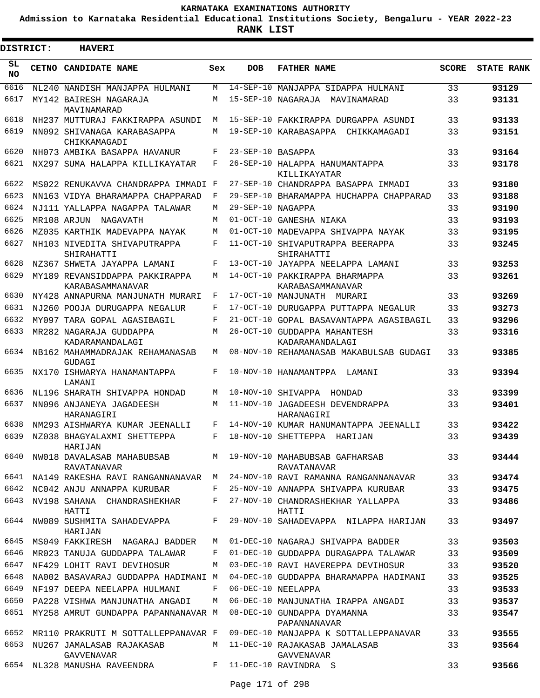**Admission to Karnataka Residential Educational Institutions Society, Bengaluru - YEAR 2022-23**

**RANK LIST**

Е

 $\blacksquare$ 

| <b>DISTRICT:</b> | <b>HAVERI</b>                                                                        |              |                   |                                                    |              |                   |
|------------------|--------------------------------------------------------------------------------------|--------------|-------------------|----------------------------------------------------|--------------|-------------------|
| SL<br><b>NO</b>  | CETNO CANDIDATE NAME                                                                 | Sex          | <b>DOB</b>        | <b>FATHER NAME</b>                                 | <b>SCORE</b> | <b>STATE RANK</b> |
| 6616             | NL240 NANDISH MANJAPPA HULMANI                                                       | M            |                   | 14-SEP-10 MANJAPPA SIDAPPA HULMANI                 | 33           | 93129             |
| 6617             | MY142 BAIRESH NAGARAJA<br>MAVINAMARAD                                                | M            |                   | 15-SEP-10 NAGARAJA<br>MAVINAMARAD                  | 33           | 93131             |
| 6618             | NH237 MUTTURAJ FAKKIRAPPA ASUNDI                                                     | M            |                   | 15-SEP-10 FAKKIRAPPA DURGAPPA ASUNDI               | 33           | 93133             |
| 6619             | NN092 SHIVANAGA KARABASAPPA<br>CHIKKAMAGADI                                          | M            |                   | 19-SEP-10 KARABASAPPA CHIKKAMAGADI                 | 33           | 93151             |
| 6620             | NH073 AMBIKA BASAPPA HAVANUR                                                         | F            | 23-SEP-10 RASAPPA |                                                    | 33           | 93164             |
| 6621             | NX297 SUMA HALAPPA KILLIKAYATAR                                                      | F            |                   | 26-SEP-10 HALAPPA HANUMANTAPPA<br>KILLIKAYATAR     | 33           | 93178             |
| 6622             | MS022 RENUKAVVA CHANDRAPPA IMMADI F                                                  |              |                   | 27-SEP-10 CHANDRAPPA BASAPPA IMMADI                | 33           | 93180             |
| 6623             | NN163 VIDYA BHARAMAPPA CHAPPARAD                                                     | F            |                   | 29-SEP-10 BHARAMAPPA HUCHAPPA CHAPPARAD            | 33           | 93188             |
| 6624             | NJ111 YALLAPPA NAGAPPA TALAWAR                                                       | M            | 29-SEP-10 NAGAPPA |                                                    | 33           | 93190             |
| 6625             | MR108 ARJUN NAGAVATH                                                                 | M            | $01-OCT-10$       | GANESHA NIAKA                                      | 33           | 93193             |
| 6626             | MZ035 KARTHIK MADEVAPPA NAYAK                                                        | M            |                   | 01-OCT-10 MADEVAPPA SHIVAPPA NAYAK                 | 33           | 93195             |
| 6627             | NH103 NIVEDITA SHIVAPUTRAPPA<br>SHIRAHATTI                                           | F            | $11 - OCT - 10$   | SHIVAPUTRAPPA BEERAPPA<br>SHIRAHATTI               | 33           | 93245             |
| 6628             | NZ367 SHWETA JAYAPPA LAMANI                                                          | F            | 13-OCT-10         | JAYAPPA NEELAPPA LAMANI                            | 33           | 93253             |
| 6629             | MY189 REVANSIDDAPPA PAKKIRAPPA<br>KARABASAMMANAVAR                                   | M            |                   | 14-OCT-10 PAKKIRAPPA BHARMAPPA<br>KARABASAMMANAVAR | 33           | 93261             |
| 6630             | NY428 ANNAPURNA MANJUNATH MURARI                                                     | F            |                   | 17-OCT-10 MANJUNATH MURARI                         | 33           | 93269             |
| 6631             | NJ260 POOJA DURUGAPPA NEGALUR                                                        | F            |                   | 17-OCT-10 DURUGAPPA PUTTAPPA NEGALUR               | 33           | 93273             |
| 6632             | MY097 TARA GOPAL AGASIBAGIL                                                          | F            |                   | 21-OCT-10 GOPAL BASAVANTAPPA AGASIBAGIL            | 33           | 93296             |
| 6633             | MR282 NAGARAJA GUDDAPPA<br>KADARAMANDALAGI                                           | M            |                   | 26-OCT-10 GUDDAPPA MAHANTESH<br>KADARAMANDALAGI    | 33           | 93316             |
| 6634             | NB162 MAHAMMADRAJAK REHAMANASAB<br>GUDAGI                                            | М            |                   | 08-NOV-10 REHAMANASAB MAKABULSAB GUDAGI            | 33           | 93385             |
| 6635             | NX170 ISHWARYA HANAMANTAPPA<br>LAMANI                                                | F            |                   | 10-NOV-10 HANAMANTPPA LAMANI                       | 33           | 93394             |
| 6636             | NL196 SHARATH SHIVAPPA HONDAD                                                        | M            |                   | 10-NOV-10 SHIVAPPA<br>HONDAD                       | 33           | 93399             |
| 6637             | NN096 ANJANEYA JAGADEESH<br>HARANAGIRI                                               | M            |                   | 11-NOV-10 JAGADEESH DEVENDRAPPA<br>HARANAGIRI      | 33           | 93401             |
| 6638             | NM293 AISHWARYA KUMAR JEENALLI                                                       | F            |                   | 14-NOV-10 KUMAR HANUMANTAPPA JEENALLI              | 33           | 93422             |
|                  | 6639 NZ038 BHAGYALAXMI SHETTEPPA<br>HARIJAN                                          | F            |                   | 18-NOV-10 SHETTEPPA HARIJAN                        | 33           | 93439             |
| 6640             | NW018 DAVALASAB MAHABUBSAB MANA 19-NOV-10 MAHABUBSAB GAFHARSAB<br><b>RAVATANAVAR</b> |              |                   | RAVATANAVAR                                        | 33           | 93444             |
|                  | 6641 NA149 RAKESHA RAVI RANGANNANAVAR M                                              |              |                   | 24-NOV-10 RAVI RAMANNA RANGANNANAVAR               | 33           | 93474             |
| 6642             | NC042 ANJU ANNAPPA KURUBAR                                                           | $\mathbf{F}$ |                   | 25-NOV-10 ANNAPPA SHIVAPPA KURUBAR                 | 33           | 93475             |
| 6643             | NV198 SAHANA CHANDRASHEKHAR<br>HATTI                                                 | F            |                   | 27-NOV-10 CHANDRASHEKHAR YALLAPPA<br>HATTI         | 33           | 93486             |
| 6644             | NW089 SUSHMITA SAHADEVAPPA<br>HARIJAN                                                | $F -$        |                   | 29-NOV-10 SAHADEVAPPA NILAPPA HARIJAN              | 33           | 93497             |
| 6645             | MS049 FAKKIRESH NAGARAJ BADDER                                                       | M            |                   | 01-DEC-10 NAGARAJ SHIVAPPA BADDER                  | 33           | 93503             |
| 6646             | MR023 TANUJA GUDDAPPA TALAWAR                                                        | F            |                   | 01-DEC-10 GUDDAPPA DURAGAPPA TALAWAR               | 33           | 93509             |
| 6647             | NF429 LOHIT RAVI DEVIHOSUR                                                           | М            |                   | 03-DEC-10 RAVI HAVEREPPA DEVIHOSUR                 | 33           | 93520             |
| 6648             | NA002 BASAVARAJ GUDDAPPA HADIMANI M                                                  |              |                   | 04-DEC-10 GUDDAPPA BHARAMAPPA HADIMANI             | 33           | 93525             |
| 6649             | NF197 DEEPA NEELAPPA HULMANI                                                         | F            |                   | 06-DEC-10 NEELAPPA                                 | 33           | 93533             |
| 6650             | PA228 VISHWA MANJUNATHA ANGADI                                                       | M            |                   | 06-DEC-10 MANJUNATHA IRAPPA ANGADI                 | 33           | 93537             |
| 6651             | MY258 AMRUT GUNDAPPA PAPANNANAVAR M                                                  |              |                   | 08-DEC-10 GUNDAPPA DYAMANNA<br>PAPANNANAVAR        | 33           | 93547             |
| 6652             | MR110 PRAKRUTI M SOTTALLEPPANAVAR F                                                  |              |                   | 09-DEC-10 MANJAPPA K SOTTALLEPPANAVAR              | 33           | 93555             |
| 6653             | NU267 JAMALASAB RAJAKASAB<br><b>GAVVENAVAR</b>                                       | M            |                   | 11-DEC-10 RAJAKASAB JAMALASAB<br>GAVVENAVAR        | 33           | 93564             |
|                  | 6654 NL328 MANUSHA RAVEENDRA F 11-DEC-10 RAVINDRA S                                  |              |                   |                                                    | 33           | 93566             |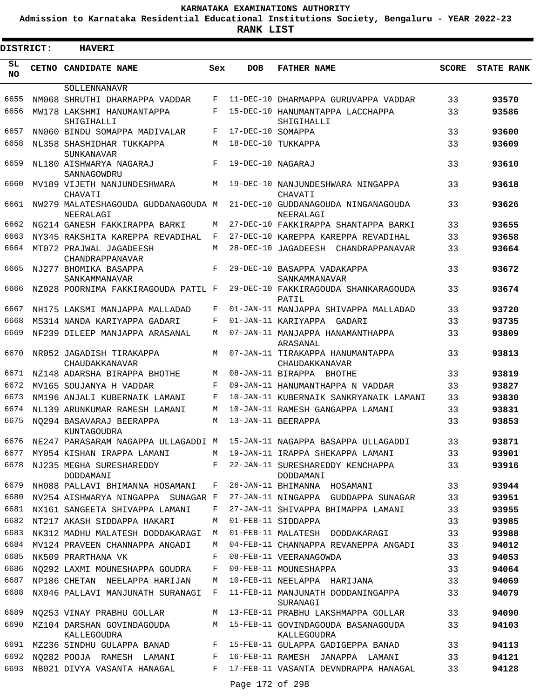**Admission to Karnataka Residential Educational Institutions Society, Bengaluru - YEAR 2022-23**

| <b>DISTRICT:</b> | <b>HAVERI</b>                                                                |     |                   |                                                    |              |                   |
|------------------|------------------------------------------------------------------------------|-----|-------------------|----------------------------------------------------|--------------|-------------------|
| SL<br><b>NO</b>  | CETNO CANDIDATE NAME                                                         | Sex | <b>DOB</b>        | <b>FATHER NAME</b>                                 | <b>SCORE</b> | <b>STATE RANK</b> |
|                  | SOLLENNANAVR                                                                 |     |                   |                                                    |              |                   |
| 6655             | NM068 SHRUTHI DHARMAPPA VADDAR                                               | F   |                   | 11-DEC-10 DHARMAPPA GURUVAPPA VADDAR               | 33           | 93570             |
| 6656             | MW178 LAKSHMI HANUMANTAPPA<br>SHIGIHALLI                                     | F   |                   | 15-DEC-10 HANUMANTAPPA LACCHAPPA<br>SHIGIHALLI     | 33           | 93586             |
| 6657             | NN060 BINDU SOMAPPA MADIVALAR                                                | F   | 17-DEC-10 SOMAPPA |                                                    | 33           | 93600             |
| 6658             | NL358 SHASHIDHAR TUKKAPPA<br><b>SUNKANAVAR</b>                               | М   |                   | 18-DEC-10 TUKKAPPA                                 | 33           | 93609             |
| 6659             | NL180 AISHWARYA NAGARAJ<br>SANNAGOWDRU                                       | F   | 19-DEC-10 NAGARAJ |                                                    | 33           | 93610             |
| 6660             | MV189 VIJETH NANJUNDESHWARA<br>CHAVATI                                       | М   |                   | 19-DEC-10 NANJUNDESHWARA NINGAPPA<br>CHAVATI       | 33           | 93618             |
| 6661             | NW279 MALATESHAGOUDA GUDDANAGOUDA M<br>NEERALAGI                             |     |                   | 21-DEC-10 GUDDANAGOUDA NINGANAGOUDA<br>NEERALAGI   | 33           | 93626             |
| 6662             | NG214 GANESH FAKKIRAPPA BARKI                                                | М   |                   | 27-DEC-10 FAKKIRAPPA SHANTAPPA BARKI               | 33           | 93655             |
| 6663             | NY345 RAKSHITA KAREPPA REVADIHAL                                             | F   |                   | 27-DEC-10 KAREPPA KAREPPA REVADIHAL                | 33           | 93658             |
| 6664             | MT072 PRAJWAL JAGADEESH<br>CHANDRAPPANAVAR                                   | М   |                   | 28-DEC-10 JAGADEESH CHANDRAPPANAVAR                | 33           | 93664             |
| 6665             | NJ277 BHOMIKA BASAPPA<br>SANKAMMANAVAR                                       | F   |                   | 29-DEC-10 BASAPPA VADAKAPPA<br>SANKAMMANAVAR       | 33           | 93672             |
| 6666             | NZ028 POORNIMA FAKKIRAGOUDA PATIL F                                          |     |                   | 29-DEC-10 FAKKIRAGOUDA SHANKARAGOUDA<br>PATIL      | 33           | 93674             |
| 6667             | NH175 LAKSMI MANJAPPA MALLADAD                                               | F   |                   | 01-JAN-11 MANJAPPA SHIVAPPA MALLADAD               | 33           | 93720             |
| 6668             | MS314 NANDA KARIYAPPA GADARI                                                 | F   |                   | 01-JAN-11 KARIYAPPA GADARI                         | 33           | 93735             |
| 6669             | NF239 DILEEP MANJAPPA ARASANAL                                               | М   |                   | 07-JAN-11 MANJAPPA HANAMANTHAPPA<br>ARASANAL       | 33           | 93809             |
| 6670             | NR052 JAGADISH TIRAKAPPA<br>CHAUDAKKANAVAR                                   | М   |                   | 07-JAN-11 TIRAKAPPA HANUMANTAPPA<br>CHAUDAKKANAVAR | 33           | 93813             |
| 6671             | NZ148 ADARSHA BIRAPPA BHOTHE                                                 | М   |                   | 08-JAN-11 BIRAPPA BHOTHE                           | 33           | 93819             |
| 6672             | MV165 SOUJANYA H VADDAR                                                      | F   |                   | 09-JAN-11 HANUMANTHAPPA N VADDAR                   | 33           | 93827             |
| 6673             | NM196 ANJALI KUBERNAIK LAMANI                                                | F   |                   | 10-JAN-11 KUBERNAIK SANKRYANAIK LAMANI             | 33           | 93830             |
| 6674             | NL139 ARUNKUMAR RAMESH LAMANI                                                | М   |                   | 10-JAN-11 RAMESH GANGAPPA LAMANI                   | 33           | 93831             |
| 6675             | NO294 BASAVARAJ BEERAPPA<br>KUNTAGOUDRA                                      | М   |                   | 13-JAN-11 BEERAPPA                                 | 33           | 93853             |
|                  | 6676 NE247 PARASARAM NAGAPPA ULLAGADDI M 15-JAN-11 NAGAPPA BASAPPA ULLAGADDI |     |                   |                                                    | 33           | 93871             |
| 6677             | MY054 KISHAN IRAPPA LAMANI                                                   | М   |                   | 19-JAN-11 IRAPPA SHEKAPPA LAMANI                   | 33           | 93901             |
| 6678             | NJ235 MEGHA SURESHAREDDY<br>DODDAMANI                                        | F   |                   | 22-JAN-11 SURESHAREDDY KENCHAPPA<br>DODDAMANI      | 33           | 93916             |
| 6679             | NH088 PALLAVI BHIMANNA HOSAMANI                                              | F   |                   | 26-JAN-11 BHIMANNA HOSAMANI                        | 33           | 93944             |
| 6680             | NV254 AISHWARYA NINGAPPA SUNAGAR F                                           |     |                   | 27-JAN-11 NINGAPPA GUDDAPPA SUNAGAR                | 33           | 93951             |
| 6681             | NX161 SANGEETA SHIVAPPA LAMANI                                               | F   |                   | 27-JAN-11 SHIVAPPA BHIMAPPA LAMANI                 | 33           | 93955             |
| 6682             | NT217 AKASH SIDDAPPA HAKARI                                                  | М   |                   | 01-FEB-11 SIDDAPPA                                 | 33           | 93985             |
| 6683             | NK312 MADHU MALATESH DODDAKARAGI                                             | M   |                   | 01-FEB-11 MALATESH DODDAKARAGI                     | 33           | 93988             |
| 6684             | MV124 PRAVEEN CHANNAPPA ANGADI                                               | M   |                   | 04-FEB-11 CHANNAPPA REVANEPPA ANGADI               | 33           | 94012             |
| 6685             | NK509 PRARTHANA VK                                                           | F   |                   | 08-FEB-11 VEERANAGOWDA                             | 33           | 94053             |
| 6686             | NQ292 LAXMI MOUNESHAPPA GOUDRA                                               | F   |                   | 09-FEB-11 MOUNESHAPPA                              | 33           | 94064             |
| 6687             | NP186 CHETAN NEELAPPA HARIJAN                                                | М   |                   | 10-FEB-11 NEELAPPA HARIJANA                        | 33           | 94069             |
| 6688             | NX046 PALLAVI MANJUNATH SURANAGI                                             | F   |                   | 11-FEB-11 MANJUNATH DODDANINGAPPA<br>SURANAGI      | 33           | 94079             |
| 6689             | NQ253 VINAY PRABHU GOLLAR                                                    | М   |                   | 13-FEB-11 PRABHU LAKSHMAPPA GOLLAR                 | 33           | 94090             |
| 6690             | MZ104 DARSHAN GOVINDAGOUDA<br>KALLEGOUDRA                                    | М   |                   | 15-FEB-11 GOVINDAGOUDA BASANAGOUDA<br>KALLEGOUDRA  | 33           | 94103             |
| 6691             | MZ236 SINDHU GULAPPA BANAD                                                   | F   |                   | 15-FEB-11 GULAPPA GADIGEPPA BANAD                  | 33           | 94113             |
| 6692             | NQ282 POOJA RAMESH LAMANI                                                    | F   |                   | 16-FEB-11 RAMESH JANAPPA LAMANI                    | 33           | 94121             |
| 6693             | NB021 DIVYA VASANTA HANAGAL                                                  | F   |                   | 17-FEB-11 VASANTA DEVNDRAPPA HANAGAL               | 33           | 94128             |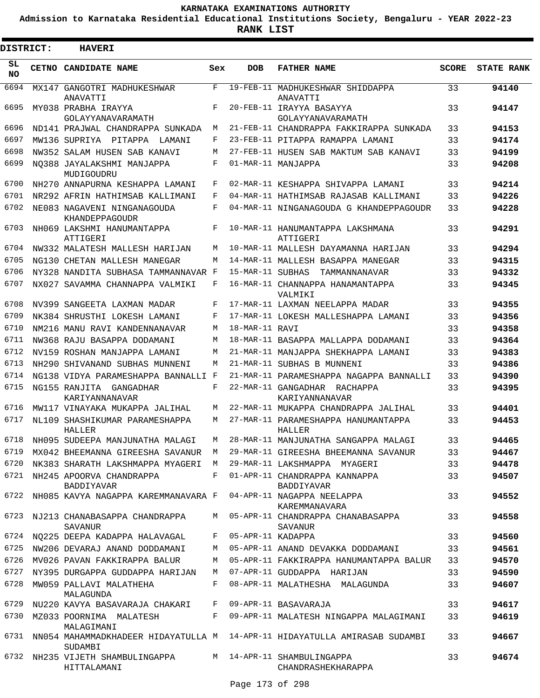**Admission to Karnataka Residential Educational Institutions Society, Bengaluru - YEAR 2022-23**

| <b>DISTRICT:</b> | <b>HAVERI</b>                                                                               |             |                   |                                                                                 |              |                   |
|------------------|---------------------------------------------------------------------------------------------|-------------|-------------------|---------------------------------------------------------------------------------|--------------|-------------------|
| SL<br><b>NO</b>  | CETNO CANDIDATE NAME                                                                        | Sex         | <b>DOB</b>        | <b>FATHER NAME</b>                                                              | <b>SCORE</b> | <b>STATE RANK</b> |
| 6694             | MX147 GANGOTRI MADHUKESHWAR<br>ANAVATTI                                                     | F           |                   | 19-FEB-11 MADHUKESHWAR SHIDDAPPA<br>ANAVATTI                                    | 33           | 94140             |
| 6695             | MY038 PRABHA IRAYYA<br>GOLAYYANAVARAMATH                                                    | F           |                   | 20-FEB-11 IRAYYA BASAYYA<br>GOLAYYANAVARAMATH                                   | 33           | 94147             |
| 6696             | ND141 PRAJWAL CHANDRAPPA SUNKADA                                                            | M           |                   | 21-FEB-11 CHANDRAPPA FAKKIRAPPA SUNKADA                                         | 33           | 94153             |
| 6697             | MW136 SUPRIYA PITAPPA LAMANI                                                                | F           |                   | 23-FEB-11 PITAPPA RAMAPPA LAMANI                                                | 33           | 94174             |
| 6698             | NW352 SALAM HUSEN SAB KANAVI                                                                | М           |                   | 27-FEB-11 HUSEN SAB MAKTUM SAB KANAVI                                           | 33           | 94199             |
| 6699             | NO388 JAYALAKSHMI MANJAPPA<br>MUDIGOUDRU                                                    | F           |                   | 01-MAR-11 MANJAPPA                                                              | 33           | 94208             |
| 6700             | NH270 ANNAPURNA KESHAPPA LAMANI                                                             | F           |                   | 02-MAR-11 KESHAPPA SHIVAPPA LAMANI                                              | 33           | 94214             |
| 6701             | NR292 AFRIN HATHIMSAB KALLIMANI                                                             | F           |                   | 04-MAR-11 HATHIMSAB RAJASAB KALLIMANI                                           | 33           | 94226             |
| 6702             | NE083 NAGAVENI NINGANAGOUDA<br>KHANDEPPAGOUDR                                               | F           |                   | 04-MAR-11 NINGANAGOUDA G KHANDEPPAGOUDR                                         | 33           | 94228             |
| 6703             | NH069 LAKSHMI HANUMANTAPPA<br>ATTIGERI                                                      | F           |                   | 10-MAR-11 HANUMANTAPPA LAKSHMANA<br>ATTIGERI                                    | 33           | 94291             |
| 6704             | NW332 MALATESH MALLESH HARIJAN                                                              | М           |                   | 10-MAR-11 MALLESH DAYAMANNA HARIJAN                                             | 33           | 94294             |
| 6705             | NG130 CHETAN MALLESH MANEGAR                                                                | М           |                   | 14-MAR-11 MALLESH BASAPPA MANEGAR                                               | 33           | 94315             |
| 6706             | NY328 NANDITA SUBHASA TAMMANNAVAR F                                                         |             | 15-MAR-11 SUBHAS  | TAMMANNANAVAR                                                                   | 33           | 94332             |
| 6707             | NX027 SAVAMMA CHANNAPPA VALMIKI                                                             | F           |                   | 16-MAR-11 CHANNAPPA HANAMANTAPPA<br>VALMIKI                                     | 33           | 94345             |
| 6708             | NV399 SANGEETA LAXMAN MADAR                                                                 | F           |                   | 17-MAR-11 LAXMAN NEELAPPA MADAR                                                 | 33           | 94355             |
| 6709             | NK384 SHRUSTHI LOKESH LAMANI                                                                | F           |                   | 17-MAR-11 LOKESH MALLESHAPPA LAMANI                                             | 33           | 94356             |
| 6710             | NM216 MANU RAVI KANDENNANAVAR                                                               | М           | 18-MAR-11 RAVI    |                                                                                 | 33           | 94358             |
| 6711             | NW368 RAJU BASAPPA DODAMANI                                                                 | М           |                   | 18-MAR-11 BASAPPA MALLAPPA DODAMANI                                             | 33           | 94364             |
| 6712             | NV159 ROSHAN MANJAPPA LAMANI                                                                | М           |                   | 21-MAR-11 MANJAPPA SHEKHAPPA LAMANI                                             | 33           | 94383             |
| 6713             | NH290 SHIVANAND SUBHAS MUNNENI                                                              | М           |                   | 21-MAR-11 SUBHAS B MUNNENI                                                      | 33           | 94386             |
| 6714             | NG138 VIDYA PARAMESHAPPA BANNALLI F                                                         |             |                   | 21-MAR-11 PARAMESHAPPA NAGAPPA BANNALLI                                         | 33           | 94390             |
| 6715             | NG155 RANJITA GANGADHAR<br>KARIYANNANAVAR                                                   | F           |                   | 22-MAR-11 GANGADHAR RACHAPPA<br>KARIYANNANAVAR                                  | 33           | 94395             |
| 6716             | MW117 VINAYAKA MUKAPPA JALIHAL                                                              | М           |                   | 22-MAR-11 MUKAPPA CHANDRAPPA JALIHAL                                            | 33           | 94401             |
| 6717             | NL109 SHASHIKUMAR PARAMESHAPPA<br>HALLER                                                    | M           |                   | 27-MAR-11 PARAMESHAPPA HANUMANTAPPA<br>HALLER                                   | 33           | 94453             |
|                  | 6718 NH095 SUDEEPA MANJUNATHA MALAGI M                                                      |             |                   | 28-MAR-11 MANJUNATHA SANGAPPA MALAGI                                            | 33           | 94465             |
| 6719             | MX042 BHEEMANNA GIREESHA SAVANUR M                                                          |             |                   | 29-MAR-11 GIREESHA BHEEMANNA SAVANUR                                            | 33           | 94467             |
| 6720<br>6721     | NK383 SHARATH LAKSHMAPPA MYAGERI M 29-MAR-11 LAKSHMAPPA MYAGERI<br>NH245 APOORVA CHANDRAPPA |             |                   | F 01-APR-11 CHANDRAPPA KANNAPPA                                                 | 33<br>33     | 94478<br>94507    |
|                  | <b>BADDIYAVAR</b>                                                                           |             |                   | BADDIYAVAR                                                                      |              |                   |
| 6722             | NH085 KAVYA NAGAPPA KAREMMANAVARA F                                                         |             |                   | 04-APR-11 NAGAPPA NEELAPPA<br>KAREMMANAVARA                                     | 33           | 94552             |
| 6723             | NJ213 CHANABASAPPA CHANDRAPPA<br>SAVANUR                                                    |             |                   | M 05-APR-11 CHANDRAPPA CHANABASAPPA<br>SAVANUR                                  | 33           | 94558             |
|                  | 6724 NQ225 DEEPA KADAPPA HALAVAGAL                                                          | F           | 05-APR-11 KADAPPA |                                                                                 | 33           | 94560             |
| 6725             | NW206 DEVARAJ ANAND DODDAMANI                                                               | М           |                   | 05-APR-11 ANAND DEVAKKA DODDAMANI                                               | 33           | 94561             |
| 6726             | MV026 PAVAN FAKKIRAPPA BALUR                                                                | М           |                   | 05-APR-11 FAKKIRAPPA HANUMANTAPPA BALUR                                         | 33           | 94570             |
| 6727             | NY395 DURGAPPA GUDDAPPA HARIJAN                                                             | M           |                   | 07-APR-11 GUDDAPPA HARIJAN                                                      | 33           | 94590             |
| 6728             | MW059 PALLAVI MALATHEHA<br>MALAGUNDA                                                        | F           |                   | 08-APR-11 MALATHESHA MALAGUNDA                                                  | 33           | 94607             |
|                  | 6729 NU220 KAVYA BASAVARAJA CHAKARI                                                         | $F$ and $F$ |                   | 09-APR-11 BASAVARAJA                                                            | 33           | 94617             |
| 6730             | MZ033 POORNIMA MALATESH<br>MALAGIMANI                                                       |             |                   | F 09-APR-11 MALATESH NINGAPPA MALAGIMANI                                        | 33           | 94619             |
|                  | SUDAMBI                                                                                     |             |                   | 6731 NN054 MAHAMMADKHADEER HIDAYATULLA M 14-APR-11 HIDAYATULLA AMIRASAB SUDAMBI | 33           | 94667             |
|                  | 6732 NH235 VIJETH SHAMBULINGAPPA<br>HITTALAMANI                                             |             |                   | M 14-APR-11 SHAMBULINGAPPA<br>CHANDRASHEKHARAPPA                                | 33           | 94674             |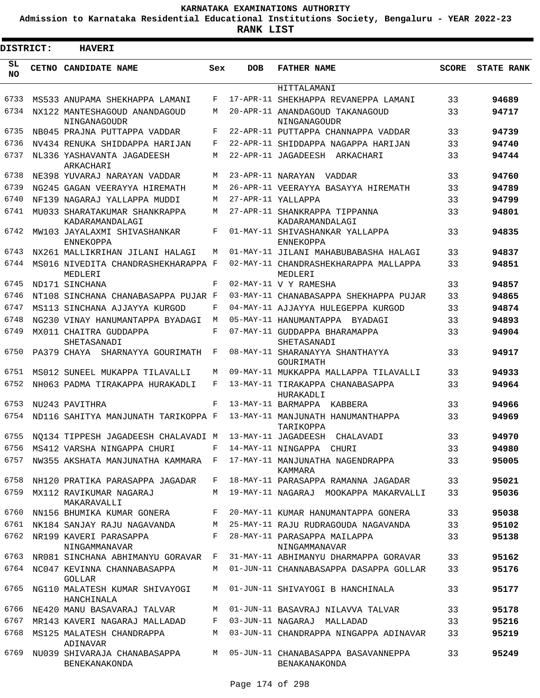**Admission to Karnataka Residential Educational Institutions Society, Bengaluru - YEAR 2022-23**

**RANK LIST**

Е

| <b>DISTRICT:</b> |  | <b>HAVERI</b>                                                          |       |            |                                                                         |              |                   |
|------------------|--|------------------------------------------------------------------------|-------|------------|-------------------------------------------------------------------------|--------------|-------------------|
| SL<br>NO.        |  | CETNO CANDIDATE NAME                                                   | Sex   | <b>DOB</b> | <b>FATHER NAME</b>                                                      | <b>SCORE</b> | <b>STATE RANK</b> |
|                  |  |                                                                        |       |            | HITTALAMANI                                                             |              |                   |
| 6733             |  | MS533 ANUPAMA SHEKHAPPA LAMANI                                         | F     |            | 17-APR-11 SHEKHAPPA REVANEPPA LAMANI                                    | 33           | 94689             |
| 6734             |  | NX122 MANTESHAGOUD ANANDAGOUD<br>NINGANAGOUDR                          | М     |            | 20-APR-11 ANANDAGOUD TAKANAGOUD<br>NINGANAGOUDR                         | 33           | 94717             |
| 6735             |  | NB045 PRAJNA PUTTAPPA VADDAR                                           | F     |            | 22-APR-11 PUTTAPPA CHANNAPPA VADDAR                                     | 33           | 94739             |
| 6736             |  | NV434 RENUKA SHIDDAPPA HARIJAN                                         | F     |            | 22-APR-11 SHIDDAPPA NAGAPPA HARIJAN                                     | 33           | 94740             |
| 6737             |  | NL336 YASHAVANTA JAGADEESH<br>ARKACHARI                                | M     |            | 22-APR-11 JAGADEESH ARKACHARI                                           | 33           | 94744             |
| 6738             |  | NE398 YUVARAJ NARAYAN VADDAR                                           | М     |            | 23-APR-11 NARAYAN VADDAR                                                | 33           | 94760             |
| 6739             |  | NG245 GAGAN VEERAYYA HIREMATH                                          | М     |            | 26-APR-11 VEERAYYA BASAYYA HIREMATH                                     | 33           | 94789             |
| 6740             |  | NF139 NAGARAJ YALLAPPA MUDDI                                           | М     |            | 27-APR-11 YALLAPPA                                                      | 33           | 94799             |
| 6741             |  | MU033 SHARATAKUMAR SHANKRAPPA<br>KADARAMANDALAGI                       | М     |            | 27-APR-11 SHANKRAPPA TIPPANNA<br>KADARAMANDALAGI                        | 33           | 94801             |
| 6742             |  | MW103 JAYALAXMI SHIVASHANKAR<br>ENNEKOPPA                              | F     |            | 01-MAY-11 SHIVASHANKAR YALLAPPA<br>ENNEKOPPA                            | 33           | 94835             |
| 6743             |  | NX261 MALLIKRIHAN JILANI HALAGI                                        | M     |            | 01-MAY-11 JILANI MAHABUBABASHA HALAGI                                   | 33           | 94837             |
| 6744             |  | MS016 NIVEDITA CHANDRASHEKHARAPPA F<br>MEDLERI                         |       |            | 02-MAY-11 CHANDRASHEKHARAPPA MALLAPPA<br>MEDLERI                        | 33           | 94851             |
| 6745             |  | ND171 SINCHANA                                                         | F     |            | 02-MAY-11 V Y RAMESHA                                                   | 33           | 94857             |
| 6746             |  | NT108 SINCHANA CHANABASAPPA PUJAR F                                    |       |            | 03-MAY-11 CHANABASAPPA SHEKHAPPA PUJAR                                  | 33           | 94865             |
| 6747             |  | MS113 SINCHANA AJJAYYA KURGOD                                          | F     |            | 04-MAY-11 AJJAYYA HULEGEPPA KURGOD                                      | 33           | 94874             |
| 6748             |  | NG230 VINAY HANUMANTAPPA BYADAGI                                       | M     |            | 05-MAY-11 HANUMANTAPPA BYADAGI                                          | 33           | 94893             |
| 6749             |  | MX011 CHAITRA GUDDAPPA<br>SHETASANADI                                  | F     |            | 07-MAY-11 GUDDAPPA BHARAMAPPA<br>SHETASANADI                            | 33           | 94904             |
| 6750             |  | PA379 CHAYA SHARNAYYA GOURIMATH                                        | F     |            | 08-MAY-11 SHARANAYYA SHANTHAYYA<br>GOURIMATH                            | 33           | 94917             |
| 6751             |  | MS012 SUNEEL MUKAPPA TILAVALLI                                         | М     |            | 09-MAY-11 MUKKAPPA MALLAPPA TILAVALLI                                   | 33           | 94933             |
| 6752             |  | NH063 PADMA TIRAKAPPA HURAKADLI                                        | F     |            | 13-MAY-11 TIRAKAPPA CHANABASAPPA<br>HURAKADLI                           | 33           | 94964             |
| 6753<br>6754     |  | NU243 PAVITHRA<br>ND116 SAHITYA MANJUNATH TARIKOPPA F                  | F     |            | 13-MAY-11 BARMAPPA KABBERA                                              | 33           | 94966             |
|                  |  |                                                                        |       |            | 13-MAY-11 MANJUNATH HANUMANTHAPPA<br>TARIKOPPA                          | 33<br>33     | 94969<br>94970    |
| 6756             |  | 6755 NQ134 TIPPESH JAGADEESH CHALAVADI M 13-MAY-11 JAGADEESH CHALAVADI | F     |            |                                                                         |              |                   |
| 6757             |  | MS412 VARSHA NINGAPPA CHURI<br>NW355 AKSHATA MANJUNATHA KAMMARA F      |       |            | 14-MAY-11 NINGAPPA CHURI<br>17-MAY-11 MANJUNATHA NAGENDRAPPA<br>KAMMARA | 33<br>33     | 94980<br>95005    |
| 6758             |  | NH120 PRATIKA PARASAPPA JAGADAR                                        | F     |            | 18-MAY-11 PARASAPPA RAMANNA JAGADAR                                     | 33           | 95021             |
| 6759             |  | MX112 RAVIKUMAR NAGARAJ<br>MAKARAVALLI                                 |       |            | M 19-MAY-11 NAGARAJ MOOKAPPA MAKARVALLI                                 | 33           | 95036             |
| 6760             |  | NN156 BHUMIKA KUMAR GONERA                                             | F     |            | 20-MAY-11 KUMAR HANUMANTAPPA GONERA                                     | 33           | 95038             |
| 6761             |  | NK184 SANJAY RAJU NAGAVANDA                                            |       |            | M 25-MAY-11 RAJU RUDRAGOUDA NAGAVANDA                                   | 33           | 95102             |
| 6762             |  | NR199 KAVERI PARASAPPA<br>NINGAMMANAVAR                                | $F -$ |            | 28-MAY-11 PARASAPPA MAILAPPA<br>NINGAMMANAVAR                           | 33           | 95138             |
| 6763             |  | NR081 SINCHANA ABHIMANYU GORAVAR F                                     |       |            | 31-MAY-11 ABHIMANYU DHARMAPPA GORAVAR                                   | 33           | 95162             |
|                  |  | 6764 NC047 KEVINNA CHANNABASAPPA<br><b>GOLLAR</b>                      | M     |            | 01-JUN-11 CHANNABASAPPA DASAPPA GOLLAR                                  | 33           | 95176             |
| 6765             |  | NG110 MALATESH KUMAR SHIVAYOGI<br>HANCHINALA                           | М     |            | 01-JUN-11 SHIVAYOGI B HANCHINALA                                        | 33           | 95177             |
| 6766             |  | NE420 MANU BASAVARAJ TALVAR                                            | М     |            | 01-JUN-11 BASAVRAJ NILAVVA TALVAR                                       | 33           | 95178             |
| 6767             |  | MR143 KAVERI NAGARAJ MALLADAD                                          | F     |            | 03-JUN-11 NAGARAJ MALLADAD                                              | 33           | 95216             |
| 6768             |  | MS125 MALATESH CHANDRAPPA<br>ADINAVAR                                  | М     |            | 03-JUN-11 CHANDRAPPA NINGAPPA ADINAVAR                                  | 33           | 95219             |
| 6769             |  | NU039 SHIVARAJA CHANABASAPPA<br>BENEKANAKONDA                          | M     |            | 05-JUN-11 CHANABASAPPA BASAVANNEPPA<br>BENAKANAKONDA                    | 33           | 95249             |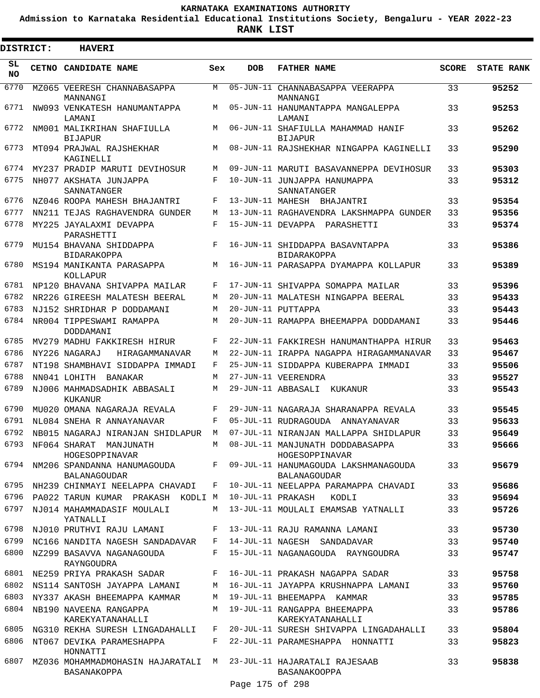**Admission to Karnataka Residential Educational Institutions Society, Bengaluru - YEAR 2022-23**

.

| <b>DISTRICT:</b> | <b>HAVERI</b>                                                                   |     |                 |                                                       |              |                   |
|------------------|---------------------------------------------------------------------------------|-----|-----------------|-------------------------------------------------------|--------------|-------------------|
| SL<br><b>NO</b>  | CETNO CANDIDATE NAME                                                            | Sex | <b>DOB</b>      | <b>FATHER NAME</b>                                    | <b>SCORE</b> | <b>STATE RANK</b> |
| 6770             | MZ065 VEERESH CHANNABASAPPA<br>MANNANGI                                         | M   | 05-JUN-11       | CHANNABASAPPA VEERAPPA<br>MANNANGI                    | 33           | 95252             |
| 6771             | NW093 VENKATESH HANUMANTAPPA<br>LAMANI                                          | M   |                 | 05-JUN-11 HANUMANTAPPA MANGALEPPA<br>LAMANI           | 33           | 95253             |
| 6772             | NM001 MALIKRIHAN SHAFIULLA<br><b>BIJAPUR</b>                                    | М   |                 | 06-JUN-11 SHAFIULLA MAHAMMAD HANIF<br><b>BIJAPUR</b>  | 33           | 95262             |
| 6773             | MT094 PRAJWAL RAJSHEKHAR<br>KAGINELLI                                           | М   |                 | 08-JUN-11 RAJSHEKHAR NINGAPPA KAGINELLI               | 33           | 95290             |
| 6774             | MY237 PRADIP MARUTI DEVIHOSUR                                                   | М   |                 | 09-JUN-11 MARUTI BASAVANNEPPA DEVIHOSUR               | 33           | 95303             |
| 6775             | NH077 AKSHATA JUNJAPPA<br>SANNATANGER                                           | F   |                 | 10-JUN-11 JUNJAPPA HANUMAPPA<br>SANNATANGER           | 33           | 95312             |
| 6776             | NZ046 ROOPA MAHESH BHAJANTRI                                                    | F   |                 | 13-JUN-11 MAHESH BHAJANTRI                            | 33           | 95354             |
| 6777             | NN211 TEJAS RAGHAVENDRA GUNDER                                                  | М   |                 | 13-JUN-11 RAGHAVENDRA LAKSHMAPPA GUNDER               | 33           | 95356             |
| 6778             | MY225 JAYALAXMI DEVAPPA<br>PARASHETTI                                           | F   |                 | 15-JUN-11 DEVAPPA PARASHETTI                          | 33           | 95374             |
| 6779             | MU154 BHAVANA SHIDDAPPA<br><b>BIDARAKOPPA</b>                                   | F   |                 | 16-JUN-11 SHIDDAPPA BASAVNTAPPA<br><b>BIDARAKOPPA</b> | 33           | 95386             |
| 6780             | MS194 MANIKANTA PARASAPPA<br>KOLLAPUR                                           | M   |                 | 16-JUN-11 PARASAPPA DYAMAPPA KOLLAPUR                 | 33           | 95389             |
| 6781             | NP120 BHAVANA SHIVAPPA MAILAR                                                   | F   |                 | 17-JUN-11 SHIVAPPA SOMAPPA MAILAR                     | 33           | 95396             |
| 6782             | NR226 GIREESH MALATESH BEERAL                                                   | M   |                 | 20-JUN-11 MALATESH NINGAPPA BEERAL                    | 33           | 95433             |
| 6783             | NJ152 SHRIDHAR P DODDAMANI                                                      | М   |                 | 20-JUN-11 PUTTAPPA                                    | 33           | 95443             |
| 6784             | NR004 TIPPESWAMI RAMAPPA<br>DODDAMANI                                           | М   |                 | 20-JUN-11 RAMAPPA BHEEMAPPA DODDAMANI                 | 33           | 95446             |
| 6785             | MV279 MADHU FAKKIRESH HIRUR                                                     | F   |                 | 22-JUN-11 FAKKIRESH HANUMANTHAPPA HIRUR               | 33           | 95463             |
| 6786             | NY226 NAGARAJ<br>HIRAGAMMANAVAR                                                 | М   |                 | 22-JUN-11 IRAPPA NAGAPPA HIRAGAMMANAVAR               | 33           | 95467             |
| 6787             | NT198 SHAMBHAVI SIDDAPPA IMMADI                                                 | F   |                 | 25-JUN-11 SIDDAPPA KUBERAPPA IMMADI                   | 33           | 95506             |
| 6788             | NN041 LOHITH<br>BANAKAR                                                         | М   |                 | 27-JUN-11 VEERENDRA                                   | 33           | 95527             |
| 6789             | NJ006 MAHMADSADHIK ABBASALI<br>KUKANUR                                          | M   |                 | 29-JUN-11 ABBASALI<br>KUKANUR                         | 33           | 95543             |
| 6790             | MU020 OMANA NAGARAJA REVALA                                                     | F   |                 | 29-JUN-11 NAGARAJA SHARANAPPA REVALA                  | 33           | 95545             |
| 6791             | NL084 SNEHA R ANNAYANAVAR                                                       | F   |                 | 05-JUL-11 RUDRAGOUDA ANNAYANAVAR                      | 33           | 95633             |
| 6792             | NB015 NAGARAJ NIRANJAN SHIDLAPUR                                                | M   |                 | 07-JUL-11 NIRANJAN MALLAPPA SHIDLAPUR                 | 33           | 95649             |
|                  | 6793 NF064 SHARAT MANJUNATH<br>HOGESOPPINAVAR                                   | M   |                 | 08-JUL-11 MANJUNATH DODDABASAPPA<br>HOGESOPPINAVAR    | 33           | 95666             |
| 6794             | NM206 SPANDANNA HANUMAGOUDA<br><b>BALANAGOUDAR</b>                              | F   |                 | 09-JUL-11 HANUMAGOUDA LAKSHMANAGOUDA<br>BALANAGOUDAR  | 33           | 95679             |
| 6795             | NH239 CHINMAYI NEELAPPA CHAVADI                                                 | F   |                 | 10-JUL-11 NEELAPPA PARAMAPPA CHAVADI                  | 33           | 95686             |
|                  | 6796 PA022 TARUN KUMAR PRAKASH KODLI M                                          |     |                 | 10-JUL-11 PRAKASH<br>KODLI                            | 33           | 95694             |
| 6797             | NJ014 MAHAMMADASIF MOULALI<br>YATNALLI                                          | М   |                 | 13-JUL-11 MOULALI EMAMSAB YATNALLI                    | 33           | 95726             |
| 6798             | NJ010 PRUTHVI RAJU LAMANI                                                       | F   |                 | 13-JUL-11 RAJU RAMANNA LAMANI                         | 33           | 95730             |
| 6799             | NC166 NANDITA NAGESH SANDADAVAR                                                 | F   |                 | 14-JUL-11 NAGESH SANDADAVAR                           | 33           | 95740             |
| 6800             | NZ299 BASAVVA NAGANAGOUDA<br>RAYNGOUDRA                                         | F   |                 | 15-JUL-11 NAGANAGOUDA RAYNGOUDRA                      | 33           | 95747             |
| 6801             | NE259 PRIYA PRAKASH SADAR                                                       | F   |                 | 16-JUL-11 PRAKASH NAGAPPA SADAR                       | 33           | 95758             |
| 6802             | NS114 SANTOSH JAYAPPA LAMANI                                                    | М   |                 | 16-JUL-11 JAYAPPA KRUSHNAPPA LAMANI                   | 33           | 95760             |
| 6803             | NY337 AKASH BHEEMAPPA KAMMAR                                                    | M   |                 | 19-JUL-11 BHEEMAPPA KAMMAR                            | 33           | 95785             |
| 6804             | NB190 NAVEENA RANGAPPA<br>KAREKYATANAHALLI                                      | M   |                 | 19-JUL-11 RANGAPPA BHEEMAPPA<br>KAREKYATANAHALLI      | 33           | 95786             |
|                  | 6805 NG310 REKHA SURESH LINGADAHALLI                                            | F   |                 | 20-JUL-11 SURESH SHIVAPPA LINGADAHALLI                | 33           | 95804             |
| 6806             | NT067 DEVIKA PARAMESHAPPA<br>HONNATTI                                           | F   |                 | 22-JUL-11 PARAMESHAPPA HONNATTI                       | 33           | 95823             |
| 6807             | MZ036 MOHAMMADMOHASIN HAJARATALI M 23-JUL-11 HAJARATALI RAJESAAB<br>BASANAKOPPA |     |                 | BASANAKOOPPA                                          | 33           | 95838             |
|                  |                                                                                 |     | Page 175 of 298 |                                                       |              |                   |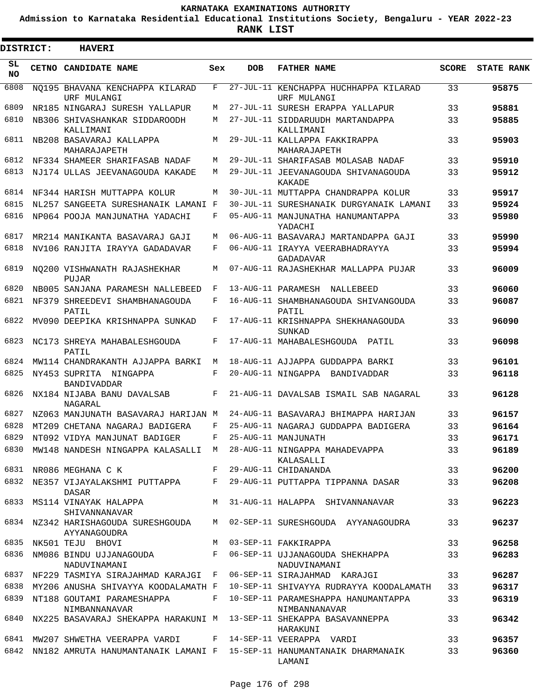**Admission to Karnataka Residential Educational Institutions Society, Bengaluru - YEAR 2022-23**

ı

| <b>DISTRICT:</b> | <b>HAVERI</b>                                    |     |     |                                                                                           |              |                   |
|------------------|--------------------------------------------------|-----|-----|-------------------------------------------------------------------------------------------|--------------|-------------------|
| SL<br><b>NO</b>  | <b>CETNO CANDIDATE NAME</b>                      | Sex | DOB | <b>FATHER NAME</b>                                                                        | <b>SCORE</b> | <b>STATE RANK</b> |
| 6808             | NO195 BHAVANA KENCHAPPA KILARAD<br>URF MULANGI   | F   |     | 27-JUL-11 KENCHAPPA HUCHHAPPA KILARAD<br>URF MULANGI                                      | 33           | 95875             |
| 6809             | NR185 NINGARAJ SURESH YALLAPUR                   | M   |     | 27-JUL-11 SURESH ERAPPA YALLAPUR                                                          | 33           | 95881             |
| 6810             | NB306 SHIVASHANKAR SIDDAROODH<br>KALLIMANI       | М   |     | 27-JUL-11 SIDDARUUDH MARTANDAPPA<br>KALLIMANI                                             | 33           | 95885             |
| 6811             | NB208 BASAVARAJ KALLAPPA<br>MAHARAJAPETH         | M   |     | 29-JUL-11 KALLAPPA FAKKIRAPPA<br>MAHARAJAPETH                                             | 33           | 95903             |
| 6812             | NF334 SHAMEER SHARIFASAB NADAF                   | М   |     | 29-JUL-11 SHARIFASAB MOLASAB NADAF                                                        | 33           | 95910             |
| 6813             | NJ174 ULLAS JEEVANAGOUDA KAKADE                  | М   |     | 29-JUL-11 JEEVANAGOUDA SHIVANAGOUDA<br>KAKADE                                             | 33           | 95912             |
| 6814             | NF344 HARISH MUTTAPPA KOLUR                      | М   |     | 30-JUL-11 MUTTAPPA CHANDRAPPA KOLUR                                                       | 33           | 95917             |
| 6815             | NL257 SANGEETA SURESHANAIK LAMANI F              |     |     | 30-JUL-11 SURESHANAIK DURGYANAIK LAMANI                                                   | 33           | 95924             |
| 6816             | NP064 POOJA MANJUNATHA YADACHI                   | F   |     | 05-AUG-11 MANJUNATHA HANUMANTAPPA<br>YADACHI                                              | 33           | 95980             |
| 6817             | MR214 MANIKANTA BASAVARAJ GAJI                   | М   |     | 06-AUG-11 BASAVARAJ MARTANDAPPA GAJI                                                      | 33           | 95990             |
| 6818             | NV106 RANJITA IRAYYA GADADAVAR                   | F   |     | 06-AUG-11 IRAYYA VEERABHADRAYYA<br><b>GADADAVAR</b>                                       | 33           | 95994             |
| 6819             | NO200 VISHWANATH RAJASHEKHAR<br>PUJAR            | М   |     | 07-AUG-11 RAJASHEKHAR MALLAPPA PUJAR                                                      | 33           | 96009             |
| 6820             | NB005 SANJANA PARAMESH NALLEBEED                 | F   |     | 13-AUG-11 PARAMESH<br>NALLEBEED                                                           | 33           | 96060             |
| 6821             | NF379 SHREEDEVI SHAMBHANAGOUDA<br>PATIL          | F   |     | 16-AUG-11 SHAMBHANAGOUDA SHIVANGOUDA<br>PATIL                                             | 33           | 96087             |
| 6822             | MV090 DEEPIKA KRISHNAPPA SUNKAD                  | F   |     | 17-AUG-11 KRISHNAPPA SHEKHANAGOUDA<br>SUNKAD                                              | 33           | 96090             |
| 6823             | NC173 SHREYA MAHABALESHGOUDA<br>PATIL            | F   |     | 17-AUG-11 MAHABALESHGOUDA PATIL                                                           | 33           | 96098             |
| 6824             | MW114 CHANDRAKANTH AJJAPPA BARKI                 | М   |     | 18-AUG-11 AJJAPPA GUDDAPPA BARKI                                                          | 33           | 96101             |
| 6825             | NY453 SUPRITA NINGAPPA<br><b>BANDIVADDAR</b>     | F   |     | 20-AUG-11 NINGAPPA BANDIVADDAR                                                            | 33           | 96118             |
| 6826             | NX184 NIJABA BANU DAVALSAB<br>NAGARAL            | F   |     | 21-AUG-11 DAVALSAB ISMAIL SAB NAGARAL                                                     | 33           | 96128             |
| 6827             | NZ063 MANJUNATH BASAVARAJ HARIJAN M              |     |     | 24-AUG-11 BASAVARAJ BHIMAPPA HARIJAN                                                      | 33           | 96157             |
| 6828             | MT209 CHETANA NAGARAJ BADIGERA                   | F   |     | 25-AUG-11 NAGARAJ GUDDAPPA BADIGERA                                                       | 33           | 96164             |
| 6829             | NT092 VIDYA MANJUNAT BADIGER                     | F   |     | 25-AUG-11 MANJUNATH                                                                       | 33           | 96171             |
|                  |                                                  |     |     | 6830 MW148 NANDESH NINGAPPA KALASALLI M 28-AUG-11 NINGAPPA MAHADEVAPPA<br>KALASALLI       | 33           | 96189             |
|                  | F 29-AUG-11 CHIDANANDA<br>6831 NR086 MEGHANA C K |     |     |                                                                                           | 33           | 96200             |
|                  | DASAR                                            |     |     | 6832 NE357 VIJAYALAKSHMI PUTTAPPA F 29-AUG-11 PUTTAPPA TIPPANNA DASAR                     | 33           | 96208             |
|                  | 6833 MS114 VINAYAK HALAPPA<br>SHIVANNANAVAR      |     |     | M 31-AUG-11 HALAPPA SHIVANNANAVAR                                                         | 33           | 96223             |
|                  | AYYANAGOUDRA                                     |     |     | 6834 NZ342 HARISHAGOUDA SURESHGOUDA M 02-SEP-11 SURESHGOUDA AYYANAGOUDRA                  | 33           | 96237             |
|                  | 6835 NK501 TEJU BHOVI<br>M 03-SEP-11 FAKKIRAPPA  |     |     |                                                                                           | 33           | 96258             |
|                  | NADUVINAMANI                                     |     |     | 6836 NM086 BINDU UJJANAGOUDA F 06-SEP-11 UJJANAGOUDA SHEKHAPPA<br>NADUVINAMANI            | 33           | 96283             |
|                  |                                                  |     |     | 6837 NF229 TASMIYA SIRAJAHMAD KARAJGI F 06-SEP-11 SIRAJAHMAD KARAJGI                      | 33           | 96287             |
|                  | 6838 MY206 ANUSHA SHIVAYYA KOODALAMATH F         |     |     | 10-SEP-11 SHIVAYYA RUDRAYYA KOODALAMATH 33                                                |              | 96317             |
|                  | NIMBANNANAVAR                                    |     |     | 6839 NT188 GOUTAMI PARAMESHAPPA F 10-SEP-11 PARAMESHAPPA HANUMANTAPPA 33<br>NIMBANNANAVAR |              | 96319             |
|                  |                                                  |     |     | 6840 NX225 BASAVARAJ SHEKAPPA HARAKUNI M 13-SEP-11 SHEKAPPA BASAVANNEPPA<br>HARAKUNI      | 33           | 96342             |
|                  |                                                  |     |     | 6841 MW207 SHWETHA VEERAPPA VARDI F 14-SEP-11 VEERAPPA VARDI                              | 33           | 96357             |
|                  |                                                  |     |     | 6842 NN182 AMRUTA HANUMANTANAIK LAMANI F 15-SEP-11 HANUMANTANAIK DHARMANAIK 33<br>LAMANI  |              | 96360             |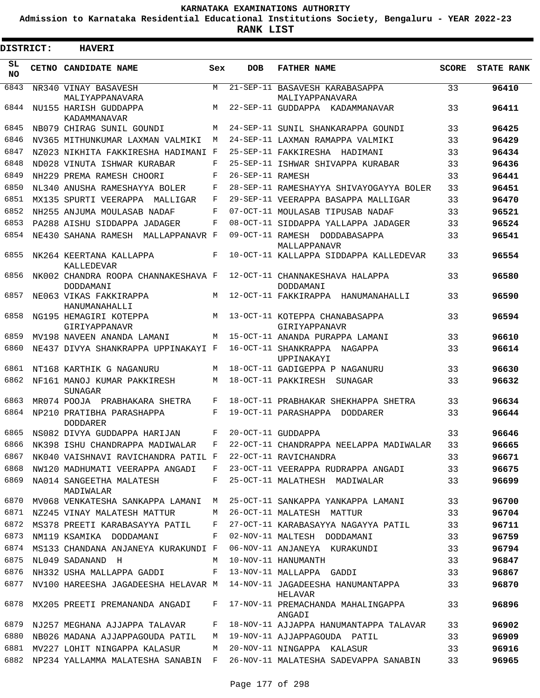**Admission to Karnataka Residential Educational Institutions Society, Bengaluru - YEAR 2022-23**

**RANK LIST**

ı

| <b>DISTRICT:</b> | <b>HAVERI</b>                                    |     |                  |                                                                                  |              |                   |
|------------------|--------------------------------------------------|-----|------------------|----------------------------------------------------------------------------------|--------------|-------------------|
| SL<br><b>NO</b>  | CETNO CANDIDATE NAME                             | Sex | <b>DOB</b>       | <b>FATHER NAME</b>                                                               | <b>SCORE</b> | <b>STATE RANK</b> |
| 6843             | NR340 VINAY BASAVESH<br>MALIYAPPANAVARA          | M   |                  | 21-SEP-11 BASAVESH KARABASAPPA<br>MALIYAPPANAVARA                                | 33           | 96410             |
| 6844             | NU155 HARISH GUDDAPPA<br>KADAMMANAVAR            | M   |                  | 22-SEP-11 GUDDAPPA KADAMMANAVAR                                                  | 33           | 96411             |
| 6845             | NB079 CHIRAG SUNIL GOUNDI                        | М   |                  | 24-SEP-11 SUNIL SHANKARAPPA GOUNDI                                               | 33           | 96425             |
| 6846             | NV365 MITHUNKUMAR LAXMAN VALMIKI                 | M   |                  | 24-SEP-11 LAXMAN RAMAPPA VALMIKI                                                 | 33           | 96429             |
| 6847             | NZ023 NIKHITA FAKKIRESHA HADIMANI F              |     |                  | 25-SEP-11 FAKKIRESHA HADIMANI                                                    | 33           | 96434             |
| 6848             | ND028 VINUTA ISHWAR KURABAR                      | F   |                  | 25-SEP-11 ISHWAR SHIVAPPA KURABAR                                                | 33           | 96436             |
| 6849             | NH229 PREMA RAMESH CHOORI                        | F   | 26-SEP-11 RAMESH |                                                                                  | 33           | 96441             |
| 6850             | NL340 ANUSHA RAMESHAYYA BOLER                    | F   |                  | 28-SEP-11 RAMESHAYYA SHIVAYOGAYYA BOLER                                          | 33           | 96451             |
| 6851             | MX135 SPURTI VEERAPPA<br>MALLIGAR                | F   |                  | 29-SEP-11 VEERAPPA BASAPPA MALLIGAR                                              | 33           | 96470             |
| 6852             | NH255 ANJUMA MOULASAB NADAF                      | F   |                  | 07-OCT-11 MOULASAB TIPUSAB NADAF                                                 | 33           | 96521             |
| 6853             | PA288 AISHU SIDDAPPA JADAGER                     | F   |                  | 08-OCT-11 SIDDAPPA YALLAPPA JADAGER                                              | 33           | 96524             |
| 6854             | NE430 SAHANA RAMESH MALLAPPANAVR F               |     |                  | 09-OCT-11 RAMESH DODDABASAPPA<br>MALLAPPANAVR                                    | 33           | 96541             |
| 6855             | NK264 KEERTANA KALLAPPA<br>KALLEDEVAR            | F   |                  | 10-OCT-11 KALLAPPA SIDDAPPA KALLEDEVAR                                           | 33           | 96554             |
| 6856             | NK002 CHANDRA ROOPA CHANNAKESHAVA F<br>DODDAMANI |     |                  | 12-OCT-11 CHANNAKESHAVA HALAPPA<br>DODDAMANI                                     | 33           | 96580             |
| 6857             | NE063 VIKAS FAKKIRAPPA<br>HANUMANAHALLI          | M   |                  | 12-OCT-11 FAKKIRAPPA HANUMANAHALLI                                               | 33           | 96590             |
| 6858             | NG195 HEMAGIRI KOTEPPA<br>GIRIYAPPANAVR          | M   |                  | 13-OCT-11 KOTEPPA CHANABASAPPA<br>GIRIYAPPANAVR                                  | 33           | 96594             |
| 6859             | MV198 NAVEEN ANANDA LAMANI                       | M   |                  | 15-OCT-11 ANANDA PURAPPA LAMANI                                                  | 33           | 96610             |
| 6860             | NE437 DIVYA SHANKRAPPA UPPINAKAYI F              |     |                  | 16-OCT-11 SHANKRAPPA<br>NAGAPPA<br>UPPINAKAYI                                    | 33           | 96614             |
| 6861             | NT168 KARTHIK G NAGANURU                         | М   |                  | 18-OCT-11 GADIGEPPA P NAGANURU                                                   | 33           | 96630             |
| 6862             | NF161 MANOJ KUMAR PAKKIRESH<br>SUNAGAR           | M   |                  | 18-OCT-11 PAKKIRESH<br>SUNAGAR                                                   | 33           | 96632             |
| 6863             | MR074 POOJA PRABHAKARA SHETRA                    | F   |                  | 18-OCT-11 PRABHAKAR SHEKHAPPA SHETRA                                             | 33           | 96634             |
| 6864             | NP210 PRATIBHA PARASHAPPA<br><b>DODDARER</b>     | F   |                  | 19-OCT-11 PARASHAPPA DODDARER                                                    | 33           | 96644             |
| 6865             | NS082 DIVYA GUDDAPPA HARIJAN                     | F   |                  | 20-OCT-11 GUDDAPPA                                                               | 33           | 96646             |
| 6866             | NK398 ISHU CHANDRAPPA MADIWALAR                  | F   |                  | 22-OCT-11 CHANDRAPPA NEELAPPA MADIWALAR                                          | 33           | 96665             |
| 6867             | NK040 VAISHNAVI RAVICHANDRA PATIL F              |     |                  | 22-OCT-11 RAVICHANDRA                                                            | 33           | 96671             |
| 6868             | NW120 MADHUMATI VEERAPPA ANGADI                  | F   |                  | 23-OCT-11 VEERAPPA RUDRAPPA ANGADI                                               | 33           | 96675             |
| 6869             | NA014 SANGEETHA MALATESH<br>MADIWALAR            | F   |                  | 25-OCT-11 MALATHESH MADIWALAR                                                    | 33           | 96699             |
| 6870             | MV068 VENKATESHA SANKAPPA LAMANI                 | M   |                  | 25-OCT-11 SANKAPPA YANKAPPA LAMANI                                               | 33           | 96700             |
| 6871             | NZ245 VINAY MALATESH MATTUR                      | M   |                  | 26-OCT-11 MALATESH MATTUR                                                        | 33           | 96704             |
| 6872             | MS378 PREETI KARABASAYYA PATIL                   | F   |                  | 27-OCT-11 KARABASAYYA NAGAYYA PATIL                                              | 33           | 96711             |
| 6873             | NM119 KSAMIKA DODDAMANI                          | F   |                  | 02-NOV-11 MALTESH DODDAMANI                                                      | 33           | 96759             |
| 6874             | MS133 CHANDANA ANJANEYA KURAKUNDI F              |     |                  | 06-NOV-11 ANJANEYA KURAKUNDI                                                     | 33           | 96794             |
| 6875             | NL049 SADANAND H                                 | M   |                  | 10-NOV-11 HANUMANTH                                                              | 33           | 96847             |
| 6876             | NH332 USHA MALLAPPA GADDI                        | F   |                  | 13-NOV-11 MALLAPPA GADDI                                                         | 33           | 96867             |
| 6877             |                                                  |     |                  | NV100 HAREESHA JAGADEESHA HELAVAR M 14-NOV-11 JAGADEESHA HANUMANTAPPA<br>HELAVAR | 33           | 96870             |
| 6878             | MX205 PREETI PREMANANDA ANGADI                   | F   |                  | 17-NOV-11 PREMACHANDA MAHALINGAPPA<br>ANGADI                                     | 33           | 96896             |
| 6879             | NJ257 MEGHANA AJJAPPA TALAVAR                    | F   |                  | 18-NOV-11 AJJAPPA HANUMANTAPPA TALAVAR                                           | 33           | 96902             |
| 6880             | NB026 MADANA AJJAPPAGOUDA PATIL                  | M   |                  | 19-NOV-11 AJJAPPAGOUDA PATIL                                                     | 33           | 96909             |
| 6881             | MV227 LOHIT NINGAPPA KALASUR                     | M   |                  | 20-NOV-11 NINGAPPA KALASUR                                                       | 33           | 96916             |
| 6882             | NP234 YALLAMMA MALATESHA SANABIN F               |     |                  | 26-NOV-11 MALATESHA SADEVAPPA SANABIN                                            | 33           | 96965             |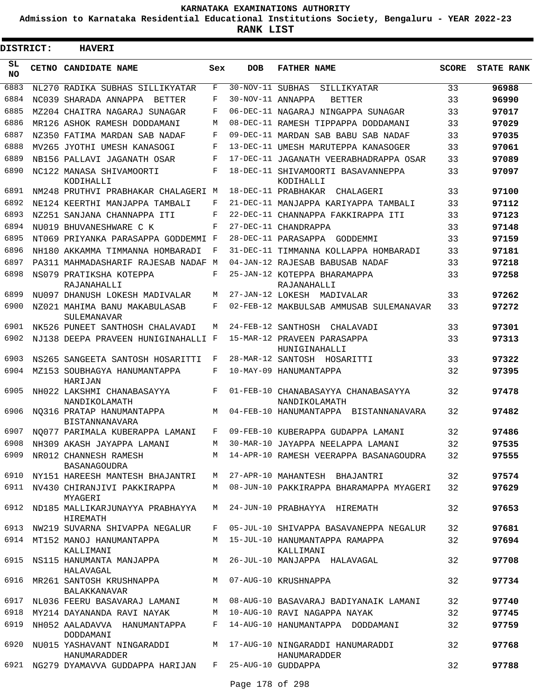**Admission to Karnataka Residential Educational Institutions Society, Bengaluru - YEAR 2022-23**

 $\blacksquare$ 

**RANK LIST**

Е

| <b>DISTRICT:</b> | <b>HAVERI</b>                                             |     |                   |                                                      |              |                   |
|------------------|-----------------------------------------------------------|-----|-------------------|------------------------------------------------------|--------------|-------------------|
| SL<br><b>NO</b>  | <b>CETNO CANDIDATE NAME</b>                               | Sex | <b>DOB</b>        | <b>FATHER NAME</b>                                   | <b>SCORE</b> | <b>STATE RANK</b> |
| 6883             | NL270 RADIKA SUBHAS SILLIKYATAR                           | F   | 30-NOV-11 SUBHAS  | SILLIKYATAR                                          | 33           | 96988             |
| 6884             | NC039 SHARADA ANNAPPA<br>BETTER                           | F   | 30-NOV-11 ANNAPPA | <b>BETTER</b>                                        | 33           | 96990             |
| 6885             | MZ204 CHAITRA NAGARAJ SUNAGAR                             | F   |                   | 06-DEC-11 NAGARAJ NINGAPPA SUNAGAR                   | 33           | 97017             |
| 6886             | MR126 ASHOK RAMESH DODDAMANI                              | М   |                   | 08-DEC-11 RAMESH TIPPAPPA DODDAMANI                  | 33           | 97029             |
| 6887             | NZ350 FATIMA MARDAN SAB NADAF                             | F   |                   | 09-DEC-11 MARDAN SAB BABU SAB NADAF                  | 33           | 97035             |
| 6888             | MV265 JYOTHI UMESH KANASOGI                               | F   |                   | 13-DEC-11 UMESH MARUTEPPA KANASOGER                  | 33           | 97061             |
| 6889             | NB156 PALLAVI JAGANATH OSAR                               | F   |                   | 17-DEC-11 JAGANATH VEERABHADRAPPA OSAR               | 33           | 97089             |
| 6890             | NC122 MANASA SHIVAMOORTI<br>KODIHALLI                     | F   |                   | 18-DEC-11 SHIVAMOORTI BASAVANNEPPA<br>KODIHALLI      | 33           | 97097             |
| 6891             | NM248 PRUTHVI PRABHAKAR CHALAGERI M                       |     |                   | 18-DEC-11 PRABHAKAR<br>CHALAGERI                     | 33           | 97100             |
| 6892             | NE124 KEERTHI MANJAPPA TAMBALI                            | F   |                   | 21-DEC-11 MANJAPPA KARIYAPPA TAMBALI                 | 33           | 97112             |
| 6893             | NZ251 SANJANA CHANNAPPA ITI                               | F   |                   | 22-DEC-11 CHANNAPPA FAKKIRAPPA ITI                   | 33           | 97123             |
| 6894             | NU019 BHUVANESHWARE C K                                   | F   |                   | 27-DEC-11 CHANDRAPPA                                 | 33           | 97148             |
| 6895             | NT069 PRIYANKA PARASAPPA GODDEMMI F                       |     |                   | 28-DEC-11 PARASAPPA GODDEMMI                         | 33           | 97159             |
| 6896             | NH180 AKKAMMA TIMMANNA HOMBARADI                          | F   |                   | 31-DEC-11 TIMMANNA KOLLAPPA HOMBARADI                | 33           | 97181             |
| 6897             | PA311 MAHMADASHARIF RAJESAB NADAF M                       |     |                   | 04-JAN-12 RAJESAB BABUSAB NADAF                      | 33           | 97218             |
| 6898             | NS079 PRATIKSHA KOTEPPA<br>RAJANAHALLI                    | F   |                   | 25-JAN-12 KOTEPPA BHARAMAPPA<br>RAJANAHALLI          | 33           | 97258             |
| 6899             | NU097 DHANUSH LOKESH MADIVALAR                            | M   |                   | 27-JAN-12 LOKESH MADIVALAR                           | 33           | 97262             |
| 6900             | NZ021 MAHIMA BANU MAKABULASAB<br>SULEMANAVAR              | F   |                   | 02-FEB-12 MAKBULSAB AMMUSAB SULEMANAVAR              | 33           | 97272             |
| 6901             | NK526 PUNEET SANTHOSH CHALAVADI                           | М   | 24-FEB-12         | SANTHOSH<br>CHALAVADI                                | 33           | 97301             |
| 6902             | NJ138 DEEPA PRAVEEN HUNIGINAHALLI F                       |     |                   | 15-MAR-12 PRAVEEN PARASAPPA<br>HUNIGINAHALLI         | 33           | 97313             |
| 6903             | NS265 SANGEETA SANTOSH HOSARITTI                          | F   |                   | 28-MAR-12 SANTOSH HOSARITTI                          | 33           | 97322             |
| 6904             | MZ153 SOUBHAGYA HANUMANTAPPA<br>HARIJAN                   | F   |                   | 10-MAY-09 HANUMANTAPPA                               | 32           | 97395             |
| 6905             | NH022 LAKSHMI CHANABASAYYA<br>NANDIKOLAMATH               | F   |                   | 01-FEB-10 CHANABASAYYA CHANABASAYYA<br>NANDIKOLAMATH | 32           | 97478             |
| 6906             | NO316 PRATAP HANUMANTAPPA<br>BISTANNANAVARA               | М   |                   | 04-FEB-10 HANUMANTAPPA BISTANNANAVARA                | 32           | 97482             |
| 6907             | NO077 PARIMALA KUBERAPPA LAMANI                           | F   |                   | 09-FEB-10 KUBERAPPA GUDAPPA LAMANI                   | 32           | 97486             |
| 6908             | NH309 AKASH JAYAPPA LAMANI                                |     |                   | M 30-MAR-10 JAYAPPA NEELAPPA LAMANI                  | 32           | 97535             |
| 6909             | NR012 CHANNESH RAMESH<br>BASANAGOUDRA                     |     |                   | M 14-APR-10 RAMESH VEERAPPA BASANAGOUDRA             | 32           | 97555             |
| 6910             | NY151 HAREESH MANTESH BHAJANTRI                           |     |                   | M 27-APR-10 MAHANTESH BHAJANTRI                      | 32           | 97574             |
|                  | 6911 NV430 CHIRANJIVI PAKKIRAPPA<br>MYAGERI               |     |                   | M 08-JUN-10 PAKKIRAPPA BHARAMAPPA MYAGERI            | 32           | 97629             |
|                  | 6912 ND185 MALLIKARJUNAYYA PRABHAYYA<br>HIREMATH          | M   |                   | 24-JUN-10 PRABHAYYA HIREMATH                         | 32           | 97653             |
|                  | 6913 NW219 SUVARNA SHIVAPPA NEGALUR                       |     |                   | F 05-JUL-10 SHIVAPPA BASAVANEPPA NEGALUR             | 32           | 97681             |
|                  | 6914 MT152 MANOJ HANUMANTAPPA<br>KALLIMANI                |     |                   | M 15-JUL-10 HANUMANTAPPA RAMAPPA<br>KALLIMANI        | 32           | 97694             |
|                  | 6915 NS115 HANUMANTA MANJAPPA<br>HALAVAGAL                |     |                   | M 26-JUL-10 MANJAPPA HALAVAGAL                       | 32           | 97708             |
|                  | 6916 MR261 SANTOSH KRUSHNAPPA<br>BALAKKANAVAR             |     |                   | M 07-AUG-10 KRUSHNAPPA                               | 32           | 97734             |
|                  | 6917 NL036 FEERU BASAVARAJ LAMANI                         |     |                   | M 08-AUG-10 BASAVARAJ BADIYANAIK LAMANI              | 32           | 97740             |
| 6918             | MY214 DAYANANDA RAVI NAYAK                                |     |                   | M 10-AUG-10 RAVI NAGAPPA NAYAK                       | 32           | 97745             |
| 6919             | NH052 AALADAVVA HANUMANTAPPA<br>DODDAMANI                 |     |                   | F 14-AUG-10 HANUMANTAPPA DODDAMANI                   | 32           | 97759             |
| 6920             | NU015 YASHAVANT NINGARADDI<br>HANUMARADDER                |     |                   | M 17-AUG-10 NINGARADDI HANUMARADDI<br>HANUMARADDER   | 32           | 97768             |
|                  | 6921 NG279 DYAMAVVA GUDDAPPA HARIJAN F 25-AUG-10 GUDDAPPA |     |                   |                                                      | 32           | 97788             |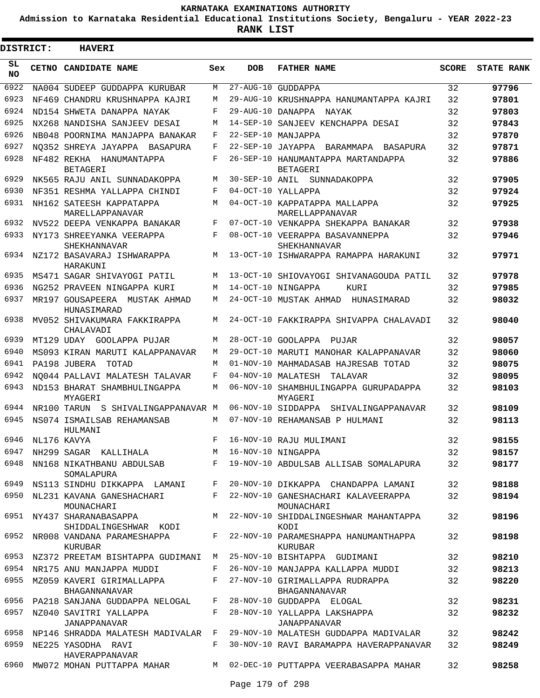**Admission to Karnataka Residential Educational Institutions Society, Bengaluru - YEAR 2022-23**

**RANK LIST**

ı

| <b>DISTRICT:</b> |                  | <b>HAVERI</b>                                     |       |                      |                                                                   |              |                   |
|------------------|------------------|---------------------------------------------------|-------|----------------------|-------------------------------------------------------------------|--------------|-------------------|
| SL<br><b>NO</b>  |                  | CETNO CANDIDATE NAME                              | Sex   | <b>DOB</b>           | <b>FATHER NAME</b>                                                | <b>SCORE</b> | <b>STATE RANK</b> |
| 6922             |                  | NA004 SUDEEP GUDDAPPA KURUBAR                     | M     | $27 - \text{AUG}-10$ | GUDDAPPA                                                          | 32           | 97796             |
| 6923             |                  | NF469 CHANDRU KRUSHNAPPA KAJRI                    | M     | 29-AUG-10            | KRUSHNAPPA HANUMANTAPPA KAJRI                                     | 32           | 97801             |
| 6924             |                  | ND154 SHWETA DANAPPA NAYAK                        | F     | 29-AUG-10            | DANAPPA<br>NAYAK                                                  | 32           | 97803             |
| 6925             |                  | NX268 NANDISHA SANJEEV DESAI                      | M     | $14 - SEP - 10$      | SANJEEV KENCHAPPA DESAI                                           | 32           | 97843             |
| 6926             |                  | NB048 POORNIMA MANJAPPA BANAKAR                   | F     | $22 - SEP - 10$      | MANJAPPA                                                          | 32           | 97870             |
| 6927             |                  | NO352 SHREYA JAYAPPA BASAPURA                     | F     | $22 - SEP - 10$      | JAYAPPA BARAMMAPA BASAPURA                                        | 32           | 97871             |
| 6928             |                  | NF482 REKHA HANUMANTAPPA<br><b>BETAGERI</b>       | F     | 26-SEP-10            | HANUMANTAPPA MARTANDAPPA<br><b>BETAGERI</b>                       | 32           | 97886             |
| 6929             |                  | NK565 RAJU ANIL SUNNADAKOPPA                      | M     |                      | 30-SEP-10 ANIL SUNNADAKOPPA                                       | 32           | 97905             |
| 6930             |                  | NF351 RESHMA YALLAPPA CHINDI                      | F     |                      | 04-OCT-10 YALLAPPA                                                | 32           | 97924             |
| 6931             |                  | NH162 SATEESH KAPPATAPPA<br>MARELLAPPANAVAR       | M     |                      | 04-OCT-10 KAPPATAPPA MALLAPPA<br>MARELLAPPANAVAR                  | 32           | 97925             |
| 6932             |                  | NV522 DEEPA VENKAPPA BANAKAR                      | F     |                      | 07-OCT-10 VENKAPPA SHEKAPPA BANAKAR                               | 32           | 97938             |
| 6933             |                  | NY173 SHREEYANKA VEERAPPA<br>SHEKHANNAVAR         | F     |                      | 08-OCT-10 VEERAPPA BASAVANNEPPA<br>SHEKHANNAVAR                   | 32           | 97946             |
| 6934             |                  | NZ172 BASAVARAJ ISHWARAPPA<br>HARAKUNI            | M     |                      | 13-OCT-10 ISHWARAPPA RAMAPPA HARAKUNI                             | 32           | 97971             |
| 6935             |                  | MS471 SAGAR SHIVAYOGI PATIL                       | M     |                      | 13-OCT-10 SHIOVAYOGI SHIVANAGOUDA PATIL                           | 32           | 97978             |
| 6936             |                  | NG252 PRAVEEN NINGAPPA KURI                       | M     |                      | 14-OCT-10 NINGAPPA<br>KURI                                        | 32           | 97985             |
| 6937             |                  | MR197 GOUSAPEERA MUSTAK AHMAD<br>HUNASIMARAD      | M     |                      | 24-OCT-10 MUSTAK AHMAD<br>HUNASIMARAD                             | 32           | 98032             |
| 6938             |                  | MV052 SHIVAKUMARA FAKKIRAPPA<br>CHALAVADI         | M     |                      | 24-OCT-10 FAKKIRAPPA SHIVAPPA CHALAVADI                           | 32           | 98040             |
| 6939             |                  | MT129 UDAY GOOLAPPA PUJAR                         | M     | $28 - OCT - 10$      | GOOLAPPA PUJAR                                                    | 32           | 98057             |
| 6940             |                  | MS093 KIRAN MARUTI KALAPPANAVAR                   | M     | $29 - OCT - 10$      | MARUTI MANOHAR KALAPPANAVAR                                       | 32           | 98060             |
| 6941             |                  | PA198 JUBERA<br>TOTAD                             | M     | $01 - NOV - 10$      | MAHMADASAB HAJRESAB TOTAD                                         | 32           | 98075             |
| 6942             |                  | NO044 PALLAVI MALATESH TALAVAR                    | F     | $04 - NOV - 10$      | MALATESH<br>TALAVAR                                               | 32           | 98095             |
| 6943             |                  | ND153 BHARAT SHAMBHULINGAPPA<br>MYAGERI           | M     |                      | 06-NOV-10 SHAMBHULINGAPPA GURUPADAPPA<br>MYAGERI                  | 32           | 98103             |
| 6944             |                  | NR100 TARUN S SHIVALINGAPPANAVAR M                |       |                      | 06-NOV-10 SIDDAPPA<br>SHIVALINGAPPANAVAR                          | 32           | 98109             |
| 6945             |                  | NS074 ISMAILSAB REHAMANSAB<br>HULMANI             | M     |                      | 07-NOV-10 REHAMANSAB P HULMANI                                    | 32           | 98113             |
|                  | 6946 NL176 KAVYA |                                                   | F     |                      | 16-NOV-10 RAJU MULIMANI                                           | 32           | 98155             |
| 6947             |                  | NH299 SAGAR KALLIHALA                             |       |                      | M 16-NOV-10 NINGAPPA                                              | 32           | 98157             |
| 6948             |                  | SOMALAPURA                                        |       |                      | NN168 NIKATHBANU ABDULSAB F 19-NOV-10 ABDULSAB ALLISAB SOMALAPURA | 32           | 98177             |
| 6949             |                  | NS113 SINDHU DIKKAPPA LAMANI F                    |       |                      | 20-NOV-10 DIKKAPPA CHANDAPPA LAMANI                               | 32           | 98188             |
| 6950             |                  | NL231 KAVANA GANESHACHARI<br>MOUNACHARI           | $F -$ |                      | 22-NOV-10 GANESHACHARI KALAVEERAPPA<br>MOUNACHARI                 | 32           | 98194             |
| 6951             |                  | NY437 SHARANABASAPPA<br>SHIDDALINGESHWAR KODI     | M     |                      | 22-NOV-10 SHIDDALINGESHWAR MAHANTAPPA<br>KODI                     | 32           | 98196             |
| 6952             |                  | NR008 VANDANA PARAMESHAPPA<br>KURUBAR             | F     |                      | 22-NOV-10 PARAMESHAPPA HANUMANTHAPPA<br>KURUBAR                   | 32           | 98198             |
|                  |                  | 6953 NZ372 PREETAM BISHTAPPA GUDIMANI M           |       |                      | 25-NOV-10 BISHTAPPA GUDIMANI                                      | 32           | 98210             |
|                  |                  | 6954 NR175 ANU MANJAPPA MUDDI                     | F     |                      | 26-NOV-10 MANJAPPA KALLAPPA MUDDI                                 | 32           | 98213             |
| 6955             |                  | MZ059 KAVERI GIRIMALLAPPA<br><b>BHAGANNANAVAR</b> | F     |                      | 27-NOV-10 GIRIMALLAPPA RUDRAPPA<br>BHAGANNANAVAR                  | 32           | 98220             |
| 6956             |                  | PA218 SANJANA GUDDAPPA NELOGAL                    | F     |                      | 28-NOV-10 GUDDAPPA ELOGAL                                         | 32           | 98231             |
| 6957             |                  | NZ040 SAVITRI YALLAPPA<br>JANAPPANAVAR            | F     |                      | 28-NOV-10 YALLAPPA LAKSHAPPA<br>JANAPPANAVAR                      | 32           | 98232             |
| 6958             |                  | NP146 SHRADDA MALATESH MADIVALAR F                |       |                      | 29-NOV-10 MALATESH GUDDAPPA MADIVALAR                             | 32           | 98242             |
| 6959             |                  | NE225 YASODHA RAVI<br>HAVERAPPANAVAR              | F     |                      | 30-NOV-10 RAVI BARAMAPPA HAVERAPPANAVAR                           | 32           | 98249             |
| 6960             |                  | MW072 MOHAN PUTTAPPA MAHAR                        |       |                      | M 02-DEC-10 PUTTAPPA VEERABASAPPA MAHAR                           | 32           | 98258             |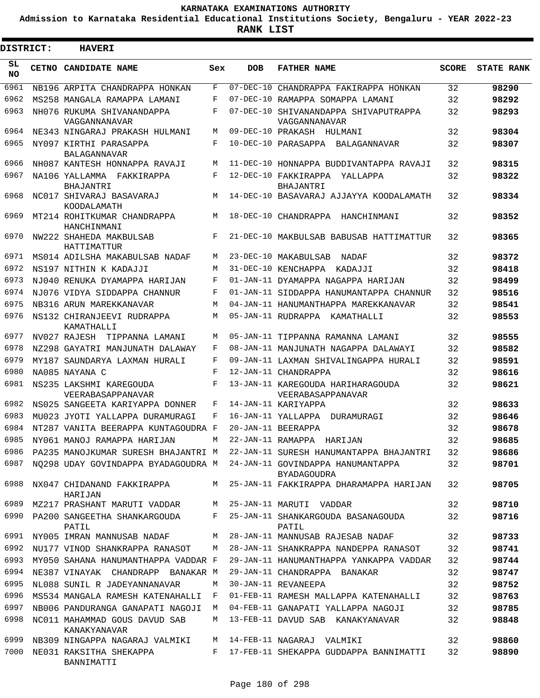**Admission to Karnataka Residential Educational Institutions Society, Bengaluru - YEAR 2022-23**

**RANK LIST**

Е

3

| <b>DISTRICT:</b> |  | <b>HAVERI</b>                                                         |     |                 |                                                        |              |                   |
|------------------|--|-----------------------------------------------------------------------|-----|-----------------|--------------------------------------------------------|--------------|-------------------|
| SL<br><b>NO</b>  |  | CETNO CANDIDATE NAME                                                  | Sex | <b>DOB</b>      | <b>FATHER NAME</b>                                     | <b>SCORE</b> | <b>STATE RANK</b> |
| 6961             |  | NB196 ARPITA CHANDRAPPA HONKAN                                        | F   | $07 - DEC - 10$ | CHANDRAPPA FAKIRAPPA HONKAN                            | 32           | 98290             |
| 6962             |  | MS258 MANGALA RAMAPPA LAMANI                                          | F   | $07 - DEC - 10$ | RAMAPPA SOMAPPA LAMANI                                 | 32           | 98292             |
| 6963             |  | NH076 RUKUMA SHIVANANDAPPA<br>VAGGANNANAVAR                           | F   | $07 - DEC - 10$ | SHIVANANDAPPA SHIVAPUTRAPPA<br>VAGGANNANAVAR           | 32           | 98293             |
| 6964             |  | NE343 NINGARAJ PRAKASH HULMANI                                        | M   |                 | 09-DEC-10 PRAKASH HULMANI                              | 32           | 98304             |
| 6965             |  | NY097 KIRTHI PARASAPPA<br><b>BALAGANNAVAR</b>                         | F   |                 | 10-DEC-10 PARASAPPA BALAGANNAVAR                       | 32           | 98307             |
| 6966             |  | NH087 KANTESH HONNAPPA RAVAJI                                         | M   |                 | 11-DEC-10 HONNAPPA BUDDIVANTAPPA RAVAJI                | 32           | 98315             |
| 6967             |  | NA106 YALLAMMA FAKKIRAPPA<br>BHAJANTRI                                | F   |                 | 12-DEC-10 FAKKIRAPPA<br>YALLAPPA<br><b>BHAJANTRI</b>   | 32           | 98322             |
| 6968             |  | NC017 SHIVARAJ BASAVARAJ<br>KOODALAMATH                               | M   |                 | 14-DEC-10 BASAVARAJ AJJAYYA KOODALAMATH                | 32           | 98334             |
| 6969             |  | MT214 ROHITKUMAR CHANDRAPPA<br>HANCHINMANI                            | M   |                 | 18-DEC-10 CHANDRAPPA<br>HANCHINMANI                    | 32           | 98352             |
| 6970             |  | NW222 SHAHEDA MAKBULSAB<br>HATTIMATTUR                                | F   |                 | 21-DEC-10 MAKBULSAB BABUSAB HATTIMATTUR                | 32           | 98365             |
| 6971             |  | MS014 ADILSHA MAKABULSAB NADAF                                        | M   |                 | 23-DEC-10 MAKABULSAB<br>NADAF                          | 32           | 98372             |
| 6972             |  | NS197 NITHIN K KADAJJI                                                | M   |                 | 31-DEC-10 KENCHAPPA KADAJJI                            | 32           | 98418             |
| 6973             |  | NJ040 RENUKA DYAMAPPA HARIJAN                                         | F   |                 | 01-JAN-11 DYAMAPPA NAGAPPA HARIJAN                     | 32           | 98499             |
| 6974             |  | NJ076 VIDYA SIDDAPPA CHANNUR                                          | F   |                 | 01-JAN-11 SIDDAPPA HANUMANTAPPA CHANNUR                | 32           | 98516             |
| 6975             |  | NB316 ARUN MAREKKANAVAR                                               | M   |                 | 04-JAN-11 HANUMANTHAPPA MAREKKANAVAR                   | 32           | 98541             |
| 6976             |  | NS132 CHIRANJEEVI RUDRAPPA<br>KAMATHALLI                              | M   |                 | 05-JAN-11 RUDRAPPA KAMATHALLI                          | 32           | 98553             |
| 6977             |  | NV027 RAJESH TIPPANNA LAMANI                                          | M   |                 | 05-JAN-11 TIPPANNA RAMANNA LAMANI                      | 32           | 98555             |
| 6978             |  | NZ298 GAYATRI MANJUNATH DALAWAY                                       | F   |                 | 08-JAN-11 MANJUNATH NAGAPPA DALAWAYI                   | 32           | 98582             |
| 6979             |  | MY187 SAUNDARYA LAXMAN HURALI                                         | F   |                 | 09-JAN-11 LAXMAN SHIVALINGAPPA HURALI                  | 32           | 98591             |
| 6980             |  | NA085 NAYANA C                                                        | F   |                 | 12-JAN-11 CHANDRAPPA                                   | 32           | 98616             |
| 6981             |  | NS235 LAKSHMI KAREGOUDA<br>VEERABASAPPANAVAR                          | F   |                 | 13-JAN-11 KAREGOUDA HARIHARAGOUDA<br>VEERABASAPPANAVAR | 32           | 98621             |
| 6982             |  | NS025 SANGEETA KARIYAPPA DONNER                                       | F   |                 | 14-JAN-11 KARIYAPPA                                    | 32           | 98633             |
| 6983             |  | MU023 JYOTI YALLAPPA DURAMURAGI                                       | F   |                 | 16-JAN-11 YALLAPPA DURAMURAGI                          | 32           | 98646             |
| 6984             |  | NT287 VANITA BEERAPPA KUNTAGOUDRA F                                   |     |                 | 20-JAN-11 BEERAPPA                                     | 32           | 98678             |
| 6985             |  | NY061 MANOJ RAMAPPA HARIJAN                                           | M   |                 | 22-JAN-11 RAMAPPA HARIJAN                              | 32           | 98685             |
| 6986             |  | PA235 MANOJKUMAR SURESH BHAJANTRI M                                   |     |                 | 22-JAN-11 SURESH HANUMANTAPPA BHAJANTRI                | 32           | 98686             |
| 6987             |  | NQ298 UDAY GOVINDAPPA BYADAGOUDRA M 24-JAN-11 GOVINDAPPA HANUMANTAPPA |     |                 | <b>BYADAGOUDRA</b>                                     | 32           | 98701             |
| 6988             |  | NX047 CHIDANAND FAKKIRAPPA<br>HARIJAN                                 | M   |                 | 25-JAN-11 FAKKIRAPPA DHARAMAPPA HARIJAN                | 32           | 98705             |
| 6989             |  | MZ217 PRASHANT MARUTI VADDAR                                          | M   |                 | 25-JAN-11 MARUTI VADDAR                                | 32           | 98710             |
| 6990             |  | PA200 SANGEETHA SHANKARGOUDA<br>PATIL                                 | F   |                 | 25-JAN-11 SHANKARGOUDA BASANAGOUDA<br>PATIL            | 32           | 98716             |
| 6991             |  | NY005 IMRAN MANNUSAB NADAF                                            | М   |                 | 28-JAN-11 MANNUSAB RAJESAB NADAF                       | 32           | 98733             |
| 6992             |  | NU177 VINOD SHANKRAPPA RANASOT                                        | М   |                 | 28-JAN-11 SHANKRAPPA NANDEPPA RANASOT                  | 32           | 98741             |
| 6993             |  | MY050 SAHANA HANUMANTHAPPA VADDAR F                                   |     |                 | 29-JAN-11 HANUMANTHAPPA YANKAPPA VADDAR                | 32           | 98744             |
| 6994             |  | NE387 VINAYAK CHANDRAPP BANAKAR M                                     |     |                 | 29-JAN-11 CHANDRAPPA BANAKAR                           | 32           | 98747             |
| 6995             |  | NL088 SUNIL R JADEYANNANAVAR                                          | М   |                 | 30-JAN-11 REVANEEPA                                    | 32           | 98752             |
| 6996             |  | MS534 MANGALA RAMESH KATENAHALLI                                      | F   |                 | 01-FEB-11 RAMESH MALLAPPA KATENAHALLI                  | 32           | 98763             |
| 6997             |  | NB006 PANDURANGA GANAPATI NAGOJI                                      | М   |                 | 04-FEB-11 GANAPATI YALLAPPA NAGOJI                     | 32           | 98785             |
| 6998             |  | NC011 MAHAMMAD GOUS DAVUD SAB<br>KANAKYANAVAR                         | M   |                 | 13-FEB-11 DAVUD SAB KANAKYANAVAR                       | 32           | 98848             |
| 6999             |  | NB309 NINGAPPA NAGARAJ VALMIKI                                        | M   |                 | 14-FEB-11 NAGARAJ VALMIKI                              | 32           | 98860             |
| 7000             |  | NE031 RAKSITHA SHEKAPPA<br>BANNIMATTI                                 | F   |                 | 17-FEB-11 SHEKAPPA GUDDAPPA BANNIMATTI                 | 32           | 98890             |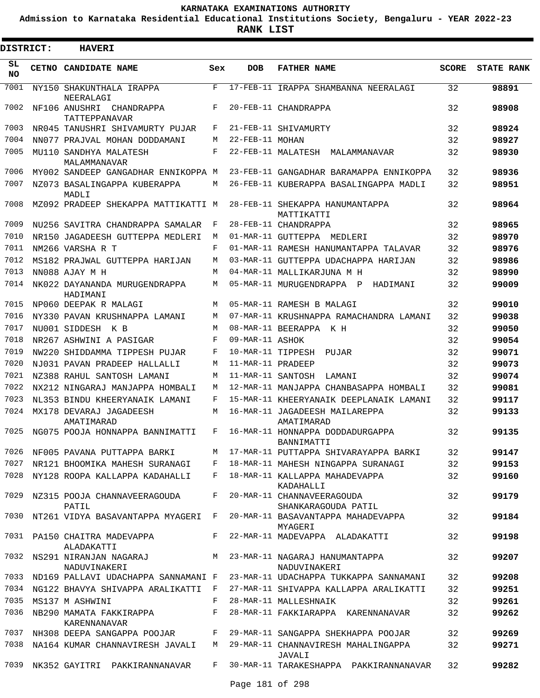**Admission to Karnataka Residential Educational Institutions Society, Bengaluru - YEAR 2022-23**

ı

| <b>DISTRICT:</b> | <b>HAVERI</b>                                 |              |                   |                                                   |              |                   |
|------------------|-----------------------------------------------|--------------|-------------------|---------------------------------------------------|--------------|-------------------|
| SL<br><b>NO</b>  | CETNO CANDIDATE NAME                          | Sex          | <b>DOB</b>        | <b>FATHER NAME</b>                                | <b>SCORE</b> | <b>STATE RANK</b> |
| 7001             | NY150 SHAKUNTHALA IRAPPA<br>NEERALAGI         | F            |                   | 17-FEB-11 IRAPPA SHAMBANNA NEERALAGI              | 32           | 98891             |
| 7002             | NF106 ANUSHRI CHANDRAPPA<br>TATTEPPANAVAR     | F            |                   | 20-FEB-11 CHANDRAPPA                              | 32           | 98908             |
| 7003             | NR045 TANUSHRI SHIVAMURTY PUJAR               | F            |                   | 21-FEB-11 SHIVAMURTY                              | 32           | 98924             |
| 7004             | NN077 PRAJVAL MOHAN DODDAMANI                 | M            | 22-FEB-11 MOHAN   |                                                   | 32           | 98927             |
| 7005             | MU110 SANDHYA MALATESH<br>MALAMMANAVAR        | F            |                   | 22-FEB-11 MALATESH<br>MALAMMANAVAR                | 32           | 98930             |
| 7006             | MY002 SANDEEP GANGADHAR ENNIKOPPA M           |              |                   | 23-FEB-11 GANGADHAR BARAMAPPA ENNIKOPPA           | 32           | 98936             |
| 7007             | NZ073 BASALINGAPPA KUBERAPPA<br>MADLI         | M            |                   | 26-FEB-11 KUBERAPPA BASALINGAPPA MADLI            | 32           | 98951             |
| 7008             | MZ092 PRADEEP SHEKAPPA MATTIKATTI M           |              |                   | 28-FEB-11 SHEKAPPA HANUMANTAPPA<br>MATTIKATTI     | 32           | 98964             |
| 7009             | NU256 SAVITRA CHANDRAPPA SAMALAR              | F            |                   | 28-FEB-11 CHANDRAPPA                              | 32           | 98965             |
| 7010             | NR150 JAGADEESH GUTTEPPA MEDLERI              | M            |                   | 01-MAR-11 GUTTEPPA MEDLERI                        | 32           | 98970             |
| 7011             | NM266 VARSHA R T                              | F            |                   | 01-MAR-11 RAMESH HANUMANTAPPA TALAVAR             | 32           | 98976             |
| 7012             | MS182 PRAJWAL GUTTEPPA HARIJAN                | M            |                   | 03-MAR-11 GUTTEPPA UDACHAPPA HARIJAN              | 32           | 98986             |
| 7013             | NN088 AJAY M H                                | M            |                   | 04-MAR-11 MALLIKARJUNA M H                        | 32           | 98990             |
| 7014             | NK022 DAYANANDA MURUGENDRAPPA<br>HADIMANI     | M            |                   | 05-MAR-11 MURUGENDRAPPA P<br>HADIMANI             | 32           | 99009             |
| 7015             | NP060 DEEPAK R MALAGI                         | M            |                   | 05-MAR-11 RAMESH B MALAGI                         | 32           | 99010             |
| 7016             | NY330 PAVAN KRUSHNAPPA LAMANI                 | M            |                   | 07-MAR-11 KRUSHNAPPA RAMACHANDRA LAMANI           | 32           | 99038             |
| 7017             | NU001 SIDDESH<br>K B                          | M            |                   | 08-MAR-11 BEERAPPA<br>K H                         | 32           | 99050             |
| 7018             | NR267 ASHWINI A PASIGAR                       | F            | 09-MAR-11 ASHOK   |                                                   | 32           | 99054             |
| 7019             | NW220 SHIDDAMMA TIPPESH PUJAR                 | F            | 10-MAR-11 TIPPESH | PUJAR                                             | 32           | 99071             |
| 7020             | NJ031 PAVAN PRADEEP HALLALLI                  | M            | 11-MAR-11 PRADEEP |                                                   | 32           | 99073             |
| 7021             | NZ388 RAHUL SANTOSH LAMANI                    | M            | 11-MAR-11 SANTOSH | LAMANI                                            | 32           | 99074             |
| 7022             | NX212 NINGARAJ MANJAPPA HOMBALI               | M            |                   | 12-MAR-11 MANJAPPA CHANBASAPPA HOMBALI            | 32           | 99081             |
| 7023             | NL353 BINDU KHEERYANAIK LAMANI                | F            |                   | 15-MAR-11 KHEERYANAIK DEEPLANAIK LAMANI           | 32           | 99117             |
| 7024             | MX178 DEVARAJ JAGADEESH<br>AMATIMARAD         | M            |                   | 16-MAR-11 JAGADEESH MAILAREPPA<br>AMATIMARAD      | 32           | 99133             |
| 7025             | NG075 POOJA HONNAPPA BANNIMATTI               | F            |                   | 16-MAR-11 HONNAPPA DODDADURGAPPA<br>BANNIMATTI    | 32           | 99135             |
|                  | 7026 NF005 PAVANA PUTTAPPA BARKI              |              |                   | M 17-MAR-11 PUTTAPPA SHIVARAYAPPA BARKI           | 32           | 99147             |
| 7027             | NR121 BHOOMIKA MAHESH SURANAGI F              |              |                   | 18-MAR-11 MAHESH NINGAPPA SURANAGI                | 32           | 99153             |
| 7028             | NY128 ROOPA KALLAPPA KADAHALLI                | F            |                   | 18-MAR-11 KALLAPPA MAHADEVAPPA<br>KADAHALLI       | 32           | 99160             |
| 7029             | NZ315 POOJA CHANNAVEERAGOUDA<br>PATIL         | F            |                   | 20-MAR-11 CHANNAVEERAGOUDA<br>SHANKARAGOUDA PATIL | 32           | 99179             |
| 7030             | NT261 VIDYA BASAVANTAPPA MYAGERI F            |              |                   | 20-MAR-11 BASAVANTAPPA MAHADEVAPPA<br>MYAGERI     | 32           | 99184             |
|                  | 7031 PA150 CHAITRA MADEVAPPA<br>ALADAKATTI    | $F -$        |                   | 22-MAR-11 MADEVAPPA ALADAKATTI                    | 32           | 99198             |
|                  | 7032 NS291 NIRANJAN NAGARAJ M<br>NADUVINAKERI |              |                   | 23-MAR-11 NAGARAJ HANUMANTAPPA<br>NADUVINAKERI    | 32           | 99207             |
|                  | 7033 ND169 PALLAVI UDACHAPPA SANNAMANI F      |              |                   | 23-MAR-11 UDACHAPPA TUKKAPPA SANNAMANI            | 32           | 99208             |
|                  | 7034 NG122 BHAVYA SHIVAPPA ARALIKATTI F       |              |                   | 27-MAR-11 SHIVAPPA KALLAPPA ARALIKATTI            | 32           | 99251             |
| 7035             | MS137 M ASHWINI                               | F            |                   | 28-MAR-11 MALLESHNAIK                             | 32           | 99261             |
| 7036             | NB290 MAMATA FAKKIRAPPA<br>KARENNANAVAR       | $\mathbf{F}$ |                   | 28-MAR-11 FAKKIARAPPA KARENNANAVAR                | 32           | 99262             |
| 7037             | NH308 DEEPA SANGAPPA POOJAR F                 |              |                   | 29-MAR-11 SANGAPPA SHEKHAPPA POOJAR               | 32           | 99269             |
| 7038             | NA164 KUMAR CHANNAVIRESH JAVALI               | M            |                   | 29-MAR-11 CHANNAVIRESH MAHALINGAPPA<br>JAVALI     | 32           | 99271             |
| 7039             | NK352 GAYITRI PAKKIRANNANAVAR                 | F            |                   | 30-MAR-11 TARAKESHAPPA PAKKIRANNANAVAR            | 32           | 99282             |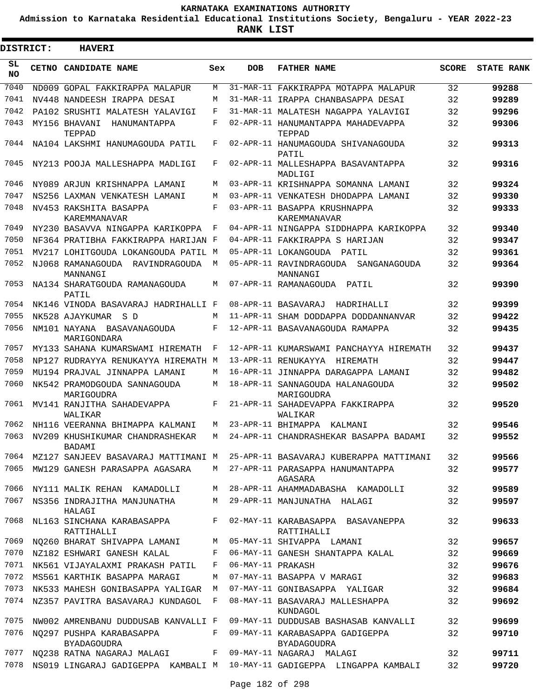**Admission to Karnataka Residential Educational Institutions Society, Bengaluru - YEAR 2022-23**

**RANK LIST**

Е

| <b>DISTRICT:</b> | <b>HAVERI</b>                                         |            |                   |                                                                               |              |                   |
|------------------|-------------------------------------------------------|------------|-------------------|-------------------------------------------------------------------------------|--------------|-------------------|
| SL<br><b>NO</b>  | CETNO CANDIDATE NAME                                  | Sex        | <b>DOB</b>        | <b>FATHER NAME</b>                                                            | <b>SCORE</b> | <b>STATE RANK</b> |
| 7040             | ND009 GOPAL FAKKIRAPPA MALAPUR                        | M          |                   | 31-MAR-11 FAKKIRAPPA MOTAPPA MALAPUR                                          | 32           | 99288             |
| 7041             | NV448 NANDEESH IRAPPA DESAI                           | M          |                   | 31-MAR-11 IRAPPA CHANBASAPPA DESAI                                            | 32           | 99289             |
| 7042             | PA102 SRUSHTI MALATESH YALAVIGI                       | F          |                   | 31-MAR-11 MALATESH NAGAPPA YALAVIGI                                           | 32           | 99296             |
| 7043             | MY156 BHAVANI<br>HANUMANTAPPA<br>TEPPAD               | F          |                   | 02-APR-11 HANUMANTAPPA MAHADEVAPPA<br><b>TEPPAD</b>                           | 32           | 99306             |
| 7044             | NA104 LAKSHMI HANUMAGOUDA PATIL                       | F          |                   | 02-APR-11 HANUMAGOUDA SHIVANAGOUDA<br>PATIL                                   | 32           | 99313             |
| 7045             | NY213 POOJA MALLESHAPPA MADLIGI                       | F          |                   | 02-APR-11 MALLESHAPPA BASAVANTAPPA<br>MADLIGI                                 | 32           | 99316             |
| 7046             | NY089 ARJUN KRISHNAPPA LAMANI                         | M          |                   | 03-APR-11 KRISHNAPPA SOMANNA LAMANI                                           | 32           | 99324             |
| 7047             | NS256 LAXMAN VENKATESH LAMANI                         | M          |                   | 03-APR-11 VENKATESH DHODAPPA LAMANI                                           | 32           | 99330             |
| 7048             | NV453 RAKSHITA BASAPPA<br>KAREMMANAVAR                | F          |                   | 03-APR-11 BASAPPA KRUSHNAPPA<br>KAREMMANAVAR                                  | 32           | 99333             |
| 7049             | NY230 BASAVVA NINGAPPA KARIKOPPA                      | F          |                   | 04-APR-11 NINGAPPA SIDDHAPPA KARIKOPPA                                        | 32           | 99340             |
| 7050             | NF364 PRATIBHA FAKKIRAPPA HARIJAN F                   |            |                   | 04-APR-11 FAKKIRAPPA S HARIJAN                                                | 32           | 99347             |
| 7051             | MV217 LOHITGOUDA LOKANGOUDA PATIL M                   |            |                   | 05-APR-11 LOKANGOUDA PATIL                                                    | 32           | 99361             |
| 7052             | NJ068 RAMANAGOUDA RAVINDRAGOUDA<br>MANNANGI           | М          |                   | 05-APR-11 RAVINDRAGOUDA SANGANAGOUDA<br>MANNANGI                              | 32           | 99364             |
| 7053             | NA134 SHARATGOUDA RAMANAGOUDA<br>PATIL                | M          |                   | 07-APR-11 RAMANAGOUDA PATIL                                                   | 32           | 99390             |
| 7054             | NK146 VINODA BASAVARAJ HADRIHALLI F                   |            |                   | 08-APR-11 BASAVARAJ HADRIHALLI                                                | 32           | 99399             |
| 7055             | NK528 AJAYKUMAR SD                                    | M          |                   | 11-APR-11 SHAM DODDAPPA DODDANNANVAR                                          | 32           | 99422             |
| 7056             | NM101 NAYANA BASAVANAGOUDA<br>MARIGONDARA             | F          |                   | 12-APR-11 BASAVANAGOUDA RAMAPPA                                               | 32           | 99435             |
| 7057             | MY133 SAHANA KUMARSWAMI HIREMATH                      | F          |                   | 12-APR-11 KUMARSWAMI PANCHAYYA HIREMATH                                       | 32           | 99437             |
| 7058             | NP127 RUDRAYYA RENUKAYYA HIREMATH M                   |            |                   | 13-APR-11 RENUKAYYA HIREMATH                                                  | 32           | 99447             |
| 7059             | MU194 PRAJVAL JINNAPPA LAMANI                         | M          |                   | 16-APR-11 JINNAPPA DARAGAPPA LAMANI                                           | 32           | 99482             |
| 7060             | NK542 PRAMODGOUDA SANNAGOUDA<br>MARIGOUDRA            | M          |                   | 18-APR-11 SANNAGOUDA HALANAGOUDA<br>MARIGOUDRA                                | 32           | 99502             |
| 7061             | MV141 RANJITHA SAHADEVAPPA<br>WALIKAR                 | F          |                   | 21-APR-11 SAHADEVAPPA FAKKIRAPPA<br>WALIKAR                                   | 32           | 99520             |
| 7062             | NH116 VEERANNA BHIMAPPA KALMANI                       | M          |                   | 23-APR-11 BHIMAPPA KALMANI                                                    | 32           | 99546             |
|                  | BADAMI                                                |            |                   | 7063 NV209 KHUSHIKUMAR CHANDRASHEKAR M 24-APR-11 CHANDRASHEKAR BASAPPA BADAMI | 32           | 99552             |
|                  | 7064 MZ127 SANJEEV BASAVARAJ MATTIMANI M              |            |                   | 25-APR-11 BASAVARAJ KUBERAPPA MATTIMANI                                       | 32           | 99566             |
| 7065             | MW129 GANESH PARASAPPA AGASARA                        | M          |                   | 27-APR-11 PARASAPPA HANUMANTAPPA<br>AGASARA                                   | 32           | 99577             |
| 7066             | NY111 MALIK REHAN KAMADOLLI                           | M          |                   | 28-APR-11 AHAMMADABASHA KAMADOLLI                                             | 32           | 99589             |
| 7067             | NS356 INDRAJITHA MANJUNATHA<br>HALAGI                 | M          |                   | 29-APR-11 MANJUNATHA HALAGI                                                   | 32           | 99597             |
| 7068             | NL163 SINCHANA KARABASAPPA<br>RATTIHALLI              | $F$ $\sim$ |                   | 02-MAY-11 KARABASAPPA BASAVANEPPA<br>RATTIHALLI                               | 32           | 99633             |
| 7069             | NQ260 BHARAT SHIVAPPA LAMANI M                        |            |                   | 05-MAY-11 SHIVAPPA LAMANI                                                     | 32           | 99657             |
| 7070             | NZ182 ESHWARI GANESH KALAL                            | F          |                   | 06-MAY-11 GANESH SHANTAPPA KALAL                                              | 32           | 99669             |
| 7071             | NK561 VIJAYALAXMI PRAKASH PATIL                       | F          | 06-MAY-11 PRAKASH |                                                                               | 32           | 99676             |
| 7072             | MS561 KARTHIK BASAPPA MARAGI                          | M          |                   | 07-MAY-11 BASAPPA V MARAGI                                                    | 32           | 99683             |
| 7073             | NK533 MAHESH GONIBASAPPA YALIGAR M                    |            |                   | 07-MAY-11 GONIBASAPPA YALIGAR                                                 | 32           | 99684             |
| 7074             | NZ357 PAVITRA BASAVARAJ KUNDAGOL F                    |            |                   | 08-MAY-11 BASAVARAJ MALLESHAPPA<br>KUNDAGOL                                   | 32           | 99692             |
| 7075             | NW002 AMRENBANU DUDDUSAB KANVALLI F                   |            |                   | 09-MAY-11 DUDDUSAB BASHASAB KANVALLI                                          | 32           | 99699             |
| 7076             | NO297 PUSHPA KARABASAPPA<br>BYADAGOUDRA               | F          |                   | 09-MAY-11 KARABASAPPA GADIGEPPA<br><b>BYADAGOUDRA</b>                         | 32           | 99710             |
| 7077             | NQ238 RATNA NAGARAJ MALAGI F 09-MAY-11 NAGARAJ MALAGI |            |                   |                                                                               | 32           | 99711             |
| 7078             |                                                       |            |                   | NS019 LINGARAJ GADIGEPPA KAMBALI M 10-MAY-11 GADIGEPPA LINGAPPA KAMBALI       | 32           | 99720             |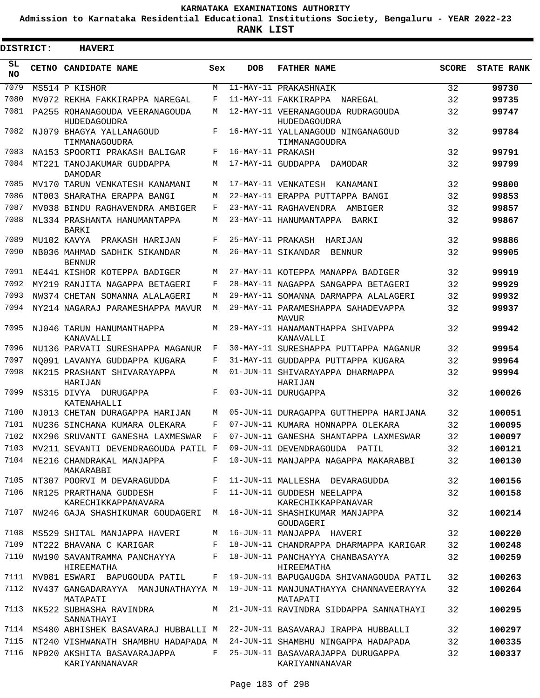**Admission to Karnataka Residential Educational Institutions Society, Bengaluru - YEAR 2022-23**

| <b>DISTRICT:</b> | <b>HAVERI</b>                                  |              |                   |                                                     |              |                   |
|------------------|------------------------------------------------|--------------|-------------------|-----------------------------------------------------|--------------|-------------------|
| SL<br><b>NO</b>  | CETNO CANDIDATE NAME                           | Sex          | <b>DOB</b>        | <b>FATHER NAME</b>                                  | <b>SCORE</b> | <b>STATE RANK</b> |
| 7079             | MS514 P KISHOR                                 | M            |                   | 11-MAY-11 PRAKASHNAIK                               | 32           | 99730             |
| 7080             | MV072 REKHA FAKKIRAPPA NAREGAL                 | F            |                   | 11-MAY-11 FAKKIRAPPA NAREGAL                        | 32           | 99735             |
| 7081             | PA255 ROHANAGOUDA VEERANAGOUDA<br>HUDEDAGOUDRA | M            |                   | 12-MAY-11 VEERANAGOUDA RUDRAGOUDA<br>HUDEDAGOUDRA   | 32           | 99747             |
| 7082             | NJ079 BHAGYA YALLANAGOUD<br>TIMMANAGOUDRA      | F            |                   | 16-MAY-11 YALLANAGOUD NINGANAGOUD<br>TIMMANAGOUDRA  | 32           | 99784             |
| 7083             | NA153 SPOORTI PRAKASH BALIGAR                  | F            | 16-MAY-11 PRAKASH |                                                     | 32           | 99791             |
| 7084             | MT221 TANOJAKUMAR GUDDAPPA<br><b>DAMODAR</b>   | M            |                   | 17-MAY-11 GUDDAPPA DAMODAR                          | 32           | 99799             |
| 7085             | MV170 TARUN VENKATESH KANAMANI                 | М            |                   | 17-MAY-11 VENKATESH<br>KANAMANI                     | 32           | 99800             |
| 7086             | NT003 SHARATHA ERAPPA BANGI                    | M            |                   | 22-MAY-11 ERAPPA PUTTAPPA BANGI                     | 32           | 99853             |
| 7087             | MV038 BINDU RAGHAVENDRA AMBIGER                | F            |                   | 23-MAY-11 RAGHAVENDRA AMBIGER                       | 32           | 99857             |
| 7088             | NL334 PRASHANTA HANUMANTAPPA<br>BARKI          | М            |                   | 23-MAY-11 HANUMANTAPPA<br>BARKI                     | 32           | 99867             |
| 7089             | MU102 KAVYA<br>PRAKASH HARIJAN                 | F            |                   | 25-MAY-11 PRAKASH HARIJAN                           | 32           | 99886             |
| 7090             | NB036 MAHMAD SADHIK SIKANDAR<br><b>BENNUR</b>  | М            |                   | 26-MAY-11 SIKANDAR<br>BENNUR                        | 32           | 99905             |
| 7091             | NE441 KISHOR KOTEPPA BADIGER                   | M            |                   | 27-MAY-11 KOTEPPA MANAPPA BADIGER                   | 32           | 99919             |
| 7092             | MY219 RANJITA NAGAPPA BETAGERI                 | F            |                   | 28-MAY-11 NAGAPPA SANGAPPA BETAGERI                 | 32           | 99929             |
| 7093             | NW374 CHETAN SOMANNA ALALAGERI                 | M            |                   | 29-MAY-11 SOMANNA DARMAPPA ALALAGERI                | 32           | 99932             |
| 7094             | NY214 NAGARAJ PARAMESHAPPA MAVUR               | M            |                   | 29-MAY-11 PARAMESHAPPA SAHADEVAPPA<br>MAVUR         | 32           | 99937             |
| 7095             | NJ046 TARUN HANUMANTHAPPA<br>KANAVALLI         | М            |                   | 29-MAY-11 HANAMANTHAPPA SHIVAPPA<br>KANAVALLI       | 32           | 99942             |
| 7096             | NU136 PARVATI SURESHAPPA MAGANUR               | F            |                   | 30-MAY-11 SURESHAPPA PUTTAPPA MAGANUR               | 32           | 99954             |
| 7097             | NO091 LAVANYA GUDDAPPA KUGARA                  | F            |                   | 31-MAY-11 GUDDAPPA PUTTAPPA KUGARA                  | 32           | 99964             |
| 7098             | NK215 PRASHANT SHIVARAYAPPA<br>HARIJAN         | М            |                   | 01-JUN-11 SHIVARAYAPPA DHARMAPPA<br>HARIJAN         | 32           | 99994             |
| 7099             | NS315 DIVYA DURUGAPPA<br>KATENAHALLI           | F            |                   | 03-JUN-11 DURUGAPPA                                 | 32           | 100026            |
| 7100             | NJ013 CHETAN DURAGAPPA HARIJAN                 | M            |                   | 05-JUN-11 DURAGAPPA GUTTHEPPA HARIJANA              | 32           | 100051            |
| 7101             | NU236 SINCHANA KUMARA OLEKARA                  | F            |                   | 07-JUN-11 KUMARA HONNAPPA OLEKARA                   | 32           | 100095            |
| 7102             | NX296 SRUVANTI GANESHA LAXMESWAR               | $\mathbf{F}$ |                   | 07-JUN-11 GANESHA SHANTAPPA LAXMESWAR               | 32           | 100097            |
| 7103             | MV211 SEVANTI DEVENDRAGOUDA PATIL F            |              |                   | 09-JUN-11 DEVENDRAGOUDA PATIL                       | 32           | 100121            |
| 7104             | NE216 CHANDRAKAL MANJAPPA<br>MAKARABBI         | F            |                   | 10-JUN-11 MANJAPPA NAGAPPA MAKARABBI                | 32           | 100130            |
| 7105             | NT307 POORVI M DEVARAGUDDA                     | F            |                   | 11-JUN-11 MALLESHA DEVARAGUDDA                      | 32           | 100156            |
| 7106             | NR125 PRARTHANA GUDDESH<br>KARECHIKKAPPANAVARA | F            |                   | 11-JUN-11 GUDDESH NEELAPPA<br>KARECHIKKAPPANAVAR    | 32           | 100158            |
| 7107             | NW246 GAJA SHASHIKUMAR GOUDAGERI               | М            |                   | 16-JUN-11 SHASHIKUMAR MANJAPPA<br>GOUDAGERI         | 32           | 100214            |
| 7108             | MS529 SHITAL MANJAPPA HAVERI                   | М            |                   | 16-JUN-11 MANJAPPA HAVERI                           | 32           | 100220            |
| 7109             | NT222 BHAVANA C KARIGAR                        | F            |                   | 18-JUN-11 CHANDRAPPA DHARMAPPA KARIGAR              | 32           | 100248            |
| 7110             | NW190 SAVANTRAMMA PANCHAYYA<br>HIREEMATHA      | F            |                   | 18-JUN-11 PANCHAYYA CHANBASAYYA<br>HIREEMATHA       | 32           | 100259            |
| 7111             | MV081 ESWARI BAPUGOUDA PATIL                   | F            |                   | 19-JUN-11 BAPUGAUGDA SHIVANAGOUDA PATIL             | 32           | 100263            |
| 7112             | NV437 GANGADARAYYA MANJUNATHAYYA M<br>MATAPATI |              |                   | 19-JUN-11 MANJUNATHAYYA CHANNAVEERAYYA<br>MATAPATI  | 32           | 100264            |
| 7113             | NK522 SUBHASHA RAVINDRA<br>SANNATHAYI          | M            |                   | 21-JUN-11 RAVINDRA SIDDAPPA SANNATHAYI              | 32           | 100295            |
| 7114             | MS480 ABHISHEK BASAVARAJ HUBBALLI M            |              |                   | 22-JUN-11 BASAVARAJ IRAPPA HUBBALLI                 | 32           | 100297            |
| 7115             | NT240 VISHWANATH SHAMBHU HADAPADA M            |              |                   | 24-JUN-11 SHAMBHU NINGAPPA HADAPADA                 | 32           | 100335            |
| 7116             | NP020 AKSHITA BASAVARAJAPPA<br>KARIYANNANAVAR  | F            |                   | 25-JUN-11 BASAVARAJAPPA DURUGAPPA<br>KARIYANNANAVAR | 32           | 100337            |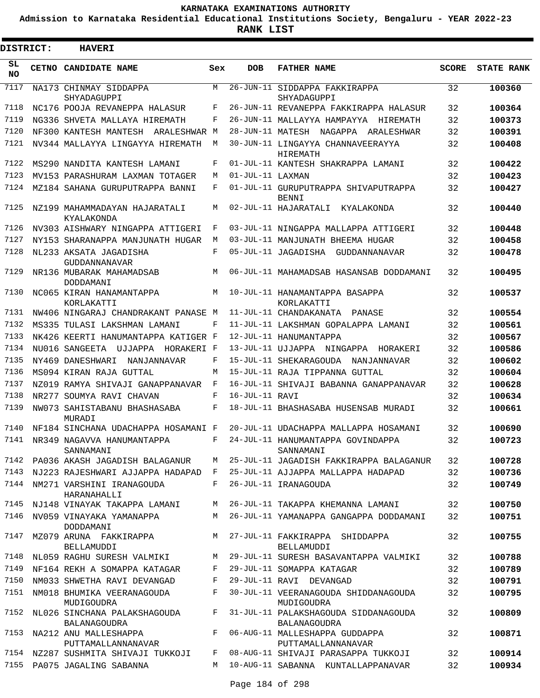**Admission to Karnataka Residential Educational Institutions Society, Bengaluru - YEAR 2022-23**

| <b>DISTRICT:</b> | <b>HAVERI</b>                                       |     |                  |                                                      |              |                   |
|------------------|-----------------------------------------------------|-----|------------------|------------------------------------------------------|--------------|-------------------|
| SL<br><b>NO</b>  | CETNO CANDIDATE NAME                                | Sex | <b>DOB</b>       | <b>FATHER NAME</b>                                   | <b>SCORE</b> | <b>STATE RANK</b> |
| 7117             | NA173 CHINMAY SIDDAPPA<br>SHYADAGUPPI               | M   |                  | 26-JUN-11 SIDDAPPA FAKKIRAPPA<br>SHYADAGUPPI         | 32           | 100360            |
| 7118             | NC176 POOJA REVANEPPA HALASUR                       | F   |                  | 26-JUN-11 REVANEPPA FAKKIRAPPA HALASUR               | 32           | 100364            |
| 7119             | NG336 SHVETA MALLAYA HIREMATH                       | F   |                  | 26-JUN-11 MALLAYYA HAMPAYYA HIREMATH                 | 32           | 100373            |
| 7120             | NF300 KANTESH MANTESH<br>ARALESHWAR M               |     |                  | 28-JUN-11 MATESH NAGAPPA ARALESHWAR                  | 32           | 100391            |
| 7121             | NV344 MALLAYYA LINGAYYA HIREMATH                    | М   |                  | 30-JUN-11 LINGAYYA CHANNAVEERAYYA<br>HIREMATH        | 32           | 100408            |
| 7122             | MS290 NANDITA KANTESH LAMANI                        | F   |                  | 01-JUL-11 KANTESH SHAKRAPPA LAMANI                   | 32           | 100422            |
| 7123             | MV153 PARASHURAM LAXMAN TOTAGER                     | М   | 01-JUL-11 LAXMAN |                                                      | 32           | 100423            |
| 7124             | MZ184 SAHANA GURUPUTRAPPA BANNI                     | F   |                  | 01-JUL-11 GURUPUTRAPPA SHIVAPUTRAPPA<br><b>BENNI</b> | 32           | 100427            |
| 7125             | NZ199 MAHAMMADAYAN HAJARATALI<br>KYALAKONDA         | М   |                  | 02-JUL-11 HAJARATALI KYALAKONDA                      | 32           | 100440            |
| 7126             | NV303 AISHWARY NINGAPPA ATTIGERI                    | F   |                  | 03-JUL-11 NINGAPPA MALLAPPA ATTIGERI                 | 32           | 100448            |
| 7127             | NY153 SHARANAPPA MANJUNATH HUGAR                    | М   |                  | 03-JUL-11 MANJUNATH BHEEMA HUGAR                     | 32           | 100458            |
| 7128             | NL233 AKSATA JAGADISHA<br>GUDDANNANAVAR             | F   |                  | 05-JUL-11 JAGADISHA GUDDANNANAVAR                    | 32           | 100478            |
| 7129             | NR136 MUBARAK MAHAMADSAB<br>DODDAMANI               | М   |                  | 06-JUL-11 MAHAMADSAB HASANSAB DODDAMANI              | 32           | 100495            |
| 7130             | NC065 KIRAN HANAMANTAPPA<br>KORLAKATTI              | М   |                  | 10-JUL-11 HANAMANTAPPA BASAPPA<br>KORLAKATTI         | 32           | 100537            |
| 7131             | NW406 NINGARAJ CHANDRAKANT PANASE M                 |     |                  | 11-JUL-11 CHANDAKANATA PANASE                        | 32           | 100554            |
| 7132             | MS335 TULASI LAKSHMAN LAMANI                        | F   |                  | 11-JUL-11 LAKSHMAN GOPALAPPA LAMANI                  | 32           | 100561            |
| 7133             | NK426 KEERTI HANUMANTAPPA KATIGER F                 |     |                  | 12-JUL-11 HANUMANTAPPA                               | 32           | 100567            |
| 7134             | NU016 SANGEETA UJJAPPA HORAKERI F                   |     |                  | 13-JUL-11 UJJAPPA NINGAPPA HORAKERI                  | 32           | 100586            |
| 7135             | NY469 DANESHWARI<br>NANJANNAVAR                     | F   |                  | 15-JUL-11 SHEKARAGOUDA NANJANNAVAR                   | 32           | 100602            |
| 7136             | MS094 KIRAN RAJA GUTTAL                             | М   |                  | 15-JUL-11 RAJA TIPPANNA GUTTAL                       | 32           | 100604            |
| 7137             | NZ019 RAMYA SHIVAJI GANAPPANAVAR                    | F   |                  | 16-JUL-11 SHIVAJI BABANNA GANAPPANAVAR               | 32           | 100628            |
| 7138             | NR277 SOUMYA RAVI CHAVAN                            | F   | 16-JUL-11 RAVI   |                                                      | 32           | 100634            |
| 7139             | NW073 SAHISTABANU BHASHASABA<br>MURADI              | F   |                  | 18-JUL-11 BHASHASABA HUSENSAB MURADI                 | 32           | 100661            |
| 7140             | NF184 SINCHANA UDACHAPPA HOSAMANI F                 |     |                  | 20-JUL-11 UDACHAPPA MALLAPPA HOSAMANI                | 32           | 100690            |
|                  | 7141 NR349 NAGAVVA HANUMANTAPPA<br>SANNAMANI        | F   |                  | 24-JUL-11 HANUMANTAPPA GOVINDAPPA<br>SANNAMANI       | 32           | 100723            |
|                  | 7142 PA036 AKASH JAGADISH BALAGANUR                 | M   |                  | 25-JUL-11 JAGADISH FAKKIRAPPA BALAGANUR              | 32           | 100728            |
| 7143             | NJ223 RAJESHWARI AJJAPPA HADAPAD F                  |     |                  | 25-JUL-11 AJJAPPA MALLAPPA HADAPAD                   | 32           | 100736            |
|                  | 7144 NM271 VARSHINI IRANAGOUDA<br>HARANAHALLI       | F   |                  | 26-JUL-11 IRANAGOUDA                                 | 32           | 100749            |
| 7145             | NJ148 VINAYAK TAKAPPA LAMANI                        | М   |                  | 26-JUL-11 TAKAPPA KHEMANNA LAMANI                    | 32           | 100750            |
| 7146             | NV059 VINAYAKA YAMANAPPA<br>DODDAMANI               | M   |                  | 26-JUL-11 YAMANAPPA GANGAPPA DODDAMANI               | 32           | 100751            |
| 7147             | MZ079 ARUNA FAKKIRAPPA<br>BELLAMUDDI                | M   |                  | 27-JUL-11 FAKKIRAPPA SHIDDAPPA<br>BELLAMUDDI         | 32           | 100755            |
| 7148             | NL059 RAGHU SURESH VALMIKI                          | M   |                  | 29-JUL-11 SURESH BASAVANTAPPA VALMIKI                | 32           | 100788            |
| 7149             | NF164 REKH A SOMAPPA KATAGAR                        | F   |                  | 29-JUL-11 SOMAPPA KATAGAR                            | 32           | 100789            |
| 7150             | NM033 SHWETHA RAVI DEVANGAD                         | F   |                  | 29-JUL-11 RAVI DEVANGAD                              | 32           | 100791            |
| 7151             | NM018 BHUMIKA VEERANAGOUDA<br>MUDIGOUDRA            | F   |                  | 30-JUL-11 VEERANAGOUDA SHIDDANAGOUDA<br>MUDIGOUDRA   | 32           | 100795            |
| 7152             | NL026 SINCHANA PALAKSHAGOUDA<br><b>BALANAGOUDRA</b> | F   |                  | 31-JUL-11 PALAKSHAGOUDA SIDDANAGOUDA<br>BALANAGOUDRA | 32           | 100809            |
| 7153             | NA212 ANU MALLESHAPPA<br>PUTTAMALLANNANAVAR         | F   |                  | 06-AUG-11 MALLESHAPPA GUDDAPPA<br>PUTTAMALLANNANAVAR | 32           | 100871            |
|                  | 7154 NZ287 SUSHMITA SHIVAJI TUKKOJI                 | F   |                  | 08-AUG-11 SHIVAJI PARASAPPA TUKKOJI                  | 32           | 100914            |
|                  | 7155 PA075 JAGALING SABANNA                         | M   |                  | 10-AUG-11 SABANNA KUNTALLAPPANAVAR                   | 32           | 100934            |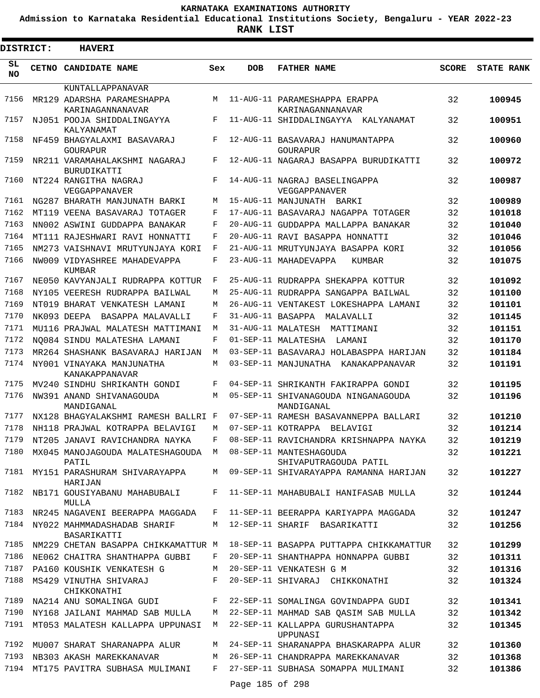**Admission to Karnataka Residential Educational Institutions Society, Bengaluru - YEAR 2022-23**

| <b>DISTRICT:</b> | <b>HAVERI</b>                                                   |            |                   |                                                   |              |                   |
|------------------|-----------------------------------------------------------------|------------|-------------------|---------------------------------------------------|--------------|-------------------|
| SL.<br>NO.       | CETNO CANDIDATE NAME                                            | Sex        | <b>DOB</b>        | <b>FATHER NAME</b>                                | <b>SCORE</b> | <b>STATE RANK</b> |
|                  | KUNTALLAPPANAVAR                                                |            |                   |                                                   |              |                   |
| 7156             | MR129 ADARSHA PARAMESHAPPA<br>KARINAGANNANAVAR                  | M          |                   | 11-AUG-11 PARAMESHAPPA ERAPPA<br>KARINAGANNANAVAR | 32           | 100945            |
| 7157             | NJ051 POOJA SHIDDALINGAYYA<br>KALYANAMAT                        | F          |                   | 11-AUG-11 SHIDDALINGAYYA KALYANAMAT               | 32           | 100951            |
| 7158             | NF459 BHAGYALAXMI BASAVARAJ<br>GOURAPUR                         | F          |                   | 12-AUG-11 BASAVARAJ HANUMANTAPPA<br>GOURAPUR      | 32           | 100960            |
| 7159             | NR211 VARAMAHALAKSHMI NAGARAJ<br><b>BURUDIKATTI</b>             | F          |                   | 12-AUG-11 NAGARAJ BASAPPA BURUDIKATTI             | 32           | 100972            |
| 7160             | NT224 RANGITHA NAGRAJ<br>VEGGAPPANAVER                          | F          |                   | 14-AUG-11 NAGRAJ BASELINGAPPA<br>VEGGAPPANAVER    | 32           | 100987            |
| 7161             | NG287 BHARATH MANJUNATH BARKI                                   | М          |                   | 15-AUG-11 MANJUNATH BARKI                         | 32           | 100989            |
| 7162             | MT119 VEENA BASAVARAJ TOTAGER                                   | F          |                   | 17-AUG-11 BASAVARAJ NAGAPPA TOTAGER               | 32           | 101018            |
| 7163             | NN002 ASWINI GUDDAPPA BANAKAR                                   | F          |                   | 20-AUG-11 GUDDAPPA MALLAPPA BANAKAR               | 32           | 101040            |
| 7164             | MT111 RAJESHWARI RAVI HONNATTI                                  | F          |                   | 20-AUG-11 RAVI BASAPPA HONNATTI                   | 32           | 101046            |
| 7165             | NM273 VAISHNAVI MRUTYUNJAYA KORI                                | F          |                   | 21-AUG-11 MRUTYUNJAYA BASAPPA KORI                | 32           | 101056            |
| 7166             | NW009 VIDYASHREE MAHADEVAPPA<br>KUMBAR                          | F          |                   | 23-AUG-11 MAHADEVAPPA<br>KUMBAR                   | 32           | 101075            |
| 7167             | NE050 KAVYANJALI RUDRAPPA KOTTUR                                | F          |                   | 25-AUG-11 RUDRAPPA SHEKAPPA KOTTUR                | 32           | 101092            |
| 7168             | NY105 VEERESH RUDRAPPA BAILWAL                                  | М          |                   | 25-AUG-11 RUDRAPPA SANGAPPA BAILWAL               | 32           | 101100            |
| 7169             | NT019 BHARAT VENKATESH LAMANI                                   | М          |                   | 26-AUG-11 VENTAKEST LOKESHAPPA LAMANI             | 32           | 101101            |
| 7170             | NK093 DEEPA BASAPPA MALAVALLI                                   | F          | 31-AUG-11 BASAPPA | MALAVALLI                                         | 32           | 101145            |
| 7171             | MU116 PRAJWAL MALATESH MATTIMANI                                | М          |                   | 31-AUG-11 MALATESH MATTIMANI                      | 32           | 101151            |
| 7172             | NO084 SINDU MALATESHA LAMANI                                    | F          |                   | 01-SEP-11 MALATESHA<br>LAMANI                     | 32           | 101170            |
| 7173             | MR264 SHASHANK BASAVARAJ HARIJAN                                | М          |                   | 03-SEP-11 BASAVARAJ HOLABASPPA HARIJAN            | 32           | 101184            |
| 7174             | NY001 VINAYAKA MANJUNATHA<br>KANAKAPPANAVAR                     | М          |                   | 03-SEP-11 MANJUNATHA KANAKAPPANAVAR               | 32           | 101191            |
| 7175             | MV240 SINDHU SHRIKANTH GONDI                                    | F          |                   | 04-SEP-11 SHRIKANTH FAKIRAPPA GONDI               | 32           | 101195            |
| 7176             | NW391 ANAND SHIVANAGOUDA<br>MANDIGANAL                          | M          |                   | 05-SEP-11 SHIVANAGOUDA NINGANAGOUDA<br>MANDIGANAL | 32           | 101196            |
| 7177             | NX128 BHAGYALAKSHMI RAMESH BALLRI F                             |            |                   | 07-SEP-11 RAMESH BASAVANNEPPA BALLARI             | 32           | 101210            |
| 7178             | NH118 PRAJWAL KOTRAPPA BELAVIGI                                 | М          |                   | 07-SEP-11 KOTRAPPA BELAVIGI                       | 32           | 101214            |
| 7179             | NT205 JANAVI RAVICHANDRA NAYKA                                  | $_{\rm F}$ |                   | 08-SEP-11 RAVICHANDRA KRISHNAPPA NAYKA            | 32           | 101219            |
|                  | 7180 MX045 MANOJAGOUDA MALATESHAGOUDA M 08-SEP-11 MANTESHAGOUDA |            |                   |                                                   | 32           | 101221            |
|                  | PATIL                                                           |            |                   | SHIVAPUTRAGOUDA PATIL                             |              |                   |
|                  | 7181 MY151 PARASHURAM SHIVARAYAPPA<br>HARIJAN                   |            |                   | M 09-SEP-11 SHIVARAYAPPA RAMANNA HARIJAN          | 32           | 101227            |
| 7182             | NB171 GOUSIYABANU MAHABUBALI<br>MULLA                           | F          |                   | 11-SEP-11 MAHABUBALI HANIFASAB MULLA              | 32           | 101244            |
|                  | 7183 NR245 NAGAVENI BEERAPPA MAGGADA                            | F          |                   | 11-SEP-11 BEERAPPA KARIYAPPA MAGGADA              | 32           | 101247            |
| 7184             | NY022 MAHMMADASHADAB SHARIF<br>BASARIKATTI                      | M          |                   | 12-SEP-11 SHARIF BASARIKATTI                      | 32           | 101256            |
| 7185             | NM229 CHETAN BASAPPA CHIKKAMATTUR M                             |            |                   | 18-SEP-11 BASAPPA PUTTAPPA CHIKKAMATTUR           | 32           | 101299            |
| 7186             | NE062 CHAITRA SHANTHAPPA GUBBI                                  | F          |                   | 20-SEP-11 SHANTHAPPA HONNAPPA GUBBI               | 32           | 101311            |
| 7187             | PA160 KOUSHIK VENKATESH G                                       | M          |                   | 20-SEP-11 VENKATESH G M                           | 32           | 101316            |
| 7188             | MS429 VINUTHA SHIVARAJ<br>CHIKKONATHI                           | F          |                   | 20-SEP-11 SHIVARAJ CHIKKONATHI                    | 32           | 101324            |
| 7189             | NA214 ANU SOMALINGA GUDI                                        | F          |                   | 22-SEP-11 SOMALINGA GOVINDAPPA GUDI               | 32           | 101341            |
| 7190             | NY168 JAILANI MAHMAD SAB MULLA                                  | М          |                   | 22-SEP-11 MAHMAD SAB QASIM SAB MULLA              | 32           | 101342            |
| 7191             | MT053 MALATESH KALLAPPA UPPUNASI                                | M          |                   | 22-SEP-11 KALLAPPA GURUSHANTAPPA<br>UPPUNASI      | 32           | 101345            |
| 7192             | MU007 SHARAT SHARANAPPA ALUR                                    | M          |                   | 24-SEP-11 SHARANAPPA BHASKARAPPA ALUR             | 32           | 101360            |
| 7193             | NB303 AKASH MAREKKANAVAR                                        | М          |                   | 26-SEP-11 CHANDRAPPA MAREKKANAVAR                 | 32           | 101368            |
|                  | 7194 MT175 PAVITRA SUBHASA MULIMANI                             | F          |                   | 27-SEP-11 SUBHASA SOMAPPA MULIMANI                | 32           | 101386            |
|                  |                                                                 |            | Page 185 of 298   |                                                   |              |                   |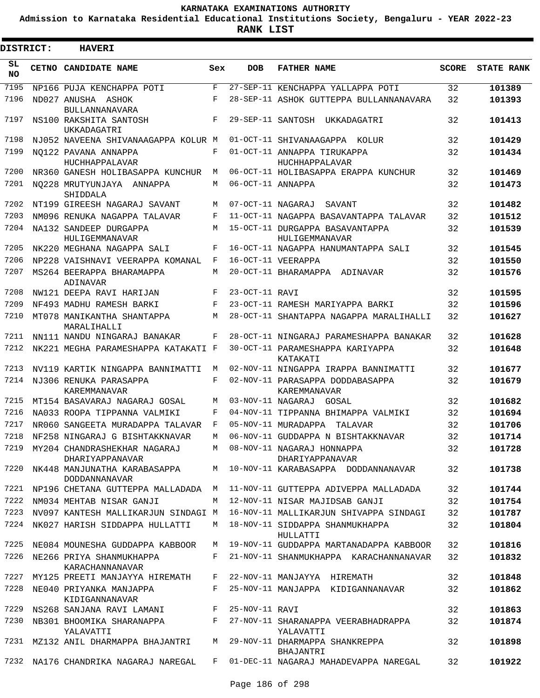**Admission to Karnataka Residential Educational Institutions Society, Bengaluru - YEAR 2022-23**

**RANK LIST**

| DISTRICT:       | <b>HAVERI</b>                                                                     |              |                   |                                                                              |              |                   |
|-----------------|-----------------------------------------------------------------------------------|--------------|-------------------|------------------------------------------------------------------------------|--------------|-------------------|
| SL<br><b>NO</b> | CETNO CANDIDATE NAME                                                              | Sex          | <b>DOB</b>        | <b>FATHER NAME</b>                                                           | <b>SCORE</b> | <b>STATE RANK</b> |
| 7195            | NP166 PUJA KENCHAPPA POTI                                                         | $\mathbf{F}$ |                   | 27-SEP-11 KENCHAPPA YALLAPPA POTI                                            | 32           | 101389            |
| 7196            | ND027 ANUSHA ASHOK                                                                | F            |                   | 28-SEP-11 ASHOK GUTTEPPA BULLANNANAVARA                                      | 32           | 101393            |
| 7197            | BULLANNANAVARA<br>NS100 RAKSHITA SANTOSH<br>UKKADAGATRI                           | F            |                   | 29-SEP-11 SANTOSH<br>UKKADAGATRI                                             | 32           | 101413            |
| 7198            | NJ052 NAVEENA SHIVANAAGAPPA KOLUR M                                               |              |                   | 01-OCT-11 SHIVANAAGAPPA KOLUR                                                | 32           | 101429            |
| 7199            | NO122 PAVANA ANNAPPA                                                              | F            |                   | 01-OCT-11 ANNAPPA TIRUKAPPA                                                  | 32           | 101434            |
| 7200            | HUCHHAPPALAVAR<br>NR360 GANESH HOLIBASAPPA KUNCHUR                                | M            |                   | HUCHHAPPALAVAR<br>06-OCT-11 HOLIBASAPPA ERAPPA KUNCHUR                       | 32           | 101469            |
| 7201            | NO228 MRUTYUNJAYA ANNAPPA<br>SHIDDALA                                             | М            | 06-OCT-11 ANNAPPA |                                                                              | 32           | 101473            |
| 7202            | NT199 GIREESH NAGARAJ SAVANT                                                      | М            | 07-OCT-11 NAGARAJ | SAVANT                                                                       | 32           | 101482            |
| 7203            | NM096 RENUKA NAGAPPA TALAVAR                                                      | F            |                   | 11-OCT-11 NAGAPPA BASAVANTAPPA TALAVAR                                       | 32           | 101512            |
| 7204            | NA132 SANDEEP DURGAPPA<br>HULIGEMMANAVAR                                          | М            |                   | 15-OCT-11 DURGAPPA BASAVANTAPPA<br>HULIGEMMANAVAR                            | 32           | 101539            |
| 7205            | NK220 MEGHANA NAGAPPA SALI                                                        | F            |                   | 16-OCT-11 NAGAPPA HANUMANTAPPA SALI                                          | 32           | 101545            |
| 7206            | NP228 VAISHNAVI VEERAPPA KOMANAL                                                  | F            |                   | 16-OCT-11 VEERAPPA                                                           | 32           | 101550            |
| 7207            | MS264 BEERAPPA BHARAMAPPA<br>ADINAVAR                                             | М            |                   | 20-OCT-11 BHARAMAPPA ADINAVAR                                                | 32           | 101576            |
| 7208            | NW121 DEEPA RAVI HARIJAN                                                          | F            | 23-OCT-11 RAVI    |                                                                              | 32           | 101595            |
| 7209            | NF493 MADHU RAMESH BARKI                                                          | F            |                   | 23-OCT-11 RAMESH MARIYAPPA BARKI                                             | 32           | 101596            |
| 7210            | MT078 MANIKANTHA SHANTAPPA<br>MARALIHALLI                                         | М            |                   | 28-OCT-11 SHANTAPPA NAGAPPA MARALIHALLI                                      | 32           | 101627            |
| 7211            | NN111 NANDU NINGARAJ BANAKAR                                                      | F            |                   | 28-OCT-11 NINGARAJ PARAMESHAPPA BANAKAR                                      | 32           | 101628            |
| 7212            | NK221 MEGHA PARAMESHAPPA KATAKATI F                                               |              |                   | 30-OCT-11 PARAMESHAPPA KARIYAPPA<br>KATAKATI                                 | 32           | 101648            |
| 7213            | NV119 KARTIK NINGAPPA BANNIMATTI                                                  | M            |                   | 02-NOV-11 NINGAPPA IRAPPA BANNIMATTI                                         | 32           | 101677            |
| 7214            | NJ306 RENUKA PARASAPPA<br><b>KAREMMANAVAR</b>                                     | F            |                   | 02-NOV-11 PARASAPPA DODDABASAPPA<br>KAREMMANAVAR                             | 32           | 101679            |
| 7215            | MT154 BASAVARAJ NAGARAJ GOSAL                                                     | M            |                   | 03-NOV-11 NAGARAJ GOSAL                                                      | 32           | 101682            |
| 7216            | NA033 ROOPA TIPPANNA VALMIKI                                                      | F            |                   | 04-NOV-11 TIPPANNA BHIMAPPA VALMIKI                                          | 32           | 101694            |
| 7217            | NR060 SANGEETA MURADAPPA TALAVAR                                                  | F            |                   | 05-NOV-11 MURADAPPA<br>TALAVAR                                               | 32           | 101706            |
| 7218            | NF258 NINGARAJ G BISHTAKKNAVAR                                                    | M            |                   | 06-NOV-11 GUDDAPPA N BISHTAKKNAVAR                                           | 32           | 101714            |
|                 | 7219 MY204 CHANDRASHEKHAR NAGARAJ M 08-NOV-11 NAGARAJ HONNAPPA<br>DHARIYAPPANAVAR |              |                   | DHARIYAPPANAVAR                                                              | 32           | 101728            |
|                 | <b>DODDANNANAVAR</b>                                                              |              |                   | 7220 NK448 MANJUNATHA KARABASAPPA M 10-NOV-11 KARABASAPPA DODDANNANAVAR      | 32           | 101738            |
| 7221            | NP196 CHETANA GUTTEPPA MALLADADA M                                                |              |                   | 11-NOV-11 GUTTEPPA ADIVEPPA MALLADADA                                        | 32           | 101744            |
| 7222            | NM034 MEHTAB NISAR GANJI                                                          | M            |                   | 12-NOV-11 NISAR MAJIDSAB GANJI                                               | 32           | 101754            |
| 7223<br>7224    | NV097 KANTESH MALLIKARJUN SINDAGI M<br>NK027 HARISH SIDDAPPA HULLATTI             | M            |                   | 16-NOV-11 MALLIKARJUN SHIVAPPA SINDAGI<br>18-NOV-11 SIDDAPPA SHANMUKHAPPA    | 32<br>32     | 101787<br>101804  |
|                 | 7225 NE084 MOUNESHA GUDDAPPA KABBOOR                                              |              |                   | HULLATTI<br>M 19-NOV-11 GUDDAPPA MARTANADAPPA KABBOOR                        | 32           | 101816            |
|                 | 7226 NE266 PRIYA SHANMUKHAPPA                                                     |              |                   | F 21-NOV-11 SHANMUKHAPPA KARACHANNANAVAR                                     | 32           | 101832            |
| 7227            | KARACHANNANAVAR<br>MY125 PREETI MANJAYYA HIREMATH F 22-NOV-11 MANJAYYA HIREMATH   |              |                   |                                                                              | 32           | 101848            |
| 7228            | NE040 PRIYANKA MANJAPPA                                                           | $F$ and      |                   | 25-NOV-11 MANJAPPA KIDIGANNANAVAR                                            | 32           | 101862            |
| 7229            | KIDIGANNANAVAR<br>NS268 SANJANA RAVI LAMANI F 25-NOV-11 RAVI                      |              |                   |                                                                              | 32           | 101863            |
| 7230            |                                                                                   |              |                   | NB301 BHOOMIKA SHARANAPPA F 27-NOV-11 SHARANAPPA VEERABHADRAPPA              | 32           | 101874            |
|                 | YALAVATTI<br>7231 MZ132 ANIL DHARMAPPA BHAJANTRI M 29-NOV-11 DHARMAPPA SHANKREPPA |              |                   | YALAVATTI                                                                    | 32           | 101898            |
|                 |                                                                                   |              |                   | BHAJANTRI                                                                    |              |                   |
|                 |                                                                                   |              |                   | 7232 NA176 CHANDRIKA NAGARAJ NAREGAL F 01-DEC-11 NAGARAJ MAHADEVAPPA NAREGAL | 32           | 101922            |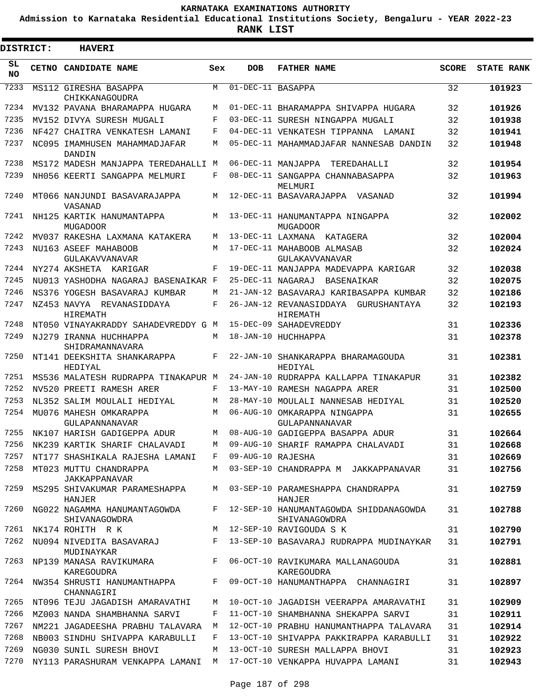**Admission to Karnataka Residential Educational Institutions Society, Bengaluru - YEAR 2022-23**

**RANK LIST**

ı

| <b>DISTRICT:</b> | <b>HAVERI</b>                                 |     |                   |                                                         |              |                   |
|------------------|-----------------------------------------------|-----|-------------------|---------------------------------------------------------|--------------|-------------------|
| SL<br><b>NO</b>  | CETNO CANDIDATE NAME                          | Sex | <b>DOB</b>        | <b>FATHER NAME</b>                                      | <b>SCORE</b> | <b>STATE RANK</b> |
| 7233             | MS112 GIRESHA BASAPPA<br>CHIKKANAGOUDRA       | M   | 01-DEC-11 BASAPPA |                                                         | 32           | 101923            |
| 7234             | MV132 PAVANA BHARAMAPPA HUGARA                | M   |                   | 01-DEC-11 BHARAMAPPA SHIVAPPA HUGARA                    | 32           | 101926            |
| 7235             | MV152 DIVYA SURESH MUGALI                     | F   |                   | 03-DEC-11 SURESH NINGAPPA MUGALI                        | 32           | 101938            |
| 7236             | NF427 CHAITRA VENKATESH LAMANI                | F   |                   | 04-DEC-11 VENKATESH TIPPANNA LAMANI                     | 32           | 101941            |
| 7237             | NC095 IMAMHUSEN MAHAMMADJAFAR<br>DANDIN       | М   |                   | 05-DEC-11 MAHAMMADJAFAR NANNESAB DANDIN                 | 32           | 101948            |
| 7238             | MS172 MADESH MANJAPPA TEREDAHALLI M           |     |                   | 06-DEC-11 MANJAPPA<br>TEREDAHALLI                       | 32           | 101954            |
| 7239             | NH056 KEERTI SANGAPPA MELMURI                 | F   |                   | 08-DEC-11 SANGAPPA CHANNABASAPPA<br>MELMURI             | 32           | 101963            |
| 7240             | MT066 NANJUNDI BASAVARAJAPPA<br>VASANAD       | М   |                   | 12-DEC-11 BASAVARAJAPPA VASANAD                         | 32           | 101994            |
| 7241             | NH125 KARTIK HANUMANTAPPA<br><b>MUGADOOR</b>  | M   |                   | 13-DEC-11 HANUMANTAPPA NINGAPPA<br><b>MUGADOOR</b>      | 32           | 102002            |
| 7242             | MV037 RAKESHA LAXMANA KATAKERA                | M   |                   | 13-DEC-11 LAXMANA KATAGERA                              | 32           | 102004            |
| 7243             | NU163 ASEEF MAHABOOB<br>GULAKAVVANAVAR        | М   |                   | 17-DEC-11 MAHABOOB ALMASAB<br>GULAKAVVANAVAR            | 32           | 102024            |
| 7244             | NY274 AKSHETA KARIGAR                         | F   |                   | 19-DEC-11 MANJAPPA MADEVAPPA KARIGAR                    | 32           | 102038            |
| 7245             | NU013 YASHODHA NAGARAJ BASENAIKAR F           |     | 25-DEC-11 NAGARAJ | BASENAIKAR                                              | 32           | 102075            |
| 7246             | NS376 YOGESH BASAVARAJ KUMBAR                 | М   |                   | 21-JAN-12 BASAVARAJ KARIBASAPPA KUMBAR                  | 32           | 102186            |
| 7247             | NZ453 NAVYA REVANASIDDAYA<br>HIREMATH         | F   |                   | 26-JAN-12 REVANASIDDAYA<br>GURUSHANTAYA<br>HIREMATH     | 32           | 102193            |
| 7248             | NT050 VINAYAKRADDY SAHADEVREDDY G M           |     |                   | 15-DEC-09 SAHADEVREDDY                                  | 31           | 102336            |
| 7249             | NJ279 IRANNA HUCHHAPPA<br>SHIDRAMANNAVARA     | М   |                   | 18-JAN-10 HUCHHAPPA                                     | 31           | 102378            |
| 7250             | NT141 DEEKSHITA SHANKARAPPA<br>HEDIYAL        | F   |                   | 22-JAN-10 SHANKARAPPA BHARAMAGOUDA<br>HEDIYAL           | 31           | 102381            |
| 7251             | MS536 MALATESH RUDRAPPA TINAKAPUR M           |     |                   | 24-JAN-10 RUDRAPPA KALLAPPA TINAKAPUR                   | 31           | 102382            |
| 7252             | NV520 PREETI RAMESH ARER                      | F   |                   | 13-MAY-10 RAMESH NAGAPPA ARER                           | 31           | 102500            |
| 7253             | NL352 SALIM MOULALI HEDIYAL                   | М   |                   | 28-MAY-10 MOULALI NANNESAB HEDIYAL                      | 31           | 102520            |
| 7254             | MU076 MAHESH OMKARAPPA<br>GULAPANNANAVAR      | M   |                   | 06-AUG-10 OMKARAPPA NINGAPPA<br>GULAPANNANAVAR          | 31           | 102655            |
| 7255             | NK107 HARISH GADIGEPPA ADUR                   | M   |                   | 08-AUG-10 GADIGEPPA BASAPPA ADUR                        | 31           | 102664            |
| 7256             | NK239 KARTIK SHARIF CHALAVADI                 | M   |                   | 09-AUG-10 SHARIF RAMAPPA CHALAVADI                      | 31           | 102668            |
| 7257             | NT177 SHASHIKALA RAJESHA LAMANI               | F   | 09-AUG-10 RAJESHA |                                                         | 31           | 102669            |
| 7258             | MT023 MUTTU CHANDRAPPA<br>JAKKAPPANAVAR       | M   |                   | 03-SEP-10 CHANDRAPPA M JAKKAPPANAVAR                    | 31           | 102756            |
| 7259             | MS295 SHIVAKUMAR PARAMESHAPPA<br>HANJER       | M   |                   | 03-SEP-10 PARAMESHAPPA CHANDRAPPA<br>HANJER             | 31           | 102759            |
| 7260             | NG022 NAGAMMA HANUMANTAGOWDA<br>SHIVANAGOWDRA | F   |                   | 12-SEP-10 HANUMANTAGOWDA SHIDDANAGOWDA<br>SHIVANAGOWDRA | 31           | 102788            |
| 7261             | NK174 ROHITH R K                              | M   |                   | 12-SEP-10 RAVIGOUDA S K                                 | 31           | 102790            |
| 7262             | NU094 NIVEDITA BASAVARAJ<br>MUDINAYKAR        | F   |                   | 13-SEP-10 BASAVARAJ RUDRAPPA MUDINAYKAR                 | 31           | 102791            |
| 7263             | NP139 MANASA RAVIKUMARA<br>KAREGOUDRA         | F   |                   | 06-OCT-10 RAVIKUMARA MALLANAGOUDA<br>KAREGOUDRA         | 31           | 102881            |
| 7264             | NW354 SHRUSTI HANUMANTHAPPA<br>CHANNAGIRI     | F   |                   | 09-OCT-10 HANUMANTHAPPA CHANNAGIRI                      | 31           | 102897            |
| 7265             | NT096 TEJU JAGADISH AMARAVATHI                | M   |                   | 10-OCT-10 JAGADISH VEERAPPA AMARAVATHI                  | 31           | 102909            |
| 7266             | MZ003 NANDA SHAMBHANNA SARVI                  | F   |                   | 11-OCT-10 SHAMBHANNA SHEKAPPA SARVI                     | 31           | 102911            |
| 7267             | NM221 JAGADEESHA PRABHU TALAVARA              | M   |                   | 12-OCT-10 PRABHU HANUMANTHAPPA TALAVARA                 | 31           | 102914            |
| 7268             | NB003 SINDHU SHIVAPPA KARABULLI               | F   |                   | 13-OCT-10 SHIVAPPA PAKKIRAPPA KARABULLI                 | 31           | 102922            |
| 7269             | NG030 SUNIL SURESH BHOVI                      | M   |                   | 13-OCT-10 SURESH MALLAPPA BHOVI                         | 31           | 102923            |
| 7270             | NY113 PARASHURAM VENKAPPA LAMANI              | M   |                   | 17-OCT-10 VENKAPPA HUVAPPA LAMANI                       | 31           | 102943            |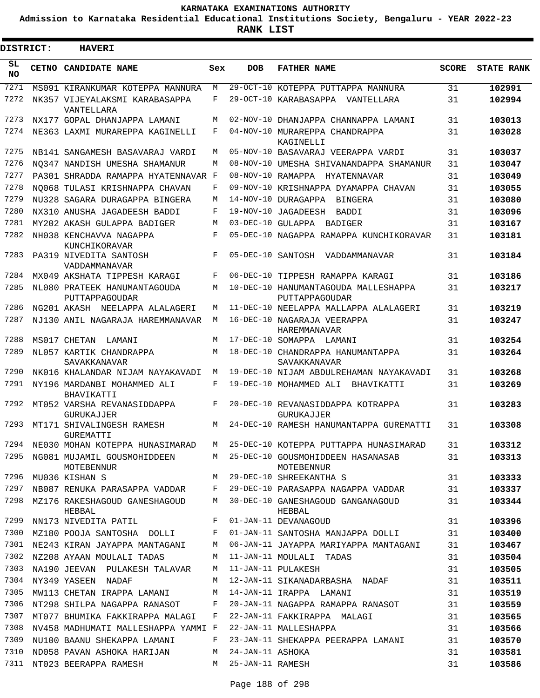**Admission to Karnataka Residential Educational Institutions Society, Bengaluru - YEAR 2022-23**

ı

| <b>DISTRICT:</b> | <b>HAVERI</b>                                    |     |                   |                                                        |              |                   |
|------------------|--------------------------------------------------|-----|-------------------|--------------------------------------------------------|--------------|-------------------|
| SL<br><b>NO</b>  | <b>CETNO CANDIDATE NAME</b>                      | Sex | <b>DOB</b>        | <b>FATHER NAME</b>                                     | <b>SCORE</b> | <b>STATE RANK</b> |
| 7271             | MS091 KIRANKUMAR KOTEPPA MANNURA                 | M   |                   | 29-OCT-10 KOTEPPA PUTTAPPA MANNURA                     | 31           | 102991            |
| 7272             | NK357 VIJEYALAKSMI KARABASAPPA<br>VANTELLARA     | F   |                   | 29-OCT-10 KARABASAPPA VANTELLARA                       | 31           | 102994            |
| 7273             | NX177 GOPAL DHANJAPPA LAMANI                     | М   |                   | 02-NOV-10 DHANJAPPA CHANNAPPA LAMANI                   | 31           | 103013            |
| 7274             | NE363 LAXMI MURAREPPA KAGINELLI                  | F   |                   | 04-NOV-10 MURAREPPA CHANDRAPPA<br>KAGINELLI            | 31           | 103028            |
| 7275             | NB141 SANGAMESH BASAVARAJ VARDI                  | М   |                   | 05-NOV-10 BASAVARAJ VEERAPPA VARDI                     | 31           | 103037            |
| 7276             | NO347 NANDISH UMESHA SHAMANUR                    | М   |                   | 08-NOV-10 UMESHA SHIVANANDAPPA SHAMANUR                | 31           | 103047            |
| 7277             | PA301 SHRADDA RAMAPPA HYATENNAVAR F              |     |                   | 08-NOV-10 RAMAPPA HYATENNAVAR                          | 31           | 103049            |
| 7278             | NO068 TULASI KRISHNAPPA CHAVAN                   | F   |                   | 09-NOV-10 KRISHNAPPA DYAMAPPA CHAVAN                   | 31           | 103055            |
| 7279             | NU328 SAGARA DURAGAPPA BINGERA                   | М   |                   | 14-NOV-10 DURAGAPPA<br><b>BINGERA</b>                  | 31           | 103080            |
| 7280             | NX310 ANUSHA JAGADEESH BADDI                     | F   |                   | 19-NOV-10 JAGADEESH<br>BADDI                           | 31           | 103096            |
| 7281             | MY202 AKASH GULAPPA BADIGER                      | М   |                   | 03-DEC-10 GULAPPA BADIGER                              | 31           | 103167            |
| 7282             | NH038 KENCHAVVA NAGAPPA<br>KUNCHIKORAVAR         | F   |                   | 05-DEC-10 NAGAPPA RAMAPPA KUNCHIKORAVAR                | 31           | 103181            |
| 7283             | PA319 NIVEDITA SANTOSH<br>VADDAMMANAVAR          | F   | 05-DEC-10 SANTOSH | VADDAMMANAVAR                                          | 31           | 103184            |
| 7284             | MX049 AKSHATA TIPPESH KARAGI                     | F   |                   | 06-DEC-10 TIPPESH RAMAPPA KARAGI                       | 31           | 103186            |
| 7285             | NL080 PRATEEK HANUMANTAGOUDA<br>PUTTAPPAGOUDAR   | М   |                   | 10-DEC-10 HANUMANTAGOUDA MALLESHAPPA<br>PUTTAPPAGOUDAR | 31           | 103217            |
| 7286             | NG201 AKASH NEELAPPA ALALAGERI                   | М   |                   | 11-DEC-10 NEELAPPA MALLAPPA ALALAGERI                  | 31           | 103219            |
| 7287             | NJ130 ANIL NAGARAJA HAREMMANAVAR                 | M   |                   | 16-DEC-10 NAGARAJA VEERAPPA<br>HAREMMANAVAR            | 31           | 103247            |
| 7288             | MS017 CHETAN<br>LAMANI                           | M   |                   | 17-DEC-10 SOMAPPA LAMANI                               | 31           | 103254            |
| 7289             | NL057 KARTIK CHANDRAPPA<br>SAVAKKANAVAR          | М   | 18-DEC-10         | CHANDRAPPA HANUMANTAPPA<br>SAVAKKANAVAR                | 31           | 103264            |
| 7290             | NK016 KHALANDAR NIJAM NAYAKAVADI                 | М   |                   | 19-DEC-10 NIJAM ABDULREHAMAN NAYAKAVADI                | 31           | 103268            |
| 7291             | NY196 MARDANBI MOHAMMED ALI<br>BHAVIKATTI        | F   |                   | 19-DEC-10 MOHAMMED ALI<br>BHAVIKATTI                   | 31           | 103269            |
| 7292             | MT052 VARSHA REVANASIDDAPPA<br><b>GURUKAJJER</b> | F   |                   | 20-DEC-10 REVANASIDDAPPA KOTRAPPA<br>GURUKAJJER        | 31           | 103283            |
| 7293             | MT171 SHIVALINGESH RAMESH<br>GUREMATTI           | М   |                   | 24-DEC-10 RAMESH HANUMANTAPPA GUREMATTI                | 31           | 103308            |
| 7294             | NE030 MOHAN KOTEPPA HUNASIMARAD                  | M   |                   | 25-DEC-10 KOTEPPA PUTTAPPA HUNASIMARAD                 | 31           | 103312            |
| 7295             | NG081 MUJAMIL GOUSMOHIDDEEN<br>MOTEBENNUR        | M   |                   | 25-DEC-10 GOUSMOHIDDEEN HASANASAB<br>MOTEBENNUR        | 31           | 103313            |
| 7296             | MU036 KISHAN S                                   | M   |                   | 29-DEC-10 SHREEKANTHA S                                | 31           | 103333            |
| 7297             | NB087 RENUKA PARASAPPA VADDAR                    | F   |                   | 29-DEC-10 PARASAPPA NAGAPPA VADDAR                     | 31           | 103337            |
| 7298             | MZ176 RAKESHAGOUD GANESHAGOUD<br>HEBBAL          | М   |                   | 30-DEC-10 GANESHAGOUD GANGANAGOUD<br>HEBBAL            | 31           | 103344            |
| 7299             | NN173 NIVEDITA PATIL                             | F   |                   | 01-JAN-11 DEVANAGOUD                                   | 31           | 103396            |
| 7300             | MZ180 POOJA SANTOSHA DOLLI                       | F   |                   | 01-JAN-11 SANTOSHA MANJAPPA DOLLI                      | 31           | 103400            |
| 7301             | NE243 KIRAN JAYAPPA MANTAGANI                    | M   |                   | 06-JAN-11 JAYAPPA MARIYAPPA MANTAGANI                  | 31           | 103467            |
| 7302             | NZ208 AYAAN MOULALI TADAS                        | M   |                   | 11-JAN-11 MOULALI TADAS                                | 31           | 103504            |
| 7303             | NA190 JEEVAN PULAKESH TALAVAR                    | M   |                   | 11-JAN-11 PULAKESH                                     | 31           | 103505            |
| 7304             | NY349 YASEEN NADAF                               | М   |                   | 12-JAN-11 SIKANADARBASHA NADAF                         | 31           | 103511            |
| 7305             | MW113 CHETAN IRAPPA LAMANI                       | М   |                   | 14-JAN-11 IRAPPA LAMANI                                | 31           | 103519            |
| 7306             | NT298 SHILPA NAGAPPA RANASOT                     | F   |                   | 20-JAN-11 NAGAPPA RAMAPPA RANASOT                      | 31           | 103559            |
| 7307             | MT077 BHUMIKA FAKKIRAPPA MALAGI                  | F   |                   | 22-JAN-11 FAKKIRAPPA MALAGI                            | 31           | 103565            |
| 7308             | NV458 MADHUMATI MALLESHAPPA YAMMI F              |     |                   | 22-JAN-11 MALLESHAPPA                                  | 31           | 103566            |
| 7309             | NU100 BAANU SHEKAPPA LAMANI                      | F   |                   | 23-JAN-11 SHEKAPPA PEERAPPA LAMANI                     | 31           | 103570            |
| 7310             | ND058 PAVAN ASHOKA HARIJAN                       | M   | 24-JAN-11 ASHOKA  |                                                        | 31           | 103581            |
| 7311             | NT023 BEERAPPA RAMESH                            | M   | 25-JAN-11 RAMESH  |                                                        | 31           | 103586            |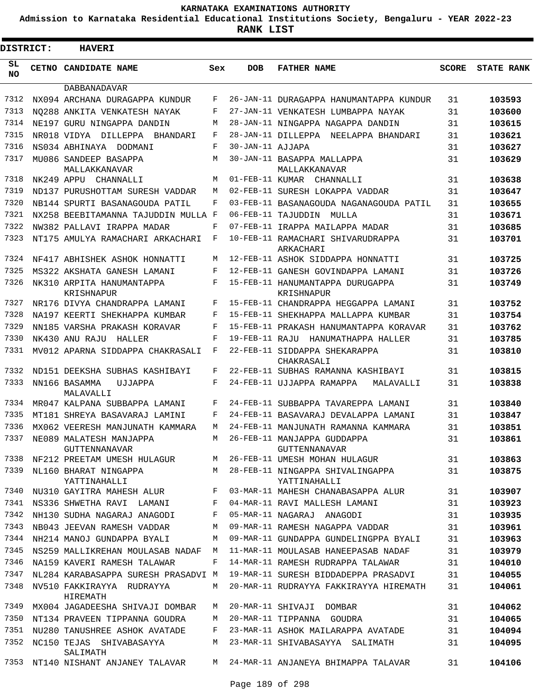**Admission to Karnataka Residential Educational Institutions Society, Bengaluru - YEAR 2022-23**

**RANK LIST**

Е

| <b>DISTRICT:</b> |  | <b>HAVERI</b>                           |     |                  |                                                  |              |                   |
|------------------|--|-----------------------------------------|-----|------------------|--------------------------------------------------|--------------|-------------------|
| SL<br><b>NO</b>  |  | CETNO CANDIDATE NAME                    | Sex | <b>DOB</b>       | <b>FATHER NAME</b>                               | <b>SCORE</b> | <b>STATE RANK</b> |
|                  |  | <b>DABBANADAVAR</b>                     |     |                  |                                                  |              |                   |
| 7312             |  | NX094 ARCHANA DURAGAPPA KUNDUR          | F   |                  | 26-JAN-11 DURAGAPPA HANUMANTAPPA KUNDUR          | 31           | 103593            |
| 7313             |  | NO288 ANKITA VENKATESH NAYAK            | F   |                  | 27-JAN-11 VENKATESH LUMBAPPA NAYAK               | 31           | 103600            |
| 7314             |  | NE197 GURU NINGAPPA DANDIN              | М   |                  | 28-JAN-11 NINGAPPA NAGAPPA DANDIN                | 31           | 103615            |
| 7315             |  | NR018 VIDYA DILLEPPA<br>BHANDARI        | F   |                  | 28-JAN-11 DILLEPPA NEELAPPA BHANDARI             | 31           | 103621            |
| 7316             |  | NS034 ABHINAYA DODMANI                  | F   | 30-JAN-11 AJJAPA |                                                  | 31           | 103627            |
| 7317             |  | MU086 SANDEEP BASAPPA<br>MALLAKKANAVAR  | М   |                  | 30-JAN-11 BASAPPA MALLAPPA<br>MALLAKKANAVAR      | 31           | 103629            |
| 7318             |  | NK249 APPU CHANNALLI                    | М   |                  | 01-FEB-11 KUMAR CHANNALLI                        | 31           | 103638            |
| 7319             |  | ND137 PURUSHOTTAM SURESH VADDAR         | М   |                  | 02-FEB-11 SURESH LOKAPPA VADDAR                  | 31           | 103647            |
| 7320             |  | NB144 SPURTI BASANAGOUDA PATIL          | F   |                  | 03-FEB-11 BASANAGOUDA NAGANAGOUDA PATIL          | 31           | 103655            |
| 7321             |  | NX258 BEEBITAMANNA TAJUDDIN MULLA F     |     |                  | 06-FEB-11 TAJUDDIN MULLA                         | 31           | 103671            |
| 7322             |  | NW382 PALLAVI IRAPPA MADAR              | F   |                  | 07-FEB-11 IRAPPA MAILAPPA MADAR                  | 31           | 103685            |
| 7323             |  | NT175 AMULYA RAMACHARI ARKACHARI        | F   |                  | 10-FEB-11 RAMACHARI SHIVARUDRAPPA<br>ARKACHARI   | 31           | 103701            |
| 7324             |  | NF417 ABHISHEK ASHOK HONNATTI           | М   |                  | 12-FEB-11 ASHOK SIDDAPPA HONNATTI                | 31           | 103725            |
| 7325             |  | MS322 AKSHATA GANESH LAMANI             | F   |                  | 12-FEB-11 GANESH GOVINDAPPA LAMANI               | 31           | 103726            |
| 7326             |  | NK310 ARPITA HANUMANTAPPA<br>KRISHNAPUR | F   |                  | 15-FEB-11 HANUMANTAPPA DURUGAPPA<br>KRISHNAPUR   | 31           | 103749            |
| 7327             |  | NR176 DIVYA CHANDRAPPA LAMANI           | F   |                  | 15-FEB-11 CHANDRAPPA HEGGAPPA LAMANI             | 31           | 103752            |
| 7328             |  | NA197 KEERTI SHEKHAPPA KUMBAR           | F   |                  | 15-FEB-11 SHEKHAPPA MALLAPPA KUMBAR              | 31           | 103754            |
| 7329             |  | NN185 VARSHA PRAKASH KORAVAR            | F   |                  | 15-FEB-11 PRAKASH HANUMANTAPPA KORAVAR           | 31           | 103762            |
| 7330             |  | NK430 ANU RAJU<br>HALLER                | F   |                  | 19-FEB-11 RAJU HANUMATHAPPA HALLER               | 31           | 103785            |
| 7331             |  | MV012 APARNA SIDDAPPA CHAKRASALI        | F   |                  | 22-FEB-11 SIDDAPPA SHEKARAPPA<br>CHAKRASALI      | 31           | 103810            |
| 7332             |  | ND151 DEEKSHA SUBHAS KASHIBAYI          | F   |                  | 22-FEB-11 SUBHAS RAMANNA KASHIBAYI               | 31           | 103815            |
| 7333             |  | NN166 BASAMMA<br>UJJAPPA<br>MALAVALLI   | F   |                  | 24-FEB-11 UJJAPPA RAMAPPA<br>MALAVALLI           | 31           | 103838            |
| 7334             |  | MR047 KALPANA SUBBAPPA LAMANI           | F   |                  | 24-FEB-11 SUBBAPPA TAVAREPPA LAMANI              | 31           | 103840            |
| 7335             |  | MT181 SHREYA BASAVARAJ LAMINI           | F   |                  | 24-FEB-11 BASAVARAJ DEVALAPPA LAMANI             | 31           | 103847            |
| 7336             |  | MX062 VEERESH MANJUNATH KAMMARA         | М   |                  | 24-FEB-11 MANJUNATH RAMANNA KAMMARA              | 31           | 103851            |
| 7337             |  | NE089 MALATESH MANJAPPA                 | М   |                  | 26-FEB-11 MANJAPPA GUDDAPPA                      | 31           | 103861            |
|                  |  | GUTTENNANAVAR                           |     |                  | GUTTENNANAVAR                                    |              |                   |
| 7338             |  | NF212 PREETAM UMESH HULAGUR             | М   |                  | 26-FEB-11 UMESH MOHAN HULAGUR                    | 31           | 103863            |
| 7339             |  | NL160 BHARAT NINGAPPA<br>YATTINAHALLI   | M   |                  | 28-FEB-11 NINGAPPA SHIVALINGAPPA<br>YATTINAHALLI | 31           | 103875            |
| 7340             |  | NU310 GAYITRA MAHESH ALUR               | F   |                  | 03-MAR-11 MAHESH CHANABASAPPA ALUR               | 31           | 103907            |
| 7341             |  | NS336 SHWETHA RAVI LAMANI               | F   |                  | 04-MAR-11 RAVI MALLESH LAMANI                    | 31           | 103923            |
| 7342             |  | NH130 SUDHA NAGARAJ ANAGODI             | F   |                  | 05-MAR-11 NAGARAJ ANAGODI                        | 31           | 103935            |
| 7343             |  | NB043 JEEVAN RAMESH VADDAR              | M   |                  | 09-MAR-11 RAMESH NAGAPPA VADDAR                  | 31           | 103961            |
| 7344             |  | NH214 MANOJ GUNDAPPA BYALI              | M   |                  | 09-MAR-11 GUNDAPPA GUNDELINGPPA BYALI            | 31           | 103963            |
| 7345             |  | NS259 MALLIKREHAN MOULASAB NADAF        | М   |                  | 11-MAR-11 MOULASAB HANEEPASAB NADAF              | 31           | 103979            |
| 7346             |  | NA159 KAVERI RAMESH TALAWAR             | F   |                  | 14-MAR-11 RAMESH RUDRAPPA TALAWAR                | 31           | 104010            |
| 7347             |  | NL284 KARABASAPPA SURESH PRASADVI M     |     |                  | 19-MAR-11 SURESH BIDDADEPPA PRASADVI             | 31           | 104055            |
| 7348             |  | NV510 FAKKIRAYYA RUDRAYYA<br>HIREMATH   | М   |                  | 20-MAR-11 RUDRAYYA FAKKIRAYYA HIREMATH           | 31           | 104061            |
| 7349             |  | MX004 JAGADEESHA SHIVAJI DOMBAR         | М   |                  | 20-MAR-11 SHIVAJI DOMBAR                         | 31           | 104062            |
| 7350             |  | NT134 PRAVEEN TIPPANNA GOUDRA           | М   |                  | 20-MAR-11 TIPPANNA GOUDRA                        | 31           | 104065            |
| 7351             |  | NU280 TANUSHREE ASHOK AVATADE           | F   |                  | 23-MAR-11 ASHOK MAILARAPPA AVATADE               | 31           | 104094            |
| 7352             |  | NC150 TEJAS SHIVABASAYYA<br>SALIMATH    | М   |                  | 23-MAR-11 SHIVABASAYYA SALIMATH                  | 31           | 104095            |
| 7353             |  | NT140 NISHANT ANJANEY TALAVAR           | М   |                  | 24-MAR-11 ANJANEYA BHIMAPPA TALAVAR              | 31           | 104106            |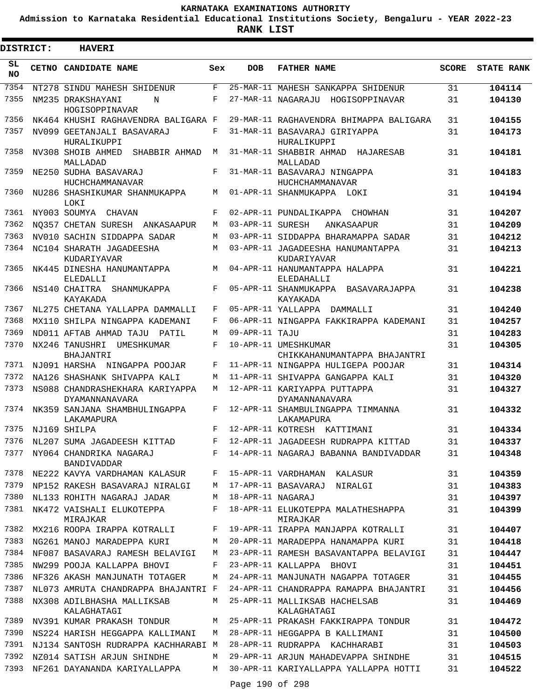**Admission to Karnataka Residential Educational Institutions Society, Bengaluru - YEAR 2022-23**

| <b>DISTRICT:</b> | <b>HAVERI</b>                                     |            |                   |                                                      |              |                   |
|------------------|---------------------------------------------------|------------|-------------------|------------------------------------------------------|--------------|-------------------|
| SL<br><b>NO</b>  | CETNO CANDIDATE NAME                              | Sex        | <b>DOB</b>        | <b>FATHER NAME</b>                                   | <b>SCORE</b> | <b>STATE RANK</b> |
| 7354             | NT278 SINDU MAHESH SHIDENUR                       | F          |                   | 25-MAR-11 MAHESH SANKAPPA SHIDENUR                   | 31           | 104114            |
| 7355             | NM235 DRAKSHAYANI<br>N<br>HOGISOPPINAVAR          | F          |                   | 27-MAR-11 NAGARAJU HOGISOPPINAVAR                    | 31           | 104130            |
| 7356             | NK464 KHUSHI RAGHAVENDRA BALIGARA F               |            |                   | 29-MAR-11 RAGHAVENDRA BHIMAPPA BALIGARA              | 31           | 104155            |
| 7357             | NV099 GEETANJALI BASAVARAJ<br>HURALIKUPPI         | F          |                   | 31-MAR-11 BASAVARAJ GIRIYAPPA<br>HURALIKUPPI         | 31           | 104173            |
| 7358             | NV308 SHOIB AHMED<br>SHABBIR AHMAD<br>MALLADAD    | M          |                   | 31-MAR-11 SHABBIR AHMAD<br>HAJARESAB<br>MALLADAD     | 31           | 104181            |
| 7359             | NE250 SUDHA BASAVARAJ<br>HUCHCHAMMANAVAR          | F          |                   | 31-MAR-11 BASAVARAJ NINGAPPA<br>HUCHCHAMMANAVAR      | 31           | 104183            |
| 7360             | NU286 SHASHIKUMAR SHANMUKAPPA<br>LOKI             | М          |                   | 01-APR-11 SHANMUKAPPA LOKI                           | 31           | 104194            |
| 7361             | NY003 SOUMYA CHAVAN                               | F          |                   | 02-APR-11 PUNDALIKAPPA CHOWHAN                       | 31           | 104207            |
| 7362             | NO357 CHETAN SURESH ANKASAAPUR                    | M          | 03-APR-11 SURESH  | ANKASAAPUR                                           | 31           | 104209            |
| 7363             | NV010 SACHIN SIDDAPPA SADAR                       | М          |                   | 03-APR-11 SIDDAPPA BHARAMAPPA SADAR                  | 31           | 104212            |
| 7364             | NC104 SHARATH JAGADEESHA<br>KUDARIYAVAR           | М          |                   | 03-APR-11 JAGADEESHA HANUMANTAPPA<br>KUDARIYAVAR     | 31           | 104213            |
| 7365             | NK445 DINESHA HANUMANTAPPA<br>ELEDALLI            | М          |                   | 04-APR-11 HANUMANTAPPA HALAPPA<br><b>ELEDAHALLI</b>  | 31           | 104221            |
| 7366             | NS140 CHAITRA<br>SHANMUKAPPA<br>KAYAKADA          | F          |                   | 05-APR-11 SHANMUKAPPA BASAVARAJAPPA<br>KAYAKADA      | 31           | 104238            |
| 7367             | NL275 CHETANA YALLAPPA DAMMALLI                   | F          |                   | 05-APR-11 YALLAPPA DAMMALLI                          | 31           | 104240            |
| 7368             | MX110 SHILPA NINGAPPA KADEMANI                    | F          |                   | 06-APR-11 NINGAPPA FAKKIRAPPA KADEMANI               | 31           | 104257            |
| 7369             | ND011 AFTAB AHMAD TAJU PATIL                      | М          | 09-APR-11 TAJU    |                                                      | 31           | 104283            |
| 7370             | NX246 TANUSHRI<br>UMESHKUMAR<br>BHAJANTRI         | $_{\rm F}$ |                   | 10-APR-11 UMESHKUMAR<br>CHIKKAHANUMANTAPPA BHAJANTRI | 31           | 104305            |
| 7371             | NJ091 HARSHA NINGAPPA POOJAR                      | F          |                   | 11-APR-11 NINGAPPA HULIGEPA POOJAR                   | 31           | 104314            |
| 7372             | NA126 SHASHANK SHIVAPPA KALI                      | М          |                   | 11-APR-11 SHIVAPPA GANGAPPA KALI                     | 31           | 104320            |
| 7373             | NS088 CHANDRASHEKHARA KARIYAPPA<br>DYAMANNANAVARA | М          |                   | 12-APR-11 KARIYAPPA PUTTAPPA<br>DYAMANNANAVARA       | 31           | 104327            |
| 7374             | NK359 SANJANA SHAMBHULINGAPPA<br>LAKAMAPURA       | F          |                   | 12-APR-11 SHAMBULINGAPPA TIMMANNA<br>LAKAMAPURA      | 31           | 104332            |
|                  | 7375 NJ169 SHILPA                                 | F          |                   | 12-APR-11 KOTRESH KATTIMANI                          | 31           | 104334            |
|                  | 7376 NL207 SUMA JAGADEESH KITTAD                  |            |                   | F 12-APR-11 JAGADEESH RUDRAPPA KITTAD                | 31           | 104337            |
| 7377             | NY064 CHANDRIKA NAGARAJ<br>BANDIVADDAR            | F          |                   | 14-APR-11 NAGARAJ BABANNA BANDIVADDAR                | 31           | 104348            |
| 7378             | NE222 KAVYA VARDHAMAN KALASUR                     | F          |                   | 15-APR-11 VARDHAMAN KALASUR                          | 31           | 104359            |
| 7379             | NP152 RAKESH BASAVARAJ NIRALGI                    | M          |                   | 17-APR-11 BASAVARAJ<br>NIRALGI                       | 31           | 104383            |
| 7380             | NL133 ROHITH NAGARAJ JADAR                        | M          | 18-APR-11 NAGARAJ |                                                      | 31           | 104397            |
| 7381             | NK472 VAISHALI ELUKOTEPPA<br>MIRAJKAR             | F          |                   | 18-APR-11 ELUKOTEPPA MALATHESHAPPA<br>MIRAJKAR       | 31           | 104399            |
| 7382             | MX216 ROOPA IRAPPA KOTRALLI                       | F          |                   | 19-APR-11 IRAPPA MANJAPPA KOTRALLI                   | 31           | 104407            |
| 7383             | NG261 MANOJ MARADEPPA KURI                        | М          |                   | 20-APR-11 MARADEPPA HANAMAPPA KURI                   | 31           | 104418            |
| 7384             | NF087 BASAVARAJ RAMESH BELAVIGI                   | М          |                   | 23-APR-11 RAMESH BASAVANTAPPA BELAVIGI               | 31           | 104447            |
| 7385             | NW299 POOJA KALLAPPA BHOVI                        | F          |                   | 23-APR-11 KALLAPPA BHOVI                             | 31           | 104451            |
| 7386             | NF326 AKASH MANJUNATH TOTAGER                     | М          |                   | 24-APR-11 MANJUNATH NAGAPPA TOTAGER                  | 31           | 104455            |
| 7387             | NL073 AMRUTA CHANDRAPPA BHAJANTRI F               |            |                   | 24-APR-11 CHANDRAPPA RAMAPPA BHAJANTRI               | 31           | 104456            |
| 7388             | NX308 ADILBHASHA MALLIKSAB<br>KALAGHATAGI         | М          |                   | 25-APR-11 MALLIKSAB HACHELSAB<br>KALAGHATAGI         | 31           | 104469            |
| 7389             | NV391 KUMAR PRAKASH TONDUR                        | М          |                   | 25-APR-11 PRAKASH FAKKIRAPPA TONDUR                  | 31           | 104472            |
| 7390             | NS224 HARISH HEGGAPPA KALLIMANI                   | М          |                   | 28-APR-11 HEGGAPPA B KALLIMANI                       | 31           | 104500            |
| 7391             | NJ134 SANTOSH RUDRAPPA KACHHARABI M               |            |                   | 28-APR-11 RUDRAPPA KACHHARABI                        | 31           | 104503            |
| 7392             | NZ014 SATISH ARJUN SHINDHE                        | М          |                   | 29-APR-11 ARJUN MAHADEVAPPA SHINDHE                  | 31           | 104515            |
| 7393             | NF261 DAYANANDA KARIYALLAPPA                      | М          |                   | 30-APR-11 KARIYALLAPPA YALLAPPA HOTTI                | 31           | 104522            |
|                  |                                                   |            | Page 190 of 298   |                                                      |              |                   |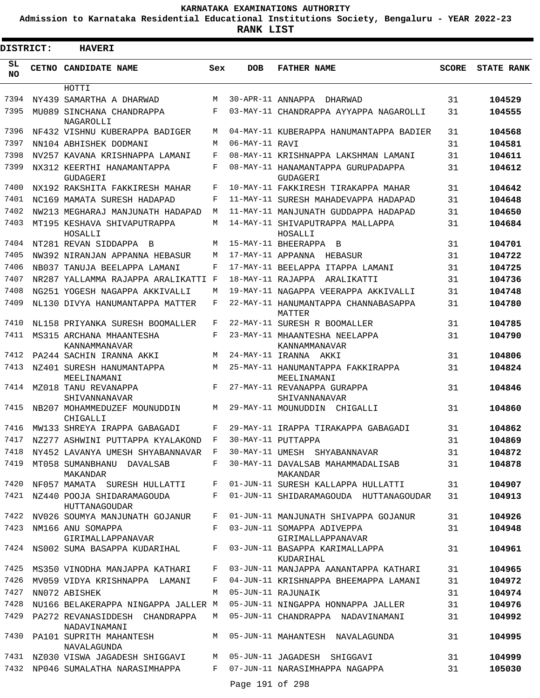**Admission to Karnataka Residential Educational Institutions Society, Bengaluru - YEAR 2022-23**

| <b>DISTRICT:</b> | <b>HAVERI</b>                                  |     |                   |                                                  |              |                   |
|------------------|------------------------------------------------|-----|-------------------|--------------------------------------------------|--------------|-------------------|
| SL<br><b>NO</b>  | CETNO CANDIDATE NAME                           | Sex | <b>DOB</b>        | <b>FATHER NAME</b>                               | <b>SCORE</b> | <b>STATE RANK</b> |
|                  | HOTTI                                          |     |                   |                                                  |              |                   |
| 7394             | NY439 SAMARTHA A DHARWAD                       | M   | 30-APR-11 ANNAPPA | DHARWAD                                          | 31           | 104529            |
| 7395             | MU089 SINCHANA CHANDRAPPA<br>NAGAROLLI         | F   |                   | 03-MAY-11 CHANDRAPPA AYYAPPA NAGAROLLI           | 31           | 104555            |
| 7396             | NF432 VISHNU KUBERAPPA BADIGER                 | М   |                   | 04-MAY-11 KUBERAPPA HANUMANTAPPA BADIER          | 31           | 104568            |
| 7397             | NN104 ABHISHEK DODMANI                         | M   | 06-MAY-11 RAVI    |                                                  | 31           | 104581            |
| 7398             | NV257 KAVANA KRISHNAPPA LAMANI                 | F   |                   | 08-MAY-11 KRISHNAPPA LAKSHMAN LAMANI             | 31           | 104611            |
| 7399             | NX312 KEERTHI HANAMANTAPPA<br>GUDAGERI         | F   |                   | 08-MAY-11 HANAMANTAPPA GURUPADAPPA<br>GUDAGERI   | 31           | 104612            |
| 7400             | NX192 RAKSHITA FAKKIRESH MAHAR                 | F   |                   | 10-MAY-11 FAKKIRESH TIRAKAPPA MAHAR              | 31           | 104642            |
| 7401             | NC169 MAMATA SURESH HADAPAD                    | F   |                   | 11-MAY-11 SURESH MAHADEVAPPA HADAPAD             | 31           | 104648            |
| 7402             | NW213 MEGHARAJ MANJUNATH HADAPAD               | М   |                   | 11-MAY-11 MANJUNATH GUDDAPPA HADAPAD             | 31           | 104650            |
| 7403             | MT195 KESHAVA SHIVAPUTRAPPA<br>HOSALLI         | М   |                   | 14-MAY-11 SHIVAPUTRAPPA MALLAPPA<br>HOSALLI      | 31           | 104684            |
| 7404             | NT281 REVAN SIDDAPPA B                         | М   |                   | 15-MAY-11 BHEERAPPA B                            | 31           | 104701            |
| 7405             | NW392 NIRANJAN APPANNA HEBASUR                 | M   | 17-MAY-11 APPANNA | HEBASUR                                          | 31           | 104722            |
| 7406             | NB037 TANUJA BEELAPPA LAMANI                   | F   |                   | 17-MAY-11 BEELAPPA ITAPPA LAMANI                 | 31           | 104725            |
| 7407             | NR287 YALLAMMA RAJAPPA ARALIKATTI              | F   | 18-MAY-11 RAJAPPA | ARALIKATTI                                       | 31           | 104736            |
| 7408             | NG251 YOGESH NAGAPPA AKKIVALLI                 | М   |                   | 19-MAY-11 NAGAPPA VEERAPPA AKKIVALLI             | 31           | 104748            |
| 7409             | NL130 DIVYA HANUMANTAPPA MATTER                | F   |                   | 22-MAY-11 HANUMANTAPPA CHANNABASAPPA<br>MATTER   | 31           | 104780            |
| 7410             | NL158 PRIYANKA SURESH BOOMALLER                | F   |                   | 22-MAY-11 SURESH R BOOMALLER                     | 31           | 104785            |
| 7411             | MS315 ARCHANA MHAANTESHA<br>KANNAMMANAVAR      | F   |                   | 23-MAY-11 MHAANTESHA NEELAPPA<br>KANNAMMANAVAR   | 31           | 104790            |
| 7412             | PA244 SACHIN IRANNA AKKI                       | М   |                   | 24-MAY-11 IRANNA AKKI                            | 31           | 104806            |
| 7413             | NZ401 SURESH HANUMANTAPPA<br>MEELINAMANI       | М   |                   | 25-MAY-11 HANUMANTAPPA FAKKIRAPPA<br>MEELINAMANI | 31           | 104824            |
| 7414             | MZ018 TANU REVANAPPA<br>SHIVANNANAVAR          | F   |                   | 27-MAY-11 REVANAPPA GURAPPA<br>SHIVANNANAVAR     | 31           | 104846            |
| 7415             | NB207 MOHAMMEDUZEF MOUNUDDIN<br>CHIGALLI       | М   |                   | 29-MAY-11 MOUNUDDIN<br>CHIGALLI                  | 31           | 104860            |
| 7416             | MW133 SHREYA IRAPPA GABAGADI                   | F   |                   | 29-MAY-11 IRAPPA TIRAKAPPA GABAGADI              | 31           | 104862            |
| 7417             | NZ277 ASHWINI PUTTAPPA KYALAKOND               | F   |                   | 30-MAY-11 PUTTAPPA                               | 31           | 104869            |
| 7418             | NY452 LAVANYA UMESH SHYABANNAVAR F             |     |                   | 30-MAY-11 UMESH SHYABANNAVAR                     | 31           | 104872            |
| 7419             | MT058 SUMANBHANU DAVALSAB<br>MAKANDAR          | F   |                   | 30-MAY-11 DAVALSAB MAHAMMADALISAB<br>MAKANDAR    | 31           | 104878            |
| 7420             | NF057 MAMATA SURESH HULLATTI                   | F   |                   | 01-JUN-11 SURESH KALLAPPA HULLATTI               | 31           | 104907            |
| 7421             | NZ440 POOJA SHIDARAMAGOUDA<br>HUTTANAGOUDAR    | F   |                   | 01-JUN-11 SHIDARAMAGOUDA HUTTANAGOUDAR           | 31           | 104913            |
| 7422             | NV026 SOUMYA MANJUNATH GOJANUR                 | F   |                   | 01-JUN-11 MANJUNATH SHIVAPPA GOJANUR             | 31           | 104926            |
| 7423             | NM166 ANU SOMAPPA<br>GIRIMALLAPPANAVAR         | F   |                   | 03-JUN-11 SOMAPPA ADIVEPPA<br>GIRIMALLAPPANAVAR  | 31           | 104948            |
|                  | 7424 NS002 SUMA BASAPPA KUDARIHAL              | F   |                   | 03-JUN-11 BASAPPA KARIMALLAPPA<br>KUDARIHAL      | 31           | 104961            |
| 7425             | MS350 VINODHA MANJAPPA KATHARI                 | F   |                   | 03-JUN-11 MANJAPPA AANANTAPPA KATHARI            | 31           | 104965            |
| 7426             | MV059 VIDYA KRISHNAPPA LAMANI                  | F   |                   | 04-JUN-11 KRISHNAPPA BHEEMAPPA LAMANI            | 31           | 104972            |
| 7427             | NN072 ABISHEK                                  | М   |                   | 05-JUN-11 RAJUNAIK                               | 31           | 104974            |
| 7428             | NU166 BELAKERAPPA NINGAPPA JALLER M            |     |                   | 05-JUN-11 NINGAPPA HONNAPPA JALLER               | 31           | 104976            |
| 7429             | PA272 REVANASIDDESH CHANDRAPPA<br>NADAVINAMANI | M   |                   | 05-JUN-11 CHANDRAPPA NADAVINAMANI                | 31           | 104992            |
| 7430             | PA101 SUPRITH MAHANTESH<br>NAVALAGUNDA         | М   |                   | 05-JUN-11 MAHANTESH NAVALAGUNDA                  | 31           | 104995            |
| 7431             | NZ030 VISWA JAGADESH SHIGGAVI                  | М   |                   | 05-JUN-11 JAGADESH SHIGGAVI                      | 31           | 104999            |
| 7432             | NP046 SUMALATHA NARASIMHAPPA                   | F   |                   | 07-JUN-11 NARASIMHAPPA NAGAPPA                   | 31           | 105030            |
|                  |                                                |     | Page 191 of 298   |                                                  |              |                   |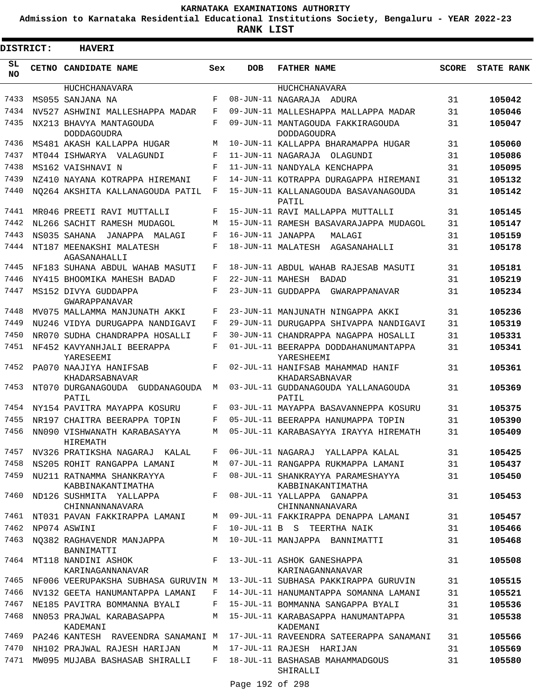**Admission to Karnataka Residential Educational Institutions Society, Bengaluru - YEAR 2022-23**

| <b>DISTRICT:</b> | <b>HAVERI</b>                                  |              |                   |                                                                                 |              |                   |
|------------------|------------------------------------------------|--------------|-------------------|---------------------------------------------------------------------------------|--------------|-------------------|
| SL<br>NO.        | CETNO CANDIDATE NAME                           | Sex          | <b>DOB</b>        | <b>FATHER NAME</b>                                                              | <b>SCORE</b> | <b>STATE RANK</b> |
|                  | <b>HUCHCHANAVARA</b>                           |              |                   | HUCHCHANAVARA                                                                   |              |                   |
| 7433             | MS055 SANJANA NA                               | F            |                   | 08-JUN-11 NAGARAJA ADURA                                                        | 31           | 105042            |
| 7434             | NV527 ASHWINI MALLESHAPPA MADAR                | F            |                   | 09-JUN-11 MALLESHAPPA MALLAPPA MADAR                                            | 31           | 105046            |
| 7435             | NX213 BHAVYA MANTAGOUDA<br>DODDAGOUDRA         | F            |                   | 09-JUN-11 MANTAGOUDA FAKKIRAGOUDA<br><b>DODDAGOUDRA</b>                         | 31           | 105047            |
| 7436             | MS481 AKASH KALLAPPA HUGAR                     | М            |                   | 10-JUN-11 KALLAPPA BHARAMAPPA HUGAR                                             | 31           | 105060            |
| 7437             | MT044 ISHWARYA VALAGUNDI                       | F            |                   | 11-JUN-11 NAGARAJA<br>OLAGUNDI                                                  | 31           | 105086            |
| 7438             | MS162 VAISHNAVI N                              | F            |                   | 11-JUN-11 NANDYALA KENCHAPPA                                                    | 31           | 105095            |
| 7439             | NZ410 NAYANA KOTRAPPA HIREMANI                 | F            |                   | 14-JUN-11 KOTRAPPA DURAGAPPA HIREMANI                                           | 31           | 105132            |
| 7440             | NO264 AKSHITA KALLANAGOUDA PATIL               | F            |                   | 15-JUN-11 KALLANAGOUDA BASAVANAGOUDA<br>PATIL                                   | 31           | 105142            |
| 7441             | MR046 PREETI RAVI MUTTALLI                     | F            |                   | 15-JUN-11 RAVI MALLAPPA MUTTALLI                                                | 31           | 105145            |
| 7442             | NL266 SACHIT RAMESH MUDAGOL                    | М            |                   | 15-JUN-11 RAMESH BASAVARAJAPPA MUDAGOL                                          | 31           | 105147            |
| 7443             | NS035 SAHANA<br>JANAPPA MALAGI                 | F            | 16-JUN-11 JANAPPA | MALAGI                                                                          | 31           | 105159            |
| 7444             | NT187 MEENAKSHI MALATESH<br>AGASANAHALLI       | F            |                   | 18-JUN-11 MALATESH AGASANAHALLI                                                 | 31           | 105178            |
| 7445             | NF183 SUHANA ABDUL WAHAB MASUTI                | F            |                   | 18-JUN-11 ABDUL WAHAB RAJESAB MASUTI                                            | 31           | 105181            |
| 7446             | NY415 BHOOMIKA MAHESH BADAD                    | F            |                   | 22-JUN-11 MAHESH BADAD                                                          | 31           | 105219            |
| 7447             | MS152 DIVYA GUDDAPPA<br>GWARAPPANAVAR          | F            |                   | 23-JUN-11 GUDDAPPA<br>GWARAPPANAVAR                                             | 31           | 105234            |
| 7448             | MV075 MALLAMMA MANJUNATH AKKI                  | F            |                   | 23-JUN-11 MANJUNATH NINGAPPA AKKI                                               | 31           | 105236            |
| 7449             | NU246 VIDYA DURUGAPPA NANDIGAVI                | F            |                   | 29-JUN-11 DURUGAPPA SHIVAPPA NANDIGAVI                                          | 31           | 105319            |
| 7450             | NR070 SUDHA CHANDRAPPA HOSALLI                 | F            |                   | 30-JUN-11 CHANDRAPPA NAGAPPA HOSALLI                                            | 31           | 105331            |
| 7451             | NF452 KAVYANHJALI BEERAPPA<br>YARESEEMI        | F            |                   | 01-JUL-11 BEERAPPA DODDAHANUMANTAPPA<br>YARESHEEMI                              | 31           | 105341            |
| 7452             | PA070 NAAJIYA HANIFSAB<br>KHADARSABNAVAR       | F            |                   | 02-JUL-11 HANIFSAB MAHAMMAD HANIF<br>KHADARSABNAVAR                             | 31           | 105361            |
| 7453             | NT070 DURGANAGOUDA GUDDANAGOUDA<br>PATIL       | M            |                   | 03-JUL-11 GUDDANAGOUDA YALLANAGOUDA<br>PATIL                                    | 31           | 105369            |
| 7454             | NY154 PAVITRA MAYAPPA KOSURU                   | F            |                   | 03-JUL-11 MAYAPPA BASAVANNEPPA KOSURU                                           | 31           | 105375            |
| 7455             | NR197 CHAITRA BEERAPPA TOPIN                   | F            |                   | 05-JUL-11 BEERAPPA HANUMAPPA TOPIN                                              | 31           | 105390            |
| 7456             | NN090 VISHWANATH KARABASAYYA<br>HIREMATH       | М            |                   | 05-JUL-11 KARABASAYYA IRAYYA HIREMATH                                           | 31           | 105409            |
| 7457             | NV326 PRATIKSHA NAGARAJ KALAL                  | F            |                   | 06-JUL-11 NAGARAJ YALLAPPA KALAL                                                | 31           | 105425            |
| 7458             | NS205 ROHIT RANGAPPA LAMANI                    | М            |                   | 07-JUL-11 RANGAPPA RUKMAPPA LAMANI                                              | 31           | 105437            |
| 7459             | NU211 RATNAMMA SHANKRAYYA<br>KABBINAKANTIMATHA | F            |                   | 08-JUL-11 SHANKRAYYA PARAMESHAYYA<br>KABBINAKANTIMATHA                          | 31           | 105450            |
| 7460             | ND126 SUSHMITA YALLAPPA<br>CHINNANNANAVARA     | $F -$        |                   | 08-JUL-11 YALLAPPA GANAPPA<br>CHINNANNANAVARA                                   | 31           | 105453            |
| 7461             | NT031 PAVAN FAKKIRAPPA LAMANI                  | М            |                   | 09-JUL-11 FAKKIRAPPA DENAPPA LAMANI                                             | 31           | 105457            |
| 7462             | NP074 ASWINI                                   | F            |                   | 10-JUL-11 B S TEERTHA NAIK                                                      | 31           | 105466            |
| 7463             | NO382 RAGHAVENDR MANJAPPA<br>BANNIMATTI        | М            |                   | 10-JUL-11 MANJAPPA BANNIMATTI                                                   | 31           | 105468            |
| 7464             | MT118 NANDINI ASHOK<br>KARINAGANNANAVAR        |              |                   | F 13-JUL-11 ASHOK GANESHAPPA<br>KARINAGANNANAVAR                                | 31           | 105508            |
| 7465             | NF006 VEERUPAKSHA SUBHASA GURUVIN M            |              |                   | 13-JUL-11 SUBHASA PAKKIRAPPA GURUVIN                                            | 31           | 105515            |
| 7466             | NV132 GEETA HANUMANTAPPA LAMANI                | $\mathbf{F}$ |                   | 14-JUL-11 HANUMANTAPPA SOMANNA LAMANI                                           | 31           | 105521            |
| 7467             | NE185 PAVITRA BOMMANNA BYALI                   | F            |                   | 15-JUL-11 BOMMANNA SANGAPPA BYALI                                               | 31           | 105536            |
| 7468             | NN053 PRAJWAL KARABASAPPA<br>KADEMANI          |              |                   | M 15-JUL-11 KARABASAPPA HANUMANTAPPA<br>KADEMANI                                | 31           | 105538            |
|                  |                                                |              |                   | 7469 PA246 KANTESH RAVEENDRA SANAMANI M 17-JUL-11 RAVEENDRA SATEERAPPA SANAMANI | 31           | 105566            |
| 7470             | NH102 PRAJWAL RAJESH HARIJAN                   | M            |                   | 17-JUL-11 RAJESH HARIJAN                                                        | 31           | 105569            |
| 7471             | MW095 MUJABA BASHASAB SHIRALLI                 | $F$ –        |                   | 18-JUL-11 BASHASAB MAHAMMADGOUS<br>SHIRALLI                                     | 31           | 105580            |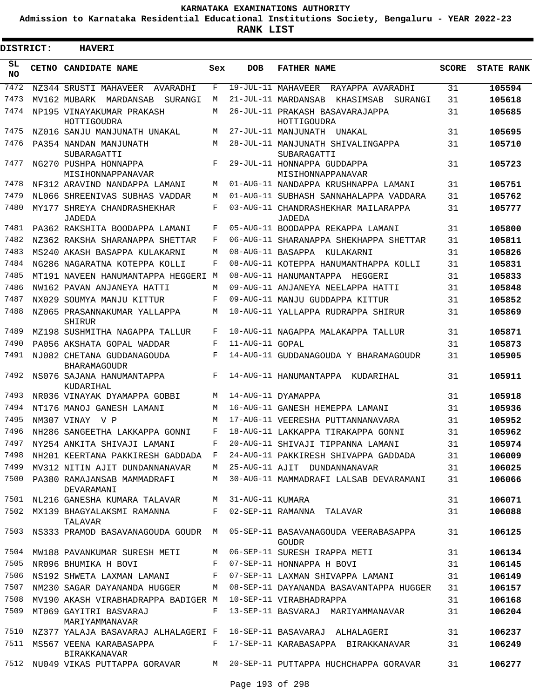**Admission to Karnataka Residential Educational Institutions Society, Bengaluru - YEAR 2022-23**

 $\blacksquare$ 

**RANK LIST**

| DISTRICT:  | <b>HAVERI</b>                                     |     |                   |                                                  |              |                   |
|------------|---------------------------------------------------|-----|-------------------|--------------------------------------------------|--------------|-------------------|
| SL.<br>NO. | CETNO CANDIDATE NAME                              | Sex | <b>DOB</b>        | <b>FATHER NAME</b>                               | <b>SCORE</b> | <b>STATE RANK</b> |
| 7472       | NZ344 SRUSTI MAHAVEER<br>AVARADHI                 | F   |                   | 19-JUL-11 MAHAVEER<br>RAYAPPA AVARADHI           | 31           | 105594            |
| 7473       | MV162 MUBARK MARDANSAB<br>SURANGI                 | М   |                   | 21-JUL-11 MARDANSAB<br>KHASIMSAB<br>SURANGI      | 31           | 105618            |
| 7474       | NP195 VINAYAKUMAR PRAKASH<br>HOTTIGOUDRA          | М   |                   | 26-JUL-11 PRAKASH BASAVARAJAPPA<br>HOTTIGOUDRA   | 31           | 105685            |
| 7475       | NZ016 SANJU MANJUNATH UNAKAL                      | М   |                   | 27-JUL-11 MANJUNATH UNAKAL                       | 31           | 105695            |
| 7476       | PA354 NANDAN MANJUNATH<br>SUBARAGATTI             | М   |                   | 28-JUL-11 MANJUNATH SHIVALINGAPPA<br>SUBARAGATTI | 31           | 105710            |
| 7477       | NG270 PUSHPA HONNAPPA<br>MISIHONNAPPANAVAR        | F   |                   | 29-JUL-11 HONNAPPA GUDDAPPA<br>MISIHONNAPPANAVAR | 31           | 105723            |
| 7478       | NF312 ARAVIND NANDAPPA LAMANI                     | М   |                   | 01-AUG-11 NANDAPPA KRUSHNAPPA LAMANI             | 31           | 105751            |
| 7479       | NL066 SHREENIVAS SUBHAS VADDAR                    | М   |                   | 01-AUG-11 SUBHASH SANNAHALAPPA VADDARA           | 31           | 105762            |
| 7480       | MY177 SHREYA CHANDRASHEKHAR<br>JADEDA             | F   |                   | 03-AUG-11 CHANDRASHEKHAR MAILARAPPA<br>JADEDA    | 31           | 105777            |
| 7481       | PA362 RAKSHITA BOODAPPA LAMANI                    | F   |                   | 05-AUG-11 BOODAPPA REKAPPA LAMANI                | 31           | 105800            |
| 7482       | NZ362 RAKSHA SHARANAPPA SHETTAR                   | F   |                   | 06-AUG-11 SHARANAPPA SHEKHAPPA SHETTAR           | 31           | 105811            |
| 7483       | MS240 AKASH BASAPPA KULAKARNI                     | М   | 08-AUG-11 BASAPPA | KULAKARNI                                        | 31           | 105826            |
| 7484       | NG286 NAGARATNA KOTEPPA KOLLI                     | F   |                   | 08-AUG-11 KOTEPPA HANUMANTHAPPA KOLLI            | 31           | 105831            |
| 7485       | MT191 NAVEEN HANUMANTAPPA HEGGERI                 | М   |                   | 08-AUG-11 HANUMANTAPPA HEGGERI                   | 31           | 105833            |
| 7486       | NW162 PAVAN ANJANEYA HATTI                        | M   |                   | 09-AUG-11 ANJANEYA NEELAPPA HATTI                | 31           | 105848            |
| 7487       | NX029 SOUMYA MANJU KITTUR                         | F   |                   | 09-AUG-11 MANJU GUDDAPPA KITTUR                  | 31           | 105852            |
| 7488       | NZ065 PRASANNAKUMAR YALLAPPA<br>SHIRUR            | М   |                   | 10-AUG-11 YALLAPPA RUDRAPPA SHIRUR               | 31           | 105869            |
| 7489       | MZ198 SUSHMITHA NAGAPPA TALLUR                    | F   |                   | 10-AUG-11 NAGAPPA MALAKAPPA TALLUR               | 31           | 105871            |
| 7490       | PA056 AKSHATA GOPAL WADDAR                        | F   | 11-AUG-11 GOPAL   |                                                  | 31           | 105873            |
| 7491       | NJ082 CHETANA GUDDANAGOUDA<br><b>BHARAMAGOUDR</b> | F   |                   | 14-AUG-11 GUDDANAGOUDA Y BHARAMAGOUDR            | 31           | 105905            |
| 7492       | NS076 SAJANA HANUMANTAPPA<br>KUDARIHAL            | F   |                   | 14-AUG-11 HANUMANTAPPA<br>KUDARIHAL              | 31           | 105911            |
| 7493       | NR036 VINAYAK DYAMAPPA GOBBI                      | М   |                   | 14-AUG-11 DYAMAPPA                               | 31           | 105918            |
| 7494       | NT176 MANOJ GANESH LAMANI                         | М   |                   | 16-AUG-11 GANESH HEMEPPA LAMANI                  | 31           | 105936            |
| 7495       | NM307 VINAY V P                                   | М   |                   | 17-AUG-11 VEERESHA PUTTANNANAVARA                | 31           | 105952            |
| 7496       | NH286 SANGEETHA LAKKAPPA GONNI                    | F   |                   | 18-AUG-11 LAKKAPPA TIRAKAPPA GONNI               | 31           | 105962            |
| 7497       | NY254 ANKITA SHIVAJI LAMANI                       | F   |                   | 20-AUG-11 SHIVAJI TIPPANNA LAMANI                | 31           | 105974            |
| 7498       | NH201 KEERTANA PAKKIRESH GADDADA F                |     |                   | 24-AUG-11 PAKKIRESH SHIVAPPA GADDADA             | 31           | 106009            |
| 7499       | MV312 NITIN AJIT DUNDANNANAVAR                    | M   |                   | 25-AUG-11 AJIT DUNDANNANAVAR                     | 31           | 106025            |
| 7500       | PA380 RAMAJANSAB MAMMADRAFI<br>DEVARAMANI         | M   |                   | 30-AUG-11 MAMMADRAFI LALSAB DEVARAMANI           | 31           | 106066            |
| 7501       | NL216 GANESHA KUMARA TALAVAR                      | M   | 31-AUG-11 KUMARA  |                                                  | 31           | 106071            |
| 7502       | MX139 BHAGYALAKSMI RAMANNA<br>TALAVAR             | F   |                   | 02-SEP-11 RAMANNA TALAVAR                        | 31           | 106088            |
| 7503       | NS333 PRAMOD BASAVANAGOUDA GOUDR M                |     |                   | 05-SEP-11 BASAVANAGOUDA VEERABASAPPA<br>GOUDR    | 31           | 106125            |
| 7504       | MW188 PAVANKUMAR SURESH METI                      | М   |                   | 06-SEP-11 SURESH IRAPPA METI                     | 31           | 106134            |
| 7505       | NR096 BHUMIKA H BOVI                              | F   |                   | 07-SEP-11 HONNAPPA H BOVI                        | 31           | 106145            |
| 7506       | NS192 SHWETA LAXMAN LAMANI                        | F   |                   | 07-SEP-11 LAXMAN SHIVAPPA LAMANI                 | 31           | 106149            |
| 7507       | NM230 SAGAR DAYANANDA HUGGER                      | M   |                   | 08-SEP-11 DAYANANDA BASAVANTAPPA HUGGER          | 31           | 106157            |
| 7508       | MV190 AKASH VIRABHADRAPPA BADIGER M               |     |                   | 10-SEP-11 VIRABHADRAPPA                          | 31           | 106168            |
| 7509       | MT069 GAYITRI BASVARAJ<br>MARIYAMMANAVAR          | F   |                   | 13-SEP-11 BASVARAJ MARIYAMMANAVAR                | 31           | 106204            |
| 7510       | NZ377 YALAJA BASAVARAJ ALHALAGERI F               |     |                   | 16-SEP-11 BASAVARAJ ALHALAGERI                   | 31           | 106237            |
| 7511       | MS567 VEENA KARABASAPPA<br><b>BIRAKKANAVAR</b>    |     |                   | F 17-SEP-11 KARABASAPPA BIRAKKANAVAR             | 31           | 106249            |
| 7512       | NU049 VIKAS PUTTAPPA GORAVAR                      |     |                   | M 20-SEP-11 PUTTAPPA HUCHCHAPPA GORAVAR          | 31           | 106277            |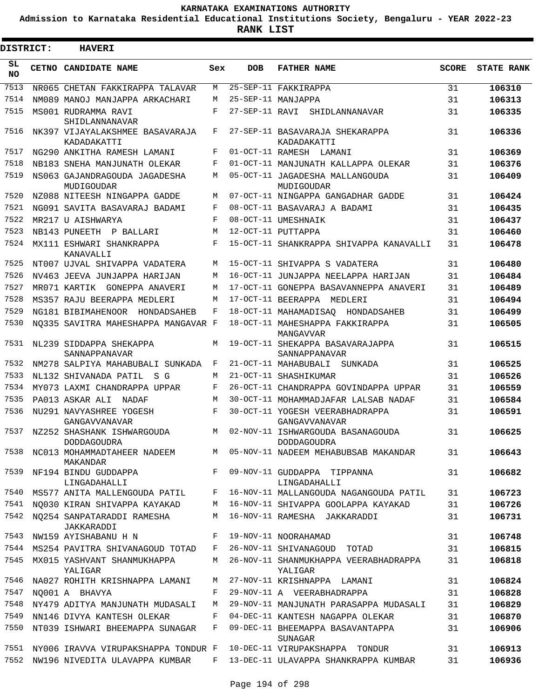**Admission to Karnataka Residential Educational Institutions Society, Bengaluru - YEAR 2022-23**

ı

| <b>DISTRICT:</b> |  | <b>HAVERI</b>                                  |     |                |                                                                            |              |                   |
|------------------|--|------------------------------------------------|-----|----------------|----------------------------------------------------------------------------|--------------|-------------------|
| SL<br><b>NO</b>  |  | CETNO CANDIDATE NAME                           | Sex | <b>DOB</b>     | <b>FATHER NAME</b>                                                         | <b>SCORE</b> | <b>STATE RANK</b> |
| 7513             |  | NR065 CHETAN FAKKIRAPPA TALAVAR                | M   |                | 25-SEP-11 FAKKIRAPPA                                                       | 31           | 106310            |
| 7514             |  | NM089 MANOJ MANJAPPA ARKACHARI                 | M   |                | 25-SEP-11 MANJAPPA                                                         | 31           | 106313            |
| 7515             |  | MS001 RUDRAMMA RAVI<br>SHIDLANNANAVAR          | F   | 27-SEP-11 RAVI | SHIDLANNANAVAR                                                             | 31           | 106335            |
| 7516             |  | NK397 VIJAYALAKSHMEE BASAVARAJA<br>KADADAKATTI | F   |                | 27-SEP-11 BASAVARAJA SHEKARAPPA<br>KADADAKATTI                             | 31           | 106336            |
| 7517             |  | NG290 ANKITHA RAMESH LAMANI                    | F   |                | 01-OCT-11 RAMESH LAMANI                                                    | 31           | 106369            |
| 7518             |  | NB183 SNEHA MANJUNATH OLEKAR                   | F   |                | 01-OCT-11 MANJUNATH KALLAPPA OLEKAR                                        | 31           | 106376            |
| 7519             |  | NS063 GAJANDRAGOUDA JAGADESHA<br>MUDIGOUDAR    | M   |                | 05-OCT-11 JAGADESHA MALLANGOUDA<br>MUDIGOUDAR                              | 31           | 106409            |
| 7520             |  | NZ088 NITEESH NINGAPPA GADDE                   | M   |                | 07-OCT-11 NINGAPPA GANGADHAR GADDE                                         | 31           | 106424            |
| 7521             |  | NG091 SAVITA BASAVARAJ BADAMI                  | F   |                | 08-OCT-11 BASAVARAJ A BADAMI                                               | 31           | 106435            |
| 7522             |  | MR217 U AISHWARYA                              | F   |                | 08-OCT-11 UMESHNAIK                                                        | 31           | 106437            |
| 7523             |  | NB143 PUNEETH<br>P BALLARI                     | M   |                | 12-OCT-11 PUTTAPPA                                                         | 31           | 106460            |
| 7524             |  | MX111 ESHWARI SHANKRAPPA<br>KANAVALLI          | F   |                | 15-OCT-11 SHANKRAPPA SHIVAPPA KANAVALLI                                    | 31           | 106478            |
| 7525             |  | NT007 UJVAL SHIVAPPA VADATERA                  | M   |                | 15-OCT-11 SHIVAPPA S VADATERA                                              | 31           | 106480            |
| 7526             |  | NV463 JEEVA JUNJAPPA HARIJAN                   | M   |                | 16-OCT-11 JUNJAPPA NEELAPPA HARIJAN                                        | 31           | 106484            |
| 7527             |  | MR071 KARTIK GONEPPA ANAVERI                   | M   |                | 17-OCT-11 GONEPPA BASAVANNEPPA ANAVERI                                     | 31           | 106489            |
| 7528             |  | MS357 RAJU BEERAPPA MEDLERI                    | M   |                | 17-OCT-11 BEERAPPA MEDLERI                                                 | 31           | 106494            |
| 7529             |  | NG181 BIBIMAHENOOR HONDADSAHEB                 | F   |                | 18-OCT-11 MAHAMADISAQ HONDADSAHEB                                          | 31           | 106499            |
| 7530             |  | NO335 SAVITRA MAHESHAPPA MANGAVAR F            |     |                | 18-OCT-11 MAHESHAPPA FAKKIRAPPA<br>MANGAVVAR                               | 31           | 106505            |
| 7531             |  | NL239 SIDDAPPA SHEKAPPA<br>SANNAPPANAVAR       | M   |                | 19-OCT-11 SHEKAPPA BASAVARAJAPPA<br>SANNAPPANAVAR                          | 31           | 106515            |
| 7532             |  | NM278 SALPIYA MAHABUBALI SUNKADA               | F   |                | 21-OCT-11 MAHABUBALI<br>SUNKADA                                            | 31           | 106525            |
| 7533             |  | NL132 SHIVANADA PATIL<br>S G                   | M   |                | 21-OCT-11 SHASHIKUMAR                                                      | 31           | 106526            |
| 7534             |  | MY073 LAXMI CHANDRAPPA UPPAR                   | F   |                | 26-OCT-11 CHANDRAPPA GOVINDAPPA UPPAR                                      | 31           | 106559            |
| 7535             |  | PA013 ASKAR ALI<br>NADAF                       | M   |                | 30-OCT-11 MOHAMMADJAFAR LALSAB NADAF                                       | 31           | 106584            |
| 7536             |  | NU291 NAVYASHREE YOGESH<br>GANGAVVANAVAR       | F   |                | 30-OCT-11 YOGESH VEERABHADRAPPA<br>GANGAVVANAVAR                           | 31           | 106591            |
| 7537             |  | NZ252 SHASHANK ISHWARGOUDA<br>DODDAGOUDRA      | M   |                | 02-NOV-11 ISHWARGOUDA BASANAGOUDA<br>DODDAGOUDRA                           | 31           | 106625            |
| 7538             |  | MAKANDAR                                       |     |                | NC013 MOHAMMADTAHEER NADEEM        M  05-NOV-11 NADEEM MEHABUBSAB MAKANDAR | 31           | 106643            |
| 7539             |  | NF194 BINDU GUDDAPPA<br>LINGADAHALLI           | F   |                | 09-NOV-11 GUDDAPPA TIPPANNA<br>LINGADAHALLI                                | 31           | 106682            |
| 7540             |  | MS577 ANITA MALLENGOUDA PATIL                  | F   |                | 16-NOV-11 MALLANGOUDA NAGANGOUDA PATIL                                     | 31           | 106723            |
| 7541             |  | NO030 KIRAN SHIVAPPA KAYAKAD                   | M   |                | 16-NOV-11 SHIVAPPA GOOLAPPA KAYAKAD                                        | 31           | 106726            |
| 7542             |  | NQ254 SANPATARADDI RAMESHA<br>JAKKARADDI       | М   |                | 16-NOV-11 RAMESHA JAKKARADDI                                               | 31           | 106731            |
| 7543             |  | NW159 AYISHABANU H N                           | F   |                | 19-NOV-11 NOORAHAMAD                                                       | 31           | 106748            |
| 7544             |  | MS254 PAVITRA SHIVANAGOUD TOTAD                | F   |                | 26-NOV-11 SHIVANAGOUD TOTAD                                                | 31           | 106815            |
| 7545             |  | MX015 YASHVANT SHANMUKHAPPA<br>YALIGAR         | M   |                | 26-NOV-11 SHANMUKHAPPA VEERABHADRAPPA<br>YALIGAR                           | 31           | 106818            |
| 7546             |  | NA027 ROHITH KRISHNAPPA LAMANI                 | M   |                | 27-NOV-11 KRISHNAPPA LAMANI                                                | 31           | 106824            |
| 7547             |  | NO001 A BHAVYA                                 | F   |                | 29-NOV-11 A VEERABHADRAPPA                                                 | 31           | 106828            |
| 7548             |  | NY479 ADITYA MANJUNATH MUDASALI                | М   |                | 29-NOV-11 MANJUNATH PARASAPPA MUDASALI                                     | 31           | 106829            |
| 7549             |  | NN146 DIVYA KANTESH OLEKAR                     | F   |                | 04-DEC-11 KANTESH NAGAPPA OLEKAR                                           | 31           | 106870            |
| 7550             |  | NT039 ISHWARI BHEEMAPPA SUNAGAR                | F   |                | 09-DEC-11 BHEEMAPPA BASAVANTAPPA<br>SUNAGAR                                | 31           | 106906            |
| 7551             |  | NY006 IRAVVA VIRUPAKSHAPPA TONDUR F            |     |                | 10-DEC-11 VIRUPAKSHAPPA TONDUR                                             | 31           | 106913            |
| 7552             |  | NW196 NIVEDITA ULAVAPPA KUMBAR                 | F   |                | 13-DEC-11 ULAVAPPA SHANKRAPPA KUMBAR                                       | 31           | 106936            |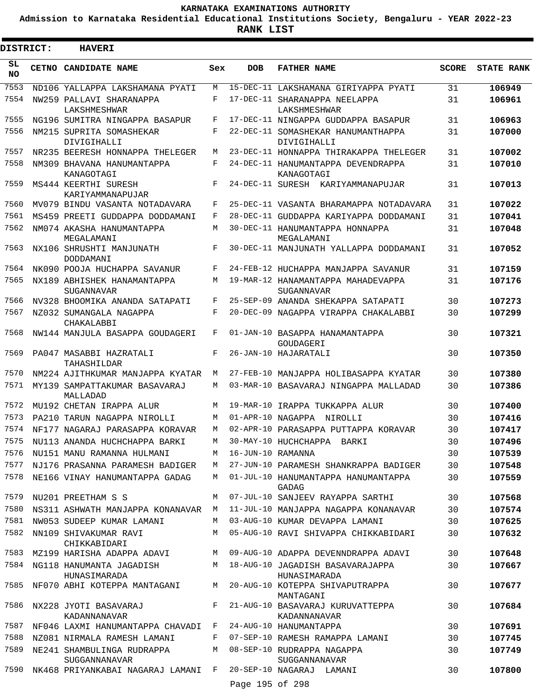**Admission to Karnataka Residential Educational Institutions Society, Bengaluru - YEAR 2022-23**

| <b>DISTRICT:</b> | <b>HAVERI</b>                               |       |                   |                                                    |              |                   |
|------------------|---------------------------------------------|-------|-------------------|----------------------------------------------------|--------------|-------------------|
| SL<br><b>NO</b>  | <b>CETNO CANDIDATE NAME</b>                 | Sex   | <b>DOB</b>        | <b>FATHER NAME</b>                                 | <b>SCORE</b> | <b>STATE RANK</b> |
| 7553             | ND106 YALLAPPA LAKSHAMANA PYATI             | M     |                   | 15-DEC-11 LAKSHAMANA GIRIYAPPA PYATI               | 31           | 106949            |
| 7554             | NW259 PALLAVI SHARANAPPA<br>LAKSHMESHWAR    | F     |                   | 17-DEC-11 SHARANAPPA NEELAPPA<br>LAKSHMESHWAR      | 31           | 106961            |
| 7555             | NG196 SUMITRA NINGAPPA BASAPUR              | F     |                   | 17-DEC-11 NINGAPPA GUDDAPPA BASAPUR                | 31           | 106963            |
| 7556             | NM215 SUPRITA SOMASHEKAR<br>DIVIGIHALLI     | F     |                   | 22-DEC-11 SOMASHEKAR HANUMANTHAPPA<br>DIVIGIHALLI  | 31           | 107000            |
| 7557             | NR235 BEERESH HONNAPPA THELEGER             | M     |                   | 23-DEC-11 HONNAPPA THIRAKAPPA THELEGER             | 31           | 107002            |
| 7558             | NM309 BHAVANA HANUMANTAPPA<br>KANAGOTAGI    | F     |                   | 24-DEC-11 HANUMANTAPPA DEVENDRAPPA<br>KANAGOTAGI   | 31           | 107010            |
| 7559             | MS444 KEERTHI SURESH<br>KARIYAMMANAPUJAR    | F     |                   | 24-DEC-11 SURESH KARIYAMMANAPUJAR                  | 31           | 107013            |
| 7560             | MV079 BINDU VASANTA NOTADAVARA              | F     |                   | 25-DEC-11 VASANTA BHARAMAPPA NOTADAVARA            | 31           | 107022            |
| 7561             | MS459 PREETI GUDDAPPA DODDAMANI             | F     |                   | 28-DEC-11 GUDDAPPA KARIYAPPA DODDAMANI             | 31           | 107041            |
| 7562             | NM074 AKASHA HANUMANTAPPA<br>MEGALAMANI     | M     |                   | 30-DEC-11 HANUMANTAPPA HONNAPPA<br>MEGALAMANI      | 31           | 107048            |
| 7563             | NX106 SHRUSHTI MANJUNATH<br>DODDAMANI       | F     |                   | 30-DEC-11 MANJUNATH YALLAPPA DODDAMANI             | 31           | 107052            |
| 7564             | NK090 POOJA HUCHAPPA SAVANUR                | F     |                   | 24-FEB-12 HUCHAPPA MANJAPPA SAVANUR                | 31           | 107159            |
| 7565             | NX189 ABHISHEK HANAMANTAPPA<br>SUGANNAVAR   | M     |                   | 19-MAR-12 HANAMANTAPPA MAHADEVAPPA<br>SUGANNAVAR   | 31           | 107176            |
| 7566             | NV328 BHOOMIKA ANANDA SATAPATI              | F     |                   | 25-SEP-09 ANANDA SHEKAPPA SATAPATI                 | 30           | 107273            |
| 7567             | NZ032 SUMANGALA NAGAPPA<br>CHAKALABBI       | F     |                   | 20-DEC-09 NAGAPPA VIRAPPA CHAKALABBI               | 30           | 107299            |
| 7568             | NW144 MANJULA BASAPPA GOUDAGERI             | F     |                   | 01-JAN-10 BASAPPA HANAMANTAPPA<br>GOUDAGERI        | 30           | 107321            |
| 7569             | PA047 MASABBI HAZRATALI<br>TAHASHILDAR      | F     |                   | 26-JAN-10 HAJARATALI                               | 30           | 107350            |
| 7570             | NM224 AJITHKUMAR MANJAPPA KYATAR            | М     |                   | 27-FEB-10 MANJAPPA HOLIBASAPPA KYATAR              | 30           | 107380            |
| 7571             | MY139 SAMPATTAKUMAR BASAVARAJ<br>MALLADAD   | М     |                   | 03-MAR-10 BASAVARAJ NINGAPPA MALLADAD              | 30           | 107386            |
| 7572             | MU192 CHETAN IRAPPA ALUR                    | М     |                   | 19-MAR-10 IRAPPA TUKKAPPA ALUR                     | 30           | 107400            |
| 7573             | PA210 TARUN NAGAPPA NIROLLI                 | M     |                   | 01-APR-10 NAGAPPA NIROLLI                          | 30           | 107416            |
| 7574             | NF177 NAGARAJ PARASAPPA KORAVAR             | М     |                   | 02-APR-10 PARASAPPA PUTTAPPA KORAVAR               | 30           | 107417            |
| 7575             | NU113 ANANDA HUCHCHAPPA BARKI               | M     |                   | 30-MAY-10 HUCHCHAPPA BARKI                         | 30           | 107496            |
| 7576             | NU151 MANU RAMANNA HULMANI                  | М     | 16-JUN-10 RAMANNA |                                                    | 30           | 107539            |
| 7577             | NJ176 PRASANNA PARAMESH BADIGER             | M     |                   | 27-JUN-10 PARAMESH SHANKRAPPA BADIGER              | 30           | 107548            |
| 7578             | NE166 VINAY HANUMANTAPPA GADAG              | M     |                   | 01-JUL-10 HANUMANTAPPA HANUMANTAPPA<br>GADAG       | 30           | 107559            |
| 7579             | NU201 PREETHAM S S                          | М     |                   | 07-JUL-10 SANJEEV RAYAPPA SARTHI                   | 30           | 107568            |
| 7580             | NS311 ASHWATH MANJAPPA KONANAVAR            | M     |                   | 11-JUL-10 MANJAPPA NAGAPPA KONANAVAR               | 30           | 107574            |
| 7581             | NW053 SUDEEP KUMAR LAMANI                   | M     |                   | 03-AUG-10 KUMAR DEVAPPA LAMANI                     | 30           | 107625            |
| 7582             | NN109 SHIVAKUMAR RAVI<br>CHIKKABIDARI       | M     |                   | 05-AUG-10 RAVI SHIVAPPA CHIKKABIDARI               | 30           | 107632            |
| 7583             | MZ199 HARISHA ADAPPA ADAVI                  |       |                   | M 09-AUG-10 ADAPPA DEVENNDRAPPA ADAVI              | 30           | 107648            |
| 7584             | NG118 HANUMANTA JAGADISH<br>HUNASIMARADA    |       |                   | M 18-AUG-10 JAGADISH BASAVARAJAPPA<br>HUNASIMARADA | 30           | 107667            |
| 7585             | NF070 ABHI KOTEPPA MANTAGANI                | M     |                   | 20-AUG-10 KOTEPPA SHIVAPUTRAPPA<br>MANTAGANI       | 30           | 107677            |
| 7586             | NX228 JYOTI BASAVARAJ<br>KADANNANAVAR       | $F -$ |                   | 21-AUG-10 BASAVARAJ KURUVATTEPPA<br>KADANNANAVAR   | 30           | 107684            |
| 7587             | NF046 LAXMI HANUMANTAPPA CHAVADI F          |       |                   | 24-AUG-10 HANUMANTAPPA                             | 30           | 107691            |
| 7588             | NZ081 NIRMALA RAMESH LAMANI                 | F     |                   | 07-SEP-10 RAMESH RAMAPPA LAMANI                    | 30           | 107745            |
| 7589             | NE241 SHAMBULINGA RUDRAPPA<br>SUGGANNANAVAR | M     |                   | 08-SEP-10 RUDRAPPA NAGAPPA<br>SUGGANNANAVAR        | 30           | 107749            |
| 7590             | NK468 PRIYANKABAI NAGARAJ LAMANI F          |       | Page 195 of 298   | 20-SEP-10 NAGARAJ LAMANI                           | 30           | 107800            |
|                  |                                             |       |                   |                                                    |              |                   |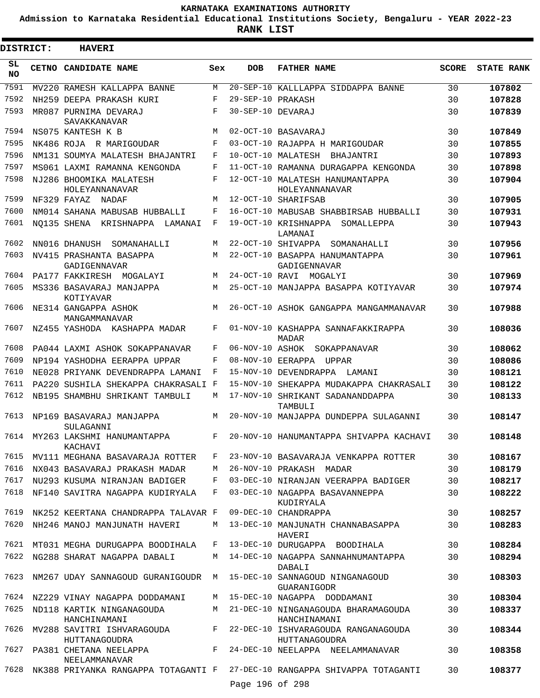**Admission to Karnataka Residential Educational Institutions Society, Bengaluru - YEAR 2022-23**

**RANK LIST**

| <b>DISTRICT:</b> | <b>HAVERI</b>                                              |        |                        |                                                                                      |              |                   |
|------------------|------------------------------------------------------------|--------|------------------------|--------------------------------------------------------------------------------------|--------------|-------------------|
| SL<br><b>NO</b>  | CETNO CANDIDATE NAME                                       | Sex    | <b>DOB</b>             | <b>FATHER NAME</b>                                                                   | <b>SCORE</b> | <b>STATE RANK</b> |
| 7591             | MV220 RAMESH KALLAPPA BANNE                                | M      |                        | 20-SEP-10 KALLLAPPA SIDDAPPA BANNE                                                   | 30           | 107802            |
| 7592             | NH259 DEEPA PRAKASH KURI                                   | F      | 29-SEP-10 PRAKASH      |                                                                                      | 30           | 107828            |
| 7593             | MR087 PURNIMA DEVARAJ<br>SAVAKKANAVAR                      | F      | 30-SEP-10 DEVARAJ      |                                                                                      | 30           | 107839            |
| 7594             | NS075 KANTESH K B                                          | M      |                        | 02-OCT-10 BASAVARAJ                                                                  | 30           | 107849            |
| 7595             | NK486 ROJA R MARIGOUDAR                                    | F      |                        | 03-OCT-10 RAJAPPA H MARIGOUDAR                                                       | 30           | 107855            |
| 7596             | NM131 SOUMYA MALATESH BHAJANTRI                            | F      |                        | 10-OCT-10 MALATESH BHAJANTRI                                                         | 30           | 107893            |
| 7597             | MS061 LAXMI RAMANNA KENGONDA                               | F      |                        | 11-OCT-10 RAMANNA DURAGAPPA KENGONDA                                                 | 30           | 107898            |
| 7598             | NJ286 BHOOMIKA MALATESH<br>HOLEYANNANAVAR                  | F      |                        | 12-OCT-10 MALATESH HANUMANTAPPA<br>HOLEYANNANAVAR                                    | 30           | 107904            |
| 7599             | NF329 FAYAZ NADAF                                          | М      |                        | 12-OCT-10 SHARIFSAB                                                                  | 30           | 107905            |
| 7600             | NM014 SAHANA MABUSAB HUBBALLI                              | F      |                        | 16-OCT-10 MABUSAB SHABBIRSAB HUBBALLI                                                | 30           | 107931            |
| 7601             | NO135 SHENA KRISHNAPPA LAMANAI                             | F      |                        | 19-OCT-10 KRISHNAPPA<br>SOMALLEPPA<br>LAMANAI                                        | 30           | 107943            |
| 7602             | NN016 DHANUSH<br>SOMANAHALLI                               | М      |                        | 22-OCT-10 SHIVAPPA SOMANAHALLI                                                       | 30           | 107956            |
| 7603             | NV415 PRASHANTA BASAPPA<br>GADIGENNAVAR                    | М      |                        | 22-OCT-10 BASAPPA HANUMANTAPPA<br>GADIGENNAVAR                                       | 30           | 107961            |
| 7604             | PA177 FAKKIRESH MOGALAYI                                   | M      |                        | 24-OCT-10 RAVI MOGALYI                                                               | 30           | 107969            |
| 7605             | MS336 BASAVARAJ MANJAPPA<br>KOTIYAVAR                      | M      |                        | 25-OCT-10 MANJAPPA BASAPPA KOTIYAVAR                                                 | 30           | 107974            |
| 7606             | NE314 GANGAPPA ASHOK<br>MANGAMMANAVAR                      | М      |                        | 26-OCT-10 ASHOK GANGAPPA MANGAMMANAVAR                                               | 30           | 107988            |
| 7607             | NZ455 YASHODA KASHAPPA MADAR                               | F      |                        | 01-NOV-10 KASHAPPA SANNAFAKKIRAPPA<br><b>MADAR</b>                                   | 30           | 108036            |
| 7608             | PA044 LAXMI ASHOK SOKAPPANAVAR                             | F      | 06-NOV-10 ASHOK        | SOKAPPANAVAR                                                                         | 30           | 108062            |
| 7609             | NP194 YASHODHA EERAPPA UPPAR                               | F      | $08 - \text{NOV} - 10$ | EERAPPA UPPAR                                                                        | 30           | 108086            |
| 7610             | NE028 PRIYANK DEVENDRAPPA LAMANI                           | F      |                        | 15-NOV-10 DEVENDRAPPA LAMANI                                                         | 30           | 108121            |
| 7611             | PA220 SUSHILA SHEKAPPA CHAKRASALI F                        |        | 15-NOV-10              | SHEKAPPA MUDAKAPPA CHAKRASALI                                                        | 30           | 108122            |
| 7612<br>7613     | NB195 SHAMBHU SHRIKANT TAMBULI<br>NP169 BASAVARAJ MANJAPPA | М<br>М |                        | 17-NOV-10 SHRIKANT SADANANDDAPPA<br>TAMBULI<br>20-NOV-10 MANJAPPA DUNDEPPA SULAGANNI | 30<br>30     | 108133<br>108147  |
| 7614             | SULAGANNI<br>MY263 LAKSHMI HANUMANTAPPA                    | F      |                        | 20-NOV-10 HANUMANTAPPA SHIVAPPA KACHAVI                                              | 30           | 108148            |
| 7615             | KACHAVI<br>MV111 MEGHANA BASAVARAJA ROTTER                 | F      |                        | 23-NOV-10 BASAVARAJA VENKAPPA ROTTER                                                 | 30           | 108167            |
| 7616             | NX043 BASAVARAJ PRAKASH MADAR                              | M      |                        | 26-NOV-10 PRAKASH MADAR                                                              | 30           | 108179            |
| 7617             | NU293 KUSUMA NIRANJAN BADIGER                              | F      |                        | 03-DEC-10 NIRANJAN VEERAPPA BADIGER                                                  | 30           | 108217            |
| 7618             | NF140 SAVITRA NAGAPPA KUDIRYALA                            | F      |                        | 03-DEC-10 NAGAPPA BASAVANNEPPA<br>KUDIRYALA                                          | 30           | 108222            |
| 7619             | NK252 KEERTANA CHANDRAPPA TALAVAR F                        |        |                        | 09-DEC-10 CHANDRAPPA                                                                 | 30           | 108257            |
| 7620             | NH246 MANOJ MANJUNATH HAVERI                               | М      |                        | 13-DEC-10 MANJUNATH CHANNABASAPPA<br>HAVERI                                          | 30           | 108283            |
| 7621             | MT031 MEGHA DURUGAPPA BOODIHALA                            | F      |                        | 13-DEC-10 DURUGAPPA BOODIHALA                                                        | 30           | 108284            |
| 7622             | NG288 SHARAT NAGAPPA DABALI                                | M      |                        | 14-DEC-10 NAGAPPA SANNAHNUMANTAPPA<br>DABALI                                         | 30           | 108294            |
| 7623             | NM267 UDAY SANNAGOUD GURANIGOUDR                           | M      |                        | 15-DEC-10 SANNAGOUD NINGANAGOUD<br>GUARANIGODR                                       | 30           | 108303            |
| 7624             | NZ229 VINAY NAGAPPA DODDAMANI                              | M      |                        | 15-DEC-10 NAGAPPA DODDAMANI                                                          | 30           | 108304            |
| 7625             | ND118 KARTIK NINGANAGOUDA<br>HANCHINAMANI                  | M      |                        | 21-DEC-10 NINGANAGOUDA BHARAMAGOUDA<br>HANCHINAMANI                                  | 30           | 108337            |
| 7626             | MV288 SAVITRI ISHVARAGOUDA<br>HUTTANAGOUDRA                | $F -$  |                        | 22-DEC-10 ISHVARAGOUDA RANGANAGOUDA<br>HUTTANAGOUDRA                                 | 30           | 108344            |
| 7627             | PA381 CHETANA NEELAPPA<br>NEELAMMANAVAR                    | F      |                        | 24-DEC-10 NEELAPPA NEELAMMANAVAR                                                     | 30           | 108358            |
| 7628             | NK388 PRIYANKA RANGAPPA TOTAGANTI F                        |        | Page 196 of 298        | 27-DEC-10 RANGAPPA SHIVAPPA TOTAGANTI                                                | 30           | 108377            |
|                  |                                                            |        |                        |                                                                                      |              |                   |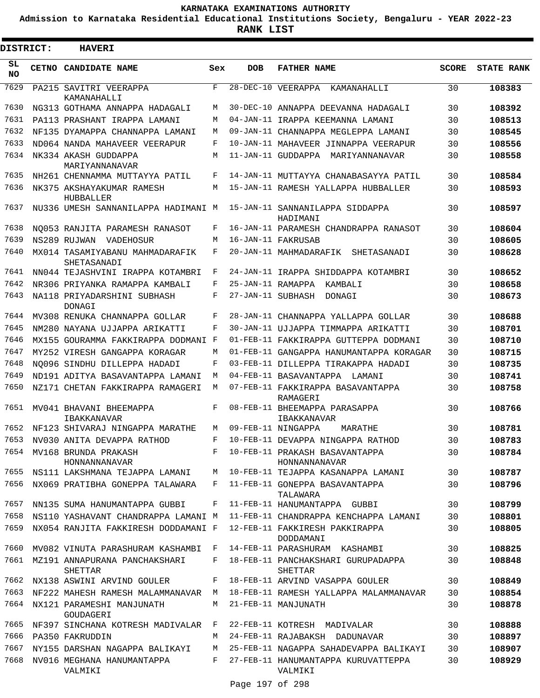**Admission to Karnataka Residential Educational Institutions Society, Bengaluru - YEAR 2022-23**

**RANK LIST**

| DISTRICT: | <b>HAVERI</b>                                  |              |                   |                                                 |              |                   |
|-----------|------------------------------------------------|--------------|-------------------|-------------------------------------------------|--------------|-------------------|
| SL<br>NO. | CETNO CANDIDATE NAME                           | Sex          | <b>DOB</b>        | <b>FATHER NAME</b>                              | <b>SCORE</b> | <b>STATE RANK</b> |
| 7629      | PA215 SAVITRI VEERAPPA<br>KAMANAHALLI          | $_{\rm F}$   |                   | 28-DEC-10 VEERAPPA KAMANAHALLI                  | 30           | 108383            |
| 7630      | NG313 GOTHAMA ANNAPPA HADAGALI                 | M            |                   | 30-DEC-10 ANNAPPA DEEVANNA HADAGALI             | 30           | 108392            |
| 7631      | PA113 PRASHANT IRAPPA LAMANI                   | M            |                   | 04-JAN-11 IRAPPA KEEMANNA LAMANI                | 30           | 108513            |
| 7632      | NF135 DYAMAPPA CHANNAPPA LAMANI                | M            |                   | 09-JAN-11 CHANNAPPA MEGLEPPA LAMANI             | 30           | 108545            |
| 7633      | ND064 NANDA MAHAVEER VEERAPUR                  | F            |                   | 10-JAN-11 MAHAVEER JINNAPPA VEERAPUR            | 30           | 108556            |
| 7634      | NK334 AKASH GUDDAPPA<br>MARIYANNANAVAR         | M            |                   | 11-JAN-11 GUDDAPPA MARIYANNANAVAR               | 30           | 108558            |
| 7635      | NH261 CHENNAMMA MUTTAYYA PATIL                 | F            |                   | 14-JAN-11 MUTTAYYA CHANABASAYYA PATIL           | 30           | 108584            |
| 7636      | NK375 AKSHAYAKUMAR RAMESH<br>HUBBALLER         | M            |                   | 15-JAN-11 RAMESH YALLAPPA HUBBALLER             | 30           | 108593            |
| 7637      | NU336 UMESH SANNANILAPPA HADIMANI M            |              |                   | 15-JAN-11 SANNANILAPPA SIDDAPPA<br>HADIMANI     | 30           | 108597            |
| 7638      | NO053 RANJITA PARAMESH RANASOT                 | F            |                   | 16-JAN-11 PARAMESH CHANDRAPPA RANASOT           | 30           | 108604            |
| 7639      | NS289 RUJWAN VADEHOSUR                         | M            |                   | 16-JAN-11 FAKRUSAB                              | 30           | 108605            |
| 7640      | MX014 TASAMIYABANU MAHMADARAFIK<br>SHETASANADI | F            |                   | 20-JAN-11 MAHMADARAFIK<br>SHETASANADI           | 30           | 108628            |
| 7641      | NN044 TEJASHVINI IRAPPA KOTAMBRI               | F            |                   | 24-JAN-11 IRAPPA SHIDDAPPA KOTAMBRI             | 30           | 108652            |
| 7642      | NR306 PRIYANKA RAMAPPA KAMBALI                 | F            | 25-JAN-11 RAMAPPA | KAMBALI                                         | 30           | 108658            |
| 7643      | NA118 PRIYADARSHINI SUBHASH<br>DONAGI          | F            | 27-JAN-11 SUBHASH | DONAGI                                          | 30           | 108673            |
| 7644      | MV308 RENUKA CHANNAPPA GOLLAR                  | F            |                   | 28-JAN-11 CHANNAPPA YALLAPPA GOLLAR             | 30           | 108688            |
| 7645      | NM280 NAYANA UJJAPPA ARIKATTI                  | F            |                   | 30-JAN-11 UJJAPPA TIMMAPPA ARIKATTI             | 30           | 108701            |
| 7646      | MX155 GOURAMMA FAKKIRAPPA DODMANI F            |              |                   | 01-FEB-11 FAKKIRAPPA GUTTEPPA DODMANI           | 30           | 108710            |
| 7647      | MY252 VIRESH GANGAPPA KORAGAR                  | M            |                   | 01-FEB-11 GANGAPPA HANUMANTAPPA KORAGAR         | 30           | 108715            |
| 7648      | NO096 SINDHU DILLEPPA HADADI                   | F            |                   | 03-FEB-11 DILLEPPA TIRAKAPPA HADADI             | 30           | 108735            |
| 7649      | ND191 ADITYA BASAVANTAPPA LAMANI               | M            |                   | 04-FEB-11 BASAVANTAPPA LAMANI                   | 30           | 108741            |
| 7650      | NZ171 CHETAN FAKKIRAPPA RAMAGERI               | M            |                   | 07-FEB-11 FAKKIRAPPA BASAVANTAPPA<br>RAMAGERI   | 30           | 108758            |
| 7651      | MV041 BHAVANI BHEEMAPPA<br>IBAKKANAVAR         | F            |                   | 08-FEB-11 BHEEMAPPA PARASAPPA<br>IBAKKANAVAR    | 30           | 108766            |
| 7652      | NF123 SHIVARAJ NINGAPPA MARATHE                | М            |                   | 09-FEB-11 NINGAPPA<br>MARATHE                   | 30           | 108781            |
|           | 7653 NV030 ANITA DEVAPPA RATHOD                | F            |                   | 10-FEB-11 DEVAPPA NINGAPPA RATHOD               | 30           | 108783            |
|           | 7654 MV168 BRUNDA PRAKASH<br>HONNANNANAVAR     | $F$ and      |                   | 10-FEB-11 PRAKASH BASAVANTAPPA<br>HONNANNANAVAR | 30           | 108784            |
| 7655      | NS111 LAKSHMANA TEJAPPA LAMANI                 | M            |                   | 10-FEB-11 TEJAPPA KASANAPPA LAMANI              | 30           | 108787            |
| 7656      | NX069 PRATIBHA GONEPPA TALAWARA                | F            |                   | 11-FEB-11 GONEPPA BASAVANTAPPA<br>TALAWARA      | 30           | 108796            |
| 7657      | NN135 SUMA HANUMANTAPPA GUBBI                  | F            |                   | 11-FEB-11 HANUMANTAPPA GUBBI                    | 30           | 108799            |
| 7658      | NS110 YASHAVANT CHANDRAPPA LAMANI M            |              |                   | 11-FEB-11 CHANDRAPPA KENCHAPPA LAMANI           | 30           | 108801            |
| 7659      | NX054 RANJITA FAKKIRESH DODDAMANI F            |              |                   | 12-FEB-11 FAKKIRESH PAKKIRAPPA<br>DODDAMANI     | 30           | 108805            |
| 7660      | MV082 VINUTA PARASHURAM KASHAMBI               | F            |                   | 14-FEB-11 PARASHURAM KASHAMBI                   | 30           | 108825            |
| 7661      | MZ191 ANNAPURANA PANCHAKSHARI<br>SHETTAR       | F            |                   | 18-FEB-11 PANCHAKSHARI GURUPADAPPA<br>SHETTAR   | 30           | 108848            |
| 7662      | NX138 ASWINI ARVIND GOULER                     | F            |                   | 18-FEB-11 ARVIND VASAPPA GOULER                 | 30           | 108849            |
| 7663      | NF222 MAHESH RAMESH MALAMMANAVAR               | M            |                   | 18-FEB-11 RAMESH YALLAPPA MALAMMANAVAR          | 30           | 108854            |
| 7664      | NX121 PARAMESHI MANJUNATH<br>GOUDAGERI         | M            |                   | 21-FEB-11 MANJUNATH                             | 30           | 108878            |
| 7665      | NF397 SINCHANA KOTRESH MADIVALAR               | $\mathbf{F}$ |                   | 22-FEB-11 KOTRESH MADIVALAR                     | 30           | 108888            |
| 7666      | PA350 FAKRUDDIN                                | M            |                   | 24-FEB-11 RAJABAKSH DADUNAVAR                   | 30           | 108897            |
| 7667      | NY155 DARSHAN NAGAPPA BALIKAYI                 | М            |                   | 25-FEB-11 NAGAPPA SAHADEVAPPA BALIKAYI          | 30           | 108907            |
| 7668      | NV016 MEGHANA HANUMANTAPPA<br>VALMIKI          | F            |                   | 27-FEB-11 HANUMANTAPPA KURUVATTEPPA<br>VALMIKI  | 30           | 108929            |
|           |                                                |              |                   |                                                 |              |                   |

Page 197 of 298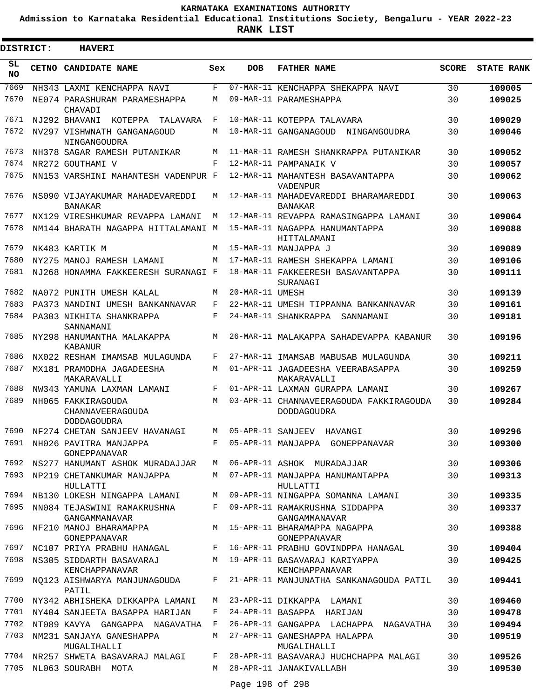**Admission to Karnataka Residential Educational Institutions Society, Bengaluru - YEAR 2022-23**

 $\blacksquare$ 

**RANK LIST**

| <b>DISTRICT:</b> | <b>HAVERI</b>                                                |              |                   |                                                               |              |                   |
|------------------|--------------------------------------------------------------|--------------|-------------------|---------------------------------------------------------------|--------------|-------------------|
| SL.<br>NO.       | <b>CETNO CANDIDATE NAME</b>                                  | Sex          | <b>DOB</b>        | <b>FATHER NAME</b>                                            | <b>SCORE</b> | <b>STATE RANK</b> |
| 7669             | NH343 LAXMI KENCHAPPA NAVI                                   | F            |                   | 07-MAR-11 KENCHAPPA SHEKAPPA NAVI                             | 30           | 109005            |
| 7670             | NE074 PARASHURAM PARAMESHAPPA<br>CHAVADI                     | M            |                   | 09-MAR-11 PARAMESHAPPA                                        | 30           | 109025            |
| 7671             | NJ292 BHAVANI<br>KOTEPPA<br>TALAVARA                         | F            |                   | 10-MAR-11 KOTEPPA TALAVARA                                    | 30           | 109029            |
| 7672             | NV297 VISHWNATH GANGANAGOUD<br>NINGANGOUDRA                  | М            |                   | 10-MAR-11 GANGANAGOUD NINGANGOUDRA                            | 30           | 109046            |
| 7673             | NH378 SAGAR RAMESH PUTANIKAR                                 | М            |                   | 11-MAR-11 RAMESH SHANKRAPPA PUTANIKAR                         | 30           | 109052            |
| 7674             | NR272 GOUTHAMI V                                             | F            |                   | 12-MAR-11 PAMPANAIK V                                         | 30           | 109057            |
| 7675             | NN153 VARSHINI MAHANTESH VADENPUR F                          |              |                   | 12-MAR-11 MAHANTESH BASAVANTAPPA<br>VADENPUR                  | 30           | 109062            |
| 7676             | NS090 VIJAYAKUMAR MAHADEVAREDDI<br><b>BANAKAR</b>            | М            |                   | 12-MAR-11 MAHADEVAREDDI BHARAMAREDDI<br><b>BANAKAR</b>        | 30           | 109063            |
| 7677             | NX129 VIRESHKUMAR REVAPPA LAMANI                             | М            |                   | 12-MAR-11 REVAPPA RAMASINGAPPA LAMANI                         | 30           | 109064            |
| 7678             | NM144 BHARATH NAGAPPA HITTALAMANI M                          |              |                   | 15-MAR-11 NAGAPPA HANUMANTAPPA<br>HITTALAMANI                 | 30           | 109088            |
| 7679             | NK483 KARTIK M                                               | M            |                   | 15-MAR-11 MANJAPPA J                                          | 30           | 109089            |
| 7680             | NY275 MANOJ RAMESH LAMANI                                    | М            |                   | 17-MAR-11 RAMESH SHEKAPPA LAMANI                              | 30           | 109106            |
| 7681             | NJ268 HONAMMA FAKKEERESH SURANAGI F                          |              |                   | 18-MAR-11 FAKKEERESH BASAVANTAPPA<br>SURANAGI                 | 30           | 109111            |
| 7682             | NA072 PUNITH UMESH KALAL                                     | М            | 20-MAR-11 UMESH   |                                                               | 30           | 109139            |
| 7683             | PA373 NANDINI UMESH BANKANNAVAR                              | F            |                   | 22-MAR-11 UMESH TIPPANNA BANKANNAVAR                          | 30           | 109161            |
| 7684             | PA303 NIKHITA SHANKRAPPA<br>SANNAMANI                        | F            |                   | 24-MAR-11 SHANKRAPPA<br>SANNAMANI                             | 30           | 109181            |
| 7685             | NY298 HANUMANTHA MALAKAPPA<br>KABANUR                        | М            |                   | 26-MAR-11 MALAKAPPA SAHADEVAPPA KABANUR                       | 30           | 109196            |
| 7686             | NX022 RESHAM IMAMSAB MULAGUNDA                               | F            |                   | 27-MAR-11 IMAMSAB MABUSAB MULAGUNDA                           | 30           | 109211            |
| 7687             | MX181 PRAMODHA JAGADEESHA<br>MAKARAVALLI                     | М            |                   | 01-APR-11 JAGADEESHA VEERABASAPPA<br>MAKARAVALLI              | 30           | 109259            |
| 7688             | NW343 YAMUNA LAXMAN LAMANI                                   | F            |                   | 01-APR-11 LAXMAN GURAPPA LAMANI                               | 30           | 109267            |
| 7689             | NH065 FAKKIRAGOUDA<br>CHANNAVEERAGOUDA<br><b>DODDAGOUDRA</b> | М            |                   | 03-APR-11 CHANNAVEERAGOUDA FAKKIRAGOUDA<br><b>DODDAGOUDRA</b> | 30           | 109284            |
| 7690             | NF274 CHETAN SANJEEV HAVANAGI                                | M            | 05-APR-11 SANJEEV | HAVANGI                                                       | 30           | 109296            |
| 7691             | NH026 PAVITRA MANJAPPA<br>GONEPPANAVAR                       | F            |                   | 05-APR-11 MANJAPPA GONEPPANAVAR                               | 30           | 109300            |
| 7692             | NS277 HANUMANT ASHOK MURADAJJAR                              | M            |                   | 06-APR-11 ASHOK MURADAJJAR                                    | 30           | 109306            |
| 7693             | NP219 CHETANKUMAR MANJAPPA<br>HULLATTI                       | M            |                   | 07-APR-11 MANJAPPA HANUMANTAPPA<br>HULLATTI                   | 30           | 109313            |
| 7694             | NB130 LOKESH NINGAPPA LAMANI                                 | M            |                   | 09-APR-11 NINGAPPA SOMANNA LAMANI                             | 30           | 109335            |
| 7695             | NN084 TEJASWINI RAMAKRUSHNA<br>GANGAMMANAVAR                 | F            |                   | 09-APR-11 RAMAKRUSHNA SIDDAPPA<br>GANGAMMANAVAR               | 30           | 109337            |
| 7696             | NF210 MANOJ BHARAMAPPA<br>GONEPPANAVAR                       |              |                   | M 15-APR-11 BHARAMAPPA NAGAPPA<br>GONEPPANAVAR                | 30           | 109388            |
| 7697             | NC107 PRIYA PRABHU HANAGAL                                   | F            |                   | 16-APR-11 PRABHU GOVINDPPA HANAGAL                            | 30           | 109404            |
| 7698             | NS305 SIDDARTH BASAVARAJ<br>KENCHAPPANAVAR                   | M            |                   | 19-APR-11 BASAVARAJ KARIYAPPA<br>KENCHAPPANAVAR               | 30           | 109425            |
| 7699             | NO123 AISHWARYA MANJUNAGOUDA<br>PATIL                        | F            |                   | 21-APR-11 MANJUNATHA SANKANAGOUDA PATIL                       | 30           | 109441            |
| 7700             | NY342 ABHISHEKA DIKKAPPA LAMANI                              | M            |                   | 23-APR-11 DIKKAPPA LAMANI                                     | 30           | 109460            |
| 7701             | NY404 SANJEETA BASAPPA HARIJAN                               | F            |                   | 24-APR-11 BASAPPA HARIJAN                                     | 30           | 109478            |
| 7702             | NT089 KAVYA GANGAPPA NAGAVATHA                               | $\mathbf{F}$ |                   | 26-APR-11 GANGAPPA LACHAPPA NAGAVATHA                         | 30           | 109494            |
| 7703             | NM231 SANJAYA GANESHAPPA<br>MUGALIHALLI                      | M            |                   | 27-APR-11 GANESHAPPA HALAPPA<br>MUGALIHALLI                   | 30           | 109519            |
| 7704             | NR257 SHWETA BASAVARAJ MALAGI                                | F            |                   | 28-APR-11 BASAVARAJ HUCHCHAPPA MALAGI                         | 30           | 109526            |
| 7705             | NL063 SOURABH MOTA                                           | M            |                   | 28-APR-11 JANAKIVALLABH                                       | 30           | 109530            |

Page 198 of 298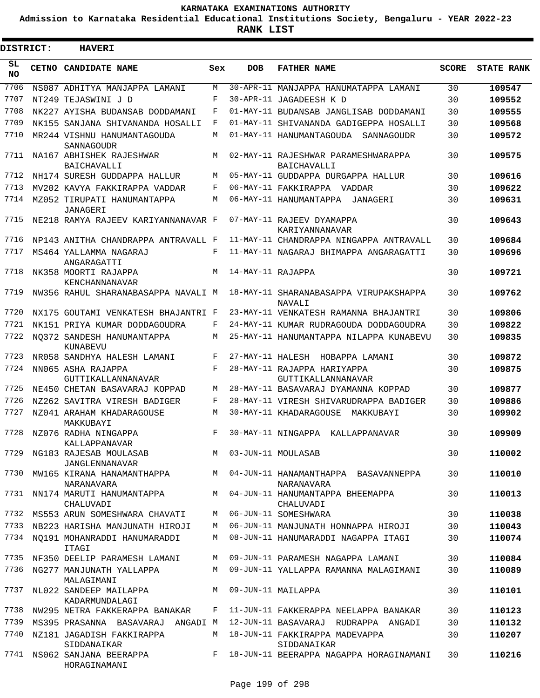**Admission to Karnataka Residential Educational Institutions Society, Bengaluru - YEAR 2022-23**

**RANK LIST**

Е

3

| DISTRICT:  | <b>HAVERI</b>                                         |     |                      |                                                           |              |                   |
|------------|-------------------------------------------------------|-----|----------------------|-----------------------------------------------------------|--------------|-------------------|
| SL.<br>NO. | CETNO CANDIDATE NAME                                  | Sex | <b>DOB</b>           | <b>FATHER NAME</b>                                        | <b>SCORE</b> | <b>STATE RANK</b> |
| 7706       | NS087 ADHITYA MANJAPPA LAMANI                         | M   |                      | 30-APR-11 MANJAPPA HANUMATAPPA LAMANI                     | 30           | 109547            |
| 7707       | NT249 TEJASWINI J D                                   | F   |                      | 30-APR-11 JAGADEESH K D                                   | 30           | 109552            |
| 7708       | NK227 AYISHA BUDANSAB DODDAMANI                       | F   |                      | 01-MAY-11 BUDANSAB JANGLISAB DODDAMANI                    | 30           | 109555            |
| 7709       | NK155 SANJANA SHIVANANDA HOSALLI                      | F   |                      | 01-MAY-11 SHIVANANDA GADIGEPPA HOSALLI                    | 30           | 109568            |
| 7710       | MR244 VISHNU HANUMANTAGOUDA<br>SANNAGOUDR             | М   |                      | 01-MAY-11 HANUMANTAGOUDA SANNAGOUDR                       | 30           | 109572            |
| 7711       | NA167 ABHISHEK RAJESHWAR<br><b>BAICHAVALLI</b>        | М   |                      | 02-MAY-11 RAJESHWAR PARAMESHWARAPPA<br><b>BAICHAVALLI</b> | 30           | 109575            |
| 7712       | NH174 SURESH GUDDAPPA HALLUR                          | M   |                      | 05-MAY-11 GUDDAPPA DURGAPPA HALLUR                        | 30           | 109616            |
| 7713       | MV202 KAVYA FAKKIRAPPA VADDAR                         | F   |                      | 06-MAY-11 FAKKIRAPPA VADDAR                               | 30           | 109622            |
| 7714       | MZ052 TIRUPATI HANUMANTAPPA<br>JANAGERI               | M   |                      | 06-MAY-11 HANUMANTAPPA JANAGERI                           | 30           | 109631            |
| 7715       | NE218 RAMYA RAJEEV KARIYANNANAVAR F                   |     |                      | 07-MAY-11 RAJEEV DYAMAPPA<br>KARIYANNANAVAR               | 30           | 109643            |
| 7716       | NP143 ANITHA CHANDRAPPA ANTRAVALL F                   |     |                      | 11-MAY-11 CHANDRAPPA NINGAPPA ANTRAVALL                   | 30           | 109684            |
| 7717       | MS464 YALLAMMA NAGARAJ<br>ANGARAGATTI                 | F   |                      | 11-MAY-11 NAGARAJ BHIMAPPA ANGARAGATTI                    | 30           | 109696            |
| 7718       | NK358 MOORTI RAJAPPA<br>KENCHANNANAVAR                | M   | 14-MAY-11 RAJAPPA    |                                                           | 30           | 109721            |
| 7719       | NW356 RAHUL SHARANABASAPPA NAVALI M                   |     |                      | 18-MAY-11 SHARANABASAPPA VIRUPAKSHAPPA<br>NAVALI          | 30           | 109762            |
| 7720       | NX175 GOUTAMI VENKATESH BHAJANTRI F                   |     |                      | 23-MAY-11 VENKATESH RAMANNA BHAJANTRI                     | 30           | 109806            |
| 7721       | NK151 PRIYA KUMAR DODDAGOUDRA                         | F   |                      | 24-MAY-11 KUMAR RUDRAGOUDA DODDAGOUDRA                    | 30           | 109822            |
| 7722       | NO372 SANDESH HANUMANTAPPA<br>KUNABEVU                | М   |                      | 25-MAY-11 HANUMANTAPPA NILAPPA KUNABEVU                   | 30           | 109835            |
| 7723       | NR058 SANDHYA HALESH LAMANI                           | F   |                      | 27-MAY-11 HALESH HOBAPPA LAMANI                           | 30           | 109872            |
| 7724       | NN065 ASHA RAJAPPA<br>GUTTIKALLANNANAVAR              | F   |                      | 28-MAY-11 RAJAPPA HARIYAPPA<br>GUTTIKALLANNANAVAR         | 30           | 109875            |
| 7725       | NE450 CHETAN BASAVARAJ KOPPAD                         | М   |                      | 28-MAY-11 BASAVARAJ DYAMANNA KOPPAD                       | 30           | 109877            |
| 7726       | NZ262 SAVITRA VIRESH BADIGER                          | F   |                      | 28-MAY-11 VIRESH SHIVARUDRAPPA BADIGER                    | 30           | 109886            |
| 7727       | NZ041 ARAHAM KHADARAGOUSE<br>MAKKUBAYI                | M   |                      | 30-MAY-11 KHADARAGOUSE MAKKUBAYI                          | 30           | 109902            |
| 7728       | NZ076 RADHA NINGAPPA<br>KALLAPPANAVAR                 | F   |                      | 30-MAY-11 NINGAPPA KALLAPPANAVAR                          | 30           | 109909            |
| 7729       | NG183 RAJESAB MOULASAB<br><b>JANGLENNANAVAR</b>       |     | M 03-JUN-11 MOULASAB |                                                           | 30           | 110002            |
| 7730       | MW165 KIRANA HANAMANTHAPPA<br><b>NARANAVARA</b>       |     |                      | M 04-JUN-11 HANAMANTHAPPA BASAVANNEPPA<br>NARANAVARA      | 30           | 110010            |
| 7731       | NN174 MARUTI HANUMANTAPPA<br>CHALUVADI                | M   |                      | 04-JUN-11 HANUMANTAPPA BHEEMAPPA<br>CHALUVADI             | 30           | 110013            |
| 7732       | MS553 ARUN SOMESHWARA CHAVATI                         | M   |                      | 06-JUN-11 SOMESHWARA                                      | 30           | 110038            |
| 7733       | NB223 HARISHA MANJUNATH HIROJI                        | M   |                      | 06-JUN-11 MANJUNATH HONNAPPA HIROJI                       | 30           | 110043            |
| 7734       | NO191 MOHANRADDI HANUMARADDI<br><b>ITAGI</b>          | М   |                      | 08-JUN-11 HANUMARADDI NAGAPPA ITAGI                       | 30           | 110074            |
| 7735       | NF350 DEELIP PARAMESH LAMANI                          | M   |                      | 09-JUN-11 PARAMESH NAGAPPA LAMANI                         | 30           | 110084            |
| 7736       | NG277 MANJUNATH YALLAPPA<br>MALAGIMANI                | M   |                      | 09-JUN-11 YALLAPPA RAMANNA MALAGIMANI                     | 30           | 110089            |
| 7737       | NL022 SANDEEP MAILAPPA<br>KADARMUNDALAGI              | M   |                      | 09-JUN-11 MAILAPPA                                        | 30           | 110101            |
| 7738       | NW295 NETRA FAKKERAPPA BANAKAR                        | F   |                      | 11-JUN-11 FAKKERAPPA NEELAPPA BANAKAR                     | 30           | 110123            |
| 7739       | MS395 PRASANNA BASAVARAJ ANGADI M                     |     |                      | 12-JUN-11 BASAVARAJ RUDRAPPA ANGADI                       | 30           | 110132            |
| 7740       | NZ181 JAGADISH FAKKIRAPPA                             | М   |                      | 18-JUN-11 FAKKIRAPPA MADEVAPPA                            | 30           | 110207            |
| 7741       | SIDDANAIKAR<br>NS062 SANJANA BEERAPPA<br>HORAGINAMANI |     |                      | SIDDANAIKAR<br>F 18-JUN-11 BEERAPPA NAGAPPA HORAGINAMANI  | 30           | 110216            |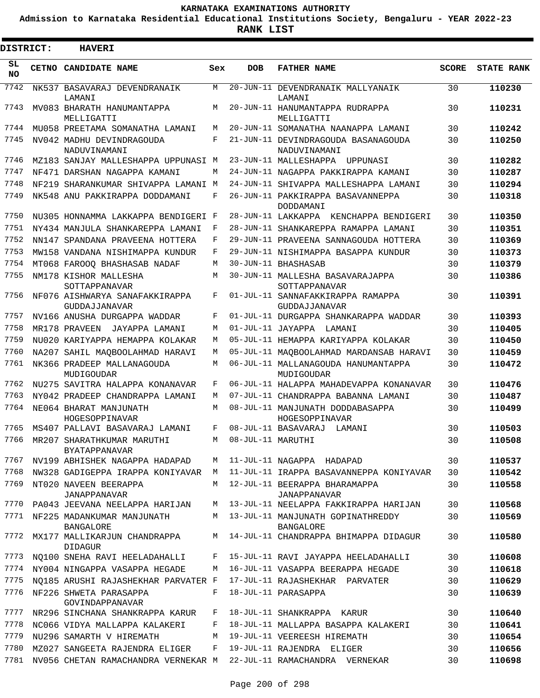**Admission to Karnataka Residential Educational Institutions Society, Bengaluru - YEAR 2022-23**

3

**RANK LIST**

Е

| <b>DISTRICT:</b> | <b>HAVERI</b>                                      |     |                   |                                                       |              |                   |
|------------------|----------------------------------------------------|-----|-------------------|-------------------------------------------------------|--------------|-------------------|
| SL<br>NO.        | <b>CETNO CANDIDATE NAME</b>                        | Sex | <b>DOB</b>        | <b>FATHER NAME</b>                                    | <b>SCORE</b> | <b>STATE RANK</b> |
| 7742             | NK537 BASAVARAJ DEVENDRANAIK<br>LAMANI             | М   |                   | 20-JUN-11 DEVENDRANAIK MALLYANAIK<br>LAMANI           | 30           | 110230            |
| 7743             | MV083 BHARATH HANUMANTAPPA<br>MELLIGATTI           | М   |                   | 20-JUN-11 HANUMANTAPPA RUDRAPPA<br>MELLIGATTI         | 30           | 110231            |
| 7744             | MU058 PREETAMA SOMANATHA LAMANI                    | M   |                   | 20-JUN-11 SOMANATHA NAANAPPA LAMANI                   | 30           | 110242            |
| 7745             | NV042 MADHU DEVINDRAGOUDA<br>NADUVINAMANI          | F   |                   | 21-JUN-11 DEVINDRAGOUDA BASANAGOUDA<br>NADUVINAMANI   | 30           | 110250            |
| 7746             | MZ183 SANJAY MALLESHAPPA UPPUNASI M                |     |                   | 23-JUN-11 MALLESHAPPA UPPUNASI                        | 30           | 110282            |
| 7747             | NF471 DARSHAN NAGAPPA KAMANI                       | М   |                   | 24-JUN-11 NAGAPPA PAKKIRAPPA KAMANI                   | 30           | 110287            |
| 7748             | NF219 SHARANKUMAR SHIVAPPA LAMANI                  | M   |                   | 24-JUN-11 SHIVAPPA MALLESHAPPA LAMANI                 | 30           | 110294            |
| 7749             | NK548 ANU PAKKIRAPPA DODDAMANI                     | F   |                   | 26-JUN-11 PAKKIRAPPA BASAVANNEPPA<br>DODDAMANI        | 30           | 110318            |
| 7750             | NU305 HONNAMMA LAKKAPPA BENDIGERI F                |     |                   | 28-JUN-11 LAKKAPPA KENCHAPPA BENDIGERI                | 30           | 110350            |
| 7751             | NY434 MANJULA SHANKAREPPA LAMANI                   | F   |                   | 28-JUN-11 SHANKAREPPA RAMAPPA LAMANI                  | 30           | 110351            |
| 7752             | NN147 SPANDANA PRAVEENA HOTTERA                    | F   |                   | 29-JUN-11 PRAVEENA SANNAGOUDA HOTTERA                 | 30           | 110369            |
| 7753             | MW158 VANDANA NISHIMAPPA KUNDUR                    | F   |                   | 29-JUN-11 NISHIMAPPA BASAPPA KUNDUR                   | 30           | 110373            |
| 7754             | MT068 FAROOQ BHASHASAB NADAF                       | М   |                   | 30-JUN-11 BHASHASAB                                   | 30           | 110379            |
| 7755             | NM178 KISHOR MALLESHA<br>SOTTAPPANAVAR             | М   |                   | 30-JUN-11 MALLESHA BASAVARAJAPPA<br>SOTTAPPANAVAR     | 30           | 110386            |
| 7756             | NF076 AISHWARYA SANAFAKKIRAPPA<br>GUDDAJJANAVAR    | F   |                   | 01-JUL-11 SANNAFAKKIRAPPA RAMAPPA<br>GUDDAJJANAVAR    | 30           | 110391            |
| 7757             | NV166 ANUSHA DURGAPPA WADDAR                       | F   |                   | 01-JUL-11 DURGAPPA SHANKARAPPA WADDAR                 | 30           | 110393            |
| 7758             | MR178 PRAVEEN<br>JAYAPPA LAMANI                    | М   |                   | 01-JUL-11 JAYAPPA LAMANI                              | 30           | 110405            |
| 7759             | NU020 KARIYAPPA HEMAPPA KOLAKAR                    | М   |                   | 05-JUL-11 HEMAPPA KARIYAPPA KOLAKAR                   | 30           | 110450            |
| 7760             | NA207 SAHIL MAQBOOLAHMAD HARAVI                    | M   |                   | 05-JUL-11 MAQBOOLAHMAD MARDANSAB HARAVI               | 30           | 110459            |
| 7761             | NK366 PRADEEP MALLANAGOUDA<br>MUDIGOUDAR           | M   |                   | 06-JUL-11 MALLANAGOUDA HANUMANTAPPA<br>MUDIGOUDAR     | 30           | 110472            |
| 7762             | NU275 SAVITRA HALAPPA KONANAVAR                    | F   |                   | 06-JUL-11 HALAPPA MAHADEVAPPA KONANAVAR               | 30           | 110476            |
| 7763             | NY042 PRADEEP CHANDRAPPA LAMANI                    | М   |                   | 07-JUL-11 CHANDRAPPA BABANNA LAMANI                   | 30           | 110487            |
| 7764             | NE064 BHARAT MANJUNATH<br>HOGESOPPINAVAR           | M   |                   | 08-JUL-11 MANJUNATH DODDABASAPPA<br>HOGESOPPINAVAR    | 30           | 110499            |
| 7765             | MS407 PALLAVI BASAVARAJ LAMANI                     | F   |                   | 08-JUL-11 BASAVARAJ LAMANI                            | 30           | 110503            |
| 7766             | MR207 SHARATHKUMAR MARUTHI<br><b>BYATAPPANAVAR</b> | M   | 08-JUL-11 MARUTHI |                                                       | 30           | 110508            |
| 7767             | NV199 ABHISHEK NAGAPPA HADAPAD                     | M   |                   | 11-JUL-11 NAGAPPA HADAPAD                             | 30           | 110537            |
| 7768             | NW328 GADIGEPPA IRAPPA KONIYAVAR                   | M   |                   | 11-JUL-11 IRAPPA BASAVANNEPPA KONIYAVAR               | 30           | 110542            |
| 7769             | NT020 NAVEEN BEERAPPA<br><b>JANAPPANAVAR</b>       | M   |                   | 12-JUL-11 BEERAPPA BHARAMAPPA<br>JANAPPANAVAR         | 30           | 110558            |
| 7770             | PA043 JEEVANA NEELAPPA HARIJAN                     | M   |                   | 13-JUL-11 NEELAPPA FAKKIRAPPA HARIJAN                 | 30           | 110568            |
| 7771             | NF225 MADANKUMAR MANJUNATH<br><b>BANGALORE</b>     | M   |                   | 13-JUL-11 MANJUNATH GOPINATHREDDY<br><b>BANGALORE</b> | 30           | 110569            |
| 7772             | MX177 MALLIKARJUN CHANDRAPPA<br><b>DIDAGUR</b>     | M   |                   | 14-JUL-11 CHANDRAPPA BHIMAPPA DIDAGUR                 | 30           | 110580            |
| 7773             | NO100 SNEHA RAVI HEELADAHALLI                      | F   |                   | 15-JUL-11 RAVI JAYAPPA HEELADAHALLI                   | 30           | 110608            |
| 7774             | NY004 NINGAPPA VASAPPA HEGADE                      | M   |                   | 16-JUL-11 VASAPPA BEERAPPA HEGADE                     | 30           | 110618            |
| 7775             | NO185 ARUSHI RAJASHEKHAR PARVATER F                |     |                   | 17-JUL-11 RAJASHEKHAR PARVATER                        | 30           | 110629            |
| 7776             | NF226 SHWETA PARASAPPA<br>GOVINDAPPANAVAR          | F   |                   | 18-JUL-11 PARASAPPA                                   | 30           | 110639            |
| 7777             | NR296 SINCHANA SHANKRAPPA KARUR                    | F   |                   | 18-JUL-11 SHANKRAPPA KARUR                            | 30           | 110640            |
| 7778             | NC066 VIDYA MALLAPPA KALAKERI                      | F   |                   | 18-JUL-11 MALLAPPA BASAPPA KALAKERI                   | 30           | 110641            |
| 7779             | NU296 SAMARTH V HIREMATH                           | М   |                   | 19-JUL-11 VEEREESH HIREMATH                           | 30           | 110654            |
| 7780             | MZ027 SANGEETA RAJENDRA ELIGER                     | F   |                   | 19-JUL-11 RAJENDRA ELIGER                             | 30           | 110656            |
| 7781             | NV056 CHETAN RAMACHANDRA VERNEKAR M                |     |                   | 22-JUL-11 RAMACHANDRA VERNEKAR                        | 30           | 110698            |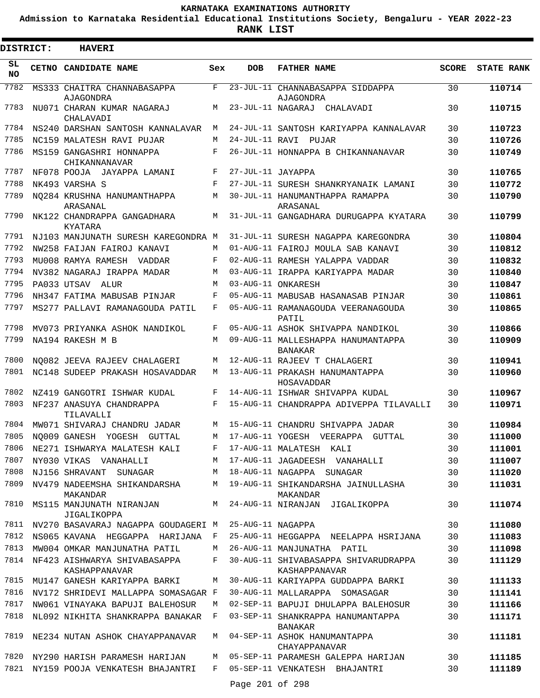**Admission to Karnataka Residential Educational Institutions Society, Bengaluru - YEAR 2022-23**

 $\blacksquare$ 

**RANK LIST**

Е

| <b>HAVERI</b>             |                                                                                                                                                                                                                                                                                                                                                                                                                                                                                                                                                                                                                                                                                                                                                                                                                                                                                                                                                                                                                                                                                                                                                                |                                                                                                                                                                       |                    |                                                                                                                                                                                                                                                                                                                                                                                                                                                                                                                                                                                                                                                                                                                                                                                                                                                                                                                                                                                                                                                                                                                                                                                                                                                                                                                                                                                                                                                               |                   |
|---------------------------|----------------------------------------------------------------------------------------------------------------------------------------------------------------------------------------------------------------------------------------------------------------------------------------------------------------------------------------------------------------------------------------------------------------------------------------------------------------------------------------------------------------------------------------------------------------------------------------------------------------------------------------------------------------------------------------------------------------------------------------------------------------------------------------------------------------------------------------------------------------------------------------------------------------------------------------------------------------------------------------------------------------------------------------------------------------------------------------------------------------------------------------------------------------|-----------------------------------------------------------------------------------------------------------------------------------------------------------------------|--------------------|---------------------------------------------------------------------------------------------------------------------------------------------------------------------------------------------------------------------------------------------------------------------------------------------------------------------------------------------------------------------------------------------------------------------------------------------------------------------------------------------------------------------------------------------------------------------------------------------------------------------------------------------------------------------------------------------------------------------------------------------------------------------------------------------------------------------------------------------------------------------------------------------------------------------------------------------------------------------------------------------------------------------------------------------------------------------------------------------------------------------------------------------------------------------------------------------------------------------------------------------------------------------------------------------------------------------------------------------------------------------------------------------------------------------------------------------------------------|-------------------|
|                           |                                                                                                                                                                                                                                                                                                                                                                                                                                                                                                                                                                                                                                                                                                                                                                                                                                                                                                                                                                                                                                                                                                                                                                | <b>DOB</b>                                                                                                                                                            | <b>FATHER NAME</b> | <b>SCORE</b>                                                                                                                                                                                                                                                                                                                                                                                                                                                                                                                                                                                                                                                                                                                                                                                                                                                                                                                                                                                                                                                                                                                                                                                                                                                                                                                                                                                                                                                  | <b>STATE RANK</b> |
| <b>AJAGONDRA</b>          | F                                                                                                                                                                                                                                                                                                                                                                                                                                                                                                                                                                                                                                                                                                                                                                                                                                                                                                                                                                                                                                                                                                                                                              |                                                                                                                                                                       | AJAGONDRA          | 30                                                                                                                                                                                                                                                                                                                                                                                                                                                                                                                                                                                                                                                                                                                                                                                                                                                                                                                                                                                                                                                                                                                                                                                                                                                                                                                                                                                                                                                            | 110714            |
| CHALAVADI                 | M                                                                                                                                                                                                                                                                                                                                                                                                                                                                                                                                                                                                                                                                                                                                                                                                                                                                                                                                                                                                                                                                                                                                                              |                                                                                                                                                                       |                    | 30                                                                                                                                                                                                                                                                                                                                                                                                                                                                                                                                                                                                                                                                                                                                                                                                                                                                                                                                                                                                                                                                                                                                                                                                                                                                                                                                                                                                                                                            | 110715            |
|                           | M                                                                                                                                                                                                                                                                                                                                                                                                                                                                                                                                                                                                                                                                                                                                                                                                                                                                                                                                                                                                                                                                                                                                                              |                                                                                                                                                                       |                    | 30                                                                                                                                                                                                                                                                                                                                                                                                                                                                                                                                                                                                                                                                                                                                                                                                                                                                                                                                                                                                                                                                                                                                                                                                                                                                                                                                                                                                                                                            | 110723            |
|                           | M                                                                                                                                                                                                                                                                                                                                                                                                                                                                                                                                                                                                                                                                                                                                                                                                                                                                                                                                                                                                                                                                                                                                                              |                                                                                                                                                                       |                    | 30                                                                                                                                                                                                                                                                                                                                                                                                                                                                                                                                                                                                                                                                                                                                                                                                                                                                                                                                                                                                                                                                                                                                                                                                                                                                                                                                                                                                                                                            | 110726            |
| CHIKANNANAVAR             | F                                                                                                                                                                                                                                                                                                                                                                                                                                                                                                                                                                                                                                                                                                                                                                                                                                                                                                                                                                                                                                                                                                                                                              |                                                                                                                                                                       |                    | 30                                                                                                                                                                                                                                                                                                                                                                                                                                                                                                                                                                                                                                                                                                                                                                                                                                                                                                                                                                                                                                                                                                                                                                                                                                                                                                                                                                                                                                                            | 110749            |
|                           | F                                                                                                                                                                                                                                                                                                                                                                                                                                                                                                                                                                                                                                                                                                                                                                                                                                                                                                                                                                                                                                                                                                                                                              |                                                                                                                                                                       |                    | 30                                                                                                                                                                                                                                                                                                                                                                                                                                                                                                                                                                                                                                                                                                                                                                                                                                                                                                                                                                                                                                                                                                                                                                                                                                                                                                                                                                                                                                                            | 110765            |
|                           | F                                                                                                                                                                                                                                                                                                                                                                                                                                                                                                                                                                                                                                                                                                                                                                                                                                                                                                                                                                                                                                                                                                                                                              |                                                                                                                                                                       |                    | 30                                                                                                                                                                                                                                                                                                                                                                                                                                                                                                                                                                                                                                                                                                                                                                                                                                                                                                                                                                                                                                                                                                                                                                                                                                                                                                                                                                                                                                                            | 110772            |
| ARASANAL                  | M                                                                                                                                                                                                                                                                                                                                                                                                                                                                                                                                                                                                                                                                                                                                                                                                                                                                                                                                                                                                                                                                                                                                                              |                                                                                                                                                                       | ARASANAL           | 30                                                                                                                                                                                                                                                                                                                                                                                                                                                                                                                                                                                                                                                                                                                                                                                                                                                                                                                                                                                                                                                                                                                                                                                                                                                                                                                                                                                                                                                            | 110790            |
| <b>KYATARA</b>            | M                                                                                                                                                                                                                                                                                                                                                                                                                                                                                                                                                                                                                                                                                                                                                                                                                                                                                                                                                                                                                                                                                                                                                              |                                                                                                                                                                       |                    | 30                                                                                                                                                                                                                                                                                                                                                                                                                                                                                                                                                                                                                                                                                                                                                                                                                                                                                                                                                                                                                                                                                                                                                                                                                                                                                                                                                                                                                                                            | 110799            |
|                           |                                                                                                                                                                                                                                                                                                                                                                                                                                                                                                                                                                                                                                                                                                                                                                                                                                                                                                                                                                                                                                                                                                                                                                |                                                                                                                                                                       |                    | 30                                                                                                                                                                                                                                                                                                                                                                                                                                                                                                                                                                                                                                                                                                                                                                                                                                                                                                                                                                                                                                                                                                                                                                                                                                                                                                                                                                                                                                                            | 110804            |
|                           | М                                                                                                                                                                                                                                                                                                                                                                                                                                                                                                                                                                                                                                                                                                                                                                                                                                                                                                                                                                                                                                                                                                                                                              |                                                                                                                                                                       |                    | 30                                                                                                                                                                                                                                                                                                                                                                                                                                                                                                                                                                                                                                                                                                                                                                                                                                                                                                                                                                                                                                                                                                                                                                                                                                                                                                                                                                                                                                                            | 110812            |
|                           | F                                                                                                                                                                                                                                                                                                                                                                                                                                                                                                                                                                                                                                                                                                                                                                                                                                                                                                                                                                                                                                                                                                                                                              |                                                                                                                                                                       |                    | 30                                                                                                                                                                                                                                                                                                                                                                                                                                                                                                                                                                                                                                                                                                                                                                                                                                                                                                                                                                                                                                                                                                                                                                                                                                                                                                                                                                                                                                                            | 110832            |
|                           | M                                                                                                                                                                                                                                                                                                                                                                                                                                                                                                                                                                                                                                                                                                                                                                                                                                                                                                                                                                                                                                                                                                                                                              |                                                                                                                                                                       |                    | 30                                                                                                                                                                                                                                                                                                                                                                                                                                                                                                                                                                                                                                                                                                                                                                                                                                                                                                                                                                                                                                                                                                                                                                                                                                                                                                                                                                                                                                                            | 110840            |
|                           | M                                                                                                                                                                                                                                                                                                                                                                                                                                                                                                                                                                                                                                                                                                                                                                                                                                                                                                                                                                                                                                                                                                                                                              |                                                                                                                                                                       |                    | 30                                                                                                                                                                                                                                                                                                                                                                                                                                                                                                                                                                                                                                                                                                                                                                                                                                                                                                                                                                                                                                                                                                                                                                                                                                                                                                                                                                                                                                                            | 110847            |
|                           | $_{\rm F}$                                                                                                                                                                                                                                                                                                                                                                                                                                                                                                                                                                                                                                                                                                                                                                                                                                                                                                                                                                                                                                                                                                                                                     |                                                                                                                                                                       |                    | 30                                                                                                                                                                                                                                                                                                                                                                                                                                                                                                                                                                                                                                                                                                                                                                                                                                                                                                                                                                                                                                                                                                                                                                                                                                                                                                                                                                                                                                                            | 110861            |
|                           | F                                                                                                                                                                                                                                                                                                                                                                                                                                                                                                                                                                                                                                                                                                                                                                                                                                                                                                                                                                                                                                                                                                                                                              |                                                                                                                                                                       | PATIL              | 30                                                                                                                                                                                                                                                                                                                                                                                                                                                                                                                                                                                                                                                                                                                                                                                                                                                                                                                                                                                                                                                                                                                                                                                                                                                                                                                                                                                                                                                            | 110865            |
|                           | F                                                                                                                                                                                                                                                                                                                                                                                                                                                                                                                                                                                                                                                                                                                                                                                                                                                                                                                                                                                                                                                                                                                                                              |                                                                                                                                                                       |                    | 30                                                                                                                                                                                                                                                                                                                                                                                                                                                                                                                                                                                                                                                                                                                                                                                                                                                                                                                                                                                                                                                                                                                                                                                                                                                                                                                                                                                                                                                            | 110866            |
|                           | M                                                                                                                                                                                                                                                                                                                                                                                                                                                                                                                                                                                                                                                                                                                                                                                                                                                                                                                                                                                                                                                                                                                                                              |                                                                                                                                                                       | <b>BANAKAR</b>     | 30                                                                                                                                                                                                                                                                                                                                                                                                                                                                                                                                                                                                                                                                                                                                                                                                                                                                                                                                                                                                                                                                                                                                                                                                                                                                                                                                                                                                                                                            | 110909            |
|                           | M                                                                                                                                                                                                                                                                                                                                                                                                                                                                                                                                                                                                                                                                                                                                                                                                                                                                                                                                                                                                                                                                                                                                                              |                                                                                                                                                                       |                    | 30                                                                                                                                                                                                                                                                                                                                                                                                                                                                                                                                                                                                                                                                                                                                                                                                                                                                                                                                                                                                                                                                                                                                                                                                                                                                                                                                                                                                                                                            | 110941            |
|                           | M                                                                                                                                                                                                                                                                                                                                                                                                                                                                                                                                                                                                                                                                                                                                                                                                                                                                                                                                                                                                                                                                                                                                                              |                                                                                                                                                                       | HOSAVADDAR         | 30                                                                                                                                                                                                                                                                                                                                                                                                                                                                                                                                                                                                                                                                                                                                                                                                                                                                                                                                                                                                                                                                                                                                                                                                                                                                                                                                                                                                                                                            | 110960            |
|                           | F                                                                                                                                                                                                                                                                                                                                                                                                                                                                                                                                                                                                                                                                                                                                                                                                                                                                                                                                                                                                                                                                                                                                                              |                                                                                                                                                                       |                    | 30                                                                                                                                                                                                                                                                                                                                                                                                                                                                                                                                                                                                                                                                                                                                                                                                                                                                                                                                                                                                                                                                                                                                                                                                                                                                                                                                                                                                                                                            | 110967            |
| TILAVALLI                 | F                                                                                                                                                                                                                                                                                                                                                                                                                                                                                                                                                                                                                                                                                                                                                                                                                                                                                                                                                                                                                                                                                                                                                              |                                                                                                                                                                       |                    | 30                                                                                                                                                                                                                                                                                                                                                                                                                                                                                                                                                                                                                                                                                                                                                                                                                                                                                                                                                                                                                                                                                                                                                                                                                                                                                                                                                                                                                                                            | 110971            |
|                           | М                                                                                                                                                                                                                                                                                                                                                                                                                                                                                                                                                                                                                                                                                                                                                                                                                                                                                                                                                                                                                                                                                                                                                              |                                                                                                                                                                       |                    | 30                                                                                                                                                                                                                                                                                                                                                                                                                                                                                                                                                                                                                                                                                                                                                                                                                                                                                                                                                                                                                                                                                                                                                                                                                                                                                                                                                                                                                                                            | 110984            |
|                           |                                                                                                                                                                                                                                                                                                                                                                                                                                                                                                                                                                                                                                                                                                                                                                                                                                                                                                                                                                                                                                                                                                                                                                |                                                                                                                                                                       |                    |                                                                                                                                                                                                                                                                                                                                                                                                                                                                                                                                                                                                                                                                                                                                                                                                                                                                                                                                                                                                                                                                                                                                                                                                                                                                                                                                                                                                                                                               | 111000            |
|                           | F                                                                                                                                                                                                                                                                                                                                                                                                                                                                                                                                                                                                                                                                                                                                                                                                                                                                                                                                                                                                                                                                                                                                                              |                                                                                                                                                                       |                    | 30                                                                                                                                                                                                                                                                                                                                                                                                                                                                                                                                                                                                                                                                                                                                                                                                                                                                                                                                                                                                                                                                                                                                                                                                                                                                                                                                                                                                                                                            | 111001            |
|                           | M                                                                                                                                                                                                                                                                                                                                                                                                                                                                                                                                                                                                                                                                                                                                                                                                                                                                                                                                                                                                                                                                                                                                                              |                                                                                                                                                                       |                    | 30                                                                                                                                                                                                                                                                                                                                                                                                                                                                                                                                                                                                                                                                                                                                                                                                                                                                                                                                                                                                                                                                                                                                                                                                                                                                                                                                                                                                                                                            | 111007            |
|                           | М                                                                                                                                                                                                                                                                                                                                                                                                                                                                                                                                                                                                                                                                                                                                                                                                                                                                                                                                                                                                                                                                                                                                                              |                                                                                                                                                                       |                    | 30                                                                                                                                                                                                                                                                                                                                                                                                                                                                                                                                                                                                                                                                                                                                                                                                                                                                                                                                                                                                                                                                                                                                                                                                                                                                                                                                                                                                                                                            | 111020            |
| MAKANDAR                  | M                                                                                                                                                                                                                                                                                                                                                                                                                                                                                                                                                                                                                                                                                                                                                                                                                                                                                                                                                                                                                                                                                                                                                              |                                                                                                                                                                       | MAKANDAR           | 30                                                                                                                                                                                                                                                                                                                                                                                                                                                                                                                                                                                                                                                                                                                                                                                                                                                                                                                                                                                                                                                                                                                                                                                                                                                                                                                                                                                                                                                            | 111031            |
| JIGALIKOPPA               |                                                                                                                                                                                                                                                                                                                                                                                                                                                                                                                                                                                                                                                                                                                                                                                                                                                                                                                                                                                                                                                                                                                                                                |                                                                                                                                                                       |                    | 30                                                                                                                                                                                                                                                                                                                                                                                                                                                                                                                                                                                                                                                                                                                                                                                                                                                                                                                                                                                                                                                                                                                                                                                                                                                                                                                                                                                                                                                            | 111074            |
|                           |                                                                                                                                                                                                                                                                                                                                                                                                                                                                                                                                                                                                                                                                                                                                                                                                                                                                                                                                                                                                                                                                                                                                                                |                                                                                                                                                                       |                    | 30                                                                                                                                                                                                                                                                                                                                                                                                                                                                                                                                                                                                                                                                                                                                                                                                                                                                                                                                                                                                                                                                                                                                                                                                                                                                                                                                                                                                                                                            | 111080            |
|                           |                                                                                                                                                                                                                                                                                                                                                                                                                                                                                                                                                                                                                                                                                                                                                                                                                                                                                                                                                                                                                                                                                                                                                                |                                                                                                                                                                       |                    | 30                                                                                                                                                                                                                                                                                                                                                                                                                                                                                                                                                                                                                                                                                                                                                                                                                                                                                                                                                                                                                                                                                                                                                                                                                                                                                                                                                                                                                                                            | 111083            |
|                           | M                                                                                                                                                                                                                                                                                                                                                                                                                                                                                                                                                                                                                                                                                                                                                                                                                                                                                                                                                                                                                                                                                                                                                              |                                                                                                                                                                       |                    | 30                                                                                                                                                                                                                                                                                                                                                                                                                                                                                                                                                                                                                                                                                                                                                                                                                                                                                                                                                                                                                                                                                                                                                                                                                                                                                                                                                                                                                                                            | 111098            |
| KASHAPPANAVAR             | F                                                                                                                                                                                                                                                                                                                                                                                                                                                                                                                                                                                                                                                                                                                                                                                                                                                                                                                                                                                                                                                                                                                                                              |                                                                                                                                                                       | KASHAPPANAVAR      | 30                                                                                                                                                                                                                                                                                                                                                                                                                                                                                                                                                                                                                                                                                                                                                                                                                                                                                                                                                                                                                                                                                                                                                                                                                                                                                                                                                                                                                                                            | 111129            |
|                           | М                                                                                                                                                                                                                                                                                                                                                                                                                                                                                                                                                                                                                                                                                                                                                                                                                                                                                                                                                                                                                                                                                                                                                              |                                                                                                                                                                       |                    | 30                                                                                                                                                                                                                                                                                                                                                                                                                                                                                                                                                                                                                                                                                                                                                                                                                                                                                                                                                                                                                                                                                                                                                                                                                                                                                                                                                                                                                                                            | 111133            |
|                           |                                                                                                                                                                                                                                                                                                                                                                                                                                                                                                                                                                                                                                                                                                                                                                                                                                                                                                                                                                                                                                                                                                                                                                |                                                                                                                                                                       |                    | 30                                                                                                                                                                                                                                                                                                                                                                                                                                                                                                                                                                                                                                                                                                                                                                                                                                                                                                                                                                                                                                                                                                                                                                                                                                                                                                                                                                                                                                                            | 111141            |
|                           | M                                                                                                                                                                                                                                                                                                                                                                                                                                                                                                                                                                                                                                                                                                                                                                                                                                                                                                                                                                                                                                                                                                                                                              |                                                                                                                                                                       |                    | 30                                                                                                                                                                                                                                                                                                                                                                                                                                                                                                                                                                                                                                                                                                                                                                                                                                                                                                                                                                                                                                                                                                                                                                                                                                                                                                                                                                                                                                                            | 111166            |
|                           |                                                                                                                                                                                                                                                                                                                                                                                                                                                                                                                                                                                                                                                                                                                                                                                                                                                                                                                                                                                                                                                                                                                                                                |                                                                                                                                                                       | BANAKAR            | 30                                                                                                                                                                                                                                                                                                                                                                                                                                                                                                                                                                                                                                                                                                                                                                                                                                                                                                                                                                                                                                                                                                                                                                                                                                                                                                                                                                                                                                                            | 111171            |
|                           | M                                                                                                                                                                                                                                                                                                                                                                                                                                                                                                                                                                                                                                                                                                                                                                                                                                                                                                                                                                                                                                                                                                                                                              |                                                                                                                                                                       | CHAYAPPANAVAR      | 30                                                                                                                                                                                                                                                                                                                                                                                                                                                                                                                                                                                                                                                                                                                                                                                                                                                                                                                                                                                                                                                                                                                                                                                                                                                                                                                                                                                                                                                            | 111181            |
|                           | M                                                                                                                                                                                                                                                                                                                                                                                                                                                                                                                                                                                                                                                                                                                                                                                                                                                                                                                                                                                                                                                                                                                                                              |                                                                                                                                                                       |                    | 30                                                                                                                                                                                                                                                                                                                                                                                                                                                                                                                                                                                                                                                                                                                                                                                                                                                                                                                                                                                                                                                                                                                                                                                                                                                                                                                                                                                                                                                            | 111185            |
|                           | F                                                                                                                                                                                                                                                                                                                                                                                                                                                                                                                                                                                                                                                                                                                                                                                                                                                                                                                                                                                                                                                                                                                                                              |                                                                                                                                                                       |                    | 30                                                                                                                                                                                                                                                                                                                                                                                                                                                                                                                                                                                                                                                                                                                                                                                                                                                                                                                                                                                                                                                                                                                                                                                                                                                                                                                                                                                                                                                            | 111189            |
| DISTRICT:<br>7804<br>7814 | CETNO CANDIDATE NAME<br>MS333 CHAITRA CHANNABASAPPA<br>NU071 CHARAN KUMAR NAGARAJ<br>NS240 DARSHAN SANTOSH KANNALAVAR<br>NC159 MALATESH RAVI PUJAR<br>MS159 GANGASHRI HONNAPPA<br>NF078 POOJA JAYAPPA LAMANI<br>NK493 VARSHA S<br>NO284 KRUSHNA HANUMANTHAPPA<br>NK122 CHANDRAPPA GANGADHARA<br>NW258 FAIJAN FAIROJ KANAVI<br>MU008 RAMYA RAMESH VADDAR<br>NV382 NAGARAJ IRAPPA MADAR<br>PA033 UTSAV ALUR<br>NH347 FATIMA MABUSAB PINJAR<br>MS277 PALLAVI RAMANAGOUDA PATIL<br>MV073 PRIYANKA ASHOK NANDIKOL<br>NA194 RAKESH M B<br>NO082 JEEVA RAJEEV CHALAGERI<br>NC148 SUDEEP PRAKASH HOSAVADDAR<br>NZ419 GANGOTRI ISHWAR KUDAL<br>NF237 ANASUYA CHANDRAPPA<br>MW071 SHIVARAJ CHANDRU JADAR<br>7805 NQ009 GANESH YOGESH GUTTAL<br>NE271 ISHWARYA MALATESH KALI<br>NY030 VIKAS VANAHALLI<br>NJ156 SHRAVANT SUNAGAR<br>NV479 NADEEMSHA SHIKANDARSHA<br>MS115 MANJUNATH NIRANJAN<br>MW004 OMKAR MANJUNATHA PATIL<br>NF423 AISHWARYA SHIVABASAPPA<br>MU147 GANESH KARIYAPPA BARKI<br>NW061 VINAYAKA BAPUJI BALEHOSUR<br>NL092 NIKHITA SHANKRAPPA BANAKAR<br>NE234 NUTAN ASHOK CHAYAPPANAVAR<br>NY290 HARISH PARAMESH HARIJAN<br>NY159 POOJA VENKATESH BHAJANTRI | NJ103 MANJUNATH SURESH KAREGONDRA M<br>NV270 BASAVARAJ NAGAPPA GOUDAGERI M<br>NS065 KAVANA HEGGAPPA HARIJANA F<br>NV172 SHRIDEVI MALLAPPA SOMASAGAR F<br>$\mathbf{F}$ | Sex<br><b>M</b>    | 23-JUL-11 CHANNABASAPPA SIDDAPPA<br>23-JUL-11 NAGARAJ CHALAVADI<br>24-JUL-11 SANTOSH KARIYAPPA KANNALAVAR<br>24-JUL-11 RAVI PUJAR<br>26-JUL-11 HONNAPPA B CHIKANNANAVAR<br>27-JUL-11 JAYAPPA<br>27-JUL-11 SURESH SHANKRYANAIK LAMANI<br>30-JUL-11 HANUMANTHAPPA RAMAPPA<br>31-JUL-11 GANGADHARA DURUGAPPA KYATARA<br>31-JUL-11 SURESH NAGAPPA KAREGONDRA<br>01-AUG-11 FAIROJ MOULA SAB KANAVI<br>02-AUG-11 RAMESH YALAPPA VADDAR<br>03-AUG-11 IRAPPA KARIYAPPA MADAR<br>03-AUG-11 ONKARESH<br>05-AUG-11 MABUSAB HASANASAB PINJAR<br>05-AUG-11 RAMANAGOUDA VEERANAGOUDA<br>05-AUG-11 ASHOK SHIVAPPA NANDIKOL<br>09-AUG-11 MALLESHAPPA HANUMANTAPPA<br>12-AUG-11 RAJEEV T CHALAGERI<br>13-AUG-11 PRAKASH HANUMANTAPPA<br>14-AUG-11 ISHWAR SHIVAPPA KUDAL<br>15-AUG-11 CHANDRAPPA ADIVEPPA TILAVALLI<br>15-AUG-11 CHANDRU SHIVAPPA JADAR<br>M 17-AUG-11 YOGESH VEERAPPA GUTTAL<br>17-AUG-11 MALATESH KALI<br>17-AUG-11 JAGADEESH VANAHALLI<br>18-AUG-11 NAGAPPA SUNAGAR<br>19-AUG-11 SHIKANDARSHA JAINULLASHA<br>24-AUG-11 NIRANJAN JIGALIKOPPA<br>25-AUG-11 NAGAPPA<br>25-AUG-11 HEGGAPPA NEELAPPA HSRIJANA<br>26-AUG-11 MANJUNATHA PATIL<br>30-AUG-11 SHIVABASAPPA SHIVARUDRAPPA<br>30-AUG-11 KARIYAPPA GUDDAPPA BARKI<br>30-AUG-11 MALLARAPPA SOMASAGAR<br>02-SEP-11 BAPUJI DHULAPPA BALEHOSUR<br>03-SEP-11 SHANKRAPPA HANUMANTAPPA<br>04-SEP-11 ASHOK HANUMANTAPPA<br>05-SEP-11 PARAMESH GALEPPA HARIJAN<br>05-SEP-11 VENKATESH BHAJANTRI<br>Page 201 of 298 | 30                |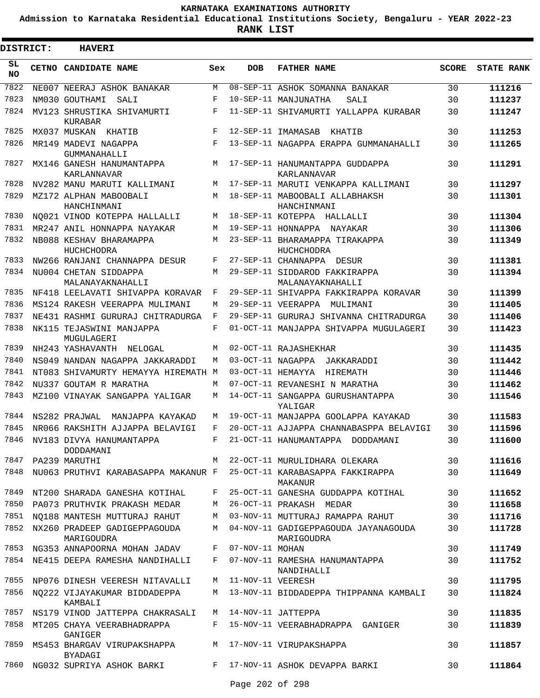**Admission to Karnataka Residential Educational Institutions Society, Bengaluru - YEAR 2022-23**

| DISTRICT:       | <b>HAVERI</b>                                                      |       |                   |                                                                                 |              |                   |
|-----------------|--------------------------------------------------------------------|-------|-------------------|---------------------------------------------------------------------------------|--------------|-------------------|
| SL<br><b>NO</b> | CETNO CANDIDATE NAME                                               | Sex   | <b>DOB</b>        | <b>FATHER NAME</b>                                                              | <b>SCORE</b> | <b>STATE RANK</b> |
| 7822            | NE007 NEERAJ ASHOK BANAKAR                                         | M     |                   | 08-SEP-11 ASHOK SOMANNA BANAKAR                                                 | 30           | 111216            |
| 7823            | NM030 GOUTHAMI<br>SALI                                             | F     |                   | 10-SEP-11 MANJUNATHA<br>SALI                                                    | 30           | 111237            |
| 7824            | MV123 SHRUSTIKA SHIVAMURTI<br>KURABAR                              | F     |                   | 11-SEP-11 SHIVAMURTI YALLAPPA KURABAR                                           | 30           | 111247            |
| 7825            | MX037 MUSKAN KHATIB                                                | F     |                   | 12-SEP-11 IMAMASAB<br>KHATIB                                                    | 30           | 111253            |
| 7826            | MR149 MADEVI NAGAPPA<br>GUMMANAHALLI                               | F     |                   | 13-SEP-11 NAGAPPA ERAPPA GUMMANAHALLI                                           | 30           | 111265            |
| 7827            | MX146 GANESH HANUMANTAPPA<br>KARLANNAVAR                           | M     |                   | 17-SEP-11 HANUMANTAPPA GUDDAPPA<br>KARLANNAVAR                                  | 30           | 111291            |
| 7828            | NV282 MANU MARUTI KALLIMANI                                        | M     |                   | 17-SEP-11 MARUTI VENKAPPA KALLIMANI                                             | 30           | 111297            |
| 7829            | MZ172 ALPHAN MABOOBALI<br>HANCHINMANI                              | M     |                   | 18-SEP-11 MABOOBALI ALLABHAKSH<br>HANCHINMANI                                   | 30           | 111301            |
| 7830            | NO021 VINOD KOTEPPA HALLALLI                                       | М     |                   | 18-SEP-11 KOTEPPA HALLALLI                                                      | 30           | 111304            |
| 7831            | MR247 ANIL HONNAPPA NAYAKAR                                        | М     |                   | 19-SEP-11 HONNAPPA NAYAKAR                                                      | 30           | 111306            |
| 7832            | NB088 KESHAV BHARAMAPPA<br><b>HUCHCHODRA</b>                       | М     |                   | 23-SEP-11 BHARAMAPPA TIRAKAPPA<br>HUCHCHODRA                                    | 30           | 111349            |
| 7833            | NW266 RANJANI CHANNAPPA DESUR                                      | F     |                   | 27-SEP-11 CHANNAPPA DESUR                                                       | 30           | 111381            |
| 7834            | NU004 CHETAN SIDDAPPA<br>MALANAYAKNAHALLI                          | M     |                   | 29-SEP-11 SIDDAROD FAKKIRAPPA<br>MALANAYAKNAHALLI                               | 30           | 111394            |
| 7835            | NF418 LEELAVATI SHIVAPPA KORAVAR                                   | F     |                   | 29-SEP-11 SHIVAPPA FAKKIRAPPA KORAVAR                                           | 30           | 111399            |
| 7836            | MS124 RAKESH VEERAPPA MULIMANI                                     | М     |                   | 29-SEP-11 VEERAPPA MULIMANI                                                     | 30           | 111405            |
| 7837            | NE431 RASHMI GURURAJ CHITRADURGA                                   | F     |                   | 29-SEP-11 GURURAJ SHIVANNA CHITRADURGA                                          | 30           | 111406            |
| 7838            | NK115 TEJASWINI MANJAPPA<br>MUGULAGERI                             | F     |                   | 01-OCT-11 MANJAPPA SHIVAPPA MUGULAGERI                                          | 30           | 111423            |
| 7839            | NH243 YASHAVANTH NELOGAL                                           | М     |                   | 02-OCT-11 RAJASHEKHAR                                                           | 30           | 111435            |
| 7840            | NS049 NANDAN NAGAPPA JAKKARADDI                                    | M     |                   | 03-OCT-11 NAGAPPA<br>JAKKARADDI                                                 | 30           | 111442            |
| 7841            | NT083 SHIVAMURTY HEMAYYA HIREMATH M                                |       | 03-OCT-11 HEMAYYA | HIREMATH                                                                        | 30           | 111446            |
| 7842            | NU337 GOUTAM R MARATHA                                             | М     |                   | 07-OCT-11 REVANESHI N MARATHA                                                   | 30           | 111462            |
| 7843            | MZ100 VINAYAK SANGAPPA YALIGAR                                     | М     |                   | 14-OCT-11 SANGAPPA GURUSHANTAPPA<br>YALIGAR                                     | 30           | 111546            |
| 7844            | NS282 PRAJWAL<br>MANJAPPA KAYAKAD                                  | М     |                   | 19-OCT-11 MANJAPPA GOOLAPPA KAYAKAD                                             | 30           | 111583            |
| 7845            | NR066 RAKSHITH AJJAPPA BELAVIGI                                    | F     |                   | 20-OCT-11 AJJAPPA CHANNABASPPA BELAVIGI                                         | 30           | 111596            |
| 7846            | NV183 DIVYA HANUMANTAPPA<br>DODDAMANI                              |       |                   | F 21-OCT-11 HANUMANTAPPA DODDAMANI                                              | 30           | 111600            |
| 7847            | PA239 MARUTHI                                                      |       |                   | M 22-OCT-11 MURULIDHARA OLEKARA                                                 | 30           | 111616            |
| 7848            |                                                                    |       |                   | NU063 PRUTHVI KARABASAPPA MAKANUR F 25-OCT-11 KARABASAPPA FAKKIRAPPA<br>MAKANUR | 30           | 111649            |
| 7849            | NT200 SHARADA GANESHA KOTIHAL                                      |       |                   | F 25-OCT-11 GANESHA GUDDAPPA KOTIHAL                                            | 30           | 111652            |
| 7850            | PA073 PRUTHVIK PRAKASH MEDAR                                       | М     |                   | 26-OCT-11 PRAKASH MEDAR                                                         | 30           | 111658            |
| 7851            | NO188 MANTESH MUTTURAJ RAHUT                                       | М     |                   | 03-NOV-11 MUTTURAJ RAMAPPA RAHUT                                                | 30           | 111716            |
| 7852            | NX260 PRADEEP GADIGEPPAGOUDA<br>MARIGOUDRA                         | M     |                   | 04-NOV-11 GADIGEPPAGOUDA JAYANAGOUDA<br>MARIGOUDRA                              | 30           | 111728            |
| 7853            | NG353 ANNAPOORNA MOHAN JADAV                                       | F     | 07-NOV-11 MOHAN   |                                                                                 | 30           | 111749            |
|                 | 7854 NE415 DEEPA RAMESHA NANDIHALLI                                | $F$ – |                   | 07-NOV-11 RAMESHA HANUMANTAPPA<br>NANDIHALLI                                    | 30           | 111752            |
| 7855            | NP076 DINESH VEERESH NITAVALLI                                     | M     | 11-NOV-11 VEERESH |                                                                                 | 30           | 111795            |
|                 | 7856 NQ222 VIJAYAKUMAR BIDDADEPPA<br>KAMBALI                       | M     |                   | 13-NOV-11 BIDDADEPPA THIPPANNA KAMBALI                                          | 30           | 111824            |
| 7857            | NS179 VINOD JATTEPPA CHAKRASALI                                    |       |                   | M 14-NOV-11 JATTEPPA                                                            | 30           | 111835            |
| 7858            | MT205 CHAYA VEERABHADRAPPA<br>GANIGER                              | F     |                   | 15-NOV-11 VEERABHADRAPPA GANIGER                                                | 30           | 111839            |
| 7859            | MS453 BHARGAV VIRUPAKSHAPPA<br>BYADAGI                             |       |                   | M 17-NOV-11 VIRUPAKSHAPPA                                                       | 30           | 111857            |
|                 | 7860 NG032 SUPRIYA ASHOK BARKI NARA TI7-NOV-11 ASHOK DEVAPPA BARKI |       |                   |                                                                                 | 30           | 111864            |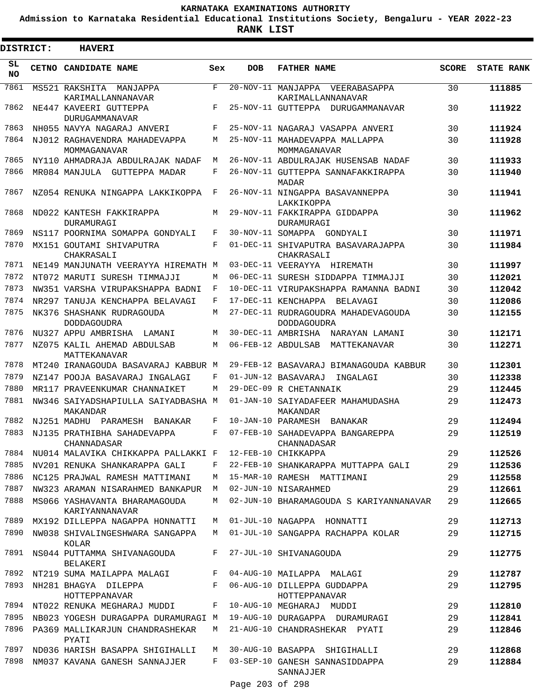**Admission to Karnataka Residential Educational Institutions Society, Bengaluru - YEAR 2022-23**

**RANK LIST**

| DISTRICT:       | <b>HAVERI</b>                                                                     |            |                 |                                                            |              |                   |
|-----------------|-----------------------------------------------------------------------------------|------------|-----------------|------------------------------------------------------------|--------------|-------------------|
| SL<br><b>NO</b> | CETNO CANDIDATE NAME                                                              | Sex        | <b>DOB</b>      | <b>FATHER NAME</b>                                         | <b>SCORE</b> | <b>STATE RANK</b> |
| 7861            | MS521 RAKSHITA<br>MANJAPPA<br>KARIMALLANNANAVAR                                   | F          |                 | 20-NOV-11 MANJAPPA<br>VEERABASAPPA<br>KARIMALLANNANAVAR    | 30           | 111885            |
| 7862            | NE447 KAVEERI GUTTEPPA<br>DURUGAMMANAVAR                                          | F          |                 | 25-NOV-11 GUTTEPPA DURUGAMMANAVAR                          | 30           | 111922            |
| 7863            | NH055 NAVYA NAGARAJ ANVERI                                                        | F          |                 | 25-NOV-11 NAGARAJ VASAPPA ANVERI                           | 30           | 111924            |
| 7864            | NJ012 RAGHAVENDRA MAHADEVAPPA<br>MOMMAGANAVAR                                     | M          |                 | 25-NOV-11 MAHADEVAPPA MALLAPPA<br>MOMMAGANAVAR             | 30           | 111928            |
| 7865            | NY110 AHMADRAJA ABDULRAJAK NADAF                                                  | M          |                 | 26-NOV-11 ABDULRAJAK HUSENSAB NADAF                        | 30           | 111933            |
| 7866            | MR084 MANJULA GUTTEPPA MADAR                                                      | F          |                 | 26-NOV-11 GUTTEPPA SANNAFAKKIRAPPA<br><b>MADAR</b>         | 30           | 111940            |
| 7867            | NZ054 RENUKA NINGAPPA LAKKIKOPPA                                                  | F          |                 | 26-NOV-11 NINGAPPA BASAVANNEPPA<br>LAKKIKOPPA              | 30           | 111941            |
| 7868            | ND022 KANTESH FAKKIRAPPA<br>DURAMURAGI                                            | М          |                 | 29-NOV-11 FAKKIRAPPA GIDDAPPA<br><b>DURAMURAGI</b>         | 30           | 111962            |
| 7869            | NS117 POORNIMA SOMAPPA GONDYALI                                                   | F          |                 | 30-NOV-11 SOMAPPA GONDYALI                                 | 30           | 111971            |
| 7870            | MX151 GOUTAMI SHIVAPUTRA<br>CHAKRASALI                                            | $_{\rm F}$ |                 | 01-DEC-11 SHIVAPUTRA BASAVARAJAPPA<br>CHAKRASALI           | 30           | 111984            |
| 7871            | NE149 MANJUNATH VEERAYYA HIREMATH M                                               |            |                 | 03-DEC-11 VEERAYYA HIREMATH                                | 30           | 111997            |
| 7872            | NT072 MARUTI SURESH TIMMAJJI                                                      | M          |                 | 06-DEC-11 SURESH SIDDAPPA TIMMAJJI                         | 30           | 112021            |
| 7873            | NW351 VARSHA VIRUPAKSHAPPA BADNI                                                  | F          |                 | 10-DEC-11 VIRUPAKSHAPPA RAMANNA BADNI                      | 30           | 112042            |
| 7874            | NR297 TANUJA KENCHAPPA BELAVAGI                                                   | F          |                 | 17-DEC-11 KENCHAPPA BELAVAGI                               | 30           | 112086            |
| 7875            | NK376 SHASHANK RUDRAGOUDA<br><b>DODDAGOUDRA</b>                                   | М          |                 | 27-DEC-11 RUDRAGOUDRA MAHADEVAGOUDA<br><b>DODDAGOUDRA</b>  | 30           | 112155            |
| 7876            | NU327 APPU AMBRISHA LAMANI                                                        | М          |                 | 30-DEC-11 AMBRISHA<br>NARAYAN LAMANI                       | 30           | 112171            |
| 7877            | NZ075 KALIL AHEMAD ABDULSAB<br>MATTEKANAVAR                                       | M          |                 | 06-FEB-12 ABDULSAB<br>MATTEKANAVAR                         | 30           | 112271            |
| 7878            | MT240 IRANAGOUDA BASAVARAJ KABBUR M                                               |            |                 | 29-FEB-12 BASAVARAJ BIMANAGOUDA KABBUR                     | 30           | 112301            |
| 7879            | NZ147 POOJA BASAVARAJ INGALAGI                                                    | F          |                 | 01-JUN-12 BASAVARAJ<br>INGALAGI                            | 30           | 112338            |
| 7880            | MR117 PRAVEENKUMAR CHANNAIKET                                                     | M          |                 | 29-DEC-09 R CHETANNAIK                                     | 29           | 112445            |
| 7881<br>7882    | NW346 SAIYADSHAPIULLA SAIYADBASHA M<br>MAKANDAR                                   | F          |                 | 01-JAN-10 SAIYADAFEER MAHAMUDASHA<br>MAKANDAR              | 29           | 112473            |
| 7883            | NJ251 MADHU<br>PARAMESH<br><b>BANAKAR</b>                                         | F          |                 | 10-JAN-10 PARAMESH<br>BANAKAR                              | 29           | 112494            |
| 7884            | NJ135 PRATHIBHA SAHADEVAPPA<br>CHANNADASAR<br>NU014 MALAVIKA CHIKKAPPA PALLAKKI F |            |                 | 07-FEB-10 SAHADEVAPPA BANGAREPPA<br>CHANNADASAR            | 29           | 112519<br>112526  |
| 7885            | NV201 RENUKA SHANKARAPPA GALI                                                     | F          |                 | 12-FEB-10 CHIKKAPPA<br>22-FEB-10 SHANKARAPPA MUTTAPPA GALI | 29           | 112536            |
| 7886            | NC125 PRAJWAL RAMESH MATTIMANI                                                    | М          |                 | 15-MAR-10 RAMESH MATTIMANI                                 | 29           |                   |
| 7887            | NW323 ARAMAN NISARAHMED BANKAPUR                                                  | M          |                 | 02-JUN-10 NISARAHMED                                       | 29<br>29     | 112558<br>112661  |
| 7888            | MS066 YASHAVANTA BHARAMAGOUDA<br>KARIYANNANAVAR                                   | М          |                 | 02-JUN-10 BHARAMAGOUDA S KARIYANNANAVAR                    | 29           | 112665            |
| 7889            | MX192 DILLEPPA NAGAPPA HONNATTI                                                   | M          |                 | 01-JUL-10 NAGAPPA HONNATTI                                 | 29           | 112713            |
| 7890            | NW038 SHIVALINGESHWARA SANGAPPA<br>KOLAR                                          | M          |                 | 01-JUL-10 SANGAPPA RACHAPPA KOLAR                          | 29           | 112715            |
| 7891            | NS044 PUTTAMMA SHIVANAGOUDA<br><b>BELAKERI</b>                                    | F          |                 | 27-JUL-10 SHIVANAGOUDA                                     | 29           | 112775            |
|                 | 7892 NT219 SUMA MAILAPPA MALAGI                                                   | F          |                 | 04-AUG-10 MAILAPPA MALAGI                                  | 29           | 112787            |
| 7893            | NH281 BHAGYA DILEPPA<br>HOTTEPPANAVAR                                             | F          |                 | 06-AUG-10 DILLEPPA GUDDAPPA<br>HOTTEPPANAVAR               | 29           | 112795            |
|                 | 7894 NT022 RENUKA MEGHARAJ MUDDI                                                  | F          |                 | 10-AUG-10 MEGHARAJ MUDDI                                   | 29           | 112810            |
| 7895            | NB023 YOGESH DURAGAPPA DURAMURAGI M                                               |            |                 | 19-AUG-10 DURAGAPPA DURAMURAGI                             | 29           | 112841            |
| 7896            | PA369 MALLIKARJUN CHANDRASHEKAR<br>PYATI                                          | M          |                 | 21-AUG-10 CHANDRASHEKAR PYATI                              | 29           | 112846            |
| 7897            | ND036 HARISH BASAPPA SHIGIHALLI                                                   | M          |                 | 30-AUG-10 BASAPPA SHIGIHALLI                               | 29           | 112868            |
| 7898            | NM037 KAVANA GANESH SANNAJJER                                                     | F          |                 | 03-SEP-10 GANESH SANNASIDDAPPA<br>SANNAJJER                | 29           | 112884            |
|                 |                                                                                   |            | Page 203 of 298 |                                                            |              |                   |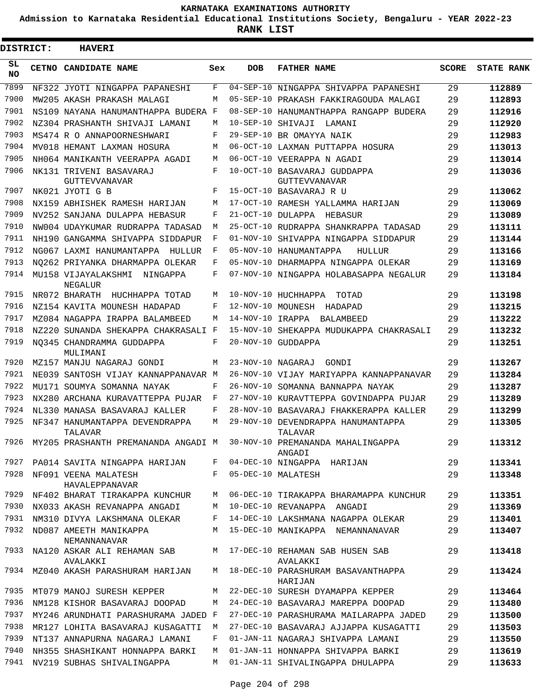**Admission to Karnataka Residential Educational Institutions Society, Bengaluru - YEAR 2022-23**

ı

| <b>DISTRICT:</b> | <b>HAVERI</b>                                                         |     |                   |                                               |              |                   |
|------------------|-----------------------------------------------------------------------|-----|-------------------|-----------------------------------------------|--------------|-------------------|
| SL<br><b>NO</b>  | CETNO CANDIDATE NAME                                                  | Sex | <b>DOB</b>        | <b>FATHER NAME</b>                            | <b>SCORE</b> | <b>STATE RANK</b> |
| 7899             | NF322 JYOTI NINGAPPA PAPANESHI                                        | F   | $04 - SEP - 10$   | NINGAPPA SHIVAPPA PAPANESHI                   | 29           | 112889            |
| 7900             | MW205 AKASH PRAKASH MALAGI                                            | М   |                   | 05-SEP-10 PRAKASH FAKKIRAGOUDA MALAGI         | 29           | 112893            |
| 7901             | NS109 NAYANA HANUMANTHAPPA BUDERA F                                   |     | 08-SEP-10         | HANUMANTHAPPA RANGAPP BUDERA                  | 29           | 112916            |
| 7902             | NZ304 PRASHANTH SHIVAJI LAMANI                                        | М   | $10 - SEP - 10$   | SHIVAJI LAMANI                                | 29           | 112920            |
| 7903             | MS474 R O ANNAPOORNESHWARI                                            | F   |                   | 29-SEP-10 BR OMAYYA NAIK                      | 29           | 112983            |
| 7904             | MV018 HEMANT LAXMAN HOSURA                                            | М   |                   | 06-OCT-10 LAXMAN PUTTAPPA HOSURA              | 29           | 113013            |
| 7905             | NH064 MANIKANTH VEERAPPA AGADI                                        | М   |                   | 06-OCT-10 VEERAPPA N AGADI                    | 29           | 113014            |
| 7906             | NK131 TRIVENI BASAVARAJ<br><b>GUTTEVVANAVAR</b>                       | F   |                   | 10-OCT-10 BASAVARAJ GUDDAPPA<br>GUTTEVVANAVAR | 29           | 113036            |
| 7907             | NK021 JYOTI G B                                                       | F   |                   | 15-OCT-10 BASAVARAJ R U                       | 29           | 113062            |
| 7908             | NX159 ABHISHEK RAMESH HARIJAN                                         | M   |                   | 17-OCT-10 RAMESH YALLAMMA HARIJAN             | 29           | 113069            |
| 7909             | NV252 SANJANA DULAPPA HEBASUR                                         | F   |                   | 21-OCT-10 DULAPPA HEBASUR                     | 29           | 113089            |
| 7910             | NW004 UDAYKUMAR RUDRAPPA TADASAD                                      | М   |                   | 25-OCT-10 RUDRAPPA SHANKRAPPA TADASAD         | 29           | 113111            |
| 7911             | NH190 GANGAMMA SHIVAPPA SIDDAPUR                                      | F   | $01 - NOV - 10$   | SHIVAPPA NINGAPPA SIDDAPUR                    | 29           | 113144            |
| 7912             | NG067 LAXMI HANUMANTAPPA HULLUR                                       | F   |                   | 05-NOV-10 HANUMANTAPPA<br>HULLUR              | 29           | 113166            |
| 7913             | NO262 PRIYANKA DHARMAPPA OLEKAR                                       | F   |                   | 05-NOV-10 DHARMAPPA NINGAPPA OLEKAR           | 29           | 113169            |
| 7914             | MU158 VIJAYALAKSHMI<br>NINGAPPA<br>NEGALUR                            | F   |                   | 07-NOV-10 NINGAPPA HOLABASAPPA NEGALUR        | 29           | 113184            |
| 7915             | NR072 BHARATH HUCHHAPPA TOTAD                                         | M   |                   | 10-NOV-10 HUCHHAPPA TOTAD                     | 29           | 113198            |
| 7916             | NZ154 KAVITA MOUNESH HADAPAD                                          | F   |                   | 12-NOV-10 MOUNESH HADAPAD                     | 29           | 113215            |
| 7917             | MZ084 NAGAPPA IRAPPA BALAMBEED                                        | M   | 14-NOV-10 IRAPPA  | BALAMBEED                                     | 29           | 113222            |
| 7918             | NZ220 SUNANDA SHEKAPPA CHAKRASALI F                                   |     |                   | 15-NOV-10 SHEKAPPA MUDUKAPPA CHAKRASALI       | 29           | 113232            |
| 7919             | NO345 CHANDRAMMA GUDDAPPA<br>MULIMANI                                 | F   |                   | 20-NOV-10 GUDDAPPA                            | 29           | 113251            |
| 7920             | MZ157 MANJU NAGARAJ GONDI                                             | M   | 23-NOV-10 NAGARAJ | GONDI                                         | 29           | 113267            |
| 7921             | NE039 SANTOSH VIJAY KANNAPPANAVAR M                                   |     |                   | 26-NOV-10 VIJAY MARIYAPPA KANNAPPANAVAR       | 29           | 113284            |
| 7922             | MU171 SOUMYA SOMANNA NAYAK                                            | F   | $26-NOV-10$       | SOMANNA BANNAPPA NAYAK                        | 29           | 113287            |
| 7923             | NX280 ARCHANA KURAVATTEPPA PUJAR                                      | F   |                   | 27-NOV-10 KURAVTTEPPA GOVINDAPPA PUJAR        | 29           | 113289            |
| 7924             | NL330 MANASA BASAVARAJ KALLER                                         | F   |                   | 28-NOV-10 BASAVARAJ FHAKKERAPPA KALLER        | 29           | 113299            |
| 7925             | NF347 HANUMANTAPPA DEVENDRAPPA<br>TALAVAR                             | М   |                   | 29-NOV-10 DEVENDRAPPA HANUMANTAPPA<br>TALAVAR | 29           | 113305            |
| 7926             | MY205 PRASHANTH PREMANANDA ANGADI M 30-NOV-10 PREMANANDA MAHALINGAPPA |     |                   | ANGADI                                        | 29           | 113312            |
| 7927             | PA014 SAVITA NINGAPPA HARIJAN                                         | F   |                   | 04-DEC-10 NINGAPPA HARIJAN                    | 29           | 113341            |
| 7928             | NF091 VEENA MALATESH<br>HAVALEPPANAVAR                                | F   |                   | 05-DEC-10 MALATESH                            | 29           | 113348            |
| 7929             | NF402 BHARAT TIRAKAPPA KUNCHUR                                        | M   |                   | 06-DEC-10 TIRAKAPPA BHARAMAPPA KUNCHUR        | 29           | 113351            |
| 7930             | NX033 AKASH REVANAPPA ANGADI                                          | М   |                   | 10-DEC-10 REVANAPPA ANGADI                    | 29           | 113369            |
| 7931             | NM310 DIVYA LAKSHMANA OLEKAR                                          | F   |                   | 14-DEC-10 LAKSHMANA NAGAPPA OLEKAR            | 29           | 113401            |
| 7932             | ND087 AMEETH MANIKAPPA<br>NEMANNANAVAR                                | M   |                   | 15-DEC-10 MANIKAPPA NEMANNANAVAR              | 29           | 113407            |
| 7933             | NA120 ASKAR ALI REHAMAN SAB<br>AVALAKKI                               | M   |                   | 17-DEC-10 REHAMAN SAB HUSEN SAB<br>AVALAKKI   | 29           | 113418            |
| 7934             | MZ040 AKASH PARASHURAM HARIJAN                                        | М   |                   | 18-DEC-10 PARASHURAM BASAVANTHAPPA<br>HARIJAN | 29           | 113424            |
| 7935             | MT079 MANOJ SURESH KEPPER                                             | М   |                   | 22-DEC-10 SURESH DYAMAPPA KEPPER              | 29           | 113464            |
| 7936             | NM128 KISHOR BASAVARAJ DOOPAD                                         | М   |                   | 24-DEC-10 BASAVARAJ MAREPPA DOOPAD            | 29           | 113480            |
| 7937             | MY246 ARUNDHATI PARASHURAMA JADED F                                   |     |                   | 27-DEC-10 PARASHURAMA MAILARAPPA JADED        | 29           | 113500            |
| 7938             | MR127 LOHITA BASAVARAJ KUSAGATTI                                      | М   |                   | 27-DEC-10 BASAVARAJ AJJAPPA KUSAGATTI         | 29           | 113503            |
| 7939             | NT137 ANNAPURNA NAGARAJ LAMANI                                        | F   |                   | 01-JAN-11 NAGARAJ SHIVAPPA LAMANI             | 29           | 113550            |
| 7940             | NH355 SHASHIKANT HONNAPPA BARKI                                       | M   |                   | 01-JAN-11 HONNAPPA SHIVAPPA BARKI             | 29           | 113619            |
| 7941             | NV219 SUBHAS SHIVALINGAPPA                                            | M   |                   | 01-JAN-11 SHIVALINGAPPA DHULAPPA              | 29           | 113633            |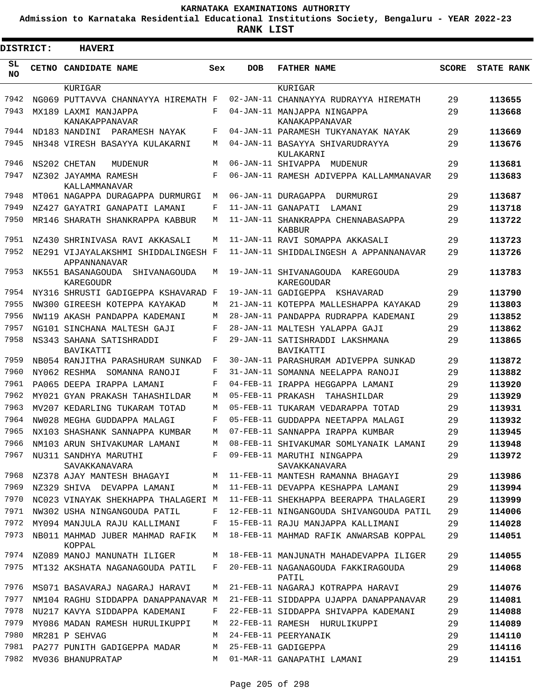**Admission to Karnataka Residential Educational Institutions Society, Bengaluru - YEAR 2022-23**

| <b>DISTRICT:</b> | <b>HAVERI</b>                                       |     |                   |                                                     |              |                   |
|------------------|-----------------------------------------------------|-----|-------------------|-----------------------------------------------------|--------------|-------------------|
| SL<br><b>NO</b>  | CETNO CANDIDATE NAME                                | Sex | <b>DOB</b>        | <b>FATHER NAME</b>                                  | <b>SCORE</b> | <b>STATE RANK</b> |
|                  | KURIGAR                                             |     |                   | KURIGAR                                             |              |                   |
| 7942             | NG069 PUTTAVVA CHANNAYYA HIREMATH F                 |     |                   | 02-JAN-11 CHANNAYYA RUDRAYYA HIREMATH               | 29           | 113655            |
| 7943             | MX189 LAXMI MANJAPPA<br>KANAKAPPANAVAR              | F   |                   | 04-JAN-11 MANJAPPA NINGAPPA<br>KANAKAPPANAVAR       | 29           | 113668            |
| 7944             | ND183 NANDINI<br>PARAMESH NAYAK                     | F   |                   | 04-JAN-11 PARAMESH TUKYANAYAK NAYAK                 | 29           | 113669            |
| 7945             | NH348 VIRESH BASAYYA KULAKARNI                      | M   |                   | 04-JAN-11 BASAYYA SHIVARUDRAYYA<br>KULAKARNI        | 29           | 113676            |
| 7946             | NS202 CHETAN<br>MUDENUR                             | M   |                   | 06-JAN-11 SHIVAPPA<br>MUDENUR                       | 29           | 113681            |
| 7947             | NZ302 JAYAMMA RAMESH<br>KALLAMMANAVAR               | F   |                   | 06-JAN-11 RAMESH ADIVEPPA KALLAMMANAVAR             | 29           | 113683            |
| 7948             | MT061 NAGAPPA DURAGAPPA DURMURGI                    | M   |                   | 06-JAN-11 DURAGAPPA<br>DURMURGI                     | 29           | 113687            |
| 7949             | NZ427 GAYATRI GANAPATI LAMANI                       | F   |                   | 11-JAN-11 GANAPATI<br>LAMANI                        | 29           | 113718            |
| 7950             | MR146 SHARATH SHANKRAPPA KABBUR                     | М   |                   | 11-JAN-11 SHANKRAPPA CHENNABASAPPA<br><b>KABBUR</b> | 29           | 113722            |
| 7951             | NZ430 SHRINIVASA RAVI AKKASALI                      | М   |                   | 11-JAN-11 RAVI SOMAPPA AKKASALI                     | 29           | 113723            |
| 7952             | NE291 VIJAYALAKSHMI SHIDDALINGESH F<br>APPANNANAVAR |     |                   | 11-JAN-11 SHIDDALINGESH A APPANNANAVAR              | 29           | 113726            |
| 7953             | NK551 BASANAGOUDA<br>SHIVANAGOUDA<br>KAREGOUDR      | М   |                   | 19-JAN-11 SHIVANAGOUDA<br>KAREGOUDA<br>KAREGOUDAR   | 29           | 113783            |
| 7954             | NY316 SHRUSTI GADIGEPPA KSHAVARAD F                 |     |                   | 19-JAN-11 GADIGEPPA KSHAVARAD                       | 29           | 113790            |
| 7955             | NW300 GIREESH KOTEPPA KAYAKAD                       | М   |                   | 21-JAN-11 KOTEPPA MALLESHAPPA KAYAKAD               | 29           | 113803            |
| 7956             | NW119 AKASH PANDAPPA KADEMANI                       | М   |                   | 28-JAN-11 PANDAPPA RUDRAPPA KADEMANI                | 29           | 113852            |
| 7957             | NG101 SINCHANA MALTESH GAJI                         | F   |                   | 28-JAN-11 MALTESH YALAPPA GAJI                      | 29           | 113862            |
| 7958             | NS343 SAHANA SATISHRADDI<br>BAVIKATTI               | F   |                   | 29-JAN-11 SATISHRADDI LAKSHMANA<br>BAVIKATTI        | 29           | 113865            |
| 7959             | NB054 RANJITHA PARASHURAM SUNKAD                    | F   |                   | 30-JAN-11 PARASHURAM ADIVEPPA SUNKAD                | 29           | 113872            |
| 7960             | NY062 RESHMA SOMANNA RANOJI                         | F   |                   | 31-JAN-11 SOMANNA NEELAPPA RANOJI                   | 29           | 113882            |
| 7961             | PA065 DEEPA IRAPPA LAMANI                           | F   |                   | 04-FEB-11 IRAPPA HEGGAPPA LAMANI                    | 29           | 113920            |
| 7962             | MY021 GYAN PRAKASH TAHASHILDAR                      | M   | 05-FEB-11 PRAKASH | TAHASHILDAR                                         | 29           | 113929            |
| 7963             | MV207 KEDARLING TUKARAM TOTAD                       | M   |                   | 05-FEB-11 TUKARAM VEDARAPPA TOTAD                   | 29           | 113931            |
| 7964             | NW028 MEGHA GUDDAPPA MALAGI                         | F   |                   | 05-FEB-11 GUDDAPPA NEETAPPA MALAGI                  | 29           | 113932            |
| 7965             | NX103 SHASHANK SANNAPPA KUMBAR                      | М   |                   | 07-FEB-11 SANNAPPA IRAPPA KUMBAR                    | 29           | 113945            |
| 7966             | NM103 ARUN SHIVAKUMAR LAMANI                        | М   |                   | 08-FEB-11 SHIVAKUMAR SOMLYANAIK LAMANI              | 29           | 113948            |
| 7967             | NU311 SANDHYA MARUTHI<br>SAVAKKANAVARA              | F   |                   | 09-FEB-11 MARUTHI NINGAPPA<br>SAVAKKANAVARA         | 29           | 113972            |
| 7968             | NZ378 AJAY MANTESH BHAGAYI                          | М   |                   | 11-FEB-11 MANTESH RAMANNA BHAGAYI                   | 29           | 113986            |
| 7969             | NZ329 SHIVA DEVAPPA LAMANI                          | М   |                   | 11-FEB-11 DEVAPPA KESHAPPA LAMANI                   | 29           | 113994            |
| 7970             | NC023 VINAYAK SHEKHAPPA THALAGERI M                 |     |                   | 11-FEB-11 SHEKHAPPA BEERAPPA THALAGERI              | 29           | 113999            |
| 7971             | NW302 USHA NINGANGOUDA PATIL                        | F   |                   | 12-FEB-11 NINGANGOUDA SHIVANGOUDA PATIL             | 29           | 114006            |
| 7972             | MY094 MANJULA RAJU KALLIMANI                        | F   |                   | 15-FEB-11 RAJU MANJAPPA KALLIMANI                   | 29           | 114028            |
| 7973             | NB011 MAHMAD JUBER MAHMAD RAFIK<br>KOPPAL           | М   |                   | 18-FEB-11 MAHMAD RAFIK ANWARSAB KOPPAL              | 29           | 114051            |
| 7974             | NZ089 MANOJ MANUNATH ILIGER                         | М   |                   | 18-FEB-11 MANJUNATH MAHADEVAPPA ILIGER              | 29           | 114055            |
| 7975             | MT132 AKSHATA NAGANAGOUDA PATIL                     | F   |                   | 20-FEB-11 NAGANAGOUDA FAKKIRAGOUDA<br>PATIL         | 29           | 114068            |
| 7976             | MS071 BASAVARAJ NAGARAJ HARAVI                      | М   |                   | 21-FEB-11 NAGARAJ KOTRAPPA HARAVI                   | 29           | 114076            |
| 7977             | NM104 RAGHU SIDDAPPA DANAPPANAVAR M                 |     |                   | 21-FEB-11 SIDDAPPA UJAPPA DANAPPANAVAR              | 29           | 114081            |
| 7978             | NU217 KAVYA SIDDAPPA KADEMANI                       | F   |                   | 22-FEB-11 SIDDAPPA SHIVAPPA KADEMANI                | 29           | 114088            |
| 7979             | MY086 MADAN RAMESH HURULIKUPPI                      | M   |                   | 22-FEB-11 RAMESH HURULIKUPPI                        | 29           | 114089            |
| 7980             | MR281 P SEHVAG                                      | М   |                   | 24-FEB-11 PEERYANAIK                                | 29           | 114110            |
| 7981             | PA277 PUNITH GADIGEPPA MADAR                        | M   |                   | 25-FEB-11 GADIGEPPA                                 | 29           | 114116            |
| 7982             | MV036 BHANUPRATAP                                   | М   |                   | 01-MAR-11 GANAPATHI LAMANI                          | 29           | 114151            |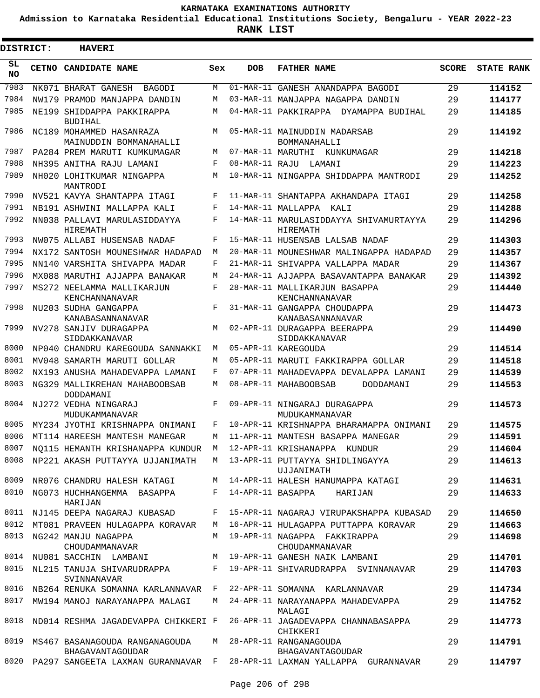**Admission to Karnataka Residential Educational Institutions Society, Bengaluru - YEAR 2022-23**

| <b>DISTRICT:</b> | <b>HAVERI</b>                                      |     |            |                                                                                     |              |                   |
|------------------|----------------------------------------------------|-----|------------|-------------------------------------------------------------------------------------|--------------|-------------------|
| SL<br><b>NO</b>  | CETNO CANDIDATE NAME                               | Sex | <b>DOB</b> | <b>FATHER NAME</b>                                                                  | <b>SCORE</b> | <b>STATE RANK</b> |
| 7983             | NK071 BHARAT GANESH<br>BAGODI                      | М   |            | 01-MAR-11 GANESH ANANDAPPA BAGODI                                                   | 29           | 114152            |
| 7984             | NW179 PRAMOD MANJAPPA DANDIN                       | М   |            | 03-MAR-11 MANJAPPA NAGAPPA DANDIN                                                   | 29           | 114177            |
| 7985             | NE199 SHIDDAPPA PAKKIRAPPA<br><b>BUDIHAL</b>       | М   |            | 04-MAR-11 PAKKIRAPPA DYAMAPPA BUDIHAL                                               | 29           | 114185            |
| 7986             | NC189 MOHAMMED HASANRAZA<br>MAINUDDIN BOMMANAHALLI | M   |            | 05-MAR-11 MAINUDDIN MADARSAB<br>BOMMANAHALLI                                        | 29           | 114192            |
| 7987             | PA284 PREM MARUTI KUMKUMAGAR                       | М   |            | 07-MAR-11 MARUTHI KUNKUMAGAR                                                        | 29           | 114218            |
| 7988             | NH395 ANITHA RAJU LAMANI                           | F   |            | 08-MAR-11 RAJU LAMANI                                                               | 29           | 114223            |
| 7989             | NH020 LOHITKUMAR NINGAPPA<br>MANTRODI              | М   |            | 10-MAR-11 NINGAPPA SHIDDAPPA MANTRODI                                               | 29           | 114252            |
| 7990             | NV521 KAVYA SHANTAPPA ITAGI                        | F   |            | 11-MAR-11 SHANTAPPA AKHANDAPA ITAGI                                                 | 29           | 114258            |
| 7991             | NB191 ASHWINI MALLAPPA KALI                        | F   |            | 14-MAR-11 MALLAPPA KALI                                                             | 29           | 114288            |
| 7992             | NN038 PALLAVI MARULASIDDAYYA<br><b>HIREMATH</b>    | F   |            | 14-MAR-11 MARULASIDDAYYA SHIVAMURTAYYA<br>HIREMATH                                  | 29           | 114296            |
| 7993             | NW075 ALLABI HUSENSAB NADAF                        | F   |            | 15-MAR-11 HUSENSAB LALSAB NADAF                                                     | 29           | 114303            |
| 7994             | NX172 SANTOSH MOUNESHWAR HADAPAD                   | М   |            | 20-MAR-11 MOUNESHWAR MALINGAPPA HADAPAD                                             | 29           | 114357            |
| 7995             | NN140 VARSHITA SHIVAPPA MADAR                      | F   |            | 21-MAR-11 SHIVAPPA VALLAPPA MADAR                                                   | 29           | 114367            |
| 7996             | MX088 MARUTHI AJJAPPA BANAKAR                      | М   |            | 24-MAR-11 AJJAPPA BASAVANTAPPA BANAKAR                                              | 29           | 114392            |
| 7997             | MS272 NEELAMMA MALLIKARJUN<br>KENCHANNANAVAR       | F   |            | 28-MAR-11 MALLIKARJUN BASAPPA<br>KENCHANNANAVAR                                     | 29           | 114440            |
| 7998             | NU203 SUDHA GANGAPPA<br>KANABASANNANAVAR           | F   |            | 31-MAR-11 GANGAPPA CHOUDAPPA<br>KANABASANNANAVAR                                    | 29           | 114473            |
| 7999             | NV278 SANJIV DURAGAPPA<br>SIDDAKKANAVAR            | М   |            | 02-APR-11 DURAGAPPA BEERAPPA<br>SIDDAKKANAVAR                                       | 29           | 114490            |
| 8000             | NP040 CHANDRU KAREGOUDA SANNAKKI                   | М   |            | 05-APR-11 KAREGOUDA                                                                 | 29           | 114514            |
| 8001             | MV048 SAMARTH MARUTI GOLLAR                        | М   |            | 05-APR-11 MARUTI FAKKIRAPPA GOLLAR                                                  | 29           | 114518            |
| 8002             | NX193 ANUSHA MAHADEVAPPA LAMANI                    | F   |            | 07-APR-11 MAHADEVAPPA DEVALAPPA LAMANI                                              | 29           | 114539            |
| 8003             | NG329 MALLIKREHAN MAHABOOBSAB<br>DODDAMANI         | М   |            | 08-APR-11 MAHABOOBSAB<br>DODDAMANI                                                  | 29           | 114553            |
| 8004             | NJ272 VEDHA NINGARAJ<br>MUDUKAMMANAVAR             | F   |            | 09-APR-11 NINGARAJ DURAGAPPA<br>MUDUKAMMANAVAR                                      | 29           | 114573            |
| 8005             | MY234 JYOTHI KRISHNAPPA ONIMANI                    | F   |            | 10-APR-11 KRISHNAPPA BHARAMAPPA ONIMANI                                             | 29           | 114575            |
| 8006             | MT114 HAREESH MANTESH MANEGAR                      | M   |            | 11-APR-11 MANTESH BASAPPA MANEGAR                                                   | 2.9          | 114591            |
| 8007             | NO115 HEMANTH KRISHANAPPA KUNDUR M                 |     |            | 12-APR-11 KRISHANAPPA KUNDUR                                                        | 29           | 114604            |
| 8008             | NP221 AKASH PUTTAYYA UJJANIMATH                    |     |            | M 13-APR-11 PUTTAYYA SHIDLINGAYYA<br>UJJANIMATH                                     | 29           | 114613            |
| 8009             | NR076 CHANDRU HALESH KATAGI                        |     |            | M 14-APR-11 HALESH HANUMAPPA KATAGI                                                 | 29           | 114631            |
| 8010             | NG073 HUCHHANGEMMA BASAPPA<br>HARIJAN              |     |            | F 14-APR-11 BASAPPA HARIJAN                                                         | 29           | 114633            |
|                  | 8011 NJ145 DEEPA NAGARAJ KUBASAD                   | F   |            | 15-APR-11 NAGARAJ VIRUPAKSHAPPA KUBASAD                                             | 29           | 114650            |
| 8012             | MT081 PRAVEEN HULAGAPPA KORAVAR                    | M   |            | 16-APR-11 HULAGAPPA PUTTAPPA KORAVAR                                                | 29           | 114663            |
| 8013             | NG242 MANJU NAGAPPA<br>CHOUDAMMANAVAR              |     |            | M 19-APR-11 NAGAPPA FAKKIRAPPA<br>CHOUDAMMANAVAR                                    | 29           | 114698            |
|                  | 8014 NU081 SACCHIN LAMBANI                         |     |            | M 19-APR-11 GANESH NAIK LAMBANI                                                     | 29           | 114701            |
| 8015             | NL215 TANUJA SHIVARUDRAPPA<br>SVINNANAVAR          |     |            | F 19-APR-11 SHIVARUDRAPPA SVINNANAVAR                                               | 29           | 114703            |
|                  | 8016 NB264 RENUKA SOMANNA KARLANNAVAR F            |     |            | 22-APR-11 SOMANNA KARLANNAVAR                                                       | 29           | 114734            |
| 8017             | MW194 MANOJ NARAYANAPPA MALAGI                     | M   |            | 24-APR-11 NARAYANAPPA MAHADEVAPPA<br>MALAGI                                         | 29           | 114752            |
| 8018             |                                                    |     |            | ND014 RESHMA JAGADEVAPPA CHIKKERI F 26-APR-11 JAGADEVAPPA CHANNABASAPPA<br>CHIKKERI | 29           | 114773            |
| 8019             | MS467 BASANAGOUDA RANGANAGOUDA<br>BHAGAVANTAGOUDAR |     |            | M 28-APR-11 RANGANAGOUDA<br>BHAGAVANTAGOUDAR                                        | 29           | 114791            |
|                  | 8020 PA297 SANGEETA LAXMAN GURANNAVAR F            |     |            | 28-APR-11 LAXMAN YALLAPPA GURANNAVAR                                                | 29           | 114797            |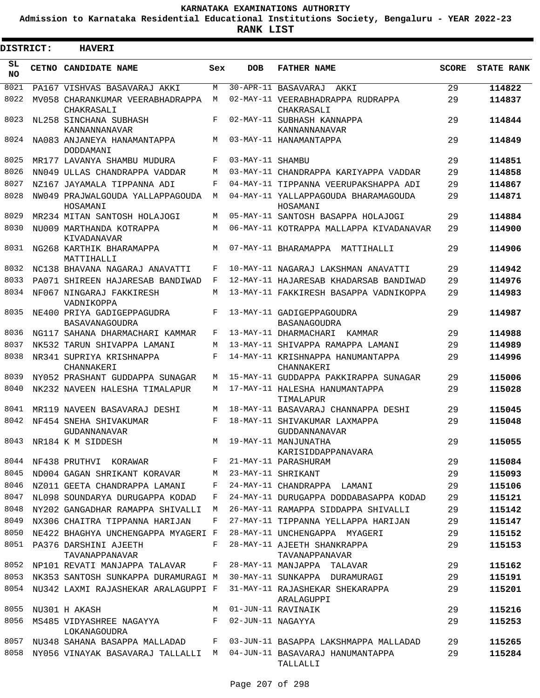**Admission to Karnataka Residential Educational Institutions Society, Bengaluru - YEAR 2022-23**

ı

| DISTRICT:       | <b>HAVERI</b>                                                       |     |                   |                                                  |              |                   |
|-----------------|---------------------------------------------------------------------|-----|-------------------|--------------------------------------------------|--------------|-------------------|
| SL<br><b>NO</b> | CETNO CANDIDATE NAME                                                | Sex | <b>DOB</b>        | <b>FATHER NAME</b>                               | <b>SCORE</b> | <b>STATE RANK</b> |
| 8021            | PA167 VISHVAS BASAVARAJ AKKI                                        | M   |                   | 30-APR-11 BASAVARAJ AKKI                         | 29           | 114822            |
| 8022            | MV058 CHARANKUMAR VEERABHADRAPPA<br>CHAKRASALI                      | M   |                   | 02-MAY-11 VEERABHADRAPPA RUDRAPPA<br>CHAKRASALI  | 29           | 114837            |
| 8023            | NL258 SINCHANA SUBHASH<br>KANNANNANAVAR                             | F   |                   | 02-MAY-11 SUBHASH KANNAPPA<br>KANNANNANAVAR      | 29           | 114844            |
| 8024            | NA083 ANJANEYA HANAMANTAPPA<br>DODDAMANI                            | M   |                   | 03-MAY-11 HANAMANTAPPA                           | 29           | 114849            |
| 8025            | MR177 LAVANYA SHAMBU MUDURA                                         | F   | 03-MAY-11 SHAMBU  |                                                  | 29           | 114851            |
| 8026            | NN049 ULLAS CHANDRAPPA VADDAR                                       | M   |                   | 03-MAY-11 CHANDRAPPA KARIYAPPA VADDAR            | 29           | 114858            |
| 8027            | NZ167 JAYAMALA TIPPANNA ADI                                         | F   |                   | 04-MAY-11 TIPPANNA VEERUPAKSHAPPA ADI            | 29           | 114867            |
| 8028            | NW049 PRAJWALGOUDA YALLAPPAGOUDA<br>HOSAMANI                        | M   |                   | 04-MAY-11 YALLAPPAGOUDA BHARAMAGOUDA<br>HOSAMANI | 29           | 114871            |
| 8029            | MR234 MITAN SANTOSH HOLAJOGI                                        | M   |                   | 05-MAY-11 SANTOSH BASAPPA HOLAJOGI               | 29           | 114884            |
| 8030            | NU009 MARTHANDA KOTRAPPA<br>KIVADANAVAR                             | M   |                   | 06-MAY-11 KOTRAPPA MALLAPPA KIVADANAVAR          | 29           | 114900            |
| 8031            | NG268 KARTHIK BHARAMAPPA<br>MATTIHALLI                              | M   |                   | 07-MAY-11 BHARAMAPPA MATTIHALLI                  | 29           | 114906            |
| 8032            | NC138 BHAVANA NAGARAJ ANAVATTI                                      | F   |                   | 10-MAY-11 NAGARAJ LAKSHMAN ANAVATTI              | 29           | 114942            |
| 8033            | PA071 SHIREEN HAJARESAB BANDIWAD                                    | F   |                   | 12-MAY-11 HAJARESAB KHADARSAB BANDIWAD           | 29           | 114976            |
| 8034            | NF067 NINGARAJ FAKKIRESH<br>VADNIKOPPA                              | M   |                   | 13-MAY-11 FAKKIRESH BASAPPA VADNIKOPPA           | 29           | 114983            |
| 8035            | NE400 PRIYA GADIGEPPAGUDRA<br>BASAVANAGOUDRA                        | F   |                   | 13-MAY-11 GADIGEPPAGOUDRA<br>BASANAGOUDRA        | 29           | 114987            |
| 8036            | NG117 SAHANA DHARMACHARI KAMMAR                                     | F   |                   | 13-MAY-11 DHARMACHARI KAMMAR                     | 29           | 114988            |
| 8037            | NK532 TARUN SHIVAPPA LAMANI                                         | M   |                   | 13-MAY-11 SHIVAPPA RAMAPPA LAMANI                | 29           | 114989            |
| 8038            | NR341 SUPRIYA KRISHNAPPA<br>CHANNAKERI                              | F   |                   | 14-MAY-11 KRISHNAPPA HANUMANTAPPA<br>CHANNAKERI  | 29           | 114996            |
| 8039            | NY052 PRASHANT GUDDAPPA SUNAGAR                                     | M   |                   | 15-MAY-11 GUDDAPPA PAKKIRAPPA SUNAGAR            | 29           | 115006            |
| 8040            | NK232 NAVEEN HALESHA TIMALAPUR                                      | M   |                   | 17-MAY-11 HALESHA HANUMANTAPPA<br>TIMALAPUR      | 29           | 115028            |
| 8041            | MR119 NAVEEN BASAVARAJ DESHI                                        | M   |                   | 18-MAY-11 BASAVARAJ CHANNAPPA DESHI              | 29           | 115045            |
| 8042            | NF454 SNEHA SHIVAKUMAR<br><b>GUDANNANAVAR</b>                       | F   |                   | 18-MAY-11 SHIVAKUMAR LAXMAPPA<br>GUDDANNANAVAR   | 29           | 115048            |
|                 | 8043 NR184 K M SIDDESH                                              |     |                   | M 19-MAY-11 MANJUNATHA<br>KARISIDDAPPANAVARA     | 29           | 115055            |
|                 | 8044 NF438 PRUTHVI KORAWAR                                          | F   |                   | 21-MAY-11 PARASHURAM                             | 29           | 115084            |
| 8045            | ND004 GAGAN SHRIKANT KORAVAR M                                      |     |                   | 23-MAY-11 SHRIKANT                               | 29           | 115093            |
| 8046            | NZ011 GEETA CHANDRAPPA LAMANI                                       | F   |                   | 24-MAY-11 CHANDRAPPA LAMANI                      | 29           | 115106            |
| 8047            | NL098 SOUNDARYA DURUGAPPA KODAD                                     | F   |                   | 24-MAY-11 DURUGAPPA DODDABASAPPA KODAD           | 29           | 115121            |
| 8048            | NY202 GANGADHAR RAMAPPA SHIVALLI M                                  |     |                   | 26-MAY-11 RAMAPPA SIDDAPPA SHIVALLI              | 29           | 115142            |
| 8049            | NX306 CHAITRA TIPPANNA HARIJAN                                      | F   |                   | 27-MAY-11 TIPPANNA YELLAPPA HARIJAN              | 29           | 115147            |
| 8050            | NE422 BHAGHYA UNCHENGAPPA MYAGERI F                                 |     |                   | 28-MAY-11 UNCHENGAPPA MYAGERI                    | 29           | 115152            |
| 8051            | PA376 DARSHINI AJEETH<br>TAVANAPPANAVAR                             | F   |                   | 28-MAY-11 AJEETH SHANKRAPPA<br>TAVANAPPANAVAR    | 29           | 115153            |
| 8052            | NP101 REVATI MANJAPPA TALAVAR                                       | F   |                   | 28-MAY-11 MANJAPPA TALAVAR                       | 29           | 115162            |
| 8053            | NK353 SANTOSH SUNKAPPA DURAMURAGI M                                 |     |                   | 30-MAY-11 SUNKAPPA DURAMURAGI                    | 29           | 115191            |
| 8054            | NU342 LAXMI RAJASHEKAR ARALAGUPPI F                                 |     |                   | 31-MAY-11 RAJASHEKAR SHEKARAPPA<br>ARALAGUPPI    | 29           | 115201            |
| 8055            | NU301 H AKASH                                                       | M   |                   | 01-JUN-11 RAVINAIK                               | 29           | 115216            |
| 8056            | MS485 VIDYASHREE NAGAYYA F<br>LOKANAGOUDRA                          |     | 02-JUN-11 NAGAYYA |                                                  | 29           | 115253            |
| 8057            | NU348 SAHANA BASAPPA MALLADAD F                                     |     |                   | 03-JUN-11 BASAPPA LAKSHMAPPA MALLADAD            | 29           | 115265            |
| 8058            | NY056 VINAYAK BASAVARAJ TALLALLI M 04-JUN-11 BASAVARAJ HANUMANTAPPA |     |                   | TALLALLI                                         | 29           | 115284            |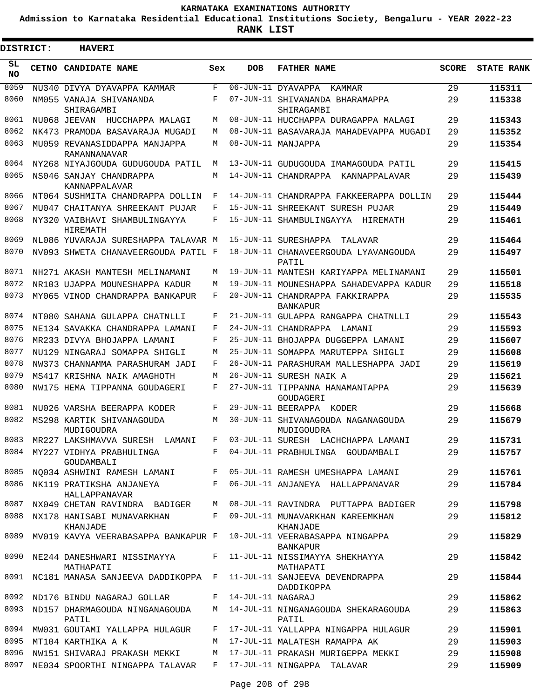**Admission to Karnataka Residential Educational Institutions Society, Bengaluru - YEAR 2022-23**

| <b>DISTRICT:</b> | <b>HAVERI</b>                                                       |         |                   |                                                    |              |                   |
|------------------|---------------------------------------------------------------------|---------|-------------------|----------------------------------------------------|--------------|-------------------|
| SL<br><b>NO</b>  | <b>CETNO CANDIDATE NAME</b>                                         | Sex     | <b>DOB</b>        | <b>FATHER NAME</b>                                 | <b>SCORE</b> | <b>STATE RANK</b> |
| 8059             | NU340 DIVYA DYAVAPPA KAMMAR                                         | F       |                   | 06-JUN-11 DYAVAPPA<br>KAMMAR                       | 29           | 115311            |
| 8060             | NM055 VANAJA SHIVANANDA<br>SHIRAGAMBI                               | F       |                   | 07-JUN-11 SHIVANANDA BHARAMAPPA<br>SHIRAGAMBI      | 29           | 115338            |
| 8061             | NU068 JEEVAN HUCCHAPPA MALAGI                                       | М       |                   | 08-JUN-11 HUCCHAPPA DURAGAPPA MALAGI               | 29           | 115343            |
| 8062             | NK473 PRAMODA BASAVARAJA MUGADI                                     | М       |                   | 08-JUN-11 BASAVARAJA MAHADEVAPPA MUGADI            | 29           | 115352            |
| 8063             | MU059 REVANASIDDAPPA MANJAPPA<br>RAMANNANAVAR                       | M       |                   | 08-JUN-11 MANJAPPA                                 | 29           | 115354            |
| 8064             | NY268 NIYAJGOUDA GUDUGOUDA PATIL                                    | М       |                   | 13-JUN-11 GUDUGOUDA IMAMAGOUDA PATIL               | 29           | 115415            |
| 8065             | NS046 SANJAY CHANDRAPPA<br>KANNAPPALAVAR                            | М       |                   | 14-JUN-11 CHANDRAPPA KANNAPPALAVAR                 | 29           | 115439            |
| 8066             | NT064 SUSHMITA CHANDRAPPA DOLLIN                                    | F       |                   | 14-JUN-11 CHANDRAPPA FAKKEERAPPA DOLLIN            | 29           | 115444            |
| 8067             | MU047 CHAITANYA SHREEKANT PUJAR                                     | F       |                   | 15-JUN-11 SHREEKANT SURESH PUJAR                   | 29           | 115449            |
| 8068             | NY320 VAIBHAVI SHAMBULINGAYYA<br>HIREMATH                           | F       |                   | 15-JUN-11 SHAMBULINGAYYA HIREMATH                  | 29           | 115461            |
| 8069             | NL086 YUVARAJA SURESHAPPA TALAVAR M                                 |         |                   | 15-JUN-11 SURESHAPPA<br>TALAVAR                    | 29           | 115464            |
| 8070             | NV093 SHWETA CHANAVEERGOUDA PATIL F                                 |         |                   | 18-JUN-11 CHANAVEERGOUDA LYAVANGOUDA<br>PATIL      | 29           | 115497            |
| 8071             | NH271 AKASH MANTESH MELINAMANI                                      | М       |                   | 19-JUN-11 MANTESH KARIYAPPA MELINAMANI             | 29           | 115501            |
| 8072             | NR103 UJAPPA MOUNESHAPPA KADUR                                      | М       |                   | 19-JUN-11 MOUNESHAPPA SAHADEVAPPA KADUR            | 29           | 115518            |
| 8073             | MY065 VINOD CHANDRAPPA BANKAPUR                                     | F       |                   | 20-JUN-11 CHANDRAPPA FAKKIRAPPA<br><b>BANKAPUR</b> | 29           | 115535            |
| 8074             | NT080 SAHANA GULAPPA CHATNLLI                                       | F       |                   | 21-JUN-11 GULAPPA RANGAPPA CHATNLLI                | 29           | 115543            |
| 8075             | NE134 SAVAKKA CHANDRAPPA LAMANI                                     | F       |                   | 24-JUN-11 CHANDRAPPA LAMANI                        | 29           | 115593            |
| 8076             | MR233 DIVYA BHOJAPPA LAMANI                                         | F       |                   | 25-JUN-11 BHOJAPPA DUGGEPPA LAMANI                 | 29           | 115607            |
| 8077             | NU129 NINGARAJ SOMAPPA SHIGLI                                       | М       |                   | 25-JUN-11 SOMAPPA MARUTEPPA SHIGLI                 | 29           | 115608            |
| 8078             | NW373 CHANNAMMA PARASHURAM JADI                                     | F       |                   | 26-JUN-11 PARASHURAM MALLESHAPPA JADI              | 29           | 115619            |
| 8079             | MS417 KRISHNA NAIK AMAGHOTH                                         | М       |                   | 26-JUN-11 SURESH NAIK A                            | 29           | 115621            |
| 8080             | NW175 HEMA TIPPANNA GOUDAGERI                                       | F       |                   | 27-JUN-11 TIPPANNA HANAMANTAPPA<br>GOUDAGERI       | 29           | 115639            |
| 8081             | NU026 VARSHA BEERAPPA KODER                                         | F       |                   | 29-JUN-11 BEERAPPA KODER                           | 29           | 115668            |
| 8082             | MS298 KARTIK SHIVANAGOUDA<br>MUDIGOUDRA                             | М       |                   | 30-JUN-11 SHIVANAGOUDA NAGANAGOUDA<br>MUDIGOUDRA   | 29           | 115679            |
|                  | 8083 MR227 LAKSHMAVVA SURESH LAMANI F                               |         |                   | 03-JUL-11 SURESH LACHCHAPPA LAMANI                 | 29           | 115731            |
|                  | 8084 MY227 VIDHYA PRABHULINGA<br>GOUDAMBALI                         | $F$ and |                   | 04-JUL-11 PRABHULINGA GOUDAMBALI                   | 29           | 115757            |
| 8085             | NQ034 ASHWINI RAMESH LAMANI F                                       |         |                   | 05-JUL-11 RAMESH UMESHAPPA LAMANI                  | 29           | 115761            |
| 8086             | NK119 PRATIKSHA ANJANEYA<br>HALLAPPANAVAR                           | $F -$   |                   | 06-JUL-11 ANJANEYA HALLAPPANAVAR                   | 29           | 115784            |
| 8087             | NX049 CHETAN RAVINDRA BADIGER                                       | М       |                   | 08-JUL-11 RAVINDRA PUTTAPPA BADIGER                | 29           | 115798            |
| 8088             | NX178 HANISABI MUNAVARKHAN<br>KHANJADE                              | $F -$   |                   | 09-JUL-11 MUNAVARKHAN KAREEMKHAN<br>KHANJADE       | 29           | 115812            |
| 8089             | MV019 KAVYA VEERABASAPPA BANKAPUR F 10-JUL-11 VEERABASAPPA NINGAPPA |         |                   | <b>BANKAPUR</b>                                    | 29           | 115829            |
| 8090             | NE244 DANESHWARI NISSIMAYYA<br>MATHAPATI                            | F       |                   | 11-JUL-11 NISSIMAYYA SHEKHAYYA<br>MATHAPATI        | 29           | 115842            |
| 8091             | NC181 MANASA SANJEEVA DADDIKOPPA F                                  |         |                   | 11-JUL-11 SANJEEVA DEVENDRAPPA<br>DADDIKOPPA       | 29           | 115844            |
| 8092             | ND176 BINDU NAGARAJ GOLLAR                                          | $F -$   | 14-JUL-11 NAGARAJ |                                                    | 29           | 115862            |
| 8093             | ND157 DHARMAGOUDA NINGANAGOUDA<br>PATIL                             |         |                   | M 14-JUL-11 NINGANAGOUDA SHEKARAGOUDA<br>PATIL     | 29           | 115863            |
| 8094             | MW031 GOUTAMI YALLAPPA HULAGUR                                      | $F -$   |                   | 17-JUL-11 YALLAPPA NINGAPPA HULAGUR                | 29           | 115901            |
| 8095             | MT104 KARTHIKA A K                                                  | M       |                   | 17-JUL-11 MALATESH RAMAPPA AK                      | 29           | 115903            |
| 8096             | NW151 SHIVARAJ PRAKASH MEKKI                                        | М       |                   | 17-JUL-11 PRAKASH MURIGEPPA MEKKI                  | 29           | 115908            |
| 8097             | NE034 SPOORTHI NINGAPPA TALAVAR                                     | $F$ and |                   | 17-JUL-11 NINGAPPA TALAVAR                         | 29           | 115909            |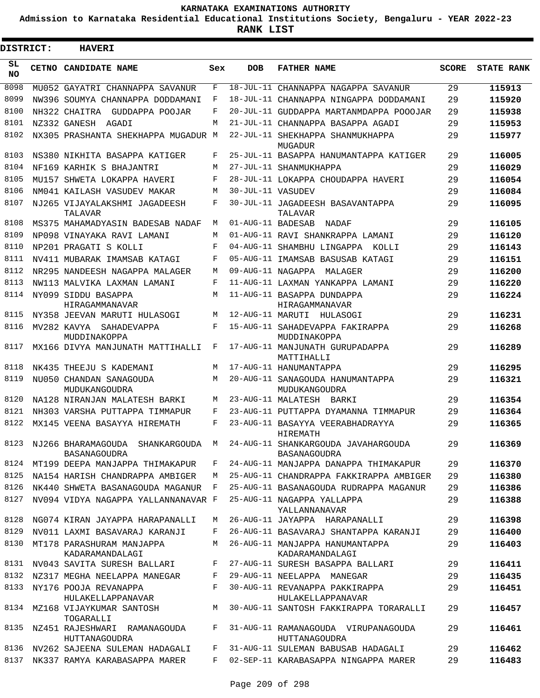**Admission to Karnataka Residential Educational Institutions Society, Bengaluru - YEAR 2022-23**

**RANK LIST**

Е

| <b>DISTRICT:</b> | <b>HAVERI</b>                                     |     |                   |                                                      |       |                   |
|------------------|---------------------------------------------------|-----|-------------------|------------------------------------------------------|-------|-------------------|
| SL.<br><b>NO</b> | CETNO CANDIDATE NAME                              | Sex | <b>DOB</b>        | <b>FATHER NAME</b>                                   | SCORE | <b>STATE RANK</b> |
| 8098             | MU052 GAYATRI CHANNAPPA SAVANUR                   | F   |                   | 18-JUL-11 CHANNAPPA NAGAPPA SAVANUR                  | 29    | 115913            |
| 8099             | NW396 SOUMYA CHANNAPPA DODDAMANI                  | F   |                   | 18-JUL-11 CHANNAPPA NINGAPPA DODDAMANI               | 29    | 115920            |
| 8100             | GUDDAPPA POOJAR<br>NH322 CHAITRA                  | F   |                   | 20-JUL-11 GUDDAPPA MARTANMDAPPA POOOJAR              | 29    | 115938            |
| 8101             | NZ332 GANESH AGADI                                | M   |                   | 21-JUL-11 CHANNAPPA BASAPPA AGADI                    | 29    | 115953            |
| 8102             | NX305 PRASHANTA SHEKHAPPA MUGADUR M               |     |                   | 22-JUL-11 SHEKHAPPA SHANMUKHAPPA<br>MUGADUR          | 29    | 115977            |
| 8103             | NS380 NIKHITA BASAPPA KATIGER                     | F   |                   | 25-JUL-11 BASAPPA HANUMANTAPPA KATIGER               | 29    | 116005            |
| 8104             | NF169 KARHIK S BHAJANTRI                          | M   |                   | 27-JUL-11 SHANMUKHAPPA                               | 29    | 116029            |
| 8105             | MU157 SHWETA LOKAPPA HAVERI                       | F   |                   | 28-JUL-11 LOKAPPA CHOUDAPPA HAVERI                   | 29    | 116054            |
| 8106             | NM041 KAILASH VASUDEV MAKAR                       | M   | 30-JUL-11 VASUDEV |                                                      | 29    | 116084            |
| 8107             | NJ265 VIJAYALAKSHMI JAGADEESH<br>TALAVAR          | F   |                   | 30-JUL-11 JAGADEESH BASAVANTAPPA<br>TALAVAR          | 29    | 116095            |
| 8108             | MS375 MAHAMADYASIN BADESAB NADAF                  | M   | 01-AUG-11 BADESAB | NADAF                                                | 29    | 116105            |
| 8109             | NP098 VINAYAKA RAVI LAMANI                        | M   |                   | 01-AUG-11 RAVI SHANKRAPPA LAMANI                     | 29    | 116120            |
| 8110             | NP201 PRAGATI S KOLLI                             | F   |                   | 04-AUG-11 SHAMBHU LINGAPPA KOLLI                     | 29    | 116143            |
| 8111             | NV411 MUBARAK IMAMSAB KATAGI                      | F   |                   | 05-AUG-11 IMAMSAB BASUSAB KATAGI                     | 29    | 116151            |
| 8112             | NR295 NANDEESH NAGAPPA MALAGER                    | M   | 09-AUG-11 NAGAPPA | MALAGER                                              | 29    | 116200            |
| 8113             | NW113 MALVIKA LAXMAN LAMANI                       | F   |                   | 11-AUG-11 LAXMAN YANKAPPA LAMANI                     | 29    | 116220            |
| 8114             | NY099 SIDDU BASAPPA<br>HIRAGAMMANAVAR             | M   |                   | 11-AUG-11 BASAPPA DUNDAPPA<br>HIRAGAMMANAVAR         | 29    | 116224            |
| 8115             | NY358 JEEVAN MARUTI HULASOGI                      | M   |                   | 12-AUG-11 MARUTI HULASOGI                            | 29    | 116231            |
| 8116             | MV282 KAVYA SAHADEVAPPA<br>MUDDINAKOPPA           | F   |                   | 15-AUG-11 SAHADEVAPPA FAKIRAPPA<br>MUDDINAKOPPA      | 29    | 116268            |
| 8117             | MX166 DIVYA MANJUNATH MATTIHALLI                  | F   |                   | 17-AUG-11 MANJUNATH GURUPADAPPA<br>MATTIHALLI        | 29    | 116289            |
| 8118             | NK435 THEEJU S KADEMANI                           | M   |                   | 17-AUG-11 HANUMANTAPPA                               | 29    | 116295            |
| 8119             | NU050 CHANDAN SANAGOUDA                           | M   |                   | 20-AUG-11 SANAGOUDA HANUMANTAPPA                     | 29    | 116321            |
| 8120             | MUDUKANGOUDRA<br>NA128 NIRANJAN MALATESH BARKI    | M   |                   | MUDUKANGOUDRA<br>23-AUG-11 MALATESH BARKI            | 29    | 116354            |
| 8121             | NH303 VARSHA PUTTAPPA TIMMAPUR                    | F   |                   | 23-AUG-11 PUTTAPPA DYAMANNA TIMMAPUR                 | 29    | 116364            |
| 8122             | MX145 VEENA BASAYYA HIREMATH                      | F   |                   | 23-AUG-11 BASAYYA VEERABHADRAYYA<br>HIREMATH         | 29    | 116365            |
| 8123             | NJ266 BHARAMAGOUDA SHANKARGOUDA M<br>BASANAGOUDRA |     |                   | 24-AUG-11 SHANKARGOUDA JAVAHARGOUDA<br>BASANAGOUDRA  | 29    | 116369            |
| 8124             | MT199 DEEPA MANJAPPA THIMAKAPUR                   | F   |                   | 24-AUG-11 MANJAPPA DANAPPA THIMAKAPUR                | 29    | 116370            |
| 8125             | NA154 HARISH CHANDRAPPA AMBIGER                   | M   |                   | 25-AUG-11 CHANDRAPPA FAKKIRAPPA AMBIGER              | 29    | 116380            |
| 8126             | NK440 SHWETA BASANAGOUDA MAGANUR F                |     |                   | 25-AUG-11 BASANAGOUDA RUDRAPPA MAGANUR               | 29    | 116386            |
| 8127             | NV094 VIDYA NAGAPPA YALLANNANAVAR F               |     |                   | 25-AUG-11 NAGAPPA YALLAPPA<br>YALLANNANAVAR          | 29    | 116388            |
| 8128             | NG074 KIRAN JAYAPPA HARAPANALLI                   | M   |                   | 26-AUG-11 JAYAPPA HARAPANALLI                        | 29    | 116398            |
| 8129             | NV011 LAXMI BASAVARAJ KARANJI                     | F   |                   | 26-AUG-11 BASAVARAJ SHANTAPPA KARANJI                | 29    | 116400            |
| 8130             | MT178 PARASHURAM MANJAPPA<br>KADARAMANDALAGI      | M   |                   | 26-AUG-11 MANJAPPA HANUMANTAPPA<br>KADARAMANDALAGI   | 29    | 116403            |
| 8131             | NV043 SAVITA SURESH BALLARI                       | F   |                   | 27-AUG-11 SURESH BASAPPA BALLARI                     | 29    | 116411            |
| 8132             | NZ317 MEGHA NEELAPPA MANEGAR                      | F   |                   | 29-AUG-11 NEELAPPA MANEGAR                           | 29    | 116435            |
| 8133             | NY176 POOJA REVANAPPA<br>HULAKELLAPPANAVAR        | F   |                   | 30-AUG-11 REVANAPPA PAKKIRAPPA<br>HULAKELLAPPANAVAR  | 29    | 116451            |
| 8134             | MZ168 VIJAYKUMAR SANTOSH<br>TOGARALLI             | M   |                   | 30-AUG-11 SANTOSH FAKKIRAPPA TORARALLI               | 29    | 116457            |
| 8135             | NZ451 RAJESHWARI RAMANAGOUDA<br>HUTTANAGOUDRA     | F   |                   | 31-AUG-11 RAMANAGOUDA VIRUPANAGOUDA<br>HUTTANAGOUDRA | 29    | 116461            |
| 8136             | NV262 SAJEENA SULEMAN HADAGALI                    | F   |                   | 31-AUG-11 SULEMAN BABUSAB HADAGALI                   | 29    | 116462            |
| 8137             | NK337 RAMYA KARABASAPPA MARER                     |     |                   | F 02-SEP-11 KARABASAPPA NINGAPPA MARER               | 29    | 116483            |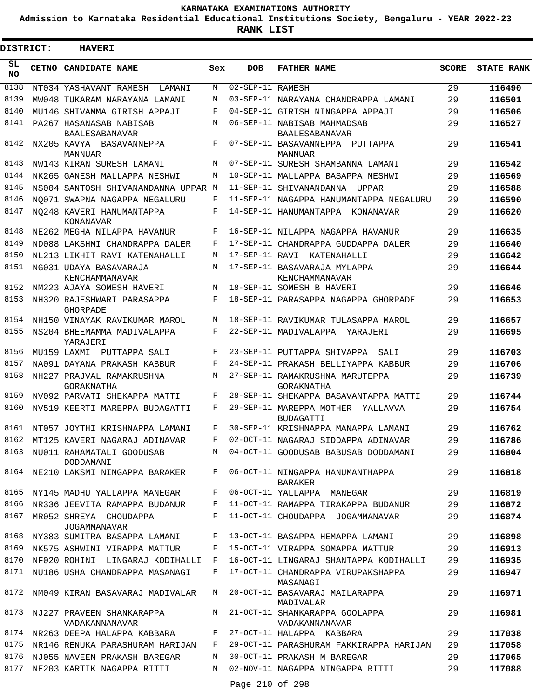**Admission to Karnataka Residential Educational Institutions Society, Bengaluru - YEAR 2022-23**

.

**RANK LIST**

| <b>DISTRICT:</b> | <b>HAVERI</b>                                    |     |                  |                                                          |              |                   |
|------------------|--------------------------------------------------|-----|------------------|----------------------------------------------------------|--------------|-------------------|
| SL<br>NO.        | CETNO CANDIDATE NAME                             | Sex | <b>DOB</b>       | <b>FATHER NAME</b>                                       | <b>SCORE</b> | <b>STATE RANK</b> |
| 8138             | NT034 YASHAVANT RAMESH<br>LAMANI                 | М   | 02-SEP-11 RAMESH |                                                          | 29           | 116490            |
| 8139             | MW048 TUKARAM NARAYANA LAMANI                    | М   |                  | 03-SEP-11 NARAYANA CHANDRAPPA LAMANI                     | 29           | 116501            |
| 8140             | MU146 SHIVAMMA GIRISH APPAJI                     | F   |                  | 04-SEP-11 GIRISH NINGAPPA APPAJI                         | 29           | 116506            |
| 8141             | PA267 HASANASAB NABISAB<br><b>BAALESABANAVAR</b> | М   |                  | 06-SEP-11 NABISAB MAHMADSAB<br><b>BAALESABANAVAR</b>     | 29           | 116527            |
| 8142             | NX205 KAVYA BASAVANNEPPA<br>MANNUAR              | F   |                  | 07-SEP-11 BASAVANNEPPA PUTTAPPA<br><b>MANNUAR</b>        | 29           | 116541            |
| 8143             | NW143 KIRAN SURESH LAMANI                        | M   |                  | 07-SEP-11 SURESH SHAMBANNA LAMANI                        | 29           | 116542            |
| 8144             | NK265 GANESH MALLAPPA NESHWI                     | M   |                  | 10-SEP-11 MALLAPPA BASAPPA NESHWI                        | 29           | 116569            |
| 8145             | NS004 SANTOSH SHIVANANDANNA UPPAR M              |     |                  | 11-SEP-11 SHIVANANDANNA<br>UPPAR                         | 29           | 116588            |
| 8146             | NO071 SWAPNA NAGAPPA NEGALURU                    | F   |                  | 11-SEP-11 NAGAPPA HANUMANTAPPA NEGALURU                  | 29           | 116590            |
| 8147             | NO248 KAVERI HANUMANTAPPA<br>KONANAVAR           | F   |                  | 14-SEP-11 HANUMANTAPPA KONANAVAR                         | 29           | 116620            |
| 8148             | NE262 MEGHA NILAPPA HAVANUR                      | F   |                  | 16-SEP-11 NILAPPA NAGAPPA HAVANUR                        | 29           | 116635            |
| 8149             | ND088 LAKSHMI CHANDRAPPA DALER                   | F   |                  | 17-SEP-11 CHANDRAPPA GUDDAPPA DALER                      | 29           | 116640            |
| 8150             | NL213 LIKHIT RAVI KATENAHALLI                    | M   |                  | 17-SEP-11 RAVI KATENAHALLI                               | 29           | 116642            |
| 8151             | NG031 UDAYA BASAVARAJA<br>KENCHAMMANAVAR         | М   |                  | 17-SEP-11 BASAVARAJA MYLAPPA<br>KENCHAMMANAVAR           | 29           | 116644            |
| 8152             | NM223 AJAYA SOMESH HAVERI                        | М   |                  | 18-SEP-11 SOMESH B HAVERI                                | 29           | 116646            |
| 8153             | NH320 RAJESHWARI PARASAPPA<br><b>GHORPADE</b>    | F   |                  | 18-SEP-11 PARASAPPA NAGAPPA GHORPADE                     | 29           | 116653            |
| 8154             | NH150 VINAYAK RAVIKUMAR MAROL                    | M   |                  | 18-SEP-11 RAVIKUMAR TULASAPPA MAROL                      | 29           | 116657            |
| 8155             | NS204 BHEEMAMMA MADIVALAPPA<br>YARAJERI          | F   |                  | 22-SEP-11 MADIVALAPPA YARAJERI                           | 29           | 116695            |
| 8156             | MU159 LAXMI<br>PUTTAPPA SALI                     | F   |                  | 23-SEP-11 PUTTAPPA SHIVAPPA<br>SALI                      | 29           | 116703            |
| 8157             | NA091 DAYANA PRAKASH KABBUR                      | F   |                  | 24-SEP-11 PRAKASH BELLIYAPPA KABBUR                      | 29           | 116706            |
| 8158             | NH227 PRAJVAL RAMAKRUSHNA<br>GORAKNATHA          | М   |                  | 27-SEP-11 RAMAKRUSHNA MARUTEPPA<br>GORAKNATHA            | 29           | 116739            |
| 8159             | NV092 PARVATI SHEKAPPA MATTI                     | F   |                  | 28-SEP-11 SHEKAPPA BASAVANTAPPA MATTI                    | 29           | 116744            |
| 8160             | NV519 KEERTI MAREPPA BUDAGATTI                   | F   |                  | 29-SEP-11 MAREPPA MOTHER<br>YALLAVVA<br><b>BUDAGATTI</b> | 29           | 116754            |
|                  | 8161 NT057 JOYTHI KRISHNAPPA LAMANI              | F   |                  | 30-SEP-11 KRISHNAPPA MANAPPA LAMANI                      | 29           | 116762            |
| 8162             | MT125 KAVERI NAGARAJ ADINAVAR                    |     |                  | F 02-OCT-11 NAGARAJ SIDDAPPA ADINAVAR                    | 29           | 116786            |
| 8163             | NU011 RAHAMATALI GOODUSAB<br>DODDAMANI           | М   |                  | 04-OCT-11 GOODUSAB BABUSAB DODDAMANI                     | 29           | 116804            |
| 8164             | NE210 LAKSMI NINGAPPA BARAKER                    | F   |                  | 06-OCT-11 NINGAPPA HANUMANTHAPPA<br>BARAKER              | 29           | 116818            |
| 8165             | NY145 MADHU YALLAPPA MANEGAR                     | F   |                  | 06-OCT-11 YALLAPPA MANEGAR                               | 29           | 116819            |
| 8166             | NR336 JEEVITA RAMAPPA BUDANUR                    | F   |                  | 11-OCT-11 RAMAPPA TIRAKAPPA BUDANUR                      | 29           | 116872            |
| 8167             | MR052 SHREYA CHOUDAPPA<br>JOGAMMANAVAR           | F   |                  | 11-OCT-11 CHOUDAPPA JOGAMMANAVAR                         | 29           | 116874            |
| 8168             | NY383 SUMITRA BASAPPA LAMANI                     | F   |                  | 13-OCT-11 BASAPPA HEMAPPA LAMANI                         | 29           | 116898            |
| 8169             | NK575 ASHWINI VIRAPPA MATTUR                     | F   |                  | 15-OCT-11 VIRAPPA SOMAPPA MATTUR                         | 29           | 116913            |
| 8170             | NF020 ROHINI LINGARAJ KODIHALLI                  | F   |                  | 16-OCT-11 LINGARAJ SHANTAPPA KODIHALLI                   | 29           | 116935            |
| 8171             | NU186 USHA CHANDRAPPA MASANAGI                   | F   |                  | 17-OCT-11 CHANDRAPPA VIRUPAKSHAPPA<br>MASANAGI           | 29           | 116947            |
| 8172             | NM049 KIRAN BASAVARAJ MADIVALAR                  | M   |                  | 20-OCT-11 BASAVARAJ MAILARAPPA<br>MADIVALAR              | 29           | 116971            |
| 8173             | NJ227 PRAVEEN SHANKARAPPA<br>VADAKANNANAVAR      | M   |                  | 21-OCT-11 SHANKARAPPA GOOLAPPA<br>VADAKANNANAVAR         | 29           | 116981            |
| 8174             | NR263 DEEPA HALAPPA KABBARA                      | F   |                  | 27-OCT-11 HALAPPA KABBARA                                | 29           | 117038            |
| 8175             | NR146 RENUKA PARASHURAM HARIJAN                  | F   |                  | 29-OCT-11 PARASHURAM FAKKIRAPPA HARIJAN                  | 29           | 117058            |
| 8176             | NJ055 NAVEEN PRAKASH BAREGAR                     | М   |                  | 30-OCT-11 PRAKASH M BAREGAR                              | 29           | 117065            |
| 8177             | NE203 KARTIK NAGAPPA RITTI                       | М   |                  | 02-NOV-11 NAGAPPA NINGAPPA RITTI                         | 29           | 117088            |
|                  |                                                  |     | Page 210 of 298  |                                                          |              |                   |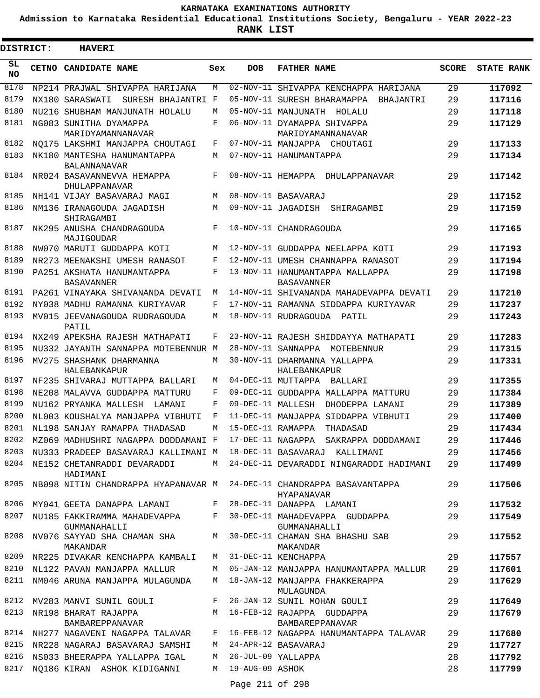**Admission to Karnataka Residential Educational Institutions Society, Bengaluru - YEAR 2022-23**

| <b>DISTRICT:</b> | <b>HAVERI</b>                                                          |            |                   |                                                                               |              |                   |
|------------------|------------------------------------------------------------------------|------------|-------------------|-------------------------------------------------------------------------------|--------------|-------------------|
| SL.<br><b>NO</b> | CETNO CANDIDATE NAME                                                   | Sex        | <b>DOB</b>        | <b>FATHER NAME</b>                                                            | <b>SCORE</b> | <b>STATE RANK</b> |
| 8178             | NP214 PRAJWAL SHIVAPPA HARIJANA                                        | M          |                   | 02-NOV-11 SHIVAPPA KENCHAPPA HARIJANA                                         | 29           | 117092            |
| 8179             | SURESH BHAJANTRI F<br>NX180 SARASWATI                                  |            |                   | 05-NOV-11 SURESH BHARAMAPPA<br>BHAJANTRI                                      | 29           | 117116            |
| 8180             | NU216 SHUBHAM MANJUNATH HOLALU                                         | M          |                   | 05-NOV-11 MANJUNATH HOLALU                                                    | 29           | 117118            |
| 8181             | NG083 SUNITHA DYAMAPPA                                                 | $_{\rm F}$ |                   | 06-NOV-11 DYAMAPPA SHIVAPPA                                                   | 29           | 117129            |
|                  | MARIDYAMANNANAVAR                                                      |            |                   | MARIDYAMANNANAVAR                                                             |              |                   |
| 8182             | NO175 LAKSHMI MANJAPPA CHOUTAGI                                        | F          |                   | 07-NOV-11 MANJAPPA CHOUTAGI                                                   | 29           | 117133            |
| 8183             | NK180 MANTESHA HANUMANTAPPA                                            | M          |                   | 07-NOV-11 HANUMANTAPPA                                                        | 29           | 117134            |
| 8184             | <b>BALANNANAVAR</b><br>NR024 BASAVANNEVVA HEMAPPA<br>DHULAPPANAVAR     | F          |                   | 08-NOV-11 HEMAPPA DHULAPPANAVAR                                               | 29           | 117142            |
| 8185             | NH141 VIJAY BASAVARAJ MAGI                                             | M          |                   | 08-NOV-11 BASAVARAJ                                                           | 29           | 117152            |
| 8186             | NM136 IRANAGOUDA JAGADISH                                              | M          |                   | 09-NOV-11 JAGADISH<br>SHIRAGAMBI                                              | 29           | 117159            |
|                  | SHIRAGAMBI                                                             |            |                   |                                                                               |              |                   |
| 8187             | NK295 ANUSHA CHANDRAGOUDA<br>MAJIGOUDAR                                | F          |                   | 10-NOV-11 CHANDRAGOUDA                                                        | 29           | 117165            |
| 8188             | NW070 MARUTI GUDDAPPA KOTI                                             | M          |                   | 12-NOV-11 GUDDAPPA NEELAPPA KOTI                                              | 29           | 117193            |
| 8189             | NR273 MEENAKSHI UMESH RANASOT                                          | F          |                   | 12-NOV-11 UMESH CHANNAPPA RANASOT                                             | 29           | 117194            |
| 8190             | PA251 AKSHATA HANUMANTAPPA<br><b>BASAVANNER</b>                        | F          |                   | 13-NOV-11 HANUMANTAPPA MALLAPPA<br>BASAVANNER                                 | 29           | 117198            |
| 8191             | PA261 VINAYAKA SHIVANANDA DEVATI                                       | M          |                   | 14-NOV-11 SHIVANANDA MAHADEVAPPA DEVATI                                       | 29           | 117210            |
| 8192             | NY038 MADHU RAMANNA KURIYAVAR                                          | F          |                   | 17-NOV-11 RAMANNA SIDDAPPA KURIYAVAR                                          | 29           | 117237            |
| 8193             | MV015 JEEVANAGOUDA RUDRAGOUDA<br>PATIL                                 | M          |                   | 18-NOV-11 RUDRAGOUDA PATIL                                                    | 29           | 117243            |
| 8194             | NX249 APEKSHA RAJESH MATHAPATI                                         | F          |                   | 23-NOV-11 RAJESH SHIDDAYYA MATHAPATI                                          | 29           | 117283            |
| 8195             | NU332 JAYANTH SANNAPPA MOTEBENNUR M                                    |            |                   | 28-NOV-11 SANNAPPA MOTEBENNUR                                                 | 29           | 117315            |
| 8196             | MV275 SHASHANK DHARMANNA                                               | M          |                   | 30-NOV-11 DHARMANNA YALLAPPA                                                  | 29           | 117331            |
|                  | HALEBANKAPUR                                                           |            |                   | HALEBANKAPUR                                                                  |              |                   |
| 8197             | NF235 SHIVARAJ MUTTAPPA BALLARI                                        | M          |                   | 04-DEC-11 MUTTAPPA BALLARI                                                    | 29           | 117355            |
| 8198             | NE208 MALAVVA GUDDAPPA MATTURU                                         | F          |                   | 09-DEC-11 GUDDAPPA MALLAPPA MATTURU                                           | 29           | 117384            |
| 8199             | NU162 PRYANKA MALLESH<br>T AMANT                                       | F          | 09-DEC-11 MALLESH | DHODEPPA LAMANI                                                               | 29           | 117389            |
| 8200             | NL003 KOUSHALYA MANJAPPA VIBHUTI                                       | F          |                   | 11-DEC-11 MANJAPPA SIDDAPPA VIBHUTI                                           | 29           | 117400            |
| 8201             | NL198 SANJAY RAMAPPA THADASAD                                          | M          | 15-DEC-11 RAMAPPA | THADASAD                                                                      | 29           | 117434            |
|                  |                                                                        |            |                   | 8202 MZ069 MADHUSHRI NAGAPPA DODDAMANI F 17-DEC-11 NAGAPPA SAKRAPPA DODDAMANI | 29           | 117446            |
|                  | 8203 NU333 PRADEEP BASAVARAJ KALLIMANI M 18-DEC-11 BASAVARAJ KALLIMANI |            |                   |                                                                               | 29           | 117456            |
| 8204             | NE152 CHETANRADDI DEVARADDI<br>HADIMANI                                |            |                   | M 24-DEC-11 DEVARADDI NINGARADDI HADIMANI                                     | 29           | 117499            |
| 8205             | NB098 NITIN CHANDRAPPA HYAPANAVAR M 24-DEC-11 CHANDRAPPA BASAVANTAPPA  |            |                   | HYAPANAVAR                                                                    | 29           | 117506            |
| 8206             | MY041 GEETA DANAPPA LAMANI                                             |            |                   | F 28-DEC-11 DANAPPA LAMANI                                                    | 29           | 117532            |
| 8207             | NU185 FAKKIRAMMA MAHADEVAPPA F<br>GUMMANAHALLI                         |            |                   | 30-DEC-11 MAHADEVAPPA GUDDAPPA<br>GUMMANAHALLI                                | 29           | 117549            |
| 8208             | NV076 SAYYAD SHA CHAMAN SHA<br>MAKANDAR                                |            |                   | M 30-DEC-11 CHAMAN SHA BHASHU SAB<br>MAKANDAR                                 | 29           | 117552            |
|                  | 8209 NR225 DIVAKAR KENCHAPPA KAMBALI                                   |            |                   | M 31-DEC-11 KENCHAPPA                                                         | 29           | 117557            |
| 8210             | NL122 PAVAN MANJAPPA MALLUR                                            | M          |                   | 05-JAN-12 MANJAPPA HANUMANTAPPA MALLUR                                        | 29           | 117601            |
| 8211             | NM046 ARUNA MANJAPPA MULAGUNDA                                         | M          |                   | 18-JAN-12 MANJAPPA FHAKKERAPPA<br>MULAGUNDA                                   | 29           | 117629            |
| 8212             | MV283 MANVI SUNIL GOULI                                                | F          |                   | 26-JAN-12 SUNIL MOHAN GOULI                                                   | 29           | 117649            |
| 8213             | NR198 BHARAT RAJAPPA<br>BAMBAREPPANAVAR                                |            |                   | M 16-FEB-12 RAJAPPA GUDDAPPA<br>BAMBAREPPANAVAR                               | 29           | 117679            |
| 8214             | NH277 NAGAVENI NAGAPPA TALAVAR                                         | F          |                   | 16-FEB-12 NAGAPPA HANUMANTAPPA TALAVAR                                        | 29           | 117680            |
| 8215             | NR228 NAGARAJ BASAVARAJ SAMSHI                                         | M          |                   | 24-APR-12 BASAVARAJ                                                           | 29           | 117727            |
| 8216             | NS033 BHEERAPPA YALLAPPA IGAL                                          | М          |                   | 26-JUL-09 YALLAPPA                                                            | 28           | 117792            |
| 8217             | NO186 KIRAN ASHOK KIDIGANNI                                            | М          | 19-AUG-09 ASHOK   |                                                                               | 28           | 117799            |
|                  |                                                                        |            | Page 211 of 298   |                                                                               |              |                   |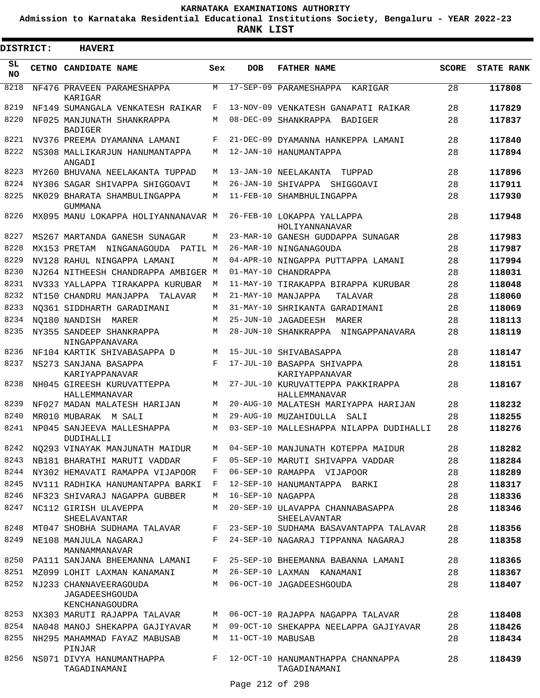**Admission to Karnataka Residential Educational Institutions Society, Bengaluru - YEAR 2022-23**

**RANK LIST**

 $\blacksquare$ 

| DISTRICT:       | <b>HAVERI</b>                                                     |     |                   |                                                    |              |                   |
|-----------------|-------------------------------------------------------------------|-----|-------------------|----------------------------------------------------|--------------|-------------------|
| SL<br><b>NO</b> | CETNO CANDIDATE NAME                                              | Sex | <b>DOB</b>        | <b>FATHER NAME</b>                                 | <b>SCORE</b> | <b>STATE RANK</b> |
| 8218            | NF476 PRAVEEN PARAMESHAPPA<br>KARIGAR                             | M   | $17 - SEP - 09$   | PARAMESHAPPA<br>KARIGAR                            | 28           | 117808            |
| 8219            | NF149 SUMANGALA VENKATESH RAIKAR                                  | F   |                   | 13-NOV-09 VENKATESH GANAPATI RAIKAR                | 28           | 117829            |
| 8220            | NF025 MANJUNATH SHANKRAPPA<br><b>BADIGER</b>                      | М   |                   | 08-DEC-09 SHANKRAPPA<br>BADIGER                    | 28           | 117837            |
| 8221            | NV376 PREEMA DYAMANNA LAMANI                                      | F   |                   | 21-DEC-09 DYAMANNA HANKEPPA LAMANI                 | 28           | 117840            |
| 8222            | NS308 MALLIKARJUN HANUMANTAPPA<br>ANGADI                          | М   |                   | 12-JAN-10 HANUMANTAPPA                             | 28           | 117894            |
| 8223            | MY260 BHUVANA NEELAKANTA TUPPAD                                   | М   |                   | 13-JAN-10 NEELAKANTA<br>TUPPAD                     | 28           | 117896            |
| 8224            | NY306 SAGAR SHIVAPPA SHIGGOAVI                                    | М   |                   | 26-JAN-10 SHIVAPPA SHIGGOAVI                       | 28           | 117911            |
| 8225            | NK029 BHARATA SHAMBULINGAPPA<br>GUMMANA                           | М   |                   | 11-FEB-10 SHAMBHULINGAPPA                          | 28           | 117930            |
| 8226            | MX095 MANU LOKAPPA HOLIYANNANAVAR M                               |     |                   | 26-FEB-10 LOKAPPA YALLAPPA<br>HOLIYANNANAVAR       | 28           | 117948            |
| 8227            | MS267 MARTANDA GANESH SUNAGAR                                     | М   |                   | 23-MAR-10 GANESH GUDDAPPA SUNAGAR                  | 28           | 117983            |
| 8228            | MX153 PRETAM<br>NINGANAGOUDA<br>PATIL M                           |     |                   | 26-MAR-10 NINGANAGOUDA                             | 28           | 117987            |
| 8229            | NV128 RAHUL NINGAPPA LAMANI                                       | М   |                   | 04-APR-10 NINGAPPA PUTTAPPA LAMANI                 | 28           | 117994            |
| 8230            | NJ264 NITHEESH CHANDRAPPA AMBIGER M                               |     | $01 - MAX - 10$   | CHANDRAPPA                                         | 28           | 118031            |
| 8231            | NV333 YALLAPPA TIRAKAPPA KURUBAR                                  | M   |                   | 11-MAY-10 TIRAKAPPA BIRAPPA KURUBAR                | 28           | 118048            |
| 8232            | NT150 CHANDRU MANJAPPA<br>TALAVAR                                 | М   |                   | 21-MAY-10 MANJAPPA<br>TALAVAR                      | 28           | 118060            |
| 8233            | NO361 SIDDHARTH GARADIMANI                                        | M   |                   | 31-MAY-10 SHRIKANTA GARADIMANI                     | 28           | 118069            |
| 8234            | NO180 NANDISH MARER                                               | M   |                   | 25-JUN-10 JAGADEESH MARER                          | 28           | 118113            |
| 8235            | NY355 SANDEEP SHANKRAPPA<br>NINGAPPANAVARA                        | M   |                   | 28-JUN-10 SHANKRAPPA NINGAPPANAVARA                | 28           | 118119            |
| 8236            | NF104 KARTIK SHIVABASAPPA D                                       | M   |                   | 15-JUL-10 SHIVABASAPPA                             | 28           | 118147            |
| 8237            | NS273 SANJANA BASAPPA<br>KARIYAPPANAVAR                           | F   |                   | 17-JUL-10 BASAPPA SHIVAPPA<br>KARIYAPPANAVAR       | 28           | 118151            |
| 8238            | NH045 GIREESH KURUVATTEPPA<br>HALLEMMANAVAR                       | М   |                   | 27-JUL-10 KURUVATTEPPA PAKKIRAPPA<br>HALLEMMANAVAR | 28           | 118167            |
| 8239            | NF027 MADAN MALATESH HARIJAN                                      | M   |                   | 20-AUG-10 MALATESH MARIYAPPA HARIJAN               | 28           | 118232            |
| 8240            | MR010 MUBARAK M SALI                                              | М   |                   | 29-AUG-10 MUZAHIDULLA<br>SALI                      | 28           | 118255            |
| 8241            | NP045 SANJEEVA MALLESHAPPA<br>DUDIHALLI                           | M   |                   | 03-SEP-10 MALLESHAPPA NILAPPA DUDIHALLI            | 28           | 118276            |
| 8242            | NO293 VINAYAK MANJUNATH MAIDUR                                    |     |                   | M 04-SEP-10 MANJUNATH KOTEPPA MAIDUR               | 28           | 118282            |
| 8243            | NB181 BHARATHI MARUTI VADDAR                                      | F   |                   | 05-SEP-10 MARUTI SHIVAPPA VADDAR                   | 28           | 118284            |
| 8244            | NY302 HEMAVATI RAMAPPA VIJAPOOR                                   | F   |                   | 06-SEP-10 RAMAPPA VIJAPOOR                         | 28           | 118289            |
| 8245            | NV111 RADHIKA HANUMANTAPPA BARKI                                  | F   |                   | 12-SEP-10 HANUMANTAPPA BARKI                       | 28           | 118317            |
| 8246            | NF323 SHIVARAJ NAGAPPA GUBBER                                     | M   | 16-SEP-10 NAGAPPA |                                                    | 28           | 118336            |
| 8247            | NC112 GIRISH ULAVEPPA<br>SHEELAVANTAR                             | M   |                   | 20-SEP-10 ULAVAPPA CHANNABASAPPA<br>SHEELAVANTAR   | 28           | 118346            |
| 8248            | MT047 SHOBHA SUDHAMA TALAVAR                                      | F   |                   | 23-SEP-10 SUDHAMA BASAVANTAPPA TALAVAR             | 28           | 118356            |
| 8249            | NE108 MANJULA NAGARAJ<br>MANNAMMANAVAR                            | F   |                   | 24-SEP-10 NAGARAJ TIPPANNA NAGARAJ                 | 28           | 118358            |
| 8250            | PA111 SANJANA BHEEMANNA LAMANI                                    | F   |                   | 25-SEP-10 BHEEMANNA BABANNA LAMANI                 | 28           | 118365            |
| 8251            | MZ099 LOHIT LAXMAN KANAMANI                                       | M   |                   | 26-SEP-10 LAXMAN KANAMANI                          | 28           | 118367            |
| 8252            | NJ233 CHANNAVEERAGOUDA<br><b>JAGADEESHGOUDA</b><br>KENCHANAGOUDRA | M   |                   | 06-OCT-10 JAGADEESHGOUDA                           | 28           | 118407            |
| 8253            | NX303 MARUTI RAJAPPA TALAVAR                                      | M   |                   | 06-OCT-10 RAJAPPA NAGAPPA TALAVAR                  | 28           | 118408            |
| 8254            | NA048 MANOJ SHEKAPPA GAJIYAVAR                                    | M   |                   | 09-OCT-10 SHEKAPPA NEELAPPA GAJIYAVAR              | 28           | 118426            |
| 8255            | NH295 MAHAMMAD FAYAZ MABUSAB<br>PINJAR                            | M   | 11-OCT-10 MABUSAB |                                                    | 28           | 118434            |
| 8256            | NS071 DIVYA HANUMANTHAPPA<br>TAGADINAMANI                         | F   |                   | 12-OCT-10 HANUMANTHAPPA CHANNAPPA<br>TAGADINAMANI  | 28           | 118439            |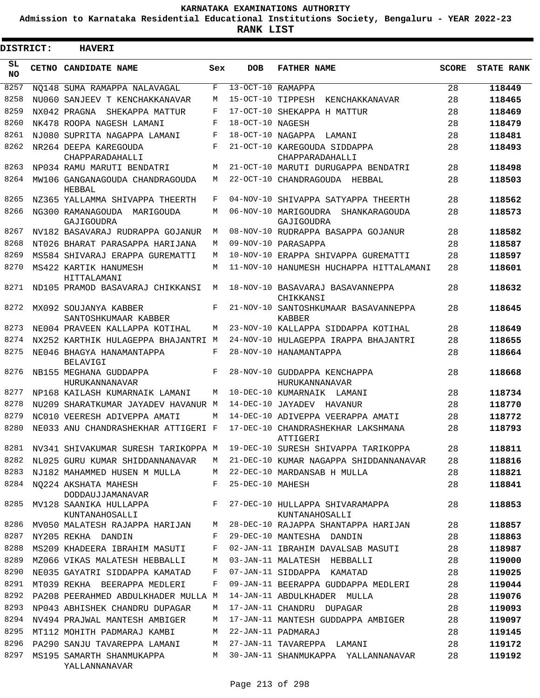**Admission to Karnataka Residential Educational Institutions Society, Bengaluru - YEAR 2022-23**

 $\blacksquare$ 

**RANK LIST**

Е

| <b>DISTRICT:</b> | <b>HAVERI</b>                                   |     |                     |                                                       |       |                   |
|------------------|-------------------------------------------------|-----|---------------------|-------------------------------------------------------|-------|-------------------|
| SL.<br>NO.       | <b>CETNO CANDIDATE NAME</b>                     | Sex | <b>DOB</b>          | <b>FATHER NAME</b>                                    | SCORE | <b>STATE RANK</b> |
| 8257             | NO148 SUMA RAMAPPA NALAVAGAL                    | F   | $13-OCT-10$ RAMAPPA |                                                       | 28    | 118449            |
| 8258             | NU060 SANJEEV T KENCHAKKANAVAR                  | M   | 15-OCT-10 TIPPESH   | KENCHAKKANAVAR                                        | 28    | 118465            |
| 8259             | NX042 PRAGNA<br>SHEKAPPA MATTUR                 | F   |                     | 17-OCT-10 SHEKAPPA H MATTUR                           | 28    | 118469            |
| 8260             | NK478 ROOPA NAGESH LAMANI                       | F   | 18-OCT-10 NAGESH    |                                                       | 28    | 118479            |
| 8261             | NJ080 SUPRITA NAGAPPA LAMANI                    | F   | 18-OCT-10 NAGAPPA   | LAMANI                                                | 28    | 118481            |
| 8262             | NR264 DEEPA KAREGOUDA<br>CHAPPARADAHALLI        | F   |                     | 21-OCT-10 KAREGOUDA SIDDAPPA<br>CHAPPARADAHALLI       | 28    | 118493            |
| 8263             | NP034 RAMU MARUTI BENDATRI                      | M   |                     | 21-OCT-10 MARUTI DURUGAPPA BENDATRI                   | 28    | 118498            |
| 8264             | MW106 GANGANAGOUDA CHANDRAGOUDA<br>HEBBAL       | M   |                     | 22-OCT-10 CHANDRAGOUDA HEBBAL                         | 28    | 118503            |
| 8265             | NZ365 YALLAMMA SHIVAPPA THEERTH                 | F   | 04-NOV-10           | SHIVAPPA SATYAPPA THEERTH                             | 28    | 118562            |
| 8266             | NG300 RAMANAGOUDA MARIGOUDA<br>GAJIGOUDRA       | M   |                     | 06-NOV-10 MARIGOUDRA<br>SHANKARAGOUDA<br>GAJIGOUDRA   | 28    | 118573            |
| 8267             | NV182 BASAVARAJ RUDRAPPA GOJANUR                | М   |                     | 08-NOV-10 RUDRAPPA BASAPPA GOJANUR                    | 28    | 118582            |
| 8268             | NT026 BHARAT PARASAPPA HARIJANA                 | M   |                     | 09-NOV-10 PARASAPPA                                   | 28    | 118587            |
| 8269             | MS584 SHIVARAJ ERAPPA GUREMATTI                 | M   |                     | 10-NOV-10 ERAPPA SHIVAPPA GUREMATTI                   | 28    | 118597            |
| 8270             | MS422 KARTIK HANUMESH<br>HITTALAMANI            | M   |                     | 11-NOV-10 HANUMESH HUCHAPPA HITTALAMANI               | 28    | 118601            |
| 8271             | ND105 PRAMOD BASAVARAJ CHIKKANSI                | М   |                     | 18-NOV-10 BASAVARAJ BASAVANNEPPA<br>CHIKKANSI         | 28    | 118632            |
| 8272             | MX092 SOUJANYA KABBER<br>SANTOSHKUMAAR KABBER   | F   |                     | 21-NOV-10 SANTOSHKUMAAR BASAVANNEPPA<br><b>KABBER</b> | 28    | 118645            |
| 8273             | NE004 PRAVEEN KALLAPPA KOTIHAL                  | М   |                     | 23-NOV-10 KALLAPPA SIDDAPPA KOTIHAL                   | 28    | 118649            |
| 8274             | NX252 KARTHIK HULAGEPPA BHAJANTRI M             |     |                     | 24-NOV-10 HULAGEPPA IRAPPA BHAJANTRI                  | 28    | 118655            |
| 8275             | NE046 BHAGYA HANAMANTAPPA<br><b>BELAVIGI</b>    | F   |                     | 28-NOV-10 HANAMANTAPPA                                | 28    | 118664            |
| 8276             | NB155 MEGHANA GUDDAPPA<br><b>HURUKANNANAVAR</b> | F   |                     | 28-NOV-10 GUDDAPPA KENCHAPPA<br>HURUKANNANAVAR        | 28    | 118668            |
| 8277             | NP168 KAILASH KUMARNAIK LAMANI                  | M   |                     | 10-DEC-10 KUMARNAIK LAMANI                            | 28    | 118734            |
| 8278             | NU209 SHARATKUMAR JAYADEV HAVANUR M             |     |                     | 14-DEC-10 JAYADEV HAVANUR                             | 28    | 118770            |
| 8279             | NC010 VEERESH ADIVEPPA AMATI                    | M   |                     | 14-DEC-10 ADIVEPPA VEERAPPA AMATI                     | 28    | 118772            |
| 8280             | NE033 ANU CHANDRASHEKHAR ATTIGERI F             |     |                     | 17-DEC-10 CHANDRASHEKHAR LAKSHMANA<br>ATTIGERI        | 28    | 118793            |
| 8281             | NV341 SHIVAKUMAR SURESH TARIKOPPA M             |     |                     | 19-DEC-10 SURESH SHIVAPPA TARIKOPPA                   | 28    | 118811            |
| 8282             | NL025 GURU KUMAR SHIDDANNANAVAR                 | М   |                     | 21-DEC-10 KUMAR NAGAPPA SHIDDANNANAVAR                | 28    | 118816            |
| 8283             | NJ182 MAHAMMED HUSEN M MULLA                    | М   |                     | 22-DEC-10 MARDANSAB H MULLA                           | 28    | 118821            |
| 8284             | NO224 AKSHATA MAHESH<br>DODDAUJJAMANAVAR        | F   | 25-DEC-10 MAHESH    |                                                       | 28    | 118841            |
| 8285             | MV128 SAANIKA HULLAPPA<br>KUNTANAHOSALLI        | F   |                     | 27-DEC-10 HULLAPPA SHIVARAMAPPA<br>KUNTANAHOSALLI     | 28    | 118853            |
| 8286             | MV050 MALATESH RAJAPPA HARIJAN                  | M   |                     | 28-DEC-10 RAJAPPA SHANTAPPA HARIJAN                   | 28    | 118857            |
| 8287             | NY205 REKHA DANDIN                              | F   |                     | 29-DEC-10 MANTESHA DANDIN                             | 28    | 118863            |
| 8288             | MS209 KHADEERA IBRAHIM MASUTI                   | F   |                     | 02-JAN-11 IBRAHIM DAVALSAB MASUTI                     | 28    | 118987            |
| 8289             | MZ066 VIKAS MALATESH HEBBALLI                   | M   |                     | 03-JAN-11 MALATESH HEBBALLI                           | 28    | 119000            |
| 8290             | NE035 GAYATRI SIDDAPPA KAMATAD                  | F   |                     | 07-JAN-11 SIDDAPPA KAMATAD                            | 28    | 119025            |
| 8291             | MT039 REKHA BEERAPPA MEDLERI                    | F   |                     | 09-JAN-11 BEERAPPA GUDDAPPA MEDLERI                   | 28    | 119044            |
| 8292             | PA208 PEERAHMED ABDULKHADER MULLA M             |     |                     | 14-JAN-11 ABDULKHADER MULLA                           | 28    | 119076            |
| 8293             | NP043 ABHISHEK CHANDRU DUPAGAR                  | M   |                     | 17-JAN-11 CHANDRU DUPAGAR                             | 28    | 119093            |
| 8294             | NV494 PRAJWAL MANTESH AMBIGER                   | M   |                     | 17-JAN-11 MANTESH GUDDAPPA AMBIGER                    | 28    | 119097            |
| 8295             | MT112 MOHITH PADMARAJ KAMBI                     | M   |                     | 22-JAN-11 PADMARAJ                                    | 28    | 119145            |
| 8296             | PA290 SANJU TAVAREPPA LAMANI                    | М   |                     | 27-JAN-11 TAVAREPPA LAMANI                            | 28    | 119172            |
| 8297             | MS195 SAMARTH SHANMUKAPPA<br>YALLANNANAVAR      | М   |                     | 30-JAN-11 SHANMUKAPPA YALLANNANAVAR                   | 28    | 119192            |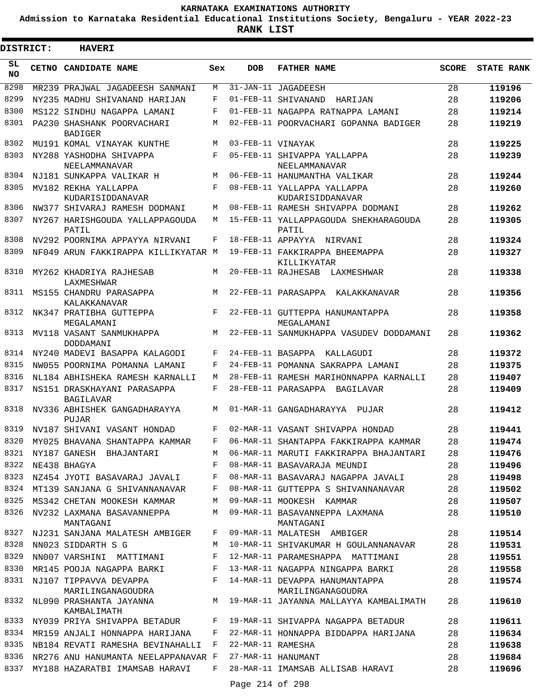**Admission to Karnataka Residential Educational Institutions Society, Bengaluru - YEAR 2022-23**

ı

| <b>DISTRICT:</b> | <b>HAVERI</b>                                    |              |                   |                                                                                |              |                   |
|------------------|--------------------------------------------------|--------------|-------------------|--------------------------------------------------------------------------------|--------------|-------------------|
| SL.<br><b>NO</b> | CETNO CANDIDATE NAME                             | Sex          | <b>DOB</b>        | <b>FATHER NAME</b>                                                             | <b>SCORE</b> | <b>STATE RANK</b> |
| 8298             | MR239 PRAJWAL JAGADEESH SANMANI                  | M            |                   | 31-JAN-11 JAGADEESH                                                            | 28           | 119196            |
| 8299             | NY235 MADHU SHIVANAND HARIJAN                    | F            |                   | 01-FEB-11 SHIVANAND HARIJAN                                                    | 28           | 119206            |
| 8300             | MS122 SINDHU NAGAPPA LAMANI                      | F            |                   | 01-FEB-11 NAGAPPA RATNAPPA LAMANI                                              | 28           | 119214            |
| 8301             | PA230 SHASHANK POORVACHARI<br><b>BADIGER</b>     | М            |                   | 02-FEB-11 POORVACHARI GOPANNA BADIGER                                          | 28           | 119219            |
| 8302             | MU191 KOMAL VINAYAK KUNTHE                       | M            | 03-FEB-11 VINAYAK |                                                                                | 28           | 119225            |
| 8303             | NY288 YASHODHA SHIVAPPA<br>NEELAMMANAVAR         | F            |                   | 05-FEB-11 SHIVAPPA YALLAPPA<br>NEELAMMANAVAR                                   | 28           | 119239            |
| 8304             | NJ181 SUNKAPPA VALIKAR H                         | M            |                   | 06-FEB-11 HANUMANTHA VALIKAR                                                   | 28           | 119244            |
| 8305             | MV182 REKHA YALLAPPA<br>KUDARISIDDANAVAR         | F            |                   | 08-FEB-11 YALLAPPA YALLAPPA<br>KUDARISIDDANAVAR                                | 28           | 119260            |
| 8306             | NW377 SHIVARAJ RAMESH DODMANI                    | М            |                   | 08-FEB-11 RAMESH SHIVAPPA DODMANI                                              | 28           | 119262            |
| 8307             | NY267 HARISHGOUDA YALLAPPAGOUDA<br>PATIL         | M            |                   | 15-FEB-11 YALLAPPAGOUDA SHEKHARAGOUDA<br>PATIL                                 | 28           | 119305            |
| 8308             | NV292 POORNIMA APPAYYA NIRVANI                   | F            |                   | 18-FEB-11 APPAYYA NIRVANI                                                      | 28           | 119324            |
| 8309             | NF049 ARUN FAKKIRAPPA KILLIKYATAR M              |              |                   | 19-FEB-11 FAKKIRAPPA BHEEMAPPA<br>KILLIKYATAR                                  | 28           | 119327            |
| 8310             | MY262 KHADRIYA RAJHESAB<br>LAXMESHWAR            | М            |                   | 20-FEB-11 RAJHESAB<br>LAXMESHWAR                                               | 28           | 119338            |
| 8311             | MS155 CHANDRU PARASAPPA<br>KALAKKANAVAR          | M            |                   | 22-FEB-11 PARASAPPA KALAKKANAVAR                                               | 28           | 119356            |
| 8312             | NK347 PRATIBHA GUTTEPPA<br>MEGALAMANI            | F            |                   | 22-FEB-11 GUTTEPPA HANUMANTAPPA<br>MEGALAMANI                                  | 28           | 119358            |
| 8313             | MV118 VASANT SANMUKHAPPA<br>DODDAMANI            | M            |                   | 22-FEB-11 SANMUKHAPPA VASUDEV DODDAMANI                                        | 28           | 119362            |
| 8314             | NY240 MADEVI BASAPPA KALAGODI                    | F            |                   | 24-FEB-11 BASAPPA KALLAGUDI                                                    | 28           | 119372            |
| 8315             | NW055 POORNIMA POMANNA LAMANI                    | F            |                   | 24-FEB-11 POMANNA SAKRAPPA LAMANI                                              | 28           | 119375            |
| 8316             | NL184 ABHISHEKA RAMESH KARNALLI                  | М            |                   | 28-FEB-11 RAMESH MARIHONNAPPA KARNALLI                                         | 28           | 119407            |
| 8317             | NS151 DRASKHAYANI PARASAPPA<br>BAGILAVAR         | F            |                   | 28-FEB-11 PARASAPPA BAGILAVAR                                                  | 28           | 119409            |
| 8318             | NV336 ABHISHEK GANGADHARAYYA<br>PUJAR            | М            |                   | 01-MAR-11 GANGADHARAYYA PUJAR                                                  | 28           | 119412            |
|                  | 8319 NV187 SHIVANI VASANT HONDAD                 | F            |                   | 02-MAR-11 VASANT SHIVAPPA HONDAD                                               | 28           | 119441            |
|                  | 8320 MY025 BHAVANA SHANTAPPA KAMMAR F            |              |                   | 06-MAR-11 SHANTAPPA FAKKIRAPPA KAMMAR                                          | 28           | 119474            |
|                  | 8321 NY187 GANESH BHAJANTARI                     | M            |                   | 06-MAR-11 MARUTI FAKKIRAPPA BHAJANTARI                                         | 28           | 119476            |
| 8322             | NE438 BHAGYA                                     | F            |                   | 08-MAR-11 BASAVARAJA MEUNDI                                                    | 28           | 119496            |
| 8323             | NZ454 JYOTI BASAVARAJ JAVALI                     | F            |                   | 08-MAR-11 BASAVARAJ NAGAPPA JAVALI                                             | 28           | 119498            |
|                  | 8324 MT139 SANJANA G SHIVANNANAVAR               | F            |                   | 08-MAR-11 GUTTEPPA S SHIVANNANAVAR                                             | 28           | 119502            |
|                  | 8325 MS342 CHETAN MOOKESH KAMMAR                 | М            |                   | 09-MAR-11 MOOKESH KAMMAR                                                       | 28           | 119507            |
| 8326             | NV232 LAXMANA BASAVANNEPPA<br>MANTAGANI          | М            |                   | 09-MAR-11 BASAVANNEPPA LAXMANA<br>MANTAGANI                                    | 28           | 119510            |
|                  | 8327 NJ231 SANJANA MALATESH AMBIGER              | F            |                   | 09-MAR-11 MALATESH AMBIGER                                                     | 28           | 119514            |
| 8328             | NN023 SIDDARTH S G                               | M            |                   | 10-MAR-11 SHIVAKUMAR H GOULANNANAVAR                                           | 28           | 119531            |
| 8329             | NN007 VARSHINI MATTIMANI                         |              |                   | F 12-MAR-11 PARAMESHAPPA MATTIMANI                                             | 28           | 119551            |
|                  | 8330 MR145 POOJA NAGAPPA BARKI                   |              |                   | F 13-MAR-11 NAGAPPA NINGAPPA BARKI                                             | 28           | 119558            |
|                  | 8331 NJ107 TIPPAVVA DEVAPPA<br>MARILINGANAGOUDRA |              |                   | F 14-MAR-11 DEVAPPA HANUMANTAPPA<br>MARILINGANAGOUDRA                          | 28           | 119574            |
| 8332             | KAMBALIMATH                                      |              |                   | NL090 PRASHANTA JAYANNA $M$ 19-MAR-11 JAYANNA MALLAYYA KAMBALIMATH             | 28           | 119610            |
|                  |                                                  |              |                   | 8333 NY039 PRIYA SHIVAPPA BETADUR F 19-MAR-11 SHIVAPPA NAGAPPA BETADUR         | 28           | 119611            |
|                  |                                                  |              |                   | 8334 MR159 ANJALI HONNAPPA HARIJANA   F   22-MAR-11 HONNAPPA BIDDAPPA HARIJANA | 28           | 119634            |
| 8335             | NB184 REVATI RAMESHA BEVINAHALLI                 | $\mathbf{F}$ | 22-MAR-11 RAMESHA |                                                                                | 28           | 119638            |
| 8336             | NR276 ANU HANUMANTA NEELAPPANAVAR F              |              |                   | 27-MAR-11 HANUMANT                                                             | 28           | 119684            |
| 8337             | MY188 HAZARATBI IMAMSAB HARAVI                   | F            |                   | 28-MAR-11 IMAMSAB ALLISAB HARAVI                                               | 28           | 119696            |
|                  |                                                  |              | Page 214 of 298   |                                                                                |              |                   |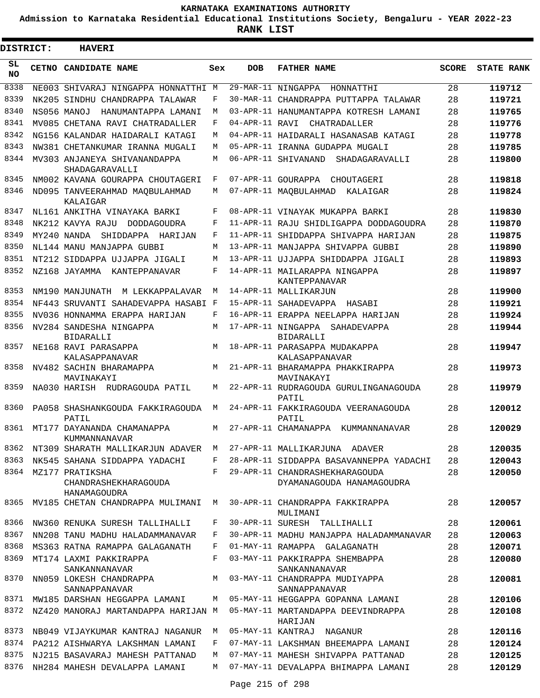**Admission to Karnataka Residential Educational Institutions Society, Bengaluru - YEAR 2022-23**

ı

| DISTRICT:       | <b>HAVERI</b>                                           |     |                |                                                                                   |              |                   |
|-----------------|---------------------------------------------------------|-----|----------------|-----------------------------------------------------------------------------------|--------------|-------------------|
| SL<br><b>NO</b> | CETNO CANDIDATE NAME                                    | Sex | DOB            | <b>FATHER NAME</b>                                                                | <b>SCORE</b> | <b>STATE RANK</b> |
| 8338            | NE003 SHIVARAJ NINGAPPA HONNATTHI M                     |     |                | 29-MAR-11 NINGAPPA<br>HONNATTHI                                                   | 28           | 119712            |
| 8339            | NK205 SINDHU CHANDRAPPA TALAWAR                         | F   |                | 30-MAR-11 CHANDRAPPA PUTTAPPA TALAWAR                                             | 28           | 119721            |
| 8340            | NS056 MANOJ HANUMANTAPPA LAMANI                         | M   |                | 03-APR-11 HANUMANTAPPA KOTRESH LAMANI                                             | 28           | 119765            |
| 8341            | MV085 CHETANA RAVI CHATRADALLER                         | F   | 04-APR-11 RAVI | CHATRADALLER                                                                      | 28           | 119776            |
| 8342            | NG156 KALANDAR HAIDARALI KATAGI                         | M   |                | 04-APR-11 HAIDARALI HASANASAB KATAGI                                              | 28           | 119778            |
| 8343            | NW381 CHETANKUMAR IRANNA MUGALI                         | M   |                | 05-APR-11 IRANNA GUDAPPA MUGALI                                                   | 28           | 119785            |
| 8344            | MV303 ANJANEYA SHIVANANDAPPA<br>SHADAGARAVALLI          | M   |                | 06-APR-11 SHIVANAND<br>SHADAGARAVALLI                                             | 28           | 119800            |
| 8345            | NM002 KAVANA GOURAPPA CHOUTAGERI                        | F   |                | 07-APR-11 GOURAPPA CHOUTAGERI                                                     | 28           | 119818            |
| 8346            | ND095 TANVEERAHMAD MAQBULAHMAD<br>KALAIGAR              | М   |                | 07-APR-11 MAQBULAHMAD KALAIGAR                                                    | 28           | 119824            |
| 8347            | NL161 ANKITHA VINAYAKA BARKI                            | F   |                | 08-APR-11 VINAYAK MUKAPPA BARKI                                                   | 28           | 119830            |
| 8348            | NK212 KAVYA RAJU<br>DODDAGOUDRA                         | F   |                | 11-APR-11 RAJU SHIDLIGAPPA DODDAGOUDRA                                            | 28           | 119870            |
| 8349            | SHIDDAPPA HARIJAN<br>MY240 NANDA                        | F   |                | 11-APR-11 SHIDDAPPA SHIVAPPA HARIJAN                                              | 28           | 119875            |
| 8350            | NL144 MANU MANJAPPA GUBBI                               | M   |                | 13-APR-11 MANJAPPA SHIVAPPA GUBBI                                                 | 28           | 119890            |
| 8351            | NT212 SIDDAPPA UJJAPPA JIGALI                           | M   |                | 13-APR-11 UJJAPPA SHIDDAPPA JIGALI                                                | 28           | 119893            |
| 8352            | NZ168 JAYAMMA KANTEPPANAVAR                             | F   |                | 14-APR-11 MAILARAPPA NINGAPPA<br>KANTEPPANAVAR                                    | 28           | 119897            |
| 8353            | NM190 MANJUNATH M LEKKAPPALAVAR                         | M   |                | 14-APR-11 MALLIKARJUN                                                             | 28           | 119900            |
| 8354            | NF443 SRUVANTI SAHADEVAPPA HASABI F                     |     |                | 15-APR-11 SAHADEVAPPA HASABI                                                      | 28           | 119921            |
| 8355            | NV036 HONNAMMA ERAPPA HARIJAN                           | F   |                | 16-APR-11 ERAPPA NEELAPPA HARIJAN                                                 | 28           | 119924            |
| 8356            | NV284 SANDESHA NINGAPPA<br><b>BIDARALLI</b>             | M   |                | 17-APR-11 NINGAPPA SAHADEVAPPA<br>BIDARALLI                                       | 28           | 119944            |
| 8357            | NE168 RAVI PARASAPPA<br>KALASAPPANAVAR                  | M   |                | 18-APR-11 PARASAPPA MUDAKAPPA<br>KALASAPPANAVAR                                   | 28           | 119947            |
| 8358            | NV482 SACHIN BHARAMAPPA<br>MAVINAKAYI                   | M   |                | 21-APR-11 BHARAMAPPA PHAKKIRAPPA<br>MAVINAKAYI                                    | 28           | 119973            |
| 8359            | NA030 HARISH RUDRAGOUDA PATIL                           | M   |                | 22-APR-11 RUDRAGOUDA GURULINGANAGOUDA<br>PATIL                                    | 28           | 119979            |
| 8360            | PA058 SHASHANKGOUDA FAKKIRAGOUDA<br>PATIL               | M   |                | 24-APR-11 FAKKIRAGOUDA VEERANAGOUDA<br>PATIL                                      | 28           | 120012            |
| 8361            | MT177 DAYANANDA CHAMANAPPA<br>KUMMANNANAVAR             | M   |                | 27-APR-11 CHAMANAPPA<br>KUMMANNANAVAR                                             | 28           | 120029            |
| 8362            | NT309 SHARATH MALLIKARJUN ADAVER M                      |     |                | 27-APR-11 MALLIKARJUNA ADAVER                                                     | 28           | 120035            |
| 8363            | NK545 SAHANA SIDDAPPA YADACHI                           | F   |                | 28-APR-11 SIDDAPPA BASAVANNEPPA YADACHI                                           | 28           | 120043            |
| 8364            | MZ177 PRATIKSHA<br>CHANDRASHEKHARAGOUDA<br>HANAMAGOUDRA |     |                | F 29-APR-11 CHANDRASHEKHARAGOUDA<br>DYAMANAGOUDA HANAMAGOUDRA                     | 28           | 120050            |
|                 | 8365 MV185 CHETAN CHANDRAPPA MULIMANI M                 |     |                | 30-APR-11 CHANDRAPPA FAKKIRAPPA<br>MULIMANI                                       | 28           | 120057            |
| 8366            | NW360 RENUKA SURESH TALLIHALLI                          | F   |                | 30-APR-11 SURESH TALLIHALLI                                                       | 28           | 120061            |
| 8367            | NN208 TANU MADHU HALADAMMANAVAR                         | F   |                | 30-APR-11 MADHU MANJAPPA HALADAMMANAVAR                                           | 28           | 120063            |
| 8368            | MS363 RATNA RAMAPPA GALAGANATH                          | F   |                | 01-MAY-11 RAMAPPA GALAGANATH                                                      | 28           | 120071            |
| 8369            | MT174 LAXMI PAKKIRAPPA<br>SANKANNANAVAR                 | F   |                | 03-MAY-11 PAKKIRAPPA SHEMBAPPA<br>SANKANNANAVAR                                   | 28           | 120080            |
| 8370            | SANNAPPANAVAR                                           |     |                | NN059 LOKESH CHANDRAPPA M M 03-MAY-11 CHANDRAPPA MUDIYAPPA<br>SANNAPPANAVAR       | 28           | 120081            |
|                 |                                                         |     |                | 8371 MW185 DARSHAN HEGGAPPA LAMANI M 05-MAY-11 HEGGAPPA GOPANNA LAMANI            | 28           | 120106            |
| 8372            |                                                         |     |                | NZ420 MANORAJ MARTANDAPPA HARIJAN M 05-MAY-11 MARTANDAPPA DEEVINDRAPPA<br>HARIJAN | 28           | 120108            |
| 8373            | NB049 VIJAYKUMAR KANTRAJ NAGANUR                        | M   |                | 05-MAY-11 KANTRAJ NAGANUR                                                         | 28           | 120116            |
| 8374            | PA212 AISHWARYA LAKSHMAN LAMANI                         | F   |                | 07-MAY-11 LAKSHMAN BHEEMAPPA LAMANI                                               | 28           | 120124            |
| 8375            | NJ215 BASAVARAJ MAHESH PATTANAD                         | M   |                | 07-MAY-11 MAHESH SHIVAPPA PATTANAD                                                | 28           | 120125            |
| 8376            | NH284 MAHESH DEVALAPPA LAMANI                           | M   |                | 07-MAY-11 DEVALAPPA BHIMAPPA LAMANI                                               | 28           | 120129            |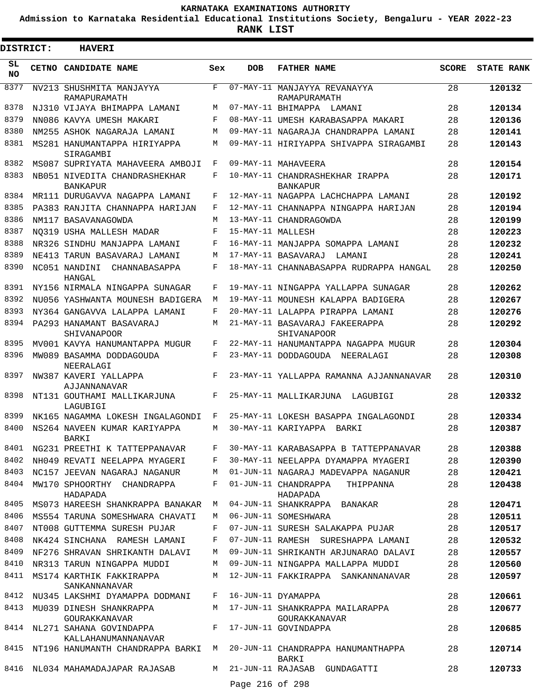**Admission to Karnataka Residential Educational Institutions Society, Bengaluru - YEAR 2022-23**

**RANK LIST**

ı

| <b>DISTRICT:</b> |              | <b>HAVERI</b>                                                          |        |                   |                                                                             |              |                   |
|------------------|--------------|------------------------------------------------------------------------|--------|-------------------|-----------------------------------------------------------------------------|--------------|-------------------|
| SL<br><b>NO</b>  | <b>CETNO</b> | <b>CANDIDATE NAME</b>                                                  | Sex    | <b>DOB</b>        | <b>FATHER NAME</b>                                                          | <b>SCORE</b> | <b>STATE RANK</b> |
| 8377             |              | NV213 SHUSHMITA MANJAYYA<br>RAMAPURAMATH                               | F      | $07 - MAX - 11$   | MANJAYYA REVANAYYA<br>RAMAPURAMATH                                          | 28           | 120132            |
| 8378             |              | NJ310 VIJAYA BHIMAPPA LAMANI                                           | M      |                   | 07-MAY-11 BHIMAPPA LAMANI                                                   | 28           | 120134            |
| 8379             |              | NN086 KAVYA UMESH MAKARI                                               | F      |                   | 08-MAY-11 UMESH KARABASAPPA MAKARI                                          | 28           | 120136            |
| 8380             |              | NM255 ASHOK NAGARAJA LAMANI                                            | М      |                   | 09-MAY-11 NAGARAJA CHANDRAPPA LAMANI                                        | 28           | 120141            |
| 8381             |              | MS281 HANUMANTAPPA HIRIYAPPA<br>SIRAGAMBI                              | М      |                   | 09-MAY-11 HIRIYAPPA SHIVAPPA SIRAGAMBI                                      | 28           | 120143            |
| 8382             |              | MS087 SUPRIYATA MAHAVEERA AMBOJI                                       | F      |                   | 09-MAY-11 MAHAVEERA                                                         | 28           | 120154            |
| 8383             |              | NB051 NIVEDITA CHANDRASHEKHAR<br><b>BANKAPUR</b>                       | F      |                   | 10-MAY-11 CHANDRASHEKHAR IRAPPA<br><b>BANKAPUR</b>                          | 28           | 120171            |
| 8384             |              | MR111 DURUGAVVA NAGAPPA LAMANI                                         | F      |                   | 12-MAY-11 NAGAPPA LACHCHAPPA LAMANI                                         | 28           | 120192            |
| 8385             |              | PA383 RANJITA CHANNAPPA HARIJAN                                        | F      |                   | 12-MAY-11 CHANNAPPA NINGAPPA HARIJAN                                        | 28           | 120194            |
| 8386             |              | NM117 BASAVANAGOWDA                                                    | М      |                   | 13-MAY-11 CHANDRAGOWDA                                                      | 28           | 120199            |
| 8387             |              | NO319 USHA MALLESH MADAR                                               | F      | 15-MAY-11 MALLESH |                                                                             | 28           | 120223            |
| 8388             |              | NR326 SINDHU MANJAPPA LAMANI                                           | F      |                   | 16-MAY-11 MANJAPPA SOMAPPA LAMANI                                           | 28           | 120232            |
| 8389             |              | NE413 TARUN BASAVARAJ LAMANI                                           | М      |                   | 17-MAY-11 BASAVARAJ LAMANI                                                  | 28           | 120241            |
| 8390             |              | NC051 NANDINI CHANNABASAPPA<br>HANGAL                                  | F      |                   | 18-MAY-11 CHANNABASAPPA RUDRAPPA HANGAL                                     | 28           | 120250            |
| 8391             |              | NY156 NIRMALA NINGAPPA SUNAGAR                                         | F      |                   | 19-MAY-11 NINGAPPA YALLAPPA SUNAGAR                                         | 28           | 120262            |
| 8392             |              | NU056 YASHWANTA MOUNESH BADIGERA                                       | M      |                   | 19-MAY-11 MOUNESH KALAPPA BADIGERA                                          | 28           | 120267            |
| 8393             |              | NY364 GANGAVVA LALAPPA LAMANI                                          | F      |                   | 20-MAY-11 LALAPPA PIRAPPA LAMANI                                            | 28           | 120276            |
| 8394             |              | PA293 HANAMANT BASAVARAJ<br>SHIVANAPOOR                                | М      |                   | 21-MAY-11 BASAVARAJ FAKEERAPPA<br>SHIVANAPOOR                               | 28           | 120292            |
| 8395             |              | MV001 KAVYA HANUMANTAPPA MUGUR                                         | F      |                   | 22-MAY-11 HANUMANTAPPA NAGAPPA MUGUR                                        | 28           | 120304            |
| 8396             |              | MW089 BASAMMA DODDAGOUDA<br>NEERALAGI                                  | F      |                   | 23-MAY-11 DODDAGOUDA NEERALAGI                                              | 28           | 120308            |
| 8397             |              | NW387 KAVERI YALLAPPA<br>AJJANNANAVAR                                  | F      |                   | 23-MAY-11 YALLAPPA RAMANNA AJJANNANAVAR                                     | 28           | 120310            |
| 8398             |              | NT131 GOUTHAMI MALLIKARJUNA<br>LAGUBIGI                                | F      |                   | 25-MAY-11 MALLIKARJUNA LAGUBIGI                                             | 28           | 120332            |
| 8399             |              | NK165 NAGAMMA LOKESH INGALAGONDI                                       | F      |                   | 25-MAY-11 LOKESH BASAPPA INGALAGONDI                                        | 28           | 120334            |
| 8400             |              | NS264 NAVEEN KUMAR KARIYAPPA<br>BARKI                                  | М      |                   | 30-MAY-11 KARIYAPPA BARKI                                                   | 28           | 120387            |
|                  |              | 8401 NG231 PREETHI K TATTEPPANAVAR                                     | F      |                   | 30-MAY-11 KARABASAPPA B TATTEPPANAVAR                                       | 28           | 120388            |
| 8402             |              | NH049 REVATI NEELAPPA MYAGERI                                          | F      |                   | 30-MAY-11 NEELAPPA DYAMAPPA MYAGERI                                         | 28           | 120390            |
| 8403<br>8404     |              | NC157 JEEVAN NAGARAJ NAGANUR<br>MW170 SPHOORTHY CHANDRAPPA             | М<br>F |                   | 01-JUN-11 NAGARAJ MADEVAPPA NAGANUR<br>01-JUN-11 CHANDRAPPA<br>THIPPANNA    | 28<br>28     | 120421<br>120438  |
| 8405             |              | HADAPADA                                                               |        |                   | HADAPADA                                                                    |              |                   |
| 8406             |              | MS073 HAREESH SHANKRAPPA BANAKAR                                       | M      |                   | 04-JUN-11 SHANKRAPPA BANAKAR<br>06-JUN-11 SOMESHWARA                        | 28<br>28     | 120471            |
| 8407             |              | MS554 TARUNA SOMESHWARA CHAVATI                                        | M<br>F |                   |                                                                             | 28           | 120511            |
| 8408             |              | NT008 GUTTEMMA SURESH PUJAR                                            | F      |                   | 07-JUN-11 SURESH SALAKAPPA PUJAR                                            | 28           | 120517            |
| 8409             |              | NK424 SINCHANA RAMESH LAMANI<br>NF276 SHRAVAN SHRIKANTH DALAVI         | М      |                   | 07-JUN-11 RAMESH SURESHAPPA LAMANI<br>09-JUN-11 SHRIKANTH ARJUNARAO DALAVI  | 28           | 120532            |
| 8410             |              |                                                                        | М      |                   | 09-JUN-11 NINGAPPA MALLAPPA MUDDI                                           | 28           | 120557<br>120560  |
| 8411             |              | NR313 TARUN NINGAPPA MUDDI                                             | М      |                   | 12-JUN-11 FAKKIRAPPA SANKANNANAVAR                                          | 28           |                   |
| 8412             |              | MS174 KARTHIK FAKKIRAPPA<br>SANKANNANAVAR                              | F      |                   | 16-JUN-11 DYAMAPPA                                                          |              | 120597            |
|                  |              | NU345 LAKSHMI DYAMAPPA DODMANI                                         |        |                   |                                                                             | 28           | 120661            |
| 8413             |              | MU039 DINESH SHANKRAPPA<br>GOURAKKANAVAR                               |        |                   | M 17-JUN-11 SHANKRAPPA MAILARAPPA<br>GOURAKKANAVAR                          | 28           | 120677            |
|                  |              | 8414 NL271 SAHANA GOVINDAPPA<br>KALLAHANUMANNANAVAR                    | F      |                   | 17-JUN-11 GOVINDAPPA                                                        | 28           | 120685            |
| 8416             |              | 8415 NT196 HANUMANTH CHANDRAPPA BARKI M<br>NL034 MAHAMADAJAPAR RAJASAB | M      |                   | 20-JUN-11 CHANDRAPPA HANUMANTHAPPA<br>BARKI<br>21-JUN-11 RAJASAB GUNDAGATTI | 28<br>28     | 120714<br>120733  |
|                  |              |                                                                        |        | Page 216 of 298   |                                                                             |              |                   |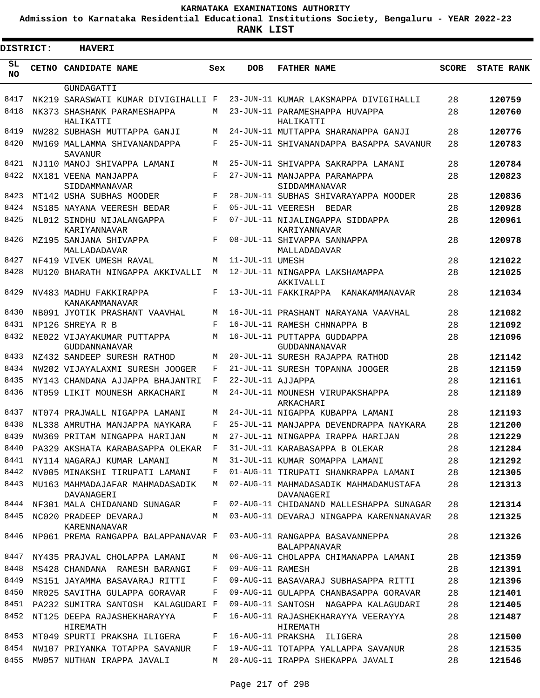**Admission to Karnataka Residential Educational Institutions Society, Bengaluru - YEAR 2022-23**

.

**RANK LIST**

| DISTRICT:    | <b>HAVERI</b>                                |              |                   |                                                       |              |                   |
|--------------|----------------------------------------------|--------------|-------------------|-------------------------------------------------------|--------------|-------------------|
| SL.<br>NO.   | <b>CETNO CANDIDATE NAME</b>                  | Sex          | <b>DOB</b>        | <b>FATHER NAME</b>                                    | <b>SCORE</b> | <b>STATE RANK</b> |
|              | GUNDAGATTI                                   |              |                   |                                                       |              |                   |
| 8417         | NK219 SARASWATI KUMAR DIVIGIHALLI F          |              |                   | 23-JUN-11 KUMAR LAKSMAPPA DIVIGIHALLI                 | 28           | 120759            |
| 8418         | NK373 SHASHANK PARAMESHAPPA<br>HALIKATTI     | M            |                   | 23-JUN-11 PARAMESHAPPA HUVAPPA<br>HALIKATTI           | 28           | 120760            |
| 8419         | NW282 SUBHASH MUTTAPPA GANJI                 | M            |                   | 24-JUN-11 MUTTAPPA SHARANAPPA GANJI                   | 28           | 120776            |
| 8420         | MW169 MALLAMMA SHIVANANDAPPA                 | F            |                   | 25-JUN-11 SHIVANANDAPPA BASAPPA SAVANUR               | 28           | 120783            |
|              | SAVANUR                                      |              |                   |                                                       |              |                   |
| 8421         | NJ110 MANOJ SHIVAPPA LAMANI                  | M            |                   | 25-JUN-11 SHIVAPPA SAKRAPPA LAMANI                    | 28           | 120784            |
| 8422         | NX181 VEENA MANJAPPA                         | $_{\rm F}$   |                   | 27-JUN-11 MANJAPPA PARAMAPPA                          | 28           | 120823            |
| 8423         | SIDDAMMANAVAR<br>MT142 USHA SUBHAS MOODER    | F            |                   | SIDDAMMANAVAR<br>28-JUN-11 SUBHAS SHIVARAYAPPA MOODER | 28           | 120836            |
| 8424         | NS185 NAYANA VEERESH BEDAR                   | F            |                   | 05-JUL-11 VEERESH BEDAR                               | 28           | 120928            |
| 8425         | NL012 SINDHU NIJALANGAPPA                    | $\mathbf{F}$ |                   | 07-JUL-11 NIJALINGAPPA SIDDAPPA                       | 28           | 120961            |
|              | KARIYANNAVAR                                 |              |                   | KARIYANNAVAR                                          |              |                   |
| 8426         | MZ195 SANJANA SHIVAPPA                       | F            |                   | 08-JUL-11 SHIVAPPA SANNAPPA                           | 28           | 120978            |
|              | MALLADADAVAR                                 |              |                   | MALLADADAVAR                                          |              |                   |
| 8427         | NF419 VIVEK UMESH RAVAL                      | M            | 11-JUL-11 UMESH   |                                                       | 28           | 121022            |
| 8428         | MU120 BHARATH NINGAPPA AKKIVALLI             | M            |                   | 12-JUL-11 NINGAPPA LAKSHAMAPPA<br>AKKIVALLI           | 28           | 121025            |
| 8429         | NV483 MADHU FAKKIRAPPA                       | F            |                   | 13-JUL-11 FAKKIRAPPA KANAKAMMANAVAR                   | 28           | 121034            |
|              | KANAKAMMANAVAR                               |              |                   |                                                       |              |                   |
| 8430         | NB091 JYOTIK PRASHANT VAAVHAL                | M            |                   | 16-JUL-11 PRASHANT NARAYANA VAAVHAL                   | 28           | 121082            |
| 8431         | NP126 SHREYA R B                             | F            |                   | 16-JUL-11 RAMESH CHNNAPPA B                           | 28           | 121092            |
| 8432         | NE022 VIJAYAKUMAR PUTTAPPA                   | M            |                   | 16-JUL-11 PUTTAPPA GUDDAPPA                           | 28           | 121096            |
| 8433         | GUDDANNANAVAR<br>NZ432 SANDEEP SURESH RATHOD | M            |                   | GUDDANNANAVAR<br>20-JUL-11 SURESH RAJAPPA RATHOD      | 28           | 121142            |
| 8434         | NW202 VIJAYALAXMI SURESH JOOGER              | F            |                   | 21-JUL-11 SURESH TOPANNA JOOGER                       | 28           | 121159            |
| 8435         | MY143 CHANDANA AJJAPPA BHAJANTRI             | F            | 22-JUL-11 AJJAPPA |                                                       | 28           | 121161            |
| 8436         | NT059 LIKIT MOUNESH ARKACHARI                | М            |                   | 24-JUL-11 MOUNESH VIRUPAKSHAPPA                       | 28           | 121189            |
|              |                                              |              |                   | ARKACHARI                                             |              |                   |
| 8437         | NT074 PRAJWALL NIGAPPA LAMANI                | M            |                   | 24-JUL-11 NIGAPPA KUBAPPA LAMANI                      | 28           | 121193            |
| 8438         | NL338 AMRUTHA MANJAPPA NAYKARA               | F            |                   | 25-JUL-11 MANJAPPA DEVENDRAPPA NAYKARA                | 28           | 121200            |
|              | 8439 NW369 PRITAM NINGAPPA HARIJAN           | M            |                   | 27-JUL-11 NINGAPPA IRAPPA HARIJAN                     | 28           | 121229            |
| 8440         | PA329 AKSHATA KARABASAPPA OLEKAR             | $\mathbb{F}$ |                   | 31-JUL-11 KARABASAPPA B OLEKAR                        | 28           | 121284            |
| 8441         | NY114 NAGARAJ KUMAR LAMANI                   | М            |                   | 31-JUL-11 KUMAR SOMAPPA LAMANI                        | 28           | 121292            |
| 8442         | NV005 MINAKSHI TIRUPATI LAMANI               | F            |                   | 01-AUG-11 TIRUPATI SHANKRAPPA LAMANI                  | 28           | 121305            |
| 8443         | MU163 MAHMADAJAFAR MAHMADASADIK              | M            |                   | 02-AUG-11 MAHMADASADIK MAHMADAMUSTAFA                 | 28           | 121313            |
| 8444         | DAVANAGERI<br>NF301 MALA CHIDANAND SUNAGAR   | F            |                   | DAVANAGERI<br>02-AUG-11 CHIDANAND MALLESHAPPA SUNAGAR | 28           | 121314            |
| 8445         | NC020 PRADEEP DEVARAJ                        | М            |                   | 03-AUG-11 DEVARAJ NINGAPPA KARENNANAVAR               | 28           | 121325            |
|              | KARENNANAVAR                                 |              |                   |                                                       |              |                   |
| 8446         | NP061 PREMA RANGAPPA BALAPPANAVAR F          |              |                   | 03-AUG-11 RANGAPPA BASAVANNEPPA                       | 28           | 121326            |
|              |                                              |              |                   | <b>BALAPPANAVAR</b>                                   |              |                   |
| 8447         | NY435 PRAJVAL CHOLAPPA LAMANI                | M            |                   | 06-AUG-11 CHOLAPPA CHIMANAPPA LAMANI                  | 28           | 121359            |
| 8448         | MS428 CHANDANA RAMESH BARANGI                | F            | 09-AUG-11 RAMESH  |                                                       | 28           | 121391            |
| 8449         | MS151 JAYAMMA BASAVARAJ RITTI                | F            |                   | 09-AUG-11 BASAVARAJ SUBHASAPPA RITTI                  | 28           | 121396            |
| 8450         | MR025 SAVITHA GULAPPA GORAVAR                | F            |                   | 09-AUG-11 GULAPPA CHANBASAPPA GORAVAR                 | 28           | 121401            |
| 8451<br>8452 | PA232 SUMITRA SANTOSH KALAGUDARI F           |              |                   | 09-AUG-11 SANTOSH NAGAPPA KALAGUDARI                  | 28           | 121405            |
|              | NT125 DEEPA RAJASHEKHARAYYA<br>HIREMATH      | F            |                   | 16-AUG-11 RAJASHEKHARAYYA VEERAYYA<br>HIREMATH        | 28           | 121487            |
| 8453         | MT049 SPURTI PRAKSHA ILIGERA                 | F            |                   | 16-AUG-11 PRAKSHA ILIGERA                             | 28           | 121500            |
| 8454         | NW107 PRIYANKA TOTAPPA SAVANUR               | F            |                   | 19-AUG-11 TOTAPPA YALLAPPA SAVANUR                    | 28           | 121535            |
| 8455         | MW057 NUTHAN IRAPPA JAVALI                   | М            |                   | 20-AUG-11 IRAPPA SHEKAPPA JAVALI                      | 28           | 121546            |
|              |                                              |              |                   |                                                       |              |                   |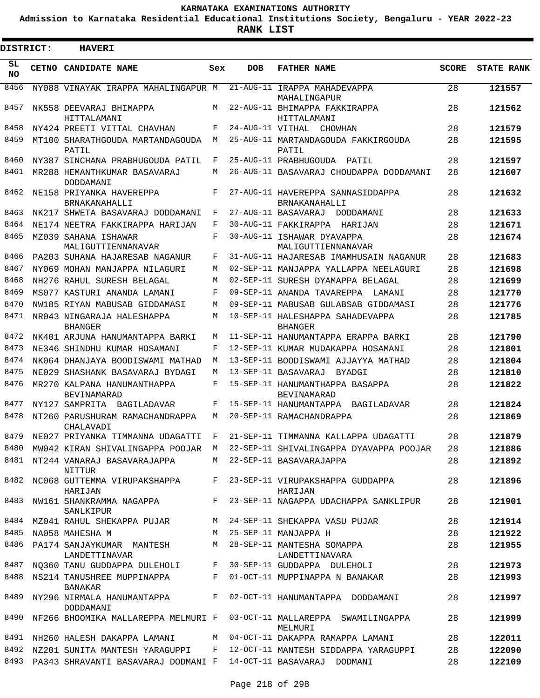**Admission to Karnataka Residential Educational Institutions Society, Bengaluru - YEAR 2022-23**

 $\blacksquare$ 

**RANK LIST**

Е

| <b>DISTRICT:</b> | <b>HAVERI</b>                                                                |     |                  |                                                                                        |              |                   |
|------------------|------------------------------------------------------------------------------|-----|------------------|----------------------------------------------------------------------------------------|--------------|-------------------|
| SL<br>NO.        | CETNO CANDIDATE NAME                                                         | Sex | <b>DOB</b>       | <b>FATHER NAME</b>                                                                     | <b>SCORE</b> | <b>STATE RANK</b> |
| 8456             | NY088 VINAYAK IRAPPA MAHALINGAPUR M                                          |     |                  | 21-AUG-11 IRAPPA MAHADEVAPPA<br>MAHALINGAPUR                                           | 28           | 121557            |
| 8457             | NK558 DEEVARAJ BHIMAPPA<br>HITTALAMANI                                       | M   |                  | 22-AUG-11 BHIMAPPA FAKKIRAPPA<br>HITTALAMANI                                           | 28           | 121562            |
| 8458             | NY424 PREETI VITTAL CHAVHAN                                                  | F   | 24-AUG-11 VITHAL | CHOWHAN                                                                                | 28           | 121579            |
| 8459             | MT100 SHARATHGOUDA MARTANDAGOUDA<br>PATIL                                    | M   |                  | 25-AUG-11 MARTANDAGOUDA FAKKIRGOUDA<br>PATIL                                           | 28           | 121595            |
| 8460             | NY387 SINCHANA PRABHUGOUDA PATIL                                             | F   |                  | 25-AUG-11 PRABHUGOUDA PATIL                                                            | 28           | 121597            |
| 8461             | MR288 HEMANTHKUMAR BASAVARAJ<br>DODDAMANI                                    | М   |                  | 26-AUG-11 BASAVARAJ CHOUDAPPA DODDAMANI                                                | 28           | 121607            |
| 8462             | NE158 PRIYANKA HAVEREPPA<br>BRNAKANAHALLI                                    | F   |                  | 27-AUG-11 HAVEREPPA SANNASIDDAPPA<br>BRNAKANAHALLI                                     | 28           | 121632            |
| 8463             | NK217 SHWETA BASAVARAJ DODDAMANI                                             | F   |                  | 27-AUG-11 BASAVARAJ<br>DODDAMANI                                                       | 28           | 121633            |
| 8464             | NE174 NEETRA FAKKIRAPPA HARIJAN                                              | F   |                  | 30-AUG-11 FAKKIRAPPA HARIJAN                                                           | 28           | 121671            |
| 8465             | MZ039 SAHANA ISHAWAR<br>MALIGUTTIENNANAVAR                                   | F   |                  | 30-AUG-11 ISHAWAR DYAVAPPA<br>MALIGUTTIENNANAVAR                                       | 28           | 121674            |
| 8466             | PA203 SUHANA HAJARESAB NAGANUR                                               | F   |                  | 31-AUG-11 HAJARESAB IMAMHUSAIN NAGANUR                                                 | 28           | 121683            |
| 8467             | NY069 MOHAN MANJAPPA NILAGURI                                                | M   |                  | 02-SEP-11 MANJAPPA YALLAPPA NEELAGURI                                                  | 28           | 121698            |
| 8468             | NH276 RAHUL SURESH BELAGAL                                                   | M   |                  | 02-SEP-11 SURESH DYAMAPPA BELAGAL                                                      | 28           | 121699            |
| 8469             | MS077 KASTURI ANANDA LAMANI                                                  | F   |                  | 09-SEP-11 ANANDA TAVAREPPA<br>LAMANI                                                   | 28           | 121770            |
| 8470             | NW185 RIYAN MABUSAB GIDDAMASI                                                | M   |                  | 09-SEP-11 MABUSAB GULABSAB GIDDAMASI                                                   | 28           | 121776            |
| 8471             | NR043 NINGARAJA HALESHAPPA<br><b>BHANGER</b>                                 | M   |                  | 10-SEP-11 HALESHAPPA SAHADEVAPPA<br><b>BHANGER</b>                                     | 28           | 121785            |
| 8472             | NK401 ARJUNA HANUMANTAPPA BARKI                                              | М   |                  | 11-SEP-11 HANUMANTAPPA ERAPPA BARKI                                                    | 28           | 121790            |
| 8473             | NE346 SHINDHU KUMAR HOSAMANI                                                 | F   |                  | 12-SEP-11 KUMAR MUDAKAPPA HOSAMANI                                                     | 28           | 121801            |
| 8474             | NK064 DHANJAYA BOODISWAMI MATHAD                                             | M   |                  | 13-SEP-11 BOODISWAMI AJJAYYA MATHAD                                                    | 28           | 121804            |
| 8475             | NE029 SHASHANK BASAVARAJ BYDAGI                                              | М   |                  | 13-SEP-11 BASAVARAJ<br>BYADGI                                                          | 28           | 121810            |
| 8476             | MR270 KALPANA HANUMANTHAPPA<br>BEVINAMARAD                                   | F   |                  | 15-SEP-11 HANUMANTHAPPA BASAPPA<br><b>BEVINAMARAD</b>                                  | 28           | 121822            |
| 8477             | NY127 SAMPRITA BAGILADAVAR                                                   | F   |                  | 15-SEP-11 HANUMANTAPPA BAGILADAVAR                                                     | 28           | 121824            |
| 8478             | NT260 PARUSHURAM RAMACHANDRAPPA<br>CHALAVADI                                 | М   |                  | 20-SEP-11 RAMACHANDRAPPA                                                               | 28           | 121869            |
| 8479             | NE027 PRIYANKA TIMMANNA UDAGATTI                                             | F   |                  | 21-SEP-11 TIMMANNA KALLAPPA UDAGATTI                                                   | 28           | 121879            |
|                  |                                                                              |     |                  | 8480 MW042 KIRAN SHIVALINGAPPA POOJAR M 22-SEP-11 SHIVALINGAPPA DYAVAPPA POOJAR        | 28           | 121886            |
|                  | 8481 NT244 VANARAJ BASAVARAJAPPA M 22-SEP-11 BASAVARAJAPPA<br>NITTUR         |     |                  |                                                                                        | 28           | 121892            |
|                  | HARIJAN                                                                      |     |                  | 8482 NC068 GUTTEMMA VIRUPAKSHAPPA F 23-SEP-11 VIRUPAKSHAPPA GUDDAPPA<br>HARIJAN        | 28           | 121896            |
|                  | SANLKIPUR                                                                    |     |                  | 8483 NW161 SHANKRAMMA NAGAPPA F 23-SEP-11 NAGAPPA UDACHAPPA SANKLIPUR                  | 28           | 121901            |
|                  | 8484 MZ041 RAHUL SHEKAPPA PUJAR M 24-SEP-11 SHEKAPPA VASU PUJAR              |     |                  |                                                                                        | 28           | 121914            |
|                  | 8485 NA058 MAHESHA M                                                         |     |                  | M 25-SEP-11 MANJAPPA H                                                                 | 28           | 121922            |
|                  | 8486 PA174 SANJAYKUMAR MANTESH M 28-SEP-11 MANTESHA SOMAPPA<br>LANDETTINAVAR |     |                  | LANDETTINAVARA                                                                         | 28           | 121955            |
|                  |                                                                              |     |                  | 8487 NQ360 TANU GUDDAPPA DULEHOLI F 30-SEP-11 GUDDAPPA DULEHOLI                        | 28           | 121973            |
|                  | BANAKAR                                                                      |     |                  | 8488 NS214 TANUSHREE MUPPINAPPA F 01-OCT-11 MUPPINAPPA N BANAKAR                       | 28           | 121993            |
|                  | DODDAMANI                                                                    |     |                  | 8489 NY296 NIRMALA HANUMANTAPPA F 02-OCT-11 HANUMANTAPPA DODDAMANI                     | 28           | 121997            |
|                  |                                                                              |     |                  | 8490 NF266 BHOOMIKA MALLAREPPA MELMURI F 03-OCT-11 MALLAREPPA SWAMILINGAPPA<br>MELMURI | 28           | 121999            |
|                  |                                                                              |     |                  | 8491 NH260 HALESH DAKAPPA LAMANI M 04-OCT-11 DAKAPPA RAMAPPA LAMANI                    | 28           | 122011            |
|                  |                                                                              |     |                  | 8492 NZ201 SUNITA MANTESH YARAGUPPI F 12-OCT-11 MANTESH SIDDAPPA YARAGUPPI             | 28           | 122090            |
|                  | 8493 PA343 SHRAVANTI BASAVARAJ DODMANI F 14-OCT-11 BASAVARAJ DODMANI         |     |                  |                                                                                        | 28           | 122109            |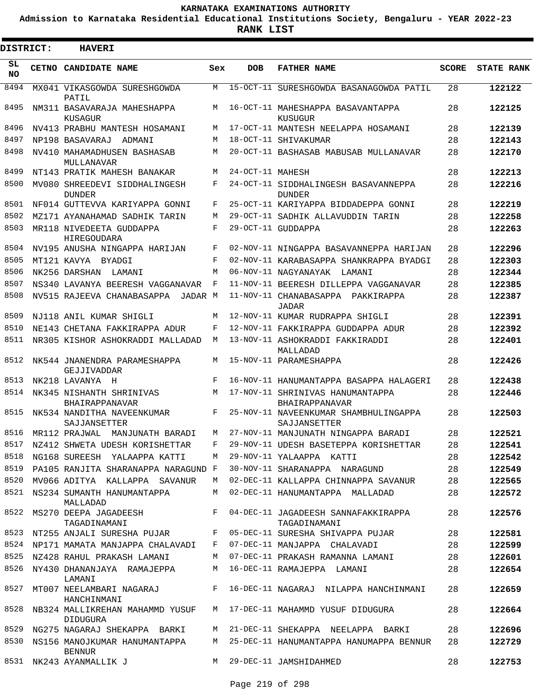**Admission to Karnataka Residential Educational Institutions Society, Bengaluru - YEAR 2022-23**

**RANK LIST**

 $\blacksquare$ 

3

| <b>DISTRICT:</b> | <b>HAVERI</b>                                                                       |     |                  |                                                                        |              |                   |
|------------------|-------------------------------------------------------------------------------------|-----|------------------|------------------------------------------------------------------------|--------------|-------------------|
| SL<br><b>NO</b>  | CETNO CANDIDATE NAME                                                                | Sex | <b>DOB</b>       | <b>FATHER NAME</b>                                                     | <b>SCORE</b> | <b>STATE RANK</b> |
| 8494             | MX041 VIKASGOWDA SURESHGOWDA<br>PATIL                                               | M   |                  | 15-OCT-11 SURESHGOWDA BASANAGOWDA PATIL                                | 28           | 122122            |
| 8495             | NM311 BASAVARAJA MAHESHAPPA<br>KUSAGUR                                              | M   |                  | 16-OCT-11 MAHESHAPPA BASAVANTAPPA<br>KUSUGUR                           | 28           | 122125            |
| 8496             | NV413 PRABHU MANTESH HOSAMANI                                                       | M   |                  | 17-OCT-11 MANTESH NEELAPPA HOSAMANI                                    | 28           | 122139            |
| 8497             | NP198 BASAVARAJ<br>ADMANI                                                           | M   |                  | 18-OCT-11 SHIVAKUMAR                                                   | 28           | 122143            |
| 8498             | NV410 MAHAMADHUSEN BASHASAB<br>MULLANAVAR                                           | M   |                  | 20-OCT-11 BASHASAB MABUSAB MULLANAVAR                                  | 28           | 122170            |
| 8499             | NT143 PRATIK MAHESH BANAKAR                                                         | M   | 24-OCT-11 MAHESH |                                                                        | 28           | 122213            |
| 8500             | MV080 SHREEDEVI SIDDHALINGESH<br><b>DUNDER</b>                                      | F   |                  | 24-OCT-11 SIDDHALINGESH BASAVANNEPPA<br><b>DUNDER</b>                  | 28           | 122216            |
| 8501             | NF014 GUTTEVVA KARIYAPPA GONNI                                                      | F   |                  | 25-OCT-11 KARIYAPPA BIDDADEPPA GONNI                                   | 28           | 122219            |
| 8502             | MZ171 AYANAHAMAD SADHIK TARIN                                                       | M   |                  | 29-OCT-11 SADHIK ALLAVUDDIN TARIN                                      | 28           | 122258            |
| 8503             | MR118 NIVEDEETA GUDDAPPA<br>HIREGOUDARA                                             | F   |                  | 29-OCT-11 GUDDAPPA                                                     | 28           | 122263            |
| 8504             | NV195 ANUSHA NINGAPPA HARIJAN                                                       | F   |                  | 02-NOV-11 NINGAPPA BASAVANNEPPA HARIJAN                                | 28           | 122296            |
| 8505             | MT121 KAVYA BYADGI                                                                  | F   |                  | 02-NOV-11 KARABASAPPA SHANKRAPPA BYADGI                                | 28           | 122303            |
| 8506             | NK256 DARSHAN<br>LAMANI                                                             | M   |                  | 06-NOV-11 NAGYANAYAK<br>LAMANI                                         | 28           | 122344            |
| 8507             | NS340 LAVANYA BEERESH VAGGANAVAR                                                    | F   |                  | 11-NOV-11 BEERESH DILLEPPA VAGGANAVAR                                  | 28           | 122385            |
| 8508             | NV515 RAJEEVA CHANABASAPPA JADAR M                                                  |     |                  | 11-NOV-11 CHANABASAPPA PAKKIRAPPA<br>JADAR                             | 28           | 122387            |
| 8509             | NJ118 ANIL KUMAR SHIGLI                                                             | M   |                  | 12-NOV-11 KUMAR RUDRAPPA SHIGLI                                        | 28           | 122391            |
| 8510             | NE143 CHETANA FAKKIRAPPA ADUR                                                       | F   |                  | 12-NOV-11 FAKKIRAPPA GUDDAPPA ADUR                                     | 28           | 122392            |
| 8511             | NR305 KISHOR ASHOKRADDI MALLADAD                                                    | M   |                  | 13-NOV-11 ASHOKRADDI FAKKIRADDI<br>MALLADAD                            | 28           | 122401            |
| 8512             | NK544 JNANENDRA PARAMESHAPPA<br>GEJJIVADDAR                                         | M   |                  | 15-NOV-11 PARAMESHAPPA                                                 | 28           | 122426            |
| 8513             | NK218 LAVANYA H                                                                     | F   |                  | 16-NOV-11 HANUMANTAPPA BASAPPA HALAGERI                                | 28           | 122438            |
| 8514             | NK345 NISHANTH SHRINIVAS<br>BHAIRAPPANAVAR                                          | M   |                  | 17-NOV-11 SHRINIVAS HANUMANTAPPA<br>BHAIRAPPANAVAR                     | 28           | 122446            |
| 8515             | NK534 NANDITHA NAVEENKUMAR<br>SAJJANSETTER                                          | F   |                  | 25-NOV-11 NAVEENKUMAR SHAMBHULINGAPPA<br>SAJJANSETTER                  | 28           | 122503            |
| 8516             | MR112 PRAJWAL<br>MANJUNATH BARADI                                                   | M   |                  | 27-NOV-11 MANJUNATH NINGAPPA BARADI                                    | 28           | 122521            |
| 8517             | NZ412 SHWETA UDESH KORISHETTAR                                                      | F   |                  | 29-NOV-11 UDESH BASETEPPA KORISHETTAR                                  | 28           | 122541            |
| 8518             | NG168 SUREESH YALAAPPA KATTI                                                        | M   |                  | 29-NOV-11 YALAAPPA KATTI                                               | 28           | 122542            |
| 8519             | PA105 RANJITA SHARANAPPA NARAGUND F                                                 |     |                  | 30-NOV-11 SHARANAPPA NARAGUND                                          | 28           | 122549            |
| 8520             | MV066 ADITYA KALLAPPA SAVANUR                                                       | M   |                  | 02-DEC-11 KALLAPPA CHINNAPPA SAVANUR                                   | 28           | 122565            |
| 8521<br>8522     | NS234 SUMANTH HANUMANTAPPA<br>MALLADAD<br>MS270 DEEPA JAGADEESH F                   | M   |                  | 02-DEC-11 HANUMANTAPPA MALLADAD<br>04-DEC-11 JAGADEESH SANNAFAKKIRAPPA | 28<br>28     | 122572<br>122576  |
|                  | TAGADINAMANI                                                                        |     |                  | TAGADINAMANI                                                           |              |                   |
| 8524             | 8523 NT255 ANJALI SURESHA PUJAR F<br>NP171 MAMATA MANJAPPA CHALAVADI                |     |                  | 05-DEC-11 SURESHA SHIVAPPA PUJAR                                       | 28           | 122581<br>122599  |
| 8525             |                                                                                     | F   |                  | 07-DEC-11 MANJAPPA CHALAVADI                                           | 28           |                   |
|                  | NZ428 RAHUL PRAKASH LAMANI                                                          | M   |                  | 07-DEC-11 PRAKASH RAMANNA LAMANI                                       | 28<br>28     | 122601            |
| 8526             | NY430 DHANANJAYA RAMAJEPPA<br>LAMANI                                                | M   |                  | 16-DEC-11 RAMAJEPPA LAMANI                                             |              | 122654            |
| 8527             | $\mathbf{F}$ and the set of $\mathbf{F}$<br>MT007 NEELAMBARI NAGARAJ<br>HANCHINMANI |     |                  | 16-DEC-11 NAGARAJ NILAPPA HANCHINMANI                                  | 28           | 122659            |
| 8528             | NB324 MALLIKREHAN MAHAMMD YUSUF<br>DIDUGURA                                         |     |                  | M 17-DEC-11 MAHAMMD YUSUF DIDUGURA                                     | 28           | 122664            |
| 8529             | NG275 NAGARAJ SHEKAPPA BARKI                                                        | M   |                  | 21-DEC-11 SHEKAPPA NEELAPPA BARKI                                      | 28           | 122696            |
| 8530             | NS156 MANOJKUMAR HANUMANTAPPA<br><b>BENNUR</b>                                      | M   |                  | 25-DEC-11 HANUMANTAPPA HANUMAPPA BENNUR                                | 28           | 122729            |
| 8531             | NK243 AYANMALLIK J                                                                  | M   |                  | 29-DEC-11 JAMSHIDAHMED                                                 | 28           | 122753            |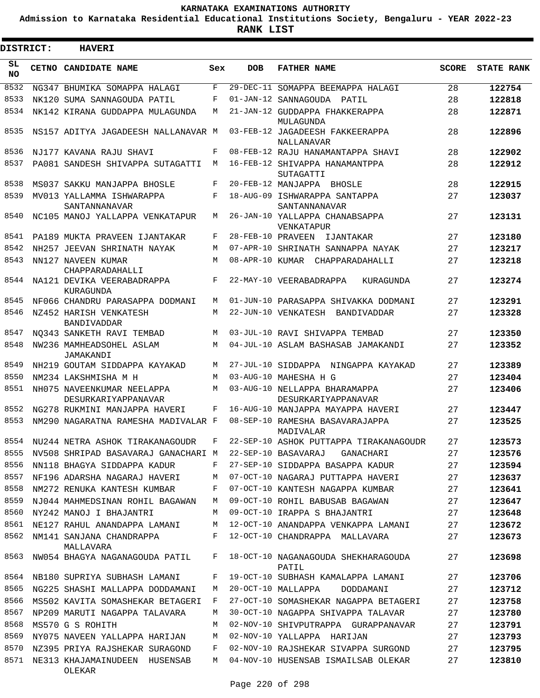**Admission to Karnataka Residential Educational Institutions Society, Bengaluru - YEAR 2022-23**

**RANK LIST**

| <b>DISTRICT:</b> | <b>HAVERI</b>                                     |              |                   |                                                      |              |                   |
|------------------|---------------------------------------------------|--------------|-------------------|------------------------------------------------------|--------------|-------------------|
| SL<br><b>NO</b>  | CETNO CANDIDATE NAME                              | Sex          | <b>DOB</b>        | <b>FATHER NAME</b>                                   | <b>SCORE</b> | <b>STATE RANK</b> |
| 8532             | NG347 BHUMIKA SOMAPPA HALAGI                      | F            |                   | 29-DEC-11 SOMAPPA BEEMAPPA HALAGI                    | 28           | 122754            |
| 8533             | NK120 SUMA SANNAGOUDA PATIL                       | F            |                   | 01-JAN-12 SANNAGOUDA PATIL                           | 28           | 122818            |
| 8534             | NK142 KIRANA GUDDAPPA MULAGUNDA                   | M            |                   | 21-JAN-12 GUDDAPPA FHAKKERAPPA<br>MULAGUNDA          | 28           | 122871            |
| 8535             | NS157 ADITYA JAGADEESH NALLANAVAR M               |              |                   | 03-FEB-12 JAGADEESH FAKKEERAPPA<br>NALLANAVAR        | 28           | 122896            |
| 8536             | NJ177 KAVANA RAJU SHAVI                           | F            |                   | 08-FEB-12 RAJU HANAMANTAPPA SHAVI                    | 28           | 122902            |
| 8537             | PA081 SANDESH SHIVAPPA SUTAGATTI                  | M            |                   | 16-FEB-12 SHIVAPPA HANAMANTPPA<br>SUTAGATTI          | 28           | 122912            |
| 8538             | MS037 SAKKU MANJAPPA BHOSLE                       | F            |                   | 20-FEB-12 MANJAPPA BHOSLE                            | 28           | 122915            |
| 8539             | MV013 YALLAMMA ISHWARAPPA<br>SANTANNANAVAR        | F            |                   | 18-AUG-09 ISHWARAPPA SANTAPPA<br>SANTANNANAVAR       | 27           | 123037            |
| 8540             | NC105 MANOJ YALLAPPA VENKATAPUR                   | М            |                   | 26-JAN-10 YALLAPPA CHANABSAPPA<br>VENKATAPUR         | 27           | 123131            |
| 8541             | PA189 MUKTA PRAVEEN LJANTAKAR                     | F            | 28-FEB-10 PRAVEEN | IJANTAKAR                                            | 27           | 123180            |
| 8542             | NH257 JEEVAN SHRINATH NAYAK                       | M            |                   | 07-APR-10 SHRINATH SANNAPPA NAYAK                    | 27           | 123217            |
| 8543             | NN127 NAVEEN KUMAR<br>CHAPPARADAHALLI             | M            |                   | 08-APR-10 KUMAR CHAPPARADAHALLI                      | 27           | 123218            |
| 8544             | NA121 DEVIKA VEERABADRAPPA<br>KURAGUNDA           | F            |                   | 22-MAY-10 VEERABADRAPPA<br>KURAGUNDA                 | 27           | 123274            |
| 8545             | NF066 CHANDRU PARASAPPA DODMANI                   | М            |                   | 01-JUN-10 PARASAPPA SHIVAKKA DODMANI                 | 27           | 123291            |
| 8546             | NZ452 HARISH VENKATESH<br><b>BANDIVADDAR</b>      | М            |                   | 22-JUN-10 VENKATESH BANDIVADDAR                      | 27           | 123328            |
| 8547             | NO343 SANKETH RAVI TEMBAD                         | M            |                   | 03-JUL-10 RAVI SHIVAPPA TEMBAD                       | 27           | 123350            |
| 8548             | NW236 MAMHEADSOHEL ASLAM<br>JAMAKANDI             | M            |                   | 04-JUL-10 ASLAM BASHASAB JAMAKANDI                   | 27           | 123352            |
| 8549             | NH219 GOUTAM SIDDAPPA KAYAKAD                     | М            |                   | 27-JUL-10 SIDDAPPA NINGAPPA KAYAKAD                  | 27           | 123389            |
| 8550             | NM234 LAKSHMISHA M H                              | M            |                   | 03-AUG-10 MAHESHA H G                                | 27           | 123404            |
| 8551             | NH075 NAVEENKUMAR NEELAPPA<br>DESURKARIYAPPANAVAR | M            |                   | 03-AUG-10 NELLAPPA BHARAMAPPA<br>DESURKARIYAPPANAVAR | 27           | 123406            |
| 8552             | NG278 RUKMINI MANJAPPA HAVERI                     | F            |                   | 16-AUG-10 MANJAPPA MAYAPPA HAVERI                    | 27           | 123447            |
| 8553             | NM290 NAGARATNA RAMESHA MADIVALAR F               |              |                   | 08-SEP-10 RAMESHA BASAVARAJAPPA<br>MADIVALAR         | 27           | 123525            |
|                  | 8554 NU244 NETRA ASHOK TIRAKANAGOUDR              | $\mathbf{F}$ |                   | 22-SEP-10 ASHOK PUTTAPPA TIRAKANAGOUDR               | 27           | 123573            |
| 8555             | NV508 SHRIPAD BASAVARAJ GANACHARI M               |              |                   | 22-SEP-10 BASAVARAJ<br>GANACHARI                     | 27           | 123576            |
| 8556             | NN118 BHAGYA SIDDAPPA KADUR                       | F            |                   | 27-SEP-10 SIDDAPPA BASAPPA KADUR                     | 27           | 123594            |
| 8557             | NF196 ADARSHA NAGARAJ HAVERI                      | М            |                   | 07-OCT-10 NAGARAJ PUTTAPPA HAVERI                    | 27           | 123637            |
| 8558             | NM272 RENUKA KANTESH KUMBAR                       | F            |                   | 07-OCT-10 KANTESH NAGAPPA KUMBAR                     | 27           | 123641            |
| 8559             | NJ044 MAHMEDSINAN ROHIL BAGAWAN                   | М            |                   | 09-OCT-10 ROHIL BABUSAB BAGAWAN                      | 27           | 123647            |
| 8560             | NY242 MANOJ I BHAJANTRI                           | М            |                   | 09-OCT-10 IRAPPA S BHAJANTRI                         | 27           | 123648            |
| 8561             | NE127 RAHUL ANANDAPPA LAMANI                      | М            |                   | 12-OCT-10 ANANDAPPA VENKAPPA LAMANI                  | 27           | 123672            |
| 8562             | NM141 SANJANA CHANDRAPPA<br>MALLAVARA             | F            |                   | 12-OCT-10 CHANDRAPPA MALLAVARA                       | 27           | 123673            |
| 8563             | NW054 BHAGYA NAGANAGOUDA PATIL                    | F            |                   | 18-OCT-10 NAGANAGOUDA SHEKHARAGOUDA<br>PATIL         | 27           | 123698            |
| 8564             | NB180 SUPRIYA SUBHASH LAMANI                      | F            |                   | 19-OCT-10 SUBHASH KAMALAPPA LAMANI                   | 27           | 123706            |
| 8565             | NG225 SHASHI MALLAPPA DODDAMANI                   | M            |                   | 20-OCT-10 MALLAPPA<br>DODDAMANI                      | 27           | 123712            |
| 8566             | MS502 KAVITA SOMASHEKAR BETAGERI                  | F            |                   | 27-OCT-10 SOMASHEKAR NAGAPPA BETAGERI                | 27           | 123758            |
| 8567             | NP209 MARUTI NAGAPPA TALAVARA                     | М            |                   | 30-OCT-10 NAGAPPA SHIVAPPA TALAVAR                   | 27           | 123780            |
| 8568             | MS570 G S ROHITH                                  | М            |                   | 02-NOV-10 SHIVPUTRAPPA GURAPPANAVAR                  | 27           | 123791            |
| 8569             | NY075 NAVEEN YALLAPPA HARIJAN                     | М            |                   | 02-NOV-10 YALLAPPA HARIJAN                           | 27           | 123793            |
| 8570             | NZ395 PRIYA RAJSHEKAR SURAGOND                    | F            |                   | 02-NOV-10 RAJSHEKAR SIVAPPA SURGOND                  | 27           | 123795            |
| 8571             | NE313 KHAJAMAINUDEEN HUSENSAB<br>OLEKAR           | M            |                   | 04-NOV-10 HUSENSAB ISMAILSAB OLEKAR                  | 27           | 123810            |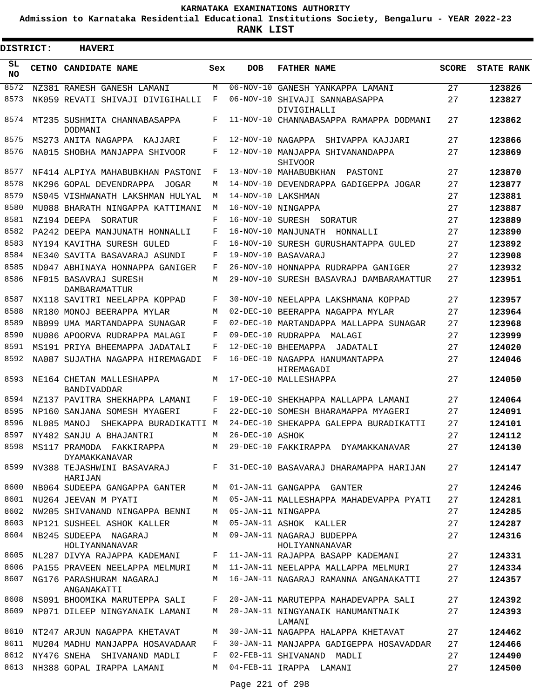**Admission to Karnataka Residential Educational Institutions Society, Bengaluru - YEAR 2022-23**

**RANK LIST**

Е

| DISTRICT: |  | <b>HAVERI</b>                                  |     |                 |                                               |              |                   |
|-----------|--|------------------------------------------------|-----|-----------------|-----------------------------------------------|--------------|-------------------|
| SL.<br>NO |  | CETNO CANDIDATE NAME                           | Sex | <b>DOB</b>      | <b>FATHER NAME</b>                            | <b>SCORE</b> | <b>STATE RANK</b> |
| 8572      |  | NZ381 RAMESH GANESH LAMANI                     | M   |                 | 06-NOV-10 GANESH YANKAPPA LAMANI              | 27           | 123826            |
| 8573      |  | NK059 REVATI SHIVAJI DIVIGIHALLI               | F   |                 | 06-NOV-10 SHIVAJI SANNABASAPPA<br>DIVIGIHALLI | 27           | 123827            |
| 8574      |  | MT235 SUSHMITA CHANNABASAPPA<br><b>DODMANI</b> | F   |                 | 11-NOV-10 CHANNABASAPPA RAMAPPA DODMANI       | 27           | 123862            |
| 8575      |  | MS273 ANITA NAGAPPA<br>KAJJARI                 | F   |                 | 12-NOV-10 NAGAPPA<br>SHIVAPPA KAJJARI         | 27           | 123866            |
| 8576      |  | NA015 SHOBHA MANJAPPA SHIVOOR                  | F   |                 | 12-NOV-10 MANJAPPA SHIVANANDAPPA<br>SHIVOOR   | 27           | 123869            |
| 8577      |  | NF414 ALPIYA MAHABUBKHAN PASTONI               | F   |                 | 13-NOV-10 MAHABUBKHAN<br>PASTONI              | 27           | 123870            |
| 8578      |  | NK296 GOPAL DEVENDRAPPA<br>JOGAR               | М   |                 | 14-NOV-10 DEVENDRAPPA GADIGEPPA JOGAR         | 27           | 123877            |
| 8579      |  | NS045 VISHWANATH LAKSHMAN HULYAL               | М   |                 | 14-NOV-10 LAKSHMAN                            | 27           | 123881            |
| 8580      |  | MU088 BHARATH NINGAPPA KATTIMANI               | М   |                 | 16-NOV-10 NINGAPPA                            | 27           | 123887            |
| 8581      |  | NZ194 DEEPA<br>SORATUR                         | F   |                 | 16-NOV-10 SURESH SORATUR                      | 27           | 123889            |
| 8582      |  | PA242 DEEPA MANJUNATH HONNALLI                 | F   |                 | 16-NOV-10 MANJUNATH HONNALLI                  | 27           | 123890            |
| 8583      |  | NY194 KAVITHA SURESH GULED                     | F   |                 | 16-NOV-10 SURESH GURUSHANTAPPA GULED          | 27           | 123892            |
| 8584      |  | NE340 SAVITA BASAVARAJ ASUNDI                  | F   |                 | 19-NOV-10 BASAVARAJ                           | 27           | 123908            |
| 8585      |  | ND047 ABHINAYA HONNAPPA GANIGER                | F   |                 | 26-NOV-10 HONNAPPA RUDRAPPA GANIGER           | 27           | 123932            |
| 8586      |  | NF015 BASAVRAJ SURESH<br>DAMBARAMATTUR         | М   |                 | 29-NOV-10 SURESH BASAVRAJ DAMBARAMATTUR       | 27           | 123951            |
| 8587      |  | NX118 SAVITRI NEELAPPA KOPPAD                  | F   |                 | 30-NOV-10 NEELAPPA LAKSHMANA KOPPAD           | 27           | 123957            |
| 8588      |  | NR180 MONOJ BEERAPPA MYLAR                     | М   |                 | 02-DEC-10 BEERAPPA NAGAPPA MYLAR              | 27           | 123964            |
| 8589      |  | NB099 UMA MARTANDAPPA SUNAGAR                  | F   |                 | 02-DEC-10 MARTANDAPPA MALLAPPA SUNAGAR        | 27           | 123968            |
| 8590      |  | NU086 APOORVA RUDRAPPA MALAGI                  | F   |                 | 09-DEC-10 RUDRAPPA MALAGI                     | 27           | 123999            |
| 8591      |  | MS191 PRIYA BHEEMAPPA JADATALI                 | F   |                 | 12-DEC-10 BHEEMAPPA<br>JADATALI               | 27           | 124020            |
| 8592      |  | NA087 SUJATHA NAGAPPA HIREMAGADI               | F   |                 | 16-DEC-10 NAGAPPA HANUMANTAPPA<br>HIREMAGADI  | 27           | 124046            |
| 8593      |  | NE164 CHETAN MALLESHAPPA<br><b>BANDIVADDAR</b> | M   |                 | 17-DEC-10 MALLESHAPPA                         | 27           | 124050            |
| 8594      |  | NZ137 PAVITRA SHEKHAPPA LAMANI                 | F   |                 | 19-DEC-10 SHEKHAPPA MALLAPPA LAMANI           | 27           | 124064            |
| 8595      |  | NP160 SANJANA SOMESH MYAGERI                   | F   |                 | 22-DEC-10 SOMESH BHARAMAPPA MYAGERI           | 27           | 124091            |
| 8596      |  | NL085 MANOJ<br>SHEKAPPA BURADIKATTI M          |     |                 | 24-DEC-10 SHEKAPPA GALEPPA BURADIKATTI        | 27           | 124101            |
|           |  | 8597 NY482 SANJU A BHAJANTRI                   | M   | 26-DEC-10 ASHOK |                                               | 27           | 124112            |
| 8598      |  | MS117 PRAMODA FAKKIRAPPA<br>DYAMAKKANAVAR      |     |                 | M 29-DEC-10 FAKKIRAPPA DYAMAKKANAVAR          | 27           | 124130            |
| 8599      |  | NV388 TEJASHWINI BASAVARAJ F<br>HARIJAN        |     |                 | 31-DEC-10 BASAVARAJ DHARAMAPPA HARIJAN        | 27           | 124147            |
| 8600      |  | NB064 SUDEEPA GANGAPPA GANTER                  | М   |                 | 01-JAN-11 GANGAPPA GANTER                     | 27           | 124246            |
|           |  | 8601 NU264 JEEVAN M PYATI                      | M   |                 | 05-JAN-11 MALLESHAPPA MAHADEVAPPA PYATI       | 27           | 124281            |
| 8602      |  | NW205 SHIVANAND NINGAPPA BENNI                 | М   |                 | 05-JAN-11 NINGAPPA                            | 27           | 124285            |
| 8603      |  | NP121 SUSHEEL ASHOK KALLER                     | M   |                 | 05-JAN-11 ASHOK KALLER                        | 27           | 124287            |
| 8604      |  | NB245 SUDEEPA NAGARAJ<br>HOLIYANNANAVAR        | М   |                 | 09-JAN-11 NAGARAJ BUDEPPA<br>HOLIYANNANAVAR   | 27           | 124316            |
| 8605      |  | NL287 DIVYA RAJAPPA KADEMANI                   | F   |                 | 11-JAN-11 RAJAPPA BASAPP KADEMANI             | 27           | 124331            |
| 8606      |  | PA155 PRAVEEN NEELAPPA MELMURI                 | M   |                 | 11-JAN-11 NEELAPPA MALLAPPA MELMURI           | 27           | 124334            |
| 8607      |  | NG176 PARASHURAM NAGARAJ<br>ANGANAKATTI        | M   |                 | 16-JAN-11 NAGARAJ RAMANNA ANGANAKATTI         | 27           | 124357            |
| 8608      |  | NS091 BHOOMIKA MARUTEPPA SALI                  | F   |                 | 20-JAN-11 MARUTEPPA MAHADEVAPPA SALI          | 27           | 124392            |
| 8609      |  | NP071 DILEEP NINGYANAIK LAMANI                 | M   |                 | 20-JAN-11 NINGYANAIK HANUMANTNAIK<br>LAMANI   | 27           | 124393            |
| 8610      |  | NT247 ARJUN NAGAPPA KHETAVAT                   | М   |                 | 30-JAN-11 NAGAPPA HALAPPA KHETAVAT            | 27           | 124462            |
| 8611      |  | MU204 MADHU MANJAPPA HOSAVADAAR                | F   |                 | 30-JAN-11 MANJAPPA GADIGEPPA HOSAVADDAR       | 27           | 124466            |
| 8612      |  | NY476 SNEHA SHIVANAND MADLI                    | F   |                 | 02-FEB-11 SHIVANAND MADLI                     | 27           | 124490            |
| 8613      |  | NH388 GOPAL IRAPPA LAMANI                      | M   |                 | 04-FEB-11 IRAPPA LAMANI                       | 27           | 124500            |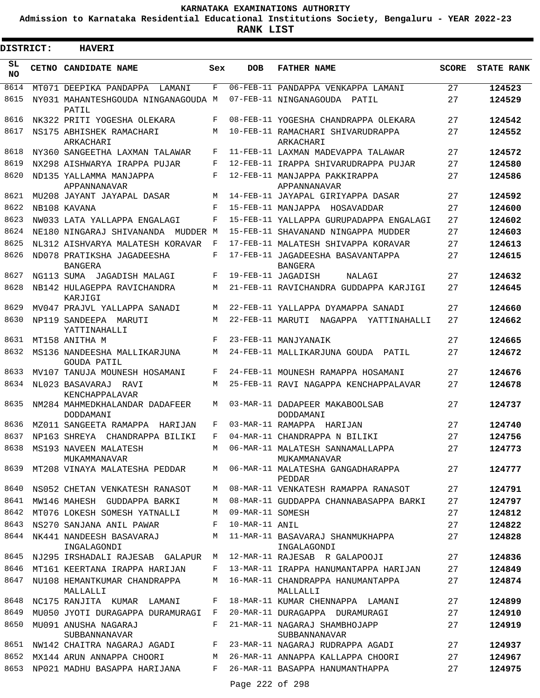**Admission to Karnataka Residential Educational Institutions Society, Bengaluru - YEAR 2022-23**

ı

| <b>DISTRICT:</b> | <b>HAVERI</b>                                |     |                  |                                                     |              |                   |
|------------------|----------------------------------------------|-----|------------------|-----------------------------------------------------|--------------|-------------------|
| SL.<br>NO.       | <b>CETNO CANDIDATE NAME</b>                  | Sex | <b>DOB</b>       | <b>FATHER NAME</b>                                  | <b>SCORE</b> | <b>STATE RANK</b> |
| 8614             | MT071 DEEPIKA PANDAPPA<br>LAMANI             | F   |                  | 06-FEB-11 PANDAPPA VENKAPPA LAMANI                  | 27           | 124523            |
| 8615             | NY031 MAHANTESHGOUDA NINGANAGOUDA M<br>PATIL |     |                  | 07-FEB-11 NINGANAGOUDA PATIL                        | 27           | 124529            |
| 8616             | NK322 PRITI YOGESHA OLEKARA                  | F   |                  | 08-FEB-11 YOGESHA CHANDRAPPA OLEKARA                | 27           | 124542            |
| 8617             | NS175 ABHISHEK RAMACHARI<br>ARKACHARI        | M   |                  | 10-FEB-11 RAMACHARI SHIVARUDRAPPA<br>ARKACHARI      | 27           | 124552            |
| 8618             | NY360 SANGEETHA LAXMAN TALAWAR               | F   |                  | 11-FEB-11 LAXMAN MADEVAPPA TALAWAR                  | 27           | 124572            |
| 8619             | NX298 AISHWARYA IRAPPA PUJAR                 | F   |                  | 12-FEB-11 IRAPPA SHIVARUDRAPPA PUJAR                | 27           | 124580            |
| 8620             | ND135 YALLAMMA MANJAPPA<br>APPANNANAVAR      | F   |                  | 12-FEB-11 MANJAPPA PAKKIRAPPA<br>APPANNANAVAR       | 27           | 124586            |
| 8621             | MU208 JAYANT JAYAPAL DASAR                   | М   |                  | 14-FEB-11 JAYAPAL GIRIYAPPA DASAR                   | 27           | 124592            |
| 8622             | NB108 KAVANA                                 | F   |                  | 15-FEB-11 MANJAPPA HOSAVADDAR                       | 27           | 124600            |
| 8623             | NW033 LATA YALLAPPA ENGALAGI                 | F   |                  | 15-FEB-11 YALLAPPA GURUPADAPPA ENGALAGI             | 27           | 124602            |
| 8624             | NE180 NINGARAJ SHIVANANDA MUDDER M           |     |                  | 15-FEB-11 SHAVANAND NINGAPPA MUDDER                 | 27           | 124603            |
| 8625             | NL312 AISHVARYA MALATESH KORAVAR             | F   |                  | 17-FEB-11 MALATESH SHIVAPPA KORAVAR                 | 27           | 124613            |
| 8626             | ND078 PRATIKSHA JAGADEESHA<br><b>BANGERA</b> | F   |                  | 17-FEB-11 JAGADEESHA BASAVANTAPPA<br><b>BANGERA</b> | 27           | 124615            |
| 8627             | NG113 SUMA JAGADISH MALAGI                   | F   |                  | 19-FEB-11 JAGADISH<br>NALAGI                        | 27           | 124632            |
| 8628             | NB142 HULAGEPPA RAVICHANDRA<br>KARJIGI       | М   |                  | 21-FEB-11 RAVICHANDRA GUDDAPPA KARJIGI              | 27           | 124645            |
| 8629             | MV047 PRAJVL YALLAPPA SANADI                 | М   |                  | 22-FEB-11 YALLAPPA DYAMAPPA SANADI                  | 27           | 124660            |
| 8630             | NP119 SANDEEPA MARUTI<br>YATTINAHALLI        | M   |                  | 22-FEB-11 MARUTI NAGAPPA YATTINAHALLI               | 27           | 124662            |
| 8631             | MT158 ANITHA M                               | F   |                  | 23-FEB-11 MANJYANAIK                                | 27           | 124665            |
| 8632             | MS136 NANDEESHA MALLIKARJUNA<br>GOUDA PATIL  | M   |                  | 24-FEB-11 MALLIKARJUNA GOUDA PATIL                  | 27           | 124672            |
| 8633             | MV107 TANUJA MOUNESH HOSAMANI                | F   |                  | 24-FEB-11 MOUNESH RAMAPPA HOSAMANI                  | 27           | 124676            |
| 8634             | NL023 BASAVARAJ RAVI<br>KENCHAPPALAVAR       | М   |                  | 25-FEB-11 RAVI NAGAPPA KENCHAPPALAVAR               | 27           | 124678            |
| 8635             | NM284 MAHMEDKHALANDAR DADAFEER<br>DODDAMANI  | M   |                  | 03-MAR-11 DADAPEER MAKABOOLSAB<br>DODDAMANI         | 27           | 124737            |
| 8636             | MZ011 SANGEETA RAMAPPA HARIJAN               | F   |                  | 03-MAR-11 RAMAPPA HARIJAN                           | 27           | 124740            |
| 8637             | NP163 SHREYA CHANDRAPPA BILIKI               | F   |                  | 04-MAR-11 CHANDRAPPA N BILIKI                       | 27           | 124756            |
| 8638             | MS193 NAVEEN MALATESH<br>MUKAMMANAVAR        | M   |                  | 06-MAR-11 MALATESH SANNAMALLAPPA<br>MUKAMMANAVAR    | 27           | 124773            |
| 8639             | MT208 VINAYA MALATESHA PEDDAR                | M   |                  | 06-MAR-11 MALATESHA GANGADHARAPPA<br>PEDDAR         | 27           | 124777            |
| 8640             | NS052 CHETAN VENKATESH RANASOT               | M   |                  | 08-MAR-11 VENKATESH RAMAPPA RANASOT                 | 27           | 124791            |
| 8641             | MW146 MAHESH GUDDAPPA BARKI                  | М   |                  | 08-MAR-11 GUDDAPPA CHANNABASAPPA BARKI              | 27           | 124797            |
| 8642             | MT076 LOKESH SOMESH YATNALLI                 | М   | 09-MAR-11 SOMESH |                                                     | 27           | 124812            |
| 8643             | NS270 SANJANA ANIL PAWAR                     | F   | 10-MAR-11 ANIL   |                                                     | 27           | 124822            |
| 8644             | NK441 NANDEESH BASAVARAJ<br>INGALAGONDI      | М   |                  | 11-MAR-11 BASAVARAJ SHANMUKHAPPA<br>INGALAGONDI     | 27           | 124828            |
| 8645             | NJ295 IRSHADALI RAJESAB GALAPUR M            |     |                  | 12-MAR-11 RAJESAB R GALAPOOJI                       | 27           | 124836            |
| 8646             | MT161 KEERTANA IRAPPA HARIJAN                | F   |                  | 13-MAR-11 IRAPPA HANUMANTAPPA HARIJAN               | 27           | 124849            |
| 8647             | NU108 HEMANTKUMAR CHANDRAPPA<br>MALLALLI     | М   |                  | 16-MAR-11 CHANDRAPPA HANUMANTAPPA<br>MALLALLI       | 27           | 124874            |
| 8648             | NC175 RANJITA KUMAR LAMANI                   | F   |                  | 18-MAR-11 KUMAR CHENNAPPA LAMANI                    | 27           | 124899            |
| 8649             | MU050 JYOTI DURAGAPPA DURAMURAGI             | F   |                  | 20-MAR-11 DURAGAPPA DURAMURAGI                      | 27           | 124910            |
| 8650             | MU091 ANUSHA NAGARAJ<br>SUBBANNANAVAR        | F   |                  | 21-MAR-11 NAGARAJ SHAMBHOJAPP<br>SUBBANNANAVAR      | 27           | 124919            |
| 8651             | NW142 CHAITRA NAGARAJ AGADI                  | F   |                  | 23-MAR-11 NAGARAJ RUDRAPPA AGADI                    | 27           | 124937            |
| 8652             | MX144 ARUN ANNAPPA CHOORI                    | М   |                  | 26-MAR-11 ANNAPPA KALLAPPA CHOORI                   | 27           | 124967            |
| 8653             | NP021 MADHU BASAPPA HARIJANA                 | F   |                  | 26-MAR-11 BASAPPA HANUMANTHAPPA                     | 27           | 124975            |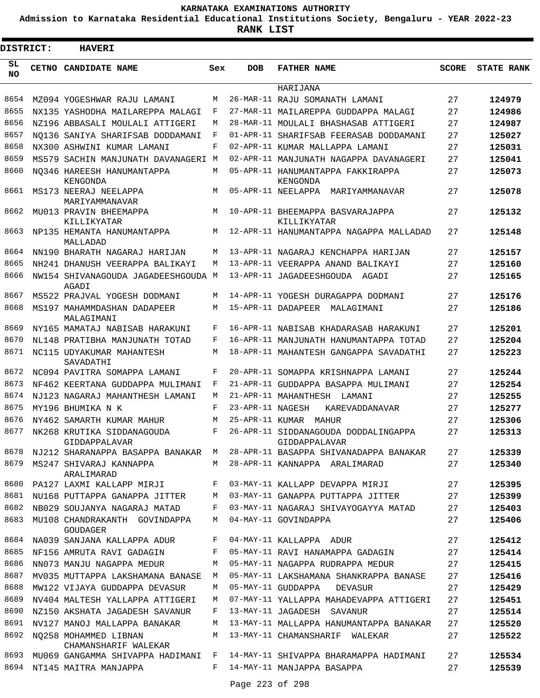**Admission to Karnataka Residential Educational Institutions Society, Bengaluru - YEAR 2022-23**

**RANK LIST**

Е

| <b>DISTRICT:</b> | <b>HAVERI</b>                                                 |        |                  |                                                                           |              |                   |
|------------------|---------------------------------------------------------------|--------|------------------|---------------------------------------------------------------------------|--------------|-------------------|
| SL<br>NO.        | CETNO CANDIDATE NAME                                          | Sex    | <b>DOB</b>       | <b>FATHER NAME</b>                                                        | <b>SCORE</b> | <b>STATE RANK</b> |
|                  |                                                               |        |                  | HARIJANA                                                                  |              |                   |
| 8654             | MZ094 YOGESHWAR RAJU LAMANI                                   | М      |                  | 26-MAR-11 RAJU SOMANATH LAMANI                                            | 27           | 124979            |
| 8655             | NX135 YASHODHA MAILAREPPA MALAGI                              | F      |                  | 27-MAR-11 MAILAREPPA GUDDAPPA MALAGI                                      | 27           | 124986            |
| 8656             | NZ196 ABBASALI MOULALI ATTIGERI                               | М      |                  | 28-MAR-11 MOULALI BHASHASAB ATTIGERI                                      | 27           | 124987            |
| 8657             | NO136 SANIYA SHARIFSAB DODDAMANI                              | F      |                  | 01-APR-11 SHARIFSAB FEERASAB DODDAMANI                                    | 27           | 125027            |
| 8658             | NX300 ASHWINI KUMAR LAMANI                                    | F      |                  | 02-APR-11 KUMAR MALLAPPA LAMANI                                           | 27           | 125031            |
| 8659             | MS579 SACHIN MANJUNATH DAVANAGERI                             | M      |                  | 02-APR-11 MANJUNATH NAGAPPA DAVANAGERI                                    | 27           | 125041            |
| 8660             | NO346 HAREESH HANUMANTAPPA<br>KENGONDA                        | М      |                  | 05-APR-11 HANUMANTAPPA FAKKIRAPPA<br>KENGONDA                             | 27           | 125073            |
| 8661             | MS173 NEERAJ NEELAPPA<br>MARIYAMMANAVAR                       | M      |                  | 05-APR-11 NEELAPPA<br>MARIYAMMANAVAR                                      | 27           | 125078            |
| 8662             | MU013 PRAVIN BHEEMAPPA<br>KILLIKYATAR                         | М      |                  | 10-APR-11 BHEEMAPPA BASVARAJAPPA<br>KILLIKYATAR                           | 27           | 125132            |
| 8663             | NP135 HEMANTA HANUMANTAPPA<br>MALLADAD                        | М      |                  | 12-APR-11 HANUMANTAPPA NAGAPPA MALLADAD                                   | 27           | 125148            |
| 8664             | NN190 BHARATH NAGARAJ HARIJAN                                 | М      |                  | 13-APR-11 NAGARAJ KENCHAPPA HARIJAN                                       | 27           | 125157            |
| 8665             | NH241 DHANUSH VEERAPPA BALIKAYI                               | М      |                  | 13-APR-11 VEERAPPA ANAND BALIKAYI                                         | 27           | 125160            |
| 8666             | NW154 SHIVANAGOUDA JAGADEESHGOUDA M<br>AGADI                  |        |                  | 13-APR-11 JAGADEESHGOUDA AGADI                                            | 27           | 125165            |
| 8667             | MS522 PRAJVAL YOGESH DODMANI                                  | М      |                  | 14-APR-11 YOGESH DURAGAPPA DODMANI                                        | 27           | 125176            |
| 8668             | MS197 MAHAMMDASHAN DADAPEER<br>MALAGIMANI                     | М      |                  | 15-APR-11 DADAPEER MALAGIMANI                                             | 27           | 125186            |
| 8669             | NY165 MAMATAJ NABISAB HARAKUNI                                | F      |                  | 16-APR-11 NABISAB KHADARASAB HARAKUNI                                     | 27           | 125201            |
| 8670             | NL148 PRATIBHA MANJUNATH TOTAD                                | F      |                  | 16-APR-11 MANJUNATH HANUMANTAPPA TOTAD                                    | 27           | 125204            |
| 8671             | NC115 UDYAKUMAR MAHANTESH<br>SAVADATHI                        | М      |                  | 18-APR-11 MAHANTESH GANGAPPA SAVADATHI                                    | 27           | 125223            |
| 8672             | NC094 PAVITRA SOMAPPA LAMANI                                  | F      |                  | 20-APR-11 SOMAPPA KRISHNAPPA LAMANI                                       | 27           | 125244            |
| 8673             | NF462 KEERTANA GUDDAPPA MULIMANI                              | F      |                  | 21-APR-11 GUDDAPPA BASAPPA MULIMANI                                       | 27           | 125254            |
| 8674             | NJ123 NAGARAJ MAHANTHESH LAMANI                               | М      |                  | 21-APR-11 MAHANTHESH LAMANI                                               | 27           | 125255            |
| 8675             | MY196 BHUMIKA N K                                             | F      | 23-APR-11 NAGESH | KAREVADDANAVAR                                                            | 27           | 125277            |
| 8676             | NY462 SAMARTH KUMAR MAHUR                                     | М      |                  | 25-APR-11 KUMAR MAHUR                                                     | 27           | 125306            |
| 8677             | NK268 KRUTIKA SIDDANAGOUDA<br>GIDDAPPALAVAR                   | F      |                  | 26-APR-11 SIDDANAGOUDA DODDALINGAPPA<br>GIDDAPPALAVAR                     | 27           | 125313            |
| 8678             |                                                               |        |                  | NJ212 SHARANAPPA BASAPPA BANAKAR M 28-APR-11 BASAPPA SHIVANADAPPA BANAKAR | 27           | 125339            |
| 8679             | MS247 SHIVARAJ KANNAPPA<br>ARALIMARAD                         | M      |                  | 28-APR-11 KANNAPPA ARALIMARAD                                             | 27           | 125340            |
| 8680             | PA127 LAXMI KALLAPP MIRJI                                     | F      |                  | 03-MAY-11 KALLAPP DEVAPPA MIRJI                                           | 27           | 125395            |
| 8681             | NU168 PUTTAPPA GANAPPA JITTER                                 | М      |                  | 03-MAY-11 GANAPPA PUTTAPPA JITTER                                         | 27           | 125399            |
| 8682<br>8683     | NB029 SOUJANYA NAGARAJ MATAD<br>MU108 CHANDRAKANTH GOVINDAPPA | F<br>M |                  | 03-MAY-11 NAGARAJ SHIVAYOGAYYA MATAD<br>04-MAY-11 GOVINDAPPA              | 27<br>27     | 125403<br>125406  |
| 8684             | <b>GOUDAGER</b><br>NA039 SANJANA KALLAPPA ADUR                | F      |                  | 04-MAY-11 KALLAPPA ADUR                                                   | 27           | 125412            |
| 8685             | NF156 AMRUTA RAVI GADAGIN                                     | F      |                  | 05-MAY-11 RAVI HANAMAPPA GADAGIN                                          | 27           | 125414            |
| 8686             | NN073 MANJU NAGAPPA MEDUR                                     | M      |                  | 05-MAY-11 NAGAPPA RUDRAPPA MEDUR                                          | 27           | 125415            |
| 8687             | MV035 MUTTAPPA LAKSHAMANA BANASE                              | М      |                  | 05-MAY-11 LAKSHAMANA SHANKRAPPA BANASE                                    | 27           | 125416            |
| 8688             | MW122 VIJAYA GUDDAPPA DEVASUR                                 | М      |                  | 05-MAY-11 GUDDAPPA<br>DEVASUR                                             | 27           | 125429            |
| 8689             | NV404 MALTESH YALLAPPA ATTIGERI                               | M      |                  | 07-MAY-11 YALLAPPA MAHADEVAPPA ATTIGERI                                   | 27           | 125451            |
| 8690             | NZ150 AKSHATA JAGADESH SAVANUR                                | F      |                  | 13-MAY-11 JAGADESH SAVANUR                                                | 27           | 125514            |
| 8691             | NV127 MANOJ MALLAPPA BANAKAR                                  | М      |                  | 13-MAY-11 MALLAPPA HANUMANTAPPA BANAKAR                                   | 27           | 125520            |
| 8692             | NO258 MOHAMMED LIBNAN<br>CHAMANSHARIF WALEKAR                 | М      |                  | 13-MAY-11 CHAMANSHARIF WALEKAR                                            | 27           | 125522            |
| 8693             | MU069 GANGAMMA SHIVAPPA HADIMANI F                            |        |                  | 14-MAY-11 SHIVAPPA BHARAMAPPA HADIMANI                                    | 27           | 125534            |
| 8694             | NT145 MAITRA MANJAPPA                                         | F      |                  | 14-MAY-11 MANJAPPA BASAPPA                                                | 27           | 125539            |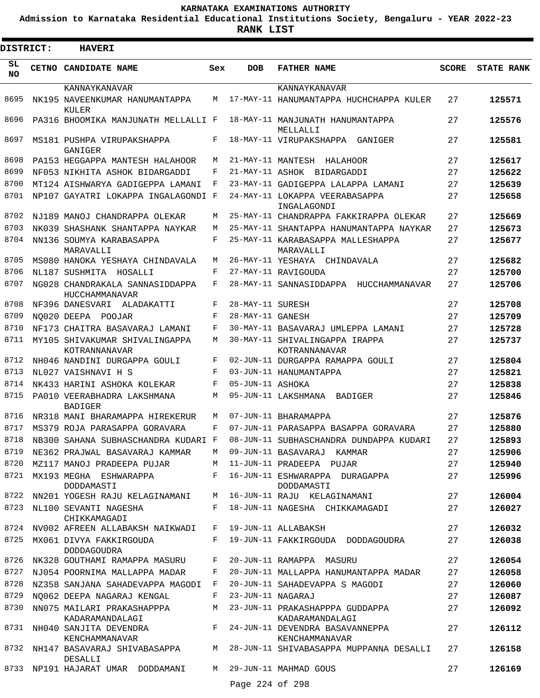**Admission to Karnataka Residential Educational Institutions Society, Bengaluru - YEAR 2022-23**

| DISTRICT:       | <b>HAVERI</b>                                                    |     |                   |                                                                                 |              |                   |
|-----------------|------------------------------------------------------------------|-----|-------------------|---------------------------------------------------------------------------------|--------------|-------------------|
| SL<br><b>NO</b> | CETNO CANDIDATE NAME                                             | Sex | <b>DOB</b>        | <b>FATHER NAME</b>                                                              | <b>SCORE</b> | <b>STATE RANK</b> |
|                 | KANNAYKANAVAR                                                    |     |                   | KANNAYKANAVAR                                                                   |              |                   |
| 8695            | NK195 NAVEENKUMAR HANUMANTAPPA<br>KULER                          | М   |                   | 17-MAY-11 HANUMANTAPPA HUCHCHAPPA KULER                                         | 27           | 125571            |
| 8696            | PA316 BHOOMIKA MANJUNATH MELLALLI F                              |     |                   | 18-MAY-11 MANJUNATH HANUMANTAPPA<br>MELLALLI                                    | 27           | 125576            |
| 8697            | MS181 PUSHPA VIRUPAKSHAPPA<br>GANIGER                            | F   |                   | 18-MAY-11 VIRUPAKSHAPPA<br>GANTGER                                              | 27           | 125581            |
| 8698            | PA153 HEGGAPPA MANTESH HALAHOOR                                  | М   | 21-MAY-11 MANTESH | HALAHOOR                                                                        | 27           | 125617            |
| 8699            | NF053 NIKHITA ASHOK BIDARGADDI                                   | F   | 21-MAY-11 ASHOK   | BIDARGADDI                                                                      | 27           | 125622            |
| 8700            | MT124 AISHWARYA GADIGEPPA LAMANI                                 | F   |                   | 23-MAY-11 GADIGEPPA LALAPPA LAMANI                                              | 27           | 125639            |
| 8701            | NP107 GAYATRI LOKAPPA INGALAGONDI F                              |     |                   | 24-MAY-11 LOKAPPA VEERABASAPPA<br>INGALAGONDI                                   | 27           | 125658            |
| 8702            | NJ189 MANOJ CHANDRAPPA OLEKAR                                    | М   |                   | 25-MAY-11 CHANDRAPPA FAKKIRAPPA OLEKAR                                          | 27           | 125669            |
| 8703            | NK039 SHASHANK SHANTAPPA NAYKAR                                  | М   |                   | 25-MAY-11 SHANTAPPA HANUMANTAPPA NAYKAR                                         | 27           | 125673            |
| 8704            | NN136 SOUMYA KARABASAPPA<br>MARAVALLI                            | F   |                   | 25-MAY-11 KARABASAPPA MALLESHAPPA<br>MARAVALLI                                  | 27           | 125677            |
| 8705            | MS080 HANOKA YESHAYA CHINDAVALA                                  | М   |                   | 26-MAY-11 YESHAYA CHINDAVALA                                                    | 27           | 125682            |
| 8706            | NL187 SUSHMITA HOSALLI                                           | F   |                   | 27-MAY-11 RAVIGOUDA                                                             | 27           | 125700            |
| 8707            | NG028 CHANDRAKALA SANNASIDDAPPA<br>HUCCHAMMANAVAR                | F   |                   | 28-MAY-11 SANNASIDDAPPA<br>HUCCHAMMANAVAR                                       | 27           | 125706            |
| 8708            | NF396 DANESVARI ALADAKATTI                                       | F   | 28-MAY-11 SURESH  |                                                                                 | 27           | 125708            |
| 8709            | NO020 DEEPA POOJAR                                               | F   | 28-MAY-11 GANESH  |                                                                                 | 27           | 125709            |
| 8710            | NF173 CHAITRA BASAVARAJ LAMANI                                   | F   |                   | 30-MAY-11 BASAVARAJ UMLEPPA LAMANI                                              | 27           | 125728            |
| 8711            | MY105 SHIVAKUMAR SHIVALINGAPPA<br>KOTRANNANAVAR                  | М   |                   | 30-MAY-11 SHIVALINGAPPA IRAPPA<br>KOTRANNANAVAR                                 | 27           | 125737            |
| 8712            | NH046 NANDINI DURGAPPA GOULI                                     | F   |                   | 02-JUN-11 DURGAPPA RAMAPPA GOULI                                                | 27           | 125804            |
| 8713            | NL027 VAISHNAVI H S                                              | F   |                   | 03-JUN-11 HANUMANTAPPA                                                          | 27           | 125821            |
| 8714            | NK433 HARINI ASHOKA KOLEKAR                                      | F   | 05-JUN-11 ASHOKA  |                                                                                 | 27           | 125838            |
| 8715            | PA010 VEERABHADRA LAKSHMANA<br><b>BADIGER</b>                    | М   |                   | 05-JUN-11 LAKSHMANA BADIGER                                                     | 27           | 125846            |
| 8716            | NR318 MANI BHARAMAPPA HIREKERUR                                  | М   |                   | 07-JUN-11 RHARAMAPPA                                                            | 27           | 125876            |
| 8717            | MS379 ROJA PARASAPPA GORAVARA                                    | F   |                   | 07-JUN-11 PARASAPPA BASAPPA GORAVARA                                            | 27           | 125880            |
| 8718            | NB300 SAHANA SUBHASCHANDRA KUDARI F                              |     |                   | 08-JUN-11 SUBHASCHANDRA DUNDAPPA KUDARI                                         | 27           | 125893            |
|                 | 8719 NE362 PRAJWAL BASAVARAJ KAMMAR M 09-JUN-11 BASAVARAJ KAMMAR |     |                   |                                                                                 | 27           | 125906            |
|                 | 8720 MZ117 MANOJ PRADEEPA PUJAR                                  |     |                   | M 11-JUN-11 PRADEEPA PUJAR                                                      | 27           | 125940            |
|                 | 8721 MX193 MEGHA ESHWARAPPA<br>DODDAMASTI                        |     |                   | F 16-JUN-11 ESHWARAPPA DURAGAPPA<br>DODDAMASTI                                  | 27           | 125996            |
| 8722            |                                                                  |     |                   | NN201 YOGESH RAJU KELAGINAMANI M 16-JUN-11 RAJU KELAGINAMANI                    | 27           | 126004            |
|                 | 8723 NL100 SEVANTI NAGESHA<br>CHIKKAMAGADI                       | F   |                   | 18-JUN-11 NAGESHA CHIKKAMAGADI                                                  | 27           | 126027            |
|                 | 8724 NV002 AFREEN ALLABAKSH NAIKWADI                             | F   |                   | 19-JUN-11 ALLABAKSH                                                             | 27           | 126032            |
| 8725            | MX061 DIVYA FAKKIRGOUDA<br><b>DODDAGOUDRA</b>                    | F   |                   | 19-JUN-11 FAKKIRGOUDA DODDAGOUDRA                                               | 27           | 126038            |
| 8726            | NK328 GOUTHAMI RAMAPPA MASURU                                    | F   |                   | 20-JUN-11 RAMAPPA MASURU                                                        | 27           | 126054            |
| 8727            | NJ054 POORNIMA MALLAPPA MADAR                                    | F   |                   | 20-JUN-11 MALLAPPA HANUMANTAPPA MADAR                                           | 27           | 126058            |
|                 | 8728 NZ358 SANJANA SAHADEVAPPA MAGODI F                          |     |                   | 20-JUN-11 SAHADEVAPPA S MAGODI                                                  | 27           | 126060            |
| 8729            | NQ062 DEEPA NAGARAJ KENGAL                                       | F   | 23-JUN-11 NAGARAJ |                                                                                 | 27           | 126087            |
| 8730            | NN075 MAILARI PRAKASHAPPPA<br>KADARAMANDALAGI                    | M   |                   | 23-JUN-11 PRAKASHAPPPA GUDDAPPA<br>KADARAMANDALAGI                              | 27           | 126092            |
|                 | KENCHAMMANAVAR                                                   |     |                   | 8731 NH040 SANJITA DEVENDRA F 24-JUN-11 DEVENDRA BASAVANNEPPA<br>KENCHAMMANAVAR | 27           | 126112            |
|                 | DESALLI                                                          |     |                   | 8732 NH147 BASAVARAJ SHIVABASAPPA M 28-JUN-11 SHIVABASAPPA MUPPANNA DESALLI     | 27           | 126158            |
|                 | 8733 NP191 HAJARAT UMAR DODDAMANI                                |     | Page 224 of 298   | M 29-JUN-11 MAHMAD GOUS                                                         | 27           | 126169            |
|                 |                                                                  |     |                   |                                                                                 |              |                   |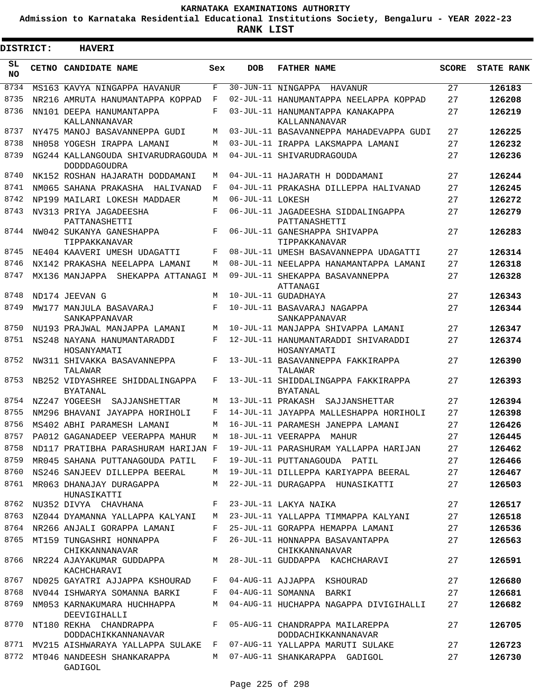**Admission to Karnataka Residential Educational Institutions Society, Bengaluru - YEAR 2022-23**

 $\blacksquare$ 

| <b>DISTRICT:</b> | <b>HAVERI</b>                                              |            |                   |                                                        |              |                   |
|------------------|------------------------------------------------------------|------------|-------------------|--------------------------------------------------------|--------------|-------------------|
| SL<br><b>NO</b>  | CETNO CANDIDATE NAME                                       | Sex        | <b>DOB</b>        | <b>FATHER NAME</b>                                     | <b>SCORE</b> | <b>STATE RANK</b> |
| 8734             | MS163 KAVYA NINGAPPA HAVANUR                               | F          |                   | 30-JUN-11 NINGAPPA<br>HAVANUR                          | 27           | 126183            |
| 8735             | NR216 AMRUTA HANUMANTAPPA KOPPAD                           | F          |                   | 02-JUL-11 HANUMANTAPPA NEELAPPA KOPPAD                 | 27           | 126208            |
| 8736             | NN101 DEEPA HANUMANTAPPA<br>KALLANNANAVAR                  | F          |                   | 03-JUL-11 HANUMANTAPPA KANAKAPPA<br>KALLANNANAVAR      | 27           | 126219            |
| 8737             | NY475 MANOJ BASAVANNEPPA GUDI                              | М          |                   | 03-JUL-11 BASAVANNEPPA MAHADEVAPPA GUDI                | 27           | 126225            |
| 8738             | NH058 YOGESH IRAPPA LAMANI                                 | М          |                   | 03-JUL-11 IRAPPA LAKSMAPPA LAMANI                      | 27           | 126232            |
| 8739             | NG244 KALLANGOUDA SHIVARUDRAGOUDA M<br><b>DODDDAGOUDRA</b> |            |                   | 04-JUL-11 SHIVARUDRAGOUDA                              | 27           | 126236            |
| 8740             | NK152 ROSHAN HAJARATH DODDAMANI                            | М          |                   | 04-JUL-11 HAJARATH H DODDAMANI                         | 27           | 126244            |
| 8741             | NM065 SAHANA PRAKASHA<br>HALIVANAD                         | F          |                   | 04-JUL-11 PRAKASHA DILLEPPA HALIVANAD                  | 27           | 126245            |
| 8742             | NP199 MAILARI LOKESH MADDAER                               | М          | 06-JUL-11 LOKESH  |                                                        | 27           | 126272            |
| 8743             | NV313 PRIYA JAGADEESHA<br>PATTANASHETTI                    | F          |                   | 06-JUL-11 JAGADEESHA SIDDALINGAPPA<br>PATTANASHETTI    | 27           | 126279            |
| 8744             | NW042 SUKANYA GANESHAPPA<br>TIPPAKKANAVAR                  | F          |                   | 06-JUL-11 GANESHAPPA SHIVAPPA<br>TIPPAKKANAVAR         | 27           | 126283            |
| 8745             | NE404 KAAVERI UMESH UDAGATTI                               | F          |                   | 08-JUL-11 UMESH BASAVANNEPPA UDAGATTI                  | 27           | 126314            |
| 8746             | NX142 PRAKASHA NEELAPPA LAMANI                             | M          |                   | 08-JUL-11 NEELAPPA HANAMANTAPPA LAMANI                 | 27           | 126318            |
| 8747             | MX136 MANJAPPA SHEKAPPA ATTANAGI M                         |            |                   | 09-JUL-11 SHEKAPPA BASAVANNEPPA<br>ATTANAGI            | 27           | 126328            |
| 8748             | ND174 JEEVAN G                                             | M          |                   | 10-JUL-11 GUDADHAYA                                    | 27           | 126343            |
| 8749             | MW177 MANJULA BASAVARAJ<br>SANKAPPANAVAR                   | $_{\rm F}$ |                   | 10-JUL-11 BASAVARAJ NAGAPPA<br>SANKAPPANAVAR           | 27           | 126344            |
| 8750             | NU193 PRAJWAL MANJAPPA LAMANI                              | M          |                   | 10-JUL-11 MANJAPPA SHIVAPPA LAMANI                     | 27           | 126347            |
| 8751             | NS248 NAYANA HANUMANTARADDI<br>HOSANYAMATI                 | F          |                   | 12-JUL-11 HANUMANTARADDI SHIVARADDI<br>HOSANYAMATI     | 27           | 126374            |
| 8752             | NW311 SHIVAKKA BASAVANNEPPA<br>TALAWAR                     | F          |                   | 13-JUL-11 BASAVANNEPPA FAKKIRAPPA<br>TALAWAR           | 27           | 126390            |
| 8753             | NB252 VIDYASHREE SHIDDALINGAPPA<br><b>BYATANAL</b>         | F          |                   | 13-JUL-11 SHIDDALINGAPPA FAKKIRAPPA<br><b>BYATANAL</b> | 27           | 126393            |
| 8754             | NZ247 YOGEESH<br>SAJJANSHETTAR                             | M          | 13-JUL-11 PRAKASH | SAJJANSHETTAR                                          | 27           | 126394            |
| 8755             | NM296 BHAVANI JAYAPPA HORIHOLI                             | F          |                   | 14-JUL-11 JAYAPPA MALLESHAPPA HORIHOLI                 | 27           | 126398            |
| 8756             | MS402 ABHI PARAMESH LAMANI                                 | М          |                   | 16-JUL-11 PARAMESH JANEPPA LAMANI                      | 27           | 126426            |
| 8757             | PA012 GAGANADEEP VEERAPPA MAHUR                            | М          |                   | 18-JUL-11 VEERAPPA<br>MAHUR                            | 27           | 126445            |
| 8758             | ND117 PRATIBHA PARASHURAM HARIJAN F                        |            |                   | 19-JUL-11 PARASHURAM YALLAPPA HARIJAN                  | 27           | 126462            |
| 8759             | MR045 SAHANA PUTTANAGOUDA PATIL                            | F          |                   | 19-JUL-11 PUTTANAGOUDA PATIL                           | 27           | 126466            |
| 8760             | NS246 SANJEEV DILLEPPA BEERAL                              | M          |                   | 19-JUL-11 DILLEPPA KARIYAPPA BEERAL                    | 27           | 126467            |
| 8761             | MR063 DHANAJAY DURAGAPPA<br>HUNASIKATTI                    | M          |                   | 22-JUL-11 DURAGAPPA HUNASIKATTI                        | 27           | 126503            |
| 8762             | NU352 DIVYA CHAVHANA                                       | F          |                   | 23-JUL-11 LAKYA NAIKA                                  | 27           | 126517            |
| 8763             | NZ044 DYAMANNA YALLAPPA KALYANI                            | M          |                   | 23-JUL-11 YALLAPPA TIMMAPPA KALYANI                    | 27           | 126518            |
| 8764             | NR266 ANJALI GORAPPA LAMANI                                | F          |                   | 25-JUL-11 GORAPPA HEMAPPA LAMANI                       | 27           | 126536            |
| 8765             | MT159 TUNGASHRI HONNAPPA<br>CHIKKANNANAVAR                 | F          |                   | 26-JUL-11 HONNAPPA BASAVANTAPPA<br>CHIKKANNANAVAR      | 27           | 126563            |
| 8766             | NR224 AJAYAKUMAR GUDDAPPA<br>KACHCHARAVI                   | М          |                   | 28-JUL-11 GUDDAPPA KACHCHARAVI                         | 27           | 126591            |
| 8767             | ND025 GAYATRI AJJAPPA KSHOURAD                             | F          |                   | 04-AUG-11 AJJAPPA KSHOURAD                             | 27           | 126680            |
| 8768             | NV044 ISHWARYA SOMANNA BARKI                               | F          |                   | 04-AUG-11 SOMANNA BARKI                                | 27           | 126681            |
| 8769             | NM053 KARNAKUMARA HUCHHAPPA<br>DEEVIGIHALLI                | M          |                   | 04-AUG-11 HUCHAPPA NAGAPPA DIVIGIHALLI                 | 27           | 126682            |
| 8770             | NT180 REKHA CHANDRAPPA<br>DODDACHIKKANNANAVAR              | F          |                   | 05-AUG-11 CHANDRAPPA MAILAREPPA<br>DODDACHIKKANNANAVAR | 27           | 126705            |
| 8771             | MV215 AISHWARAYA YALLAPPA SULAKE F                         |            |                   | 07-AUG-11 YALLAPPA MARUTI SULAKE                       | 27           | 126723            |
| 8772             | MT046 NANDEESH SHANKARAPPA<br>GADIGOL                      | M          |                   | 07-AUG-11 SHANKARAPPA GADIGOL                          | 27           | 126730            |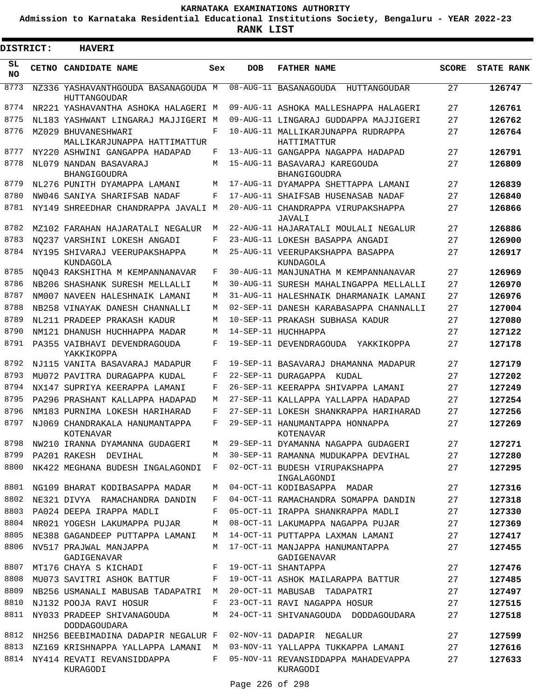**Admission to Karnataka Residential Educational Institutions Society, Bengaluru - YEAR 2022-23**

ı

| <b>DISTRICT:</b> | <b>HAVERI</b>                                       |     |            |                                                   |              |                   |
|------------------|-----------------------------------------------------|-----|------------|---------------------------------------------------|--------------|-------------------|
| SL<br><b>NO</b>  | CETNO CANDIDATE NAME                                | Sex | <b>DOB</b> | <b>FATHER NAME</b>                                | <b>SCORE</b> | <b>STATE RANK</b> |
| 8773             | NZ336 YASHAVANTHGOUDA BASANAGOUDA M<br>HUTTANGOUDAR |     |            | 08-AUG-11 BASANAGOUDA HUTTANGOUDAR                | 27           | 126747            |
| 8774             | NR221 YASHAVANTHA ASHOKA HALAGERI M                 |     |            | 09-AUG-11 ASHOKA MALLESHAPPA HALAGERI             | 27           | 126761            |
| 8775             | NL183 YASHWANT LINGARAJ MAJJIGERI M                 |     |            | 09-AUG-11 LINGARAJ GUDDAPPA MAJJIGERI             | 27           | 126762            |
| 8776             | MZ029 BHUVANESHWARI<br>MALLIKARJUNAPPA HATTIMATTUR  | F   |            | 10-AUG-11 MALLIKARJUNAPPA RUDRAPPA<br>HATTIMATTUR | 27           | 126764            |
| 8777             | NY220 ASHWINI GANGAPPA HADAPAD                      | F   |            | 13-AUG-11 GANGAPPA NAGAPPA HADAPAD                | 27           | 126791            |
| 8778             | NL079 NANDAN BASAVARAJ<br>BHANGIGOUDRA              | М   |            | 15-AUG-11 BASAVARAJ KAREGOUDA<br>BHANGIGOUDRA     | 27           | 126809            |
| 8779             | NL276 PUNITH DYAMAPPA LAMANI                        | М   |            | 17-AUG-11 DYAMAPPA SHETTAPPA LAMANI               | 27           | 126839            |
| 8780             | NW046 SANIYA SHARIFSAB NADAF                        | F   |            | 17-AUG-11 SHAIFSAB HUSENASAB NADAF                | 27           | 126840            |
| 8781             | NY149 SHREEDHAR CHANDRAPPA JAVALI M                 |     |            | 20-AUG-11 CHANDRAPPA VIRUPAKSHAPPA<br>JAVALI      | 27           | 126866            |
| 8782             | MZ102 FARAHAN HAJARATALI NEGALUR                    | М   |            | 22-AUG-11 HAJARATALI MOULALI NEGALUR              | 27           | 126886            |
| 8783             | NO237 VARSHINI LOKESH ANGADI                        | F   |            | 23-AUG-11 LOKESH BASAPPA ANGADI                   | 27           | 126900            |
| 8784             | NY195 SHIVARAJ VEERUPAKSHAPPA<br>KUNDAGOLA          | М   |            | 25-AUG-11 VEERUPAKSHAPPA BASAPPA<br>KUNDAGOLA     | 27           | 126917            |
| 8785             | NO043 RAKSHITHA M KEMPANNANAVAR                     | F   |            | 30-AUG-11 MANJUNATHA M KEMPANNANAVAR              | 27           | 126969            |
| 8786             | NB206 SHASHANK SURESH MELLALLI                      | М   |            | 30-AUG-11 SURESH MAHALINGAPPA MELLALLI            | 27           | 126970            |
| 8787             | NM007 NAVEEN HALESHNAIK LAMANI                      | М   |            | 31-AUG-11 HALESHNAIK DHARMANAIK LAMANI            | 27           | 126976            |
| 8788             | NB258 VINAYAK DANESH CHANNALLI                      | М   |            | 02-SEP-11 DANESH KARABASAPPA CHANNALLI            | 27           | 127004            |
| 8789             | NL211 PRADEEP PRAKASH KADUR                         | М   |            | 10-SEP-11 PRAKASH SUBHASA KADUR                   | 27           | 127080            |
| 8790             | NM121 DHANUSH HUCHHAPPA MADAR                       | M   |            | 14-SEP-11 HUCHHAPPA                               | 27           | 127122            |
| 8791             | PA355 VAIBHAVI DEVENDRAGOUDA<br>YAKKIKOPPA          | F   |            | 19-SEP-11 DEVENDRAGOUDA<br>YAKKIKOPPA             | 27           | 127178            |
| 8792             | NJ115 VANITA BASAVARAJ MADAPUR                      | F   |            | 19-SEP-11 BASAVARAJ DHAMANNA MADAPUR              | 27           | 127179            |
| 8793             | MU072 PAVITRA DURAGAPPA KUDAL                       | F   |            | 22-SEP-11 DURAGAPPA<br>KUDAL                      | 27           | 127202            |
| 8794             | NX147 SUPRIYA KEERAPPA LAMANI                       | F   |            | 26-SEP-11 KEERAPPA SHIVAPPA LAMANI                | 27           | 127249            |
| 8795             | PA296 PRASHANT KALLAPPA HADAPAD                     | М   |            | 27-SEP-11 KALLAPPA YALLAPPA HADAPAD               | 27           | 127254            |
| 8796             | NM183 PURNIMA LOKESH HARIHARAD                      | F   |            | 27-SEP-11 LOKESH SHANKRAPPA HARIHARAD             | 27           | 127256            |
| 8797             | NJ069 CHANDRAKALA HANUMANTAPPA<br>KOTENAVAR         | F   |            | 29-SEP-11 HANUMANTAPPA HONNAPPA<br>KOTENAVAR      | 27           | 127269            |
| 8798             | NW210 IRANNA DYAMANNA GUDAGERI                      | М   |            | 29-SEP-11 DYAMANNA NAGAPPA GUDAGERI               | 27           | 127271            |
| 8799             | PA201 RAKESH DEVIHAL                                | M   |            | 30-SEP-11 RAMANNA MUDUKAPPA DEVIHAL               | 27           | 127280            |
| 8800             | NK422 MEGHANA BUDESH INGALAGONDI                    | F   |            | 02-OCT-11 BUDESH VIRUPAKSHAPPA<br>INGALAGONDI     | 27           | 127295            |
| 8801             | NG109 BHARAT KODIBASAPPA MADAR                      | М   |            | 04-OCT-11 KODIBASAPPA MADAR                       | 27           | 127316            |
| 8802             | NE321 DIVYA RAMACHANDRA DANDIN                      | F   |            | 04-OCT-11 RAMACHANDRA SOMAPPA DANDIN              | 27           | 127318            |
| 8803             | PA024 DEEPA IRAPPA MADLI                            | F   |            | 05-OCT-11 IRAPPA SHANKRAPPA MADLI                 | 27           | 127330            |
| 8804             | NR021 YOGESH LAKUMAPPA PUJAR                        | М   |            | 08-OCT-11 LAKUMAPPA NAGAPPA PUJAR                 | 27           | 127369            |
| 8805             | NE388 GAGANDEEP PUTTAPPA LAMANI                     | М   |            | 14-OCT-11 PUTTAPPA LAXMAN LAMANI                  | 27           | 127417            |
| 8806             | NV517 PRAJWAL MANJAPPA<br>GADIGENAVAR               | M   |            | 17-OCT-11 MANJAPPA HANUMANTAPPA<br>GADIGENAVAR    | 27           | 127455            |
| 8807             | MT176 CHAYA S KICHADI                               | F   |            | 19-OCT-11 SHANTAPPA                               | 27           | 127476            |
| 8808             | MU073 SAVITRI ASHOK BATTUR                          | F   |            | 19-OCT-11 ASHOK MAILARAPPA BATTUR                 | 27           | 127485            |
| 8809             | NB256 USMANALI MABUSAB TADAPATRI                    | M   |            | 20-OCT-11 MABUSAB TADAPATRI                       | 27           | 127497            |
| 8810             | NJ132 POOJA RAVI HOSUR                              | F   |            | 23-OCT-11 RAVI NAGAPPA HOSUR                      | 27           | 127515            |
| 8811             | NY033 PRADEEP SHIVANAGOUDA<br><b>DODDAGOUDARA</b>   | M   |            | 24-OCT-11 SHIVANAGOUDA DODDAGOUDARA               | 27           | 127518            |
| 8812             | NH256 BEEBIMADINA DADAPIR NEGALUR F                 |     |            | 02-NOV-11 DADAPIR NEGALUR                         | 27           | 127599            |
| 8813             | NZ169 KRISHNAPPA YALLAPPA LAMANI                    | M   |            | 03-NOV-11 YALLAPPA TUKKAPPA LAMANI                | 27           | 127616            |
| 8814             | NY414 REVATI REVANSIDDAPPA<br>KURAGODI              | F   |            | 05-NOV-11 REVANSIDDAPPA MAHADEVAPPA<br>KURAGODI   | 27           | 127633            |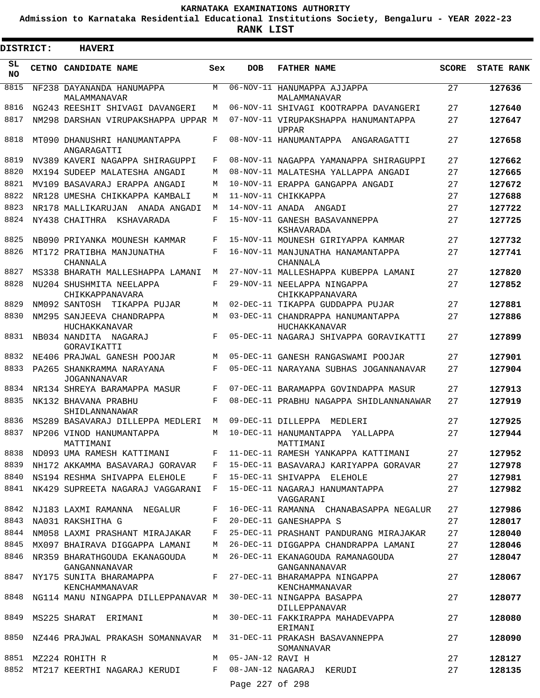**Admission to Karnataka Residential Educational Institutions Society, Bengaluru - YEAR 2022-23**

| <b>DISTRICT:</b> | <b>HAVERI</b>                                                |            |                    |                                                                                      |              |                   |
|------------------|--------------------------------------------------------------|------------|--------------------|--------------------------------------------------------------------------------------|--------------|-------------------|
| SL.<br>NO.       | CETNO CANDIDATE NAME                                         | Sex        | <b>DOB</b>         | <b>FATHER NAME</b>                                                                   | <b>SCORE</b> | <b>STATE RANK</b> |
| 8815             | NF238 DAYANANDA HANUMAPPA<br>MALAMMANAVAR                    | М          |                    | 06-NOV-11 HANUMAPPA AJJAPPA<br>MALAMMANAVAR                                          | 27           | 127636            |
| 8816             | NG243 REESHIT SHIVAGI DAVANGERI                              | M          |                    | 06-NOV-11 SHIVAGI KOOTRAPPA DAVANGERI                                                | 27           | 127640            |
| 8817             | NM298 DARSHAN VIRUPAKSHAPPA UPPAR M                          |            |                    | 07-NOV-11 VIRUPAKSHAPPA HANUMANTAPPA<br><b>UPPAR</b>                                 | 27           | 127647            |
| 8818             | MT090 DHANUSHRI HANUMANTAPPA<br>ANGARAGATTI                  | F          |                    | 08-NOV-11 HANUMANTAPPA ANGARAGATTI                                                   | 27           | 127658            |
| 8819             | NV389 KAVERI NAGAPPA SHIRAGUPPI                              | F          |                    | 08-NOV-11 NAGAPPA YAMANAPPA SHIRAGUPPI                                               | 27           | 127662            |
| 8820             | MX194 SUDEEP MALATESHA ANGADI                                | M          |                    | 08-NOV-11 MALATESHA YALLAPPA ANGADI                                                  | 27           | 127665            |
| 8821             | MV109 BASAVARAJ ERAPPA ANGADI                                | M          |                    | 10-NOV-11 ERAPPA GANGAPPA ANGADI                                                     | 27           | 127672            |
| 8822             | NR128 UMESHA CHIKKAPPA KAMBALI                               | M          |                    | 11-NOV-11 CHIKKAPPA                                                                  | 27           | 127688            |
| 8823             | NR178 MALLIKARUJAN ANADA ANGADI                              | M          |                    | 14-NOV-11 ANADA ANGADI                                                               | 27           | 127722            |
| 8824             | NY438 CHAITHRA KSHAVARADA                                    | F          |                    | 15-NOV-11 GANESH BASAVANNEPPA<br>KSHAVARADA                                          | 27           | 127725            |
| 8825             | NB090 PRIYANKA MOUNESH KAMMAR                                | F          |                    | 15-NOV-11 MOUNESH GIRIYAPPA KAMMAR                                                   | 27           | 127732            |
| 8826             | MT172 PRATIBHA MANJUNATHA<br>CHANNALA                        | $_{\rm F}$ |                    | 16-NOV-11 MANJUNATHA HANAMANTAPPA<br>CHANNALA                                        | 27           | 127741            |
| 8827             | MS338 BHARATH MALLESHAPPA LAMANI                             | M          |                    | 27-NOV-11 MALLESHAPPA KUBEPPA LAMANI                                                 | 27           | 127820            |
| 8828             | NU204 SHUSHMITA NEELAPPA<br>CHIKKAPPANAVARA                  | F          |                    | 29-NOV-11 NEELAPPA NINGAPPA<br>CHIKKAPPANAVARA                                       | 27           | 127852            |
| 8829             | NM092 SANTOSH TIKAPPA PUJAR                                  | M          |                    | 02-DEC-11 TIKAPPA GUDDAPPA PUJAR                                                     | 27           | 127881            |
| 8830             | NM295 SANJEEVA CHANDRAPPA<br>HUCHAKKANAVAR                   | M          |                    | 03-DEC-11 CHANDRAPPA HANUMANTAPPA<br>HUCHAKKANAVAR                                   | 27           | 127886            |
| 8831             | NB034 NANDITA NAGARAJ<br>GORAVIKATTI                         | F          |                    | 05-DEC-11 NAGARAJ SHIVAPPA GORAVIKATTI                                               | 27           | 127899            |
| 8832             | NE406 PRAJWAL GANESH POOJAR                                  | M          |                    | 05-DEC-11 GANESH RANGASWAMI POOJAR                                                   | 27           | 127901            |
| 8833             | PA265 SHANKRAMMA NARAYANA<br><b>JOGANNANAVAR</b>             | F          |                    | 05-DEC-11 NARAYANA SUBHAS JOGANNANAVAR                                               | 27           | 127904            |
| 8834             | NR134 SHREYA BARAMAPPA MASUR                                 | F          |                    | 07-DEC-11 BARAMAPPA GOVINDAPPA MASUR                                                 | 27           | 127913            |
| 8835             | NK132 BHAVANA PRABHU<br>SHIDLANNANAWAR                       | F          |                    | 08-DEC-11 PRABHU NAGAPPA SHIDLANNANAWAR                                              | 27           | 127919            |
| 8836             | MS289 BASAVARAJ DILLEPPA MEDLERI                             | M          |                    | 09-DEC-11 DILLEPPA MEDLERI                                                           | 27           | 127925            |
| 8837             | NP206 VINOD HANUMANTAPPA<br>MATTIMANI                        | M          |                    | 10-DEC-11 HANUMANTAPPA YALLAPPA<br>MATTIMANI                                         | 27           | 127944            |
| 8838             |                                                              |            |                    | ND093 UMA RAMESH KATTIMANI F 11-DEC-11 RAMESH YANKAPPA KATTIMANI 27                  |              | 127952            |
| 8839             |                                                              |            |                    | NH172 AKKAMMA BASAVARAJ GORAVAR F 15-DEC-11 BASAVARAJ KARIYAPPA GORAVAR              | 27           | 127978            |
| 8840             | NS194 RESHMA SHIVAPPA ELEHOLE F                              |            |                    | 15-DEC-11 SHIVAPPA ELEHOLE                                                           | 27           | 127981            |
|                  | 8841 NK429 SUPREETA NAGARAJ VAGGARANI F                      |            |                    | 15-DEC-11 NAGARAJ HANUMANTAPPA<br>VAGGARANI                                          | 27           | 127982            |
|                  | 8842 NJ183 LAXMI RAMANNA NEGALUR                             | F          |                    | 16-DEC-11 RAMANNA CHANABASAPPA NEGALUR                                               | 27           | 127986            |
|                  | 8843 NA031 RAKSHITHA G                                       |            |                    | F 20-DEC-11 GANESHAPPA S                                                             | 27           | 128017            |
|                  |                                                              |            |                    | 8844 NM058 LAXMI PRASHANT MIRAJAKAR F 25-DEC-11 PRASHANT PANDURANG MIRAJAKAR         | 27           | 128040            |
| 8845             | MX097 BHAIRAVA DIGGAPPA LAMANI                               |            |                    | M 26-DEC-11 DIGGAPPA CHANDRAPPA LAMANI                                               | 27           | 128046            |
| 8846             | GANGANNANAVAR                                                |            |                    | NR359 BHARATHGOUDA EKANAGOUDA M 26-DEC-11 EKANAGOUDA RAMANAGOUDA<br>GANGANNANAVAR    | 27           | 128047            |
| 8847             | KENCHAMMANAVAR                                               |            |                    | NY175 SUNITA BHARAMAPPA F 27-DEC-11 BHARAMAPPA NINGAPPA<br>KENCHAMMANAVAR            | 27           | 128067            |
| 8848             |                                                              |            |                    | NG114 MANU NINGAPPA DILLEPPANAVAR M 30-DEC-11 NINGAPPA BASAPPA<br>DILLEPPANAVAR      | 27           | 128077            |
|                  |                                                              |            |                    | 8849 MS225 SHARAT ERIMANI M 30-DEC-11 FAKKIRAPPA MAHADEVAPPA<br>ERIMANI              | 27           | 128080            |
|                  |                                                              |            |                    | 8850 NZ446 PRAJWAL PRAKASH SOMANNAVAR M 31-DEC-11 PRAKASH BASAVANNEPPA<br>SOMANNAVAR | 27           | 128090            |
|                  | 8851 MZ224 ROHITH R                                          |            | M 05-JAN-12 RAVI H |                                                                                      | 27           | 128127            |
|                  | 8852 MT217 KEERTHI NAGARAJ KERUDI F 08-JAN-12 NAGARAJ KERUDI |            |                    |                                                                                      | 27           | 128135            |
|                  |                                                              |            | Page 227 of 298    |                                                                                      |              |                   |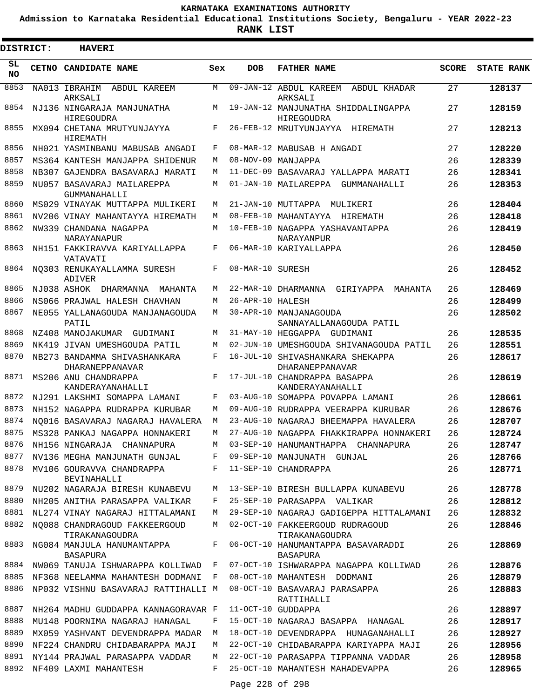**Admission to Karnataka Residential Educational Institutions Society, Bengaluru - YEAR 2022-23**

| DISTRICT:       | <b>HAVERI</b>                                   |     |                  |                                                          |              |                   |
|-----------------|-------------------------------------------------|-----|------------------|----------------------------------------------------------|--------------|-------------------|
| SL<br><b>NO</b> | CETNO CANDIDATE NAME                            | Sex | <b>DOB</b>       | <b>FATHER NAME</b>                                       | <b>SCORE</b> | <b>STATE RANK</b> |
| 8853            | NA013 IBRAHIM<br>ABDUL KAREEM<br>ARKSALI        | M   |                  | 09-JAN-12 ABDUL KAREEM<br>ABDUL KHADAR<br>ARKSALI        | 27           | 128137            |
| 8854            | NJ136 NINGARAJA MANJUNATHA<br><b>HIREGOUDRA</b> | M   |                  | 19-JAN-12 MANJUNATHA SHIDDALINGAPPA<br><b>HIREGOUDRA</b> | 27           | 128159            |
| 8855            | MX094 CHETANA MRUTYUNJAYYA<br>HIREMATH          | F   |                  | 26-FEB-12 MRUTYUNJAYYA HIREMATH                          | 27           | 128213            |
| 8856            | NH021 YASMINBANU MABUSAB ANGADI                 | F   |                  | 08-MAR-12 MABUSAB H ANGADI                               | 27           | 128220            |
| 8857            | MS364 KANTESH MANJAPPA SHIDENUR                 | М   |                  | 08-NOV-09 MANJAPPA                                       | 26           | 128339            |
| 8858            | NB307 GAJENDRA BASAVARAJ MARATI                 | М   |                  | 11-DEC-09 BASAVARAJ YALLAPPA MARATI                      | 26           | 128341            |
| 8859            | NU057 BASAVARAJ MAILAREPPA<br>GUMMANAHALLI      | М   |                  | 01-JAN-10 MAILAREPPA GUMMANAHALLI                        | 26           | 128353            |
| 8860            | MS029 VINAYAK MUTTAPPA MULIKERI                 | М   |                  | 21-JAN-10 MUTTAPPA<br>MULIKERI                           | 26           | 128404            |
| 8861            | NV206 VINAY MAHANTAYYA HIREMATH                 | М   |                  | 08-FEB-10 MAHANTAYYA HIREMATH                            | 26           | 128418            |
| 8862            | NW339 CHANDANA NAGAPPA<br>NARAYANAPUR           | М   |                  | 10-FEB-10 NAGAPPA YASHAVANTAPPA<br>NARAYANPUR            | 26           | 128419            |
| 8863            | NH151 FAKKIRAVVA KARIYALLAPPA<br>VATAVATI       | F   |                  | 06-MAR-10 KARIYALLAPPA                                   | 26           | 128450            |
| 8864            | NO303 RENUKAYALLAMMA SURESH<br>ADIVER           | F   | 08-MAR-10 SURESH |                                                          | 26           | 128452            |
| 8865            | NJ038 ASHOK DHARMANNA<br>MAHANTA                | М   |                  | 22-MAR-10 DHARMANNA<br>GIRIYAPPA<br>MAHANTA              | 26           | 128469            |
| 8866            | NS066 PRAJWAL HALESH CHAVHAN                    | М   | 26-APR-10 HALESH |                                                          | 26           | 128499            |
| 8867            | NE055 YALLANAGOUDA MANJANAGOUDA                 | М   |                  | 30-APR-10 MANJANAGOUDA                                   | 26           | 128502            |
| 8868            | PATIL<br>NZ408 MANOJAKUMAR GUDIMANI             | M   |                  | SANNAYALLANAGOUDA PATIL<br>31-MAY-10 HEGGAPPA GUDIMANI   | 26           | 128535            |
| 8869            | NK419 JIVAN UMESHGOUDA PATIL                    | M   |                  | 02-JUN-10 UMESHGOUDA SHIVANAGOUDA PATIL                  | 26           | 128551            |
| 8870            | NB273 BANDAMMA SHIVASHANKARA                    | F   |                  | 16-JUL-10 SHIVASHANKARA SHEKAPPA                         | 26           | 128617            |
|                 | DHARANEPPANAVAR                                 |     |                  | <b>DHARANEPPANAVAR</b>                                   |              |                   |
| 8871            | MS206 ANU CHANDRAPPA<br>KANDERAYANAHALLI        | F   |                  | 17-JUL-10 CHANDRAPPA BASAPPA<br>KANDERAYANAHALLI         | 26           | 128619            |
| 8872            | NJ291 LAKSHMI SOMAPPA LAMANI                    | F   |                  | 03-AUG-10 SOMAPPA POVAPPA LAMANI                         | 26           | 128661            |
| 8873            | NH152 NAGAPPA RUDRAPPA KURUBAR                  | М   |                  | 09-AUG-10 RUDRAPPA VEERAPPA KURUBAR                      | 26           | 128676            |
| 8874            | NO016 BASAVARAJ NAGARAJ HAVALERA                | M   |                  | 23-AUG-10 NAGARAJ BHEEMAPPA HAVALERA                     | 26           | 128707            |
| 8875            | MS328 PANKAJ NAGAPPA HONNAKERI                  | M   |                  | 27-AUG-10 NAGAPPA FHAKKIRAPPA HONNAKERI                  | 26           | 128724            |
| 8876            | NH156 NINGARAJA CHANNAPURA                      | M   |                  | 03-SEP-10 HANUMANTHAPPA CHANNAPURA                       | 26           | 128747            |
| 8877            | NV136 MEGHA MANJUNATH GUNJAL                    | F   |                  | 09-SEP-10 MANJUNATH GUNJAL                               | 26           | 128766            |
| 8878            | MV106 GOURAVVA CHANDRAPPA<br><b>BEVINAHALLI</b> | F   |                  | 11-SEP-10 CHANDRAPPA                                     | 26           | 128771            |
| 8879            | NU202 NAGARAJA BIRESH KUNABEVU                  | М   |                  | 13-SEP-10 BIRESH BULLAPPA KUNABEVU                       | 26           | 128778            |
| 8880            | NH205 ANITHA PARASAPPA VALIKAR                  | F   |                  | 25-SEP-10 PARASAPPA VALIKAR                              | 26           | 128812            |
| 8881            | NL274 VINAY NAGARAJ HITTALAMANI                 | M   |                  | 29-SEP-10 NAGARAJ GADIGEPPA HITTALAMANI                  | 26           | 128832            |
| 8882            | NQ088 CHANDRAGOUD FAKKEERGOUD<br>TIRAKANAGOUDRA | М   |                  | 02-OCT-10 FAKKEERGOUD RUDRAGOUD<br>TIRAKANAGOUDRA        | 26           | 128846            |
| 8883            | NG084 MANJULA HANUMANTAPPA<br><b>BASAPURA</b>   | F   |                  | 06-OCT-10 HANUMANTAPPA BASAVARADDI<br><b>BASAPURA</b>    | 26           | 128869            |
| 8884            | NW069 TANUJA ISHWARAPPA KOLLIWAD                | F   |                  | 07-OCT-10 ISHWARAPPA NAGAPPA KOLLIWAD                    | 26           | 128876            |
| 8885            | NF368 NEELAMMA MAHANTESH DODMANI                | F   |                  | 08-OCT-10 MAHANTESH DODMANI                              | 26           | 128879            |
| 8886            | NP032 VISHNU BASAVARAJ RATTIHALLI M             |     |                  | 08-OCT-10 BASAVARAJ PARASAPPA<br>RATTIHALLI              | 26           | 128883            |
| 8887            | NH264 MADHU GUDDAPPA KANNAGORAVAR F             |     |                  | 11-OCT-10 GUDDAPPA                                       | 26           | 128897            |
| 8888            | MU148 POORNIMA NAGARAJ HANAGAL                  | F   |                  | 15-OCT-10 NAGARAJ BASAPPA HANAGAL                        | 26           | 128917            |
| 8889            | MX059 YASHVANT DEVENDRAPPA MADAR                | М   |                  | 18-OCT-10 DEVENDRAPPA HUNAGANAHALLI                      | 26           | 128927            |
| 8890            | NF224 CHANDRU CHIDABARAPPA MAJI                 | М   |                  | 22-OCT-10 CHIDABARAPPA KARIYAPPA MAJI                    | 26           | 128956            |
| 8891            | NY144 PRAJWAL PARASAPPA VADDAR                  | М   |                  | 22-OCT-10 PARASAPPA TIPPANNA VADDAR                      | 26           | 128958            |
| 8892            | NF409 LAXMI MAHANTESH                           | F   |                  | 25-OCT-10 MAHANTESH MAHADEVAPPA                          | 26           | 128965            |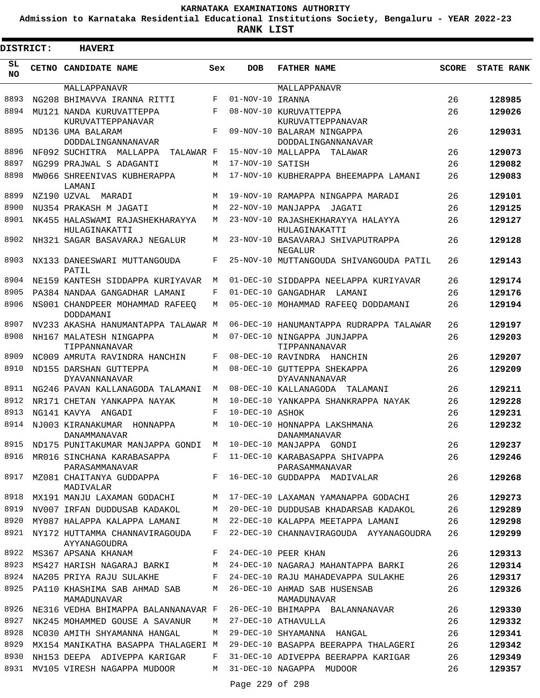**Admission to Karnataka Residential Educational Institutions Society, Bengaluru - YEAR 2022-23**

**RANK LIST**

| <b>DISTRICT:</b> |  | <b>HAVERI</b>                                        |             |                  |                                                         |              |                   |
|------------------|--|------------------------------------------------------|-------------|------------------|---------------------------------------------------------|--------------|-------------------|
| SL<br><b>NO</b>  |  | <b>CETNO CANDIDATE NAME</b>                          | Sex         | <b>DOB</b>       | <b>FATHER NAME</b>                                      | <b>SCORE</b> | <b>STATE RANK</b> |
|                  |  | MALLAPPANAVR                                         |             |                  | MALLAPPANAVR                                            |              |                   |
| 8893             |  | NG208 BHIMAVVA IRANNA RITTI                          | F           | 01-NOV-10 IRANNA |                                                         | 26           | 128985            |
| 8894             |  | MU121 NANDA KURUVATTEPPA<br>KURUVATTEPPANAVAR        | F           |                  | 08-NOV-10 KURUVATTEPPA<br>KURUVATTEPPANAVAR             | 26           | 129026            |
| 8895             |  | ND136 UMA BALARAM<br>DODDALINGANNANAVAR              | $\mathbf F$ |                  | 09-NOV-10 BALARAM NINGAPPA<br><b>DODDALINGANNANAVAR</b> | 26           | 129031            |
| 8896             |  | NF092 SUCHITRA MALLAPPA<br>TALAWAR F                 |             |                  | 15-NOV-10 MALLAPPA<br>TALAWAR                           | 26           | 129073            |
| 8897             |  | NG299 PRAJWAL S ADAGANTI                             | М           | 17-NOV-10 SATISH |                                                         | 26           | 129082            |
| 8898             |  | MW066 SHREENIVAS KUBHERAPPA<br>LAMANI                | М           |                  | 17-NOV-10 KUBHERAPPA BHEEMAPPA LAMANI                   | 26           | 129083            |
| 8899             |  | NZ190 UZVAL<br>MARADI                                | М           |                  | 19-NOV-10 RAMAPPA NINGAPPA MARADI                       | 26           | 129101            |
| 8900             |  | NU354 PRAKASH M JAGATI                               | М           |                  | 22-NOV-10 MANJAPPA JAGATI                               | 26           | 129125            |
| 8901             |  | NK455 HALASWAMI RAJASHEKHARAYYA<br>HULAGINAKATTI     | М           |                  | 23-NOV-10 RAJASHEKHARAYYA HALAYYA<br>HULAGINAKATTI      | 26           | 129127            |
| 8902             |  | NH321 SAGAR BASAVARAJ NEGALUR                        | M           |                  | 23-NOV-10 BASAVARAJ SHIVAPUTRAPPA<br>NEGALUR            | 26           | 129128            |
| 8903             |  | NX133 DANEESWARI MUTTANGOUDA<br>PATIL                | F           |                  | 25-NOV-10 MUTTANGOUDA SHIVANGOUDA PATIL                 | 26           | 129143            |
| 8904             |  | NE159 KANTESH SIDDAPPA KURIYAVAR                     | M           |                  | 01-DEC-10 SIDDAPPA NEELAPPA KURIYAVAR                   | 26           | 129174            |
| 8905             |  | PA384 NANDAA GANGADHAR LAMANI                        | F           |                  | 01-DEC-10 GANGADHAR LAMANI                              | 26           | 129176            |
| 8906             |  | NS001 CHANDPEER MOHAMMAD RAFEEQ<br>DODDAMANI         | M           |                  | 05-DEC-10 MOHAMMAD RAFEEO DODDAMANI                     | 26           | 129194            |
| 8907             |  | NV233 AKASHA HANUMANTAPPA TALAWAR M                  |             |                  | 06-DEC-10 HANUMANTAPPA RUDRAPPA TALAWAR                 | 26           | 129197            |
| 8908             |  | NH167 MALATESH NINGAPPA<br>TIPPANNANAVAR             | M           |                  | 07-DEC-10 NINGAPPA JUNJAPPA<br>TIPPANNANAVAR            | 26           | 129203            |
| 8909             |  | NC009 AMRUTA RAVINDRA HANCHIN                        | F           |                  | 08-DEC-10 RAVINDRA HANCHIN                              | 26           | 129207            |
| 8910             |  | ND155 DARSHAN GUTTEPPA<br><b>DYAVANNANAVAR</b>       | M           |                  | 08-DEC-10 GUTTEPPA SHEKAPPA<br>DYAVANNANAVAR            | 26           | 129209            |
| 8911             |  | NG246 PAVAN KALLANAGODA TALAMANI                     | M           |                  | 08-DEC-10 KALLANAGODA TALAMANI                          | 26           | 129211            |
| 8912             |  | NR171 CHETAN YANKAPPA NAYAK                          | М           |                  | 10-DEC-10 YANKAPPA SHANKRAPPA NAYAK                     | 26           | 129228            |
| 8913             |  | NG141 KAVYA ANGADI                                   | F           | 10-DEC-10 ASHOK  |                                                         | 26           | 129231            |
| 8914             |  | NJ003 KIRANAKUMAR<br>HONNAPPA<br><b>DANAMMANAVAR</b> | M           |                  | 10-DEC-10 HONNAPPA LAKSHMANA<br>DANAMMANAVAR            | 26           | 129232            |
| 8915             |  | ND175 PUNITAKUMAR MANJAPPA GONDI M                   |             |                  | 10-DEC-10 MANJAPPA GONDI                                | 26           | 129237            |
| 8916             |  | MR016 SINCHANA KARABASAPPA<br>PARASAMMANAVAR         |             |                  | F 11-DEC-10 KARABASAPPA SHIVAPPA<br>PARASAMMANAVAR      | 26           | 129246            |
| 8917             |  | MZ081 CHAITANYA GUDDAPPA<br>MADIVALAR                | F           |                  | 16-DEC-10 GUDDAPPA MADIVALAR                            | 26           | 129268            |
| 8918             |  | MX191 MANJU LAXAMAN GODACHI                          | М           |                  | 17-DEC-10 LAXAMAN YAMANAPPA GODACHI                     | 26           | 129273            |
| 8919             |  | NV007 IRFAN DUDDUSAB KADAKOL                         | M           |                  | 20-DEC-10 DUDDUSAB KHADARSAB KADAKOL                    | 26           | 129289            |
| 8920             |  | MY087 HALAPPA KALAPPA LAMANI                         | M           |                  | 22-DEC-10 KALAPPA MEETAPPA LAMANI                       | 26           | 129298            |
| 8921             |  | NY172 HUTTAMMA CHANNAVIRAGOUDA<br>AYYANAGOUDRA       | F           |                  | 22-DEC-10 CHANNAVIRAGOUDA AYYANAGOUDRA                  | 26           | 129299            |
| 8922             |  | MS367 APSANA KHANAM                                  | F           |                  | 24-DEC-10 PEER KHAN                                     | 26           | 129313            |
| 8923             |  | MS427 HARISH NAGARAJ BARKI                           | М           |                  | 24-DEC-10 NAGARAJ MAHANTAPPA BARKI                      | 26           | 129314            |
| 8924             |  | NA205 PRIYA RAJU SULAKHE                             | F           |                  | 24-DEC-10 RAJU MAHADEVAPPA SULAKHE                      | 26           | 129317            |
| 8925             |  | PA110 KHASHIMA SAB AHMAD SAB<br>MAMADUNAVAR          | M           |                  | 26-DEC-10 AHMAD SAB HUSENSAB<br>MAMADUNAVAR             | 26           | 129326            |
| 8926             |  | NE316 VEDHA BHIMAPPA BALANNANAVAR F                  |             |                  | 26-DEC-10 BHIMAPPA BALANNANAVAR                         | 26           | 129330            |
| 8927             |  | NK245 MOHAMMED GOUSE A SAVANUR                       | М           |                  | 27-DEC-10 ATHAVULLA                                     | 26           | 129332            |
| 8928             |  | NC030 AMITH SHYAMANNA HANGAL                         | М           |                  | 29-DEC-10 SHYAMANNA HANGAL                              | 26           | 129341            |
| 8929             |  | MX154 MANIKATHA BASAPPA THALAGERI M                  |             |                  | 29-DEC-10 BASAPPA BEERAPPA THALAGERI                    | 26           | 129342            |
| 8930             |  | NH153 DEEPA ADIVEPPA KARIGAR                         | F           |                  | 31-DEC-10 ADIVEPPA BEERAPPA KARIGAR                     | 26           | 129349            |
| 8931             |  | MV105 VIRESH NAGAPPA MUDOOR                          | М           |                  | 31-DEC-10 NAGAPPA MUDOOR                                | 26           | 129357            |

Page 229 of 298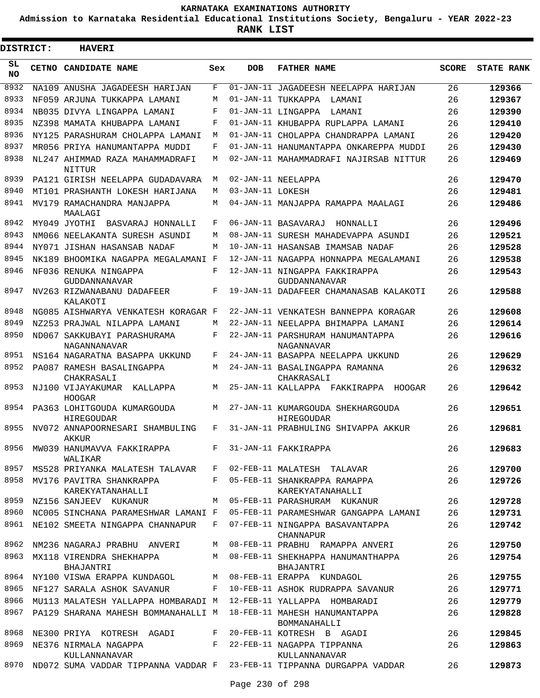**Admission to Karnataka Residential Educational Institutions Society, Bengaluru - YEAR 2022-23**

| <b>DISTRICT:</b> | <b>HAVERI</b>                                                          |     |                  |                                                                                   |              |                   |
|------------------|------------------------------------------------------------------------|-----|------------------|-----------------------------------------------------------------------------------|--------------|-------------------|
| SL.<br>NO.       | CETNO CANDIDATE NAME                                                   | Sex | <b>DOB</b>       | <b>FATHER NAME</b>                                                                | <b>SCORE</b> | <b>STATE RANK</b> |
| 8932             | NA109 ANUSHA JAGADEESH HARIJAN                                         | F   |                  | 01-JAN-11 JAGADEESH NEELAPPA HARIJAN                                              | 26           | 129366            |
| 8933             | NF059 ARJUNA TUKKAPPA LAMANI                                           | М   |                  | 01-JAN-11 TUKKAPPA<br>LAMANI                                                      | 26           | 129367            |
| 8934             | NB035 DIVYA LINGAPPA LAMANI                                            | F   |                  | 01-JAN-11 LINGAPPA<br>LAMANI                                                      | 26           | 129390            |
| 8935             | NZ398 MAMATA KHUBAPPA LAMANI                                           | F   |                  | 01-JAN-11 KHUBAPPA RUPLAPPA LAMANI                                                | 26           | 129410            |
| 8936             | NY125 PARASHURAM CHOLAPPA LAMANI                                       | М   |                  | 01-JAN-11 CHOLAPPA CHANDRAPPA LAMANI                                              | 26           | 129420            |
| 8937             | MR056 PRIYA HANUMANTAPPA MUDDI                                         | F   |                  | 01-JAN-11 HANUMANTAPPA ONKAREPPA MUDDI                                            | 26           | 129430            |
| 8938             | NL247 AHIMMAD RAZA MAHAMMADRAFI<br>NITTUR                              | М   |                  | 02-JAN-11 MAHAMMADRAFI NAJIRSAB NITTUR                                            | 26           | 129469            |
| 8939             | PA121 GIRISH NEELAPPA GUDADAVARA                                       | М   |                  | 02-JAN-11 NEELAPPA                                                                | 26           | 129470            |
| 8940             | MT101 PRASHANTH LOKESH HARIJANA                                        | М   | 03-JAN-11 LOKESH |                                                                                   | 26           | 129481            |
| 8941             | MV179 RAMACHANDRA MANJAPPA<br>MAALAGI                                  | М   |                  | 04-JAN-11 MANJAPPA RAMAPPA MAALAGI                                                | 26           | 129486            |
| 8942             | MY049 JYOTHI BASVARAJ HONNALLI                                         | F   |                  | 06-JAN-11 BASAVARAJ<br>HONNALLI                                                   | 26           | 129496            |
| 8943             | NM066 NEELAKANTA SURESH ASUNDI                                         | M   |                  | 08-JAN-11 SURESH MAHADEVAPPA ASUNDI                                               | 26           | 129521            |
| 8944             | NY071 JISHAN HASANSAB NADAF                                            | М   |                  | 10-JAN-11 HASANSAB IMAMSAB NADAF                                                  | 26           | 129528            |
| 8945             | NK189 BHOOMIKA NAGAPPA MEGALAMANI F                                    |     |                  | 12-JAN-11 NAGAPPA HONNAPPA MEGALAMANI                                             | 26           | 129538            |
| 8946             | NF036 RENUKA NINGAPPA<br>GUDDANNANAVAR                                 | F   |                  | 12-JAN-11 NINGAPPA FAKKIRAPPA<br><b>GUDDANNANAVAR</b>                             | 26           | 129543            |
| 8947             | NV263 RIZWANABANU DADAFEER<br>KALAKOTI                                 | F   |                  | 19-JAN-11 DADAFEER CHAMANASAB KALAKOTI                                            | 26           | 129588            |
| 8948             | NG085 AISHWARYA VENKATESH KORAGAR F                                    |     |                  | 22-JAN-11 VENKATESH BANNEPPA KORAGAR                                              | 26           | 129608            |
| 8949             | NZ253 PRAJWAL NILAPPA LAMANI                                           | М   |                  | 22-JAN-11 NEELAPPA BHIMAPPA LAMANI                                                | 26           | 129614            |
| 8950             | ND067 SAKKUBAYI PARASHURAMA<br>NAGANNANAVAR                            | F   |                  | 22-JAN-11 PARSHURAM HANUMANTAPPA<br>NAGANNAVAR                                    | 26           | 129616            |
| 8951             | NS164 NAGARATNA BASAPPA UKKUND                                         | F   |                  | 24-JAN-11 BASAPPA NEELAPPA UKKUND                                                 | 26           | 129629            |
| 8952             | PA087 RAMESH BASALINGAPPA<br>CHAKRASALI                                | М   |                  | 24-JAN-11 BASALINGAPPA RAMANNA<br>CHAKRASALI                                      | 26           | 129632            |
| 8953             | NJ100 VIJAYAKUMAR<br>KALLAPPA<br><b>HOOGAR</b>                         | М   |                  | 25-JAN-11 KALLAPPA FAKKIRAPPA<br>HOOGAR                                           | 26           | 129642            |
| 8954             | PA363 LOHITGOUDA KUMARGOUDA<br>HIREGOUDAR                              | М   |                  | 27-JAN-11 KUMARGOUDA SHEKHARGOUDA<br>HIREGOUDAR                                   | 26           | 129651            |
| 8955             | NV072 ANNAPOORNESARI SHAMBULING<br>AKKUR                               | F   |                  | 31-JAN-11 PRABHULING SHIVAPPA AKKUR                                               | 26           | 129681            |
| 8956             | MW039 HANUMAVVA FAKKIRAPPA F<br>WALIKAR                                |     |                  | 31-JAN-11 FAKKIRAPPA                                                              | 26           | 129683            |
|                  |                                                                        |     |                  | 8957 MS528 PRIYANKA MALATESH TALAVAR F 02-FEB-11 MALATESH TALAVAR                 | 26           | 129700            |
| 8958             | MV176 PAVITRA SHANKRAPPA<br>KAREKYATANAHALLI                           |     |                  | F 05-FEB-11 SHANKRAPPA RAMAPPA<br>KAREKYATANAHALLI                                | 26           | 129726            |
| 8959             | NZ156 SANJEEV KUKANUR                                                  |     |                  | M 05-FEB-11 PARASHURAM KUKANUR                                                    | 26           | 129728            |
| 8960             |                                                                        |     |                  | NC005 SINCHANA PARAMESHWAR LAMANI F 05-FEB-11 PARAMESHWAR GANGAPPA LAMANI         | 26           | 129731            |
|                  | 8961 NE102 SMEETA NINGAPPA CHANNAPUR F 07-FEB-11 NINGAPPA BASAVANTAPPA |     |                  | CHANNAPUR                                                                         | 26           | 129742            |
|                  | 8962 NM236 NAGARAJ PRABHU ANVERI                                       |     |                  | M 08-FEB-11 PRABHU RAMAPPA ANVERI                                                 | 26           | 129750            |
|                  | BHAJANTRI                                                              |     |                  | 8963 MX118 VIRENDRA SHEKHAPPA M 08-FEB-11 SHEKHAPPA HANUMANTHAPPA<br>BHAJANTRI    | 26           | 129754            |
|                  |                                                                        |     |                  | 8964 NY100 VISWA ERAPPA KUNDAGOL M 08-FEB-11 ERAPPA KUNDAGOL                      | 26           | 129755            |
| 8965             |                                                                        |     |                  | NF127 SARALA ASHOK SAVANUR F 10-FEB-11 ASHOK RUDRAPPA SAVANUR                     | 26           | 129771            |
| 8966             |                                                                        |     |                  | MU113 MALATESH YALLAPPA HOMBARADI M 12-FEB-11 YALLAPPA HOMBARADI                  | 26           | 129779            |
| 8967             |                                                                        |     |                  | PA129 SHARANA MAHESH BOMMANAHALLI M 18-FEB-11 MAHESH HANUMANTAPPA<br>BOMMANAHALLI | 26           | 129828            |
| 8968             |                                                                        |     |                  | NE300 PRIYA KOTRESH AGADI F 20-FEB-11 KOTRESH B AGADI                             | 26           | 129845            |
| 8969             | KULLANNANAVAR                                                          |     |                  | NE376 NIRMALA NAGAPPA (F 22-FEB-11 NAGAPPA TIPPANNA<br>KULLANNANAVAR              | 26           | 129863            |
|                  |                                                                        |     |                  | 8970 ND072 SUMA VADDAR TIPPANNA VADDAR F 23-FEB-11 TIPPANNA DURGAPPA VADDAR       | 26           | 129873            |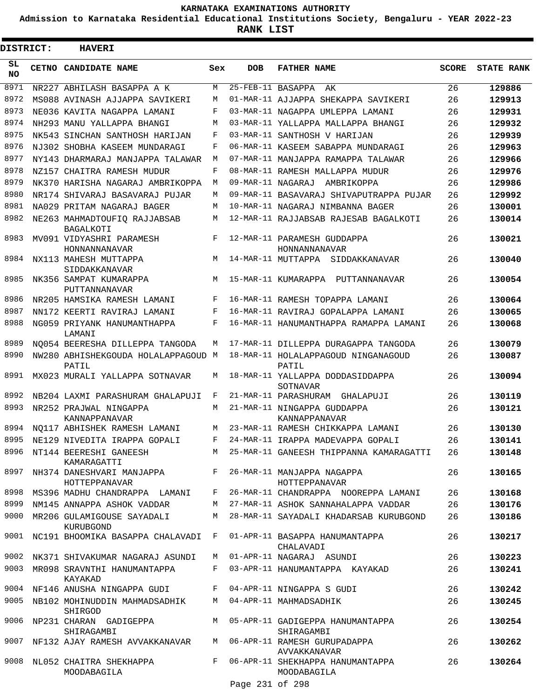**Admission to Karnataka Residential Educational Institutions Society, Bengaluru - YEAR 2022-23**

| <b>DISTRICT:</b> | <b>HAVERI</b>                                                                |     |                   |                                                                                    |              |                   |
|------------------|------------------------------------------------------------------------------|-----|-------------------|------------------------------------------------------------------------------------|--------------|-------------------|
| SL<br><b>NO</b>  | <b>CETNO CANDIDATE NAME</b>                                                  | Sex | <b>DOB</b>        | <b>FATHER NAME</b>                                                                 | <b>SCORE</b> | <b>STATE RANK</b> |
| 8971             | NR227 ABHILASH BASAPPA A K                                                   | M   | 25-FEB-11 BASAPPA | AK                                                                                 | 26           | 129886            |
| 8972             | MS088 AVINASH AJJAPPA SAVIKERI                                               | М   |                   | 01-MAR-11 AJJAPPA SHEKAPPA SAVIKERI                                                | 26           | 129913            |
| 8973             | NE036 KAVITA NAGAPPA LAMANI                                                  | F   |                   | 03-MAR-11 NAGAPPA UMLEPPA LAMANI                                                   | 26           | 129931            |
| 8974             | NH293 MANU YALLAPPA BHANGI                                                   | М   |                   | 03-MAR-11 YALLAPPA MALLAPPA BHANGI                                                 | 26           | 129932            |
| 8975             | NK543 SINCHAN SANTHOSH HARIJAN                                               | F   |                   | 03-MAR-11 SANTHOSH V HARIJAN                                                       | 26           | 129939            |
| 8976             | NJ302 SHOBHA KASEEM MUNDARAGI                                                | F   |                   | 06-MAR-11 KASEEM SABAPPA MUNDARAGI                                                 | 26           | 129963            |
| 8977             | NY143 DHARMARAJ MANJAPPA TALAWAR                                             | M   |                   | 07-MAR-11 MANJAPPA RAMAPPA TALAWAR                                                 | 26           | 129966            |
| 8978             | NZ157 CHAITRA RAMESH MUDUR                                                   | F   |                   | 08-MAR-11 RAMESH MALLAPPA MUDUR                                                    | 26           | 129976            |
| 8979             | NK370 HARISHA NAGARAJ AMBRIKOPPA                                             | М   | 09-MAR-11 NAGARAJ | AMBRIKOPPA                                                                         | 26           | 129986            |
| 8980             | NR174 SHIVARAJ BASAVARAJ PUJAR                                               | M   |                   | 09-MAR-11 BASAVARAJ SHIVAPUTRAPPA PUJAR                                            | 26           | 129992            |
| 8981             | NA029 PRITAM NAGARAJ BAGER                                                   | M   |                   | 10-MAR-11 NAGARAJ NIMBANNA BAGER                                                   | 26           | 130001            |
| 8982             | NE263 MAHMADTOUFIQ RAJJABSAB<br><b>BAGALKOTI</b>                             | M   |                   | 12-MAR-11 RAJJABSAB RAJESAB BAGALKOTI                                              | 26           | 130014            |
| 8983             | MV091 VIDYASHRI PARAMESH<br>HONNANNANAVAR                                    | F   |                   | 12-MAR-11 PARAMESH GUDDAPPA<br>HONNANNANAVAR                                       | 26           | 130021            |
| 8984             | NX113 MAHESH MUTTAPPA<br>SIDDAKKANAVAR                                       | М   |                   | 14-MAR-11 MUTTAPPA SIDDAKKANAVAR                                                   | 26           | 130040            |
| 8985             | NK356 SAMPAT KUMARAPPA<br>PUTTANNANAVAR                                      | M   |                   | 15-MAR-11 KUMARAPPA PUTTANNANAVAR                                                  | 26           | 130054            |
| 8986             | NR205 HAMSIKA RAMESH LAMANI                                                  | F   |                   | 16-MAR-11 RAMESH TOPAPPA LAMANI                                                    | 26           | 130064            |
| 8987             | NN172 KEERTI RAVIRAJ LAMANI                                                  | F   |                   | 16-MAR-11 RAVIRAJ GOPALAPPA LAMANI                                                 | 26           | 130065            |
| 8988             | NG059 PRIYANK HANUMANTHAPPA<br>LAMANI                                        | F   |                   | 16-MAR-11 HANUMANTHAPPA RAMAPPA LAMANI                                             | 26           | 130068            |
| 8989             | NO054 BEERESHA DILLEPPA TANGODA                                              | М   |                   | 17-MAR-11 DILLEPPA DURAGAPPA TANGODA                                               | 26           | 130079            |
| 8990             | NW280 ABHISHEKGOUDA HOLALAPPAGOUD M<br>PATIL                                 |     |                   | 18-MAR-11 HOLALAPPAGOUD NINGANAGOUD<br>PATIL                                       | 26           | 130087            |
| 8991             | MX023 MURALI YALLAPPA SOTNAVAR                                               | М   |                   | 18-MAR-11 YALLAPPA DODDASIDDAPPA<br>SOTNAVAR                                       | 26           | 130094            |
| 8992             | NB204 LAXMI PARASHURAM GHALAPUJI                                             | F   |                   | 21-MAR-11 PARASHURAM GHALAPUJI                                                     | 26           | 130119            |
| 8993             | NR252 PRAJWAL NINGAPPA<br>KANNAPPANAVAR                                      | М   |                   | 21-MAR-11 NINGAPPA GUDDAPPA<br>KANNAPPANAVAR                                       | 26           | 130121            |
| 8994             | NO117 ABHISHEK RAMESH LAMANI                                                 | M   |                   | 23-MAR-11 RAMESH CHIKKAPPA LAMANI                                                  | 26           | 130130            |
|                  | 8995 NE129 NIVEDITA IRAPPA GOPALI                                            | F   |                   | 24-MAR-11 IRAPPA MADEVAPPA GOPALI                                                  | 26           | 130141            |
|                  | KAMARAGATTI                                                                  |     |                   | 8996 NT144 BEERESHI GANEESH MAR-11 GANEESH THIPPANNA KAMARAGATTI                   | 26           | 130148            |
|                  | 8997 NH374 DANESHVARI MANJAPPA F 26-MAR-11 MANJAPPA NAGAPPA<br>HOTTEPPANAVAR |     |                   | HOTTEPPANAVAR                                                                      | 26           | 130165            |
|                  |                                                                              |     |                   | 8998 MS396 MADHU CHANDRAPPA LAMANI F 26-MAR-11 CHANDRAPPA NOOREPPA LAMANI          | 26           | 130168            |
|                  | 8999 NM145 ANNAPPA ASHOK VADDAR                                              |     |                   | M 27-MAR-11 ASHOK SANNAHALAPPA VADDAR                                              | 26           | 130176            |
|                  | 9000 MR206 GULAMIGOUSE SAYADALI<br>KURUBGOND                                 |     |                   | M 28-MAR-11 SAYADALI KHADARSAB KURUBGOND                                           | 26           | 130186            |
|                  | 9001 NC191 BHOOMIKA BASAPPA CHALAVADI F 01-APR-11 BASAPPA HANUMANTAPPA       |     |                   | CHALAVADI                                                                          | 26           | 130217            |
|                  | 9002 NK371 SHIVAKUMAR NAGARAJ ASUNDI                                         |     |                   | M 01-APR-11 NAGARAJ ASUNDI                                                         | 26           | 130223            |
|                  | 9003 MR098 SRAVNTHI HANUMANTAPPA<br>KAYAKAD                                  |     |                   | F 03-APR-11 HANUMANTAPPA KAYAKAD                                                   | 26           | 130241            |
|                  | 9004 NF146 ANUSHA NINGAPPA GUDI F 04-APR-11 NINGAPPA S GUDI                  |     |                   |                                                                                    | 26           | 130242            |
|                  | 9005 NB102 MOHINUDDIN MAHMADSADHIK M 04-APR-11 MAHMADSADHIK<br>SHIRGOD       |     |                   |                                                                                    | 26           | 130245            |
|                  | SHIRAGAMBI                                                                   |     |                   | 9006 NP231 CHARAN GADIGEPPA M 05-APR-11 GADIGEPPA HANUMANTAPPA<br>SHIRAGAMBI       | 26           | 130254            |
|                  |                                                                              |     |                   | 9007 NF132 AJAY RAMESH AVVAKKANAVAR M 06-APR-11 RAMESH GURUPADAPPA<br>AVVAKKANAVAR | 26           | 130262            |
|                  | 9008 NL052 CHAITRA SHEKHAPPA<br>MOODABAGILA                                  |     |                   | F 06-APR-11 SHEKHAPPA HANUMANTAPPA<br>MOODABAGILA                                  | 26           | 130264            |
|                  |                                                                              |     | Page 231 of 298   |                                                                                    |              |                   |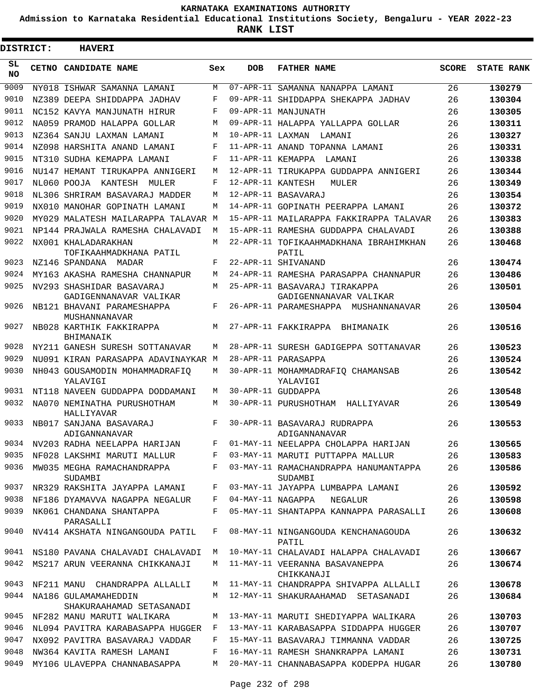**Admission to Karnataka Residential Educational Institutions Society, Bengaluru - YEAR 2022-23**

**RANK LIST**

Е

| <b>DISTRICT:</b> |  | <b>HAVERI</b>                                       |     |                   |                                                         |              |                   |  |  |  |  |  |  |
|------------------|--|-----------------------------------------------------|-----|-------------------|---------------------------------------------------------|--------------|-------------------|--|--|--|--|--|--|
| SL.<br><b>NO</b> |  | CETNO CANDIDATE NAME                                | Sex | <b>DOB</b>        | <b>FATHER NAME</b>                                      | <b>SCORE</b> | <b>STATE RANK</b> |  |  |  |  |  |  |
| 9009             |  | NY018 ISHWAR SAMANNA LAMANI                         | M   |                   | 07-APR-11 SAMANNA NANAPPA LAMANI                        | 26           | 130279            |  |  |  |  |  |  |
| 9010             |  | NZ389 DEEPA SHIDDAPPA JADHAV                        | F   |                   | 09-APR-11 SHIDDAPPA SHEKAPPA JADHAV                     | 26           | 130304            |  |  |  |  |  |  |
| 9011             |  | NC152 KAVYA MANJUNATH HIRUR                         | F   |                   | 09-APR-11 MANJUNATH                                     | 26           | 130305            |  |  |  |  |  |  |
| 9012             |  | NA059 PRAMOD HALAPPA GOLLAR                         | M   |                   | 09-APR-11 HALAPPA YALLAPPA GOLLAR                       | 26           | 130311            |  |  |  |  |  |  |
| 9013             |  | NZ364 SANJU LAXMAN LAMANI                           | M   | 10-APR-11 LAXMAN  | LAMANI                                                  | 26           | 130327            |  |  |  |  |  |  |
| 9014             |  | NZ098 HARSHITA ANAND LAMANI                         | F   |                   | 11-APR-11 ANAND TOPANNA LAMANI                          | 26           | 130331            |  |  |  |  |  |  |
| 9015             |  | NT310 SUDHA KEMAPPA LAMANI                          | F   |                   | 11-APR-11 KEMAPPA LAMANI                                | 26           | 130338            |  |  |  |  |  |  |
| 9016             |  | NU147 HEMANT TIRUKAPPA ANNIGERI                     | M   |                   | 12-APR-11 TIRUKAPPA GUDDAPPA ANNIGERI                   | 26           | 130344            |  |  |  |  |  |  |
| 9017             |  | NL060 POOJA KANTESH MULER                           | F   | 12-APR-11 KANTESH | MULER                                                   | 26           | 130349            |  |  |  |  |  |  |
| 9018             |  | NL306 SHRIRAM BASAVARAJ MADDER                      | M   |                   | 12-APR-11 BASAVARAJ                                     | 26           | 130354            |  |  |  |  |  |  |
| 9019             |  | NX010 MANOHAR GOPINATH LAMANI                       | M   |                   | 14-APR-11 GOPINATH PEERAPPA LAMANI                      | 26           | 130372            |  |  |  |  |  |  |
| 9020             |  | MY029 MALATESH MAILARAPPA TALAVAR M                 |     |                   | 15-APR-11 MAILARAPPA FAKKIRAPPA TALAVAR                 | 26           | 130383            |  |  |  |  |  |  |
| 9021             |  | NP144 PRAJWALA RAMESHA CHALAVADI                    | M   |                   | 15-APR-11 RAMESHA GUDDAPPA CHALAVADI                    | 26           | 130388            |  |  |  |  |  |  |
| 9022             |  | NX001 KHALADARAKHAN<br>TOFIKAAHMADKHANA PATIL       | M   |                   | 22-APR-11 TOFIKAAHMADKHANA IBRAHIMKHAN<br>PATIL         | 26           | 130468            |  |  |  |  |  |  |
| 9023             |  | NZ146 SPANDANA MADAR                                | F   |                   | 22-APR-11 SHIVANAND                                     | 26           | 130474            |  |  |  |  |  |  |
| 9024             |  | MY163 AKASHA RAMESHA CHANNAPUR                      | M   |                   | 24-APR-11 RAMESHA PARASAPPA CHANNAPUR                   | 26           | 130486            |  |  |  |  |  |  |
| 9025             |  | NV293 SHASHIDAR BASAVARAJ<br>GADIGENNANAVAR VALIKAR | M   |                   | 25-APR-11 BASAVARAJ TIRAKAPPA<br>GADIGENNANAVAR VALIKAR | 26           | 130501            |  |  |  |  |  |  |
| 9026             |  | NB121 BHAVANI PARAMESHAPPA<br>MUSHANNANAVAR         | F   |                   | 26-APR-11 PARAMESHAPPA MUSHANNANAVAR                    | 26           | 130504            |  |  |  |  |  |  |
| 9027             |  | NB028 KARTHIK FAKKIRAPPA<br>BHIMANAIK               | M   |                   | 27-APR-11 FAKKIRAPPA BHIMANAIK                          | 26           | 130516            |  |  |  |  |  |  |
| 9028             |  | NY211 GANESH SURESH SOTTANAVAR                      | M   |                   | 28-APR-11 SURESH GADIGEPPA SOTTANAVAR                   | 26           | 130523            |  |  |  |  |  |  |
| 9029             |  | NU091 KIRAN PARASAPPA ADAVINAYKAR M                 |     |                   | 28-APR-11 PARASAPPA                                     | 26           | 130524            |  |  |  |  |  |  |
| 9030             |  | NH043 GOUSAMODIN MOHAMMADRAFIO<br>YALAVIGI          | M   |                   | 30-APR-11 MOHAMMADRAFIQ CHAMANSAB<br>YALAVIGI           | 26           | 130542            |  |  |  |  |  |  |
| 9031             |  | NT118 NAVEEN GUDDAPPA DODDAMANI                     | M   |                   | 30-APR-11 GUDDAPPA                                      | 26           | 130548            |  |  |  |  |  |  |
| 9032             |  | NA070 NEMINATHA PURUSHOTHAM<br>HALLIYAVAR           | M   |                   | 30-APR-11 PURUSHOTHAM HALLIYAVAR                        | 26           | 130549            |  |  |  |  |  |  |
| 9033             |  | NB017 SANJANA BASAVARAJ<br>ADIGANNANAVAR            | F   |                   | 30-APR-11 BASAVARAJ RUDRAPPA<br>ADIGANNANAVAR           | 26           | 130553            |  |  |  |  |  |  |
| 9034             |  | NV203 RADHA NEELAPPA HARIJAN                        | F   |                   | 01-MAY-11 NEELAPPA CHOLAPPA HARIJAN                     | 26           | 130565            |  |  |  |  |  |  |
| 9035             |  | NF028 LAKSHMI MARUTI MALLUR                         | F   |                   | 03-MAY-11 MARUTI PUTTAPPA MALLUR                        | 26           | 130583            |  |  |  |  |  |  |
| 9036             |  | MW035 MEGHA RAMACHANDRAPPA<br>SUDAMBI               | F   |                   | 03-MAY-11 RAMACHANDRAPPA HANUMANTAPPA<br>SUDAMBI        | 26           | 130586            |  |  |  |  |  |  |
| 9037             |  | NR329 RAKSHITA JAYAPPA LAMANI                       | F   |                   | 03-MAY-11 JAYAPPA LUMBAPPA LAMANI                       | 26           | 130592            |  |  |  |  |  |  |
| 9038             |  | NF186 DYAMAVVA NAGAPPA NEGALUR                      | F   | 04-MAY-11 NAGAPPA | NEGALUR                                                 | 26           | 130598            |  |  |  |  |  |  |
| 9039             |  | NK061 CHANDANA SHANTAPPA<br>PARASALLI               | F   |                   | 05-MAY-11 SHANTAPPA KANNAPPA PARASALLI                  | 26           | 130608            |  |  |  |  |  |  |
| 9040             |  | NV414 AKSHATA NINGANGOUDA PATIL                     | F   |                   | 08-MAY-11 NINGANGOUDA KENCHANAGOUDA<br>PATIL            | 26           | 130632            |  |  |  |  |  |  |
| 9041             |  | NS180 PAVANA CHALAVADI CHALAVADI                    | М   |                   | 10-MAY-11 CHALAVADI HALAPPA CHALAVADI                   | 26           | 130667            |  |  |  |  |  |  |
| 9042             |  | MS217 ARUN VEERANNA CHIKKANAJI                      | M   |                   | 11-MAY-11 VEERANNA BASAVANEPPA<br>CHIKKANAJI            | 26           | 130674            |  |  |  |  |  |  |
| 9043             |  | NF211 MANU CHANDRAPPA ALLALLI                       | М   |                   | 11-MAY-11 CHANDRAPPA SHIVAPPA ALLALLI                   | 26           | 130678            |  |  |  |  |  |  |
| 9044             |  | NA186 GULAMAMAHEDDIN<br>SHAKURAAHAMAD SETASANADI    | M   |                   | 12-MAY-11 SHAKURAAHAMAD SETASANADI                      | 26           | 130684            |  |  |  |  |  |  |
| 9045             |  | NF282 MANU MARUTI WALIKARA                          | M   |                   | 13-MAY-11 MARUTI SHEDIYAPPA WALIKARA                    | 26           | 130703            |  |  |  |  |  |  |
| 9046             |  | NL094 PAVITRA KARABASAPPA HUGGER                    | F   |                   | 13-MAY-11 KARABASAPPA SIDDAPPA HUGGER                   | 26           | 130707            |  |  |  |  |  |  |
| 9047             |  | NX092 PAVITRA BASAVARAJ VADDAR                      | F   |                   | 15-MAY-11 BASAVARAJ TIMMANNA VADDAR                     | 26           | 130725            |  |  |  |  |  |  |
| 9048             |  | NW364 KAVITA RAMESH LAMANI                          | F   |                   | 16-MAY-11 RAMESH SHANKRAPPA LAMANI                      | 26           | 130731            |  |  |  |  |  |  |
| 9049             |  | MY106 ULAVEPPA CHANNABASAPPA                        | M   |                   | 20-MAY-11 CHANNABASAPPA KODEPPA HUGAR                   | 26           | 130780            |  |  |  |  |  |  |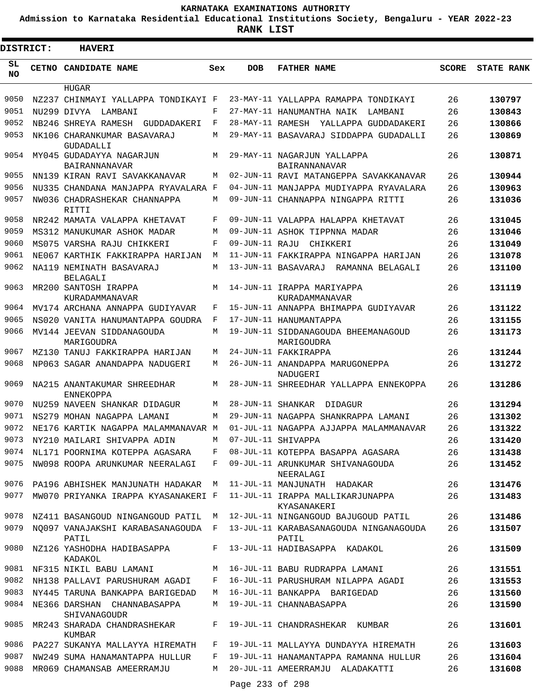**Admission to Karnataka Residential Educational Institutions Society, Bengaluru - YEAR 2022-23**

| <b>DISTRICT:</b> | <b>HAVERI</b>                                  |     |                   |                                                                           |              |                   |
|------------------|------------------------------------------------|-----|-------------------|---------------------------------------------------------------------------|--------------|-------------------|
| SL<br><b>NO</b>  | CETNO CANDIDATE NAME                           | Sex | <b>DOB</b>        | <b>FATHER NAME</b>                                                        | <b>SCORE</b> | <b>STATE RANK</b> |
|                  | <b>HUGAR</b>                                   |     |                   |                                                                           |              |                   |
| 9050             | NZ237 CHINMAYI YALLAPPA TONDIKAYI F            |     |                   | 23-MAY-11 YALLAPPA RAMAPPA TONDIKAYI                                      | 26           | 130797            |
| 9051             | NU299 DIVYA<br>LAMBANI                         | F   |                   | 27-MAY-11 HANUMANTHA NAIK<br>LAMBANI                                      | 26           | 130843            |
| 9052             | NB246 SHREYA RAMESH GUDDADAKERI                | F   |                   | 28-MAY-11 RAMESH YALLAPPA GUDDADAKERI                                     | 26           | 130866            |
| 9053             | NK106 CHARANKUMAR BASAVARAJ<br>GUDADALLI       | М   |                   | 29-MAY-11 BASAVARAJ SIDDAPPA GUDADALLI                                    | 26           | 130869            |
| 9054             | MY045 GUDADAYYA NAGARJUN<br>BAIRANNANAVAR      | М   |                   | 29-MAY-11 NAGARJUN YALLAPPA<br>BAIRANNANAVAR                              | 26           | 130871            |
| 9055             | NN139 KIRAN RAVI SAVAKKANAVAR                  | M   |                   | 02-JUN-11 RAVI MATANGEPPA SAVAKKANAVAR                                    | 26           | 130944            |
| 9056             | NU335 CHANDANA MANJAPPA RYAVALARA F            |     |                   | 04-JUN-11 MANJAPPA MUDIYAPPA RYAVALARA                                    | 26           | 130963            |
| 9057             | NW036 CHADRASHEKAR CHANNAPPA<br>RITTI          | М   |                   | 09-JUN-11 CHANNAPPA NINGAPPA RITTI                                        | 26           | 131036            |
| 9058             | NR242 MAMATA VALAPPA KHETAVAT                  | F   |                   | 09-JUN-11 VALAPPA HALAPPA KHETAVAT                                        | 26           | 131045            |
| 9059             | MS312 MANUKUMAR ASHOK MADAR                    | M   |                   | 09-JUN-11 ASHOK TIPPNNA MADAR                                             | 26           | 131046            |
| 9060             | MS075 VARSHA RAJU CHIKKERI                     | F   | 09-JUN-11 RAJU    | CHIKKERI                                                                  | 26           | 131049            |
| 9061             | NE067 KARTHIK FAKKIRAPPA HARIJAN               | M   |                   | 11-JUN-11 FAKKIRAPPA NINGAPPA HARIJAN                                     | 26           | 131078            |
| 9062             | NA119 NEMINATH BASAVARAJ<br><b>BELAGALI</b>    | М   |                   | 13-JUN-11 BASAVARAJ RAMANNA BELAGALI                                      | 26           | 131100            |
| 9063             | MR200 SANTOSH IRAPPA<br>KURADAMMANAVAR         | M   |                   | 14-JUN-11 IRAPPA MARIYAPPA<br>KURADAMMANAVAR                              | 26           | 131119            |
| 9064             | MV174 ARCHANA ANNAPPA GUDIYAVAR                | F   |                   | 15-JUN-11 ANNAPPA BHIMAPPA GUDIYAVAR                                      | 26           | 131122            |
| 9065             | NS020 VANITA HANUMANTAPPA GOUDRA               | F   |                   | 17-JUN-11 HANUMANTAPPA                                                    | 26           | 131155            |
| 9066             | MV144 JEEVAN SIDDANAGOUDA<br>MARIGOUDRA        | М   |                   | 19-JUN-11 SIDDANAGOUDA BHEEMANAGOUD<br>MARIGOUDRA                         | 26           | 131173            |
| 9067             | MZ130 TANUJ FAKKIRAPPA HARIJAN                 | М   |                   | 24-JUN-11 FAKKIRAPPA                                                      | 26           | 131244            |
| 9068             | NP063 SAGAR ANANDAPPA NADUGERI                 | М   |                   | 26-JUN-11 ANANDAPPA MARUGONEPPA<br>NADUGERI                               | 26           | 131272            |
| 9069             | NA215 ANANTAKUMAR SHREEDHAR<br>ENNEKOPPA       | М   |                   | 28-JUN-11 SHREEDHAR YALLAPPA ENNEKOPPA                                    | 26           | 131286            |
| 9070             | NU259 NAVEEN SHANKAR DIDAGUR                   | М   | 28-JUN-11 SHANKAR | DIDAGUR                                                                   | 26           | 131294            |
| 9071             | NS279 MOHAN NAGAPPA LAMANI                     | M   |                   | 29-JUN-11 NAGAPPA SHANKRAPPA LAMANI                                       | 26           | 131302            |
| 9072             | NE176 KARTIK NAGAPPA MALAMMANAVAR M            |     |                   | 01-JUL-11 NAGAPPA AJJAPPA MALAMMANAVAR                                    | 26           | 131322            |
| 9073             | NY210 MAILARI SHIVAPPA ADIN                    | М   |                   | 07-JUL-11 SHIVAPPA                                                        | 26           | 131420            |
| 9074             | NL171 POORNIMA KOTEPPA AGASARA                 | F   |                   | 08-JUL-11 KOTEPPA BASAPPA AGASARA                                         | 26           | 131438            |
| 9075             | NW098 ROOPA ARUNKUMAR NEERALAGI                | F   |                   | 09-JUL-11 ARUNKUMAR SHIVANAGOUDA                                          | 26           | 131452            |
| 9076             | PA196 ABHISHEK MANJUNATH HADAKAR M             |     |                   | NEERALAGI<br>11-JUL-11 MANJUNATH HADAKAR                                  | 26           | 131476            |
| 9077             | MW070 PRIYANKA IRAPPA KYASANAKERI F            |     |                   | 11-JUL-11 IRAPPA MALLIKARJUNAPPA<br>KYASANAKERI                           | 26           | 131483            |
| 9078             | NZ411 BASANGOUD NINGANGOUD PATIL               |     |                   | M 12-JUL-11 NINGANGOUD BAJUGOUD PATIL                                     | 26           | 131486            |
| 9079             |                                                |     |                   | NO097 VANAJAKSHI KARABASANAGOUDA F 13-JUL-11 KARABASANAGOUDA NINGANAGOUDA | 26           | 131507            |
| 9080             | PATIL<br>NZ126 YASHODHA HADIBASAPPA<br>KADAKOL |     |                   | PATIL<br>F 13-JUL-11 HADIBASAPPA KADAKOL                                  | 26           | 131509            |
| 9081             | NF315 NIKIL BABU LAMANI                        | M   |                   | 16-JUL-11 BABU RUDRAPPA LAMANI                                            | 26           | 131551            |
|                  | 9082 NH138 PALLAVI PARUSHURAM AGADI            | F   |                   | 16-JUL-11 PARUSHURAM NILAPPA AGADI                                        | 26           | 131553            |
| 9083             | NY445 TARUNA BANKAPPA BARIGEDAD                | M   |                   | 16-JUL-11 BANKAPPA BARIGEDAD                                              | 26           | 131560            |
| 9084             | NE366 DARSHAN CHANNABASAPPA<br>SHIVANAGOUDR    | M   |                   | 19-JUL-11 CHANNABASAPPA                                                   | 26           | 131590            |
| 9085             | MR243 SHARADA CHANDRASHEKAR<br>KUMBAR          | F   |                   | 19-JUL-11 CHANDRASHEKAR KUMBAR                                            | 26           | 131601            |
| 9086             | PA227 SUKANYA MALLAYYA HIREMATH                | F   |                   | 19-JUL-11 MALLAYYA DUNDAYYA HIREMATH                                      | 26           | 131603            |
| 9087             | NW249 SUMA HANAMANTAPPA HULLUR                 | F   |                   | 19-JUL-11 HANAMANTAPPA RAMANNA HULLUR                                     | 26           | 131604            |
| 9088             | MR069 CHAMANSAB AMEERRAMJU                     | М   |                   | 20-JUL-11 AMEERRAMJU ALADAKATTI                                           | 26           | 131608            |
|                  |                                                |     | Page 233 of 298   |                                                                           |              |                   |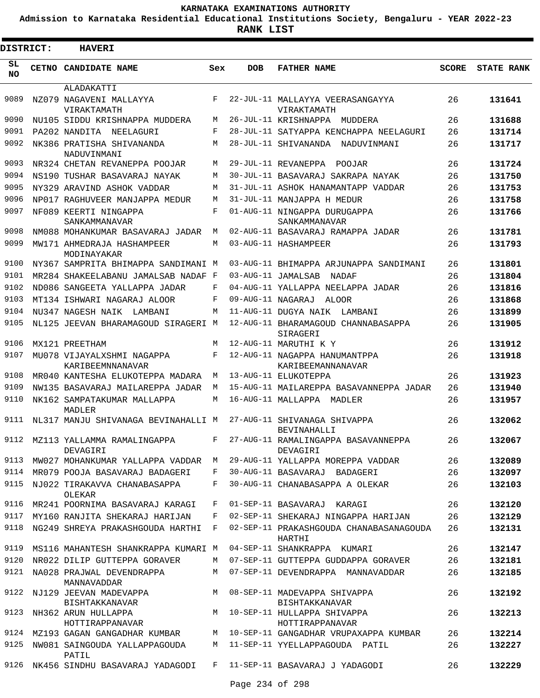**Admission to Karnataka Residential Educational Institutions Society, Bengaluru - YEAR 2022-23**

| <b>DISTRICT:</b> | <b>HAVERI</b>                                  |            |                   |                                                         |              |                   |
|------------------|------------------------------------------------|------------|-------------------|---------------------------------------------------------|--------------|-------------------|
| SL<br><b>NO</b>  | CETNO CANDIDATE NAME                           | Sex        | <b>DOB</b>        | <b>FATHER NAME</b>                                      | <b>SCORE</b> | <b>STATE RANK</b> |
|                  | ALADAKATTI                                     |            |                   |                                                         |              |                   |
| 9089             | NZ079 NAGAVENI MALLAYYA<br>VIRAKTAMATH         | F          |                   | 22-JUL-11 MALLAYYA VEERASANGAYYA<br>VIRAKTAMATH         | 26           | 131641            |
| 9090             | NU105 SIDDU KRISHNAPPA MUDDERA                 | М          |                   | 26-JUL-11 KRISHNAPPA MUDDERA                            | 26           | 131688            |
| 9091             | PA202 NANDITA NEELAGURI                        | F          |                   | 28-JUL-11 SATYAPPA KENCHAPPA NEELAGURI                  | 26           | 131714            |
| 9092             | NK386 PRATISHA SHIVANANDA<br>NADUVINMANI       | М          |                   | 28-JUL-11 SHIVANANDA NADUVINMANI                        | 26           | 131717            |
| 9093             | NR324 CHETAN REVANEPPA POOJAR                  | М          |                   | 29-JUL-11 REVANEPPA<br>POOJAR                           | 26           | 131724            |
| 9094             | NS190 TUSHAR BASAVARAJ NAYAK                   | М          |                   | 30-JUL-11 BASAVARAJ SAKRAPA NAYAK                       | 26           | 131750            |
| 9095             | NY329 ARAVIND ASHOK VADDAR                     | M          |                   | 31-JUL-11 ASHOK HANAMANTAPP VADDAR                      | 26           | 131753            |
| 9096             | NP017 RAGHUVEER MANJAPPA MEDUR                 | М          |                   | 31-JUL-11 MANJAPPA H MEDUR                              | 26           | 131758            |
| 9097             | NF089 KEERTI NINGAPPA<br>SANKAMMANAVAR         | F          |                   | 01-AUG-11 NINGAPPA DURUGAPPA<br>SANKAMMANAVAR           | 26           | 131766            |
| 9098             | NM088 MOHANKUMAR BASAVARAJ JADAR               | М          |                   | 02-AUG-11 BASAVARAJ RAMAPPA JADAR                       | 26           | 131781            |
| 9099             | MW171 AHMEDRAJA HASHAMPEER<br>MODINAYAKAR      | М          |                   | 03-AUG-11 HASHAMPEER                                    | 26           | 131793            |
| 9100             | NY367 SAMPRITA BHIMAPPA SANDIMANI M            |            |                   | 03-AUG-11 BHIMAPPA ARJUNAPPA SANDIMANI                  | 26           | 131801            |
| 9101             | MR284 SHAKEELABANU JAMALSAB NADAF F            |            |                   | 03-AUG-11 JAMALSAB NADAF                                | 26           | 131804            |
| 9102             | ND086 SANGEETA YALLAPPA JADAR                  | F          |                   | 04-AUG-11 YALLAPPA NEELAPPA JADAR                       | 26           | 131816            |
| 9103             | MT134 ISHWARI NAGARAJ ALOOR                    | F          | 09-AUG-11 NAGARAJ | ALOOR                                                   | 26           | 131868            |
| 9104             | NU347 NAGESH NAIK LAMBANI                      | М          |                   | 11-AUG-11 DUGYA NAIK LAMBANI                            | 26           | 131899            |
| 9105             | NL125 JEEVAN BHARAMAGOUD SIRAGERI M            |            |                   | 12-AUG-11 BHARAMAGOUD CHANNABASAPPA<br>SIRAGERI         | 26           | 131905            |
| 9106             | MX121 PREETHAM                                 | M          |                   | 12-AUG-11 MARUTHI K Y                                   | 26           | 131912            |
| 9107             | MU078 VIJAYALXSHMI NAGAPPA<br>KARIBEEMNNANAVAR | $_{\rm F}$ |                   | 12-AUG-11 NAGAPPA HANUMANTPPA<br>KARIBEEMANNANAVAR      | 26           | 131918            |
| 9108             | MR040 KANTESHA ELUKOTEPPA MADARA               | М          |                   | 13-AUG-11 ELUKOTEPPA                                    | 26           | 131923            |
| 9109             | NW135 BASAVARAJ MAILAREPPA JADAR               | M          |                   | 15-AUG-11 MAILAREPPA BASAVANNEPPA JADAR                 | 26           | 131940            |
| 9110             | NK162 SAMPATAKUMAR MALLAPPA<br>MADLER          | M          |                   | 16-AUG-11 MALLAPPA<br>MADLER                            | 26           | 131957            |
| 9111             | NL317 MANJU SHIVANAGA BEVINAHALLI M            |            |                   | 27-AUG-11 SHIVANAGA SHIVAPPA<br>BEVINAHALLI             | 26           | 132062            |
|                  | 9112 MZ113 YALLAMMA RAMALINGAPPA<br>DEVAGIRI   | F          |                   | 27-AUG-11 RAMALINGAPPA BASAVANNEPPA<br>DEVAGIRI         | 26           | 132067            |
| 9113             | MW027 MOHANKUMAR YALLAPPA VADDAR M             |            |                   | 29-AUG-11 YALLAPPA MOREPPA VADDAR                       | 26           | 132089            |
| 9114             | MR079 POOJA BASAVARAJ BADAGERI                 | F          |                   | 30-AUG-11 BASAVARAJ BADAGERI                            | 26           | 132097            |
| 9115             | NJ022 TIRAKAVVA CHANABASAPPA<br>OLEKAR         | F          |                   | 30-AUG-11 CHANABASAPPA A OLEKAR                         | 26           | 132103            |
| 9116             | MR241 POORNIMA BASAVARAJ KARAGI                | F          |                   | 01-SEP-11 BASAVARAJ KARAGI                              | 26           | 132120            |
| 9117             | MY160 RANJITA SHEKARAJ HARIJAN                 | F          |                   | 02-SEP-11 SHEKARAJ NINGAPPA HARIJAN                     | 26           | 132129            |
| 9118             | NG249 SHREYA PRAKASHGOUDA HARTHI F             |            |                   | 02-SEP-11 PRAKASHGOUDA CHANABASANAGOUDA<br>HARTHI       | 26           | 132131            |
| 9119             | MS116 MAHANTESH SHANKRAPPA KUMARI M            |            |                   | 04-SEP-11 SHANKRAPPA KUMARI                             | 26           | 132147            |
| 9120             | NR022 DILIP GUTTEPPA GORAVER                   | M          |                   | 07-SEP-11 GUTTEPPA GUDDAPPA GORAVER                     | 26           | 132181            |
| 9121             | NA028 PRAJWAL DEVENDRAPPA<br>MANNAVADDAR       | М          |                   | 07-SEP-11 DEVENDRAPPA MANNAVADDAR                       | 26           | 132185            |
| 9122             | NJ129 JEEVAN MADEVAPPA<br>BISHTAKKANAVAR       |            |                   | M 08-SEP-11 MADEVAPPA SHIVAPPA<br><b>BISHTAKKANAVAR</b> | 26           | 132192            |
| 9123             | NH362 ARUN HULLAPPA<br>HOTTIRAPPANAVAR         | M          |                   | 10-SEP-11 HULLAPPA SHIVAPPA<br>HOTTIRAPPANAVAR          | 26           | 132213            |
| 9124             | MZ193 GAGAN GANGADHAR KUMBAR                   | M          |                   | 10-SEP-11 GANGADHAR VRUPAXAPPA KUMBAR                   | 26           | 132214            |
| 9125             | NW081 SAINGOUDA YALLAPPAGOUDA<br>PATIL         | M          |                   | 11-SEP-11 YYELLAPPAGOUDA PATIL                          | 26           | 132227            |
| 9126             | NK456 SINDHU BASAVARAJ YADAGODI                | $F -$      |                   | 11-SEP-11 BASAVARAJ J YADAGODI                          | 26           | 132229            |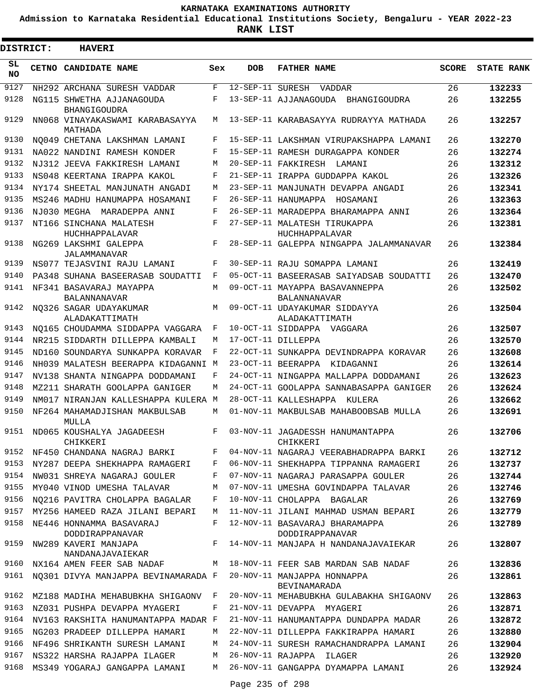**Admission to Karnataka Residential Educational Institutions Society, Bengaluru - YEAR 2022-23**

| <b>DISTRICT:</b> | <b>HAVERI</b>                                  |       |                  |                                                                           |              |                   |
|------------------|------------------------------------------------|-------|------------------|---------------------------------------------------------------------------|--------------|-------------------|
| SL<br><b>NO</b>  | CETNO CANDIDATE NAME                           | Sex   | <b>DOB</b>       | <b>FATHER NAME</b>                                                        | <b>SCORE</b> | <b>STATE RANK</b> |
| 9127             | NH292 ARCHANA SURESH VADDAR                    | F     | 12-SEP-11 SURESH | VADDAR                                                                    | 26           | 132233            |
| 9128             | NG115 SHWETHA AJJANAGOUDA<br>BHANGIGOUDRA      | F     |                  | 13-SEP-11 AJJANAGOUDA<br>BHANGIGOUDRA                                     | 26           | 132255            |
| 9129             | NN068 VINAYAKASWAMI KARABASAYYA<br>MATHADA     | М     |                  | 13-SEP-11 KARABASAYYA RUDRAYYA MATHADA                                    | 26           | 132257            |
| 9130             | NO049 CHETANA LAKSHMAN LAMANI                  | F     |                  | 15-SEP-11 LAKSHMAN VIRUPAKSHAPPA LAMANI                                   | 26           | 132270            |
| 9131             | NA022 NANDINI RAMESH KONDER                    | F     |                  | 15-SEP-11 RAMESH DURAGAPPA KONDER                                         | 26           | 132274            |
| 9132             | NJ312 JEEVA FAKKIRESH LAMANI                   | М     |                  | 20-SEP-11 FAKKIRESH LAMANI                                                | 26           | 132312            |
| 9133             | NS048 KEERTANA IRAPPA KAKOL                    | F     |                  | 21-SEP-11 IRAPPA GUDDAPPA KAKOL                                           | 26           | 132326            |
| 9134             | NY174 SHEETAL MANJUNATH ANGADI                 | М     |                  | 23-SEP-11 MANJUNATH DEVAPPA ANGADI                                        | 26           | 132341            |
| 9135             | MS246 MADHU HANUMAPPA HOSAMANI                 | F     |                  | 26-SEP-11 HANUMAPPA<br>HOSAMANI                                           | 26           | 132363            |
| 9136             | NJ030 MEGHA<br>MARADEPPA ANNI                  | F     |                  | 26-SEP-11 MARADEPPA BHARAMAPPA ANNI                                       | 26           | 132364            |
| 9137             | NT166 SINCHANA MALATESH<br>HUCHHAPPALAVAR      | F     |                  | 27-SEP-11 MALATESH TIRUKAPPA<br>HUCHHAPPALAVAR                            | 26           | 132381            |
| 9138             | NG269 LAKSHMI GALEPPA<br>JALAMMANAVAR          | F     |                  | 28-SEP-11 GALEPPA NINGAPPA JALAMMANAVAR                                   | 26           | 132384            |
| 9139             | NS077 TEJASVINI RAJU LAMANI                    | F     |                  | 30-SEP-11 RAJU SOMAPPA LAMANI                                             | 26           | 132419            |
| 9140             | PA348 SUHANA BASEERASAB SOUDATTI               | F     |                  | 05-OCT-11 BASEERASAB SAIYADSAB SOUDATTI                                   | 26           | 132470            |
| 9141             | NF341 BASAVARAJ MAYAPPA<br><b>BALANNANAVAR</b> | M     |                  | 09-OCT-11 MAYAPPA BASAVANNEPPA<br><b>BALANNANAVAR</b>                     | 26           | 132502            |
| 9142             | NO326 SAGAR UDAYAKUMAR<br>ALADAKATTIMATH       | М     |                  | 09-OCT-11 UDAYAKUMAR SIDDAYYA<br>ALADAKATTIMATH                           | 26           | 132504            |
| 9143             | NO165 CHOUDAMMA SIDDAPPA VAGGARA               | F     |                  | 10-OCT-11 SIDDAPPA VAGGARA                                                | 26           | 132507            |
| 9144             | NR215 SIDDARTH DILLEPPA KAMBALI                | М     |                  | 17-OCT-11 DILLEPPA                                                        | 26           | 132570            |
| 9145             | ND160 SOUNDARYA SUNKAPPA KORAVAR               | F     |                  | 22-OCT-11 SUNKAPPA DEVINDRAPPA KORAVAR                                    | 26           | 132608            |
| 9146             | NH039 MALATESH BEERAPPA KIDAGANNI              | M     |                  | 23-OCT-11 BEERAPPA<br>KIDAGANNI                                           | 26           | 132614            |
| 9147             | NV138 SHANTA NINGAPPA DODDAMANI                | F     |                  | 24-OCT-11 NINGAPPA MALLAPPA DODDAMANI                                     | 26           | 132623            |
| 9148             | MZ211 SHARATH GOOLAPPA GANIGER                 | М     |                  | 24-OCT-11 GOOLAPPA SANNABASAPPA GANIGER                                   | 26           | 132624            |
| 9149             | NM017 NIRANJAN KALLESHAPPA KULERA M            |       |                  | 28-OCT-11 KALLESHAPPA KULERA                                              | 26           | 132662            |
| 9150             | NF264 MAHAMADJISHAN MAKBULSAB<br>MULLA         | М     |                  | 01-NOV-11 MAKBULSAB MAHABOOBSAB MULLA                                     | 26           | 132691            |
| 9151             | ND065 KOUSHALYA JAGADEESH<br>CHIKKERI          | F     |                  | 03-NOV-11 JAGADESSH HANUMANTAPPA<br>CHIKKERI                              | 26           | 132706            |
|                  |                                                |       |                  | 9152 NF450 CHANDANA NAGRAJ BARKI F 04-NOV-11 NAGARAJ VEERABHADRAPPA BARKI | 26           | 132712            |
| 9153             | NY287 DEEPA SHEKHAPPA RAMAGERI                 | F     |                  | 06-NOV-11 SHEKHAPPA TIPPANNA RAMAGERI                                     | 26           | 132737            |
| 9154             | NW031 SHREYA NAGARAJ GOULER                    | F     |                  | 07-NOV-11 NAGARAJ PARASAPPA GOULER                                        | 26           | 132744            |
| 9155             | MY040 VINOD UMESHA TALAVAR                     | М     |                  | 07-NOV-11 UMESHA GOVINDAPPA TALAVAR                                       | 26           | 132746            |
| 9156             | NO216 PAVITRA CHOLAPPA BAGALAR                 | F     |                  | 10-NOV-11 CHOLAPPA BAGALAR                                                | 26           | 132769            |
| 9157             | MY256 HAMEED RAZA JILANI BEPARI                | M     |                  | 11-NOV-11 JILANI MAHMAD USMAN BEPARI                                      | 26           | 132779            |
| 9158             | NE446 HONNAMMA BASAVARAJ<br>DODDIRAPPANAVAR    | $F$ – |                  | 12-NOV-11 BASAVARAJ BHARAMAPPA<br>DODDIRAPPANAVAR                         | 26           | 132789            |
| 9159             | NW289 KAVERI MANJAPA<br>NANDANAJAVAIEKAR       | F     |                  | 14-NOV-11 MANJAPA H NANDANAJAVAIEKAR                                      | 26           | 132807            |
| 9160             |                                                |       |                  | NX164 AMEN FEER SAB NADAF M 18-NOV-11 FEER SAB MARDAN SAB NADAF           | 26           | 132836            |
| 9161             | NQ301 DIVYA MANJAPPA BEVINAMARADA F            |       |                  | 20-NOV-11 MANJAPPA HONNAPPA<br>BEVINAMARADA                               | 26           | 132861            |
| 9162             | MZ188 MADIHA MEHABUBKHA SHIGAONV F             |       |                  | 20-NOV-11 MEHABUBKHA GULABAKHA SHIGAONV                                   | 26           | 132863            |
| 9163             | NZ031 PUSHPA DEVAPPA MYAGERI                   | F     |                  | 21-NOV-11 DEVAPPA MYAGERI                                                 | 26           | 132871            |
|                  | 9164 NV163 RAKSHITA HANUMANTAPPA MADAR F       |       |                  | 21-NOV-11 HANUMANTAPPA DUNDAPPA MADAR                                     | 26           | 132872            |
| 9165             | NG203 PRADEEP DILLEPPA HAMARI                  | М     |                  | 22-NOV-11 DILLEPPA FAKKIRAPPA HAMARI                                      | 26           | 132880            |
| 9166             | NF496 SHRIKANTH SURESH LAMANI                  | М     |                  | 24-NOV-11 SURESH RAMACHANDRAPPA LAMANI                                    | 26           | 132904            |
| 9167             | NS322 HARSHA RAJAPPA ILAGER                    | М     |                  | 26-NOV-11 RAJAPPA ILAGER                                                  | 26           | 132920            |
| 9168             | MS349 YOGARAJ GANGAPPA LAMANI                  | M     |                  | 26-NOV-11 GANGAPPA DYAMAPPA LAMANI                                        | 26           | 132924            |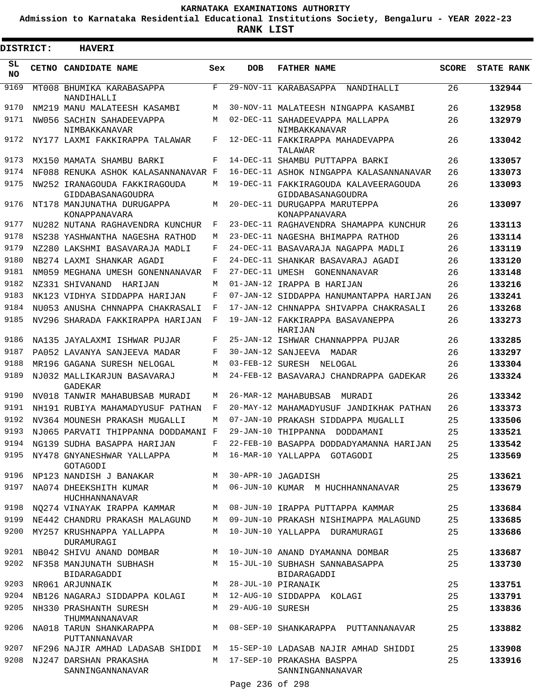**Admission to Karnataka Residential Educational Institutions Society, Bengaluru - YEAR 2022-23**

**RANK LIST**

| DISTRICT:       | <b>HAVERI</b>                                                     |             |                    |                                                                             |              |                   |
|-----------------|-------------------------------------------------------------------|-------------|--------------------|-----------------------------------------------------------------------------|--------------|-------------------|
| SL<br><b>NO</b> | <b>CETNO CANDIDATE NAME</b>                                       | Sex         | <b>DOB</b>         | <b>FATHER NAME</b>                                                          | <b>SCORE</b> | <b>STATE RANK</b> |
| 9169            | MT008 BHUMIKA KARABASAPPA<br>NANDIHALLI                           | F           |                    | 29-NOV-11 KARABASAPPA<br>NANDIHALLI                                         | 26           | 132944            |
| 9170            | NM219 MANU MALATEESH KASAMBI                                      | M           |                    | 30-NOV-11 MALATEESH NINGAPPA KASAMBI                                        | 26           | 132958            |
| 9171            | NW056 SACHIN SAHADEEVAPPA<br>NIMBAKKANAVAR                        | М           |                    | 02-DEC-11 SAHADEEVAPPA MALLAPPA<br>NIMBAKKANAVAR                            | 26           | 132979            |
| 9172            | NY177 LAXMI FAKKIRAPPA TALAWAR                                    | F           |                    | 12-DEC-11 FAKKIRAPPA MAHADEVAPPA<br>TALAWAR                                 | 26           | 133042            |
| 9173            | MX150 MAMATA SHAMBU BARKI                                         | F           |                    | 14-DEC-11 SHAMBU PUTTAPPA BARKI                                             | 26           | 133057            |
| 9174            | NF088 RENUKA ASHOK KALASANNANAVAR F                               |             |                    | 16-DEC-11 ASHOK NINGAPPA KALASANNANAVAR                                     | 26           | 133073            |
| 9175            | NW252 IRANAGOUDA FAKKIRAGOUDA<br>GIDDABASANAGOUDRA                | М           |                    | 19-DEC-11 FAKKIRAGOUDA KALAVEERAGOUDA<br>GIDDABASANAGOUDRA                  | 26           | 133093            |
| 9176            | NT178 MANJUNATHA DURUGAPPA<br>KONAPPANAVARA                       | М           |                    | 20-DEC-11 DURUGAPPA MARUTEPPA<br>KONAPPANAVARA                              | 26           | 133097            |
| 9177            | NU282 NUTANA RAGHAVENDRA KUNCHUR                                  | F           |                    | 23-DEC-11 RAGHAVENDRA SHAMAPPA KUNCHUR                                      | 26           | 133113            |
| 9178            | NS238 YASHWANTHA NAGESHA RATHOD                                   | М           |                    | 23-DEC-11 NAGESHA BHIMAPPA RATHOD                                           | 26           | 133114            |
| 9179            | NZ280 LAKSHMI BASAVARAJA MADLI                                    | F           |                    | 24-DEC-11 BASAVARAJA NAGAPPA MADLI                                          | 26           | 133119            |
| 9180            | NB274 LAXMI SHANKAR AGADI                                         | F           |                    | 24-DEC-11 SHANKAR BASAVARAJ AGADI                                           | 26           | 133120            |
| 9181            | NM059 MEGHANA UMESH GONENNANAVAR                                  | F           | 27-DEC-11 UMESH    | GONENNANAVAR                                                                | 26           | 133148            |
| 9182            | NZ331 SHIVANAND<br>HARIJAN                                        | М           |                    | 01-JAN-12 IRAPPA B HARIJAN                                                  | 26           | 133216            |
| 9183            | NK123 VIDHYA SIDDAPPA HARIJAN                                     | F           |                    | 07-JAN-12 SIDDAPPA HANUMANTAPPA HARIJAN                                     | 26           | 133241            |
| 9184            | NU053 ANUSHA CHNNAPPA CHAKRASALI                                  | F           |                    | 17-JAN-12 CHNNAPPA SHIVAPPA CHAKRASALI                                      | 26           | 133268            |
| 9185            | NV296 SHARADA FAKKIRAPPA HARIJAN                                  | F           |                    | 19-JAN-12 FAKKIRAPPA BASAVANEPPA<br>HARIJAN                                 | 26           | 133273            |
| 9186            | NA135 JAYALAXMI ISHWAR PUJAR                                      | F           |                    | 25-JAN-12 ISHWAR CHANNAPPPA PUJAR                                           | 26           | 133285            |
| 9187            | PA052 LAVANYA SANJEEVA MADAR                                      | F           |                    | 30-JAN-12 SANJEEVA MADAR                                                    | 26           | 133297            |
| 9188            | MR196 GAGANA SURESH NELOGAL                                       | М           | 03-FEB-12 SURESH   | NELOGAL                                                                     | 26           | 133304            |
| 9189            | NJ032 MALLIKARJUN BASAVARAJ<br>GADEKAR                            | М           |                    | 24-FEB-12 BASAVARAJ CHANDRAPPA GADEKAR                                      | 26           | 133324            |
| 9190            | NV018 TANWIR MAHABUBSAB MURADI                                    | M           |                    | 26-MAR-12 MAHABUBSAB<br>MURADI                                              | 26           | 133342            |
| 9191            | NH191 RUBIYA MAHAMADYUSUF PATHAN                                  | F           |                    | 20-MAY-12 MAHAMADYUSUF JANDIKHAK PATHAN                                     | 26           | 133373            |
| 9192            | NV364 MOUNESH PRAKASH MUGALLI                                     | М           |                    | 07-JAN-10 PRAKASH SIDDAPPA MUGALLI                                          | 25           | 133506            |
| 9193            | NJ065 PARVATI THIPPANNA DODDAMANI                                 | F           |                    | 29-JAN-10 THIPPANNA<br>DODDAMANI                                            | 25           | 133521            |
| 9194            | NG139 SUDHA BASAPPA HARIJAN                                       | $\mathbf F$ |                    | 22-FEB-10 BASAPPA DODDADYAMANNA HARIJAN                                     | 25           | 133542            |
| 9195<br>9196    | NY478 GNYANESHWAR YALLAPPA<br>GOTAGODI<br>NP123 NANDISH J BANAKAR |             |                    | M 16-MAR-10 YALLAPPA GOTAGODI<br>M 30-APR-10 JAGADISH                       | 25<br>25     | 133569<br>133621  |
| 9197            | NA074 DHEEKSHITH KUMAR                                            |             |                    | M 06-JUN-10 KUMAR M HUCHHANNANAVAR                                          | 25           | 133679            |
|                 | HUCHHANNANAVAR                                                    |             |                    |                                                                             |              |                   |
| 9198            | NQ274 VINAYAK IRAPPA KAMMAR M 08-JUN-10 IRAPPA PUTTAPPA KAMMAR    |             |                    |                                                                             | 25           | 133684            |
| 9199            |                                                                   |             |                    | NE442 CHANDRU PRAKASH MALAGUND M 09-JUN-10 PRAKASH NISHIMAPPA MALAGUND      | 25           | 133685            |
|                 | 9200 MY257 KRUSHNAPPA YALLAPPA<br>DURAMURAGI                      | M           |                    | 10-JUN-10 YALLAPPA DURAMURAGI                                               | 25           | 133686            |
|                 | 9201 NB042 SHIVU ANAND DOMBAR                                     |             |                    | M 10-JUN-10 ANAND DYAMANNA DOMBAR                                           | 25           | 133687            |
| 9202            | NF358 MANJUNATH SUBHASH<br>BIDARAGADDI                            |             |                    | M 15-JUL-10 SUBHASH SANNABASAPPA<br>BIDARAGADDI                             | 25           | 133730            |
|                 | 9203 NR061 ARJUNNAIK                                              |             |                    | M 28-JUL-10 PIRANAIK                                                        | 25           | 133751            |
| 9204            | NB126 NAGARAJ SIDDAPPA KOLAGI                                     |             |                    | M 12-AUG-10 SIDDAPPA KOLAGI                                                 | 25           | 133791            |
| 9205<br>9206    | NH330 PRASHANTH SURESH<br>THUMMANNANAVAR                          |             | M 29-AUG-10 SURESH |                                                                             | 25<br>25     | 133836            |
| 9207            | NA018 TARUN SHANKARAPPA<br>PUTTANNANAVAR                          |             |                    | M 08-SEP-10 SHANKARAPPA PUTTANNANAVAR                                       |              | 133882            |
|                 |                                                                   |             |                    | NF296 NAJIR AMHAD LADASAB SHIDDI   M   15-SEP-10 LADASAB NAJIR AMHAD SHIDDI | 25           | 133908            |
| 9208            | NJ247 DARSHAN PRAKASHA<br>SANNINGANNANAVAR                        |             |                    | M 17-SEP-10 PRAKASHA BASPPA<br>SANNINGANNANAVAR                             | 25           | 133916            |
|                 |                                                                   |             | Page 236 of 298    |                                                                             |              |                   |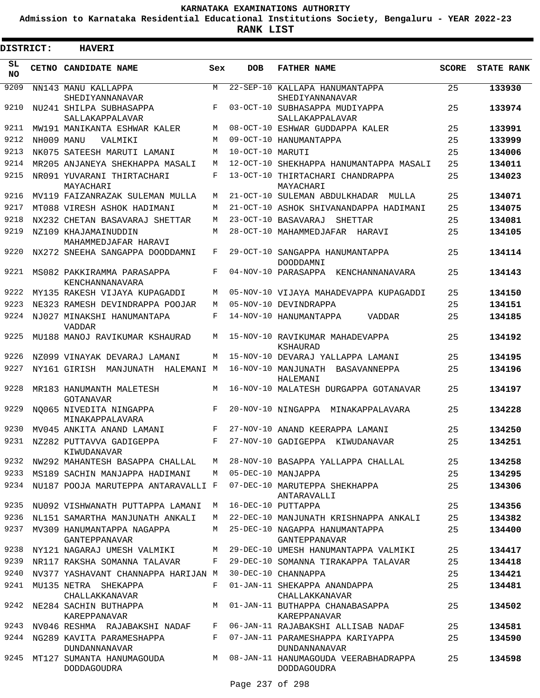**Admission to Karnataka Residential Educational Institutions Society, Bengaluru - YEAR 2022-23**

ı

| <b>DISTRICT:</b> |            | <b>HAVERI</b>                                     |            |                   |                                                              |              |                   |
|------------------|------------|---------------------------------------------------|------------|-------------------|--------------------------------------------------------------|--------------|-------------------|
| SL<br><b>NO</b>  |            | CETNO CANDIDATE NAME                              | Sex        | <b>DOB</b>        | <b>FATHER NAME</b>                                           | <b>SCORE</b> | <b>STATE RANK</b> |
| 9209             |            | NN143 MANU KALLAPPA<br>SHEDIYANNANAVAR            | M          | $22 - SEP - 10$   | KALLAPA HANUMANTAPPA<br>SHEDIYANNANAVAR                      | 25           | 133930            |
| 9210             |            | NU241 SHILPA SUBHASAPPA<br>SALLAKAPPALAVAR        | $_{\rm F}$ |                   | 03-OCT-10 SUBHASAPPA MUDIYAPPA<br>SALLAKAPPALAVAR            | 25           | 133974            |
| 9211             |            | MW191 MANIKANTA ESHWAR KALER                      | M          |                   | 08-OCT-10 ESHWAR GUDDAPPA KALER                              | 25           | 133991            |
| 9212             | NH009 MANU | VALMIKI                                           | M          |                   | 09-OCT-10 HANUMANTAPPA                                       | 25           | 133999            |
| 9213             |            | NK075 SATEESH MARUTI LAMANI                       | М          | 10-OCT-10 MARITTI |                                                              | 25           | 134006            |
| 9214             |            | MR205 ANJANEYA SHEKHAPPA MASALI                   | M          | $12 - OCT - 10$   | SHEKHAPPA HANUMANTAPPA MASALI                                | 25           | 134011            |
| 9215             |            | NR091 YUVARANI THIRTACHARI<br>MAYACHARI           | $_{\rm F}$ |                   | 13-OCT-10 THIRTACHARI CHANDRAPPA<br>MAYACHARI                | 25           | 134023            |
| 9216             |            | MV119 FAIZANRAZAK SULEMAN MULLA                   | M          |                   | 21-OCT-10 SULEMAN ABDULKHADAR<br>MULLA                       | 25           | 134071            |
| 9217             |            | MT088 VIRESH ASHOK HADIMANI                       | M          |                   | 21-OCT-10 ASHOK SHIVANANDAPPA HADIMANI                       | 25           | 134075            |
| 9218             |            | NX232 CHETAN BASAVARAJ SHETTAR                    | M          | $23 - OCT - 10$   | BASAVARAJ<br>SHETTAR                                         | 25           | 134081            |
| 9219             |            | NZ109 KHAJAMAINUDDIN<br>MAHAMMEDJAFAR HARAVI      | M          |                   | 28-OCT-10 MAHAMMEDJAFAR<br>HARAVI                            | 25           | 134105            |
| 9220             |            | NX272 SNEEHA SANGAPPA DOODDAMNI                   | F          |                   | 29-OCT-10 SANGAPPA HANUMANTAPPA<br>DOODDAMNI                 | 25           | 134114            |
| 9221             |            | MS082 PAKKIRAMMA PARASAPPA<br>KENCHANNANAVARA     | F          |                   | 04-NOV-10 PARASAPPA KENCHANNANAVARA                          | 25           | 134143            |
| 9222             |            | MY135 RAKESH VIJAYA KUPAGADDI                     | M          |                   | 05-NOV-10 VIJAYA MAHADEVAPPA KUPAGADDI                       | 25           | 134150            |
| 9223             |            | NE323 RAMESH DEVINDRAPPA POOJAR                   | M          |                   | 05-NOV-10 DEVINDRAPPA                                        | 25           | 134151            |
| 9224             |            | NJ027 MINAKSHI HANUMANTAPA<br><b>VADDAR</b>       | F          |                   | 14-NOV-10 HANUMANTAPPA<br><b>VADDAR</b>                      | 25           | 134185            |
| 9225             |            | MU188 MANOJ RAVIKUMAR KSHAURAD                    | M          |                   | 15-NOV-10 RAVIKUMAR MAHADEVAPPA<br>KSHAURAD                  | 25           | 134192            |
| 9226             |            | NZ099 VINAYAK DEVARAJ LAMANI                      | M          |                   | 15-NOV-10 DEVARAJ YALLAPPA LAMANI                            | 25           | 134195            |
| 9227             |            | NY161 GIRISH<br>MANJUNATH HALEMANI M              |            |                   | 16-NOV-10 MANJUNATH BASAVANNEPPA<br>HALEMANI                 | 25           | 134196            |
| 9228             |            | MR183 HANUMANTH MALETESH<br><b>GOTANAVAR</b>      | M          |                   | 16-NOV-10 MALATESH DURGAPPA GOTANAVAR                        | 25           | 134197            |
| 9229             |            | NO065 NIVEDITA NINGAPPA<br>MINAKAPPALAVARA        | $_{\rm F}$ |                   | 20-NOV-10 NINGAPPA<br>MINAKAPPALAVARA                        | 25           | 134228            |
| 9230             |            | MV045 ANKITA ANAND LAMANI                         | F          |                   | 27-NOV-10 ANAND KEERAPPA LAMANI                              | 25           | 134250            |
|                  |            | 9231 NZ282 PUTTAVVA GADIGEPPA<br>KIWUDANAVAR      | $F -$      |                   | 27-NOV-10 GADIGEPPA KIWUDANAVAR                              | 25           | 134251            |
|                  |            | 9232 NW292 MAHANTESH BASAPPA CHALLAL              | M          |                   | 28-NOV-10 BASAPPA YALLAPPA CHALLAL                           | 25           | 134258            |
| 9233             |            | MS189 SACHIN MANJAPPA HADIMANI                    | M          |                   | 05-DEC-10 MANJAPPA                                           | 25           | 134295            |
| 9234             |            | NU187 POOJA MARUTEPPA ANTARAVALLI F               |            |                   | 07-DEC-10 MARUTEPPA SHEKHAPPA<br>ANTARAVALLI                 | 25           | 134306            |
| 9235             |            | NU092 VISHWANATH PUTTAPPA LAMANI                  | М          |                   | 16-DEC-10 PUTTAPPA                                           | 25           | 134356            |
| 9236             |            | NL151 SAMARTHA MANJUNATH ANKALI                   | M          |                   | 22-DEC-10 MANJUNATH KRISHNAPPA ANKALI                        | 25           | 134382            |
| 9237             |            | MV309 HANUMANTAPPA NAGAPPA<br>GANTEPPANAVAR       | M          |                   | 25-DEC-10 NAGAPPA HANUMANTAPPA<br>GANTEPPANAVAR              | 25           | 134400            |
| 9238             |            | NY121 NAGARAJ UMESH VALMIKI                       | M          |                   | 29-DEC-10 UMESH HANUMANTAPPA VALMIKI                         | 25           | 134417            |
| 9239             |            | NR117 RAKSHA SOMANNA TALAVAR                      | F          |                   | 29-DEC-10 SOMANNA TIRAKAPPA TALAVAR                          | 25           | 134418            |
| 9240             |            | NV377 YASHAVANT CHANNAPPA HARIJAN M               |            |                   | 30-DEC-10 CHANNAPPA                                          | 25           | 134421            |
| 9241             |            | MU135 NETRA SHEKAPPA<br>CHALLAKKANAVAR            | F          |                   | 01-JAN-11 SHEKAPPA ANANDAPPA<br>CHALLAKKANAVAR               | 25           | 134481            |
| 9242             |            | NE284 SACHIN BUTHAPPA<br>KAREPPANAVAR             | M          |                   | 01-JAN-11 BUTHAPPA CHANABASAPPA<br>KAREPPANAVAR              | 25           | 134502            |
| 9243             |            | NV046 RESHMA RAJABAKSHI NADAF                     | F          |                   | 06-JAN-11 RAJABAKSHI ALLISAB NADAF                           | 25           | 134581            |
| 9244             |            | NG289 KAVITA PARAMESHAPPA<br><b>DUNDANNANAVAR</b> | F          |                   | 07-JAN-11 PARAMESHAPPA KARIYAPPA<br><b>DUNDANNANAVAR</b>     | 25           | 134590            |
|                  |            | 9245 MT127 SUMANTA HANUMAGOUDA<br>DODDAGOUDRA     |            |                   | M 08-JAN-11 HANUMAGOUDA VEERABHADRAPPA<br><b>DODDAGOUDRA</b> | 25           | 134598            |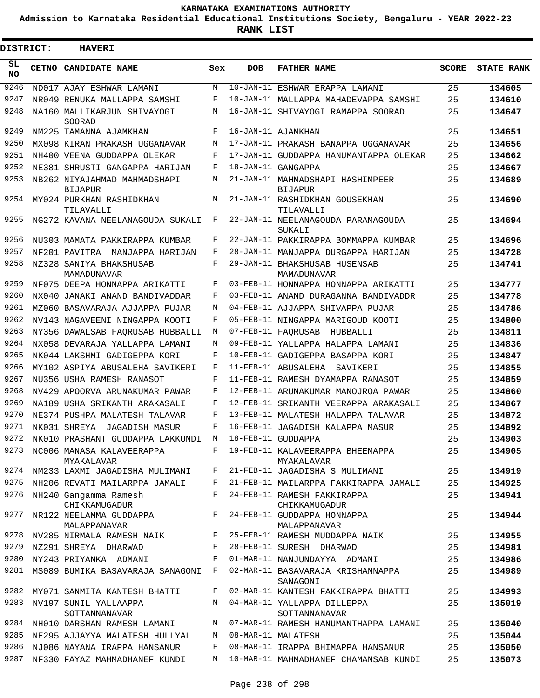**Admission to Karnataka Residential Educational Institutions Society, Bengaluru - YEAR 2022-23**

ı

| <b>DISTRICT:</b> |  | <b>HAVERI</b>                                                               |              |            |                                                                                 |              |                   |
|------------------|--|-----------------------------------------------------------------------------|--------------|------------|---------------------------------------------------------------------------------|--------------|-------------------|
| SL<br><b>NO</b>  |  | CETNO CANDIDATE NAME                                                        | Sex          | <b>DOB</b> | <b>FATHER NAME</b>                                                              | <b>SCORE</b> | <b>STATE RANK</b> |
| 9246             |  | ND017 AJAY ESHWAR LAMANI                                                    | M            |            | 10-JAN-11 ESHWAR ERAPPA LAMANI                                                  | 25           | 134605            |
| 9247             |  | NR049 RENUKA MALLAPPA SAMSHI                                                | F            |            | 10-JAN-11 MALLAPPA MAHADEVAPPA SAMSHI                                           | 25           | 134610            |
| 9248             |  | NA160 MALLIKARJUN SHIVAYOGI<br>SOORAD                                       | М            |            | 16-JAN-11 SHIVAYOGI RAMAPPA SOORAD                                              | 25           | 134647            |
| 9249             |  | NM225 TAMANNA AJAMKHAN                                                      | F            |            | 16-JAN-11 AJAMKHAN                                                              | 25           | 134651            |
| 9250             |  | MX098 KIRAN PRAKASH UGGANAVAR                                               | M            |            | 17-JAN-11 PRAKASH BANAPPA UGGANAVAR                                             | 25           | 134656            |
| 9251             |  | NH400 VEENA GUDDAPPA OLEKAR                                                 | F            |            | 17-JAN-11 GUDDAPPA HANUMANTAPPA OLEKAR                                          | 25           | 134662            |
| 9252             |  | NE381 SHRUSTI GANGAPPA HARIJAN                                              | F            |            | 18-JAN-11 GANGAPPA                                                              | 25           | 134667            |
| 9253             |  | NB262 NIYAJAHMAD MAHMADSHAPI<br><b>BIJAPUR</b>                              | M            |            | 21-JAN-11 MAHMADSHAPI HASHIMPEER<br><b>BIJAPUR</b>                              | 25           | 134689            |
| 9254             |  | MY024 PURKHAN RASHIDKHAN<br>TILAVALLI                                       | M            |            | 21-JAN-11 RASHIDKHAN GOUSEKHAN<br>TILAVALLI                                     | 25           | 134690            |
| 9255             |  | NG272 KAVANA NEELANAGOUDA SUKALI                                            | F            |            | 22-JAN-11 NEELANAGOUDA PARAMAGOUDA<br>SUKALI                                    | 25           | 134694            |
| 9256             |  | NU303 MAMATA PAKKIRAPPA KUMBAR                                              | F            |            | 22-JAN-11 PAKKIRAPPA BOMMAPPA KUMBAR                                            | 25           | 134696            |
| 9257             |  | NF201 PAVITRA MANJAPPA HARIJAN                                              | F            |            | 28-JAN-11 MANJAPPA DURGAPPA HARIJAN                                             | 25           | 134728            |
| 9258             |  | NZ328 SANIYA BHAKSHUSAB<br>MAMADUNAVAR                                      | F            |            | 29-JAN-11 BHAKSHUSAB HUSENSAB<br>MAMADUNAVAR                                    | 25           | 134741            |
| 9259             |  | NF075 DEEPA HONNAPPA ARIKATTI                                               | F            |            | 03-FEB-11 HONNAPPA HONNAPPA ARIKATTI                                            | 25           | 134777            |
| 9260             |  | NX040 JANAKI ANAND BANDIVADDAR                                              | F            |            | 03-FEB-11 ANAND DURAGANNA BANDIVADDR                                            | 25           | 134778            |
| 9261             |  | MZ060 BASAVARAJA AJJAPPA PUJAR                                              | M            |            | 04-FEB-11 AJJAPPA SHIVAPPA PUJAR                                                | 25           | 134786            |
| 9262             |  | NV143 NAGAVEENI NINGAPPA KOOTI                                              | F            |            | 05-FEB-11 NINGAPPA MARIGOUD KOOTI                                               | 25           | 134800            |
| 9263             |  | NY356 DAWALSAB FAORUSAB HUBBALLI                                            | М            |            | 07-FEB-11 FAORUSAB<br>HUBBALLI                                                  | 25           | 134811            |
| 9264             |  | NX058 DEVARAJA YALLAPPA LAMANI                                              | М            |            | 09-FEB-11 YALLAPPA HALAPPA LAMANI                                               | 25           | 134836            |
| 9265             |  | NK044 LAKSHMI GADIGEPPA KORI                                                | F            |            | 10-FEB-11 GADIGEPPA BASAPPA KORI                                                | 25           | 134847            |
| 9266             |  | MY102 ASPIYA ABUSALEHA SAVIKERI                                             | F            |            | 11-FEB-11 ABUSALEHA SAVIKERI                                                    | 25           | 134855            |
| 9267             |  | NU356 USHA RAMESH RANASOT                                                   | F            |            | 11-FEB-11 RAMESH DYAMAPPA RANASOT                                               | 25           | 134859            |
| 9268             |  | NV429 APOORVA ARUNAKUMAR PAWAR                                              | F            |            | 12-FEB-11 ARUNAKUMAR MANOJROA PAWAR                                             | 25           | 134860            |
| 9269             |  | NA189 USHA SRIKANTH ARAKASALI                                               | F            |            | 12-FEB-11 SRIKANTH VEERAPPA ARAKASALI                                           | 25           | 134867            |
| 9270             |  | NE374 PUSHPA MALATESH TALAVAR                                               | F            |            | 13-FEB-11 MALATESH HALAPPA TALAVAR                                              | 25           | 134872            |
| 9271             |  | NK031 SHREYA<br>JAGADISH MASUR                                              | F            |            | 16-FEB-11 JAGADISH KALAPPA MASUR                                                | 25           | 134892            |
| 9272             |  | NK010 PRASHANT GUDDAPPA LAKKUNDI M                                          |              |            | 18-FEB-11 GUDDAPPA                                                              | 25           | 134903            |
|                  |  | MYAKALAVAR                                                                  |              |            | 9273 NC006 MANASA KALAVEERAPPA F 19-FEB-11 KALAVEERAPPA BHEEMAPPA<br>MYAKALAVAR | 25           | 134905            |
|                  |  | 9274 NM233 LAXMI JAGADISHA MULIMANI                                         | $\mathbf{F}$ |            | 21-FEB-11 JAGADISHA S MULIMANI                                                  | 25           | 134919            |
| 9275             |  | NH206 REVATI MAILARPPA JAMALI                                               | F            |            | 21-FEB-11 MAILARPPA FAKKIRAPPA JAMALI                                           | 25           | 134925            |
| 9276             |  | NH240 Gangamma Ramesh<br>CHIKKAMUGADUR                                      | F            |            | 24-FEB-11 RAMESH FAKKIRAPPA<br>CHIKKAMUGADUR                                    | 25           | 134941            |
| 9277             |  | NR122 NEELAMMA GUDDAPPA<br>MALAPPANAVAR<br>9278 NV285 NIRMALA RAMESH NAIK F | F            |            | 24-FEB-11 GUDDAPPA HONNAPPA<br>MALAPPANAVAR                                     | 25           | 134944            |
|                  |  |                                                                             |              |            | 25-FEB-11 RAMESH MUDDAPPA NAIK                                                  | 25           | 134955            |
| 9279             |  | NZ291 SHREYA DHARWAD                                                        | F            |            | 28-FEB-11 SURESH DHARWAD                                                        | 25           | 134981            |
| 9280             |  | NY243 PRIYANKA ADMANI                                                       | F            |            | 01-MAR-11 NANJUNDAYYA ADMANI                                                    | 25           | 134986            |
| 9281             |  | MS089 BUMIKA BASAVARAJA SANAGONI F                                          |              |            | 02-MAR-11 BASAVARAJA KRISHANNAPPA<br>SANAGONI                                   | 25           | 134989            |
| 9282             |  | MY071 SANMITA KANTESH BHATTI                                                | F            |            | 02-MAR-11 KANTESH FAKKIRAPPA BHATTI                                             | 25           | 134993            |
| 9283             |  | NV197 SUNIL YALLAAPPA<br>SOTTANNANAVAR                                      | M            |            | 04-MAR-11 YALLAPPA DILLEPPA<br>SOTTANNANAVAR                                    | 25           | 135019            |
| 9284             |  | NH010 DARSHAN RAMESH LAMANI                                                 | M            |            | 07-MAR-11 RAMESH HANUMANTHAPPA LAMANI                                           | 25           | 135040            |
| 9285             |  | NE295 AJJAYYA MALATESH HULLYAL                                              | M            |            | 08-MAR-11 MALATESH                                                              | 25           | 135044            |
| 9286             |  | NJ086 NAYANA IRAPPA HANSANUR                                                | F            |            | 08-MAR-11 IRAPPA BHIMAPPA HANSANUR                                              | 25           | 135050            |
| 9287             |  | NF330 FAYAZ MAHMADHANEF KUNDI                                               | M            |            | 10-MAR-11 MAHMADHANEF CHAMANSAB KUNDI                                           | 25           | 135073            |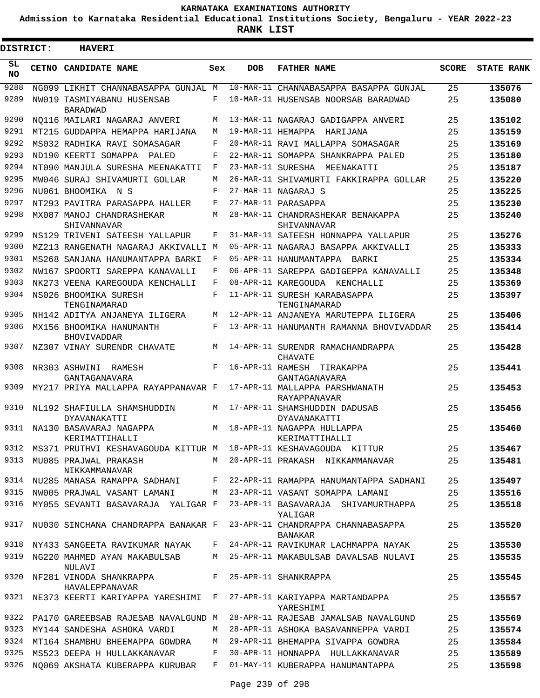**Admission to Karnataka Residential Educational Institutions Society, Bengaluru - YEAR 2022-23**

**RANK LIST**

ı

| <b>DISTRICT:</b> | <b>HAVERI</b>                                                            |     |     |                                                                                        |              |                   |
|------------------|--------------------------------------------------------------------------|-----|-----|----------------------------------------------------------------------------------------|--------------|-------------------|
| SL<br><b>NO</b>  | CETNO CANDIDATE NAME                                                     | Sex | DOB | <b>FATHER NAME</b>                                                                     | <b>SCORE</b> | <b>STATE RANK</b> |
| 9288             | NG099 LIKHIT CHANNABASAPPA GUNJAL M                                      |     |     | 10-MAR-11 CHANNABASAPPA BASAPPA GUNJAL                                                 | 25           | 135076            |
| 9289             | NW019 TASMIYABANU HUSENSAB<br><b>BARADWAD</b>                            | F   |     | 10-MAR-11 HUSENSAB NOORSAB BARADWAD                                                    | 25           | 135080            |
| 9290             | NO116 MAILARI NAGARAJ ANVERI                                             | М   |     | 13-MAR-11 NAGARAJ GADIGAPPA ANVERI                                                     | 25           | 135102            |
| 9291             | MT215 GUDDAPPA HEMAPPA HARIJANA                                          | M   |     | 19-MAR-11 HEMAPPA HARIJANA                                                             | 25           | 135159            |
| 9292             | MS032 RADHIKA RAVI SOMASAGAR                                             | F   |     | 20-MAR-11 RAVI MALLAPPA SOMASAGAR                                                      | 25           | 135169            |
| 9293             | ND190 KEERTI SOMAPPA PALED                                               | F   |     | 22-MAR-11 SOMAPPA SHANKRAPPA PALED                                                     | 25           | 135180            |
| 9294             | NT090 MANJULA SURESHA MEENAKATTI                                         | F   |     | 23-MAR-11 SURESHA MEENAKATTI                                                           | 25           | 135187            |
| 9295             | MW046 SURAJ SHIVAMURTI GOLLAR                                            | M   |     | 26-MAR-11 SHIVAMURTI FAKKIRAPPA GOLLAR                                                 | 25           | 135220            |
| 9296             | NU061 BHOOMIKA N S                                                       | F   |     | 27-MAR-11 NAGARAJ S                                                                    | 25           | 135225            |
| 9297             | NT293 PAVITRA PARASAPPA HALLER                                           | F   |     | 27-MAR-11 PARASAPPA                                                                    | 25           | 135230            |
| 9298             | MX087 MANOJ CHANDRASHEKAR<br>SHIVANNAVAR                                 | М   |     | 28-MAR-11 CHANDRASHEKAR BENAKAPPA<br>SHIVANNAVAR                                       | 25           | 135240            |
| 9299             | NS129 TRIVENI SATEESH YALLAPUR                                           | F   |     | 31-MAR-11 SATEESH HONNAPPA YALLAPUR                                                    | 25           | 135276            |
| 9300             | MZ213 RANGENATH NAGARAJ AKKIVALLI M                                      |     |     | 05-APR-11 NAGARAJ BASAPPA AKKIVALLI                                                    | 25           | 135333            |
| 9301             | MS268 SANJANA HANUMANTAPPA BARKI                                         | F   |     | 05-APR-11 HANUMANTAPPA BARKI                                                           | 25           | 135334            |
| 9302             | NW167 SPOORTI SAREPPA KANAVALLI                                          | F   |     | 06-APR-11 SAREPPA GADIGEPPA KANAVALLI                                                  | 25           | 135348            |
| 9303             | NK273 VEENA KAREGOUDA KENCHALLI                                          | F   |     | 08-APR-11 KAREGOUDA KENCHALLI                                                          | 25           | 135369            |
| 9304             | NS026 BHOOMIKA SURESH<br>TENGINAMARAD                                    | F   |     | 11-APR-11 SURESH KARABASAPPA<br>TENGINAMARAD                                           | 25           | 135397            |
| 9305             | NH142 ADITYA ANJANEYA ILIGERA                                            | М   |     | 12-APR-11 ANJANEYA MARUTEPPA ILIGERA                                                   | 25           | 135406            |
| 9306             | MX156 BHOOMIKA HANUMANTH<br><b>BHOVIVADDAR</b>                           | F   |     | 13-APR-11 HANUMANTH RAMANNA BHOVIVADDAR                                                | 25           | 135414            |
| 9307             | NZ307 VINAY SURENDR CHAVATE                                              | M   |     | 14-APR-11 SURENDR RAMACHANDRAPPA<br>CHAVATE                                            | 25           | 135428            |
| 9308             | NR303 ASHWINI RAMESH<br>GANTAGANAVARA                                    | F   |     | 16-APR-11 RAMESH TIRAKAPPA<br>GANTAGANAVARA                                            | 25           | 135441            |
| 9309             | MY217 PRIYA MALLAPPA RAYAPPANAVAR F                                      |     |     | 17-APR-11 MALLAPPA PARSHWANATH<br><b>RAYAPPANAVAR</b>                                  | 25           | 135453            |
| 9310             | NL192 SHAFIULLA SHAMSHUDDIN<br>DYAVANAKATTI                              | М   |     | 17-APR-11 SHAMSHUDDIN DADUSAB<br>DYAVANAKATTI                                          | 25           | 135456            |
| 9311             | NA130 BASAVARAJ NAGAPPA<br>KERIMATTIHALLI                                | M   |     | 18-APR-11 NAGAPPA HULLAPPA<br>KERIMATTIHALLI                                           | 25           | 135460            |
|                  |                                                                          |     |     | 9312 MS371 PRUTHVI KESHAVAGOUDA KITTUR M 18-APR-11 KESHAVAGOUDA KITTUR                 | 25           | 135467            |
|                  | 9313 MU085 PRAJWAL PRAKASH<br>NIKKAMMANAVAR                              |     |     | M 20-APR-11 PRAKASH NIKKAMMANAVAR 25                                                   |              | 135481            |
|                  |                                                                          |     |     | 9314 NU285 MANASA RAMAPPA SADHANI F 22-APR-11 RAMAPPA HANUMANTAPPA SADHANI 25          |              | 135497            |
|                  | 9315 NW005 PRAJWAL VASANT LAMANI M 23-APR-11 VASANT SOMAPPA LAMANI       |     |     |                                                                                        | 25           | 135516            |
|                  |                                                                          |     |     | 9316 MY055 SEVANTI BASAVARAJA YALIGAR F 23-APR-11 BASAVARAJA SHIVAMURTHAPPA<br>YALIGAR | 25           | 135518            |
|                  |                                                                          |     |     | 9317 NU030 SINCHANA CHANDRAPPA BANAKAR F 23-APR-11 CHANDRAPPA CHANNABASAPPA<br>BANAKAR | 25           | 135520            |
|                  |                                                                          |     |     | 9318 NY433 SANGEETA RAVIKUMAR NAYAK F 24-APR-11 RAVIKUMAR LACHMAPPA NAYAK              | 25           | 135530            |
|                  | NULAVI                                                                   |     |     | 9319 NG220 MAHMED AYAN MAKABULSAB M 25-APR-11 MAKABULSAB DAVALSAB NULAVI               | 25           | 135535            |
|                  | 9320 NF281 VINODA SHANKRAPPA<br>F 25-APR-11 SHANKRAPPA<br>HAVALEPPANAVAR |     |     |                                                                                        | 25           | 135545            |
|                  |                                                                          |     |     | 9321 NE373 KEERTI KARIYAPPA YARESHIMI F 27-APR-11 KARIYAPPA MARTANDAPPA<br>YARESHIMI   | 25           | 135557            |
|                  |                                                                          |     |     | 9322 PA170 GAREEBSAB RAJESAB NAVALGUND M 28-APR-11 RAJESAB JAMALSAB NAVALGUND 25       |              | 135569            |
|                  |                                                                          |     |     | 9323 MY144 SANDESHA ASHOKA VARDI M 28-APR-11 ASHOKA BASAVANNEPPA VARDI 25              |              | 135574            |
|                  |                                                                          |     |     | 9324 MT164 SHAMBHU BHEEMAPPA GOWDRA M 29-APR-11 BHEMAPPA SIVAPPA GOWDRA                | 25           | 135584            |
|                  |                                                                          |     |     | 9325 MS523 DEEPA H HULLAKKANAVAR     F   30-APR-11 HONNAPPA   HULLAKKANAVAR            | 25           | 135589            |
|                  |                                                                          |     |     | 9326 NQ069 AKSHATA KUBERAPPA KURUBAR F 01-MAY-11 KUBERAPPA HANUMANTAPPA                | 25           | 135598            |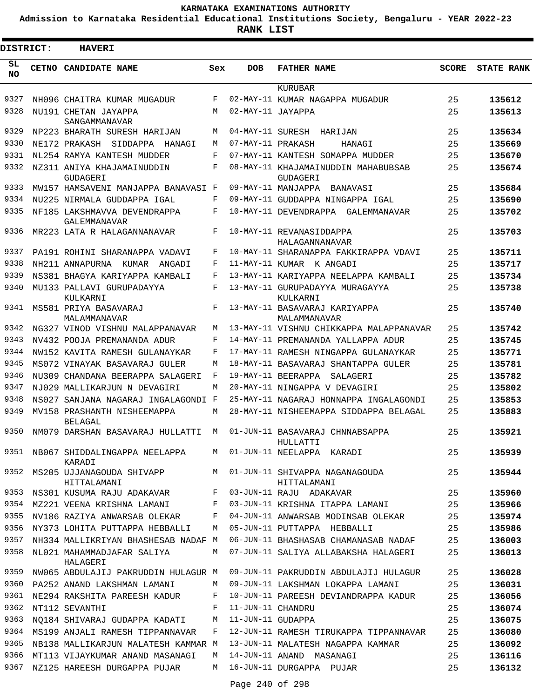**Admission to Karnataka Residential Educational Institutions Society, Bengaluru - YEAR 2022-23**

| <b>DISTRICT:</b> | <b>HAVERI</b>                                 |              |                   |                                                 |              |                   |
|------------------|-----------------------------------------------|--------------|-------------------|-------------------------------------------------|--------------|-------------------|
| SL<br><b>NO</b>  | CETNO CANDIDATE NAME                          | Sex          | <b>DOB</b>        | <b>FATHER NAME</b>                              | <b>SCORE</b> | <b>STATE RANK</b> |
|                  |                                               |              |                   | KURUBAR                                         |              |                   |
| 9327             | NH096 CHAITRA KUMAR MUGADUR                   | F            |                   | 02-MAY-11 KUMAR NAGAPPA MUGADUR                 | 25           | 135612            |
| 9328             | NU191 CHETAN JAYAPPA<br>SANGAMMANAVAR         | M            | 02-MAY-11 JAYAPPA |                                                 | 25           | 135613            |
| 9329             | NP223 BHARATH SURESH HARIJAN                  | M            |                   | 04-MAY-11 SURESH HARIJAN                        | 25           | 135634            |
| 9330             | NE172 PRAKASH SIDDAPPA<br>HANAGI              | M            | 07-MAY-11 PRAKASH | HANAGI                                          | 25           | 135669            |
| 9331             | NL254 RAMYA KANTESH MUDDER                    | $\mathbf{F}$ |                   | 07-MAY-11 KANTESH SOMAPPA MUDDER                | 25           | 135670            |
| 9332             | NZ311 ANIYA KHAJAMAINUDDIN<br>GUDAGERI        | F            |                   | 08-MAY-11 KHAJAMAINUDDIN MAHABUBSAB<br>GUDAGERI | 25           | 135674            |
| 9333             | MW157 HAMSAVENI MANJAPPA BANAVASI F           |              |                   | 09-MAY-11 MANJAPPA<br>BANAVASI                  | 25           | 135684            |
| 9334             | NU225 NIRMALA GUDDAPPA IGAL                   | F            |                   | 09-MAY-11 GUDDAPPA NINGAPPA IGAL                | 25           | 135690            |
| 9335             | NF185 LAKSHMAVVA DEVENDRAPPA<br>GALEMMANAVAR  | F            |                   | 10-MAY-11 DEVENDRAPPA GALEMMANAVAR              | 25           | 135702            |
| 9336             | MR223 LATA R HALAGANNANAVAR                   | F            |                   | 10-MAY-11 REVANASIDDAPPA<br>HALAGANNANAVAR      | 25           | 135703            |
| 9337             | PA191 ROHINI SHARANAPPA VADAVI                | F            |                   | 10-MAY-11 SHARANAPPA FAKKIRAPPA VDAVI           | 25           | 135711            |
| 9338             | NH211 ANNAPURNA KUMAR<br>ANGADI               | F            |                   | 11-MAY-11 KUMAR K ANGADI                        | 25           | 135717            |
| 9339             | NS381 BHAGYA KARIYAPPA KAMBALI                | F            |                   | 13-MAY-11 KARIYAPPA NEELAPPA KAMBALI            | 25           | 135734            |
| 9340             | MU133 PALLAVI GURUPADAYYA<br>KULKARNI         | F            |                   | 13-MAY-11 GURUPADAYYA MURAGAYYA<br>KULKARNI     | 25           | 135738            |
| 9341             | MS581 PRIYA BASAVARAJ<br>MALAMMANAVAR         | F            |                   | 13-MAY-11 BASAVARAJ KARIYAPPA<br>MALAMMANAVAR   | 25           | 135740            |
| 9342             | NG327 VINOD VISHNU MALAPPANAVAR               | M            |                   | 13-MAY-11 VISHNU CHIKKAPPA MALAPPANAVAR         | 25           | 135742            |
| 9343             | NV432 POOJA PREMANANDA ADUR                   | F            |                   | 14-MAY-11 PREMANANDA YALLAPPA ADUR              | 25           | 135745            |
| 9344             | NW152 KAVITA RAMESH GULANAYKAR                | F            |                   | 17-MAY-11 RAMESH NINGAPPA GULANAYKAR            | 25           | 135771            |
| 9345             | MS072 VINAYAK BASAVARAJ GULER                 | M            |                   | 18-MAY-11 BASAVARAJ SHANTAPPA GULER             | 25           | 135781            |
| 9346             | NU309 CHANDANA BEERAPPA SALAGERI              | F            |                   | 19-MAY-11 BEERAPPA<br>SALAGERI                  | 25           | 135782            |
| 9347             | NJ029 MALLIKARJUN N DEVAGIRI                  | M            |                   | 20-MAY-11 NINGAPPA V DEVAGIRI                   | 25           | 135802            |
| 9348             | NS027 SANJANA NAGARAJ INGALAGONDI F           |              |                   | 25-MAY-11 NAGARAJ HONNAPPA INGALAGONDI          | 25           | 135853            |
| 9349             | MV158 PRASHANTH NISHEEMAPPA<br><b>BELAGAL</b> | M            |                   | 28-MAY-11 NISHEEMAPPA SIDDAPPA BELAGAL          | 25           | 135883            |
| 9350             | NM079 DARSHAN BASAVARAJ HULLATTI              | M            |                   | 01-JUN-11 BASAVARAJ CHNNABSAPPA<br>HULLATTI     | 25           | 135921            |
|                  | 9351 NB067 SHIDDALINGAPPA NEELAPPA<br>KARADI  |              |                   | M 01-JUN-11 NEELAPPA KARADI                     | 25           | 135939            |
| 9352             | MS205 UJJANAGOUDA SHIVAPP<br>HITTALAMANI      | M            |                   | 01-JUN-11 SHIVAPPA NAGANAGOUDA<br>HITTALAMANI   | 25           | 135944            |
| 9353             | NS301 KUSUMA RAJU ADAKAVAR                    | F            |                   | 03-JUN-11 RAJU ADAKAVAR                         | 25           | 135960            |
|                  | 9354 MZ221 VEENA KRISHNA LAMANI               | F            |                   | 03-JUN-11 KRISHNA ITAPPA LAMANI                 | 25           | 135966            |
| 9355             | NV186 RAZIYA ANWARSAB OLEKAR                  | F            |                   | 04-JUN-11 ANWARSAB MODINSAB OLEKAR              | 25           | 135974            |
| 9356             | NY373 LOHITA PUTTAPPA HEBBALLI                | M            |                   | 05-JUN-11 PUTTAPPA HEBBALLI                     | 25           | 135986            |
| 9357             | NH334 MALLIKRIYAN BHASHESAB NADAF M           |              |                   | 06-JUN-11 BHASHASAB CHAMANASAB NADAF            | 25           | 136003            |
| 9358             | NL021 MAHAMMADJAFAR SALIYA<br>HALAGERI        | M            |                   | 07-JUN-11 SALIYA ALLABAKSHA HALAGERI            | 25           | 136013            |
| 9359             | NW065 ABDULAJIJ PAKRUDDIN HULAGUR M           |              |                   | 09-JUN-11 PAKRUDDIN ABDULAJIJ HULAGUR           | 25           | 136028            |
| 9360             | PA252 ANAND LAKSHMAN LAMANI                   | М            |                   | 09-JUN-11 LAKSHMAN LOKAPPA LAMANI               | 25           | 136031            |
| 9361             | NE294 RAKSHITA PAREESH KADUR                  | F            |                   | 10-JUN-11 PAREESH DEVIANDRAPPA KADUR            | 25           | 136056            |
| 9362             | NT112 SEVANTHI                                | F            | 11-JUN-11 CHANDRU |                                                 | 25           | 136074            |
| 9363             | NO184 SHIVARAJ GUDAPPA KADATI                 | М            | 11-JUN-11 GUDAPPA |                                                 | 25           | 136075            |
| 9364             | MS199 ANJALI RAMESH TIPPANNAVAR               | F            |                   | 12-JUN-11 RAMESH TIRUKAPPA TIPPANNAVAR          | 25           | 136080            |
| 9365             | NB138 MALLIKARJUN MALATESH KAMMAR M           |              |                   | 13-JUN-11 MALATESH NAGAPPA KAMMAR               | 25           | 136092            |
| 9366             | MT113 VIJAYKUMAR ANAND MASANAGI               | М            |                   | 14-JUN-11 ANAND MASANAGI                        | 25           | 136116            |
| 9367             | NZ125 HAREESH DURGAPPA PUJAR                  | M            |                   | 16-JUN-11 DURGAPPA PUJAR                        | 25           | 136132            |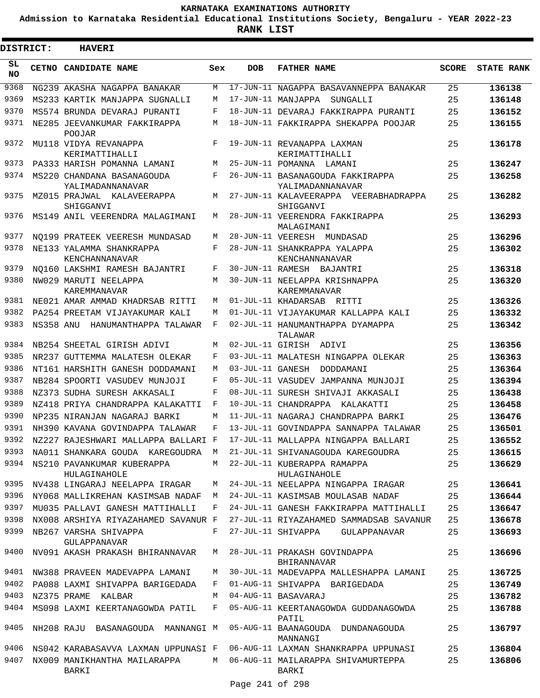**Admission to Karnataka Residential Educational Institutions Society, Bengaluru - YEAR 2022-23**

 $\blacksquare$ 

**RANK LIST**

Ξ

| <b>DISTRICT:</b> |           | <b>HAVERI</b>                                                       |     |                  |                                                      |              |                   |
|------------------|-----------|---------------------------------------------------------------------|-----|------------------|------------------------------------------------------|--------------|-------------------|
| SL.<br>NO.       |           | CETNO CANDIDATE NAME                                                | Sex | <b>DOB</b>       | <b>FATHER NAME</b>                                   | <b>SCORE</b> | <b>STATE RANK</b> |
| 9368             |           | NG239 AKASHA NAGAPPA BANAKAR                                        | М   |                  | 17-JUN-11 NAGAPPA BASAVANNEPPA BANAKAR               | 25           | 136138            |
| 9369             |           | MS233 KARTIK MANJAPPA SUGNALLI                                      | М   |                  | 17-JUN-11 MANJAPPA<br>SUNGALLI                       | 25           | 136148            |
| 9370             |           | MS574 BRUNDA DEVARAJ PURANTI                                        | F   |                  | 18-JUN-11 DEVARAJ FAKKIRAPPA PURANTI                 | 25           | 136152            |
| 9371             |           | NE285 JEEVANKUMAR FAKKIRAPPA<br><b>POOJAR</b>                       | M   |                  | 18-JUN-11 FAKKIRAPPA SHEKAPPA POOJAR                 | 25           | 136155            |
| 9372             |           | MU118 VIDYA REVANAPPA<br>KERIMATTIHALLI                             | F   |                  | 19-JUN-11 REVANAPPA LAXMAN<br>KERIMATTIHALLI         | 25           | 136178            |
| 9373             |           | PA333 HARISH POMANNA LAMANI                                         | М   |                  | 25-JUN-11 POMANNA LAMANI                             | 25           | 136247            |
| 9374             |           | MS220 CHANDANA BASANAGOUDA<br>YALIMADANNANAVAR                      | F   |                  | 26-JUN-11 BASANAGOUDA FAKKIRAPPA<br>YALIMADANNANAVAR | 25           | 136258            |
| 9375             |           | MZ015 PRAJWAL KALAVEERAPPA<br>SHIGGANVI                             | М   |                  | 27-JUN-11 KALAVEERAPPA VEERABHADRAPPA<br>SHIGGANVI   | 25           | 136282            |
| 9376             |           | MS149 ANIL VEERENDRA MALAGIMANI                                     | М   |                  | 28-JUN-11 VEERENDRA FAKKIRAPPA<br>MALAGIMANI         | 25           | 136293            |
| 9377             |           | NO199 PRATEEK VEERESH MUNDASAD                                      | М   |                  | 28-JUN-11 VEERESH MUNDASAD                           | 25           | 136296            |
| 9378             |           | NE133 YALAMMA SHANKRAPPA<br>KENCHANNANAVAR                          | F   |                  | 28-JUN-11 SHANKRAPPA YALAPPA<br>KENCHANNANAVAR       | 25           | 136302            |
| 9379             |           | NO160 LAKSHMI RAMESH BAJANTRI                                       | F   |                  | 30-JUN-11 RAMESH BAJANTRI                            | 25           | 136318            |
| 9380             |           | NW029 MARUTI NEELAPPA<br>KAREMMANAVAR                               | М   |                  | 30-JUN-11 NEELAPPA KRISHNAPPA<br><b>KAREMMANAVAR</b> | 25           | 136320            |
| 9381             |           | NE021 AMAR AMMAD KHADRSAB RITTI                                     | М   |                  | 01-JUL-11 KHADARSAB RITTI                            | 25           | 136326            |
| 9382             |           | PA254 PREETAM VIJAYAKUMAR KALI                                      | М   |                  | 01-JUL-11 VIJAYAKUMAR KALLAPPA KALI                  | 25           | 136332            |
| 9383             | NS358 ANU | HANUMANTHAPPA TALAWAR                                               | F   |                  | 02-JUL-11 HANUMANTHAPPA DYAMAPPA<br>TALAWAR          | 25           | 136342            |
| 9384             |           | NB254 SHEETAL GIRISH ADIVI                                          | М   |                  | 02-JUL-11 GIRISH ADIVI                               | 25           | 136356            |
| 9385             |           | NR237 GUTTEMMA MALATESH OLEKAR                                      | F   |                  | 03-JUL-11 MALATESH NINGAPPA OLEKAR                   | 25           | 136363            |
| 9386             |           | NT161 HARSHITH GANESH DODDAMANI                                     | М   | 03-JUL-11 GANESH | DODDAMANI                                            | 25           | 136364            |
| 9387             |           | NB284 SPOORTI VASUDEV MUNJOJI                                       | F   |                  | 05-JUL-11 VASUDEV JAMPANNA MUNJOJI                   | 25           | 136394            |
| 9388             |           | NZ373 SUDHA SURESH AKKASALI                                         | F   |                  | 08-JUL-11 SURESH SHIVAJI AKKASALI                    | 25           | 136438            |
| 9389             |           | NZ418 PRIYA CHANDRAPPA KALAKATTI                                    | F   |                  | 10-JUL-11 CHANDRAPPA KALAKATTI                       | 25           | 136458            |
| 9390             |           | NP235 NIRANJAN NAGARAJ BARKI                                        | М   |                  | 11-JUL-11 NAGARAJ CHANDRAPPA BARKI                   | 25           | 136476            |
| 9391             |           | NH390 KAVANA GOVINDAPPA TALAWAR                                     | F   |                  | 13-JUL-11 GOVINDAPPA SANNAPPA TALAWAR                | 25           | 136501            |
| 9392             |           | NZ227 RAJESHWARI MALLAPPA BALLARI F                                 |     |                  | 17-JUL-11 MALLAPPA NINGAPPA BALLARI                  | 25           | 136552            |
| 9393             |           | NA011 SHANKARA GOUDA KAREGOUDRA M                                   |     |                  | 21-JUL-11 SHIVANAGOUDA KAREGOUDRA                    | 25           | 136615            |
| 9394             |           | NS210 PAVANKUMAR KUBERAPPA<br>HULAGINAHOLE                          | M   |                  | 22-JUL-11 KUBERAPPA RAMAPPA<br>HULAGINAHOLE          | 25           | 136629            |
| 9395             |           | NV438 LINGARAJ NEELAPPA IRAGAR                                      | M   |                  | 24-JUL-11 NEELAPPA NINGAPPA IRAGAR                   | 25           | 136641            |
| 9396             |           | NY068 MALLIKREHAN KASIMSAB NADAF                                    | M   |                  | 24-JUL-11 KASIMSAB MOULASAB NADAF                    | 25           | 136644            |
| 9397             |           | MU035 PALLAVI GANESH MATTIHALLI                                     | F   |                  | 24-JUL-11 GANESH FAKKIRAPPA MATTIHALLI               | 25           | 136647            |
| 9398             |           | NX008 ARSHIYA RIYAZAHAMED SAVANUR F                                 |     |                  | 27-JUL-11 RIYAZAHAMED SAMMADSAB SAVANUR              | 25           | 136678            |
| 9399             |           | NB267 VARSHA SHIVAPPA<br>GULAPPANAVAR                               | F   |                  | 27-JUL-11 SHIVAPPA<br>GULAPPANAVAR                   | 25           | 136693            |
| 9400             |           | NV091 AKASH PRAKASH BHIRANNAVAR                                     | M   |                  | 28-JUL-11 PRAKASH GOVINDAPPA<br>BHIRANNAVAR          | 25           | 136696            |
| 9401             |           | NW388 PRAVEEN MADEVAPPA LAMANI                                      | M   |                  | 30-JUL-11 MADEVAPPA MALLESHAPPA LAMANI               | 25           | 136725            |
|                  |           | 9402 PA088 LAXMI SHIVAPPA BARIGEDADA                                | F   |                  | 01-AUG-11 SHIVAPPA BARIGEDADA                        | 25           | 136749            |
| 9403             |           | NZ375 PRAME KALBAR                                                  | М   |                  | 04-AUG-11 BASAVARAJ                                  | 25           | 136782            |
| 9404             |           | MS098 LAXMI KEERTANAGOWDA PATIL                                     | F   |                  | 05-AUG-11 KEERTANAGOWDA GUDDANAGOWDA<br>PATIL        | 25           | 136788            |
| 9405             |           | NH208 RAJU BASANAGOUDA MANNANGI M 05-AUG-11 BAANAGOUDA DUNDANAGOUDA |     |                  | MANNANGI                                             | 25           | 136797            |
| 9406             |           | NS042 KARABASAVVA LAXMAN UPPUNASI F                                 |     |                  | 06-AUG-11 LAXMAN SHANKRAPPA UPPUNASI                 | 25           | 136804            |
| 9407             |           | NX009 MANIKHANTHA MAILARAPPA<br>BARKI                               |     |                  | M 06-AUG-11 MAILARAPPA SHIVAMURTEPPA<br>BARKI        | 25           | 136806            |
|                  |           |                                                                     |     |                  |                                                      |              |                   |

Page 241 of 298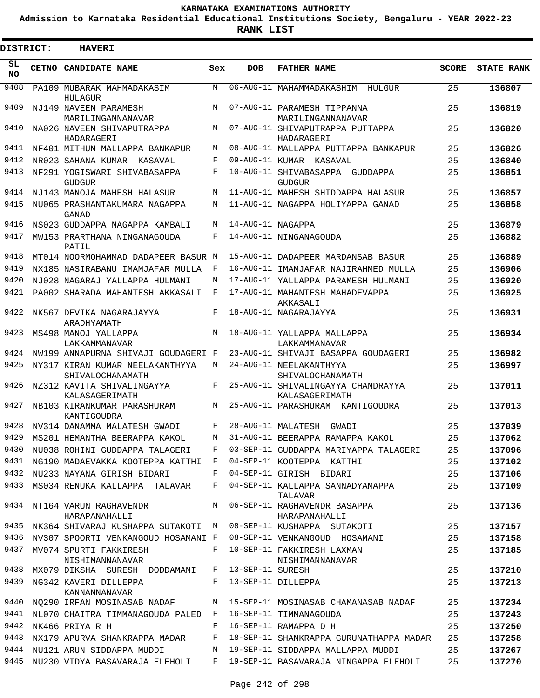**Admission to Karnataka Residential Educational Institutions Society, Bengaluru - YEAR 2022-23**

| DISTRICT:       | <b>HAVERI</b>                                             |         |                   |                                                                     |              |                   |
|-----------------|-----------------------------------------------------------|---------|-------------------|---------------------------------------------------------------------|--------------|-------------------|
| SL<br><b>NO</b> | <b>CETNO CANDIDATE NAME</b>                               | Sex     | DOB               | <b>FATHER NAME</b>                                                  | <b>SCORE</b> | <b>STATE RANK</b> |
| 9408            | PA109 MUBARAK MAHMADAKASIM<br>HULAGUR                     | M       |                   | 06-AUG-11 MAHAMMADAKASHIM HULGUR                                    | 25           | 136807            |
| 9409            | NJ149 NAVEEN PARAMESH<br>MARILINGANNANAVAR                | M       |                   | 07-AUG-11 PARAMESH TIPPANNA<br>MARILINGANNANAVAR                    | 25           | 136819            |
| 9410            | NA026 NAVEEN SHIVAPUTRAPPA<br>HADARAGERI                  | М       |                   | 07-AUG-11 SHIVAPUTRAPPA PUTTAPPA<br>HADARAGERI                      | 25           | 136820            |
| 9411            | NF401 MITHUN MALLAPPA BANKAPUR                            | M       |                   | 08-AUG-11 MALLAPPA PUTTAPPA BANKAPUR                                | 25           | 136826            |
| 9412            | NR023 SAHANA KUMAR KASAVAL                                | F       |                   | 09-AUG-11 KUMAR KASAVAL                                             | 25           | 136840            |
| 9413            | NF291 YOGISWARI SHIVABASAPPA<br><b>GUDGUR</b>             | F       |                   | 10-AUG-11 SHIVABASAPPA GUDDAPPA<br>GUDGUR                           | 25           | 136851            |
| 9414            | NJ143 MANOJA MAHESH HALASUR                               | M       |                   | 11-AUG-11 MAHESH SHIDDAPPA HALASUR                                  | 25           | 136857            |
| 9415            | NU065 PRASHANTAKUMARA NAGAPPA<br>GANAD                    | M       |                   | 11-AUG-11 NAGAPPA HOLIYAPPA GANAD                                   | 25           | 136858            |
| 9416            | NS023 GUDDAPPA NAGAPPA KAMBALI                            | M       | 14-AUG-11 NAGAPPA |                                                                     | 25           | 136879            |
| 9417            | MW153 PRARTHANA NINGANAGOUDA<br>PATIL                     | F       |                   | 14-AUG-11 NINGANAGOUDA                                              | 25           | 136882            |
| 9418            | MT014 NOORMOHAMMAD DADAPEER BASUR M                       |         |                   | 15-AUG-11 DADAPEER MARDANSAB BASUR                                  | 25           | 136889            |
| 9419            | NX185 NASIRABANU IMAMJAFAR MULLA                          | F       |                   | 16-AUG-11 IMAMJAFAR NAJIRAHMED MULLA                                | 25           | 136906            |
| 9420            | NJ028 NAGARAJ YALLAPPA HULMANI                            | M       |                   | 17-AUG-11 YALLAPPA PARAMESH HULMANI                                 | 25           | 136920            |
| 9421            | PA002 SHARADA MAHANTESH AKKASALI                          | F       |                   | 17-AUG-11 MAHANTESH MAHADEVAPPA<br>AKKASALI                         | 25           | 136925            |
| 9422            | NK567 DEVIKA NAGARAJAYYA<br>ARADHYAMATH                   | F       |                   | 18-AUG-11 NAGARAJAYYA                                               | 25           | 136931            |
| 9423            | MS498 MANOJ YALLAPPA<br>LAKKAMMANAVAR                     | M       |                   | 18-AUG-11 YALLAPPA MALLAPPA<br>LAKKAMMANAVAR                        | 25           | 136934            |
| 9424            | NW199 ANNAPURNA SHIVAJI GOUDAGERI F                       |         |                   | 23-AUG-11 SHIVAJI BASAPPA GOUDAGERI                                 | 25           | 136982            |
| 9425            | NY317 KIRAN KUMAR NEELAKANTHYYA<br>SHIVALOCHANAMATH       | М       |                   | 24-AUG-11 NEELAKANTHYYA<br>SHIVALOCHANAMATH                         | 25           | 136997            |
| 9426            | NZ312 KAVITA SHIVALINGAYYA<br>KALASAGERIMATH              | F       |                   | 25-AUG-11 SHIVALINGAYYA CHANDRAYYA<br>KALASAGERIMATH                | 25           | 137011            |
| 9427            | NB103 KIRANKUMAR PARASHURAM<br>KANTIGOUDRA                | M       |                   | 25-AUG-11 PARASHURAM KANTIGOUDRA                                    | 25           | 137013            |
| 9428            | NV314 DANAMMA MALATESH GWADI                              | F       |                   | 28-AUG-11 MALATESH GWADI                                            | 25           | 137039            |
| 9429            | MS201 HEMANTHA BEERAPPA KAKOL                             | M       |                   | 31-AUG-11 BEERAPPA RAMAPPA KAKOL                                    | 25           | 137062            |
|                 | 9430 NU038 ROHINI GUDDAPPA TALAGERI                       | $F$ and |                   | 03-SEP-11 GUDDAPPA MARIYAPPA TALAGERI                               | 25           | 137096            |
|                 | 9431 NG190 MADAEVAKKA KOOTEPPA KATTHI F                   |         |                   | 04-SEP-11 KOOTEPPA KATTHI                                           | 25           | 137102            |
|                 | 9432 NU233 NAYANA GIRISH BIDARI                           | $F$ –   |                   | 04-SEP-11 GIRISH BIDARI                                             | 25           | 137106            |
| 9433            | MS034 RENUKA KALLAPPA TALAVAR                             | $F -$   |                   | 04-SEP-11 KALLAPPA SANNADYAMAPPA<br>TALAVAR                         | 25           | 137109            |
| 9434            | NT164 VARUN RAGHAVENDR<br>HARAPANAHALLI                   | M       |                   | 06-SEP-11 RAGHAVENDR BASAPPA<br>HARAPANAHALLI                       | 25           | 137136            |
|                 |                                                           |         |                   | 9435 NK364 SHIVARAJ KUSHAPPA SUTAKOTI M 08-SEP-11 KUSHAPPA SUTAKOTI | 25           | 137157            |
| 9436            | NV307 SPOORTI VENKANGOUD HOSAMANI F                       |         |                   | 08-SEP-11 VENKANGOUD HOSAMANI                                       | 25           | 137158            |
| 9437            | MV074 SPURTI FAKKIRESH<br>NISHIMANNANAVAR                 |         |                   | F 10-SEP-11 FAKKIRESH LAXMAN<br>NISHIMANNANAVAR                     | 25           | 137185            |
| 9438            | MX079 DIKSHA SURESH DODDAMANI F 13-SEP-11 SURESH          |         |                   |                                                                     | 25           | 137210            |
| 9439            | NG342 KAVERI DILLEPPA<br>KANNANNANAVAR                    |         |                   | F 13-SEP-11 DILLEPPA                                                | 25           | 137213            |
| 9440            | NQ290 IRFAN MOSINASAB NADAF                               |         |                   | M 15-SEP-11 MOSINASAB CHAMANASAB NADAF                              | 25           | 137234            |
| 9441            | NL070 CHAITRA TIMMANAGOUDA PALED F 16-SEP-11 TIMMANAGOUDA |         |                   |                                                                     | 25           | 137243            |
|                 | 9442 NK466 PRIYA R H                                      |         |                   | F 16-SEP-11 RAMAPPA D H                                             | 25           | 137250            |
| 9443            | NX179 APURVA SHANKRAPPA MADAR                             |         |                   | F 18-SEP-11 SHANKRAPPA GURUNATHAPPA MADAR                           | 25           | 137258            |
| 9444            | NU121 ARUN SIDDAPPA MUDDI                                 |         |                   | M 19-SEP-11 SIDDAPPA MALLAPPA MUDDI                                 | 25           | 137267            |
| 9445            | NU230 VIDYA BASAVARAJA ELEHOLI                            | F       |                   | 19-SEP-11 BASAVARAJA NINGAPPA ELEHOLI                               | 25           | 137270            |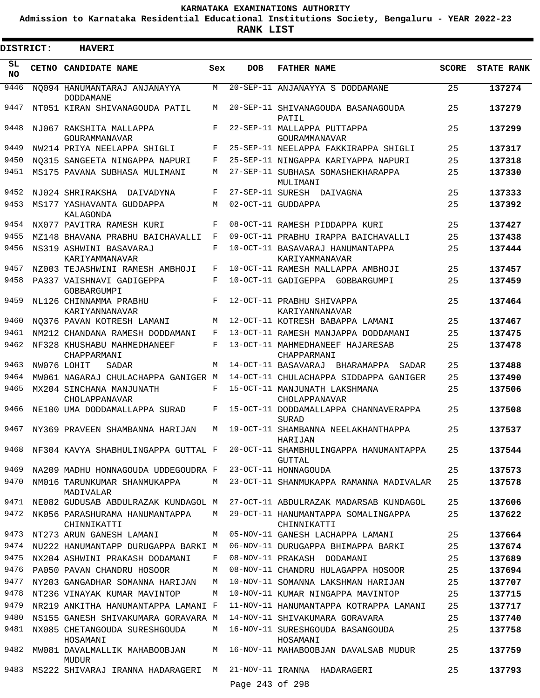**Admission to Karnataka Residential Educational Institutions Society, Bengaluru - YEAR 2022-23**

**RANK LIST**

| DISTRICT:       | <b>HAVERI</b>                                    |     |                 |                                                                                      |              |                   |
|-----------------|--------------------------------------------------|-----|-----------------|--------------------------------------------------------------------------------------|--------------|-------------------|
| SL<br><b>NO</b> | CETNO CANDIDATE NAME                             | Sex | <b>DOB</b>      | <b>FATHER NAME</b>                                                                   | <b>SCORE</b> | <b>STATE RANK</b> |
| 9446            | NO094 HANUMANTARAJ ANJANAYYA<br><b>DODDAMANE</b> | M   |                 | 20-SEP-11 ANJANAYYA S DODDAMANE                                                      | 25           | 137274            |
| 9447            | NT051 KIRAN SHIVANAGOUDA PATIL                   | М   |                 | 20-SEP-11 SHIVANAGOUDA BASANAGOUDA<br>PATIL                                          | 25           | 137279            |
| 9448            | NJ067 RAKSHITA MALLAPPA<br>GOURAMMANAVAR         | F   |                 | 22-SEP-11 MALLAPPA PUTTAPPA<br>GOURAMMANAVAR                                         | 25           | 137299            |
| 9449            | NW214 PRIYA NEELAPPA SHIGLI                      | F   |                 | 25-SEP-11 NEELAPPA FAKKIRAPPA SHIGLI                                                 | 25           | 137317            |
| 9450            | NO315 SANGEETA NINGAPPA NAPURI                   | F   |                 | 25-SEP-11 NINGAPPA KARIYAPPA NAPURI                                                  | 25           | 137318            |
| 9451            | MS175 PAVANA SUBHASA MULIMANI                    | М   |                 | 27-SEP-11 SUBHASA SOMASHEKHARAPPA<br>MULIMANI                                        | 25           | 137330            |
| 9452            | NJ024 SHRIRAKSHA DAIVADYNA                       | F   |                 | 27-SEP-11 SURESH DAIVAGNA                                                            | 25           | 137333            |
| 9453            | MS177 YASHAVANTA GUDDAPPA<br>KALAGONDA           | M   |                 | 02-OCT-11 GUDDAPPA                                                                   | 25           | 137392            |
| 9454            | NX077 PAVITRA RAMESH KURI                        | F   |                 | 08-OCT-11 RAMESH PIDDAPPA KURI                                                       | 25           | 137427            |
| 9455            | MZ148 BHAVANA PRABHU BAICHAVALLI                 | F   |                 | 09-OCT-11 PRABHU IRAPPA BAICHAVALLI                                                  | 25           | 137438            |
| 9456            | NS319 ASHWINI BASAVARAJ<br>KARIYAMMANAVAR        | F   |                 | 10-OCT-11 BASAVARAJ HANUMANTAPPA<br>KARIYAMMANAVAR                                   | 25           | 137444            |
| 9457            | NZ003 TEJASHWINI RAMESH AMBHOJI                  | F   |                 | 10-OCT-11 RAMESH MALLAPPA AMBHOJI                                                    | 25           | 137457            |
| 9458            | PA337 VAISHNAVI GADIGEPPA<br><b>GOBBARGUMPI</b>  | F   |                 | 10-OCT-11 GADIGEPPA GOBBARGUMPI                                                      | 25           | 137459            |
| 9459            | NL126 CHINNAMMA PRABHU                           | F   |                 | 12-OCT-11 PRABHU SHIVAPPA                                                            | 25           | 137464            |
| 9460            | KARIYANNANAVAR<br>NO376 PAVAN KOTRESH LAMANI     | М   |                 | KARIYANNANAVAR<br>12-OCT-11 KOTRESH BABAPPA LAMANI                                   | 25           | 137467            |
| 9461            | NM212 CHANDANA RAMESH DODDAMANI                  | F   |                 | 13-OCT-11 RAMESH MANJAPPA DODDAMANI                                                  | 25           | 137475            |
| 9462            | NF328 KHUSHABU MAHMEDHANEEF<br>CHAPPARMANI       | F   |                 | 13-OCT-11 MAHMEDHANEEF HAJARESAB<br>CHAPPARMANI                                      | 25           | 137478            |
| 9463            | NW076 LOHIT<br>SADAR                             | М   |                 | 14-OCT-11 BASAVARAJ BHARAMAPPA<br>SADAR                                              | 25           | 137488            |
| 9464            | MW061 NAGARAJ CHULACHAPPA GANIGER M              |     |                 | 14-OCT-11 CHULACHAPPA SIDDAPPA GANIGER                                               | 25           | 137490            |
| 9465            | MX204 SINCHANA MANJUNATH<br>CHOLAPPANAVAR        | F   |                 | 15-OCT-11 MANJUNATH LAKSHMANA<br>CHOLAPPANAVAR                                       | 25           | 137506            |
| 9466            | NE100 UMA DODDAMALLAPPA SURAD                    | F   |                 | 15-OCT-11 DODDAMALLAPPA CHANNAVERAPPA<br><b>SURAD</b>                                | 25           | 137508            |
| 9467            | NY369 PRAVEEN SHAMBANNA HARIJAN                  | М   |                 | 19-OCT-11 SHAMBANNA NEELAKHANTHAPPA<br>HARIJAN                                       | 25           | 137537            |
| 9468            |                                                  |     |                 | NF304 KAVYA SHABHULINGAPPA GUTTAL F 20-OCT-11 SHAMBHULINGAPPA HANUMANTAPPA<br>GUTTAL | 25           | 137544            |
| 9469            | NA209 MADHU HONNAGOUDA UDDEGOUDRA F              |     |                 | 23-OCT-11 HONNAGOUDA                                                                 | 25           | 137573            |
| 9470            | NM016 TARUNKUMAR SHANMUKAPPA<br>MADIVALAR        | M   |                 | 23-OCT-11 SHANMUKAPPA RAMANNA MADIVALAR                                              | 25           | 137578            |
| 9471            | NE082 GUDUSAB ABDULRAZAK KUNDAGOL M              |     |                 | 27-OCT-11 ABDULRAZAK MADARSAB KUNDAGOL                                               | 25           | 137606            |
| 9472            | NK056 PARASHURAMA HANUMANTAPPA<br>CHINNIKATTI    | M   |                 | 29-OCT-11 HANUMANTAPPA SOMALINGAPPA<br>CHINNIKATTI                                   | 25           | 137622            |
| 9473            | NT273 ARUN GANESH LAMANI                         | M   |                 | 05-NOV-11 GANESH LACHAPPA LAMANI                                                     | 25           | 137664            |
| 9474            | NU222 HANUMANTAPP DURUGAPPA BARKI M              |     |                 | 06-NOV-11 DURUGAPPA BHIMAPPA BARKI                                                   | 25           | 137674            |
| 9475            | NX204 ASHWINI PRAKASH DODAMANI                   | F   |                 | 08-NOV-11 PRAKASH DODAMANI                                                           | 25           | 137689            |
| 9476            | PA050 PAVAN CHANDRU HOSOOR                       | M   |                 | 08-NOV-11 CHANDRU HULAGAPPA HOSOOR                                                   | 25           | 137694            |
| 9477            | NY203 GANGADHAR SOMANNA HARIJAN                  | M   |                 | 10-NOV-11 SOMANNA LAKSHMAN HARIJAN                                                   | 25           | 137707            |
| 9478            | NT236 VINAYAK KUMAR MAVINTOP                     | M   |                 | 10-NOV-11 KUMAR NINGAPPA MAVINTOP                                                    | 25           | 137715            |
| 9479            | NR219 ANKITHA HANUMANTAPPA LAMANI F              |     |                 | 11-NOV-11 HANUMANTAPPA KOTRAPPA LAMANI                                               | 25           | 137717            |
| 9480            | NS155 GANESH SHIVAKUMARA GORAVARA M              |     |                 | 14-NOV-11 SHIVAKUMARA GORAVARA                                                       | 25           | 137740            |
| 9481            | NX085 CHETANGOUDA SURESHGOUDA<br>HOSAMANI        | M   |                 | 16-NOV-11 SURESHGOUDA BASANGOUDA<br>HOSAMANI                                         | 25           | 137758            |
| 9482            | MW081 DAVALMALLIK MAHABOOBJAN<br>MUDUR           | М   |                 | 16-NOV-11 MAHABOOBJAN DAVALSAB MUDUR                                                 | 25           | 137759            |
| 9483            | MS222 SHIVARAJ IRANNA HADARAGERI                 | M   |                 | 21-NOV-11 IRANNA HADARAGERI                                                          | 25           | 137793            |
|                 |                                                  |     | Page 243 of 298 |                                                                                      |              |                   |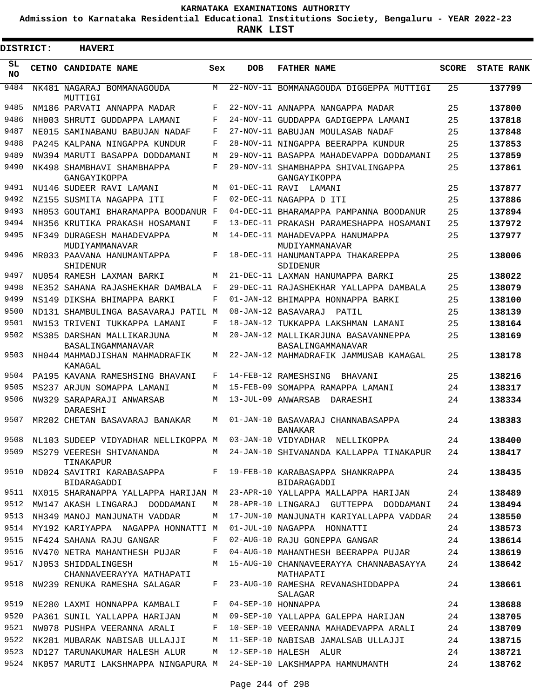**Admission to Karnataka Residential Educational Institutions Society, Bengaluru - YEAR 2022-23**

**RANK LIST**

| <b>DISTRICT:</b> | <b>HAVERI</b>                                                               |     |            |                                                                    |              |                   |
|------------------|-----------------------------------------------------------------------------|-----|------------|--------------------------------------------------------------------|--------------|-------------------|
| SL<br><b>NO</b>  | CETNO CANDIDATE NAME                                                        | Sex | <b>DOB</b> | <b>FATHER NAME</b>                                                 | <b>SCORE</b> | <b>STATE RANK</b> |
| 9484             | NK481 NAGARAJ BOMMANAGOUDA<br>MUTTIGI                                       | M   |            | 22-NOV-11 BOMMANAGOUDA DIGGEPPA MUTTIGI                            | 25           | 137799            |
| 9485             | NM186 PARVATI ANNAPPA MADAR                                                 | F   |            | 22-NOV-11 ANNAPPA NANGAPPA MADAR                                   | 25           | 137800            |
| 9486             | NH003 SHRUTI GUDDAPPA LAMANI                                                | F   |            | 24-NOV-11 GUDDAPPA GADIGEPPA LAMANI                                | 25           | 137818            |
| 9487             | NE015 SAMINABANU BABUJAN NADAF                                              | F   |            | 27-NOV-11 BABUJAN MOULASAB NADAF                                   | 25           | 137848            |
| 9488             | PA245 KALPANA NINGAPPA KUNDUR                                               | F   |            | 28-NOV-11 NINGAPPA BEERAPPA KUNDUR                                 | 25           | 137853            |
| 9489             | NW394 MARUTI BASAPPA DODDAMANI                                              | М   |            | 29-NOV-11 BASAPPA MAHADEVAPPA DODDAMANI                            | 25           | 137859            |
| 9490             | NK498 SHAMBHAVI SHAMBHAPPA<br>GANGAYIKOPPA                                  | F   |            | 29-NOV-11 SHAMBHAPPA SHIVALINGAPPA<br>GANGAYIKOPPA                 | 25           | 137861            |
| 9491             | NU146 SUDEER RAVI LAMANI                                                    | М   |            | 01-DEC-11 RAVI LAMANI                                              | 25           | 137877            |
| 9492             | NZ155 SUSMITA NAGAPPA ITI                                                   | F   |            | 02-DEC-11 NAGAPPA D ITI                                            | 25           | 137886            |
| 9493             | NH053 GOUTAMI BHARAMAPPA BOODANUR F                                         |     |            | 04-DEC-11 BHARAMAPPA PAMPANNA BOODANUR                             | 25           | 137894            |
| 9494             | NH356 KRUTIKA PRAKASH HOSAMANI                                              | F   |            | 13-DEC-11 PRAKASH PARAMESHAPPA HOSAMANI                            | 25           | 137972            |
| 9495             | NF349 DURAGESH MAHADEVAPPA<br>MUDIYAMMANAVAR                                | М   |            | 14-DEC-11 MAHADEVAPPA HANUMAPPA<br>MUDIYAMMANAVAR                  | 25           | 137977            |
| 9496             | MR033 PAAVANA HANUMANTAPPA<br>SHIDENUR                                      | F   |            | 18-DEC-11 HANUMANTAPPA THAKAREPPA<br>SDIDENUR                      | 25           | 138006            |
| 9497             | NU054 RAMESH LAXMAN BARKI                                                   | М   |            | 21-DEC-11 LAXMAN HANUMAPPA BARKI                                   | 25           | 138022            |
| 9498             | NE352 SAHANA RAJASHEKHAR DAMBALA                                            | F   |            | 29-DEC-11 RAJASHEKHAR YALLAPPA DAMBALA                             | 25           | 138079            |
| 9499             | NS149 DIKSHA BHIMAPPA BARKI                                                 | F   |            | 01-JAN-12 BHIMAPPA HONNAPPA BARKI                                  | 25           | 138100            |
| 9500             | ND131 SHAMBULINGA BASAVARAJ PATIL M                                         |     |            | 08-JAN-12 BASAVARAJ<br>PATIL                                       | 25           | 138139            |
| 9501             | NW153 TRIVENI TUKKAPPA LAMANI                                               | F   |            | 18-JAN-12 TUKKAPPA LAKSHMAN LAMANI                                 | 25           | 138164            |
| 9502             | MS385 DARSHAN MALLIKARJUNA<br>BASALINGAMMANAVAR                             | M   |            | 20-JAN-12 MALLIKARJUNA BASAVANNEPPA<br>BASALINGAMMANAVAR           | 25           | 138169            |
| 9503             | NH044 MAHMADJISHAN MAHMADRAFIK<br>KAMAGAL                                   | М   |            | 22-JAN-12 MAHMADRAFIK JAMMUSAB KAMAGAL                             | 25           | 138178            |
| 9504             | PA195 KAVANA RAMESHSING BHAVANI                                             | F   |            | 14-FEB-12 RAMESHSING<br>BHAVANI                                    | 25           | 138216            |
| 9505             | MS237 ARJUN SOMAPPA LAMANI                                                  | М   |            | 15-FEB-09 SOMAPPA RAMAPPA LAMANI                                   | 24           | 138317            |
| 9506             | NW329 SARAPARAJI ANWARSAB<br>DARAESHI                                       | М   |            | 13-JUL-09 ANWARSAB<br>DARAESHI                                     | 24           | 138334            |
| 9507             | MR202 CHETAN BASAVARAJ BANAKAR                                              | М   |            | 01-JAN-10 BASAVARAJ CHANNABASAPPA<br>BANAKAR                       | 24           | 138383            |
|                  | 9508 NL103 SUDEEP VIDYADHAR NELLIKOPPA M 03-JAN-10 VIDYADHAR NELLIKOPPA     |     |            |                                                                    | 24           | 138400            |
| 9509             | TINAKAPUR                                                                   |     |            | MS279 VEERESH SHIVANANDA M 24-JAN-10 SHIVANANDA KALLAPPA TINAKAPUR | 24           | 138417            |
| 9510             | ND024 SAVITRI KARABASAPPA F 19-FEB-10 KARABASAPPA SHANKRAPPA<br>BIDARAGADDI |     |            | BIDARAGADDI                                                        | 24           | 138435            |
| 9511             | NX015 SHARANAPPA YALLAPPA HARIJAN M                                         |     |            | 23-APR-10 YALLAPPA MALLAPPA HARIJAN                                | 24           | 138489            |
| 9512             | MW147 AKASH LINGARAJ DODDAMANI                                              | M   |            | 28-APR-10 LINGARAJ GUTTEPPA DODDAMANI                              | 24           | 138494            |
| 9513             | NH349 MANOJ MANJUNATH VADDAR                                                | М   |            | 17-JUN-10 MANJUNATH KARIYALLAPPA VADDAR                            | 24           | 138550            |
| 9514             | MY192 KARIYAPPA NAGAPPA HONNATTI M                                          |     |            | 01-JUL-10 NAGAPPA HONNATTI                                         | 24           | 138573            |
| 9515             | NF424 SAHANA RAJU GANGAR                                                    | F   |            | 02-AUG-10 RAJU GONEPPA GANGAR                                      | 24           | 138614            |
| 9516             | NV470 NETRA MAHANTHESH PUJAR                                                | F   |            | 04-AUG-10 MAHANTHESH BEERAPPA PUJAR                                | 24           | 138619            |
| 9517             | NJ053 SHIDDALINGESH<br>CHANNAVEERAYYA MATHAPATI                             | M   |            | 15-AUG-10 CHANNAVEERAYYA CHANNABASAYYA<br>MATHAPATI                | 24           | 138642            |
| 9518             | NW239 RENUKA RAMESHA SALAGAR                                                | F   |            | 23-AUG-10 RAMESHA REVANASHIDDAPPA<br>SALAGAR                       | 24           | 138661            |
| 9519             | NE280 LAXMI HONNAPPA KAMBALI                                                | F   |            | 04-SEP-10 HONNAPPA                                                 | 24           | 138688            |
| 9520             | PA361 SUNIL YALLAPPA HARIJAN                                                | M   |            | 09-SEP-10 YALLAPPA GALEPPA HARIJAN                                 | 24           | 138705            |
| 9521             | NW078 PUSHPA VEERANNA ARALI                                                 | F   |            | 10-SEP-10 VEERANNA MAHADEVAPPA ARALI                               | 24           | 138709            |
| 9522             | NK281 MUBARAK NABISAB ULLAJJI                                               | M   |            | 11-SEP-10 NABISAB JAMALSAB ULLAJJI                                 | 24           | 138715            |
| 9523             | ND127 TARUNAKUMAR HALESH ALUR M                                             |     |            | 12-SEP-10 HALESH ALUR                                              | 24           | 138721            |
| 9524             | NK057 MARUTI LAKSHMAPPA NINGAPURA M 24-SEP-10 LAKSHMAPPA HAMNUMANTH         |     |            |                                                                    | 24           | 138762            |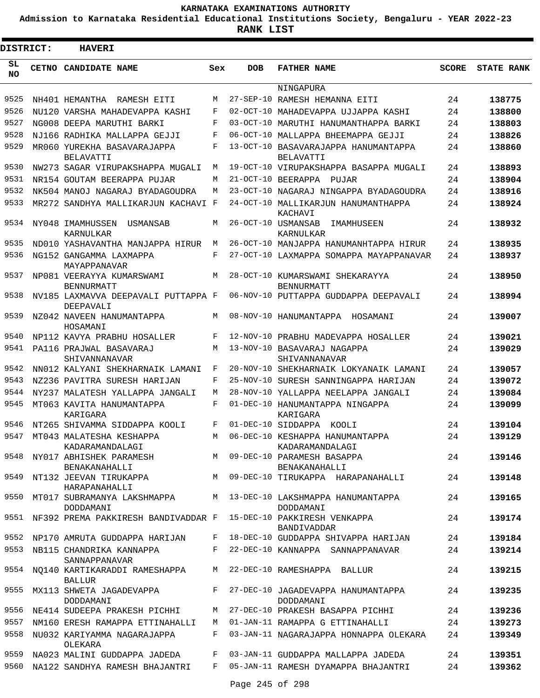**Admission to Karnataka Residential Educational Institutions Society, Bengaluru - YEAR 2022-23**

| DISTRICT:       | <b>HAVERI</b>                                    |         |            |                                                      |              |                   |
|-----------------|--------------------------------------------------|---------|------------|------------------------------------------------------|--------------|-------------------|
| SL<br><b>NO</b> | CETNO CANDIDATE NAME                             | Sex     | <b>DOB</b> | <b>FATHER NAME</b>                                   | <b>SCORE</b> | <b>STATE RANK</b> |
|                 |                                                  |         |            | NINGAPURA                                            |              |                   |
| 9525            | NH401 HEMANTHA RAMESH EITI                       | M       |            | 27-SEP-10 RAMESH HEMANNA EITI                        | 24           | 138775            |
| 9526            | NU120 VARSHA MAHADEVAPPA KASHI                   | F       |            | 02-OCT-10 MAHADEVAPPA UJJAPPA KASHI                  | 24           | 138800            |
| 9527            | NG008 DEEPA MARUTHI BARKI                        | F       |            | 03-OCT-10 MARUTHI HANUMANTHAPPA BARKI                | 24           | 138803            |
| 9528            | NJ166 RADHIKA MALLAPPA GEJJI                     | F       |            | 06-OCT-10 MALLAPPA BHEEMAPPA GEJJI                   | 24           | 138826            |
| 9529            | MR060 YUREKHA BASAVARAJAPPA<br><b>BELAVATTI</b>  | F       |            | 13-OCT-10 BASAVARAJAPPA HANUMANTAPPA<br>BELAVATTI    | 24           | 138860            |
| 9530            | NW273 SAGAR VIRUPAKSHAPPA MUGALI                 | М       |            | 19-OCT-10 VIRUPAKSHAPPA BASAPPA MUGALI               | 24           | 138893            |
| 9531            | NR154 GOUTAM BEERAPPA PUJAR                      | М       |            | 21-OCT-10 BEERAPPA PUJAR                             | 24           | 138904            |
| 9532            | NK504 MANOJ NAGARAJ BYADAGOUDRA                  | М       | 23-OCT-10  | NAGARAJ NINGAPPA BYADAGOUDRA                         | 24           | 138916            |
| 9533            | MR272 SANDHYA MALLIKARJUN KACHAVI F              |         |            | 24-OCT-10 MALLIKARJUN HANUMANTHAPPA<br>KACHAVI       | 24           | 138924            |
| 9534            | NY048 IMAMHUSSEN<br>USMANSAB<br>KARNULKAR        | М       |            | 26-OCT-10 USMANSAB<br>IMAMHUSEEN<br>KARNULKAR        | 24           | 138932            |
| 9535            | ND010 YASHAVANTHA MANJAPPA HIRUR                 | M       |            | 26-OCT-10 MANJAPPA HANUMANHTAPPA HIRUR               | 24           | 138935            |
| 9536            | NG152 GANGAMMA LAXMAPPA<br>MAYAPPANAVAR          | F       |            | 27-OCT-10 LAXMAPPA SOMAPPA MAYAPPANAVAR              | 24           | 138937            |
| 9537            | NP081 VEERAYYA KUMARSWAMI<br><b>BENNURMATT</b>   | М       |            | 28-OCT-10 KUMARSWAMI SHEKARAYYA<br><b>BENNURMATT</b> | 24           | 138950            |
| 9538            | NV185 LAXMAVVA DEEPAVALI PUTTAPPA F<br>DEEPAVALI |         |            | 06-NOV-10 PUTTAPPA GUDDAPPA DEEPAVALI                | 24           | 138994            |
| 9539            | NZ042 NAVEEN HANUMANTAPPA<br>HOSAMANI            | М       |            | 08-NOV-10 HANUMANTAPPA<br>HOSAMANI                   | 24           | 139007            |
| 9540            | NP112 KAVYA PRABHU HOSALLER                      | F       |            | 12-NOV-10 PRABHU MADEVAPPA HOSALLER                  | 24           | 139021            |
| 9541            | PA116 PRAJWAL BASAVARAJ<br>SHIVANNANAVAR         | M       |            | 13-NOV-10 BASAVARAJ NAGAPPA<br>SHIVANNANAVAR         | 24           | 139029            |
| 9542            | NN012 KALYANI SHEKHARNAIK LAMANI                 | F       |            | 20-NOV-10 SHEKHARNAIK LOKYANAIK LAMANI               | 24           | 139057            |
| 9543            | NZ236 PAVITRA SURESH HARIJAN                     | F       |            | 25-NOV-10 SURESH SANNINGAPPA HARIJAN                 | 24           | 139072            |
| 9544            | NY237 MALATESH YALLAPPA JANGALI                  | М       |            | 28-NOV-10 YALLAPPA NEELAPPA JANGALI                  | 24           | 139084            |
| 9545            | MT063 KAVITA HANUMANTAPPA<br>KARIGARA            | F       |            | 01-DEC-10 HANUMANTAPPA NINGAPPA<br>KARIGARA          | 24           | 139099            |
| 9546            | NT265 SHIVAMMA SIDDAPPA KOOLI                    | F       |            | 01-DEC-10 SIDDAPPA<br>KOOLI                          | 24           | 139104            |
| 9547            | MT043 MALATESHA KESHAPPA                         | M       |            | 06-DEC-10 KESHAPPA HANUMANTAPPA                      | 24           | 139129            |
| 9548            | KADARAMANDALAGI<br>NY017 ABHISHEK PARAMESH       |         |            | KADARAMANDALAGI<br>M 09-DEC-10 PARAMESH BASAPPA      | 24           | 139146            |
|                 | BENAKANAHALLI                                    |         |            | BENAKANAHALLI                                        |              |                   |
| 9549            | NT132 JEEVAN TIRUKAPPA<br>HARAPANAHALLI          | M       |            | 09-DEC-10 TIRUKAPPA HARAPANAHALLI                    | 24           | 139148            |
| 9550            | MT017 SUBRAMANYA LAKSHMAPPA<br>DODDAMANI         |         |            | M 13-DEC-10 LAKSHMAPPA HANUMANTAPPA<br>DODDAMANI     | 24           | 139165            |
| 9551            | NF392 PREMA PAKKIRESH BANDIVADDAR F              |         |            | 15-DEC-10 PAKKIRESH VENKAPPA<br><b>BANDIVADDAR</b>   | 24           | 139174            |
| 9552            | NP170 AMRUTA GUDDAPPA HARIJAN                    | F       |            | 18-DEC-10 GUDDAPPA SHIVAPPA HARIJAN                  | 24           | 139184            |
| 9553            | NB115 CHANDRIKA KANNAPPA<br>SANNAPPANAVAR        | F       |            | 22-DEC-10 KANNAPPA SANNAPPANAVAR                     | 24           | 139214            |
| 9554            | NO140 KARTIKARADDI RAMESHAPPA<br><b>BALLUR</b>   | M       |            | 22-DEC-10 RAMESHAPPA BALLUR                          | 24           | 139215            |
| 9555            | MX113 SHWETA JAGADEVAPPA<br>DODDAMANI            | F       |            | 27-DEC-10 JAGADEVAPPA HANUMANTAPPA<br>DODDAMANI      | 24           | 139235            |
| 9556            | NE414 SUDEEPA PRAKESH PICHHI                     | М       |            | 27-DEC-10 PRAKESH BASAPPA PICHHI                     | 24           | 139236            |
| 9557            | NM160 ERESH RAMAPPA ETTINAHALLI                  | М       |            | 01-JAN-11 RAMAPPA G ETTINAHALLI                      | 24           | 139273            |
| 9558            | NU032 KARIYAMMA NAGARAJAPPA<br>OLEKARA           | F       |            | 03-JAN-11 NAGARAJAPPA HONNAPPA OLEKARA               | 24           | 139349            |
| 9559            | NA023 MALINI GUDDAPPA JADEDA                     | F       |            | 03-JAN-11 GUDDAPPA MALLAPPA JADEDA                   | 24           | 139351            |
| 9560            | NA122 SANDHYA RAMESH BHAJANTRI                   | $F$ and |            | 05-JAN-11 RAMESH DYAMAPPA BHAJANTRI                  | 24           | 139362            |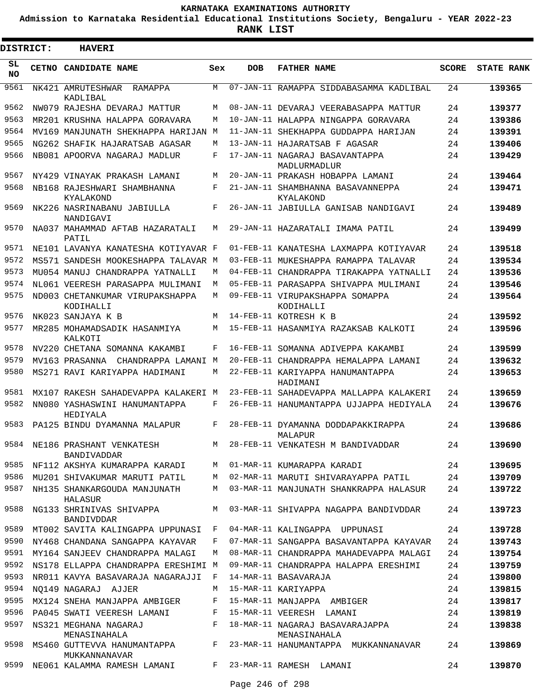**Admission to Karnataka Residential Educational Institutions Society, Bengaluru - YEAR 2022-23**

**RANK LIST**

ı

| DISTRICT:       | <b>HAVERI</b>                                  |              |            |                                                 |              |                   |
|-----------------|------------------------------------------------|--------------|------------|-------------------------------------------------|--------------|-------------------|
| SL<br><b>NO</b> | <b>CETNO CANDIDATE NAME</b>                    | Sex          | <b>DOB</b> | <b>FATHER NAME</b>                              | <b>SCORE</b> | <b>STATE RANK</b> |
| 9561            | NK421 AMRUTESHWAR<br>RAMAPPA<br>KADLIBAL       | M            |            | 07-JAN-11 RAMAPPA SIDDABASAMMA KADLIBAL         | 24           | 139365            |
| 9562            | NW079 RAJESHA DEVARAJ MATTUR                   | M            |            | 08-JAN-11 DEVARAJ VEERABASAPPA MATTUR           | 24           | 139377            |
| 9563            | MR201 KRUSHNA HALAPPA GORAVARA                 | M            |            | 10-JAN-11 HALAPPA NINGAPPA GORAVARA             | 24           | 139386            |
| 9564            | MV169 MANJUNATH SHEKHAPPA HARIJAN              | M            |            | 11-JAN-11 SHEKHAPPA GUDDAPPA HARIJAN            | 24           | 139391            |
| 9565            | NG262 SHAFIK HAJARATSAB AGASAR                 | M            |            | 13-JAN-11 HAJARATSAB F AGASAR                   | 24           | 139406            |
| 9566            | NB081 APOORVA NAGARAJ MADLUR                   | F            |            | 17-JAN-11 NAGARAJ BASAVANTAPPA<br>MADLURMADLUR  | 24           | 139429            |
| 9567            | NY429 VINAYAK PRAKASH LAMANI                   | М            |            | 20-JAN-11 PRAKASH HOBAPPA LAMANI                | 24           | 139464            |
| 9568            | NB168 RAJESHWARI SHAMBHANNA<br>KYALAKOND       | F            |            | 21-JAN-11 SHAMBHANNA BASAVANNEPPA<br>KYALAKOND  | 24           | 139471            |
| 9569            | NK226 NASRINABANU JABIULLA<br>NANDIGAVI        | F            |            | 26-JAN-11 JABIULLA GANISAB NANDIGAVI            | 24           | 139489            |
| 9570            | NA037 MAHAMMAD AFTAB HAZARATALI<br>PATTI,      | M            |            | 29-JAN-11 HAZARATALI IMAMA PATIL                | 24           | 139499            |
| 9571            | NE101 LAVANYA KANATESHA KOTIYAVAR F            |              |            | 01-FEB-11 KANATESHA LAXMAPPA KOTIYAVAR          | 24           | 139518            |
| 9572            | MS571 SANDESH MOOKESHAPPA TALAVAR M            |              |            | 03-FEB-11 MUKESHAPPA RAMAPPA TALAVAR            | 24           | 139534            |
| 9573            | MU054 MANUJ CHANDRAPPA YATNALLI                | М            |            | 04-FEB-11 CHANDRAPPA TIRAKAPPA YATNALLI         | 24           | 139536            |
| 9574            | NL061 VEERESH PARASAPPA MULIMANI               | M            |            | 05-FEB-11 PARASAPPA SHIVAPPA MULIMANI           | 24           | 139546            |
| 9575            | ND003 CHETANKUMAR VIRUPAKSHAPPA<br>KODIHALLI   | M            |            | 09-FEB-11 VIRUPAKSHAPPA SOMAPPA<br>KODIHALLI    | 24           | 139564            |
| 9576            | NK023 SANJAYA K B                              | M            |            | 14-FEB-11 KOTRESH K B                           | 24           | 139592            |
| 9577            | MR285 MOHAMADSADIK HASANMIYA<br>KALKOTI        | M            |            | 15-FEB-11 HASANMIYA RAZAKSAB KALKOTI            | 24           | 139596            |
| 9578            | NV220 CHETANA SOMANNA KAKAMBI                  | F            |            | 16-FEB-11 SOMANNA ADIVEPPA KAKAMBI              | 24           | 139599            |
| 9579            | MV163 PRASANNA CHANDRAPPA LAMANI M             |              |            | 20-FEB-11 CHANDRAPPA HEMALAPPA LAMANI           | 24           | 139632            |
| 9580            | MS271 RAVI KARIYAPPA HADIMANI                  | M            |            | 22-FEB-11 KARIYAPPA HANUMANTAPPA<br>HADIMANI    | 24           | 139653            |
| 9581            | MX107 RAKESH SAHADEVAPPA KALAKERI M            |              |            | 23-FEB-11 SAHADEVAPPA MALLAPPA KALAKERI         | 24           | 139659            |
| 9582            | NN080 YASHASWINI HANUMANTAPPA<br>HEDIYALA      | F            |            | 26-FEB-11 HANUMANTAPPA UJJAPPA HEDIYALA         | 24           | 139676            |
| 9583            | PA125 BINDU DYAMANNA MALAPUR                   | F            |            | 28-FEB-11 DYAMANNA DODDAPAKKIRAPPA<br>MALAPUR   | 24           | 139686            |
| 9584            | NE186 PRASHANT VENKATESH<br>BANDIVADDAR        |              |            | M 28-FEB-11 VENKATESH M BANDIVADDAR             | 24           | 139690            |
| 9585            | NF112 AKSHYA KUMARAPPA KARADI M                |              |            | 01-MAR-11 KUMARAPPA KARADI                      | 24           | 139695            |
| 9586            | MU201 SHIVAKUMAR MARUTI PATIL M                |              |            | 02-MAR-11 MARUTI SHIVARAYAPPA PATIL             | 24           | 139709            |
| 9587            | NH135 SHANKARGOUDA MANJUNATH<br>HALASUR        | M            |            | 03-MAR-11 MANJUNATH SHANKRAPPA HALASUR          | 24           | 139722            |
| 9588            | NG133 SHRINIVAS SHIVAPPA<br>BANDIVDDAR         | M            |            | 03-MAR-11 SHIVAPPA NAGAPPA BANDIVDDAR           | 24           | 139723            |
| 9589            | MT002 SAVITA KALINGAPPA UPPUNASI F             |              |            | 04-MAR-11 KALINGAPPA UPPUNASI                   | 24           | 139728            |
| 9590            | NY468 CHANDANA SANGAPPA KAYAVAR                | F            |            | 07-MAR-11 SANGAPPA BASAVANTAPPA KAYAVAR         | 24           | 139743            |
| 9591            | MY164 SANJEEV CHANDRAPPA MALAGI                | M            |            | 08-MAR-11 CHANDRAPPA MAHADEVAPPA MALAGI         | 24           | 139754            |
| 9592            | NS178 ELLAPPA CHANDRAPPA ERESHIMI M            |              |            | 09-MAR-11 CHANDRAPPA HALAPPA ERESHIMI           | 24           | 139759            |
| 9593            | NR011 KAVYA BASAVARAJA NAGARAJJI               | $\mathbf{F}$ |            | 14-MAR-11 BASAVARAJA                            | 24           | 139800            |
| 9594            | NO149 NAGARAJ AJJER                            | M            |            | 15-MAR-11 KARIYAPPA                             | 24           | 139815            |
| 9595            | MX124 SNEHA MANJAPPA AMBIGER                   | F            |            | 15-MAR-11 MANJAPPA AMBIGER                      | 24           | 139817            |
| 9596            | PA045 SWATI VEERESH LAMANI F                   |              |            | 15-MAR-11 VEERESH LAMANI                        | 24           | 139819            |
| 9597            | NS321 MEGHANA NAGARAJ<br>MENASINAHALA          | F            |            | 18-MAR-11 NAGARAJ BASAVARAJAPPA<br>MENASINAHALA | 24           | 139838            |
| 9598            | MS460 GUTTEVVA HANUMANTAPPA F<br>MUKKANNANAVAR |              |            | 23-MAR-11 HANUMANTAPPA MUKKANNANAVAR            | 24           | 139869            |
| 9599            | NE061 KALAMMA RAMESH LAMANI                    | F            |            | 23-MAR-11 RAMESH LAMANI                         | 24           | 139870            |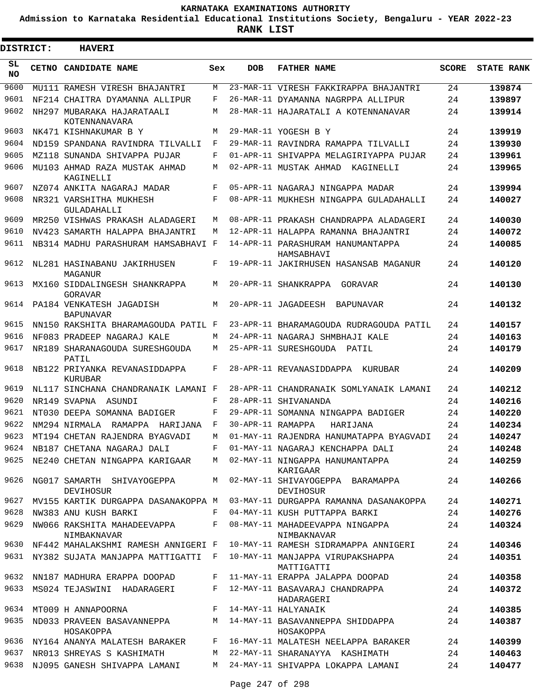**Admission to Karnataka Residential Educational Institutions Society, Bengaluru - YEAR 2022-23**

ı

| <b>DISTRICT:</b> | <b>HAVERI</b>                                                    |     |                   |                                                                              |              |                   |
|------------------|------------------------------------------------------------------|-----|-------------------|------------------------------------------------------------------------------|--------------|-------------------|
| SL<br><b>NO</b>  | CETNO CANDIDATE NAME                                             | Sex | <b>DOB</b>        | <b>FATHER NAME</b>                                                           | <b>SCORE</b> | <b>STATE RANK</b> |
| 9600             | MU111 RAMESH VIRESH BHAJANTRI                                    | M   |                   | 23-MAR-11 VIRESH FAKKIRAPPA BHAJANTRI                                        | 24           | 139874            |
| 9601             | NF214 CHAITRA DYAMANNA ALLIPUR                                   | F   |                   | 26-MAR-11 DYAMANNA NAGRPPA ALLIPUR                                           | 24           | 139897            |
| 9602             | NH297 MUBARAKA HAJARATAALI<br>KOTENNANAVARA                      | М   |                   | 28-MAR-11 HAJARATALI A KOTENNANAVAR                                          | 24           | 139914            |
| 9603             | NK471 KISHNAKUMAR B Y                                            | M   |                   | 29-MAR-11 YOGESH B Y                                                         | 24           | 139919            |
| 9604             | ND159 SPANDANA RAVINDRA TILVALLI                                 | F   |                   | 29-MAR-11 RAVINDRA RAMAPPA TILVALLI                                          | 24           | 139930            |
| 9605             | MZ118 SUNANDA SHIVAPPA PUJAR                                     | F   |                   | 01-APR-11 SHIVAPPA MELAGIRIYAPPA PUJAR                                       | 24           | 139961            |
| 9606             | MU103 AHMAD RAZA MUSTAK AHMAD<br>KAGINELLI                       | М   |                   | 02-APR-11 MUSTAK AHMAD<br>KAGINELLI                                          | 24           | 139965            |
| 9607             | NZ074 ANKITA NAGARAJ MADAR                                       | F   |                   | 05-APR-11 NAGARAJ NINGAPPA MADAR                                             | 24           | 139994            |
| 9608             | NR321 VARSHITHA MUKHESH<br>GULADAHALLI                           | F   |                   | 08-APR-11 MUKHESH NINGAPPA GULADAHALLI                                       | 24           | 140027            |
| 9609             | MR250 VISHWAS PRAKASH ALADAGERI                                  | М   |                   | 08-APR-11 PRAKASH CHANDRAPPA ALADAGERI                                       | 24           | 140030            |
| 9610             | NV423 SAMARTH HALAPPA BHAJANTRI                                  | М   |                   | 12-APR-11 HALAPPA RAMANNA BHAJANTRI                                          | 24           | 140072            |
| 9611             | NB314 MADHU PARASHURAM HAMSABHAVI F                              |     |                   | 14-APR-11 PARASHURAM HANUMANTAPPA<br>HAMSABHAVI                              | 24           | 140085            |
| 9612             | NL281 HASINABANU JAKIRHUSEN<br>MAGANUR                           | F   |                   | 19-APR-11 JAKIRHUSEN HASANSAB MAGANUR                                        | 24           | 140120            |
| 9613             | MX160 SIDDALINGESH SHANKRAPPA<br>GORAVAR                         | М   |                   | 20-APR-11 SHANKRAPPA<br>GORAVAR                                              | 24           | 140130            |
| 9614             | PA184 VENKATESH JAGADISH<br><b>BAPUNAVAR</b>                     | М   |                   | 20-APR-11 JAGADEESH<br>BAPUNAVAR                                             | 24           | 140132            |
| 9615             | NN150 RAKSHITA BHARAMAGOUDA PATIL F                              |     |                   | 23-APR-11 BHARAMAGOUDA RUDRAGOUDA PATIL                                      | 24           | 140157            |
| 9616             | NF083 PRADEEP NAGARAJ KALE                                       | М   |                   | 24-APR-11 NAGARAJ SHMBHAJI KALE                                              | 24           | 140163            |
| 9617             | NR189 SHARANAGOUDA SURESHGOUDA<br>PATIL                          | М   |                   | 25-APR-11 SURESHGOUDA PATIL                                                  | 24           | 140179            |
| 9618             | NB122 PRIYANKA REVANASIDDAPPA<br>KURUBAR                         | F   |                   | 28-APR-11 REVANASIDDAPPA<br>KURUBAR                                          | 24           | 140209            |
| 9619             | NL117 SINCHANA CHANDRANAIK LAMANI F                              |     |                   | 28-APR-11 CHANDRANAIK SOMLYANAIK LAMANI                                      | 24           | 140212            |
| 9620             | NR149 SVAPNA ASUNDI                                              | F   |                   | 28-APR-11 SHIVANANDA                                                         | 24           | 140216            |
| 9621             | NT030 DEEPA SOMANNA BADIGER                                      | F   |                   | 29-APR-11 SOMANNA NINGAPPA BADIGER                                           | 24           | 140220            |
| 9622             | NM294 NIRMALA RAMAPPA HARIJANA                                   | F   | 30-APR-11 RAMAPPA | HARIJANA                                                                     | 24           | 140234            |
| 9623             | MT194 CHETAN RAJENDRA BYAGVADI                                   | М   |                   | 01-MAY-11 RAJENDRA HANUMATAPPA BYAGVADI                                      | 24           | 140247            |
| 9624             | NB187 CHETANA NAGARAJ DALI                                       | F   |                   | 01-MAY-11 NAGARAJ KENCHAPPA DALI                                             | 24           | 140248            |
| 9625             | NE240 CHETAN NINGAPPA KARIGAAR M 02-MAY-11 NINGAPPA HANUMANTAPPA |     |                   | KARIGAAR                                                                     | 24           | 140259            |
| 9626             | NG017 SAMARTH SHIVAYOGEPPA<br>DEVIHOSUR                          |     |                   | M 02-MAY-11 SHIVAYOGEPPA BARAMAPPA<br>DEVIHOSUR                              | 24           | 140266            |
| 9627             |                                                                  |     |                   | MV155 KARTIK DURGAPPA DASANAKOPPA M 03-MAY-11 DURGAPPA RAMANNA DASANAKOPPA   | 24           | 140271            |
| 9628             | NW383 ANU KUSH BARKI                                             | F   |                   | 04-MAY-11 KUSH PUTTAPPA BARKI                                                | 24           | 140276            |
| 9629             | NIMBAKNAVAR                                                      |     |                   | NW066 RAKSHITA MAHADEEVAPPA F 08-MAY-11 MAHADEEVAPPA NINGAPPA<br>NIMBAKNAVAR | 24           | 140324            |
|                  | 9630 NF442 MAHALAKSHMI RAMESH ANNIGERI F                         |     |                   | 10-MAY-11 RAMESH SIDRAMAPPA ANNIGERI                                         | 24           | 140346            |
|                  | 9631 NY382 SUJATA MANJAPPA MATTIGATTI F                          |     |                   | 10-MAY-11 MANJAPPA VIRUPAKSHAPPA<br>MATTIGATTI                               | 24           | 140351            |
|                  | 9632 NN187 MADHURA ERAPPA DOOPAD                                 | F   |                   | 11-MAY-11 ERAPPA JALAPPA DOOPAD                                              | 24           | 140358            |
|                  | 9633 MS024 TEJASWINI HADARAGERI                                  |     |                   | F 12-MAY-11 BASAVARAJ CHANDRAPPA<br>HADARAGERI                               | 24           | 140372            |
|                  | 9634 MT009 H ANNAPOORNA                                          |     |                   | F 14-MAY-11 HALYANAIK                                                        | 24           | 140385            |
| 9635             | HOSAKOPPA                                                        |     |                   | ND033 PRAVEEN BASAVANNEPPA M 14-MAY-11 BASAVANNEPPA SHIDDAPPA<br>HOSAKOPPA   | 24           | 140387            |
|                  | 9636 NY164 ANANYA MALATESH BARAKER                               |     |                   | F 16-MAY-11 MALATESH NEELAPPA BARAKER                                        | 24           | 140399            |
| 9637             | NR013 SHREYAS S KASHIMATH                                        | M   |                   | 22-MAY-11 SHARANAYYA KASHIMATH                                               | 24           | 140463            |
| 9638             | NJ095 GANESH SHIVAPPA LAMANI                                     |     |                   | M   24-MAY-11  SHIVAPPA  LOKAPPA  LAMANI                                     | 24           | 140477            |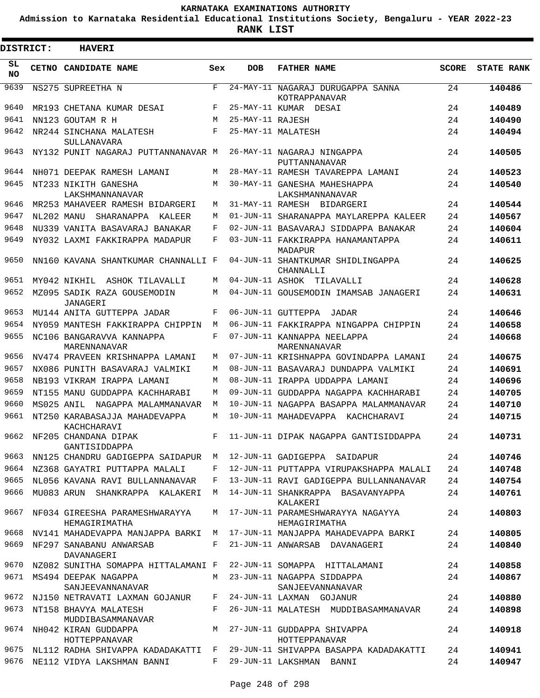**Admission to Karnataka Residential Educational Institutions Society, Bengaluru - YEAR 2022-23**

**RANK LIST**

| DISTRICT:       | <b>HAVERI</b>                                   |     |                  |                                                                           |              |                   |
|-----------------|-------------------------------------------------|-----|------------------|---------------------------------------------------------------------------|--------------|-------------------|
| SL<br><b>NO</b> | CETNO CANDIDATE NAME                            | Sex | <b>DOB</b>       | <b>FATHER NAME</b>                                                        | <b>SCORE</b> | <b>STATE RANK</b> |
| 9639            | NS275 SUPREETHA N                               | F   |                  | 24-MAY-11 NAGARAJ DURUGAPPA SANNA<br>KOTRAPPANAVAR                        | 24           | 140486            |
| 9640            | MR193 CHETANA KUMAR DESAI                       | F   |                  | 25-MAY-11 KUMAR DESAI                                                     | 24           | 140489            |
| 9641            | NN123 GOUTAM R H                                | M   | 25-MAY-11 RAJESH |                                                                           | 24           | 140490            |
| 9642            | NR244 SINCHANA MALATESH                         | F   |                  | 25-MAY-11 MALATESH                                                        | 24           | 140494            |
|                 | SULLANAVARA                                     |     |                  |                                                                           |              |                   |
| 9643            | NY132 PUNIT NAGARAJ PUTTANNANAVAR M             |     |                  | 26-MAY-11 NAGARAJ NINGAPPA<br>PUTTANNANAVAR                               | 24           | 140505            |
| 9644            | NH071 DEEPAK RAMESH LAMANI                      | М   |                  | 28-MAY-11 RAMESH TAVAREPPA LAMANI                                         | 24           | 140523            |
| 9645            | NT233 NIKITH GANESHA<br>LAKSHMANNANAVAR         | M   |                  | 30-MAY-11 GANESHA MAHESHAPPA<br>LAKSHMANNANAVAR                           | 24           | 140540            |
| 9646            | MR253 MAHAVEER RAMESH BIDARGERI                 | М   |                  | 31-MAY-11 RAMESH BIDARGERI                                                | 24           | 140544            |
| 9647            | NL202 MANU SHARANAPPA<br>KALEER                 | М   |                  | 01-JUN-11 SHARANAPPA MAYLAREPPA KALEER                                    | 24           | 140567            |
| 9648            | NU339 VANITA BASAVARAJ BANAKAR                  | F   |                  | 02-JUN-11 BASAVARAJ SIDDAPPA BANAKAR                                      | 24           | 140604            |
| 9649            | NY032 LAXMI FAKKIRAPPA MADAPUR                  | F   |                  | 03-JUN-11 FAKKIRAPPA HANAMANTAPPA<br>MADAPUR                              | 24           | 140611            |
| 9650            | NN160 KAVANA SHANTKUMAR CHANNALLI F             |     |                  | 04-JUN-11 SHANTKUMAR SHIDLINGAPPA<br>CHANNALLI                            | 24           | 140625            |
| 9651            | MY042 NIKHIL ASHOK TILAVALLI                    | М   |                  | 04-JUN-11 ASHOK TILAVALLI                                                 | 24           | 140628            |
| 9652            | MZ095 SADIK RAZA GOUSEMODIN<br>JANAGERI         | М   |                  | 04-JUN-11 GOUSEMODIN IMAMSAB JANAGERI                                     | 24           | 140631            |
| 9653            | MU144 ANITA GUTTEPPA JADAR                      | F   |                  | 06-JUN-11 GUTTEPPA JADAR                                                  | 24           | 140646            |
| 9654            | NY059 MANTESH FAKKIRAPPA CHIPPIN                | М   |                  | 06-JUN-11 FAKKIRAPPA NINGAPPA CHIPPIN                                     | 24           | 140658            |
| 9655            | NC106 BANGARAVVA KANNAPPA<br>MARENNANAVAR       | F   |                  | 07-JUN-11 KANNAPPA NEELAPPA<br>MARENNANAVAR                               | 24           | 140668            |
| 9656            | NV474 PRAVEEN KRISHNAPPA LAMANI                 | М   |                  | 07-JUN-11 KRISHNAPPA GOVINDAPPA LAMANI                                    | 24           | 140675            |
| 9657            | NX086 PUNITH BASAVARAJ VALMIKI                  | М   |                  | 08-JUN-11 BASAVARAJ DUNDAPPA VALMIKI                                      | 24           | 140691            |
| 9658            | NB193 VIKRAM IRAPPA LAMANI                      | М   |                  | 08-JUN-11 IRAPPA UDDAPPA LAMANI                                           | 24           | 140696            |
| 9659            | NT155 MANU GUDDAPPA KACHHARABI                  | М   |                  | 09-JUN-11 GUDDAPPA NAGAPPA KACHHARABI                                     | 24           | 140705            |
| 9660            | MS025 ANIL NAGAPPA MALAMMANAVAR                 | M   |                  | 10-JUN-11 NAGAPPA BASAPPA MALAMMANAVAR                                    | 24           | 140710            |
| 9661            | NT250 KARABASAJJA MAHADEVAPPA<br>KACHCHARAVI    | M   |                  | 10-JUN-11 MAHADEVAPPA KACHCHARAVI                                         | 24           | 140715            |
|                 | 9662 NF205 CHANDANA DIPAK<br>GANTISIDDAPPA      |     |                  | F 11-JUN-11 DIPAK NAGAPPA GANTISIDDAPPA                                   | 24           | 140731            |
| 9663            | NN125 CHANDRU GADIGEPPA SAIDAPUR M              |     |                  | 12-JUN-11 GADIGEPPA SAIDAPUR                                              | 24           | 140746            |
|                 | 9664 NZ368 GAYATRI PUTTAPPA MALALI              | F   |                  | 12-JUN-11 PUTTAPPA VIRUPAKSHAPPA MALALI                                   | 24           | 140748            |
| 9665            | NL056 KAVANA RAVI BULLANNANAVAR                 | F   |                  | 13-JUN-11 RAVI GADIGEPPA BULLANNANAVAR                                    | 24           | 140754            |
| 9666            | MU083 ARUN SHANKRAPPA KALAKERI                  | M   |                  | 14-JUN-11 SHANKRAPPA BASAVANYAPPA<br>KALAKERI                             | 24           | 140761            |
| 9667            | NF034 GIREESHA PARAMESHWARAYYA<br>HEMAGIRIMATHA | M   |                  | 17-JUN-11 PARAMESHWARAYYA NAGAYYA<br>HEMAGIRIMATHA                        | 24           | 140803            |
| 9668            |                                                 |     |                  | NV141 MAHADEVAPPA MANJAPPA BARKI  M  17-JUN-11 MANJAPPA MAHADEVAPPA BARKI | 24           | 140805            |
| 9669            | NF297 SANABANU ANWARSAB<br>DAVANAGERI           | F   |                  | 21-JUN-11 ANWARSAB DAVANAGERI                                             | 24           | 140840            |
| 9670            | NZ082 SUNITHA SOMAPPA HITTALAMANI F             |     |                  | 22-JUN-11 SOMAPPA HITTALAMANI                                             | 24           | 140858            |
| 9671            | MS494 DEEPAK NAGAPPA<br>SANJEEVANNANAVAR        |     |                  | M 23-JUN-11 NAGAPPA SIDDAPPA<br>SANJEEVANNANAVAR                          | 24           | 140867            |
| 9672            | NJ150 NETRAVATI LAXMAN GOJANUR                  |     |                  | F 24-JUN-11 LAXMAN GOJANUR                                                | 24           | 140880            |
| 9673            | NT158 BHAVYA MALATESH<br>MUDDIBASAMMANAVAR      | F   |                  | 26-JUN-11 MALATESH MUDDIBASAMMANAVAR                                      | 24           | 140898            |
| 9674            | NH042 KIRAN GUDDAPPA<br>HOTTEPPANAVAR           |     |                  | M 27-JUN-11 GUDDAPPA SHIVAPPA<br>HOTTEPPANAVAR                            | 24           | 140918            |
| 9675            |                                                 |     |                  | NL112 RADHA SHIVAPPA KADADAKATTI F 29-JUN-11 SHIVAPPA BASAPPA KADADAKATTI | 24           | 140941            |
| 9676            | NE112 VIDYA LAKSHMAN BANNI                      |     |                  | F 29-JUN-11 LAKSHMAN BANNI                                                | 24           | 140947            |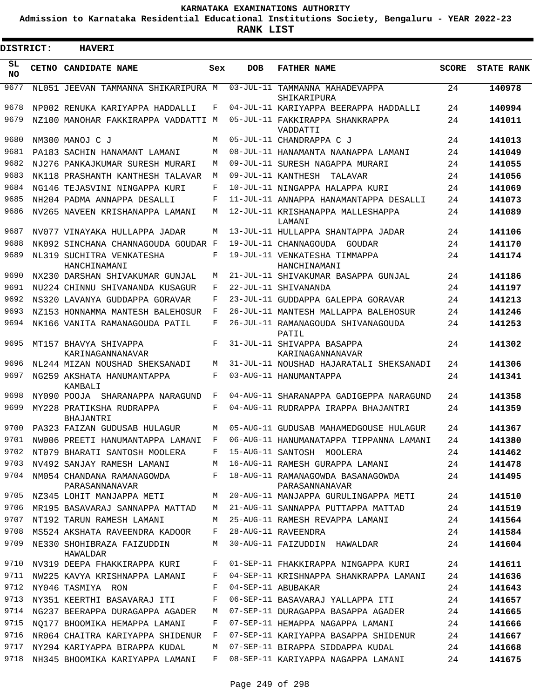**Admission to Karnataka Residential Educational Institutions Society, Bengaluru - YEAR 2022-23**

 $\blacksquare$ 

| <b>DISTRICT:</b> | <b>HAVERI</b>                                     |     |                 |                                                     |              |                   |
|------------------|---------------------------------------------------|-----|-----------------|-----------------------------------------------------|--------------|-------------------|
| SL<br>NO.        | CETNO CANDIDATE NAME                              | Sex | <b>DOB</b>      | <b>FATHER NAME</b>                                  | <b>SCORE</b> | <b>STATE RANK</b> |
| 9677             | NL051 JEEVAN TAMMANNA SHIKARIPURA M               |     | $03 - JUL - 11$ | TAMMANNA MAHADEVAPPA<br>SHIKARIPURA                 | 24           | 140978            |
| 9678             | NP002 RENUKA KARIYAPPA HADDALLI                   | F   |                 | 04-JUL-11 KARIYAPPA BEERAPPA HADDALLI               | 24           | 140994            |
| 9679             | NZ100 MANOHAR FAKKIRAPPA VADDATTI M               |     |                 | 05-JUL-11 FAKKIRAPPA SHANKRAPPA<br>VADDATTI         | 24           | 141011            |
| 9680             | NM300 MANOJ C J                                   | M   |                 | 05-JUL-11 CHANDRAPPA C J                            | 24           | 141013            |
| 9681             | PA183 SACHIN HANAMANT LAMANI                      | М   |                 | 08-JUL-11 HANAMANTA NAANAPPA LAMANI                 | 24           | 141049            |
| 9682             | NJ276 PANKAJKUMAR SURESH MURARI                   | M   |                 | 09-JUL-11 SURESH NAGAPPA MURARI                     | 24           | 141055            |
| 9683             | NK118 PRASHANTH KANTHESH TALAVAR                  | М   |                 | 09-JUL-11 KANTHESH<br>TALAVAR                       | 24           | 141056            |
| 9684             | NG146 TEJASVINI NINGAPPA KURI                     | F   |                 | 10-JUL-11 NINGAPPA HALAPPA KURI                     | 24           | 141069            |
| 9685             | NH204 PADMA ANNAPPA DESALLI                       | F   |                 | 11-JUL-11 ANNAPPA HANAMANTAPPA DESALLI              | 24           | 141073            |
| 9686             | NV265 NAVEEN KRISHANAPPA LAMANI                   | M   |                 | 12-JUL-11 KRISHANAPPA MALLESHAPPA<br>LAMANI         | 24           | 141089            |
| 9687             | NV077 VINAYAKA HULLAPPA JADAR                     | М   |                 | 13-JUL-11 HULLAPPA SHANTAPPA JADAR                  | 24           | 141106            |
| 9688             | NK092 SINCHANA CHANNAGOUDA GOUDAR F               |     |                 | 19-JUL-11 CHANNAGOUDA GOUDAR                        | 24           | 141170            |
| 9689             | NL319 SUCHITRA VENKATESHA<br>HANCHINAMANI         | F   |                 | 19-JUL-11 VENKATESHA TIMMAPPA<br>HANCHINAMANI       | 24           | 141174            |
| 9690             | NX230 DARSHAN SHIVAKUMAR GUNJAL                   | М   |                 | 21-JUL-11 SHIVAKUMAR BASAPPA GUNJAL                 | 24           | 141186            |
| 9691             | NU224 CHINNU SHIVANANDA KUSAGUR                   | F   |                 | 22-JUL-11 SHIVANANDA                                | 24           | 141197            |
| 9692             | NS320 LAVANYA GUDDAPPA GORAVAR                    | F   |                 | 23-JUL-11 GUDDAPPA GALEPPA GORAVAR                  | 24           | 141213            |
| 9693             | NZ153 HONNAMMA MANTESH BALEHOSUR                  | F   |                 | 26-JUL-11 MANTESH MALLAPPA BALEHOSUR                | 24           | 141246            |
| 9694             | NK166 VANITA RAMANAGOUDA PATIL                    | F   |                 | 26-JUL-11 RAMANAGOUDA SHIVANAGOUDA<br>PATIL         | 24           | 141253            |
| 9695             | MT157 BHAVYA SHIVAPPA<br>KARINAGANNANAVAR         | F   |                 | 31-JUL-11 SHIVAPPA BASAPPA<br>KARINAGANNANAVAR      | 24           | 141302            |
| 9696             | NL244 MIZAN NOUSHAD SHEKSANADI                    | М   |                 | 31-JUL-11 NOUSHAD HAJARATALI SHEKSANADI             | 24           | 141306            |
| 9697             | NG259 AKSHATA HANUMANTAPPA<br>KAMBALI             | F   |                 | 03-AUG-11 HANUMANTAPPA                              | 24           | 141341            |
| 9698             | NY090 POOJA SHARANAPPA NARAGUND                   | F   |                 | 04-AUG-11 SHARANAPPA GADIGEPPA NARAGUND             | 24           | 141358            |
| 9699             | MY228 PRATIKSHA RUDRAPPA<br>BHAJANTRI             | F   |                 | 04-AUG-11 RUDRAPPA IRAPPA BHAJANTRI                 | 24           | 141359            |
| 9700             | PA323 FAIZAN GUDUSAB HULAGUR                      | М   |                 | 05-AUG-11 GUDUSAB MAHAMEDGOUSE HULAGUR              | 24           | 141367            |
| 9701             | NW006 PREETI HANUMANTAPPA LAMANI                  |     |                 | F 06-AUG-11 HANUMANATAPPA TIPPANNA LAMANI           | 24           | 141380            |
| 9702             | NT079 BHARATI SANTOSH MOOLERA                     | F   |                 | 15-AUG-11 SANTOSH MOOLERA                           | 24           | 141462            |
| 9703             | NV492 SANJAY RAMESH LAMANI                        | М   |                 | 16-AUG-11 RAMESH GURAPPA LAMANI                     | 24           | 141478            |
|                  | 9704 NM054 CHANDANA RAMANAGOWDA<br>PARASANNANAVAR | F   |                 | 18-AUG-11 RAMANAGOWDA BASANAGOWDA<br>PARASANNANAVAR | 24           | 141495            |
| 9705             | NZ345 LOHIT MANJAPPA METI                         | М   |                 | 20-AUG-11 MANJAPPA GURULINGAPPA METI                | 24           | 141510            |
| 9706             | MR195 BASAVARAJ SANNAPPA MATTAD                   | M   |                 | 21-AUG-11 SANNAPPA PUTTAPPA MATTAD                  | 24           | 141519            |
| 9707             | NT192 TARUN RAMESH LAMANI                         | М   |                 | 25-AUG-11 RAMESH REVAPPA LAMANI                     | 24           | 141564            |
| 9708             | MS524 AKSHATA RAVEENDRA KADOOR                    | F   |                 | 28-AUG-11 RAVEENDRA                                 | 24           | 141584            |
| 9709             | NE330 SHOHIBRAZA FAIZUDDIN<br>HAWALDAR            | М   |                 | 30-AUG-11 FAIZUDDIN HAWALDAR                        | 24           | 141604            |
| 9710             | NV319 DEEPA FHAKKIRAPPA KURI                      | F   |                 | 01-SEP-11 FHAKKIRAPPA NINGAPPA KURI                 | 24           | 141611            |
| 9711             | NW225 KAVYA KRISHNAPPA LAMANI                     | F   |                 | 04-SEP-11 KRISHNAPPA SHANKRAPPA LAMANI              | 24           | 141636            |
| 9712             | NY046 TASMIYA RON                                 | F   |                 | 04-SEP-11 ABUBAKAR                                  | 24           | 141643            |
| 9713             | NY351 KEERTHI BASAVARAJ ITI                       | F   |                 | 06-SEP-11 BASAVARAJ YALLAPPA ITI                    | 24           | 141657            |
| 9714             | NG237 BEERAPPA DURAGAPPA AGADER                   | М   |                 | 07-SEP-11 DURAGAPPA BASAPPA AGADER                  | 24           | 141665            |
| 9715             | NO177 BHOOMIKA HEMAPPA LAMANI                     | F   |                 | 07-SEP-11 HEMAPPA NAGAPPA LAMANI                    | 24           | 141666            |
| 9716             | NR064 CHAITRA KARIYAPPA SHIDENUR                  | F   |                 | 07-SEP-11 KARIYAPPA BASAPPA SHIDENUR                | 24           | 141667            |
| 9717             | NY294 KARIYAPPA BIRAPPA KUDAL                     | М   |                 | 07-SEP-11 BIRAPPA SIDDAPPA KUDAL                    | 24           | 141668            |
| 9718             | NH345 BHOOMIKA KARIYAPPA LAMANI                   | F   |                 | 08-SEP-11 KARIYAPPA NAGAPPA LAMANI                  | 24           | 141675            |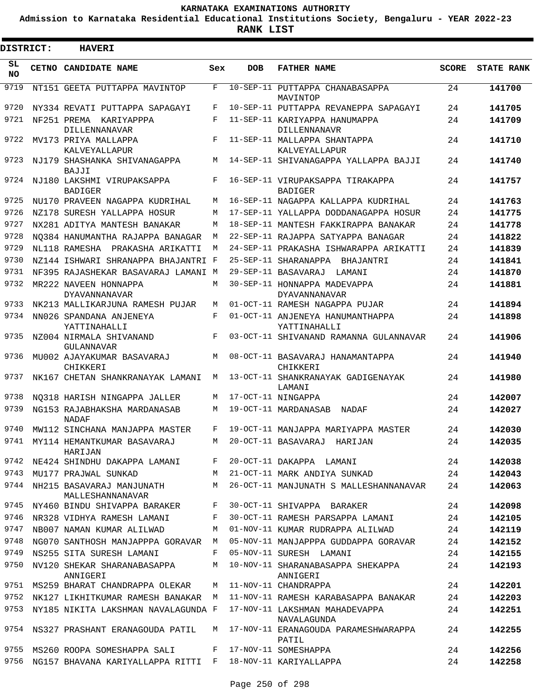**Admission to Karnataka Residential Educational Institutions Society, Bengaluru - YEAR 2022-23**

 $\blacksquare$ 

**RANK LIST**

Е

| <b>DISTRICT:</b> | <b>HAVERI</b>                                 |            |            |                                                      |              |                   |
|------------------|-----------------------------------------------|------------|------------|------------------------------------------------------|--------------|-------------------|
| SL<br>NO.        | <b>CETNO CANDIDATE NAME</b>                   | Sex        | <b>DOB</b> | <b>FATHER NAME</b>                                   | <b>SCORE</b> | <b>STATE RANK</b> |
| 9719             | NT151 GEETA PUTTAPPA MAVINTOP                 | F          |            | 10-SEP-11 PUTTAPPA CHANABASAPPA<br>MAVINTOP          | 24           | 141700            |
| 9720             | NY334 REVATI PUTTAPPA SAPAGAYI                | F          |            | 10-SEP-11 PUTTAPPA REVANEPPA SAPAGAYI                | 24           | 141705            |
| 9721             | NF251 PREMA KARIYAPPPA<br>DILLENNANAVAR       | $_{\rm F}$ |            | 11-SEP-11 KARIYAPPA HANUMAPPA<br><b>DILLENNANAVR</b> | 24           | 141709            |
| 9722             | MV173 PRIYA MALLAPPA<br>KALVEYALLAPUR         | F          |            | 11-SEP-11 MALLAPPA SHANTAPPA<br>KALVEYALLAPUR        | 24           | 141710            |
| 9723             | NJ179 SHASHANKA SHIVANAGAPPA<br><b>BAJJI</b>  | M          |            | 14-SEP-11 SHIVANAGAPPA YALLAPPA BAJJI                | 24           | 141740            |
| 9724             | NJ180 LAKSHMI VIRUPAKSAPPA<br><b>BADIGER</b>  | $_{\rm F}$ |            | 16-SEP-11 VIRUPAKSAPPA TIRAKAPPA<br><b>BADIGER</b>   | 24           | 141757            |
| 9725             | NU170 PRAVEEN NAGAPPA KUDRIHAL                | M          |            | 16-SEP-11 NAGAPPA KALLAPPA KUDRIHAL                  | 24           | 141763            |
| 9726             | NZ178 SURESH YALLAPPA HOSUR                   | M          |            | 17-SEP-11 YALLAPPA DODDANAGAPPA HOSUR                | 24           | 141775            |
| 9727             | NX281 ADITYA MANTESH BANAKAR                  | M          |            | 18-SEP-11 MANTESH FAKKIRAPPA BANAKAR                 | 24           | 141778            |
| 9728             | NO384 HANUMANTHA RAJAPPA BANAGAR              | M          |            | 22-SEP-11 RAJAPPA SATYAPPA BANAGAR                   | 24           | 141822            |
| 9729             | NL118 RAMESHA<br>PRAKASHA ARIKATTI            | M          |            | 24-SEP-11 PRAKASHA ISHWARAPPA ARIKATTI               | 24           | 141839            |
| 9730             | NZ144 ISHWARI SHRANAPPA BHAJANTRI F           |            |            | 25-SEP-11 SHARANAPPA<br>BHAJANTRI                    | 24           | 141841            |
| 9731             | NF395 RAJASHEKAR BASAVARAJ LAMANI M           |            |            | 29-SEP-11 BASAVARAJ<br>LAMANI                        | 24           | 141870            |
| 9732             | MR222 NAVEEN HONNAPPA<br><b>DYAVANNANAVAR</b> | M          |            | 30-SEP-11 HONNAPPA MADEVAPPA<br>DYAVANNANAVAR        | 24           | 141881            |
| 9733             | NK213 MALLIKARJUNA RAMESH PUJAR               | M          |            | 01-OCT-11 RAMESH NAGAPPA PUJAR                       | 24           | 141894            |
| 9734             | NN026 SPANDANA ANJENEYA<br>YATTINAHALLI       | F          |            | 01-OCT-11 ANJENEYA HANUMANTHAPPA<br>YATTINAHALLI     | 24           | 141898            |
| 9735             | NZ004 NIRMALA SHIVANAND<br>GULANNAVAR         | $_{\rm F}$ |            | 03-OCT-11 SHIVANAND RAMANNA GULANNAVAR               | 24           | 141906            |
| 9736             | MU002 AJAYAKUMAR BASAVARAJ<br>CHIKKERI        | M          |            | 08-OCT-11 BASAVARAJ HANAMANTAPPA<br>CHIKKERI         | 24           | 141940            |
| 9737             | NK167 CHETAN SHANKRANAYAK LAMANI              | M          |            | 13-OCT-11 SHANKRANAYAK GADIGENAYAK<br>LAMANI         | 24           | 141980            |
| 9738             | NO318 HARISH NINGAPPA JALLER                  | M          |            | 17-OCT-11 NINGAPPA                                   | 24           | 142007            |
| 9739             | NG153 RAJABHAKSHA MARDANASAB<br><b>NADAF</b>  | M          |            | 19-OCT-11 MARDANASAB<br>NADAF                        | 24           | 142027            |
| 9740             | MW112 SINCHANA MANJAPPA MASTER                | F          |            | 19-OCT-11 MANJAPPA MARIYAPPA MASTER                  | 24           | 142030            |
| 9741             | MY114 HEMANTKUMAR BASAVARAJ<br>HARIJAN        | M          |            | 20-OCT-11 BASAVARAJ HARIJAN                          | 24           | 142035            |
| 9742             | NE424 SHINDHU DAKAPPA LAMANI                  | F          |            | 20-OCT-11 DAKAPPA LAMANI                             | 24           | 142038            |
| 9743             | MU177 PRAJWAL SUNKAD                          | M          |            | 21-OCT-11 MARK ANDIYA SUNKAD                         | 24           | 142043            |
| 9744             | NH215 BASAVARAJ MANJUNATH<br>MALLESHANNANAVAR | M          |            | 26-OCT-11 MANJUNATH S MALLESHANNANAVAR               | 24           | 142063            |
| 9745             | NY460 BINDU SHIVAPPA BARAKER                  | F          |            | 30-OCT-11 SHIVAPPA BARAKER                           | 24           | 142098            |
| 9746             | NR328 VIDHYA RAMESH LAMANI                    | F          |            | 30-OCT-11 RAMESH PARSAPPA LAMANI                     | 24           | 142105            |
| 9747             | NB007 NAMAN KUMAR ALILWAD                     | M          |            | 01-NOV-11 KUMAR RUDRAPPA ALILWAD                     | 24           | 142119            |
| 9748             | NG070 SANTHOSH MANJAPPPA GORAVAR M            |            |            | 05-NOV-11 MANJAPPPA GUDDAPPA GORAVAR                 | 24           | 142152            |
| 9749             | NS255 SITA SURESH LAMANI                      | F          |            | 05-NOV-11 SURESH LAMANI                              | 24           | 142155            |
| 9750             | NV120 SHEKAR SHARANABASAPPA<br>ANNIGERI       | М          |            | 10-NOV-11 SHARANABASAPPA SHEKAPPA<br>ANNIGERI        | 24           | 142193            |
| 9751             | MS259 BHARAT CHANDRAPPA OLEKAR                | М          |            | 11-NOV-11 CHANDRAPPA                                 | 24           | 142201            |
| 9752             | NK127 LIKHITKUMAR RAMESH BANAKAR M            |            |            | 11-NOV-11 RAMESH KARABASAPPA BANAKAR                 | 24           | 142203            |
| 9753             | NY185 NIKITA LAKSHMAN NAVALAGUNDA F           |            |            | 17-NOV-11 LAKSHMAN MAHADEVAPPA<br>NAVALAGUNDA        | 24           | 142251            |
| 9754             | NS327 PRASHANT ERANAGOUDA PATIL               | M          |            | 17-NOV-11 ERANAGOUDA PARAMESHWARAPPA<br>PATIL        | 24           | 142255            |
| 9755             | MS260 ROOPA SOMESHAPPA SALI                   | F          |            | 17-NOV-11 SOMESHAPPA                                 | 24           | 142256            |
| 9756             | NG157 BHAVANA KARIYALLAPPA RITTI F            |            |            | 18-NOV-11 KARIYALLAPPA                               | 24           | 142258            |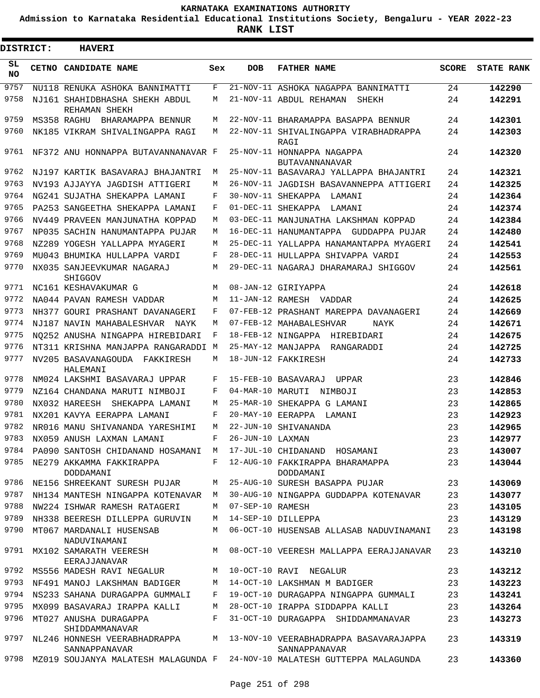**Admission to Karnataka Residential Educational Institutions Society, Bengaluru - YEAR 2022-23**

ı

| <b>DISTRICT:</b> | <b>HAVERI</b>                                                        |     |                  |                                                                                |              |                   |
|------------------|----------------------------------------------------------------------|-----|------------------|--------------------------------------------------------------------------------|--------------|-------------------|
| SL<br><b>NO</b>  | CETNO CANDIDATE NAME                                                 | Sex | <b>DOB</b>       | <b>FATHER NAME</b>                                                             | <b>SCORE</b> | <b>STATE RANK</b> |
| 9757             | NU118 RENUKA ASHOKA BANNIMATTI                                       | F   |                  | 21-NOV-11 ASHOKA NAGAPPA BANNIMATTI                                            | 24           | 142290            |
| 9758             | NJ161 SHAHIDBHASHA SHEKH ABDUL<br>REHAMAN SHEKH                      | М   |                  | 21-NOV-11 ABDUL REHAMAN<br>SHEKH                                               | 24           | 142291            |
| 9759             | MS358 RAGHU<br>BHARAMAPPA BENNUR                                     | М   |                  | 22-NOV-11 BHARAMAPPA BASAPPA BENNUR                                            | 24           | 142301            |
| 9760             | NK185 VIKRAM SHIVALINGAPPA RAGI                                      | М   |                  | 22-NOV-11 SHIVALINGAPPA VIRABHADRAPPA<br>RAGI                                  | 24           | 142303            |
| 9761             | NF372 ANU HONNAPPA BUTAVANNANAVAR F                                  |     |                  | 25-NOV-11 HONNAPPA NAGAPPA<br><b>BUTAVANNANAVAR</b>                            | 24           | 142320            |
| 9762             | NJ197 KARTIK BASAVARAJ BHAJANTRI                                     | М   |                  | 25-NOV-11 BASAVARAJ YALLAPPA BHAJANTRI                                         | 24           | 142321            |
| 9763             | NV193 AJJAYYA JAGDISH ATTIGERI                                       | М   |                  | 26-NOV-11 JAGDISH BASAVANNEPPA ATTIGERI                                        | 24           | 142325            |
| 9764             | NG241 SUJATHA SHEKAPPA LAMANI                                        | F   |                  | 30-NOV-11 SHEKAPPA<br>LAMANI                                                   | 24           | 142364            |
| 9765             | PA253 SANGEETHA SHEKAPPA LAMANI                                      | F   |                  | 01-DEC-11 SHEKAPPA<br>LAMANI                                                   | 24           | 142374            |
| 9766             | NV449 PRAVEEN MANJUNATHA KOPPAD                                      | М   |                  | 03-DEC-11 MANJUNATHA LAKSHMAN KOPPAD                                           | 24           | 142384            |
| 9767             | NP035 SACHIN HANUMANTAPPA PUJAR                                      | М   |                  | 16-DEC-11 HANUMANTAPPA GUDDAPPA PUJAR                                          | 24           | 142480            |
| 9768             | NZ289 YOGESH YALLAPPA MYAGERI                                        | М   |                  | 25-DEC-11 YALLAPPA HANAMANTAPPA MYAGERI                                        | 24           | 142541            |
| 9769             | MU043 BHUMIKA HULLAPPA VARDI                                         | F   |                  | 28-DEC-11 HULLAPPA SHIVAPPA VARDI                                              | 24           | 142553            |
| 9770             | NX035 SANJEEVKUMAR NAGARAJ<br>SHIGGOV                                | М   |                  | 29-DEC-11 NAGARAJ DHARAMARAJ SHIGGOV                                           | 24           | 142561            |
| 9771             | NC161 KESHAVAKUMAR G                                                 | М   |                  | 08-JAN-12 GIRIYAPPA                                                            | 24           | 142618            |
| 9772             | NA044 PAVAN RAMESH VADDAR                                            | М   |                  | 11-JAN-12 RAMESH VADDAR                                                        | 24           | 142625            |
| 9773             | NH377 GOURI PRASHANT DAVANAGERI                                      | F   |                  | 07-FEB-12 PRASHANT MAREPPA DAVANAGERI                                          | 24           | 142669            |
| 9774             | NJ187 NAVIN MAHABALESHVAR NAYK                                       | М   |                  | 07-FEB-12 MAHABALESHVAR<br>NAYK                                                | 24           | 142671            |
| 9775             | NO252 ANUSHA NINGAPPA HIREBIDARI                                     | F   |                  | 18-FEB-12 NINGAPPA HIREBIDARI                                                  | 24           | 142675            |
| 9776             | NT311 KRISHNA MANJAPPA RANGARADDI M                                  |     |                  | 25-MAY-12 MANJAPPA RANGARADDI                                                  | 24           | 142725            |
| 9777             | NV205 BASAVANAGOUDA FAKKIRESH<br>HALEMANI                            | М   |                  | 18-JUN-12 FAKKIRESH                                                            | 24           | 142733            |
| 9778             | NM024 LAKSHMI BASAVARAJ UPPAR                                        | F   |                  | 15-FEB-10 BASAVARAJ<br>UPPAR                                                   | 23           | 142846            |
| 9779             | NZ164 CHANDANA MARUTI NIMBOJI                                        | F   | 04-MAR-10 MARUTI | NIMBOJI                                                                        | 23           | 142853            |
| 9780             | NX032 HAREESH SHEKAPPA LAMANI                                        | М   |                  | 25-MAR-10 SHEKAPPA G LAMANI                                                    | 23           | 142865            |
| 9781             | NX201 KAVYA EERAPPA LAMANI                                           | F   |                  | 20-MAY-10 EERAPPA LAMANI                                                       | 23           | 142923            |
| 9782             | NR016 MANU SHIVANANDA YARESHIMI                                      | M   |                  | 22-JUN-10 SHIVANANDA                                                           | 23           | 142965            |
| 9783             | NX059 ANUSH LAXMAN LAMANI                                            | F   | 26-JUN-10 LAXMAN |                                                                                | 23           | 142977            |
|                  | 9784 PA090 SANTOSH CHIDANAND HOSAMANI M 17-JUL-10 CHIDANAND HOSAMANI |     |                  |                                                                                | 23           | 143007            |
|                  | 9785 NE279 AKKAMMA FAKKIRAPPA<br>DODDAMANI                           |     |                  | F 12-AUG-10 FAKKIRAPPA BHARAMAPPA<br>DODDAMANI                                 | 23           | 143044            |
|                  | 9786 NE156 SHREEKANT SURESH PUJAR                                    |     |                  | M 25-AUG-10 SURESH BASAPPA PUJAR                                               | 23           | 143069            |
| 9787             | NH134 MANTESH NINGAPPA KOTENAVAR M                                   |     |                  | 30-AUG-10 NINGAPPA GUDDAPPA KOTENAVAR                                          | 23           | 143077            |
| 9788             | NW224 ISHWAR RAMESH RATAGERI                                         | M   | 07-SEP-10 RAMESH |                                                                                | 23           | 143105            |
| 9789             | NH338 BEERESH DILLEPPA GURUVIN                                       | M   |                  | 14-SEP-10 DILLEPPA                                                             | 23           | 143129            |
| 9790             | MT067 MARDANALI HUSENSAB<br>NADUVINAMANI                             | M   |                  | 06-OCT-10 HUSENSAB ALLASAB NADUVINAMANI                                        | 23           | 143198            |
| 9791             | EERAJJANAVAR                                                         |     |                  | MX102 SAMARATH VEERESH M 08-OCT-10 VEERESH MALLAPPA EERAJJANAVAR               | 23           | 143210            |
|                  | 9792 MS556 MADESH RAVI NEGALUR M 10-OCT-10 RAVI NEGALUR              |     |                  |                                                                                | 23           | 143212            |
|                  | 9793 NF491 MANOJ LAKSHMAN BADIGER M                                  |     |                  | 14-OCT-10 LAKSHMAN M BADIGER                                                   | 23           | 143223            |
|                  | 9794 NS233 SAHANA DURAGAPPA GUMMALI                                  | F   |                  | 19-OCT-10 DURAGAPPA NINGAPPA GUMMALI                                           | 23           | 143241            |
| 9795             | MX099 BASAVARAJ IRAPPA KALLI                                         | M   |                  | 28-OCT-10 IRAPPA SIDDAPPA KALLI                                                | 23           | 143264            |
| 9796             | MT027 ANUSHA DURAGAPPA<br>SHIDDAMMANAVAR                             | F   |                  | 31-OCT-10 DURAGAPPA SHIDDAMMANAVAR                                             | 23           | 143273            |
| 9797             | NL246 HONNESH VEERABHADRAPPA<br>SANNAPPANAVAR                        |     |                  | M 13-NOV-10 VEERABHADRAPPA BASAVARAJAPPA<br>SANNAPPANAVAR                      | 23           | 143319            |
|                  |                                                                      |     |                  | 9798 MZ019 SOUJANYA MALATESH MALAGUNDA F 24-NOV-10 MALATESH GUTTEPPA MALAGUNDA | 23           | 143360            |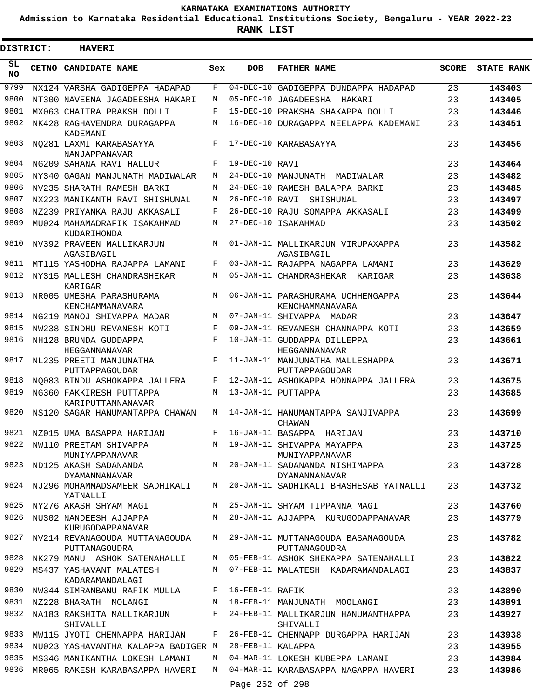**Admission to Karnataka Residential Educational Institutions Society, Bengaluru - YEAR 2022-23**

**RANK LIST**

| <b>DISTRICT:</b> | <b>HAVERI</b>                                                       |     |                 |                                                                                           |              |                   |
|------------------|---------------------------------------------------------------------|-----|-----------------|-------------------------------------------------------------------------------------------|--------------|-------------------|
| SL<br><b>NO</b>  | CETNO CANDIDATE NAME                                                | Sex | <b>DOB</b>      | <b>FATHER NAME</b>                                                                        | <b>SCORE</b> | <b>STATE RANK</b> |
| 9799             | NX124 VARSHA GADIGEPPA HADAPAD                                      | F   |                 | 04-DEC-10 GADIGEPPA DUNDAPPA HADAPAD                                                      | 23           | 143403            |
| 9800             | NT300 NAVEENA JAGADEESHA HAKARI                                     | М   |                 | 05-DEC-10 JAGADEESHA HAKARI                                                               | 23           | 143405            |
| 9801             | MX063 CHAITRA PRAKSH DOLLI                                          | F   |                 | 15-DEC-10 PRAKSHA SHAKAPPA DOLLI                                                          | 23           | 143446            |
| 9802             | NK428 RAGHAVENDRA DURAGAPPA<br>KADEMANI                             | М   |                 | 16-DEC-10 DURAGAPPA NEELAPPA KADEMANI                                                     | 23           | 143451            |
| 9803             | NO281 LAXMI KARABASAYYA<br>NANJAPPANAVAR                            | F   |                 | 17-DEC-10 KARABASAYYA                                                                     | 23           | 143456            |
| 9804             | NG209 SAHANA RAVI HALLUR                                            | F   | 19-DEC-10 RAVI  |                                                                                           | 23           | 143464            |
| 9805             | NY340 GAGAN MANJUNATH MADIWALAR                                     | М   |                 | 24-DEC-10 MANJUNATH MADIWALAR                                                             | 23           | 143482            |
| 9806             | NV235 SHARATH RAMESH BARKI                                          | М   |                 | 24-DEC-10 RAMESH BALAPPA BARKI                                                            | 23           | 143485            |
| 9807             | NX223 MANIKANTH RAVI SHISHUNAL                                      | М   | 26-DEC-10 RAVI  | SHISHUNAL                                                                                 | 23           | 143497            |
| 9808             | NZ239 PRIYANKA RAJU AKKASALI                                        | F   |                 | 26-DEC-10 RAJU SOMAPPA AKKASALI                                                           | 23           | 143499            |
| 9809             | MU024 MAHAMADRAFIK ISAKAHMAD<br>KUDARIHONDA                         | М   |                 | 27-DEC-10 ISAKAHMAD                                                                       | 23           | 143502            |
| 9810             | NV392 PRAVEEN MALLIKARJUN<br>AGASIBAGIL                             | М   |                 | 01-JAN-11 MALLIKARJUN VIRUPAXAPPA<br>AGASIBAGIL                                           | 23           | 143582            |
| 9811             | MT115 YASHODHA RAJAPPA LAMANI                                       | F   |                 | 03-JAN-11 RAJAPPA NAGAPPA LAMANI                                                          | 23           | 143629            |
| 9812             | NY315 MALLESH CHANDRASHEKAR<br>KARIGAR                              | М   |                 | 05-JAN-11 CHANDRASHEKAR KARIGAR                                                           | 23           | 143638            |
| 9813             | NR005 UMESHA PARASHURAMA<br>KENCHAMMANAVARA                         | M   |                 | 06-JAN-11 PARASHURAMA UCHHENGAPPA<br>KENCHAMMANAVARA                                      | 23           | 143644            |
| 9814             | NG219 MANOJ SHIVAPPA MADAR                                          | М   |                 | 07-JAN-11 SHIVAPPA MADAR                                                                  | 23           | 143647            |
| 9815             | NW238 SINDHU REVANESH KOTI                                          | F   |                 | 09-JAN-11 REVANESH CHANNAPPA KOTI                                                         | 23           | 143659            |
| 9816             | NH128 BRUNDA GUDDAPPA<br>HEGGANNANAVAR                              | F   |                 | 10-JAN-11 GUDDAPPA DILLEPPA<br>HEGGANNANAVAR                                              | 23           | 143661            |
| 9817             | NL235 PREETI MANJUNATHA<br>PUTTAPPAGOUDAR                           | F   |                 | 11-JAN-11 MANJUNATHA MALLESHAPPA<br>PUTTAPPAGOUDAR                                        | 23           | 143671            |
| 9818             | NO083 BINDU ASHOKAPPA JALLERA                                       | F   |                 | 12-JAN-11 ASHOKAPPA HONNAPPA JALLERA                                                      | 23           | 143675            |
| 9819             | NG360 FAKKIRESH PUTTAPPA<br>KARIPUTTANNANAVAR                       | М   |                 | 13-JAN-11 PUTTAPPA                                                                        | 23           | 143685            |
| 9820             | NS120 SAGAR HANUMANTAPPA CHAWAN                                     | М   |                 | 14-JAN-11 HANUMANTAPPA SANJIVAPPA<br>CHAWAN                                               | 23           | 143699            |
| 9821             | NZ015 UMA BASAPPA HARIJAN                                           | F   |                 | 16-JAN-11 BASAPPA HARIJAN                                                                 | 23           | 143710            |
|                  | 9822 NW110 PREETAM SHIVAPPA<br>MUNIYAPPANAVAR                       |     |                 | M 19-JAN-11 SHIVAPPA MAYAPPA<br>MUNIYAPPANAVAR                                            | 23           | 143725            |
|                  | <b>DYAMANNANAVAR</b>                                                |     |                 | 9823 ND125 AKASH SADANANDA MARAM MARAMANI MARAMANDA NISHIMAPPA<br><b>DYAMANNANAVAR</b>    | 23           | 143728            |
|                  | YATNALLI                                                            |     |                 | 9824 NJ296 MOHAMMADSAMEER SADHIKALI M 20-JAN-11 SADHIKALI BHASHESAB YATNALLI              | 23           | 143732            |
|                  | 9825 NY276 AKASH SHYAM MAGI MAGI MARI 25-JAN-11 SHYAM TIPPANNA MAGI |     |                 |                                                                                           | 23           | 143760            |
|                  | KURUGODAPPANAVAR                                                    |     |                 | 9826 NU302 NANDEESH AJJAPPA M 28-JAN-11 AJJAPPA KURUGODAPPANAVAR                          | 23           | 143779            |
|                  | PUTTANAGOUDRA                                                       |     |                 | 9827 NV214 REVANAGOUDA MUTTANAGOUDA M 29-JAN-11 MUTTANAGOUDA BASANAGOUDA<br>PUTTANAGOUDRA | 23           | 143782            |
|                  |                                                                     |     |                 | 9828 NK279 MANU ASHOK SATENAHALLI M 05-FEB-11 ASHOK SHEKAPPA SATENAHALLI                  | 23           | 143822            |
|                  | 9829 MS437 YASHAVANT MALATESH<br>KADARAMANDALAGI                    |     |                 | M 07-FEB-11 MALATESH KADARAMANDALAGI                                                      | 23           | 143837            |
|                  | 9830 NW344 SIMRANBANU RAFIK MULLA F 16-FEB-11 RAFIK                 |     |                 |                                                                                           | 23           | 143890            |
| 9831             | NZ228 BHARATH MOLANGI                                               |     |                 | M 18-FEB-11 MANJUNATH MOOLANGI                                                            | 23           | 143891            |
| 9832             | NA183 RAKSHITA MALLIKARJUN<br>SHIVALLI                              |     |                 | F 24-FEB-11 MALLIKARJUN HANUMANTHAPPA<br>SHIVALLI                                         | 23           | 143927            |
|                  | 9833 MW115 JYOTI CHENNAPPA HARIJAN                                  |     |                 | F 26-FEB-11 CHENNAPP DURGAPPA HARIJAN                                                     | 23           | 143938            |
| 9834             | NU023 YASHAVANTHA KALAPPA BADIGER M 28-FEB-11 KALAPPA               |     |                 |                                                                                           | 23           | 143955            |
| 9835             | MS346 MANIKANTHA LOKESH LAMANI                                      |     |                 | M 04-MAR-11 LOKESH KUBEPPA LAMANI                                                         | 23           | 143984            |
| 9836             | MR065 RAKESH KARABASAPPA HAVERI                                     |     |                 | M 04-MAR-11 KARABASAPPA NAGAPPA HAVERI                                                    | 23           | 143986            |
|                  |                                                                     |     | Page 252 of 298 |                                                                                           |              |                   |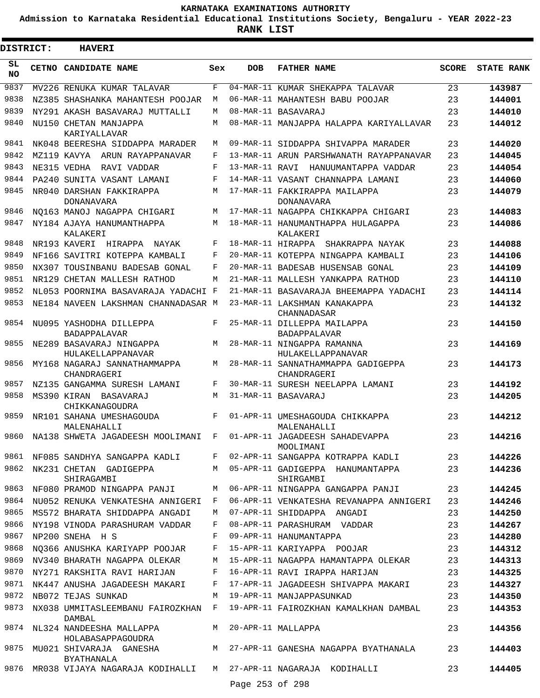**Admission to Karnataka Residential Educational Institutions Society, Bengaluru - YEAR 2022-23**

| <b>DISTRICT:</b> | <b>HAVERI</b>                                                       |              |                 |                                                                                      |              |                   |
|------------------|---------------------------------------------------------------------|--------------|-----------------|--------------------------------------------------------------------------------------|--------------|-------------------|
| SL<br><b>NO</b>  | CETNO CANDIDATE NAME                                                | Sex          | <b>DOB</b>      | <b>FATHER NAME</b>                                                                   | <b>SCORE</b> | <b>STATE RANK</b> |
| 9837             | MV226 RENUKA KUMAR TALAVAR                                          | F            |                 | 04-MAR-11 KUMAR SHEKAPPA TALAVAR                                                     | 23           | 143987            |
| 9838             | NZ385 SHASHANKA MAHANTESH POOJAR                                    | M            |                 | 06-MAR-11 MAHANTESH BABU POOJAR                                                      | 23           | 144001            |
| 9839             | NY291 AKASH BASAVARAJ MUTTALLI                                      | М            |                 | 08-MAR-11 BASAVARAJ                                                                  | 23           | 144010            |
| 9840             | NU150 CHETAN MANJAPPA<br>KARIYALLAVAR                               | M            |                 | 08-MAR-11 MANJAPPA HALAPPA KARIYALLAVAR                                              | 23           | 144012            |
| 9841             | NK048 BEERESHA SIDDAPPA MARADER                                     | М            |                 | 09-MAR-11 SIDDAPPA SHIVAPPA MARADER                                                  | 23           | 144020            |
| 9842             | MZ119 KAVYA ARUN RAYAPPANAVAR                                       | F            |                 | 13-MAR-11 ARUN PARSHWANATH RAYAPPANAVAR                                              | 23           | 144045            |
| 9843             | NE315 VEDHA<br>RAVI VADDAR                                          | F            | 13-MAR-11 RAVI  | HANUUMANTAPPA VADDAR                                                                 | 23           | 144054            |
| 9844             | PA240 SUNITA VASANT LAMANI                                          | F            |                 | 14-MAR-11 VASANT CHANNAPPA LAMANI                                                    | 23           | 144060            |
| 9845             | NR040 DARSHAN FAKKIRAPPA<br><b>DONANAVARA</b>                       | M            |                 | 17-MAR-11 FAKKIRAPPA MAILAPPA<br><b>DONANAVARA</b>                                   | 23           | 144079            |
| 9846             | NO163 MANOJ NAGAPPA CHIGARI                                         | M            |                 | 17-MAR-11 NAGAPPA CHIKKAPPA CHIGARI                                                  | 23           | 144083            |
| 9847             | NY184 AJAYA HANUMANTHAPPA<br>KALAKERI                               | M            |                 | 18-MAR-11 HANUMANTHAPPA HULAGAPPA<br>KALAKERI                                        | 23           | 144086            |
| 9848             | NR193 KAVERI HIRAPPA NAYAK                                          | F            |                 | 18-MAR-11 HIRAPPA SHAKRAPPA NAYAK                                                    | 23           | 144088            |
| 9849             | NF166 SAVITRI KOTEPPA KAMBALI                                       | F            |                 | 20-MAR-11 KOTEPPA NINGAPPA KAMBALI                                                   | 23           | 144106            |
| 9850             | NX307 TOUSINBANU BADESAB GONAL                                      | F            |                 | 20-MAR-11 BADESAB HUSENSAB GONAL                                                     | 23           | 144109            |
| 9851             | NR129 CHETAN MALLESH RATHOD                                         | М            |                 | 21-MAR-11 MALLESH YANKAPPA RATHOD                                                    | 23           | 144110            |
| 9852             | NL053 POORNIMA BASAVARAJA YADACHI F                                 |              |                 | 21-MAR-11 BASAVARAJA BHEEMAPPA YADACHI                                               | 23           | 144114            |
| 9853             | NE184 NAVEEN LAKSHMAN CHANNADASAR M                                 |              |                 | 23-MAR-11 LAKSHMAN KANAKAPPA<br>CHANNADASAR                                          | 23           | 144132            |
| 9854             | NU095 YASHODHA DILLEPPA<br><b>BADAPPALAVAR</b>                      | F            |                 | 25-MAR-11 DILLEPPA MAILAPPA<br><b>BADAPPALAVAR</b>                                   | 23           | 144150            |
| 9855             | NE289 BASAVARAJ NINGAPPA<br>HULAKELLAPPANAVAR                       | M            |                 | 28-MAR-11 NINGAPPA RAMANNA<br>HULAKELLAPPANAVAR                                      | 23           | 144169            |
| 9856             | MY168 NAGARAJ SANNATHAMMAPPA<br>CHANDRAGERI                         | M            |                 | 28-MAR-11 SANNATHAMMAPPA GADIGEPPA<br>CHANDRAGERI                                    | 23           | 144173            |
| 9857             | NZ135 GANGAMMA SURESH LAMANI                                        | F            |                 | 30-MAR-11 SURESH NEELAPPA LAMANI                                                     | 23           | 144192            |
| 9858             | MS390 KIRAN BASAVARAJ<br>CHIKKANAGOUDRA                             | М            |                 | 31-MAR-11 BASAVARAJ                                                                  | 23           | 144205            |
| 9859             | NR101 SAHANA UMESHAGOUDA<br>MALENAHALLI                             | F            |                 | 01-APR-11 UMESHAGOUDA CHIKKAPPA<br>MALENAHALLI                                       | 23           | 144212            |
|                  |                                                                     |              |                 | 9860 NA138 SHWETA JAGADEESH MOOLIMANI F 01-APR-11 JAGADEESH SAHADEVAPPA<br>MOOLIMANI | 23           | 144216            |
| 9861             |                                                                     |              |                 | NF085 SANDHYA SANGAPPA KADLI F 02-APR-11 SANGAPPA KOTRAPPA KADLI                     | 23           | 144226            |
| 9862             | SHIRAGAMBI                                                          |              |                 | NK231 CHETAN GADIGEPPA M 05-APR-11 GADIGEPPA HANUMANTAPPA<br>SHIRGAMBI               | 23           | 144236            |
| 9863             | NF080 PRAMOD NINGAPPA PANJI                                         |              |                 | M 06-APR-11 NINGAPPA GANGAPPA PANJI                                                  | 23           | 144245            |
| 9864             | NU052 RENUKA VENKATESHA ANNIGERI F                                  |              |                 | 06-APR-11 VENKATESHA REVANAPPA ANNIGERI                                              | 23           | 144246            |
| 9865             | MS572 BHARATA SHIDDAPPA ANGADI                                      | M            |                 | 07-APR-11 SHIDDAPPA ANGADI                                                           | 23           | 144250            |
| 9866             | NY198 VINODA PARASHURAM VADDAR                                      | $\mathbf{F}$ |                 | 08-APR-11 PARASHURAM VADDAR                                                          | 23           | 144267            |
| 9867             | NP200 SNEHA H S                                                     | F            |                 | 09-APR-11 HANUMANTAPPA                                                               | 23           | 144280            |
| 9868             | NO366 ANUSHKA KARIYAPP POOJAR F                                     |              |                 | 15-APR-11 KARIYAPPA POOJAR                                                           | 23           | 144312            |
| 9869             | NV340 BHARATH NAGAPPA OLEKAR                                        | M            |                 | 15-APR-11 NAGAPPA HAMANTAPPA OLEKAR                                                  | 23           | 144313            |
| 9870             | NY271 RAKSHITA RAVI HARIJAN                                         | $\mathbf{F}$ |                 | 16-APR-11 RAVI IRAPPA HARIJAN                                                        | 23           | 144325            |
|                  | 9871 NK447 ANUSHA JAGADEESH MAKARI                                  | F            |                 | 17-APR-11 JAGADEESH SHIVAPPA MAKARI                                                  | 23           | 144327            |
| 9872             | NB072 TEJAS SUNKAD                                                  | M            |                 | 19-APR-11 MANJAPPASUNKAD                                                             | 23           | 144350            |
| 9873             | NX038 UMMITASLEEMBANU FAIROZKHAN F<br>DAMBAL                        |              |                 | 19-APR-11 FAIROZKHAN KAMALKHAN DAMBAL                                                | 23           | 144353            |
|                  | 9874 NL324 NANDEESHA MALLAPPA<br>HOLABASAPPAGOUDRA                  |              |                 | M 20-APR-11 MALLAPPA                                                                 | 23           | 144356            |
|                  | BYATHANALA                                                          |              |                 | 9875 MU021 SHIVARAJA GANESHA MARA MARA MAGAPPA BYATHANALA                            | 23           | 144403            |
|                  | 9876 MR038 VIJAYA NAGARAJA KODIHALLI M 27-APR-11 NAGARAJA KODIHALLI |              |                 |                                                                                      | 23           | 144405            |
|                  |                                                                     |              | Page 253 of 298 |                                                                                      |              |                   |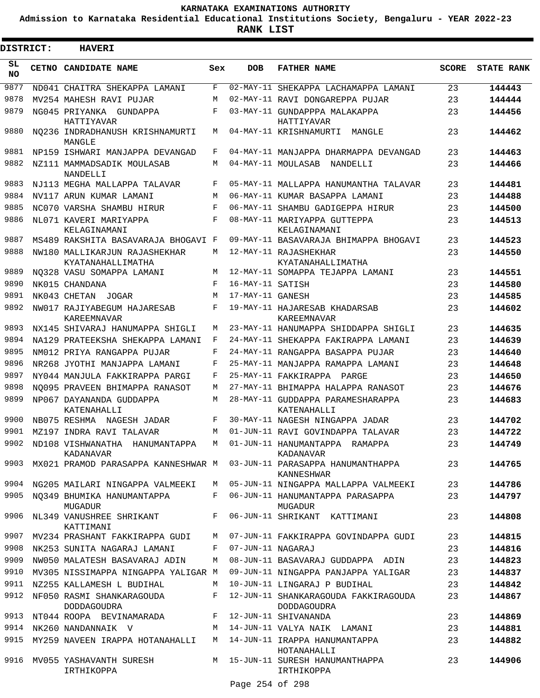**Admission to Karnataka Residential Educational Institutions Society, Bengaluru - YEAR 2022-23**

 $\blacksquare$ 

**RANK LIST**

 $\blacksquare$ 

| DISTRICT:  | <b>HAVERI</b>                                   |     |                   |                                                            |              |                   |
|------------|-------------------------------------------------|-----|-------------------|------------------------------------------------------------|--------------|-------------------|
| SL.<br>NO. | CETNO CANDIDATE NAME                            | Sex | <b>DOB</b>        | <b>FATHER NAME</b>                                         | <b>SCORE</b> | <b>STATE RANK</b> |
| 9877       | ND041 CHAITRA SHEKAPPA LAMANI                   | F   | $02 - MAX - 11$   | SHEKAPPA LACHAMAPPA LAMANI                                 | 23           | 144443            |
| 9878       | MV254 MAHESH RAVI PUJAR                         | M   |                   | 02-MAY-11 RAVI DONGAREPPA PUJAR                            | 23           | 144444            |
| 9879       | NG045 PRIYANKA GUNDAPPA<br>HATTIYAVAR           | F   |                   | 03-MAY-11 GUNDAPPPA MALAKAPPA<br>HATTIYAVAR                | 23           | 144456            |
| 9880       | NO236 INDRADHANUSH KRISHNAMURTI<br>MANGLE       | М   |                   | 04-MAY-11 KRISHNAMURTI<br>MANGLE                           | 23           | 144462            |
| 9881       | NP159 ISHWARI MANJAPPA DEVANGAD                 | F   |                   | 04-MAY-11 MANJAPPA DHARMAPPA DEVANGAD                      | 23           | 144463            |
| 9882       | NZ111 MAMMADSADIK MOULASAB<br>NANDELLI          | M   |                   | 04-MAY-11 MOULASAB<br>NANDELLI                             | 23           | 144466            |
| 9883       | NJ113 MEGHA MALLAPPA TALAVAR                    | F   |                   | 05-MAY-11 MALLAPPA HANUMANTHA TALAVAR                      | 23           | 144481            |
| 9884       | NV117 ARUN KUMAR LAMANI                         | M   |                   | 06-MAY-11 KUMAR BASAPPA LAMANI                             | 23           | 144488            |
| 9885       | NC070 VARSHA SHAMBU HIRUR                       | F   |                   | 06-MAY-11 SHAMBU GADIGEPPA HIRUR                           | 23           | 144500            |
| 9886       | NL071 KAVERI MARIYAPPA<br>KELAGINAMANI          | F   |                   | 08-MAY-11 MARIYAPPA GUTTEPPA<br>KELAGINAMANI               | 23           | 144513            |
| 9887       | MS489 RAKSHITA BASAVARAJA BHOGAVI F             |     |                   | 09-MAY-11 BASAVARAJA BHIMAPPA BHOGAVI                      | 23           | 144523            |
| 9888       | NW180 MALLIKARJUN RAJASHEKHAR                   | М   |                   | 12-MAY-11 RAJASHEKHAR                                      | 23           | 144550            |
|            | KYATANAHALLIMATHA                               |     |                   | KYATANAHALLIMATHA                                          |              |                   |
| 9889       | NO328 VASU SOMAPPA LAMANI                       | М   |                   | 12-MAY-11 SOMAPPA TEJAPPA LAMANI                           | 23           | 144551            |
| 9890       | NK015 CHANDANA                                  | F   | 16-MAY-11 SATISH  |                                                            | 23           | 144580            |
| 9891       | NK043 CHETAN<br>JOGAR                           | M   | 17-MAY-11 GANESH  |                                                            | 23           | 144585            |
| 9892       | NW017 RAJIYABEGUM HAJARESAB<br>KAREEMNAVAR      | F   |                   | 19-MAY-11 HAJARESAB KHADARSAB<br>KAREEMNAVAR               | 23           | 144602            |
| 9893       | NX145 SHIVARAJ HANUMAPPA SHIGLI                 | М   |                   | 23-MAY-11 HANUMAPPA SHIDDAPPA SHIGLI                       | 23           | 144635            |
| 9894       | NA129 PRATEEKSHA SHEKAPPA LAMANI                | F   |                   | 24-MAY-11 SHEKAPPA FAKIRAPPA LAMANI                        | 23           | 144639            |
| 9895       | NM012 PRIYA RANGAPPA PUJAR                      | F   |                   | 24-MAY-11 RANGAPPA BASAPPA PUJAR                           | 23           | 144640            |
| 9896       | NR268 JYOTHI MANJAPPA LAMANI                    | F   |                   | 25-MAY-11 MANJAPPA RAMAPPA LAMANI                          | 23           | 144648            |
| 9897       | NY044 MANJULA FAKKIRAPPA PARGI                  | F   |                   | 25-MAY-11 FAKKIRAPPA PARGE                                 | 23           | 144650            |
| 9898       | NO095 PRAVEEN BHIMAPPA RANASOT                  | М   |                   | 27-MAY-11 BHIMAPPA HALAPPA RANASOT                         | 23           | 144676            |
| 9899       | NP067 DAYANANDA GUDDAPPA<br>KATENAHALLI         | М   |                   | 28-MAY-11 GUDDAPPA PARAMESHARAPPA<br>KATENAHALLI           | 23           | 144683            |
| 9900       | NB075 RESHMA NAGESH JADAR                       | F   |                   | 30-MAY-11 NAGESH NINGAPPA JADAR                            | 23           | 144702            |
| 9901       | MZ197 INDRA RAVI TALAVAR                        | М   |                   | 01-JUN-11 RAVI GOVINDAPPA TALAVAR                          | 23           | 144722            |
| 9902       | ND108 VISHWANATHA HANUMANTAPPA<br>KADANAVAR     | M   |                   | 01-JUN-11 HANUMANTAPPA RAMAPPA<br>KADANAVAR                | 23           | 144749            |
| 9903       | MX021 PRAMOD PARASAPPA KANNESHWAR M             |     |                   | 03-JUN-11 PARASAPPA HANUMANTHAPPA<br>KANNESHWAR            | 23           | 144765            |
| 9904       | NG205 MAILARI NINGAPPA VALMEEKI                 | M   |                   | 05-JUN-11 NINGAPPA MALLAPPA VALMEEKI                       | 23           | 144786            |
| 9905       | NO349 BHUMIKA HANUMANTAPPA<br><b>MUGADUR</b>    | F   |                   | 06-JUN-11 HANUMANTAPPA PARASAPPA<br>MUGADUR                | 23           | 144797            |
| 9906       | NL349 VANUSHREE SHRIKANT<br>KATTIMANI           | F   |                   | 06-JUN-11 SHRIKANT KATTIMANI                               | 23           | 144808            |
| 9907       | MV234 PRASHANT FAKKIRAPPA GUDI                  | M   |                   | 07-JUN-11 FAKKIRAPPA GOVINDAPPA GUDI                       | 23           | 144815            |
| 9908       | NK253 SUNITA NAGARAJ LAMANI                     | F   | 07-JUN-11 NAGARAJ |                                                            | 23           | 144816            |
| 9909       | NW050 MALATESH BASAVARAJ ADIN                   | M   |                   | 08-JUN-11 BASAVARAJ GUDDAPPA ADIN                          | 23           | 144823            |
| 9910       | MV305 NISSIMAPPA NINGAPPA YALIGAR M             |     |                   | 09-JUN-11 NINGAPPA PANJAPPA YALIGAR                        | 23           | 144837            |
| 9911       | NZ255 KALLAMESH L BUDIHAL                       | M   |                   | 10-JUN-11 LINGARAJ P BUDIHAL                               | 23           | 144842            |
| 9912       | NF050 RASMI SHANKARAGOUDA<br><b>DODDAGOUDRA</b> | F   |                   | 12-JUN-11 SHANKARAGOUDA FAKKIRAGOUDA<br><b>DODDAGOUDRA</b> | 23           | 144867            |
| 9913       | NT044 ROOPA BEVINAMARADA                        | F   |                   | 12-JUN-11 SHIVANANDA                                       | 23           | 144869            |
| 9914       | NK260 NANDANNAIK V                              | M   |                   | 14-JUN-11 VALYA NAIK LAMANI                                | 23           | 144881            |
| 9915       | MY259 NAVEEN IRAPPA HOTANAHALLI                 |     |                   | M 14-JUN-11 IRAPPA HANUMANTAPPA<br>HOTANAHALLI             | 23           | 144882            |
| 9916       | MV055 YASHAVANTH SURESH<br>IRTHIKOPPA           |     |                   | M 15-JUN-11 SURESH HANUMANTHAPPA<br>IRTHIKOPPA             | 23           | 144906            |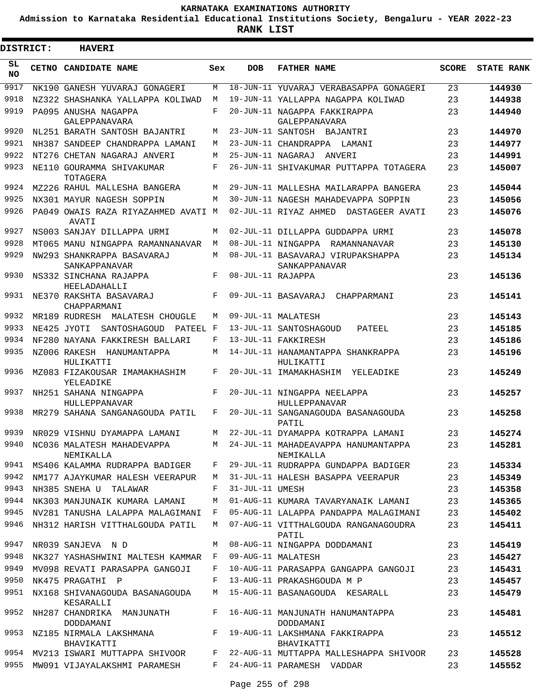**Admission to Karnataka Residential Educational Institutions Society, Bengaluru - YEAR 2022-23**

 $\blacksquare$ 

**RANK LIST**

Е

| <b>DISTRICT:</b> |              | <b>HAVERI</b>                                |     |                   |                                                     |              |                   |
|------------------|--------------|----------------------------------------------|-----|-------------------|-----------------------------------------------------|--------------|-------------------|
| SL<br>NO.        | <b>CETNO</b> | CANDIDATE NAME                               | Sex | <b>DOB</b>        | <b>FATHER NAME</b>                                  | <b>SCORE</b> | <b>STATE RANK</b> |
| 9917             |              | NK190 GANESH YUVARAJ GONAGERI                | M   |                   | 18-JUN-11 YUVARAJ VERABASAPPA GONAGERI              | 23           | 144930            |
| 9918             |              | NZ322 SHASHANKA YALLAPPA KOLIWAD             | M   |                   | 19-JUN-11 YALLAPPA NAGAPPA KOLIWAD                  | 23           | 144938            |
| 9919             |              | PA095 ANUSHA NAGAPPA<br>GALEPPANAVARA        | F   |                   | 20-JUN-11 NAGAPPA FAKKIRAPPA<br>GALEPPANAVARA       | 23           | 144940            |
| 9920             |              | NL251 BARATH SANTOSH BAJANTRI                | М   |                   | 23-JUN-11 SANTOSH BAJANTRI                          | 23           | 144970            |
| 9921             |              | NH387 SANDEEP CHANDRAPPA LAMANI              | М   |                   | 23-JUN-11 CHANDRAPPA LAMANI                         | 23           | 144977            |
| 9922             |              | NT276 CHETAN NAGARAJ ANVERI                  | М   | 25-JUN-11 NAGARAJ | ANVER T                                             | 23           | 144991            |
| 9923             |              | NE110 GOURAMMA SHIVAKUMAR<br>TOTAGERA        | F   |                   | 26-JUN-11 SHIVAKUMAR PUTTAPPA TOTAGERA              | 23           | 145007            |
| 9924             |              | MZ226 RAHUL MALLESHA BANGERA                 | M   |                   | 29-JUN-11 MALLESHA MAILARAPPA BANGERA               | 23           | 145044            |
| 9925             |              | NX301 MAYUR NAGESH SOPPIN                    | М   |                   | 30-JUN-11 NAGESH MAHADEVAPPA SOPPIN                 | 23           | 145056            |
| 9926             |              | PA049 OWAIS RAZA RIYAZAHMED AVATI M<br>AVATI |     |                   | 02-JUL-11 RIYAZ AHMED DASTAGEER AVATI               | 23           | 145076            |
| 9927             |              | NS003 SANJAY DILLAPPA URMI                   | М   |                   | 02-JUL-11 DILLAPPA GUDDAPPA URMI                    | 23           | 145078            |
| 9928             |              | MT065 MANU NINGAPPA RAMANNANAVAR             | M   |                   | 08-JUL-11 NINGAPPA RAMANNANAVAR                     | 23           | 145130            |
| 9929             |              | NW293 SHANKRAPPA BASAVARAJ<br>SANKAPPANAVAR  | М   |                   | 08-JUL-11 BASAVARAJ VIRUPAKSHAPPA<br>SANKAPPANAVAR  | 23           | 145134            |
| 9930             |              | NS332 SINCHANA RAJAPPA<br>HEELADAHALLI       | F   | 08-JUL-11 RAJAPPA |                                                     | 23           | 145136            |
| 9931             |              | NE370 RAKSHTA BASAVARAJ<br>CHAPPARMANI       | F   |                   | 09-JUL-11 BASAVARAJ CHAPPARMANI                     | 23           | 145141            |
| 9932             |              | MR189 RUDRESH MALATESH CHOUGLE               | М   |                   | 09-JUL-11 MALATESH                                  | 23           | 145143            |
| 9933             |              | NE425 JYOTI<br>SANTOSHAGOUD<br>PATEEL F      |     |                   | 13-JUL-11 SANTOSHAGOUD<br>PATEEL                    | 23           | 145185            |
| 9934             |              | NF280 NAYANA FAKKIRESH BALLARI               | F   |                   | 13-JUL-11 FAKKIRESH                                 | 23           | 145186            |
| 9935             |              | NZ006 RAKESH HANUMANTAPPA<br>HULIKATTI       | М   |                   | 14-JUL-11 HANAMANTAPPA SHANKRAPPA<br>HULIKATTI      | 23           | 145196            |
| 9936             |              | MZ083 FIZAKOUSAR IMAMAKHASHIM<br>YELEADIKE   | F   |                   | 20-JUL-11 IMAMAKHASHIM YELEADIKE                    | 23           | 145249            |
| 9937             |              | NH251 SAHANA NINGAPPA<br>HULLEPPANAVAR       | F   |                   | 20-JUL-11 NINGAPPA NEELAPPA<br><b>HULLEPPANAVAR</b> | 23           | 145257            |
| 9938             |              | MR279 SAHANA SANGANAGOUDA PATIL              | F   |                   | 20-JUL-11 SANGANAGOUDA BASANAGOUDA<br>PATIL         | 23           | 145258            |
| 9939             |              | NR029 VISHNU DYAMAPPA LAMANI                 | М   |                   | 22-JUL-11 DYAMAPPA KOTRAPPA LAMANI                  | 23           | 145274            |
| 9940             |              | NC036 MALATESH MAHADEVAPPA<br>NEMIKALLA      | М   |                   | 24-JUL-11 MAHADEAVAPPA HANUMANTAPPA<br>NEMIKALLA    | 23           | 145281            |
| 9941             |              | MS406 KALAMMA RUDRAPPA BADIGER               | F   |                   | 29-JUL-11 RUDRAPPA GUNDAPPA BADIGER                 | 23           | 145334            |
| 9942             |              | NM177 AJAYKUMAR HALESH VEERAPUR              | М   |                   | 31-JUL-11 HALESH BASAPPA VEERAPUR                   | 23           | 145349            |
| 9943             |              | NH385 SNEHA U TALAWAR                        | F   | 31-JUL-11 UMESH   |                                                     | 23           | 145358            |
| 9944             |              | NK303 MANJUNAIK KUMARA LAMANI                | М   |                   | 01-AUG-11 KUMARA TAVARYANAIK LAMANI                 | 23           | 145365            |
| 9945             |              | NV281 TANUSHA LALAPPA MALAGIMANI             | F   |                   | 05-AUG-11 LALAPPA PANDAPPA MALAGIMANI               | 23           | 145402            |
| 9946             |              | NH312 HARISH VITTHALGOUDA PATIL              | М   |                   | 07-AUG-11 VITTHALGOUDA RANGANAGOUDRA<br>PATIL       | 23           | 145411            |
| 9947             |              | NR039 SANJEVA N D                            | M   |                   | 08-AUG-11 NINGAPPA DODDAMANI                        | 23           | 145419            |
| 9948             |              | NK327 YASHASHWINI MALTESH KAMMAR             | F   |                   | 09-AUG-11 MALATESH                                  | 23           | 145427            |
| 9949             |              | MV098 REVATI PARASAPPA GANGOJI               | F   |                   | 10-AUG-11 PARASAPPA GANGAPPA GANGOJI                | 23           | 145431            |
| 9950             |              | NK475 PRAGATHI P                             | F   |                   | 13-AUG-11 PRAKASHGOUDA M P                          | 23           | 145457            |
| 9951             |              | NX168 SHIVANAGOUDA BASANAGOUDA<br>KESARALLI  | M   |                   | 15-AUG-11 BASANAGOUDA KESARALL                      | 23           | 145479            |
| 9952             |              | NH287 CHANDRIKA MANJUNATH<br>DODDAMANI       | F   |                   | 16-AUG-11 MANJUNATH HANUMANTAPPA<br>DODDAMANI       | 23           | 145481            |
| 9953             |              | NZ185 NIRMALA LAKSHMANA<br>BHAVIKATTI        | F   |                   | 19-AUG-11 LAKSHMANA FAKKIRAPPA<br>BHAVIKATTI        | 23           | 145512            |
| 9954             |              | MV213 ISWARI MUTTAPPA SHIVOOR                | F   |                   | 22-AUG-11 MUTTAPPA MALLESHAPPA SHIVOOR              | 23           | 145528            |
|                  |              | 9955 MW091 VIJAYALAKSHMI PARAMESH            | F   |                   | 24-AUG-11 PARAMESH VADDAR                           | 23           | 145552            |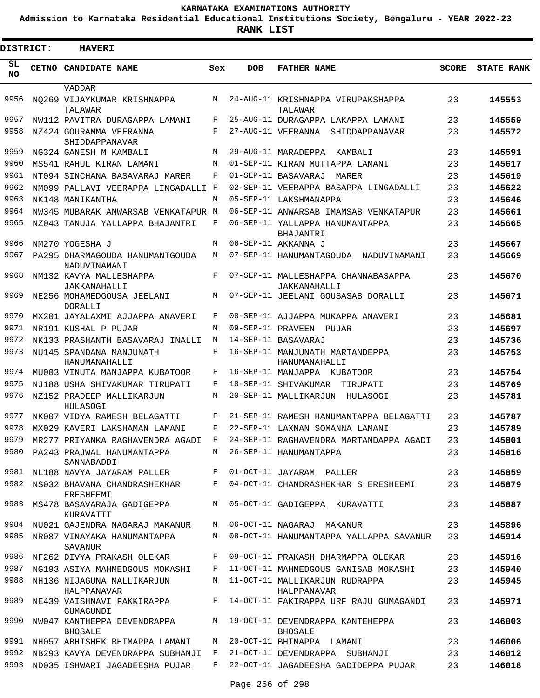**Admission to Karnataka Residential Educational Institutions Society, Bengaluru - YEAR 2022-23**

**RANK LIST**

Е

| DISTRICT:       | <b>HAVERI</b>                                   |     |                   |                                                     |              |                   |
|-----------------|-------------------------------------------------|-----|-------------------|-----------------------------------------------------|--------------|-------------------|
| SL<br><b>NO</b> | CETNO CANDIDATE NAME                            | Sex | <b>DOB</b>        | <b>FATHER NAME</b>                                  | <b>SCORE</b> | <b>STATE RANK</b> |
| 9956            | VADDAR<br>NO269 VIJAYKUMAR KRISHNAPPA           | М   |                   | 24-AUG-11 KRISHNAPPA VIRUPAKSHAPPA                  | 23           | 145553            |
| 9957            | TALAWAR<br>NW112 PAVITRA DURAGAPPA LAMANI       | F   |                   | TALAWAR<br>25-AUG-11 DURAGAPPA LAKAPPA LAMANI       | 23           | 145559            |
| 9958            | NZ424 GOURAMMA VEERANNA                         | F   |                   | 27-AUG-11 VEERANNA<br>SHIDDAPPANAVAR                | 23           | 145572            |
|                 | SHIDDAPPANAVAR                                  |     |                   |                                                     |              |                   |
| 9959            | NG324 GANESH M KAMBALI                          | M   |                   | 29-AUG-11 MARADEPPA KAMBALI                         | 23           | 145591            |
| 9960            | MS541 RAHUL KIRAN LAMANI                        | M   |                   | 01-SEP-11 KIRAN MUTTAPPA LAMANI                     | 23           | 145617            |
| 9961            | NT094 SINCHANA BASAVARAJ MARER                  | F   |                   | 01-SEP-11 BASAVARAJ<br>MARER                        | 23           | 145619            |
| 9962            | NM099 PALLAVI VEERAPPA LINGADALLI F             |     |                   | 02-SEP-11 VEERAPPA BASAPPA LINGADALLI               | 23           | 145622            |
| 9963            | NK148 MANIKANTHA                                | М   |                   | 05-SEP-11 LAKSHMANAPPA                              | 23           | 145646            |
| 9964            | NW345 MUBARAK ANWARSAB VENKATAPUR M             |     |                   | 06-SEP-11 ANWARSAB IMAMSAB VENKATAPUR               | 23           | 145661            |
| 9965            | NZ043 TANUJA YALLAPPA BHAJANTRI                 | F   |                   | 06-SEP-11 YALLAPPA HANUMANTAPPA<br>BHAJANTRI        | 23           | 145665            |
| 9966            | NM270 YOGESHA J                                 | M   |                   | 06-SEP-11 AKKANNA J                                 | 23           | 145667            |
| 9967            | PA295 DHARMAGOUDA HANUMANTGOUDA<br>NADUVINAMANI | M   |                   | 07-SEP-11 HANUMANTAGOUDA NADUVINAMANI               | 23           | 145669            |
| 9968            | NM132 KAVYA MALLESHAPPA<br>JAKKANAHALLI         | F   |                   | 07-SEP-11 MALLESHAPPA CHANNABASAPPA<br>JAKKANAHALLI | 23           | 145670            |
| 9969            | NE256 MOHAMEDGOUSA JEELANI<br><b>DORALLI</b>    | M   |                   | 07-SEP-11 JEELANI GOUSASAB DORALLI                  | 23           | 145671            |
| 9970            | MX201 JAYALAXMI AJJAPPA ANAVERI                 | F   |                   | 08-SEP-11 AJJAPPA MUKAPPA ANAVERI                   | 23           | 145681            |
| 9971            | NR191 KUSHAL P PUJAR                            | М   | 09-SEP-11 PRAVEEN | PUJAR                                               | 23           | 145697            |
| 9972            | NK133 PRASHANTH BASAVARAJ INALLI                | М   |                   | 14-SEP-11 BASAVARAJ                                 | 23           | 145736            |
| 9973            | NU145 SPANDANA MANJUNATH<br>HANUMANAHALLI       | F   |                   | 16-SEP-11 MANJUNATH MARTANDEPPA<br>HANUMANAHALLI    | 23           | 145753            |
| 9974            | MU003 VINUTA MANJAPPA KUBATOOR                  | F   |                   | 16-SEP-11 MANJAPPA KUBATOOR                         | 23           | 145754            |
| 9975            | NJ188 USHA SHIVAKUMAR TIRUPATI                  | F   |                   | 18-SEP-11 SHIVAKUMAR<br>TIRUPATI                    | 23           | 145769            |
| 9976            | NZ152 PRADEEP MALLIKARJUN<br>HULASOGI           | М   |                   | 20-SEP-11 MALLIKARJUN<br>HULASOGI                   | 23           | 145781            |
| 9977            | NK007 VIDYA RAMESH BELAGATTI                    | F   |                   | 21-SEP-11 RAMESH HANUMANTAPPA BELAGATTI             | 23           | 145787            |
| 9978            | MX029 KAVERI LAKSHAMAN LAMANI                   | F   |                   | 22-SEP-11 LAXMAN SOMANNA LAMANI                     | 23           | 145789            |
| 9979            | MR277 PRIYANKA RAGHAVENDRA AGADI F              |     |                   | 24-SEP-11 RAGHAVENDRA MARTANDAPPA AGADI             | 23           | 145801            |
| 9980            | PA243 PRAJWAL HANUMANTAPPA<br>SANNABADDI        |     |                   | M 26-SEP-11 HANUMANTAPPA                            | 23           | 145816            |
| 9981            | NL188 NAVYA JAYARAM PALLER                      |     |                   | F 01-OCT-11 JAYARAM PALLER                          | 23           | 145859            |
| 9982            | NS032 BHAVANA CHANDRASHEKHAR<br>ERESHEEMI       | F   |                   | 04-OCT-11 CHANDRASHEKHAR S ERESHEEMI                | 23           | 145879            |
| 9983            | MS478 BASAVARAJA GADIGEPPA<br>KURAVATTI         | M   |                   | 05-OCT-11 GADIGEPPA KURAVATTI                       | 23           | 145887            |
| 9984            | NU021 GAJENDRA NAGARAJ MAKANUR                  | M   |                   | 06-OCT-11 NAGARAJ MAKANUR                           | 23           | 145896            |
| 9985            | NR087 VINAYAKA HANUMANTAPPA<br>SAVANUR          | M   |                   | 08-OCT-11 HANUMANTAPPA YALLAPPA SAVANUR             | 23           | 145914            |
| 9986            | NF262 DIVYA PRAKASH OLEKAR                      | F   |                   | 09-OCT-11 PRAKASH DHARMAPPA OLEKAR                  | 23           | 145916            |
| 9987            | NG193 ASIYA MAHMEDGOUS MOKASHI                  | F   |                   | 11-OCT-11 MAHMEDGOUS GANISAB MOKASHI                | 23           | 145940            |
| 9988            | NH136 NIJAGUNA MALLIKARJUN<br>HALPPANAVAR       | M   |                   | 11-OCT-11 MALLIKARJUN RUDRAPPA<br>HALPPANAVAR       | 23           | 145945            |
| 9989            | NE439 VAISHNAVI FAKKIRAPPA<br>GUMAGUNDI         | F   |                   | 14-OCT-11 FAKIRAPPA URF RAJU GUMAGANDI              | 23           | 145971            |
| 9990            | NW047 KANTHEPPA DEVENDRAPPA<br><b>BHOSALE</b>   | M   |                   | 19-OCT-11 DEVENDRAPPA KANTEHEPPA<br><b>BHOSALE</b>  | 23           | 146003            |
| 9991            | NH057 ABHISHEK BHIMAPPA LAMANI                  | М   |                   | 20-OCT-11 BHIMAPPA LAMANI                           | 23           | 146006            |
| 9992            | NB293 KAVYA DEVENDRAPPA SUBHANJI                | F   |                   | 21-OCT-11 DEVENDRAPPA SUBHANJI                      | 23           | 146012            |
| 9993            | ND035 ISHWARI JAGADEESHA PUJAR                  | F   |                   | 22-OCT-11 JAGADEESHA GADIDEPPA PUJAR                | 23           | 146018            |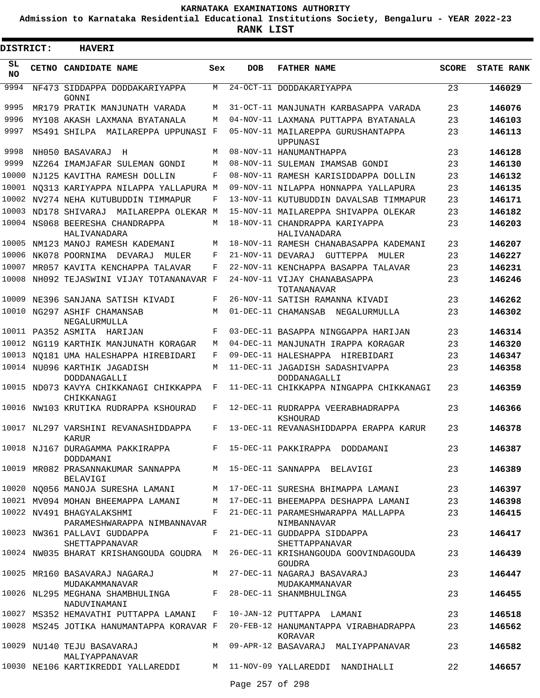**Admission to Karnataka Residential Educational Institutions Society, Bengaluru - YEAR 2022-23**

| <b>DISTRICT:</b> | <b>HAVERI</b>                                                                                                                                 |     |                 |                                                                                           |              |                   |
|------------------|-----------------------------------------------------------------------------------------------------------------------------------------------|-----|-----------------|-------------------------------------------------------------------------------------------|--------------|-------------------|
| SL<br><b>NO</b>  | <b>CETNO CANDIDATE NAME</b>                                                                                                                   | Sex | <b>DOB</b>      | <b>FATHER NAME</b>                                                                        | <b>SCORE</b> | <b>STATE RANK</b> |
| 9994             | NF473 SIDDAPPA DODDAKARIYAPPA<br>GONNI                                                                                                        | М   |                 | 24-OCT-11 DODDAKARIYAPPA                                                                  | 23           | 146029            |
| 9995             | MR179 PRATIK MANJUNATH VARADA                                                                                                                 | M   |                 | 31-OCT-11 MANJUNATH KARBASAPPA VARADA                                                     | 23           | 146076            |
| 9996             | MY108 AKASH LAXMANA BYATANALA                                                                                                                 | M   |                 | 04-NOV-11 LAXMANA PUTTAPPA BYATANALA                                                      | 23           | 146103            |
| 9997             | MS491 SHILPA MAILAREPPA UPPUNASI F                                                                                                            |     |                 | 05-NOV-11 MAILAREPPA GURUSHANTAPPA<br>UPPUNASI                                            | 23           | 146113            |
| 9998             | NH050 BASAVARAJ<br>Н                                                                                                                          | M   |                 | 08-NOV-11 HANUMANTHAPPA                                                                   | 23           | 146128            |
| 9999             | NZ264 IMAMJAFAR SULEMAN GONDI                                                                                                                 | M   |                 | 08-NOV-11 SULEMAN IMAMSAB GONDI                                                           | 23           | 146130            |
| 10000            | NJ125 KAVITHA RAMESH DOLLIN                                                                                                                   | F   |                 | 08-NOV-11 RAMESH KARISIDDAPPA DOLLIN                                                      | 23           | 146132            |
|                  | 10001 NO313 KARIYAPPA NILAPPA YALLAPURA M                                                                                                     |     |                 | 09-NOV-11 NILAPPA HONNAPPA YALLAPURA                                                      | 23           | 146135            |
| 10002            | NV274 NEHA KUTUBUDDIN TIMMAPUR                                                                                                                | F   |                 | 13-NOV-11 KUTUBUDDIN DAVALSAB TIMMAPUR                                                    | 23           | 146171            |
|                  | 10003 ND178 SHIVARAJ<br>MAILAREPPA OLEKAR M                                                                                                   |     |                 | 15-NOV-11 MAILAREPPA SHIVAPPA OLEKAR                                                      | 23           | 146182            |
|                  | 10004 NS068 BEERESHA CHANDRAPPA<br>HALIVANADARA                                                                                               | М   |                 | 18-NOV-11 CHANDRAPPA KARIYAPPA<br>HALIVANADARA                                            | 23           | 146203            |
|                  | 10005 NM123 MANOJ RAMESH KADEMANI                                                                                                             | M   |                 | 18-NOV-11 RAMESH CHANABASAPPA KADEMANI                                                    | 23           | 146207            |
| 10006            | NK078 POORNIMA DEVARAJ<br>MULER                                                                                                               | F   |                 | 21-NOV-11 DEVARAJ GUTTEPPA<br>MULER                                                       | 23           | 146227            |
| 10007            | MR057 KAVITA KENCHAPPA TALAVAR                                                                                                                | F   |                 | 22-NOV-11 KENCHAPPA BASAPPA TALAVAR                                                       | 23           | 146231            |
| 10008            | NH092 TEJASWINI VIJAY TOTANANAVAR F                                                                                                           |     |                 | 24-NOV-11 VIJAY CHANABASAPPA<br>TOTANANAVAR                                               | 23           | 146246            |
| 10009            | NE396 SANJANA SATISH KIVADI                                                                                                                   | F   |                 | 26-NOV-11 SATISH RAMANNA KIVADI                                                           | 23           | 146262            |
|                  | 10010 NG297 ASHIF CHAMANSAB<br>NEGALURMULLA                                                                                                   | М   |                 | 01-DEC-11 CHAMANSAB NEGALURMULLA                                                          | 23           | 146302            |
|                  | 10011 PA352 ASMITA HARIJAN                                                                                                                    | F   |                 | 03-DEC-11 BASAPPA NINGGAPPA HARIJAN                                                       | 23           | 146314            |
|                  | 10012 NG119 KARTHIK MANJUNATH KORAGAR                                                                                                         | М   |                 | 04-DEC-11 MANJUNATH IRAPPA KORAGAR                                                        | 23           | 146320            |
|                  | 10013 NO181 UMA HALESHAPPA HIREBIDARI                                                                                                         | F   |                 | 09-DEC-11 HALESHAPPA HIREBIDARI                                                           | 23           | 146347            |
|                  | 10014 NU096 KARTHIK JAGADISH<br>DODDANAGALLI                                                                                                  | M   |                 | 11-DEC-11 JAGADISH SADASHIVAPPA<br>DODDANAGALLI                                           | 23           | 146358            |
|                  | 10015 ND073 KAVYA CHIKKANAGI CHIKKAPPA<br>CHIKKANAGI                                                                                          | F   |                 | 11-DEC-11 CHIKKAPPA NINGAPPA CHIKKANAGI                                                   | 23           | 146359            |
|                  | 10016 NW103 KRUTIKA RUDRAPPA KSHOURAD                                                                                                         | F   |                 | 12-DEC-11 RUDRAPPA VEERABHADRAPPA<br>KSHOURAD                                             | 23           | 146366            |
|                  | 10017 NL297 VARSHINI REVANASHIDDAPPA<br><b>KARUR</b>                                                                                          | F   |                 | 13-DEC-11 REVANASHIDDAPPA ERAPPA KARUR                                                    | 23           | 146378            |
|                  | DODDAMANI                                                                                                                                     |     |                 | 10018 NJ167 DURAGAMMA PAKKIRAPPA F 15-DEC-11 PAKKIRAPPA DODDAMANI                         | 23           | 146387            |
|                  | BELAVIGI                                                                                                                                      |     |                 | 10019 MR082 PRASANNAKUMAR SANNAPPA M 15-DEC-11 SANNAPPA BELAVIGI                          | 23           | 146389            |
|                  |                                                                                                                                               |     |                 | 10020 NQ056 MANOJA SURESHA LAMANI MANOJA 17-DEC-11 SURESHA BHIMAPPA LAMANI 23             |              | 146397            |
|                  |                                                                                                                                               |     |                 | 10021 MV094 MOHAN BHEEMAPPA LAMANI M 17-DEC-11 BHEEMAPPA DESHAPPA LAMANI 23               |              | 146398            |
|                  | 10022 NV491 BHAGYALAKSHMI<br>PARAMESHWARAPPA NIMBANNAVAR                                                                                      |     |                 | F 21-DEC-11 PARAMESHWARAPPA MALLAPPA<br>NIMBANNAVAR                                       | 23           | 146415            |
|                  | 10023 NW361 PALLAVI GUDDAPPA<br>SHETTAPPANAVAR                                                                                                |     |                 | F 21-DEC-11 GUDDAPPA SIDDAPPA<br>SHETTAPPANAVAR                                           | 23           | 146417            |
|                  |                                                                                                                                               |     |                 | 10024 NW035 BHARAT KRISHANGOUDA GOUDRA M 26-DEC-11 KRISHANGOUDA GOOVINDAGOUDA<br>GOUDRA   | 23           | 146439            |
|                  | 10025 MR160 BASAVARAJ NAGARAJ M M 27-DEC-11 NAGARAJ BASAVARAJ<br>MUDAKAMMANAVAR<br>10026 NL295 MEGHANA SHAMBHULINGA F 28-DEC-11 SHANMBHULINGA |     |                 | MUDAKAMMANAVAR                                                                            | 23           | 146447            |
|                  | NADUVINAMANI                                                                                                                                  |     |                 |                                                                                           | 23           | 146455            |
|                  |                                                                                                                                               |     |                 | 10027 MS352 HEMAVATHI PUTTAPPA LAMANI F 10-JAN-12 PUTTAPPA LAMANI                         | 23           | 146518            |
|                  |                                                                                                                                               |     |                 | 10028 MS245 JOTIKA HANUMANTAPPA KORAVAR F 20-FEB-12 HANUMANTAPPA VIRABHADRAPPA<br>KORAVAR | 23           | 146562            |
|                  | MALIYAPPANAVAR                                                                                                                                |     |                 | 10029 NU140 TEJU BASAVARAJ M M 09-APR-12 BASAVARAJ MALIYAPPANAVAR                         | 23           | 146582            |
|                  |                                                                                                                                               |     | Page 257 of 298 | 10030 NE106 KARTIKREDDI YALLAREDDI M 11-NOV-09 YALLAREDDI NANDIHALLI                      | 22           | 146657            |
|                  |                                                                                                                                               |     |                 |                                                                                           |              |                   |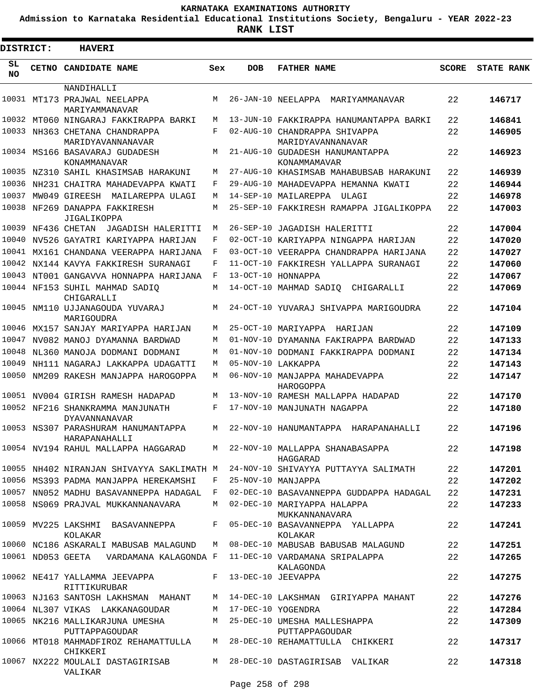**Admission to Karnataka Residential Educational Institutions Society, Bengaluru - YEAR 2022-23**

| DISTRICT:       | <b>HAVERI</b>                                                                    |     |            |                                                                                   |              |                   |
|-----------------|----------------------------------------------------------------------------------|-----|------------|-----------------------------------------------------------------------------------|--------------|-------------------|
| SL<br><b>NO</b> | CETNO CANDIDATE NAME                                                             | Sex | <b>DOB</b> | <b>FATHER NAME</b>                                                                | <b>SCORE</b> | <b>STATE RANK</b> |
|                 | NANDIHALLI                                                                       |     |            |                                                                                   |              |                   |
|                 | 10031 MT173 PRAJWAL NEELAPPA<br>MARIYAMMANAVAR                                   | M   |            | 26-JAN-10 NEELAPPA<br>MARIYAMMANAVAR                                              | 22           | 146717            |
| 10032           | MT060 NINGARAJ FAKKIRAPPA BARKI                                                  | M   |            | 13-JUN-10 FAKKIRAPPA HANUMANTAPPA BARKI                                           | 22           | 146841            |
|                 | 10033 NH363 CHETANA CHANDRAPPA<br>MARIDYAVANNANAVAR                              | F   |            | 02-AUG-10 CHANDRAPPA SHIVAPPA<br>MARIDYAVANNANAVAR                                | 22           | 146905            |
|                 | 10034 MS166 BASAVARAJ GUDADESH<br>KONAMMANAVAR                                   | М   |            | 21-AUG-10 GUDADESH HANUMANTAPPA<br>KONAMMAMAVAR                                   | 22           | 146923            |
|                 | 10035 NZ310 SAHIL KHASIMSAB HARAKUNI                                             | М   |            | 27-AUG-10 KHASIMSAB MAHABUBSAB HARAKUNI                                           | 22           | 146939            |
| 10036           | NH231 CHAITRA MAHADEVAPPA KWATI                                                  | F   |            | 29-AUG-10 MAHADEVAPPA HEMANNA KWATI                                               | 22           | 146944            |
| 10037           | MW049 GIREESH MAILAREPPA ULAGI                                                   | M   |            | 14-SEP-10 MAILAREPPA<br>ULAGI                                                     | 22           | 146978            |
|                 | 10038 NF269 DANAPPA FAKKIRESH<br>JIGALIKOPPA                                     | M   |            | 25-SEP-10 FAKKIRESH RAMAPPA JIGALIKOPPA                                           | 22           | 147003            |
| 10039           | NF436 CHETAN<br>JAGADISH HALERITTI                                               | M   |            | 26-SEP-10 JAGADISH HALERITTI                                                      | 22           | 147004            |
|                 | 10040 NV526 GAYATRI KARIYAPPA HARIJAN                                            | F   |            | 02-OCT-10 KARIYAPPA NINGAPPA HARIJAN                                              | 22           | 147020            |
|                 | 10041 MX161 CHANDANA VEERAPPA HARIJANA                                           | F   |            | 03-OCT-10 VEERAPPA CHANDRAPPA HARIJANA                                            | 22           | 147027            |
|                 | 10042 NX144 KAVYA FAKKIRESH SURANAGI                                             | F   |            | 11-OCT-10 FAKKIRESH YALLAPPA SURANAGI                                             | 22           | 147060            |
|                 | 10043 NT001 GANGAVVA HONNAPPA HARIJANA                                           | F   |            | 13-OCT-10 HONNAPPA                                                                | 22           | 147067            |
|                 | 10044 NF153 SUHIL MAHMAD SADIQ<br>CHIGARALLI                                     | М   |            | 14-OCT-10 MAHMAD SADIQ CHIGARALLI                                                 | 22           | 147069            |
|                 | 10045 NM110 UJJANAGOUDA YUVARAJ<br>MARIGOUDRA                                    | M   |            | 24-OCT-10 YUVARAJ SHIVAPPA MARIGOUDRA                                             | 22           | 147104            |
| 10046           | MX157 SANJAY MARIYAPPA HARIJAN                                                   | M   |            | 25-OCT-10 MARIYAPPA HARIJAN                                                       | 22           | 147109            |
| 10047           | NV082 MANOJ DYAMANNA BARDWAD                                                     | M   |            | 01-NOV-10 DYAMANNA FAKIRAPPA BARDWAD                                              | 22           | 147133            |
| 10048           | NL360 MANOJA DODMANI DODMANI                                                     | M   |            | 01-NOV-10 DODMANI FAKKIRAPPA DODMANI                                              | 22           | 147134            |
| 10049           | NH111 NAGARAJ LAKKAPPA UDAGATTI                                                  | M   |            | 05-NOV-10 LAKKAPPA                                                                | 22           | 147143            |
| 10050           | NM209 RAKESH MANJAPPA HAROGOPPA                                                  | M   |            | 06-NOV-10 MANJAPPA MAHADEVAPPA<br>HAROGOPPA                                       | 22           | 147147            |
|                 | 10051 NV004 GIRISH RAMESH HADAPAD                                                | M   |            | 13-NOV-10 RAMESH MALLAPPA HADAPAD                                                 | 22           | 147170            |
|                 | 10052 NF216 SHANKRAMMA MANJUNATH<br><b>DYAVANNANAVAR</b>                         | F   |            | 17-NOV-10 MANJUNATH NAGAPPA                                                       | 22           | 147180            |
|                 | 10053 NS307 PARASHURAM HANUMANTAPPA<br>HARAPANAHALLIT                            | М   |            | 22-NOV-10 HANUMANTAPPA<br>HARAPANAHALLI                                           | 22           | 147196            |
|                 |                                                                                  |     |            | 10054 NV194 RAHUL MALLAPPA HAGGARAD M 22-NOV-10 MALLAPPA SHANABASAPPA<br>HAGGARAD | 22           | 147198            |
|                 |                                                                                  |     |            | 10055 NH402 NIRANJAN SHIVAYYA SAKLIMATH M 24-NOV-10 SHIVAYYA PUTTAYYA SALIMATH    | 22           | 147201            |
|                 | 10056 MS393 PADMA MANJAPPA HEREKAMSHI F 25-NOV-10 MANJAPPA                       |     |            |                                                                                   | 22           | 147202            |
|                 |                                                                                  |     |            | 10057 NN052 MADHU BASAVANNEPPA HADAGAL F 02-DEC-10 BASAVANNEPPA GUDDAPPA HADAGAL  | 22           | 147231            |
|                 | 10058 NS069 PRAJVAL MUKKANNANAVARA                                               |     |            | M 02-DEC-10 MARIYAPPA HALAPPA<br>MUKKANNANAVARA                                   | 22           | 147233            |
|                 | KOLAKAR                                                                          |     |            | 10059 MV225 LAKSHMI BASAVANNEPPA F 05-DEC-10 BASAVANNEPPA YALLAPPA<br>KOLAKAR     | 22           | 147241            |
|                 |                                                                                  |     |            | 10060 NC186 ASKARALI MABUSAB MALAGUND   M  08-DEC-10 MABUSAB BABUSAB MALAGUND     | 22           | 147251            |
|                 | 10061 ND053 GEETA VARDAMANA KALAGONDA F 11-DEC-10 VARDAMANA SRIPALAPPA           |     |            | KALAGONDA                                                                         | 22           | 147265            |
|                 | 10062 NE417 YALLAMMA JEEVAPPA F 13-DEC-10 JEEVAPPA<br>RITTIKURUBAR               |     |            |                                                                                   | 22           | 147275            |
|                 | 10063 NJ163 SANTOSH LAKHSMAN MAHANT                                              |     |            | M 14-DEC-10 LAKSHMAN GIRIYAPPA MAHANT                                             | 22           | 147276            |
|                 | 10064 NL307 VIKAS LAKKANAGOUDAR                                                  |     |            | M 17-DEC-10 YOGENDRA                                                              | 22           | 147284            |
|                 | 10065 NK216 MALLIKARJUNA UMESHA MAZ5-DEC-10 UMESHA MALLESHAPPA<br>PUTTAPPAGOUDAR |     |            | PUTTAPPAGOUDAR                                                                    | 22           | 147309            |
|                 | CHIKKERI                                                                         |     |            | 10066 MT018 MAHMADFIROZ REHAMATTULLA M 28-DEC-10 REHAMATTULLA CHIKKERI            | 22           | 147317            |
|                 | VALIKAR                                                                          |     |            | 10067 NX222 MOULALI DASTAGIRISAB M 28-DEC-10 DASTAGIRISAB VALIKAR                 | 22           | 147318            |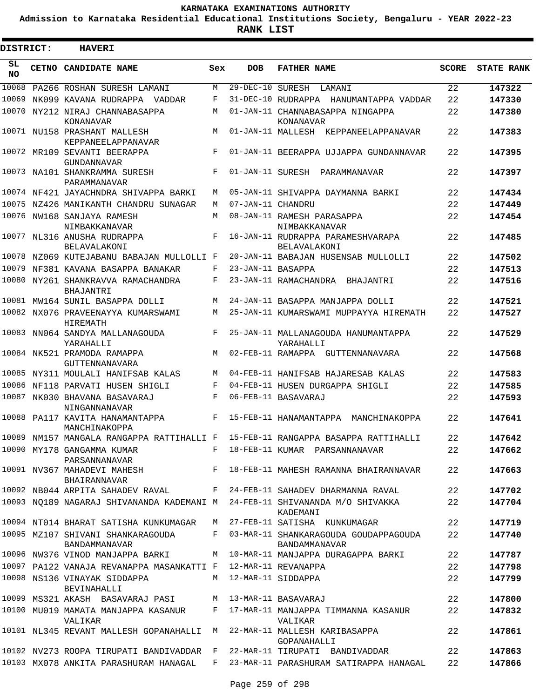**Admission to Karnataka Residential Educational Institutions Society, Bengaluru - YEAR 2022-23**

 $\blacksquare$ 

**RANK LIST**

Е

| DISTRICT: | <b>HAVERI</b>                                                                 |     |                   |                                                                                                   |       |                   |
|-----------|-------------------------------------------------------------------------------|-----|-------------------|---------------------------------------------------------------------------------------------------|-------|-------------------|
| SL.<br>NO | CETNO CANDIDATE NAME                                                          | Sex | <b>DOB</b>        | <b>FATHER NAME</b>                                                                                | SCORE | <b>STATE RANK</b> |
| 10068     | PA266 ROSHAN SURESH LAMANI                                                    | М   | 29-DEC-10 SURESH  | LAMANI                                                                                            | 22    | 147322            |
| 10069     | NK099 KAVANA RUDRAPPA VADDAR                                                  | F   |                   | 31-DEC-10 RUDRAPPA HANUMANTAPPA VADDAR                                                            | 22    | 147330            |
|           | 10070 NY212 NIRAJ CHANNABASAPPA<br>KONANAVAR                                  | М   |                   | 01-JAN-11 CHANNABASAPPA NINGAPPA<br>KONANAVAR                                                     | 22    | 147380            |
|           | 10071 NU158 PRASHANT MALLESH<br>KEPPANEELAPPANAVAR                            | M   |                   | 01-JAN-11 MALLESH KEPPANEELAPPANAVAR                                                              | 22    | 147383            |
|           | 10072 MR109 SEVANTI BEERAPPA<br>GUNDANNAVAR                                   | F   |                   | 01-JAN-11 BEERAPPA UJJAPPA GUNDANNAVAR                                                            | 22    | 147395            |
|           | 10073 NA101 SHANKRAMMA SURESH<br>PARAMMANAVAR                                 | F   |                   | 01-JAN-11 SURESH PARAMMANAVAR                                                                     | 22    | 147397            |
|           | 10074 NF421 JAYACHNDRA SHIVAPPA BARKI                                         | M   |                   | 05-JAN-11 SHIVAPPA DAYMANNA BARKI                                                                 | 22    | 147434            |
|           | 10075 NZ426 MANIKANTH CHANDRU SUNAGAR                                         | M   | 07-JAN-11 CHANDRU |                                                                                                   | 22    | 147449            |
|           | 10076 NW168 SANJAYA RAMESH<br>NIMBAKKANAVAR                                   | M   |                   | 08-JAN-11 RAMESH PARASAPPA<br>NIMBAKKANAVAR                                                       | 22    | 147454            |
|           | 10077 NL316 ANUSHA RUDRAPPA<br>BELAVALAKONI                                   | F   |                   | 16-JAN-11 RUDRAPPA PARAMESHVARAPA<br>BELAVALAKONI                                                 | 22    | 147485            |
|           | 10078 NZ069 KUTEJABANU BABAJAN MULLOLLI F                                     |     |                   | 20-JAN-11 BABAJAN HUSENSAB MULLOLLI                                                               | 22    | 147502            |
| 10079     | NF381 KAVANA BASAPPA BANAKAR                                                  | F   | 23-JAN-11 BASAPPA |                                                                                                   | 22    | 147513            |
|           | 10080 NY261 SHANKRAVVA RAMACHANDRA<br>BHAJANTRI                               | F   |                   | 23-JAN-11 RAMACHANDRA BHAJANTRI                                                                   | 22    | 147516            |
|           | 10081 MW164 SUNIL BASAPPA DOLLI                                               | M   |                   | 24-JAN-11 BASAPPA MANJAPPA DOLLI                                                                  | 22    | 147521            |
|           | 10082 NX076 PRAVEENAYYA KUMARSWAMI<br>HIREMATH                                | М   |                   | 25-JAN-11 KUMARSWAMI MUPPAYYA HIREMATH                                                            | 22    | 147527            |
|           | 10083 NN064 SANDYA MALLANAGOUDA<br>YARAHALLI                                  | F   |                   | 25-JAN-11 MALLANAGOUDA HANUMANTAPPA<br>YARAHALLI                                                  | 22    | 147529            |
|           | 10084 NK521 PRAMODA RAMAPPA<br>GUTTENNANAVARA                                 | M   |                   | 02-FEB-11 RAMAPPA GUTTENNANAVARA                                                                  | 22    | 147568            |
|           | 10085 NY311 MOULALI HANIFSAB KALAS                                            | M   |                   | 04-FEB-11 HANIFSAB HAJARESAB KALAS                                                                | 22    | 147583            |
|           | 10086 NF118 PARVATI HUSEN SHIGLI                                              | F   |                   | 04-FEB-11 HUSEN DURGAPPA SHIGLI                                                                   | 22    | 147585            |
| 10087     | NK030 BHAVANA BASAVARAJ<br>NINGANNANAVAR                                      | F   |                   | 06-FEB-11 BASAVARAJ                                                                               | 22    | 147593            |
|           | 10088 PA117 KAVITA HANAMANTAPPA<br>MANCHINAKOPPA                              | F   |                   | 15-FEB-11 HANAMANTAPPA MANCHINAKOPPA                                                              | 22    | 147641            |
|           |                                                                               |     |                   | 10089 NM157 MANGALA RANGAPPA RATTIHALLI F 15-FEB-11 RANGAPPA BASAPPA RATTIHALLI                   | 22    | 147642            |
|           | 10090 MY178 GANGAMMA KUMAR $F$ 18-FEB-11 KUMAR PARSANNANAVAR<br>PARSANNANAVAR |     |                   |                                                                                                   | 22    | 147662            |
|           | 10091 NV367 MAHADEVI MAHESH<br>BHAIRANNAVAR                                   |     |                   | F 18-FEB-11 MAHESH RAMANNA BHAIRANNAVAR                                                           | 22    | 147663            |
|           | 10092 NB044 ARPITA SAHADEV RAVAL F 24-FEB-11 SAHADEV DHARMANNA RAVAL          |     |                   |                                                                                                   | 22    | 147702            |
|           |                                                                               |     |                   | 10093 NO189 NAGARAJ SHIVANANDA KADEMANI <sup>M24-FEB-11</sup> SHIVANANDA M/O SHIVAKKA<br>KADEMANI | 22    | 147704            |
|           | 10094 NT014 BHARAT SATISHA KUNKUMAGAR M 27-FEB-11 SATISHA KUNKUMAGAR          |     |                   |                                                                                                   | 22    | 147719            |
|           | 10095 MZ107 SHIVANI SHANKARAGOUDA<br>BANDAMMANAVAR                            |     |                   | F 03-MAR-11 SHANKARAGOUDA GOUDAPPAGOUDA<br>BANDAMMANAVAR                                          | 22    | 147740            |
|           |                                                                               |     |                   | 10096 NW376 VINOD MANJAPPA BARKI M 10-MAR-11 MANJAPPA DURAGAPPA BARKI                             | 22    | 147787            |
|           | 10097 PA122 VANAJA REVANAPPA MASANKATTI F 12-MAR-11 REVANAPPA                 |     |                   |                                                                                                   | 22    | 147798            |
|           | 10098 NS136 VINAYAK SIDDAPPA<br>BEVINAHALLI                                   |     |                   | M 12-MAR-11 SIDDAPPA                                                                              | 22    | 147799            |
|           | 10099 MS321 AKASH BASAVARAJ PASI M 13-MAR-11 BASAVARAJ                        |     |                   |                                                                                                   | 22    | 147800            |
|           | VALIKAR                                                                       |     |                   | 10100 MU019 MAMATA MANJAPPA KASANUR     F   17-MAR-11 MANJAPPA TIMMANNA KASANUR<br>VALIKAR        | 22    | 147832            |
|           | 10101 NL345 REVANT MALLESH GOPANAHALLI M 22-MAR-11 MALLESH KARIBASAPPA        |     |                   | GOPANAHALLI                                                                                       | 22    | 147861            |
|           | 10102 NV273 ROOPA TIRUPATI BANDIVADDAR F                                      |     |                   | 22-MAR-11 TIRUPATI BANDIVADDAR                                                                    | 22    | 147863            |
|           | 10103 MX078 ANKITA PARASHURAM HANAGAL                                         |     |                   | F 23-MAR-11 PARASHURAM SATIRAPPA HANAGAL                                                          | 22    | 147866            |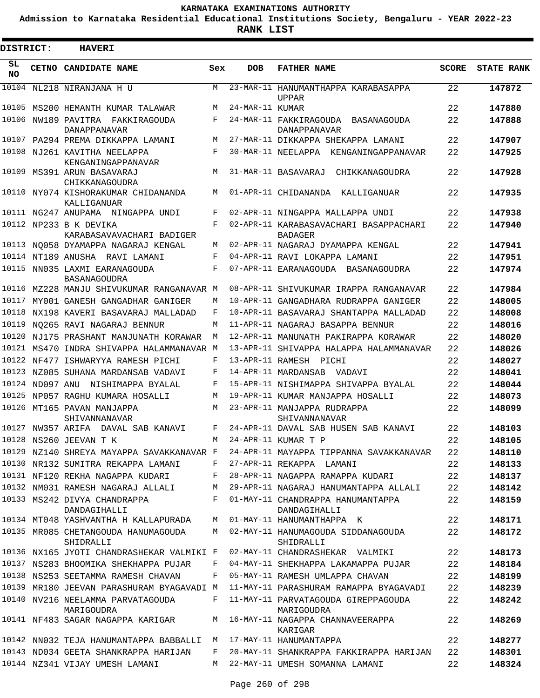**Admission to Karnataka Residential Educational Institutions Society, Bengaluru - YEAR 2022-23**

**RANK LIST**

 $\blacksquare$ 

| DISTRICT:       |                 | <b>HAVERI</b>                                                               |        |                 |                                                          |              |                   |
|-----------------|-----------------|-----------------------------------------------------------------------------|--------|-----------------|----------------------------------------------------------|--------------|-------------------|
| SL<br><b>NO</b> |                 | CETNO CANDIDATE NAME                                                        | Sex    | <b>DOB</b>      | <b>FATHER NAME</b>                                       | <b>SCORE</b> | <b>STATE RANK</b> |
|                 |                 | 10104 NL218 NIRANJANA H U                                                   | M      |                 | 23-MAR-11 HANUMANTHAPPA KARABASAPPA<br><b>UPPAR</b>      | 22           | 147872            |
| 10105           |                 | MS200 HEMANTH KUMAR TALAWAR                                                 | М      | 24-MAR-11 KUMAR |                                                          | 22           | 147880            |
|                 |                 | 10106 NW189 PAVITRA FAKKIRAGOUDA<br><b>DANAPPANAVAR</b>                     | F      |                 | 24-MAR-11 FAKKIRAGOUDA BASANAGOUDA<br>DANAPPANAVAR       | 22           | 147888            |
|                 |                 | 10107 PA294 PREMA DIKKAPPA LAMANI                                           | M      |                 | 27-MAR-11 DIKKAPPA SHEKAPPA LAMANI                       | 22           | 147907            |
|                 |                 | 10108 NJ261 KAVITHA NEELAPPA<br>KENGANINGAPPANAVAR                          | F      |                 | 30-MAR-11 NEELAPPA KENGANINGAPPANAVAR                    | 22           | 147925            |
|                 |                 | 10109 MS391 ARUN BASAVARAJ<br>CHIKKANAGOUDRA                                | M      |                 | 31-MAR-11 BASAVARAJ<br>CHIKKANAGOUDRA                    | 22           | 147928            |
| 10110           |                 | NY074 KISHORAKUMAR CHIDANANDA<br>KALLIGANUAR                                | M      |                 | 01-APR-11 CHIDANANDA<br>KALLIGANUAR                      | 22           | 147935            |
|                 |                 | 10111 NG247 ANUPAMA NINGAPPA UNDI                                           | F      |                 | 02-APR-11 NINGAPPA MALLAPPA UNDI                         | 22           | 147938            |
|                 |                 | 10112 NP233 B K DEVIKA<br>KARABASAVAVACHARI BADIGER                         | F      |                 | 02-APR-11 KARABASAVACHARI BASAPPACHARI<br><b>BADAGER</b> | 22           | 147940            |
|                 |                 | 10113 NQ058 DYAMAPPA NAGARAJ KENGAL                                         | М      |                 | 02-APR-11 NAGARAJ DYAMAPPA KENGAL                        | 22           | 147941            |
|                 |                 | 10114 NT189 ANUSHA RAVI LAMANI                                              | F      |                 | 04-APR-11 RAVI LOKAPPA LAMANI                            | 22           | 147951            |
|                 |                 | 10115 NN035 LAXMI EARANAGOUDA<br><b>BASANAGOUDRA</b>                        | F      |                 | 07-APR-11 EARANAGOUDA<br>BASANAGOUDRA                    | 22           | 147974            |
|                 |                 | 10116 MZ228 MANJU SHIVUKUMAR RANGANAVAR M                                   |        |                 | 08-APR-11 SHIVUKUMAR IRAPPA RANGANAVAR                   | 22           | 147984            |
| 10117           |                 | MY001 GANESH GANGADHAR GANIGER                                              | М      |                 | 10-APR-11 GANGADHARA RUDRAPPA GANIGER                    | 22           | 148005            |
| 10118           |                 | NX198 KAVERI BASAVARAJ MALLADAD                                             | F      |                 | 10-APR-11 BASAVARAJ SHANTAPPA MALLADAD                   | 22           | 148008            |
| 10119           |                 | NO265 RAVI NAGARAJ BENNUR                                                   | M      |                 | 11-APR-11 NAGARAJ BASAPPA BENNUR                         | 22           | 148016            |
| 10120           |                 | NJ175 PRASHANT MANJUNATH KORAWAR                                            | M      |                 | 12-APR-11 MANUNATH PAKIRAPPA KORAWAR                     | 22           | 148020            |
|                 |                 | 10121 MS470 INDRA SHIVAPPA HALAMMANAVAR                                     | M      |                 | 13-APR-11 SHIVAPPA HALAPPA HALAMMANAVAR                  | 22           | 148026            |
|                 |                 | 10122 NF477 ISHWARYYA RAMESH PICHI                                          | F      |                 | 13-APR-11 RAMESH PICHI                                   | 22           | 148027            |
| 10123           |                 | NZ085 SUHANA MARDANSAB VADAVI                                               | F      |                 | 14-APR-11 MARDANSAB VADAVI                               | 22           | 148041            |
|                 | 10124 ND097 ANU | NISHIMAPPA BYALAL                                                           | F      |                 | 15-APR-11 NISHIMAPPA SHIVAPPA BYALAL                     | 22           | 148044            |
| 10125           |                 | NP057 RAGHU KUMARA HOSALLI                                                  | М      |                 | 19-APR-11 KUMAR MANJAPPA HOSALLI                         | 22           | 148073            |
| 10126           |                 | MT165 PAVAN MANJAPPA<br>SHIVANNANAVAR                                       | М      |                 | 23-APR-11 MANJAPPA RUDRAPPA<br>SHIVANNANAVAR             | 22           | 148099            |
|                 |                 | 10127 NW357 ARIFA DAVAL SAB KANAVI                                          | F      |                 | 24-APR-11 DAVAL SAB HUSEN SAB KANAVI                     | 22           | 148103            |
|                 |                 | 10128 NS260 JEEVAN T K                                                      | M      |                 | 24-APR-11 KUMAR T P                                      | 22           | 148105            |
|                 |                 | 10129 NZ140 SHREYA MAYAPPA SAVAKKANAVAR F                                   |        |                 | 24-APR-11 MAYAPPA TIPPANNA SAVAKKANAVAR                  | 22           | 148110            |
|                 |                 | 10130 NR132 SUMITRA REKAPPA LAMANI                                          | F      |                 | 27-APR-11 REKAPPA LAMANI                                 | 22           | 148133            |
|                 |                 | 10131 NF120 REKHA NAGAPPA KUDARI                                            | F      |                 | 28-APR-11 NAGAPPA RAMAPPA KUDARI                         | 22           | 148137            |
|                 |                 | 10132 NM031 RAMESH NAGARAJ ALLALI                                           | M      |                 | 29-APR-11 NAGARAJ HANUMANTAPPA ALLALI                    | 22           | 148142            |
|                 |                 | 10133 MS242 DIVYA CHANDRAPPA<br>DANDAGIHALLI                                | F<br>M |                 | 01-MAY-11 CHANDRAPPA HANUMANTAPPA<br>DANDAGIHALLI        | 22           | 148159            |
|                 |                 | 10134 MT048 YASHVANTHA H KALLAPURADA<br>10135 MR085 CHETANGOUDA HANUMAGOUDA |        |                 | 01-MAY-11 HANUMANTHAPPA K                                | 22           | 148171<br>148172  |
|                 |                 | SHIDRALLI                                                                   | M      |                 | 02-MAY-11 HANUMAGOUDA SIDDANAGOUDA<br>SHIDRALLI          | 22           |                   |
|                 |                 | 10136 NX165 JYOTI CHANDRASHEKAR VALMIKI F                                   |        |                 | 02-MAY-11 CHANDRASHEKAR VALMIKI                          | 22           | 148173            |
|                 |                 | 10137 NS283 BHOOMIKA SHEKHAPPA PUJAR                                        | F      |                 | 04-MAY-11 SHEKHAPPA LAKAMAPPA PUJAR                      | 22           | 148184            |
|                 |                 | 10138 NS253 SEETAMMA RAMESH CHAVAN                                          | F      |                 | 05-MAY-11 RAMESH UMLAPPA CHAVAN                          | 22           | 148199            |
|                 |                 | 10139 MR180 JEEVAN PARASHURAM BYAGAVADI M                                   |        |                 | 11-MAY-11 PARASHURAM RAMAPPA BYAGAVADI                   | 22           | 148239            |
|                 |                 | 10140 NV216 NEELAMMA PARVATAGOUDA<br>MARIGOUDRA                             | F      |                 | 11-MAY-11 PARVATAGOUDA GIREPPAGOUDA<br>MARIGOUDRA        | 22           | 148242            |
|                 |                 | 10141 NF483 SAGAR NAGAPPA KARIGAR                                           | M      |                 | 16-MAY-11 NAGAPPA CHANNAVEERAPPA<br>KARIGAR              | 22           | 148269            |
|                 |                 | 10142 NN032 TEJA HANUMANTAPPA BABBALLI                                      | M      |                 | 17-MAY-11 HANUMANTAPPA                                   | 22           | 148277            |
|                 |                 | 10143 ND034 GEETA SHANKRAPPA HARIJAN                                        | F      |                 | 20-MAY-11 SHANKRAPPA FAKKIRAPPA HARIJAN                  | 22           | 148301            |
|                 |                 | 10144 NZ341 VIJAY UMESH LAMANI                                              |        |                 | M 22-MAY-11 UMESH SOMANNA LAMANI                         | 22           | 148324            |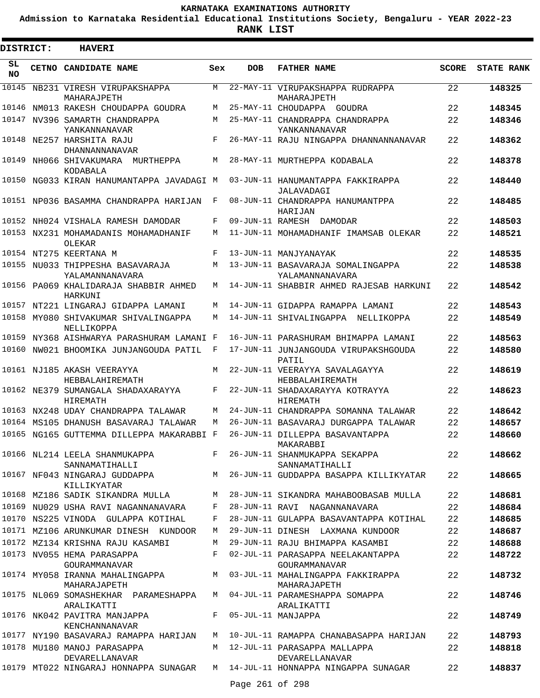**Admission to Karnataka Residential Educational Institutions Society, Bengaluru - YEAR 2022-23**

| <b>DISTRICT:</b> | <b>HAVERI</b>                                                               |                    |            |                                                      |              |                   |
|------------------|-----------------------------------------------------------------------------|--------------------|------------|------------------------------------------------------|--------------|-------------------|
| SL<br><b>NO</b>  | CETNO CANDIDATE NAME                                                        | Sex                | <b>DOB</b> | <b>FATHER NAME</b>                                   | <b>SCORE</b> | <b>STATE RANK</b> |
|                  | 10145 NB231 VIRESH VIRUPAKSHAPPA<br>MAHARAJPETH                             | M                  |            | 22-MAY-11 VIRUPAKSHAPPA RUDRAPPA<br>MAHARAJPETH      | 22           | 148325            |
|                  | 10146 NM013 RAKESH CHOUDAPPA GOUDRA                                         | M                  |            | 25-MAY-11 CHOUDAPPA GOUDRA                           | 22           | 148345            |
|                  | 10147 NV396 SAMARTH CHANDRAPPA<br>YANKANNANAVAR                             | М                  |            | 25-MAY-11 CHANDRAPPA CHANDRAPPA<br>YANKANNANAVAR     | 22           | 148346            |
|                  | 10148 NE257 HARSHITA RAJU<br><b>DHANNANNANAVAR</b>                          | $_{\rm F}$         |            | 26-MAY-11 RAJU NINGAPPA DHANNANNANAVAR               | 22           | 148362            |
|                  | 10149 NH066 SHIVAKUMARA MURTHEPPA<br>KODABALA                               | М                  |            | 28-MAY-11 MURTHEPPA KODABALA                         | 22           | 148378            |
|                  | 10150 NG033 KIRAN HANUMANTAPPA JAVADAGI M                                   |                    |            | 03-JUN-11 HANUMANTAPPA FAKKIRAPPA<br>JALAVADAGI      | 22           | 148440            |
|                  | 10151 NP036 BASAMMA CHANDRAPPA HARIJAN                                      | F                  |            | 08-JUN-11 CHANDRAPPA HANUMANTPPA<br>HARIJAN          | 22           | 148485            |
|                  | 10152 NH024 VISHALA RAMESH DAMODAR                                          | F                  |            | 09-JUN-11 RAMESH DAMODAR                             | 22           | 148503            |
|                  | 10153 NX231 MOHAMADANIS MOHAMADHANIF<br>OLEKAR                              | М                  |            | 11-JUN-11 MOHAMADHANIF IMAMSAB OLEKAR                | 22           | 148521            |
|                  | 10154 NT275 KEERTANA M                                                      | $\mathbf{F}% _{0}$ |            | 13-JUN-11 MANJYANAYAK                                | 22           | 148535            |
|                  | 10155 NU033 THIPPESHA BASAVARAJA<br>YALAMANNANAVARA                         | М                  |            | 13-JUN-11 BASAVARAJA SOMALINGAPPA<br>YALAMANNANAVARA | 22           | 148538            |
|                  | 10156 PA069 KHALIDARAJA SHABBIR AHMED<br>HARKUNI                            | М                  |            | 14-JUN-11 SHABBIR AHMED RAJESAB HARKUNI              | 22           | 148542            |
|                  | 10157 NT221 LINGARAJ GIDAPPA LAMANI                                         | М                  |            | 14-JUN-11 GIDAPPA RAMAPPA LAMANI                     | 22           | 148543            |
|                  | 10158 MY080 SHIVAKUMAR SHIVALINGAPPA<br>NELLIKOPPA                          | М                  |            | 14-JUN-11 SHIVALINGAPPA NELLIKOPPA                   | 22           | 148549            |
|                  | 10159 NY368 AISHWARYA PARASHURAM LAMANI F                                   |                    |            | 16-JUN-11 PARASHURAM BHIMAPPA LAMANI                 | 22           | 148563            |
|                  | 10160 NW021 BHOOMIKA JUNJANGOUDA PATIL                                      | F                  |            | 17-JUN-11 JUNJANGOUDA VIRUPAKSHGOUDA<br>PATIL        | 22           | 148580            |
|                  | 10161 NJ185 AKASH VEERAYYA<br>HEBBALAHIREMATH                               | M                  |            | 22-JUN-11 VEERAYYA SAVALAGAYYA<br>HEBBALAHIREMATH    | 22           | 148619            |
|                  | 10162 NE379 SUMANGALA SHADAXARAYYA<br><b>HIREMATH</b>                       | F                  |            | 22-JUN-11 SHADAXARAYYA KOTRAYYA<br><b>HIREMATH</b>   | 22           | 148623            |
|                  | 10163 NX248 UDAY CHANDRAPPA TALAWAR                                         | M                  |            | 24-JUN-11 CHANDRAPPA SOMANNA TALAWAR                 | 22           | 148642            |
|                  | 10164 MS105 DHANUSH BASAVARAJ TALAWAR                                       | M                  |            | 26-JUN-11 BASAVARAJ DURGAPPA TALAWAR                 | 22           | 148657            |
|                  | 10165 NG165 GUTTEMMA DILLEPPA MAKARABBI F                                   |                    |            | 26-JUN-11 DILLEPPA BASAVANTAPPA<br>MAKARABBI         | 22           | 148660            |
|                  | 10166 NL214 LEELA SHANMUKAPPA<br>SANNAMATIHALLI                             |                    |            | F 26-JUN-11 SHANMUKAPPA SEKAPPA<br>SANNAMATIHALLI    | 22           | 148662            |
|                  | 10167 NF043 NINGARAJ GUDDAPPA<br>KILLIKYATAR                                |                    |            | M 26-JUN-11 GUDDAPPA BASAPPA KILLIKYATAR             | 22           | 148665            |
|                  | 10168 MZ186 SADIK SIKANDRA MULLA                                            | M                  |            | 28-JUN-11 SIKANDRA MAHABOOBASAB MULLA                | 22           | 148681            |
|                  | 10169 NU029 USHA RAVI NAGANNANAVARA                                         | F                  |            | 28-JUN-11 RAVI NAGANNANAVARA                         | 22           | 148684            |
|                  | 10170 NS225 VINODA GULAPPA KOTIHAL                                          | F                  |            | 28-JUN-11 GULAPPA BASAVANTAPPA KOTIHAL               | 22           | 148685            |
|                  | 10171 MZ106 ARUNKUMAR DINESH KUNDOOR                                        | M                  |            | 29-JUN-11 DINESH LAXMANA KUNDOOR                     | 22           | 148687            |
|                  | 10172 MZ134 KRISHNA RAJU KASAMBI                                            | М                  |            | 29-JUN-11 RAJU BHIMAPPA KASAMBI                      | 22           | 148688            |
|                  | 10173 NV055 HEMA PARASAPPA<br>GOURAMMANAVAR                                 | F                  |            | 02-JUL-11 PARASAPPA NEELAKANTAPPA<br>GOURAMMANAVAR   | 22           | 148722            |
|                  | 10174 MY058 IRANNA MAHALINGAPPA<br>MAHARAJAPETH                             |                    |            | M 03-JUL-11 MAHALINGAPPA FAKKIRAPPA<br>MAHARAJAPETH  | 22           | 148732            |
|                  | 10175 NL069 SOMASHEKHAR PARAMESHAPPA<br>ARALIKATTI                          |                    |            | M 04-JUL-11 PARAMESHAPPA SOMAPPA<br>ARALIKATTI       | 22           | 148746            |
|                  | 10176 NK042 PAVITRA MANJAPPA<br>KENCHANNANAVAR                              | $F -$              |            | 05-JUL-11 MANJAPPA                                   | 22           | 148749            |
|                  | 10177 NY190 BASAVARAJ RAMAPPA HARIJAN                                       |                    |            | M 10-JUL-11 RAMAPPA CHANABASAPPA HARIJAN             | 22           | 148793            |
|                  | 10178 MU180 MANOJ PARASAPPA<br>DEVARELLANAVAR                               |                    |            | M 12-JUL-11 PARASAPPA MALLAPPA<br>DEVARELLANAVAR     | 22           | 148818            |
|                  | 10179 MT022 NINGARAJ HONNAPPA SUNAGAR M 14-JUL-11 HONNAPPA NINGAPPA SUNAGAR |                    |            |                                                      | 22           | 148837            |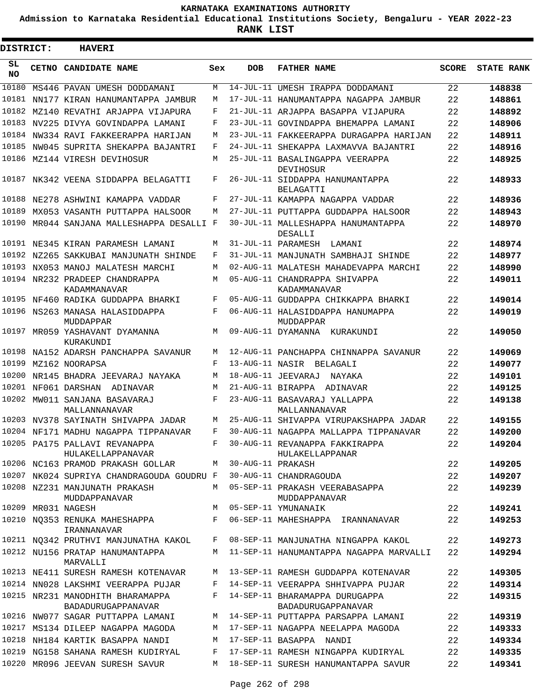**Admission to Karnataka Residential Educational Institutions Society, Bengaluru - YEAR 2022-23**

| DISTRICT:       | <b>HAVERI</b>                                                              |             |                   |                                                      |              |                   |
|-----------------|----------------------------------------------------------------------------|-------------|-------------------|------------------------------------------------------|--------------|-------------------|
| SL<br><b>NO</b> | <b>CETNO CANDIDATE NAME</b>                                                | Sex         | <b>DOB</b>        | <b>FATHER NAME</b>                                   | <b>SCORE</b> | <b>STATE RANK</b> |
| 10180           | MS446 PAVAN UMESH DODDAMANI                                                | М           |                   | 14-JUL-11 UMESH IRAPPA DODDAMANI                     | 22           | 148838            |
| 10181           | NN177 KIRAN HANUMANTAPPA JAMBUR                                            | М           |                   | 17-JUL-11 HANUMANTAPPA NAGAPPA JAMBUR                | 22           | 148861            |
| 10182           | MZ140 REVATHI ARJAPPA VIJAPURA                                             | F           |                   | 21-JUL-11 ARJAPPA BASAPPA VIJAPURA                   | 22           | 148892            |
| 10183           | NV225 DIVYA GOVINDAPPA LAMANI                                              | F           |                   | 23-JUL-11 GOVINDAPPA BHEMAPPA LAMANI                 | 22           | 148906            |
|                 | 10184 NW334 RAVI FAKKEERAPPA HARIJAN                                       | М           |                   | 23-JUL-11 FAKKEERAPPA DURAGAPPA HARIJAN              | 22           | 148911            |
| 10185           | NW045 SUPRITA SHEKAPPA BAJANTRI                                            | F           |                   | 24-JUL-11 SHEKAPPA LAXMAVVA BAJANTRI                 | 22           | 148916            |
| 10186           | MZ144 VIRESH DEVIHOSUR                                                     | М           |                   | 25-JUL-11 BASALINGAPPA VEERAPPA<br>DEVIHOSUR         | 22           | 148925            |
|                 | 10187 NK342 VEENA SIDDAPPA BELAGATTI                                       | F           |                   | 26-JUL-11 SIDDAPPA HANUMANTAPPA<br><b>BELAGATTI</b>  | 22           | 148933            |
| 10188           | NE278 ASHWINI KAMAPPA VADDAR                                               | F           |                   | 27-JUL-11 KAMAPPA NAGAPPA VADDAR                     | 22           | 148936            |
| 10189           | MX053 VASANTH PUTTAPPA HALSOOR                                             | М           |                   | 27-JUL-11 PUTTAPPA GUDDAPPA HALSOOR                  | 22           | 148943            |
| 10190           | MR044 SANJANA MALLESHAPPA DESALLI F                                        |             |                   | 30-JUL-11 MALLESHAPPA HANUMANTAPPA<br>DESALLI        | 22           | 148970            |
|                 | 10191 NE345 KIRAN PARAMESH LAMANI                                          | М           |                   | 31-JUL-11 PARAMESH<br>LAMANI                         | 22           | 148974            |
|                 | 10192 NZ265 SAKKUBAI MANJUNATH SHINDE                                      | F           |                   | 31-JUL-11 MANJUNATH SAMBHAJI SHINDE                  | 22           | 148977            |
| 10193           | NX053 MANOJ MALATESH MARCHI                                                | М           |                   | 02-AUG-11 MALATESH MAHADEVAPPA MARCHI                | 22           | 148990            |
| 10194           | NR232 PRADEEP CHANDRAPPA<br>KADAMMANAVAR                                   | М           |                   | 05-AUG-11 CHANDRAPPA SHIVAPPA<br>KADAMMANAVAR        | 22           | 149011            |
| 10195           | NF460 RADIKA GUDDAPPA BHARKI                                               | F           |                   | 05-AUG-11 GUDDAPPA CHIKKAPPA BHARKI                  | 22           | 149014            |
| 10196           | NS263 MANASA HALASIDDAPPA<br>MUDDAPPAR                                     | F           |                   | 06-AUG-11 HALASIDDAPPA HANUMAPPA<br>MUDDAPPAR        | 22           | 149019            |
| 10197           | MR059 YASHAVANT DYAMANNA<br>KURAKUNDI                                      | М           |                   | 09-AUG-11 DYAMANNA KURAKUNDI                         | 22           | 149050            |
| 10198           | NA152 ADARSH PANCHAPPA SAVANUR                                             | М           |                   | 12-AUG-11 PANCHAPPA CHINNAPPA SAVANUR                | 22           | 149069            |
| 10199           | MZ162 NOORAPSA                                                             | F           |                   | 13-AUG-11 NASIR BELAGALI                             | 22           | 149077            |
| 10200           | NR145 BHADRA JEEVARAJ NAYAKA                                               | М           |                   | 18-AUG-11 JEEVARAJ<br>NAYAKA                         | 22           | 149101            |
| 10201           | NF061 DARSHAN<br>ADINAVAR                                                  | М           |                   | 21-AUG-11 BIRAPPA ADINAVAR                           | 22           | 149125            |
| 10202           | MW011 SANJANA BASAVARAJ<br>MALLANNANAVAR                                   | F           |                   | 23-AUG-11 BASAVARAJ YALLAPPA<br>MALLANNANAVAR        | 22           | 149138            |
|                 | 10203 NV378 SAYINATH SHIVAPPA JADAR                                        | М           |                   | 25-AUG-11 SHIVAPPA VIRUPAKSHAPPA JADAR               | 22           | 149155            |
|                 | 10204 NF171 MADHU NAGAPPA TIPPANAVAR                                       | F           |                   | 30-AUG-11 NAGAPPA MALLAPPA TIPPANAVAR                | 22           | 149200            |
|                 | 10205 PA175 PALLAVI REVANAPPA<br>HULAKELLAPPANAVAR                         | $\mathbf F$ |                   | 30-AUG-11 REVANAPPA FAKKIRAPPA<br>HULAKELLAPPANAR    | 22           | 149204            |
|                 | 10206 NC163 PRAMOD PRAKASH GOLLAR                                          | М           | 30-AUG-11 PRAKASH |                                                      | 22           | 149205            |
|                 | 10207 NK024 SUPRIYA CHANDRAGOUDA GOUDRU F                                  |             |                   | 30-AUG-11 CHANDRAGOUDA                               | 22           | 149207            |
|                 | 10208 NZ231 MANJUNATH PRAKASH<br>MUDDAPPANAVAR                             |             |                   | M 05-SEP-11 PRAKASH VEERABASAPPA<br>MUDDAPPANAVAR    | 22           | 149239            |
|                 | 10209 MR031 NAGESH                                                         | M           |                   | 05-SEP-11 YMUNANAIK                                  | 22           | 149241            |
|                 | 10210 NO353 RENUKA MAHESHAPPA<br>IRANNANAVAR                               |             |                   | F 06-SEP-11 MAHESHAPPA IRANNANAVAR                   | 22           | 149253            |
|                 | 10211 NQ342 PRUTHVI MANJUNATHA KAKOL F 08-SEP-11 MANJUNATHA NINGAPPA KAKOL |             |                   |                                                      | 22           | 149273            |
|                 | 10212 NU156 PRATAP HANUMANTAPPA<br>MARVALLI                                |             |                   | M 11-SEP-11 HANUMANTAPPA NAGAPPA MARVALLI            | 22           | 149294            |
|                 | 10213 NE411 SURESH RAMESH KOTENAVAR                                        |             |                   | M 13-SEP-11 RAMESH GUDDAPPA KOTENAVAR                | 22           | 149305            |
|                 | 10214 NN028 LAKSHMI VEERAPPA PUJAR                                         | F           |                   | 14-SEP-11 VEERAPPA SHHIVAPPA PUJAR                   | 22           | 149314            |
|                 | 10215 NR231 MANODHITH BHARAMAPPA<br>BADADURUGAPPANAVAR                     | F           |                   | 14-SEP-11 BHARAMAPPA DURUGAPPA<br>BADADURUGAPPANAVAR | 22           | 149315            |
|                 | 10216 NW077 SAGAR PUTTAPPA LAMANI                                          | М           |                   | 14-SEP-11 PUTTAPPA PARSAPPA LAMANI                   | 22           | 149319            |
|                 | 10217 MS134 DILEEP NAGAPPA MAGODA                                          | М           |                   | 17-SEP-11 NAGAPPA NEELAPPA MAGODA                    | 22           | 149333            |
|                 | 10218 NH184 KARTIK BASAPPA NANDI                                           | М           |                   | 17-SEP-11 BASAPPA NANDI                              | 22           | 149334            |
|                 | 10219 NG158 SAHANA RAMESH KUDIRYAL                                         | F           |                   | 17-SEP-11 RAMESH NINGAPPA KUDIRYAL                   | 22           | 149335            |
|                 | 10220 MR096 JEEVAN SURESH SAVUR                                            | М           |                   | 18-SEP-11 SURESH HANUMANTAPPA SAVUR                  | 22           | 149341            |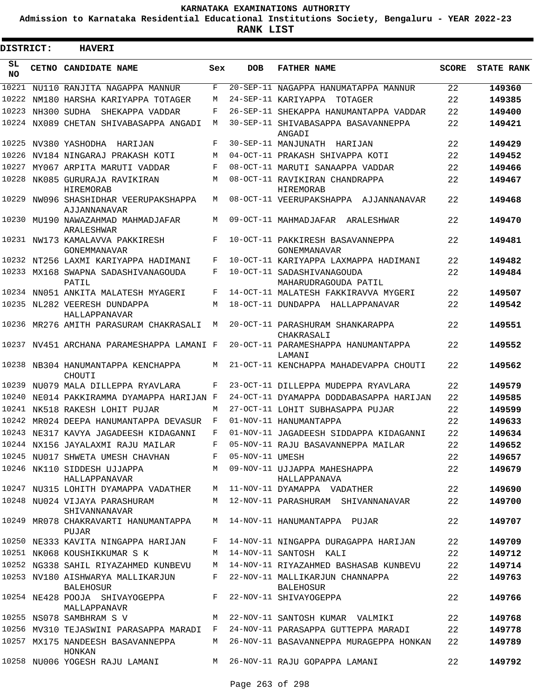**Admission to Karnataka Residential Educational Institutions Society, Bengaluru - YEAR 2022-23**

| <b>DISTRICT:</b> | <b>HAVERI</b>                                         |             |                   |                                                                              |              |                   |
|------------------|-------------------------------------------------------|-------------|-------------------|------------------------------------------------------------------------------|--------------|-------------------|
| SL<br><b>NO</b>  | CETNO CANDIDATE NAME                                  | Sex         | <b>DOB</b>        | <b>FATHER NAME</b>                                                           | <b>SCORE</b> | <b>STATE RANK</b> |
| 10221            | NU110 RANJITA NAGAPPA MANNUR                          | F           |                   | 20-SEP-11 NAGAPPA HANUMATAPPA MANNUR                                         | 22           | 149360            |
| 10222            | NM180 HARSHA KARIYAPPA TOTAGER                        | M           |                   | 24-SEP-11 KARIYAPPA<br>TOTAGER                                               | 22           | 149385            |
| 10223            | NH300 SUDHA<br>SHEKAPPA VADDAR                        | F           |                   | 26-SEP-11 SHEKAPPA HANUMANTAPPA VADDAR                                       | 22           | 149400            |
|                  | 10224 NX089 CHETAN SHIVABASAPPA ANGADI                | M           |                   | 30-SEP-11 SHIVABASAPPA BASAVANNEPPA<br>ANGADI                                | 22           | 149421            |
| 10225            | NV380 YASHODHA<br>HARIJAN                             | F           |                   | 30-SEP-11 MANJUNATH HARIJAN                                                  | 22           | 149429            |
| 10226            | NV184 NINGARAJ PRAKASH KOTI                           | M           |                   | 04-OCT-11 PRAKASH SHIVAPPA KOTI                                              | 22           | 149452            |
| 10227            | MY067 ARPITA MARUTI VADDAR                            | F           |                   | 08-OCT-11 MARUTI SANAAPPA VADDAR                                             | 22           | 149466            |
| 10228            | NK085 GURURAJA RAVIKIRAN<br><b>HIREMORAB</b>          | М           |                   | 08-OCT-11 RAVIKIRAN CHANDRAPPA<br><b>HIREMORAB</b>                           | 22           | 149467            |
| 10229            | NW096 SHASHIDHAR VEERUPAKSHAPPA<br>AJJANNANAVAR       | М           |                   | 08-OCT-11 VEERUPAKSHAPPA AJJANNANAVAR                                        | 22           | 149468            |
| 10230            | MU190 NAWAZAHMAD MAHMADJAFAR<br><b>ARALESHWAR</b>     | М           |                   | 09-OCT-11 MAHMADJAFAR<br>ARALESHWAR                                          | 22           | 149470            |
|                  | 10231 NW173 KAMALAVVA PAKKIRESH<br>GONEMMANAVAR       | F           |                   | 10-OCT-11 PAKKIRESH BASAVANNEPPA<br>GONEMMANAVAR                             | 22           | 149481            |
|                  | 10232 NT256 LAXMI KARIYAPPA HADIMANI                  | F           |                   | 10-OCT-11 KARIYAPPA LAXMAPPA HADIMANI                                        | 22           | 149482            |
|                  | 10233 MX168 SWAPNA SADASHIVANAGOUDA<br>PATIL          | F           |                   | 10-OCT-11 SADASHIVANAGOUDA<br>MAHARUDRAGOUDA PATIL                           | 22           | 149484            |
|                  | 10234 NN051 ANKITA MALATESH MYAGERI                   | F           |                   | 14-OCT-11 MALATESH FAKKIRAVVA MYGERI                                         | 22           | 149507            |
|                  | 10235 NL282 VEERESH DUNDAPPA<br>HALLAPPANAVAR         | М           |                   | 18-OCT-11 DUNDAPPA<br>HALLAPPANAVAR                                          | 22           | 149542            |
|                  | 10236 MR276 AMITH PARASURAM CHAKRASALI                | М           |                   | 20-OCT-11 PARASHURAM SHANKARAPPA<br>CHAKRASALI                               | 22           | 149551            |
|                  | 10237 NV451 ARCHANA PARAMESHAPPA LAMANI F             |             |                   | 20-OCT-11 PARAMESHAPPA HANUMANTAPPA<br>LAMANI                                | 22           | 149552            |
|                  | 10238 NB304 HANUMANTAPPA KENCHAPPA<br>CHOUTI          | М           |                   | 21-OCT-11 KENCHAPPA MAHADEVAPPA CHOUTI                                       | 22           | 149562            |
| 10239            | NU079 MALA DILLEPPA RYAVLARA                          | F           |                   | 23-OCT-11 DILLEPPA MUDEPPA RYAVLARA                                          | 22           | 149579            |
| 10240            | NE014 PAKKIRAMMA DYAMAPPA HARIJAN F                   |             |                   | 24-OCT-11 DYAMAPPA DODDABASAPPA HARIJAN                                      | 22           | 149585            |
|                  | 10241 NK518 RAKESH LOHIT PUJAR                        | M           |                   | 27-OCT-11 LOHIT SUBHASAPPA PUJAR                                             | 22           | 149599            |
| 10242            | MR024 DEEPA HANUMANTAPPA DEVASUR                      | F           |                   | 01-NOV-11 HANUMANTAPPA                                                       | 22           | 149633            |
|                  | 10243 NE317 KAVYA JAGADEESH KIDAGANNI                 | $\mathbf F$ |                   | 01-NOV-11 JAGADEESH SIDDAPPA KIDAGANNI                                       | 22           | 149634            |
|                  | 10244 NX156 JAYALAXMI RAJU MAILAR                     | F           |                   | 05-NOV-11 RAJU BASAVANNEPPA MAILAR                                           | 22           | 149652            |
|                  | 10245 NU017 SHWETA UMESH CHAVHAN                      |             | F 05-NOV-11 UMESH |                                                                              | 22           | 149657            |
|                  | 10246 NK110 SIDDESH UJJAPPA<br>HALLAPPANAVAR          | М           |                   | 09-NOV-11 UJJAPPA MAHESHAPPA<br>HALLAPPANAVA                                 | 22           | 149679            |
|                  | 10247 NU315 LOHITH DYAMAPPA VADATHER                  |             |                   | M 11-NOV-11 DYAMAPPA VADATHER                                                | 22           | 149690            |
|                  | 10248 NU024 VIJAYA PARASHURAM<br>SHIVANNANAVAR        | M           |                   | 12-NOV-11 PARASHURAM SHIVANNANAVAR                                           | 22           | 149700            |
|                  | 10249 MR078 CHAKRAVARTI HANUMANTAPPA<br>PUJAR         |             |                   | M 14-NOV-11 HANUMANTAPPA PUJAR                                               | 22           | 149707            |
|                  | 10250 NE333 KAVITA NINGAPPA HARIJAN                   | F           |                   | 14-NOV-11 NINGAPPA DURAGAPPA HARIJAN                                         | 22           | 149709            |
|                  | 10251 NK068 KOUSHIKKUMAR S K                          | М           |                   | 14-NOV-11 SANTOSH KALI                                                       | 22           | 149712            |
|                  | 10252 NG338 SAHIL RIYAZAHMED KUNBEVU                  |             |                   | M 14-NOV-11 RIYAZAHMED BASHASAB KUNBEVU                                      | 22           | 149714            |
|                  | 10253 NV180 AISHWARYA MALLIKARJUN<br><b>BALEHOSUR</b> | F           |                   | 22-NOV-11 MALLIKARJUN CHANNAPPA<br>BALEHOSUR                                 | 22           | 149763            |
|                  | 10254 NE428 POOJA SHIVAYOGEPPA<br>MALLAPPANAVR        | F           |                   | 22-NOV-11 SHIVAYOGEPPA                                                       | 22           | 149766            |
|                  | 10255 NS078 SAMBHRAM S V                              | M           |                   | 22-NOV-11 SANTOSH KUMAR VALMIKI                                              | 22           | 149768            |
|                  |                                                       |             |                   | 10256 MV310 TEJASWINI PARASAPPA MARADI F 24-NOV-11 PARASAPPA GUTTEPPA MARADI | 22           | 149778            |
|                  | 10257 MX175 NANDEESH BASAVANNEPPA<br>HONKAN           |             |                   | M 26-NOV-11 BASAVANNEPPA MURAGEPPA HONKAN                                    | 22           | 149789            |
|                  | 10258 NU006 YOGESH RAJU LAMANI                        |             |                   | M 26-NOV-11 RAJU GOPAPPA LAMANI                                              | 22           | 149792            |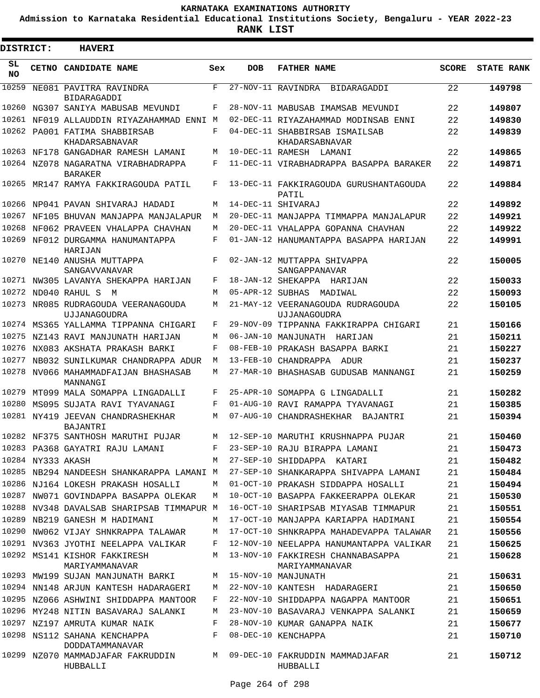**Admission to Karnataka Residential Educational Institutions Society, Bengaluru - YEAR 2022-23**

| DISTRICT: |                   | <b>HAVERI</b>                                         |     |            |                                                     |              |                   |
|-----------|-------------------|-------------------------------------------------------|-----|------------|-----------------------------------------------------|--------------|-------------------|
| SL<br>NO. |                   | CETNO CANDIDATE NAME                                  | Sex | <b>DOB</b> | <b>FATHER NAME</b>                                  | <b>SCORE</b> | <b>STATE RANK</b> |
| 10259     |                   | NE081 PAVITRA RAVINDRA<br><b>BIDARAGADDI</b>          | F   |            | 27-NOV-11 RAVINDRA BIDARAGADDI                      | 22           | 149798            |
|           |                   | 10260 NG307 SANIYA MABUSAB MEVUNDI                    | F   |            | 28-NOV-11 MABUSAB IMAMSAB MEVUNDI                   | 22           | 149807            |
| 10261     |                   | NF019 ALLAUDDIN RIYAZAHAMMAD ENNI M                   |     |            | 02-DEC-11 RIYAZAHAMMAD MODINSAB ENNI                | 22           | 149830            |
|           |                   | 10262 PA001 FATIMA SHABBIRSAB<br>KHADARSABNAVAR       | F   |            | 04-DEC-11 SHABBIRSAB ISMAILSAB<br>KHADARSABNAVAR    | 22           | 149839            |
|           |                   | 10263 NF178 GANGADHAR RAMESH LAMANI                   | M   |            | 10-DEC-11 RAMESH LAMANI                             | 22           | 149865            |
|           |                   | 10264 NZ078 NAGARATNA VIRABHADRAPPA<br><b>BARAKER</b> | F   |            | 11-DEC-11 VIRABHADRAPPA BASAPPA BARAKER             | 22           | 149871            |
|           |                   | 10265 MR147 RAMYA FAKKIRAGOUDA PATIL                  | F   |            | 13-DEC-11 FAKKIRAGOUDA GURUSHANTAGOUDA<br>PATIL     | 22           | 149884            |
|           |                   | 10266 NP041 PAVAN SHIVARAJ HADADI                     | M   |            | 14-DEC-11 SHIVARAJ                                  | 22           | 149892            |
|           |                   | 10267 NF105 BHUVAN MANJAPPA MANJALAPUR                | M   |            | 20-DEC-11 MANJAPPA TIMMAPPA MANJALAPUR              | 22           | 149921            |
|           |                   | 10268 NF062 PRAVEEN VHALAPPA CHAVHAN                  | M   |            | 20-DEC-11 VHALAPPA GOPANNA CHAVHAN                  | 22           | 149922            |
|           |                   | 10269 NF012 DURGAMMA HANUMANTAPPA<br>HARIJAN          | F   |            | 01-JAN-12 HANUMANTAPPA BASAPPA HARIJAN              | 22           | 149991            |
|           |                   | 10270 NE140 ANUSHA MUTTAPPA<br>SANGAVVANAVAR          | F   |            | 02-JAN-12 MUTTAPPA SHIVAPPA<br>SANGAPPANAVAR        | 22           | 150005            |
|           |                   | 10271 NW305 LAVANYA SHEKAPPA HARIJAN                  | F   |            | 18-JAN-12 SHEKAPPA HARIJAN                          | 22           | 150033            |
|           |                   | 10272 ND040 RAHUL S M                                 | M   |            | 05-APR-12 SUBHAS MADIWAL                            | 22           | 150093            |
|           |                   | 10273 NR085 RUDRAGOUDA VEERANAGOUDA<br>UJJANAGOUDRA   | М   |            | 21-MAY-12 VEERANAGOUDA RUDRAGOUDA<br>UJJANAGOUDRA   | 22           | 150105            |
|           |                   | 10274 MS365 YALLAMMA TIPPANNA CHIGARI                 | F   |            | 29-NOV-09 TIPPANNA FAKKIRAPPA CHIGARI               | 21           | 150166            |
| 10275     |                   | NZ143 RAVI MANJUNATH HARIJAN                          | M   |            | 06-JAN-10 MANJUNATH HARIJAN                         | 21           | 150211            |
| 10276     |                   | NX083 AKSHATA PRAKASH BARKI                           | F   |            | 08-FEB-10 PRAKASH BASAPPA BARKI                     | 21           | 150227            |
| 10277     |                   | NB032 SUNILKUMAR CHANDRAPPA ADUR                      | М   |            | 13-FEB-10 CHANDRAPPA ADUR                           | 21           | 150237            |
|           |                   | 10278 NV066 MAHAMMADFAIJAN BHASHASAB<br>MANNANGI      | М   |            | 27-MAR-10 BHASHASAB GUDUSAB MANNANGI                | 21           | 150259            |
|           |                   | 10279 MT099 MALA SOMAPPA LINGADALLI                   | F   |            | 25-APR-10 SOMAPPA G LINGADALLI                      | 21           | 150282            |
|           |                   | 10280 MS095 SUJATA RAVI TYAVANAGI                     | F   |            | 01-AUG-10 RAVI RAMAPPA TYAVANAGI                    | 21           | 150385            |
|           |                   | 10281 NY419 JEEVAN CHANDRASHEKHAR<br>BAJANTRI         | М   |            | 07-AUG-10 CHANDRASHEKHAR BAJANTRI                   | 21           | 150394            |
|           |                   | 10282 NF375 SANTHOSH MARUTHI PUJAR                    | M   |            | 12-SEP-10 MARUTHI KRUSHNAPPA PUJAR                  | 21           | 150460            |
|           |                   | 10283 PA368 GAYATRI RAJU LAMANI                       | F   |            | 23-SEP-10 RAJU BIRAPPA LAMANI                       | 21           | 150473            |
|           | 10284 NY333 AKASH |                                                       | M   |            | 27-SEP-10 SHIDDAPPA KATARI                          | 21           | 150482            |
|           |                   | 10285 NB294 NANDEESH SHANKARAPPA LAMANI M             |     |            | 27-SEP-10 SHANKARAPPA SHIVAPPA LAMANI               | 21           | 150484            |
|           |                   | 10286 NJ164 LOKESH PRAKASH HOSALLI                    | М   |            | 01-OCT-10 PRAKASH SIDDAPPA HOSALLI                  | 21           | 150494            |
|           |                   | 10287 NW071 GOVINDAPPA BASAPPA OLEKAR                 | M   |            | 10-OCT-10 BASAPPA FAKKEERAPPA OLEKAR                | 21           | 150530            |
|           |                   | 10288 NV348 DAVALSAB SHARIPSAB TIMMAPUR M             |     |            | 16-OCT-10 SHARIPSAB MIYASAB TIMMAPUR                | 21           | 150551            |
|           |                   | 10289 NB219 GANESH M HADIMANI                         | M   |            | 17-OCT-10 MANJAPPA KARIAPPA HADIMANI                | 21           | 150554            |
|           |                   | 10290 NW062 VIJAY SHNKRAPPA TALAWAR                   | М   |            | 17-OCT-10 SHNKRAPPA MAHADEVAPPA TALAWAR             | 21           | 150556            |
|           |                   | 10291 NV363 JYOTHI NEELAPPA VALIKAR                   | F   |            | 12-NOV-10 NEELAPPA HANUMANTAPPA VALIKAR             | 21           | 150625            |
|           |                   | 10292 MS141 KISHOR FAKKIRESH<br>MARIYAMMANAVAR        | M   |            | 13-NOV-10 FAKKIRESH CHANNABASAPPA<br>MARIYAMMANAVAR | 21           | 150628            |
|           |                   | 10293 MW199 SUJAN MANJUNATH BARKI                     | М   |            | 15-NOV-10 MANJUNATH                                 | 21           | 150631            |
|           |                   | 10294 NN148 ARJUN KANTESH HADARAGERI                  | М   |            | 22-NOV-10 KANTESH HADARAGERI                        | 21           | 150650            |
|           |                   | 10295 NZ066 ASHWINI SHIDDAPPA MANTOOR                 | F   |            | 22-NOV-10 SHIDDAPPA NAGAPPA MANTOOR                 | 21           | 150651            |
|           |                   | 10296 MY248 NITIN BASAVARAJ SALANKI                   | М   |            | 23-NOV-10 BASAVARAJ VENKAPPA SALANKI                | 21           | 150659            |
|           |                   | 10297 NZ197 AMRUTA KUMAR NAIK                         | F   |            | 28-NOV-10 KUMAR GANAPPA NAIK                        | 21           | 150677            |
|           |                   | 10298 NS112 SAHANA KENCHAPPA<br>DODDATAMMANAVAR       | F   |            | 08-DEC-10 KENCHAPPA                                 | 21           | 150710            |
|           |                   | 10299 NZ070 MAMMADJAFAR FAKRUDDIN<br>HUBBALLI         | М   |            | 09-DEC-10 FAKRUDDIN MAMMADJAFAR<br>HUBBALLI         | 21           | 150712            |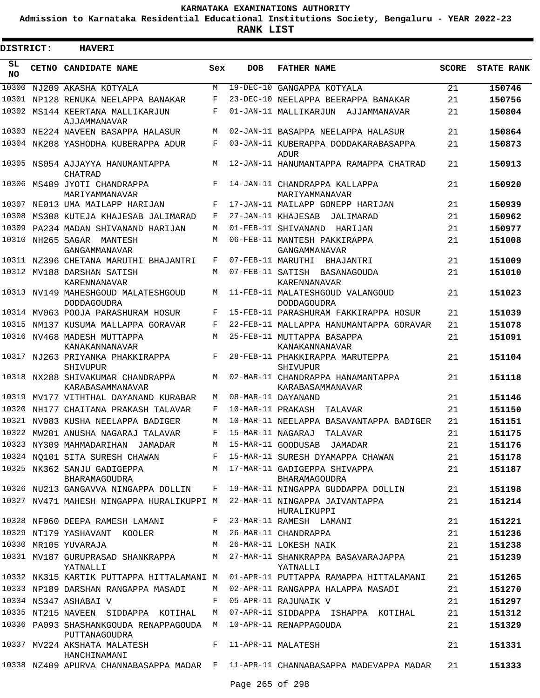**Admission to Karnataka Residential Educational Institutions Society, Bengaluru - YEAR 2022-23**

| <b>DISTRICT:</b> | <b>HAVERI</b>                                                                    |     |                   |                                                                                  |              |                   |  |
|------------------|----------------------------------------------------------------------------------|-----|-------------------|----------------------------------------------------------------------------------|--------------|-------------------|--|
| SL<br><b>NO</b>  | CETNO CANDIDATE NAME                                                             | Sex | <b>DOB</b>        | <b>FATHER NAME</b>                                                               | <b>SCORE</b> | <b>STATE RANK</b> |  |
| 10300            | NJ209 AKASHA KOTYALA                                                             | M   |                   | 19-DEC-10 GANGAPPA KOTYALA                                                       | 21           | 150746            |  |
|                  | 10301 NP128 RENUKA NEELAPPA BANAKAR                                              | F   |                   | 23-DEC-10 NEELAPPA BEERAPPA BANAKAR                                              | 21           | 150756            |  |
| 10302            | MS144 KEERTANA MALLIKARJUN<br>AJJAMMANAVAR                                       | F   |                   | 01-JAN-11 MALLIKARJUN AJJAMMANAVAR                                               | 21           | 150804            |  |
|                  | 10303 NE224 NAVEEN BASAPPA HALASUR                                               | М   |                   | 02-JAN-11 BASAPPA NEELAPPA HALASUR                                               | 21           | 150864            |  |
|                  | 10304 NK208 YASHODHA KUBERAPPA ADUR                                              | F   |                   | 03-JAN-11 KUBERAPPA DODDAKARABASAPPA<br>ADUR                                     | 21           | 150873            |  |
|                  | 10305 NS054 AJJAYYA HANUMANTAPPA<br>CHATRAD                                      | М   |                   | 12-JAN-11 HANUMANTAPPA RAMAPPA CHATRAD                                           | 21           | 150913            |  |
|                  | 10306 MS409 JYOTI CHANDRAPPA<br>MARIYAMMANAVAR                                   | F   |                   | 14-JAN-11 CHANDRAPPA KALLAPPA<br>MARIYAMMANAVAR                                  | 21           | 150920            |  |
| 10307            | NE013 UMA MAILAPP HARIJAN                                                        | F   |                   | 17-JAN-11 MAILAPP GONEPP HARIJAN                                                 | 21           | 150939            |  |
| 10308            | MS308 KUTEJA KHAJESAB JALIMARAD                                                  | F   |                   | 27-JAN-11 KHAJESAB<br>JALIMARAD                                                  | 21           | 150962            |  |
| 10309            | PA234 MADAN SHIVANAND HARIJAN                                                    | М   |                   | 01-FEB-11 SHIVANAND<br>HARIJAN                                                   | 21           | 150977            |  |
|                  | 10310 NH265 SAGAR MANTESH<br>GANGAMMANAVAR                                       | M   |                   | 06-FEB-11 MANTESH PAKKIRAPPA<br>GANGAMMANAVAR                                    | 21           | 151008            |  |
|                  | 10311 NZ396 CHETANA MARUTHI BHAJANTRI                                            | F   |                   | 07-FEB-11 MARUTHI BHAJANTRI                                                      | 21           | 151009            |  |
|                  | 10312 MV188 DARSHAN SATISH<br>KARENNANAVAR                                       | М   |                   | 07-FEB-11 SATISH BASANAGOUDA<br>KARENNANAVAR                                     | 21           | 151010            |  |
|                  | 10313 NV149 MAHESHGOUD MALATESHGOUD<br><b>DODDAGOUDRA</b>                        | М   |                   | 11-FEB-11 MALATESHGOUD VALANGOUD<br><b>DODDAGOUDRA</b>                           | 21           | 151023            |  |
|                  | 10314 MV063 POOJA PARASHURAM HOSUR                                               | F   |                   | 15-FEB-11 PARASHURAM FAKKIRAPPA HOSUR                                            | 21           | 151039            |  |
|                  | 10315 NM137 KUSUMA MALLAPPA GORAVAR                                              | F   |                   | 22-FEB-11 MALLAPPA HANUMANTAPPA GORAVAR                                          | 21           | 151078            |  |
|                  | 10316 NV468 MADESH MUTTAPPA<br>KANAKANNANAVAR                                    | M   |                   | 25-FEB-11 MUTTAPPA BASAPPA<br>KANAKANNANAVAR                                     | 21           | 151091            |  |
|                  | 10317 NJ263 PRIYANKA PHAKKIRAPPA<br>SHIVUPUR                                     | F   |                   | 28-FEB-11 PHAKKIRAPPA MARUTEPPA<br>SHIVUPUR                                      | 21           | 151104            |  |
|                  | 10318 NX288 SHIVAKUMAR CHANDRAPPA<br>KARABASAMMANAVAR                            | М   |                   | 02-MAR-11 CHANDRAPPA HANAMANTAPPA<br>KARABASAMMANAVAR                            | 21           | 151118            |  |
| 10319            | MV177 VITHTHAL DAYANAND KURABAR                                                  | М   |                   | 08-MAR-11 DAYANAND                                                               | 21           | 151146            |  |
| 10320            | NH177 CHAITANA PRAKASH TALAVAR                                                   | F   |                   | 10-MAR-11 PRAKASH TALAVAR                                                        | 21           | 151150            |  |
| 10321            | NV083 KUSHA NEELAPPA BADIGER                                                     | М   |                   | 10-MAR-11 NEELAPPA BASAVANTAPPA BADIGER                                          | 21           | 151151            |  |
|                  | 10322 MW201 ANUSHA NAGARAJ TALAVAR                                               | F   | 15-MAR-11 NAGARAJ | TALAVAR                                                                          | 21           | 151175            |  |
|                  | 10323 NY309 MAHMADARIHAN JAMADAR                                                 |     |                   | M 15-MAR-11 GOODUSAB JAMADAR                                                     | 21           | 151176            |  |
|                  |                                                                                  |     |                   | 10324 NQ101 SITA SURESH CHAWAN F 15-MAR-11 SURESH DYAMAPPA CHAWAN                | 21           | 151178            |  |
|                  | 10325 NK362 SANJU GADIGEPPA<br>BHARAMAGOUDRA                                     |     |                   | M 17-MAR-11 GADIGEPPA SHIVAPPA<br>BHARAMAGOUDRA                                  | 21           | 151187            |  |
|                  |                                                                                  |     |                   | 10326 NU213 GANGAVVA NINGAPPA DOLLIN F 19-MAR-11 NINGAPPA GUDDAPPA DOLLIN        | 21           | 151198            |  |
|                  | 10327 NV471 MAHESH NINGAPPA HURALIKUPPI M 22-MAR-11 NINGAPPA JAIVANTAPPA         |     |                   | HURALIKUPPI                                                                      | 21           | 151214            |  |
|                  | 10328 NF060 DEEPA RAMESH LAMANI                                                  |     |                   | F 23-MAR-11 RAMESH LAMANI                                                        | 21           | 151221            |  |
|                  | 10329 NT179 YASHAVANT KOOLER                                                     | M   |                   | 26-MAR-11 CHANDRAPPA                                                             | 21           | 151236            |  |
|                  | 10330 MR105 YUVARAJA                                                             | M   |                   | 26-MAR-11 LOKESH NAIK                                                            | 21           | 151238            |  |
|                  | 10331 MV187 GURUPRASAD SHANKRAPPA<br>YATNALLI                                    |     |                   | M 27-MAR-11 SHANKRAPPA BASAVARAJAPPA<br>YATNALLI                                 | 21           | 151239            |  |
|                  |                                                                                  |     |                   | 10332 NK315 KARTIK PUTTAPPA HITTALAMANI M 01-APR-11 PUTTAPPA RAMAPPA HITTALAMANI | 21           | 151265            |  |
|                  | 10333 NP189 DARSHAN RANGAPPA MASADI                                              |     |                   | M 02-APR-11 RANGAPPA HALAPPA MASADI                                              | 21           | 151270            |  |
|                  | 10334 NS347 ASHABAI V                                                            | F   |                   | 05-APR-11 RAJUNAIK V                                                             | 21           | 151297            |  |
|                  | 10335 NT215 NAVEEN SIDDAPPA KOTIHAL                                              |     |                   | M 07-APR-11 SIDDAPPA ISHAPPA KOTIHAL                                             | 21           | 151312            |  |
|                  | 10336 PA093 SHASHANKGOUDA RENAPPAGOUDA M 10-APR-11 RENAPPAGOUDA<br>PUTTANAGOUDRA |     |                   |                                                                                  | 21           | 151329            |  |
|                  | 10337 MV224 AKSHATA MALATESH<br>HANCHINAMANI                                     |     |                   | F 11-APR-11 MALATESH                                                             | 21           | 151331            |  |
|                  |                                                                                  |     |                   | 10338 NZ409 APURVA CHANNABASAPPA MADAR F 11-APR-11 CHANNABASAPPA MADEVAPPA MADAR | 21           | 151333            |  |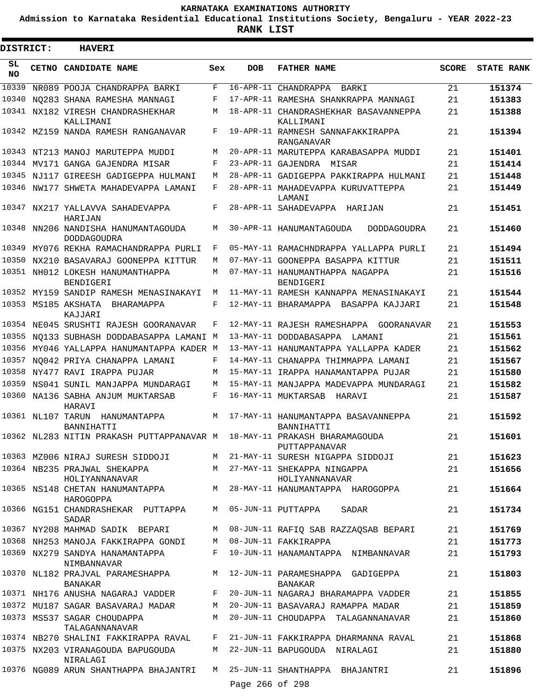**Admission to Karnataka Residential Educational Institutions Society, Bengaluru - YEAR 2022-23**

| DISTRICT:       |                   | <b>HAVERI</b>                                                    |     |                 |                                                                                |              |                   |
|-----------------|-------------------|------------------------------------------------------------------|-----|-----------------|--------------------------------------------------------------------------------|--------------|-------------------|
| SL<br><b>NO</b> |                   | <b>CETNO CANDIDATE NAME</b>                                      | Sex | <b>DOB</b>      | <b>FATHER NAME</b>                                                             | <b>SCORE</b> | <b>STATE RANK</b> |
| 10339           |                   | NR089 POOJA CHANDRAPPA BARKI                                     | F   |                 | 16-APR-11 CHANDRAPPA<br>BARKI                                                  | 21           | 151374            |
| 10340           |                   | NO283 SHANA RAMESHA MANNAGI                                      | F   |                 | 17-APR-11 RAMESHA SHANKRAPPA MANNAGI                                           | 21           | 151383            |
| 10341           |                   | NX182 VIRESH CHANDRASHEKHAR<br>KALLIMANI                         | M   |                 | 18-APR-11 CHANDRASHEKHAR BASAVANNEPPA<br>KALLIMANI                             | 21           | 151388            |
|                 |                   | 10342 MZ159 NANDA RAMESH RANGANAVAR                              | F   |                 | 19-APR-11 RAMNESH SANNAFAKKIRAPPA<br>RANGANAVAR                                | 21           | 151394            |
|                 |                   | 10343 NT213 MANOJ MARUTEPPA MUDDI                                | М   |                 | 20-APR-11 MARUTEPPA KARABASAPPA MUDDI                                          | 21           | 151401            |
|                 |                   | 10344 MV171 GANGA GAJENDRA MISAR                                 | F   |                 | 23-APR-11 GAJENDRA<br>MISAR                                                    | 21           | 151414            |
|                 |                   | 10345 NJ117 GIREESH GADIGEPPA HULMANI                            | M   |                 | 28-APR-11 GADIGEPPA PAKKIRAPPA HULMANI                                         | 21           | 151448            |
|                 |                   | 10346 NW177 SHWETA MAHADEVAPPA LAMANI                            | F   |                 | 28-APR-11 MAHADEVAPPA KURUVATTEPPA<br>LAMANI                                   | 21           | 151449            |
|                 |                   | 10347 NX217 YALLAVVA SAHADEVAPPA<br>HARIJAN                      | F   |                 | 28-APR-11 SAHADEVAPPA HARIJAN                                                  | 21           | 151451            |
| 10348           |                   | NN206 NANDISHA HANUMANTAGOUDA<br><b>DODDAGOUDRA</b>              | M   |                 | 30-APR-11 HANUMANTAGOUDA<br>DODDAGOUDRA                                        | 21           | 151460            |
|                 |                   | 10349 MY076 REKHA RAMACHANDRAPPA PURLI                           | F   |                 | 05-MAY-11 RAMACHNDRAPPA YALLAPPA PURLI                                         | 21           | 151494            |
|                 |                   | 10350 NX210 BASAVARAJ GOONEPPA KITTUR                            | M   |                 | 07-MAY-11 GOONEPPA BASAPPA KITTUR                                              | 21           | 151511            |
|                 |                   | 10351 NH012 LOKESH HANUMANTHAPPA<br>BENDIGERI                    | M   |                 | 07-MAY-11 HANUMANTHAPPA NAGAPPA<br>BENDIGERI                                   | 21           | 151516            |
|                 |                   | 10352 MY159 SANDIP RAMESH MENASINAKAYI                           | M   |                 | 11-MAY-11 RAMESH KANNAPPA MENASINAKAYI                                         | 21           | 151544            |
|                 |                   | 10353 MS185 AKSHATA<br>BHARAMAPPA<br>KAJJARI                     | F   |                 | 12-MAY-11 BHARAMAPPA BASAPPA KAJJARI                                           | 21           | 151548            |
|                 |                   | 10354 NE045 SRUSHTI RAJESH GOORANAVAR                            | F   |                 | 12-MAY-11 RAJESH RAMESHAPPA GOORANAVAR                                         | 21           | 151553            |
| 10355           |                   | NO133 SUBHASH DODDABASAPPA LAMANI M                              |     |                 | 13-MAY-11 DODDABASAPPA LAMANI                                                  | 21           | 151561            |
| 10356           |                   | MY046 YALLAPPA HANUMANTAPPA KADER M                              |     |                 | 13-MAY-11 HANUMANTAPPA YALLAPPA KADER                                          | 21           | 151562            |
| 10357           |                   | NO042 PRIYA CHANAPPA LAMANI                                      | F   |                 | 14-MAY-11 CHANAPPA THIMMAPPA LAMANI                                            | 21           | 151567            |
|                 |                   | 10358 NY477 RAVI IRAPPA PUJAR                                    | M   |                 | 15-MAY-11 IRAPPA HANAMANTAPPA PUJAR                                            | 21           | 151580            |
| 10359           |                   | NS041 SUNIL MANJAPPA MUNDARAGI                                   | M   |                 | 15-MAY-11 MANJAPPA MADEVAPPA MUNDARAGI                                         | 21           | 151582            |
|                 |                   | 10360 NA136 SABHA ANJUM MUKTARSAB<br>HARAVI                      | F   |                 | 16-MAY-11 MUKTARSAB HARAVI                                                     | 21           | 151587            |
|                 | 10361 NL107 TARUN | HANUMANTAPPA<br>BANNIHATTI                                       | M   |                 | 17-MAY-11 HANUMANTAPPA BASAVANNEPPA<br>BANNIHATTI                              | 21           | 151592            |
|                 |                   | 10362 NL283 NITIN PRAKASH PUTTAPPANAVAR M                        |     |                 | 18-MAY-11 PRAKASH BHARAMAGOUDA<br>PUTTAPPANAVAR                                | 21           | 151601            |
|                 |                   |                                                                  |     |                 | 10363 MZ006 NIRAJ SURESH SIDDOJI M 21-MAY-11 SURESH NIGAPPA SIDDOJI            | 21           | 151623            |
|                 |                   | 10364 NB235 PRAJWAL SHEKAPPA<br>HOLIYANNANAVAR                   |     |                 | M 27-MAY-11 SHEKAPPA NINGAPPA<br>HOLIYANNANAVAR                                | 21           | 151656            |
|                 |                   | HAROGOPPA                                                        |     |                 | 10365 NS148 CHETAN HANUMANTAPPA M 28-MAY-11 HANUMANTAPPA HAROGOPPA             | 21           | 151664            |
|                 |                   | 10366 NG151 CHANDRASHEKAR PUTTAPPA M 05-JUN-11 PUTTAPPA<br>SADAR |     |                 | SADAR                                                                          | 21           | 151734            |
|                 |                   | 10367 NY208 MAHMAD SADIK BEPARI                                  |     |                 | M 08-JUN-11 RAFIQ SAB RAZZAQSAB BEPARI                                         | 21           | 151769            |
|                 |                   | 10368 NH253 MANOJA FAKKIRAPPA GONDI M 08-JUN-11 FAKKIRAPPA       |     |                 |                                                                                | 21           | 151773            |
|                 |                   | 10369 NX279 SANDYA HANAMANTAPPA<br>NIMBANNAVAR                   |     |                 | F 10-JUN-11 HANAMANTAPPA NIMBANNAVAR                                           | 21           | 151793            |
|                 |                   | BANAKAR                                                          |     |                 | 10370 NL182 PRAJVAL PARAMESHAPPA M 12-JUN-11 PARAMESHAPPA GADIGEPPA<br>BANAKAR | 21           | 151803            |
|                 |                   |                                                                  |     |                 | 10371 NH176 ANUSHA NAGARAJ VADDER F 20-JUN-11 NAGARAJ BHARAMAPPA VADDER        | 21           | 151855            |
|                 |                   | 10372 MU187 SAGAR BASAVARAJ MADAR                                |     |                 | M 20-JUN-11 BASAVARAJ RAMAPPA MADAR                                            | 21           | 151859            |
|                 |                   | 10373 MS537 SAGAR CHOUDAPPA<br>TALAGANNANAVAR                    |     |                 | M 20-JUN-11 CHOUDAPPA TALAGANNANAVAR                                           | 21           | 151860            |
|                 |                   |                                                                  |     |                 | 10374 NB270 SHALINI FAKKIRAPPA RAVAL F 21-JUN-11 FAKKIRAPPA DHARMANNA RAVAL    | 21           | 151868            |
|                 |                   | 10375 NX203 VIRANAGOUDA BAPUGOUDA<br>NIRALAGI                    |     |                 | M 22-JUN-11 BAPUGOUDA NIRALAGI                                                 | 21           | 151880            |
|                 |                   | 10376 NG089 ARUN SHANTHAPPA BHAJANTRI                            |     | Page 266 of 298 | M 25-JUN-11 SHANTHAPPA BHAJANTRI                                               | 21           | 151896            |
|                 |                   |                                                                  |     |                 |                                                                                |              |                   |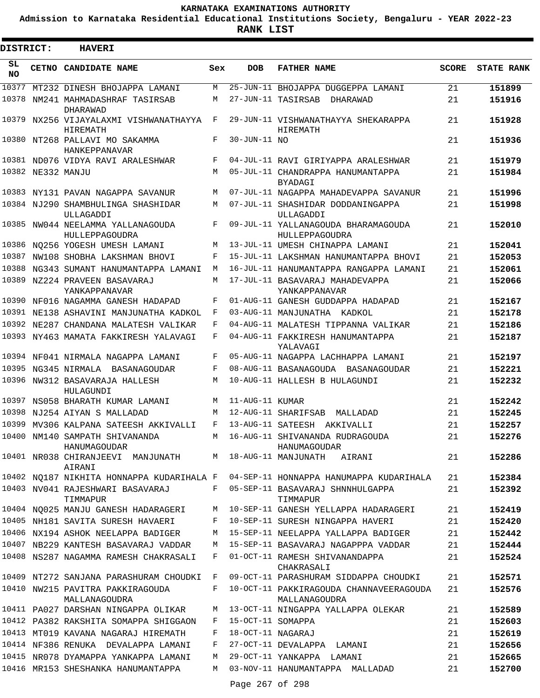**Admission to Karnataka Residential Educational Institutions Society, Bengaluru - YEAR 2022-23**

| DISTRICT:       |                   | <b>HAVERI</b>                                              |     |                   |                                                          |              |                   |
|-----------------|-------------------|------------------------------------------------------------|-----|-------------------|----------------------------------------------------------|--------------|-------------------|
| SL<br><b>NO</b> |                   | CETNO CANDIDATE NAME                                       | Sex | <b>DOB</b>        | <b>FATHER NAME</b>                                       | <b>SCORE</b> | <b>STATE RANK</b> |
| 10377           |                   | MT232 DINESH BHOJAPPA LAMANI                               | М   |                   | 25-JUN-11 BHOJAPPA DUGGEPPA LAMANI                       | 21           | 151899            |
| 10378           |                   | NM241 MAHMADASHRAF TASIRSAB<br>DHARAWAD                    | М   |                   | 27-JUN-11 TASIRSAB<br>DHARAWAD                           | 21           | 151916            |
|                 |                   | 10379 NX256 VIJAYALAXMI VISHWANATHAYYA<br>HIREMATH         | F   |                   | 29-JUN-11 VISHWANATHAYYA SHEKARAPPA<br>HIREMATH          | 21           | 151928            |
|                 |                   | 10380 NT268 PALLAVI MO SAKAMMA<br>HANKEPPANAVAR            | F   | 30-JUN-11 NO      |                                                          | 21           | 151936            |
|                 |                   | 10381 ND076 VIDYA RAVI ARALESHWAR                          | F   |                   | 04-JUL-11 RAVI GIRIYAPPA ARALESHWAR                      | 21           | 151979            |
|                 | 10382 NE332 MANJU |                                                            | М   |                   | 05-JUL-11 CHANDRAPPA HANUMANTAPPA<br><b>BYADAGI</b>      | 21           | 151984            |
|                 |                   | 10383 NY131 PAVAN NAGAPPA SAVANUR                          | M   |                   | 07-JUL-11 NAGAPPA MAHADEVAPPA SAVANUR                    | 21           | 151996            |
|                 |                   | 10384 NJ290 SHAMBHULINGA SHASHIDAR<br>ULLAGADDI            | М   |                   | 07-JUL-11 SHASHIDAR DODDANINGAPPA<br>ULLAGADDI           | 21           | 151998            |
|                 |                   | 10385 NW044 NEELAMMA YALLANAGOUDA<br><b>HULLEPPAGOUDRA</b> | F   |                   | 09-JUL-11 YALLANAGOUDA BHARAMAGOUDA<br>HULLEPPAGOUDRA    | 21           | 152010            |
| 10386           |                   | NO256 YOGESH UMESH LAMANI                                  | M   |                   | 13-JUL-11 UMESH CHINAPPA LAMANI                          | 21           | 152041            |
|                 |                   | 10387 NW108 SHOBHA LAKSHMAN BHOVI                          | F   |                   | 15-JUL-11 LAKSHMAN HANUMANTAPPA BHOVI                    | 21           | 152053            |
| 10388           |                   | NG343 SUMANT HANUMANTAPPA LAMANI                           | М   |                   | 16-JUL-11 HANUMANTAPPA RANGAPPA LAMANI                   | 21           | 152061            |
| 10389           |                   | NZ224 PRAVEEN BASAVARAJ<br>YANKAPPANAVAR                   | М   |                   | 17-JUL-11 BASAVARAJ MAHADEVAPPA<br>YANKAPPANAVAR         | 21           | 152066            |
| 10390           |                   | NF016 NAGAMMA GANESH HADAPAD                               | F   |                   | 01-AUG-11 GANESH GUDDAPPA HADAPAD                        | 21           | 152167            |
|                 |                   | 10391 NE138 ASHAVINI MANJUNATHA KADKOL                     | F   |                   | 03-AUG-11 MANJUNATHA KADKOL                              | 21           | 152178            |
|                 |                   | 10392 NE287 CHANDANA MALATESH VALIKAR                      | F   |                   | 04-AUG-11 MALATESH TIPPANNA VALIKAR                      | 21           | 152186            |
|                 |                   | 10393 NY463 MAMATA FAKKIRESH YALAVAGI                      | F   |                   | 04-AUG-11 FAKKIRESH HANUMANTAPPA<br>YALAVAGI             | 21           | 152187            |
|                 |                   | 10394 NF041 NIRMALA NAGAPPA LAMANI                         | F   |                   | 05-AUG-11 NAGAPPA LACHHAPPA LAMANI                       | 21           | 152197            |
|                 |                   | 10395 NG345 NIRMALA BASANAGOUDAR                           | F   |                   | 08-AUG-11 BASANAGOUDA BASANAGOUDAR                       | 21           | 152221            |
|                 |                   | 10396 NW312 BASAVARAJA HALLESH<br>HULAGUNDI                | M   |                   | 10-AUG-11 HALLESH B HULAGUNDI                            | 21           | 152232            |
| 10397           |                   | NS058 BHARATH KUMAR LAMANI                                 | М   | 11-AUG-11 KUMAR   |                                                          | 21           | 152242            |
|                 |                   | 10398 NJ254 AIYAN S MALLADAD                               | M   |                   | 12-AUG-11 SHARIFSAB<br>MALLADAD                          | 21           | 152245            |
| 10399           |                   | MV306 KALPANA SATEESH AKKIVALLI                            | F   |                   | 13-AUG-11 SATEESH AKKIVALLI                              | 21           | 152257            |
|                 |                   | 10400 NM140 SAMPATH SHIVANANDA<br>HANUMAGOUDAR             |     |                   | M 16-AUG-11 SHIVANANDA RUDRAGOUDA<br>HANUMAGOUDAR        | 21           | 152276            |
|                 |                   | 10401 NR038 CHIRANJEEVI MANJUNATH<br>AIRANI                |     |                   | M 18-AUG-11 MANJUNATH AIRANI                             | 21           | 152286            |
|                 |                   | 10402 NQ187 NIKHITA HONNAPPA KUDARIHALA F                  |     |                   | 04-SEP-11 HONNAPPA HANUMAPPA KUDARIHALA                  | 21           | 152384            |
|                 |                   | 10403 NV041 RAJESHWARI BASAVARAJ<br>TIMMAPUR               | F   |                   | 05-SEP-11 BASAVARAJ SHNNHULGAPPA<br>TIMMAPUR             | 21           | 152392            |
|                 |                   | 10404 NQ025 MANJU GANESH HADARAGERI                        | M   |                   | 10-SEP-11 GANESH YELLAPPA HADARAGERI                     | 21           | 152419            |
|                 |                   | 10405 NH181 SAVITA SURESH HAVAERI                          | F   |                   | 10-SEP-11 SURESH NINGAPPA HAVERI                         | 21           | 152420            |
|                 |                   | 10406 NX194 ASHOK NEELAPPA BADIGER                         | М   |                   | 15-SEP-11 NEELAPPA YALLAPPA BADIGER                      | 21           | 152442            |
|                 |                   | 10407 NB229 KANTESH BASAVARAJ VADDAR                       | M   |                   | 15-SEP-11 BASAVARAJ NAGAPPPA VADDAR                      | 21           | 152444            |
|                 |                   | 10408 NS287 NAGAMMA RAMESH CHAKRASALI                      | F   |                   | 01-OCT-11 RAMESH SHIVANANDAPPA<br>CHAKRASALI             | 21           | 152524            |
|                 |                   | 10409 NT272 SANJANA PARASHURAM CHOUDKI                     | F   |                   | 09-OCT-11 PARASHURAM SIDDAPPA CHOUDKI                    | 21           | 152571            |
|                 |                   | 10410 NW215 PAVITRA PAKKIRAGOUDA<br>MALLANAGOUDRA          | F   |                   | 10-OCT-11 PAKKIRAGOUDA CHANNAVEERAGOUDA<br>MALLANAGOUDRA | 21           | 152576            |
|                 |                   | 10411 PA027 DARSHAN NINGAPPA OLIKAR                        | М   |                   | 13-OCT-11 NINGAPPA YALLAPPA OLEKAR                       | 21           | 152589            |
|                 |                   | 10412 PA382 RAKSHITA SOMAPPA SHIGGAON                      | F   | 15-OCT-11 SOMAPPA |                                                          | 21           | 152603            |
|                 |                   | 10413 MT019 KAVANA NAGARAJ HIREMATH                        | F   | 18-OCT-11 NAGARAJ |                                                          | 21           | 152619            |
|                 |                   | 10414 NF386 RENUKA DEVALAPPA LAMANI                        | F   |                   | 27-OCT-11 DEVALAPPA LAMANI                               | 21           | 152656            |
|                 |                   | 10415 NR078 DYAMAPPA YANKAPPA LAMANI                       | М   |                   | 29-OCT-11 YANKAPPA LAMANI                                | 21           | 152665            |
|                 |                   | 10416 MR153 SHESHANKA HANUMANTAPPA                         | M   |                   | 03-NOV-11 HANUMANTAPPA MALLADAD                          | 21           | 152700            |
|                 |                   |                                                            |     | Page 267 of 298   |                                                          |              |                   |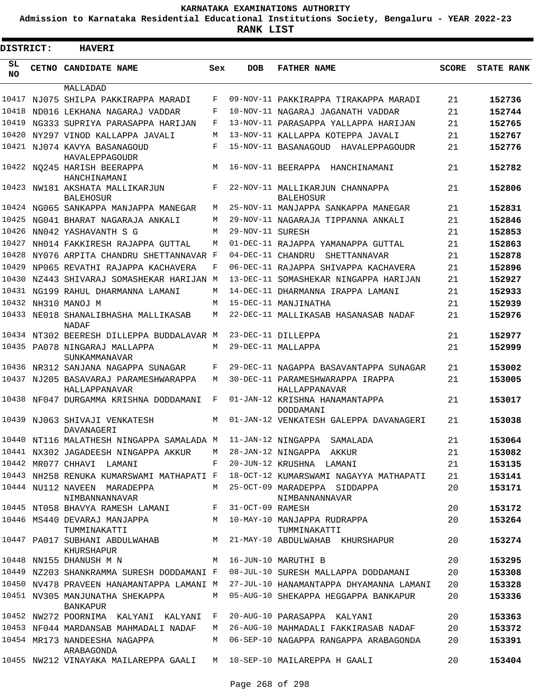**Admission to Karnataka Residential Educational Institutions Society, Bengaluru - YEAR 2022-23**

| DISTRICT:       | <b>HAVERI</b>                                                                 |     |                   |                                                                                                                         |              |                   |
|-----------------|-------------------------------------------------------------------------------|-----|-------------------|-------------------------------------------------------------------------------------------------------------------------|--------------|-------------------|
| SL<br><b>NO</b> | CETNO CANDIDATE NAME                                                          | Sex | <b>DOB</b>        | <b>FATHER NAME</b>                                                                                                      | <b>SCORE</b> | <b>STATE RANK</b> |
|                 | MALLADAD                                                                      |     |                   |                                                                                                                         |              |                   |
| 10417           | NJ075 SHILPA PAKKIRAPPA MARADI                                                | F   |                   | 09-NOV-11 PAKKIRAPPA TIRAKAPPA MARADI                                                                                   | 21           | 152736            |
| 10418           | ND016 LEKHANA NAGARAJ VADDAR                                                  | F   |                   | 10-NOV-11 NAGARAJ JAGANATH VADDAR                                                                                       | 21           | 152744            |
| 10419           | NG333 SUPRIYA PARASAPPA HARIJAN                                               | F   |                   | 13-NOV-11 PARASAPPA YALLAPPA HARIJAN                                                                                    | 21           | 152765            |
| 10420           | NY297 VINOD KALLAPPA JAVALI                                                   | M   |                   | 13-NOV-11 KALLAPPA KOTEPPA JAVALI                                                                                       | 21           | 152767            |
|                 | 10421 NJ074 KAVYA BASANAGOUD<br>HAVALEPPAGOUDR                                | F   |                   | 15-NOV-11 BASANAGOUD HAVALEPPAGOUDR                                                                                     | 21           | 152776            |
|                 | 10422 NQ245 HARISH BEERAPPA<br>HANCHINAMANI                                   | М   |                   | 16-NOV-11 BEERAPPA HANCHINAMANI                                                                                         | 21           | 152782            |
|                 | 10423 NW181 AKSHATA MALLIKARJUN<br><b>BALEHOSUR</b>                           | F   |                   | 22-NOV-11 MALLIKARJUN CHANNAPPA<br><b>BALEHOSUR</b>                                                                     | 21           | 152806            |
|                 | 10424 NG065 SANKAPPA MANJAPPA MANEGAR                                         | М   |                   | 25-NOV-11 MANJAPPA SANKAPPA MANEGAR                                                                                     | 21           | 152831            |
| 10425           | NG041 BHARAT NAGARAJA ANKALI                                                  | М   |                   | 29-NOV-11 NAGARAJA TIPPANNA ANKALI                                                                                      | 21           | 152846            |
| 10426           | NN042 YASHAVANTH S G                                                          | М   | 29-NOV-11 SURESH  |                                                                                                                         | 21           | 152853            |
| 10427           | NH014 FAKKIRESH RAJAPPA GUTTAL                                                | М   |                   | 01-DEC-11 RAJAPPA YAMANAPPA GUTTAL                                                                                      | 21           | 152863            |
|                 | 10428 NY076 ARPITA CHANDRU SHETTANNAVAR F                                     |     | 04-DEC-11 CHANDRU | SHETTANNAVAR                                                                                                            | 21           | 152878            |
| 10429           | NP065 REVATHI RAJAPPA KACHAVERA                                               | F   |                   | 06-DEC-11 RAJAPPA SHIVAPPA KACHAVERA                                                                                    | 21           | 152896            |
| 10430           | NZ443 SHIVARAJ SOMASHEKAR HARIJAN M                                           |     |                   | 13-DEC-11 SOMASHEKAR NINGAPPA HARIJAN                                                                                   | 21           | 152927            |
| 10431           | NG199 RAHUL DHARMANNA LAMANI                                                  | М   |                   | 14-DEC-11 DHARMANNA IRAPPA LAMANI                                                                                       | 21           | 152933            |
|                 | 10432 NH310 MANOJ M                                                           | М   |                   | 15-DEC-11 MANJINATHA                                                                                                    | 21           | 152939            |
|                 | 10433 NE018 SHANALIBHASHA MALLIKASAB<br>NADAF                                 | М   |                   | 22-DEC-11 MALLIKASAB HASANASAB NADAF                                                                                    | 21           | 152976            |
|                 | 10434 NT302 BEERESH DILLEPPA BUDDALAVAR M                                     |     |                   | 23-DEC-11 DILLEPPA                                                                                                      | 21           | 152977            |
|                 | 10435 PA078 NINGARAJ MALLAPPA<br>SUNKAMMANAVAR                                | М   |                   | 29-DEC-11 MALLAPPA                                                                                                      | 21           | 152999            |
|                 | 10436 NR312 SANJANA NAGAPPA SUNAGAR                                           | F   |                   | 29-DEC-11 NAGAPPA BASAVANTAPPA SUNAGAR                                                                                  | 21           | 153002            |
|                 | 10437 NJ205 BASAVARAJ PARAMESHWARAPPA<br>HALLAPPANAVAR                        | М   |                   | 30-DEC-11 PARAMESHWARAPPA IRAPPA<br>HALLAPPANAVAR                                                                       | 21           | 153005            |
|                 | 10438 NF047 DURGAMMA KRISHNA DODDAMANI                                        | F   |                   | 01-JAN-12 KRISHNA HANAMANTAPPA<br>DODDAMANI                                                                             | 21           | 153017            |
|                 | 10439 NJ063 SHIVAJI VENKATESH<br>DAVANAGERI                                   | M   |                   | 01-JAN-12 VENKATESH GALEPPA DAVANAGERI                                                                                  | 21           | 153038            |
|                 | 10440 NT116 MALATHESH NINGAPPA SAMALADA M 11-JAN-12 NINGAPPA SAMALADA         |     |                   |                                                                                                                         | 21           | 153064            |
|                 | 10441 NX302 JAGADEESH NINGAPPA AKKUR M 28-JAN-12 NINGAPPA AKKUR               |     |                   |                                                                                                                         | 21           | 153082            |
|                 | 10442 MR077 CHHAVI LAMANI                                                     |     |                   | F 20-JUN-12 KRUSHNA LAMANI                                                                                              | 21           | 153135            |
|                 |                                                                               |     |                   | 10443 NH258 RENUKA KUMARSWAMI MATHAPATI F 18-OCT-12 KUMARSWAMI NAGAYYA MATHAPATI                                        | 21           | 153141            |
|                 | 10444 NU112 NAVEEN MARADEPPA M 25-OCT-09 MARADEPPA SIDDAPPA<br>NIMBANNANNAVAR |     |                   | NIMBANNANNAVAR                                                                                                          | 20           | 153171            |
|                 | 10445 NT058 BHAVYA RAMESH LAMANI F 31-OCT-09 RAMESH                           |     |                   |                                                                                                                         | 20           | 153172            |
|                 | 10446 MS440 DEVARAJ MANJAPPA M 10-MAY-10 MANJAPPA RUDRAPPA                    |     |                   |                                                                                                                         | 20           | 153264            |
|                 | KHURSHAPUR                                                                    |     |                   | TUMMINAKATTI TUMMINAKATTI TUMMINAKATTI TUMMINAKATTI<br>10447 PA017 SUBHANI ABDULWAHAB M 21-MAY-10 ABDULWAHAB KHURSHAPUR | 20           | 153274            |
|                 | M 16-JUN-10 MARUTHI B<br>10448 NN155 DHANUSH M N                              |     |                   |                                                                                                                         | 20           | 153295            |
|                 |                                                                               |     |                   | 10449 NZ203 SHANKRAMMA SURESH DODDAMANI F 08-JUL-10 SURESH MALLAPPA DODDAMANI                                           | 20           | 153308            |
|                 |                                                                               |     |                   | 10450 NV478 PRAVEEN HANAMANTAPPA LAMANI M 27-JUL-10 HANAMANTAPPA DHYAMANNA LAMANI                                       | 20           | 153328            |
|                 | 10451 NV305 MANJUNATHA SHEKAPPA<br><b>BANKAPUR</b>                            | M   |                   | 05-AUG-10 SHEKAPPA HEGGAPPA BANKAPUR                                                                                    | 20           | 153336            |
|                 | 10452 NW272 POORNIMA KALYANI KALYANI F 20-AUG-10 PARASAPPA KALYANI            |     |                   |                                                                                                                         | 20           | 153363            |
|                 | 10453 NF044 MARDANSAB MAHMADALI NADAF                                         |     |                   | M 26-AUG-10 MAHMADALI FAKKIRASAB NADAF                                                                                  | 20           | 153372            |
|                 | 10454 MR173 NANDEESHA NAGAPPA<br>ARABAGONDA                                   |     |                   | M    06-SEP-10  NAGAPPA  RANGAPPA  ARABAGONDA                                                                           | 20           | 153391            |
|                 | 10455 NW212 VINAYAKA MAILAREPPA GAALI M 10-SEP-10 MAILAREPPA H GAALI          |     |                   |                                                                                                                         | 20           | 153404            |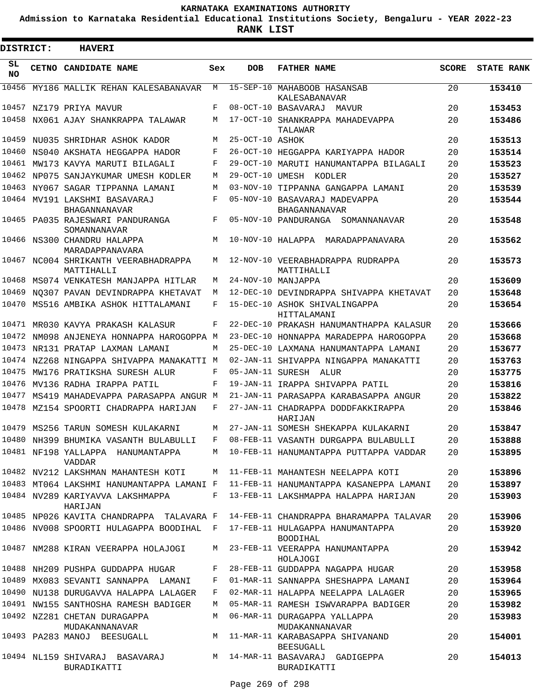**Admission to Karnataka Residential Educational Institutions Society, Bengaluru - YEAR 2022-23**

| DISTRICT: | <b>HAVERI</b>                                                                |     |                 |                                                                                   |              |                   |
|-----------|------------------------------------------------------------------------------|-----|-----------------|-----------------------------------------------------------------------------------|--------------|-------------------|
| SL<br>NO. | CETNO CANDIDATE NAME                                                         | Sex | <b>DOB</b>      | <b>FATHER NAME</b>                                                                | <b>SCORE</b> | <b>STATE RANK</b> |
|           | 10456 MY186 MALLIK REHAN KALESABANAVAR                                       | M   |                 | 15-SEP-10 MAHABOOB HASANSAB<br>KALESABANAVAR                                      | 20           | 153410            |
|           | 10457 NZ179 PRIYA MAVUR                                                      | F   |                 | 08-OCT-10 BASAVARAJ MAVUR                                                         | 20           | 153453            |
|           | 10458 NX061 AJAY SHANKRAPPA TALAWAR                                          | M   |                 | 17-OCT-10 SHANKRAPPA MAHADEVAPPA<br>TALAWAR                                       | 20           | 153486            |
|           | 10459 NU035 SHRIDHAR ASHOK KADOR                                             | M   | 25-OCT-10 ASHOK |                                                                                   | 20           | 153513            |
|           | 10460 NS040 AKSHATA HEGGAPPA HADOR                                           | F   |                 | 26-OCT-10 HEGGAPPA KARIYAPPA HADOR                                                | 20           | 153514            |
|           | 10461 MW173 KAVYA MARUTI BILAGALI                                            | F   |                 | 29-OCT-10 MARUTI HANUMANTAPPA BILAGALI                                            | 20           | 153523            |
|           | 10462 NP075 SANJAYKUMAR UMESH KODLER                                         | M   |                 | 29-OCT-10 UMESH KODLER                                                            | 20           | 153527            |
|           | 10463 NY067 SAGAR TIPPANNA LAMANI                                            | М   |                 | 03-NOV-10 TIPPANNA GANGAPPA LAMANI                                                | 20           | 153539            |
|           | 10464 MV191 LAKSHMI BASAVARAJ<br>BHAGANNANAVAR                               | F   |                 | 05-NOV-10 BASAVARAJ MADEVAPPA<br>BHAGANNANAVAR                                    | 20           | 153544            |
|           | 10465 PA035 RAJESWARI PANDURANGA<br>SOMANNANAVAR                             | F   |                 | 05-NOV-10 PANDURANGA SOMANNANAVAR                                                 | 20           | 153548            |
|           | 10466 NS300 CHANDRU HALAPPA<br>MARADAPPANAVARA                               | M   |                 | 10-NOV-10 HALAPPA MARADAPPANAVARA                                                 | 20           | 153562            |
|           | 10467 NC004 SHRIKANTH VEERABHADRAPPA<br>MATTIHALLI                           | M   |                 | 12-NOV-10 VEERABHADRAPPA RUDRAPPA<br>MATTIHALLI                                   | 20           | 153573            |
| 10468     | MS074 VENKATESH MANJAPPA HITLAR                                              | M   |                 | 24-NOV-10 MANJAPPA                                                                | 20           | 153609            |
| 10469     | NO307 PAVAN DEVINDRAPPA KHETAVAT                                             | M   |                 | 12-DEC-10 DEVINDRAPPA SHIVAPPA KHETAVAT                                           | 20           | 153648            |
| 10470     | MS516 AMBIKA ASHOK HITTALAMANI                                               | F   |                 | 15-DEC-10 ASHOK SHIVALINGAPPA<br>HITTALAMANI                                      | 20           | 153654            |
|           | 10471 MR030 KAVYA PRAKASH KALASUR                                            | F   |                 | 22-DEC-10 PRAKASH HANUMANTHAPPA KALASUR                                           | 20           | 153666            |
| 10472     | NM098 ANJENEYA HONNAPPA HAROGOPPA M                                          |     |                 | 23-DEC-10 HONNAPPA MARADEPPA HAROGOPPA                                            | 20           | 153668            |
| 10473     | NR131 PRATAP LAXMAN LAMANI                                                   | M   |                 | 25-DEC-10 LAXMANA HANUMANTAPPA LAMANI                                             | 20           | 153677            |
| 10474     | NZ268 NINGAPPA SHIVAPPA MANAKATTI M                                          |     |                 | 02-JAN-11 SHIVAPPA NINGAPPA MANAKATTI                                             | 20           | 153763            |
| 10475     | MW176 PRATIKSHA SURESH ALUR                                                  | F   |                 | 05-JAN-11 SURESH ALUR                                                             | 20           | 153775            |
| 10476     | MV136 RADHA IRAPPA PATIL                                                     | F   |                 | 19-JAN-11 IRAPPA SHIVAPPA PATIL                                                   | 20           | 153816            |
| 10477     | MS419 MAHADEVAPPA PARASAPPA ANGUR M                                          |     |                 | 21-JAN-11 PARASAPPA KARABASAPPA ANGUR                                             | 20           | 153822            |
|           | 10478 MZ154 SPOORTI CHADRAPPA HARIJAN                                        | F   |                 | 27-JAN-11 CHADRAPPA DODDFAKKIRAPPA<br>HARIJAN                                     | 20           | 153846            |
|           | 10479 MS256 TARUN SOMESH KULAKARNI                                           | M   |                 | 27-JAN-11 SOMESH SHEKAPPA KULAKARNI                                               | 20           | 153847            |
|           | 10480 NH399 BHUMIKA VASANTH BULABULLI F 08-FEB-11 VASANTH DURGAPPA BULABULLI |     |                 |                                                                                   | 20           | 153888            |
|           | 10481 NF198 YALLAPPA HANUMANTAPPA<br>VADDAR                                  |     |                 | M 10-FEB-11 HANUMANTAPPA PUTTAPPA VADDAR                                          | 20           | 153895            |
|           | 10482 NV212 LAKSHMAN MAHANTESH KOTI                                          |     |                 | M 11-FEB-11 MAHANTESH NEELAPPA KOTI                                               | 20           | 153896            |
|           |                                                                              |     |                 | 10483 MT064 LAKSHMI HANUMANTAPPA LAMANI F 11-FEB-11 HANUMANTAPPA KASANEPPA LAMANI | 20           | 153897            |
|           | 10484 NV289 KARIYAVVA LAKSHMAPPA<br>HARIJAN                                  |     |                 | F 13-FEB-11 LAKSHMAPPA HALAPPA HARIJAN                                            | 20           | 153903            |
|           | 10485 NP026 KAVITA CHANDRAPPA TALAVARA F                                     |     |                 | 14-FEB-11 CHANDRAPPA BHARAMAPPA TALAVAR                                           | 20           | 153906            |
|           | 10486 NV008 SPOORTI HULAGAPPA BOODIHAL F 17-FEB-11 HULAGAPPA HANUMANTAPPA    |     |                 | <b>BOODIHAL</b>                                                                   | 20           | 153920            |
|           | 10487 NM288 KIRAN VEERAPPA HOLAJOGI                                          | M   |                 | 23-FEB-11 VEERAPPA HANUMANTAPPA<br>HOLAJOGI                                       | 20           | 153942            |
|           | 10488 NH209 PUSHPA GUDDAPPA HUGAR                                            | F   |                 | 28-FEB-11 GUDDAPPA NAGAPPA HUGAR                                                  | 20           | 153958            |
|           | 10489 MX083 SEVANTI SANNAPPA LAMANI                                          | F   |                 | 01-MAR-11 SANNAPPA SHESHAPPA LAMANI                                               | 20           | 153964            |
|           | 10490 NU138 DURUGAVVA HALAPPA LALAGER                                        | F   |                 | 02-MAR-11 HALAPPA NEELAPPA LALAGER                                                | 20           | 153965            |
|           | 10491 NW155 SANTHOSHA RAMESH BADIGER                                         | M   |                 | 05-MAR-11 RAMESH ISWVARAPPA BADIGER                                               | 20           | 153982            |
|           | 10492 NZ281 CHETAN DURAGAPPA<br>MUDAKANNANAVAR                               | М   |                 | 06-MAR-11 DURAGAPPA YALLAPPA<br>MUDAKANNANAVAR                                    | 20           | 153983            |
|           | 10493 PA283 MANOJ BEESUGALL                                                  | M   |                 | 11-MAR-11 KARABASAPPA SHIVANAND<br>BEESUGALL                                      | 20           | 154001            |
|           | 10494 NL159 SHIVARAJ BASAVARAJ<br>BURADIKATTI                                |     |                 | M 14-MAR-11 BASAVARAJ GADIGEPPA<br>BURADIKATTI                                    | 20           | 154013            |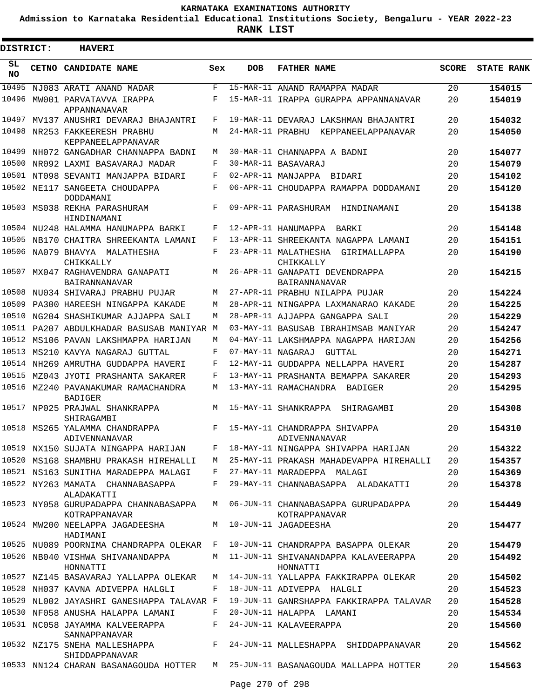**Admission to Karnataka Residential Educational Institutions Society, Bengaluru - YEAR 2022-23**

| <b>DISTRICT:</b> | <b>HAVERI</b>                                                             |     |                   |                                                                                              |              |                   |
|------------------|---------------------------------------------------------------------------|-----|-------------------|----------------------------------------------------------------------------------------------|--------------|-------------------|
| SL<br><b>NO</b>  | CETNO CANDIDATE NAME                                                      | Sex | <b>DOB</b>        | <b>FATHER NAME</b>                                                                           | <b>SCORE</b> | <b>STATE RANK</b> |
| 10495            | NJ083 ARATI ANAND MADAR                                                   | F   |                   | 15-MAR-11 ANAND RAMAPPA MADAR                                                                | 20           | 154015            |
| 10496            | MW001 PARVATAVVA IRAPPA<br>APPANNANAVAR                                   | F   |                   | 15-MAR-11 IRAPPA GURAPPA APPANNANAVAR                                                        | 20           | 154019            |
| 10497            | MV137 ANUSHRI DEVARAJ BHAJANTRI                                           | F   |                   | 19-MAR-11 DEVARAJ LAKSHMAN BHAJANTRI                                                         | 20           | 154032            |
|                  | 10498 NR253 FAKKEERESH PRABHU<br>KEPPANEELAPPANAVAR                       | М   |                   | 24-MAR-11 PRABHU KEPPANEELAPPANAVAR                                                          | 20           | 154050            |
| 10499            | NH072 GANGADHAR CHANNAPPA BADNI                                           | M   |                   | 30-MAR-11 CHANNAPPA A BADNI                                                                  | 20           | 154077            |
|                  | 10500 NR092 LAXMI BASAVARAJ MADAR                                         | F   |                   | 30-MAR-11 BASAVARAJ                                                                          | 20           | 154079            |
|                  | 10501 NT098 SEVANTI MANJAPPA BIDARI                                       | F   |                   | 02-APR-11 MANJAPPA BIDARI                                                                    | 20           | 154102            |
|                  | 10502 NE117 SANGEETA CHOUDAPPA<br>DODDAMANI                               | F   |                   | 06-APR-11 CHOUDAPPA RAMAPPA DODDAMANI                                                        | 20           | 154120            |
|                  | 10503 MS038 REKHA PARASHURAM<br>HINDINAMANI                               | F   |                   | 09-APR-11 PARASHURAM HINDINAMANI                                                             | 20           | 154138            |
|                  | 10504 NU248 HALAMMA HANUMAPPA BARKI                                       | F   |                   | 12-APR-11 HANUMAPPA BARKI                                                                    | 20           | 154148            |
|                  | 10505 NB170 CHAITRA SHREEKANTA LAMANI                                     | F   |                   | 13-APR-11 SHREEKANTA NAGAPPA LAMANI                                                          | 20           | 154151            |
|                  | 10506 NA079 BHAVYA MALATHESHA<br>CHIKKALLY                                | F   |                   | 23-APR-11 MALATHESHA GIRIMALLAPPA<br>CHIKKALLY                                               | 20           | 154190            |
|                  | 10507 MX047 RAGHAVENDRA GANAPATI<br><b>BAIRANNANAVAR</b>                  | М   |                   | 26-APR-11 GANAPATI DEVENDRAPPA<br><b>BAIRANNANAVAR</b>                                       | 20           | 154215            |
|                  | 10508 NU034 SHIVARAJ PRABHU PUJAR                                         | М   |                   | 27-APR-11 PRABHU NILAPPA PUJAR                                                               | 20           | 154224            |
| 10509            | PA300 HAREESH NINGAPPA KAKADE                                             | M   |                   | 28-APR-11 NINGAPPA LAXMANARAO KAKADE                                                         | 20           | 154225            |
|                  | 10510 NG204 SHASHIKUMAR AJJAPPA SALI                                      | M   |                   | 28-APR-11 AJJAPPA GANGAPPA SALI                                                              | 20           | 154229            |
|                  | 10511 PA207 ABDULKHADAR BASUSAB MANIYAR M                                 |     |                   | 03-MAY-11 BASUSAB IBRAHIMSAB MANIYAR                                                         | 20           | 154247            |
|                  | 10512 MS106 PAVAN LAKSHMAPPA HARIJAN                                      | М   |                   | 04-MAY-11 LAKSHMAPPA NAGAPPA HARIJAN                                                         | 20           | 154256            |
| 10513            | MS210 KAVYA NAGARAJ GUTTAL                                                | F   | 07-MAY-11 NAGARAJ | GUTTAL                                                                                       | 20           | 154271            |
|                  | 10514 NH269 AMRUTHA GUDDAPPA HAVERI                                       | F   |                   | 12-MAY-11 GUDDAPPA NELLAPPA HAVERI                                                           | 20           | 154287            |
| 10515            | MZ043 JYOTI PRASHANTA SAKARER                                             | F   |                   | 13-MAY-11 PRASHANTA BEMAPPA SAKARER                                                          | 20           | 154293            |
|                  | 10516 MZ240 PAVANAKUMAR RAMACHANDRA<br><b>BADIGER</b>                     | М   |                   | 13-MAY-11 RAMACHANDRA BADIGER                                                                | 20           | 154295            |
|                  | 10517 NP025 PRAJWAL SHANKRAPPA<br>SHIRAGAMBI                              | М   |                   | 15-MAY-11 SHANKRAPPA<br>SHIRAGAMBI                                                           | 20           | 154308            |
|                  | 10518 MS265 YALAMMA CHANDRAPPA<br>ADIVENNANAVAR                           | F   |                   | 15-MAY-11 CHANDRAPPA SHIVAPPA<br>ADIVENNANAVAR                                               | 20           | 154310            |
|                  | 10519 NX150 SUJATA NINGAPPA HARIJAN                                       |     |                   | F 18-MAY-11 NINGAPPA SHIVAPPA HARIJAN                                                        | 20           | 154322            |
|                  |                                                                           |     |                   | 10520 MS168 SHAMBHU PRAKASH HIREHALLI M 25-MAY-11 PRAKASH MAHADEVAPPA HIREHALLI 20           |              | 154357            |
|                  | 10521 NS163 SUNITHA MARADEPPA MALAGI F 27-MAY-11 MARADEPPA MALAGI         |     |                   |                                                                                              | 20           | 154369            |
|                  | 10522 NY263 MAMATA CHANNABASAPPA<br>ALADAKATTI                            |     |                   | F 29-MAY-11 CHANNABASAPPA ALADAKATTI                                                         | 20           | 154378            |
|                  | KOTRAPPANAVAR                                                             |     |                   | 10523 NY058 GURUPADAPPA CHANNABASAPPA M 06-JUN-11 CHANNABASAPPA GURUPADAPPA<br>KOTRAPPANAVAR | 20           | 154449            |
|                  | 10524 MW200 NEELAPPA JAGADEESHA<br>HADIMANI                               |     |                   | M 10-JUN-11 JAGADEESHA                                                                       | 20           | 154477            |
|                  |                                                                           |     |                   | 10525 NU089 POORNIMA CHANDRAPPA OLEKAR F 10-JUN-11 CHANDRAPPA BASAPPA OLEKAR                 | 20           | 154479            |
|                  | 10526 NB040 VISHWA SHIVANANDAPPA<br>HONNATTI                              |     |                   | M 11-JUN-11 SHIVANANDAPPA KALAVEERAPPA<br>HONNATTI                                           | 20           | 154492            |
|                  |                                                                           |     |                   | 10527 NZ145 BASAVARAJ YALLAPPA OLEKAR M 14-JUN-11 YALLAPPA FAKKIRAPPA OLEKAR                 | 20           | 154502            |
|                  | 10528 NH037 KAVNA ADIVEPPA HALGLI F 18-JUN-11 ADIVEPPA HALGLI             |     |                   |                                                                                              | 20           | 154523            |
|                  |                                                                           |     |                   | 10529 NL002 JAYASHRI GANESHAPPA TALAVAR F 19-JUN-11 GANRSHAPPA FAKKIRAPPA TALAVAR            | 20           | 154528            |
|                  | 10530 NF058 ANUSHA HALAPPA LAMANI F 20-JUN-11 HALAPPA LAMANI              |     |                   |                                                                                              | 20           | 154534            |
|                  | 10531 NC058 JAYAMMA KALVEERAPPA F 24-JUN-11 KALAVEERAPPA<br>SANNAPPANAVAR |     |                   |                                                                                              | 20           | 154560            |
|                  | SHIDDAPPANAVAR                                                            |     |                   | 10532 NZ175 SNEHA MALLESHAPPA<br>F 24-JUN-11 MALLESHAPPA SHIDDAPPANAVAR                      | 20           | 154562            |
|                  |                                                                           |     |                   | 10533 NN124 CHARAN BASANAGOUDA HOTTER M 25-JUN-11 BASANAGOUDA MALLAPPA HOTTER                | 20           | 154563            |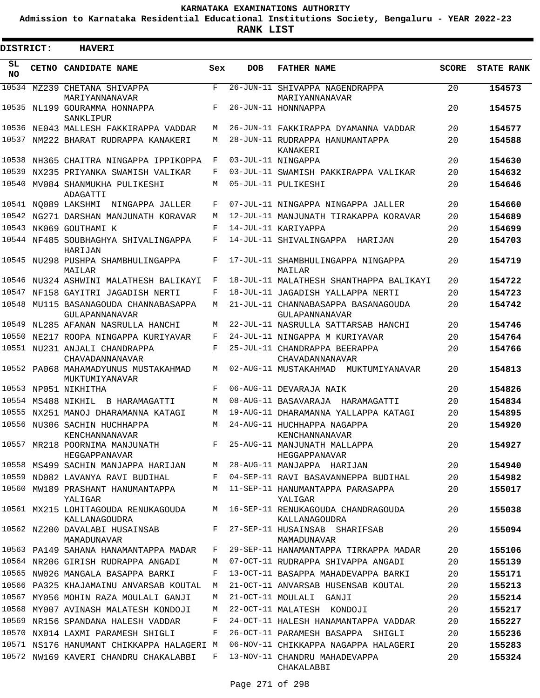**Admission to Karnataka Residential Educational Institutions Society, Bengaluru - YEAR 2022-23**

| DISTRICT:       | <b>HAVERI</b>                                                           |              |            |                                                                           |              |                   |
|-----------------|-------------------------------------------------------------------------|--------------|------------|---------------------------------------------------------------------------|--------------|-------------------|
| SL<br><b>NO</b> | <b>CETNO CANDIDATE NAME</b>                                             | Sex          | <b>DOB</b> | <b>FATHER NAME</b>                                                        | <b>SCORE</b> | <b>STATE RANK</b> |
| 10534           | MZ239 CHETANA SHIVAPPA<br>MARIYANNANAVAR                                | F            |            | 26-JUN-11 SHIVAPPA NAGENDRAPPA<br>MARIYANNANAVAR                          | 20           | 154573            |
|                 | 10535 NL199 GOURAMMA HONNAPPA<br>SANKLIPUR                              | F            |            | 26-JUN-11 HONNNAPPA                                                       | 20           | 154575            |
|                 | 10536 NE043 MALLESH FAKKIRAPPA VADDAR                                   | M            |            | 26-JUN-11 FAKKIRAPPA DYAMANNA VADDAR                                      | 20           | 154577            |
|                 | 10537 NM222 BHARAT RUDRAPPA KANAKERI                                    | М            |            | 28-JUN-11 RUDRAPPA HANUMANTAPPA<br>KANAKERI                               | 20           | 154588            |
|                 | 10538 NH365 CHAITRA NINGAPPA IPPIKOPPA                                  | F            |            | 03-JUL-11 NINGAPPA                                                        | 20           | 154630            |
| 10539           | NX235 PRIYANKA SWAMISH VALIKAR                                          | F            |            | 03-JUL-11 SWAMISH PAKKIRAPPA VALIKAR                                      | 20           | 154632            |
| 10540           | MV084 SHANMUKHA PULIKESHI<br>ADAGATTI                                   | М            |            | 05-JUL-11 PULIKESHI                                                       | 20           | 154646            |
|                 | 10541 NO089 LAKSHMI<br>NINGAPPA JALLER                                  | F            |            | 07-JUL-11 NINGAPPA NINGAPPA JALLER                                        | 20           | 154660            |
|                 | 10542 NG271 DARSHAN MANJUNATH KORAVAR                                   | M            |            | 12-JUL-11 MANJUNATH TIRAKAPPA KORAVAR                                     | 20           | 154689            |
|                 | 10543 NK069 GOUTHAMI K                                                  | F            |            | 14-JUL-11 KARIYAPPA                                                       | 20           | 154699            |
|                 | 10544 NF485 SOUBHAGHYA SHIVALINGAPPA<br>HARIJAN                         | F            |            | 14-JUL-11 SHIVALINGAPPA HARIJAN                                           | 20           | 154703            |
|                 | 10545 NU298 PUSHPA SHAMBHULINGAPPA<br>MAILAR                            | F            |            | 17-JUL-11 SHAMBHULINGAPPA NINGAPPA<br>MAILAR                              | 20           | 154719            |
|                 | 10546 NU324 ASHWINI MALATHESH BALIKAYI                                  | F            |            | 18-JUL-11 MALATHESH SHANTHAPPA BALIKAYI                                   | 20           | 154722            |
|                 | 10547 NF158 GAYITRI JAGADISH NERTI                                      | F            |            | 18-JUL-11 JAGADISH YALLAPPA NERTI                                         | 20           | 154723            |
|                 | 10548 MU115 BASANAGOUDA CHANNABASAPPA<br>GULAPANNANAVAR                 | M            |            | 21-JUL-11 CHANNABASAPPA BASANAGOUDA<br>GULAPANNANAVAR                     | 20           | 154742            |
|                 | 10549 NL285 AFANAN NASRULLA HANCHI                                      | M            |            | 22-JUL-11 NASRULLA SATTARSAB HANCHI                                       | 20           | 154746            |
| 10550           | NE217 ROOPA NINGAPPA KURIYAVAR                                          | F            |            | 24-JUL-11 NINGAPPA M KURIYAVAR                                            | 20           | 154764            |
|                 | 10551 NU231 ANJALI CHANDRAPPA<br>CHAVADANNANAVAR                        | $\mathbf{F}$ |            | 25-JUL-11 CHANDRAPPA BEERAPPA<br>CHAVADANNANAVAR                          | 20           | 154766            |
|                 | 10552 PA068 MAHAMADYUNUS MUSTAKAHMAD<br>MUKTUMIYANAVAR                  | М            |            | 02-AUG-11 MUSTAKAHMAD<br>MUKTUMIYANAVAR                                   | 20           | 154813            |
|                 | 10553 NP051 NIKHITHA                                                    | F            |            | 06-AUG-11 DEVARAJA NAIK                                                   | 20           | 154826            |
|                 | 10554 MS488 NIKHIL<br>B HARAMAGATTI                                     | M            |            | 08-AUG-11 BASAVARAJA<br>HARAMAGATTI                                       | 20           | 154834            |
|                 | 10555 NX251 MANOJ DHARAMANNA KATAGI                                     | М            |            | 19-AUG-11 DHARAMANNA YALLAPPA KATAGI                                      | 20           | 154895            |
|                 | 10556 NU306 SACHIN HUCHHAPPA<br>KENCHANNANAVAR                          | M            |            | 24-AUG-11 HUCHHAPPA NAGAPPA<br>KENCHANNANAVAR                             | 20           | 154920            |
|                 | 10557 MR218 POORNIMA MANJUNATH<br>HEGGAPPANAVAR                         | F            |            | 25-AUG-11 MANJUNATH MALLAPPA<br>HEGGAPPANAVAR                             | 20           | 154927            |
|                 | 10558 MS499 SACHIN MANJAPPA HARIJAN                                     | М            |            | 28-AUG-11 MANJAPPA HARIJAN                                                | 20           | 154940            |
|                 | 10559 ND082 LAVANYA RAVI BUDIHAL                                        | F            |            | 04-SEP-11 RAVI BASAVANNEPPA BUDIHAL                                       | 20           | 154982            |
|                 | 10560 MW189 PRASHANT HANUMANTAPPA<br>YALIGAR                            | M            |            | 11-SEP-11 HANUMANTAPPA PARASAPPA<br>YALIGAR                               | 20           | 155017            |
|                 | 10561 MX215 LOHITAGOUDA RENUKAGOUDA<br>KALLANAGOUDRA                    | M            |            | 16-SEP-11 RENUKAGOUDA CHANDRAGOUDA<br>KALLANAGOUDRA                       | 20           | 155038            |
|                 | 10562 NZ200 DAVALABI HUSAINSAB<br>MAMADUNAVAR                           | F            |            | 27-SEP-11 HUSAINSAB SHARIFSAB<br>MAMADUNAVAR                              | 20           | 155094            |
|                 | 10563 PA149 SAHANA HANAMANTAPPA MADAR                                   | F            |            | 29-SEP-11 HANAMANTAPPA TIRKAPPA MADAR                                     | 20           | 155106            |
|                 | 10564 NR206 GIRISH RUDRAPPA ANGADI                                      | М            |            | 07-OCT-11 RUDRAPPA SHIVAPPA ANGADI                                        | 20           | 155139            |
|                 | 10565 NW026 MANGALA BASAPPA BARKI                                       | F            |            | 13-OCT-11 BASAPPA MAHADEVAPPA BARKI                                       | 20           | 155171            |
|                 | 10566 PA325 KHAJAMAINU ANVARSAB KOUTAL                                  | M            |            | 21-OCT-11 ANVARSAB HUSENSAB KOUTAL                                        | 20           | 155213            |
|                 | 10567 MY056 MOHIN RAZA MOULALI GANJI                                    | М            |            | 21-OCT-11 MOULALI GANJI                                                   | 20           | 155214            |
|                 | 10568 MY007 AVINASH MALATESH KONDOJI                                    | М            |            | 22-OCT-11 MALATESH KONDOJI                                                | 20           | 155217            |
|                 | 10569 NR156 SPANDANA HALESH VADDAR<br>10570 NX014 LAXMI PARAMESH SHIGLI | F<br>F       |            | 24-OCT-11 HALESH HANAMANTAPPA VADDAR<br>26-OCT-11 PARAMESH BASAPPA SHIGLI | 20<br>20     | 155227<br>155236  |
|                 | 10571 NS176 HANUMANT CHIKKAPPA HALAGERI M                               |              |            | 06-NOV-11 CHIKKAPPA NAGAPPA HALAGERI                                      | 20           | 155283            |
|                 | 10572 NW169 KAVERI CHANDRU CHAKALABBI                                   | F            |            | 13-NOV-11 CHANDRU MAHADEVAPPA<br>CHAKALABBI                               | 20           | 155324            |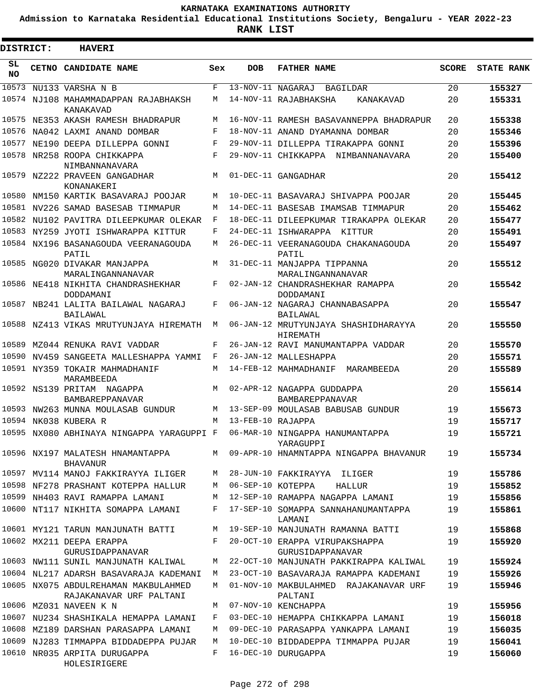**Admission to Karnataka Residential Educational Institutions Society, Bengaluru - YEAR 2022-23**

**RANK LIST**

Е

| DISTRICT: | <b>HAVERI</b>                                                   |            |                   |                                                      |       |                   |
|-----------|-----------------------------------------------------------------|------------|-------------------|------------------------------------------------------|-------|-------------------|
| SL<br>NO  | CETNO CANDIDATE NAME                                            | Sex        | <b>DOB</b>        | <b>FATHER NAME</b>                                   | SCORE | <b>STATE RANK</b> |
|           | 10573 NU133 VARSHA N B                                          | F          |                   | 13-NOV-11 NAGARAJ BAGILDAR                           | 20    | 155327            |
|           | 10574 NJ108 MAHAMMADAPPAN RAJABHAKSH<br>KANAKAVAD               | М          |                   | 14-NOV-11 RAJABHAKSHA<br>KANAKAVAD                   | 20    | 155331            |
|           | 10575 NE353 AKASH RAMESH BHADRAPUR                              | M          |                   | 16-NOV-11 RAMESH BASAVANNEPPA BHADRAPUR              | 20    | 155338            |
|           | 10576 NA042 LAXMI ANAND DOMBAR                                  | F          |                   | 18-NOV-11 ANAND DYAMANNA DOMBAR                      | 20    | 155346            |
|           | 10577 NE190 DEEPA DILLEPPA GONNI                                | F          |                   | 29-NOV-11 DILLEPPA TIRAKAPPA GONNI                   | 20    | 155396            |
|           | 10578 NR258 ROOPA CHIKKAPPA<br>NIMBANNANAVARA                   | $_{\rm F}$ |                   | 29-NOV-11 CHIKKAPPA NIMBANNANAVARA                   | 20    | 155400            |
|           | 10579 NZ222 PRAVEEN GANGADHAR<br>KONANAKERI                     | M          |                   | 01-DEC-11 GANGADHAR                                  | 20    | 155412            |
|           | 10580 NM150 KARTIK BASAVARAJ POOJAR                             | M          |                   | 10-DEC-11 BASAVARAJ SHIVAPPA POOJAR                  | 20    | 155445            |
|           | 10581 NV226 SAMAD BASESAB TIMMAPUR                              | М          |                   | 14-DEC-11 BASESAB IMAMSAB TIMMAPUR                   | 20    | 155462            |
|           | 10582 NU102 PAVITRA DILEEPKUMAR OLEKAR                          | F          |                   | 18-DEC-11 DILEEPKUMAR TIRAKAPPA OLEKAR               | 20    | 155477            |
|           | 10583 NY259 JYOTI ISHWARAPPA KITTUR                             | F          |                   | 24-DEC-11 ISHWARAPPA KITTUR                          | 20    | 155491            |
|           | 10584 NX196 BASANAGOUDA VEERANAGOUDA<br>PATIL                   | М          |                   | 26-DEC-11 VEERANAGOUDA CHAKANAGOUDA<br>PATTI,        | 20    | 155497            |
|           | 10585 NG020 DIVAKAR MANJAPPA<br>MARALINGANNANAVAR               | M          |                   | 31-DEC-11 MANJAPPA TIPPANNA<br>MARALINGANNANAVAR     | 20    | 155512            |
|           | 10586 NE418 NIKHITA CHANDRASHEKHAR<br>DODDAMANI                 | F          |                   | 02-JAN-12 CHANDRASHEKHAR RAMAPPA<br>DODDAMANI        | 20    | 155542            |
|           | 10587 NB241 LALITA BAILAWAL NAGARAJ<br>BAILAWAL                 | F          |                   | 06-JAN-12 NAGARAJ CHANNABASAPPA<br>BAILAWAL          | 20    | 155547            |
|           | 10588 NZ413 VIKAS MRUTYUNJAYA HIREMATH                          | М          |                   | 06-JAN-12 MRUTYUNJAYA SHASHIDHARAYYA<br>HIREMATH     | 20    | 155550            |
|           | 10589 MZ044 RENUKA RAVI VADDAR                                  | F          |                   | 26-JAN-12 RAVI MANUMANTAPPA VADDAR                   | 20    | 155570            |
|           | 10590 NV459 SANGEETA MALLESHAPPA YAMMI                          | F          |                   | 26-JAN-12 MALLESHAPPA                                | 20    | 155571            |
|           | 10591 NY359 TOKAIR MAHMADHANIF<br>MARAMBEEDA                    | М          |                   | 14-FEB-12 MAHMADHANIF MARAMBEEDA                     | 20    | 155589            |
|           | 10592 NS139 PRITAM NAGAPPA<br>BAMBAREPPANAVAR                   | M          |                   | 02-APR-12 NAGAPPA GUDDAPPA<br><b>BAMBAREPPANAVAR</b> | 20    | 155614            |
|           | 10593 NW263 MUNNA MOULASAB GUNDUR                               | M          |                   | 13-SEP-09 MOULASAB BABUSAB GUNDUR                    | 19    | 155673            |
|           | 10594 NK038 KUBERA R                                            | M          | 13-FEB-10 RAJAPPA |                                                      | 19    | 155717            |
|           | 10595 NX080 ABHINAYA NINGAPPA YARAGUPPI F                       |            |                   | 06-MAR-10 NINGAPPA HANUMANTAPPA<br>YARAGUPPI         | 19    | 155721            |
|           | 10596 NX197 MALATESH HNAMANTAPPA<br><b>BHAVANUR</b>             |            |                   | M 09-APR-10 HNAMNTAPPA NINGAPPA BHAVANUR             | 19    | 155734            |
|           | 10597 MV114 MANOJ FAKKIRAYYA ILIGER                             | M          |                   | 28-JUN-10 FAKKIRAYYA ILIGER                          | 19    | 155786            |
|           | 10598 NF278 PRASHANT KOTEPPA HALLUR                             | M          | 06-SEP-10 KOTEPPA | HALLUR                                               | 19    | 155852            |
|           | 10599 NH403 RAVI RAMAPPA LAMANI                                 | М          |                   | 12-SEP-10 RAMAPPA NAGAPPA LAMANI                     | 19    | 155856            |
|           | 10600 NT117 NIKHITA SOMAPPA LAMANI                              | F          |                   | 17-SEP-10 SOMAPPA SANNAHANUMANTAPPA<br>LAMANI        | 19    | 155861            |
|           | 10601 MY121 TARUN MANJUNATH BATTI                               | M          |                   | 19-SEP-10 MANJUNATH RAMANNA BATTI                    | 19    | 155868            |
|           | 10602 MX211 DEEPA ERAPPA<br>GURUSIDAPPANAVAR                    | F          |                   | 20-OCT-10 ERAPPA VIRUPAKSHAPPA<br>GURUSIDAPPANAVAR   | 19    | 155920            |
|           | 10603 NW111 SUNIL MANJUNATH KALIWAL                             | М          |                   | 22-OCT-10 MANJUNATH PAKKIRAPPA KALIWAL               | 19    | 155924            |
|           | 10604 NL217 ADARSH BASAVARAJA KADEMANI                          | M          |                   | 23-OCT-10 BASAVARAJA RAMAPPA KADEMANI                | 19    | 155926            |
|           | 10605 NX075 ABDULREHAMAN MAKBULAHMED<br>RAJAKANAVAR URF PALTANI | М          |                   | 01-NOV-10 MAKBULAHMED RAJAKANAVAR URF<br>PALTANI     | 19    | 155946            |
|           | 10606 MZ031 NAVEEN K N                                          | М          |                   | 07-NOV-10 KENCHAPPA                                  | 19    | 155956            |
|           | 10607 NU234 SHASHIKALA HEMAPPA LAMANI                           | F          |                   | 03-DEC-10 HEMAPPA CHIKKAPPA LAMANI                   | 19    | 156018            |
|           | 10608 MZ189 DARSHAN PARASAPPA LAMANI                            | М          |                   | 09-DEC-10 PARASAPPA YANKAPPA LAMANI                  | 19    | 156035            |
|           | 10609 NJ283 TIMMAPPA BIDDADEPPA PUJAR                           | M          |                   | 10-DEC-10 BIDDADEPPA TIMMAPPA PUJAR                  | 19    | 156041            |
|           | 10610 NR035 ARPITA DURUGAPPA<br>HOLESIRIGERE                    | F          |                   | 16-DEC-10 DURUGAPPA                                  | 19    | 156060            |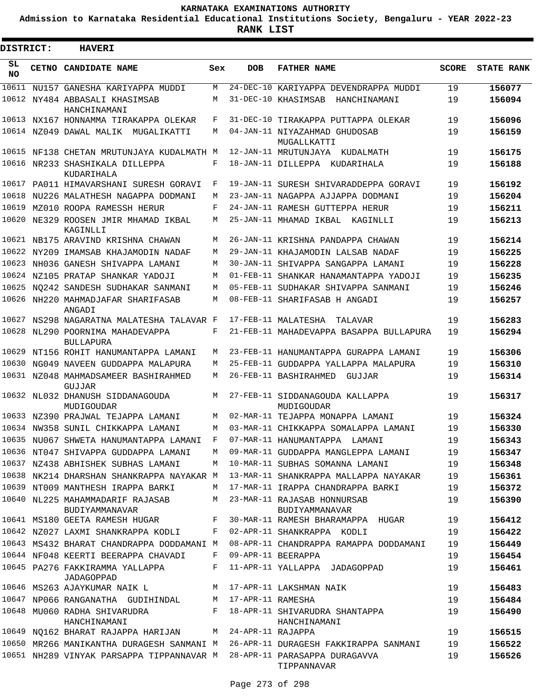**Admission to Karnataka Residential Educational Institutions Society, Bengaluru - YEAR 2022-23**

| <b>DISTRICT:</b> | <b>HAVERI</b>                                                           |              |            |                                                |              |                   |
|------------------|-------------------------------------------------------------------------|--------------|------------|------------------------------------------------|--------------|-------------------|
| SL<br><b>NO</b>  | CETNO CANDIDATE NAME                                                    | Sex          | <b>DOB</b> | <b>FATHER NAME</b>                             | <b>SCORE</b> | <b>STATE RANK</b> |
| 10611            | NU157 GANESHA KARIYAPPA MUDDI                                           | M            |            | 24-DEC-10 KARIYAPPA DEVENDRAPPA MUDDI          | 19           | 156077            |
|                  | 10612 NY484 ABBASALI KHASIMSAB<br>HANCHINAMANI                          | M            |            | 31-DEC-10 KHASIMSAB<br>HANCHINAMANI            | 19           | 156094            |
|                  | 10613 NX167 HONNAMMA TIRAKAPPA OLEKAR                                   | F            |            | 31-DEC-10 TIRAKAPPA PUTTAPPA OLEKAR            | 19           | 156096            |
|                  | 10614 NZ049 DAWAL MALIK MUGALIKATTI                                     | M            |            | 04-JAN-11 NIYAZAHMAD GHUDOSAB<br>MUGALLKATTI   | 19           | 156159            |
|                  | 10615 NF138 CHETAN MRUTUNJAYA KUDALMATH M                               |              |            | 12-JAN-11 MRUTUNJAYA KUDALMATH                 | 19           | 156175            |
|                  | 10616 NR233 SHASHIKALA DILLEPPA<br>KUDARIHALA                           | F            |            | 18-JAN-11 DILLEPPA KUDARIHALA                  | 19           | 156188            |
| 10617            | PA011 HIMAVARSHANI SURESH GORAVI                                        | F            |            | 19-JAN-11 SURESH SHIVARADDEPPA GORAVI          | 19           | 156192            |
| 10618            | NU226 MALATHESH NAGAPPA DODMANI                                         | M            |            | 23-JAN-11 NAGAPPA AJJAPPA DODMANI              | 19           | 156204            |
| 10619            | MZ010 ROOPA RAMESSH HERUR                                               | F            |            | 24-JAN-11 RAMESH GUTTEPPA HERUR                | 19           | 156211            |
|                  | 10620 NE329 ROOSEN JMIR MHAMAD IKBAL<br>KAGINLLI                        | M            |            | 25-JAN-11 MHAMAD IKBAL<br>KAGINLLI             | 19           | 156213            |
|                  | 10621 NB175 ARAVIND KRISHNA CHAWAN                                      | M            |            | 26-JAN-11 KRISHNA PANDAPPA CHAWAN              | 19           | 156214            |
|                  | 10622 NY209 IMAMSAB KHAJAMODIN NADAF                                    | M            |            | 29-JAN-11 KHAJAMODIN LALSAB NADAF              | 19           | 156225            |
|                  | 10623 NH036 GANESH SHIVAPPA LAMANI                                      | M            |            | 30-JAN-11 SHIVAPPA SANGAPPA LAMANI             | 19           | 156228            |
|                  | 10624 NZ105 PRATAP SHANKAR YADOJI                                       | M            |            | 01-FEB-11 SHANKAR HANAMANTAPPA YADOJI          | 19           | 156235            |
|                  | 10625 NQ242 SANDESH SUDHAKAR SANMANI                                    | M            |            | 05-FEB-11 SUDHAKAR SHIVAPPA SANMANI            | 19           | 156246            |
|                  | 10626 NH220 MAHMADJAFAR SHARIFASAB<br>ANGADI                            | M            |            | 08-FEB-11 SHARIFASAB H ANGADI                  | 19           | 156257            |
|                  | 10627 NS298 NAGARATNA MALATESHA TALAVAR F                               |              |            | 17-FEB-11 MALATESHA<br>TALAVAR                 | 19           | 156283            |
|                  | 10628 NL290 POORNIMA MAHADEVAPPA<br><b>BULLAPURA</b>                    | F            |            | 21-FEB-11 MAHADEVAPPA BASAPPA BULLAPURA        | 19           | 156294            |
| 10629            | NT156 ROHIT HANUMANTAPPA LAMANI                                         | M            |            | 23-FEB-11 HANUMANTAPPA GURAPPA LAMANI          | 19           | 156306            |
|                  | 10630 NG049 NAVEEN GUDDAPPA MALAPURA                                    | M            |            | 25-FEB-11 GUDDAPPA YALLAPPA MALAPURA           | 19           | 156310            |
|                  | 10631 NZ048 MAHMADSAMEER BASHIRAHMED<br>GUJJAR                          | M            |            | 26-FEB-11 BASHIRAHMED<br>GUJJAR                | 19           | 156314            |
|                  | 10632 NL032 DHANUSH SIDDANAGOUDA<br>MUDIGOUDAR                          | M            |            | 27-FEB-11 SIDDANAGOUDA KALLAPPA<br>MUDIGOUDAR  | 19           | 156317            |
|                  | 10633 NZ390 PRAJWAL TEJAPPA LAMANI                                      | M            |            | 02-MAR-11 TEJAPPA MONAPPA LAMANI               | 19           | 156324            |
|                  | 10634 NW358 SUNIL CHIKKAPPA LAMANI                                      | M            |            | 03-MAR-11 CHIKKAPPA SOMALAPPA LAMANI           | 19           | 156330            |
|                  | 10635 NU067 SHWETA HANUMANTAPPA LAMANI F                                |              |            | 07-MAR-11 HANUMANTAPPA LAMANI                  | 19           | 156343            |
|                  | 10636 NT047 SHIVAPPA GUDDAPPA LAMANI                                    |              |            | M 09-MAR-11 GUDDAPPA MANGLEPPA LAMANI          | 19           | 156347            |
|                  | 10637 NZ438 ABHISHEK SUBHAS LAMANI                                      | М            |            | 10-MAR-11 SUBHAS SOMANNA LAMANI                | 19           | 156348            |
|                  | 10638 NK214 DHARSHAN SHANKRAPPA NAYAKAR M                               |              |            | 13-MAR-11 SHANKRAPPA MALLAPPA NAYAKAR          | 19           | 156361            |
|                  | 10639 NT009 MANTHESH IRAPPA BARKI                                       | M            |            | 17-MAR-11 IRAPPA CHANDRAPPA BARKI              | 19           | 156372            |
|                  | 10640 NL225 MAHAMMADARIF RAJASAB<br>BUDIYAMMANAVAR                      | M            |            | 23-MAR-11 RAJASAB HONNURSAB<br>BUDIYAMMANAVAR  | 19           | 156390            |
|                  | 10641 MS180 GEETA RAMESH HUGAR                                          | $\mathbf{F}$ |            | 30-MAR-11 RAMESH BHARAMAPPA HUGAR              | 19           | 156412            |
|                  | 10642 NZ027 LAXMI SHANKRAPPA KODLI                                      | F            |            | 02-APR-11 SHANKRAPPA KODLI                     | 19           | 156422            |
|                  | 10643 MS432 BHARAT CHANDRAPPA DODDAMANI M                               |              |            | 08-APR-11 CHANDRAPPA RAMAPPA DODDAMANI         | 19           | 156449            |
|                  | 10644 NF048 KEERTI BEERAPPA CHAVADI                                     | F            |            | 09-APR-11 BEERAPPA                             | 19           | 156454            |
|                  | 10645 PA276 FAKKIRAMMA YALLAPPA<br>JADAGOPPAD                           | F            |            | 11-APR-11 YALLAPPA JADAGOPPAD                  | 19           | 156461            |
|                  | 10646 MS263 AJAYKUMAR NAIK L                                            |              |            | M 17-APR-11 LAKSHMAN NAIK                      | 19           | 156483            |
|                  | 10647 NP066 RANGANATHA GUDIHINDAL M 17-APR-11 RAMESHA                   |              |            |                                                | 19           | 156484            |
|                  | 10648 MU060 RADHA SHIVARUDRA<br>HANCHINAMANI                            | F            |            | 18-APR-11 SHIVARUDRA SHANTAPPA<br>HANCHINAMANI | 19           | 156490            |
|                  | 10649 NQ162 BHARAT RAJAPPA HARIJAN M 24-APR-11 RAJAPPA                  |              |            |                                                | 19           | 156515            |
|                  | 10650 MR266 MANIKANTHA DURAGESH SANMANI M                               |              |            | 26-APR-11 DURAGESH FAKKIRAPPA SANMANI          | 19           | 156522            |
|                  | 10651 NH289 VINYAK PARSAPPA TIPPANNAVAR M 28-APR-11 PARASAPPA DURAGAVVA |              |            | TIPPANNAVAR                                    | 19           | 156526            |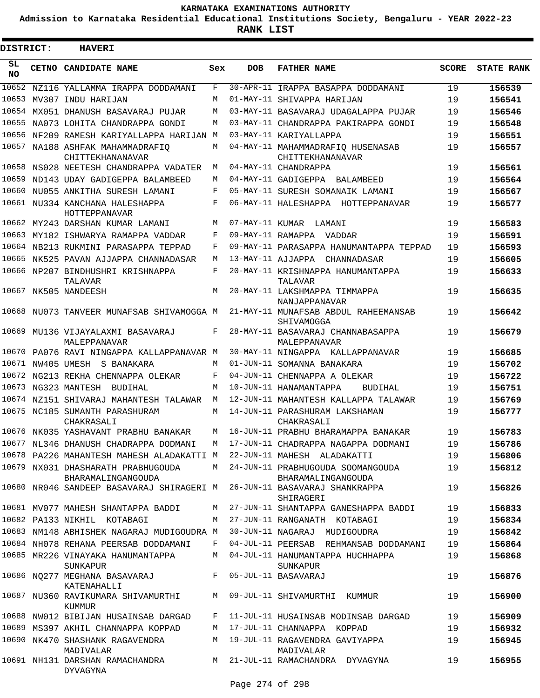**Admission to Karnataka Residential Educational Institutions Society, Bengaluru - YEAR 2022-23**

**RANK LIST**

 $\blacksquare$ 

| DISTRICT:       |  | <b>HAVERI</b>                                                            |            |                 |                                                         |              |                   |
|-----------------|--|--------------------------------------------------------------------------|------------|-----------------|---------------------------------------------------------|--------------|-------------------|
| SL<br><b>NO</b> |  | CETNO CANDIDATE NAME                                                     | Sex        | <b>DOB</b>      | <b>FATHER NAME</b>                                      | <b>SCORE</b> | <b>STATE RANK</b> |
|                 |  | 10652 NZ116 YALLAMMA IRAPPA DODDAMANI                                    | F          |                 | 30-APR-11 IRAPPA BASAPPA DODDAMANI                      | 19           | 156539            |
|                 |  | 10653 MV307 INDU HARIJAN                                                 | M          |                 | 01-MAY-11 SHIVAPPA HARIJAN                              | 19           | 156541            |
|                 |  | 10654 MX051 DHANUSH BASAVARAJ PUJAR                                      | M          |                 | 03-MAY-11 BASAVARAJ UDAGALAPPA PUJAR                    | 19           | 156546            |
|                 |  | 10655 NA073 LOHITA CHANDRAPPA GONDI                                      | M          |                 | 03-MAY-11 CHANDRAPPA PAKIRAPPA GONDI                    | 19           | 156548            |
|                 |  | 10656 NF209 RAMESH KARIYALLAPPA HARIJAN M                                |            |                 | 03-MAY-11 KARIYALLAPPA                                  | 19           | 156551            |
|                 |  | 10657 NA188 ASHFAK MAHAMMADRAFIQ<br>CHITTEKHANANAVAR                     | M          |                 | 04-MAY-11 MAHAMMADRAFIQ HUSENASAB<br>CHITTEKHANANAVAR   | 19           | 156557            |
|                 |  | 10658 NS028 NEETESH CHANDRAPPA VADATER                                   | M          |                 | 04-MAY-11 CHANDRAPPA                                    | 19           | 156561            |
|                 |  | 10659 ND143 UDAY GADIGEPPA BALAMBEED                                     | M          |                 | 04-MAY-11 GADIGEPPA BALAMBEED                           | 19           | 156564            |
|                 |  | 10660 NU055 ANKITHA SURESH LAMANI                                        | F          |                 | 05-MAY-11 SURESH SOMANAIK LAMANI                        | 19           | 156567            |
|                 |  | 10661 NU334 KANCHANA HALESHAPPA<br>HOTTEPPANAVAR                         | F          |                 | 06-MAY-11 HALESHAPPA HOTTEPPANAVAR                      | 19           | 156577            |
|                 |  | 10662 MY243 DARSHAN KUMAR LAMANI                                         | M          | 07-MAY-11 KUMAR | LAMANI                                                  | 19           | 156583            |
|                 |  | 10663 MY182 ISHWARYA RAMAPPA VADDAR                                      | $_{\rm F}$ |                 | 09-MAY-11 RAMAPPA VADDAR                                | 19           | 156591            |
|                 |  | 10664 NB213 RUKMINI PARASAPPA TEPPAD                                     | F          |                 | 09-MAY-11 PARASAPPA HANUMANTAPPA TEPPAD                 | 19           | 156593            |
|                 |  | 10665 NK525 PAVAN AJJAPPA CHANNADASAR                                    | M          |                 | 13-MAY-11 AJJAPPA CHANNADASAR                           | 19           | 156605            |
|                 |  | 10666 NP207 BINDHUSHRI KRISHNAPPA<br>TALAVAR                             | F          |                 | 20-MAY-11 KRISHNAPPA HANUMANTAPPA<br>TALAVAR            | 19           | 156633            |
|                 |  | 10667 NK505 NANDEESH                                                     | M          |                 | 20-MAY-11 LAKSHMAPPA TIMMAPPA<br>NANJAPPANAVAR          | 19           | 156635            |
|                 |  | 10668 NU073 TANVEER MUNAFSAB SHIVAMOGGA M                                |            |                 | 21-MAY-11 MUNAFSAB ABDUL RAHEEMANSAB<br>SHIVAMOGGA      | 19           | 156642            |
|                 |  | 10669 MU136 VIJAYALAXMI BASAVARAJ<br>MALEPPANAVAR                        | F          |                 | 28-MAY-11 BASAVARAJ CHANNABASAPPA<br>MALEPPANAVAR       | 19           | 156679            |
|                 |  | 10670 PA076 RAVI NINGAPPA KALLAPPANAVAR M                                |            |                 | 30-MAY-11 NINGAPPA KALLAPPANAVAR                        | 19           | 156685            |
|                 |  | 10671 NW405 UMESH S BANAKARA                                             | M          |                 | 01-JUN-11 SOMANNA BANAKARA                              | 19           | 156702            |
|                 |  | 10672 NG213 REKHA CHENNAPPA OLEKAR                                       | F          |                 | 04-JUN-11 CHENNAPPA A OLEKAR                            | 19           | 156722            |
|                 |  | 10673 NG323 MANTESH<br>BUDIHAL                                           | M          |                 | 10-JUN-11 HANAMANTAPPA<br><b>BUDIHAL</b>                | 19           | 156751            |
|                 |  | 10674 NZ151 SHIVARAJ MAHANTESH TALAWAR                                   | М          |                 | 12-JUN-11 MAHANTESH KALLAPPA TALAWAR                    | 19           | 156769            |
|                 |  | 10675 NC185 SUMANTH PARASHURAM<br>CHAKRASALI                             | M          |                 | 14-JUN-11 PARASHURAM LAKSHAMAN<br>CHAKRASALI            | 19           | 156777            |
|                 |  | 10676 NK035 YASHAVANT PRABHU BANAKAR                                     | M          |                 | 16-JUN-11 PRABHU BHARAMAPPA BANAKAR                     | 19           | 156783            |
|                 |  | 10677 NL346 DHANUSH CHADRAPPA DODMANI                                    | M          |                 | 17-JUN-11 CHADRAPPA NAGAPPA DODMANI                     | 19           | 156786            |
|                 |  | 10678 PA226 MAHANTESH MAHESH ALADAKATTI M 22-JUN-11 MAHESH ALADAKATTI    |            |                 |                                                         | 19           | 156806            |
|                 |  | 10679 NX031 DHASHARATH PRABHUGOUDA<br>BHARAMALINGANGOUDA                 | M          |                 | 24-JUN-11 PRABHUGOUDA SOOMANGOUDA<br>BHARAMALINGANGOUDA | 19           | 156812            |
|                 |  | 10680 NR046 SANDEEP BASAVARAJ SHIRAGERI M 26-JUN-11 BASAVARAJ SHANKRAPPA |            |                 | SHIRAGERI                                               | 19           | 156826            |
|                 |  | 10681 MV077 MAHESH SHANTAPPA BADDI                                       | M          |                 | 27-JUN-11 SHANTAPPA GANESHAPPA BADDI                    | 19           | 156833            |
|                 |  | 10682 PA133 NIKHIL KOTABAGI                                              | M          |                 | 27-JUN-11 RANGANATH KOTABAGI                            | 19           | 156834            |
|                 |  | 10683 NM148 ABHISHEK NAGARAJ MUDIGOUDRA M                                |            |                 | 30-JUN-11 NAGARAJ MUDIGOUDRA                            | 19           | 156842            |
|                 |  | 10684 NH078 REHANA PEERSAB DODDAMANI                                     |            |                 | F 04-JUL-11 PEERSAB REHMANSAB DODDAMANI                 | 19           | 156864            |
|                 |  | 10685 MR226 VINAYAKA HANUMANTAPPA<br>SUNKAPUR                            |            |                 | M 04-JUL-11 HANUMANTAPPA HUCHHAPPA<br>SUNKAPUR          | 19           | 156868            |
|                 |  | 10686 NQ277 MEGHANA BASAVARAJ<br>KATENAHALLI                             | F          |                 | 05-JUL-11 BASAVARAJ                                     | 19           | 156876            |
|                 |  | 10687 NU360 RAVIKUMARA SHIVAMURTHI<br>KUMMUR                             | M          |                 | 09-JUL-11 SHIVAMURTHI KUMMUR                            | 19           | 156900            |
|                 |  | 10688 NW012 BIBIJAN HUSAINSAB DARGAD                                     |            |                 | F 11-JUL-11 HUSAINSAB MODINSAB DARGAD                   | 19           | 156909            |
|                 |  | 10689 MS397 AKHIL CHANNAPPA KOPPAD                                       |            |                 | M 17-JUL-11 CHANNAPPA KOPPAD                            | 19           | 156932            |
|                 |  | 10690 NK470 SHASHANK RAGAVENDRA<br>MADIVALAR                             |            |                 | M 19-JUL-11 RAGAVENDRA GAVIYAPPA<br>MADIVALAR           | 19           | 156945            |
|                 |  | 10691 NH131 DARSHAN RAMACHANDRA<br>DYVAGYNA                              |            |                 | M 21-JUL-11 RAMACHANDRA DYVAGYNA                        | 19           | 156955            |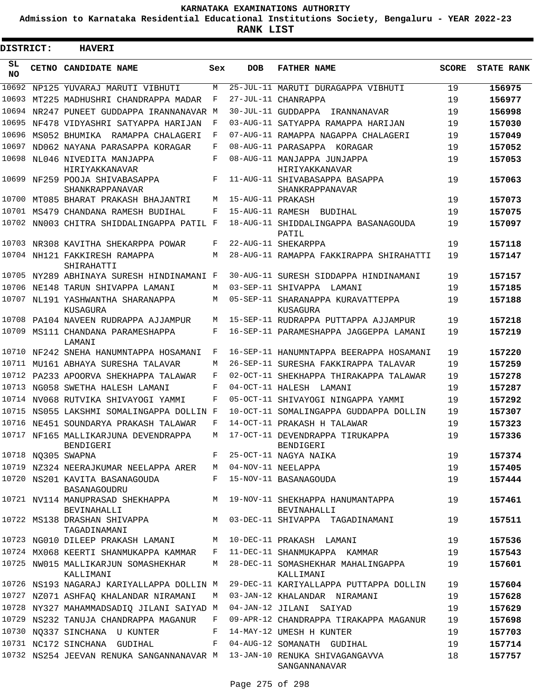**Admission to Karnataka Residential Educational Institutions Society, Bengaluru - YEAR 2022-23**

| DISTRICT:       | <b>HAVERI</b>                                                            |     |                   |                                                   |              |                   |
|-----------------|--------------------------------------------------------------------------|-----|-------------------|---------------------------------------------------|--------------|-------------------|
| SL<br><b>NO</b> | <b>CETNO CANDIDATE NAME</b>                                              | Sex | <b>DOB</b>        | <b>FATHER NAME</b>                                | <b>SCORE</b> | <b>STATE RANK</b> |
| 10692           | NP125 YUVARAJ MARUTI VIBHUTI                                             | M   |                   | 25-JUL-11 MARUTI DURAGAPPA VIBHUTI                | 19           | 156975            |
| 10693           | MT225 MADHUSHRI CHANDRAPPA MADAR                                         | F   |                   | 27-JUL-11 CHANRAPPA                               | 19           | 156977            |
| 10694           | NR247 PUNEET GUDDAPPA IRANNANAVAR M                                      |     |                   | 30-JUL-11 GUDDAPPA<br>IRANNANAVAR                 | 19           | 156998            |
| 10695           | NF478 VIDYASHRI SATYAPPA HARIJAN                                         | F   |                   | 03-AUG-11 SATYAPPA RAMAPPA HARIJAN                | 19           | 157030            |
| 10696           | MS052 BHUMIKA RAMAPPA CHALAGERI                                          | F   |                   | 07-AUG-11 RAMAPPA NAGAPPA CHALAGERI               | 19           | 157049            |
| 10697           | ND062 NAYANA PARASAPPA KORAGAR                                           | F   |                   | 08-AUG-11 PARASAPPA KORAGAR                       | 19           | 157052            |
| 10698           | NL046 NIVEDITA MANJAPPA<br>HIRIYAKKANAVAR                                | F   |                   | 08-AUG-11 MANJAPPA JUNJAPPA<br>HIRIYAKKANAVAR     | 19           | 157053            |
|                 | 10699 NF259 POOJA SHIVABASAPPA<br>SHANKRAPPANAVAR                        | F   |                   | 11-AUG-11 SHIVABASAPPA BASAPPA<br>SHANKRAPPANAVAR | 19           | 157063            |
| 10700           | MT085 BHARAT PRAKASH BHAJANTRI                                           | M   | 15-AUG-11 PRAKASH |                                                   | 19           | 157073            |
|                 | 10701 MS479 CHANDANA RAMESH BUDIHAL                                      | F   |                   | 15-AUG-11 RAMESH BUDIHAL                          | 19           | 157075            |
|                 | 10702 NN003 CHITRA SHIDDALINGAPPA PATIL F                                |     |                   | 18-AUG-11 SHIDDALINGAPPA BASANAGOUDA<br>PATIL     | 19           | 157097            |
|                 | 10703 NR308 KAVITHA SHEKARPPA POWAR                                      | F   |                   | 22-AUG-11 SHEKARPPA                               | 19           | 157118            |
|                 | 10704 NH121 FAKKIRESH RAMAPPA<br>SHIRAHATTI                              | M   |                   | 28-AUG-11 RAMAPPA FAKKIRAPPA SHIRAHATTI           | 19           | 157147            |
|                 | 10705 NY289 ABHINAYA SURESH HINDINAMANI F                                |     |                   | 30-AUG-11 SURESH SIDDAPPA HINDINAMANI             | 19           | 157157            |
| 10706           | NE148 TARUN SHIVAPPA LAMANI                                              | M   |                   | 03-SEP-11 SHIVAPPA LAMANI                         | 19           | 157185            |
| 10707           | NL191 YASHWANTHA SHARANAPPA<br>KUSAGURA                                  | M   |                   | 05-SEP-11 SHARANAPPA KURAVATTEPPA<br>KUSAGURA     | 19           | 157188            |
| 10708           | PA104 NAVEEN RUDRAPPA AJJAMPUR                                           | M   |                   | 15-SEP-11 RUDRAPPA PUTTAPPA AJJAMPUR              | 19           | 157218            |
|                 | 10709 MS111 CHANDANA PARAMESHAPPA<br>LAMANI                              | F   |                   | 16-SEP-11 PARAMESHAPPA JAGGEPPA LAMANI            | 19           | 157219            |
| 10710           | NF242 SNEHA HANUMNTAPPA HOSAMANI                                         | F   |                   | 16-SEP-11 HANUMNTAPPA BEERAPPA HOSAMANI           | 19           | 157220            |
| 10711           | MU161 ABHAYA SURESHA TALAVAR                                             | M   |                   | 26-SEP-11 SURESHA FAKKIRAPPA TALAVAR              | 19           | 157259            |
| 10712           | PA233 APOORVA SHEKHAPPA TALAWAR                                          | F   |                   | 02-OCT-11 SHEKHAPPA THIRAKAPPA TALAWAR            | 19           | 157278            |
| 10713           | NG058 SWETHA HALESH LAMANI                                               | F   | 04-OCT-11 HALESH  | LAMANI                                            | 19           | 157287            |
| 10714           | NV068 RUTVIKA SHIVAYOGI YAMMI                                            | F   |                   | 05-OCT-11 SHIVAYOGI NINGAPPA YAMMI                | 19           | 157292            |
| 10715           | NS055 LAKSHMI SOMALINGAPPA DOLLIN F                                      |     |                   | 10-OCT-11 SOMALINGAPPA GUDDAPPA DOLLIN            | 19           | 157307            |
| 10716           | NE451 SOUNDARYA PRAKASH TALAWAR                                          | F   |                   | 14-OCT-11 PRAKASH H TALAWAR                       | 19           | 157323            |
|                 | 10717 NF165 MALLIKARJUNA DEVENDRAPPA<br>BENDIGERI                        | M   |                   | 17-OCT-11 DEVENDRAPPA TIRUKAPPA<br>BENDIGERI      | 19           | 157336            |
|                 | 10718 NQ305 SWAPNA                                                       | F   |                   | 25-OCT-11 NAGYA NAIKA                             | 19           | 157374            |
|                 | 10719 NZ324 NEERAJKUMAR NEELAPPA ARER                                    |     |                   | M 04-NOV-11 NEELAPPA                              | 19           | 157405            |
|                 | 10720 NS201 KAVITA BASANAGOUDA<br>BASANAGOUDRU                           |     |                   | F 15-NOV-11 BASANAGOUDA                           | 19           | 157444            |
|                 | 10721 NV114 MANUPRASAD SHEKHAPPA<br>BEVINAHALLI                          |     |                   | M 19-NOV-11 SHEKHAPPA HANUMANTAPPA<br>BEVINAHALLI | 19           | 157461            |
|                 | 10722 MS138 DRASHAN SHIVAPPA<br>TAGADINAMANI                             | M   |                   | 03-DEC-11 SHIVAPPA TAGADINAMANI                   | 19           | 157511            |
|                 | 10723 NG010 DILEEP PRAKASH LAMANI                                        |     |                   | M 10-DEC-11 PRAKASH LAMANI                        | 19           | 157536            |
|                 | 10724 MX068 KEERTI SHANMUKAPPA KAMMAR                                    |     |                   | F 11-DEC-11 SHANMUKAPPA KAMMAR                    | 19           | 157543            |
|                 | 10725 NW015 MALLIKARJUN SOMASHEKHAR<br>KALLIMANI                         |     |                   | M 28-DEC-11 SOMASHEKHAR MAHALINGAPPA<br>KALLIMANI | 19           | 157601            |
|                 | 10726 NS193 NAGARAJ KARIYALLAPPA DOLLIN M                                |     |                   | 29-DEC-11 KARIYALLAPPA PUTTAPPA DOLLIN            | 19           | 157604            |
|                 | 10727 NZ071 ASHFAQ KHALANDAR NIRAMANI                                    | M   |                   | 03-JAN-12 KHALANDAR NIRAMANI                      | 19           | 157628            |
|                 | 10728 NY327 MAHAMMADSADIQ JILANI SAIYAD M                                |     |                   | 04-JAN-12 JILANI SAIYAD                           | 19           | 157629            |
|                 | 10729 NS232 TANUJA CHANDRAPPA MAGANUR                                    | F   |                   | 09-APR-12 CHANDRAPPA TIRAKAPPA MAGANUR            | 19           | 157698            |
|                 | 10730 NQ337 SINCHANA U KUNTER                                            | F   |                   | 14-MAY-12 UMESH H KUNTER                          | 19           | 157703            |
|                 | 10731 NC172 SINCHANA GUDIHAL                                             | F   |                   | 04-AUG-12 SOMANATH GUDIHAL                        | 19           | 157714            |
|                 | 10732 NS254 JEEVAN RENUKA SANGANNANAVAR M 13-JAN-10 RENUKA SHIVAGANGAVVA |     |                   | SANGANNANAVAR                                     | 18           | 157757            |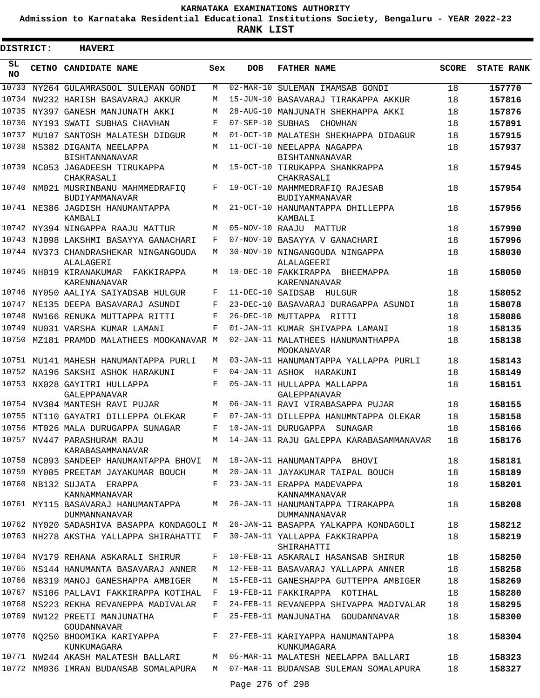**Admission to Karnataka Residential Educational Institutions Society, Bengaluru - YEAR 2022-23**

| DISTRICT:       | <b>HAVERI</b>                                                          |             |                 |                                                                                        |              |                   |
|-----------------|------------------------------------------------------------------------|-------------|-----------------|----------------------------------------------------------------------------------------|--------------|-------------------|
| SL<br><b>NO</b> | <b>CETNO CANDIDATE NAME</b>                                            | Sex         | <b>DOB</b>      | <b>FATHER NAME</b>                                                                     | <b>SCORE</b> | <b>STATE RANK</b> |
| 10733           | NY264 GULAMRASOOL SULEMAN GONDI                                        | M           |                 | 02-MAR-10 SULEMAN IMAMSAB GONDI                                                        | 18           | 157770            |
|                 | 10734 NW232 HARISH BASAVARAJ AKKUR                                     | M           |                 | 15-JUN-10 BASAVARAJ TIRAKAPPA AKKUR                                                    | 18           | 157816            |
| 10735           | NY397 GANESH MANJUNATH AKKI                                            | М           |                 | 28-AUG-10 MANJUNATH SHEKHAPPA AKKI                                                     | 18           | 157876            |
|                 | 10736 NY193 SWATI SUBHAS CHAVHAN                                       | F           |                 | 07-SEP-10 SUBHAS CHOWHAN                                                               | 18           | 157891            |
| 10737           | MU107 SANTOSH MALATESH DIDGUR                                          | М           |                 | 01-OCT-10 MALATESH SHEKHAPPA DIDAGUR                                                   | 18           | 157915            |
| 10738           | NS382 DIGANTA NEELAPPA<br><b>BISHTANNANAVAR</b>                        | М           |                 | 11-OCT-10 NEELAPPA NAGAPPA<br><b>BISHTANNANAVAR</b>                                    | 18           | 157937            |
|                 | 10739 NC053 JAGADEESH TIRUKAPPA<br>CHAKRASALI                          | М           |                 | 15-OCT-10 TIRUKAPPA SHANKRAPPA<br>CHAKRASALI                                           | 18           | 157945            |
|                 | 10740 NM021 MUSRINBANU MAHMMEDRAFIQ<br>BUDIYAMMANAVAR                  | F           |                 | 19-OCT-10 MAHMMEDRAFIO RAJESAB<br>BUDIYAMMANAVAR                                       | 18           | 157954            |
|                 | 10741 NE386 JAGDISH HANUMANTAPPA<br>KAMBALI                            | M           |                 | 21-OCT-10 HANUMANTAPPA DHILLEPPA<br>KAMBALI                                            | 18           | 157956            |
|                 | 10742 NY394 NINGAPPA RAAJU MATTUR                                      | М           |                 | 05-NOV-10 RAAJU MATTUR                                                                 | 18           | 157990            |
|                 | 10743 NJ098 LAKSHMI BASAYYA GANACHARI                                  | F           |                 | 07-NOV-10 BASAYYA V GANACHARI                                                          | 18           | 157996            |
|                 | 10744 NV373 CHANDRASHEKAR NINGANGOUDA<br>ALALAGERI                     | М           |                 | 30-NOV-10 NINGANGOUDA NINGAPPA<br>ALALAGEERI                                           | 18           | 158030            |
|                 | 10745 NH019 KIRANAKUMAR FAKKIRAPPA<br>KARENNANAVAR                     | М           |                 | 10-DEC-10 FAKKIRAPPA BHEEMAPPA<br><b>KARENNANAVAR</b>                                  | 18           | 158050            |
| 10746           | NY050 AALIYA SAIYADSAB HULGUR                                          | F           |                 | 11-DEC-10 SAIDSAB HULGUR                                                               | 18           | 158052            |
| 10747           | NE135 DEEPA BASAVARAJ ASUNDI                                           | F           |                 | 23-DEC-10 BASAVARAJ DURAGAPPA ASUNDI                                                   | 18           | 158078            |
| 10748           | NW166 RENUKA MUTTAPPA RITTI                                            | F           |                 | 26-DEC-10 MUTTAPPA RITTI                                                               | 18           | 158086            |
| 10749           | NU031 VARSHA KUMAR LAMANI                                              | F           |                 | 01-JAN-11 KUMAR SHIVAPPA LAMANI                                                        | 18           | 158135            |
|                 | 10750 MZ181 PRAMOD MALATHEES MOOKANAVAR M                              |             |                 | 02-JAN-11 MALATHEES HANUMANTHAPPA<br>MOOKANAVAR                                        | 18           | 158138            |
|                 | 10751 MU141 MAHESH HANUMANTAPPA PURLI                                  | M           |                 | 03-JAN-11 HANUMANTAPPA YALLAPPA PURLI                                                  | 18           | 158143            |
|                 | 10752 NA196 SAKSHI ASHOK HARAKUNI                                      | F           |                 | 04-JAN-11 ASHOK HARAKUNI                                                               | 18           | 158149            |
|                 | 10753 NX028 GAYITRI HULLAPPA<br>GALEPPANAVAR                           | F           |                 | 05-JAN-11 HULLAPPA MALLAPPA<br>GALEPPANAVAR                                            | 18           | 158151            |
|                 | 10754 NV304 MANTESH RAVI PUJAR                                         | М           |                 | 06-JAN-11 RAVI VIRABASAPPA PUJAR                                                       | 18           | 158155            |
|                 | 10755 NT110 GAYATRI DILLEPPA OLEKAR                                    | F           |                 | 07-JAN-11 DILLEPPA HANUMNTAPPA OLEKAR                                                  | 18           | 158158            |
|                 | 10756 MT026 MALA DURUGAPPA SUNAGAR                                     | F           |                 | 10-JAN-11 DURUGAPPA SUNAGAR                                                            | 18           | 158166            |
|                 | 10757 NV447 PARASHURAM RAJU<br>KARABASAMMANAVAR                        | M           |                 | 14-JAN-11 RAJU GALEPPA KARABASAMMANAVAR                                                | 18           | 158176            |
|                 |                                                                        |             |                 | 10758 NC093 SANDEEP HANUMANTAPPA BHOVI M 18-JAN-11 HANUMANTAPPA BHOVI                  | 18           | 158181            |
|                 | 10759 MY005 PREETAM JAYAKUMAR BOUCH                                    |             |                 | M 20-JAN-11 JAYAKUMAR TAIPAL BOUCH                                                     | 18           | 158189            |
|                 | 10760 NB132 SUJATA ERAPPA<br>KANNAMMANAVAR                             |             |                 | F 23-JAN-11 ERAPPA MADEVAPPA<br>KANNAMMANAVAR                                          | 18           | 158201            |
|                 | <b>DUMMANNANAVAR</b>                                                   |             |                 | 10761 MY115 BASAVARAJ HANUMANTAPPA M 26-JAN-11 HANUMANTAPPA TIRAKAPPA<br>DUMMANNANAVAR | 18           | 158208            |
|                 |                                                                        |             |                 | 10762 NY020 SADASHIVA BASAPPA KONDAGOLI M 26-JAN-11 BASAPPA YALKAPPA KONDAGOLI         | 18           | 158212            |
|                 | 10763 NH278 AKSTHA YALLAPPA SHIRAHATTI F 30-JAN-11 YALLAPPA FAKKIRAPPA |             |                 | SHIRAHATTI                                                                             | 18           | 158219            |
|                 | 10764 NV179 REHANA ASKARALI SHIRUR                                     |             |                 | F 10-FEB-11 ASKARALI HASANSAB SHIRUR                                                   | 18           | 158250            |
|                 | 10765 NS144 HANUMANTA BASAVARAJ ANNER                                  |             |                 | M 12-FEB-11 BASAVARAJ YALLAPPA ANNER                                                   | 18           | 158258            |
|                 | 10766 NB319 MANOJ GANESHAPPA AMBIGER                                   |             |                 | M 15-FEB-11 GANESHAPPA GUTTEPPA AMBIGER                                                | 18           | 158269            |
|                 | 10767 NS106 PALLAVI FAKKIRAPPA KOTIHAL                                 |             |                 | F 19-FEB-11 FAKKIRAPPA KOTIHAL                                                         | 18           | 158280            |
|                 | 10768 NS223 REKHA REVANEPPA MADIVALAR                                  |             |                 | F 24-FEB-11 REVANEPPA SHIVAPPA MADIVALAR                                               | 18           | 158295            |
|                 | 10769 NW122 PREETI MANJUNATHA<br>GOUDANNAVAR                           | $F$ and $F$ |                 | 25-FEB-11 MANJUNATHA GOUDANNAVAR                                                       | 18           | 158300            |
|                 | 10770 NQ250 BHOOMIKA KARIYAPPA F<br>KUNKUMAGARA                        |             |                 | 27-FEB-11 KARIYAPPA HANUMANTAPPA<br>KUNKUMAGARA                                        | 18           | 158304            |
|                 | 10771 NW244 AKASH MALATESH BALLARI                                     |             |                 | M 05-MAR-11 MALATESH NEELAPPA BALLARI                                                  | 18           | 158323            |
|                 | 10772 NM036 IMRAN BUDANSAB SOMALAPURA                                  |             | Page 276 of 298 | M 07-MAR-11 BUDANSAB SULEMAN SOMALAPURA                                                | 18           | 158327            |
|                 |                                                                        |             |                 |                                                                                        |              |                   |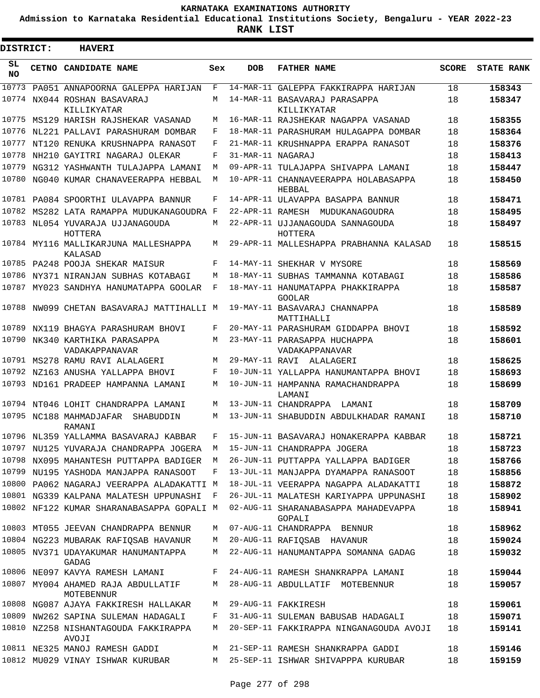**Admission to Karnataka Residential Educational Institutions Society, Bengaluru - YEAR 2022-23**

| DISTRICT:       |  | <b>HAVERI</b>                                       |     |                   |                                                    |              |                   |
|-----------------|--|-----------------------------------------------------|-----|-------------------|----------------------------------------------------|--------------|-------------------|
| SL<br><b>NO</b> |  | <b>CETNO CANDIDATE NAME</b>                         | Sex | <b>DOB</b>        | <b>FATHER NAME</b>                                 | <b>SCORE</b> | <b>STATE RANK</b> |
| 10773           |  | PA051 ANNAPOORNA GALEPPA HARIJAN                    | F   |                   | 14-MAR-11 GALEPPA FAKKIRAPPA HARIJAN               | 18           | 158343            |
|                 |  | 10774 NX044 ROSHAN BASAVARAJ                        | М   |                   | 14-MAR-11 BASAVARAJ PARASAPPA                      | 18           | 158347            |
|                 |  | KILLIKYATAR<br>10775 MS129 HARISH RAJSHEKAR VASANAD | M   |                   | KILLIKYATAR<br>16-MAR-11 RAJSHEKAR NAGAPPA VASANAD | 18           | 158355            |
| 10776           |  | NL221 PALLAVI PARASHURAM DOMBAR                     | F   |                   | 18-MAR-11 PARASHURAM HULAGAPPA DOMBAR              | 18           | 158364            |
| 10777           |  | NT120 RENUKA KRUSHNAPPA RANASOT                     | F   |                   | 21-MAR-11 KRUSHNAPPA ERAPPA RANASOT                | 18           | 158376            |
| 10778           |  | NH210 GAYITRI NAGARAJ OLEKAR                        | F   | 31-MAR-11 NAGARAJ |                                                    | 18           | 158413            |
| 10779           |  | NG312 YASHWANTH TULAJAPPA LAMANI                    | М   |                   | 09-APR-11 TULAJAPPA SHIVAPPA LAMANI                | 18           | 158447            |
|                 |  | 10780 NG040 KUMAR CHANAVEERAPPA HEBBAL              | M   |                   | 10-APR-11 CHANNAVEERAPPA HOLABASAPPA<br>HEBBAL     | 18           | 158450            |
|                 |  | 10781 PA084 SPOORTHI ULAVAPPA BANNUR                | F   |                   | 14-APR-11 ULAVAPPA BASAPPA BANNUR                  | 18           | 158471            |
|                 |  | 10782 MS282 LATA RAMAPPA MUDUKANAGOUDRA F           |     |                   | 22-APR-11 RAMESH MUDUKANAGOUDRA                    | 18           | 158495            |
|                 |  | 10783 NL054 YUVARAJA UJJANAGOUDA<br>HOTTERA         | М   |                   | 22-APR-11 UJJANAGOUDA SANNAGOUDA<br>HOTTERA        | 18           | 158497            |
|                 |  | 10784 MY116 MALLIKARJUNA MALLESHAPPA<br>KALASAD     | М   |                   | 29-APR-11 MALLESHAPPA PRABHANNA KALASAD            | 18           | 158515            |
|                 |  | 10785 PA248 POOJA SHEKAR MAISUR                     | F   |                   | 14-MAY-11 SHEKHAR V MYSORE                         | 18           | 158569            |
|                 |  | 10786 NY371 NIRANJAN SUBHAS KOTABAGI                | М   |                   | 18-MAY-11 SUBHAS TAMMANNA KOTABAGI                 | 18           | 158586            |
|                 |  | 10787 MY023 SANDHYA HANUMATAPPA GOOLAR              | F   |                   | 18-MAY-11 HANUMATAPPA PHAKKIRAPPA<br><b>GOOLAR</b> | 18           | 158587            |
|                 |  | 10788 NW099 CHETAN BASAVARAJ MATTIHALLI M           |     |                   | 19-MAY-11 BASAVARAJ CHANNAPPA<br>MATTIHALLI        | 18           | 158589            |
|                 |  | 10789 NX119 BHAGYA PARASHURAM BHOVI                 | F   |                   | 20-MAY-11 PARASHURAM GIDDAPPA BHOVI                | 18           | 158592            |
|                 |  | 10790 NK340 KARTHIKA PARASAPPA<br>VADAKAPPANAVAR    | М   |                   | 23-MAY-11 PARASAPPA HUCHAPPA<br>VADAKAPPANAVAR     | 18           | 158601            |
|                 |  | 10791 MS278 RAMU RAVI ALALAGERI                     | М   |                   | 29-MAY-11 RAVI ALALAGERI                           | 18           | 158625            |
|                 |  | 10792 NZ163 ANUSHA YALLAPPA BHOVI                   | F   |                   | 10-JUN-11 YALLAPPA HANUMANTAPPA BHOVI              | 18           | 158693            |
|                 |  | 10793 ND161 PRADEEP HAMPANNA LAMANI                 | M   |                   | 10-JUN-11 HAMPANNA RAMACHANDRAPPA<br>LAMANI        | 18           | 158699            |
|                 |  | 10794 NT046 LOHIT CHANDRAPPA LAMANI                 | M   |                   | 13-JUN-11 CHANDRAPPA LAMANI                        | 18           | 158709            |
|                 |  | 10795 NC188 MAHMADJAFAR SHABUDDIN<br>RAMANI         | М   |                   | 13-JUN-11 SHABUDDIN ABDULKHADAR RAMANI             | 18           | 158710            |
|                 |  | 10796 NL359 YALLAMMA BASAVARAJ KABBAR               | F   |                   | 15-JUN-11 BASAVARAJ HONAKERAPPA KABBAR             | 18           | 158721            |
|                 |  | 10797 NU125 YUVARAJA CHANDRAPPA JOGERA              | М   |                   | 15-JUN-11 CHANDRAPPA JOGERA                        | 18           | 158723            |
|                 |  | 10798 NX095 MAHANTESH PUTTAPPA BADIGER              | M   |                   | 26-JUN-11 PUTTAPPA YALLAPPA BADIGER                | 18           | 158766            |
|                 |  | 10799 NU195 YASHODA MANJAPPA RANASOOT               | F   |                   | 13-JUL-11 MANJAPPA DYAMAPPA RANASOOT               | 18           | 158856            |
|                 |  | 10800 PA062 NAGARAJ VEERAPPA ALADAKATTI M           |     |                   | 18-JUL-11 VEERAPPA NAGAPPA ALADAKATTI              | 18           | 158872            |
|                 |  | 10801 NG339 KALPANA MALATESH UPPUNASHI              | F   |                   | 26-JUL-11 MALATESH KARIYAPPA UPPUNASHI             | 18           | 158902            |
|                 |  | 10802 NF122 KUMAR SHARANABASAPPA GOPALI M           |     |                   | 02-AUG-11 SHARANABASAPPA MAHADEVAPPA<br>GOPALI     | 18           | 158941            |
|                 |  | 10803 MT055 JEEVAN CHANDRAPPA BENNUR                | М   |                   | 07-AUG-11 CHANDRAPPA BENNUR                        | 18           | 158962            |
|                 |  | 10804 NG223 MUBARAK RAFIQSAB HAVANUR                | М   |                   | 20-AUG-11 RAFIQSAB HAVANUR                         | 18           | 159024            |
|                 |  | 10805 NV371 UDAYAKUMAR HANUMANTAPPA<br>GADAG        | М   |                   | 22-AUG-11 HANUMANTAPPA SOMANNA GADAG               | 18           | 159032            |
|                 |  | 10806 NE097 KAVYA RAMESH LAMANI                     | F   |                   | 24-AUG-11 RAMESH SHANKRAPPA LAMANI                 | 18           | 159044            |
|                 |  | 10807 MY004 AHAMED RAJA ABDULLATIF<br>MOTEBENNUR    | М   |                   | 28-AUG-11 ABDULLATIF MOTEBENNUR                    | 18           | 159057            |
|                 |  | 10808 NG087 AJAYA FAKKIRESH HALLAKAR                | М   |                   | 29-AUG-11 FAKKIRESH                                | 18           | 159061            |
|                 |  | 10809 NW262 SAPINA SULEMAN HADAGALI                 | F   |                   | 31-AUG-11 SULEMAN BABUSAB HADAGALI                 | 18           | 159071            |
|                 |  | 10810 NZ258 NISHANTAGOUDA FAKKIRAPPA<br>AVOJI       | М   |                   | 20-SEP-11 FAKKIRAPPA NINGANAGOUDA AVOJI            | 18           | 159141            |
|                 |  | 10811 NE325 MANOJ RAMESH GADDI                      | M   |                   | 21-SEP-11 RAMESH SHANKRAPPA GADDI                  | 18           | 159146            |
|                 |  | 10812 MU029 VINAY ISHWAR KURUBAR                    | М   |                   | 25-SEP-11 ISHWAR SHIVAPPPA KURUBAR                 | 18           | 159159            |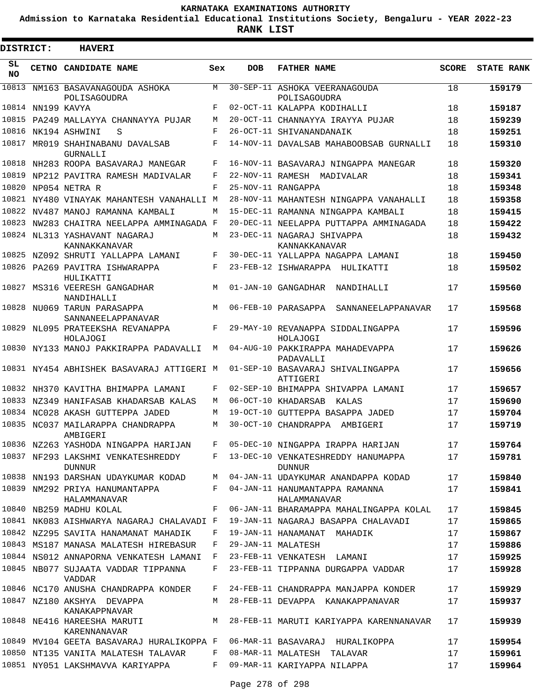**Admission to Karnataka Residential Educational Institutions Society, Bengaluru - YEAR 2022-23**

**RANK LIST**

 $\blacksquare$ 

| <b>DISTRICT:</b> |                   | <b>HAVERI</b>                                                             |             |            |                                                                             |              |                   |
|------------------|-------------------|---------------------------------------------------------------------------|-------------|------------|-----------------------------------------------------------------------------|--------------|-------------------|
| SL<br><b>NO</b>  |                   | CETNO CANDIDATE NAME                                                      | Sex         | <b>DOB</b> | <b>FATHER NAME</b>                                                          | <b>SCORE</b> | <b>STATE RANK</b> |
| 10813            |                   | NM163 BASAVANAGOUDA ASHOKA<br>POLISAGOUDRA                                | M           |            | 30-SEP-11 ASHOKA VEERANAGOUDA<br>POLISAGOUDRA                               | 18           | 159179            |
|                  | 10814 NN199 KAVYA |                                                                           | F           |            | 02-OCT-11 KALAPPA KODIHALLI                                                 | 18           | 159187            |
|                  |                   | 10815 PA249 MALLAYYA CHANNAYYA PUJAR                                      | М           |            | 20-OCT-11 CHANNAYYA IRAYYA PUJAR                                            | 18           | 159239            |
|                  |                   | 10816 NK194 ASHWINI<br>S                                                  | F           |            | 26-OCT-11 SHIVANANDANAIK                                                    | 18           | 159251            |
| 10817            |                   | MR019 SHAHINABANU DAVALSAB<br><b>GURNALLI</b>                             | F           |            | 14-NOV-11 DAVALSAB MAHABOOBSAB GURNALLI                                     | 18           | 159310            |
|                  |                   | 10818 NH283 ROOPA BASAVARAJ MANEGAR                                       | F           |            | 16-NOV-11 BASAVARAJ NINGAPPA MANEGAR                                        | 18           | 159320            |
|                  |                   | 10819 NP212 PAVITRA RAMESH MADIVALAR                                      | F           |            | 22-NOV-11 RAMESH MADIVALAR                                                  | 18           | 159341            |
| 10820            |                   | NP054 NETRA R                                                             | F           |            | 25-NOV-11 RANGAPPA                                                          | 18           | 159348            |
|                  |                   | 10821 NY480 VINAYAK MAHANTESH VANAHALLI M                                 |             |            | 28-NOV-11 MAHANTESH NINGAPPA VANAHALLI                                      | 18           | 159358            |
|                  |                   | 10822 NV487 MANOJ RAMANNA KAMBALI                                         | М           |            | 15-DEC-11 RAMANNA NINGAPPA KAMBALI                                          | 18           | 159415            |
|                  |                   | 10823 NW283 CHAITRA NEELAPPA AMMINAGADA F                                 |             |            | 20-DEC-11 NEELAPPA PUTTAPPA AMMINAGADA                                      | 18           | 159422            |
|                  |                   | 10824 NL313 YASHAVANT NAGARAJ<br>KANNAKKANAVAR                            | М           |            | 23-DEC-11 NAGARAJ SHIVAPPA<br>KANNAKKANAVAR                                 | 18           | 159432            |
|                  |                   | 10825 NZ092 SHRUTI YALLAPPA LAMANI                                        | F           |            | 30-DEC-11 YALLAPPA NAGAPPA LAMANI                                           | 18           | 159450            |
|                  |                   | 10826 PA269 PAVITRA ISHWARAPPA<br>HULIKATTI                               | F           |            | 23-FEB-12 ISHWARAPPA HULIKATTI                                              | 18           | 159502            |
| 10827            |                   | MS316 VEERESH GANGADHAR<br>NANDIHALLI                                     | M           |            | 01-JAN-10 GANGADHAR<br>NANDIHALLI                                           | 17           | 159560            |
|                  |                   | 10828 NU069 TARUN PARASAPPA<br>SANNANEELAPPANAVAR                         | M           |            | 06-FEB-10 PARASAPPA SANNANEELAPPANAVAR                                      | 17           | 159568            |
| 10829            |                   | NL095 PRATEEKSHA REVANAPPA<br>HOLAJOGI                                    | F           |            | 29-MAY-10 REVANAPPA SIDDALINGAPPA<br>HOLAJOGI                               | 17           | 159596            |
|                  |                   | 10830 NY133 MANOJ PAKKIRAPPA PADAVALLI                                    | М           |            | 04-AUG-10 PAKKIRAPPA MAHADEVAPPA<br>PADAVALLI                               | 17           | 159626            |
|                  |                   | 10831 NY454 ABHISHEK BASAVARAJ ATTIGERI M                                 |             |            | 01-SEP-10 BASAVARAJ SHIVALINGAPPA<br>ATTIGERI                               | 17           | 159656            |
|                  |                   | 10832 NH370 KAVITHA BHIMAPPA LAMANI                                       | F           |            | 02-SEP-10 BHIMAPPA SHIVAPPA LAMANI                                          | 17           | 159657            |
|                  |                   | 10833 NZ349 HANIFASAB KHADARSAB KALAS                                     | М           |            | 06-OCT-10 KHADARSAB KALAS                                                   | 17           | 159690            |
|                  |                   | 10834 NC028 AKASH GUTTEPPA JADED                                          | М           |            | 19-OCT-10 GUTTEPPA BASAPPA JADED                                            | 17           | 159704            |
|                  |                   | 10835 NC037 MAILARAPPA CHANDRAPPA<br>AMBIGERI                             | М           |            | 30-OCT-10 CHANDRAPPA AMBIGERI                                               | 17           | 159719            |
|                  |                   | 10836 NZ263 YASHODA NINGAPPA HARIJAN                                      | F           |            | 05-DEC-10 NINGAPPA IRAPPA HARIJAN                                           | 17           | 159764            |
|                  |                   | 10837 NF293 LAKSHMI VENKATESHREDDY<br><b>DUNNUR</b>                       |             |            | F 13-DEC-10 VENKATESHREDDY HANUMAPPA<br><b>DUNNUR</b>                       | 17           | 159781            |
|                  |                   |                                                                           |             |            | 10838 NN193 DARSHAN UDAYKUMAR KODAD M 04-JAN-11 UDAYKUMAR ANANDAPPA KODAD   | 17           | 159840            |
|                  |                   | 10839 NM292 PRIYA HANUMANTAPPA<br>HALAMMANAVAR                            |             |            | F 04-JAN-11 HANUMANTAPPA RAMANNA<br>HALAMMANAVAR                            | 17           | 159841            |
|                  |                   | 10840 NB259 MADHU KOLAL                                                   | F           |            | 06-JAN-11 BHARAMAPPA MAHALINGAPPA KOLAL                                     | 17           | 159845            |
|                  |                   | 10841 NK083 AISHWARYA NAGARAJ CHALAVADI F                                 |             |            | 19-JAN-11 NAGARAJ BASAPPA CHALAVADI                                         | 17           | 159865            |
|                  |                   | 10842 NZ295 SAVITA HANAMANAT MAHADIK                                      |             |            | F 19-JAN-11 HANAMANAT MAHADIK                                               | 17           | 159867            |
|                  |                   | 10843 MS187 MANASA MALATESH HIREBASUR                                     |             |            | F 29-JAN-11 MALATESH                                                        | 17           | 159886            |
|                  |                   |                                                                           |             |            | 10844 NS012 ANNAPORNA VENKATESH LAMANI F 23-FEB-11 VENKATESH LAMANI         | 17           | 159925            |
|                  |                   | 10845 NB077 SUJAATA VADDAR TIPPANNA<br>VADDAR                             | $F$ and $F$ |            | 23-FEB-11 TIPPANNA DURGAPPA VADDAR                                          | 17           | 159928            |
|                  |                   |                                                                           |             |            | 10846 NC170 ANUSHA CHANDRAPPA KONDER F 24-FEB-11 CHANDRAPPA MANJAPPA KONDER | 17           | 159929            |
|                  |                   | 10847 NZ180 AKSHYA DEVAPPA<br>KANAKAPPNAVAR                               |             |            | M 28-FEB-11 DEVAPPA KANAKAPPANAVAR                                          | 17           | 159937            |
|                  |                   | 10848 NE416 HAREESHA MARUTI<br>KARENNANAVAR                               |             |            | M 28-FEB-11 MARUTI KARIYAPPA KARENNANAVAR                                   | 17           | 159939            |
|                  |                   | 10849 MV104 GEETA BASAVARAJ HURALIKOPPA F 06-MAR-11 BASAVARAJ HURALIKOPPA |             |            |                                                                             | 17           | 159954            |
|                  |                   | 10850 NT135 VANITA MALATESH TALAVAR F 08-MAR-11 MALATESH TALAVAR          |             |            |                                                                             | 17           | 159961            |
|                  |                   | 10851 NY051 LAKSHMAVVA KARIYAPPA                                          |             |            | F 09-MAR-11 KARIYAPPA NILAPPA                                               | 17           | 159964            |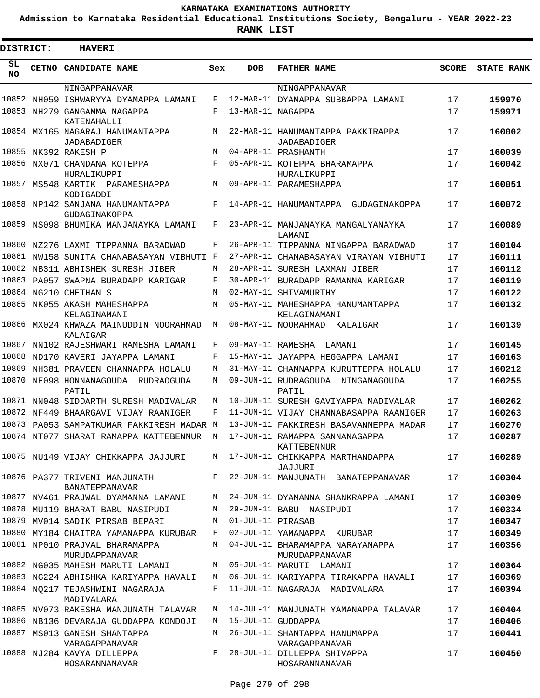**Admission to Karnataka Residential Educational Institutions Society, Bengaluru - YEAR 2022-23**

| DISTRICT:  |  | <b>HAVERI</b>                                      |     |                   |                                                      |       |                   |
|------------|--|----------------------------------------------------|-----|-------------------|------------------------------------------------------|-------|-------------------|
| SL.<br>NO. |  | <b>CETNO CANDIDATE NAME</b>                        | Sex | <b>DOB</b>        | <b>FATHER NAME</b>                                   | SCORE | <b>STATE RANK</b> |
|            |  | NINGAPPANAVAR                                      |     |                   | NINGAPPANAVAR                                        |       |                   |
|            |  | 10852 NH059 ISHWARYYA DYAMAPPA LAMANI              | F   |                   | 12-MAR-11 DYAMAPPA SUBBAPPA LAMANI                   | 17    | 159970            |
|            |  | 10853 NH279 GANGAMMA NAGAPPA<br>KATENAHALLI        | F   | 13-MAR-11 NAGAPPA |                                                      | 17    | 159971            |
|            |  | 10854 MX165 NAGARAJ HANUMANTAPPA<br>JADABADIGER    | М   |                   | 22-MAR-11 HANUMANTAPPA PAKKIRAPPA<br>JADABADIGER     | 17    | 160002            |
|            |  | 10855 NK392 RAKESH P                               | М   |                   | 04-APR-11 PRASHANTH                                  | 17    | 160039            |
|            |  | 10856 NX071 CHANDANA KOTEPPA<br>HURALIKUPPI        | F   |                   | 05-APR-11 KOTEPPA BHARAMAPPA<br>HURALIKUPPI          | 17    | 160042            |
|            |  | 10857 MS548 KARTIK PARAMESHAPPA<br>KODIGADDI       | М   |                   | 09-APR-11 PARAMESHAPPA                               | 17    | 160051            |
|            |  | 10858 NP142 SANJANA HANUMANTAPPA<br>GUDAGINAKOPPA  | F   |                   | 14-APR-11 HANUMANTAPPA GUDAGINAKOPPA                 | 17    | 160072            |
|            |  | 10859 NS098 BHUMIKA MANJANAYKA LAMANI              | F   |                   | 23-APR-11 MANJANAYKA MANGALYANAYKA<br><b>T.AMANT</b> | 17    | 160089            |
|            |  | 10860 NZ276 LAXMI TIPPANNA BARADWAD                | F   |                   | 26-APR-11 TIPPANNA NINGAPPA BARADWAD                 | 17    | 160104            |
|            |  | 10861 NW158 SUNITA CHANABASAYAN VIBHUTI F          |     |                   | 27-APR-11 CHANABASAYAN VIRAYAN VIBHUTI               | 17    | 160111            |
|            |  | 10862 NB311 ABHISHEK SURESH JIBER                  | М   |                   | 28-APR-11 SURESH LAXMAN JIBER                        | 17    | 160112            |
|            |  | 10863 PA057 SWAPNA BURADAPP KARIGAR                | F   |                   | 30-APR-11 BURADAPP RAMANNA KARIGAR                   | 17    | 160119            |
|            |  | 10864 NG210 CHETHAN S                              | М   |                   | 02-MAY-11 SHIVAMURTHY                                | 17    | 160122            |
|            |  | 10865 NK055 AKASH MAHESHAPPA<br>KELAGINAMANI       | М   |                   | 05-MAY-11 MAHESHAPPA HANUMANTAPPA<br>KELAGINAMANI    | 17    | 160132            |
|            |  | 10866 MX024 KHWAZA MAINUDDIN NOORAHMAD<br>KALAIGAR | M   |                   | 08-MAY-11 NOORAHMAD KALAIGAR                         | 17    | 160139            |
| 10867      |  | NN102 RAJESHWARI RAMESHA LAMANI                    | F   |                   | 09-MAY-11 RAMESHA LAMANI                             | 17    | 160145            |
|            |  | 10868 ND170 KAVERI JAYAPPA LAMANI                  | F   |                   | 15-MAY-11 JAYAPPA HEGGAPPA LAMANI                    | 17    | 160163            |
| 10869      |  | NH381 PRAVEEN CHANNAPPA HOLALU                     | M   |                   | 31-MAY-11 CHANNAPPA KURUTTEPPA HOLALU                | 17    | 160212            |
|            |  | 10870 NE098 HONNANAGOUDA RUDRAOGUDA<br>PATIL       | М   |                   | 09-JUN-11 RUDRAGOUDA NINGANAGOUDA<br>PATIL           | 17    | 160255            |
|            |  | 10871 NN048 SIDDARTH SURESH MADIVALAR              | М   |                   | 10-JUN-11 SURESH GAVIYAPPA MADIVALAR                 | 17    | 160262            |
|            |  | 10872 NF449 BHAARGAVI VIJAY RAANIGER               | F   |                   | 11-JUN-11 VIJAY CHANNABASAPPA RAANIGER               | 17    | 160263            |
|            |  | 10873 PA053 SAMPATKUMAR FAKKIRESH MADAR M          |     |                   | 13-JUN-11 FAKKIRESH BASAVANNEPPA MADAR               | 17    | 160270            |
|            |  | 10874 NT077 SHARAT RAMAPPA KATTEBENNUR             | М   |                   | 17-JUN-11 RAMAPPA SANNANAGAPPA<br>KATTEBENNUR        | 17    | 160287            |
|            |  | 10875 NU149 VIJAY CHIKKAPPA JAJJURI                |     |                   | M 17-JUN-11 CHIKKAPPA MARTHANDAPPA<br>JAJJURI        | 17    | 160289            |
|            |  | 10876 PA377 TRIVENI MANJUNATH<br>BANATEPPANAVAR    | F   |                   | 22-JUN-11 MANJUNATH BANATEPPANAVAR                   | 17    | 160304            |
|            |  | 10877 NV461 PRAJWAL DYAMANNA LAMANI                | М   |                   | 24-JUN-11 DYAMANNA SHANKRAPPA LAMANI                 | 17    | 160309            |
|            |  | 10878 MU119 BHARAT BABU NASIPUDI                   | M   |                   | 29-JUN-11 BABU NASIPUDI                              | 17    | 160334            |
|            |  | 10879 MV014 SADIK PIRSAB BEPARI                    | М   | 01-JUL-11 PIRASAB |                                                      | 17    | 160347            |
|            |  | 10880 MY184 CHAITRA YAMANAPPA KURUBAR              | F   |                   | 02-JUL-11 YAMANAPPA KURUBAR                          | 17    | 160349            |
|            |  | 10881 NP010 PRAJVAL BHARAMAPPA<br>MURUDAPPANAVAR   | M   |                   | 04-JUL-11 BHARAMAPPA NARAYANAPPA<br>MURUDAPPANAVAR   | 17    | 160356            |
|            |  | 10882 NG035 MAHESH MARUTI LAMANI                   | М   |                   | 05-JUL-11 MARUTI LAMANI                              | 17    | 160364            |
|            |  | 10883 NG224 ABHISHKA KARIYAPPA HAVALI              | М   |                   | 06-JUL-11 KARIYAPPA TIRAKAPPA HAVALI                 | 17    | 160369            |
|            |  | 10884 NQ217 TEJASHWINI NAGARAJA<br>MADIVALARA      | F   |                   | 11-JUL-11 NAGARAJA MADIVALARA                        | 17    | 160394            |
|            |  | 10885 NV073 RAKESHA MANJUNATH TALAVAR              | М   |                   | 14-JUL-11 MANJUNATH YAMANAPPA TALAVAR                | 17    | 160404            |
|            |  | 10886 NB136 DEVARAJA GUDDAPPA KONDOJI              | M   |                   | 15-JUL-11 GUDDAPPA                                   | 17    | 160406            |
|            |  | 10887 MS013 GANESH SHANTAPPA<br>VARAGAPPANAVAR     | M   |                   | 26-JUL-11 SHANTAPPA HANUMAPPA<br>VARAGAPPANAVAR      | 17    | 160441            |
|            |  | 10888 NJ284 KAVYA DILLEPPA<br>HOSARANNANAVAR       | F   |                   | 28-JUL-11 DILLEPPA SHIVAPPA<br>HOSARANNANAVAR        | 17    | 160450            |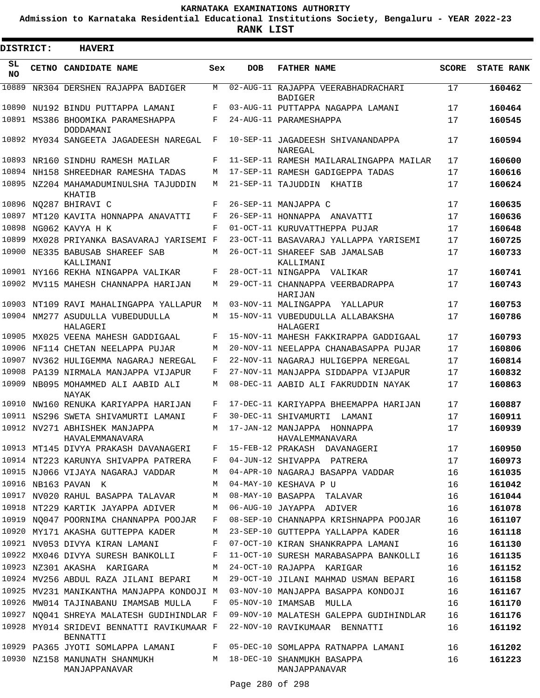**Admission to Karnataka Residential Educational Institutions Society, Bengaluru - YEAR 2022-23**

| <b>DISTRICT:</b> | <b>HAVERI</b>                                                               |     |            |                                                                                                                               |              |                   |
|------------------|-----------------------------------------------------------------------------|-----|------------|-------------------------------------------------------------------------------------------------------------------------------|--------------|-------------------|
| SL<br><b>NO</b>  | CETNO CANDIDATE NAME                                                        | Sex | <b>DOB</b> | <b>FATHER NAME</b>                                                                                                            | <b>SCORE</b> | <b>STATE RANK</b> |
| 10889            | NR304 DERSHEN RAJAPPA BADIGER                                               | M   |            | 02-AUG-11 RAJAPPA VEERABHADRACHARI<br><b>BADIGER</b>                                                                          | 17           | 160462            |
|                  | 10890 NU192 BINDU PUTTAPPA LAMANI                                           | F   |            | 03-AUG-11 PUTTAPPA NAGAPPA LAMANI                                                                                             | 17           | 160464            |
|                  | 10891 MS386 BHOOMIKA PARAMESHAPPA<br>DODDAMANI                              | F   |            | 24-AUG-11 PARAMESHAPPA                                                                                                        | 17           | 160545            |
|                  | 10892 MY034 SANGEETA JAGADEESH NAREGAL                                      | F   |            | 10-SEP-11 JAGADEESH SHIVANANDAPPA<br>NAREGAL                                                                                  | 17           | 160594            |
|                  | 10893 NR160 SINDHU RAMESH MAILAR                                            | F   |            | 11-SEP-11 RAMESH MAILARALINGAPPA MAILAR                                                                                       | 17           | 160600            |
|                  | 10894 NH158 SHREEDHAR RAMESHA TADAS                                         | M   |            | 17-SEP-11 RAMESH GADIGEPPA TADAS                                                                                              | 17           | 160616            |
|                  | 10895 NZ204 MAHAMADUMINULSHA TAJUDDIN<br>KHATIB                             | M   |            | 21-SEP-11 TAJUDDIN<br>KHATIB                                                                                                  | 17           | 160624            |
| 10896            | NO287 BHIRAVI C                                                             | F   |            | 26-SEP-11 MANJAPPA C                                                                                                          | 17           | 160635            |
| 10897            | MT120 KAVITA HONNAPPA ANAVATTI                                              | F   |            | 26-SEP-11 HONNAPPA ANAVATTI                                                                                                   | 17           | 160636            |
| 10898            | NG062 KAVYA H K                                                             | F   |            | 01-OCT-11 KURUVATTHEPPA PUJAR                                                                                                 | 17           | 160648            |
| 10899            | MX028 PRIYANKA BASAVARAJ YARISEMI F                                         |     |            | 23-OCT-11 BASAVARAJ YALLAPPA YARISEMI                                                                                         | 17           | 160725            |
|                  | 10900 NE335 BABUSAB SHAREEF SAB<br>KALLIMANI                                | М   |            | 26-OCT-11 SHAREEF SAB JAMALSAB<br>KALLIMANI                                                                                   | 17           | 160733            |
|                  | 10901 NY166 REKHA NINGAPPA VALIKAR                                          | F   |            | 28-OCT-11 NINGAPPA VALIKAR                                                                                                    | 17           | 160741            |
|                  | 10902 MV115 MAHESH CHANNAPPA HARIJAN                                        | M   |            | 29-OCT-11 CHANNAPPA VEERBADRAPPA<br>HARIJAN                                                                                   | 17           | 160743            |
|                  | 10903 NT109 RAVI MAHALINGAPPA YALLAPUR                                      | М   |            | 03-NOV-11 MALINGAPPA<br>YALLAPUR                                                                                              | 17           | 160753            |
|                  | 10904 NM277 ASUDULLA VUBEDUDULLA<br>HALAGERI                                | M   |            | 15-NOV-11 VUBEDUDULLA ALLABAKSHA<br>HALAGERI                                                                                  | 17           | 160786            |
| 10905            | MX025 VEENA MAHESH GADDIGAAL                                                | F   |            | 15-NOV-11 MAHESH FAKKIRAPPA GADDIGAAL                                                                                         | 17           | 160793            |
|                  | 10906 NF114 CHETAN NEELAPPA PUJAR                                           | M   |            | 20-NOV-11 NEELAPPA CHANABASAPPA PUJAR                                                                                         | 17           | 160806            |
| 10907            | NV362 HULIGEMMA NAGARAJ NEREGAL                                             | F   |            | 22-NOV-11 NAGARAJ HULIGEPPA NEREGAL                                                                                           | 17           | 160814            |
|                  | 10908 PA139 NIRMALA MANJAPPA VIJAPUR                                        | F   |            | 27-NOV-11 MANJAPPA SIDDAPPA VIJAPUR                                                                                           | 17           | 160832            |
| 10909            | NB095 MOHAMMED ALI AABID ALI<br>NAYAK                                       | M   |            | 08-DEC-11 AABID ALI FAKRUDDIN NAYAK                                                                                           | 17           | 160863            |
|                  | 10910 NW160 RENUKA KARIYAPPA HARIJAN                                        | F   |            | 17-DEC-11 KARIYAPPA BHEEMAPPA HARIJAN                                                                                         | 17           | 160887            |
|                  | 10911 NS296 SWETA SHIVAMURTI LAMANI                                         | F   |            | 30-DEC-11 SHIVAMURTI<br>LAMANI                                                                                                | 17           | 160911            |
|                  | 10912 NV271 ABHISHEK MANJAPPA<br>HAVALEMMANAVARA                            | M   |            | 17-JAN-12 MANJAPPA<br>HONNAPPA<br>HAVALEMMANAVARA                                                                             | 17           | 160939            |
|                  |                                                                             |     |            | 10913 MT145 DIVYA PRAKASH DAVANAGERI F 15-FEB-12 PRAKASH DAVANAGERI                                                           | 17           | 160950            |
|                  |                                                                             |     |            | 10914 NT223 KARUNYA SHIVAPPA PATRERA F 04-JUN-12 SHIVAPPA PATRERA                                                             | 17           | 160973            |
|                  |                                                                             |     |            | 10915 NJ066 VIJAYA NAGARAJ VADDAR MO4-APR-10 NAGARAJ BASAPPA VADDAR                                                           | 16           | 161035            |
|                  | 10916 NB163 PAVAN K                                                         |     |            | M 04-MAY-10 KESHAVA P U                                                                                                       | 16           | 161042            |
|                  |                                                                             |     |            | 10917 NV020 RAHUL BASAPPA TALAVAR M 08-MAY-10 BASAPPA TALAVAR<br>10918 NT229 KARTIK JAYAPPA ADIVER M 06-AUG-10 JAYAPPA ADIVER | 16           | 161044            |
|                  |                                                                             |     |            | 10919 NO047 POORNIMA CHANNAPPA POOJAR F 08-SEP-10 CHANNAPPA KRISHNAPPA POOJAR                                                 | 16           | 161078            |
|                  |                                                                             |     |            | 10920 MY171 AKASHA GUTTEPPA KADER MUMA 23-SEP-10 GUTTEPPA YALLAPPA KADER                                                      | 16<br>16     | 161107<br>161118  |
|                  |                                                                             |     |            | 10921 NV053 DIVYA KIRAN LAMANI KWA KWA MWAKARA KWA KURAN SHANKRAPPA LAMANI                                                    | 16           | 161130            |
|                  |                                                                             |     |            | 10922 MX046 DIVYA SURESH BANKOLLI F 11-OCT-10 SURESH MARABASAPPA BANKOLLI                                                     | 16           | 161135            |
|                  | 10923 NZ301 AKASHA KARIGARA M 24-OCT-10 RAJAPPA KARIGAR                     |     |            |                                                                                                                               | 16           | 161152            |
|                  |                                                                             |     |            | 10924 MV256 ABDUL RAZA JILANI BEPARI     M   29-OCT-10 JILANI MAHMAD USMAN BEPARI                                             | 16           | 161158            |
|                  |                                                                             |     |            | 10925 MV231 MANIKANTHA MANJAPPA KONDOJI M 03-NOV-10 MANJAPPA BASAPPA KONDOJI                                                  | 16           | 161167            |
|                  | 10926 MW014 TAJINABANU IMAMSAB MULLA F 05-NOV-10 IMAMSAB MULLA              |     |            |                                                                                                                               | 16           | 161170            |
|                  |                                                                             |     |            | 10927 NQ041 SHREYA MALATESH GUDIHINDLAR F 09-NOV-10 MALATESH GALEPPA GUDIHINDLAR                                              | 16           | 161176            |
|                  | BENNATTI                                                                    |     |            | 10928 MY014 SRIDEVI BENNATTI RAVIKUMAAR F 22-NOV-10 RAVIKUMAAR BENNATTI                                                       | 16           | 161192            |
|                  |                                                                             |     |            | 10929 PA365 JYOTI SOMLAPPA LAMANI      F 05-DEC-10 SOMLAPPA RATNAPPA LAMANI      16                                           |              | 161202            |
|                  | 10930 NZ158 MANUNATH SHANMUKH M 18-DEC-10 SHANMUKH BASAPPA<br>MANJAPPANAVAR |     |            | MANJAPPANAVAR                                                                                                                 | 16           | 161223            |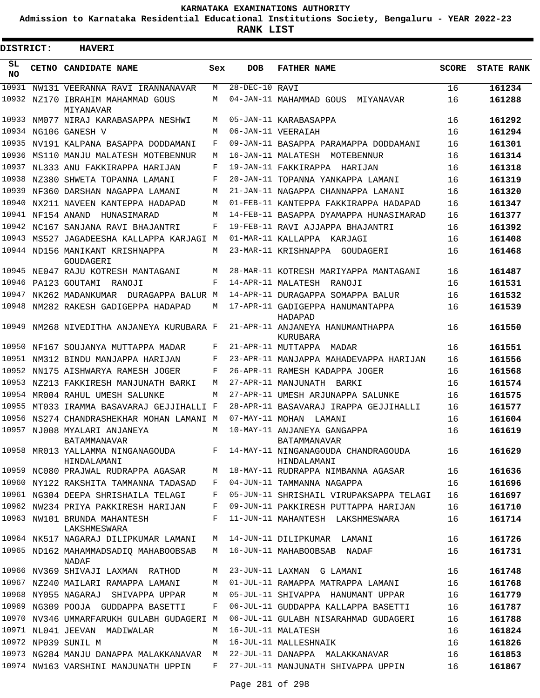**Admission to Karnataka Residential Educational Institutions Society, Bengaluru - YEAR 2022-23**

| <b>DISTRICT:</b> | <b>HAVERI</b>                                       |     |                      |                                                                                        |              |                   |
|------------------|-----------------------------------------------------|-----|----------------------|----------------------------------------------------------------------------------------|--------------|-------------------|
| SL.<br><b>NO</b> | CETNO CANDIDATE NAME                                | Sex | <b>DOB</b>           | <b>FATHER NAME</b>                                                                     | <b>SCORE</b> | <b>STATE RANK</b> |
| 10931            | NW131 VEERANNA RAVI IRANNANAVAR                     | M   | $28 - DEC - 10$ RAVI |                                                                                        | 16           | 161234            |
|                  | 10932 NZ170 IBRAHIM MAHAMMAD GOUS<br>MIYANAVAR      | M   |                      | 04-JAN-11 MAHAMMAD GOUS<br>MIYANAVAR                                                   | 16           | 161288            |
|                  | 10933 NM077 NIRAJ KARABASAPPA NESHWI                | M   |                      | 05-JAN-11 KARABASAPPA                                                                  | 16           | 161292            |
|                  | 10934 NG106 GANESH V                                | M   |                      | 06-JAN-11 VEERAIAH                                                                     | 16           | 161294            |
|                  | 10935 NV191 KALPANA BASAPPA DODDAMANI               | F   |                      | 09-JAN-11 BASAPPA PARAMAPPA DODDAMANI                                                  | 16           | 161301            |
|                  | 10936 MS110 MANJU MALATESH MOTEBENNUR               | M   |                      | 16-JAN-11 MALATESH MOTEBENNUR                                                          | 16           | 161314            |
|                  | 10937 NL333 ANU FAKKIRAPPA HARIJAN                  | F   |                      | 19-JAN-11 FAKKIRAPPA HARIJAN                                                           | 16           | 161318            |
|                  | 10938 NZ380 SHWETA TOPANNA LAMANI                   | F   |                      | 20-JAN-11 TOPANNA YANKAPPA LAMANI                                                      | 16           | 161319            |
| 10939            | NF360 DARSHAN NAGAPPA LAMANI                        | M   |                      | 21-JAN-11 NAGAPPA CHANNAPPA LAMANI                                                     | 16           | 161320            |
| 10940            | NX211 NAVEEN KANTEPPA HADAPAD                       | M   |                      | 01-FEB-11 KANTEPPA FAKKIRAPPA HADAPAD                                                  | 16           | 161347            |
| 10941            | NF154 ANAND<br>HUNASIMARAD                          | M   |                      | 14-FEB-11 BASAPPA DYAMAPPA HUNASIMARAD                                                 | 16           | 161377            |
|                  | 10942 NC167 SANJANA RAVI BHAJANTRI                  | F   |                      | 19-FEB-11 RAVI AJJAPPA BHAJANTRI                                                       | 16           | 161392            |
|                  | 10943 MS527 JAGADEESHA KALLAPPA KARJAGI M           |     |                      | 01-MAR-11 KALLAPPA KARJAGI                                                             | 16           | 161408            |
|                  | 10944 ND156 MANIKANT KRISHNAPPA<br>GOUDAGERI        | M   |                      | 23-MAR-11 KRISHNAPPA GOUDAGERI                                                         | 16           | 161468            |
|                  | 10945 NE047 RAJU KOTRESH MANTAGANI                  | M   |                      | 28-MAR-11 KOTRESH MARIYAPPA MANTAGANI                                                  | 16           | 161487            |
|                  | 10946 PA123 GOUTAMI RANOJI                          | F   |                      | 14-APR-11 MALATESH RANOJI                                                              | 16           | 161531            |
|                  | 10947 NK262 MADANKUMAR DURAGAPPA BALUR M            |     |                      | 14-APR-11 DURAGAPPA SOMAPPA BALUR                                                      | 16           | 161532            |
|                  | 10948 NM282 RAKESH GADIGEPPA HADAPAD                | M   |                      | 17-APR-11 GADIGEPPA HANUMANTAPPA<br>HADAPAD                                            | 16           | 161539            |
|                  | 10949 NM268 NIVEDITHA ANJANEYA KURUBARA F           |     |                      | 21-APR-11 ANJANEYA HANUMANTHAPPA<br><b>KURUBARA</b>                                    | 16           | 161550            |
| 10950            | NF167 SOUJANYA MUTTAPPA MADAR                       | F   |                      | 21-APR-11 MUTTAPPA MADAR                                                               | 16           | 161551            |
|                  | 10951 NM312 BINDU MANJAPPA HARIJAN                  | F   |                      | 23-APR-11 MANJAPPA MAHADEVAPPA HARIJAN                                                 | 16           | 161556            |
| 10952            | NN175 AISHWARYA RAMESH JOGER                        | F   |                      | 26-APR-11 RAMESH KADAPPA JOGER                                                         | 16           | 161568            |
|                  | 10953 NZ213 FAKKIRESH MANJUNATH BARKI               | M   |                      | 27-APR-11 MANJUNATH BARKI                                                              | 16           | 161574            |
| 10954            | MR004 RAHUL UMESH SALUNKE                           | M   |                      | 27-APR-11 UMESH ARJUNAPPA SALUNKE                                                      | 16           | 161575            |
| 10955            | MT033 IRAMMA BASAVARAJ GEJJIHALLI F                 |     |                      | 28-APR-11 BASAVARAJ IRAPPA GEJJIHALLI                                                  | 16           | 161577            |
|                  | 10956 NS274 CHANDRASHEKHAR MOHAN LAMANI M           |     | 07-MAY-11 MOHAN      | LAMANI                                                                                 | 16           | 161604            |
|                  | 10957 NJ008 MYALARI ANJANEYA<br><b>BATAMMANAVAR</b> | M   |                      | 10-MAY-11 ANJANEYA GANGAPPA<br><b>BATAMMANAVAR</b>                                     | 16           | 161619            |
|                  | HINDALAMANI                                         |     |                      | 10958 MR013 YALLAMMA NINGANAGOUDA F 14-MAY-11 NINGANAGOUDA CHANDRAGOUDA<br>HINDALAMANI | 16           | 161629            |
|                  | 10959 NC080 PRAJWAL RUDRAPPA AGASAR                 | M   |                      | 18-MAY-11 RUDRAPPA NIMBANNA AGASAR                                                     | 16           | 161636            |
|                  | 10960 NY122 RAKSHITA TAMMANNA TADASAD               | F   |                      | 04-JUN-11 TAMMANNA NAGAPPA                                                             | 16           | 161696            |
|                  | 10961 NG304 DEEPA SHRISHAILA TELAGI                 | F   |                      | 05-JUN-11 SHRISHAIL VIRUPAKSAPPA TELAGI                                                | 16           | 161697            |
|                  | 10962 NW234 PRIYA PAKKIRESH HARIJAN                 | F   |                      | 09-JUN-11 PAKKIRESH PUTTAPPA HARIJAN                                                   | 16           | 161710            |
|                  | 10963 NW101 BRUNDA MAHANTESH<br>LAKSHMESWARA        | F   |                      | 11-JUN-11 MAHANTESH LAKSHMESWARA                                                       | 16           | 161714            |
|                  | 10964 NK517 NAGARAJ DILIPKUMAR LAMANI               |     |                      | M 14-JUN-11 DILIPKUMAR LAMANI                                                          | 16           | 161726            |
|                  | 10965 ND162 MAHAMMADSADIQ MAHABOOBSAB<br>NADAF      |     |                      | M 16-JUN-11 MAHABOOBSAB NADAF                                                          | 16           | 161731            |
|                  | 10966 NV369 SHIVAJI LAXMAN RATHOD                   | М   |                      | 23-JUN-11 LAXMAN G LAMANI                                                              | 16           | 161748            |
|                  | 10967 NZ240 MAILARI RAMAPPA LAMANI                  | М   |                      | 01-JUL-11 RAMAPPA MATRAPPA LAMANI                                                      | 16           | 161768            |
|                  | 10968 NY055 NAGARAJ SHIVAPPA UPPAR                  | М   |                      | 05-JUL-11 SHIVAPPA  HANUMANT UPPAR                                                     | 16           | 161779            |
|                  | 10969 NG309 POOJA GUDDAPPA BASETTI                  | F   |                      | 06-JUL-11 GUDDAPPA KALLAPPA BASETTI                                                    | 16           | 161787            |
|                  | 10970 NV346 UMMARFARUKH GULABH GUDAGERI M           |     |                      | 06-JUL-11 GULABH NISARAHMAD GUDAGERI                                                   | 16           | 161788            |
|                  | 10971 NL041 JEEVAN MADIWALAR                        | М   |                      | 16-JUL-11 MALATESH                                                                     | 16           | 161824            |
|                  | 10972 NP039 SUNIL M                                 | M   |                      | 16-JUL-11 MALLESHNAIK                                                                  | 16           | 161826            |
|                  | 10973 NG284 MANJU DANAPPA MALAKKANAVAR              | M   |                      | 22-JUL-11 DANAPPA MALAKKANAVAR                                                         | 16           | 161853            |
|                  | 10974 NW163 VARSHINI MANJUNATH UPPIN                | F   |                      | 27-JUL-11 MANJUNATH SHIVAPPA UPPIN                                                     | 16           | 161867            |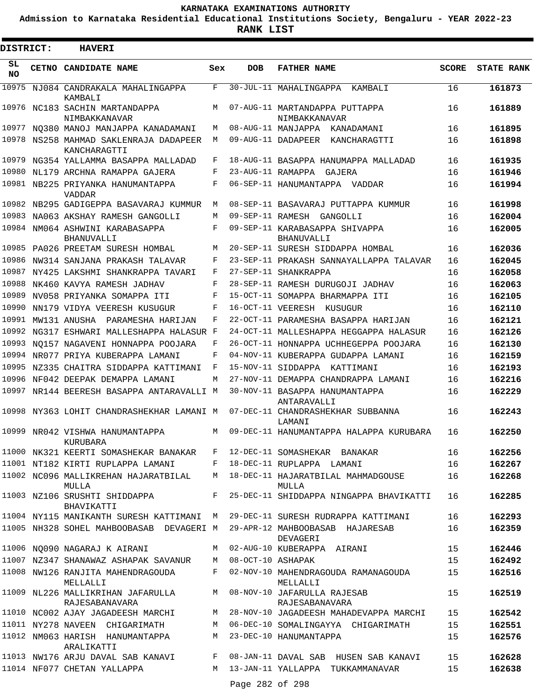**Admission to Karnataka Residential Educational Institutions Society, Bengaluru - YEAR 2022-23**

| DISTRICT:       | <b>HAVERI</b>                                          |     |                     |                                                     |              |                   |
|-----------------|--------------------------------------------------------|-----|---------------------|-----------------------------------------------------|--------------|-------------------|
| SL<br><b>NO</b> | CETNO CANDIDATE NAME                                   | Sex | DOB                 | <b>FATHER NAME</b>                                  | <b>SCORE</b> | <b>STATE RANK</b> |
| 10975           | NJ084 CANDRAKALA MAHALINGAPPA<br>KAMBALI               | F   |                     | 30-JUL-11 MAHALINGAPPA KAMBALI                      | 16           | 161873            |
|                 | 10976 NC183 SACHIN MARTANDAPPA<br>NIMBAKKANAVAR        | М   |                     | 07-AUG-11 MARTANDAPPA PUTTAPPA<br>NIMBAKKANAVAR     | 16           | 161889            |
|                 | 10977 NO380 MANOJ MANJAPPA KANADAMANI                  | M   |                     | 08-AUG-11 MANJAPPA KANADAMANI                       | 16           | 161895            |
|                 | 10978 NS258 MAHMAD SAKLENRAJA DADAPEER<br>KANCHARAGTTI | M   |                     | 09-AUG-11 DADAPEER KANCHARAGTTI                     | 16           | 161898            |
|                 | 10979 NG354 YALLAMMA BASAPPA MALLADAD                  | F   |                     | 18-AUG-11 BASAPPA HANUMAPPA MALLADAD                | 16           | 161935            |
| 10980           | NL179 ARCHNA RAMAPPA GAJERA                            | F   |                     | 23-AUG-11 RAMAPPA GAJERA                            | 16           | 161946            |
|                 | 10981 NB225 PRIYANKA HANUMANTAPPA<br>VADDAR            | F   |                     | 06-SEP-11 HANUMANTAPPA VADDAR                       | 16           | 161994            |
|                 | 10982 NB295 GADIGEPPA BASAVARAJ KUMMUR                 | М   |                     | 08-SEP-11 BASAVARAJ PUTTAPPA KUMMUR                 | 16           | 161998            |
| 10983           | NA063 AKSHAY RAMESH GANGOLLI                           | M   |                     | 09-SEP-11 RAMESH GANGOLLI                           | 16           | 162004            |
| 10984           | NM064 ASHWINI KARABASAPPA<br><b>BHANUVALLI</b>         | F   |                     | 09-SEP-11 KARABASAPPA SHIVAPPA<br><b>BHANUVALLI</b> | 16           | 162005            |
|                 | 10985 PA026 PREETAM SURESH HOMBAL                      | M   |                     | 20-SEP-11 SURESH SIDDAPPA HOMBAL                    | 16           | 162036            |
| 10986           | NW314 SANJANA PRAKASH TALAVAR                          | F   |                     | 23-SEP-11 PRAKASH SANNAYALLAPPA TALAVAR             | 16           | 162045            |
|                 | 10987 NY425 LAKSHMI SHANKRAPPA TAVARI                  | F   |                     | 27-SEP-11 SHANKRAPPA                                | 16           | 162058            |
|                 | 10988 NK460 KAVYA RAMESH JADHAV                        | F   |                     | 28-SEP-11 RAMESH DURUGOJI JADHAV                    | 16           | 162063            |
| 10989           | NV058 PRIYANKA SOMAPPA ITI                             | F   |                     | 15-OCT-11 SOMAPPA BHARMAPPA ITI                     | 16           | 162105            |
| 10990           | NN179 VIDYA VEERESH KUSUGUR                            | F   |                     | 16-OCT-11 VEERESH KUSUGUR                           | 16           | 162110            |
| 10991           | MW131 ANUSHA PARAMESHA HARIJAN                         | F   |                     | 22-OCT-11 PARAMESHA BASAPPA HARIJAN                 | 16           | 162121            |
|                 | 10992 NG317 ESHWARI MALLESHAPPA HALASUR F              |     |                     | 24-OCT-11 MALLESHAPPA HEGGAPPA HALASUR              | 16           | 162126            |
| 10993           | NO157 NAGAVENI HONNAPPA POOJARA                        | F   |                     | 26-OCT-11 HONNAPPA UCHHEGEPPA POOJARA               | 16           | 162130            |
|                 | 10994 NR077 PRIYA KUBERAPPA LAMANI                     | F   |                     | 04-NOV-11 KUBERAPPA GUDAPPA LAMANI                  | 16           | 162159            |
|                 | 10995 NZ335 CHAITRA SIDDAPPA KATTIMANI                 | F   |                     | 15-NOV-11 SIDDAPPA KATTIMANI                        | 16           | 162193            |
|                 | 10996 NF042 DEEPAK DEMAPPA LAMANI                      | M   |                     | 27-NOV-11 DEMAPPA CHANDRAPPA LAMANI                 | 16           | 162216            |
|                 | 10997 NR144 BEERESH BASAPPA ANTARAVALLI M              |     |                     | 30-NOV-11 BASAPPA HANUMANTAPPA<br>ANTARAVALLI       | 16           | 162229            |
|                 | 10998 NY363 LOHIT CHANDRASHEKHAR LAMANI M              |     |                     | 07-DEC-11 CHANDRASHEKHAR SUBBANNA<br>LAMANI         | 16           | 162243            |
|                 | 10999 NR042 VISHWA HANUMANTAPPA<br>KURUBARA            |     |                     | M 09-DEC-11 HANUMANTAPPA HALAPPA KURUBARA           | 16           | 162250            |
|                 | 11000 NK321 KEERTI SOMASHEKAR BANAKAR                  |     |                     | F 12-DEC-11 SOMASHEKAR BANAKAR                      | 16           | 162256            |
|                 | 11001 NT182 KIRTI RUPLAPPA LAMANI                      |     |                     | F 18-DEC-11 RUPLAPPA LAMANI                         | 16           | 162267            |
|                 | 11002 NC096 MALLIKREHAN HAJARATBILAL<br>MULLA          | M   |                     | 18-DEC-11 HAJARATBILAL MAHMADGOUSE<br>MULLA         | 16           | 162268            |
|                 | 11003 NZ106 SRUSHTI SHIDDAPPA<br>BHAVIKATTI            | F   |                     | 25-DEC-11 SHIDDAPPA NINGAPPA BHAVIKATTI             | 16           | 162285            |
|                 | 11004 NY115 MANIKANTH SURESH KATTIMANI M               |     |                     | 29-DEC-11 SURESH RUDRAPPA KATTIMANI                 | 16           | 162293            |
|                 | 11005 NH328 SOHEL MAHBOOBASAB DEVAGERI M               |     |                     | 29-APR-12 MAHBOOBASAB HAJARESAB<br>DEVAGERI         | 16           | 162359            |
|                 | 11006 NQ090 NAGARAJ K AIRANI                           |     |                     | M 02-AUG-10 KUBERAPPA AIRANI                        | 15           | 162446            |
|                 | 11007 NZ347 SHANAWAZ ASHAPAK SAVANUR                   |     | M 08-OCT-10 ASHAPAK |                                                     | 15           | 162492            |
|                 | 11008 NW126 RANJITA MAHENDRAGOUDA<br>MELLALLI          | F   |                     | 02-NOV-10 MAHENDRAGOUDA RAMANAGOUDA<br>MELLALLI     | 15           | 162516            |
|                 | 11009 NL226 MALLIKRIHAN JAFARULLA<br>RAJESABANAVARA    | M   |                     | 08-NOV-10 JAFARULLA RAJESAB<br>RAJESABANAVARA       | 15           | 162519            |
|                 | 11010 NC002 AJAY JAGADEESH MARCHI                      | М   |                     | 28-NOV-10 JAGADEESH MAHADEVAPPA MARCHI              | 15           | 162542            |
|                 | 11011 NY278 NAVEEN CHIGARIMATH                         | М   |                     | 06-DEC-10 SOMALINGAYYA CHIGARIMATH                  | 15           | 162551            |
|                 | 11012 NM063 HARISH HANUMANTAPPA<br>ARALIKATTI          |     |                     | M 23-DEC-10 HANUMANTAPPA                            | 15           | 162576            |
|                 | 11013 NW176 ARJU DAVAL SAB KANAVI                      | F   |                     | 08-JAN-11 DAVAL SAB HUSEN SAB KANAVI                | 15           | 162628            |
|                 | 11014 NF077 CHETAN YALLAPPA                            |     | Page 282 of 298     | M 13-JAN-11 YALLAPPA TUKKAMMANAVAR                  | 15           | 162638            |
|                 |                                                        |     |                     |                                                     |              |                   |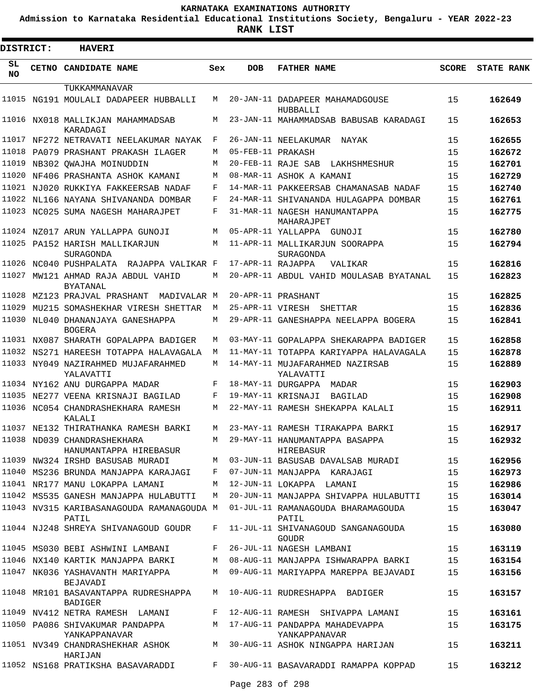**Admission to Karnataka Residential Educational Institutions Society, Bengaluru - YEAR 2022-23**

**RANK LIST**

Е

| <b>DISTRICT:</b> |       | <b>HAVERI</b>                                          |     |                   |                                                    |              |                   |  |  |  |  |  |  |
|------------------|-------|--------------------------------------------------------|-----|-------------------|----------------------------------------------------|--------------|-------------------|--|--|--|--|--|--|
| SL<br><b>NO</b>  | CETNO | CANDIDATE NAME                                         | Sex | <b>DOB</b>        | <b>FATHER NAME</b>                                 | <b>SCORE</b> | <b>STATE RANK</b> |  |  |  |  |  |  |
|                  |       | TUKKAMMANAVAR                                          |     |                   |                                                    |              |                   |  |  |  |  |  |  |
| 11015            |       | NG191 MOULALI DADAPEER HUBBALLI                        | М   |                   | 20-JAN-11 DADAPEER MAHAMADGOUSE<br>HUBBALLI        | 15           | 162649            |  |  |  |  |  |  |
|                  |       | 11016 NX018 MALLIKJAN MAHAMMADSAB<br>KARADAGI          | М   |                   | 23-JAN-11 MAHAMMADSAB BABUSAB KARADAGI             | 15           | 162653            |  |  |  |  |  |  |
| 11017            |       | NF272 NETRAVATI NEELAKUMAR NAYAK                       | F   |                   | 26-JAN-11 NEELAKUMAR<br>NAYAK                      | 15           | 162655            |  |  |  |  |  |  |
| 11018            |       | PA079 PRASHANT PRAKASH ILAGER                          | М   | 05-FEB-11 PRAKASH |                                                    | 15           | 162672            |  |  |  |  |  |  |
| 11019            |       | NB302 OWAJHA MOINUDDIN                                 | М   |                   | 20-FEB-11 RAJE SAB<br>LAKHSHMESHUR                 | 15           | 162701            |  |  |  |  |  |  |
| 11020            |       | NF406 PRASHANTA ASHOK KAMANI                           | М   |                   | 08-MAR-11 ASHOK A KAMANI                           | 15           | 162729            |  |  |  |  |  |  |
|                  |       | 11021 NJ020 RUKKIYA FAKKEERSAB NADAF                   | F   |                   | 14-MAR-11 PAKKEERSAB CHAMANASAB NADAF              | 15           | 162740            |  |  |  |  |  |  |
| 11022            |       | NL166 NAYANA SHIVANANDA DOMBAR                         | F   |                   | 24-MAR-11 SHIVANANDA HULAGAPPA DOMBAR              | 15           | 162761            |  |  |  |  |  |  |
| 11023            |       | NC025 SUMA NAGESH MAHARAJPET                           | F   |                   | 31-MAR-11 NAGESH HANUMANTAPPA<br>MAHARAJPET        | 15           | 162775            |  |  |  |  |  |  |
| 11024            |       | NZ017 ARUN YALLAPPA GUNOJI                             | М   |                   | 05-APR-11 YALLAPPA<br>GUNOJI                       | 15           | 162780            |  |  |  |  |  |  |
| 11025            |       | PA152 HARISH MALLIKARJUN<br>SURAGONDA                  | М   |                   | 11-APR-11 MALLIKARJUN SOORAPPA<br>SURAGONDA        | 15           | 162794            |  |  |  |  |  |  |
| 11026            |       | NC040 PUSHPALATA RAJAPPA VALIKAR F                     |     | 17-APR-11 RAJAPPA | VALIKAR                                            | 15           | 162816            |  |  |  |  |  |  |
| 11027            |       | MW121 AHMAD RAJA ABDUL VAHID<br><b>BYATANAL</b>        | М   |                   | 20-APR-11 ABDUL VAHID MOULASAB BYATANAL            | 15           | 162823            |  |  |  |  |  |  |
| 11028            |       | MZ123 PRAJVAL PRASHANT<br>MADIVALAR M                  |     |                   | 20-APR-11 PRASHANT                                 | 15           | 162825            |  |  |  |  |  |  |
| 11029            |       | MU215 SOMASHEKHAR VIRESH SHETTAR                       | М   | 25-APR-11 VIRESH  | SHETTAR                                            | 15           | 162836            |  |  |  |  |  |  |
| 11030            |       | NL040 DHANANJAYA GANESHAPPA<br><b>BOGERA</b>           | М   |                   | 29-APR-11 GANESHAPPA NEELAPPA BOGERA               | 15           | 162841            |  |  |  |  |  |  |
| 11031            |       | NX087 SHARATH GOPALAPPA BADIGER                        | М   |                   | 03-MAY-11 GOPALAPPA SHEKARAPPA BADIGER             | 15           | 162858            |  |  |  |  |  |  |
| 11032            |       | NS271 HAREESH TOTAPPA HALAVAGALA                       | M   |                   | 11-MAY-11 TOTAPPA KARIYAPPA HALAVAGALA             | 15           | 162878            |  |  |  |  |  |  |
|                  |       | 11033 NY049 NAZIRAHMED MUJAFARAHMED<br>YALAVATTI       | М   |                   | 14-MAY-11 MUJAFARAHMED NAZIRSAB<br>YALAVATTI       | 15           | 162889            |  |  |  |  |  |  |
|                  |       | 11034 NY162 ANU DURGAPPA MADAR                         | F   |                   | 18-MAY-11 DURGAPPA<br>MADAR                        | 15           | 162903            |  |  |  |  |  |  |
| 11035            |       | NE277 VEENA KRISNAJI BAGILAD                           | F   |                   | 19-MAY-11 KRISNAJI<br>BAGILAD                      | 15           | 162908            |  |  |  |  |  |  |
| 11036            |       | NC054 CHANDRASHEKHARA RAMESH<br>KALALI                 | М   |                   | 22-MAY-11 RAMESH SHEKAPPA KALALI                   | 15           | 162911            |  |  |  |  |  |  |
|                  |       | 11037 NE132 THIRATHANKA RAMESH BARKI                   | М   |                   | 23-MAY-11 RAMESH TIRAKAPPA BARKI                   | 15           | 162917            |  |  |  |  |  |  |
|                  |       | 11038 ND039 CHANDRASHEKHARA<br>HANUMANTAPPA HIREBASUR  | M   |                   | 29-MAY-11 HANUMANTAPPA BASAPPA<br>HIREBASUR        | 15           | 162932            |  |  |  |  |  |  |
|                  |       | 11039 NW324 IRSHD BASUSAB MURADI                       | М   |                   | 03-JUN-11 BASUSAB DAVALSAB MURADI                  | 15           | 162956            |  |  |  |  |  |  |
|                  |       | 11040 MS236 BRUNDA MANJAPPA KARAJAGI                   | F   |                   | 07-JUN-11 MANJAPPA KARAJAGI                        | 15           | 162973            |  |  |  |  |  |  |
|                  |       | 11041 NR177 MANU LOKAPPA LAMANI                        | М   |                   | 12-JUN-11 LOKAPPA LAMANI                           | 15           | 162986            |  |  |  |  |  |  |
|                  |       | 11042 MS535 GANESH MANJAPPA HULABUTTI                  | M   |                   | 20-JUN-11 MANJAPPA SHIVAPPA HULABUTTI              | 15           | 163014            |  |  |  |  |  |  |
|                  |       | 11043 NV315 KARIBASANAGOUDA RAMANAGOUDA M<br>PATIL     |     |                   | 01-JUL-11 RAMANAGOUDA BHARAMAGOUDA<br>PATIL        | 15           | 163047            |  |  |  |  |  |  |
|                  |       | 11044 NJ248 SHREYA SHIVANAGOUD GOUDR                   | F   |                   | 11-JUL-11 SHIVANAGOUD SANGANAGOUDA<br><b>GOUDR</b> | 15           | 163080            |  |  |  |  |  |  |
|                  |       | 11045 MS030 BEBI ASHWINI LAMBANI                       | F   |                   | 26-JUL-11 NAGESH LAMBANI                           | 15           | 163119            |  |  |  |  |  |  |
|                  |       | 11046 NX140 KARTIK MANJAPPA BARKI                      | М   |                   | 08-AUG-11 MANJAPPA ISHWARAPPA BARKI                | 15           | 163154            |  |  |  |  |  |  |
|                  |       | 11047 NK036 YASHAVANTH MARIYAPPA<br>BEJAVADI           | М   |                   | 09-AUG-11 MARIYAPPA MAREPPA BEJAVADI               | 15           | 163156            |  |  |  |  |  |  |
|                  |       | 11048 MR101 BASAVANTAPPA RUDRESHAPPA<br><b>BADIGER</b> | M   |                   | 10-AUG-11 RUDRESHAPPA BADIGER                      | 15           | 163157            |  |  |  |  |  |  |
|                  |       | 11049 NV412 NETRA RAMESH LAMANI                        | F   |                   | 12-AUG-11 RAMESH SHIVAPPA LAMANI                   | 15           | 163161            |  |  |  |  |  |  |
|                  |       | 11050 PA086 SHIVAKUMAR PANDAPPA<br>YANKAPPANAVAR       |     |                   | M 17-AUG-11 PANDAPPA MAHADEVAPPA<br>YANKAPPANAVAR  | 15           | 163175            |  |  |  |  |  |  |
|                  |       | 11051 NV349 CHANDRASHEKHAR ASHOK<br>HARIJAN            | M   |                   | 30-AUG-11 ASHOK NINGAPPA HARIJAN                   | 15           | 163211            |  |  |  |  |  |  |
|                  |       | 11052 NS168 PRATIKSHA BASAVARADDI                      | F   |                   | 30-AUG-11 BASAVARADDI RAMAPPA KOPPAD               | 15           | 163212            |  |  |  |  |  |  |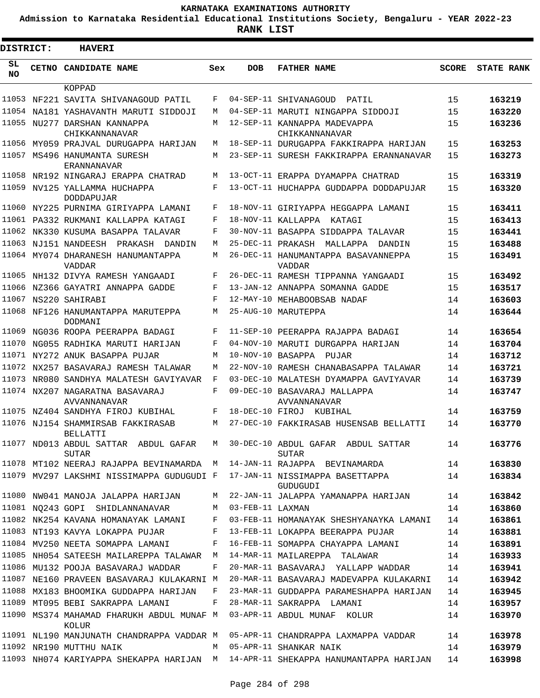**Admission to Karnataka Residential Educational Institutions Society, Bengaluru - YEAR 2022-23**

| <b>DISTRICT:</b> |  | <b>HAVERI</b>                                                             |     |                  |                                                                                  |              |                   |
|------------------|--|---------------------------------------------------------------------------|-----|------------------|----------------------------------------------------------------------------------|--------------|-------------------|
| SL<br><b>NO</b>  |  | <b>CETNO CANDIDATE NAME</b>                                               | Sex | <b>DOB</b>       | <b>FATHER NAME</b>                                                               | <b>SCORE</b> | <b>STATE RANK</b> |
|                  |  | KOPPAD                                                                    |     |                  |                                                                                  |              |                   |
|                  |  | 11053 NF221 SAVITA SHIVANAGOUD PATIL                                      | F   |                  | 04-SEP-11 SHIVANAGOUD<br>PATIL                                                   | 15           | 163219            |
| 11054            |  | NA181 YASHAVANTH MARUTI SIDDOJI                                           | M   |                  | 04-SEP-11 MARUTI NINGAPPA SIDDOJI                                                | 15           | 163220            |
|                  |  | 11055 NU277 DARSHAN KANNAPPA<br>CHIKKANNANAVAR                            | М   |                  | 12-SEP-11 KANNAPPA MADEVAPPA<br>CHIKKANNANAVAR                                   | 15           | 163236            |
| 11056            |  | MY059 PRAJVAL DURUGAPPA HARIJAN                                           | M   |                  | 18-SEP-11 DURUGAPPA FAKKIRAPPA HARIJAN                                           | 15           | 163253            |
|                  |  | 11057 MS496 HANUMANTA SURESH<br>ERANNANAVAR                               | М   |                  | 23-SEP-11 SURESH FAKKIRAPPA ERANNANAVAR                                          | 15           | 163273            |
|                  |  | 11058 NR192 NINGARAJ ERAPPA CHATRAD                                       | М   |                  | 13-OCT-11 ERAPPA DYAMAPPA CHATRAD                                                | 15           | 163319            |
|                  |  | 11059 NV125 YALLAMMA HUCHAPPA<br><b>DODDAPUJAR</b>                        | F   |                  | 13-OCT-11 HUCHAPPA GUDDAPPA DODDAPUJAR                                           | 15           | 163320            |
|                  |  | 11060 NY225 PURNIMA GIRIYAPPA LAMANI                                      | F   |                  | 18-NOV-11 GIRIYAPPA HEGGAPPA LAMANI                                              | 15           | 163411            |
|                  |  | 11061 PA332 RUKMANI KALLAPPA KATAGI                                       | F   |                  | 18-NOV-11 KALLAPPA<br>KATAGI                                                     | 15           | 163413            |
|                  |  | 11062 NK330 KUSUMA BASAPPA TALAVAR                                        | F   |                  | 30-NOV-11 BASAPPA SIDDAPPA TALAVAR                                               | 15           | 163441            |
| 11063            |  | NJ151 NANDEESH<br>PRAKASH<br>DANDIN                                       | М   |                  | 25-DEC-11 PRAKASH<br>MALLAPPA<br>DANDIN                                          | 15           | 163488            |
|                  |  | 11064 MY074 DHARANESH HANUMANTAPPA<br><b>VADDAR</b>                       | М   |                  | 26-DEC-11 HANUMANTAPPA BASAVANNEPPA<br><b>VADDAR</b>                             | 15           | 163491            |
|                  |  | 11065 NH132 DIVYA RAMESH YANGAADI                                         | F   |                  | 26-DEC-11 RAMESH TIPPANNA YANGAADI                                               | 15           | 163492            |
|                  |  | 11066 NZ366 GAYATRI ANNAPPA GADDE                                         | F   |                  | 13-JAN-12 ANNAPPA SOMANNA GADDE                                                  | 15           | 163517            |
|                  |  | 11067 NS220 SAHIRABI                                                      | F   |                  | 12-MAY-10 MEHABOOBSAB NADAF                                                      | 14           | 163603            |
|                  |  | 11068 NF126 HANUMANTAPPA MARUTEPPA<br><b>DODMANI</b>                      | М   |                  | 25-AUG-10 MARUTEPPA                                                              | 14           | 163644            |
|                  |  | 11069 NG036 ROOPA PEERAPPA BADAGI                                         | F   |                  | 11-SEP-10 PEERAPPA RAJAPPA BADAGI                                                | 14           | 163654            |
| 11070            |  | NG055 RADHIKA MARUTI HARIJAN                                              | F   |                  | 04-NOV-10 MARUTI DURGAPPA HARIJAN                                                | 14           | 163704            |
|                  |  | 11071 NY272 ANUK BASAPPA PUJAR                                            | M   |                  | 10-NOV-10 BASAPPA PUJAR                                                          | 14           | 163712            |
|                  |  | 11072 NX257 BASAVARAJ RAMESH TALAWAR                                      | M   |                  | 22-NOV-10 RAMESH CHANABASAPPA TALAWAR                                            | 14           | 163721            |
|                  |  | 11073 NR080 SANDHYA MALATESH GAVIYAVAR                                    | F   |                  | 03-DEC-10 MALATESH DYAMAPPA GAVIYAVAR                                            | 14           | 163739            |
|                  |  | 11074 NX207 NAGARATNA BASAVARAJ<br><b>AVVANNANAVAR</b>                    | F   |                  | 09-DEC-10 BASAVARAJ MALLAPPA<br>AVVANNANAVAR                                     | 14           | 163747            |
|                  |  | 11075 NZ404 SANDHYA FIROJ KUBIHAL                                         | F   |                  | 18-DEC-10 FIROJ KUBIHAL                                                          | 14           | 163759            |
| 11076            |  | NJ154 SHAMMIRSAB FAKKIRASAB<br><b>BELLATTI</b>                            | М   |                  | 27-DEC-10 FAKKIRASAB HUSENSAB BELLATTI                                           | 14           | 163770            |
| 11077            |  | ND013 ABDUL SATTAR ABDUL GAFAR<br><b>SUTAR</b>                            | М   |                  | 30-DEC-10 ABDUL GAFAR ABDUL SATTAR<br><b>SUTAR</b>                               | 14           | 163776            |
|                  |  | 11078 MT102 NEERAJ RAJAPPA BEVINAMARDA M                                  |     |                  | 14-JAN-11 RAJAPPA BEVINAMARDA                                                    | 14           | 163830            |
|                  |  | 11079 MV297 LAKSHMI NISSIMAPPA GUDUGUDI F 17-JAN-11 NISSIMAPPA BASETTAPPA |     |                  | GUDUGUDI                                                                         | 14           | 163834            |
|                  |  | 11080 NW041 MANOJA JALAPPA HARIJAN                                        | M   |                  | 22-JAN-11 JALAPPA YAMANAPPA HARIJAN                                              | 14           | 163842            |
|                  |  | 11081 NQ243 GOPI SHIDLANNANAVAR                                           | М   | 03-FEB-11 LAXMAN |                                                                                  | 14           | 163860            |
|                  |  | 11082 NK254 KAVANA HOMANAYAK LAMANI                                       | F   |                  | 03-FEB-11 HOMANAYAK SHESHYANAYKA LAMANI                                          | 14           | 163861            |
|                  |  | 11083 NT193 KAVYA LOKAPPA PUJAR                                           | F   |                  | 13-FEB-11 LOKAPPA BEERAPPA PUJAR                                                 | 14           | 163881            |
|                  |  | 11084 MV250 NEETA SOMAPPA LAMANI                                          | F   |                  | 16-FEB-11 SOMAPPA CHAYAPPA LAMANI                                                | 14           | 163891            |
|                  |  | 11085 NH054 SATEESH MAILAREPPA TALAWAR                                    | M   |                  | 14-MAR-11 MAILAREPPA TALAWAR                                                     | 14           | 163933            |
|                  |  | 11086 MU132 POOJA BASAVARAJ WADDAR                                        | F   |                  | 20-MAR-11 BASAVARAJ YALLAPP WADDAR                                               | 14           | 163941            |
|                  |  | 11087 NE160 PRAVEEN BASAVARAJ KULAKARNI M                                 |     |                  | 20-MAR-11 BASAVARAJ MADEVAPPA KULAKARNI                                          | 14           | 163942            |
|                  |  | 11088 MX183 BHOOMIKA GUDDAPPA HARIJAN                                     | F   |                  | 23-MAR-11 GUDDAPPA PARAMESHAPPA HARIJAN                                          | 14           | 163945            |
|                  |  | 11089 MT095 BEBI SAKRAPPA LAMANI                                          | F   |                  | 28-MAR-11 SAKRAPPA LAMANI                                                        | 14           | 163957            |
|                  |  | 11090 MS374 MAHAMAD FHARUKH ABDUL MUNAF M<br>KOLUR                        |     |                  | 03-APR-11 ABDUL MUNAF KOLUR                                                      | 14           | 163970            |
|                  |  | 11091 NL190 MANJUNATH CHANDRAPPA VADDAR M                                 |     |                  | 05-APR-11 CHANDRAPPA LAXMAPPA VADDAR                                             | 14           | 163978            |
|                  |  | 11092 NR190 MUTTHU NAIK                                                   | M   |                  | 05-APR-11 SHANKAR NAIK                                                           | 14           | 163979            |
|                  |  |                                                                           |     |                  | 11093 NH074 KARIYAPPA SHEKAPPA HARIJAN M 14-APR-11 SHEKAPPA HANUMANTAPPA HARIJAN | 14           | 163998            |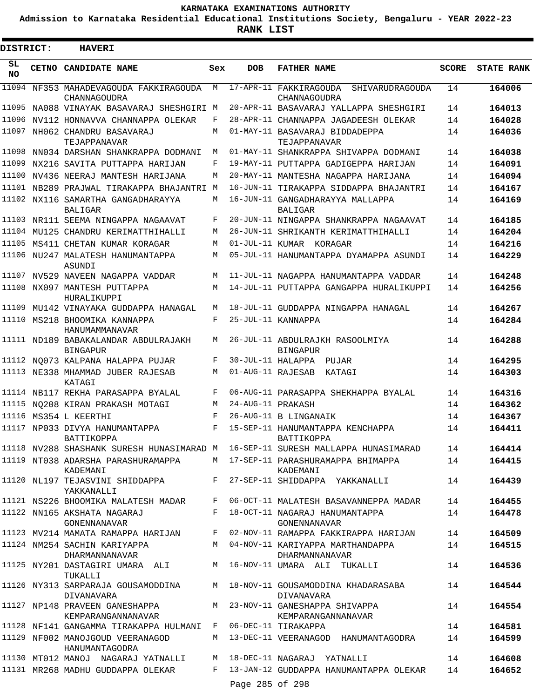**Admission to Karnataka Residential Educational Institutions Society, Bengaluru - YEAR 2022-23**

| DISTRICT:       | <b>HAVERI</b>                                                   |     |                   |                                                                                                   |              |                   |
|-----------------|-----------------------------------------------------------------|-----|-------------------|---------------------------------------------------------------------------------------------------|--------------|-------------------|
| SL<br><b>NO</b> | <b>CETNO CANDIDATE NAME</b>                                     | Sex | <b>DOB</b>        | <b>FATHER NAME</b>                                                                                | <b>SCORE</b> | <b>STATE RANK</b> |
|                 | 11094 NF353 MAHADEVAGOUDA FAKKIRAGOUDA<br>CHANNAGOUDRA          | M   |                   | 17-APR-11 FAKKIRAGOUDA<br>SHIVARUDRAGOUDA<br>CHANNAGOUDRA                                         | 14           | 164006            |
|                 | 11095 NA088 VINAYAK BASAVARAJ SHESHGIRI M                       |     |                   | 20-APR-11 BASAVARAJ YALLAPPA SHESHGIRI                                                            | 14           | 164013            |
| 11096           | NV112 HONNAVVA CHANNAPPA OLEKAR                                 | F   |                   | 28-APR-11 CHANNAPPA JAGADEESH OLEKAR                                                              | 14           | 164028            |
| 11097           | NH062 CHANDRU BASAVARAJ<br>TEJAPPANAVAR                         | М   |                   | 01-MAY-11 BASAVARAJ BIDDADEPPA<br>TEJAPPANAVAR                                                    | 14           | 164036            |
|                 | 11098 NN034 DARSHAN SHANKRAPPA DODMANI                          | М   |                   | 01-MAY-11 SHANKRAPPA SHIVAPPA DODMANI                                                             | 14           | 164038            |
| 11099           | NX216 SAVITA PUTTAPPA HARIJAN                                   | F   |                   | 19-MAY-11 PUTTAPPA GADIGEPPA HARIJAN                                                              | 14           | 164091            |
|                 | 11100 NV436 NEERAJ MANTESH HARIJANA                             | М   |                   | 20-MAY-11 MANTESHA NAGAPPA HARIJANA                                                               | 14           | 164094            |
|                 | 11101 NB289 PRAJWAL TIRAKAPPA BHAJANTRI M                       |     |                   | 16-JUN-11 TIRAKAPPA SIDDAPPA BHAJANTRI                                                            | 14           | 164167            |
|                 | 11102 NX116 SAMARTHA GANGADHARAYYA<br><b>BALIGAR</b>            | М   |                   | 16-JUN-11 GANGADHARAYYA MALLAPPA<br><b>BALIGAR</b>                                                | 14           | 164169            |
| 11103           | NR111 SEEMA NINGAPPA NAGAAVAT                                   | F   |                   | 20-JUN-11 NINGAPPA SHANKRAPPA NAGAAVAT                                                            | 14           | 164185            |
| 11104           | MU125 CHANDRU KERIMATTHIHALLI                                   | M   |                   | 26-JUN-11 SHRIKANTH KERIMATTHIHALLI                                                               | 14           | 164204            |
| 11105           | MS411 CHETAN KUMAR KORAGAR                                      | M   |                   | 01-JUL-11 KUMAR KORAGAR                                                                           | 14           | 164216            |
|                 | 11106 NU247 MALATESH HANUMANTAPPA<br>ASUNDI                     | M   |                   | 05-JUL-11 HANUMANTAPPA DYAMAPPA ASUNDI                                                            | 14           | 164229            |
|                 | 11107 NV529 NAVEEN NAGAPPA VADDAR                               | M   |                   | 11-JUL-11 NAGAPPA HANUMANTAPPA VADDAR                                                             | 14           | 164248            |
|                 | 11108 NX097 MANTESH PUTTAPPA<br>HURALIKUPPI                     | M   |                   | 14-JUL-11 PUTTAPPA GANGAPPA HURALIKUPPI                                                           | 14           | 164256            |
|                 | 11109 MU142 VINAYAKA GUDDAPPA HANAGAL                           | M   |                   | 18-JUL-11 GUDDAPPA NINGAPPA HANAGAL                                                               | 14           | 164267            |
|                 | 11110 MS218 BHOOMIKA KANNAPPA<br>HANUMAMMANAVAR                 | F   |                   | 25-JUL-11 KANNAPPA                                                                                | 14           | 164284            |
|                 | 11111 ND189 BABAKALANDAR ABDULRAJAKH<br><b>BINGAPUR</b>         | M   |                   | 26-JUL-11 ABDULRAJKH RASOOLMIYA<br><b>BINGAPUR</b>                                                | 14           | 164288            |
|                 | 11112 NO073 KALPANA HALAPPA PUJAR                               | F   |                   | 30-JUL-11 HALAPPA PUJAR                                                                           | 14           | 164295            |
|                 | 11113 NE338 MHAMMAD JUBER RAJESAB<br>KATAGI                     | M   | 01-AUG-11 RAJESAB | KATAGI                                                                                            | 14           | 164303            |
|                 | 11114 NB117 REKHA PARASAPPA BYALAL                              | F   |                   | 06-AUG-11 PARASAPPA SHEKHAPPA BYALAL                                                              | 14           | 164316            |
|                 | 11115 NO208 KIRAN PRAKASH MOTAGI                                | М   | 24-AUG-11 PRAKASH |                                                                                                   | 14           | 164362            |
|                 | 11116 MS354 L KEERTHI                                           | F   |                   | 26-AUG-11 B LINGANAIK                                                                             | 14           | 164367            |
|                 | 11117 NP033 DIVYA HANUMANTAPPA<br><b>BATTIKOPPA</b>             | F   |                   | 15-SEP-11 HANUMANTAPPA KENCHAPPA<br><b>BATTIKOPPA</b>                                             | 14           | 164411            |
|                 |                                                                 |     |                   | 11118 NV288 SHASHANK SURESH HUNASIMARAD M 16-SEP-11 SURESH MALLAPPA HUNASIMARAD 14                |              | 164414            |
|                 | KADEMANI                                                        |     |                   | 11119 NT038 ADARSHA PARASHURAMAPPA M 17-SEP-11 PARASHURAMAPPA BHIMAPPA 14<br>KADEMANI             |              | 164415            |
|                 | YAKKANALLI                                                      |     |                   | 11120 NL197 TEJASVINI SHIDDAPPA             F   27-SEP-11 SHIDDAPPA   YAKKANALLI               14 |              | 164439            |
|                 |                                                                 |     |                   | 11121 NS226 BHOOMIKA MALATESH MADAR F 06-OCT-11 MALATESH BASAVANNEPPA MADAR 14                    |              | 164455            |
|                 | 11122 NN165 AKSHATA NAGARAJ<br>GONENNANAVAR                     |     |                   | F 18-OCT-11 NAGARAJ HANUMANTAPPA<br>GONENNANAVAR                                                  | 14           | 164478            |
|                 |                                                                 |     |                   | 11123 MV214 MAMATA RAMAPPA HARIJAN F 02-NOV-11 RAMAPPA FAKKIRAPPA HARIJAN 14                      |              | 164509            |
|                 | <b>DHARMANNANAVAR</b>                                           |     |                   | 11124 NM254 SACHIN KARIYAPPA 14 M 04-NOV-11 KARIYAPPA MARTHANDAPPA 14<br>DHARMANNANAVAR           |              | 164515            |
|                 | TUKALLI                                                         |     |                   | 11125 NY201 DASTAGIRI UMARA ALI M 16-NOV-11 UMARA ALI TUKALLI                                     | 14           | 164536            |
|                 | DIVANAVARA                                                      |     |                   | 11126 NY313 SARPARAJA GOUSAMODDINA M 18-NOV-11 GOUSAMODDINA KHADARASABA<br>DIVANAVARA             | 14           | 164544            |
|                 | KEMPARANGANNANAVAR                                              |     |                   | 11127 NP148 PRAVEEN GANESHAPPA M 23-NOV-11 GANESHAPPA SHIVAPPA<br>KEMPARANGANNANAVAR              | 14           | 164554            |
|                 | 11128 NF141 GANGAMMA TIRAKAPPA HULMANI F 06-DEC-11 TIRAKAPPA    |     |                   |                                                                                                   | 14           | 164581            |
|                 | 11129 NF002 MANOJGOUD VEERANAGOD<br>HANUMANTAGODRA              |     |                   | M 13-DEC-11 VEERANAGOD HANUMANTAGODRA 14                                                          |              | 164599            |
|                 | 11130 MT012 MANOJ NAGARAJ YATNALLI M 18-DEC-11 NAGARAJ YATNALLI |     |                   | 14                                                                                                |              | 164608            |
|                 |                                                                 |     |                   | 11131 MR268 MADHU GUDDAPPA OLEKAR F 13-JAN-12 GUDDAPPA HANUMANTAPPA OLEKAR 14                     |              | 164652            |
|                 |                                                                 |     | Page 285 of 298   |                                                                                                   |              |                   |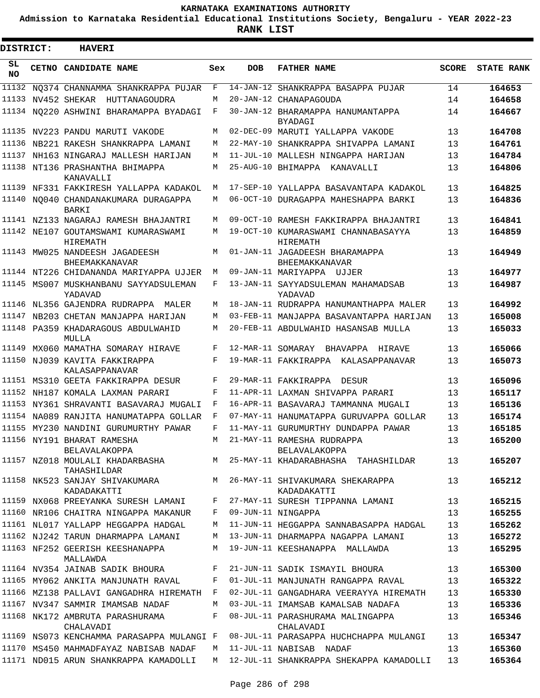**Admission to Karnataka Residential Educational Institutions Society, Bengaluru - YEAR 2022-23**

**RANK LIST**

 $\blacksquare$ 

 $\blacksquare$ 

| DISTRICT:       |  | <b>HAVERI</b>                                                                      |     |                   |                                                         |              |                   |
|-----------------|--|------------------------------------------------------------------------------------|-----|-------------------|---------------------------------------------------------|--------------|-------------------|
| SL<br><b>NO</b> |  | <b>CETNO CANDIDATE NAME</b>                                                        | Sex | <b>DOB</b>        | <b>FATHER NAME</b>                                      | <b>SCORE</b> | <b>STATE RANK</b> |
| 11132           |  | NO374 CHANNAMMA SHANKRAPPA PUJAR                                                   | F   | $14 - JAN - 12$   | SHANKRAPPA BASAPPA PUJAR                                | 14           | 164653            |
| 11133           |  | NV452 SHEKAR HUTTANAGOUDRA                                                         | М   |                   | 20-JAN-12 CHANAPAGOUDA                                  | 14           | 164658            |
|                 |  | 11134 NO220 ASHWINI BHARAMAPPA BYADAGI                                             | F   |                   | 30-JAN-12 BHARAMAPPA HANUMANTAPPA<br>BYADAGI            | 14           | 164667            |
| 11135           |  | NV223 PANDU MARUTI VAKODE                                                          | М   |                   | 02-DEC-09 MARUTI YALLAPPA VAKODE                        | 13           | 164708            |
| 11136           |  | NB221 RAKESH SHANKRAPPA LAMANI                                                     | М   | 22-MAY-10         | SHANKRAPPA SHIVAPPA LAMANI                              | 13           | 164761            |
| 11137           |  | NH163 NINGARAJ MALLESH HARIJAN                                                     | М   |                   | 11-JUL-10 MALLESH NINGAPPA HARIJAN                      | 13           | 164784            |
| 11138           |  | NT136 PRASHANTHA BHIMAPPA<br>KANAVALLI                                             | M   |                   | 25-AUG-10 BHIMAPPA<br>KANAVALLI                         | 13           | 164806            |
|                 |  | 11139 NF331 FAKKIRESH YALLAPPA KADAKOL                                             | M   |                   | 17-SEP-10 YALLAPPA BASAVANTAPA KADAKOL                  | 13           | 164825            |
|                 |  | 11140 NO040 CHANDANAKUMARA DURAGAPPA<br>BARKI                                      | М   |                   | 06-OCT-10 DURAGAPPA MAHESHAPPA BARKI                    | 13           | 164836            |
|                 |  | 11141 NZ133 NAGARAJ RAMESH BHAJANTRI                                               | М   |                   | 09-OCT-10 RAMESH FAKKIRAPPA BHAJANTRI                   | 13           | 164841            |
|                 |  | 11142 NE107 GOUTAMSWAMI KUMARASWAMI<br>HIREMATH                                    | М   |                   | 19-OCT-10 KUMARASWAMI CHANNABASAYYA<br>HIREMATH         | 13           | 164859            |
|                 |  | 11143 MW025 NANDEESH JAGADEESH<br><b>BHEEMAKKANAVAR</b>                            | М   |                   | 01-JAN-11 JAGADEESH BHARAMAPPA<br><b>BHEEMAKKANAVAR</b> | 13           | 164949            |
|                 |  | 11144 NT226 CHIDANANDA MARIYAPPA UJJER                                             | М   |                   | 09-JAN-11 MARIYAPPA UJJER                               | 13           | 164977            |
|                 |  | 11145 MS007 MUSKHANBANU SAYYADSULEMAN<br>YADAVAD                                   | F   |                   | 13-JAN-11 SAYYADSULEMAN MAHAMADSAB<br>YADAVAD           | 13           | 164987            |
|                 |  | 11146 NL356 GAJENDRA RUDRAPPA MALER                                                | М   |                   | 18-JAN-11 RUDRAPPA HANUMANTHAPPA MALER                  | 13           | 164992            |
| 11147           |  | NB203 CHETAN MANJAPPA HARIJAN                                                      | М   |                   | 03-FEB-11 MANJAPPA BASAVANTAPPA HARIJAN                 | 13           | 165008            |
|                 |  | 11148 PA359 KHADARAGOUS ABDULWAHID<br>MULLA                                        | М   |                   | 20-FEB-11 ABDULWAHID HASANSAB MULLA                     | 13           | 165033            |
| 11149           |  | MX060 MAMATHA SOMARAY HIRAVE                                                       | F   | 12-MAR-11 SOMARAY | BHAVAPPA HIRAVE                                         | 13           | 165066            |
| 11150           |  | NJ039 KAVITA FAKKIRAPPA<br>KALASAPPANAVAR                                          | F   |                   | 19-MAR-11 FAKKIRAPPA KALASAPPANAVAR                     | 13           | 165073            |
|                 |  | 11151 MS310 GEETA FAKKIRAPPA DESUR                                                 | F   |                   | 29-MAR-11 FAKKIRAPPA<br>DESUR                           | 13           | 165096            |
|                 |  | 11152 NH187 KOMALA LAXMAN PARARI                                                   | F   |                   | 11-APR-11 LAXMAN SHIVAPPA PARARI                        | 13           | 165117            |
| 11153           |  | NY361 SHRAVANTI BASAVARAJ MUGALI                                                   | F   |                   | 16-APR-11 BASAVARAJ TAMMANNA MUGALI                     | 13           | 165136            |
|                 |  | 11154 NA089 RANJITA HANUMATAPPA GOLLAR                                             | F   |                   | 07-MAY-11 HANUMATAPPA GURUVAPPA GOLLAR                  | 13           | 165174            |
|                 |  | 11155 MY230 NANDINI GURUMURTHY PAWAR                                               | F   |                   | 11-MAY-11 GURUMURTHY DUNDAPPA PAWAR                     | 13           | 165185            |
|                 |  | 11156 NY191 BHARAT RAMESHA<br>BELAVALAKOPPA                                        |     |                   | M 21-MAY-11 RAMESHA RUDRAPPA<br>BELAVALAKOPPA           | 13           | 165200            |
|                 |  | TAHASHILDAR                                                                        |     |                   |                                                         | 13           | 165207            |
|                 |  | 11158 NK523 SANJAY SHIVAKUMARA MAN 26-MAY-11 SHIVAKUMARA SHEKARAPPA<br>KADADAKATTI |     |                   | KADADAKATTI                                             | 13           | 165212            |
|                 |  | 11159 NX068 PREEYANKA SURESH LAMANI F                                              |     |                   | 27-MAY-11 SURESH TIPPANNA LAMANI                        | 13           | 165215            |
|                 |  | 11160 NR106 CHAITRA NINGAPPA MAKANUR                                               | F   |                   | 09-JUN-11 NINGAPPA                                      | 13           | 165255            |
|                 |  | 11161 NL017 YALLAPP HEGGAPPA HADGAL                                                | М   |                   | 11-JUN-11 HEGGAPPA SANNABASAPPA HADGAL                  | 13           | 165262            |
|                 |  | 11162 NJ242 TARUN DHARMAPPA LAMANI                                                 | М   |                   | 13-JUN-11 DHARMAPPA NAGAPPA LAMANI                      | 13           | 165272            |
|                 |  | 11163 NF252 GEERISH KEESHANAPPA<br>MALLAWDA                                        | M   |                   | 19-JUN-11 KEESHANAPPA MALLAWDA                          | 13           | 165295            |
|                 |  | 11164 NV354 JAINAB SADIK BHOURA                                                    | F   |                   | 21-JUN-11 SADIK ISMAYIL BHOURA                          | 13           | 165300            |
|                 |  | 11165 MY062 ANKITA MANJUNATH RAVAL                                                 | F   |                   | 01-JUL-11 MANJUNATH RANGAPPA RAVAL                      | 13           | 165322            |
|                 |  | 11166 MZ138 PALLAVI GANGADHRA HIREMATH F                                           |     |                   | 02-JUL-11 GANGADHARA VEERAYYA HIREMATH                  | 13           | 165330            |
|                 |  | 11167 NV347 SAMMIR IMAMSAB NADAF                                                   | M   |                   | 03-JUL-11 IMAMSAB KAMALSAB NADAFA                       | 13           | 165336            |
|                 |  | 11168 NK172 AMBRUTA PARASHURAMA<br>CHALAVADI                                       | F   |                   | 08-JUL-11 PARASHURAMA MALINGAPPA<br>CHALAVADI           | 13           | 165346            |
|                 |  | 11169 NS073 KENCHAMMA PARASAPPA MULANGI F                                          |     |                   | 08-JUL-11 PARASAPPA HUCHCHAPPA MULANGI                  | 13           | 165347            |
|                 |  | 11170 MS450 MAHMADFAYAZ NABISAB NADAF                                              | M   |                   | 11-JUL-11 NABISAB NADAF                                 | 13           | 165360            |
|                 |  | 11171 ND015 ARUN SHANKRAPPA KAMADOLLI                                              |     |                   | M 12-JUL-11 SHANKRAPPA SHEKAPPA KAMADOLLI               | 13           | 165364            |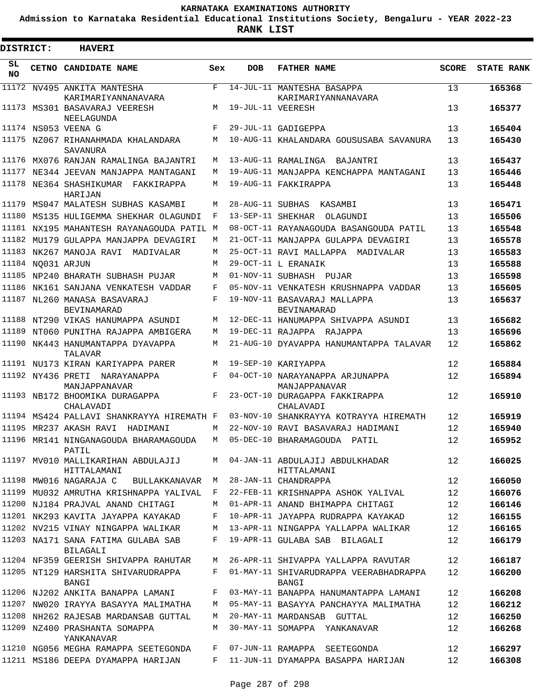**Admission to Karnataka Residential Educational Institutions Society, Bengaluru - YEAR 2022-23**

| DISTRICT:      |                   | <b>HAVERI</b>                                                                        |     |                   |                                                                               |              |                   |
|----------------|-------------------|--------------------------------------------------------------------------------------|-----|-------------------|-------------------------------------------------------------------------------|--------------|-------------------|
| SL.<br>NO.     |                   | <b>CETNO CANDIDATE NAME</b>                                                          | Sex | <b>DOB</b>        | <b>FATHER NAME</b>                                                            | <b>SCORE</b> | <b>STATE RANK</b> |
|                |                   | 11172 NV495 ANKITA MANTESHA<br>KARIMARIYANNANAVARA                                   | F   |                   | 14-JUL-11 MANTESHA BASAPPA<br>KARIMARIYANNANAVARA                             | 13           | 165368            |
|                |                   | 11173 MS301 BASAVARAJ VEERESH<br>NEELAGUNDA                                          | M   | 19-JUL-11 VEERESH |                                                                               | 13           | 165377            |
|                |                   | 11174 NS053 VEENA G                                                                  | F   |                   | 29-JUL-11 GADIGEPPA                                                           | 13           | 165404            |
|                |                   | 11175 NZ067 RIHANAHMADA KHALANDARA<br>SAVANURA                                       | M   |                   | 10-AUG-11 KHALANDARA GOUSUSABA SAVANURA                                       | 13           | 165430            |
|                |                   | 11176 MX076 RANJAN RAMALINGA BAJANTRI                                                | М   |                   | 13-AUG-11 RAMALINGA BAJANTRI                                                  | 13           | 165437            |
| 11177          |                   | NE344 JEEVAN MANJAPPA MANTAGANI                                                      | М   |                   | 19-AUG-11 MANJAPPA KENCHAPPA MANTAGANI                                        | 13           | 165446            |
|                |                   | 11178 NE364 SHASHIKUMAR FAKKIRAPPA<br>HARIJAN                                        | М   |                   | 19-AUG-11 FAKKIRAPPA                                                          | 13           | 165448            |
| 11179<br>11180 |                   | MS047 MALATESH SUBHAS KASAMBI                                                        | M   |                   | 28-AUG-11 SUBHAS KASAMBI                                                      | 13           | 165471            |
| 11181          |                   | MS135 HULIGEMMA SHEKHAR OLAGUNDI                                                     | F   |                   | 13-SEP-11 SHEKHAR OLAGUNDI                                                    | 13           | 165506            |
|                |                   | NX195 MAHANTESH RAYANAGOUDA PATIL M<br>11182 MU179 GULAPPA MANJAPPA DEVAGIRI         | М   |                   | 08-OCT-11 RAYANAGOUDA BASANGOUDA PATIL<br>21-OCT-11 MANJAPPA GULAPPA DEVAGIRI | 13<br>13     | 165548<br>165578  |
|                |                   | 11183 NK267 MANOJA RAVI<br>MADIVALAR                                                 | M   |                   | 25-OCT-11 RAVI MALLAPPA MADIVALAR                                             | 13           | 165583            |
|                | 11184 NO031 ARJUN |                                                                                      | M   |                   | 29-OCT-11 L ERANAIK                                                           | 13           | 165588            |
|                |                   | 11185 NP240 BHARATH SUBHASH PUJAR                                                    | M   |                   | 01-NOV-11 SUBHASH PUJAR                                                       | 13           | 165598            |
|                |                   | 11186 NK161 SANJANA VENKATESH VADDAR                                                 | F   |                   | 05-NOV-11 VENKATESH KRUSHNAPPA VADDAR                                         | 13           | 165605            |
|                |                   | 11187 NL260 MANASA BASAVARAJ<br>BEVINAMARAD                                          | F   |                   | 19-NOV-11 BASAVARAJ MALLAPPA<br><b>BEVINAMARAD</b>                            | 13           | 165637            |
|                |                   | 11188 NT290 VIKAS HANUMAPPA ASUNDI                                                   | М   |                   | 12-DEC-11 HANUMAPPA SHIVAPPA ASUNDI                                           | 13           | 165682            |
|                |                   | 11189 NT060 PUNITHA RAJAPPA AMBIGERA                                                 | М   |                   | 19-DEC-11 RAJAPPA RAJAPPA                                                     | 13           | 165696            |
|                |                   | 11190 NK443 HANUMANTAPPA DYAVAPPA<br>TALAVAR                                         | М   |                   | 21-AUG-10 DYAVAPPA HANUMANTAPPA TALAVAR                                       | 12           | 165862            |
|                |                   | 11191 NU173 KIRAN KARIYAPPA PARER                                                    | М   |                   | 19-SEP-10 KARIYAPPA                                                           | 12           | 165884            |
|                |                   | 11192 NY436 PRETI NARAYANAPPA<br>MANJAPPANAVAR                                       | F   |                   | 04-OCT-10 NARAYANAPPA ARJUNAPPA<br>MANJAPPANAVAR                              | 12           | 165894            |
|                |                   | 11193 NB172 BHOOMIKA DURAGAPPA<br>CHALAVADI                                          | F   |                   | 23-OCT-10 DURAGAPPA FAKKIRAPPA<br>CHALAVADI                                   | 12           | 165910            |
|                |                   | 11194 MS424 PALLAVI SHANKRAYYA HIREMATH F                                            |     |                   | 03-NOV-10 SHANKRAYYA KOTRAYYA HIREMATH                                        | 12           | 165919            |
|                |                   | 11195 MR237 AKASH RAVI HADIMANI                                                      | М   |                   | 22-NOV-10 RAVI BASAVARAJ HADIMANI                                             | 12           | 165940            |
|                |                   | 11196 MR141 NINGANAGOUDA BHARAMAGOUDA<br>PATIL<br>11197 MV010 MALLIKARIHAN ABDULAJIJ | M   |                   | M 05-DEC-10 BHARAMAGOUDA PATIL<br>04-JAN-11 ABDULAJIJ ABDULKHADAR             | 12<br>12     | 165952<br>166025  |
|                |                   | HITTALAMANI<br>11198 MW016 NAGARAJA C BULLAKKANAVAR                                  | M   |                   | HITTALAMANI<br>28-JAN-11 CHANDRAPPA                                           | 12           | 166050            |
|                |                   | 11199 MU032 AMRUTHA KRISHNAPPA YALIVAL                                               | F   |                   | 22-FEB-11 KRISHNAPPA ASHOK YALIVAL                                            | 12           | 166076            |
|                |                   | 11200 NJ184 PRAJVAL ANAND CHITAGI                                                    | M   |                   | 01-APR-11 ANAND BHIMAPPA CHITAGI                                              | 12           | 166146            |
|                |                   | 11201 NK293 KAVITA JAYAPPA KAYAKAD                                                   | F   |                   | 10-APR-11 JAYAPPA RUDRAPPA KAYAKAD                                            | 12           | 166155            |
|                |                   | 11202 NV215 VINAY NINGAPPA WALIKAR                                                   | М   |                   | 13-APR-11 NINGAPPA YALLAPPA WALIKAR                                           | 12           | 166165            |
|                |                   | 11203 NA171 SANA FATIMA GULABA SAB<br>BILAGALI                                       | F   |                   | 19-APR-11 GULABA SAB BILAGALI                                                 | 12           | 166179            |
|                |                   | 11204 NF359 GEERISH SHIVAPPA RAHUTAR                                                 | M   |                   | 26-APR-11 SHIVAPPA YALLAPPA RAVUTAR                                           | 12           | 166187            |
|                |                   | 11205 NT129 HARSHITA SHIVARUDRAPPA<br>BANGI                                          | F   |                   | 01-MAY-11 SHIVARUDRAPPA VEERABHADRAPPA<br>BANGI                               | 12           | 166200            |
|                |                   | 11206 NJ202 ANKITA BANAPPA LAMANI                                                    | F   |                   | 03-MAY-11 BANAPPA HANUMANTAPPA LAMANI                                         | 12           | 166208            |
|                |                   | 11207 NW020 IRAYYA BASAYYA MALIMATHA                                                 | M   |                   | 05-MAY-11 BASAYYA PANCHAYYA MALIMATHA                                         | 12           | 166212            |
|                |                   | 11208 NH262 RAJESAB MARDANSAB GUTTAL                                                 | M   |                   | 20-MAY-11 MARDANSAB GUTTAL                                                    | 12           | 166250            |
|                |                   | 11209 NZ400 PRASHANTA SOMAPPA<br>YANKANAVAR                                          | M   |                   | 30-MAY-11 SOMAPPA YANKANAVAR                                                  | 12           | 166268            |
|                |                   | 11210 NG056 MEGHA RAMAPPA SEETEGONDA                                                 | F   |                   | 07-JUN-11 RAMAPPA SEETEGONDA                                                  | 12           | 166297            |
|                |                   | 11211 MS186 DEEPA DYAMAPPA HARIJAN                                                   | F   |                   | 11-JUN-11 DYAMAPPA BASAPPA HARIJAN                                            | 12           | 166308            |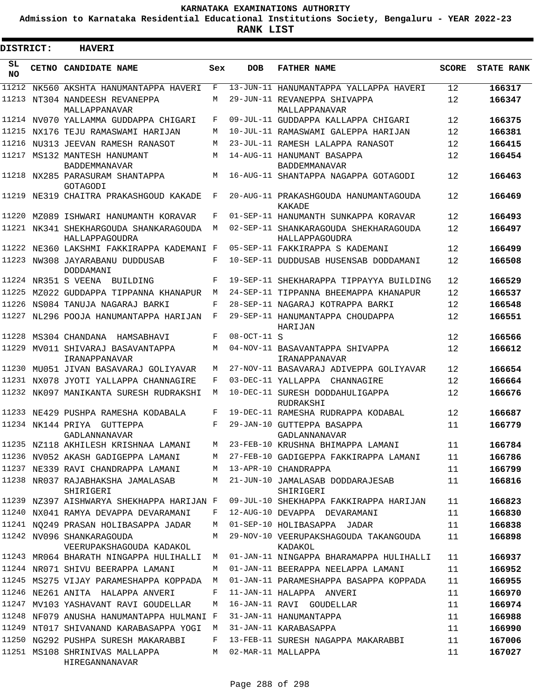**Admission to Karnataka Residential Educational Institutions Society, Bengaluru - YEAR 2022-23**

| <b>DISTRICT:</b> | <b>HAVERI</b>                                                                        |        |               |                                                                       |              |                   |
|------------------|--------------------------------------------------------------------------------------|--------|---------------|-----------------------------------------------------------------------|--------------|-------------------|
| SL<br><b>NO</b>  | CETNO CANDIDATE NAME                                                                 | Sex    | <b>DOB</b>    | <b>FATHER NAME</b>                                                    | <b>SCORE</b> | <b>STATE RANK</b> |
| 11212            | NK560 AKSHTA HANUMANTAPPA HAVERI                                                     | F      |               | 13-JUN-11 HANUMANTAPPA YALLAPPA HAVERI                                | 12           | 166317            |
|                  | 11213 NT304 NANDEESH REVANEPPA<br>MALLAPPANAVAR                                      | М      |               | 29-JUN-11 REVANEPPA SHIVAPPA<br>MALLAPPANAVAR                         | 12           | 166347            |
|                  | 11214 NV070 YALLAMMA GUDDAPPA CHIGARI                                                | F      |               | 09-JUL-11 GUDDAPPA KALLAPPA CHIGARI                                   | 12           | 166375            |
|                  | 11215 NX176 TEJU RAMASWAMI HARIJAN                                                   | M      |               | 10-JUL-11 RAMASWAMI GALEPPA HARIJAN                                   | 12           | 166381            |
| 11216            | NU313 JEEVAN RAMESH RANASOT                                                          | М      |               | 23-JUL-11 RAMESH LALAPPA RANASOT                                      | 12           | 166415            |
|                  | 11217 MS132 MANTESH HANUMANT<br><b>BADDEMMANAVAR</b>                                 | M      |               | 14-AUG-11 HANUMANT BASAPPA<br>BADDEMMANAVAR                           | 12           | 166454            |
|                  | 11218 NX285 PARASURAM SHANTAPPA<br>GOTAGODI                                          | М      |               | 16-AUG-11 SHANTAPPA NAGAPPA GOTAGODI                                  | 12           | 166463            |
| 11219            | NE319 CHAITRA PRAKASHGOUD KAKADE                                                     | F      |               | 20-AUG-11 PRAKASHGOUDA HANUMANTAGOUDA<br>KAKADE                       | 12           | 166469            |
| 11220            | MZ089 ISHWARI HANUMANTH KORAVAR                                                      | F      |               | 01-SEP-11 HANUMANTH SUNKAPPA KORAVAR                                  | 12           | 166493            |
|                  | 11221 NK341 SHEKHARGOUDA SHANKARAGOUDA<br>HALLAPPAGOUDRA                             | M      |               | 02-SEP-11 SHANKARAGOUDA SHEKHARAGOUDA<br>HALLAPPAGOUDRA               | 12           | 166497            |
|                  | 11222 NE360 LAKSHMI FAKKIRAPPA KADEMANI F                                            |        |               | 05-SEP-11 FAKKIRAPPA S KADEMANI                                       | 12           | 166499            |
|                  | 11223 NW308 JAYARABANU DUDDUSAB<br>DODDAMANI                                         | F      |               | 10-SEP-11 DUDDUSAB HUSENSAB DODDAMANI                                 | 12           | 166508            |
|                  | 11224 NR351 S VEENA BUILDING                                                         | F      |               | 19-SEP-11 SHEKHARAPPA TIPPAYYA BUILDING                               | 12           | 166529            |
| 11225            | MZ022 GUDDAPPA TIPPANNA KHANAPUR                                                     | M      |               | 24-SEP-11 TIPPANNA BHEEMAPPA KHANAPUR                                 | 12           | 166537            |
|                  | 11226 NS084 TANUJA NAGARAJ BARKI                                                     | F      |               | 28-SEP-11 NAGARAJ KOTRAPPA BARKI                                      | 12           | 166548            |
|                  | 11227 NL296 POOJA HANUMANTAPPA HARIJAN                                               | F      |               | 29-SEP-11 HANUMANTAPPA CHOUDAPPA<br>HARIJAN                           | 12           | 166551            |
| 11228            | MS304 CHANDANA HAMSABHAVI                                                            | F      | $08-0CT-11$ S |                                                                       | 12           | 166566            |
| 11229            | MV011 SHIVARAJ BASAVANTAPPA<br>IRANAPPANAVAR                                         | М      |               | 04-NOV-11 BASAVANTAPPA SHIVAPPA<br>IRANAPPANAVAR                      | 12           | 166612            |
| 11230            | MU051 JIVAN BASAVARAJ GOLIYAVAR                                                      | М      |               | 27-NOV-11 BASAVARAJ ADIVEPPA GOLIYAVAR                                | 12           | 166654            |
|                  | 11231 NX078 JYOTI YALLAPPA CHANNAGIRE                                                | F      |               | 03-DEC-11 YALLAPPA<br>CHANNAGIRE                                      | 12           | 166664            |
|                  | 11232 NK097 MANIKANTA SURESH RUDRAKSHI                                               | М      |               | 10-DEC-11 SURESH DODDAHULIGAPPA<br>RUDRAKSHI                          | 12           | 166676            |
|                  | 11233 NE429 PUSHPA RAMESHA KODABALA                                                  | F      |               | 19-DEC-11 RAMESHA RUDRAPPA KODABAL                                    | 12           | 166687            |
|                  | 11234 NK144 PRIYA GUTTEPPA<br>GADLANNANAVAR                                          | F      |               | 29-JAN-10 GUTTEPPA BASAPPA<br>GADLANNANAVAR                           | 11           | 166779            |
|                  | 11235 NZ118 AKHILESH KRISHNAA LAMANI                                                 | M      |               | 23-FEB-10 KRUSHNA BHIMAPPA LAMANI                                     | 11           | 166784            |
|                  | 11236 NV052 AKASH GADIGEPPA LAMANI                                                   | М      |               | 27-FEB-10 GADIGEPPA FAKKIRAPPA LAMANI                                 | 11           | 166786            |
|                  | 11237 NE339 RAVI CHANDRAPPA LAMANI<br>11238 NR037 RAJABHAKSHA JAMALASAB<br>SHIRIGERI | М<br>М |               | 13-APR-10 CHANDRAPPA<br>21-JUN-10 JAMALASAB DODDARAJESAB<br>SHIRIGERI | 11<br>11     | 166799<br>166816  |
|                  | 11239 NZ397 AISHWARYA SHEKHAPPA HARIJAN F                                            |        |               | 09-JUL-10 SHEKHAPPA FAKKIRAPPA HARIJAN                                | 11           | 166823            |
|                  | 11240 NX041 RAMYA DEVAPPA DEVARAMANI                                                 | F      |               | 12-AUG-10 DEVAPPA DEVARAMANI                                          | 11           | 166830            |
|                  | 11241 NQ249 PRASAN HOLIBASAPPA JADAR                                                 | М      |               | 01-SEP-10 HOLIBASAPPA JADAR                                           | 11           | 166838            |
|                  | 11242 NV096 SHANKARAGOUDA<br>VEERUPAKSHAGOUDA KADAKOL                                | М      |               | 29-NOV-10 VEERUPAKSHAGOUDA TAKANGOUDA<br>KADAKOL                      | 11           | 166898            |
|                  | 11243 MR064 BHARATH NINGAPPA HULIHALLI                                               | M      |               | 01-JAN-11 NINGAPPA BHARAMAPPA HULIHALLI                               | 11           | 166937            |
|                  | 11244 NR071 SHIVU BEERAPPA LAMANI                                                    | М      |               | 01-JAN-11 BEERAPPA NEELAPPA LAMANI                                    | 11           | 166952            |
|                  | 11245 MS275 VIJAY PARAMESHAPPA KOPPADA                                               | М      |               | 01-JAN-11 PARAMESHAPPA BASAPPA KOPPADA                                | 11           | 166955            |
|                  | 11246 NE261 ANITA HALAPPA ANVERI                                                     | F      |               | 11-JAN-11 HALAPPA ANVERI                                              | 11           | 166970            |
|                  | 11247 MV103 YASHAVANT RAVI GOUDELLAR                                                 | М      |               | 16-JAN-11 RAVI GOUDELLAR                                              | 11           | 166974            |
|                  | 11248 NF079 ANUSHA HANUMANTAPPA HULMANI F                                            |        |               | 31-JAN-11 HANUMANTAPPA                                                | 11           | 166988            |
|                  | 11249 NT017 SHIVANAND KARABASAPPA YOGI                                               | М      |               | 31-JAN-11 KARABASAPPA                                                 | 11           | 166990            |
|                  | 11250 NG292 PUSHPA SURESH MAKARABBI                                                  | F      |               | 13-FEB-11 SURESH NAGAPPA MAKARABBI                                    | 11           | 167006            |
|                  | 11251 MS108 SHRINIVAS MALLAPPA<br>HIREGANNANAVAR                                     | М      |               | 02-MAR-11 MALLAPPA                                                    | 11           | 167027            |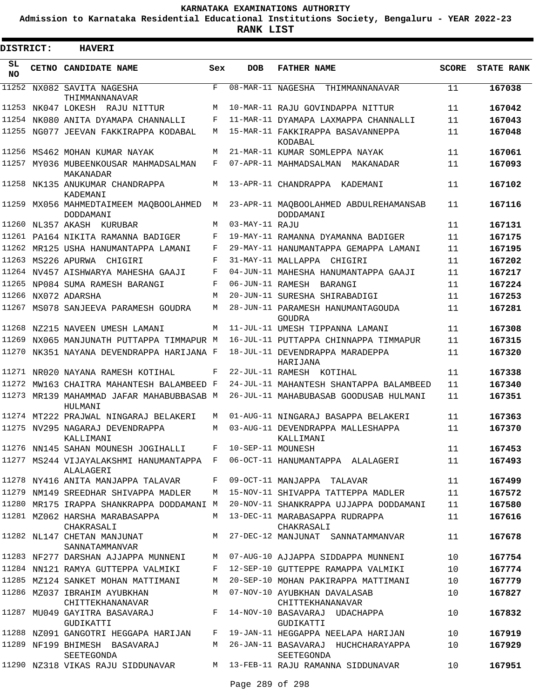**Admission to Karnataka Residential Educational Institutions Society, Bengaluru - YEAR 2022-23**

| DISTRICT:       | <b>HAVERI</b>                                        |              |                   |                                                                           |              |                   |
|-----------------|------------------------------------------------------|--------------|-------------------|---------------------------------------------------------------------------|--------------|-------------------|
| SL<br><b>NO</b> | <b>CETNO CANDIDATE NAME</b>                          | Sex          | <b>DOB</b>        | <b>FATHER NAME</b>                                                        | <b>SCORE</b> | <b>STATE RANK</b> |
|                 | 11252 NX082 SAVITA NAGESHA<br>THIMMANNANAVAR         | $\mathbf{F}$ |                   | 08-MAR-11 NAGESHA THIMMANNANAVAR                                          | 11           | 167038            |
|                 | 11253 NK047 LOKESH RAJU NITTUR                       | M            |                   | 10-MAR-11 RAJU GOVINDAPPA NITTUR                                          | 11           | 167042            |
|                 | 11254 NK080 ANITA DYAMAPA CHANNALLI                  | F            |                   | 11-MAR-11 DYAMAPA LAXMAPPA CHANNALLI                                      | 11           | 167043            |
|                 | 11255 NG077 JEEVAN FAKKIRAPPA KODABAL                | М            |                   | 15-MAR-11 FAKKIRAPPA BASAVANNEPPA<br>KODABAL                              | 11           | 167048            |
|                 | 11256 MS462 MOHAN KUMAR NAYAK                        | М            |                   | 21-MAR-11 KUMAR SOMLEPPA NAYAK                                            | 11           | 167061            |
|                 | 11257 MY036 MUBEENKOUSAR MAHMADSALMAN<br>MAKANADAR   | F            |                   | 07-APR-11 MAHMADSALMAN MAKANADAR                                          | 11           | 167093            |
|                 | 11258 NK135 ANUKUMAR CHANDRAPPA<br>KADEMANI          | М            |                   | 13-APR-11 CHANDRAPPA KADEMANI                                             | 11           | 167102            |
|                 | 11259 MX056 MAHMEDTAIMEEM MAQBOOLAHMED<br>DODDAMANI  | М            |                   | 23-APR-11 MAQBOOLAHMED ABDULREHAMANSAB<br>DODDAMANI                       | 11           | 167116            |
|                 | 11260 NL357 AKASH KURUBAR                            | М            | 03-MAY-11 RAJU    |                                                                           | 11           | 167131            |
|                 | 11261 PA164 NIKITA RAMANNA BADIGER                   | F            |                   | 19-MAY-11 RAMANNA DYAMANNA BADIGER                                        | 11           | 167175            |
|                 | 11262 MR125 USHA HANUMANTAPPA LAMANI                 | F            |                   | 29-MAY-11 HANUMANTAPPA GEMAPPA LAMANI                                     | 11           | 167195            |
|                 | 11263 MS226 APURWA CHIGIRI                           | F            |                   | 31-MAY-11 MALLAPPA CHIGIRI                                                | 11           | 167202            |
|                 | 11264 NV457 AISHWARYA MAHESHA GAAJI                  | F            |                   | 04-JUN-11 MAHESHA HANUMANTAPPA GAAJI                                      | 11           | 167217            |
|                 | 11265 NP084 SUMA RAMESH BARANGI                      | F            |                   | 06-JUN-11 RAMESH BARANGI                                                  | 11           | 167224            |
|                 | 11266 NX072 ADARSHA                                  | М            |                   | 20-JUN-11 SURESHA SHIRABADIGI                                             | 11           | 167253            |
|                 | 11267 MS078 SANJEEVA PARAMESH GOUDRA                 | M            |                   | 28-JUN-11 PARAMESH HANUMANTAGOUDA<br>GOUDRA                               | 11           | 167281            |
|                 | 11268 NZ215 NAVEEN UMESH LAMANI                      | М            |                   | 11-JUL-11 UMESH TIPPANNA LAMANI                                           | 11           | 167308            |
|                 | 11269 NX065 MANJUNATH PUTTAPPA TIMMAPUR M            |              |                   | 16-JUL-11 PUTTAPPA CHINNAPPA TIMMAPUR                                     | 11           | 167315            |
|                 | 11270 NK351 NAYANA DEVENDRAPPA HARIJANA F            |              |                   | 18-JUL-11 DEVENDRAPPA MARADEPPA<br>HARIJANA                               | 11           | 167320            |
|                 | 11271 NR020 NAYANA RAMESH KOTIHAL                    | F            |                   | 22-JUL-11 RAMESH KOTIHAL                                                  | 11           | 167338            |
| 11272           | MW163 CHAITRA MAHANTESH BALAMBEED F                  |              |                   | 24-JUL-11 MAHANTESH SHANTAPPA BALAMBEED                                   | 11           | 167340            |
|                 | 11273 MR139 MAHAMMAD JAFAR MAHABUBBASAB M<br>HULMANI |              |                   | 26-JUL-11 MAHABUBASAB GOODUSAB HULMANI                                    | 11           | 167351            |
|                 | 11274 MT222 PRAJWAL NINGARAJ BELAKERI                | M            |                   | 01-AUG-11 NINGARAJ BASAPPA BELAKERI                                       | 11           | 167363            |
|                 | 11275 NV295 NAGARAJ DEVENDRAPPA<br>KALLIMANI         | М            |                   | 03-AUG-11 DEVENDRAPPA MALLESHAPPA<br>KALLIMANI                            | 11           | 167370            |
|                 | 11276 NN145 SAHAN MOUNESH JOGIHALLI F                |              | 10-SEP-11 MOUNESH |                                                                           | 11           | 167453            |
|                 | ALALAGERI                                            |              |                   | 11277 MS244 VIJAYALAKSHMI HANUMANTAPPA F 06-OCT-11 HANUMANTAPPA ALALAGERI | 11           | 167493            |
|                 | 11278 NY416 ANITA MANJAPPA TALAVAR                   | $_{\rm F}$   |                   | 09-OCT-11 MANJAPPA TALAVAR                                                | 11           | 167499            |
|                 | 11279 NM149 SREEDHAR SHIVAPPA MADLER                 |              |                   | M 15-NOV-11 SHIVAPPA TATTEPPA MADLER                                      | 11           | 167572            |
|                 | 11280 MR175 IRAPPA SHANKRAPPA DODDAMANI M            |              |                   | 20-NOV-11 SHANKRAPPA UJJAPPA DODDAMANI                                    | 11           | 167580            |
|                 | 11281 MZ062 HARSHA MARABASAPPA<br>CHAKRASALI         |              |                   | M 13-DEC-11 MARABASAPPA RUDRAPPA<br>CHAKRASALI                            | 11           | 167616            |
|                 | 11282 NL147 CHETAN MANJUNAT<br>SANNATAMMANVAR        |              |                   | M 27-DEC-12 MANJUNAT SANNATAMMANVAR                                       | 11           | 167678            |
|                 |                                                      |              |                   | 11283 NF277 DARSHAN AJJAPPA MUNNENI M 07-AUG-10 AJJAPPA SIDDAPPA MUNNENI  | 10           | 167754            |
|                 | 11284 NN121 RAMYA GUTTEPPA VALMIKI                   |              |                   | F 12-SEP-10 GUTTEPPE RAMAPPA VALMIKI                                      | 10           | 167774            |
|                 | 11285 MZ124 SANKET MOHAN MATTIMANI                   | М            |                   | 20-SEP-10 MOHAN PAKIRAPPA MATTIMANI                                       | 10           | 167779            |
|                 | 11286 MZ037 IBRAHIM AYUBKHAN<br>CHITTEKHANANAVAR     | M            |                   | 07-NOV-10 AYUBKHAN DAVALASAB<br>CHITTEKHANANAVAR                          | 10           | 167827            |
|                 | 11287 MU049 GAYITRA BASAVARAJ F<br>GUDIKATTI         |              |                   | 14-NOV-10 BASAVARAJ UDACHAPPA<br>GUDIKATTI                                | 10           | 167832            |
|                 |                                                      |              |                   | 11288 NZ091 GANGOTRI HEGGAPA HARIJAN F 19-JAN-11 HEGGAPPA NEELAPA HARIJAN | 10           | 167919            |
|                 | 11289 NF199 BHIMESH BASAVARAJ<br>SEETEGONDA          |              |                   | M 26-JAN-11 BASAVARAJ HUCHCHARAYAPPA<br>SEETEGONDA                        | 10           | 167929            |
|                 | 11290 NZ318 VIKAS RAJU SIDDUNAVAR                    |              |                   | M 13-FEB-11 RAJU RAMANNA SIDDUNAVAR                                       | 10           | 167951            |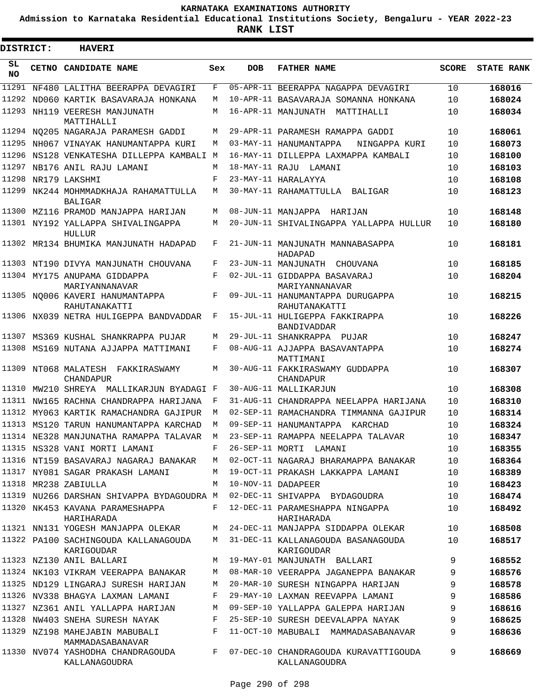**Admission to Karnataka Residential Educational Institutions Society, Bengaluru - YEAR 2022-23**

| <b>DISTRICT:</b> | <b>HAVERI</b>                                         |     |            |                                                        |              |                   |
|------------------|-------------------------------------------------------|-----|------------|--------------------------------------------------------|--------------|-------------------|
| SL<br><b>NO</b>  | CETNO CANDIDATE NAME                                  | Sex | <b>DOB</b> | <b>FATHER NAME</b>                                     | <b>SCORE</b> | <b>STATE RANK</b> |
| 11291            | NF480 LALITHA BEERAPPA DEVAGIRI                       | F   |            | 05-APR-11 BEERAPPA NAGAPPA DEVAGIRI                    | 10           | 168016            |
| 11292            | ND060 KARTIK BASAVARAJA HONKANA                       | М   |            | 10-APR-11 BASAVARAJA SOMANNA HONKANA                   | 10           | 168024            |
| 11293            | NH119 VEERESH MANJUNATH<br>MATTIHALLI                 | М   |            | 16-APR-11 MANJUNATH MATTIHALLI                         | 10           | 168034            |
|                  | 11294 NQ205 NAGARAJA PARAMESH GADDI                   | M   |            | 29-APR-11 PARAMESH RAMAPPA GADDI                       | 10           | 168061            |
| 11295            | NH067 VINAYAK HANUMANTAPPA KURI                       | M   |            | 03-MAY-11 HANUMANTAPPA<br>NINGAPPA KURI                | 10           | 168073            |
|                  | 11296 NS128 VENKATESHA DILLEPPA KAMBALI M             |     |            | 16-MAY-11 DILLEPPA LAXMAPPA KAMBALI                    | 10           | 168100            |
| 11297            | NB176 ANIL RAJU LAMANI                                | M   |            | 18-MAY-11 RAJU LAMANI                                  | 10           | 168103            |
| 11298            | NR179 LAKSHMI                                         | F   |            | 23-MAY-11 HARALAYYA                                    | 10           | 168108            |
| 11299            | NK244 MOHMMADKHAJA RAHAMATTULLA<br><b>BALIGAR</b>     | M   |            | 30-MAY-11 RAHAMATTULLA BALIGAR                         | 10           | 168123            |
|                  | 11300 MZ116 PRAMOD MANJAPPA HARIJAN                   | М   |            | 08-JUN-11 MANJAPPA HARIJAN                             | 10           | 168148            |
|                  | 11301 NY192 YALLAPPA SHIVALINGAPPA<br>HULLUR          | М   |            | 20-JUN-11 SHIVALINGAPPA YALLAPPA HULLUR                | 10           | 168180            |
|                  | 11302 MR134 BHUMIKA MANJUNATH HADAPAD                 | F   |            | 21-JUN-11 MANJUNATH MANNABASAPPA<br>HADAPAD            | 10           | 168181            |
|                  | 11303 NT190 DIVYA MANJUNATH CHOUVANA                  | F   |            | 23-JUN-11 MANJUNATH CHOUVANA                           | 10           | 168185            |
|                  | 11304 MY175 ANUPAMA GIDDAPPA<br>MARIYANNANAVAR        | F   |            | 02-JUL-11 GIDDAPPA BASAVARAJ<br>MARIYANNANAVAR         | 10           | 168204            |
|                  | 11305 NO006 KAVERI HANUMANTAPPA<br>RAHUTANAKATTI      | F   |            | 09-JUL-11 HANUMANTAPPA DURUGAPPA<br>RAHUTANAKATTI      | 10           | 168215            |
|                  | 11306 NX039 NETRA HULIGEPPA BANDVADDAR                | F   |            | 15-JUL-11 HULIGEPPA FAKKIRAPPA<br>BANDIVADDAR          | 10           | 168226            |
|                  | 11307 MS369 KUSHAL SHANKRAPPA PUJAR                   | M   |            | 29-JUL-11 SHANKRAPPA PUJAR                             | 10           | 168247            |
|                  | 11308 MS169 NUTANA AJJAPPA MATTIMANI                  | F   |            | 08-AUG-11 AJJAPPA BASAVANTAPPA<br>MATTIMANI            | 10           | 168274            |
|                  | 11309 NT068 MALATESH FAKKIRASWAMY<br><b>CHANDAPUR</b> | М   |            | 30-AUG-11 FAKKIRASWAMY GUDDAPPA<br><b>CHANDAPUR</b>    | 10           | 168307            |
|                  | 11310 MW210 SHREYA MALLIKARJUN BYADAGI F              |     |            | 30-AUG-11 MALLIKARJUN                                  | 10           | 168308            |
| 11311            | NW165 RACHNA CHANDRAPPA HARIJANA                      | F   |            | 31-AUG-11 CHANDRAPPA NEELAPPA HARIJANA                 | 10           | 168310            |
|                  | 11312 MY063 KARTIK RAMACHANDRA GAJIPUR                | M   |            | 02-SEP-11 RAMACHANDRA TIMMANNA GAJIPUR                 | 10           | 168314            |
|                  | 11313 MS120 TARUN HANUMANTAPPA KARCHAD                | M   |            | 09-SEP-11 HANUMANTAPPA KARCHAD                         | 10           | 168324            |
|                  | 11314 NE328 MANJUNATHA RAMAPPA TALAVAR                | M   |            | 23-SEP-11 RAMAPPA NEELAPPA TALAVAR                     | 10           | 168347            |
|                  | 11315 NS328 VANI MORTI LAMANI                         | F   |            | 26-SEP-11 MORTI LAMANI                                 | 10           | 168355            |
|                  | 11316 NT159 BASAVARAJ NAGARAJ BANAKAR                 | M   |            | 02-OCT-11 NAGARAJ BHARAMAPPA BANAKAR                   | 10           | 168364            |
|                  | 11317 NY081 SAGAR PRAKASH LAMANI                      | M   |            | 19-OCT-11 PRAKASH LAKKAPPA LAMANI                      | 10           | 168389            |
|                  | 11318 MR238 ZABIULLA                                  | M   |            | 10-NOV-11 DADAPEER                                     | 10           | 168423            |
|                  | 11319 NU266 DARSHAN SHIVAPPA BYDAGOUDRA M             |     |            | 02-DEC-11 SHIVAPPA BYDAGOUDRA                          | 10           | 168474            |
|                  | 11320 NK453 KAVANA PARAMESHAPPA<br>HARIHARADA         | F   |            | 12-DEC-11 PARAMESHAPPA NINGAPPA<br>HARIHARADA          | 10           | 168492            |
|                  | 11321 NN131 YOGESH MANJAPPA OLEKAR                    | М   |            | 24-DEC-11 MANJAPPA SIDDAPPA OLEKAR                     | 10           | 168508            |
|                  | 11322 PA100 SACHINGOUDA KALLANAGOUDA<br>KARIGOUDAR    | M   |            | 31-DEC-11 KALLANAGOUDA BASANAGOUDA<br>KARIGOUDAR       | 10           | 168517            |
|                  | 11323 NZ130 ANIL BALLARI                              | М   |            | 19-MAY-01 MANJUNATH BALLARI                            | 9            | 168552            |
|                  | 11324 NK103 VIKRAM VEERAPPA BANAKAR                   | М   |            | 08-MAR-10 VEERAPPA JAGANEPPA BANAKAR                   | 9            | 168576            |
|                  | 11325 ND129 LINGARAJ SURESH HARIJAN                   | М   |            | 20-MAR-10 SURESH NINGAPPA HARIJAN                      | 9            | 168578            |
|                  | 11326 NV338 BHAGYA LAXMAN LAMANI                      | F   |            | 29-MAY-10 LAXMAN REEVAPPA LAMANI                       | 9            | 168586            |
|                  | 11327 NZ361 ANIL YALLAPPA HARIJAN                     | М   |            | 09-SEP-10 YALLAPPA GALEPPA HARIJAN                     | 9            | 168616            |
|                  | 11328 NW403 SNEHA SURESH NAYAK                        | F   |            | 25-SEP-10 SURESH DEEVALAPPA NAYAK                      | 9            | 168625            |
|                  | 11329 NZ198 MAHEJABIN MABUBALI<br>MAMMADASABANAVAR    | F   |            | 11-OCT-10 MABUBALI MAMMADASABANAVAR                    | 9            | 168636            |
|                  | 11330 NV074 YASHODHA CHANDRAGOUDA<br>KALLANAGOUDRA    | F   |            | 07-DEC-10 CHANDRAGOUDA KURAVATTIGOUDA<br>KALLANAGOUDRA | 9            | 168669            |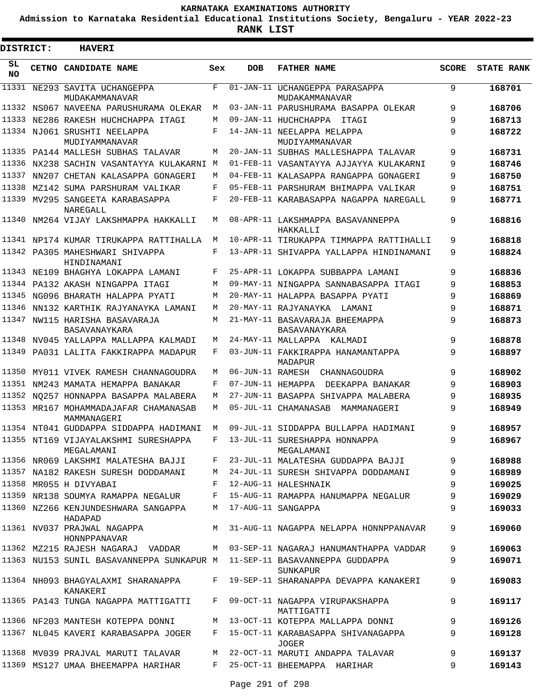**Admission to Karnataka Residential Educational Institutions Society, Bengaluru - YEAR 2022-23**

| DISTRICT: | <b>HAVERI</b>                                                             |     |            |                                                  |              |                   |
|-----------|---------------------------------------------------------------------------|-----|------------|--------------------------------------------------|--------------|-------------------|
| SL<br>NO. | CETNO CANDIDATE NAME                                                      | Sex | <b>DOB</b> | <b>FATHER NAME</b>                               | <b>SCORE</b> | <b>STATE RANK</b> |
| 11331     | NE293 SAVITA UCHANGEPPA<br>MUDAKAMMANAVAR                                 | F   |            | 01-JAN-11 UCHANGEPPA PARASAPPA<br>MUDAKAMMANAVAR | 9            | 168701            |
|           | 11332 NS067 NAVEENA PARUSHURAMA OLEKAR                                    | М   |            | 03-JAN-11 PARUSHURAMA BASAPPA OLEKAR             | 9            | 168706            |
| 11333     | NE286 RAKESH HUCHCHAPPA ITAGI                                             | M   |            | 09-JAN-11 HUCHCHAPPA ITAGI                       | 9            | 168713            |
|           | 11334 NJ061 SRUSHTI NEELAPPA<br>MUDIYAMMANAVAR                            | F   |            | 14-JAN-11 NEELAPPA MELAPPA<br>MUDIYAMMANAVAR     | 9            | 168722            |
|           | 11335 PA144 MALLESH SUBHAS TALAVAR                                        | M   |            | 20-JAN-11 SUBHAS MALLESHAPPA TALAVAR             | 9            | 168731            |
|           | 11336 NX238 SACHIN VASANTAYYA KULAKARNI M                                 |     |            | 01-FEB-11 VASANTAYYA AJJAYYA KULAKARNI           | 9            | 168746            |
| 11337     | NN207 CHETAN KALASAPPA GONAGERI                                           | M   |            | 04-FEB-11 KALASAPPA RANGAPPA GONAGERI            | 9            | 168750            |
|           | 11338 MZ142 SUMA PARSHURAM VALIKAR                                        | F   |            | 05-FEB-11 PARSHURAM BHIMAPPA VALIKAR             | 9            | 168751            |
|           | 11339 MV295 SANGEETA KARABASAPPA<br>NAREGALL                              | F   |            | 20-FEB-11 KARABASAPPA NAGAPPA NAREGALL           | 9            | 168771            |
| 11340     | NM264 VIJAY LAKSHMAPPA HAKKALLI                                           | M   |            | 08-APR-11 LAKSHMAPPA BASAVANNEPPA<br>HAKKALLI    | 9            | 168816            |
|           | 11341 NP174 KUMAR TIRUKAPPA RATTIHALLA                                    | M   |            | 10-APR-11 TIRUKAPPA TIMMAPPA RATTIHALLI          | 9            | 168818            |
|           | 11342 PA305 MAHESHWARI SHIVAPPA<br>HINDINAMANI                            | F   |            | 13-APR-11 SHIVAPPA YALLAPPA HINDINAMANI          | 9            | 168824            |
|           | 11343 NE109 BHAGHYA LOKAPPA LAMANI                                        | F   |            | 25-APR-11 LOKAPPA SUBBAPPA LAMANI                | 9            | 168836            |
|           | 11344 PA132 AKASH NINGAPPA ITAGI                                          | M   |            | 09-MAY-11 NINGAPPA SANNABASAPPA ITAGI            | 9            | 168853            |
|           | 11345 NG096 BHARATH HALAPPA PYATT                                         | М   |            | 20-MAY-11 HALAPPA BASAPPA PYATI                  | 9            | 168869            |
| 11346     | NN132 KARTHIK RAJYANAYKA LAMANI                                           | M   |            | 20-MAY-11 RAJYANAYKA LAMANI                      | 9            | 168871            |
|           | 11347 NW115 HARISHA BASAVARAJA<br>BASAVANAYKARA                           | М   |            | 21-MAY-11 BASAVARAJA BHEEMAPPA<br>BASAVANAYKARA  | 9            | 168873            |
| 11348     | NV045 YALLAPPA MALLAPPA KALMADI                                           | M   |            | 24-MAY-11 MALLAPPA KALMADI                       | 9            | 168878            |
|           | 11349 PA031 LALITA FAKKIRAPPA MADAPUR                                     | F   |            | 03-JUN-11 FAKKIRAPPA HANAMANTAPPA<br>MADAPUR     | 9            | 168897            |
| 11350     | MY011 VIVEK RAMESH CHANNAGOUDRA                                           | M   |            | 06-JUN-11 RAMESH CHANNAGOUDRA                    | 9            | 168902            |
| 11351     | NM243 MAMATA HEMAPPA BANAKAR                                              | F   |            | 07-JUN-11 HEMAPPA<br>DEEKAPPA BANAKAR            | 9            | 168903            |
| 11352     | NO257 HONNAPPA BASAPPA MALABERA                                           | M   |            | 27-JUN-11 BASAPPA SHIVAPPA MALABERA              | 9            | 168935            |
|           | 11353 MR167 MOHAMMADAJAFAR CHAMANASAB<br>MAMMANAGERI                      | М   |            | 05-JUL-11 CHAMANASAB MAMMANAGERI                 | 9            | 168949            |
|           | 11354 NT041 GUDDAPPA SIDDAPPA HADIMANI                                    | M   |            | 09-JUL-11 SIDDAPPA BULLAPPA HADIMANI             | 9            | 168957            |
|           | 11355 NT169 VIJAYALAKSHMI SURESHAPPA<br>MEGALAMANI                        |     |            | F 13-JUL-11 SURESHAPPA HONNAPPA<br>MEGALAMANI    | 9            | 168967            |
|           | 11356 NR069 LAKSHMI MALATESHA BAJJI F                                     |     |            | 23-JUL-11 MALATESHA GUDDAPPA BAJJI               | 9            | 168988            |
|           | 11357 NA182 RAKESH SURESH DODDAMANI                                       |     |            | M 24-JUL-11 SURESH SHIVAPPA DODDAMANI            | 9            | 168989            |
|           | 11358 MR055 H DIVYABAI                                                    |     |            | F 12-AUG-11 HALESHNAIK                           | 9            | 169025            |
|           | 11359 NR138 SOUMYA RAMAPPA NEGALUR                                        |     |            | F 15-AUG-11 RAMAPPA HANUMAPPA NEGALUR            | 9            | 169029            |
|           | 11360 NZ266 KENJUNDESHWARA SANGAPPA<br>HADAPAD                            |     |            | M 17-AUG-11 SANGAPPA                             | 9            | 169033            |
|           | 11361 NV037 PRAJWAL NAGAPPA<br>HONNPPANAVAR                               |     |            | M 31-AUG-11 NAGAPPA NELAPPA HONNPPANAVAR         | 9            | 169060            |
|           | 11362 MZ215 RAJESH NAGARAJ VADDAR                                         |     |            | M 03-SEP-11 NAGARAJ HANUMANTHAPPA VADDAR         | 9            | 169063            |
|           | 11363 NU153 SUNIL BASAVANNEPPA SUNKAPUR M 11-SEP-11 BASAVANNEPPA GUDDAPPA |     |            | SUNKAPUR                                         | 9            | 169071            |
|           | 11364 NH093 BHAGYALAXMI SHARANAPPA<br>KANAKERI                            |     |            | F 19-SEP-11 SHARANAPPA DEVAPPA KANAKERI          | 9            | 169083            |
|           | 11365 PA143 TUNGA NAGAPPA MATTIGATTI                                      |     |            | F 09-OCT-11 NAGAPPA VIRUPAKSHAPPA<br>MATTIGATTI  | 9            | 169117            |
|           | 11366 NF203 MANTESH KOTEPPA DONNI                                         |     |            | M 13-OCT-11 KOTEPPA MALLAPPA DONNI               | 9            | 169126            |
|           | 11367 NL045 KAVERI KARABASAPPA JOGER                                      |     |            | F 15-OCT-11 KARABASAPPA SHIVANAGAPPA<br>JOGER    | 9            | 169128            |
|           | 11368 MV039 PRAJVAL MARUTI TALAVAR                                        |     |            | M 22-OCT-11 MARUTI ANDAPPA TALAVAR               | 9            | 169137            |
|           | 11369 MS127 UMAA BHEEMAPPA HARIHAR                                        |     |            | F 25-OCT-11 BHEEMAPPA HARIHAR                    | 9            | 169143            |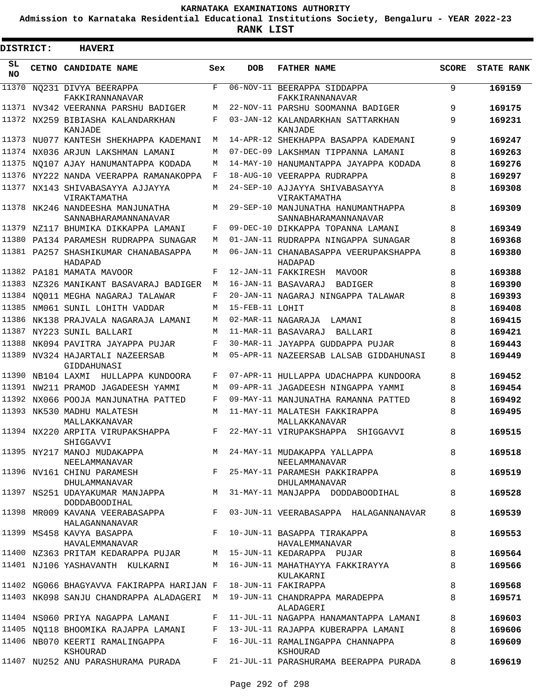**Admission to Karnataka Residential Educational Institutions Society, Bengaluru - YEAR 2022-23**

| <b>DISTRICT:</b> | <b>HAVERI</b>                                                                |            |                 |                                                                                      |              |                   |
|------------------|------------------------------------------------------------------------------|------------|-----------------|--------------------------------------------------------------------------------------|--------------|-------------------|
| SL<br><b>NO</b>  | CETNO CANDIDATE NAME                                                         | Sex        | <b>DOB</b>      | <b>FATHER NAME</b>                                                                   | <b>SCORE</b> | <b>STATE RANK</b> |
| 11370            | NO231 DIVYA BEERAPPA<br>FAKKIRANNANAVAR                                      | $_{\rm F}$ |                 | 06-NOV-11 BEERAPPA SIDDAPPA<br>FAKKIRANNANAVAR                                       | 9            | 169159            |
|                  | 11371 NV342 VEERANNA PARSHU BADIGER                                          | M          |                 | 22-NOV-11 PARSHU SOOMANNA BADIGER                                                    | 9            | 169175            |
| 11372            | NX259 BIBIASHA KALANDARKHAN<br>KANJADE                                       | F          |                 | 03-JAN-12 KALANDARKHAN SATTARKHAN<br>KANJADE                                         | 9            | 169231            |
|                  | 11373 NU077 KANTESH SHEKHAPPA KADEMANI                                       | M          |                 | 14-APR-12 SHEKHAPPA BASAPPA KADEMANI                                                 | 9            | 169247            |
|                  | 11374 NX036 ARJUN LAKSHMAN LAMANI                                            | M          |                 | 07-DEC-09 LAKSHMAN TIPPANNA LAMANI                                                   | 8            | 169263            |
| 11375            | NO107 AJAY HANUMANTAPPA KODADA                                               | M          |                 | 14-MAY-10 HANUMANTAPPA JAYAPPA KODADA                                                | 8            | 169276            |
| 11376            | NY222 NANDA VEERAPPA RAMANAKOPPA                                             | F          |                 | 18-AUG-10 VEERAPPA RUDRAPPA                                                          | 8            | 169297            |
|                  | 11377 NX143 SHIVABASAYYA AJJAYYA<br>VIRAKTAMATHA                             | M          |                 | 24-SEP-10 AJJAYYA SHIVABASAYYA<br>VIRAKTAMATHA                                       | 8            | 169308            |
| 11378            | NK246 NANDEESHA MANJUNATHA<br>SANNABHARAMANNANAVAR                           | М          |                 | 29-SEP-10 MANJUNATHA HANUMANTHAPPA<br>SANNABHARAMANNANAVAR                           | 8            | 169309            |
| 11379            | NZ117 BHUMIKA DIKKAPPA LAMANI                                                | F          |                 | 09-DEC-10 DIKKAPPA TOPANNA LAMANI                                                    | 8            | 169349            |
| 11380            | PA134 PARAMESH RUDRAPPA SUNAGAR                                              | M          |                 | 01-JAN-11 RUDRAPPA NINGAPPA SUNAGAR                                                  | 8            | 169368            |
|                  | 11381 PA257 SHASHIKUMAR CHANABASAPPA<br>HADAPAD                              | M          |                 | 06-JAN-11 CHANABASAPPA VEERUPAKSHAPPA<br>HADAPAD                                     | 8            | 169380            |
|                  | 11382 PA181 MAMATA MAVOOR                                                    | F          |                 | 12-JAN-11 FAKKIRESH<br><b>MAVOOR</b>                                                 | 8            | 169388            |
| 11383            | NZ326 MANIKANT BASAVARAJ BADIGER                                             | M          |                 | 16-JAN-11 BASAVARAJ<br><b>BADIGER</b>                                                | 8            | 169390            |
| 11384            | NO011 MEGHA NAGARAJ TALAWAR                                                  | F          |                 | 20-JAN-11 NAGARAJ NINGAPPA TALAWAR                                                   | 8            | 169393            |
| 11385            | NM061 SUNIL LOHITH VADDAR                                                    | M          | 15-FEB-11 LOHIT |                                                                                      | 8            | 169408            |
| 11386            | NK138 PRAJVALA NAGARAJA LAMANI                                               | M          |                 | 02-MAR-11 NAGARAJA<br>LAMANI                                                         | 8            | 169415            |
| 11387            | NY223 SUNIL BALLARI                                                          | M          |                 | 11-MAR-11 BASAVARAJ<br>BALLARI                                                       | 8            | 169421            |
| 11388            | NK094 PAVITRA JAYAPPA PUJAR                                                  | F          |                 | 30-MAR-11 JAYAPPA GUDDAPPA PUJAR                                                     | 8            | 169443            |
|                  | 11389 NV324 HAJARTALI NAZEERSAB<br>GIDDAHUNASI                               | M          |                 | 05-APR-11 NAZEERSAB LALSAB GIDDAHUNASI                                               | 8            | 169449            |
| 11390            | NB104 LAXMI<br>HULLAPPA KUNDOORA                                             | F          |                 | 07-APR-11 HULLAPPA UDACHAPPA KUNDOORA                                                | 8            | 169452            |
|                  | 11391 NW211 PRAMOD JAGADEESH YAMMI                                           | М          |                 | 09-APR-11 JAGADEESH NINGAPPA YAMMI                                                   | 8            | 169454            |
| 11392            | NX066 POOJA MANJUNATHA PATTED                                                | F          |                 | 09-MAY-11 MANJUNATHA RAMANNA PATTED                                                  | 8            | 169492            |
| 11393            | NK530 MADHU MALATESH<br>MALLAKKANAVAR                                        | M          |                 | 11-MAY-11 MALATESH FAKKIRAPPA<br>MALLAKKANAVAR                                       | 8            | 169495            |
|                  | 11394 NX220 ARPITA VIRUPAKSHAPPA<br>SHIGGAVVI                                | F          |                 | 22-MAY-11 VIRUPAKSHAPPA<br>SHIGGAVVI                                                 | 8            | 169515            |
|                  | 11395 NY217 MANOJ MUDAKAPPA (1994-MAY-11 MUDAKAPPA YALLAPPA<br>NEELAMMANAVAR |            |                 |                                                                                      | 8            | 169518            |
|                  | 11396 NV161 CHINU PARAMESH<br>DHULAMMANAVAR                                  |            |                 | NEELAMMANAVAR<br>F 25-MAY-11 PARAMESH PAKKIRAPPA<br>DHULAMMANAVAR                    | 8            | 169519            |
|                  | <b>DODDABOODIHAL</b>                                                         |            |                 | 11397 NS251 UDAYAKUMAR MANJAPPA MARIA MANJAY-11 MANJAPPA DODDABOODIHAL               | 8            | 169528            |
|                  | HALAGANNANAVAR                                                               |            |                 | 11398 MR009 KAVANA VEERABASAPPA F 03-JUN-11 VEERABASAPPA HALAGANNANAVAR              | 8            | 169539            |
|                  | 11399 MS458 KAVYA BASAPPA<br>HAVALEMMANAVAR                                  |            |                 | F 10-JUN-11 BASAPPA TIRAKAPPA<br>HAVALEMMANAVAR                                      | 8            | 169553            |
|                  | 11400 NZ363 PRITAM KEDARAPPA PUJAR M 15-JUN-11 KEDARAPPA PUJAR               |            |                 |                                                                                      | 8            | 169564            |
|                  | 11401 NJ106 YASHAVANTH KULKARNI                                              |            |                 | M 16-JUN-11 MAHATHAYYA FAKKIRAYYA<br>KULAKARNI                                       | 8            | 169566            |
|                  | 11402 NG066 BHAGYAVVA FAKIRAPPA HARIJAN F 18-JUN-11 FAKIRAPPA                |            |                 |                                                                                      | 8            | 169568            |
|                  |                                                                              |            |                 | 11403 NK098 SANJU CHANDRAPPA ALADAGERI M 19-JUN-11 CHANDRAPPA MARADEPPA<br>ALADAGERI | 8            | 169571            |
|                  | 11404 NS060 PRIYA NAGAPPA LAMANI                                             |            |                 | F 11-JUL-11 NAGAPPA HANAMANTAPPA LAMANI                                              | 8            | 169603            |
|                  | 11405 NO118 BHOOMIKA RAJAPPA LAMANI F 13-JUL-11 RAJAPPA KUBERAPPA LAMANI     |            |                 |                                                                                      | 8            | 169606            |
|                  | 11406 NB070 KEERTI RAMALINGAPPA<br>KSHOURAD                                  |            |                 | F 16-JUL-11 RAMALINGAPPA CHANNAPPA<br>KSHOURAD                                       | 8            | 169609            |
|                  |                                                                              |            |                 | 11407 NU252 ANU PARASHURAMA PURADA F 21-JUL-11 PARASHURAMA BEERAPPA PURADA           | 8            | 169619            |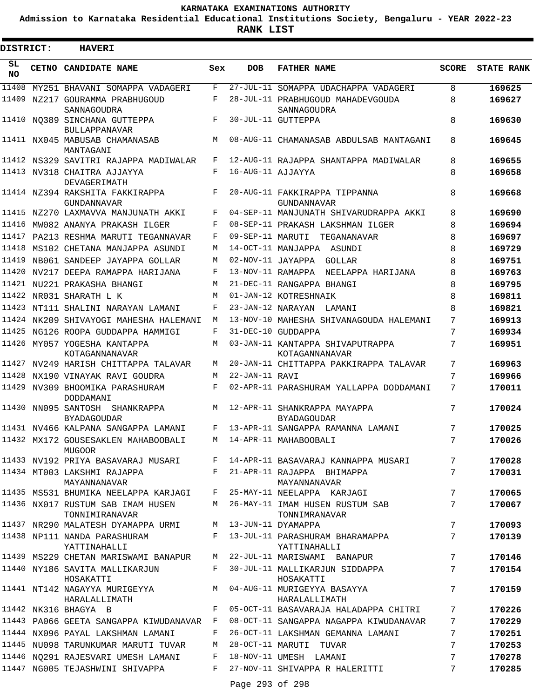**Admission to Karnataka Residential Educational Institutions Society, Bengaluru - YEAR 2022-23**

ı

| DISTRICT: | <b>HAVERI</b>                                                                  |         |                   |                                                                                      |                 |                   |
|-----------|--------------------------------------------------------------------------------|---------|-------------------|--------------------------------------------------------------------------------------|-----------------|-------------------|
| SL<br>NO  | CETNO CANDIDATE NAME                                                           | Sex     | DOB               | <b>FATHER NAME</b>                                                                   | SCORE           | <b>STATE RANK</b> |
|           | 11408 MY251 BHAVANI SOMAPPA VADAGERI                                           | F       |                   | 27-JUL-11 SOMAPPA UDACHAPPA VADAGERI                                                 | 8               | 169625            |
|           | 11409 NZ217 GOURAMMA PRABHUGOUD<br>SANNAGOUDRA                                 | F       |                   | 28-JUL-11 PRABHUGOUD MAHADEVGOUDA<br>SANNAGOUDRA                                     | 8               | 169627            |
|           | 11410 NO389 SINCHANA GUTTEPPA<br><b>BULLAPPANAVAR</b>                          | F       |                   | 30-JUL-11 GUTTEPPA                                                                   | 8               | 169630            |
|           | 11411 NX045 MABUSAB CHAMANASAB<br>MANTAGANI                                    | M       |                   | 08-AUG-11 CHAMANASAB ABDULSAB MANTAGANI                                              | 8               | 169645            |
|           | 11412 NS329 SAVITRI RAJAPPA MADIWALAR                                          | F       |                   | 12-AUG-11 RAJAPPA SHANTAPPA MADIWALAR                                                | 8               | 169655            |
|           | 11413 NV318 CHAITRA AJJAYYA<br>DEVAGERIMATH                                    | F       | 16-AUG-11 AJJAYYA |                                                                                      | 8               | 169658            |
|           | 11414 NZ394 RAKSHITA FAKKIRAPPA<br>GUNDANNAVAR                                 | F       |                   | 20-AUG-11 FAKKIRAPPA TIPPANNA<br>GUNDANNAVAR                                         | 8               | 169668            |
|           | 11415 NZ270 LAXMAVVA MANJUNATH AKKI                                            | F       |                   | 04-SEP-11 MANJUNATH SHIVARUDRAPPA AKKI                                               | 8               | 169690            |
|           | 11416 MW082 ANANYA PRAKASH ILGER                                               | F       |                   | 08-SEP-11 PRAKASH LAKSHMAN ILGER                                                     | 8               | 169694            |
|           | 11417 PA213 RESHMA MARUTI TEGANNAVAR                                           | F       |                   | 09-SEP-11 MARUTI TEGANANAVAR                                                         | 8               | 169697            |
|           | 11418 MS102 CHETANA MANJAPPA ASUNDI                                            | M       |                   | 14-OCT-11 MANJAPPA ASUNDI                                                            | 8               | 169729            |
|           | 11419 NB061 SANDEEP JAYAPPA GOLLAR                                             | M       |                   | 02-NOV-11 JAYAPPA GOLLAR                                                             | 8               | 169751            |
|           | 11420 NV217 DEEPA RAMAPPA HARIJANA                                             | F       |                   | 13-NOV-11 RAMAPPA NEELAPPA HARIJANA                                                  | 8               | 169763            |
|           | 11421 NU221 PRAKASHA BHANGI                                                    | M       |                   | 21-DEC-11 RANGAPPA BHANGI                                                            | 8               | 169795            |
|           | 11422 NR031 SHARATH L K                                                        | M       |                   | 01-JAN-12 KOTRESHNAIK                                                                | 8               | 169811            |
|           | 11423 NT111 SHALINI NARAYAN LAMANI                                             | F       |                   | 23-JAN-12 NARAYAN LAMANI                                                             | 8               | 169821            |
|           | 11424 NK209 SHIVAYOGI MAHESHA HALEMANI                                         | M       |                   | 13-NOV-10 MAHESHA SHIVANAGOUDA HALEMANI                                              | 7               | 169913            |
|           | 11425 NG126 ROOPA GUDDAPPA HAMMIGI                                             | F       |                   | 31-DEC-10 GUDDAPPA                                                                   | 7               | 169934            |
|           | 11426 MY057 YOGESHA KANTAPPA<br>KOTAGANNANAVAR                                 | М       |                   | 03-JAN-11 KANTAPPA SHIVAPUTRAPPA<br>KOTAGANNANAVAR                                   | 7               | 169951            |
|           | 11427 NV249 HARISH CHITTAPPA TALAVAR                                           | M       |                   | 20-JAN-11 CHITTAPPA PAKKIRAPPA TALAVAR                                               | 7               | 169963            |
|           | 11428 NX190 VINAYAK RAVI GOUDRA                                                | М       | 22-JAN-11 RAVI    |                                                                                      | 7               | 169966            |
|           | 11429 NV309 BHOOMIKA PARASHURAM<br>DODDAMANI                                   | F       |                   | 02-APR-11 PARASHURAM YALLAPPA DODDAMANI                                              | 7               | 170011            |
|           | 11430 NN095 SANTOSH SHANKRAPPA<br><b>BYADAGOUDAR</b>                           |         |                   | M 12-APR-11 SHANKRAPPA MAYAPPA<br><b>BYADAGOUDAR</b>                                 | 7               | 170024            |
|           | 11431 NV466 KALPANA SANGAPPA LAMANI                                            | $F$ and |                   | 13-APR-11 SANGAPPA RAMANNA LAMANI                                                    |                 | 170025            |
|           | 11432 MX172 GOUSESAKLEN MAHABOOBALI M 14-APR-11 MAHABOOBALI<br>MUGOOR          |         |                   |                                                                                      | $7\phantom{.0}$ | 170026            |
|           |                                                                                |         |                   | 11433 NV192 PRIYA BASAVARAJ MUSARI F 14-APR-11 BASAVARAJ KANNAPPA MUSARI             | 7               | 170028            |
|           | 11434 MT003 LAKSHMI RAJAPPA<br>MAYANNANAVAR                                    |         |                   | F 21-APR-11 RAJAPPA BHIMAPPA<br>MAYANNANAVAR                                         | 7               | 170031            |
|           |                                                                                |         |                   | 11435 MS531 BHUMIKA NEELAPPA KARJAGI F 25-MAY-11 NEELAPPA KARJAGI                    | 7               | 170065            |
|           | TONNIMIRANAVAR                                                                 |         |                   | 11436 NX017 RUSTUM SAB IMAM HUSEN M 26-MAY-11 IMAM HUSEN RUSTUM SAB<br>TONNIMRANAVAR | 7               | 170067            |
|           | 11437 NR290 MALATESH DYAMAPPA URMI M 13-JUN-11 DYAMAPPA                        |         |                   |                                                                                      | 7               | 170093            |
|           | 11438 NP111 NANDA PARASHURAM<br>YATTINAHALLI                                   |         |                   | F 13-JUL-11 PARASHURAM BHARAMAPPA<br>YATTINAHALLI                                    | 7               | 170139            |
|           |                                                                                |         |                   | 11439 MS229 CHETAN MARISWAMI BANAPUR M 22-JUL-11 MARISWAMI BANAPUR                   | 7               | 170146            |
|           | 11440 NY186 SAVITA MALLIKARJUN<br>HOSAKATTI                                    |         |                   | F 30-JUL-11 MALLIKARJUN SIDDAPPA<br>HOSAKATTI                                        | $7\phantom{.0}$ | 170154            |
|           | 11441 NT142 NAGAYYA MURIGEYYA MARAY MARASHI MURIGEYYA BASAYYA<br>HARALALLIMATH |         |                   | HARALALLIMATH                                                                        | 7               | 170159            |
|           | 11442 NK316 BHAGYA B                                                           |         |                   | F 05-OCT-11 BASAVARAJA HALADAPPA CHITRI                                              | 7               | 170226            |
|           |                                                                                |         |                   | 11443 PA066 GEETA SANGAPPA KIWUDANAVAR F 08-OCT-11 SANGAPPA NAGAPPA KIWUDANAVAR      | 7               | 170229            |
|           | 11444 NX096 PAYAL LAKSHMAN LAMANI                                              |         |                   | F 26-OCT-11 LAKSHMAN GEMANNA LAMANI                                                  | 7               | 170251            |
|           | 11445 NU098 TARUNKUMAR MARUTI TUVAR                                            |         |                   | M 28-OCT-11 MARUTI TUVAR                                                             | 7               | 170253            |
|           | 11446 NQ291 RAJESVARI UMESH LAMANI F 18-NOV-11 UMESH LAMANI                    |         |                   |                                                                                      | 7               | 170278            |
|           |                                                                                |         |                   | 11447 NG005 TEJASHWINI SHIVAPPA F 27-NOV-11 SHIVAPPA R HALERITTI                     | 7               | 170285            |
|           |                                                                                |         | Page 293 of 298   |                                                                                      |                 |                   |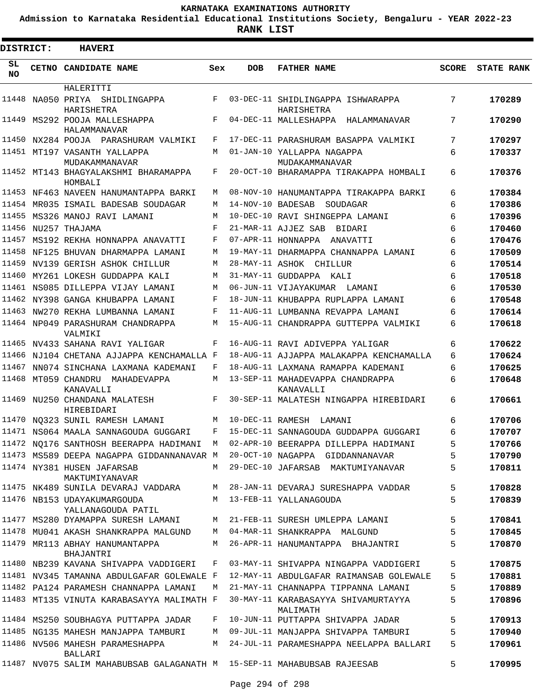**Admission to Karnataka Residential Educational Institutions Society, Bengaluru - YEAR 2022-23**

**RANK LIST**

 $\blacksquare$ 

| DISTRICT:       | <b>HAVERI</b>                                                           |     |                   |                                                 |              |                   |
|-----------------|-------------------------------------------------------------------------|-----|-------------------|-------------------------------------------------|--------------|-------------------|
| SL<br><b>NO</b> | CETNO CANDIDATE NAME                                                    | Sex | <b>DOB</b>        | <b>FATHER NAME</b>                              | <b>SCORE</b> | <b>STATE RANK</b> |
|                 | HALERITTI                                                               |     |                   |                                                 |              |                   |
| 11448           | NA050 PRIYA<br>SHIDLINGAPPA<br>HARISHETRA                               | F   |                   | 03-DEC-11 SHIDLINGAPPA ISHWARAPPA<br>HARISHETRA | 7            | 170289            |
| 11449           | MS292 POOJA MALLESHAPPA                                                 | F   |                   | 04-DEC-11 MALLESHAPPA HALAMMANAVAR              | 7            | 170290            |
| 11450           | HALAMMANAVAR<br>NX284 POOJA PARASHURAM VALMIKI                          | F   |                   | 17-DEC-11 PARASHURAM BASAPPA VALMIKI            | 7            | 170297            |
|                 | 11451 MT197 VASANTH YALLAPPA                                            | M   |                   | 01-JAN-10 YALLAPPA NAGAPPA                      | 6            | 170337            |
|                 | MUDAKAMMANAVAR                                                          |     |                   | MUDAKAMMANAVAR                                  |              |                   |
|                 | 11452 MT143 BHAGYALAKSHMI BHARAMAPPA<br>HOMBALI                         | F   |                   | 20-OCT-10 BHARAMAPPA TIRAKAPPA HOMBALI          | 6            | 170376            |
| 11453           | NF463 NAVEEN HANUMANTAPPA BARKI                                         | М   |                   | 08-NOV-10 HANUMANTAPPA TIRAKAPPA BARKI          | 6            | 170384            |
|                 | 11454 MR035 ISMAIL BADESAB SOUDAGAR                                     | M   | 14-NOV-10 BADESAB | SOUDAGAR                                        | 6            | 170386            |
| 11455           | MS326 MANOJ RAVI LAMANI                                                 | M   |                   | 10-DEC-10 RAVI SHINGEPPA LAMANI                 | 6            | 170396            |
| 11456           | NU257 THAJAMA                                                           | F   |                   | 21-MAR-11 AJJEZ SAB<br>BIDARI                   | 6            | 170460            |
| 11457           | MS192 REKHA HONNAPPA ANAVATTI                                           | F   |                   | 07-APR-11 HONNAPPA ANAVATTI                     | 6            | 170476            |
| 11458           | NF125 BHUVAN DHARMAPPA LAMANI                                           | M   |                   | 19-MAY-11 DHARMAPPA CHANNAPPA LAMANI            | 6            | 170509            |
| 11459           | NV139 GERISH ASHOK CHILLUR                                              | M   |                   | 28-MAY-11 ASHOK CHILLUR                         | 6            | 170514            |
| 11460           | MY261 LOKESH GUDDAPPA KALI                                              | M   |                   | 31-MAY-11 GUDDAPPA KALI                         | 6            | 170518            |
| 11461           | NS085 DILLEPPA VIJAY LAMANI                                             | M   |                   | 06-JUN-11 VIJAYAKUMAR<br>LAMANI                 | 6            | 170530            |
| 11462           | NY398 GANGA KHUBAPPA LAMANI                                             | F   |                   | 18-JUN-11 KHUBAPPA RUPLAPPA LAMANI              | 6            | 170548            |
| 11463           | NW270 REKHA LUMBANNA LAMANI                                             | F   |                   | 11-AUG-11 LUMBANNA REVAPPA LAMANI               | 6            | 170614            |
|                 | 11464 NP049 PARASHURAM CHANDRAPPA<br>VALMIKI                            | М   |                   | 15-AUG-11 CHANDRAPPA GUTTEPPA VALMIKI           | 6            | 170618            |
| 11465           | NV433 SAHANA RAVI YALIGAR                                               | F   |                   | 16-AUG-11 RAVI ADIVEPPA YALIGAR                 | 6            | 170622            |
| 11466           | NJ104 CHETANA AJJAPPA KENCHAMALLA F                                     |     |                   | 18-AUG-11 AJJAPPA MALAKAPPA KENCHAMALLA         | 6            | 170624            |
| 11467           | NN074 SINCHANA LAXMANA KADEMANI                                         | F   |                   | 18-AUG-11 LAXMANA RAMAPPA KADEMANI              | 6            | 170625            |
| 11468           | MT059 CHANDRU MAHADEVAPPA<br>KANAVALLI                                  | M   |                   | 13-SEP-11 MAHADEVAPPA CHANDRAPPA<br>KANAVALLI   | 6            | 170648            |
| 11469           | NU250 CHANDANA MALATESH<br>HIREBIDARI                                   | F   |                   | 30-SEP-11 MALATESH NINGAPPA HIREBIDARI          | 6            | 170661            |
|                 | 11470 NQ323 SUNIL RAMESH LAMANI                                         | M   | 10-DEC-11 RAMESH  | LAMANI                                          | 6            | 170706            |
|                 | 11471 NS064 MAALA SANNAGOUDA GUGGARI                                    | F   |                   | 15-DEC-11 SANNAGOUDA GUDDAPPA GUGGARI           | б            | 170707            |
|                 | 11472 NO176 SANTHOSH BEERAPPA HADIMANI                                  | M   |                   | 02-APR-10 BEERAPPA DILLEPPA HADIMANI            | 5            | 170766            |
|                 | 11473 MS589 DEEPA NAGAPPA GIDDANNANAVAR M                               |     |                   | 20-OCT-10 NAGAPPA GIDDANNANAVAR                 | 5            | 170790            |
|                 | 11474 NY381 HUSEN JAFARSAB<br>MAKTUMIYANAVAR                            | M   |                   | 29-DEC-10 JAFARSAB MAKTUMIYANAVAR               | 5            | 170811            |
|                 | 11475 NK489 SUNILA DEVARAJ VADDARA                                      | М   |                   | 28-JAN-11 DEVARAJ SURESHAPPA VADDAR             | 5            | 170828            |
|                 | 11476 NB153 UDAYAKUMARGOUDA<br>YALLANAGOUDA PATIL                       | М   |                   | 13-FEB-11 YALLANAGOUDA                          | 5            | 170839            |
|                 | 11477 MS280 DYAMAPPA SURESH LAMANI                                      | М   |                   | 21-FEB-11 SURESH UMLEPPA LAMANI                 | 5            | 170841            |
|                 | 11478 MU041 AKASH SHANKRAPPA MALGUND M                                  |     |                   | 04-MAR-11 SHANKRAPPA MALGUND                    | 5            | 170845            |
|                 | 11479 MR113 ABHAY HANUMANTAPPA<br>BHAJANTRI                             | M   |                   | 26-APR-11 HANUMANTAPPA BHAJANTRI                | 5            | 170870            |
|                 | 11480 NB239 KAVANA SHIVAPPA VADDIGERI                                   | F   |                   | 03-MAY-11 SHIVAPPA NINGAPPA VADDIGERI           | 5            | 170875            |
|                 | 11481 NV345 TAMANNA ABDULGAFAR GOLEWALE F                               |     |                   | 12-MAY-11 ABDULGAFAR RAIMANSAB GOLEWALE         | 5            | 170881            |
|                 | 11482 PA124 PARAMESH CHANNAPPA LAMANI                                   | М   |                   | 21-MAY-11 CHANNAPPA TIPPANNA LAMANI             | 5            | 170889            |
|                 | 11483 MT135 VINUTA KARABASAYYA MALIMATH F                               |     |                   | 30-MAY-11 KARABASAYYA SHIVAMURTAYYA<br>MALIMATH | 5            | 170896            |
|                 | 11484 MS250 SOUBHAGYA PUTTAPPA JADAR                                    | F   |                   | 10-JUN-11 PUTTAPPA SHIVAPPA JADAR               | 5            | 170913            |
|                 | 11485 NG135 MAHESH MANJAPPA TAMBURI M                                   |     |                   | 09-JUL-11 MANJAPPA SHIVAPPA TAMBURI             | 5            | 170940            |
|                 | 11486 NV506 MAHESH PARAMESHAPPA<br>BALLARI                              | M   |                   | 24-JUL-11 PARAMESHAPPA NEELAPPA BALLARI         | 5            | 170961            |
|                 | 11487 NV075 SALIM MAHABUBSAB GALAGANATH M 15-SEP-11 MAHABUBSAB RAJEESAB |     |                   |                                                 | 5            | 170995            |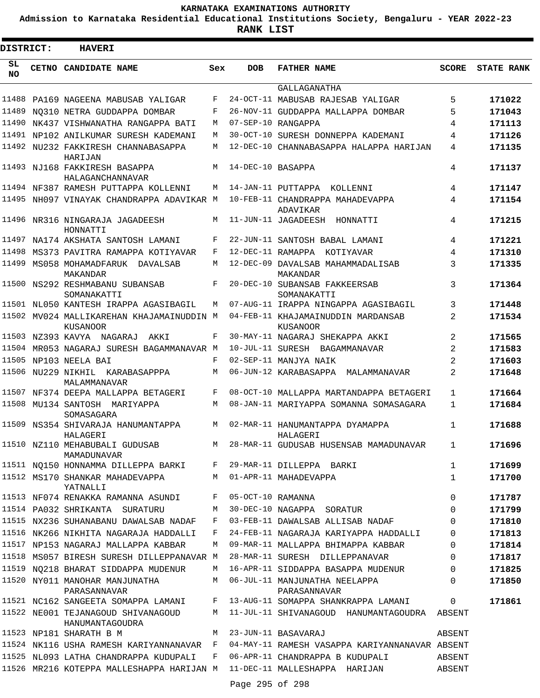**Admission to Karnataka Residential Educational Institutions Society, Bengaluru - YEAR 2022-23**

**RANK LIST**

 $\blacksquare$ 

| DISTRICT:       | <b>HAVERI</b>                                                       |     |                   |                                                                                         |                |                   |
|-----------------|---------------------------------------------------------------------|-----|-------------------|-----------------------------------------------------------------------------------------|----------------|-------------------|
| SL<br><b>NO</b> | CETNO CANDIDATE NAME                                                | Sex | <b>DOB</b>        | <b>FATHER NAME</b>                                                                      | SCORE          | <b>STATE RANK</b> |
|                 |                                                                     |     |                   | <b>GALLAGANATHA</b>                                                                     |                |                   |
| 11488           | PA169 NAGEENA MABUSAB YALIGAR                                       | F   |                   | 24-OCT-11 MABUSAB RAJESAB YALIGAR                                                       | 5              | 171022            |
| 11489           | NO310 NETRA GUDDAPPA DOMBAR                                         | F   |                   | 26-NOV-11 GUDDAPPA MALLAPPA DOMBAR                                                      | 5              | 171043            |
| 11490           | NK437 VISHWANATHA RANGAPPA BATI                                     | М   |                   | 07-SEP-10 RANGAPPA                                                                      | 4              | 171113            |
|                 | 11491 NP102 ANILKUMAR SURESH KADEMANI                               | М   |                   | 30-OCT-10 SURESH DONNEPPA KADEMANI                                                      | 4              | 171126            |
|                 | 11492 NU232 FAKKIRESH CHANNABASAPPA<br>HARIJAN                      | М   |                   | 12-DEC-10 CHANNABASAPPA HALAPPA HARIJAN                                                 | 4              | 171135            |
|                 | 11493 NJ168 FAKKIRESH BASAPPA<br>HALAGANCHANNAVAR                   | M   | 14-DEC-10 BASAPPA |                                                                                         | 4              | 171137            |
|                 | 11494 NF387 RAMESH PUTTAPPA KOLLENNI                                | M   |                   | 14-JAN-11 PUTTAPPA KOLLENNI                                                             | 4              | 171147            |
|                 | 11495 NH097 VINAYAK CHANDRAPPA ADAVIKAR M                           |     |                   | 10-FEB-11 CHANDRAPPA MAHADEVAPPA<br>ADAVIKAR                                            | 4              | 171154            |
|                 | 11496 NR316 NINGARAJA JAGADEESH<br>HONNATTI                         | M   |                   | 11-JUN-11 JAGADEESH HONNATTI                                                            | 4              | 171215            |
|                 | 11497 NA174 AKSHATA SANTOSH LAMANI                                  | F   |                   | 22-JUN-11 SANTOSH BABAL LAMANI                                                          | 4              | 171221            |
|                 | 11498 MS373 PAVITRA RAMAPPA KOTIYAVAR                               | F   |                   | 12-DEC-11 RAMAPPA KOTIYAVAR                                                             | 4              | 171310            |
| 11499           | MS058 MOHAMADFARUK DAVALSAB                                         | M   |                   | 12-DEC-09 DAVALSAB MAHAMMADALISAB                                                       | 3              | 171335            |
|                 | MAKANDAR<br>11500 NS292 RESHMABANU SUBANSAB<br>SOMANAKATTI          | F   |                   | MAKANDAR<br>20-DEC-10 SUBANSAB FAKKEERSAB<br>SOMANAKATTI                                | 3              | 171364            |
|                 | 11501 NL050 KANTESH IRAPPA AGASIBAGIL                               | М   |                   | 07-AUG-11 IRAPPA NINGAPPA AGASIBAGIL                                                    | 3              | 171448            |
|                 | 11502 MV024 MALLIKAREHAN KHAJAMAINUDDIN M<br>KUSANOOR               |     |                   | 04-FEB-11 KHAJAMAINUDDIN MARDANSAB<br>KUSANOOR                                          | 2              | 171534            |
|                 | 11503 NZ393 KAVYA NAGARAJ AKKI                                      | F   |                   | 30-MAY-11 NAGARAJ SHEKAPPA AKKI                                                         | $\overline{a}$ | 171565            |
| 11504           | MR053 NAGARAJ SURESH BAGAMMANAVAR M                                 |     |                   | 10-JUL-11 SURESH BAGAMMANAVAR                                                           | 2              | 171583            |
| 11505           | NP103 NEELA BAI                                                     | F   |                   | 02-SEP-11 MANJYA NAIK                                                                   | 2              | 171603            |
| 11506           | NU229 NIKHIL KARABASAPPPA<br>MALAMMANAVAR                           | М   |                   | 06-JUN-12 KARABASAPPA MALAMMANAVAR                                                      | 2              | 171648            |
| 11507           | NF374 DEEPA MALLAPPA BETAGERI                                       | F   |                   | 08-OCT-10 MALLAPPA MARTANDAPPA BETAGERI                                                 | $\mathbf{1}$   | 171664            |
|                 | 11508 MU134 SANTOSH MARIYAPPA<br>SOMASAGARA                         | М   |                   | 08-JAN-11 MARIYAPPA SOMANNA SOMASAGARA                                                  | 1              | 171684            |
|                 | 11509 NS354 SHIVARAJA HANUMANTAPPA<br>HALAGER T                     | М   |                   | 02-MAR-11 HANUMANTAPPA DYAMAPPA<br>HALAGER T                                            | 1              | 171688            |
|                 | MAMADUNAVAR                                                         |     |                   | 11510 NZ110 MEHABUBALI GUDUSAB M 28-MAR-11 GUDUSAB HUSENSAB MAMADUNAVAR 1               |                | 171696            |
|                 |                                                                     |     |                   | 11511 NQ150 HONNAMMA DILLEPPA BARKI F 29-MAR-11 DILLEPPA BARKI                          | $\mathbf{1}$   | 171699            |
|                 | 11512 MS170 SHANKAR MAHADEVAPPA M 01-APR-11 MAHADEVAPPA<br>YATNALLI |     |                   |                                                                                         | $\mathbf{1}$   | 171700            |
|                 | 11513 NF074 RENAKKA RAMANNA ASUNDI F 05-OCT-10 RAMANNA              |     |                   |                                                                                         | $\mathbf 0$    | 171787            |
|                 | 11514 PA032 SHRIKANTA SURATURU                                      |     |                   | M 30-DEC-10 NAGAPPA SORATUR                                                             | $\mathbf 0$    | 171799            |
|                 |                                                                     |     |                   | 11515 NX236 SUHANABANU DAWALSAB NADAF F 03-FEB-11 DAWALSAB ALLISAB NADAF                | 0              | 171810            |
|                 |                                                                     |     |                   | 11516 NK266 NIKHITA NAGARAJA HADDALLI F 24-FEB-11 NAGARAJA KARIYAPPA HADDALLI           | $\mathbf 0$    | 171813            |
|                 | 11517 NP153 NAGARAJ MALLAPPA KABBAR                                 |     |                   | M 09-MAR-11 MALLAPPA BHIMAPPA KABBAR                                                    | $\mathbf 0$    | 171814            |
|                 |                                                                     |     |                   | 11518 MS057 BIRESH SURESH DILLEPPANAVAR M 28-MAR-11 SURESH DILLEPPANAVAR                | $\mathbf 0$    | 171817            |
|                 |                                                                     |     |                   | 11519 NQ218 BHARAT SIDDAPPA MUDENUR M 16-APR-11 SIDDAPPA BASAPPA MUDENUR                | 0              | 171825            |
|                 | PARASANNAVAR                                                        |     |                   | 11520 NY011 MANOHAR MANJUNATHA MANI MAQOS-JUL-11 MANJUNATHA NEELAPPA<br>PARASANNAVAR    | $\Omega$       | 171850            |
|                 |                                                                     |     |                   | 11521 NC162 SANGEETA SOMAPPA LAMANI F 13-AUG-11 SOMAPPA SHANKRAPPA LAMANI               | $\mathbf{0}$   | 171861            |
|                 | HANUMANTAGOUDRA                                                     |     |                   | 11522 NE001 TEJANAGOUD SHIVANAGOUD M 11-JUL-11 SHIVANAGOUD HANUMANTAGOUDRA ABSENT       |                |                   |
|                 | 11523 NP181 SHARATH B M                                             |     |                   | M 23-JUN-11 BASAVARAJ                                                                   | ABSENT         |                   |
|                 |                                                                     |     |                   | 11524 NK116 USHA RAMESH KARIYANNANAVAR F 04-MAY-11 RAMESH VASAPPA KARIYANNANAVAR ABSENT |                |                   |
|                 |                                                                     |     |                   | 11525 NL093 LATHA CHANDRAPPA KUDUPALI F 06-APR-11 CHANDRAPPA B KUDUPALI ABSENT          |                |                   |
|                 |                                                                     |     | Page 295 of 298   | 11526 MR216 KOTEPPA MALLESHAPPA HARIJAN M 11-DEC-11 MALLESHAPPA HARIJAN ABSENT          |                |                   |
|                 |                                                                     |     |                   |                                                                                         |                |                   |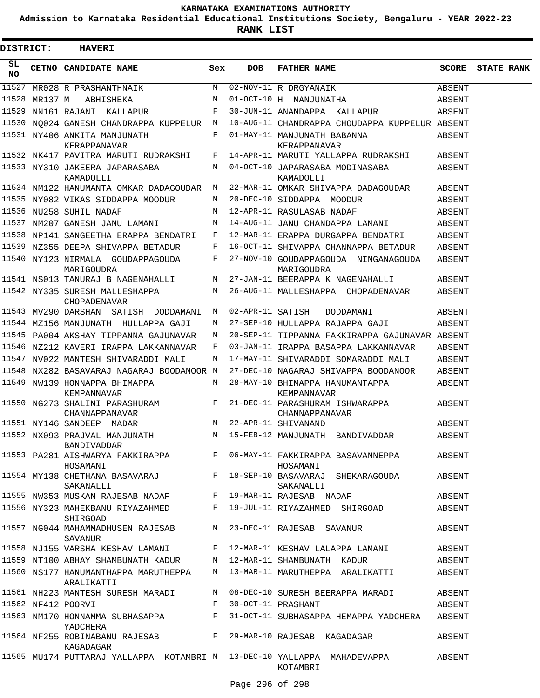**Admission to Karnataka Residential Educational Institutions Society, Bengaluru - YEAR 2022-23**

**RANK LIST**

 $\blacksquare$ 

| <b>DISTRICT:</b> |         | <b>HAVERI</b>                                                                        |       |            |                                                                                              |        |                   |
|------------------|---------|--------------------------------------------------------------------------------------|-------|------------|----------------------------------------------------------------------------------------------|--------|-------------------|
| SL.<br>NO.       |         | <b>CETNO CANDIDATE NAME</b>                                                          | Sex   | <b>DOB</b> | <b>FATHER NAME</b>                                                                           | SCORE  | <b>STATE RANK</b> |
| 11527            |         | MR028 R PRASHANTHNAIK                                                                | M     |            | 02-NOV-11 R DRGYANAIK                                                                        | ABSENT |                   |
| 11528            | MR137 M | ABHISHEKA                                                                            | M     |            | 01-OCT-10 H MANJUNATHA                                                                       | ABSENT |                   |
| 11529            |         | NN161 RAJANI KALLAPUR                                                                | F     |            | 30-JUN-11 ANANDAPPA KALLAPUR                                                                 | ABSENT |                   |
|                  |         | 11530 NQ024 GANESH CHANDRAPPA KUPPELUR M                                             |       |            | 10-AUG-11 CHANDRAPPA CHOUDAPPA KUPPELUR ABSENT                                               |        |                   |
|                  |         | 11531 NY406 ANKITA MANJUNATH<br>KERAPPANAVAR                                         | F     |            | 01-MAY-11 MANJUNATH BABANNA<br>KERAPPANAVAR                                                  | ABSENT |                   |
|                  |         | 11532 NK417 PAVITRA MARUTI RUDRAKSHI                                                 | F     |            | 14-APR-11 MARUTI YALLAPPA RUDRAKSHI                                                          | ABSENT |                   |
|                  |         | 11533 NY310 JAKEERA JAPARASABA<br>KAMADOLLI                                          | М     |            | 04-OCT-10 JAPARASABA MODINASABA<br>KAMADOLLI                                                 | ABSENT |                   |
|                  |         | 11534 NM122 HANUMANTA OMKAR DADAGOUDAR                                               | M     |            | 22-MAR-11 OMKAR SHIVAPPA DADAGOUDAR                                                          | ABSENT |                   |
|                  |         | 11535 NY082 VIKAS SIDDAPPA MOODUR                                                    | М     |            | 20-DEC-10 SIDDAPPA MOODUR                                                                    | ABSENT |                   |
|                  |         | 11536 NU258 SUHIL NADAF                                                              | М     |            | 12-APR-11 RASULASAB NADAF                                                                    | ABSENT |                   |
|                  |         | 11537 NM207 GANESH JANU LAMANI                                                       | М     |            | 14-AUG-11 JANU CHANDAPPA LAMANI                                                              | ABSENT |                   |
|                  |         | 11538 NP141 SANGEETHA ERAPPA BENDATRI                                                | F     |            | 12-MAR-11 ERAPPA DURGAPPA BENDATRI                                                           | ABSENT |                   |
|                  |         | 11539 NZ355 DEEPA SHIVAPPA BETADUR                                                   | F     |            | 16-OCT-11 SHIVAPPA CHANNAPPA BETADUR                                                         | ABSENT |                   |
|                  |         | 11540 NY123 NIRMALA GOUDAPPAGOUDA<br>MARIGOUDRA                                      | F     |            | 27-NOV-10 GOUDAPPAGOUDA NINGANAGOUDA<br>MARIGOUDRA                                           | ABSENT |                   |
|                  |         | 11541 NS013 TANURAJ B NAGENAHALLI                                                    | M     |            | 27-JAN-11 BEERAPPA K NAGENAHALLI                                                             | ABSENT |                   |
|                  |         | 11542 NY335 SURESH MALLESHAPPA<br>CHOPADENAVAR                                       | M     |            | 26-AUG-11 MALLESHAPPA CHOPADENAVAR                                                           | ABSENT |                   |
|                  |         | 11543 MV290 DARSHAN SATISH DODDAMANI                                                 | М     |            | 02-APR-11 SATISH<br>DODDAMANI                                                                | ABSENT |                   |
|                  |         | 11544 MZ156 MANJUNATH HULLAPPA GAJI                                                  | М     |            | 27-SEP-10 HULLAPPA RAJAPPA GAJI                                                              | ABSENT |                   |
|                  |         | 11545 PA004 AKSHAY TIPPANNA GAJUNAVAR                                                | М     |            | 20-SEP-11 TIPPANNA FAKKIRAPPA GAJUNAVAR ABSENT                                               |        |                   |
|                  |         | 11546 NZ212 KAVERI IRAPPA LAKKANNAVAR                                                | F     |            | 03-JAN-11 IRAPPA BASAPPA LAKKANNAVAR                                                         | ABSENT |                   |
|                  |         | 11547 NV022 MANTESH SHIVARADDI MALI                                                  | М     |            | 17-MAY-11 SHIVARADDI SOMARADDI MALI                                                          | ABSENT |                   |
|                  |         | 11548 NX282 BASAVARAJ NAGARAJ BOODANOOR M                                            |       |            | 27-DEC-10 NAGARAJ SHIVAPPA BOODANOOR                                                         | ABSENT |                   |
|                  |         | 11549 NW139 HONNAPPA BHIMAPPA                                                        | M     |            | 28-MAY-10 BHIMAPPA HANUMANTAPPA                                                              | ABSENT |                   |
|                  |         | KEMPANNAVAR<br>11550 NG273 SHALINI PARASHURAM<br>CHANNAPPANAVAR                      | $F$ – |            | KEMPANNAVAR<br>21-DEC-11 PARASHURAM ISHWARAPPA<br>CHANNAPPANAVAR                             | ABSENT |                   |
|                  |         | 11551 NY146 SANDEEP MADAR                                                            | M     |            | 22-APR-11 SHIVANAND                                                                          | ABSENT |                   |
|                  |         | 11552 NX093 PRAJVAL MANJUNATH<br>BANDIVADDAR                                         | M     |            | 15-FEB-12 MANJUNATH BANDIVADDAR                                                              | ABSENT |                   |
|                  |         | HOSAMANI                                                                             |       |            | 11553 PA281 AISHWARYA FAKKIRAPPA F 06-MAY-11 FAKKIRAPPA BASAVANNEPPA<br>HOSAMANI             | ABSENT |                   |
|                  |         | SAKANALLI                                                                            |       |            | 11554 MY138 CHETHANA BASAVARAJ               F 18-SEP-10 BASAVARAJ SHEKARAGOUDA<br>SAKANALLI | ABSENT |                   |
|                  |         | 11555 NW353 MUSKAN RAJESAB NADAF F 19-MAR-11 RAJESAB NADAF                           |       |            |                                                                                              | ABSENT |                   |
|                  |         | 11556 NY323 MAHEKBANU RIYAZAHMED F 19-JUL-11 RIYAZAHMED SHIRGOAD<br>SHIRGOAD         |       |            |                                                                                              | ABSENT |                   |
|                  |         | 11557 NG044 MAHAMMADHUSEN RAJESAB<br>SAVANUR                                         |       |            | M 23-DEC-11 RAJESAB SAVANUR                                                                  | ABSENT |                   |
|                  |         |                                                                                      |       |            | 11558 NJ155 VARSHA KESHAV LAMANI     F 12-MAR-11 KESHAV LALAPPA LAMANI                       | ABSENT |                   |
|                  |         | 11559 NT100 ABHAY SHAMBUNATH KADUR       M   12-MAR-11 SHAMBUNATH  KADUR             |       |            |                                                                                              | ABSENT |                   |
|                  |         | 11560 NS177 HANUMANTHAPPA MARUTHEPPA M 13-MAR-11 MARUTHEPPA ARALIKATTI<br>ARALIKATTI |       |            |                                                                                              | ABSENT |                   |
|                  |         | 11561 NH223 MANTESH SURESH MARADI                                                    |       |            | M 08-DEC-10 SURESH BEERAPPA MARADI                                                           | ABSENT |                   |
|                  |         | 11562 NF412 POORVI                                                                   | F     |            | 30-OCT-11 PRASHANT                                                                           | ABSENT |                   |
|                  |         | 11563 NM170 HONNAMMA SUBHASAPPA F<br>YADCHERA                                        |       |            | 31-OCT-11 SUBHASAPPA HEMAPPA YADCHERA ABSENT                                                 |        |                   |
|                  |         | 11564 NF255 ROBINABANU RAJESAB F 29-MAR-10 RAJESAB KAGADAGAR<br>KAGADAGAR            |       |            |                                                                                              | ABSENT |                   |
|                  |         |                                                                                      |       |            | 11565 MU174 PUTTARAJ YALLAPPA KOTAMBRI M 13-DEC-10 YALLAPPA MAHADEVAPPA<br>KOTAMBRI          | ABSENT |                   |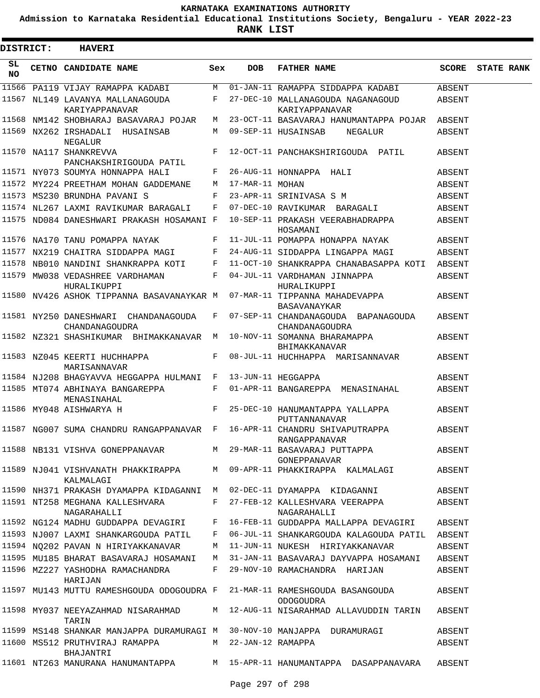**Admission to Karnataka Residential Educational Institutions Society, Bengaluru - YEAR 2022-23**

 $\blacksquare$ 

**RANK LIST**

Е

|                  | DISTRICT: | <b>HAVERI</b>                                                            |     |                     |                                                                                                         |        |                         |
|------------------|-----------|--------------------------------------------------------------------------|-----|---------------------|---------------------------------------------------------------------------------------------------------|--------|-------------------------|
| SL.<br><b>NO</b> |           | <b>CETNO CANDIDATE NAME</b>                                              | Sex | <b>DOB</b>          | <b>FATHER NAME</b>                                                                                      |        | <b>SCORE</b> STATE RANK |
|                  |           |                                                                          |     |                     | 11566 PA119 VIJAY RAMAPPA KADABI M 01-JAN-11 RAMAPPA SIDDAPPA KADABI                                    | ABSENT |                         |
|                  |           | 11567 NL149 LAVANYA MALLANAGOUDA<br>KARIYAPPANAVAR                       |     |                     | F 27-DEC-10 MALLANAGOUDA NAGANAGOUD<br>KARIYAPPANAVAR                                                   | ABSENT |                         |
|                  |           | 11568 NM142 SHOBHARAJ BASAVARAJ POJAR                                    | M   |                     | 23-OCT-11 BASAVARAJ HANUMANTAPPA POJAR ABSENT                                                           |        |                         |
|                  |           | 11569 NX262 IRSHADALI HUSAINSAB<br>NEGALUR                               |     |                     | M 09-SEP-11 HUSAINSAB<br>NEGALUR                                                                        | ABSENT |                         |
|                  |           | 11570 NA117 SHANKREVVA<br>PANCHAKSHIRIGOUDA PATIL                        | F   |                     | 12-OCT-11 PANCHAKSHIRIGOUDA PATIL                                                                       | ABSENT |                         |
|                  |           | 11571 NY073 SOUMYA HONNAPPA HALI                                         | F   |                     | 26-AUG-11 HONNAPPA HALI                                                                                 | ABSENT |                         |
|                  |           | 11572 MY224 PREETHAM MOHAN GADDEMANE                                     |     | M 17-MAR-11 MOHAN   |                                                                                                         | ABSENT |                         |
|                  |           | 11573 MS230 BRUNDHA PAVANI S                                             | F   |                     | 23-APR-11 SRINIVASA S M                                                                                 | ABSENT |                         |
|                  |           | 11574 NL267 LAXMI RAVIKUMAR BARAGALI                                     |     |                     | F 07-DEC-10 RAVIKUMAR BARAGALI                                                                          | ABSENT |                         |
|                  |           | 11575 ND084 DANESHWARI PRAKASH HOSAMANI F                                |     |                     | 10-SEP-11 PRAKASH VEERABHADRAPPA<br>HOSAMANI                                                            | ABSENT |                         |
|                  |           | 11576 NA170 TANU POMAPPA NAYAK                                           | F   |                     | 11-JUL-11 POMAPPA HONAPPA NAYAK                                                                         | ABSENT |                         |
|                  |           | 11577 NX219 CHAITRA SIDDAPPA MAGI                                        | F   |                     | 24-AUG-11 SIDDAPPA LINGAPPA MAGI                                                                        | ABSENT |                         |
|                  |           |                                                                          |     |                     | 11578 NB010 NANDINI SHANKRAPPA KOTI F 11-OCT-10 SHANKRAPPA CHANABASAPPA KOTI ABSENT                     |        |                         |
|                  |           | 11579 MW038 VEDASHREE VARDHAMAN                                          |     |                     | F 04-JUL-11 VARDHAMAN JINNAPPA                                                                          | ABSENT |                         |
|                  |           | HURALIKUPPI                                                              |     |                     | HURALIKUPPI<br>11580 NV426 ASHOK TIPPANNA BASAVANAYKAR M 07-MAR-11 TIPPANNA MAHADEVAPPA<br>BASAVANAYKAR | ABSENT |                         |
|                  |           | 11581 NY250 DANESHWARI CHANDANAGOUDA<br>CHANDANAGOUDRA                   |     |                     | F 07-SEP-11 CHANDANAGOUDA BAPANAGOUDA<br>CHANDANAGOUDRA                                                 | ABSENT |                         |
|                  |           | 11582 NZ321 SHASHIKUMAR BHIMAKKANAVAR M 10-NOV-11 SOMANNA BHARAMAPPA     |     |                     | BHIMAKKANAVAR                                                                                           | ABSENT |                         |
|                  |           | 11583 NZ045 KEERTI HUCHHAPPA<br>MARISANNAVAR                             |     |                     | F 08-JUL-11 HUCHHAPPA MARISANNAVAR                                                                      | ABSENT |                         |
|                  |           | 11584 NJ208 BHAGYAVVA HEGGAPPA HULMANI F 13-JUN-11 HEGGAPPA              |     |                     |                                                                                                         | ABSENT |                         |
|                  |           | 11585 MT074 ABHINAYA BANGAREPPA<br>MENASINAHAL                           | F   |                     | 01-APR-11 BANGAREPPA MENASINAHAL                                                                        | ABSENT |                         |
|                  |           | 11586 MY048 AISHWARYA H                                                  | F   |                     | 25-DEC-10 HANUMANTAPPA YALLAPPA<br>PUTTANNANAVAR                                                        | ABSENT |                         |
|                  |           | 11587 NG007 SUMA CHANDRU RANGAPPANAVAR F 16-APR-11 CHANDRU SHIVAPUTRAPPA |     |                     | RANGAPPANAVAR                                                                                           | ABSENT |                         |
|                  |           | 11588 NB131 VISHVA GONEPPANAVAR MAN 29-MAR-11 BASAVARAJ PUTTAPPA         |     |                     | GONEPPANAVAR                                                                                            | ABSENT |                         |
|                  |           | KALMALAGI                                                                |     |                     | 11589 NJ041 VISHVANATH PHAKKIRAPPA M 09-APR-11 PHAKKIRAPPA KALMALAGI                                    | ABSENT |                         |
|                  |           | 11590 NH371 PRAKASH DYAMAPPA KIDAGANNI M                                 |     |                     | 02-DEC-11 DYAMAPPA KIDAGANNI                                                                            | ABSENT |                         |
|                  |           | 11591 NT258 MEGHANA KALLESHVARA<br>NAGARAHALLI                           | F   |                     | 27-FEB-12 KALLESHVARA VEERAPPA<br>NAGARAHALLI                                                           | ABSENT |                         |
|                  |           | 11592 NG124 MADHU GUDDAPPA DEVAGIRI                                      | F   |                     | 16-FEB-11 GUDDAPPA MALLAPPA DEVAGIRI                                                                    | ABSENT |                         |
|                  |           | 11593 NJ007 LAXMI SHANKARGOUDA PATIL                                     | F   |                     | 06-JUL-11 SHANKARGOUDA KALAGOUDA PATIL                                                                  | ABSENT |                         |
|                  |           | 11594 NO202 PAVAN N HIRIYAKKANAVAR                                       | M   |                     | 11-JUN-11 NUKESH HIRIYAKKANAVAR                                                                         | ABSENT |                         |
|                  |           | 11595 MU185 BHARAT BASAVARAJ HOSAMANI                                    | M   |                     | 31-JAN-11 BASAVARAJ DAYVAPPA HOSAMANI                                                                   | ABSENT |                         |
|                  |           | 11596 MZ227 YASHODHA RAMACHANDRA<br>HARIJAN                              | F   |                     | 29-NOV-10 RAMACHANDRA HARIJAN                                                                           | ABSENT |                         |
|                  |           | 11597 MU143 MUTTU RAMESHGOUDA ODOGOUDRA F                                |     |                     | 21-MAR-11 RAMESHGOUDA BASANGOUDA<br>ODOGOUDRA                                                           | ABSENT |                         |
|                  |           | 11598 MY037 NEEYAZAHMAD NISARAHMAD<br>TARIN                              |     |                     | M 12-AUG-11 NISARAHMAD ALLAVUDDIN TARIN                                                                 | ABSENT |                         |
|                  |           | 11599 MS148 SHANKAR MANJAPPA DURAMURAGI M 30-NOV-10 MANJAPPA DURAMURAGI  |     |                     |                                                                                                         | ABSENT |                         |
|                  |           | 11600 MS512 PRUTHVIRAJ RAMAPPA<br>BHAJANTRI                              |     | M 22-JAN-12 RAMAPPA |                                                                                                         | ABSENT |                         |
|                  |           |                                                                          |     |                     | 11601 NT263 MANURANA HANUMANTAPPA MATIS-APR-11 HANUMANTAPPA DASAPPANAVARA                               | ABSENT |                         |